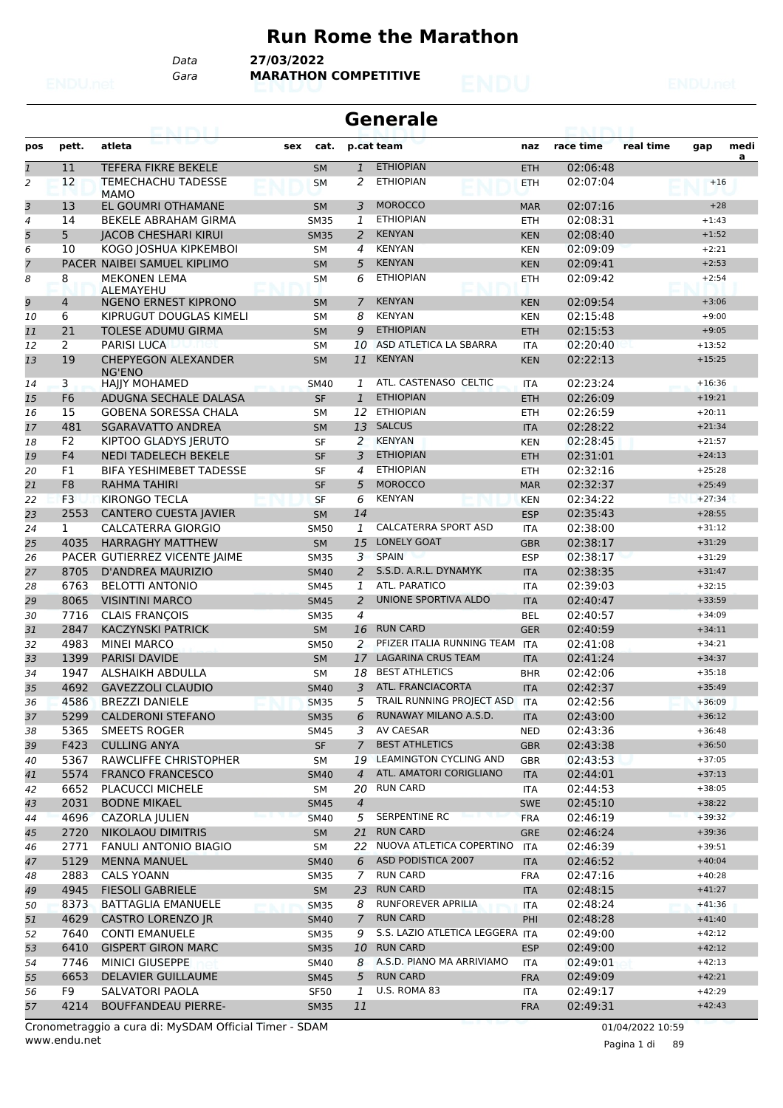#### **Run Rome the Marathon**

*Data* **27/03/2022**

*Gara* **MARATHON COMPETITIVE**

| race time<br>real time<br>medi<br>pett.<br>atleta<br>p.cat team<br>pos<br>sex<br>cat.<br>naz<br>gap<br>a<br><b>ETHIOPIAN</b><br>11<br><b>TEFERA FIKRE BEKELE</b><br>02:06:48<br>$\mathbf{1}$<br>$\mathbf{1}$<br><b>SM</b><br><b>ETH</b><br>12<br><b>ETHIOPIAN</b><br>02:07:04<br>$\overline{a}$<br><b>TEMECHACHU TADESSE</b><br>2<br><b>SM</b><br><b>ETH</b><br>$+16$<br><b>MAMO</b><br>3<br>13<br>EL GOUMRI OTHAMANE<br><b>MOROCCO</b><br><b>SM</b><br>02:07:16<br>$+28$<br>3<br><b>MAR</b><br><b>ETHIOPIAN</b><br>BEKELE ABRAHAM GIRMA<br>02:08:31<br>$+1:43$<br>$\overline{4}$<br>14<br><b>SM35</b><br>1<br><b>ETH</b><br>5<br>5<br><b>KENYAN</b><br><b>JACOB CHESHARI KIRUI</b><br>02:08:40<br><b>SM35</b><br>2<br><b>KEN</b><br>$+1:52$<br>6<br>10<br>KOGO JOSHUA KIPKEMBOI<br><b>KENYAN</b><br><b>SM</b><br>$\overline{4}$<br><b>KEN</b><br>02:09:09<br>$+2:21$<br>$\overline{7}$<br><b>KENYAN</b><br>PACER NAIBEI SAMUEL KIPLIMO<br>5<br><b>SM</b><br><b>KEN</b><br>02:09:41<br>$+2:53$<br><b>ETHIOPIAN</b><br>8<br><b>MEKONEN LEMA</b><br>8<br>6<br>02:09:42<br>$+2:54$<br><b>ETH</b><br>SМ<br>ALEMAYEHU<br>9<br><b>NGENO ERNEST KIPRONO</b><br><b>KENYAN</b><br>02:09:54<br>$\overline{4}$<br>7<br><b>SM</b><br><b>KEN</b><br>$+3:06$<br>6<br><b>KENYAN</b><br>02:15:48<br>KIPRUGUT DOUGLAS KIMELI<br>8<br>$+9:00$<br><b>SM</b><br><b>KEN</b><br>10<br><b>ETHIOPIAN</b><br>11<br>21<br><b>TOLESE ADUMU GIRMA</b><br>02:15:53<br><b>SM</b><br>9<br><b>ETH</b><br>$+9:05$<br>ASD ATLETICA LA SBARRA<br>2<br>02:20:40<br>PARISI LUCA<br>10<br>12<br><b>SM</b><br><b>ITA</b><br>$+13:52$<br>19<br><b>CHEPYEGON ALEXANDER</b><br><b>KENYAN</b><br>11<br>02:22:13<br>$+15:25$<br>13<br><b>SM</b><br><b>KEN</b><br>NG'ENO<br>ATL. CASTENASO CELTIC<br>3<br><b>HAJJY MOHAMED</b><br>02:23:24<br>$+16:36$<br><b>SM40</b><br>1<br><b>ITA</b><br>14<br><b>ETHIOPIAN</b><br>F <sub>6</sub><br>ADUGNA SECHALE DALASA<br><b>SF</b><br>$\mathbf{1}$<br>02:26:09<br>$+19:21$<br><b>ETH</b><br>15<br><b>ETHIOPIAN</b><br>15<br><b>GOBENA SORESSA CHALA</b><br>02:26:59<br>12<br><b>ETH</b><br>$+20:11$<br>16<br><b>SM</b><br>481<br><b>SGARAVATTO ANDREA</b><br><b>SALCUS</b><br>02:28:22<br>13<br>$+21:34$<br>17<br><b>SM</b><br><b>ITA</b><br><b>KENYAN</b><br>F <sub>2</sub><br>KIPTOO GLADYS JERUTO<br>2<br>02:28:45<br>$+21:57$<br><b>SF</b><br><b>KEN</b><br>18<br><b>ETHIOPIAN</b><br>F <sub>4</sub><br><b>NEDI TADELECH BEKELE</b><br>3<br>02:31:01<br><b>SF</b><br><b>ETH</b><br>19<br>$+24:13$<br><b>ETHIOPIAN</b><br>F1<br><b>BIFA YESHIMEBET TADESSE</b><br>4<br>02:32:16<br>$+25:28$<br>20<br><b>SF</b><br><b>ETH</b><br><b>MOROCCO</b><br>F <sub>8</sub><br>5<br>02:32:37<br>$+25:49$<br>21<br>RAHMA TAHIRI<br><b>SF</b><br><b>MAR</b><br>F <sub>3</sub><br><b>KIRONGO TECLA</b><br><b>KENYAN</b><br>02:34:22<br>22<br><b>SF</b><br>6<br>$+27:34$<br><b>KEN</b><br>2553<br>14<br>02:35:43<br><b>CANTERO CUESTA JAVIER</b><br>$+28:55$<br>23<br><b>SM</b><br><b>ESP</b><br><b>CALCATERRA SPORT ASD</b><br><b>CALCATERRA GIORGIO</b><br>$\mathbf{1}$<br>02:38:00<br>24<br>$\mathbf{1}$<br><b>SM50</b><br><b>ITA</b><br>$+31:12$<br>4035<br><b>HARRAGHY MATTHEW</b><br>15<br><b>LONELY GOAT</b><br>02:38:17<br><b>SM</b><br>25<br><b>GBR</b><br>$+31:29$<br><b>SPAIN</b><br>PACER GUTIERREZ VICENTE JAIME<br>3<br>02:38:17<br>$+31:29$<br><b>SM35</b><br><b>ESP</b><br>26<br>S.S.D. A.R.L. DYNAMYK<br>8705<br><b>D'ANDREA MAURIZIO</b><br>2<br>02:38:35<br>27<br><b>SM40</b><br><b>ITA</b><br>$+31:47$<br>6763<br><b>ATL, PARATICO</b><br><b>BELOTTI ANTONIO</b><br><b>ITA</b><br>02:39:03<br>$+32:15$<br>28<br><b>SM45</b><br>1<br>UNIONE SPORTIVA ALDO<br>8065<br><b>VISINTINI MARCO</b><br>02:40:47<br>$+33:59$<br>29<br><b>SM45</b><br>2<br><b>ITA</b><br>7716<br>02:40:57<br>30<br><b>CLAIS FRANCOIS</b><br>4<br><b>BEL</b><br>$+34:09$<br><b>SM35</b><br>2847<br><b>KACZYNSKI PATRICK</b><br><b>RUN CARD</b><br>02:40:59<br><b>SM</b><br>16<br><b>GER</b><br>31<br>$+34:11$<br>PFIZER ITALIA RUNNING TEAM<br>4983<br>2<br>$+34:21$<br><b>MINEI MARCO</b><br><b>SM50</b><br><b>ITA</b><br>02:41:08<br>32<br><b>LAGARINA CRUS TEAM</b><br>1399<br>33<br><b>PARISI DAVIDE</b><br><b>SM</b><br>17<br>02:41:24<br><b>ITA</b><br>$+34:37$<br><b>BEST ATHLETICS</b><br>1947<br>ALSHAIKH ABDULLA<br>02:42:06<br>34<br>18<br><b>BHR</b><br>$+35:18$<br>SМ<br>ATL. FRANCIACORTA<br><b>GAVEZZOLI CLAUDIO</b><br>$+35:49$<br>35<br>4692<br><b>SM40</b><br>3<br><b>ITA</b><br>02:42:37<br>36<br>4586<br><b>BREZZI DANIELE</b><br><b>SM35</b><br>5<br>TRAIL RUNNING PROJECT ASD<br><b>ITA</b><br>02:42:56<br>$+36:09$<br>RUNAWAY MILANO A.S.D.<br>5299<br><b>CALDERONI STEFANO</b><br>02:43:00<br>37<br><b>SM35</b><br>6<br><b>ITA</b><br>$+36:12$<br>AV CAESAR<br>$+36:48$<br>5365<br>SMEETS ROGER<br>3<br><b>NED</b><br>02:43:36<br>SM45<br>38<br>F423<br>SF<br>$\overline{7}$<br><b>BEST ATHLETICS</b><br><b>CULLING ANYA</b><br><b>GBR</b><br>02:43:38<br>39<br>$+36:50$<br><b>LEAMINGTON CYCLING AND</b><br>5367<br>RAWCLIFFE CHRISTOPHER<br>19<br>$+37:05$<br><b>GBR</b><br>02:43:53<br>40<br>SM<br>ATL. AMATORI CORIGLIANO<br>5574<br>$+37:13$<br><b>FRANCO FRANCESCO</b><br>$\overline{4}$<br>02:44:01<br>41<br><b>SM40</b><br><b>ITA</b><br>6652<br><b>RUN CARD</b><br><b>PLACUCCI MICHELE</b><br>20<br>02:44:53<br>$+38:05$<br>SM<br>ITA<br>42<br>2031<br>$\overline{4}$<br><b>BODNE MIKAEL</b><br>02:45:10<br>$+38:22$<br><b>SM45</b><br><b>SWE</b><br>43<br>SERPENTINE RC<br>4696<br><b>CAZORLA JULIEN</b><br>$+39:32$<br>5<br><b>FRA</b><br>02:46:19<br><b>SM40</b><br>44<br>2720<br><b>NIKOLAOU DIMITRIS</b><br><b>RUN CARD</b><br>SM<br>21<br><b>GRE</b><br>02:46:24<br>$+39:36$<br>45<br>NUOVA ATLETICA COPERTINO<br>2771<br>FANULI ANTONIO BIAGIO<br>$+39:51$<br>22<br><b>ITA</b><br>02:46:39<br>SM<br>46<br>ASD PODISTICA 2007<br>5129<br>$+40:04$<br><b>MENNA MANUEL</b><br><b>SM40</b><br>6<br><b>ITA</b><br>02:46:52<br>47<br>2883<br><b>RUN CARD</b><br><b>CALS YOANN</b><br>$\mathcal{I}$<br><b>FRA</b><br>02:47:16<br>$+40:28$<br><b>SM35</b><br>48<br>4945<br>23<br><b>RUN CARD</b><br><b>FIESOLI GABRIELE</b><br>02:48:15<br>$+41:27$<br>SM<br>49<br><b>ITA</b><br>RUNFOREVER APRILIA<br>8373<br>$+41:36$<br><b>BATTAGLIA EMANUELE</b><br>8<br>02:48:24<br>50<br><b>SM35</b><br><b>ITA</b><br>4629<br><b>RUN CARD</b><br><b>CASTRO LORENZO JR</b><br>$\overline{7}$<br>PHI<br>02:48:28<br>$+41:40$<br>51<br><b>SM40</b><br>S.S. LAZIO ATLETICA LEGGERA ITA<br>7640<br><b>CONTI EMANUELE</b><br>02:49:00<br>$+42:12$<br>9<br>52<br><b>SM35</b><br><b>RUN CARD</b><br>$+42:12$<br>6410<br><b>GISPERT GIRON MARC</b><br><b>ESP</b><br>02:49:00<br>53<br><b>SM35</b><br>10<br>A.S.D. PIANO MA ARRIVIAMO<br>7746<br><b>MINICI GIUSEPPE</b><br>02:49:01<br>$+42:13$<br>54<br>SM40<br>8<br>ITA<br>6653<br><b>RUN CARD</b><br><b>DELAVIER GUILLAUME</b><br>5<br>$+42:21$<br>02:49:09<br>55<br><b>SM45</b><br><b>FRA</b><br>U.S. ROMA 83<br>F9<br><b>SALVATORI PAOLA</b><br>$+42:29$<br><b>SF50</b><br>1<br>02:49:17<br>56<br>ITA<br>4214<br><b>BOUFFANDEAU PIERRE-</b><br>57<br>11<br>02:49:31<br>$+42:43$<br><b>SM35</b><br><b>FRA</b> |  |  |  | <b>Generale</b> |  |  |  |
|------------------------------------------------------------------------------------------------------------------------------------------------------------------------------------------------------------------------------------------------------------------------------------------------------------------------------------------------------------------------------------------------------------------------------------------------------------------------------------------------------------------------------------------------------------------------------------------------------------------------------------------------------------------------------------------------------------------------------------------------------------------------------------------------------------------------------------------------------------------------------------------------------------------------------------------------------------------------------------------------------------------------------------------------------------------------------------------------------------------------------------------------------------------------------------------------------------------------------------------------------------------------------------------------------------------------------------------------------------------------------------------------------------------------------------------------------------------------------------------------------------------------------------------------------------------------------------------------------------------------------------------------------------------------------------------------------------------------------------------------------------------------------------------------------------------------------------------------------------------------------------------------------------------------------------------------------------------------------------------------------------------------------------------------------------------------------------------------------------------------------------------------------------------------------------------------------------------------------------------------------------------------------------------------------------------------------------------------------------------------------------------------------------------------------------------------------------------------------------------------------------------------------------------------------------------------------------------------------------------------------------------------------------------------------------------------------------------------------------------------------------------------------------------------------------------------------------------------------------------------------------------------------------------------------------------------------------------------------------------------------------------------------------------------------------------------------------------------------------------------------------------------------------------------------------------------------------------------------------------------------------------------------------------------------------------------------------------------------------------------------------------------------------------------------------------------------------------------------------------------------------------------------------------------------------------------------------------------------------------------------------------------------------------------------------------------------------------------------------------------------------------------------------------------------------------------------------------------------------------------------------------------------------------------------------------------------------------------------------------------------------------------------------------------------------------------------------------------------------------------------------------------------------------------------------------------------------------------------------------------------------------------------------------------------------------------------------------------------------------------------------------------------------------------------------------------------------------------------------------------------------------------------------------------------------------------------------------------------------------------------------------------------------------------------------------------------------------------------------------------------------------------------------------------------------------------------------------------------------------------------------------------------------------------------------------------------------------------------------------------------------------------------------------------------------------------------------------------------------------------------------------------------------------------------------------------------------------------------------------------------------------------------------------------------------------------------------------------------------------------------------------------------------------------------------------------------------------------------------------------------------------------------------------------------------------------------------------------------------------------------------------------------------------------------------------------------------------------------------------------------------------------------------------------------------------------------------------------------------------------------------------------------------------------------------------------------------------------------------------------------------------------------------------------------------------------------------------------------------------------------------------------------------------------------------------------------------------------------------------------------------------------------------------------------------------------------------------------------------------------------------------------------------------------------------------------------------------------------------------------------------------------------------------------------------------------------------------------------------------------------------------------------------------------------------------------------------------------------------------------------------------------------------------------------------------------------------------------------------------------------------------------------------------------------------------------------------------------------------------------------------------------------------------------------------------------------------------------------------------------------------------------------|--|--|--|-----------------|--|--|--|
|                                                                                                                                                                                                                                                                                                                                                                                                                                                                                                                                                                                                                                                                                                                                                                                                                                                                                                                                                                                                                                                                                                                                                                                                                                                                                                                                                                                                                                                                                                                                                                                                                                                                                                                                                                                                                                                                                                                                                                                                                                                                                                                                                                                                                                                                                                                                                                                                                                                                                                                                                                                                                                                                                                                                                                                                                                                                                                                                                                                                                                                                                                                                                                                                                                                                                                                                                                                                                                                                                                                                                                                                                                                                                                                                                                                                                                                                                                                                                                                                                                                                                                                                                                                                                                                                                                                                                                                                                                                                                                                                                                                                                                                                                                                                                                                                                                                                                                                                                                                                                                                                                                                                                                                                                                                                                                                                                                                                                                                                                                                                                                                                                                                                                                                                                                                                                                                                                                                                                                                                                                                                                                                                                                                                                                                                                                                                                                                                                                                                                                                                                                                                                                                                                                                                                                                                                                                                                                                                                                                                                                                                                                                                                      |  |  |  |                 |  |  |  |
|                                                                                                                                                                                                                                                                                                                                                                                                                                                                                                                                                                                                                                                                                                                                                                                                                                                                                                                                                                                                                                                                                                                                                                                                                                                                                                                                                                                                                                                                                                                                                                                                                                                                                                                                                                                                                                                                                                                                                                                                                                                                                                                                                                                                                                                                                                                                                                                                                                                                                                                                                                                                                                                                                                                                                                                                                                                                                                                                                                                                                                                                                                                                                                                                                                                                                                                                                                                                                                                                                                                                                                                                                                                                                                                                                                                                                                                                                                                                                                                                                                                                                                                                                                                                                                                                                                                                                                                                                                                                                                                                                                                                                                                                                                                                                                                                                                                                                                                                                                                                                                                                                                                                                                                                                                                                                                                                                                                                                                                                                                                                                                                                                                                                                                                                                                                                                                                                                                                                                                                                                                                                                                                                                                                                                                                                                                                                                                                                                                                                                                                                                                                                                                                                                                                                                                                                                                                                                                                                                                                                                                                                                                                                                      |  |  |  |                 |  |  |  |
|                                                                                                                                                                                                                                                                                                                                                                                                                                                                                                                                                                                                                                                                                                                                                                                                                                                                                                                                                                                                                                                                                                                                                                                                                                                                                                                                                                                                                                                                                                                                                                                                                                                                                                                                                                                                                                                                                                                                                                                                                                                                                                                                                                                                                                                                                                                                                                                                                                                                                                                                                                                                                                                                                                                                                                                                                                                                                                                                                                                                                                                                                                                                                                                                                                                                                                                                                                                                                                                                                                                                                                                                                                                                                                                                                                                                                                                                                                                                                                                                                                                                                                                                                                                                                                                                                                                                                                                                                                                                                                                                                                                                                                                                                                                                                                                                                                                                                                                                                                                                                                                                                                                                                                                                                                                                                                                                                                                                                                                                                                                                                                                                                                                                                                                                                                                                                                                                                                                                                                                                                                                                                                                                                                                                                                                                                                                                                                                                                                                                                                                                                                                                                                                                                                                                                                                                                                                                                                                                                                                                                                                                                                                                                      |  |  |  |                 |  |  |  |
|                                                                                                                                                                                                                                                                                                                                                                                                                                                                                                                                                                                                                                                                                                                                                                                                                                                                                                                                                                                                                                                                                                                                                                                                                                                                                                                                                                                                                                                                                                                                                                                                                                                                                                                                                                                                                                                                                                                                                                                                                                                                                                                                                                                                                                                                                                                                                                                                                                                                                                                                                                                                                                                                                                                                                                                                                                                                                                                                                                                                                                                                                                                                                                                                                                                                                                                                                                                                                                                                                                                                                                                                                                                                                                                                                                                                                                                                                                                                                                                                                                                                                                                                                                                                                                                                                                                                                                                                                                                                                                                                                                                                                                                                                                                                                                                                                                                                                                                                                                                                                                                                                                                                                                                                                                                                                                                                                                                                                                                                                                                                                                                                                                                                                                                                                                                                                                                                                                                                                                                                                                                                                                                                                                                                                                                                                                                                                                                                                                                                                                                                                                                                                                                                                                                                                                                                                                                                                                                                                                                                                                                                                                                                                      |  |  |  |                 |  |  |  |
|                                                                                                                                                                                                                                                                                                                                                                                                                                                                                                                                                                                                                                                                                                                                                                                                                                                                                                                                                                                                                                                                                                                                                                                                                                                                                                                                                                                                                                                                                                                                                                                                                                                                                                                                                                                                                                                                                                                                                                                                                                                                                                                                                                                                                                                                                                                                                                                                                                                                                                                                                                                                                                                                                                                                                                                                                                                                                                                                                                                                                                                                                                                                                                                                                                                                                                                                                                                                                                                                                                                                                                                                                                                                                                                                                                                                                                                                                                                                                                                                                                                                                                                                                                                                                                                                                                                                                                                                                                                                                                                                                                                                                                                                                                                                                                                                                                                                                                                                                                                                                                                                                                                                                                                                                                                                                                                                                                                                                                                                                                                                                                                                                                                                                                                                                                                                                                                                                                                                                                                                                                                                                                                                                                                                                                                                                                                                                                                                                                                                                                                                                                                                                                                                                                                                                                                                                                                                                                                                                                                                                                                                                                                                                      |  |  |  |                 |  |  |  |
|                                                                                                                                                                                                                                                                                                                                                                                                                                                                                                                                                                                                                                                                                                                                                                                                                                                                                                                                                                                                                                                                                                                                                                                                                                                                                                                                                                                                                                                                                                                                                                                                                                                                                                                                                                                                                                                                                                                                                                                                                                                                                                                                                                                                                                                                                                                                                                                                                                                                                                                                                                                                                                                                                                                                                                                                                                                                                                                                                                                                                                                                                                                                                                                                                                                                                                                                                                                                                                                                                                                                                                                                                                                                                                                                                                                                                                                                                                                                                                                                                                                                                                                                                                                                                                                                                                                                                                                                                                                                                                                                                                                                                                                                                                                                                                                                                                                                                                                                                                                                                                                                                                                                                                                                                                                                                                                                                                                                                                                                                                                                                                                                                                                                                                                                                                                                                                                                                                                                                                                                                                                                                                                                                                                                                                                                                                                                                                                                                                                                                                                                                                                                                                                                                                                                                                                                                                                                                                                                                                                                                                                                                                                                                      |  |  |  |                 |  |  |  |
|                                                                                                                                                                                                                                                                                                                                                                                                                                                                                                                                                                                                                                                                                                                                                                                                                                                                                                                                                                                                                                                                                                                                                                                                                                                                                                                                                                                                                                                                                                                                                                                                                                                                                                                                                                                                                                                                                                                                                                                                                                                                                                                                                                                                                                                                                                                                                                                                                                                                                                                                                                                                                                                                                                                                                                                                                                                                                                                                                                                                                                                                                                                                                                                                                                                                                                                                                                                                                                                                                                                                                                                                                                                                                                                                                                                                                                                                                                                                                                                                                                                                                                                                                                                                                                                                                                                                                                                                                                                                                                                                                                                                                                                                                                                                                                                                                                                                                                                                                                                                                                                                                                                                                                                                                                                                                                                                                                                                                                                                                                                                                                                                                                                                                                                                                                                                                                                                                                                                                                                                                                                                                                                                                                                                                                                                                                                                                                                                                                                                                                                                                                                                                                                                                                                                                                                                                                                                                                                                                                                                                                                                                                                                                      |  |  |  |                 |  |  |  |
|                                                                                                                                                                                                                                                                                                                                                                                                                                                                                                                                                                                                                                                                                                                                                                                                                                                                                                                                                                                                                                                                                                                                                                                                                                                                                                                                                                                                                                                                                                                                                                                                                                                                                                                                                                                                                                                                                                                                                                                                                                                                                                                                                                                                                                                                                                                                                                                                                                                                                                                                                                                                                                                                                                                                                                                                                                                                                                                                                                                                                                                                                                                                                                                                                                                                                                                                                                                                                                                                                                                                                                                                                                                                                                                                                                                                                                                                                                                                                                                                                                                                                                                                                                                                                                                                                                                                                                                                                                                                                                                                                                                                                                                                                                                                                                                                                                                                                                                                                                                                                                                                                                                                                                                                                                                                                                                                                                                                                                                                                                                                                                                                                                                                                                                                                                                                                                                                                                                                                                                                                                                                                                                                                                                                                                                                                                                                                                                                                                                                                                                                                                                                                                                                                                                                                                                                                                                                                                                                                                                                                                                                                                                                                      |  |  |  |                 |  |  |  |
|                                                                                                                                                                                                                                                                                                                                                                                                                                                                                                                                                                                                                                                                                                                                                                                                                                                                                                                                                                                                                                                                                                                                                                                                                                                                                                                                                                                                                                                                                                                                                                                                                                                                                                                                                                                                                                                                                                                                                                                                                                                                                                                                                                                                                                                                                                                                                                                                                                                                                                                                                                                                                                                                                                                                                                                                                                                                                                                                                                                                                                                                                                                                                                                                                                                                                                                                                                                                                                                                                                                                                                                                                                                                                                                                                                                                                                                                                                                                                                                                                                                                                                                                                                                                                                                                                                                                                                                                                                                                                                                                                                                                                                                                                                                                                                                                                                                                                                                                                                                                                                                                                                                                                                                                                                                                                                                                                                                                                                                                                                                                                                                                                                                                                                                                                                                                                                                                                                                                                                                                                                                                                                                                                                                                                                                                                                                                                                                                                                                                                                                                                                                                                                                                                                                                                                                                                                                                                                                                                                                                                                                                                                                                                      |  |  |  |                 |  |  |  |
|                                                                                                                                                                                                                                                                                                                                                                                                                                                                                                                                                                                                                                                                                                                                                                                                                                                                                                                                                                                                                                                                                                                                                                                                                                                                                                                                                                                                                                                                                                                                                                                                                                                                                                                                                                                                                                                                                                                                                                                                                                                                                                                                                                                                                                                                                                                                                                                                                                                                                                                                                                                                                                                                                                                                                                                                                                                                                                                                                                                                                                                                                                                                                                                                                                                                                                                                                                                                                                                                                                                                                                                                                                                                                                                                                                                                                                                                                                                                                                                                                                                                                                                                                                                                                                                                                                                                                                                                                                                                                                                                                                                                                                                                                                                                                                                                                                                                                                                                                                                                                                                                                                                                                                                                                                                                                                                                                                                                                                                                                                                                                                                                                                                                                                                                                                                                                                                                                                                                                                                                                                                                                                                                                                                                                                                                                                                                                                                                                                                                                                                                                                                                                                                                                                                                                                                                                                                                                                                                                                                                                                                                                                                                                      |  |  |  |                 |  |  |  |
|                                                                                                                                                                                                                                                                                                                                                                                                                                                                                                                                                                                                                                                                                                                                                                                                                                                                                                                                                                                                                                                                                                                                                                                                                                                                                                                                                                                                                                                                                                                                                                                                                                                                                                                                                                                                                                                                                                                                                                                                                                                                                                                                                                                                                                                                                                                                                                                                                                                                                                                                                                                                                                                                                                                                                                                                                                                                                                                                                                                                                                                                                                                                                                                                                                                                                                                                                                                                                                                                                                                                                                                                                                                                                                                                                                                                                                                                                                                                                                                                                                                                                                                                                                                                                                                                                                                                                                                                                                                                                                                                                                                                                                                                                                                                                                                                                                                                                                                                                                                                                                                                                                                                                                                                                                                                                                                                                                                                                                                                                                                                                                                                                                                                                                                                                                                                                                                                                                                                                                                                                                                                                                                                                                                                                                                                                                                                                                                                                                                                                                                                                                                                                                                                                                                                                                                                                                                                                                                                                                                                                                                                                                                                                      |  |  |  |                 |  |  |  |
|                                                                                                                                                                                                                                                                                                                                                                                                                                                                                                                                                                                                                                                                                                                                                                                                                                                                                                                                                                                                                                                                                                                                                                                                                                                                                                                                                                                                                                                                                                                                                                                                                                                                                                                                                                                                                                                                                                                                                                                                                                                                                                                                                                                                                                                                                                                                                                                                                                                                                                                                                                                                                                                                                                                                                                                                                                                                                                                                                                                                                                                                                                                                                                                                                                                                                                                                                                                                                                                                                                                                                                                                                                                                                                                                                                                                                                                                                                                                                                                                                                                                                                                                                                                                                                                                                                                                                                                                                                                                                                                                                                                                                                                                                                                                                                                                                                                                                                                                                                                                                                                                                                                                                                                                                                                                                                                                                                                                                                                                                                                                                                                                                                                                                                                                                                                                                                                                                                                                                                                                                                                                                                                                                                                                                                                                                                                                                                                                                                                                                                                                                                                                                                                                                                                                                                                                                                                                                                                                                                                                                                                                                                                                                      |  |  |  |                 |  |  |  |
|                                                                                                                                                                                                                                                                                                                                                                                                                                                                                                                                                                                                                                                                                                                                                                                                                                                                                                                                                                                                                                                                                                                                                                                                                                                                                                                                                                                                                                                                                                                                                                                                                                                                                                                                                                                                                                                                                                                                                                                                                                                                                                                                                                                                                                                                                                                                                                                                                                                                                                                                                                                                                                                                                                                                                                                                                                                                                                                                                                                                                                                                                                                                                                                                                                                                                                                                                                                                                                                                                                                                                                                                                                                                                                                                                                                                                                                                                                                                                                                                                                                                                                                                                                                                                                                                                                                                                                                                                                                                                                                                                                                                                                                                                                                                                                                                                                                                                                                                                                                                                                                                                                                                                                                                                                                                                                                                                                                                                                                                                                                                                                                                                                                                                                                                                                                                                                                                                                                                                                                                                                                                                                                                                                                                                                                                                                                                                                                                                                                                                                                                                                                                                                                                                                                                                                                                                                                                                                                                                                                                                                                                                                                                                      |  |  |  |                 |  |  |  |
|                                                                                                                                                                                                                                                                                                                                                                                                                                                                                                                                                                                                                                                                                                                                                                                                                                                                                                                                                                                                                                                                                                                                                                                                                                                                                                                                                                                                                                                                                                                                                                                                                                                                                                                                                                                                                                                                                                                                                                                                                                                                                                                                                                                                                                                                                                                                                                                                                                                                                                                                                                                                                                                                                                                                                                                                                                                                                                                                                                                                                                                                                                                                                                                                                                                                                                                                                                                                                                                                                                                                                                                                                                                                                                                                                                                                                                                                                                                                                                                                                                                                                                                                                                                                                                                                                                                                                                                                                                                                                                                                                                                                                                                                                                                                                                                                                                                                                                                                                                                                                                                                                                                                                                                                                                                                                                                                                                                                                                                                                                                                                                                                                                                                                                                                                                                                                                                                                                                                                                                                                                                                                                                                                                                                                                                                                                                                                                                                                                                                                                                                                                                                                                                                                                                                                                                                                                                                                                                                                                                                                                                                                                                                                      |  |  |  |                 |  |  |  |
|                                                                                                                                                                                                                                                                                                                                                                                                                                                                                                                                                                                                                                                                                                                                                                                                                                                                                                                                                                                                                                                                                                                                                                                                                                                                                                                                                                                                                                                                                                                                                                                                                                                                                                                                                                                                                                                                                                                                                                                                                                                                                                                                                                                                                                                                                                                                                                                                                                                                                                                                                                                                                                                                                                                                                                                                                                                                                                                                                                                                                                                                                                                                                                                                                                                                                                                                                                                                                                                                                                                                                                                                                                                                                                                                                                                                                                                                                                                                                                                                                                                                                                                                                                                                                                                                                                                                                                                                                                                                                                                                                                                                                                                                                                                                                                                                                                                                                                                                                                                                                                                                                                                                                                                                                                                                                                                                                                                                                                                                                                                                                                                                                                                                                                                                                                                                                                                                                                                                                                                                                                                                                                                                                                                                                                                                                                                                                                                                                                                                                                                                                                                                                                                                                                                                                                                                                                                                                                                                                                                                                                                                                                                                                      |  |  |  |                 |  |  |  |
|                                                                                                                                                                                                                                                                                                                                                                                                                                                                                                                                                                                                                                                                                                                                                                                                                                                                                                                                                                                                                                                                                                                                                                                                                                                                                                                                                                                                                                                                                                                                                                                                                                                                                                                                                                                                                                                                                                                                                                                                                                                                                                                                                                                                                                                                                                                                                                                                                                                                                                                                                                                                                                                                                                                                                                                                                                                                                                                                                                                                                                                                                                                                                                                                                                                                                                                                                                                                                                                                                                                                                                                                                                                                                                                                                                                                                                                                                                                                                                                                                                                                                                                                                                                                                                                                                                                                                                                                                                                                                                                                                                                                                                                                                                                                                                                                                                                                                                                                                                                                                                                                                                                                                                                                                                                                                                                                                                                                                                                                                                                                                                                                                                                                                                                                                                                                                                                                                                                                                                                                                                                                                                                                                                                                                                                                                                                                                                                                                                                                                                                                                                                                                                                                                                                                                                                                                                                                                                                                                                                                                                                                                                                                                      |  |  |  |                 |  |  |  |
|                                                                                                                                                                                                                                                                                                                                                                                                                                                                                                                                                                                                                                                                                                                                                                                                                                                                                                                                                                                                                                                                                                                                                                                                                                                                                                                                                                                                                                                                                                                                                                                                                                                                                                                                                                                                                                                                                                                                                                                                                                                                                                                                                                                                                                                                                                                                                                                                                                                                                                                                                                                                                                                                                                                                                                                                                                                                                                                                                                                                                                                                                                                                                                                                                                                                                                                                                                                                                                                                                                                                                                                                                                                                                                                                                                                                                                                                                                                                                                                                                                                                                                                                                                                                                                                                                                                                                                                                                                                                                                                                                                                                                                                                                                                                                                                                                                                                                                                                                                                                                                                                                                                                                                                                                                                                                                                                                                                                                                                                                                                                                                                                                                                                                                                                                                                                                                                                                                                                                                                                                                                                                                                                                                                                                                                                                                                                                                                                                                                                                                                                                                                                                                                                                                                                                                                                                                                                                                                                                                                                                                                                                                                                                      |  |  |  |                 |  |  |  |
|                                                                                                                                                                                                                                                                                                                                                                                                                                                                                                                                                                                                                                                                                                                                                                                                                                                                                                                                                                                                                                                                                                                                                                                                                                                                                                                                                                                                                                                                                                                                                                                                                                                                                                                                                                                                                                                                                                                                                                                                                                                                                                                                                                                                                                                                                                                                                                                                                                                                                                                                                                                                                                                                                                                                                                                                                                                                                                                                                                                                                                                                                                                                                                                                                                                                                                                                                                                                                                                                                                                                                                                                                                                                                                                                                                                                                                                                                                                                                                                                                                                                                                                                                                                                                                                                                                                                                                                                                                                                                                                                                                                                                                                                                                                                                                                                                                                                                                                                                                                                                                                                                                                                                                                                                                                                                                                                                                                                                                                                                                                                                                                                                                                                                                                                                                                                                                                                                                                                                                                                                                                                                                                                                                                                                                                                                                                                                                                                                                                                                                                                                                                                                                                                                                                                                                                                                                                                                                                                                                                                                                                                                                                                                      |  |  |  |                 |  |  |  |
|                                                                                                                                                                                                                                                                                                                                                                                                                                                                                                                                                                                                                                                                                                                                                                                                                                                                                                                                                                                                                                                                                                                                                                                                                                                                                                                                                                                                                                                                                                                                                                                                                                                                                                                                                                                                                                                                                                                                                                                                                                                                                                                                                                                                                                                                                                                                                                                                                                                                                                                                                                                                                                                                                                                                                                                                                                                                                                                                                                                                                                                                                                                                                                                                                                                                                                                                                                                                                                                                                                                                                                                                                                                                                                                                                                                                                                                                                                                                                                                                                                                                                                                                                                                                                                                                                                                                                                                                                                                                                                                                                                                                                                                                                                                                                                                                                                                                                                                                                                                                                                                                                                                                                                                                                                                                                                                                                                                                                                                                                                                                                                                                                                                                                                                                                                                                                                                                                                                                                                                                                                                                                                                                                                                                                                                                                                                                                                                                                                                                                                                                                                                                                                                                                                                                                                                                                                                                                                                                                                                                                                                                                                                                                      |  |  |  |                 |  |  |  |
|                                                                                                                                                                                                                                                                                                                                                                                                                                                                                                                                                                                                                                                                                                                                                                                                                                                                                                                                                                                                                                                                                                                                                                                                                                                                                                                                                                                                                                                                                                                                                                                                                                                                                                                                                                                                                                                                                                                                                                                                                                                                                                                                                                                                                                                                                                                                                                                                                                                                                                                                                                                                                                                                                                                                                                                                                                                                                                                                                                                                                                                                                                                                                                                                                                                                                                                                                                                                                                                                                                                                                                                                                                                                                                                                                                                                                                                                                                                                                                                                                                                                                                                                                                                                                                                                                                                                                                                                                                                                                                                                                                                                                                                                                                                                                                                                                                                                                                                                                                                                                                                                                                                                                                                                                                                                                                                                                                                                                                                                                                                                                                                                                                                                                                                                                                                                                                                                                                                                                                                                                                                                                                                                                                                                                                                                                                                                                                                                                                                                                                                                                                                                                                                                                                                                                                                                                                                                                                                                                                                                                                                                                                                                                      |  |  |  |                 |  |  |  |
|                                                                                                                                                                                                                                                                                                                                                                                                                                                                                                                                                                                                                                                                                                                                                                                                                                                                                                                                                                                                                                                                                                                                                                                                                                                                                                                                                                                                                                                                                                                                                                                                                                                                                                                                                                                                                                                                                                                                                                                                                                                                                                                                                                                                                                                                                                                                                                                                                                                                                                                                                                                                                                                                                                                                                                                                                                                                                                                                                                                                                                                                                                                                                                                                                                                                                                                                                                                                                                                                                                                                                                                                                                                                                                                                                                                                                                                                                                                                                                                                                                                                                                                                                                                                                                                                                                                                                                                                                                                                                                                                                                                                                                                                                                                                                                                                                                                                                                                                                                                                                                                                                                                                                                                                                                                                                                                                                                                                                                                                                                                                                                                                                                                                                                                                                                                                                                                                                                                                                                                                                                                                                                                                                                                                                                                                                                                                                                                                                                                                                                                                                                                                                                                                                                                                                                                                                                                                                                                                                                                                                                                                                                                                                      |  |  |  |                 |  |  |  |
|                                                                                                                                                                                                                                                                                                                                                                                                                                                                                                                                                                                                                                                                                                                                                                                                                                                                                                                                                                                                                                                                                                                                                                                                                                                                                                                                                                                                                                                                                                                                                                                                                                                                                                                                                                                                                                                                                                                                                                                                                                                                                                                                                                                                                                                                                                                                                                                                                                                                                                                                                                                                                                                                                                                                                                                                                                                                                                                                                                                                                                                                                                                                                                                                                                                                                                                                                                                                                                                                                                                                                                                                                                                                                                                                                                                                                                                                                                                                                                                                                                                                                                                                                                                                                                                                                                                                                                                                                                                                                                                                                                                                                                                                                                                                                                                                                                                                                                                                                                                                                                                                                                                                                                                                                                                                                                                                                                                                                                                                                                                                                                                                                                                                                                                                                                                                                                                                                                                                                                                                                                                                                                                                                                                                                                                                                                                                                                                                                                                                                                                                                                                                                                                                                                                                                                                                                                                                                                                                                                                                                                                                                                                                                      |  |  |  |                 |  |  |  |
|                                                                                                                                                                                                                                                                                                                                                                                                                                                                                                                                                                                                                                                                                                                                                                                                                                                                                                                                                                                                                                                                                                                                                                                                                                                                                                                                                                                                                                                                                                                                                                                                                                                                                                                                                                                                                                                                                                                                                                                                                                                                                                                                                                                                                                                                                                                                                                                                                                                                                                                                                                                                                                                                                                                                                                                                                                                                                                                                                                                                                                                                                                                                                                                                                                                                                                                                                                                                                                                                                                                                                                                                                                                                                                                                                                                                                                                                                                                                                                                                                                                                                                                                                                                                                                                                                                                                                                                                                                                                                                                                                                                                                                                                                                                                                                                                                                                                                                                                                                                                                                                                                                                                                                                                                                                                                                                                                                                                                                                                                                                                                                                                                                                                                                                                                                                                                                                                                                                                                                                                                                                                                                                                                                                                                                                                                                                                                                                                                                                                                                                                                                                                                                                                                                                                                                                                                                                                                                                                                                                                                                                                                                                                                      |  |  |  |                 |  |  |  |
|                                                                                                                                                                                                                                                                                                                                                                                                                                                                                                                                                                                                                                                                                                                                                                                                                                                                                                                                                                                                                                                                                                                                                                                                                                                                                                                                                                                                                                                                                                                                                                                                                                                                                                                                                                                                                                                                                                                                                                                                                                                                                                                                                                                                                                                                                                                                                                                                                                                                                                                                                                                                                                                                                                                                                                                                                                                                                                                                                                                                                                                                                                                                                                                                                                                                                                                                                                                                                                                                                                                                                                                                                                                                                                                                                                                                                                                                                                                                                                                                                                                                                                                                                                                                                                                                                                                                                                                                                                                                                                                                                                                                                                                                                                                                                                                                                                                                                                                                                                                                                                                                                                                                                                                                                                                                                                                                                                                                                                                                                                                                                                                                                                                                                                                                                                                                                                                                                                                                                                                                                                                                                                                                                                                                                                                                                                                                                                                                                                                                                                                                                                                                                                                                                                                                                                                                                                                                                                                                                                                                                                                                                                                                                      |  |  |  |                 |  |  |  |
|                                                                                                                                                                                                                                                                                                                                                                                                                                                                                                                                                                                                                                                                                                                                                                                                                                                                                                                                                                                                                                                                                                                                                                                                                                                                                                                                                                                                                                                                                                                                                                                                                                                                                                                                                                                                                                                                                                                                                                                                                                                                                                                                                                                                                                                                                                                                                                                                                                                                                                                                                                                                                                                                                                                                                                                                                                                                                                                                                                                                                                                                                                                                                                                                                                                                                                                                                                                                                                                                                                                                                                                                                                                                                                                                                                                                                                                                                                                                                                                                                                                                                                                                                                                                                                                                                                                                                                                                                                                                                                                                                                                                                                                                                                                                                                                                                                                                                                                                                                                                                                                                                                                                                                                                                                                                                                                                                                                                                                                                                                                                                                                                                                                                                                                                                                                                                                                                                                                                                                                                                                                                                                                                                                                                                                                                                                                                                                                                                                                                                                                                                                                                                                                                                                                                                                                                                                                                                                                                                                                                                                                                                                                                                      |  |  |  |                 |  |  |  |
|                                                                                                                                                                                                                                                                                                                                                                                                                                                                                                                                                                                                                                                                                                                                                                                                                                                                                                                                                                                                                                                                                                                                                                                                                                                                                                                                                                                                                                                                                                                                                                                                                                                                                                                                                                                                                                                                                                                                                                                                                                                                                                                                                                                                                                                                                                                                                                                                                                                                                                                                                                                                                                                                                                                                                                                                                                                                                                                                                                                                                                                                                                                                                                                                                                                                                                                                                                                                                                                                                                                                                                                                                                                                                                                                                                                                                                                                                                                                                                                                                                                                                                                                                                                                                                                                                                                                                                                                                                                                                                                                                                                                                                                                                                                                                                                                                                                                                                                                                                                                                                                                                                                                                                                                                                                                                                                                                                                                                                                                                                                                                                                                                                                                                                                                                                                                                                                                                                                                                                                                                                                                                                                                                                                                                                                                                                                                                                                                                                                                                                                                                                                                                                                                                                                                                                                                                                                                                                                                                                                                                                                                                                                                                      |  |  |  |                 |  |  |  |
|                                                                                                                                                                                                                                                                                                                                                                                                                                                                                                                                                                                                                                                                                                                                                                                                                                                                                                                                                                                                                                                                                                                                                                                                                                                                                                                                                                                                                                                                                                                                                                                                                                                                                                                                                                                                                                                                                                                                                                                                                                                                                                                                                                                                                                                                                                                                                                                                                                                                                                                                                                                                                                                                                                                                                                                                                                                                                                                                                                                                                                                                                                                                                                                                                                                                                                                                                                                                                                                                                                                                                                                                                                                                                                                                                                                                                                                                                                                                                                                                                                                                                                                                                                                                                                                                                                                                                                                                                                                                                                                                                                                                                                                                                                                                                                                                                                                                                                                                                                                                                                                                                                                                                                                                                                                                                                                                                                                                                                                                                                                                                                                                                                                                                                                                                                                                                                                                                                                                                                                                                                                                                                                                                                                                                                                                                                                                                                                                                                                                                                                                                                                                                                                                                                                                                                                                                                                                                                                                                                                                                                                                                                                                                      |  |  |  |                 |  |  |  |
|                                                                                                                                                                                                                                                                                                                                                                                                                                                                                                                                                                                                                                                                                                                                                                                                                                                                                                                                                                                                                                                                                                                                                                                                                                                                                                                                                                                                                                                                                                                                                                                                                                                                                                                                                                                                                                                                                                                                                                                                                                                                                                                                                                                                                                                                                                                                                                                                                                                                                                                                                                                                                                                                                                                                                                                                                                                                                                                                                                                                                                                                                                                                                                                                                                                                                                                                                                                                                                                                                                                                                                                                                                                                                                                                                                                                                                                                                                                                                                                                                                                                                                                                                                                                                                                                                                                                                                                                                                                                                                                                                                                                                                                                                                                                                                                                                                                                                                                                                                                                                                                                                                                                                                                                                                                                                                                                                                                                                                                                                                                                                                                                                                                                                                                                                                                                                                                                                                                                                                                                                                                                                                                                                                                                                                                                                                                                                                                                                                                                                                                                                                                                                                                                                                                                                                                                                                                                                                                                                                                                                                                                                                                                                      |  |  |  |                 |  |  |  |
|                                                                                                                                                                                                                                                                                                                                                                                                                                                                                                                                                                                                                                                                                                                                                                                                                                                                                                                                                                                                                                                                                                                                                                                                                                                                                                                                                                                                                                                                                                                                                                                                                                                                                                                                                                                                                                                                                                                                                                                                                                                                                                                                                                                                                                                                                                                                                                                                                                                                                                                                                                                                                                                                                                                                                                                                                                                                                                                                                                                                                                                                                                                                                                                                                                                                                                                                                                                                                                                                                                                                                                                                                                                                                                                                                                                                                                                                                                                                                                                                                                                                                                                                                                                                                                                                                                                                                                                                                                                                                                                                                                                                                                                                                                                                                                                                                                                                                                                                                                                                                                                                                                                                                                                                                                                                                                                                                                                                                                                                                                                                                                                                                                                                                                                                                                                                                                                                                                                                                                                                                                                                                                                                                                                                                                                                                                                                                                                                                                                                                                                                                                                                                                                                                                                                                                                                                                                                                                                                                                                                                                                                                                                                                      |  |  |  |                 |  |  |  |
|                                                                                                                                                                                                                                                                                                                                                                                                                                                                                                                                                                                                                                                                                                                                                                                                                                                                                                                                                                                                                                                                                                                                                                                                                                                                                                                                                                                                                                                                                                                                                                                                                                                                                                                                                                                                                                                                                                                                                                                                                                                                                                                                                                                                                                                                                                                                                                                                                                                                                                                                                                                                                                                                                                                                                                                                                                                                                                                                                                                                                                                                                                                                                                                                                                                                                                                                                                                                                                                                                                                                                                                                                                                                                                                                                                                                                                                                                                                                                                                                                                                                                                                                                                                                                                                                                                                                                                                                                                                                                                                                                                                                                                                                                                                                                                                                                                                                                                                                                                                                                                                                                                                                                                                                                                                                                                                                                                                                                                                                                                                                                                                                                                                                                                                                                                                                                                                                                                                                                                                                                                                                                                                                                                                                                                                                                                                                                                                                                                                                                                                                                                                                                                                                                                                                                                                                                                                                                                                                                                                                                                                                                                                                                      |  |  |  |                 |  |  |  |
|                                                                                                                                                                                                                                                                                                                                                                                                                                                                                                                                                                                                                                                                                                                                                                                                                                                                                                                                                                                                                                                                                                                                                                                                                                                                                                                                                                                                                                                                                                                                                                                                                                                                                                                                                                                                                                                                                                                                                                                                                                                                                                                                                                                                                                                                                                                                                                                                                                                                                                                                                                                                                                                                                                                                                                                                                                                                                                                                                                                                                                                                                                                                                                                                                                                                                                                                                                                                                                                                                                                                                                                                                                                                                                                                                                                                                                                                                                                                                                                                                                                                                                                                                                                                                                                                                                                                                                                                                                                                                                                                                                                                                                                                                                                                                                                                                                                                                                                                                                                                                                                                                                                                                                                                                                                                                                                                                                                                                                                                                                                                                                                                                                                                                                                                                                                                                                                                                                                                                                                                                                                                                                                                                                                                                                                                                                                                                                                                                                                                                                                                                                                                                                                                                                                                                                                                                                                                                                                                                                                                                                                                                                                                                      |  |  |  |                 |  |  |  |
|                                                                                                                                                                                                                                                                                                                                                                                                                                                                                                                                                                                                                                                                                                                                                                                                                                                                                                                                                                                                                                                                                                                                                                                                                                                                                                                                                                                                                                                                                                                                                                                                                                                                                                                                                                                                                                                                                                                                                                                                                                                                                                                                                                                                                                                                                                                                                                                                                                                                                                                                                                                                                                                                                                                                                                                                                                                                                                                                                                                                                                                                                                                                                                                                                                                                                                                                                                                                                                                                                                                                                                                                                                                                                                                                                                                                                                                                                                                                                                                                                                                                                                                                                                                                                                                                                                                                                                                                                                                                                                                                                                                                                                                                                                                                                                                                                                                                                                                                                                                                                                                                                                                                                                                                                                                                                                                                                                                                                                                                                                                                                                                                                                                                                                                                                                                                                                                                                                                                                                                                                                                                                                                                                                                                                                                                                                                                                                                                                                                                                                                                                                                                                                                                                                                                                                                                                                                                                                                                                                                                                                                                                                                                                      |  |  |  |                 |  |  |  |
|                                                                                                                                                                                                                                                                                                                                                                                                                                                                                                                                                                                                                                                                                                                                                                                                                                                                                                                                                                                                                                                                                                                                                                                                                                                                                                                                                                                                                                                                                                                                                                                                                                                                                                                                                                                                                                                                                                                                                                                                                                                                                                                                                                                                                                                                                                                                                                                                                                                                                                                                                                                                                                                                                                                                                                                                                                                                                                                                                                                                                                                                                                                                                                                                                                                                                                                                                                                                                                                                                                                                                                                                                                                                                                                                                                                                                                                                                                                                                                                                                                                                                                                                                                                                                                                                                                                                                                                                                                                                                                                                                                                                                                                                                                                                                                                                                                                                                                                                                                                                                                                                                                                                                                                                                                                                                                                                                                                                                                                                                                                                                                                                                                                                                                                                                                                                                                                                                                                                                                                                                                                                                                                                                                                                                                                                                                                                                                                                                                                                                                                                                                                                                                                                                                                                                                                                                                                                                                                                                                                                                                                                                                                                                      |  |  |  |                 |  |  |  |
|                                                                                                                                                                                                                                                                                                                                                                                                                                                                                                                                                                                                                                                                                                                                                                                                                                                                                                                                                                                                                                                                                                                                                                                                                                                                                                                                                                                                                                                                                                                                                                                                                                                                                                                                                                                                                                                                                                                                                                                                                                                                                                                                                                                                                                                                                                                                                                                                                                                                                                                                                                                                                                                                                                                                                                                                                                                                                                                                                                                                                                                                                                                                                                                                                                                                                                                                                                                                                                                                                                                                                                                                                                                                                                                                                                                                                                                                                                                                                                                                                                                                                                                                                                                                                                                                                                                                                                                                                                                                                                                                                                                                                                                                                                                                                                                                                                                                                                                                                                                                                                                                                                                                                                                                                                                                                                                                                                                                                                                                                                                                                                                                                                                                                                                                                                                                                                                                                                                                                                                                                                                                                                                                                                                                                                                                                                                                                                                                                                                                                                                                                                                                                                                                                                                                                                                                                                                                                                                                                                                                                                                                                                                                                      |  |  |  |                 |  |  |  |
|                                                                                                                                                                                                                                                                                                                                                                                                                                                                                                                                                                                                                                                                                                                                                                                                                                                                                                                                                                                                                                                                                                                                                                                                                                                                                                                                                                                                                                                                                                                                                                                                                                                                                                                                                                                                                                                                                                                                                                                                                                                                                                                                                                                                                                                                                                                                                                                                                                                                                                                                                                                                                                                                                                                                                                                                                                                                                                                                                                                                                                                                                                                                                                                                                                                                                                                                                                                                                                                                                                                                                                                                                                                                                                                                                                                                                                                                                                                                                                                                                                                                                                                                                                                                                                                                                                                                                                                                                                                                                                                                                                                                                                                                                                                                                                                                                                                                                                                                                                                                                                                                                                                                                                                                                                                                                                                                                                                                                                                                                                                                                                                                                                                                                                                                                                                                                                                                                                                                                                                                                                                                                                                                                                                                                                                                                                                                                                                                                                                                                                                                                                                                                                                                                                                                                                                                                                                                                                                                                                                                                                                                                                                                                      |  |  |  |                 |  |  |  |
|                                                                                                                                                                                                                                                                                                                                                                                                                                                                                                                                                                                                                                                                                                                                                                                                                                                                                                                                                                                                                                                                                                                                                                                                                                                                                                                                                                                                                                                                                                                                                                                                                                                                                                                                                                                                                                                                                                                                                                                                                                                                                                                                                                                                                                                                                                                                                                                                                                                                                                                                                                                                                                                                                                                                                                                                                                                                                                                                                                                                                                                                                                                                                                                                                                                                                                                                                                                                                                                                                                                                                                                                                                                                                                                                                                                                                                                                                                                                                                                                                                                                                                                                                                                                                                                                                                                                                                                                                                                                                                                                                                                                                                                                                                                                                                                                                                                                                                                                                                                                                                                                                                                                                                                                                                                                                                                                                                                                                                                                                                                                                                                                                                                                                                                                                                                                                                                                                                                                                                                                                                                                                                                                                                                                                                                                                                                                                                                                                                                                                                                                                                                                                                                                                                                                                                                                                                                                                                                                                                                                                                                                                                                                                      |  |  |  |                 |  |  |  |
|                                                                                                                                                                                                                                                                                                                                                                                                                                                                                                                                                                                                                                                                                                                                                                                                                                                                                                                                                                                                                                                                                                                                                                                                                                                                                                                                                                                                                                                                                                                                                                                                                                                                                                                                                                                                                                                                                                                                                                                                                                                                                                                                                                                                                                                                                                                                                                                                                                                                                                                                                                                                                                                                                                                                                                                                                                                                                                                                                                                                                                                                                                                                                                                                                                                                                                                                                                                                                                                                                                                                                                                                                                                                                                                                                                                                                                                                                                                                                                                                                                                                                                                                                                                                                                                                                                                                                                                                                                                                                                                                                                                                                                                                                                                                                                                                                                                                                                                                                                                                                                                                                                                                                                                                                                                                                                                                                                                                                                                                                                                                                                                                                                                                                                                                                                                                                                                                                                                                                                                                                                                                                                                                                                                                                                                                                                                                                                                                                                                                                                                                                                                                                                                                                                                                                                                                                                                                                                                                                                                                                                                                                                                                                      |  |  |  |                 |  |  |  |
|                                                                                                                                                                                                                                                                                                                                                                                                                                                                                                                                                                                                                                                                                                                                                                                                                                                                                                                                                                                                                                                                                                                                                                                                                                                                                                                                                                                                                                                                                                                                                                                                                                                                                                                                                                                                                                                                                                                                                                                                                                                                                                                                                                                                                                                                                                                                                                                                                                                                                                                                                                                                                                                                                                                                                                                                                                                                                                                                                                                                                                                                                                                                                                                                                                                                                                                                                                                                                                                                                                                                                                                                                                                                                                                                                                                                                                                                                                                                                                                                                                                                                                                                                                                                                                                                                                                                                                                                                                                                                                                                                                                                                                                                                                                                                                                                                                                                                                                                                                                                                                                                                                                                                                                                                                                                                                                                                                                                                                                                                                                                                                                                                                                                                                                                                                                                                                                                                                                                                                                                                                                                                                                                                                                                                                                                                                                                                                                                                                                                                                                                                                                                                                                                                                                                                                                                                                                                                                                                                                                                                                                                                                                                                      |  |  |  |                 |  |  |  |
|                                                                                                                                                                                                                                                                                                                                                                                                                                                                                                                                                                                                                                                                                                                                                                                                                                                                                                                                                                                                                                                                                                                                                                                                                                                                                                                                                                                                                                                                                                                                                                                                                                                                                                                                                                                                                                                                                                                                                                                                                                                                                                                                                                                                                                                                                                                                                                                                                                                                                                                                                                                                                                                                                                                                                                                                                                                                                                                                                                                                                                                                                                                                                                                                                                                                                                                                                                                                                                                                                                                                                                                                                                                                                                                                                                                                                                                                                                                                                                                                                                                                                                                                                                                                                                                                                                                                                                                                                                                                                                                                                                                                                                                                                                                                                                                                                                                                                                                                                                                                                                                                                                                                                                                                                                                                                                                                                                                                                                                                                                                                                                                                                                                                                                                                                                                                                                                                                                                                                                                                                                                                                                                                                                                                                                                                                                                                                                                                                                                                                                                                                                                                                                                                                                                                                                                                                                                                                                                                                                                                                                                                                                                                                      |  |  |  |                 |  |  |  |
|                                                                                                                                                                                                                                                                                                                                                                                                                                                                                                                                                                                                                                                                                                                                                                                                                                                                                                                                                                                                                                                                                                                                                                                                                                                                                                                                                                                                                                                                                                                                                                                                                                                                                                                                                                                                                                                                                                                                                                                                                                                                                                                                                                                                                                                                                                                                                                                                                                                                                                                                                                                                                                                                                                                                                                                                                                                                                                                                                                                                                                                                                                                                                                                                                                                                                                                                                                                                                                                                                                                                                                                                                                                                                                                                                                                                                                                                                                                                                                                                                                                                                                                                                                                                                                                                                                                                                                                                                                                                                                                                                                                                                                                                                                                                                                                                                                                                                                                                                                                                                                                                                                                                                                                                                                                                                                                                                                                                                                                                                                                                                                                                                                                                                                                                                                                                                                                                                                                                                                                                                                                                                                                                                                                                                                                                                                                                                                                                                                                                                                                                                                                                                                                                                                                                                                                                                                                                                                                                                                                                                                                                                                                                                      |  |  |  |                 |  |  |  |
|                                                                                                                                                                                                                                                                                                                                                                                                                                                                                                                                                                                                                                                                                                                                                                                                                                                                                                                                                                                                                                                                                                                                                                                                                                                                                                                                                                                                                                                                                                                                                                                                                                                                                                                                                                                                                                                                                                                                                                                                                                                                                                                                                                                                                                                                                                                                                                                                                                                                                                                                                                                                                                                                                                                                                                                                                                                                                                                                                                                                                                                                                                                                                                                                                                                                                                                                                                                                                                                                                                                                                                                                                                                                                                                                                                                                                                                                                                                                                                                                                                                                                                                                                                                                                                                                                                                                                                                                                                                                                                                                                                                                                                                                                                                                                                                                                                                                                                                                                                                                                                                                                                                                                                                                                                                                                                                                                                                                                                                                                                                                                                                                                                                                                                                                                                                                                                                                                                                                                                                                                                                                                                                                                                                                                                                                                                                                                                                                                                                                                                                                                                                                                                                                                                                                                                                                                                                                                                                                                                                                                                                                                                                                                      |  |  |  |                 |  |  |  |
|                                                                                                                                                                                                                                                                                                                                                                                                                                                                                                                                                                                                                                                                                                                                                                                                                                                                                                                                                                                                                                                                                                                                                                                                                                                                                                                                                                                                                                                                                                                                                                                                                                                                                                                                                                                                                                                                                                                                                                                                                                                                                                                                                                                                                                                                                                                                                                                                                                                                                                                                                                                                                                                                                                                                                                                                                                                                                                                                                                                                                                                                                                                                                                                                                                                                                                                                                                                                                                                                                                                                                                                                                                                                                                                                                                                                                                                                                                                                                                                                                                                                                                                                                                                                                                                                                                                                                                                                                                                                                                                                                                                                                                                                                                                                                                                                                                                                                                                                                                                                                                                                                                                                                                                                                                                                                                                                                                                                                                                                                                                                                                                                                                                                                                                                                                                                                                                                                                                                                                                                                                                                                                                                                                                                                                                                                                                                                                                                                                                                                                                                                                                                                                                                                                                                                                                                                                                                                                                                                                                                                                                                                                                                                      |  |  |  |                 |  |  |  |
|                                                                                                                                                                                                                                                                                                                                                                                                                                                                                                                                                                                                                                                                                                                                                                                                                                                                                                                                                                                                                                                                                                                                                                                                                                                                                                                                                                                                                                                                                                                                                                                                                                                                                                                                                                                                                                                                                                                                                                                                                                                                                                                                                                                                                                                                                                                                                                                                                                                                                                                                                                                                                                                                                                                                                                                                                                                                                                                                                                                                                                                                                                                                                                                                                                                                                                                                                                                                                                                                                                                                                                                                                                                                                                                                                                                                                                                                                                                                                                                                                                                                                                                                                                                                                                                                                                                                                                                                                                                                                                                                                                                                                                                                                                                                                                                                                                                                                                                                                                                                                                                                                                                                                                                                                                                                                                                                                                                                                                                                                                                                                                                                                                                                                                                                                                                                                                                                                                                                                                                                                                                                                                                                                                                                                                                                                                                                                                                                                                                                                                                                                                                                                                                                                                                                                                                                                                                                                                                                                                                                                                                                                                                                                      |  |  |  |                 |  |  |  |
|                                                                                                                                                                                                                                                                                                                                                                                                                                                                                                                                                                                                                                                                                                                                                                                                                                                                                                                                                                                                                                                                                                                                                                                                                                                                                                                                                                                                                                                                                                                                                                                                                                                                                                                                                                                                                                                                                                                                                                                                                                                                                                                                                                                                                                                                                                                                                                                                                                                                                                                                                                                                                                                                                                                                                                                                                                                                                                                                                                                                                                                                                                                                                                                                                                                                                                                                                                                                                                                                                                                                                                                                                                                                                                                                                                                                                                                                                                                                                                                                                                                                                                                                                                                                                                                                                                                                                                                                                                                                                                                                                                                                                                                                                                                                                                                                                                                                                                                                                                                                                                                                                                                                                                                                                                                                                                                                                                                                                                                                                                                                                                                                                                                                                                                                                                                                                                                                                                                                                                                                                                                                                                                                                                                                                                                                                                                                                                                                                                                                                                                                                                                                                                                                                                                                                                                                                                                                                                                                                                                                                                                                                                                                                      |  |  |  |                 |  |  |  |
|                                                                                                                                                                                                                                                                                                                                                                                                                                                                                                                                                                                                                                                                                                                                                                                                                                                                                                                                                                                                                                                                                                                                                                                                                                                                                                                                                                                                                                                                                                                                                                                                                                                                                                                                                                                                                                                                                                                                                                                                                                                                                                                                                                                                                                                                                                                                                                                                                                                                                                                                                                                                                                                                                                                                                                                                                                                                                                                                                                                                                                                                                                                                                                                                                                                                                                                                                                                                                                                                                                                                                                                                                                                                                                                                                                                                                                                                                                                                                                                                                                                                                                                                                                                                                                                                                                                                                                                                                                                                                                                                                                                                                                                                                                                                                                                                                                                                                                                                                                                                                                                                                                                                                                                                                                                                                                                                                                                                                                                                                                                                                                                                                                                                                                                                                                                                                                                                                                                                                                                                                                                                                                                                                                                                                                                                                                                                                                                                                                                                                                                                                                                                                                                                                                                                                                                                                                                                                                                                                                                                                                                                                                                                                      |  |  |  |                 |  |  |  |
|                                                                                                                                                                                                                                                                                                                                                                                                                                                                                                                                                                                                                                                                                                                                                                                                                                                                                                                                                                                                                                                                                                                                                                                                                                                                                                                                                                                                                                                                                                                                                                                                                                                                                                                                                                                                                                                                                                                                                                                                                                                                                                                                                                                                                                                                                                                                                                                                                                                                                                                                                                                                                                                                                                                                                                                                                                                                                                                                                                                                                                                                                                                                                                                                                                                                                                                                                                                                                                                                                                                                                                                                                                                                                                                                                                                                                                                                                                                                                                                                                                                                                                                                                                                                                                                                                                                                                                                                                                                                                                                                                                                                                                                                                                                                                                                                                                                                                                                                                                                                                                                                                                                                                                                                                                                                                                                                                                                                                                                                                                                                                                                                                                                                                                                                                                                                                                                                                                                                                                                                                                                                                                                                                                                                                                                                                                                                                                                                                                                                                                                                                                                                                                                                                                                                                                                                                                                                                                                                                                                                                                                                                                                                                      |  |  |  |                 |  |  |  |
|                                                                                                                                                                                                                                                                                                                                                                                                                                                                                                                                                                                                                                                                                                                                                                                                                                                                                                                                                                                                                                                                                                                                                                                                                                                                                                                                                                                                                                                                                                                                                                                                                                                                                                                                                                                                                                                                                                                                                                                                                                                                                                                                                                                                                                                                                                                                                                                                                                                                                                                                                                                                                                                                                                                                                                                                                                                                                                                                                                                                                                                                                                                                                                                                                                                                                                                                                                                                                                                                                                                                                                                                                                                                                                                                                                                                                                                                                                                                                                                                                                                                                                                                                                                                                                                                                                                                                                                                                                                                                                                                                                                                                                                                                                                                                                                                                                                                                                                                                                                                                                                                                                                                                                                                                                                                                                                                                                                                                                                                                                                                                                                                                                                                                                                                                                                                                                                                                                                                                                                                                                                                                                                                                                                                                                                                                                                                                                                                                                                                                                                                                                                                                                                                                                                                                                                                                                                                                                                                                                                                                                                                                                                                                      |  |  |  |                 |  |  |  |
|                                                                                                                                                                                                                                                                                                                                                                                                                                                                                                                                                                                                                                                                                                                                                                                                                                                                                                                                                                                                                                                                                                                                                                                                                                                                                                                                                                                                                                                                                                                                                                                                                                                                                                                                                                                                                                                                                                                                                                                                                                                                                                                                                                                                                                                                                                                                                                                                                                                                                                                                                                                                                                                                                                                                                                                                                                                                                                                                                                                                                                                                                                                                                                                                                                                                                                                                                                                                                                                                                                                                                                                                                                                                                                                                                                                                                                                                                                                                                                                                                                                                                                                                                                                                                                                                                                                                                                                                                                                                                                                                                                                                                                                                                                                                                                                                                                                                                                                                                                                                                                                                                                                                                                                                                                                                                                                                                                                                                                                                                                                                                                                                                                                                                                                                                                                                                                                                                                                                                                                                                                                                                                                                                                                                                                                                                                                                                                                                                                                                                                                                                                                                                                                                                                                                                                                                                                                                                                                                                                                                                                                                                                                                                      |  |  |  |                 |  |  |  |
|                                                                                                                                                                                                                                                                                                                                                                                                                                                                                                                                                                                                                                                                                                                                                                                                                                                                                                                                                                                                                                                                                                                                                                                                                                                                                                                                                                                                                                                                                                                                                                                                                                                                                                                                                                                                                                                                                                                                                                                                                                                                                                                                                                                                                                                                                                                                                                                                                                                                                                                                                                                                                                                                                                                                                                                                                                                                                                                                                                                                                                                                                                                                                                                                                                                                                                                                                                                                                                                                                                                                                                                                                                                                                                                                                                                                                                                                                                                                                                                                                                                                                                                                                                                                                                                                                                                                                                                                                                                                                                                                                                                                                                                                                                                                                                                                                                                                                                                                                                                                                                                                                                                                                                                                                                                                                                                                                                                                                                                                                                                                                                                                                                                                                                                                                                                                                                                                                                                                                                                                                                                                                                                                                                                                                                                                                                                                                                                                                                                                                                                                                                                                                                                                                                                                                                                                                                                                                                                                                                                                                                                                                                                                                      |  |  |  |                 |  |  |  |
|                                                                                                                                                                                                                                                                                                                                                                                                                                                                                                                                                                                                                                                                                                                                                                                                                                                                                                                                                                                                                                                                                                                                                                                                                                                                                                                                                                                                                                                                                                                                                                                                                                                                                                                                                                                                                                                                                                                                                                                                                                                                                                                                                                                                                                                                                                                                                                                                                                                                                                                                                                                                                                                                                                                                                                                                                                                                                                                                                                                                                                                                                                                                                                                                                                                                                                                                                                                                                                                                                                                                                                                                                                                                                                                                                                                                                                                                                                                                                                                                                                                                                                                                                                                                                                                                                                                                                                                                                                                                                                                                                                                                                                                                                                                                                                                                                                                                                                                                                                                                                                                                                                                                                                                                                                                                                                                                                                                                                                                                                                                                                                                                                                                                                                                                                                                                                                                                                                                                                                                                                                                                                                                                                                                                                                                                                                                                                                                                                                                                                                                                                                                                                                                                                                                                                                                                                                                                                                                                                                                                                                                                                                                                                      |  |  |  |                 |  |  |  |
|                                                                                                                                                                                                                                                                                                                                                                                                                                                                                                                                                                                                                                                                                                                                                                                                                                                                                                                                                                                                                                                                                                                                                                                                                                                                                                                                                                                                                                                                                                                                                                                                                                                                                                                                                                                                                                                                                                                                                                                                                                                                                                                                                                                                                                                                                                                                                                                                                                                                                                                                                                                                                                                                                                                                                                                                                                                                                                                                                                                                                                                                                                                                                                                                                                                                                                                                                                                                                                                                                                                                                                                                                                                                                                                                                                                                                                                                                                                                                                                                                                                                                                                                                                                                                                                                                                                                                                                                                                                                                                                                                                                                                                                                                                                                                                                                                                                                                                                                                                                                                                                                                                                                                                                                                                                                                                                                                                                                                                                                                                                                                                                                                                                                                                                                                                                                                                                                                                                                                                                                                                                                                                                                                                                                                                                                                                                                                                                                                                                                                                                                                                                                                                                                                                                                                                                                                                                                                                                                                                                                                                                                                                                                                      |  |  |  |                 |  |  |  |
|                                                                                                                                                                                                                                                                                                                                                                                                                                                                                                                                                                                                                                                                                                                                                                                                                                                                                                                                                                                                                                                                                                                                                                                                                                                                                                                                                                                                                                                                                                                                                                                                                                                                                                                                                                                                                                                                                                                                                                                                                                                                                                                                                                                                                                                                                                                                                                                                                                                                                                                                                                                                                                                                                                                                                                                                                                                                                                                                                                                                                                                                                                                                                                                                                                                                                                                                                                                                                                                                                                                                                                                                                                                                                                                                                                                                                                                                                                                                                                                                                                                                                                                                                                                                                                                                                                                                                                                                                                                                                                                                                                                                                                                                                                                                                                                                                                                                                                                                                                                                                                                                                                                                                                                                                                                                                                                                                                                                                                                                                                                                                                                                                                                                                                                                                                                                                                                                                                                                                                                                                                                                                                                                                                                                                                                                                                                                                                                                                                                                                                                                                                                                                                                                                                                                                                                                                                                                                                                                                                                                                                                                                                                                                      |  |  |  |                 |  |  |  |
|                                                                                                                                                                                                                                                                                                                                                                                                                                                                                                                                                                                                                                                                                                                                                                                                                                                                                                                                                                                                                                                                                                                                                                                                                                                                                                                                                                                                                                                                                                                                                                                                                                                                                                                                                                                                                                                                                                                                                                                                                                                                                                                                                                                                                                                                                                                                                                                                                                                                                                                                                                                                                                                                                                                                                                                                                                                                                                                                                                                                                                                                                                                                                                                                                                                                                                                                                                                                                                                                                                                                                                                                                                                                                                                                                                                                                                                                                                                                                                                                                                                                                                                                                                                                                                                                                                                                                                                                                                                                                                                                                                                                                                                                                                                                                                                                                                                                                                                                                                                                                                                                                                                                                                                                                                                                                                                                                                                                                                                                                                                                                                                                                                                                                                                                                                                                                                                                                                                                                                                                                                                                                                                                                                                                                                                                                                                                                                                                                                                                                                                                                                                                                                                                                                                                                                                                                                                                                                                                                                                                                                                                                                                                                      |  |  |  |                 |  |  |  |
|                                                                                                                                                                                                                                                                                                                                                                                                                                                                                                                                                                                                                                                                                                                                                                                                                                                                                                                                                                                                                                                                                                                                                                                                                                                                                                                                                                                                                                                                                                                                                                                                                                                                                                                                                                                                                                                                                                                                                                                                                                                                                                                                                                                                                                                                                                                                                                                                                                                                                                                                                                                                                                                                                                                                                                                                                                                                                                                                                                                                                                                                                                                                                                                                                                                                                                                                                                                                                                                                                                                                                                                                                                                                                                                                                                                                                                                                                                                                                                                                                                                                                                                                                                                                                                                                                                                                                                                                                                                                                                                                                                                                                                                                                                                                                                                                                                                                                                                                                                                                                                                                                                                                                                                                                                                                                                                                                                                                                                                                                                                                                                                                                                                                                                                                                                                                                                                                                                                                                                                                                                                                                                                                                                                                                                                                                                                                                                                                                                                                                                                                                                                                                                                                                                                                                                                                                                                                                                                                                                                                                                                                                                                                                      |  |  |  |                 |  |  |  |
|                                                                                                                                                                                                                                                                                                                                                                                                                                                                                                                                                                                                                                                                                                                                                                                                                                                                                                                                                                                                                                                                                                                                                                                                                                                                                                                                                                                                                                                                                                                                                                                                                                                                                                                                                                                                                                                                                                                                                                                                                                                                                                                                                                                                                                                                                                                                                                                                                                                                                                                                                                                                                                                                                                                                                                                                                                                                                                                                                                                                                                                                                                                                                                                                                                                                                                                                                                                                                                                                                                                                                                                                                                                                                                                                                                                                                                                                                                                                                                                                                                                                                                                                                                                                                                                                                                                                                                                                                                                                                                                                                                                                                                                                                                                                                                                                                                                                                                                                                                                                                                                                                                                                                                                                                                                                                                                                                                                                                                                                                                                                                                                                                                                                                                                                                                                                                                                                                                                                                                                                                                                                                                                                                                                                                                                                                                                                                                                                                                                                                                                                                                                                                                                                                                                                                                                                                                                                                                                                                                                                                                                                                                                                                      |  |  |  |                 |  |  |  |
|                                                                                                                                                                                                                                                                                                                                                                                                                                                                                                                                                                                                                                                                                                                                                                                                                                                                                                                                                                                                                                                                                                                                                                                                                                                                                                                                                                                                                                                                                                                                                                                                                                                                                                                                                                                                                                                                                                                                                                                                                                                                                                                                                                                                                                                                                                                                                                                                                                                                                                                                                                                                                                                                                                                                                                                                                                                                                                                                                                                                                                                                                                                                                                                                                                                                                                                                                                                                                                                                                                                                                                                                                                                                                                                                                                                                                                                                                                                                                                                                                                                                                                                                                                                                                                                                                                                                                                                                                                                                                                                                                                                                                                                                                                                                                                                                                                                                                                                                                                                                                                                                                                                                                                                                                                                                                                                                                                                                                                                                                                                                                                                                                                                                                                                                                                                                                                                                                                                                                                                                                                                                                                                                                                                                                                                                                                                                                                                                                                                                                                                                                                                                                                                                                                                                                                                                                                                                                                                                                                                                                                                                                                                                                      |  |  |  |                 |  |  |  |
|                                                                                                                                                                                                                                                                                                                                                                                                                                                                                                                                                                                                                                                                                                                                                                                                                                                                                                                                                                                                                                                                                                                                                                                                                                                                                                                                                                                                                                                                                                                                                                                                                                                                                                                                                                                                                                                                                                                                                                                                                                                                                                                                                                                                                                                                                                                                                                                                                                                                                                                                                                                                                                                                                                                                                                                                                                                                                                                                                                                                                                                                                                                                                                                                                                                                                                                                                                                                                                                                                                                                                                                                                                                                                                                                                                                                                                                                                                                                                                                                                                                                                                                                                                                                                                                                                                                                                                                                                                                                                                                                                                                                                                                                                                                                                                                                                                                                                                                                                                                                                                                                                                                                                                                                                                                                                                                                                                                                                                                                                                                                                                                                                                                                                                                                                                                                                                                                                                                                                                                                                                                                                                                                                                                                                                                                                                                                                                                                                                                                                                                                                                                                                                                                                                                                                                                                                                                                                                                                                                                                                                                                                                                                                      |  |  |  |                 |  |  |  |

www.endu.net Cronometraggio a cura di: MySDAM Official Timer - SDAM 01/04/2022 10:59

Pagina 1 di 89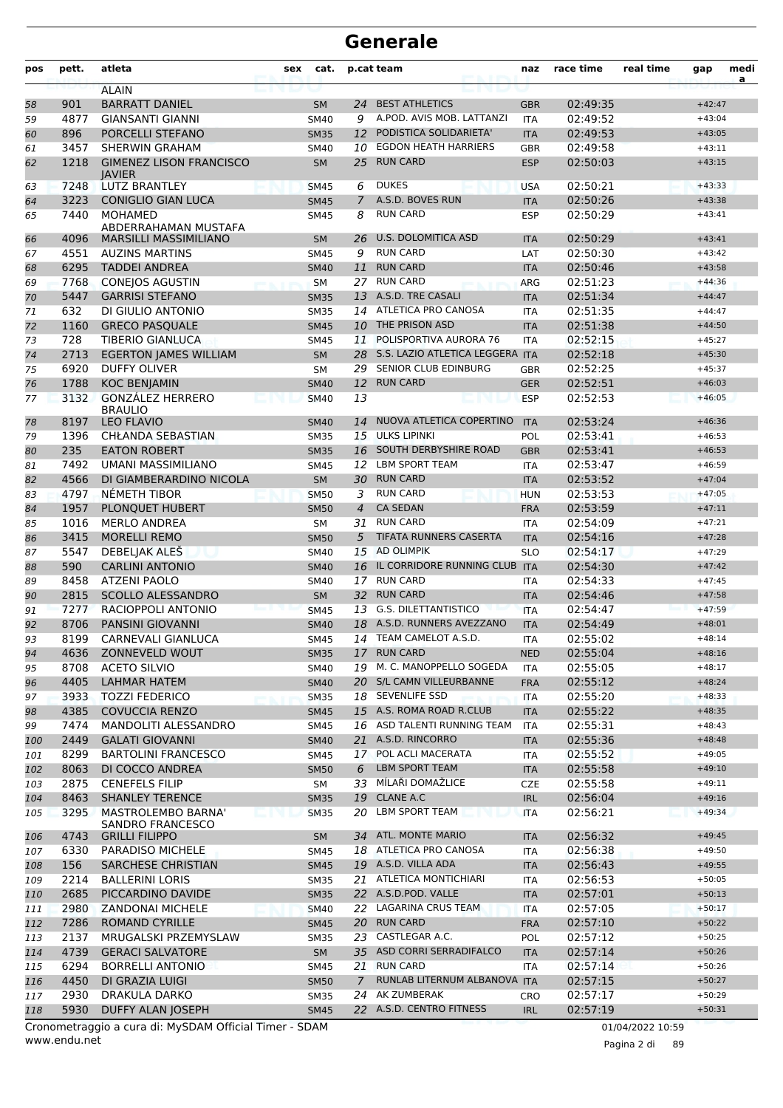| pos | pett.        | atleta                                                 | sex      | cat.                       |                | p.cat team                                   | naz                      | race time            | real time        | gap                  | medi<br>a |
|-----|--------------|--------------------------------------------------------|----------|----------------------------|----------------|----------------------------------------------|--------------------------|----------------------|------------------|----------------------|-----------|
|     |              | <b>ALAIN</b>                                           |          |                            |                |                                              |                          |                      |                  |                      |           |
| 58  | 901          | <b>BARRATT DANIEL</b>                                  |          | <b>SM</b>                  | 24             | <b>BEST ATHLETICS</b>                        | <b>GBR</b>               | 02:49:35             |                  | $+42:47$             |           |
| 59  | 4877         | <b>GIANSANTI GIANNI</b>                                |          | <b>SM40</b>                | 9              | A.POD. AVIS MOB. LATTANZI                    | <b>ITA</b>               | 02:49:52             |                  | $+43:04$             |           |
| 60  | 896          | PORCELLI STEFANO                                       |          | <b>SM35</b>                | 12             | PODISTICA SOLIDARIETA'                       | <b>ITA</b>               | 02:49:53             |                  | $+43:05$             |           |
| 61  | 3457         | <b>SHERWIN GRAHAM</b>                                  |          | <b>SM40</b>                | 10             | <b>EGDON HEATH HARRIERS</b>                  | <b>GBR</b>               | 02:49:58             |                  | $+43:11$             |           |
| 62  | 1218         | <b>GIMENEZ LISON FRANCISCO</b><br><b>IAVIER</b>        |          | <b>SM</b>                  | 25             | <b>RUN CARD</b>                              | <b>ESP</b>               | 02:50:03             |                  | $+43:15$             |           |
| 63  | 7248         | <b>LUTZ BRANTLEY</b>                                   |          | <b>SM45</b>                | 6              | <b>DUKES</b>                                 | <b>USA</b>               | 02:50:21             |                  | $+43:33$             |           |
| 64  | 3223         | <b>CONIGLIO GIAN LUCA</b>                              |          | <b>SM45</b>                | $\overline{7}$ | A.S.D. BOVES RUN                             | <b>ITA</b>               | 02:50:26             |                  | $+43:38$             |           |
| 65  | 7440         | <b>MOHAMED</b>                                         |          | <b>SM45</b>                | 8              | <b>RUN CARD</b>                              | <b>ESP</b>               | 02:50:29             |                  | $+43:41$             |           |
| 66  | 4096         | ABDERRAHAMAN MUSTAFA<br><b>MARSILLI MASSIMILIANO</b>   |          | <b>SM</b>                  | 26             | U.S. DOLOMITICA ASD                          | <b>ITA</b>               | 02:50:29             |                  | $+43:41$             |           |
| 67  | 4551         | <b>AUZINS MARTINS</b>                                  |          | <b>SM45</b>                | 9              | <b>RUN CARD</b>                              | LAT                      | 02:50:30             |                  | $+43:42$             |           |
| 68  | 6295         | <b>TADDEI ANDREA</b>                                   |          | <b>SM40</b>                | 11             | <b>RUN CARD</b>                              | <b>ITA</b>               | 02:50:46             |                  | $+43:58$             |           |
| 69  | 7768         | <b>CONEJOS AGUSTIN</b>                                 |          | <b>SM</b>                  | 27             | <b>RUN CARD</b>                              | ARG                      | 02:51:23             |                  | $+44:36$             |           |
| 70  | 5447         | <b>GARRISI STEFANO</b>                                 |          | <b>SM35</b>                |                | 13 A.S.D. TRE CASALI                         | <b>ITA</b>               | 02:51:34             |                  | $+44:47$             |           |
| 71  | 632          | DI GIULIO ANTONIO                                      |          | <b>SM35</b>                | 14             | ATLETICA PRO CANOSA                          | <b>ITA</b>               | 02:51:35             |                  | $+44:47$             |           |
| 72  | 1160         | <b>GRECO PASQUALE</b>                                  |          | <b>SM45</b>                | 10             | THE PRISON ASD                               | <b>ITA</b>               | 02:51:38             |                  | $+44:50$             |           |
| 73  | 728          | <b>TIBERIO GIANLUCA</b>                                |          | <b>SM45</b>                | 11             | POLISPORTIVA AURORA 76                       | <b>ITA</b>               | 02:52:15             |                  | $+45:27$             |           |
| 74  | 2713         | <b>EGERTON JAMES WILLIAM</b>                           |          | <b>SM</b>                  | 28             | S.S. LAZIO ATLETICA LEGGERA                  | <b>ITA</b>               | 02:52:18             |                  | $+45:30$             |           |
| 75  | 6920         | <b>DUFFY OLIVER</b>                                    |          | <b>SM</b>                  | 29             | SENIOR CLUB EDINBURG                         | <b>GBR</b>               | 02:52:25             |                  | $+45:37$             |           |
| 76  | 1788         | <b>KOC BENJAMIN</b>                                    |          | <b>SM40</b>                | 12             | <b>RUN CARD</b>                              | <b>GER</b>               | 02:52:51             |                  | $+46:03$             |           |
| 77  | 3132         | <b>GONZÁLEZ HERRERO</b>                                |          | <b>SM40</b>                | 13             |                                              | <b>ESP</b>               | 02:52:53             |                  | $+46:05$             |           |
|     |              | <b>BRAULIO</b>                                         |          |                            |                |                                              |                          |                      |                  |                      |           |
| 78  | 8197         | <b>LEO FLAVIO</b>                                      |          | <b>SM40</b>                | 14             | NUOVA ATLETICA COPERTINO                     | <b>ITA</b>               | 02:53:24             |                  | $+46:36$             |           |
| 79  | 1396         | CHŁANDA SEBASTIAN                                      |          | <b>SM35</b>                | 15             | <b>ULKS LIPINKI</b>                          | POL                      | 02:53:41             |                  | $+46:53$             |           |
| 80  | 235          | <b>EATON ROBERT</b>                                    |          | <b>SM35</b>                | 16             | SOUTH DERBYSHIRE ROAD                        | <b>GBR</b>               | 02:53:41             |                  | $+46:53$             |           |
| 81  | 7492         | <b>UMANI MASSIMILIANO</b>                              |          | <b>SM45</b>                | 12             | <b>LBM SPORT TEAM</b>                        | <b>ITA</b>               | 02:53:47             |                  | $+46:59$             |           |
| 82  | 4566         | DI GIAMBERARDINO NICOLA                                |          | <b>SM</b>                  | 30             | <b>RUN CARD</b>                              | <b>ITA</b>               | 02:53:52             |                  | $+47:04$             |           |
| 83  | 4797         | NÉMETH TIBOR                                           |          | <b>SM50</b>                | 3              | <b>RUN CARD</b>                              | <b>HUN</b>               | 02:53:53             |                  | $+47:05$             |           |
| 84  | 1957         | PLONQUET HUBERT                                        |          | <b>SM50</b>                | $\overline{4}$ | <b>CA SEDAN</b>                              | <b>FRA</b>               | 02:53:59             |                  | $+47:11$             |           |
| 85  | 1016         | <b>MERLO ANDREA</b>                                    |          | <b>SM</b>                  | 31             | <b>RUN CARD</b>                              | <b>ITA</b>               | 02:54:09             |                  | $+47:21$             |           |
| 86  | 3415         | <b>MORELLI REMO</b>                                    |          | <b>SM50</b>                | 5              | TIFATA RUNNERS CASERTA                       | <b>ITA</b>               | 02:54:16             |                  | $+47:28$             |           |
| 87  | 5547         | DEBELJAK ALEŠ                                          |          | <b>SM40</b>                | 15             | <b>AD OLIMPIK</b>                            | <b>SLO</b>               | 02:54:17             |                  | $+47:29$             |           |
| 88  | 590          | <b>CARLINI ANTONIO</b>                                 |          | <b>SM40</b>                | 16             | IL CORRIDORE RUNNING CLUB ITA                |                          | 02:54:30             |                  | $+47:42$             |           |
| 89  | 8458         | <b>ATZENI PAOLO</b>                                    |          | <b>SM40</b>                | 17             | <b>RUN CARD</b>                              | <b>ITA</b>               | 02:54:33             |                  | $+47:45$             |           |
| 90  | 2815         | <b>SCOLLO ALESSANDRO</b>                               |          | <b>SM</b>                  | 32             | <b>RUN CARD</b>                              | <b>ITA</b>               | 02:54:46             |                  | $+47:58$             |           |
| 91  | 7277         | RACIOPPOLI ANTONIO                                     |          | <b>SM45</b>                | 13             | <b>G.S. DILETTANTISTICO</b>                  | <b>ITA</b>               | 02:54:47             |                  | $+47:59$             |           |
| 92  | 8706         | <b>PANSINI GIOVANNI</b>                                |          | <b>SM40</b>                | 18             | A.S.D. RUNNERS AVEZZANO                      | <b>ITA</b>               | 02:54:49             |                  | $+48:01$             |           |
| 93  | 8199         | CARNEVALI GIANLUCA                                     |          | <b>SM45</b>                | 14             | TEAM CAMELOT A.S.D.                          | <b>ITA</b>               | 02:55:02<br>02:55:04 |                  | $+48:14$             |           |
| 94  | 4636         | ZONNEVELD WOUT                                         |          | <b>SM35</b>                |                | 17 RUN CARD                                  | <b>NED</b>               |                      |                  | $+48:16$             |           |
| 95  | 8708         | <b>ACETO SILVIO</b>                                    |          | SM40                       |                | 19 M. C. MANOPPELLO SOGEDA                   | <b>ITA</b>               | 02:55:05             |                  | $+48:17$             |           |
| 96  | 4405         | <b>LAHMAR HATEM</b>                                    |          | <b>SM40</b>                |                | 20 S/L CAMN VILLEURBANNE                     | <b>FRA</b>               | 02:55:12<br>02:55:20 |                  | $+48:24$             |           |
| 97  | 3933         | <b>TOZZI FEDERICO</b>                                  |          | <b>SM35</b>                |                | 18 SEVENLIFE SSD<br>15 A.S. ROMA ROAD R.CLUB | <b>ITA</b>               |                      |                  | $+48:33$             |           |
| 98  | 4385         | <b>COVUCCIA RENZO</b>                                  |          | <b>SM45</b>                |                | 16 ASD TALENTI RUNNING TEAM                  | <b>ITA</b>               | 02:55:22             |                  | $+48:35$             |           |
| 99  | 7474         | MANDOLITI ALESSANDRO<br><b>GALATI GIOVANNI</b>         |          | SM45                       |                | 21 A.S.D. RINCORRO                           | <b>ITA</b>               | 02:55:31             |                  | $+48:43$             |           |
| 100 | 2449<br>8299 | <b>BARTOLINI FRANCESCO</b>                             |          | <b>SM40</b><br>SM45        | 17             | POL ACLI MACERATA                            | <b>ITA</b><br><b>ITA</b> | 02:55:36<br>02:55:52 |                  | $+48:48$<br>$+49:05$ |           |
| 101 |              |                                                        |          |                            | 6              | <b>LBM SPORT TEAM</b>                        |                          |                      |                  |                      |           |
| 102 | 8063<br>2875 | DI COCCO ANDREA<br><b>CENEFELS FILIP</b>               |          | <b>SM50</b>                | 33             | MÍLAŘI DOMAŽLICE                             | <b>ITA</b><br><b>CZE</b> | 02:55:58<br>02:55:58 |                  | $+49:10$<br>$+49:11$ |           |
| 103 | 8463         | <b>SHANLEY TERENCE</b>                                 |          | SM                         |                | 19 CLANE A.C                                 | <b>IRL</b>               | 02:56:04             |                  | $+49:16$             |           |
| 104 | 3295         | MASTROLEMBO BARNA'                                     |          | <b>SM35</b><br><b>SM35</b> | 20             | <b>LBM SPORT TEAM</b>                        | <b>ITA</b>               |                      |                  | $+49:34$             |           |
| 105 |              | SANDRO FRANCESCO                                       | LE 1911. |                            |                |                                              |                          | 02:56:21             |                  |                      |           |
| 106 | 4743         | <b>GRILLI FILIPPO</b>                                  |          | <b>SM</b>                  |                | 34 ATL. MONTE MARIO                          | <b>ITA</b>               | 02:56:32             |                  | $+49:45$             |           |
| 107 | 6330         | PARADISO MICHELE                                       |          | <b>SM45</b>                |                | 18 ATLETICA PRO CANOSA                       | ITA                      | 02:56:38             |                  | $+49:50$             |           |
| 108 | 156          | SARCHESE CHRISTIAN                                     |          | <b>SM45</b>                |                | 19 A.S.D. VILLA ADA                          | <b>ITA</b>               | 02:56:43             |                  | $+49:55$             |           |
| 109 | 2214         | <b>BALLERINI LORIS</b>                                 |          | <b>SM35</b>                |                | 21 ATLETICA MONTICHIARI                      | <b>ITA</b>               | 02:56:53             |                  | $+50:05$             |           |
| 110 | 2685         | PICCARDINO DAVIDE                                      |          | <b>SM35</b>                |                | 22 A.S.D.POD. VALLE                          | <b>ITA</b>               | 02:57:01             |                  | $+50:13$             |           |
| 111 | 2980         | <b>ZANDONAI MICHELE</b>                                |          | <b>SM40</b>                |                | 22 LAGARINA CRUS TEAM                        | <b>ITA</b>               | 02:57:05             |                  | $+50:17$             |           |
| 112 | 7286         | <b>ROMAND CYRILLE</b>                                  |          | <b>SM45</b>                |                | 20 RUN CARD                                  | <b>FRA</b>               | 02:57:10             |                  | $+50:22$             |           |
| 113 | 2137         | MRUGALSKI PRZEMYSLAW                                   |          | <b>SM35</b>                |                | 23 CASTLEGAR A.C.                            | <b>POL</b>               | 02:57:12             |                  | $+50:25$             |           |
| 114 | 4739         | <b>GERACI SALVATORE</b>                                |          | SM                         |                | 35 ASD CORRI SERRADIFALCO                    | <b>ITA</b>               | 02:57:14             |                  | $+50:26$             |           |
| 115 | 6294         | <b>BORRELLI ANTONIO</b>                                |          | SM45                       |                | 21 RUN CARD                                  | <b>ITA</b>               | 02:57:14             |                  | $+50:26$             |           |
| 116 | 4450         | DI GRAZIA LUIGI                                        |          | <b>SM50</b>                | $\overline{7}$ | RUNLAB LITERNUM ALBANOVA ITA                 |                          | 02:57:15             |                  | $+50:27$             |           |
| 117 | 2930         | DRAKULA DARKO                                          |          | <b>SM35</b>                |                | 24 AK ZUMBERAK                               | CRO                      | 02:57:17             |                  | $+50:29$             |           |
| 118 | 5930         | DUFFY ALAN JOSEPH                                      |          | <b>SM45</b>                |                | 22 A.S.D. CENTRO FITNESS                     | <b>IRL</b>               | 02:57:19             |                  | $+50:31$             |           |
|     |              | Cronometraggio a cura di: MySDAM Official Timer - SDAM |          |                            |                |                                              |                          |                      | 01/04/2022 10:59 |                      |           |

www.endu.net

Pagina 2 di 89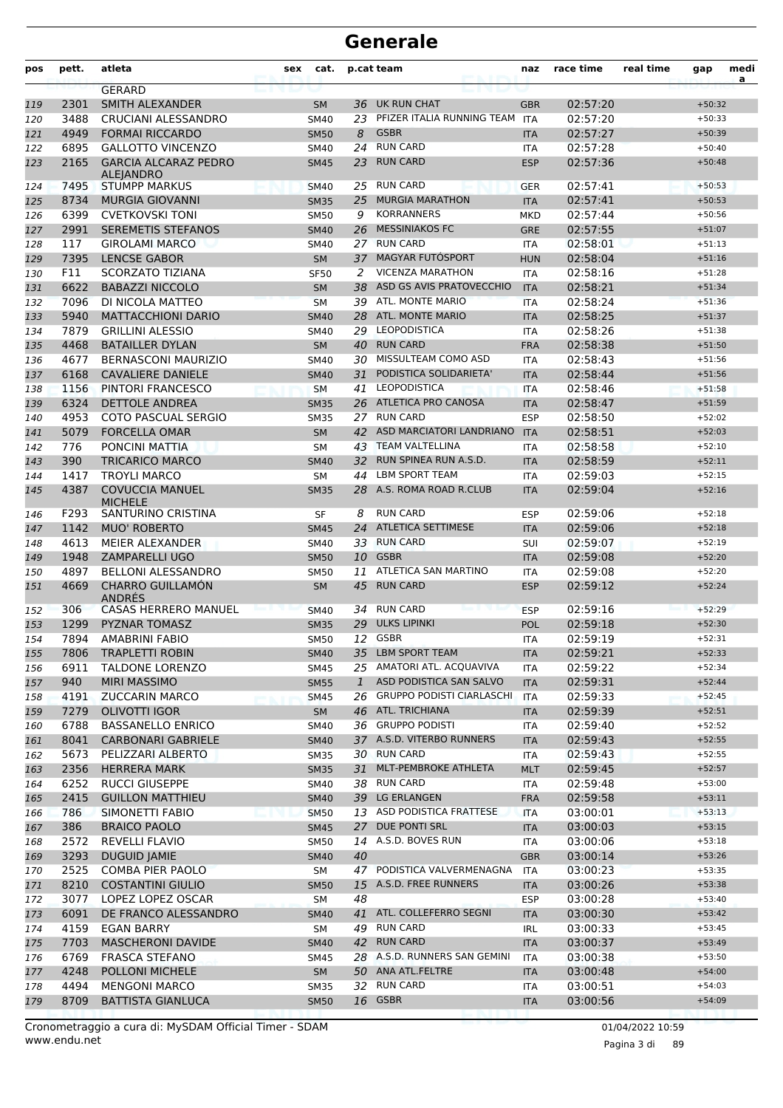| pos | pett. | atleta                                          | sex | cat.        |              | p.cat team                   | naz        | race time | real time | gap      | medi<br>$\mathbf{a}$ |
|-----|-------|-------------------------------------------------|-----|-------------|--------------|------------------------------|------------|-----------|-----------|----------|----------------------|
|     |       | <b>GERARD</b>                                   |     |             |              |                              |            |           |           |          |                      |
| 119 | 2301  | <b>SMITH ALEXANDER</b>                          |     | <b>SM</b>   | 36           | UK RUN CHAT                  | <b>GBR</b> | 02:57:20  |           | $+50:32$ |                      |
| 120 | 3488  | CRUCIANI ALESSANDRO                             |     | <b>SM40</b> | 23           | PFIZER ITALIA RUNNING TEAM   | ITA        | 02:57:20  |           | $+50:33$ |                      |
| 121 | 4949  | <b>FORMAI RICCARDO</b>                          |     | <b>SM50</b> | 8            | <b>GSBR</b>                  | <b>ITA</b> | 02:57:27  |           | $+50:39$ |                      |
| 122 | 6895  | <b>GALLOTTO VINCENZO</b>                        |     | <b>SM40</b> | 24           | <b>RUN CARD</b>              | <b>ITA</b> | 02:57:28  |           | $+50:40$ |                      |
| 123 | 2165  | <b>GARCIA ALCARAZ PEDRO</b><br><b>ALEJANDRO</b> |     | <b>SM45</b> | 23           | <b>RUN CARD</b>              | <b>ESP</b> | 02:57:36  |           | $+50:48$ |                      |
| 124 | 7495  | <b>STUMPP MARKUS</b>                            |     | <b>SM40</b> | 25           | <b>RUN CARD</b>              | <b>GER</b> | 02:57:41  |           | $+50:53$ |                      |
| 125 | 8734  | <b>MURGIA GIOVANNI</b>                          |     | <b>SM35</b> | 25           | <b>MURGIA MARATHON</b>       | <b>ITA</b> | 02:57:41  |           | $+50:53$ |                      |
| 126 | 6399  | <b>CVETKOVSKI TONI</b>                          |     | <b>SM50</b> | 9            | <b>KORRANNERS</b>            | <b>MKD</b> | 02:57:44  |           | $+50:56$ |                      |
| 127 | 2991  | <b>SEREMETIS STEFANOS</b>                       |     | <b>SM40</b> | 26           | <b>MESSINIAKOS FC</b>        | <b>GRE</b> | 02:57:55  |           | $+51:07$ |                      |
| 128 | 117   | <b>GIROLAMI MARCO</b>                           |     | <b>SM40</b> | 27           | <b>RUN CARD</b>              | <b>ITA</b> | 02:58:01  |           | $+51:13$ |                      |
| 129 | 7395  | <b>LENCSE GABOR</b>                             |     | <b>SM</b>   | 37           | MAGYAR FUTOSPORT             | <b>HUN</b> | 02:58:04  |           | $+51:16$ |                      |
| 130 | F11   | SCORZATO TIZIANA                                |     | <b>SF50</b> | 2            | <b>VICENZA MARATHON</b>      | <b>ITA</b> | 02:58:16  |           | $+51:28$ |                      |
| 131 | 6622  | <b>BABAZZI NICCOLO</b>                          |     | <b>SM</b>   | 38           | ASD GS AVIS PRATOVECCHIO     | <b>ITA</b> | 02:58:21  |           | $+51:34$ |                      |
| 132 | 7096  | DI NICOLA MATTEO                                |     | <b>SM</b>   |              | 39 ATL. MONTE MARIO          | <b>ITA</b> | 02:58:24  |           | $+51:36$ |                      |
| 133 | 5940  | <b>MATTACCHIONI DARIO</b>                       |     | <b>SM40</b> | 28           | <b>ATL. MONTE MARIO</b>      | <b>ITA</b> | 02:58:25  |           | $+51:37$ |                      |
| 134 | 7879  | <b>GRILLINI ALESSIO</b>                         |     | <b>SM40</b> | 29           | <b>LEOPODISTICA</b>          | <b>ITA</b> | 02:58:26  |           | $+51:38$ |                      |
| 135 | 4468  | <b>BATAILLER DYLAN</b>                          |     | <b>SM</b>   | 40           | <b>RUN CARD</b>              | <b>FRA</b> | 02:58:38  |           | $+51:50$ |                      |
| 136 | 4677  | <b>BERNASCONI MAURIZIO</b>                      |     | <b>SM40</b> | 30           | MISSULTEAM COMO ASD          | <b>ITA</b> | 02:58:43  |           | $+51:56$ |                      |
| 137 | 6168  | <b>CAVALIERE DANIELE</b>                        |     | <b>SM40</b> | 31           | PODISTICA SOLIDARIETA'       | <b>ITA</b> | 02:58:44  |           | $+51:56$ |                      |
| 138 | 1156  | PINTORI FRANCESCO                               |     | <b>SM</b>   | 41           | <b>LEOPODISTICA</b>          | <b>ITA</b> | 02:58:46  |           | $+51:58$ |                      |
| 139 | 6324  | <b>DETTOLE ANDREA</b>                           |     | <b>SM35</b> |              | 26 ATLETICA PRO CANOSA       | <b>ITA</b> | 02:58:47  |           | $+51:59$ |                      |
| 140 | 4953  | <b>COTO PASCUAL SERGIO</b>                      |     | <b>SM35</b> | 27           | <b>RUN CARD</b>              | <b>ESP</b> | 02:58:50  |           | $+52:02$ |                      |
| 141 | 5079  | <b>FORCELLA OMAR</b>                            |     | <b>SM</b>   | 42           | ASD MARCIATORI LANDRIANO     | <b>ITA</b> | 02:58:51  |           | $+52:03$ |                      |
| 142 | 776   | PONCINI MATTIA                                  |     | <b>SM</b>   | 43           | <b>TEAM VALTELLINA</b>       | <b>ITA</b> | 02:58:58  |           | $+52:10$ |                      |
| 143 | 390   | <b>TRICARICO MARCO</b>                          |     | <b>SM40</b> | 32           | RUN SPINEA RUN A.S.D.        | <b>ITA</b> | 02:58:59  |           | $+52:11$ |                      |
| 144 | 1417  | <b>TROYLI MARCO</b>                             |     | SΜ          | 44           | <b>LBM SPORT TEAM</b>        | <b>ITA</b> | 02:59:03  |           | $+52:15$ |                      |
| 145 | 4387  | <b>COVUCCIA MANUEL</b><br><b>MICHELE</b>        |     | <b>SM35</b> | 28           | A.S. ROMA ROAD R.CLUB        | <b>ITA</b> | 02:59:04  |           | $+52:16$ |                      |
| 146 | F293  | SANTURINO CRISTINA                              |     | SF          | 8            | <b>RUN CARD</b>              | <b>ESP</b> | 02:59:06  |           | $+52:18$ |                      |
| 147 | 1142  | <b>MUO' ROBERTO</b>                             |     | <b>SM45</b> | 24           | <b>ATLETICA SETTIMESE</b>    | <b>ITA</b> | 02:59:06  |           | $+52:18$ |                      |
| 148 | 4613  | MEIER ALEXANDER                                 |     | <b>SM40</b> | 33           | <b>RUN CARD</b>              | <b>SUI</b> | 02:59:07  |           | $+52:19$ |                      |
| 149 | 1948  | <b>ZAMPARELLI UGO</b>                           |     | <b>SM50</b> | 10           | <b>GSBR</b>                  | <b>ITA</b> | 02:59:08  |           | $+52:20$ |                      |
| 150 | 4897  | <b>BELLONI ALESSANDRO</b>                       |     | <b>SM50</b> | 11           | ATLETICA SAN MARTINO         | <b>ITA</b> | 02:59:08  |           | $+52:20$ |                      |
| 151 | 4669  | <b>CHARRO GUILLAMÓN</b><br>ANDRES               |     | <b>SM</b>   | 45           | <b>RUN CARD</b>              | <b>ESP</b> | 02:59:12  |           | $+52:24$ |                      |
| 152 | 306   | <b>CASAS HERRERO MANUEL</b>                     |     | <b>SM40</b> | 34           | <b>RUN CARD</b>              | <b>ESP</b> | 02:59:16  |           | $+52:29$ |                      |
| 153 | 1299  | <b>PYZNAR TOMASZ</b>                            |     | <b>SM35</b> | 29           | <b>ULKS LIPINKI</b>          | <b>POL</b> | 02:59:18  |           | $+52:30$ |                      |
| 154 | 7894  | <b>AMABRINI FABIO</b>                           |     | <b>SM50</b> |              | 12 GSBR                      | <b>ITA</b> | 02:59:19  |           | $+52:31$ |                      |
| 155 | 7806  | <b>TRAPLETTI ROBIN</b>                          |     | <b>SM40</b> |              | 35 LBM SPORT TEAM            | <b>ITA</b> | 02:59:21  |           | $+52:33$ |                      |
| 156 | 6911  | <b>TALDONE LORENZO</b>                          |     | SM45        |              | 25 AMATORI ATL. ACQUAVIVA    | ITA        | 02:59:22  |           | $+52:34$ |                      |
| 157 | 940   | <b>MIRI MASSIMO</b>                             |     | <b>SM55</b> | $\mathbf{1}$ | ASD PODISTICA SAN SALVO      | <b>ITA</b> | 02:59:31  |           | $+52:44$ |                      |
| 158 | 4191  | <b>ZUCCARIN MARCO</b>                           |     | <b>SM45</b> |              | 26 GRUPPO PODISTI CIARLASCHI | <b>ITA</b> | 02:59:33  |           | $+52:45$ |                      |
| 159 | 7279  | <b>OLIVOTTI IGOR</b>                            |     | SM          |              | 46 ATL. TRICHIANA            | <b>ITA</b> | 02:59:39  |           | $+52:51$ |                      |
| 160 | 6788  | <b>BASSANELLO ENRICO</b>                        |     | SM40        |              | 36 GRUPPO PODISTI            | ITA        | 02:59:40  |           | $+52:52$ |                      |
| 161 | 8041  | <b>CARBONARI GABRIELE</b>                       |     | <b>SM40</b> |              | 37 A.S.D. VITERBO RUNNERS    | <b>ITA</b> | 02:59:43  |           | $+52:55$ |                      |
| 162 | 5673  | PELIZZARI ALBERTO                               |     | SM35        |              | 30 RUN CARD                  | ITA        | 02:59:43  |           | $+52:55$ |                      |
| 163 | 2356  | <b>HERRERA MARK</b>                             |     | <b>SM35</b> | 31           | MLT-PEMBROKE ATHLETA         | <b>MLT</b> | 02:59:45  |           | $+52:57$ |                      |
| 164 | 6252  | <b>RUCCI GIUSEPPE</b>                           |     | SM40        |              | 38 RUN CARD                  | ITA        | 02:59:48  |           | $+53:00$ |                      |
| 165 | 2415  | <b>GUILLON MATTHIEU</b>                         |     | <b>SM40</b> |              | 39 LG ERLANGEN               | <b>FRA</b> | 02:59:58  |           | $+53:11$ |                      |
| 166 | 786   | SIMONETTI FABIO                                 |     | <b>SM50</b> |              | 13 ASD PODISTICA FRATTESE    | <b>ITA</b> | 03:00:01  |           | $+53:13$ |                      |
| 167 | 386   | <b>BRAICO PAOLO</b>                             |     | <b>SM45</b> | 27           | DUE PONTI SRL                | <b>ITA</b> | 03:00:03  |           | $+53:15$ |                      |
| 168 | 2572  | REVELLI FLAVIO                                  |     | <b>SM50</b> | 14           | A.S.D. BOVES RUN             | <b>ITA</b> | 03:00:06  |           | $+53:18$ |                      |
| 169 | 3293  | <b>DUGUID JAMIE</b>                             |     | <b>SM40</b> | 40           |                              | <b>GBR</b> | 03:00:14  |           | $+53:26$ |                      |
| 170 | 2525  | <b>COMBA PIER PAOLO</b>                         |     | SM          |              | 47 PODISTICA VALVERMENAGNA   | ITA        | 03:00:23  |           | $+53:35$ |                      |
| 171 | 8210  | <b>COSTANTINI GIULIO</b>                        |     | <b>SM50</b> |              | 15 A.S.D. FREE RUNNERS       | <b>ITA</b> | 03:00:26  |           | $+53:38$ |                      |
| 172 | 3077  | LOPEZ LOPEZ OSCAR                               |     | SM          | 48           |                              | <b>ESP</b> | 03:00:28  |           | $+53:40$ |                      |
| 173 | 6091  | DE FRANCO ALESSANDRO                            |     | <b>SM40</b> | 41           | ATL. COLLEFERRO SEGNI        | <b>ITA</b> | 03:00:30  |           | $+53:42$ |                      |
| 174 | 4159  | EGAN BARRY                                      |     | SM          |              | 49 RUN CARD                  | IRL        | 03:00:33  |           | $+53:45$ |                      |
| 175 | 7703  | <b>MASCHERONI DAVIDE</b>                        |     | <b>SM40</b> |              | 42 RUN CARD                  | <b>ITA</b> | 03:00:37  |           | $+53:49$ |                      |
| 176 | 6769  | <b>FRASCA STEFANO</b>                           |     | SM45        |              | 28 A.S.D. RUNNERS SAN GEMINI | ITA        | 03:00:38  |           | $+53:50$ |                      |
| 177 | 4248  | POLLONI MICHELE                                 |     | SM          |              | 50 ANA ATL.FELTRE            | <b>ITA</b> | 03:00:48  |           | $+54:00$ |                      |
| 178 | 4494  | <b>MENGONI MARCO</b>                            |     | <b>SM35</b> |              | 32 RUN CARD                  | ITA        | 03:00:51  |           | $+54:03$ |                      |
| 179 | 8709  | <b>BATTISTA GIANLUCA</b>                        |     | <b>SM50</b> |              | 16 GSBR                      | <b>ITA</b> | 03:00:56  |           | $+54:09$ |                      |

Pagina 3 di 89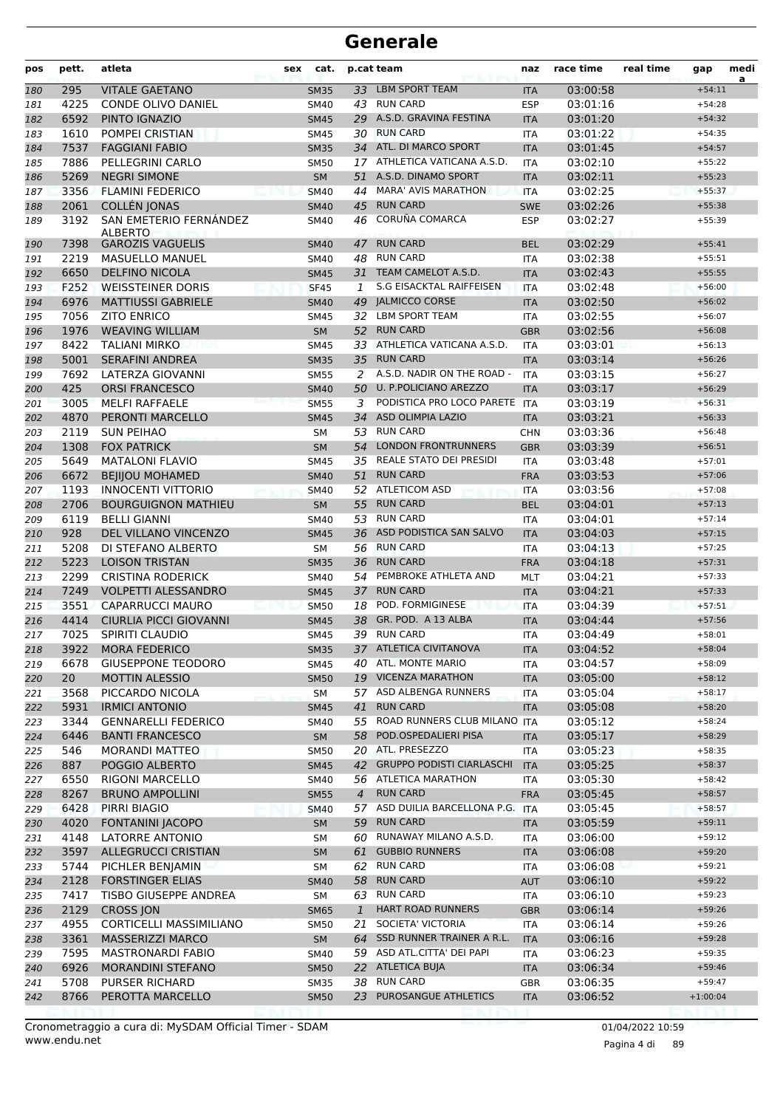| pos        | pett.        | atleta                                              | cat.<br>sex              |                | p.cat team                                                | naz                      | race time            | real time | gap                  | medi<br>a |
|------------|--------------|-----------------------------------------------------|--------------------------|----------------|-----------------------------------------------------------|--------------------------|----------------------|-----------|----------------------|-----------|
| 180        | 295          | <b>VITALE GAETANO</b>                               | <b>SM35</b>              | 33             | <b>LBM SPORT TEAM</b>                                     | <b>ITA</b>               | 03:00:58             |           | $+54:11$             |           |
| 181        | 4225         | <b>CONDE OLIVO DANIEL</b>                           | <b>SM40</b>              |                | 43 RUN CARD                                               | <b>ESP</b>               | 03:01:16             |           | $+54:28$             |           |
| 182        | 6592         | PINTO IGNAZIO                                       | <b>SM45</b>              |                | 29 A.S.D. GRAVINA FESTINA                                 | <b>ITA</b>               | 03:01:20             |           | $+54:32$             |           |
| 183        | 1610         | POMPEI CRISTIAN                                     | <b>SM45</b>              |                | 30 RUN CARD                                               | <b>ITA</b>               | 03:01:22             |           | $+54:35$             |           |
| 184        | 7537         | <b>FAGGIANI FABIO</b>                               | <b>SM35</b>              |                | 34 ATL. DI MARCO SPORT                                    | <b>ITA</b>               | 03:01:45             |           | $+54:57$             |           |
| 185        | 7886         | PELLEGRINI CARLO                                    | <b>SM50</b>              |                | 17 ATHLETICA VATICANA A.S.D.                              | <b>ITA</b>               | 03:02:10             |           | $+55:22$             |           |
| 186        | 5269         | <b>NEGRI SIMONE</b>                                 | <b>SM</b>                | 51             | A.S.D. DINAMO SPORT                                       | <b>ITA</b>               | 03:02:11             |           | $+55:23$             |           |
| 187        | 3356         | <b>FLAMINI FEDERICO</b>                             | <b>SM40</b>              |                | 44 MARA' AVIS MARATHON                                    | <b>ITA</b>               | 03:02:25             |           | $+55:37$             |           |
| 188        | 2061         | <b>COLLÉN JONAS</b>                                 | <b>SM40</b>              | 45             | <b>RUN CARD</b>                                           | <b>SWE</b>               | 03:02:26             |           | $+55:38$             |           |
| 189        | 3192         | SAN EMETERIO FERNÁNDEZ<br><b>ALBERTO</b>            | <b>SM40</b>              | 46             | CORUÑA COMARCA                                            | <b>ESP</b>               | 03:02:27             |           | $+55:39$             |           |
| 190        | 7398         | <b>GAROZIS VAGUELIS</b>                             | <b>SM40</b>              | 47             | <b>RUN CARD</b>                                           | <b>BEL</b>               | 03:02:29             |           | $+55:41$             |           |
| 191        | 2219         | <b>MASUELLO MANUEL</b>                              | <b>SM40</b>              | 48             | <b>RUN CARD</b>                                           | <b>ITA</b>               | 03:02:38             |           | $+55:51$             |           |
| 192        | 6650         | <b>DELFINO NICOLA</b>                               | <b>SM45</b>              | 31             | TEAM CAMELOT A.S.D.                                       | <b>ITA</b>               | 03:02:43             |           | $+55:55$             |           |
| 193        | F252         | <b>WEISSTEINER DORIS</b>                            | <b>SF45</b>              | 1              | <b>S.G EISACKTAL RAIFFEISEN</b>                           | <b>ITA</b>               | 03:02:48             |           | $+56:00$             |           |
| 194        | 6976         | <b>MATTIUSSI GABRIELE</b>                           | <b>SM40</b>              |                | 49 JALMICCO CORSE                                         | <b>ITA</b>               | 03:02:50             |           | $+56:02$             |           |
| 195        | 7056         | <b>ZITO ENRICO</b>                                  | <b>SM45</b>              |                | 32 LBM SPORT TEAM                                         | <b>ITA</b>               | 03:02:55             |           | $+56:07$             |           |
| 196        | 1976         | <b>WEAVING WILLIAM</b>                              | <b>SM</b>                | 52             | <b>RUN CARD</b>                                           | <b>GBR</b>               | 03:02:56             |           | $+56:08$             |           |
| 197        | 8422         | <b>TALIANI MIRKO</b>                                | <b>SM45</b>              | 33             | ATHLETICA VATICANA A.S.D.                                 | <b>ITA</b>               | 03:03:01             |           | $+56:13$             |           |
| 198        | 5001         | <b>SERAFINI ANDREA</b>                              | <b>SM35</b>              | 35             | <b>RUN CARD</b>                                           | <b>ITA</b>               | 03:03:14             |           | $+56:26$             |           |
| 199        | 7692         | LATERZA GIOVANNI                                    | <b>SM55</b>              | 2              | A.S.D. NADIR ON THE ROAD -                                | <b>ITA</b>               | 03:03:15             |           | $+56:27$             |           |
| 200        | 425          | <b>ORSI FRANCESCO</b>                               | <b>SM40</b>              |                | 50 U. P. POLICIANO AREZZO                                 | <b>ITA</b>               | 03:03:17             |           | $+56:29$             |           |
| 201        | 3005         | <b>MELFI RAFFAELE</b>                               | <b>SM55</b>              | 3              | PODISTICA PRO LOCO PARETE ITA<br><b>ASD OLIMPIA LAZIO</b> |                          | 03:03:19             |           | $+56:31$             |           |
| 202        | 4870         | <b>PERONTI MARCELLO</b>                             | <b>SM45</b>              | 34             |                                                           | <b>ITA</b>               | 03:03:21             |           | $+56:33$             |           |
| 203        | 2119         | <b>SUN PEIHAO</b>                                   | <b>SM</b>                | 53             | <b>RUN CARD</b>                                           | <b>CHN</b>               | 03:03:36             |           | $+56:48$             |           |
| 204        | 1308         | <b>FOX PATRICK</b>                                  | <b>SM</b>                | 54             | <b>LONDON FRONTRUNNERS</b><br>35 REALE STATO DEI PRESIDI  | <b>GBR</b>               | 03:03:39             |           | $+56:51$             |           |
| 205        | 5649         | <b>MATALONI FLAVIO</b>                              | <b>SM45</b>              |                |                                                           | <b>ITA</b>               | 03:03:48             |           | $+57:01$             |           |
| 206        | 6672<br>1193 | <b>BEJIJOU MOHAMED</b><br><b>INNOCENTI VITTORIO</b> | <b>SM40</b>              | 51             | <b>RUN CARD</b><br>52 ATLETICOM ASD                       | <b>FRA</b>               | 03:03:53<br>03:03:56 |           | $+57:06$<br>$+57:08$ |           |
| 207        | 2706         | <b>BOURGUIGNON MATHIEU</b>                          | <b>SM40</b>              | 55             | <b>RUN CARD</b>                                           | <b>ITA</b>               | 03:04:01             |           | $+57:13$             |           |
| 208<br>209 | 6119         | <b>BELLI GIANNI</b>                                 | <b>SM</b><br><b>SM40</b> | 53             | <b>RUN CARD</b>                                           | <b>BEL</b><br><b>ITA</b> | 03:04:01             |           | $+57:14$             |           |
|            | 928          | DEL VILLANO VINCENZO                                | <b>SM45</b>              | 36             | ASD PODISTICA SAN SALVO                                   | <b>ITA</b>               | 03:04:03             |           | $+57:15$             |           |
| 210<br>211 | 5208         | DI STEFANO ALBERTO                                  | <b>SM</b>                |                | 56 RUN CARD                                               | <b>ITA</b>               | 03:04:13             |           | $+57:25$             |           |
| 212        | 5223         | <b>LOISON TRISTAN</b>                               | <b>SM35</b>              | 36             | <b>RUN CARD</b>                                           | <b>FRA</b>               | 03:04:18             |           | $+57:31$             |           |
| 213        | 2299         | <b>CRISTINA RODERICK</b>                            | <b>SM40</b>              | 54             | PEMBROKE ATHLETA AND                                      | <b>MLT</b>               | 03:04:21             |           | $+57:33$             |           |
| 214        | 7249         | <b>VOLPETTI ALESSANDRO</b>                          | <b>SM45</b>              | 37             | <b>RUN CARD</b>                                           | <b>ITA</b>               | 03:04:21             |           | $+57:33$             |           |
| 215        | 3551         | CAPARRUCCI MAURO                                    | <b>SM50</b>              | 18             | POD. FORMIGINESE                                          | <b>ITA</b>               | 03:04:39             |           | $+57:51$             |           |
| 216        | 4414         | <b>CIURLIA PICCI GIOVANNI</b>                       | <b>SM45</b>              | 38             | GR. POD. A 13 ALBA                                        | <b>ITA</b>               | 03:04:44             |           | $+57:56$             |           |
| 217        | 7025         | <b>SPIRITI CLAUDIO</b>                              | <b>SM45</b>              |                | 39 RUN CARD                                               | <b>ITA</b>               | 03:04:49             |           | $+58:01$             |           |
| 218        | 3922         | MORA FEDERICO                                       | <b>SM35</b>              |                | 37 ATLETICA CIVITANOVA                                    | <b>ITA</b>               | 03:04:52             |           | $+58:04$             |           |
| 219        | 6678         | <b>GIUSEPPONE TEODORO</b>                           | <b>SM45</b>              |                | 40 ATL. MONTE MARIO                                       | <b>ITA</b>               | 03:04:57             |           | $+58:09$             |           |
| 220        | 20           | <b>MOTTIN ALESSIO</b>                               | <b>SM50</b>              |                | 19 VICENZA MARATHON                                       | <b>ITA</b>               | 03:05:00             |           | $+58:12$             |           |
| 221        | 3568         | PICCARDO NICOLA                                     | <b>SM</b>                |                | 57 ASD ALBENGA RUNNERS                                    | ITA                      | 03:05:04             |           | $+58:17$             |           |
| 222        | 5931         | <b>IRMICI ANTONIO</b>                               | <b>SM45</b>              | 41             | <b>RUN CARD</b>                                           | <b>ITA</b>               | 03:05:08             |           | $+58:20$             |           |
| 223        | 3344         | <b>GENNARELLI FEDERICO</b>                          | SM40                     |                | 55 ROAD RUNNERS CLUB MILANO ITA                           |                          | 03:05:12             |           | $+58:24$             |           |
| 224        | 6446         | <b>BANTI FRANCESCO</b>                              | SM                       |                | 58 POD.OSPEDALIERI PISA                                   | <b>ITA</b>               | 03:05:17             |           | $+58:29$             |           |
| 225        | 546          | <b>MORANDI MATTEO</b>                               | <b>SM50</b>              |                | 20 ATL. PRESEZZO                                          | ITA                      | 03:05:23             |           | $+58:35$             |           |
| 226        | 887          | POGGIO ALBERTO                                      | <b>SM45</b>              | 42             | <b>GRUPPO PODISTI CIARLASCHI</b>                          | <b>ITA</b>               | 03:05:25             |           | $+58:37$             |           |
| 227        | 6550         | <b>RIGONI MARCELLO</b>                              | SM40                     |                | 56 ATLETICA MARATHON                                      | ITA                      | 03:05:30             |           | $+58:42$             |           |
| 228        | 8267         | <b>BRUNO AMPOLLINI</b>                              | <b>SM55</b>              | $\overline{4}$ | <b>RUN CARD</b>                                           | <b>FRA</b>               | 03:05:45             |           | $+58:57$             |           |
| 229        | 6428         | PIRRI BIAGIO                                        | <b>SM40</b>              |                | 57 ASD DUILIA BARCELLONA P.G.                             | <b>ITA</b>               | 03:05:45             |           | $+58:57$             |           |
| 230        | 4020         | FONTANINI JACOPO                                    | <b>SM</b>                | 59             | <b>RUN CARD</b>                                           | <b>ITA</b>               | 03:05:59             |           | $+59:11$             |           |
| 231        | 4148         | <b>LATORRE ANTONIO</b>                              | SM                       | 60             | RUNAWAY MILANO A.S.D.                                     | ITA                      | 03:06:00             |           | $+59:12$             |           |
| 232        | 3597         | <b>ALLEGRUCCI CRISTIAN</b>                          | <b>SM</b>                | 61             | <b>GUBBIO RUNNERS</b>                                     | <b>ITA</b>               | 03:06:08             |           | $+59:20$             |           |
| 233        | 5744         | PICHLER BENJAMIN                                    | SМ                       | 62             | <b>RUN CARD</b>                                           | ITA                      | 03:06:08             |           | $+59:21$             |           |
| 234        | 2128         | <b>FORSTINGER ELIAS</b>                             | <b>SM40</b>              | 58             | <b>RUN CARD</b>                                           | AUT                      | 03:06:10             |           | $+59:22$             |           |
| 235        | 7417         | TISBO GIUSEPPE ANDREA                               | SM                       |                | 63 RUN CARD                                               | ITA                      | 03:06:10             |           | $+59:23$             |           |
| 236        | 2129         | <b>CROSS JON</b>                                    | <b>SM65</b>              | $\mathbf{1}$   | HART ROAD RUNNERS                                         | <b>GBR</b>               | 03:06:14             |           | $+59:26$             |           |
| 237        | 4955         | <b>CORTICELLI MASSIMILIANO</b>                      | <b>SM50</b>              | 21             | SOCIETA' VICTORIA                                         | <b>ITA</b>               | 03:06:14             |           | $+59:26$             |           |
| 238        | 3361         | <b>MASSERIZZI MARCO</b>                             | <b>SM</b>                | 64             | SSD RUNNER TRAINER A R.L.                                 | <b>ITA</b>               | 03:06:16             |           | $+59:28$             |           |
| 239        | 7595         | <b>MASTRONARDI FABIO</b>                            | <b>SM40</b>              |                | 59 ASD ATL.CITTA' DEI PAPI                                | ITA                      | 03:06:23             |           | $+59:35$             |           |
| 240        | 6926         | <b>MORANDINI STEFANO</b>                            | <b>SM50</b>              |                | 22 ATLETICA BUJA                                          | <b>ITA</b>               | 03:06:34             |           | $+59:46$             |           |
| 241        | 5708         | <b>PURSER RICHARD</b>                               | <b>SM35</b>              |                | 38 RUN CARD                                               | GBR                      | 03:06:35             |           | $+59:47$             |           |
| 242        | 8766         | PEROTTA MARCELLO                                    | <b>SM50</b>              |                | 23 PUROSANGUE ATHLETICS                                   | <b>ITA</b>               | 03:06:52             |           | $+1:00:04$           |           |
|            |              |                                                     |                          |                |                                                           |                          |                      |           |                      |           |

Pagina 4 di 89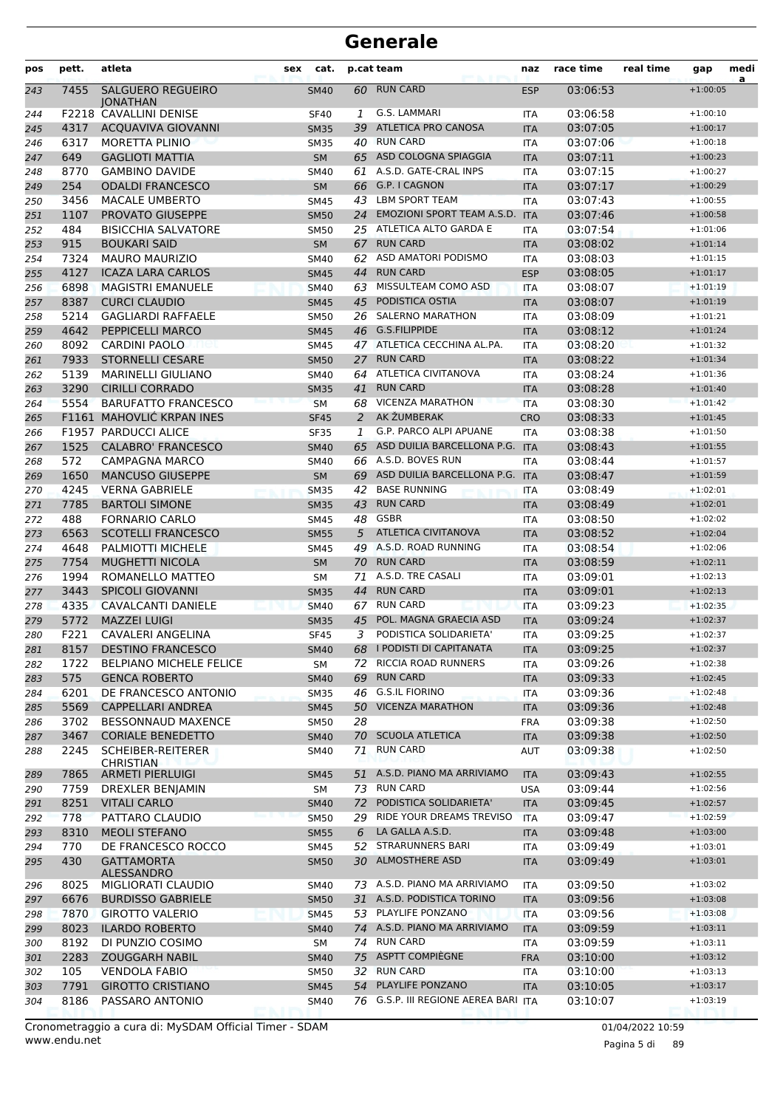| pos | pett. | atleta                                      | sex | cat.        |    | p.cat team                           | naz        | race time | real time | gap        | medi<br>a |
|-----|-------|---------------------------------------------|-----|-------------|----|--------------------------------------|------------|-----------|-----------|------------|-----------|
| 243 | 7455  | <b>SALGUERO REGUEIRO</b><br><b>IONATHAN</b> |     | <b>SM40</b> | 60 | <b>RUN CARD</b>                      | <b>ESP</b> | 03:06:53  |           | $+1:00:05$ |           |
| 244 |       | F2218 CAVALLINI DENISE                      |     | <b>SF40</b> | 1  | G.S. LAMMARI                         | <b>ITA</b> | 03:06:58  |           | $+1:00:10$ |           |
| 245 | 4317  | <b>ACQUAVIVA GIOVANNI</b>                   |     | <b>SM35</b> | 39 | <b>ATLETICA PRO CANOSA</b>           | <b>ITA</b> | 03:07:05  |           | $+1:00:17$ |           |
| 246 | 6317  | <b>MORETTA PLINIO</b>                       |     | <b>SM35</b> |    | 40 RUN CARD                          | <b>ITA</b> | 03:07:06  |           | $+1:00:18$ |           |
| 247 | 649   | <b>GAGLIOTI MATTIA</b>                      |     | <b>SM</b>   |    | 65 ASD COLOGNA SPIAGGIA              | <b>ITA</b> | 03:07:11  |           | $+1:00:23$ |           |
| 248 | 8770  | <b>GAMBINO DAVIDE</b>                       |     | SM40        | 61 | A.S.D. GATE-CRAL INPS                | ITA        | 03:07:15  |           | $+1:00:27$ |           |
| 249 | 254   | <b>ODALDI FRANCESCO</b>                     |     | <b>SM</b>   | 66 | G.P. I CAGNON                        | <b>ITA</b> | 03:07:17  |           | $+1:00:29$ |           |
| 250 | 3456  | <b>MACALE UMBERTO</b>                       |     | <b>SM45</b> | 43 | <b>LBM SPORT TEAM</b>                | <b>ITA</b> | 03:07:43  |           | $+1:00:55$ |           |
| 251 | 1107  | PROVATO GIUSEPPE                            |     | <b>SM50</b> | 24 | EMOZIONI SPORT TEAM A.S.D.           | <b>ITA</b> | 03:07:46  |           | $+1:00:58$ |           |
| 252 | 484   | <b>BISICCHIA SALVATORE</b>                  |     | <b>SM50</b> |    | 25 ATLETICA ALTO GARDA E             | ITA        | 03:07:54  |           | $+1:01:06$ |           |
| 253 | 915   | <b>BOUKARI SAID</b>                         |     | <b>SM</b>   | 67 | <b>RUN CARD</b>                      | <b>ITA</b> | 03:08:02  |           | $+1:01:14$ |           |
| 254 | 7324  | <b>MAURO MAURIZIO</b>                       |     | SM40        | 62 | ASD AMATORI PODISMO                  | ITA        | 03:08:03  |           | $+1:01:15$ |           |
| 255 | 4127  | <b>ICAZA LARA CARLOS</b>                    |     | <b>SM45</b> | 44 | <b>RUN CARD</b>                      | <b>ESP</b> | 03:08:05  |           | $+1:01:17$ |           |
| 256 | 6898  | <b>MAGISTRI EMANUELE</b>                    |     | <b>SM40</b> | 63 | MISSULTEAM COMO ASD                  | <b>ITA</b> | 03:08:07  |           | $+1:01:19$ |           |
| 257 | 8387  | <b>CURCI CLAUDIO</b>                        |     | <b>SM45</b> | 45 | PODISTICA OSTIA                      | <b>ITA</b> | 03:08:07  |           | $+1:01:19$ |           |
| 258 | 5214  | <b>GAGLIARDI RAFFAELE</b>                   |     | <b>SM50</b> |    | 26 SALERNO MARATHON                  | <b>ITA</b> | 03:08:09  |           | $+1:01:21$ |           |
| 259 | 4642  | PEPPICELLI MARCO                            |     | <b>SM45</b> |    | 46 G.S.FILIPPIDE                     | <b>ITA</b> | 03:08:12  |           | $+1:01:24$ |           |
| 260 | 8092  | <b>CARDINI PAOLO</b>                        |     | SM45        |    | 47 ATLETICA CECCHINA AL.PA.          | ITA        | 03:08:20  |           | $+1:01:32$ |           |
| 261 | 7933  | <b>STORNELLI CESARE</b>                     |     | <b>SM50</b> | 27 | <b>RUN CARD</b>                      | <b>ITA</b> | 03:08:22  |           | $+1:01:34$ |           |
| 262 | 5139  | <b>MARINELLI GIULIANO</b>                   |     | SM40        | 64 | ATLETICA CIVITANOVA                  | ITA        | 03:08:24  |           | $+1:01:36$ |           |
| 263 | 3290  | <b>CIRILLI CORRADO</b>                      |     | <b>SM35</b> | 41 | <b>RUN CARD</b>                      | <b>ITA</b> | 03:08:28  |           | $+1:01:40$ |           |
| 264 | 5554  | <b>BARUFATTO FRANCESCO</b>                  |     | <b>SM</b>   | 68 | <b>VICENZA MARATHON</b>              | <b>ITA</b> | 03:08:30  |           | $+1:01:42$ |           |
| 265 |       | F1161 MAHOVLIĆ KRPAN INES                   |     | <b>SF45</b> | 2  | AK ŽUMBERAK                          | <b>CRO</b> | 03:08:33  |           | $+1:01:45$ |           |
| 266 |       | F1957 PARDUCCI ALICE                        |     | <b>SF35</b> | 1  | G.P. PARCO ALPI APUANE               | <b>ITA</b> | 03:08:38  |           | $+1:01:50$ |           |
| 267 | 1525  | <b>CALABRO' FRANCESCO</b>                   |     | <b>SM40</b> | 65 | ASD DUILIA BARCELLONA P.G.           | <b>ITA</b> | 03:08:43  |           | $+1:01:55$ |           |
| 268 | 572   | CAMPAGNA MARCO                              |     | SM40        | 66 | A.S.D. BOVES RUN                     | <b>ITA</b> | 03:08:44  |           | $+1:01:57$ |           |
| 269 | 1650  | <b>MANCUSO GIUSEPPE</b>                     |     | <b>SM</b>   | 69 | ASD DUILIA BARCELLONA P.G.           | <b>ITA</b> | 03:08:47  |           | $+1:01:59$ |           |
| 270 | 4245  | <b>VERNA GABRIELE</b>                       |     | <b>SM35</b> | 42 | <b>BASE RUNNING</b>                  | <b>ITA</b> | 03:08:49  |           | $+1:02:01$ |           |
| 271 | 7785  | <b>BARTOLI SIMONE</b>                       |     | <b>SM35</b> | 43 | <b>RUN CARD</b>                      | <b>ITA</b> | 03:08:49  |           | $+1:02:01$ |           |
| 272 | 488   | <b>FORNARIO CARLO</b>                       |     | SM45        | 48 | <b>GSBR</b>                          | ITA        | 03:08:50  |           | $+1:02:02$ |           |
| 273 | 6563  | <b>SCOTELLI FRANCESCO</b>                   |     | <b>SM55</b> | 5  | <b>ATLETICA CIVITANOVA</b>           | <b>ITA</b> | 03:08:52  |           | $+1:02:04$ |           |
| 274 | 4648  | PALMIOTTI MICHELE                           |     | SM45        | 49 | A.S.D. ROAD RUNNING                  | <b>ITA</b> | 03:08:54  |           | $+1:02:06$ |           |
| 275 | 7754  | <b>MUGHETTI NICOLA</b>                      |     | <b>SM</b>   | 70 | <b>RUN CARD</b>                      | <b>ITA</b> | 03:08:59  |           | $+1:02:11$ |           |
| 276 | 1994  | ROMANELLO MATTEO                            |     | SΜ          | 71 | A.S.D. TRE CASALI                    | <b>ITA</b> | 03:09:01  |           | $+1:02:13$ |           |
| 277 | 3443  | <b>SPICOLI GIOVANNI</b>                     |     | <b>SM35</b> | 44 | <b>RUN CARD</b>                      | <b>ITA</b> | 03:09:01  |           | $+1:02:13$ |           |
| 278 | 4335  | CAVALCANTI DANIELE                          |     | <b>SM40</b> | 67 | <b>RUN CARD</b>                      | <b>ITA</b> | 03:09:23  |           | $+1:02:35$ |           |
| 279 | 5772  | <b>MAZZEI LUIGI</b>                         |     | <b>SM35</b> | 45 | POL. MAGNA GRAECIA ASD               | <b>ITA</b> | 03:09:24  |           | $+1:02:37$ |           |
| 280 | F221  | <b>CAVALERI ANGELINA</b>                    |     | <b>SF45</b> | 3  | PODISTICA SOLIDARIETA'               | <b>ITA</b> | 03:09:25  |           | $+1:02:37$ |           |
| 281 | 8157  | <b>DESTINO FRANCESCO</b>                    |     | <b>SM40</b> |    | 68 I PODISTI DI CAPITANATA           | <b>ITA</b> | 03:09:25  |           | $+1:02:37$ |           |
| 282 | 1722  | <b>BELPIANO MICHELE FELICE</b>              |     | SM          | 72 | RICCIA ROAD RUNNERS                  | ITA        | 03:09:26  |           | $+1:02:38$ |           |
| 283 | 575   | <b>GENCA ROBERTO</b>                        |     | <b>SM40</b> | 69 | <b>RUN CARD</b>                      | <b>ITA</b> | 03:09:33  |           | $+1:02:45$ |           |
| 284 | 6201  | DE FRANCESCO ANTONIO                        |     | <b>SM35</b> | 46 | <b>G.S.IL FIORINO</b>                | ITA        | 03:09:36  |           | $+1:02:48$ |           |
| 285 | 5569  | CAPPELLARI ANDREA                           |     | <b>SM45</b> | 50 | <b>VICENZA MARATHON</b>              | <b>ITA</b> | 03:09:36  |           | $+1:02:48$ |           |
| 286 | 3702  | <b>BESSONNAUD MAXENCE</b>                   |     | <b>SM50</b> | 28 |                                      | <b>FRA</b> | 03:09:38  |           | $+1:02:50$ |           |
| 287 | 3467  | <b>CORIALE BENEDETTO</b>                    |     | <b>SM40</b> |    | 70 SCUOLA ATLETICA                   | <b>ITA</b> | 03:09:38  |           | $+1:02:50$ |           |
| 288 | 2245  | SCHEIBER-REITERER<br><b>CHRISTIAN</b>       |     | SM40        | 71 | <b>RUN CARD</b>                      | <b>AUT</b> | 03:09:38  |           | $+1:02:50$ |           |
| 289 | 7865  | <b>ARMETI PIERLUIGI</b>                     |     | <b>SM45</b> | 51 | A.S.D. PIANO MA ARRIVIAMO            | <b>ITA</b> | 03:09:43  |           | $+1:02:55$ |           |
| 290 | 7759  | DREXLER BENJAMIN                            |     | SM          |    | 73 RUN CARD                          | <b>USA</b> | 03:09:44  |           | $+1:02:56$ |           |
| 291 | 8251  | <b>VITALI CARLO</b>                         |     | <b>SM40</b> | 72 | PODISTICA SOLIDARIETA'               | <b>ITA</b> | 03:09:45  |           | $+1:02:57$ |           |
| 292 | 778   | PATTARO CLAUDIO                             |     | <b>SM50</b> | 29 | RIDE YOUR DREAMS TREVISO             | <b>ITA</b> | 03:09:47  |           | $+1:02:59$ |           |
| 293 | 8310  | <b>MEOLI STEFANO</b>                        |     | <b>SM55</b> | 6  | LA GALLA A.S.D.                      | <b>ITA</b> | 03:09:48  |           | $+1:03:00$ |           |
| 294 | 770   | DE FRANCESCO ROCCO                          |     | SM45        | 52 | <b>STRARUNNERS BARI</b>              | ITA        | 03:09:49  |           | $+1:03:01$ |           |
| 295 | 430   | <b>GATTAMORTA</b><br>ALESSANDRO             |     | <b>SM50</b> |    | 30 ALMOSTHERE ASD                    | <b>ITA</b> | 03:09:49  |           | $+1:03:01$ |           |
| 296 | 8025  | MIGLIORATI CLAUDIO                          |     | SM40        |    | 73 A.S.D. PIANO MA ARRIVIAMO         | <b>ITA</b> | 03:09:50  |           | $+1:03:02$ |           |
| 297 | 6676  | <b>BURDISSO GABRIELE</b>                    |     | <b>SM50</b> |    | 31 A.S.D. PODISTICA TORINO           | <b>ITA</b> | 03:09:56  |           | $+1:03:08$ |           |
| 298 | 7870  | <b>GIROTTO VALERIO</b>                      |     | <b>SM45</b> |    | 53 PLAYLIFE PONZANO                  | <b>ITA</b> | 03:09:56  |           | $+1:03:08$ |           |
| 299 | 8023  | <b>ILARDO ROBERTO</b>                       |     | <b>SM40</b> |    | 74 A.S.D. PIANO MA ARRIVIAMO         | <b>ITA</b> | 03:09:59  |           | $+1:03:11$ |           |
| 300 | 8192  | DI PUNZIO COSIMO                            |     | SM          |    | 74 RUN CARD                          | ITA        | 03:09:59  |           | $+1:03:11$ |           |
| 301 | 2283  | <b>ZOUGGARH NABIL</b>                       |     | <b>SM40</b> |    | 75 ASPTT COMPIEGNE                   | <b>FRA</b> | 03:10:00  |           | $+1:03:12$ |           |
| 302 | 105   | <b>VENDOLA FABIO</b>                        |     | SM50        |    | 32 RUN CARD                          | ITA        | 03:10:00  |           | $+1:03:13$ |           |
| 303 | 7791  | <b>GIROTTO CRISTIANO</b>                    |     | <b>SM45</b> |    | 54 PLAYLIFE PONZANO                  | <b>ITA</b> | 03:10:05  |           | $+1:03:17$ |           |
| 304 | 8186  | PASSARO ANTONIO                             |     | SM40        |    | 76 G.S.P. III REGIONE AEREA BARI ITA |            | 03:10:07  |           | $+1:03:19$ |           |

www.endu.net Cronometraggio a cura di: MySDAM Official Timer - SDAM 01/04/2022 10:59 01/04/2022 10:59

Pagina 5 di 89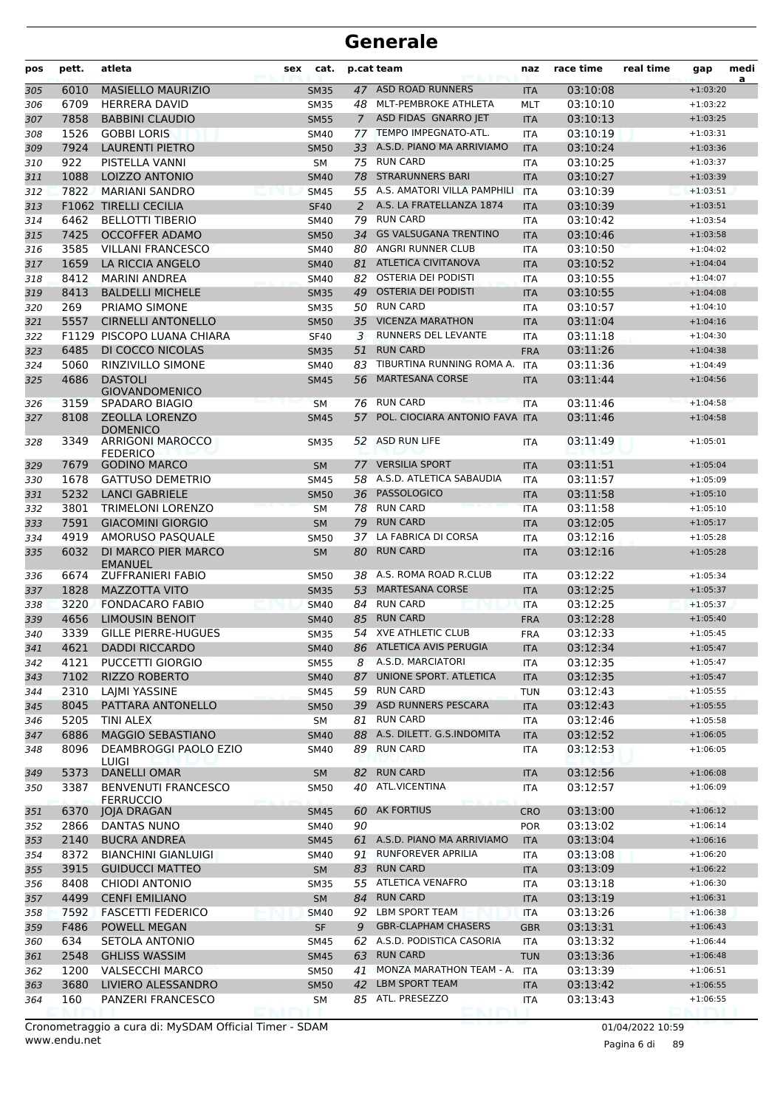| pos | pett. | atleta                                         | sex | cat.        |             | p.cat team                     | naz        | race time | real time | gap        | medi<br>a |
|-----|-------|------------------------------------------------|-----|-------------|-------------|--------------------------------|------------|-----------|-----------|------------|-----------|
| 305 | 6010  | <b>MASIELLO MAURIZIO</b>                       |     | <b>SM35</b> |             | 47 ASD ROAD RUNNERS            | <b>ITA</b> | 03:10:08  |           | $+1:03:20$ |           |
| 306 | 6709  | <b>HERRERA DAVID</b>                           |     | <b>SM35</b> |             | 48 MLT-PEMBROKE ATHLETA        | <b>MLT</b> | 03:10:10  |           | $+1:03:22$ |           |
| 307 | 7858  | <b>BABBINI CLAUDIO</b>                         |     | <b>SM55</b> | $7^{\circ}$ | ASD FIDAS GNARRO JET           | <b>ITA</b> | 03:10:13  |           | $+1:03:25$ |           |
| 308 | 1526  | <b>GOBBI LORIS</b>                             |     | <b>SM40</b> | 77          | TEMPO IMPEGNATO-ATL.           | <b>ITA</b> | 03:10:19  |           | $+1:03:31$ |           |
| 309 | 7924  | <b>LAURENTI PIETRO</b>                         |     | <b>SM50</b> | 33          | A.S.D. PIANO MA ARRIVIAMO      | <b>ITA</b> | 03:10:24  |           | $+1:03:36$ |           |
| 310 | 922   | PISTELLA VANNI                                 |     | SM          |             | 75 RUN CARD                    | <b>ITA</b> | 03:10:25  |           | $+1:03:37$ |           |
| 311 | 1088  | <b>LOIZZO ANTONIO</b>                          |     | <b>SM40</b> | 78          | <b>STRARUNNERS BARI</b>        | <b>ITA</b> | 03:10:27  |           | $+1:03:39$ |           |
| 312 | 7822  | <b>MARIANI SANDRO</b>                          |     | <b>SM45</b> |             | 55 A.S. AMATORI VILLA PAMPHILI | <b>ITA</b> | 03:10:39  |           | $+1:03:51$ |           |
| 313 |       | <b>F1062 TIRELLI CECILIA</b>                   |     | <b>SF40</b> | 2           | A.S. LA FRATELLANZA 1874       | <b>ITA</b> | 03:10:39  |           | $+1:03:51$ |           |
| 314 | 6462  | <b>BELLOTTI TIBERIO</b>                        |     | SM40        | 79          | <b>RUN CARD</b>                | <b>ITA</b> | 03:10:42  |           | $+1:03:54$ |           |
| 315 | 7425  | <b>OCCOFFER ADAMO</b>                          |     | <b>SM50</b> | 34          | <b>GS VALSUGANA TRENTINO</b>   | <b>ITA</b> | 03:10:46  |           | $+1:03:58$ |           |
| 316 | 3585  | <b>VILLANI FRANCESCO</b>                       |     | SM40        |             | 80 ANGRI RUNNER CLUB           | <b>ITA</b> | 03:10:50  |           | $+1:04:02$ |           |
| 317 | 1659  | LA RICCIA ANGELO                               |     | <b>SM40</b> | 81          | <b>ATLETICA CIVITANOVA</b>     | <b>ITA</b> | 03:10:52  |           | $+1:04:04$ |           |
| 318 | 8412  | <b>MARINI ANDREA</b>                           |     | <b>SM40</b> | 82          | OSTERIA DEI PODISTI            | <b>ITA</b> | 03:10:55  |           | $+1:04:07$ |           |
| 319 | 8413  | <b>BALDELLI MICHELE</b>                        |     | <b>SM35</b> | 49          | <b>OSTERIA DEI PODISTI</b>     | <b>ITA</b> | 03:10:55  |           | $+1:04:08$ |           |
| 320 | 269   | PRIAMO SIMONE                                  |     | <b>SM35</b> | 50          | <b>RUN CARD</b>                | <b>ITA</b> | 03:10:57  |           | $+1:04:10$ |           |
| 321 | 5557  | <b>CIRNELLI ANTONELLO</b>                      |     | <b>SM50</b> | 35          | <b>VICENZA MARATHON</b>        | <b>ITA</b> | 03:11:04  |           | $+1:04:16$ |           |
| 322 |       | F1129 PISCOPO LUANA CHIARA                     |     | <b>SF40</b> | 3           | RUNNERS DEL LEVANTE            | <b>ITA</b> | 03:11:18  |           | $+1:04:30$ |           |
| 323 | 6485  | DI COCCO NICOLAS                               |     | <b>SM35</b> | 51          | <b>RUN CARD</b>                | <b>FRA</b> | 03:11:26  |           | $+1:04:38$ |           |
| 324 | 5060  | <b>RINZIVILLO SIMONE</b>                       |     | <b>SM40</b> | 83          | TIBURTINA RUNNING ROMA A.      | ITA        | 03:11:36  |           | $+1:04:49$ |           |
| 325 | 4686  | <b>DASTOLI</b>                                 |     | <b>SM45</b> | 56          | <b>MARTESANA CORSE</b>         | <b>ITA</b> | 03:11:44  |           | $+1:04:56$ |           |
|     |       | <b>GIOVANDOMENICO</b>                          |     |             |             |                                |            |           |           |            |           |
| 326 | 3159  | <b>SPADARO BIAGIO</b>                          |     | <b>SM</b>   | 76          | <b>RUN CARD</b>                | <b>ITA</b> | 03:11:46  |           | $+1:04:58$ |           |
| 327 | 8108  | <b>ZEOLLA LORENZO</b>                          |     | <b>SM45</b> | 57          | POL. CIOCIARA ANTONIO FAVA ITA |            | 03:11:46  |           | $+1:04:58$ |           |
| 328 | 3349  | <b>DOMENICO</b><br><b>ARRIGONI MAROCCO</b>     |     | <b>SM35</b> | 52          | ASD RUN LIFE                   | ITA        | 03:11:49  |           | $+1:05:01$ |           |
|     |       | <b>FEDERICO</b>                                |     |             |             |                                |            |           |           |            |           |
| 329 | 7679  | <b>GODINO MARCO</b>                            |     | <b>SM</b>   | 77          | <b>VERSILIA SPORT</b>          | <b>ITA</b> | 03:11:51  |           | $+1:05:04$ |           |
| 330 | 1678  | <b>GATTUSO DEMETRIO</b>                        |     | <b>SM45</b> | 58          | A.S.D. ATLETICA SABAUDIA       | <b>ITA</b> | 03:11:57  |           | $+1:05:09$ |           |
| 331 | 5232  | <b>LANCI GABRIELE</b>                          |     | <b>SM50</b> | 36          | <b>PASSOLOGICO</b>             | <b>ITA</b> | 03:11:58  |           | $+1:05:10$ |           |
| 332 | 3801  | <b>TRIMELONI LORENZO</b>                       |     | <b>SM</b>   |             | 78 RUN CARD                    | <b>ITA</b> | 03:11:58  |           | $+1:05:10$ |           |
| 333 | 7591  | <b>GIACOMINI GIORGIO</b>                       |     | <b>SM</b>   | 79          | <b>RUN CARD</b>                | <b>ITA</b> | 03:12:05  |           | $+1:05:17$ |           |
| 334 | 4919  | AMORUSO PASQUALE                               |     | <b>SM50</b> | 37          | LA FABRICA DI CORSA            | <b>ITA</b> | 03:12:16  |           | $+1:05:28$ |           |
| 335 | 6032  | DI MARCO PIER MARCO<br><b>EMANUEL</b>          |     | <b>SM</b>   | 80          | <b>RUN CARD</b>                | <b>ITA</b> | 03:12:16  |           | $+1:05:28$ |           |
| 336 | 6674  | <b>ZUFFRANIERI FABIO</b>                       |     | <b>SM50</b> | 38          | A.S. ROMA ROAD R.CLUB          | <b>ITA</b> | 03:12:22  |           | $+1:05:34$ |           |
| 337 | 1828  | <b>MAZZOTTA VITO</b>                           |     | <b>SM35</b> | 53          | <b>MARTESANA CORSE</b>         | <b>ITA</b> | 03:12:25  |           | $+1:05:37$ |           |
| 338 | 3220  | <b>FONDACARO FABIO</b>                         |     | <b>SM40</b> | 84          | <b>RUN CARD</b>                | <b>ITA</b> | 03:12:25  |           | $+1:05:37$ |           |
| 339 | 4656  | <b>LIMOUSIN BENOIT</b>                         |     | <b>SM40</b> | 85          | <b>RUN CARD</b>                | <b>FRA</b> | 03:12:28  |           | $+1:05:40$ |           |
| 340 | 3339  | <b>GILLE PIERRE-HUGUES</b>                     |     | <b>SM35</b> |             | 54 XVE ATHLETIC CLUB           | <b>FRA</b> | 03:12:33  |           | $+1:05:45$ |           |
| 341 | 4621  | <b>DADDI RICCARDO</b>                          |     | <b>SM40</b> |             | 86 ATLETICA AVIS PERUGIA       | <b>ITA</b> | 03:12:34  |           | $+1:05:47$ |           |
| 342 | 4121  | PUCCETTI GIORGIO                               |     | <b>SM55</b> |             | 8 A.S.D. MARCIATORI            | ITA        | 03:12:35  |           | $+1:05:47$ |           |
| 343 | 7102  | <b>RIZZO ROBERTO</b>                           |     | <b>SM40</b> | 87          | UNIONE SPORT. ATLETICA         | <b>ITA</b> | 03:12:35  |           | $+1:05:47$ |           |
| 344 | 2310  | LAJMI YASSINE                                  |     | SM45        |             | 59 RUN CARD                    | <b>TUN</b> | 03:12:43  |           | $+1:05:55$ |           |
| 345 | 8045  | PATTARA ANTONELLO                              |     | <b>SM50</b> |             | 39 ASD RUNNERS PESCARA         | <b>ITA</b> | 03:12:43  |           | $+1:05:55$ |           |
| 346 | 5205  | TINI ALEX                                      |     | SM          |             | 81 RUN CARD                    | <b>ITA</b> | 03:12:46  |           | $+1:05:58$ |           |
| 347 | 6886  | MAGGIO SEBASTIANO                              |     | <b>SM40</b> |             | 88 A.S. DILETT. G.S.INDOMITA   | <b>ITA</b> | 03:12:52  |           | $+1:06:05$ |           |
| 348 | 8096  | <b>DEAMBROGGI PAOLO EZIO</b><br>LUIGI          |     | SM40        |             | 89 RUN CARD                    | ITA        | 03:12:53  |           | $+1:06:05$ |           |
| 349 | 5373  | <b>DANELLI OMAR</b>                            |     | <b>SM</b>   | 82          | <b>RUN CARD</b>                | <b>ITA</b> | 03:12:56  |           | $+1:06:08$ |           |
| 350 | 3387  | <b>BENVENUTI FRANCESCO</b><br><b>FERRUCCIO</b> |     | SM50        |             | 40 ATL.VICENTINA               | ITA        | 03:12:57  |           | $+1:06:09$ |           |
| 351 | 6370  | <b>JOJA DRAGAN</b>                             |     | <b>SM45</b> |             | 60 AK FORTIUS                  | <b>CRO</b> | 03:13:00  |           | $+1:06:12$ |           |
| 352 | 2866  | DANTAS NUNO                                    |     | SM40        | 90          |                                | <b>POR</b> | 03:13:02  |           | $+1:06:14$ |           |
| 353 | 2140  | <b>BUCRA ANDREA</b>                            |     | <b>SM45</b> |             | 61 A.S.D. PIANO MA ARRIVIAMO   | <b>ITA</b> | 03:13:04  |           | $+1:06:16$ |           |
| 354 | 8372  | <b>BIANCHINI GIANLUIGI</b>                     |     | SM40        |             | 91 RUNFOREVER APRILIA          | ITA        | 03:13:08  |           | $+1:06:20$ |           |
| 355 | 3915  | <b>GUIDUCCI MATTEO</b>                         |     | SM          |             | 83 RUN CARD                    | <b>ITA</b> | 03:13:09  |           | $+1:06:22$ |           |
| 356 | 8408  | CHIODI ANTONIO                                 |     | <b>SM35</b> |             | 55 ATLETICA VENAFRO            | <b>ITA</b> | 03:13:18  |           | $+1:06:30$ |           |
| 357 | 4499  | <b>CENFI EMILIANO</b>                          |     | <b>SM</b>   | 84          | <b>RUN CARD</b>                | <b>ITA</b> | 03:13:19  |           | $+1:06:31$ |           |
| 358 | 7592  | <b>FASCETTI FEDERICO</b>                       |     | <b>SM40</b> |             | 92 LBM SPORT TEAM              | <b>ITA</b> | 03:13:26  |           | $+1:06:38$ |           |
| 359 | F486  | POWELL MEGAN                                   |     | <b>SF</b>   | 9           | <b>GBR-CLAPHAM CHASERS</b>     | <b>GBR</b> | 03:13:31  |           | $+1:06:43$ |           |
|     | 634   | SETOLA ANTONIO                                 |     |             |             | 62 A.S.D. PODISTICA CASORIA    |            | 03:13:32  |           | $+1:06:44$ |           |
| 360 |       |                                                |     | SM45        |             | 63 RUN CARD                    | <b>ITA</b> |           |           |            |           |
| 361 | 2548  | <b>GHLISS WASSIM</b>                           |     | <b>SM45</b> |             | 41 MONZA MARATHON TEAM - A.    | <b>TUN</b> | 03:13:36  |           | $+1:06:48$ |           |
| 362 | 1200  | <b>VALSECCHI MARCO</b>                         |     | SM50        |             | LBM SPORT TEAM                 | ITA        | 03:13:39  |           | $+1:06:51$ |           |
| 363 | 3680  | LIVIERO ALESSANDRO                             |     | <b>SM50</b> | 42          |                                | <b>ITA</b> | 03:13:42  |           | $+1:06:55$ |           |
| 364 | 160   | PANZERI FRANCESCO                              |     | SM          |             | 85 ATL. PRESEZZO               | ITA        | 03:13:43  |           | $+1:06:55$ |           |

www.endu.net Cronometraggio a cura di: MySDAM Official Timer - SDAM 01/04/2022 10:59 01/04/2022 10:59

Pagina 6 di 89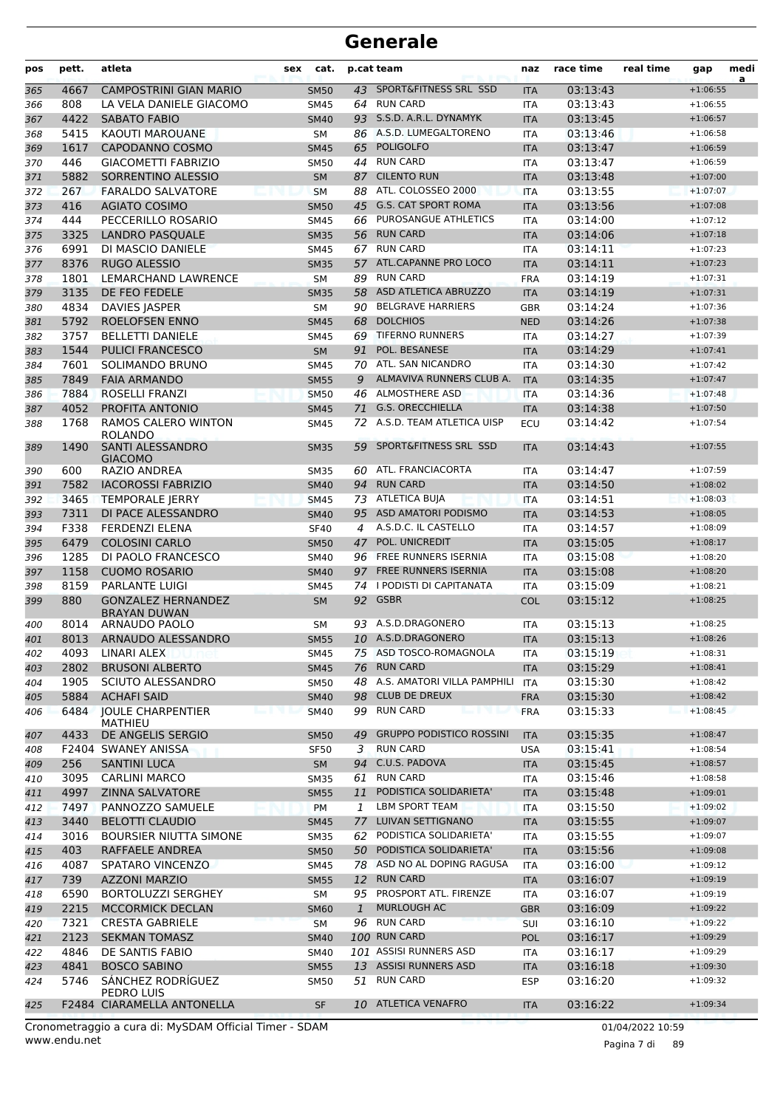| pos | pett. | atleta                                           | sex            | cat.        |              | p.cat team                      | naz        | race time | real time | gap        | medi<br>a |
|-----|-------|--------------------------------------------------|----------------|-------------|--------------|---------------------------------|------------|-----------|-----------|------------|-----------|
| 365 | 4667  | <b>CAMPOSTRINI GIAN MARIO</b>                    |                | <b>SM50</b> |              | 43 SPORT&FITNESS SRL SSD        | <b>ITA</b> | 03:13:43  |           | $+1:06:55$ |           |
| 366 | 808   | LA VELA DANIELE GIACOMO                          |                | <b>SM45</b> | 64           | <b>RUN CARD</b>                 | <b>ITA</b> | 03:13:43  |           | $+1:06:55$ |           |
| 367 | 4422  | <b>SABATO FABIO</b>                              |                | <b>SM40</b> |              | 93 S.S.D. A.R.L. DYNAMYK        | <b>ITA</b> | 03:13:45  |           | $+1:06:57$ |           |
| 368 | 5415  | KAOUTI MAROUANE                                  |                | <b>SM</b>   |              | 86 A.S.D. LUMEGALTORENO         | <b>ITA</b> | 03:13:46  |           | $+1:06:58$ |           |
| 369 | 1617  | CAPODANNO COSMO                                  |                | <b>SM45</b> | 65           | <b>POLIGOLFO</b>                | <b>ITA</b> | 03:13:47  |           | $+1:06:59$ |           |
| 370 | 446   | <b>GIACOMETTI FABRIZIO</b>                       |                | <b>SM50</b> |              | 44 RUN CARD                     | <b>ITA</b> | 03:13:47  |           | $+1:06:59$ |           |
| 371 | 5882  | SORRENTINO ALESSIO                               |                | <b>SM</b>   |              | 87 CILENTO RUN                  | <b>ITA</b> | 03:13:48  |           | $+1:07:00$ |           |
| 372 | 267   | <b>FARALDO SALVATORE</b>                         |                | <b>SM</b>   | 88           | ATL. COLOSSEO 2000              | <b>ITA</b> | 03:13:55  |           | $+1:07:07$ |           |
| 373 | 416   | <b>AGIATO COSIMO</b>                             |                | <b>SM50</b> | 45           | <b>G.S. CAT SPORT ROMA</b>      | <b>ITA</b> | 03:13:56  |           | $+1:07:08$ |           |
| 374 | 444   | PECCERILLO ROSARIO                               |                | <b>SM45</b> | 66           | PUROSANGUE ATHLETICS            | <b>ITA</b> | 03:14:00  |           | $+1:07:12$ |           |
| 375 | 3325  | LANDRO PASQUALE                                  |                | <b>SM35</b> |              | 56 RUN CARD                     | <b>ITA</b> | 03:14:06  |           | $+1:07:18$ |           |
| 376 | 6991  | DI MASCIO DANIELE                                |                | SM45        | 67           | <b>RUN CARD</b>                 | <b>ITA</b> | 03:14:11  |           | $+1:07:23$ |           |
| 377 | 8376  | <b>RUGO ALESSIO</b>                              |                | <b>SM35</b> |              | 57 ATL.CAPANNE PRO LOCO         | <b>ITA</b> | 03:14:11  |           | $+1:07:23$ |           |
| 378 | 1801  | LEMARCHAND LAWRENCE                              |                | <b>SM</b>   | 89           | <b>RUN CARD</b>                 | <b>FRA</b> | 03:14:19  |           | $+1:07:31$ |           |
| 379 | 3135  | DE FEO FEDELE                                    |                | <b>SM35</b> | 58           | ASD ATLETICA ABRUZZO            | <b>ITA</b> | 03:14:19  |           | $+1:07:31$ |           |
| 380 | 4834  | DAVIES JASPER                                    |                | <b>SM</b>   | 90           | <b>BELGRAVE HARRIERS</b>        | <b>GBR</b> | 03:14:24  |           | $+1:07:36$ |           |
| 381 | 5792  | <b>ROELOFSEN ENNO</b>                            |                | <b>SM45</b> | 68           | <b>DOLCHIOS</b>                 | <b>NED</b> | 03:14:26  |           | $+1:07:38$ |           |
| 382 | 3757  | <b>BELLETTI DANIELE</b>                          |                | <b>SM45</b> | 69           | <b>TIFERNO RUNNERS</b>          | <b>ITA</b> | 03:14:27  |           | $+1:07:39$ |           |
| 383 | 1544  | <b>PULICI FRANCESCO</b>                          |                | <b>SM</b>   | 91           | POL. BESANESE                   | <b>ITA</b> | 03:14:29  |           | $+1:07:41$ |           |
| 384 | 7601  | <b>SOLIMANDO BRUNO</b>                           |                | <b>SM45</b> |              | 70 ATL. SAN NICANDRO            | <b>ITA</b> | 03:14:30  |           | $+1:07:42$ |           |
| 385 | 7849  | <b>FAIA ARMANDO</b>                              |                | <b>SM55</b> | 9            | ALMAVIVA RUNNERS CLUB A.        | <b>ITA</b> | 03:14:35  |           | $+1:07:47$ |           |
| 386 | 7884  | <b>ROSELLI FRANZI</b>                            |                | <b>SM50</b> | 46           | <b>ALMOSTHERE ASD</b>           | <b>ITA</b> | 03:14:36  |           | $+1:07:48$ |           |
| 387 | 4052  | PROFITA ANTONIO                                  |                | <b>SM45</b> | 71           | <b>G.S. ORECCHIELLA</b>         | <b>ITA</b> | 03:14:38  |           | $+1:07:50$ |           |
| 388 | 1768  | RAMOS CALERO WINTON                              |                | <b>SM45</b> | 72           | A.S.D. TEAM ATLETICA UISP       | ECU        | 03:14:42  |           | $+1:07:54$ |           |
| 389 | 1490  | <b>ROLANDO</b><br>SANTI ALESSANDRO               |                | <b>SM35</b> | 59           | SPORT&FITNESS SRL SSD           | <b>ITA</b> | 03:14:43  |           | $+1:07:55$ |           |
|     |       | <b>GIACOMO</b>                                   |                |             |              |                                 |            |           |           |            |           |
| 390 | 600   | RAZIO ANDREA                                     |                | <b>SM35</b> | 60           | ATL. FRANCIACORTA               | ITA        | 03:14:47  |           | $+1:07:59$ |           |
| 391 | 7582  | <b>IACOROSSI FABRIZIO</b>                        |                | <b>SM40</b> |              | 94 RUN CARD                     | <b>ITA</b> | 03:14:50  |           | $+1:08:02$ |           |
| 392 | 3465  | <b>TEMPORALE JERRY</b>                           |                | <b>SM45</b> |              | 73 ATLETICA BUJA                | <b>ITA</b> | 03:14:51  |           | $+1:08:03$ |           |
| 393 | 7311  | DI PACE ALESSANDRO                               |                | <b>SM40</b> |              | 95 ASD AMATORI PODISMO          | <b>ITA</b> | 03:14:53  |           | $+1:08:05$ |           |
| 394 | F338  | <b>FERDENZI ELENA</b>                            |                | <b>SF40</b> | 4            | A.S.D.C. IL CASTELLO            | <b>ITA</b> | 03:14:57  |           | $+1:08:09$ |           |
| 395 | 6479  | <b>COLOSINI CARLO</b>                            |                | <b>SM50</b> | 47           | POL. UNICREDIT                  | <b>ITA</b> | 03:15:05  |           | $+1:08:17$ |           |
| 396 | 1285  | DI PAOLO FRANCESCO                               |                | SM40        |              | 96 FREE RUNNERS ISERNIA         | <b>ITA</b> | 03:15:08  |           | $+1:08:20$ |           |
| 397 | 1158  | <b>CUOMO ROSARIO</b>                             |                | <b>SM40</b> |              | 97 FREE RUNNERS ISERNIA         | <b>ITA</b> | 03:15:08  |           | $+1:08:20$ |           |
| 398 | 8159  | PARLANTE LUIGI                                   |                | <b>SM45</b> | 74           | I PODISTI DI CAPITANATA         | <b>ITA</b> | 03:15:09  |           | $+1:08:21$ |           |
| 399 | 880   | <b>GONZALEZ HERNANDEZ</b><br><b>BRAYAN DUWAN</b> |                | <b>SM</b>   |              | 92 GSBR                         | <b>COL</b> | 03:15:12  |           | $+1:08:25$ |           |
| 400 | 8014  | ARNAUDO PAOLO                                    |                | SM          | 93           | A.S.D.DRAGONERO                 | ITA        | 03:15:13  |           | $+1:08:25$ |           |
| 401 | 8013  | ARNAUDO ALESSANDRO                               |                | <b>SM55</b> |              | 10 A.S.D.DRAGONERO              | <b>ITA</b> | 03:15:13  |           | $+1:08:26$ |           |
| 402 | 4093  | LINARI ALEX                                      |                | <b>SM45</b> |              | 75 ASD TOSCO-ROMAGNOLA          | <b>ITA</b> | 03:15:19  |           | $+1:08:31$ |           |
| 403 | 2802  | <b>BRUSONI ALBERTO</b>                           |                | <b>SM45</b> |              | 76 RUN CARD                     | <b>ITA</b> | 03:15:29  |           | $+1:08:41$ |           |
| 404 | 1905  | SCIUTO ALESSANDRO                                |                | SM50        |              | 48 A.S. AMATORI VILLA PAMPHILI  | ITA        | 03:15:30  |           | $+1:08:42$ |           |
| 405 | 5884  | <b>ACHAFI SAID</b>                               |                | <b>SM40</b> |              | 98 CLUB DE DREUX                | <b>FRA</b> | 03:15:30  |           | $+1:08:42$ |           |
| 406 | 6484  | <b>IOULE CHARPENTIER</b><br>MATHIEU              | كالكالي الراسي | <b>SM40</b> |              | 99 RUN CARD<br>فالتالي          | <b>FRA</b> | 03:15:33  |           | $+1:08:45$ |           |
| 407 | 4433  | DE ANGELIS SERGIO                                |                | <b>SM50</b> | 49           | <b>GRUPPO PODISTICO ROSSINI</b> | <b>ITA</b> | 03:15:35  |           | $+1:08:47$ |           |
| 408 |       | F2404 SWANEY ANISSA                              |                | <b>SF50</b> | 3            | <b>RUN CARD</b>                 | <b>USA</b> | 03:15:41  |           | $+1:08:54$ |           |
| 409 | 256   | <b>SANTINI LUCA</b>                              |                | SM          | 94           | C.U.S. PADOVA                   | <b>ITA</b> | 03:15:45  |           | $+1:08:57$ |           |
| 410 | 3095  | <b>CARLINI MARCO</b>                             |                | <b>SM35</b> | 61           | <b>RUN CARD</b>                 | ITA        | 03:15:46  |           | $+1:08:58$ |           |
| 411 | 4997  | <b>ZINNA SALVATORE</b>                           |                | <b>SM55</b> | 11           | PODISTICA SOLIDARIETA'          | <b>ITA</b> | 03:15:48  |           | $+1:09:01$ |           |
| 412 | 7497  | PANNOZZO SAMUELE                                 |                | <b>PM</b>   | 1            | LBM SPORT TEAM                  | <b>ITA</b> | 03:15:50  |           | $+1:09:02$ |           |
| 413 | 3440  | <b>BELOTTI CLAUDIO</b>                           |                | <b>SM45</b> | 77           | LUIVAN SETTIGNANO               | <b>ITA</b> | 03:15:55  |           | $+1:09:07$ |           |
| 414 | 3016  | <b>BOURSIER NIUTTA SIMONE</b>                    |                | <b>SM35</b> | 62           | PODISTICA SOLIDARIETA'          | ITA        | 03:15:55  |           | $+1:09:07$ |           |
| 415 | 403   | RAFFAELE ANDREA                                  |                | <b>SM50</b> |              | 50 PODISTICA SOLIDARIETA'       | <b>ITA</b> | 03:15:56  |           | $+1:09:08$ |           |
| 416 | 4087  | SPATARO VINCENZO                                 |                | SM45        |              | 78 ASD NO AL DOPING RAGUSA      | ITA        | 03:16:00  |           | $+1:09:12$ |           |
| 417 | 739   | <b>AZZONI MARZIO</b>                             |                | <b>SM55</b> |              | 12 RUN CARD                     | <b>ITA</b> | 03:16:07  |           | $+1:09:19$ |           |
| 418 | 6590  | <b>BORTOLUZZI SERGHEY</b>                        |                | SM          |              | 95 PROSPORT ATL. FIRENZE        | ITA        | 03:16:07  |           | $+1:09:19$ |           |
| 419 | 2215  | <b>MCCORMICK DECLAN</b>                          |                | <b>SM60</b> | $\mathbf{1}$ | MURLOUGH AC                     | <b>GBR</b> | 03:16:09  |           | $+1:09:22$ |           |
| 420 | 7321  | <b>CRESTA GABRIELE</b>                           |                | <b>SM</b>   |              | 96 RUN CARD                     | <b>SUI</b> | 03:16:10  |           | $+1:09:22$ |           |
| 421 | 2123  | <b>SEKMAN TOMASZ</b>                             |                | <b>SM40</b> |              | 100 RUN CARD                    | <b>POL</b> | 03:16:17  |           | $+1:09:29$ |           |
| 422 | 4846  | DE SANTIS FABIO                                  |                | SM40        |              | 101 ASSISI RUNNERS ASD          | ITA        | 03:16:17  |           | $+1:09:29$ |           |
| 423 | 4841  | <b>BOSCO SABINO</b>                              |                | <b>SM55</b> |              | 13 ASSISI RUNNERS ASD           | <b>ITA</b> | 03:16:18  |           | $+1:09:30$ |           |
| 424 | 5746  | SÁNCHEZ RODRÍGUEZ<br>PEDRO LUIS                  |                | SM50        |              | 51 RUN CARD                     | <b>ESP</b> | 03:16:20  |           | $+1:09:32$ |           |
| 425 |       | F2484 CIARAMELLA ANTONELLA                       |                | <b>SF</b>   |              | 10 ATLETICA VENAFRO             | <b>ITA</b> | 03:16:22  |           | $+1:09:34$ |           |
|     |       |                                                  |                |             |              |                                 |            |           |           |            |           |

www.endu.net Cronometraggio a cura di: MySDAM Official Timer - SDAM 01/04/2022 10:59

Pagina 7 di 89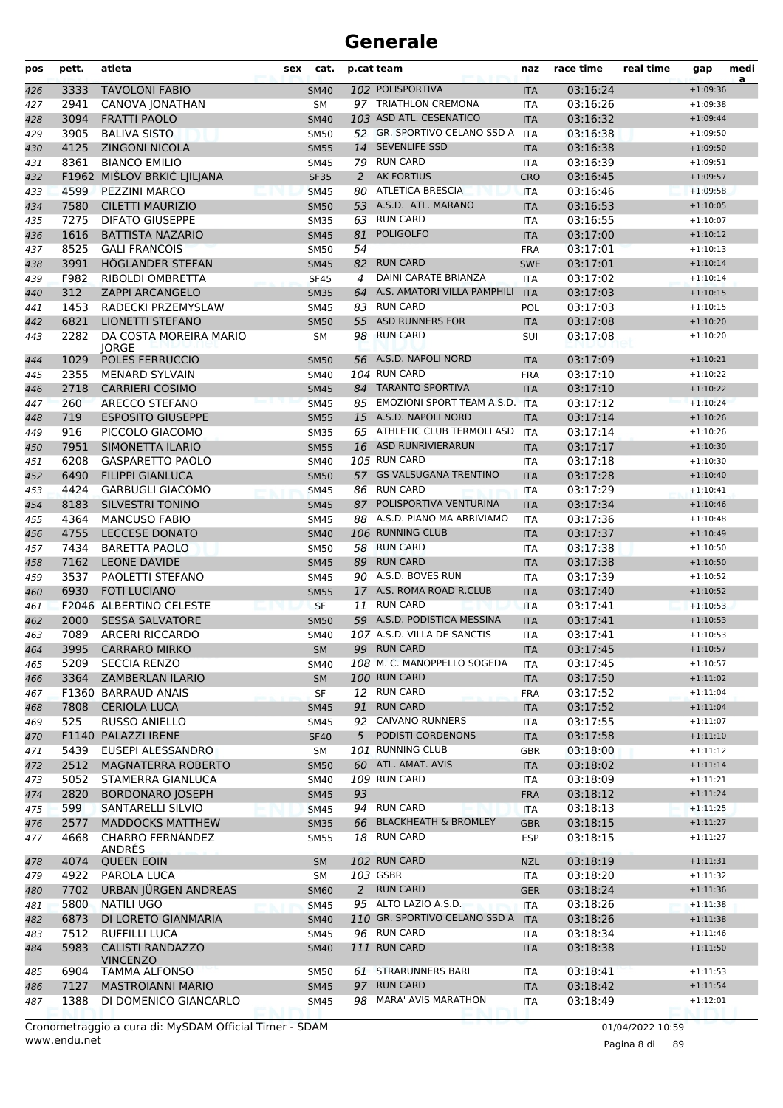| pos | pett. | atleta                                     | sex | cat.        |    | p.cat team                        | naz        | race time | real time | gap        | medi<br>a |
|-----|-------|--------------------------------------------|-----|-------------|----|-----------------------------------|------------|-----------|-----------|------------|-----------|
| 426 | 3333  | <b>TAVOLONI FABIO</b>                      |     | <b>SM40</b> |    | 102 POLISPORTIVA                  | <b>ITA</b> | 03:16:24  |           | $+1:09:36$ |           |
| 427 | 2941  | CANOVA JONATHAN                            |     | <b>SM</b>   |    | 97 TRIATHLON CREMONA              | ITA        | 03:16:26  |           | $+1:09:38$ |           |
| 428 | 3094  | <b>FRATTI PAOLO</b>                        |     | <b>SM40</b> |    | 103 ASD ATL. CESENATICO           | <b>ITA</b> | 03:16:32  |           | $+1:09:44$ |           |
| 429 | 3905  | <b>BALIVA SISTO</b>                        |     | <b>SM50</b> |    | 52 GR. SPORTIVO CELANO SSD A      | <b>ITA</b> | 03:16:38  |           | $+1:09:50$ |           |
| 430 | 4125  | <b>ZINGONI NICOLA</b>                      |     | <b>SM55</b> |    | 14 SEVENLIFE SSD                  | <b>ITA</b> | 03:16:38  |           | $+1:09:50$ |           |
| 431 | 8361  | <b>BIANCO EMILIO</b>                       |     | SM45        |    | 79 RUN CARD                       | ITA        | 03:16:39  |           | $+1:09:51$ |           |
| 432 |       | F1962 MIŠLOV BRKIĆ LJILJANA                |     | <b>SF35</b> | 2  | <b>AK FORTIUS</b>                 | <b>CRO</b> | 03:16:45  |           | $+1:09:57$ |           |
| 433 | 4599  | <b>PEZZINI MARCO</b>                       |     | <b>SM45</b> |    | 80 ATLETICA BRESCIA               | <b>ITA</b> | 03:16:46  |           | $+1:09:58$ |           |
| 434 | 7580  | <b>CILETTI MAURIZIO</b>                    |     | <b>SM50</b> |    | 53 A.S.D. ATL. MARANO             | <b>ITA</b> | 03:16:53  |           | $+1:10:05$ |           |
| 435 | 7275  | <b>DIFATO GIUSEPPE</b>                     |     | <b>SM35</b> | 63 | <b>RUN CARD</b>                   | <b>ITA</b> | 03:16:55  |           | $+1:10:07$ |           |
| 436 | 1616  | <b>BATTISTA NAZARIO</b>                    |     | <b>SM45</b> | 81 | <b>POLIGOLFO</b>                  | <b>ITA</b> | 03:17:00  |           | $+1:10:12$ |           |
| 437 | 8525  | <b>GALI FRANCOIS</b>                       |     | SM50        | 54 |                                   | <b>FRA</b> | 03:17:01  |           | $+1:10:13$ |           |
| 438 | 3991  | HÖGLANDER STEFAN                           |     | <b>SM45</b> | 82 | <b>RUN CARD</b>                   | <b>SWE</b> | 03:17:01  |           | $+1:10:14$ |           |
| 439 | F982  | RIBOLDI OMBRETTA                           |     | <b>SF45</b> | 4  | DAINI CARATE BRIANZA              | ITA        | 03:17:02  |           | $+1:10:14$ |           |
| 440 | 312   | <b>ZAPPI ARCANGELO</b>                     |     | <b>SM35</b> |    | 64 A.S. AMATORI VILLA PAMPHILI    | <b>ITA</b> | 03:17:03  |           | $+1:10:15$ |           |
| 441 | 1453  | RADECKI PRZEMYSLAW                         |     | <b>SM45</b> | 83 | <b>RUN CARD</b>                   | POL        | 03:17:03  |           | $+1:10:15$ |           |
| 442 | 6821  | <b>LIONETTI STEFANO</b>                    |     | <b>SM50</b> | 55 | <b>ASD RUNNERS FOR</b>            | <b>ITA</b> | 03:17:08  |           | $+1:10:20$ |           |
| 443 | 2282  | DA COSTA MOREIRA MARIO<br><b>IORGE</b>     |     | SM          |    | 98 RUN CARD                       | SUI        | 03:17:08  |           | $+1:10:20$ |           |
| 444 | 1029  | POLES FERRUCCIO                            |     | <b>SM50</b> |    | 56 A.S.D. NAPOLI NORD             | <b>ITA</b> | 03:17:09  |           | $+1:10:21$ |           |
| 445 | 2355  | <b>MENARD SYLVAIN</b>                      |     | SM40        |    | 104 RUN CARD                      | <b>FRA</b> | 03:17:10  |           | $+1:10:22$ |           |
| 446 | 2718  | <b>CARRIERI COSIMO</b>                     |     | <b>SM45</b> |    | 84 TARANTO SPORTIVA               | <b>ITA</b> | 03:17:10  |           | $+1:10:22$ |           |
| 447 | 260   | ARECCO STEFANO                             |     | <b>SM45</b> |    | 85 EMOZIONI SPORT TEAM A.S.D. ITA |            | 03:17:12  |           | $+1:10:24$ |           |
| 448 | 719   | <b>ESPOSITO GIUSEPPE</b>                   |     | <b>SM55</b> |    | 15 A.S.D. NAPOLI NORD             | <b>ITA</b> | 03:17:14  |           | $+1:10:26$ |           |
| 449 | 916   | PICCOLO GIACOMO                            |     | <b>SM35</b> |    | 65 ATHLETIC CLUB TERMOLI ASD      | <b>ITA</b> | 03:17:14  |           | $+1:10:26$ |           |
| 450 | 7951  | SIMONETTA ILARIO                           |     | <b>SM55</b> |    | 16 ASD RUNRIVIERARUN              | <b>ITA</b> | 03:17:17  |           | $+1:10:30$ |           |
| 451 | 6208  | <b>GASPARETTO PAOLO</b>                    |     | SM40        |    | 105 RUN CARD                      | ITA        | 03:17:18  |           | $+1:10:30$ |           |
| 452 | 6490  | <b>FILIPPI GIANLUCA</b>                    |     | <b>SM50</b> |    | 57 GS VALSUGANA TRENTINO          | <b>ITA</b> | 03:17:28  |           | $+1:10:40$ |           |
| 453 | 4424  | <b>GARBUGLI GIACOMO</b>                    |     | <b>SM45</b> |    | 86 RUN CARD                       | <b>ITA</b> | 03:17:29  |           | $+1:10:41$ |           |
| 454 | 8183  | <b>SILVESTRI TONINO</b>                    |     | <b>SM45</b> | 87 | POLISPORTIVA VENTURINA            | <b>ITA</b> | 03:17:34  |           | $+1:10:46$ |           |
| 455 | 4364  | <b>MANCUSO FABIO</b>                       |     | <b>SM45</b> |    | 88 A.S.D. PIANO MA ARRIVIAMO      | ITA        | 03:17:36  |           | $+1:10:48$ |           |
| 456 | 4755  | <b>LECCESE DONATO</b>                      |     | <b>SM40</b> |    | 106 RUNNING CLUB                  | <b>ITA</b> | 03:17:37  |           | $+1:10:49$ |           |
| 457 | 7434  | <b>BARETTA PAOLO</b>                       |     | SM50        |    | 58 RUN CARD                       | <b>ITA</b> | 03:17:38  |           | $+1:10:50$ |           |
| 458 | 7162  | <b>LEONE DAVIDE</b>                        |     | <b>SM45</b> |    | 89 RUN CARD                       | <b>ITA</b> | 03:17:38  |           | $+1:10:50$ |           |
| 459 | 3537  | PAOLETTI STEFANO                           |     | SM45        |    | 90 A.S.D. BOVES RUN               | <b>ITA</b> | 03:17:39  |           | $+1:10:52$ |           |
| 460 | 6930  | <b>FOTI LUCIANO</b>                        |     | <b>SM55</b> |    | 17 A.S. ROMA ROAD R.CLUB          | <b>ITA</b> | 03:17:40  |           | $+1:10:52$ |           |
| 461 |       | F2046 ALBERTINO CELESTE                    |     | <b>SF</b>   | 11 | <b>RUN CARD</b>                   | <b>ITA</b> | 03:17:41  |           | $+1:10:53$ |           |
| 462 | 2000  | <b>SESSA SALVATORE</b>                     |     | <b>SM50</b> |    | 59 A.S.D. PODISTICA MESSINA       | <b>ITA</b> | 03:17:41  |           | $+1:10:53$ |           |
| 463 | 7089  | <b>ARCERI RICCARDO</b>                     |     | SM40        |    | 107 A.S.D. VILLA DE SANCTIS       | <b>ITA</b> | 03:17:41  |           | $+1:10:53$ |           |
| 464 | 3995  | <b>CARRARO MIRKO</b>                       |     | <b>SM</b>   |    | 99 RUN CARD                       | <b>ITA</b> | 03:17:45  |           | $+1:10:57$ |           |
| 465 | 5209  | <b>SECCIA RENZO</b>                        |     | SM40        |    | 108 M. C. MANOPPELLO SOGEDA       | ITA        | 03:17:45  |           | $+1:10:57$ |           |
| 466 | 3364  | <b>ZAMBERLAN ILARIO</b>                    |     | <b>SM</b>   |    | 100 RUN CARD                      | <b>ITA</b> | 03:17:50  |           | $+1:11:02$ |           |
| 467 |       | F1360 BARRAUD ANAIS                        |     | <b>SF</b>   |    | 12 RUN CARD                       | <b>FRA</b> | 03:17:52  |           | $+1:11:04$ |           |
| 468 | 7808  | <b>CERIOLA LUCA</b>                        |     | <b>SM45</b> | 91 | <b>RUN CARD</b>                   | <b>ITA</b> | 03:17:52  |           | $+1:11:04$ |           |
| 469 | 525   | <b>RUSSO ANIELLO</b>                       |     | SM45        |    | 92 CAIVANO RUNNERS                | ITA        | 03:17:55  |           | $+1:11:07$ |           |
| 470 |       | F1140 PALAZZI IRENE                        |     | <b>SF40</b> | 5  | PODISTI CORDENONS                 | <b>ITA</b> | 03:17:58  |           | $+1:11:10$ |           |
| 471 | 5439  | EUSEPI ALESSANDRO                          |     | SM          |    | 101 RUNNING CLUB                  | <b>GBR</b> | 03:18:00  |           | $+1:11:12$ |           |
| 472 | 2512  | <b>MAGNATERRA ROBERTO</b>                  |     | <b>SM50</b> |    | 60 ATL. AMAT. AVIS                | <b>ITA</b> | 03:18:02  |           | $+1:11:14$ |           |
| 473 | 5052  | STAMERRA GIANLUCA                          |     | SM40        |    | 109 RUN CARD                      | ITA        | 03:18:09  |           | $+1:11:21$ |           |
| 474 | 2820  | <b>BORDONARO JOSEPH</b>                    |     | <b>SM45</b> | 93 |                                   | <b>FRA</b> | 03:18:12  |           | $+1:11:24$ |           |
| 475 | 599   | SANTARELLI SILVIO                          |     | <b>SM45</b> |    | 94 RUN CARD                       | <b>ITA</b> | 03:18:13  |           | $+1:11:25$ |           |
| 476 | 2577  | MADDOCKS MATTHEW                           |     | <b>SM35</b> |    | 66 BLACKHEATH & BROMLEY           | <b>GBR</b> | 03:18:15  |           | $+1:11:27$ |           |
| 477 | 4668  | <b>CHARRO FERNÁNDEZ</b><br>ANDRÉS          |     | SM55        |    | 18 RUN CARD                       | <b>ESP</b> | 03:18:15  |           | $+1:11:27$ |           |
| 478 | 4074  | <b>QUEEN EOIN</b>                          |     | <b>SM</b>   |    | 102 RUN CARD                      | <b>NZL</b> | 03:18:19  |           | $+1:11:31$ |           |
| 479 | 4922  | PAROLA LUCA                                |     | SM          |    | 103 GSBR                          | <b>ITA</b> | 03:18:20  |           | $+1:11:32$ |           |
| 480 | 7702  | URBAN JÜRGEN ANDREAS                       |     | <b>SM60</b> | 2  | <b>RUN CARD</b>                   | <b>GER</b> | 03:18:24  |           | $+1:11:36$ |           |
| 481 | 5800  | NATILI UGO                                 |     | <b>SM45</b> |    | 95 ALTO LAZIO A.S.D.              | <b>ITA</b> | 03:18:26  |           | $+1:11:38$ |           |
| 482 | 6873  | DI LORETO GIANMARIA                        |     | <b>SM40</b> |    | 110 GR. SPORTIVO CELANO SSD A     | <b>ITA</b> | 03:18:26  |           | $+1:11:38$ |           |
| 483 | 7512  | <b>RUFFILLI LUCA</b>                       |     | SM45        |    | 96 RUN CARD                       | ITA        | 03:18:34  |           | $+1:11:46$ |           |
| 484 | 5983  | <b>CALISTI RANDAZZO</b><br><b>VINCENZO</b> |     | <b>SM40</b> |    | 111 RUN CARD                      | <b>ITA</b> | 03:18:38  |           | $+1:11:50$ |           |
| 485 | 6904  | <b>TAMMA ALFONSO</b>                       |     | SM50        |    | 61 STRARUNNERS BARI               | ITA        | 03:18:41  |           | $+1:11:53$ |           |
| 486 | 7127  | <b>MASTROIANNI MARIO</b>                   |     | <b>SM45</b> | 97 | <b>RUN CARD</b>                   | <b>ITA</b> | 03:18:42  |           | $+1:11:54$ |           |
| 487 | 1388  | DI DOMENICO GIANCARLO                      |     | SM45        | 98 | <b>MARA' AVIS MARATHON</b>        | ITA        | 03:18:49  |           | $+1:12:01$ |           |

www.endu.net Cronometraggio a cura di: MySDAM Official Timer - SDAM 01/04/2022 10:59

Pagina 8 di 89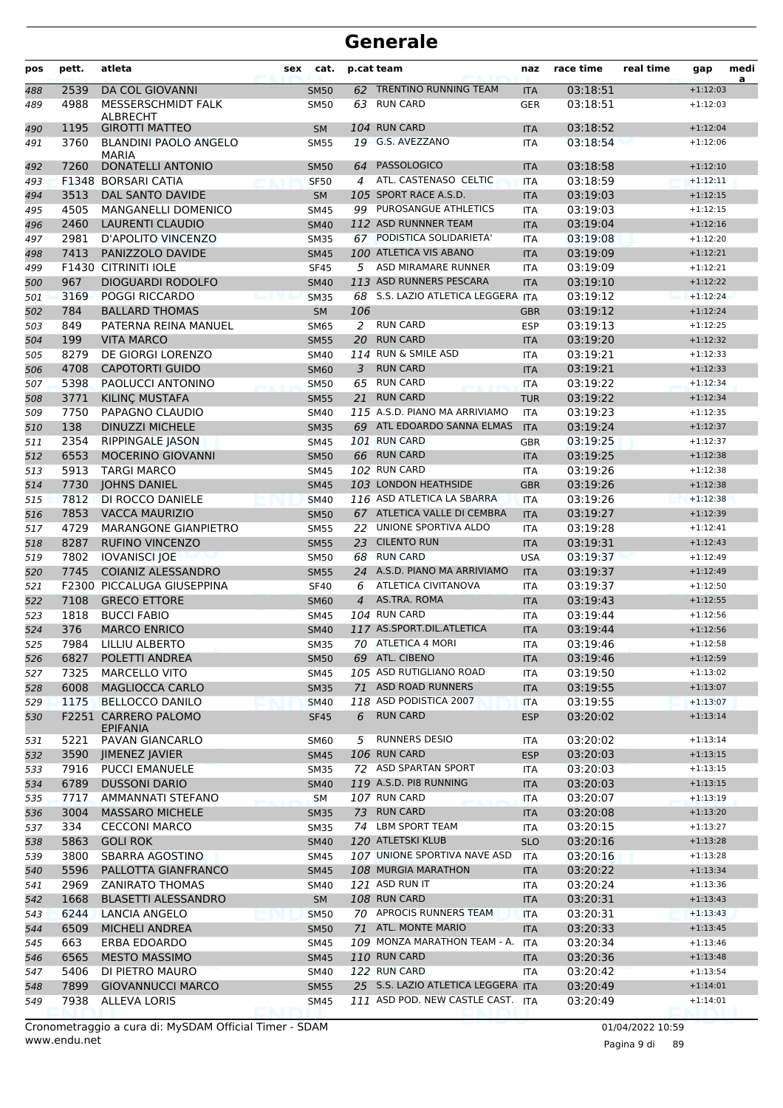| pos | pett.        | atleta                                       | cat.<br>sex                |                | p.cat team                                      | naz                      | race time            | real time | gap                      | medi<br>a |
|-----|--------------|----------------------------------------------|----------------------------|----------------|-------------------------------------------------|--------------------------|----------------------|-----------|--------------------------|-----------|
| 488 | 2539         | <b>DA COL GIOVANNI</b>                       | <b>SM50</b>                |                | 62 TRENTINO RUNNING TEAM                        | <b>ITA</b>               | 03:18:51             |           | $+1:12:03$               |           |
| 489 | 4988         | MESSERSCHMIDT FALK                           | <b>SM50</b>                | 63             | <b>RUN CARD</b>                                 | <b>GER</b>               | 03:18:51             |           | $+1:12:03$               |           |
|     |              | ALBRECHT                                     |                            |                |                                                 |                          |                      |           |                          |           |
| 490 | 1195         | <b>GIROTTI MATTEO</b>                        | <b>SM</b>                  |                | 104 RUN CARD<br>19 G.S. AVEZZANO                | <b>ITA</b>               | 03:18:52             |           | $+1:12:04$               |           |
| 491 | 3760         | <b>BLANDINI PAOLO ANGELO</b><br><b>MARIA</b> | <b>SM55</b>                |                |                                                 | <b>ITA</b>               | 03:18:54             |           | $+1:12:06$               |           |
| 492 | 7260         | <b>DONATELLI ANTONIO</b>                     | <b>SM50</b>                | 64             | <b>PASSOLOGICO</b>                              | <b>ITA</b>               | 03:18:58             |           | $+1:12:10$               |           |
| 493 |              | F1348 BORSARI CATIA                          | <b>SF50</b>                | 4              | ATL. CASTENASO CELTIC                           | <b>ITA</b>               | 03:18:59             |           | $+1:12:11$               |           |
| 494 | 3513         | <b>DAL SANTO DAVIDE</b>                      | <b>SM</b>                  |                | 105 SPORT RACE A.S.D.                           | <b>ITA</b>               | 03:19:03             |           | $+1:12:15$               |           |
| 495 | 4505         | <b>MANGANELLI DOMENICO</b>                   | <b>SM45</b>                |                | 99 PUROSANGUE ATHLETICS                         | <b>ITA</b>               | 03:19:03             |           | $+1:12:15$               |           |
| 496 | 2460         | <b>LAURENTI CLAUDIO</b>                      | <b>SM40</b>                |                | 112 ASD RUNNNER TEAM                            | <b>ITA</b>               | 03:19:04             |           | $+1:12:16$               |           |
| 497 | 2981         | D'APOLITO VINCENZO                           | <b>SM35</b>                |                | 67 PODISTICA SOLIDARIETA'                       | <b>ITA</b>               | 03:19:08             |           | $+1:12:20$               |           |
| 498 | 7413         | PANIZZOLO DAVIDE                             | <b>SM45</b>                |                | 100 ATLETICA VIS ABANO                          | <b>ITA</b>               | 03:19:09             |           | $+1:12:21$               |           |
| 499 |              | F1430 CITRINITI IOLE                         | <b>SF45</b>                | 5              | ASD MIRAMARE RUNNER                             | <b>ITA</b>               | 03:19:09             |           | $+1:12:21$               |           |
| 500 | 967          | <b>DIOGUARDI RODOLFO</b>                     | <b>SM40</b>                |                | 113 ASD RUNNERS PESCARA                         | <b>ITA</b>               | 03:19:10             |           | $+1:12:22$               |           |
| 501 | 3169         | <b>POGGI RICCARDO</b>                        | <b>SM35</b>                |                | 68 S.S. LAZIO ATLETICA LEGGERA ITA              |                          | 03:19:12             |           | $+1:12:24$               |           |
| 502 | 784          | <b>BALLARD THOMAS</b>                        | <b>SM</b>                  | 106            |                                                 | <b>GBR</b>               | 03:19:12             |           | $+1:12:24$               |           |
| 503 | 849          | PATERNA REINA MANUEL                         | <b>SM65</b>                | 2              | <b>RUN CARD</b>                                 | <b>ESP</b>               | 03:19:13             |           | $+1:12:25$               |           |
| 504 | 199          | <b>VITA MARCO</b>                            | <b>SM55</b>                | 20             | <b>RUN CARD</b>                                 | <b>ITA</b>               | 03:19:20             |           | $+1:12:32$               |           |
| 505 | 8279         | DE GIORGI LORENZO                            | SM40                       |                | 114 RUN & SMILE ASD                             | <b>ITA</b>               | 03:19:21             |           | $+1:12:33$               |           |
| 506 | 4708         | <b>CAPOTORTI GUIDO</b>                       | <b>SM60</b>                | 3              | <b>RUN CARD</b>                                 | <b>ITA</b>               | 03:19:21             |           | $+1:12:33$               |           |
| 507 | 5398         | PAOLUCCI ANTONINO                            | <b>SM50</b>                | 65             | <b>RUN CARD</b>                                 | <b>ITA</b>               | 03:19:22             |           | $+1:12:34$               |           |
| 508 | 3771         | KILINÇ MUSTAFA                               | <b>SM55</b>                | 21             | <b>RUN CARD</b>                                 | <b>TUR</b>               | 03:19:22             |           | $+1:12:34$               |           |
| 509 | 7750         | PAPAGNO CLAUDIO                              | SM40                       |                | 115 A.S.D. PIANO MA ARRIVIAMO                   | <b>ITA</b>               | 03:19:23             |           | $+1:12:35$               |           |
| 510 | 138          | <b>DINUZZI MICHELE</b>                       | <b>SM35</b>                |                | 69 ATL EDOARDO SANNA ELMAS                      | <b>ITA</b>               | 03:19:24             |           | $+1:12:37$               |           |
| 511 | 2354         | RIPPINGALE JASON                             | <b>SM45</b>                |                | 101 RUN CARD                                    | <b>GBR</b>               | 03:19:25             |           | $+1:12:37$               |           |
| 512 | 6553         | MOCERINO GIOVANNI                            | <b>SM50</b>                |                | 66 RUN CARD                                     | <b>ITA</b>               | 03:19:25             |           | $+1:12:38$               |           |
| 513 | 5913         | <b>TARGI MARCO</b>                           | <b>SM45</b>                |                | 102 RUN CARD                                    | <b>ITA</b>               | 03:19:26             |           | $+1:12:38$               |           |
| 514 | 7730         | <b>JOHNS DANIEL</b>                          | <b>SM45</b>                |                | 103 LONDON HEATHSIDE                            | <b>GBR</b>               | 03:19:26             |           | $+1:12:38$               |           |
| 515 | 7812         | DI ROCCO DANIELE                             | <b>SM40</b>                |                | 116 ASD ATLETICA LA SBARRA                      | <b>ITA</b>               | 03:19:26             |           | $+1:12:38$               |           |
| 516 | 7853         | <b>VACCA MAURIZIO</b>                        | <b>SM50</b>                |                | 67 ATLETICA VALLE DI CEMBRA                     | <b>ITA</b>               | 03:19:27             |           | $+1:12:39$               |           |
| 517 | 4729         | <b>MARANGONE GIANPIETRO</b>                  | <b>SM55</b>                |                | 22 UNIONE SPORTIVA ALDO                         | ITA                      | 03:19:28             |           | $+1:12:41$               |           |
| 518 | 8287         | <b>RUFINO VINCENZO</b>                       | <b>SM55</b>                | 23             | <b>CILENTO RUN</b>                              | <b>ITA</b>               | 03:19:31             |           | $+1:12:43$               |           |
| 519 | 7802         | <b>IOVANISCI JOE</b>                         | <b>SM50</b>                | 68             | <b>RUN CARD</b>                                 | <b>USA</b>               | 03:19:37             |           | $+1:12:49$               |           |
| 520 | 7745         | <b>COIANIZ ALESSANDRO</b>                    | <b>SM55</b>                |                | 24 A.S.D. PIANO MA ARRIVIAMO                    | <b>ITA</b>               | 03:19:37             |           | $+1:12:49$               |           |
| 521 |              | F2300 PICCALUGA GIUSEPPINA                   | <b>SF40</b>                | 6              | ATLETICA CIVITANOVA                             | ITA                      | 03:19:37             |           | $+1:12:50$               |           |
| 522 | 7108         | <b>GRECO ETTORE</b>                          | <b>SM60</b>                | $\overline{4}$ | AS.TRA. ROMA                                    | <b>ITA</b>               | 03:19:43             |           | $+1:12:55$               |           |
| 523 | 1818         | <b>BUCCI FABIO</b>                           | <b>SM45</b>                |                | 104 RUN CARD                                    | <b>ITA</b>               | 03:19:44             |           | $+1:12:56$               |           |
| 524 | 376          | <b>MARCO ENRICO</b>                          | <b>SM40</b>                |                | 117 AS.SPORT.DIL.ATLETICA<br>70 ATLETICA 4 MORI | <b>ITA</b>               | 03:19:44             |           | $+1:12:56$               |           |
| 525 | 7984         | <b>LILLIU ALBERTO</b>                        | <b>SM35</b>                |                |                                                 | <b>ITA</b>               | 03:19:46             |           | $+1:12:58$               |           |
| 526 | 6827         | POLETTI ANDREA                               | <b>SM50</b>                |                | 69 ATL. CIBENO                                  | <b>ITA</b>               | 03:19:46             |           | $+1:12:59$               |           |
| 527 | 7325         | <b>MARCELLO VITO</b>                         | SM45                       |                | 105 ASD RUTIGLIANO ROAD<br>71 ASD ROAD RUNNERS  | <b>ITA</b>               | 03:19:50             |           | $+1:13:02$               |           |
| 528 | 6008<br>1175 | MAGLIOCCA CARLO<br><b>BELLOCCO DANILO</b>    | <b>SM35</b>                |                | 118 ASD PODISTICA 2007                          | <b>ITA</b>               | 03:19:55             |           | $+1:13:07$               |           |
| 529 |              | F2251 CARRERO PALOMO                         | <b>SM40</b><br><b>SF45</b> | 6              | <b>RUN CARD</b>                                 | <b>ITA</b><br><b>ESP</b> | 03:19:55<br>03:20:02 |           | $+1:13:07$<br>$+1:13:14$ |           |
| 530 |              | <b>EPIFANIA</b>                              |                            |                |                                                 |                          |                      |           |                          |           |
| 531 | 5221         | PAVAN GIANCARLO                              | <b>SM60</b>                | 5              | <b>RUNNERS DESIO</b>                            | ITA                      | 03:20:02             |           | $+1:13:14$               |           |
| 532 | 3590         | JIMENEZ JAVIER                               | <b>SM45</b>                |                | 106 RUN CARD                                    | <b>ESP</b>               | 03:20:03             |           | $+1:13:15$               |           |
| 533 | 7916         | <b>PUCCI EMANUELE</b>                        | <b>SM35</b>                |                | 72 ASD SPARTAN SPORT                            | ITA                      | 03:20:03             |           | $+1:13:15$               |           |
| 534 | 6789         | <b>DUSSONI DARIO</b>                         | <b>SM40</b>                |                | 119 A.S.D. PI8 RUNNING                          | <b>ITA</b>               | 03:20:03             |           | $+1:13:15$               |           |
| 535 | 7717         | AMMANNATI STEFANO                            | SM                         |                | 107 RUN CARD                                    | <b>ITA</b>               | 03:20:07             |           | $+1:13:19$               |           |
| 536 | 3004         | <b>MASSARO MICHELE</b>                       | <b>SM35</b>                |                | 73 RUN CARD                                     | <b>ITA</b>               | 03:20:08             |           | $+1:13:20$               |           |
| 537 | 334          | <b>CECCONI MARCO</b>                         | <b>SM35</b>                |                | 74 LBM SPORT TEAM                               | ITA                      | 03:20:15             |           | $+1:13:27$               |           |
| 538 | 5863         | <b>GOLI ROK</b>                              | <b>SM40</b>                |                | 120 ATLETSKI KLUB                               | <b>SLO</b>               | 03:20:16             |           | $+1:13:28$               |           |
| 539 | 3800         | SBARRA AGOSTINO                              | SM45                       |                | 107 UNIONE SPORTIVA NAVE ASD                    | ITA                      | 03:20:16             |           | $+1:13:28$               |           |
| 540 | 5596         | PALLOTTA GIANFRANCO                          | <b>SM45</b>                |                | 108 MURGIA MARATHON                             | <b>ITA</b>               | 03:20:22             |           | $+1:13:34$               |           |
| 541 | 2969         | <b>ZANIRATO THOMAS</b>                       | SM40                       |                | 121 ASD RUN IT                                  | ITA                      | 03:20:24             |           | $+1:13:36$               |           |
| 542 | 1668         | <b>BLASETTI ALESSANDRO</b>                   | SM                         |                | 108 RUN CARD                                    | <b>ITA</b>               | 03:20:31             |           | $+1:13:43$               |           |
| 543 | 6244         | LANCIA ANGELO                                | <b>SM50</b>                |                | 70 APROCIS RUNNERS TEAM                         | <b>ITA</b>               | 03:20:31             |           | $+1:13:43$               |           |
| 544 | 6509         | <b>MICHELI ANDREA</b>                        | <b>SM50</b>                |                | 71 ATL. MONTE MARIO                             | <b>ITA</b>               | 03:20:33             |           | $+1:13:45$               |           |
| 545 | 663          | ERBA EDOARDO                                 | SM45                       |                | 109 MONZA MARATHON TEAM - A.                    | ITA                      | 03:20:34             |           | $+1:13:46$               |           |
| 546 | 6565         | <b>MESTO MASSIMO</b>                         | <b>SM45</b>                |                | <b>110 RUN CARD</b>                             | <b>ITA</b>               | 03:20:36             |           | $+1:13:48$               |           |
| 547 | 5406         | DI PIETRO MAURO                              | SM40                       |                | 122 RUN CARD                                    | ITA                      | 03:20:42             |           | $+1:13:54$               |           |
| 548 | 7899         | <b>GIOVANNUCCI MARCO</b>                     | <b>SM55</b>                |                | 25 S.S. LAZIO ATLETICA LEGGERA ITA              |                          | 03:20:49             |           | $+1:14:01$               |           |
| 549 | 7938         | ALLEVA LORIS                                 | SM45                       |                | 111 ASD POD. NEW CASTLE CAST. ITA               |                          | 03:20:49             |           | $+1:14:01$               |           |

www.endu.net Cronometraggio a cura di: MySDAM Official Timer - SDAM 01/04/2022 10:59 01/04/2022 10:59

Pagina 9 di 89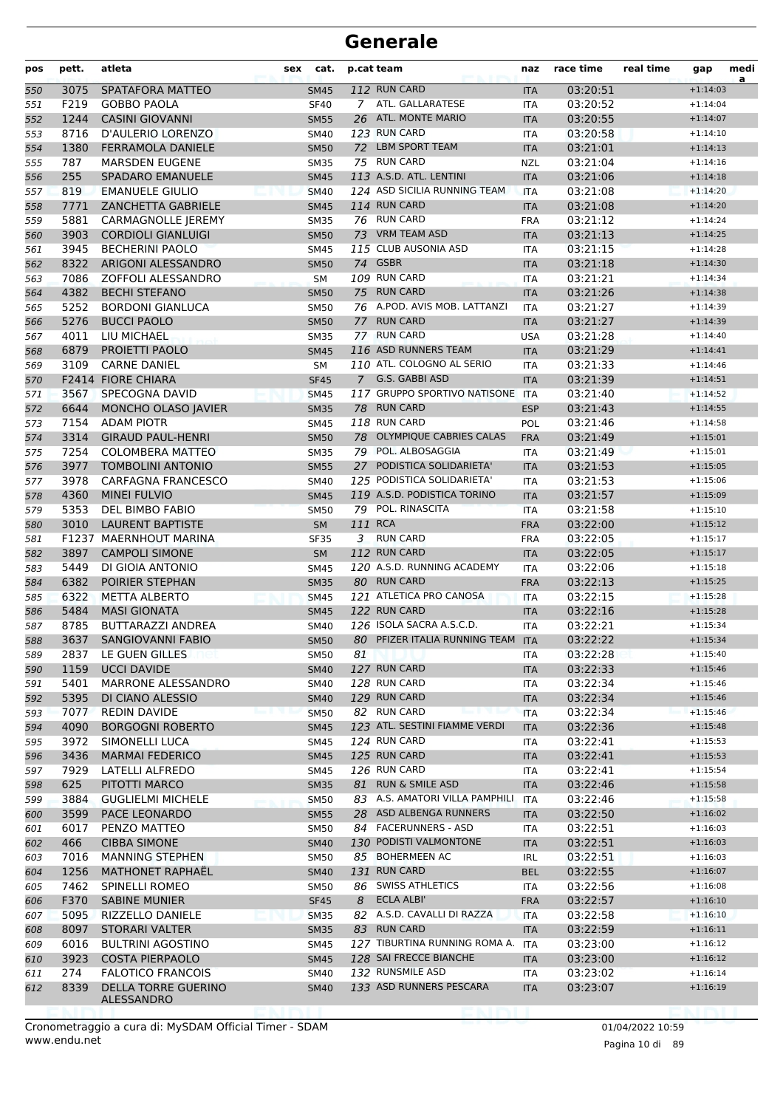| pos | pett. | atleta                    | sex | cat.        |             | p.cat team                        | naz        | race time | real time | gap        | medi<br>a |
|-----|-------|---------------------------|-----|-------------|-------------|-----------------------------------|------------|-----------|-----------|------------|-----------|
| 550 | 3075  | SPATAFORA MATTEO          |     | <b>SM45</b> |             | 112 RUN CARD                      | <b>ITA</b> | 03:20:51  |           | $+1:14:03$ |           |
| 551 | F219  | <b>GOBBO PAOLA</b>        |     | <b>SF40</b> |             | 7 ATL. GALLARATESE                | <b>ITA</b> | 03:20:52  |           | $+1:14:04$ |           |
| 552 | 1244  | <b>CASINI GIOVANNI</b>    |     | <b>SM55</b> |             | 26 ATL. MONTE MARIO               | <b>ITA</b> | 03:20:55  |           | $+1:14:07$ |           |
| 553 | 8716  | D'AULERIO LORENZO         |     | SM40        |             | 123 RUN CARD                      | <b>ITA</b> | 03:20:58  |           | $+1:14:10$ |           |
| 554 | 1380  | <b>FERRAMOLA DANIELE</b>  |     | <b>SM50</b> |             | 72 LBM SPORT TEAM                 | <b>ITA</b> | 03:21:01  |           | $+1:14:13$ |           |
| 555 | 787   | <b>MARSDEN EUGENE</b>     |     | <b>SM35</b> |             | 75 RUN CARD                       | <b>NZL</b> | 03:21:04  |           | $+1:14:16$ |           |
| 556 | 255   | <b>SPADARO EMANUELE</b>   |     | <b>SM45</b> |             | 113 A.S.D. ATL. LENTINI           | <b>ITA</b> | 03:21:06  |           | $+1:14:18$ |           |
| 557 | 819   | <b>EMANUELE GIULIO</b>    |     | <b>SM40</b> |             | 124 ASD SICILIA RUNNING TEAM      | <b>ITA</b> | 03:21:08  |           | $+1:14:20$ |           |
| 558 | 7771  | <b>ZANCHETTA GABRIELE</b> |     | <b>SM45</b> |             | 114 RUN CARD                      | <b>ITA</b> | 03:21:08  |           | $+1:14:20$ |           |
| 559 | 5881  | CARMAGNOLLE JEREMY        |     | <b>SM35</b> |             | 76 RUN CARD                       | <b>FRA</b> | 03:21:12  |           | $+1:14:24$ |           |
| 560 | 3903  | <b>CORDIOLI GIANLUIGI</b> |     | <b>SM50</b> |             | 73 VRM TEAM ASD                   | <b>ITA</b> | 03:21:13  |           | $+1:14:25$ |           |
| 561 | 3945  | <b>BECHERINI PAOLO</b>    |     | SM45        |             | 115 CLUB AUSONIA ASD              | ITA        | 03:21:15  |           | $+1:14:28$ |           |
| 562 | 8322  | ARIGONI ALESSANDRO        |     | <b>SM50</b> |             | 74 GSBR                           | <b>ITA</b> | 03:21:18  |           | $+1:14:30$ |           |
| 563 | 7086  | ZOFFOLI ALESSANDRO        |     | <b>SM</b>   |             | 109 RUN CARD                      | <b>ITA</b> | 03:21:21  |           | $+1:14:34$ |           |
| 564 | 4382  | <b>BECHI STEFANO</b>      |     | <b>SM50</b> |             | 75 RUN CARD                       | <b>ITA</b> | 03:21:26  |           | $+1:14:38$ |           |
| 565 | 5252  | <b>BORDONI GIANLUCA</b>   |     | SM50        |             | 76 A.POD. AVIS MOB. LATTANZI      | <b>ITA</b> | 03:21:27  |           | $+1:14:39$ |           |
| 566 | 5276  | <b>BUCCI PAOLO</b>        |     | <b>SM50</b> |             | 77 RUN CARD                       | <b>ITA</b> | 03:21:27  |           | $+1:14:39$ |           |
| 567 | 4011  | LIU MICHAEL               |     | <b>SM35</b> |             | 77 RUN CARD                       | <b>USA</b> | 03:21:28  |           | $+1:14:40$ |           |
| 568 | 6879  | PROIETTI PAOLO            |     | <b>SM45</b> |             | 116 ASD RUNNERS TEAM              | <b>ITA</b> | 03:21:29  |           | $+1:14:41$ |           |
| 569 | 3109  | <b>CARNE DANIEL</b>       |     | <b>SM</b>   |             | 110 ATL. COLOGNO AL SERIO         | <b>ITA</b> | 03:21:33  |           | $+1:14:46$ |           |
| 570 |       | F2414 FIORE CHIARA        |     | <b>SF45</b> | $7^{\circ}$ | G.S. GABBI ASD                    | <b>ITA</b> | 03:21:39  |           | $+1:14:51$ |           |
| 571 | 3567  | SPECOGNA DAVID            |     | <b>SM45</b> |             | 117 GRUPPO SPORTIVO NATISONE      | <b>ITA</b> | 03:21:40  |           | $+1:14:52$ |           |
| 572 | 6644  | MONCHO OLASO JAVIER       |     | <b>SM35</b> |             | 78 RUN CARD                       | <b>ESP</b> | 03:21:43  |           | $+1:14:55$ |           |
| 573 | 7154  | <b>ADAM PIOTR</b>         |     | SM45        |             | 118 RUN CARD                      | POL        | 03:21:46  |           | $+1:14:58$ |           |
| 574 | 3314  | <b>GIRAUD PAUL-HENRI</b>  |     | <b>SM50</b> |             | 78 OLYMPIQUE CABRIES CALAS        | <b>FRA</b> | 03:21:49  |           | $+1:15:01$ |           |
| 575 | 7254  | <b>COLOMBERA MATTEO</b>   |     | <b>SM35</b> |             | 79 POL. ALBOSAGGIA                | <b>ITA</b> | 03:21:49  |           | $+1:15:01$ |           |
| 576 | 3977  | <b>TOMBOLINI ANTONIO</b>  |     | <b>SM55</b> | 27          | PODISTICA SOLIDARIETA'            | <b>ITA</b> | 03:21:53  |           | $+1:15:05$ |           |
| 577 | 3978  | CARFAGNA FRANCESCO        |     | SM40        |             | 125 PODISTICA SOLIDARIETA'        | <b>ITA</b> | 03:21:53  |           | $+1:15:06$ |           |
| 578 | 4360  | <b>MINEI FULVIO</b>       |     | <b>SM45</b> |             | 119 A.S.D. PODISTICA TORINO       | <b>ITA</b> | 03:21:57  |           | $+1:15:09$ |           |
| 579 | 5353  | DEL BIMBO FABIO           |     | <b>SM50</b> |             | 79 POL. RINASCITA                 | <b>ITA</b> | 03:21:58  |           | $+1:15:10$ |           |
| 580 | 3010  | <b>LAURENT BAPTISTE</b>   |     | <b>SM</b>   | 111 RCA     |                                   | <b>FRA</b> | 03:22:00  |           | $+1:15:12$ |           |
| 581 |       | F1237 MAERNHOUT MARINA    |     | <b>SF35</b> | 3           | <b>RUN CARD</b>                   | <b>FRA</b> | 03:22:05  |           | $+1:15:17$ |           |
| 582 | 3897  | <b>CAMPOLI SIMONE</b>     |     | <b>SM</b>   |             | 112 RUN CARD                      | <b>ITA</b> | 03:22:05  |           | $+1:15:17$ |           |
| 583 | 5449  | DI GIOIA ANTONIO          |     | <b>SM45</b> |             | 120 A.S.D. RUNNING ACADEMY        | <b>ITA</b> | 03:22:06  |           | $+1:15:18$ |           |
| 584 | 6382  | POIRIER STEPHAN           |     | <b>SM35</b> |             | 80 RUN CARD                       | <b>FRA</b> | 03:22:13  |           | $+1:15:25$ |           |
| 585 | 6322  | <b>METTA ALBERTO</b>      |     | <b>SM45</b> |             | 121 ATLETICA PRO CANOSA           | <b>ITA</b> | 03:22:15  |           | $+1:15:28$ |           |
| 586 | 5484  | <b>MASI GIONATA</b>       |     | <b>SM45</b> |             | 122 RUN CARD                      | <b>ITA</b> | 03:22:16  |           | $+1:15:28$ |           |
| 587 | 8785  | <b>BUTTARAZZI ANDREA</b>  |     | SM40        |             | 126 ISOLA SACRA A.S.C.D.          | <b>ITA</b> | 03:22:21  |           | $+1:15:34$ |           |
| 588 | 3637  | <b>SANGIOVANNI FABIO</b>  |     | <b>SM50</b> |             | 80 PFIZER ITALIA RUNNING TEAM     | <b>ITA</b> | 03:22:22  |           | $+1:15:34$ |           |
| 589 | 2837  | LE GUEN GILLES            |     | <b>SM50</b> | 81          |                                   | ITA        | 03:22:28  |           | $+1:15:40$ |           |
| 590 | 1159  | <b>UCCI DAVIDE</b>        |     | <b>SM40</b> |             | 127 RUN CARD                      | <b>ITA</b> | 03:22:33  |           | $+1:15:46$ |           |
| 591 | 5401  | <b>MARRONE ALESSANDRO</b> |     | SM40        |             | 128 RUN CARD                      | ITA        | 03:22:34  |           | $+1:15:46$ |           |
| 592 | 5395  | DI CIANO ALESSIO          |     | <b>SM40</b> |             | 129 RUN CARD                      | <b>ITA</b> | 03:22:34  |           | $+1:15:46$ |           |
| 593 | 7077  | <b>REDIN DAVIDE</b>       |     | <b>SM50</b> |             | 82 RUN CARD                       | <b>ITA</b> | 03:22:34  |           | $+1:15:46$ |           |
| 594 | 4090  | <b>BORGOGNI ROBERTO</b>   |     | <b>SM45</b> |             | 123 ATL. SESTINI FIAMME VERDI     | <b>ITA</b> | 03:22:36  |           | $+1:15:48$ |           |
| 595 | 3972  | SIMONELLI LUCA            |     | SM45        |             | 124 RUN CARD                      | ITA        | 03:22:41  |           | $+1:15:53$ |           |
| 596 | 3436  | <b>MARMAI FEDERICO</b>    |     | <b>SM45</b> |             | 125 RUN CARD                      | <b>ITA</b> | 03:22:41  |           | $+1:15:53$ |           |
| 597 | 7929  | LATELLI ALFREDO           |     | SM45        |             | 126 RUN CARD                      | ITA        | 03:22:41  |           | $+1:15:54$ |           |
| 598 | 625   | PITOTTI MARCO             |     | <b>SM35</b> |             | 81 RUN & SMILE ASD                | <b>ITA</b> | 03:22:46  |           | $+1:15:58$ |           |
| 599 | 3884  | <b>GUGLIELMI MICHELE</b>  |     | <b>SM50</b> |             | 83 A.S. AMATORI VILLA PAMPHILI    | <b>ITA</b> | 03:22:46  |           | $+1:15:58$ |           |
| 600 | 3599  | <b>PACE LEONARDO</b>      |     | <b>SM55</b> |             | 28 ASD ALBENGA RUNNERS            | <b>ITA</b> | 03:22:50  |           | $+1:16:02$ |           |
| 601 | 6017  | PENZO MATTEO              |     | SM50        |             | 84 FACERUNNERS - ASD              | ITA        | 03:22:51  |           | $+1:16:03$ |           |
| 602 | 466   | <b>CIBBA SIMONE</b>       |     | <b>SM40</b> |             | 130 PODISTI VALMONTONE            | <b>ITA</b> | 03:22:51  |           | $+1:16:03$ |           |
| 603 | 7016  | <b>MANNING STEPHEN</b>    |     | SM50        |             | 85 BOHERMEEN AC                   | IRL        | 03:22:51  |           | $+1:16:03$ |           |
| 604 | 1256  | <b>MATHONET RAPHAEL</b>   |     | <b>SM40</b> |             | 131 RUN CARD                      | <b>BEL</b> | 03:22:55  |           | $+1:16:07$ |           |
| 605 | 7462  | <b>SPINELLI ROMEO</b>     |     | SM50        |             | 86 SWISS ATHLETICS                | ITA        | 03:22:56  |           | $+1:16:08$ |           |
| 606 | F370  | <b>SABINE MUNIER</b>      |     | <b>SF45</b> | 8           | ECLA ALBI'                        | <b>FRA</b> | 03:22:57  |           | $+1:16:10$ |           |
| 607 | 5095  | RIZZELLO DANIELE          |     | <b>SM35</b> |             | 82 A.S.D. CAVALLI DI RAZZA        | <b>ITA</b> | 03:22:58  |           | $+1:16:10$ |           |
| 608 | 8097  | <b>STORARI VALTER</b>     |     | <b>SM35</b> |             | 83 RUN CARD                       | <b>ITA</b> | 03:22:59  |           | $+1:16:11$ |           |
| 609 | 6016  | <b>BULTRINI AGOSTINO</b>  |     | SM45        |             | 127 TIBURTINA RUNNING ROMA A. ITA |            | 03:23:00  |           | $+1:16:12$ |           |
| 610 | 3923  | <b>COSTA PIERPAOLO</b>    |     | <b>SM45</b> |             | 128 SAI FRECCE BIANCHE            | <b>ITA</b> | 03:23:00  |           | $+1:16:12$ |           |
| 611 | 274   | <b>FALOTICO FRANCOIS</b>  |     | SM40        |             | 132 RUNSMILE ASD                  | ITA        | 03:23:02  |           | $+1:16:14$ |           |
| 612 | 8339  | DELLA TORRE GUERINO       |     | <b>SM40</b> |             | 133 ASD RUNNERS PESCARA           | <b>ITA</b> | 03:23:07  |           | $+1:16:19$ |           |
|     |       | ALESSANDRO                |     |             |             |                                   |            |           |           |            |           |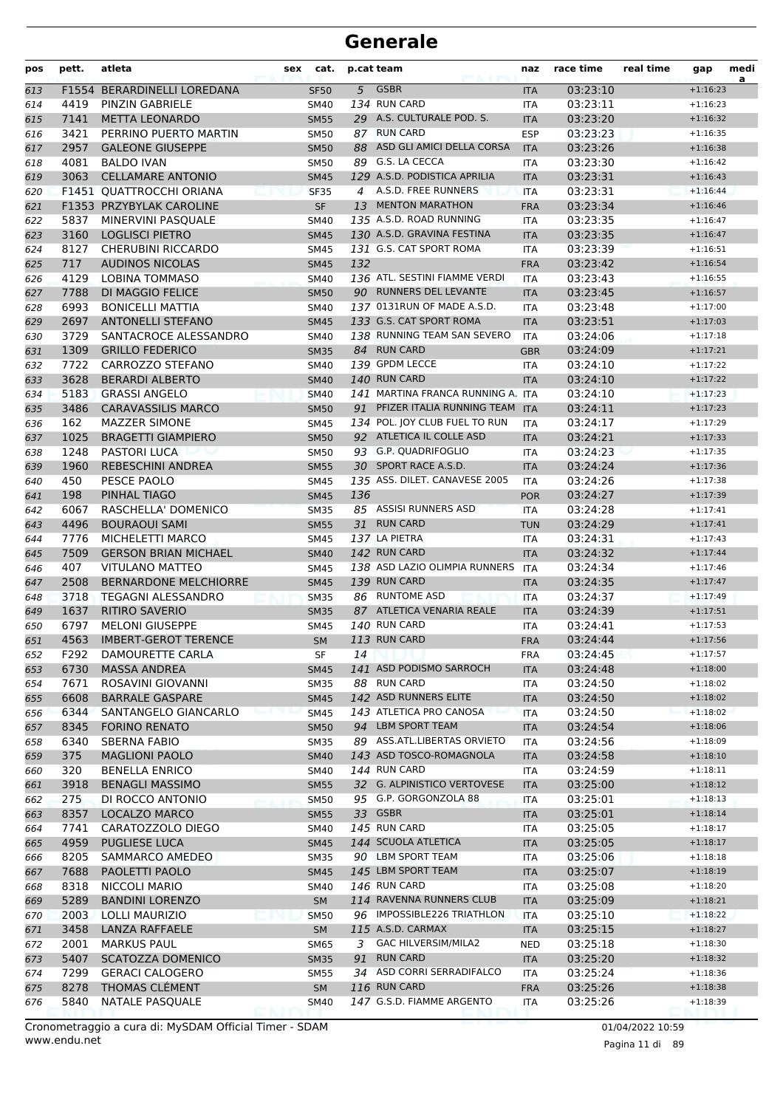| pos | pett.        | atleta                                         | sex | cat.              |     | p.cat team                                | naz               | race time            | real time | gap                      | medi<br>a |
|-----|--------------|------------------------------------------------|-----|-------------------|-----|-------------------------------------------|-------------------|----------------------|-----------|--------------------------|-----------|
| 613 |              | F1554 BERARDINELLI LOREDANA                    |     | <b>SF50</b>       |     | 5 GSBR                                    | <b>ITA</b>        | 03:23:10             |           | $+1:16:23$               |           |
| 614 | 4419         | <b>PINZIN GABRIELE</b>                         |     | SM40              |     | 134 RUN CARD                              | ITA               | 03:23:11             |           | $+1:16:23$               |           |
| 615 | 7141         | <b>METTA LEONARDO</b>                          |     | <b>SM55</b>       |     | 29 A.S. CULTURALE POD. S.                 | <b>ITA</b>        | 03:23:20             |           | $+1:16:32$               |           |
| 616 | 3421         | PERRINO PUERTO MARTIN                          |     | <b>SM50</b>       |     | 87 RUN CARD                               | <b>ESP</b>        | 03:23:23             |           | $+1:16:35$               |           |
| 617 | 2957         | <b>GALEONE GIUSEPPE</b>                        |     | <b>SM50</b>       |     | 88 ASD GLI AMICI DELLA CORSA              | <b>ITA</b>        | 03:23:26             |           | $+1:16:38$               |           |
| 618 | 4081         | <b>BALDO IVAN</b>                              |     | <b>SM50</b>       |     | 89 G.S. LA CECCA                          | ITA               | 03:23:30             |           | $+1:16:42$               |           |
| 619 | 3063         | <b>CELLAMARE ANTONIO</b>                       |     | <b>SM45</b>       |     | 129 A.S.D. PODISTICA APRILIA              | <b>ITA</b>        | 03:23:31             |           | $+1:16:43$               |           |
| 620 |              | <b>F1451 OUATTROCCHI ORIANA</b>                |     | <b>SF35</b>       | 4   | A.S.D. FREE RUNNERS                       | <b>ITA</b>        | 03:23:31             |           | $+1:16:44$               |           |
| 621 |              | F1353 PRZYBYLAK CAROLINE                       |     | <b>SF</b>         |     | 13 MENTON MARATHON                        | <b>FRA</b>        | 03:23:34             |           | $+1:16:46$               |           |
| 622 | 5837         | MINERVINI PASQUALE                             |     | <b>SM40</b>       |     | 135 A.S.D. ROAD RUNNING                   | <b>ITA</b>        | 03:23:35             |           | $+1:16:47$               |           |
| 623 | 3160         | <b>LOGLISCI PIETRO</b>                         |     | <b>SM45</b>       |     | 130 A.S.D. GRAVINA FESTINA                | <b>ITA</b>        | 03:23:35             |           | $+1:16:47$               |           |
| 624 | 8127         | <b>CHERUBINI RICCARDO</b>                      |     | SM45              |     | 131 G.S. CAT SPORT ROMA                   | <b>ITA</b>        | 03:23:39             |           | $+1:16:51$               |           |
| 625 | 717          | <b>AUDINOS NICOLAS</b>                         |     | <b>SM45</b>       | 132 |                                           | <b>FRA</b>        | 03:23:42             |           | $+1:16:54$               |           |
| 626 | 4129         | <b>LOBINA TOMMASO</b>                          |     | SM40              |     | 136 ATL. SESTINI FIAMME VERDI             | ITA               | 03:23:43             |           | $+1:16:55$               |           |
| 627 | 7788         | DI MAGGIO FELICE                               |     | <b>SM50</b>       |     | 90 RUNNERS DEL LEVANTE                    | <b>ITA</b>        | 03:23:45             |           | $+1:16:57$               |           |
| 628 | 6993         | <b>BONICELLI MATTIA</b>                        |     | <b>SM40</b>       |     | 137 0131RUN OF MADE A.S.D.                | <b>ITA</b>        | 03:23:48             |           | $+1:17:00$               |           |
| 629 | 2697         | <b>ANTONELLI STEFANO</b>                       |     | <b>SM45</b>       |     | 133 G.S. CAT SPORT ROMA                   | <b>ITA</b>        | 03:23:51             |           | $+1:17:03$               |           |
| 630 | 3729         | SANTACROCE ALESSANDRO                          |     | SM40              |     | 138 RUNNING TEAM SAN SEVERO               | <b>ITA</b>        | 03:24:06             |           | $+1:17:18$               |           |
| 631 | 1309         | <b>GRILLO FEDERICO</b>                         |     | <b>SM35</b>       |     | 84 RUN CARD                               | <b>GBR</b>        | 03:24:09             |           | $+1:17:21$               |           |
| 632 | 7722         | <b>CARROZZO STEFANO</b>                        |     | SM40              |     | 139 GPDM LECCE                            | ITA               | 03:24:10             |           | $+1:17:22$               |           |
| 633 | 3628         | <b>BERARDI ALBERTO</b>                         |     | <b>SM40</b>       |     | 140 RUN CARD                              | <b>ITA</b>        | 03:24:10             |           | $+1:17:22$               |           |
| 634 | 5183         | <b>GRASSI ANGELO</b>                           |     | <b>SM40</b>       |     | 141 MARTINA FRANCA RUNNING A. ITA         |                   | 03:24:10             |           | $+1:17:23$               |           |
| 635 | 3486         | <b>CARAVASSILIS MARCO</b>                      |     | <b>SM50</b>       |     | 91 PFIZER ITALIA RUNNING TEAM             | <b>ITA</b>        | 03:24:11             |           | $+1:17:23$               |           |
| 636 | 162          | <b>MAZZER SIMONE</b>                           |     | SM45              |     | 134 POL. JOY CLUB FUEL TO RUN             | <b>ITA</b>        | 03:24:17             |           | $+1:17:29$               |           |
| 637 | 1025         | <b>BRAGETTI GIAMPIERO</b>                      |     | <b>SM50</b>       |     | 92 ATLETICA IL COLLE ASD                  | <b>ITA</b>        | 03:24:21             |           | $+1:17:33$               |           |
| 638 | 1248         | <b>PASTORI LUCA</b>                            |     | <b>SM50</b>       |     | 93 G.P. QUADRIFOGLIO                      | ITA               | 03:24:23             |           | $+1:17:35$               |           |
| 639 | 1960         | <b>REBESCHINI ANDREA</b>                       |     | <b>SM55</b>       |     | 30 SPORT RACE A.S.D.                      | <b>ITA</b>        | 03:24:24             |           | $+1:17:36$               |           |
| 640 | 450          | PESCE PAOLO                                    |     | <b>SM45</b>       |     | 135 ASS. DILET. CANAVESE 2005             | <b>ITA</b>        | 03:24:26             |           | $+1:17:38$               |           |
| 641 | 198          | PINHAL TIAGO                                   |     | <b>SM45</b>       | 136 |                                           | <b>POR</b>        | 03:24:27             |           | $+1:17:39$               |           |
| 642 | 6067         | RASCHELLA' DOMENICO                            |     | <b>SM35</b>       |     | 85 ASSISI RUNNERS ASD                     | <b>ITA</b>        | 03:24:28             |           | $+1:17:41$               |           |
| 643 | 4496         | <b>BOURAOUI SAMI</b>                           |     | <b>SM55</b>       |     | 31 RUN CARD                               | <b>TUN</b>        | 03:24:29             |           | $+1:17:41$               |           |
| 644 | 7776         | MICHELETTI MARCO                               |     | SM45              |     | 137 LA PIETRA                             | <b>ITA</b>        | 03:24:31             |           | $+1:17:43$               |           |
| 645 | 7509         | <b>GERSON BRIAN MICHAEL</b>                    |     | <b>SM40</b>       |     | 142 RUN CARD                              | <b>ITA</b>        | 03:24:32             |           | $+1:17:44$               |           |
| 646 | 407          | <b>VITULANO MATTEO</b>                         |     | <b>SM45</b>       |     | 138 ASD LAZIO OLIMPIA RUNNERS             | <b>ITA</b>        | 03:24:34             |           | $+1:17:46$               |           |
| 647 | 2508         | <b>BERNARDONE MELCHIORRE</b>                   |     | <b>SM45</b>       |     | 139 RUN CARD                              | <b>ITA</b>        | 03:24:35             |           | $+1:17:47$               |           |
| 648 | 3718         | <b>TEGAGNI ALESSANDRO</b>                      |     | <b>SM35</b>       |     | 86 RUNTOME ASD                            | <b>ITA</b>        | 03:24:37             |           | $+1:17:49$               |           |
| 649 | 1637         | <b>RITIRO SAVERIO</b>                          |     | <b>SM35</b>       |     | 87 ATLETICA VENARIA REALE                 | <b>ITA</b>        | 03:24:39             |           | $+1:17:51$               |           |
| 650 | 6797         | <b>MELONI GIUSEPPE</b>                         |     | SM45              |     | 140 RUN CARD                              | ITA               | 03:24:41             |           | $+1:17:53$               |           |
| 651 | 4563         | <b>IMBERT-GEROT TERENCE</b>                    |     | <b>SM</b>         |     | 113 RUN CARD                              | <b>FRA</b>        | 03:24:44             |           | $+1:17:56$               |           |
| 652 | F292         | DAMOURETTE CARLA                               |     | SF                | 14  |                                           | <b>FRA</b>        | 03:24:45             |           | $+1:17:57$               |           |
| 653 | 6730         | <b>MASSA ANDREA</b>                            |     | <b>SM45</b>       |     | 141 ASD PODISMO SARROCH                   | <b>ITA</b>        | 03:24:48             |           | $+1:18:00$               |           |
| 654 | 7671         | ROSAVINI GIOVANNI                              |     | SM35              |     | 88 RUN CARD                               | ITA               | 03:24:50             |           | $+1:18:02$               |           |
| 655 | 6608         | <b>BARRALE GASPARE</b>                         |     | <b>SM45</b>       |     | 142 ASD RUNNERS ELITE                     | <b>ITA</b>        | 03:24:50             |           | $+1:18:02$               |           |
| 656 | 6344         | SANTANGELO GIANCARLO                           |     | <b>SM45</b>       |     | 143 ATLETICA PRO CANOSA                   | <b>ITA</b>        | 03:24:50             |           | $+1:18:02$               |           |
| 657 | 8345         | <b>FORINO RENATO</b>                           |     | <b>SM50</b>       |     | 94 LBM SPORT TEAM                         | <b>ITA</b>        | 03:24:54             |           | $+1:18:06$               |           |
| 658 | 6340         | <b>SBERNA FABIO</b>                            |     | SM35              |     | 89 ASS.ATL.LIBERTAS ORVIETO               | ITA               | 03:24:56             |           | $+1:18:09$               |           |
| 659 | 375          | <b>MAGLIONI PAOLO</b>                          |     | <b>SM40</b>       |     | 143 ASD TOSCO-ROMAGNOLA                   | <b>ITA</b>        | 03:24:58             |           | $+1:18:10$               |           |
| 660 | 320          | <b>BENELLA ENRICO</b>                          |     | SM40              |     | 144 RUN CARD                              | ITA               | 03:24:59             |           | $+1:18:11$               |           |
| 661 | 3918         | <b>BENAGLI MASSIMO</b>                         |     | <b>SM55</b>       |     | 32 G. ALPINISTICO VERTOVESE               | <b>ITA</b>        | 03:25:00             |           | $+1:18:12$               |           |
| 662 | 275          | DI ROCCO ANTONIO                               |     | <b>SM50</b>       |     | 95 G.P. GORGONZOLA 88                     | ITA               | 03:25:01             |           | $+1:18:13$               |           |
| 663 | 8357         | <b>LOCALZO MARCO</b>                           |     | <b>SM55</b>       |     | 33 GSBR                                   | <b>ITA</b>        | 03:25:01             |           | $+1:18:14$               |           |
| 664 | 7741         | CARATOZZOLO DIEGO                              |     | SM40              |     | 145 RUN CARD                              | <b>ITA</b>        | 03:25:05             |           | $+1:18:17$               |           |
| 665 | 4959         | PUGLIESE LUCA                                  |     | <b>SM45</b>       |     | 144 SCUOLA ATLETICA<br>90 LBM SPORT TEAM  | <b>ITA</b>        | 03:25:05             |           | $+1:18:17$               |           |
| 666 | 8205         | SAMMARCO AMEDEO                                |     | SM35              |     |                                           | ITA               | 03:25:06             |           | $+1:18:18$               |           |
| 667 | 7688         | PAOLETTI PAOLO                                 |     | <b>SM45</b>       |     | 145 LBM SPORT TEAM<br><b>146 RUN CARD</b> | <b>ITA</b>        | 03:25:07             |           | $+1:18:19$               |           |
| 668 | 8318         | NICCOLI MARIO                                  |     | SM40              |     | 114 RAVENNA RUNNERS CLUB                  | ITA               | 03:25:08             |           | $+1:18:20$               |           |
| 669 | 5289         | <b>BANDINI LORENZO</b>                         |     | <b>SM</b>         |     | 96 IMPOSSIBLE226 TRIATHLON                | <b>ITA</b>        | 03:25:09             |           | $+1:18:21$               |           |
| 670 | 2003         | LOLLI MAURIZIO                                 |     | <b>SM50</b>       |     | 115 A.S.D. CARMAX                         | <b>ITA</b>        | 03:25:10             |           | $+1:18:22$               |           |
| 671 | 3458         | LANZA RAFFAELE                                 |     | <b>SM</b>         |     | 3 GAC HILVERSIM/MILA2                     | <b>ITA</b>        | 03:25:15             |           | $+1:18:27$<br>$+1:18:30$ |           |
| 672 | 2001<br>5407 | <b>MARKUS PAUL</b><br><b>SCATOZZA DOMENICO</b> |     | SM65              |     | 91 RUN CARD                               | <b>NED</b>        | 03:25:18<br>03:25:20 |           | $+1:18:32$               |           |
| 673 | 7299         | <b>GERACI CALOGERO</b>                         |     | <b>SM35</b>       |     | 34 ASD CORRI SERRADIFALCO                 | <b>ITA</b>        | 03:25:24             |           | $+1:18:36$               |           |
| 674 | 8278         | THOMAS CLÉMENT                                 |     | <b>SM55</b><br>SM |     | <b>116 RUN CARD</b>                       | ITA               | 03:25:26             |           | $+1:18:38$               |           |
| 675 | 5840         | NATALE PASQUALE                                |     | <b>SM40</b>       |     | 147 G.S.D. FIAMME ARGENTO                 | <b>FRA</b><br>ITA | 03:25:26             |           | $+1:18:39$               |           |
| 676 |              |                                                |     |                   |     |                                           |                   |                      |           |                          |           |

Pagina 11 di 89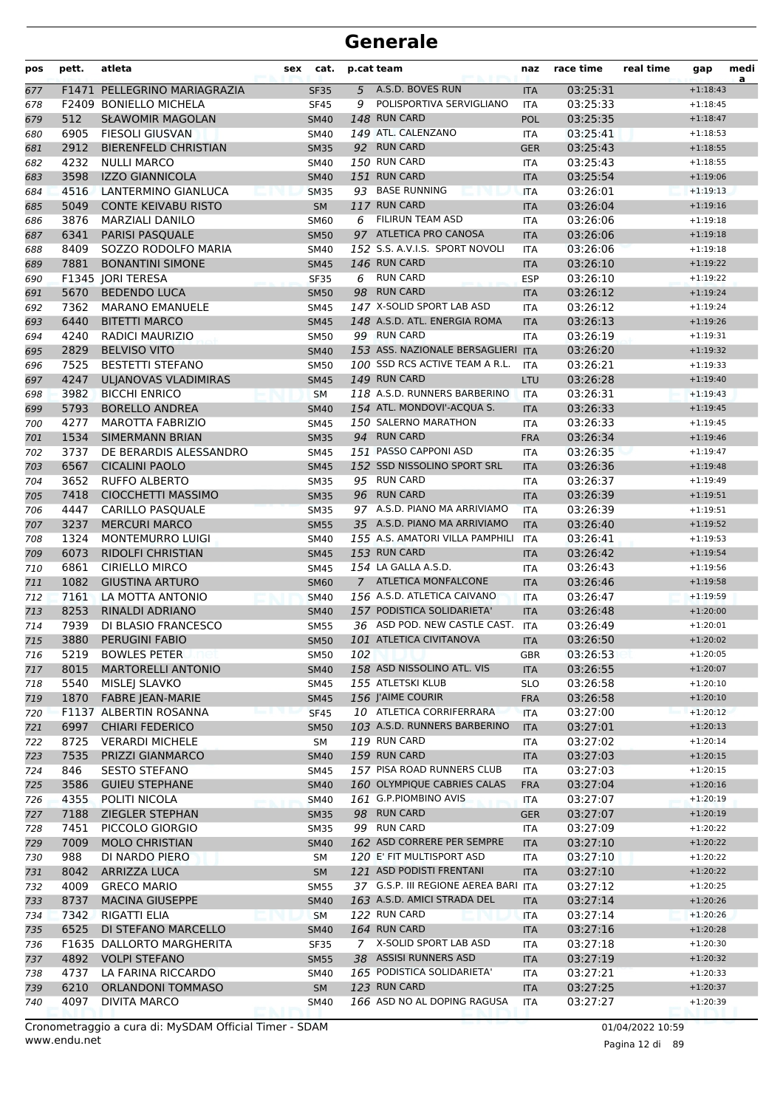| pos        | pett.        | atleta                                           | sex | cat.                |     | p.cat team                                          | naz               | race time            | real time | gap                      | medi<br>a |
|------------|--------------|--------------------------------------------------|-----|---------------------|-----|-----------------------------------------------------|-------------------|----------------------|-----------|--------------------------|-----------|
| 677        |              | F1471 PELLEGRINO MARIAGRAZIA                     |     | <b>SF35</b>         |     | 5 A.S.D. BOVES RUN                                  | <b>ITA</b>        | 03:25:31             |           | $+1:18:43$               |           |
| 678        |              | F2409 BONIELLO MICHELA                           |     | <b>SF45</b>         | 9   | POLISPORTIVA SERVIGLIANO                            | <b>ITA</b>        | 03:25:33             |           | $+1:18:45$               |           |
| 679        | 512          | <b>SŁAWOMIR MAGOLAN</b>                          |     | <b>SM40</b>         |     | 148 RUN CARD                                        | POL               | 03:25:35             |           | $+1:18:47$               |           |
| 680        | 6905         | <b>FIESOLI GIUSVAN</b>                           |     | SM40                |     | 149 ATL. CALENZANO                                  | ITA               | 03:25:41             |           | $+1:18:53$               |           |
| 681        | 2912         | <b>BIERENFELD CHRISTIAN</b>                      |     | <b>SM35</b>         |     | 92 RUN CARD                                         | <b>GER</b>        | 03:25:43             |           | $+1:18:55$               |           |
| 682        | 4232         | <b>NULLI MARCO</b>                               |     | SM40                |     | 150 RUN CARD                                        | ITA               | 03:25:43             |           | $+1:18:55$               |           |
| 683        | 3598         | <b>IZZO GIANNICOLA</b>                           |     | <b>SM40</b>         |     | 151 RUN CARD                                        | <b>ITA</b>        | 03:25:54             |           | $+1:19:06$               |           |
| 684        | 4516         | <b>LANTERMINO GIANLUCA</b>                       |     | <b>SM35</b>         |     | 93 BASE RUNNING                                     | <b>ITA</b>        | 03:26:01             |           | $+1:19:13$               |           |
| 685        | 5049         | <b>CONTE KEIVABU RISTO</b>                       |     | <b>SM</b>           |     | 117 RUN CARD                                        | <b>ITA</b>        | 03:26:04             |           | $+1:19:16$               |           |
| 686        | 3876         | <b>MARZIALI DANILO</b>                           |     | SM60                | 6   | <b>FILIRUN TEAM ASD</b>                             | <b>ITA</b>        | 03:26:06             |           | $+1:19:18$               |           |
| 687        | 6341         | PARISI PASQUALE                                  |     | <b>SM50</b>         |     | 97 ATLETICA PRO CANOSA                              | <b>ITA</b>        | 03:26:06             |           | $+1:19:18$               |           |
| 688        | 8409         | SOZZO RODOLFO MARIA                              |     | SM40                |     | 152 S.S. A.V.I.S. SPORT NOVOLI                      | <b>ITA</b>        | 03:26:06             |           | $+1:19:18$               |           |
| 689        | 7881         | <b>BONANTINI SIMONE</b>                          |     | <b>SM45</b>         |     | 146 RUN CARD                                        | <b>ITA</b>        | 03:26:10             |           | $+1:19:22$               |           |
| 690        |              | F1345 JORI TERESA                                |     | <b>SF35</b>         | 6   | <b>RUN CARD</b>                                     | <b>ESP</b>        | 03:26:10             |           | $+1:19:22$               |           |
| 691        | 5670         | <b>BEDENDO LUCA</b>                              |     | <b>SM50</b>         |     | 98 RUN CARD                                         | <b>ITA</b>        | 03:26:12             |           | $+1:19:24$               |           |
| 692        | 7362         | <b>MARANO EMANUELE</b>                           |     | <b>SM45</b>         |     | 147 X-SOLID SPORT LAB ASD                           | <b>ITA</b>        | 03:26:12             |           | $+1:19:24$               |           |
| 693        | 6440         | <b>BITETTI MARCO</b>                             |     | <b>SM45</b>         |     | 148 A.S.D. ATL. ENERGIA ROMA                        | <b>ITA</b>        | 03:26:13             |           | $+1:19:26$               |           |
| 694        | 4240         | <b>RADICI MAURIZIO</b>                           |     | <b>SM50</b>         |     | 99 RUN CARD                                         | <b>ITA</b>        | 03:26:19             |           | $+1:19:31$               |           |
| 695        | 2829         | <b>BELVISO VITO</b>                              |     | <b>SM40</b>         |     | 153 ASS. NAZIONALE BERSAGLIERI ITA                  |                   | 03:26:20             |           | $+1:19:32$               |           |
| 696        | 7525         | <b>BESTETTI STEFANO</b>                          |     | <b>SM50</b>         |     | 100 SSD RCS ACTIVE TEAM A R.L.                      | <b>ITA</b>        | 03:26:21             |           | $+1:19:33$               |           |
| 697        | 4247         | <b>ULJANOVAS VLADIMIRAS</b>                      |     | <b>SM45</b>         |     | 149 RUN CARD                                        | <b>LTU</b>        | 03:26:28             |           | $+1:19:40$               |           |
| 698        | 3982         | <b>BICCHI ENRICO</b>                             |     | <b>SM</b>           |     | 118 A.S.D. RUNNERS BARBERINO                        | <b>ITA</b>        | 03:26:31             |           | $+1:19:43$               |           |
| 699        | 5793         | <b>BORELLO ANDREA</b>                            |     | <b>SM40</b>         |     | 154 ATL. MONDOVI'-ACQUA S.                          | <b>ITA</b>        | 03:26:33             |           | $+1:19:45$               |           |
| 700        | 4277         | MAROTTA FABRIZIO                                 |     | <b>SM45</b>         |     | 150 SALERNO MARATHON                                | <b>ITA</b>        | 03:26:33             |           | $+1:19:45$               |           |
| 701        | 1534         | <b>SIMERMANN BRIAN</b>                           |     | <b>SM35</b>         |     | 94 RUN CARD                                         | <b>FRA</b>        | 03:26:34             |           | $+1:19:46$               |           |
| 702        | 3737         | DE BERARDIS ALESSANDRO                           |     | SM45                |     | 151 PASSO CAPPONI ASD                               | <b>ITA</b>        | 03:26:35             |           | $+1:19:47$               |           |
| 703        | 6567         | <b>CICALINI PAOLO</b>                            |     | <b>SM45</b>         |     | 152 SSD NISSOLINO SPORT SRL                         | <b>ITA</b>        | 03:26:36             |           | $+1:19:48$               |           |
| 704        | 3652         | <b>RUFFO ALBERTO</b>                             |     | <b>SM35</b>         |     | 95 RUN CARD                                         | <b>ITA</b>        | 03:26:37             |           | $+1:19:49$               |           |
| 705        | 7418         | CIOCCHETTI MASSIMO                               |     | <b>SM35</b>         |     | 96 RUN CARD                                         | <b>ITA</b>        | 03:26:39             |           | $+1:19:51$               |           |
| 706        | 4447         | <b>CARILLO PASQUALE</b>                          |     | <b>SM35</b>         |     | 97 A.S.D. PIANO MA ARRIVIAMO                        | <b>ITA</b>        | 03:26:39             |           | $+1:19:51$               |           |
| 707        | 3237         | <b>MERCURI MARCO</b>                             |     | <b>SM55</b>         |     | 35 A.S.D. PIANO MA ARRIVIAMO                        | <b>ITA</b>        | 03:26:40             |           | $+1:19:52$               |           |
| 708        | 1324         | <b>MONTEMURRO LUIGI</b>                          |     | SM40                |     | 155 A.S. AMATORI VILLA PAMPHILI                     | <b>ITA</b>        | 03:26:41             |           | $+1:19:53$               |           |
| 709        | 6073         | <b>RIDOLFI CHRISTIAN</b>                         |     | <b>SM45</b>         |     | 153 RUN CARD                                        | <b>ITA</b>        | 03:26:42             |           | $+1:19:54$               |           |
| 710        | 6861         | <b>CIRIELLO MIRCO</b>                            |     | <b>SM45</b>         |     | 154 LA GALLA A.S.D.                                 | <b>ITA</b>        | 03:26:43             |           | $+1:19:56$               |           |
| 711        | 1082         | <b>GIUSTINA ARTURO</b>                           |     | <b>SM60</b>         |     | 7 ATLETICA MONFALCONE                               | <b>ITA</b>        | 03:26:46             |           | $+1:19:58$               |           |
| 712        | 7161         | LA MOTTA ANTONIO                                 |     | <b>SM40</b>         |     | 156 A.S.D. ATLETICA CAIVANO                         | <b>ITA</b>        | 03:26:47             |           | $+1:19:59$               |           |
| 713        | 8253         | <b>RINALDI ADRIANO</b>                           |     | <b>SM40</b>         |     | 157 PODISTICA SOLIDARIETA'                          | <b>ITA</b>        | 03:26:48             |           | $+1:20:00$               |           |
| 714        | 7939         | DI BLASIO FRANCESCO                              |     | <b>SM55</b>         |     | 36 ASD POD. NEW CASTLE CAST.                        | ITA               | 03:26:49             |           | $+1:20:01$               |           |
| 715        | 3880         | <b>PERUGINI FABIO</b>                            |     | <b>SM50</b>         |     | 101 ATLETICA CIVITANOVA                             | <b>ITA</b>        | 03:26:50             |           | $+1:20:02$               |           |
| 716        | 5219         | <b>BOWLES PETER</b>                              |     | <b>SM50</b>         | 102 |                                                     | GBR               | 03:26:53             |           | $+1:20:05$               |           |
| 717        | 8015         | <b>MARTORELLI ANTONIO</b>                        |     | <b>SM40</b>         |     | 158 ASD NISSOLINO ATL. VIS                          | <b>ITA</b>        | 03:26:55             |           | $+1:20:07$               |           |
| 718        | 5540         | MISLEJ SLAVKO                                    |     | SM45                |     | 155 ATLETSKI KLUB                                   | <b>SLO</b>        | 03:26:58             |           | $+1:20:10$               |           |
| 719        | 1870         | <b>FABRE JEAN-MARIE</b>                          |     | <b>SM45</b>         |     | 156 J'AIME COURIR                                   | <b>FRA</b>        | 03:26:58             |           | $+1:20:10$               |           |
| 720        |              | F1137 ALBERTIN ROSANNA                           |     | <b>SF45</b>         |     | 10 ATLETICA CORRIFERRARA                            | <b>ITA</b>        | 03:27:00             |           | $+1:20:12$               |           |
| 721        | 6997<br>8725 | <b>CHIARI FEDERICO</b><br><b>VERARDI MICHELE</b> |     | <b>SM50</b>         |     | 103 A.S.D. RUNNERS BARBERINO<br><b>119 RUN CARD</b> | <b>ITA</b>        | 03:27:01             |           | $+1:20:13$               |           |
| 722        | 7535         | PRIZZI GIANMARCO                                 |     | SM                  |     | 159 RUN CARD                                        | <b>ITA</b>        | 03:27:02<br>03:27:03 |           | $+1:20:14$<br>$+1:20:15$ |           |
| 723        | 846          | <b>SESTO STEFANO</b>                             |     | <b>SM40</b>         |     | 157 PISA ROAD RUNNERS CLUB                          | <b>ITA</b>        | 03:27:03             |           | $+1:20:15$               |           |
| 724<br>725 | 3586         | <b>GUIEU STEPHANE</b>                            |     | SM45<br><b>SM40</b> |     | 160 OLYMPIQUE CABRIES CALAS                         | ITA<br><b>FRA</b> | 03:27:04             |           | $+1:20:16$               |           |
| 726        | 4355         | POLITI NICOLA                                    |     | <b>SM40</b>         |     | 161 G.P.PIOMBINO AVIS                               | ITA               | 03:27:07             |           | $+1:20:19$               |           |
| 727        | 7188         | <b>ZIEGLER STEPHAN</b>                           |     | <b>SM35</b>         |     | 98 RUN CARD                                         | <b>GER</b>        | 03:27:07             |           | $+1:20:19$               |           |
| 728        | 7451         | PICCOLO GIORGIO                                  |     | <b>SM35</b>         |     | 99 RUN CARD                                         | ITA               | 03:27:09             |           | $+1:20:22$               |           |
| 729        | 7009         | <b>MOLO CHRISTIAN</b>                            |     | <b>SM40</b>         |     | 162 ASD CORRERE PER SEMPRE                          | <b>ITA</b>        | 03:27:10             |           | $+1:20:22$               |           |
| 730        | 988          | DI NARDO PIERO                                   |     | <b>SM</b>           |     | 120 E' FIT MULTISPORT ASD                           | ITA               | 03:27:10             |           | $+1:20:22$               |           |
| 731        | 8042         | <b>ARRIZZA LUCA</b>                              |     | <b>SM</b>           |     | 121 ASD PODISTI FRENTANI                            | <b>ITA</b>        | 03:27:10             |           | $+1:20:22$               |           |
| 732        | 4009         | <b>GRECO MARIO</b>                               |     | <b>SM55</b>         |     | 37 G.S.P. III REGIONE AEREA BARI ITA                |                   | 03:27:12             |           | $+1:20:25$               |           |
| 733        | 8737         | <b>MACINA GIUSEPPE</b>                           |     | <b>SM40</b>         |     | 163 A.S.D. AMICI STRADA DEL                         | <b>ITA</b>        | 03:27:14             |           | $+1:20:26$               |           |
| 734        | 7342         | RIGATTI ELIA                                     |     | <b>SM</b>           |     | 122 RUN CARD                                        | ITA               | 03:27:14             |           | $+1:20:26$               |           |
| 735        | 6525         | DI STEFANO MARCELLO                              |     | <b>SM40</b>         |     | 164 RUN CARD                                        | <b>ITA</b>        | 03:27:16             |           | $+1:20:28$               |           |
| 736        |              | F1635 DALLORTO MARGHERITA                        |     | <b>SF35</b>         |     | 7 X-SOLID SPORT LAB ASD                             | ITA               | 03:27:18             |           | $+1:20:30$               |           |
| 737        | 4892         | <b>VOLPI STEFANO</b>                             |     | <b>SM55</b>         |     | 38 ASSISI RUNNERS ASD                               | <b>ITA</b>        | 03:27:19             |           | $+1:20:32$               |           |
| 738        | 4737         | LA FARINA RICCARDO                               |     | SM40                |     | 165 PODISTICA SOLIDARIETA'                          | ITA               | 03:27:21             |           | $+1:20:33$               |           |
| 739        | 6210         | <b>ORLANDONI TOMMASO</b>                         |     | <b>SM</b>           |     | 123 RUN CARD                                        | <b>ITA</b>        | 03:27:25             |           | $+1:20:37$               |           |
| 740        | 4097         | <b>DIVITA MARCO</b>                              |     | <b>SM40</b>         |     | 166 ASD NO AL DOPING RAGUSA                         | ITA               | 03:27:27             |           | $+1:20:39$               |           |
|            |              |                                                  |     |                     |     |                                                     |                   |                      |           |                          |           |

www.endu.net Cronometraggio a cura di: MySDAM Official Timer - SDAM 01/04/2022 10:59 01/04/2022 10:59

Pagina 12 di 89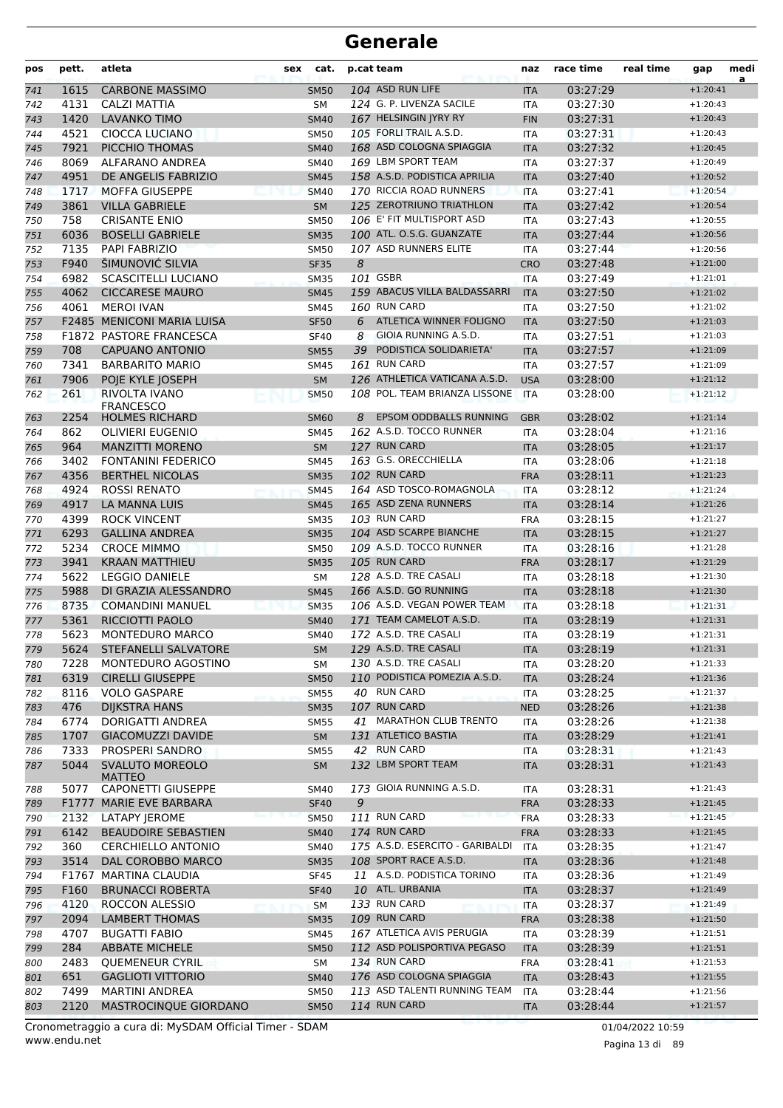| pos | pett.        | atleta                                  | sex | cat.                       |    | p.cat team                      | naz                      | race time            | real time | gap        | medi<br>a |
|-----|--------------|-----------------------------------------|-----|----------------------------|----|---------------------------------|--------------------------|----------------------|-----------|------------|-----------|
| 741 | 1615         | <b>CARBONE MASSIMO</b>                  |     | <b>SM50</b>                |    | 104 ASD RUN LIFE                | <b>ITA</b>               | 03:27:29             |           | $+1:20:41$ |           |
| 742 | 4131         | CALZI MATTIA                            |     | <b>SM</b>                  |    | 124 G. P. LIVENZA SACILE        | <b>ITA</b>               | 03:27:30             |           | $+1:20:43$ |           |
| 743 | 1420         | <b>LAVANKO TIMO</b>                     |     | <b>SM40</b>                |    | 167 HELSINGIN JYRY RY           | <b>FIN</b>               | 03:27:31             |           | $+1:20:43$ |           |
| 744 | 4521         | <b>CIOCCA LUCIANO</b>                   |     | <b>SM50</b>                |    | 105 FORLI TRAIL A.S.D.          | <b>ITA</b>               | 03:27:31             |           | $+1:20:43$ |           |
| 745 | 7921         | PICCHIO THOMAS                          |     | <b>SM40</b>                |    | 168 ASD COLOGNA SPIAGGIA        | <b>ITA</b>               | 03:27:32             |           | $+1:20:45$ |           |
| 746 | 8069         | ALFARANO ANDREA                         |     | <b>SM40</b>                |    | 169 LBM SPORT TEAM              | <b>ITA</b>               | 03:27:37             |           | $+1:20:49$ |           |
| 747 | 4951         | DE ANGELIS FABRIZIO                     |     | <b>SM45</b>                |    | 158 A.S.D. PODISTICA APRILIA    | <b>ITA</b>               | 03:27:40             |           | $+1:20:52$ |           |
| 748 | 1717         | <b>MOFFA GIUSEPPE</b>                   |     | <b>SM40</b>                |    | 170 RICCIA ROAD RUNNERS         | <b>ITA</b>               | 03:27:41             |           | $+1:20:54$ |           |
| 749 | 3861         | <b>VILLA GABRIELE</b>                   |     | <b>SM</b>                  |    | 125 ZEROTRIUNO TRIATHLON        | <b>ITA</b>               | 03:27:42             |           | $+1:20:54$ |           |
| 750 | 758          | <b>CRISANTE ENIO</b>                    |     | <b>SM50</b>                |    | 106 E' FIT MULTISPORT ASD       | <b>ITA</b>               | 03:27:43             |           | $+1:20:55$ |           |
| 751 | 6036         | <b>BOSELLI GABRIELE</b>                 |     | <b>SM35</b>                |    | 100 ATL. O.S.G. GUANZATE        | <b>ITA</b>               | 03:27:44             |           | $+1:20:56$ |           |
| 752 | 7135         | <b>PAPI FABRIZIO</b>                    |     | <b>SM50</b>                |    | 107 ASD RUNNERS ELITE           | <b>ITA</b>               | 03:27:44             |           | $+1:20:56$ |           |
| 753 | F940         | ŠIMUNOVIĆ SILVIA                        |     | <b>SF35</b>                | 8  |                                 | <b>CRO</b>               | 03:27:48             |           | $+1:21:00$ |           |
| 754 | 6982         | SCASCITELLI LUCIANO                     |     | <b>SM35</b>                |    | 101 GSBR                        | <b>ITA</b>               | 03:27:49             |           | $+1:21:01$ |           |
| 755 | 4062         | <b>CICCARESE MAURO</b>                  |     | <b>SM45</b>                |    | 159 ABACUS VILLA BALDASSARRI    | <b>ITA</b>               | 03:27:50             |           | $+1:21:02$ |           |
| 756 | 4061         | <b>MEROI IVAN</b>                       |     | <b>SM45</b>                |    | 160 RUN CARD                    | <b>ITA</b>               | 03:27:50             |           | $+1:21:02$ |           |
| 757 |              | <b>F2485 MENICONI MARIA LUISA</b>       |     | <b>SF50</b>                | 6  | ATLETICA WINNER FOLIGNO         | <b>ITA</b>               | 03:27:50             |           | $+1:21:03$ |           |
| 758 |              | F1872 PASTORE FRANCESCA                 |     | <b>SF40</b>                | 8  | GIOIA RUNNING A.S.D.            | <b>ITA</b>               | 03:27:51             |           | $+1:21:03$ |           |
| 759 | 708          | <b>CAPUANO ANTONIO</b>                  |     | <b>SM55</b>                | 39 | PODISTICA SOLIDARIETA'          | <b>ITA</b>               | 03:27:57             |           | $+1:21:09$ |           |
| 760 | 7341         | <b>BARBARITO MARIO</b>                  |     | <b>SM45</b>                |    | 161 RUN CARD                    | <b>ITA</b>               | 03:27:57             |           | $+1:21:09$ |           |
| 761 | 7906         | POIE KYLE JOSEPH                        |     | <b>SM</b>                  |    | 126 ATHLETICA VATICANA A.S.D.   | <b>USA</b>               | 03:28:00             |           | $+1:21:12$ |           |
| 762 | 261          | RIVOLTA IVANO<br><b>FRANCESCO</b>       |     | <b>SM50</b>                |    | 108 POL. TEAM BRIANZA LISSONE   | <b>ITA</b>               | 03:28:00             |           | $+1:21:12$ |           |
| 763 | 2254         | <b>HOLMES RICHARD</b>                   |     | <b>SM60</b>                | 8  | <b>EPSOM ODDBALLS RUNNING</b>   | <b>GBR</b>               | 03:28:02             |           | $+1:21:14$ |           |
| 764 | 862          | OLIVIERI EUGENIO                        |     | <b>SM45</b>                |    | 162 A.S.D. TOCCO RUNNER         | <b>ITA</b>               | 03:28:04             |           | $+1:21:16$ |           |
| 765 | 964          | <b>MANZITTI MORENO</b>                  |     | <b>SM</b>                  |    | 127 RUN CARD                    | <b>ITA</b>               | 03:28:05             |           | $+1:21:17$ |           |
| 766 | 3402         | <b>FONTANINI FEDERICO</b>               |     | <b>SM45</b>                |    | 163 G.S. ORECCHIELLA            | ITA                      | 03:28:06             |           | $+1:21:18$ |           |
| 767 | 4356         | <b>BERTHEL NICOLAS</b>                  |     | <b>SM35</b>                |    | 102 RUN CARD                    | <b>FRA</b>               | 03:28:11             |           | $+1:21:23$ |           |
| 768 | 4924         | <b>ROSSI RENATO</b>                     |     | <b>SM45</b>                |    | 164 ASD TOSCO-ROMAGNOLA         | <b>ITA</b>               | 03:28:12             |           | $+1:21:24$ |           |
| 769 | 4917         | <b>LA MANNA LUIS</b>                    |     | <b>SM45</b>                |    | 165 ASD ZENA RUNNERS            | <b>ITA</b>               | 03:28:14             |           | $+1:21:26$ |           |
| 770 | 4399         | <b>ROCK VINCENT</b>                     |     | <b>SM35</b>                |    | <b>103 RUN CARD</b>             | <b>FRA</b>               | 03:28:15             |           | $+1:21:27$ |           |
| 771 | 6293         | <b>GALLINA ANDREA</b>                   |     | <b>SM35</b>                |    | 104 ASD SCARPE BIANCHE          | <b>ITA</b>               | 03:28:15             |           | $+1:21:27$ |           |
| 772 | 5234         | <b>CROCE MIMMO</b>                      |     | <b>SM50</b>                |    | 109 A.S.D. TOCCO RUNNER         | ITA                      | 03:28:16             |           | $+1:21:28$ |           |
| 773 | 3941         | <b>KRAAN MATTHIEU</b>                   |     | <b>SM35</b>                |    | 105 RUN CARD                    | <b>FRA</b>               | 03:28:17             |           | $+1:21:29$ |           |
| 774 | 5622         | <b>LEGGIO DANIELE</b>                   |     | <b>SM</b>                  |    | 128 A.S.D. TRE CASALI           | <b>ITA</b>               | 03:28:18             |           | $+1:21:30$ |           |
| 775 | 5988         | DI GRAZIA ALESSANDRO                    |     | <b>SM45</b>                |    | 166 A.S.D. GO RUNNING           | <b>ITA</b>               | 03:28:18             |           | $+1:21:30$ |           |
| 776 | 8735         | <b>COMANDINI MANUEL</b>                 |     | <b>SM35</b>                |    | 106 A.S.D. VEGAN POWER TEAM     | <b>ITA</b>               | 03:28:18             |           | $+1:21:31$ |           |
| 777 | 5361         | RICCIOTTI PAOLO                         |     | <b>SM40</b>                |    | 171 TEAM CAMELOT A.S.D.         | <b>ITA</b>               | 03:28:19             |           | $+1:21:31$ |           |
| 778 | 5623         | MONTEDURO MARCO                         |     | <b>SM40</b>                |    | 172 A.S.D. TRE CASALI           | <b>ITA</b>               | 03:28:19             |           | $+1:21:31$ |           |
| 779 |              | 5624 STEFANELLI SALVATORE               |     | ${\sf SM}$                 |    | 129 A.S.D. TRE CASALI           | <b>ITA</b>               | 03:28:19             |           | $+1:21:31$ |           |
| 780 | 7228         | MONTEDURO AGOSTINO                      |     | SM                         |    | 130 A.S.D. TRE CASALI           | ITA                      | 03:28:20             |           | $+1:21:33$ |           |
| 781 | 6319         | <b>CIRELLI GIUSEPPE</b>                 |     | <b>SM50</b>                |    | 110 PODISTICA POMEZIA A.S.D.    | <b>ITA</b>               | 03:28:24             |           | $+1:21:36$ |           |
| 782 | 8116         | <b>VOLO GASPARE</b>                     |     | <b>SM55</b>                |    | 40 RUN CARD                     | ITA                      | 03:28:25             |           | $+1:21:37$ |           |
| 783 | 476          | <b>DIJKSTRA HANS</b>                    |     | <b>SM35</b>                |    | 107 RUN CARD                    | <b>NED</b>               | 03:28:26             |           | $+1:21:38$ |           |
| 784 | 6774         | DORIGATTI ANDREA                        |     | <b>SM55</b>                |    | 41 MARATHON CLUB TRENTO         | ITA                      | 03:28:26             |           | $+1:21:38$ |           |
| 785 | 1707         | <b>GIACOMUZZI DAVIDE</b>                |     | SM                         |    | 131 ATLETICO BASTIA             | <b>ITA</b>               | 03:28:29             |           | $+1:21:41$ |           |
| 786 | 7333         | PROSPERI SANDRO                         |     | SM55                       |    | 42 RUN CARD                     | ITA                      | 03:28:31             |           | $+1:21:43$ |           |
| 787 | 5044         | <b>SVALUTO MOREOLO</b>                  |     | <b>SM</b>                  |    | 132 LBM SPORT TEAM              | <b>ITA</b>               | 03:28:31             |           | $+1:21:43$ |           |
|     |              | MATTEO<br>CAPONETTI GIUSEPPE            |     |                            |    | 173 GIOIA RUNNING A.S.D.        |                          | 03:28:31             |           | $+1:21:43$ |           |
| 788 | 5077         | F1777 MARIE EVE BARBARA                 |     | <b>SM40</b>                | 9  |                                 | ITA                      | 03:28:33             |           | $+1:21:45$ |           |
| 789 | 2132         | <b>LATAPY JEROME</b>                    |     | <b>SF40</b><br><b>SM50</b> |    | 111 RUN CARD                    | <b>FRA</b><br><b>FRA</b> | 03:28:33             |           | $+1:21:45$ |           |
| 790 | 6142         | <b>BEAUDOIRE SEBASTIEN</b>              |     |                            |    | 174 RUN CARD                    |                          |                      |           | $+1:21:45$ |           |
| 791 | 360          | <b>CERCHIELLO ANTONIO</b>               |     | <b>SM40</b><br>SM40        |    | 175 A.S.D. ESERCITO - GARIBALDI | <b>FRA</b><br><b>ITA</b> | 03:28:33<br>03:28:35 |           | $+1:21:47$ |           |
| 792 | 3514         | DAL COROBBO MARCO                       |     | <b>SM35</b>                |    | 108 SPORT RACE A.S.D.           | <b>ITA</b>               | 03:28:36             |           | $+1:21:48$ |           |
| 793 |              | F1767 MARTINA CLAUDIA                   |     | <b>SF45</b>                |    | 11 A.S.D. PODISTICA TORINO      |                          | 03:28:36             |           | $+1:21:49$ |           |
| 794 | F160         | <b>BRUNACCI ROBERTA</b>                 |     | <b>SF40</b>                |    | 10 ATL. URBANIA                 | ITA                      | 03:28:37             |           | $+1:21:49$ |           |
| 795 |              |                                         |     |                            |    | 133 RUN CARD                    | <b>ITA</b>               |                      |           | $+1:21:49$ |           |
| 796 | 4120<br>2094 | ROCCON ALESSIO<br><b>LAMBERT THOMAS</b> |     | SM                         |    | 109 RUN CARD                    | ITA                      | 03:28:37             |           | $+1:21:50$ |           |
| 797 | 4707         | <b>BUGATTI FABIO</b>                    |     | <b>SM35</b>                |    | 167 ATLETICA AVIS PERUGIA       | <b>FRA</b>               | 03:28:38<br>03:28:39 |           | $+1:21:51$ |           |
| 798 | 284          | <b>ABBATE MICHELE</b>                   |     | <b>SM45</b><br><b>SM50</b> |    | 112 ASD POLISPORTIVA PEGASO     | ITA<br><b>ITA</b>        | 03:28:39             |           | $+1:21:51$ |           |
| 799 | 2483         | <b>QUEMENEUR CYRIL</b>                  |     |                            |    | 134 RUN CARD                    |                          | 03:28:41             |           | $+1:21:53$ |           |
| 800 | 651          | <b>GAGLIOTI VITTORIO</b>                |     | SM                         |    | 176 ASD COLOGNA SPIAGGIA        | FRA                      | 03:28:43             |           | $+1:21:55$ |           |
| 801 | 7499         | <b>MARTINI ANDREA</b>                   |     | <b>SM40</b><br><b>SM50</b> |    | 113 ASD TALENTI RUNNING TEAM    | <b>ITA</b>               | 03:28:44             |           | $+1:21:56$ |           |
| 802 | 2120         | MASTROCINQUE GIORDANO                   |     |                            |    | 114 RUN CARD                    | ITA                      |                      |           | $+1:21:57$ |           |
| 803 |              |                                         |     | <b>SM50</b>                |    |                                 | <b>ITA</b>               | 03:28:44             |           |            |           |

www.endu.net Cronometraggio a cura di: MySDAM Official Timer - SDAM 01/04/2022 10:59 01/04/2022 10:59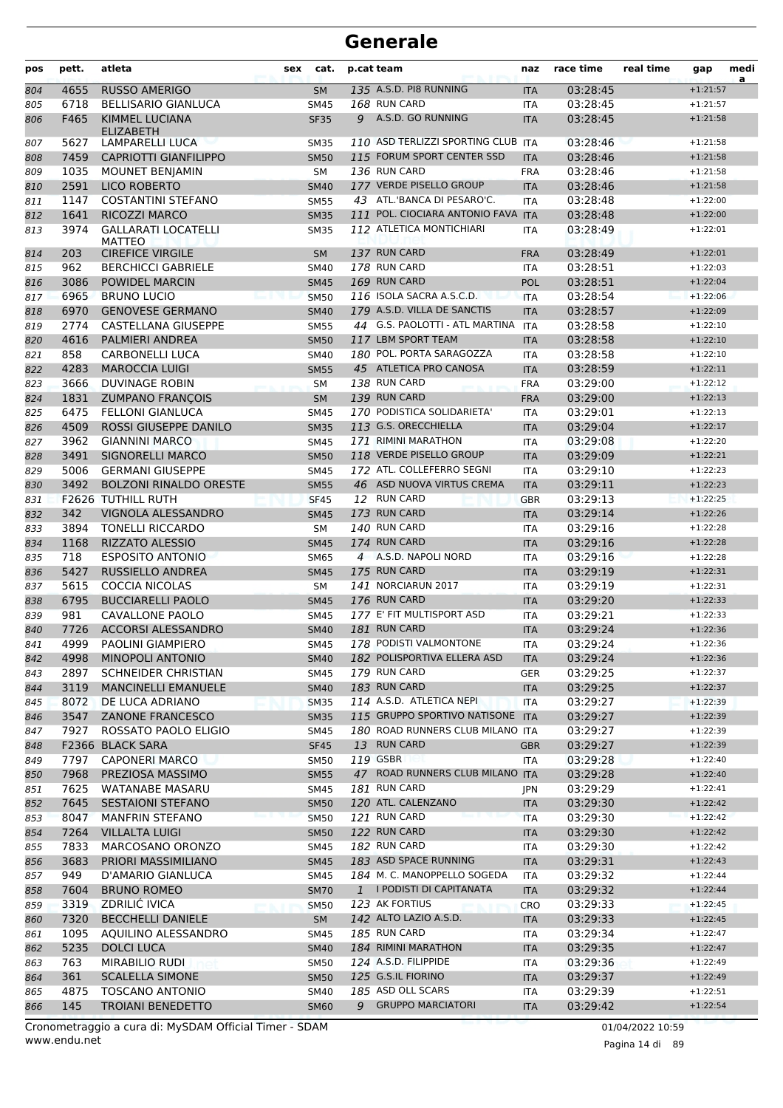| 135 A.S.D. PI8 RUNNING<br>4655<br><b>RUSSO AMERIGO</b><br>03:28:45<br>$+1:21:57$<br>804<br><b>SM</b><br><b>ITA</b><br>168 RUN CARD<br>6718<br><b>BELLISARIO GIANLUCA</b><br>03:28:45<br><b>SM45</b><br><b>ITA</b><br>$+1:21:57$<br>805<br>F465<br><b>KIMMEL LUCIANA</b><br>A.S.D. GO RUNNING<br>9<br>03:28:45<br>806<br><b>SF35</b><br><b>ITA</b><br>$+1:21:58$<br><b>ELIZABETH</b><br>110 ASD TERLIZZI SPORTING CLUB ITA<br>5627<br>LAMPARELLI LUCA<br>03:28:46<br><b>SM35</b><br>$+1:21:58$<br>807<br>115 FORUM SPORT CENTER SSD<br>7459<br><b>CAPRIOTTI GIANFILIPPO</b><br>03:28:46<br><b>SM50</b><br>$+1:21:58$<br><b>ITA</b><br>808<br>136 RUN CARD<br>1035<br>03:28:46<br><b>MOUNET BENJAMIN</b><br>$+1:21:58$<br>809<br><b>SM</b><br><b>FRA</b><br>2591<br>177 VERDE PISELLO GROUP<br>03:28:46<br><b>LICO ROBERTO</b><br><b>SM40</b><br><b>ITA</b><br>$+1:21:58$<br>810<br>43 ATL.'BANCA DI PESARO'C.<br>1147<br><b>COSTANTINI STEFANO</b><br>03:28:48<br>811<br><b>SM55</b><br><b>ITA</b><br>$+1:22:00$<br>111 POL. CIOCIARA ANTONIO FAVA ITA<br>1641<br>RICOZZI MARCO<br><b>SM35</b><br>03:28:48<br>812<br>$+1:22:00$<br>3974<br><b>GALLARATI LOCATELLI</b><br>112 ATLETICA MONTICHIARI<br>03:28:49<br>813<br><b>SM35</b><br>ITA<br>$+1:22:01$<br>MATTEO<br>203<br><b>CIREFICE VIRGILE</b><br>137 RUN CARD<br>03:28:49<br><b>SM</b><br><b>FRA</b><br>$+1:22:01$<br>814<br>178 RUN CARD<br>962<br><b>BERCHICCI GABRIELE</b><br>03:28:51<br>SM40<br><b>ITA</b><br>$+1:22:03$<br>815<br>3086<br>169 RUN CARD<br>03:28:51<br><b>POWIDEL MARCIN</b><br><b>POL</b><br>$+1:22:04$<br><b>SM45</b><br>816<br>116 ISOLA SACRA A.S.C.D.<br>03:28:54<br>6965<br><b>BRUNO LUCIO</b><br>$+1:22:06$<br><b>SM50</b><br><b>ITA</b><br>817<br>179 A.S.D. VILLA DE SANCTIS<br>6970<br><b>GENOVESE GERMANO</b><br>03:28:57<br>818<br><b>SM40</b><br><b>ITA</b><br>$+1:22:09$<br>2774<br><b>CASTELLANA GIUSEPPE</b><br>44 G.S. PAOLOTTI - ATL MARTINA<br><b>ITA</b><br>03:28:58<br>819<br><b>SM55</b><br>$+1:22:10$<br>4616<br><b>PALMIERI ANDREA</b><br>117 LBM SPORT TEAM<br>03:28:58<br><b>SM50</b><br>$+1:22:10$<br>820<br><b>ITA</b><br>858<br>180 POL. PORTA SARAGOZZA<br><b>CARBONELLI LUCA</b><br>03:28:58<br>$+1:22:10$<br>821<br><b>SM40</b><br>ITA<br>4283<br><b>MAROCCIA LUIGI</b><br>45 ATLETICA PRO CANOSA<br>03:28:59<br>822<br><b>SM55</b><br><b>ITA</b><br>$+1:22:11$<br>138 RUN CARD<br>03:29:00<br>3666<br><b>DUVINAGE ROBIN</b><br>823<br><b>FRA</b><br>$+1:22:12$<br><b>SM</b><br>1831<br><b>ZUMPANO FRANÇOIS</b><br>139 RUN CARD<br>824<br><b>SM</b><br><b>FRA</b><br>03:29:00<br>$+1:22:13$<br>6475<br><b>FELLONI GIANLUCA</b><br>170 PODISTICA SOLIDARIETA'<br>03:29:01<br>825<br>ITA<br>$+1:22:13$<br><b>SM45</b><br>4509<br><b>ROSSI GIUSEPPE DANILO</b><br>113 G.S. ORECCHIELLA<br>03:29:04<br><b>SM35</b><br><b>ITA</b><br>$+1:22:17$<br>826<br>3962<br><b>GIANNINI MARCO</b><br>171 RIMINI MARATHON<br>03:29:08<br>$+1:22:20$<br>827<br><b>SM45</b><br><b>ITA</b><br>3491<br>118 VERDE PISELLO GROUP<br>03:29:09<br><b>SIGNORELLI MARCO</b><br><b>SM50</b><br>$+1:22:21$<br>828<br><b>ITA</b><br>5006<br>172 ATL. COLLEFERRO SEGNI<br>03:29:10<br><b>GERMANI GIUSEPPE</b><br>829<br><b>SM45</b><br><b>ITA</b><br>$+1:22:23$<br>46 ASD NUOVA VIRTUS CREMA<br>3492<br><b>BOLZONI RINALDO ORESTE</b><br>03:29:11<br>830<br><b>SM55</b><br><b>ITA</b><br>$+1:22:23$<br>F2626 TUTHILL RUTH<br>12 RUN CARD<br>03:29:13<br>831<br><b>SF45</b><br><b>GBR</b><br>$+1:22:25$<br>342<br>173 RUN CARD<br>VIGNOLA ALESSANDRO<br>03:29:14<br>$+1:22:26$<br><b>SM45</b><br><b>ITA</b><br>832<br><b>140 RUN CARD</b><br>3894<br><b>TONELLI RICCARDO</b><br>03:29:16<br>833<br><b>SM</b><br>$+1:22:28$<br><b>ITA</b><br>1168<br>174 RUN CARD<br><b>RIZZATO ALESSIO</b><br>03:29:16<br>$+1:22:28$<br>834<br><b>SM45</b><br><b>ITA</b><br>718<br>4 A.S.D. NAPOLI NORD<br><b>ESPOSITO ANTONIO</b><br>03:29:16<br>835<br><b>SM65</b><br><b>ITA</b><br>$+1:22:28$<br>175 RUN CARD<br>5427<br>RUSSIELLO ANDREA<br>836<br><b>SM45</b><br><b>ITA</b><br>03:29:19<br>$+1:22:31$<br>5615<br><b>COCCIA NICOLAS</b><br>141 NORCIARUN 2017<br>03:29:19<br>837<br><b>SM</b><br>ITA<br>$+1:22:31$<br>176 RUN CARD<br>6795<br><b>BUCCIARELLI PAOLO</b><br>03:29:20<br><b>ITA</b><br>$+1:22:33$<br>838<br><b>SM45</b><br>981<br>177 E' FIT MULTISPORT ASD<br><b>CAVALLONE PAOLO</b><br>03:29:21<br><b>SM45</b><br><b>ITA</b><br>$+1:22:33$<br>839<br>181 RUN CARD<br>7726<br><b>ACCORSI ALESSANDRO</b><br>03:29:24<br>$+1:22:36$<br>840<br><b>SM40</b><br><b>ITA</b><br>178 PODISTI VALMONTONE<br>4999<br>PAOLINI GIAMPIERO<br>03:29:24<br>$+1:22:36$<br>841<br><b>SM45</b><br><b>ITA</b><br>182 POLISPORTIVA ELLERA ASD<br>4998<br><b>MINOPOLI ANTONIO</b><br>03:29:24<br>$+1:22:36$<br>842<br>SM40<br><b>ITA</b><br>2897<br>179 RUN CARD<br>SCHNEIDER CHRISTIAN<br><b>SM45</b><br><b>GER</b><br>03:29:25<br>$+1:22:37$<br>843<br>183 RUN CARD<br>3119<br><b>MANCINELLI EMANUELE</b><br><b>SM40</b><br><b>ITA</b><br>03:29:25<br>$+1:22:37$<br>844<br>8072<br>114 A.S.D. ATLETICA NEPI<br>DE LUCA ADRIANO<br>03:29:27<br>$+1:22:39$<br><b>SM35</b><br><b>ITA</b><br>845<br>115 GRUPPO SPORTIVO NATISONE ITA<br>3547<br>03:29:27<br>$+1:22:39$<br><b>ZANONE FRANCESCO</b><br><b>SM35</b><br>846<br>180 ROAD RUNNERS CLUB MILANO ITA<br>7927<br>ROSSATO PAOLO ELIGIO<br>03:29:27<br>$+1:22:39$<br>847<br>SM45<br>13 RUN CARD<br>F2366 BLACK SARA<br><b>SF45</b><br>03:29:27<br>848<br><b>GBR</b><br>$+1:22:39$<br>119 GSBR<br>7797<br><b>CAPONERI MARCO</b><br><b>SM50</b><br>03:29:28<br>$+1:22:40$<br>849<br>ITA<br>47 ROAD RUNNERS CLUB MILANO ITA<br>7968<br>PREZIOSA MASSIMO<br>03:29:28<br>$+1:22:40$<br>850<br><b>SM55</b><br>7625<br>181 RUN CARD<br>WATANABE MASARU<br>03:29:29<br>851<br>SM45<br>$+1:22:41$<br>JPN<br>7645<br>120 ATL. CALENZANO<br><b>SESTAIONI STEFANO</b><br><b>SM50</b><br>03:29:30<br>$+1:22:42$<br>852<br>ITA<br>121 RUN CARD<br>8047<br><b>MANFRIN STEFANO</b><br>03:29:30<br>$+1:22:42$<br>853<br><b>SM50</b><br><b>ITA</b><br>122 RUN CARD<br>7264<br><b>VILLALTA LUIGI</b><br>03:29:30<br>854<br><b>SM50</b><br><b>ITA</b><br>$+1:22:42$<br>7833<br>182 RUN CARD<br>MARCOSANO ORONZO<br>03:29:30<br>$+1:22:42$<br>SM45<br>ITA<br>855<br>PRIORI MASSIMILIANO<br>183 ASD SPACE RUNNING<br>3683<br>03:29:31<br>$+1:22:43$<br>856<br><b>SM45</b><br><b>ITA</b><br>949<br>184 M. C. MANOPPELLO SOGEDA<br>D'AMARIO GIANLUCA<br>03:29:32<br>$+1:22:44$<br>SM45<br>ITA<br>857<br>7604<br><b>BRUNO ROMEO</b><br>1 I PODISTI DI CAPITANATA<br>$+1:22:44$<br>03:29:32<br>858<br><b>SM70</b><br><b>ITA</b><br>3319<br><b>ZDRILIC IVICA</b><br>123 AK FORTIUS<br>03:29:33<br>$+1:22:45$<br>859<br><b>SM50</b><br>CRO<br>142 ALTO LAZIO A.S.D.<br>7320<br><b>BECCHELLI DANIELE</b><br>03:29:33<br><b>SM</b><br><b>ITA</b><br>$+1:22:45$<br>860<br>1095<br>AQUILINO ALESSANDRO<br>185 RUN CARD<br>03:29:34<br>$+1:22:47$<br>SM45<br>ITA<br>861<br>5235<br>184 RIMINI MARATHON<br><b>DOLCI LUCA</b><br>03:29:35<br>$+1:22:47$<br>862<br><b>SM40</b><br><b>ITA</b><br>763<br>MIRABILIO RUDI<br>124 A.S.D. FILIPPIDE<br>03:29:36<br>SM50<br>$+1:22:49$<br>863<br>ITA<br>125 G.S.IL FIORINO<br>361<br><b>SCALELLA SIMONE</b><br>03:29:37<br>$+1:22:49$<br><b>SM50</b><br>864<br>ITA<br>185 ASD OLL SCARS<br>4875<br><b>TOSCANO ANTONIO</b><br>03:29:39<br>$+1:22:51$<br>SM40<br>ITA<br>865<br>9 GRUPPO MARCIATORI<br>145<br><b>TROIANI BENEDETTO</b><br>03:29:42<br><b>SM60</b><br><b>ITA</b><br>$+1:22:54$<br>866 | pos | pett. | atleta | sex | cat. | p.cat team | naz | race time | real time | gap | medi<br>a |
|-------------------------------------------------------------------------------------------------------------------------------------------------------------------------------------------------------------------------------------------------------------------------------------------------------------------------------------------------------------------------------------------------------------------------------------------------------------------------------------------------------------------------------------------------------------------------------------------------------------------------------------------------------------------------------------------------------------------------------------------------------------------------------------------------------------------------------------------------------------------------------------------------------------------------------------------------------------------------------------------------------------------------------------------------------------------------------------------------------------------------------------------------------------------------------------------------------------------------------------------------------------------------------------------------------------------------------------------------------------------------------------------------------------------------------------------------------------------------------------------------------------------------------------------------------------------------------------------------------------------------------------------------------------------------------------------------------------------------------------------------------------------------------------------------------------------------------------------------------------------------------------------------------------------------------------------------------------------------------------------------------------------------------------------------------------------------------------------------------------------------------------------------------------------------------------------------------------------------------------------------------------------------------------------------------------------------------------------------------------------------------------------------------------------------------------------------------------------------------------------------------------------------------------------------------------------------------------------------------------------------------------------------------------------------------------------------------------------------------------------------------------------------------------------------------------------------------------------------------------------------------------------------------------------------------------------------------------------------------------------------------------------------------------------------------------------------------------------------------------------------------------------------------------------------------------------------------------------------------------------------------------------------------------------------------------------------------------------------------------------------------------------------------------------------------------------------------------------------------------------------------------------------------------------------------------------------------------------------------------------------------------------------------------------------------------------------------------------------------------------------------------------------------------------------------------------------------------------------------------------------------------------------------------------------------------------------------------------------------------------------------------------------------------------------------------------------------------------------------------------------------------------------------------------------------------------------------------------------------------------------------------------------------------------------------------------------------------------------------------------------------------------------------------------------------------------------------------------------------------------------------------------------------------------------------------------------------------------------------------------------------------------------------------------------------------------------------------------------------------------------------------------------------------------------------------------------------------------------------------------------------------------------------------------------------------------------------------------------------------------------------------------------------------------------------------------------------------------------------------------------------------------------------------------------------------------------------------------------------------------------------------------------------------------------------------------------------------------------------------------------------------------------------------------------------------------------------------------------------------------------------------------------------------------------------------------------------------------------------------------------------------------------------------------------------------------------------------------------------------------------------------------------------------------------------------------------------------------------------------------------------------------------------------------------------------------------------------------------------------------------------------------------------------------------------------------------------------------------------------------------------------------------------------------------------------------------------------------------------------------------------------------------------------------------------------------------------------------------------------------------------------------------------------------------------------------------------------------------------------------------------------------------------------------------------------------------------------------------------------------------------------------------------------------------------------------------------------------------------------------------------------------------------------------------------------------------------------------------------------------------------------------------------------------------------------------------------------------------------------------------------------------------------------------------------------------------------------------------------------------------------------------------------------------------------------------------------------------------------------------------------------------------------------------------------------------------------------------------------------------------------------------------------------------------------------------------------------------------------------------------------------------|-----|-------|--------|-----|------|------------|-----|-----------|-----------|-----|-----------|
|                                                                                                                                                                                                                                                                                                                                                                                                                                                                                                                                                                                                                                                                                                                                                                                                                                                                                                                                                                                                                                                                                                                                                                                                                                                                                                                                                                                                                                                                                                                                                                                                                                                                                                                                                                                                                                                                                                                                                                                                                                                                                                                                                                                                                                                                                                                                                                                                                                                                                                                                                                                                                                                                                                                                                                                                                                                                                                                                                                                                                                                                                                                                                                                                                                                                                                                                                                                                                                                                                                                                                                                                                                                                                                                                                                                                                                                                                                                                                                                                                                                                                                                                                                                                                                                                                                                                                                                                                                                                                                                                                                                                                                                                                                                                                                                                                                                                                                                                                                                                                                                                                                                                                                                                                                                                                                                                                                                                                                                                                                                                                                                                                                                                                                                                                                                                                                                                                                                                                                                                                                                                                                                                                                                                                                                                                                                                                                                                                                                                                                                                                                                                                                                                                                                                                                                                                                                                                                                                                                                                                                                                                                                                                                                                                                                                                                                                                                                                                                                                                                                   |     |       |        |     |      |            |     |           |           |     |           |
|                                                                                                                                                                                                                                                                                                                                                                                                                                                                                                                                                                                                                                                                                                                                                                                                                                                                                                                                                                                                                                                                                                                                                                                                                                                                                                                                                                                                                                                                                                                                                                                                                                                                                                                                                                                                                                                                                                                                                                                                                                                                                                                                                                                                                                                                                                                                                                                                                                                                                                                                                                                                                                                                                                                                                                                                                                                                                                                                                                                                                                                                                                                                                                                                                                                                                                                                                                                                                                                                                                                                                                                                                                                                                                                                                                                                                                                                                                                                                                                                                                                                                                                                                                                                                                                                                                                                                                                                                                                                                                                                                                                                                                                                                                                                                                                                                                                                                                                                                                                                                                                                                                                                                                                                                                                                                                                                                                                                                                                                                                                                                                                                                                                                                                                                                                                                                                                                                                                                                                                                                                                                                                                                                                                                                                                                                                                                                                                                                                                                                                                                                                                                                                                                                                                                                                                                                                                                                                                                                                                                                                                                                                                                                                                                                                                                                                                                                                                                                                                                                                                   |     |       |        |     |      |            |     |           |           |     |           |
|                                                                                                                                                                                                                                                                                                                                                                                                                                                                                                                                                                                                                                                                                                                                                                                                                                                                                                                                                                                                                                                                                                                                                                                                                                                                                                                                                                                                                                                                                                                                                                                                                                                                                                                                                                                                                                                                                                                                                                                                                                                                                                                                                                                                                                                                                                                                                                                                                                                                                                                                                                                                                                                                                                                                                                                                                                                                                                                                                                                                                                                                                                                                                                                                                                                                                                                                                                                                                                                                                                                                                                                                                                                                                                                                                                                                                                                                                                                                                                                                                                                                                                                                                                                                                                                                                                                                                                                                                                                                                                                                                                                                                                                                                                                                                                                                                                                                                                                                                                                                                                                                                                                                                                                                                                                                                                                                                                                                                                                                                                                                                                                                                                                                                                                                                                                                                                                                                                                                                                                                                                                                                                                                                                                                                                                                                                                                                                                                                                                                                                                                                                                                                                                                                                                                                                                                                                                                                                                                                                                                                                                                                                                                                                                                                                                                                                                                                                                                                                                                                                                   |     |       |        |     |      |            |     |           |           |     |           |
|                                                                                                                                                                                                                                                                                                                                                                                                                                                                                                                                                                                                                                                                                                                                                                                                                                                                                                                                                                                                                                                                                                                                                                                                                                                                                                                                                                                                                                                                                                                                                                                                                                                                                                                                                                                                                                                                                                                                                                                                                                                                                                                                                                                                                                                                                                                                                                                                                                                                                                                                                                                                                                                                                                                                                                                                                                                                                                                                                                                                                                                                                                                                                                                                                                                                                                                                                                                                                                                                                                                                                                                                                                                                                                                                                                                                                                                                                                                                                                                                                                                                                                                                                                                                                                                                                                                                                                                                                                                                                                                                                                                                                                                                                                                                                                                                                                                                                                                                                                                                                                                                                                                                                                                                                                                                                                                                                                                                                                                                                                                                                                                                                                                                                                                                                                                                                                                                                                                                                                                                                                                                                                                                                                                                                                                                                                                                                                                                                                                                                                                                                                                                                                                                                                                                                                                                                                                                                                                                                                                                                                                                                                                                                                                                                                                                                                                                                                                                                                                                                                                   |     |       |        |     |      |            |     |           |           |     |           |
|                                                                                                                                                                                                                                                                                                                                                                                                                                                                                                                                                                                                                                                                                                                                                                                                                                                                                                                                                                                                                                                                                                                                                                                                                                                                                                                                                                                                                                                                                                                                                                                                                                                                                                                                                                                                                                                                                                                                                                                                                                                                                                                                                                                                                                                                                                                                                                                                                                                                                                                                                                                                                                                                                                                                                                                                                                                                                                                                                                                                                                                                                                                                                                                                                                                                                                                                                                                                                                                                                                                                                                                                                                                                                                                                                                                                                                                                                                                                                                                                                                                                                                                                                                                                                                                                                                                                                                                                                                                                                                                                                                                                                                                                                                                                                                                                                                                                                                                                                                                                                                                                                                                                                                                                                                                                                                                                                                                                                                                                                                                                                                                                                                                                                                                                                                                                                                                                                                                                                                                                                                                                                                                                                                                                                                                                                                                                                                                                                                                                                                                                                                                                                                                                                                                                                                                                                                                                                                                                                                                                                                                                                                                                                                                                                                                                                                                                                                                                                                                                                                                   |     |       |        |     |      |            |     |           |           |     |           |
|                                                                                                                                                                                                                                                                                                                                                                                                                                                                                                                                                                                                                                                                                                                                                                                                                                                                                                                                                                                                                                                                                                                                                                                                                                                                                                                                                                                                                                                                                                                                                                                                                                                                                                                                                                                                                                                                                                                                                                                                                                                                                                                                                                                                                                                                                                                                                                                                                                                                                                                                                                                                                                                                                                                                                                                                                                                                                                                                                                                                                                                                                                                                                                                                                                                                                                                                                                                                                                                                                                                                                                                                                                                                                                                                                                                                                                                                                                                                                                                                                                                                                                                                                                                                                                                                                                                                                                                                                                                                                                                                                                                                                                                                                                                                                                                                                                                                                                                                                                                                                                                                                                                                                                                                                                                                                                                                                                                                                                                                                                                                                                                                                                                                                                                                                                                                                                                                                                                                                                                                                                                                                                                                                                                                                                                                                                                                                                                                                                                                                                                                                                                                                                                                                                                                                                                                                                                                                                                                                                                                                                                                                                                                                                                                                                                                                                                                                                                                                                                                                                                   |     |       |        |     |      |            |     |           |           |     |           |
|                                                                                                                                                                                                                                                                                                                                                                                                                                                                                                                                                                                                                                                                                                                                                                                                                                                                                                                                                                                                                                                                                                                                                                                                                                                                                                                                                                                                                                                                                                                                                                                                                                                                                                                                                                                                                                                                                                                                                                                                                                                                                                                                                                                                                                                                                                                                                                                                                                                                                                                                                                                                                                                                                                                                                                                                                                                                                                                                                                                                                                                                                                                                                                                                                                                                                                                                                                                                                                                                                                                                                                                                                                                                                                                                                                                                                                                                                                                                                                                                                                                                                                                                                                                                                                                                                                                                                                                                                                                                                                                                                                                                                                                                                                                                                                                                                                                                                                                                                                                                                                                                                                                                                                                                                                                                                                                                                                                                                                                                                                                                                                                                                                                                                                                                                                                                                                                                                                                                                                                                                                                                                                                                                                                                                                                                                                                                                                                                                                                                                                                                                                                                                                                                                                                                                                                                                                                                                                                                                                                                                                                                                                                                                                                                                                                                                                                                                                                                                                                                                                                   |     |       |        |     |      |            |     |           |           |     |           |
|                                                                                                                                                                                                                                                                                                                                                                                                                                                                                                                                                                                                                                                                                                                                                                                                                                                                                                                                                                                                                                                                                                                                                                                                                                                                                                                                                                                                                                                                                                                                                                                                                                                                                                                                                                                                                                                                                                                                                                                                                                                                                                                                                                                                                                                                                                                                                                                                                                                                                                                                                                                                                                                                                                                                                                                                                                                                                                                                                                                                                                                                                                                                                                                                                                                                                                                                                                                                                                                                                                                                                                                                                                                                                                                                                                                                                                                                                                                                                                                                                                                                                                                                                                                                                                                                                                                                                                                                                                                                                                                                                                                                                                                                                                                                                                                                                                                                                                                                                                                                                                                                                                                                                                                                                                                                                                                                                                                                                                                                                                                                                                                                                                                                                                                                                                                                                                                                                                                                                                                                                                                                                                                                                                                                                                                                                                                                                                                                                                                                                                                                                                                                                                                                                                                                                                                                                                                                                                                                                                                                                                                                                                                                                                                                                                                                                                                                                                                                                                                                                                                   |     |       |        |     |      |            |     |           |           |     |           |
|                                                                                                                                                                                                                                                                                                                                                                                                                                                                                                                                                                                                                                                                                                                                                                                                                                                                                                                                                                                                                                                                                                                                                                                                                                                                                                                                                                                                                                                                                                                                                                                                                                                                                                                                                                                                                                                                                                                                                                                                                                                                                                                                                                                                                                                                                                                                                                                                                                                                                                                                                                                                                                                                                                                                                                                                                                                                                                                                                                                                                                                                                                                                                                                                                                                                                                                                                                                                                                                                                                                                                                                                                                                                                                                                                                                                                                                                                                                                                                                                                                                                                                                                                                                                                                                                                                                                                                                                                                                                                                                                                                                                                                                                                                                                                                                                                                                                                                                                                                                                                                                                                                                                                                                                                                                                                                                                                                                                                                                                                                                                                                                                                                                                                                                                                                                                                                                                                                                                                                                                                                                                                                                                                                                                                                                                                                                                                                                                                                                                                                                                                                                                                                                                                                                                                                                                                                                                                                                                                                                                                                                                                                                                                                                                                                                                                                                                                                                                                                                                                                                   |     |       |        |     |      |            |     |           |           |     |           |
|                                                                                                                                                                                                                                                                                                                                                                                                                                                                                                                                                                                                                                                                                                                                                                                                                                                                                                                                                                                                                                                                                                                                                                                                                                                                                                                                                                                                                                                                                                                                                                                                                                                                                                                                                                                                                                                                                                                                                                                                                                                                                                                                                                                                                                                                                                                                                                                                                                                                                                                                                                                                                                                                                                                                                                                                                                                                                                                                                                                                                                                                                                                                                                                                                                                                                                                                                                                                                                                                                                                                                                                                                                                                                                                                                                                                                                                                                                                                                                                                                                                                                                                                                                                                                                                                                                                                                                                                                                                                                                                                                                                                                                                                                                                                                                                                                                                                                                                                                                                                                                                                                                                                                                                                                                                                                                                                                                                                                                                                                                                                                                                                                                                                                                                                                                                                                                                                                                                                                                                                                                                                                                                                                                                                                                                                                                                                                                                                                                                                                                                                                                                                                                                                                                                                                                                                                                                                                                                                                                                                                                                                                                                                                                                                                                                                                                                                                                                                                                                                                                                   |     |       |        |     |      |            |     |           |           |     |           |
|                                                                                                                                                                                                                                                                                                                                                                                                                                                                                                                                                                                                                                                                                                                                                                                                                                                                                                                                                                                                                                                                                                                                                                                                                                                                                                                                                                                                                                                                                                                                                                                                                                                                                                                                                                                                                                                                                                                                                                                                                                                                                                                                                                                                                                                                                                                                                                                                                                                                                                                                                                                                                                                                                                                                                                                                                                                                                                                                                                                                                                                                                                                                                                                                                                                                                                                                                                                                                                                                                                                                                                                                                                                                                                                                                                                                                                                                                                                                                                                                                                                                                                                                                                                                                                                                                                                                                                                                                                                                                                                                                                                                                                                                                                                                                                                                                                                                                                                                                                                                                                                                                                                                                                                                                                                                                                                                                                                                                                                                                                                                                                                                                                                                                                                                                                                                                                                                                                                                                                                                                                                                                                                                                                                                                                                                                                                                                                                                                                                                                                                                                                                                                                                                                                                                                                                                                                                                                                                                                                                                                                                                                                                                                                                                                                                                                                                                                                                                                                                                                                                   |     |       |        |     |      |            |     |           |           |     |           |
|                                                                                                                                                                                                                                                                                                                                                                                                                                                                                                                                                                                                                                                                                                                                                                                                                                                                                                                                                                                                                                                                                                                                                                                                                                                                                                                                                                                                                                                                                                                                                                                                                                                                                                                                                                                                                                                                                                                                                                                                                                                                                                                                                                                                                                                                                                                                                                                                                                                                                                                                                                                                                                                                                                                                                                                                                                                                                                                                                                                                                                                                                                                                                                                                                                                                                                                                                                                                                                                                                                                                                                                                                                                                                                                                                                                                                                                                                                                                                                                                                                                                                                                                                                                                                                                                                                                                                                                                                                                                                                                                                                                                                                                                                                                                                                                                                                                                                                                                                                                                                                                                                                                                                                                                                                                                                                                                                                                                                                                                                                                                                                                                                                                                                                                                                                                                                                                                                                                                                                                                                                                                                                                                                                                                                                                                                                                                                                                                                                                                                                                                                                                                                                                                                                                                                                                                                                                                                                                                                                                                                                                                                                                                                                                                                                                                                                                                                                                                                                                                                                                   |     |       |        |     |      |            |     |           |           |     |           |
|                                                                                                                                                                                                                                                                                                                                                                                                                                                                                                                                                                                                                                                                                                                                                                                                                                                                                                                                                                                                                                                                                                                                                                                                                                                                                                                                                                                                                                                                                                                                                                                                                                                                                                                                                                                                                                                                                                                                                                                                                                                                                                                                                                                                                                                                                                                                                                                                                                                                                                                                                                                                                                                                                                                                                                                                                                                                                                                                                                                                                                                                                                                                                                                                                                                                                                                                                                                                                                                                                                                                                                                                                                                                                                                                                                                                                                                                                                                                                                                                                                                                                                                                                                                                                                                                                                                                                                                                                                                                                                                                                                                                                                                                                                                                                                                                                                                                                                                                                                                                                                                                                                                                                                                                                                                                                                                                                                                                                                                                                                                                                                                                                                                                                                                                                                                                                                                                                                                                                                                                                                                                                                                                                                                                                                                                                                                                                                                                                                                                                                                                                                                                                                                                                                                                                                                                                                                                                                                                                                                                                                                                                                                                                                                                                                                                                                                                                                                                                                                                                                                   |     |       |        |     |      |            |     |           |           |     |           |
|                                                                                                                                                                                                                                                                                                                                                                                                                                                                                                                                                                                                                                                                                                                                                                                                                                                                                                                                                                                                                                                                                                                                                                                                                                                                                                                                                                                                                                                                                                                                                                                                                                                                                                                                                                                                                                                                                                                                                                                                                                                                                                                                                                                                                                                                                                                                                                                                                                                                                                                                                                                                                                                                                                                                                                                                                                                                                                                                                                                                                                                                                                                                                                                                                                                                                                                                                                                                                                                                                                                                                                                                                                                                                                                                                                                                                                                                                                                                                                                                                                                                                                                                                                                                                                                                                                                                                                                                                                                                                                                                                                                                                                                                                                                                                                                                                                                                                                                                                                                                                                                                                                                                                                                                                                                                                                                                                                                                                                                                                                                                                                                                                                                                                                                                                                                                                                                                                                                                                                                                                                                                                                                                                                                                                                                                                                                                                                                                                                                                                                                                                                                                                                                                                                                                                                                                                                                                                                                                                                                                                                                                                                                                                                                                                                                                                                                                                                                                                                                                                                                   |     |       |        |     |      |            |     |           |           |     |           |
|                                                                                                                                                                                                                                                                                                                                                                                                                                                                                                                                                                                                                                                                                                                                                                                                                                                                                                                                                                                                                                                                                                                                                                                                                                                                                                                                                                                                                                                                                                                                                                                                                                                                                                                                                                                                                                                                                                                                                                                                                                                                                                                                                                                                                                                                                                                                                                                                                                                                                                                                                                                                                                                                                                                                                                                                                                                                                                                                                                                                                                                                                                                                                                                                                                                                                                                                                                                                                                                                                                                                                                                                                                                                                                                                                                                                                                                                                                                                                                                                                                                                                                                                                                                                                                                                                                                                                                                                                                                                                                                                                                                                                                                                                                                                                                                                                                                                                                                                                                                                                                                                                                                                                                                                                                                                                                                                                                                                                                                                                                                                                                                                                                                                                                                                                                                                                                                                                                                                                                                                                                                                                                                                                                                                                                                                                                                                                                                                                                                                                                                                                                                                                                                                                                                                                                                                                                                                                                                                                                                                                                                                                                                                                                                                                                                                                                                                                                                                                                                                                                                   |     |       |        |     |      |            |     |           |           |     |           |
|                                                                                                                                                                                                                                                                                                                                                                                                                                                                                                                                                                                                                                                                                                                                                                                                                                                                                                                                                                                                                                                                                                                                                                                                                                                                                                                                                                                                                                                                                                                                                                                                                                                                                                                                                                                                                                                                                                                                                                                                                                                                                                                                                                                                                                                                                                                                                                                                                                                                                                                                                                                                                                                                                                                                                                                                                                                                                                                                                                                                                                                                                                                                                                                                                                                                                                                                                                                                                                                                                                                                                                                                                                                                                                                                                                                                                                                                                                                                                                                                                                                                                                                                                                                                                                                                                                                                                                                                                                                                                                                                                                                                                                                                                                                                                                                                                                                                                                                                                                                                                                                                                                                                                                                                                                                                                                                                                                                                                                                                                                                                                                                                                                                                                                                                                                                                                                                                                                                                                                                                                                                                                                                                                                                                                                                                                                                                                                                                                                                                                                                                                                                                                                                                                                                                                                                                                                                                                                                                                                                                                                                                                                                                                                                                                                                                                                                                                                                                                                                                                                                   |     |       |        |     |      |            |     |           |           |     |           |
|                                                                                                                                                                                                                                                                                                                                                                                                                                                                                                                                                                                                                                                                                                                                                                                                                                                                                                                                                                                                                                                                                                                                                                                                                                                                                                                                                                                                                                                                                                                                                                                                                                                                                                                                                                                                                                                                                                                                                                                                                                                                                                                                                                                                                                                                                                                                                                                                                                                                                                                                                                                                                                                                                                                                                                                                                                                                                                                                                                                                                                                                                                                                                                                                                                                                                                                                                                                                                                                                                                                                                                                                                                                                                                                                                                                                                                                                                                                                                                                                                                                                                                                                                                                                                                                                                                                                                                                                                                                                                                                                                                                                                                                                                                                                                                                                                                                                                                                                                                                                                                                                                                                                                                                                                                                                                                                                                                                                                                                                                                                                                                                                                                                                                                                                                                                                                                                                                                                                                                                                                                                                                                                                                                                                                                                                                                                                                                                                                                                                                                                                                                                                                                                                                                                                                                                                                                                                                                                                                                                                                                                                                                                                                                                                                                                                                                                                                                                                                                                                                                                   |     |       |        |     |      |            |     |           |           |     |           |
|                                                                                                                                                                                                                                                                                                                                                                                                                                                                                                                                                                                                                                                                                                                                                                                                                                                                                                                                                                                                                                                                                                                                                                                                                                                                                                                                                                                                                                                                                                                                                                                                                                                                                                                                                                                                                                                                                                                                                                                                                                                                                                                                                                                                                                                                                                                                                                                                                                                                                                                                                                                                                                                                                                                                                                                                                                                                                                                                                                                                                                                                                                                                                                                                                                                                                                                                                                                                                                                                                                                                                                                                                                                                                                                                                                                                                                                                                                                                                                                                                                                                                                                                                                                                                                                                                                                                                                                                                                                                                                                                                                                                                                                                                                                                                                                                                                                                                                                                                                                                                                                                                                                                                                                                                                                                                                                                                                                                                                                                                                                                                                                                                                                                                                                                                                                                                                                                                                                                                                                                                                                                                                                                                                                                                                                                                                                                                                                                                                                                                                                                                                                                                                                                                                                                                                                                                                                                                                                                                                                                                                                                                                                                                                                                                                                                                                                                                                                                                                                                                                                   |     |       |        |     |      |            |     |           |           |     |           |
|                                                                                                                                                                                                                                                                                                                                                                                                                                                                                                                                                                                                                                                                                                                                                                                                                                                                                                                                                                                                                                                                                                                                                                                                                                                                                                                                                                                                                                                                                                                                                                                                                                                                                                                                                                                                                                                                                                                                                                                                                                                                                                                                                                                                                                                                                                                                                                                                                                                                                                                                                                                                                                                                                                                                                                                                                                                                                                                                                                                                                                                                                                                                                                                                                                                                                                                                                                                                                                                                                                                                                                                                                                                                                                                                                                                                                                                                                                                                                                                                                                                                                                                                                                                                                                                                                                                                                                                                                                                                                                                                                                                                                                                                                                                                                                                                                                                                                                                                                                                                                                                                                                                                                                                                                                                                                                                                                                                                                                                                                                                                                                                                                                                                                                                                                                                                                                                                                                                                                                                                                                                                                                                                                                                                                                                                                                                                                                                                                                                                                                                                                                                                                                                                                                                                                                                                                                                                                                                                                                                                                                                                                                                                                                                                                                                                                                                                                                                                                                                                                                                   |     |       |        |     |      |            |     |           |           |     |           |
|                                                                                                                                                                                                                                                                                                                                                                                                                                                                                                                                                                                                                                                                                                                                                                                                                                                                                                                                                                                                                                                                                                                                                                                                                                                                                                                                                                                                                                                                                                                                                                                                                                                                                                                                                                                                                                                                                                                                                                                                                                                                                                                                                                                                                                                                                                                                                                                                                                                                                                                                                                                                                                                                                                                                                                                                                                                                                                                                                                                                                                                                                                                                                                                                                                                                                                                                                                                                                                                                                                                                                                                                                                                                                                                                                                                                                                                                                                                                                                                                                                                                                                                                                                                                                                                                                                                                                                                                                                                                                                                                                                                                                                                                                                                                                                                                                                                                                                                                                                                                                                                                                                                                                                                                                                                                                                                                                                                                                                                                                                                                                                                                                                                                                                                                                                                                                                                                                                                                                                                                                                                                                                                                                                                                                                                                                                                                                                                                                                                                                                                                                                                                                                                                                                                                                                                                                                                                                                                                                                                                                                                                                                                                                                                                                                                                                                                                                                                                                                                                                                                   |     |       |        |     |      |            |     |           |           |     |           |
|                                                                                                                                                                                                                                                                                                                                                                                                                                                                                                                                                                                                                                                                                                                                                                                                                                                                                                                                                                                                                                                                                                                                                                                                                                                                                                                                                                                                                                                                                                                                                                                                                                                                                                                                                                                                                                                                                                                                                                                                                                                                                                                                                                                                                                                                                                                                                                                                                                                                                                                                                                                                                                                                                                                                                                                                                                                                                                                                                                                                                                                                                                                                                                                                                                                                                                                                                                                                                                                                                                                                                                                                                                                                                                                                                                                                                                                                                                                                                                                                                                                                                                                                                                                                                                                                                                                                                                                                                                                                                                                                                                                                                                                                                                                                                                                                                                                                                                                                                                                                                                                                                                                                                                                                                                                                                                                                                                                                                                                                                                                                                                                                                                                                                                                                                                                                                                                                                                                                                                                                                                                                                                                                                                                                                                                                                                                                                                                                                                                                                                                                                                                                                                                                                                                                                                                                                                                                                                                                                                                                                                                                                                                                                                                                                                                                                                                                                                                                                                                                                                                   |     |       |        |     |      |            |     |           |           |     |           |
|                                                                                                                                                                                                                                                                                                                                                                                                                                                                                                                                                                                                                                                                                                                                                                                                                                                                                                                                                                                                                                                                                                                                                                                                                                                                                                                                                                                                                                                                                                                                                                                                                                                                                                                                                                                                                                                                                                                                                                                                                                                                                                                                                                                                                                                                                                                                                                                                                                                                                                                                                                                                                                                                                                                                                                                                                                                                                                                                                                                                                                                                                                                                                                                                                                                                                                                                                                                                                                                                                                                                                                                                                                                                                                                                                                                                                                                                                                                                                                                                                                                                                                                                                                                                                                                                                                                                                                                                                                                                                                                                                                                                                                                                                                                                                                                                                                                                                                                                                                                                                                                                                                                                                                                                                                                                                                                                                                                                                                                                                                                                                                                                                                                                                                                                                                                                                                                                                                                                                                                                                                                                                                                                                                                                                                                                                                                                                                                                                                                                                                                                                                                                                                                                                                                                                                                                                                                                                                                                                                                                                                                                                                                                                                                                                                                                                                                                                                                                                                                                                                                   |     |       |        |     |      |            |     |           |           |     |           |
|                                                                                                                                                                                                                                                                                                                                                                                                                                                                                                                                                                                                                                                                                                                                                                                                                                                                                                                                                                                                                                                                                                                                                                                                                                                                                                                                                                                                                                                                                                                                                                                                                                                                                                                                                                                                                                                                                                                                                                                                                                                                                                                                                                                                                                                                                                                                                                                                                                                                                                                                                                                                                                                                                                                                                                                                                                                                                                                                                                                                                                                                                                                                                                                                                                                                                                                                                                                                                                                                                                                                                                                                                                                                                                                                                                                                                                                                                                                                                                                                                                                                                                                                                                                                                                                                                                                                                                                                                                                                                                                                                                                                                                                                                                                                                                                                                                                                                                                                                                                                                                                                                                                                                                                                                                                                                                                                                                                                                                                                                                                                                                                                                                                                                                                                                                                                                                                                                                                                                                                                                                                                                                                                                                                                                                                                                                                                                                                                                                                                                                                                                                                                                                                                                                                                                                                                                                                                                                                                                                                                                                                                                                                                                                                                                                                                                                                                                                                                                                                                                                                   |     |       |        |     |      |            |     |           |           |     |           |
|                                                                                                                                                                                                                                                                                                                                                                                                                                                                                                                                                                                                                                                                                                                                                                                                                                                                                                                                                                                                                                                                                                                                                                                                                                                                                                                                                                                                                                                                                                                                                                                                                                                                                                                                                                                                                                                                                                                                                                                                                                                                                                                                                                                                                                                                                                                                                                                                                                                                                                                                                                                                                                                                                                                                                                                                                                                                                                                                                                                                                                                                                                                                                                                                                                                                                                                                                                                                                                                                                                                                                                                                                                                                                                                                                                                                                                                                                                                                                                                                                                                                                                                                                                                                                                                                                                                                                                                                                                                                                                                                                                                                                                                                                                                                                                                                                                                                                                                                                                                                                                                                                                                                                                                                                                                                                                                                                                                                                                                                                                                                                                                                                                                                                                                                                                                                                                                                                                                                                                                                                                                                                                                                                                                                                                                                                                                                                                                                                                                                                                                                                                                                                                                                                                                                                                                                                                                                                                                                                                                                                                                                                                                                                                                                                                                                                                                                                                                                                                                                                                                   |     |       |        |     |      |            |     |           |           |     |           |
|                                                                                                                                                                                                                                                                                                                                                                                                                                                                                                                                                                                                                                                                                                                                                                                                                                                                                                                                                                                                                                                                                                                                                                                                                                                                                                                                                                                                                                                                                                                                                                                                                                                                                                                                                                                                                                                                                                                                                                                                                                                                                                                                                                                                                                                                                                                                                                                                                                                                                                                                                                                                                                                                                                                                                                                                                                                                                                                                                                                                                                                                                                                                                                                                                                                                                                                                                                                                                                                                                                                                                                                                                                                                                                                                                                                                                                                                                                                                                                                                                                                                                                                                                                                                                                                                                                                                                                                                                                                                                                                                                                                                                                                                                                                                                                                                                                                                                                                                                                                                                                                                                                                                                                                                                                                                                                                                                                                                                                                                                                                                                                                                                                                                                                                                                                                                                                                                                                                                                                                                                                                                                                                                                                                                                                                                                                                                                                                                                                                                                                                                                                                                                                                                                                                                                                                                                                                                                                                                                                                                                                                                                                                                                                                                                                                                                                                                                                                                                                                                                                                   |     |       |        |     |      |            |     |           |           |     |           |
|                                                                                                                                                                                                                                                                                                                                                                                                                                                                                                                                                                                                                                                                                                                                                                                                                                                                                                                                                                                                                                                                                                                                                                                                                                                                                                                                                                                                                                                                                                                                                                                                                                                                                                                                                                                                                                                                                                                                                                                                                                                                                                                                                                                                                                                                                                                                                                                                                                                                                                                                                                                                                                                                                                                                                                                                                                                                                                                                                                                                                                                                                                                                                                                                                                                                                                                                                                                                                                                                                                                                                                                                                                                                                                                                                                                                                                                                                                                                                                                                                                                                                                                                                                                                                                                                                                                                                                                                                                                                                                                                                                                                                                                                                                                                                                                                                                                                                                                                                                                                                                                                                                                                                                                                                                                                                                                                                                                                                                                                                                                                                                                                                                                                                                                                                                                                                                                                                                                                                                                                                                                                                                                                                                                                                                                                                                                                                                                                                                                                                                                                                                                                                                                                                                                                                                                                                                                                                                                                                                                                                                                                                                                                                                                                                                                                                                                                                                                                                                                                                                                   |     |       |        |     |      |            |     |           |           |     |           |
|                                                                                                                                                                                                                                                                                                                                                                                                                                                                                                                                                                                                                                                                                                                                                                                                                                                                                                                                                                                                                                                                                                                                                                                                                                                                                                                                                                                                                                                                                                                                                                                                                                                                                                                                                                                                                                                                                                                                                                                                                                                                                                                                                                                                                                                                                                                                                                                                                                                                                                                                                                                                                                                                                                                                                                                                                                                                                                                                                                                                                                                                                                                                                                                                                                                                                                                                                                                                                                                                                                                                                                                                                                                                                                                                                                                                                                                                                                                                                                                                                                                                                                                                                                                                                                                                                                                                                                                                                                                                                                                                                                                                                                                                                                                                                                                                                                                                                                                                                                                                                                                                                                                                                                                                                                                                                                                                                                                                                                                                                                                                                                                                                                                                                                                                                                                                                                                                                                                                                                                                                                                                                                                                                                                                                                                                                                                                                                                                                                                                                                                                                                                                                                                                                                                                                                                                                                                                                                                                                                                                                                                                                                                                                                                                                                                                                                                                                                                                                                                                                                                   |     |       |        |     |      |            |     |           |           |     |           |
|                                                                                                                                                                                                                                                                                                                                                                                                                                                                                                                                                                                                                                                                                                                                                                                                                                                                                                                                                                                                                                                                                                                                                                                                                                                                                                                                                                                                                                                                                                                                                                                                                                                                                                                                                                                                                                                                                                                                                                                                                                                                                                                                                                                                                                                                                                                                                                                                                                                                                                                                                                                                                                                                                                                                                                                                                                                                                                                                                                                                                                                                                                                                                                                                                                                                                                                                                                                                                                                                                                                                                                                                                                                                                                                                                                                                                                                                                                                                                                                                                                                                                                                                                                                                                                                                                                                                                                                                                                                                                                                                                                                                                                                                                                                                                                                                                                                                                                                                                                                                                                                                                                                                                                                                                                                                                                                                                                                                                                                                                                                                                                                                                                                                                                                                                                                                                                                                                                                                                                                                                                                                                                                                                                                                                                                                                                                                                                                                                                                                                                                                                                                                                                                                                                                                                                                                                                                                                                                                                                                                                                                                                                                                                                                                                                                                                                                                                                                                                                                                                                                   |     |       |        |     |      |            |     |           |           |     |           |
|                                                                                                                                                                                                                                                                                                                                                                                                                                                                                                                                                                                                                                                                                                                                                                                                                                                                                                                                                                                                                                                                                                                                                                                                                                                                                                                                                                                                                                                                                                                                                                                                                                                                                                                                                                                                                                                                                                                                                                                                                                                                                                                                                                                                                                                                                                                                                                                                                                                                                                                                                                                                                                                                                                                                                                                                                                                                                                                                                                                                                                                                                                                                                                                                                                                                                                                                                                                                                                                                                                                                                                                                                                                                                                                                                                                                                                                                                                                                                                                                                                                                                                                                                                                                                                                                                                                                                                                                                                                                                                                                                                                                                                                                                                                                                                                                                                                                                                                                                                                                                                                                                                                                                                                                                                                                                                                                                                                                                                                                                                                                                                                                                                                                                                                                                                                                                                                                                                                                                                                                                                                                                                                                                                                                                                                                                                                                                                                                                                                                                                                                                                                                                                                                                                                                                                                                                                                                                                                                                                                                                                                                                                                                                                                                                                                                                                                                                                                                                                                                                                                   |     |       |        |     |      |            |     |           |           |     |           |
|                                                                                                                                                                                                                                                                                                                                                                                                                                                                                                                                                                                                                                                                                                                                                                                                                                                                                                                                                                                                                                                                                                                                                                                                                                                                                                                                                                                                                                                                                                                                                                                                                                                                                                                                                                                                                                                                                                                                                                                                                                                                                                                                                                                                                                                                                                                                                                                                                                                                                                                                                                                                                                                                                                                                                                                                                                                                                                                                                                                                                                                                                                                                                                                                                                                                                                                                                                                                                                                                                                                                                                                                                                                                                                                                                                                                                                                                                                                                                                                                                                                                                                                                                                                                                                                                                                                                                                                                                                                                                                                                                                                                                                                                                                                                                                                                                                                                                                                                                                                                                                                                                                                                                                                                                                                                                                                                                                                                                                                                                                                                                                                                                                                                                                                                                                                                                                                                                                                                                                                                                                                                                                                                                                                                                                                                                                                                                                                                                                                                                                                                                                                                                                                                                                                                                                                                                                                                                                                                                                                                                                                                                                                                                                                                                                                                                                                                                                                                                                                                                                                   |     |       |        |     |      |            |     |           |           |     |           |
|                                                                                                                                                                                                                                                                                                                                                                                                                                                                                                                                                                                                                                                                                                                                                                                                                                                                                                                                                                                                                                                                                                                                                                                                                                                                                                                                                                                                                                                                                                                                                                                                                                                                                                                                                                                                                                                                                                                                                                                                                                                                                                                                                                                                                                                                                                                                                                                                                                                                                                                                                                                                                                                                                                                                                                                                                                                                                                                                                                                                                                                                                                                                                                                                                                                                                                                                                                                                                                                                                                                                                                                                                                                                                                                                                                                                                                                                                                                                                                                                                                                                                                                                                                                                                                                                                                                                                                                                                                                                                                                                                                                                                                                                                                                                                                                                                                                                                                                                                                                                                                                                                                                                                                                                                                                                                                                                                                                                                                                                                                                                                                                                                                                                                                                                                                                                                                                                                                                                                                                                                                                                                                                                                                                                                                                                                                                                                                                                                                                                                                                                                                                                                                                                                                                                                                                                                                                                                                                                                                                                                                                                                                                                                                                                                                                                                                                                                                                                                                                                                                                   |     |       |        |     |      |            |     |           |           |     |           |
|                                                                                                                                                                                                                                                                                                                                                                                                                                                                                                                                                                                                                                                                                                                                                                                                                                                                                                                                                                                                                                                                                                                                                                                                                                                                                                                                                                                                                                                                                                                                                                                                                                                                                                                                                                                                                                                                                                                                                                                                                                                                                                                                                                                                                                                                                                                                                                                                                                                                                                                                                                                                                                                                                                                                                                                                                                                                                                                                                                                                                                                                                                                                                                                                                                                                                                                                                                                                                                                                                                                                                                                                                                                                                                                                                                                                                                                                                                                                                                                                                                                                                                                                                                                                                                                                                                                                                                                                                                                                                                                                                                                                                                                                                                                                                                                                                                                                                                                                                                                                                                                                                                                                                                                                                                                                                                                                                                                                                                                                                                                                                                                                                                                                                                                                                                                                                                                                                                                                                                                                                                                                                                                                                                                                                                                                                                                                                                                                                                                                                                                                                                                                                                                                                                                                                                                                                                                                                                                                                                                                                                                                                                                                                                                                                                                                                                                                                                                                                                                                                                                   |     |       |        |     |      |            |     |           |           |     |           |
|                                                                                                                                                                                                                                                                                                                                                                                                                                                                                                                                                                                                                                                                                                                                                                                                                                                                                                                                                                                                                                                                                                                                                                                                                                                                                                                                                                                                                                                                                                                                                                                                                                                                                                                                                                                                                                                                                                                                                                                                                                                                                                                                                                                                                                                                                                                                                                                                                                                                                                                                                                                                                                                                                                                                                                                                                                                                                                                                                                                                                                                                                                                                                                                                                                                                                                                                                                                                                                                                                                                                                                                                                                                                                                                                                                                                                                                                                                                                                                                                                                                                                                                                                                                                                                                                                                                                                                                                                                                                                                                                                                                                                                                                                                                                                                                                                                                                                                                                                                                                                                                                                                                                                                                                                                                                                                                                                                                                                                                                                                                                                                                                                                                                                                                                                                                                                                                                                                                                                                                                                                                                                                                                                                                                                                                                                                                                                                                                                                                                                                                                                                                                                                                                                                                                                                                                                                                                                                                                                                                                                                                                                                                                                                                                                                                                                                                                                                                                                                                                                                                   |     |       |        |     |      |            |     |           |           |     |           |
|                                                                                                                                                                                                                                                                                                                                                                                                                                                                                                                                                                                                                                                                                                                                                                                                                                                                                                                                                                                                                                                                                                                                                                                                                                                                                                                                                                                                                                                                                                                                                                                                                                                                                                                                                                                                                                                                                                                                                                                                                                                                                                                                                                                                                                                                                                                                                                                                                                                                                                                                                                                                                                                                                                                                                                                                                                                                                                                                                                                                                                                                                                                                                                                                                                                                                                                                                                                                                                                                                                                                                                                                                                                                                                                                                                                                                                                                                                                                                                                                                                                                                                                                                                                                                                                                                                                                                                                                                                                                                                                                                                                                                                                                                                                                                                                                                                                                                                                                                                                                                                                                                                                                                                                                                                                                                                                                                                                                                                                                                                                                                                                                                                                                                                                                                                                                                                                                                                                                                                                                                                                                                                                                                                                                                                                                                                                                                                                                                                                                                                                                                                                                                                                                                                                                                                                                                                                                                                                                                                                                                                                                                                                                                                                                                                                                                                                                                                                                                                                                                                                   |     |       |        |     |      |            |     |           |           |     |           |
|                                                                                                                                                                                                                                                                                                                                                                                                                                                                                                                                                                                                                                                                                                                                                                                                                                                                                                                                                                                                                                                                                                                                                                                                                                                                                                                                                                                                                                                                                                                                                                                                                                                                                                                                                                                                                                                                                                                                                                                                                                                                                                                                                                                                                                                                                                                                                                                                                                                                                                                                                                                                                                                                                                                                                                                                                                                                                                                                                                                                                                                                                                                                                                                                                                                                                                                                                                                                                                                                                                                                                                                                                                                                                                                                                                                                                                                                                                                                                                                                                                                                                                                                                                                                                                                                                                                                                                                                                                                                                                                                                                                                                                                                                                                                                                                                                                                                                                                                                                                                                                                                                                                                                                                                                                                                                                                                                                                                                                                                                                                                                                                                                                                                                                                                                                                                                                                                                                                                                                                                                                                                                                                                                                                                                                                                                                                                                                                                                                                                                                                                                                                                                                                                                                                                                                                                                                                                                                                                                                                                                                                                                                                                                                                                                                                                                                                                                                                                                                                                                                                   |     |       |        |     |      |            |     |           |           |     |           |
|                                                                                                                                                                                                                                                                                                                                                                                                                                                                                                                                                                                                                                                                                                                                                                                                                                                                                                                                                                                                                                                                                                                                                                                                                                                                                                                                                                                                                                                                                                                                                                                                                                                                                                                                                                                                                                                                                                                                                                                                                                                                                                                                                                                                                                                                                                                                                                                                                                                                                                                                                                                                                                                                                                                                                                                                                                                                                                                                                                                                                                                                                                                                                                                                                                                                                                                                                                                                                                                                                                                                                                                                                                                                                                                                                                                                                                                                                                                                                                                                                                                                                                                                                                                                                                                                                                                                                                                                                                                                                                                                                                                                                                                                                                                                                                                                                                                                                                                                                                                                                                                                                                                                                                                                                                                                                                                                                                                                                                                                                                                                                                                                                                                                                                                                                                                                                                                                                                                                                                                                                                                                                                                                                                                                                                                                                                                                                                                                                                                                                                                                                                                                                                                                                                                                                                                                                                                                                                                                                                                                                                                                                                                                                                                                                                                                                                                                                                                                                                                                                                                   |     |       |        |     |      |            |     |           |           |     |           |
|                                                                                                                                                                                                                                                                                                                                                                                                                                                                                                                                                                                                                                                                                                                                                                                                                                                                                                                                                                                                                                                                                                                                                                                                                                                                                                                                                                                                                                                                                                                                                                                                                                                                                                                                                                                                                                                                                                                                                                                                                                                                                                                                                                                                                                                                                                                                                                                                                                                                                                                                                                                                                                                                                                                                                                                                                                                                                                                                                                                                                                                                                                                                                                                                                                                                                                                                                                                                                                                                                                                                                                                                                                                                                                                                                                                                                                                                                                                                                                                                                                                                                                                                                                                                                                                                                                                                                                                                                                                                                                                                                                                                                                                                                                                                                                                                                                                                                                                                                                                                                                                                                                                                                                                                                                                                                                                                                                                                                                                                                                                                                                                                                                                                                                                                                                                                                                                                                                                                                                                                                                                                                                                                                                                                                                                                                                                                                                                                                                                                                                                                                                                                                                                                                                                                                                                                                                                                                                                                                                                                                                                                                                                                                                                                                                                                                                                                                                                                                                                                                                                   |     |       |        |     |      |            |     |           |           |     |           |
|                                                                                                                                                                                                                                                                                                                                                                                                                                                                                                                                                                                                                                                                                                                                                                                                                                                                                                                                                                                                                                                                                                                                                                                                                                                                                                                                                                                                                                                                                                                                                                                                                                                                                                                                                                                                                                                                                                                                                                                                                                                                                                                                                                                                                                                                                                                                                                                                                                                                                                                                                                                                                                                                                                                                                                                                                                                                                                                                                                                                                                                                                                                                                                                                                                                                                                                                                                                                                                                                                                                                                                                                                                                                                                                                                                                                                                                                                                                                                                                                                                                                                                                                                                                                                                                                                                                                                                                                                                                                                                                                                                                                                                                                                                                                                                                                                                                                                                                                                                                                                                                                                                                                                                                                                                                                                                                                                                                                                                                                                                                                                                                                                                                                                                                                                                                                                                                                                                                                                                                                                                                                                                                                                                                                                                                                                                                                                                                                                                                                                                                                                                                                                                                                                                                                                                                                                                                                                                                                                                                                                                                                                                                                                                                                                                                                                                                                                                                                                                                                                                                   |     |       |        |     |      |            |     |           |           |     |           |
|                                                                                                                                                                                                                                                                                                                                                                                                                                                                                                                                                                                                                                                                                                                                                                                                                                                                                                                                                                                                                                                                                                                                                                                                                                                                                                                                                                                                                                                                                                                                                                                                                                                                                                                                                                                                                                                                                                                                                                                                                                                                                                                                                                                                                                                                                                                                                                                                                                                                                                                                                                                                                                                                                                                                                                                                                                                                                                                                                                                                                                                                                                                                                                                                                                                                                                                                                                                                                                                                                                                                                                                                                                                                                                                                                                                                                                                                                                                                                                                                                                                                                                                                                                                                                                                                                                                                                                                                                                                                                                                                                                                                                                                                                                                                                                                                                                                                                                                                                                                                                                                                                                                                                                                                                                                                                                                                                                                                                                                                                                                                                                                                                                                                                                                                                                                                                                                                                                                                                                                                                                                                                                                                                                                                                                                                                                                                                                                                                                                                                                                                                                                                                                                                                                                                                                                                                                                                                                                                                                                                                                                                                                                                                                                                                                                                                                                                                                                                                                                                                                                   |     |       |        |     |      |            |     |           |           |     |           |
|                                                                                                                                                                                                                                                                                                                                                                                                                                                                                                                                                                                                                                                                                                                                                                                                                                                                                                                                                                                                                                                                                                                                                                                                                                                                                                                                                                                                                                                                                                                                                                                                                                                                                                                                                                                                                                                                                                                                                                                                                                                                                                                                                                                                                                                                                                                                                                                                                                                                                                                                                                                                                                                                                                                                                                                                                                                                                                                                                                                                                                                                                                                                                                                                                                                                                                                                                                                                                                                                                                                                                                                                                                                                                                                                                                                                                                                                                                                                                                                                                                                                                                                                                                                                                                                                                                                                                                                                                                                                                                                                                                                                                                                                                                                                                                                                                                                                                                                                                                                                                                                                                                                                                                                                                                                                                                                                                                                                                                                                                                                                                                                                                                                                                                                                                                                                                                                                                                                                                                                                                                                                                                                                                                                                                                                                                                                                                                                                                                                                                                                                                                                                                                                                                                                                                                                                                                                                                                                                                                                                                                                                                                                                                                                                                                                                                                                                                                                                                                                                                                                   |     |       |        |     |      |            |     |           |           |     |           |
|                                                                                                                                                                                                                                                                                                                                                                                                                                                                                                                                                                                                                                                                                                                                                                                                                                                                                                                                                                                                                                                                                                                                                                                                                                                                                                                                                                                                                                                                                                                                                                                                                                                                                                                                                                                                                                                                                                                                                                                                                                                                                                                                                                                                                                                                                                                                                                                                                                                                                                                                                                                                                                                                                                                                                                                                                                                                                                                                                                                                                                                                                                                                                                                                                                                                                                                                                                                                                                                                                                                                                                                                                                                                                                                                                                                                                                                                                                                                                                                                                                                                                                                                                                                                                                                                                                                                                                                                                                                                                                                                                                                                                                                                                                                                                                                                                                                                                                                                                                                                                                                                                                                                                                                                                                                                                                                                                                                                                                                                                                                                                                                                                                                                                                                                                                                                                                                                                                                                                                                                                                                                                                                                                                                                                                                                                                                                                                                                                                                                                                                                                                                                                                                                                                                                                                                                                                                                                                                                                                                                                                                                                                                                                                                                                                                                                                                                                                                                                                                                                                                   |     |       |        |     |      |            |     |           |           |     |           |
|                                                                                                                                                                                                                                                                                                                                                                                                                                                                                                                                                                                                                                                                                                                                                                                                                                                                                                                                                                                                                                                                                                                                                                                                                                                                                                                                                                                                                                                                                                                                                                                                                                                                                                                                                                                                                                                                                                                                                                                                                                                                                                                                                                                                                                                                                                                                                                                                                                                                                                                                                                                                                                                                                                                                                                                                                                                                                                                                                                                                                                                                                                                                                                                                                                                                                                                                                                                                                                                                                                                                                                                                                                                                                                                                                                                                                                                                                                                                                                                                                                                                                                                                                                                                                                                                                                                                                                                                                                                                                                                                                                                                                                                                                                                                                                                                                                                                                                                                                                                                                                                                                                                                                                                                                                                                                                                                                                                                                                                                                                                                                                                                                                                                                                                                                                                                                                                                                                                                                                                                                                                                                                                                                                                                                                                                                                                                                                                                                                                                                                                                                                                                                                                                                                                                                                                                                                                                                                                                                                                                                                                                                                                                                                                                                                                                                                                                                                                                                                                                                                                   |     |       |        |     |      |            |     |           |           |     |           |
|                                                                                                                                                                                                                                                                                                                                                                                                                                                                                                                                                                                                                                                                                                                                                                                                                                                                                                                                                                                                                                                                                                                                                                                                                                                                                                                                                                                                                                                                                                                                                                                                                                                                                                                                                                                                                                                                                                                                                                                                                                                                                                                                                                                                                                                                                                                                                                                                                                                                                                                                                                                                                                                                                                                                                                                                                                                                                                                                                                                                                                                                                                                                                                                                                                                                                                                                                                                                                                                                                                                                                                                                                                                                                                                                                                                                                                                                                                                                                                                                                                                                                                                                                                                                                                                                                                                                                                                                                                                                                                                                                                                                                                                                                                                                                                                                                                                                                                                                                                                                                                                                                                                                                                                                                                                                                                                                                                                                                                                                                                                                                                                                                                                                                                                                                                                                                                                                                                                                                                                                                                                                                                                                                                                                                                                                                                                                                                                                                                                                                                                                                                                                                                                                                                                                                                                                                                                                                                                                                                                                                                                                                                                                                                                                                                                                                                                                                                                                                                                                                                                   |     |       |        |     |      |            |     |           |           |     |           |
|                                                                                                                                                                                                                                                                                                                                                                                                                                                                                                                                                                                                                                                                                                                                                                                                                                                                                                                                                                                                                                                                                                                                                                                                                                                                                                                                                                                                                                                                                                                                                                                                                                                                                                                                                                                                                                                                                                                                                                                                                                                                                                                                                                                                                                                                                                                                                                                                                                                                                                                                                                                                                                                                                                                                                                                                                                                                                                                                                                                                                                                                                                                                                                                                                                                                                                                                                                                                                                                                                                                                                                                                                                                                                                                                                                                                                                                                                                                                                                                                                                                                                                                                                                                                                                                                                                                                                                                                                                                                                                                                                                                                                                                                                                                                                                                                                                                                                                                                                                                                                                                                                                                                                                                                                                                                                                                                                                                                                                                                                                                                                                                                                                                                                                                                                                                                                                                                                                                                                                                                                                                                                                                                                                                                                                                                                                                                                                                                                                                                                                                                                                                                                                                                                                                                                                                                                                                                                                                                                                                                                                                                                                                                                                                                                                                                                                                                                                                                                                                                                                                   |     |       |        |     |      |            |     |           |           |     |           |
|                                                                                                                                                                                                                                                                                                                                                                                                                                                                                                                                                                                                                                                                                                                                                                                                                                                                                                                                                                                                                                                                                                                                                                                                                                                                                                                                                                                                                                                                                                                                                                                                                                                                                                                                                                                                                                                                                                                                                                                                                                                                                                                                                                                                                                                                                                                                                                                                                                                                                                                                                                                                                                                                                                                                                                                                                                                                                                                                                                                                                                                                                                                                                                                                                                                                                                                                                                                                                                                                                                                                                                                                                                                                                                                                                                                                                                                                                                                                                                                                                                                                                                                                                                                                                                                                                                                                                                                                                                                                                                                                                                                                                                                                                                                                                                                                                                                                                                                                                                                                                                                                                                                                                                                                                                                                                                                                                                                                                                                                                                                                                                                                                                                                                                                                                                                                                                                                                                                                                                                                                                                                                                                                                                                                                                                                                                                                                                                                                                                                                                                                                                                                                                                                                                                                                                                                                                                                                                                                                                                                                                                                                                                                                                                                                                                                                                                                                                                                                                                                                                                   |     |       |        |     |      |            |     |           |           |     |           |
|                                                                                                                                                                                                                                                                                                                                                                                                                                                                                                                                                                                                                                                                                                                                                                                                                                                                                                                                                                                                                                                                                                                                                                                                                                                                                                                                                                                                                                                                                                                                                                                                                                                                                                                                                                                                                                                                                                                                                                                                                                                                                                                                                                                                                                                                                                                                                                                                                                                                                                                                                                                                                                                                                                                                                                                                                                                                                                                                                                                                                                                                                                                                                                                                                                                                                                                                                                                                                                                                                                                                                                                                                                                                                                                                                                                                                                                                                                                                                                                                                                                                                                                                                                                                                                                                                                                                                                                                                                                                                                                                                                                                                                                                                                                                                                                                                                                                                                                                                                                                                                                                                                                                                                                                                                                                                                                                                                                                                                                                                                                                                                                                                                                                                                                                                                                                                                                                                                                                                                                                                                                                                                                                                                                                                                                                                                                                                                                                                                                                                                                                                                                                                                                                                                                                                                                                                                                                                                                                                                                                                                                                                                                                                                                                                                                                                                                                                                                                                                                                                                                   |     |       |        |     |      |            |     |           |           |     |           |
|                                                                                                                                                                                                                                                                                                                                                                                                                                                                                                                                                                                                                                                                                                                                                                                                                                                                                                                                                                                                                                                                                                                                                                                                                                                                                                                                                                                                                                                                                                                                                                                                                                                                                                                                                                                                                                                                                                                                                                                                                                                                                                                                                                                                                                                                                                                                                                                                                                                                                                                                                                                                                                                                                                                                                                                                                                                                                                                                                                                                                                                                                                                                                                                                                                                                                                                                                                                                                                                                                                                                                                                                                                                                                                                                                                                                                                                                                                                                                                                                                                                                                                                                                                                                                                                                                                                                                                                                                                                                                                                                                                                                                                                                                                                                                                                                                                                                                                                                                                                                                                                                                                                                                                                                                                                                                                                                                                                                                                                                                                                                                                                                                                                                                                                                                                                                                                                                                                                                                                                                                                                                                                                                                                                                                                                                                                                                                                                                                                                                                                                                                                                                                                                                                                                                                                                                                                                                                                                                                                                                                                                                                                                                                                                                                                                                                                                                                                                                                                                                                                                   |     |       |        |     |      |            |     |           |           |     |           |
|                                                                                                                                                                                                                                                                                                                                                                                                                                                                                                                                                                                                                                                                                                                                                                                                                                                                                                                                                                                                                                                                                                                                                                                                                                                                                                                                                                                                                                                                                                                                                                                                                                                                                                                                                                                                                                                                                                                                                                                                                                                                                                                                                                                                                                                                                                                                                                                                                                                                                                                                                                                                                                                                                                                                                                                                                                                                                                                                                                                                                                                                                                                                                                                                                                                                                                                                                                                                                                                                                                                                                                                                                                                                                                                                                                                                                                                                                                                                                                                                                                                                                                                                                                                                                                                                                                                                                                                                                                                                                                                                                                                                                                                                                                                                                                                                                                                                                                                                                                                                                                                                                                                                                                                                                                                                                                                                                                                                                                                                                                                                                                                                                                                                                                                                                                                                                                                                                                                                                                                                                                                                                                                                                                                                                                                                                                                                                                                                                                                                                                                                                                                                                                                                                                                                                                                                                                                                                                                                                                                                                                                                                                                                                                                                                                                                                                                                                                                                                                                                                                                   |     |       |        |     |      |            |     |           |           |     |           |
|                                                                                                                                                                                                                                                                                                                                                                                                                                                                                                                                                                                                                                                                                                                                                                                                                                                                                                                                                                                                                                                                                                                                                                                                                                                                                                                                                                                                                                                                                                                                                                                                                                                                                                                                                                                                                                                                                                                                                                                                                                                                                                                                                                                                                                                                                                                                                                                                                                                                                                                                                                                                                                                                                                                                                                                                                                                                                                                                                                                                                                                                                                                                                                                                                                                                                                                                                                                                                                                                                                                                                                                                                                                                                                                                                                                                                                                                                                                                                                                                                                                                                                                                                                                                                                                                                                                                                                                                                                                                                                                                                                                                                                                                                                                                                                                                                                                                                                                                                                                                                                                                                                                                                                                                                                                                                                                                                                                                                                                                                                                                                                                                                                                                                                                                                                                                                                                                                                                                                                                                                                                                                                                                                                                                                                                                                                                                                                                                                                                                                                                                                                                                                                                                                                                                                                                                                                                                                                                                                                                                                                                                                                                                                                                                                                                                                                                                                                                                                                                                                                                   |     |       |        |     |      |            |     |           |           |     |           |
|                                                                                                                                                                                                                                                                                                                                                                                                                                                                                                                                                                                                                                                                                                                                                                                                                                                                                                                                                                                                                                                                                                                                                                                                                                                                                                                                                                                                                                                                                                                                                                                                                                                                                                                                                                                                                                                                                                                                                                                                                                                                                                                                                                                                                                                                                                                                                                                                                                                                                                                                                                                                                                                                                                                                                                                                                                                                                                                                                                                                                                                                                                                                                                                                                                                                                                                                                                                                                                                                                                                                                                                                                                                                                                                                                                                                                                                                                                                                                                                                                                                                                                                                                                                                                                                                                                                                                                                                                                                                                                                                                                                                                                                                                                                                                                                                                                                                                                                                                                                                                                                                                                                                                                                                                                                                                                                                                                                                                                                                                                                                                                                                                                                                                                                                                                                                                                                                                                                                                                                                                                                                                                                                                                                                                                                                                                                                                                                                                                                                                                                                                                                                                                                                                                                                                                                                                                                                                                                                                                                                                                                                                                                                                                                                                                                                                                                                                                                                                                                                                                                   |     |       |        |     |      |            |     |           |           |     |           |
|                                                                                                                                                                                                                                                                                                                                                                                                                                                                                                                                                                                                                                                                                                                                                                                                                                                                                                                                                                                                                                                                                                                                                                                                                                                                                                                                                                                                                                                                                                                                                                                                                                                                                                                                                                                                                                                                                                                                                                                                                                                                                                                                                                                                                                                                                                                                                                                                                                                                                                                                                                                                                                                                                                                                                                                                                                                                                                                                                                                                                                                                                                                                                                                                                                                                                                                                                                                                                                                                                                                                                                                                                                                                                                                                                                                                                                                                                                                                                                                                                                                                                                                                                                                                                                                                                                                                                                                                                                                                                                                                                                                                                                                                                                                                                                                                                                                                                                                                                                                                                                                                                                                                                                                                                                                                                                                                                                                                                                                                                                                                                                                                                                                                                                                                                                                                                                                                                                                                                                                                                                                                                                                                                                                                                                                                                                                                                                                                                                                                                                                                                                                                                                                                                                                                                                                                                                                                                                                                                                                                                                                                                                                                                                                                                                                                                                                                                                                                                                                                                                                   |     |       |        |     |      |            |     |           |           |     |           |
|                                                                                                                                                                                                                                                                                                                                                                                                                                                                                                                                                                                                                                                                                                                                                                                                                                                                                                                                                                                                                                                                                                                                                                                                                                                                                                                                                                                                                                                                                                                                                                                                                                                                                                                                                                                                                                                                                                                                                                                                                                                                                                                                                                                                                                                                                                                                                                                                                                                                                                                                                                                                                                                                                                                                                                                                                                                                                                                                                                                                                                                                                                                                                                                                                                                                                                                                                                                                                                                                                                                                                                                                                                                                                                                                                                                                                                                                                                                                                                                                                                                                                                                                                                                                                                                                                                                                                                                                                                                                                                                                                                                                                                                                                                                                                                                                                                                                                                                                                                                                                                                                                                                                                                                                                                                                                                                                                                                                                                                                                                                                                                                                                                                                                                                                                                                                                                                                                                                                                                                                                                                                                                                                                                                                                                                                                                                                                                                                                                                                                                                                                                                                                                                                                                                                                                                                                                                                                                                                                                                                                                                                                                                                                                                                                                                                                                                                                                                                                                                                                                                   |     |       |        |     |      |            |     |           |           |     |           |
|                                                                                                                                                                                                                                                                                                                                                                                                                                                                                                                                                                                                                                                                                                                                                                                                                                                                                                                                                                                                                                                                                                                                                                                                                                                                                                                                                                                                                                                                                                                                                                                                                                                                                                                                                                                                                                                                                                                                                                                                                                                                                                                                                                                                                                                                                                                                                                                                                                                                                                                                                                                                                                                                                                                                                                                                                                                                                                                                                                                                                                                                                                                                                                                                                                                                                                                                                                                                                                                                                                                                                                                                                                                                                                                                                                                                                                                                                                                                                                                                                                                                                                                                                                                                                                                                                                                                                                                                                                                                                                                                                                                                                                                                                                                                                                                                                                                                                                                                                                                                                                                                                                                                                                                                                                                                                                                                                                                                                                                                                                                                                                                                                                                                                                                                                                                                                                                                                                                                                                                                                                                                                                                                                                                                                                                                                                                                                                                                                                                                                                                                                                                                                                                                                                                                                                                                                                                                                                                                                                                                                                                                                                                                                                                                                                                                                                                                                                                                                                                                                                                   |     |       |        |     |      |            |     |           |           |     |           |
|                                                                                                                                                                                                                                                                                                                                                                                                                                                                                                                                                                                                                                                                                                                                                                                                                                                                                                                                                                                                                                                                                                                                                                                                                                                                                                                                                                                                                                                                                                                                                                                                                                                                                                                                                                                                                                                                                                                                                                                                                                                                                                                                                                                                                                                                                                                                                                                                                                                                                                                                                                                                                                                                                                                                                                                                                                                                                                                                                                                                                                                                                                                                                                                                                                                                                                                                                                                                                                                                                                                                                                                                                                                                                                                                                                                                                                                                                                                                                                                                                                                                                                                                                                                                                                                                                                                                                                                                                                                                                                                                                                                                                                                                                                                                                                                                                                                                                                                                                                                                                                                                                                                                                                                                                                                                                                                                                                                                                                                                                                                                                                                                                                                                                                                                                                                                                                                                                                                                                                                                                                                                                                                                                                                                                                                                                                                                                                                                                                                                                                                                                                                                                                                                                                                                                                                                                                                                                                                                                                                                                                                                                                                                                                                                                                                                                                                                                                                                                                                                                                                   |     |       |        |     |      |            |     |           |           |     |           |
|                                                                                                                                                                                                                                                                                                                                                                                                                                                                                                                                                                                                                                                                                                                                                                                                                                                                                                                                                                                                                                                                                                                                                                                                                                                                                                                                                                                                                                                                                                                                                                                                                                                                                                                                                                                                                                                                                                                                                                                                                                                                                                                                                                                                                                                                                                                                                                                                                                                                                                                                                                                                                                                                                                                                                                                                                                                                                                                                                                                                                                                                                                                                                                                                                                                                                                                                                                                                                                                                                                                                                                                                                                                                                                                                                                                                                                                                                                                                                                                                                                                                                                                                                                                                                                                                                                                                                                                                                                                                                                                                                                                                                                                                                                                                                                                                                                                                                                                                                                                                                                                                                                                                                                                                                                                                                                                                                                                                                                                                                                                                                                                                                                                                                                                                                                                                                                                                                                                                                                                                                                                                                                                                                                                                                                                                                                                                                                                                                                                                                                                                                                                                                                                                                                                                                                                                                                                                                                                                                                                                                                                                                                                                                                                                                                                                                                                                                                                                                                                                                                                   |     |       |        |     |      |            |     |           |           |     |           |
|                                                                                                                                                                                                                                                                                                                                                                                                                                                                                                                                                                                                                                                                                                                                                                                                                                                                                                                                                                                                                                                                                                                                                                                                                                                                                                                                                                                                                                                                                                                                                                                                                                                                                                                                                                                                                                                                                                                                                                                                                                                                                                                                                                                                                                                                                                                                                                                                                                                                                                                                                                                                                                                                                                                                                                                                                                                                                                                                                                                                                                                                                                                                                                                                                                                                                                                                                                                                                                                                                                                                                                                                                                                                                                                                                                                                                                                                                                                                                                                                                                                                                                                                                                                                                                                                                                                                                                                                                                                                                                                                                                                                                                                                                                                                                                                                                                                                                                                                                                                                                                                                                                                                                                                                                                                                                                                                                                                                                                                                                                                                                                                                                                                                                                                                                                                                                                                                                                                                                                                                                                                                                                                                                                                                                                                                                                                                                                                                                                                                                                                                                                                                                                                                                                                                                                                                                                                                                                                                                                                                                                                                                                                                                                                                                                                                                                                                                                                                                                                                                                                   |     |       |        |     |      |            |     |           |           |     |           |
|                                                                                                                                                                                                                                                                                                                                                                                                                                                                                                                                                                                                                                                                                                                                                                                                                                                                                                                                                                                                                                                                                                                                                                                                                                                                                                                                                                                                                                                                                                                                                                                                                                                                                                                                                                                                                                                                                                                                                                                                                                                                                                                                                                                                                                                                                                                                                                                                                                                                                                                                                                                                                                                                                                                                                                                                                                                                                                                                                                                                                                                                                                                                                                                                                                                                                                                                                                                                                                                                                                                                                                                                                                                                                                                                                                                                                                                                                                                                                                                                                                                                                                                                                                                                                                                                                                                                                                                                                                                                                                                                                                                                                                                                                                                                                                                                                                                                                                                                                                                                                                                                                                                                                                                                                                                                                                                                                                                                                                                                                                                                                                                                                                                                                                                                                                                                                                                                                                                                                                                                                                                                                                                                                                                                                                                                                                                                                                                                                                                                                                                                                                                                                                                                                                                                                                                                                                                                                                                                                                                                                                                                                                                                                                                                                                                                                                                                                                                                                                                                                                                   |     |       |        |     |      |            |     |           |           |     |           |
|                                                                                                                                                                                                                                                                                                                                                                                                                                                                                                                                                                                                                                                                                                                                                                                                                                                                                                                                                                                                                                                                                                                                                                                                                                                                                                                                                                                                                                                                                                                                                                                                                                                                                                                                                                                                                                                                                                                                                                                                                                                                                                                                                                                                                                                                                                                                                                                                                                                                                                                                                                                                                                                                                                                                                                                                                                                                                                                                                                                                                                                                                                                                                                                                                                                                                                                                                                                                                                                                                                                                                                                                                                                                                                                                                                                                                                                                                                                                                                                                                                                                                                                                                                                                                                                                                                                                                                                                                                                                                                                                                                                                                                                                                                                                                                                                                                                                                                                                                                                                                                                                                                                                                                                                                                                                                                                                                                                                                                                                                                                                                                                                                                                                                                                                                                                                                                                                                                                                                                                                                                                                                                                                                                                                                                                                                                                                                                                                                                                                                                                                                                                                                                                                                                                                                                                                                                                                                                                                                                                                                                                                                                                                                                                                                                                                                                                                                                                                                                                                                                                   |     |       |        |     |      |            |     |           |           |     |           |
|                                                                                                                                                                                                                                                                                                                                                                                                                                                                                                                                                                                                                                                                                                                                                                                                                                                                                                                                                                                                                                                                                                                                                                                                                                                                                                                                                                                                                                                                                                                                                                                                                                                                                                                                                                                                                                                                                                                                                                                                                                                                                                                                                                                                                                                                                                                                                                                                                                                                                                                                                                                                                                                                                                                                                                                                                                                                                                                                                                                                                                                                                                                                                                                                                                                                                                                                                                                                                                                                                                                                                                                                                                                                                                                                                                                                                                                                                                                                                                                                                                                                                                                                                                                                                                                                                                                                                                                                                                                                                                                                                                                                                                                                                                                                                                                                                                                                                                                                                                                                                                                                                                                                                                                                                                                                                                                                                                                                                                                                                                                                                                                                                                                                                                                                                                                                                                                                                                                                                                                                                                                                                                                                                                                                                                                                                                                                                                                                                                                                                                                                                                                                                                                                                                                                                                                                                                                                                                                                                                                                                                                                                                                                                                                                                                                                                                                                                                                                                                                                                                                   |     |       |        |     |      |            |     |           |           |     |           |
|                                                                                                                                                                                                                                                                                                                                                                                                                                                                                                                                                                                                                                                                                                                                                                                                                                                                                                                                                                                                                                                                                                                                                                                                                                                                                                                                                                                                                                                                                                                                                                                                                                                                                                                                                                                                                                                                                                                                                                                                                                                                                                                                                                                                                                                                                                                                                                                                                                                                                                                                                                                                                                                                                                                                                                                                                                                                                                                                                                                                                                                                                                                                                                                                                                                                                                                                                                                                                                                                                                                                                                                                                                                                                                                                                                                                                                                                                                                                                                                                                                                                                                                                                                                                                                                                                                                                                                                                                                                                                                                                                                                                                                                                                                                                                                                                                                                                                                                                                                                                                                                                                                                                                                                                                                                                                                                                                                                                                                                                                                                                                                                                                                                                                                                                                                                                                                                                                                                                                                                                                                                                                                                                                                                                                                                                                                                                                                                                                                                                                                                                                                                                                                                                                                                                                                                                                                                                                                                                                                                                                                                                                                                                                                                                                                                                                                                                                                                                                                                                                                                   |     |       |        |     |      |            |     |           |           |     |           |
|                                                                                                                                                                                                                                                                                                                                                                                                                                                                                                                                                                                                                                                                                                                                                                                                                                                                                                                                                                                                                                                                                                                                                                                                                                                                                                                                                                                                                                                                                                                                                                                                                                                                                                                                                                                                                                                                                                                                                                                                                                                                                                                                                                                                                                                                                                                                                                                                                                                                                                                                                                                                                                                                                                                                                                                                                                                                                                                                                                                                                                                                                                                                                                                                                                                                                                                                                                                                                                                                                                                                                                                                                                                                                                                                                                                                                                                                                                                                                                                                                                                                                                                                                                                                                                                                                                                                                                                                                                                                                                                                                                                                                                                                                                                                                                                                                                                                                                                                                                                                                                                                                                                                                                                                                                                                                                                                                                                                                                                                                                                                                                                                                                                                                                                                                                                                                                                                                                                                                                                                                                                                                                                                                                                                                                                                                                                                                                                                                                                                                                                                                                                                                                                                                                                                                                                                                                                                                                                                                                                                                                                                                                                                                                                                                                                                                                                                                                                                                                                                                                                   |     |       |        |     |      |            |     |           |           |     |           |

www.endu.net Cronometraggio a cura di: MySDAM Official Timer - SDAM 01/04/2022 10:59

Pagina 14 di 89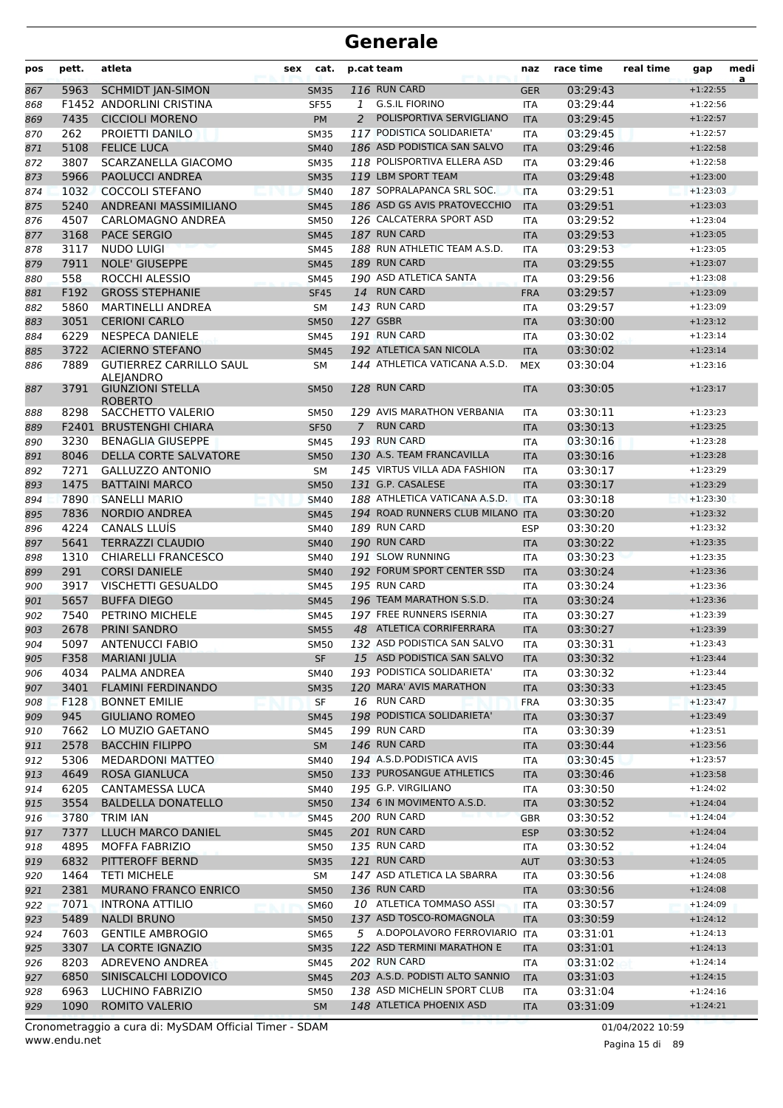| pos        | pett.        | atleta                                                        | sex | cat.                       |                | p.cat team                                                | naz                      | race time            | real time | gap                      | medi<br>a |
|------------|--------------|---------------------------------------------------------------|-----|----------------------------|----------------|-----------------------------------------------------------|--------------------------|----------------------|-----------|--------------------------|-----------|
| 867        | 5963         | <b>SCHMIDT JAN-SIMON</b>                                      |     | <b>SM35</b>                |                | 116 RUN CARD                                              | <b>GER</b>               | 03:29:43             |           | $+1:22:55$               |           |
| 868        |              | <b>F1452 ANDORLINI CRISTINA</b>                               |     | <b>SF55</b>                | 1              | <b>G.S.IL FIORINO</b>                                     | <b>ITA</b>               | 03:29:44             |           | $+1:22:56$               |           |
| 869        | 7435         | <b>CICCIOLI MORENO</b>                                        |     | <b>PM</b>                  | 2              | POLISPORTIVA SERVIGLIANO                                  | <b>ITA</b>               | 03:29:45             |           | $+1:22:57$               |           |
| 870        | 262          | PROIETTI DANILO                                               |     | <b>SM35</b>                |                | 117 PODISTICA SOLIDARIETA'                                | <b>ITA</b>               | 03:29:45             |           | $+1:22:57$               |           |
| 871        | 5108         | <b>FELICE LUCA</b>                                            |     | <b>SM40</b>                |                | 186 ASD PODISTICA SAN SALVO                               | <b>ITA</b>               | 03:29:46             |           | $+1:22:58$               |           |
| 872        | 3807         | SCARZANELLA GIACOMO                                           |     | <b>SM35</b>                |                | 118 POLISPORTIVA ELLERA ASD                               | <b>ITA</b>               | 03:29:46             |           | $+1:22:58$               |           |
| 873        | 5966         | <b>PAOLUCCI ANDREA</b>                                        |     | <b>SM35</b>                |                | 119 LBM SPORT TEAM                                        | <b>ITA</b>               | 03:29:48             |           | $+1:23:00$               |           |
| 874        | 1032<br>5240 | <b>COCCOLI STEFANO</b><br>ANDREANI MASSIMILIANO               |     | <b>SM40</b>                |                | 187 SOPRALAPANCA SRL SOC.<br>186 ASD GS AVIS PRATOVECCHIO | <b>ITA</b>               | 03:29:51<br>03:29:51 |           | $+1:23:03$<br>$+1:23:03$ |           |
| 875<br>876 | 4507         | CARLOMAGNO ANDREA                                             |     | <b>SM45</b><br><b>SM50</b> |                | 126 CALCATERRA SPORT ASD                                  | <b>ITA</b><br>ITA        | 03:29:52             |           | $+1:23:04$               |           |
| 877        | 3168         | <b>PACE SERGIO</b>                                            |     | <b>SM45</b>                |                | 187 RUN CARD                                              | <b>ITA</b>               | 03:29:53             |           | $+1:23:05$               |           |
| 878        | 3117         | <b>NUDO LUIGI</b>                                             |     | <b>SM45</b>                |                | 188 RUN ATHLETIC TEAM A.S.D.                              | <b>ITA</b>               | 03:29:53             |           | $+1:23:05$               |           |
| 879        | 7911         | <b>NOLE' GIUSEPPE</b>                                         |     | <b>SM45</b>                |                | 189 RUN CARD                                              | <b>ITA</b>               | 03:29:55             |           | $+1:23:07$               |           |
| 880        | 558          | ROCCHI ALESSIO                                                |     | <b>SM45</b>                |                | 190 ASD ATLETICA SANTA                                    | ITA                      | 03:29:56             |           | $+1:23:08$               |           |
| 881        | F192         | <b>GROSS STEPHANIE</b>                                        |     | <b>SF45</b>                |                | 14 RUN CARD                                               | <b>FRA</b>               | 03:29:57             |           | $+1:23:09$               |           |
| 882        | 5860         | <b>MARTINELLI ANDREA</b>                                      |     | SM                         |                | 143 RUN CARD                                              | ITA                      | 03:29:57             |           | $+1:23:09$               |           |
| 883        | 3051         | <b>CERIONI CARLO</b>                                          |     | <b>SM50</b>                |                | 127 GSBR                                                  | <b>ITA</b>               | 03:30:00             |           | $+1:23:12$               |           |
| 884        | 6229         | <b>NESPECA DANIELE</b>                                        |     | <b>SM45</b>                |                | 191 RUN CARD                                              | <b>ITA</b>               | 03:30:02             |           | $+1:23:14$               |           |
| 885        | 3722         | <b>ACIERNO STEFANO</b>                                        |     | <b>SM45</b>                |                | 192 ATLETICA SAN NICOLA                                   | <b>ITA</b>               | 03:30:02             |           | $+1:23:14$               |           |
| 886        | 7889         | <b>GUTIERREZ CARRILLO SAUL</b>                                |     | <b>SM</b>                  |                | 144 ATHLETICA VATICANA A.S.D.                             | <b>MEX</b>               | 03:30:04             |           | $+1:23:16$               |           |
| 887        | 3791         | <b>ALEIANDRO</b><br><b>GIUNZIONI STELLA</b><br><b>ROBERTO</b> |     | <b>SM50</b>                |                | 128 RUN CARD                                              | <b>ITA</b>               | 03:30:05             |           | $+1:23:17$               |           |
| 888        | 8298         | SACCHETTO VALERIO                                             |     | <b>SM50</b>                |                | 129 AVIS MARATHON VERBANIA                                | ITA                      | 03:30:11             |           | $+1:23:23$               |           |
| 889        |              | F2401 BRUSTENGHI CHIARA                                       |     | <b>SF50</b>                | $\overline{7}$ | <b>RUN CARD</b>                                           | <b>ITA</b>               | 03:30:13             |           | $+1:23:25$               |           |
| 890        | 3230         | <b>BENAGLIA GIUSEPPE</b>                                      |     | <b>SM45</b>                |                | 193 RUN CARD                                              | ITA                      | 03:30:16             |           | $+1:23:28$               |           |
| 891        | 8046         | DELLA CORTE SALVATORE                                         |     | <b>SM50</b>                |                | 130 A.S. TEAM FRANCAVILLA                                 | <b>ITA</b>               | 03:30:16             |           | $+1:23:28$               |           |
| 892        | 7271         | <b>GALLUZZO ANTONIO</b>                                       |     | <b>SM</b>                  |                | 145 VIRTUS VILLA ADA FASHION                              | <b>ITA</b>               | 03:30:17             |           | $+1:23:29$               |           |
| 893        | 1475         | <b>BATTAINI MARCO</b>                                         |     | <b>SM50</b>                |                | 131 G.P. CASALESE                                         | <b>ITA</b>               | 03:30:17             |           | $+1:23:29$               |           |
| 894        | 7890         | <b>SANELLI MARIO</b>                                          |     | <b>SM40</b>                |                | 188 ATHLETICA VATICANA A.S.D.                             | <b>ITA</b>               | 03:30:18             |           | $+1:23:30$               |           |
| 895        | 7836         | <b>NORDIO ANDREA</b>                                          |     | <b>SM45</b>                |                | 194 ROAD RUNNERS CLUB MILANO                              | <b>ITA</b>               | 03:30:20             |           | $+1:23:32$               |           |
| 896        | 4224         | <b>CANALS LLUÍS</b>                                           |     | <b>SM40</b>                |                | 189 RUN CARD                                              | ESP                      | 03:30:20             |           | $+1:23:32$               |           |
| 897        | 5641<br>1310 | <b>TERRAZZI CLAUDIO</b><br><b>CHIARELLI FRANCESCO</b>         |     | <b>SM40</b>                |                | 190 RUN CARD<br>191 SLOW RUNNING                          | <b>ITA</b>               | 03:30:22             |           | $+1:23:35$               |           |
| 898<br>899 | 291          | <b>CORSI DANIELE</b>                                          |     | <b>SM40</b><br><b>SM40</b> |                | 192 FORUM SPORT CENTER SSD                                | <b>ITA</b><br><b>ITA</b> | 03:30:23<br>03:30:24 |           | $+1:23:35$<br>$+1:23:36$ |           |
| 900        | 3917         | VISCHETTI GESUALDO                                            |     | <b>SM45</b>                |                | 195 RUN CARD                                              | <b>ITA</b>               | 03:30:24             |           | $+1:23:36$               |           |
| 901        | 5657         | <b>BUFFA DIEGO</b>                                            |     | <b>SM45</b>                |                | 196 TEAM MARATHON S.S.D.                                  | <b>ITA</b>               | 03:30:24             |           | $+1:23:36$               |           |
| 902        | 7540         | PETRINO MICHELE                                               |     | <b>SM45</b>                |                | 197 FREE RUNNERS ISERNIA                                  | <b>ITA</b>               | 03:30:27             |           | $+1:23:39$               |           |
| 903        | 2678         | PRINI SANDRO                                                  |     | <b>SM55</b>                |                | 48 ATLETICA CORRIFERRARA                                  | <b>ITA</b>               | 03:30:27             |           | $+1:23:39$               |           |
| 904        | 5097         | <b>ANTENUCCI FABIO</b>                                        |     | <b>SM50</b>                |                | 132 ASD PODISTICA SAN SALVO                               | <b>ITA</b>               | 03:30:31             |           | $+1:23:43$               |           |
| 905        | F358         | <b>MARIANI JULIA</b>                                          |     | SF                         |                | 15 ASD PODISTICA SAN SALVO                                | <b>ITA</b>               | 03:30:32             |           | $+1:23:44$               |           |
| 906        | 4034         | PALMA ANDREA                                                  |     | SM40                       |                | 193 PODISTICA SOLIDARIETA'                                | ITA                      | 03:30:32             |           | $+1:23:44$               |           |
| 907        | 3401         | <b>FLAMINI FERDINANDO</b>                                     |     | <b>SM35</b>                |                | 120 MARA' AVIS MARATHON                                   | <b>ITA</b>               | 03:30:33             |           | $+1:23:45$               |           |
| 908        | F128         | <b>BONNET EMILIE</b>                                          |     | <b>SF</b>                  |                | 16 RUN CARD                                               | <b>FRA</b>               | 03:30:35             |           | $+1:23:47$               |           |
| 909        | 945          | <b>GIULIANO ROMEO</b>                                         |     | <b>SM45</b>                |                | 198 PODISTICA SOLIDARIETA'                                | <b>ITA</b>               | 03:30:37             |           | $+1:23:49$               |           |
| 910        | 7662         | LO MUZIO GAETANO                                              |     | SM45                       |                | 199 RUN CARD                                              | ITA                      | 03:30:39             |           | $+1:23:51$               |           |
| 911        | 2578         | <b>BACCHIN FILIPPO</b>                                        |     | <b>SM</b>                  |                | <b>146 RUN CARD</b>                                       | <b>ITA</b>               | 03:30:44             |           | $+1:23:56$               |           |
| 912        | 5306<br>4649 | MEDARDONI MATTEO                                              |     | SM40                       |                | 194 A.S.D.PODISTICA AVIS<br>133 PUROSANGUE ATHLETICS      | ITA                      | 03:30:45             |           | $+1:23:57$               |           |
| 913        | 6205         | <b>ROSA GIANLUCA</b><br>CANTAMESSA LUCA                       |     | <b>SM50</b><br>SM40        |                | 195 G.P. VIRGILIANO                                       | <b>ITA</b><br><b>ITA</b> | 03:30:46<br>03:30:50 |           | $+1:23:58$<br>$+1:24:02$ |           |
| 914<br>915 | 3554         | <b>BALDELLA DONATELLO</b>                                     |     | <b>SM50</b>                |                | 134 6 IN MOVIMENTO A.S.D.                                 | <b>ITA</b>               | 03:30:52             |           | $+1:24:04$               |           |
| 916        | 3780         | TRIM IAN                                                      |     | <b>SM45</b>                |                | 200 RUN CARD                                              | <b>GBR</b>               | 03:30:52             |           | $+1:24:04$               |           |
| 917        | 7377         | LLUCH MARCO DANIEL                                            |     | <b>SM45</b>                |                | 201 RUN CARD                                              | <b>ESP</b>               | 03:30:52             |           | $+1:24:04$               |           |
| 918        | 4895         | <b>MOFFA FABRIZIO</b>                                         |     | <b>SM50</b>                |                | 135 RUN CARD                                              | <b>ITA</b>               | 03:30:52             |           | $+1:24:04$               |           |
| 919        | 6832         | PITTEROFF BERND                                               |     | <b>SM35</b>                |                | 121 RUN CARD                                              | <b>AUT</b>               | 03:30:53             |           | $+1:24:05$               |           |
| 920        | 1464         | <b>TETI MICHELE</b>                                           |     | SM                         |                | 147 ASD ATLETICA LA SBARRA                                | <b>ITA</b>               | 03:30:56             |           | $+1:24:08$               |           |
| 921        | 2381         | <b>MURANO FRANCO ENRICO</b>                                   |     | <b>SM50</b>                |                | 136 RUN CARD                                              | <b>ITA</b>               | 03:30:56             |           | $+1:24:08$               |           |
| 922        | 7071         | <b>INTRONA ATTILIO</b>                                        |     | <b>SM60</b>                |                | 10 ATLETICA TOMMASO ASSI                                  | <b>ITA</b>               | 03:30:57             |           | $+1:24:09$               |           |
| 923        | 5489         | <b>NALDI BRUNO</b>                                            |     | <b>SM50</b>                |                | 137 ASD TOSCO-ROMAGNOLA                                   | <b>ITA</b>               | 03:30:59             |           | $+1:24:12$               |           |
| 924        | 7603         | <b>GENTILE AMBROGIO</b>                                       |     | <b>SM65</b>                |                | 5 A.DOPOLAVORO FERROVIARIO ITA                            |                          | 03:31:01             |           | $+1:24:13$               |           |
| 925        | 3307         | LA CORTE IGNAZIO                                              |     | <b>SM35</b>                |                | 122 ASD TERMINI MARATHON E                                | <b>ITA</b>               | 03:31:01             |           | $+1:24:13$               |           |
| 926        | 8203         | ADREVENO ANDREA                                               |     | <b>SM45</b>                |                | 202 RUN CARD                                              | <b>ITA</b>               | 03:31:02             |           | $+1:24:14$               |           |
| 927        | 6850         | SINISCALCHI LODOVICO                                          |     | <b>SM45</b>                |                | 203 A.S.D. PODISTI ALTO SANNIO                            | <b>ITA</b>               | 03:31:03             |           | $+1:24:15$               |           |
| 928        | 6963         | LUCHINO FABRIZIO                                              |     | <b>SM50</b>                |                | 138 ASD MICHELIN SPORT CLUB                               | ITA                      | 03:31:04             |           | $+1:24:16$               |           |
| 929        | 1090         | ROMITO VALERIO                                                |     | <b>SM</b>                  |                | 148 ATLETICA PHOENIX ASD                                  | <b>ITA</b>               | 03:31:09             |           | $+1:24:21$               |           |

www.endu.net Cronometraggio a cura di: MySDAM Official Timer - SDAM 01/04/2022 10:59

Pagina 15 di 89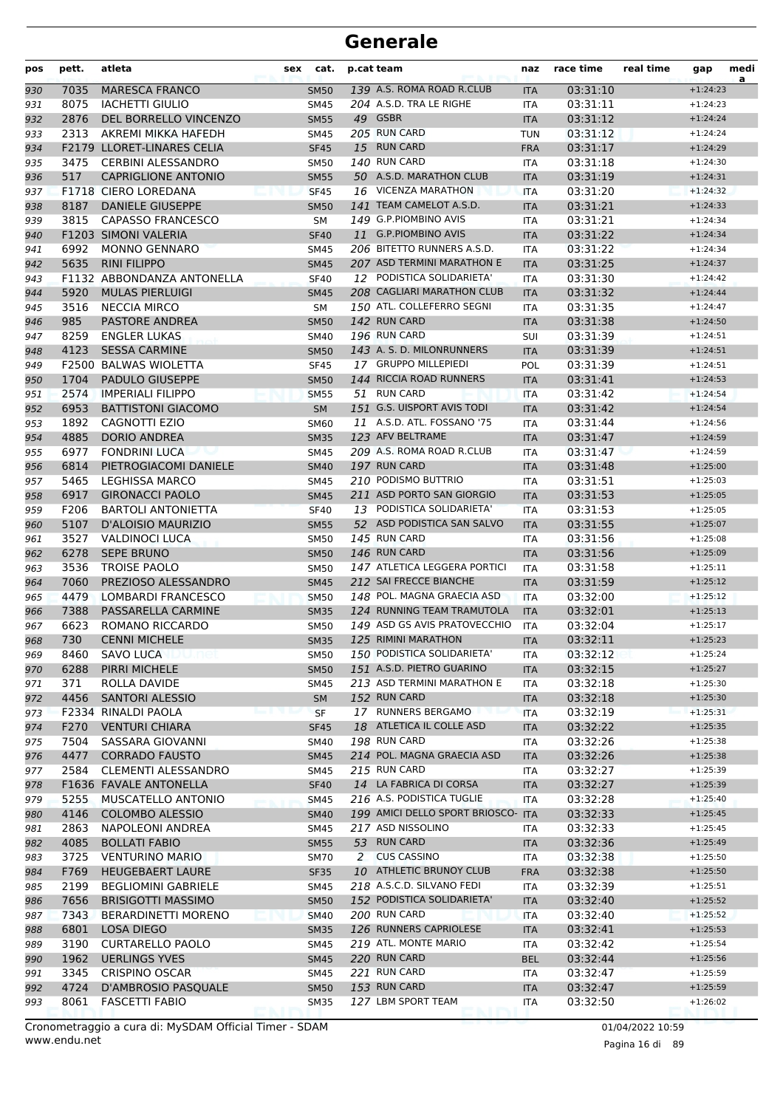| pos | pett. | atleta                      | sex | cat.        | p.cat team                         | naz        | race time | real time | gap        | medi<br>a |
|-----|-------|-----------------------------|-----|-------------|------------------------------------|------------|-----------|-----------|------------|-----------|
| 930 | 7035  | <b>MARESCA FRANCO</b>       |     | <b>SM50</b> | 139 A.S. ROMA ROAD R.CLUB          | <b>ITA</b> | 03:31:10  |           | $+1:24:23$ |           |
| 931 | 8075  | <b>IACHETTI GIULIO</b>      |     | <b>SM45</b> | 204 A.S.D. TRA LE RIGHE            | <b>ITA</b> | 03:31:11  |           | $+1:24:23$ |           |
| 932 | 2876  | DEL BORRELLO VINCENZO       |     | <b>SM55</b> | 49 GSBR                            | <b>ITA</b> | 03:31:12  |           | $+1:24:24$ |           |
| 933 | 2313  | AKREMI MIKKA HAFEDH         |     | SM45        | 205 RUN CARD                       | <b>TUN</b> | 03:31:12  |           | $+1:24:24$ |           |
| 934 |       | F2179 LLORET-LINARES CELIA  |     | <b>SF45</b> | 15 RUN CARD                        | <b>FRA</b> | 03:31:17  |           | $+1:24:29$ |           |
| 935 | 3475  | <b>CERBINI ALESSANDRO</b>   |     | SM50        | 140 RUN CARD                       | <b>ITA</b> | 03:31:18  |           | $+1:24:30$ |           |
| 936 | 517   | <b>CAPRIGLIONE ANTONIO</b>  |     | <b>SM55</b> | 50 A.S.D. MARATHON CLUB            | <b>ITA</b> | 03:31:19  |           | $+1:24:31$ |           |
| 937 |       | <b>F1718 CIERO LOREDANA</b> |     | <b>SF45</b> | 16 VICENZA MARATHON                | <b>ITA</b> | 03:31:20  |           | $+1:24:32$ |           |
| 938 | 8187  | <b>DANIELE GIUSEPPE</b>     |     | <b>SM50</b> | 141 TEAM CAMELOT A.S.D.            | <b>ITA</b> | 03:31:21  |           | $+1:24:33$ |           |
| 939 | 3815  | <b>CAPASSO FRANCESCO</b>    |     | <b>SM</b>   | 149 G.P.PIOMBINO AVIS              | <b>ITA</b> | 03:31:21  |           | $+1:24:34$ |           |
| 940 |       | <b>F1203 SIMONI VALERIA</b> |     | <b>SF40</b> | 11 G.P.PIOMBINO AVIS               | <b>ITA</b> | 03:31:22  |           | $+1:24:34$ |           |
| 941 | 6992  | <b>MONNO GENNARO</b>        |     | SM45        | 206 BITETTO RUNNERS A.S.D.         | <b>ITA</b> | 03:31:22  |           | $+1:24:34$ |           |
| 942 | 5635  | <b>RINI FILIPPO</b>         |     | <b>SM45</b> | 207 ASD TERMINI MARATHON E         | <b>ITA</b> | 03:31:25  |           | $+1:24:37$ |           |
| 943 |       | F1132 ABBONDANZA ANTONELLA  |     | <b>SF40</b> | 12 PODISTICA SOLIDARIETA'          | <b>ITA</b> | 03:31:30  |           | $+1:24:42$ |           |
| 944 | 5920  | <b>MULAS PIERLUIGI</b>      |     | <b>SM45</b> | 208 CAGLIARI MARATHON CLUB         | <b>ITA</b> | 03:31:32  |           | $+1:24:44$ |           |
| 945 | 3516  | <b>NECCIA MIRCO</b>         |     | <b>SM</b>   | 150 ATL. COLLEFERRO SEGNI          | <b>ITA</b> | 03:31:35  |           | $+1:24:47$ |           |
| 946 | 985   | <b>PASTORE ANDREA</b>       |     | <b>SM50</b> | 142 RUN CARD                       | <b>ITA</b> | 03:31:38  |           | $+1:24:50$ |           |
| 947 | 8259  | <b>ENGLER LUKAS</b>         |     | SM40        | 196 RUN CARD                       | SUI        | 03:31:39  |           | $+1:24:51$ |           |
| 948 | 4123  | <b>SESSA CARMINE</b>        |     | <b>SM50</b> | 143 A. S. D. MILONRUNNERS          | <b>ITA</b> | 03:31:39  |           | $+1:24:51$ |           |
| 949 |       | F2500 BALWAS WIOLETTA       |     | <b>SF45</b> | 17 GRUPPO MILLEPIEDI               | POL        | 03:31:39  |           | $+1:24:51$ |           |
| 950 | 1704  | <b>PADULO GIUSEPPE</b>      |     | <b>SM50</b> | 144 RICCIA ROAD RUNNERS            | <b>ITA</b> | 03:31:41  |           | $+1:24:53$ |           |
| 951 | 2574  | <b>IMPERIALI FILIPPO</b>    |     | <b>SM55</b> | 51 RUN CARD                        | <b>ITA</b> | 03:31:42  |           | $+1:24:54$ |           |
| 952 | 6953  | <b>BATTISTONI GIACOMO</b>   |     | <b>SM</b>   | 151 G.S. UISPORT AVIS TODI         | <b>ITA</b> | 03:31:42  |           | $+1:24:54$ |           |
| 953 | 1892  | CAGNOTTI EZIO               |     | <b>SM60</b> | 11 A.S.D. ATL. FOSSANO '75         | <b>ITA</b> | 03:31:44  |           | $+1:24:56$ |           |
| 954 | 4885  | <b>DORIO ANDREA</b>         |     | <b>SM35</b> | 123 AFV BELTRAME                   | <b>ITA</b> | 03:31:47  |           | $+1:24:59$ |           |
| 955 | 6977  | <b>FONDRINI LUCA</b>        |     | SM45        | 209 A.S. ROMA ROAD R.CLUB          | <b>ITA</b> | 03:31:47  |           | $+1:24:59$ |           |
| 956 | 6814  | PIETROGIACOMI DANIELE       |     | <b>SM40</b> | 197 RUN CARD                       | <b>ITA</b> | 03:31:48  |           | $+1:25:00$ |           |
| 957 | 5465  | <b>LEGHISSA MARCO</b>       |     | SM45        | 210 PODISMO BUTTRIO                | <b>ITA</b> | 03:31:51  |           | $+1:25:03$ |           |
| 958 | 6917  | <b>GIRONACCI PAOLO</b>      |     | <b>SM45</b> | 211 ASD PORTO SAN GIORGIO          | <b>ITA</b> | 03:31:53  |           | $+1:25:05$ |           |
| 959 | F206  | <b>BARTOLI ANTONIETTA</b>   |     | <b>SF40</b> | 13 PODISTICA SOLIDARIETA'          | <b>ITA</b> | 03:31:53  |           | $+1:25:05$ |           |
| 960 | 5107  | <b>D'ALOISIO MAURIZIO</b>   |     | <b>SM55</b> | 52 ASD PODISTICA SAN SALVO         | <b>ITA</b> | 03:31:55  |           | $+1:25:07$ |           |
| 961 | 3527  | <b>VALDINOCI LUCA</b>       |     | SM50        | 145 RUN CARD                       | <b>ITA</b> | 03:31:56  |           | $+1:25:08$ |           |
| 962 | 6278  | <b>SEPE BRUNO</b>           |     | <b>SM50</b> | 146 RUN CARD                       | <b>ITA</b> | 03:31:56  |           | $+1:25:09$ |           |
| 963 | 3536  | <b>TROISE PAOLO</b>         |     | <b>SM50</b> | 147 ATLETICA LEGGERA PORTICI       | <b>ITA</b> | 03:31:58  |           | $+1:25:11$ |           |
| 964 | 7060  | PREZIOSO ALESSANDRO         |     | <b>SM45</b> | 212 SAI FRECCE BIANCHE             | <b>ITA</b> | 03:31:59  |           | $+1:25:12$ |           |
| 965 | 4479  | <b>LOMBARDI FRANCESCO</b>   |     | <b>SM50</b> | 148 POL. MAGNA GRAECIA ASD         | <b>ITA</b> | 03:32:00  |           | $+1:25:12$ |           |
| 966 | 7388  | PASSARELLA CARMINE          |     | <b>SM35</b> | 124 RUNNING TEAM TRAMUTOLA         | <b>ITA</b> | 03:32:01  |           | $+1:25:13$ |           |
| 967 | 6623  | ROMANO RICCARDO             |     | <b>SM50</b> | 149 ASD GS AVIS PRATOVECCHIO       | <b>ITA</b> | 03:32:04  |           | $+1:25:17$ |           |
| 968 | 730   | <b>CENNI MICHELE</b>        |     | <b>SM35</b> | 125 RIMINI MARATHON                | <b>ITA</b> | 03:32:11  |           | $+1:25:23$ |           |
| 969 | 8460  | <b>SAVO LUCA</b>            |     | <b>SM50</b> | 150 PODISTICA SOLIDARIETA'         | ITA        | 03:32:12  |           | $+1:25:24$ |           |
| 970 | 6288  | PIRRI MICHELE               |     | <b>SM50</b> | 151 A.S.D. PIETRO GUARINO          | <b>ITA</b> | 03:32:15  |           | $+1:25:27$ |           |
| 971 | 371   | ROLLA DAVIDE                |     | SM45        | 213 ASD TERMINI MARATHON E         | ITA        | 03:32:18  |           | $+1:25:30$ |           |
| 972 | 4456  | <b>SANTORI ALESSIO</b>      |     | <b>SM</b>   | 152 RUN CARD                       | <b>ITA</b> | 03:32:18  |           | $+1:25:30$ |           |
| 973 |       | F2334 RINALDI PAOLA         |     | <b>SF</b>   | 17 RUNNERS BERGAMO                 | <b>ITA</b> | 03:32:19  |           | $+1:25:31$ |           |
| 974 | F270  | <b>VENTURI CHIARA</b>       |     | <b>SF45</b> | 18 ATLETICA IL COLLE ASD           | <b>ITA</b> | 03:32:22  |           | $+1:25:35$ |           |
| 975 | 7504  | SASSARA GIOVANNI            |     | SM40        | 198 RUN CARD                       | ITA        | 03:32:26  |           | $+1:25:38$ |           |
| 976 | 4477  | <b>CORRADO FAUSTO</b>       |     | <b>SM45</b> | 214 POL. MAGNA GRAECIA ASD         | <b>ITA</b> | 03:32:26  |           | $+1:25:38$ |           |
| 977 | 2584  | <b>CLEMENTI ALESSANDRO</b>  |     | SM45        | 215 RUN CARD                       | ITA        | 03:32:27  |           | $+1:25:39$ |           |
| 978 |       | F1636 FAVALE ANTONELLA      |     | <b>SF40</b> | 14 LA FABRICA DI CORSA             | <b>ITA</b> | 03:32:27  |           | $+1:25:39$ |           |
| 979 | 5255  | MUSCATELLO ANTONIO          |     | <b>SM45</b> | 216 A.S. PODISTICA TUGLIE          | <b>ITA</b> | 03:32:28  |           | $+1:25:40$ |           |
| 980 | 4146  | <b>COLOMBO ALESSIO</b>      |     | <b>SM40</b> | 199 AMICI DELLO SPORT BRIOSCO- ITA |            | 03:32:33  |           | $+1:25:45$ |           |
| 981 | 2863  | NAPOLEONI ANDREA            |     | SM45        | 217 ASD NISSOLINO                  | ITA        | 03:32:33  |           | $+1:25:45$ |           |
| 982 | 4085  | <b>BOLLATI FABIO</b>        |     | <b>SM55</b> | 53 RUN CARD                        | <b>ITA</b> | 03:32:36  |           | $+1:25:49$ |           |
| 983 | 3725  | <b>VENTURINO MARIO</b>      |     | <b>SM70</b> | 2 CUS CASSINO                      | ITA        | 03:32:38  |           | $+1:25:50$ |           |
| 984 | F769  | <b>HEUGEBAERT LAURE</b>     |     | <b>SF35</b> | 10 ATHLETIC BRUNOY CLUB            | <b>FRA</b> | 03:32:38  |           | $+1:25:50$ |           |
| 985 | 2199  | <b>BEGLIOMINI GABRIELE</b>  |     | SM45        | 218 A.S.C.D. SILVANO FEDI          | ITA        | 03:32:39  |           | $+1:25:51$ |           |
| 986 | 7656  | <b>BRISIGOTTI MASSIMO</b>   |     | <b>SM50</b> | 152 PODISTICA SOLIDARIETA'         | <b>ITA</b> | 03:32:40  |           | $+1:25:52$ |           |
| 987 | 7343  | <b>BERARDINETTI MORENO</b>  |     | <b>SM40</b> | 200 RUN CARD                       | ITA        | 03:32:40  |           | $+1:25:52$ |           |
| 988 | 6801  | LOSA DIEGO                  |     | <b>SM35</b> | 126 RUNNERS CAPRIOLESE             | <b>ITA</b> | 03:32:41  |           | $+1:25:53$ |           |
| 989 | 3190  | <b>CURTARELLO PAOLO</b>     |     | SM45        | 219 ATL. MONTE MARIO               | ITA        | 03:32:42  |           | $+1:25:54$ |           |
| 990 | 1962  | <b>UERLINGS YVES</b>        |     | <b>SM45</b> | 220 RUN CARD                       | <b>BEL</b> | 03:32:44  |           | $+1:25:56$ |           |
| 991 | 3345  | <b>CRISPINO OSCAR</b>       |     | SM45        | 221 RUN CARD                       | ITA        | 03:32:47  |           | $+1:25:59$ |           |
| 992 | 4724  | D'AMBROSIO PASQUALE         |     | <b>SM50</b> | 153 RUN CARD                       | <b>ITA</b> | 03:32:47  |           | $+1:25:59$ |           |
| 993 | 8061  | <b>FASCETTI FABIO</b>       |     | <b>SM35</b> | 127 LBM SPORT TEAM                 | ITA        | 03:32:50  |           | $+1:26:02$ |           |
|     |       |                             |     |             |                                    |            |           |           |            |           |

Pagina 16 di 89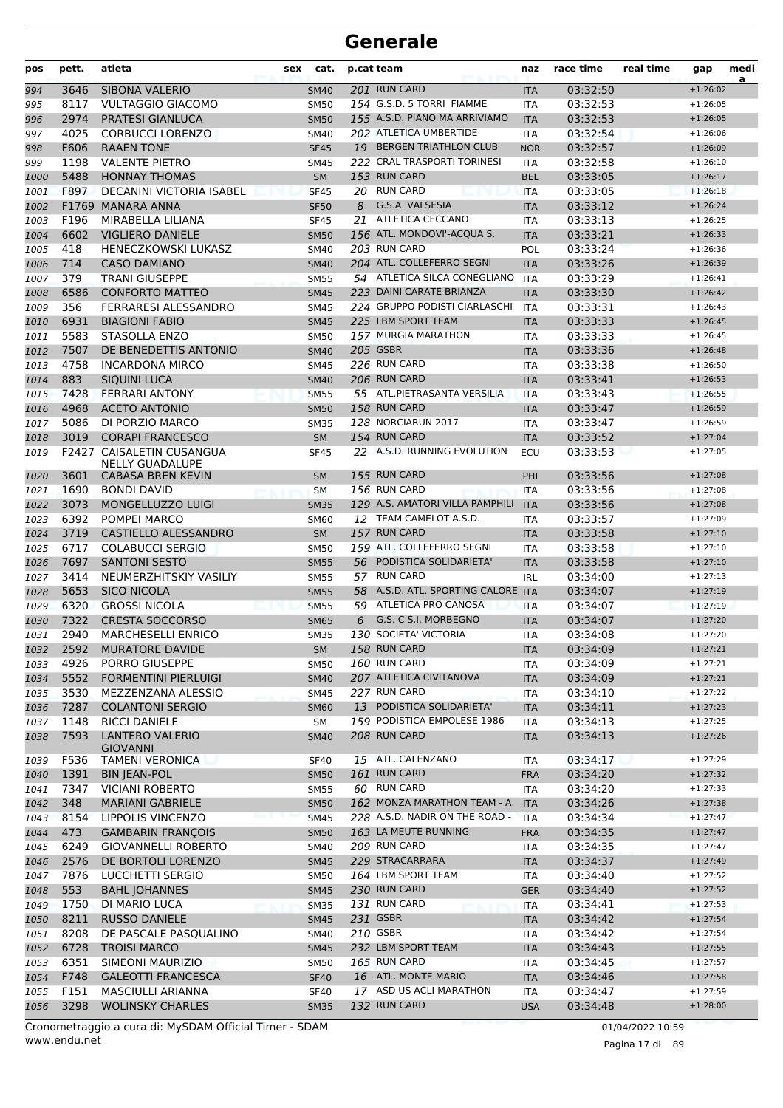| pos          | pett.        | atleta                                            | sex | cat.                       |    | p.cat team                                     | naz                      | race time            | real time | gap                      | medi<br>a |
|--------------|--------------|---------------------------------------------------|-----|----------------------------|----|------------------------------------------------|--------------------------|----------------------|-----------|--------------------------|-----------|
| 994          | 3646         | <b>SIBONA VALERIO</b>                             |     | <b>SM40</b>                |    | 201 RUN CARD                                   | <b>ITA</b>               | 03:32:50             |           | $+1:26:02$               |           |
| 995          | 8117         | <b>VULTAGGIO GIACOMO</b>                          |     | <b>SM50</b>                |    | 154 G.S.D. 5 TORRI FIAMME                      | <b>ITA</b>               | 03:32:53             |           | $+1:26:05$               |           |
| 996          | 2974         | <b>PRATESI GIANLUCA</b>                           |     | <b>SM50</b>                |    | 155 A.S.D. PIANO MA ARRIVIAMO                  | <b>ITA</b>               | 03:32:53             |           | $+1:26:05$               |           |
| 997          | 4025         | <b>CORBUCCI LORENZO</b>                           |     | <b>SM40</b>                |    | 202 ATLETICA UMBERTIDE                         | <b>ITA</b>               | 03:32:54             |           | $+1:26:06$               |           |
| 998          | F606         | <b>RAAEN TONE</b>                                 |     | <b>SF45</b>                |    | 19 BERGEN TRIATHLON CLUB                       | <b>NOR</b>               | 03:32:57             |           | $+1:26:09$               |           |
| 999          | 1198         | <b>VALENTE PIETRO</b>                             |     | <b>SM45</b>                |    | 222 CRAL TRASPORTI TORINESI                    | <b>ITA</b>               | 03:32:58             |           | $+1:26:10$               |           |
| 1000         | 5488         | <b>HONNAY THOMAS</b>                              |     | <b>SM</b>                  |    | 153 RUN CARD                                   | <b>BEL</b>               | 03:33:05             |           | $+1:26:17$               |           |
| 1001         | F897         | DECANINI VICTORIA ISABEL                          |     | <b>SF45</b>                |    | 20 RUN CARD                                    | <b>ITA</b>               | 03:33:05             |           | $+1:26:18$               |           |
| 1002         |              | F1769 MANARA ANNA                                 |     | <b>SF50</b>                | 8  | G.S.A. VALSESIA                                | <b>ITA</b>               | 03:33:12             |           | $+1:26:24$               |           |
| 1003         | F196         | MIRABELLA LILIANA                                 |     | <b>SF45</b>                | 21 | ATLETICA CECCANO<br>156 ATL. MONDOVI'-ACQUA S. | <b>ITA</b>               | 03:33:13             |           | $+1:26:25$               |           |
| 1004         | 6602         | <b>VIGLIERO DANIELE</b>                           |     | <b>SM50</b>                |    | 203 RUN CARD                                   | <b>ITA</b>               | 03:33:21             |           | $+1:26:33$               |           |
| 1005         | 418<br>714   | <b>HENECZKOWSKI LUKASZ</b><br><b>CASO DAMIANO</b> |     | <b>SM40</b>                |    | 204 ATL. COLLEFERRO SEGNI                      | <b>POL</b>               | 03:33:24<br>03:33:26 |           | $+1:26:36$<br>$+1:26:39$ |           |
| 1006<br>1007 | 379          | <b>TRANI GIUSEPPE</b>                             |     | <b>SM40</b><br><b>SM55</b> |    | 54 ATLETICA SILCA CONEGLIANO                   | <b>ITA</b><br>ITA        | 03:33:29             |           | $+1:26:41$               |           |
| 1008         | 6586         | <b>CONFORTO MATTEO</b>                            |     | <b>SM45</b>                |    | 223 DAINI CARATE BRIANZA                       | <b>ITA</b>               | 03:33:30             |           | $+1:26:42$               |           |
| 1009         | 356          | FERRARESI ALESSANDRO                              |     | SM45                       |    | 224 GRUPPO PODISTI CIARLASCHI                  | <b>ITA</b>               | 03:33:31             |           | $+1:26:43$               |           |
| 1010         | 6931         | <b>BIAGIONI FABIO</b>                             |     | <b>SM45</b>                |    | 225 LBM SPORT TEAM                             | <b>ITA</b>               | 03:33:33             |           | $+1:26:45$               |           |
| 1011         | 5583         | STASOLLA ENZO                                     |     | <b>SM50</b>                |    | 157 MURGIA MARATHON                            | <b>ITA</b>               | 03:33:33             |           | $+1:26:45$               |           |
| 1012         | 7507         | DE BENEDETTIS ANTONIO                             |     | <b>SM40</b>                |    | <b>205 GSBR</b>                                | <b>ITA</b>               | 03:33:36             |           | $+1:26:48$               |           |
| 1013         | 4758         | <b>INCARDONA MIRCO</b>                            |     | <b>SM45</b>                |    | 226 RUN CARD                                   | <b>ITA</b>               | 03:33:38             |           | $+1:26:50$               |           |
| 1014         | 883          | SIQUINI LUCA                                      |     | <b>SM40</b>                |    | 206 RUN CARD                                   | <b>ITA</b>               | 03:33:41             |           | $+1:26:53$               |           |
| 1015         | 7428         | <b>FERRARI ANTONY</b>                             |     | <b>SM55</b>                |    | 55 ATL.PIETRASANTA VERSILIA                    | <b>ITA</b>               | 03:33:43             |           | $+1:26:55$               |           |
| 1016         | 4968         | <b>ACETO ANTONIO</b>                              |     | <b>SM50</b>                |    | 158 RUN CARD                                   | <b>ITA</b>               | 03:33:47             |           | $+1:26:59$               |           |
| 1017         | 5086         | DI PORZIO MARCO                                   |     | <b>SM35</b>                |    | 128 NORCIARUN 2017                             | <b>ITA</b>               | 03:33:47             |           | $+1:26:59$               |           |
| 1018         | 3019         | <b>CORAPI FRANCESCO</b>                           |     | <b>SM</b>                  |    | 154 RUN CARD                                   | <b>ITA</b>               | 03:33:52             |           | $+1:27:04$               |           |
| 1019         |              | F2427 CAISALETIN CUSANGUA                         |     | <b>SF45</b>                |    | 22 A.S.D. RUNNING EVOLUTION                    | ECU                      | 03:33:53             |           | $+1:27:05$               |           |
|              |              | <b>NELLY GUADALUPE</b>                            |     |                            |    |                                                |                          |                      |           |                          |           |
| 1020         | 3601         | CABASA BREN KEVIN                                 |     | <b>SM</b>                  |    | 155 RUN CARD                                   | PHI                      | 03:33:56             |           | $+1:27:08$               |           |
| 1021         | 1690         | <b>BONDI DAVID</b>                                |     | <b>SM</b>                  |    | 156 RUN CARD                                   | <b>ITA</b>               | 03:33:56             |           | $+1:27:08$               |           |
| 1022         | 3073         | MONGELLUZZO LUIGI                                 |     | <b>SM35</b>                |    | 129 A.S. AMATORI VILLA PAMPHILI                | <b>ITA</b>               | 03:33:56             |           | $+1:27:08$               |           |
| 1023         | 6392         | POMPEI MARCO                                      |     | <b>SM60</b>                |    | 12 TEAM CAMELOT A.S.D.                         | <b>ITA</b>               | 03:33:57             |           | $+1:27:09$               |           |
| 1024         | 3719         | CASTIELLO ALESSANDRO                              |     | <b>SM</b>                  |    | 157 RUN CARD<br>159 ATL. COLLEFERRO SEGNI      | <b>ITA</b>               | 03:33:58             |           | $+1:27:10$               |           |
| 1025         | 6717         | <b>COLABUCCI SERGIO</b><br><b>SANTONI SESTO</b>   |     | <b>SM50</b>                |    | 56 PODISTICA SOLIDARIETA'                      | <b>ITA</b>               | 03:33:58             |           | $+1:27:10$               |           |
| 1026         | 7697<br>3414 | NEUMERZHITSKIY VASILIY                            |     | <b>SM55</b><br><b>SM55</b> |    | 57 RUN CARD                                    | <b>ITA</b><br><b>IRL</b> | 03:33:58<br>03:34:00 |           | $+1:27:10$<br>$+1:27:13$ |           |
| 1027<br>1028 | 5653         | <b>SICO NICOLA</b>                                |     | <b>SM55</b>                |    | 58 A.S.D. ATL. SPORTING CALORE ITA             |                          | 03:34:07             |           | $+1:27:19$               |           |
| 1029         | 6320         | <b>GROSSI NICOLA</b>                              |     | <b>SM55</b>                |    | 59 ATLETICA PRO CANOSA                         | <b>ITA</b>               | 03:34:07             |           | $+1:27:19$               |           |
| 1030         | 7322         | <b>CRESTA SOCCORSO</b>                            |     | <b>SM65</b>                | 6  | G.S. C.S.I. MORBEGNO                           | <b>ITA</b>               | 03:34:07             |           | $+1:27:20$               |           |
| 1031         | 2940         | <b>MARCHESELLI ENRICO</b>                         |     | <b>SM35</b>                |    | 130 SOCIETA' VICTORIA                          | <b>ITA</b>               | 03:34:08             |           | $+1:27:20$               |           |
| 1032         | 2592         | <b>MURATORE DAVIDE</b>                            |     | ${\sf SM}$                 |    | 158 RUN CARD                                   | <b>ITA</b>               | 03:34:09             |           | $+1:27:21$               |           |
| 1033         | 4926         | PORRO GIUSEPPE                                    |     | <b>SM50</b>                |    | 160 RUN CARD                                   | ITA                      | 03:34:09             |           | $+1:27:21$               |           |
| 1034         | 5552         | <b>FORMENTINI PIERLUIGI</b>                       |     | <b>SM40</b>                |    | 207 ATLETICA CIVITANOVA                        | <b>ITA</b>               | 03:34:09             |           | $+1:27:21$               |           |
| 1035         | 3530         | MEZZENZANA ALESSIO                                |     | <b>SM45</b>                |    | 227 RUN CARD                                   | ITA                      | 03:34:10             |           | $+1:27:22$               |           |
| 1036         | 7287         | <b>COLANTONI SERGIO</b>                           |     | <b>SM60</b>                |    | 13 PODISTICA SOLIDARIETA'                      | <b>ITA</b>               | 03:34:11             |           | $+1:27:23$               |           |
| 1037         | 1148         | <b>RICCI DANIELE</b>                              |     | SM                         |    | 159 PODISTICA EMPOLESE 1986                    | <b>ITA</b>               | 03:34:13             |           | $+1:27:25$               |           |
| 1038         | 7593         | <b>LANTERO VALERIO</b>                            |     | <b>SM40</b>                |    | 208 RUN CARD                                   | <b>ITA</b>               | 03:34:13             |           | $+1:27:26$               |           |
|              |              | <b>GIOVANNI</b>                                   |     |                            |    |                                                |                          |                      |           |                          |           |
| 1039         | F536         | <b>TAMENI VERONICA</b>                            |     | <b>SF40</b>                |    | 15 ATL. CALENZANO<br>161 RUN CARD              | ITA                      | 03:34:17             |           | $+1:27:29$               |           |
| 1040         | 1391<br>7347 | <b>BIN JEAN-POL</b>                               |     | <b>SM50</b>                |    | 60 RUN CARD                                    | <b>FRA</b>               | 03:34:20<br>03:34:20 |           | $+1:27:32$               |           |
| 1041<br>1042 | 348          | <b>VICIANI ROBERTO</b><br><b>MARIANI GABRIELE</b> |     | <b>SM55</b><br><b>SM50</b> |    | 162 MONZA MARATHON TEAM - A. ITA               | <b>ITA</b>               | 03:34:26             |           | $+1:27:33$<br>$+1:27:38$ |           |
|              | 8154         | LIPPOLIS VINCENZO                                 |     | <b>SM45</b>                |    | 228 A.S.D. NADIR ON THE ROAD -                 | <b>ITA</b>               | 03:34:34             |           | $+1:27:47$               |           |
| 1043<br>1044 | 473          | <b>GAMBARIN FRANÇOIS</b>                          |     | <b>SM50</b>                |    | 163 LA MEUTE RUNNING                           | <b>FRA</b>               | 03:34:35             |           | $+1:27:47$               |           |
| 1045         | 6249         | <b>GIOVANNELLI ROBERTO</b>                        |     | SM40                       |    | 209 RUN CARD                                   | ITA                      | 03:34:35             |           | $+1:27:47$               |           |
| 1046         | 2576         | DE BORTOLI LORENZO                                |     | <b>SM45</b>                |    | 229 STRACARRARA                                | <b>ITA</b>               | 03:34:37             |           | $+1:27:49$               |           |
| 1047         | 7876         | LUCCHETTI SERGIO                                  |     | <b>SM50</b>                |    | 164 LBM SPORT TEAM                             | <b>ITA</b>               | 03:34:40             |           | $+1:27:52$               |           |
| 1048         | 553          | <b>BAHL JOHANNES</b>                              |     | <b>SM45</b>                |    | 230 RUN CARD                                   | <b>GER</b>               | 03:34:40             |           | $+1:27:52$               |           |
| 1049         | 1750         | DI MARIO LUCA                                     |     | <b>SM35</b>                |    | 131 RUN CARD                                   | ITA                      | 03:34:41             |           | $+1:27:53$               |           |
| 1050         | 8211         | <b>RUSSO DANIELE</b>                              |     | <b>SM45</b>                |    | 231 GSBR                                       | <b>ITA</b>               | 03:34:42             |           | $+1:27:54$               |           |
| 1051         | 8208         | DE PASCALE PASQUALINO                             |     | <b>SM40</b>                |    | 210 GSBR                                       | ITA                      | 03:34:42             |           | $+1:27:54$               |           |
| 1052         | 6728         | <b>TROISI MARCO</b>                               |     | <b>SM45</b>                |    | 232 LBM SPORT TEAM                             | <b>ITA</b>               | 03:34:43             |           | $+1:27:55$               |           |
| 1053         | 6351         | SIMEONI MAURIZIO                                  |     | <b>SM50</b>                |    | 165 RUN CARD                                   | ITA                      | 03:34:45             |           | $+1:27:57$               |           |
| 1054         | F748         | <b>GALEOTTI FRANCESCA</b>                         |     | <b>SF40</b>                |    | 16 ATL. MONTE MARIO                            | <b>ITA</b>               | 03:34:46             |           | $+1:27:58$               |           |
| 1055         | F151         | MASCIULLI ARIANNA                                 |     | <b>SF40</b>                |    | 17 ASD US ACLI MARATHON                        | ITA                      | 03:34:47             |           | $+1:27:59$               |           |
| 1056         | 3298         | <b>WOLINSKY CHARLES</b>                           |     | <b>SM35</b>                |    | 132 RUN CARD                                   | <b>USA</b>               | 03:34:48             |           | $+1:28:00$               |           |
|              |              |                                                   |     |                            |    |                                                |                          |                      |           |                          |           |

www.endu.net Cronometraggio a cura di: MySDAM Official Timer - SDAM 01/04/2022 10:59 01/04/2022 10:59

Pagina 17 di 89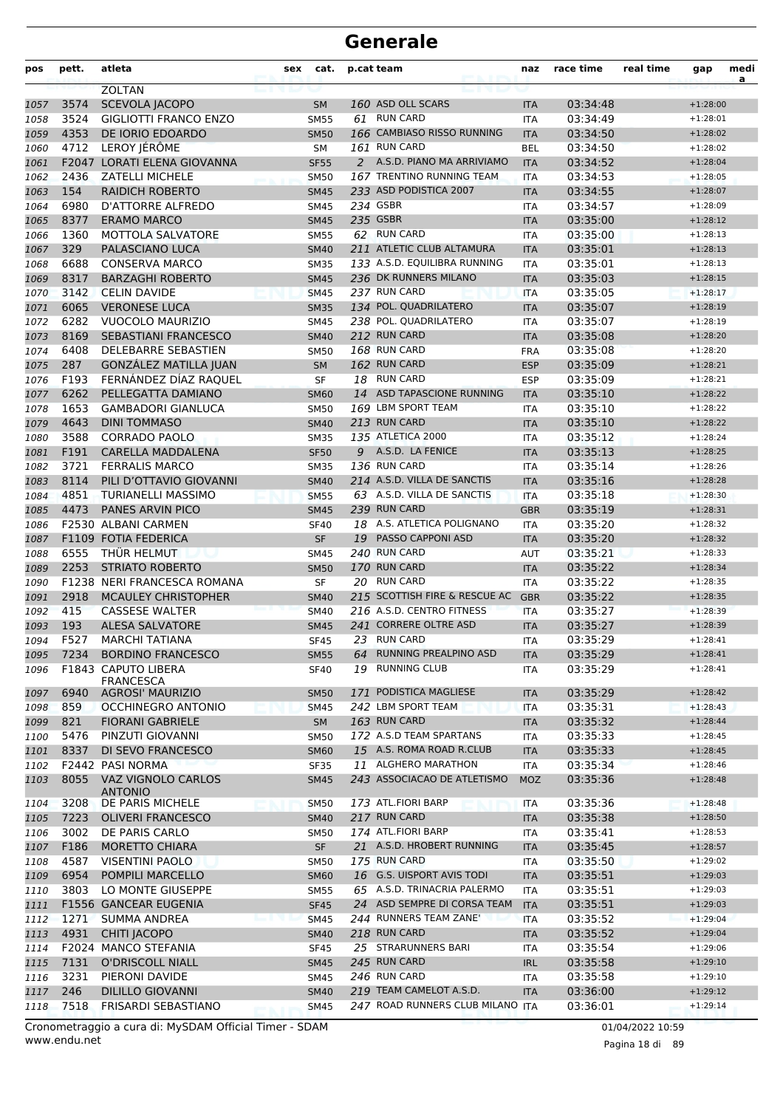| pos  | pett. | atleta                       | sex | cat.        |    | p.cat team                       | naz        | race time | real time | gap        | medi<br>a |
|------|-------|------------------------------|-----|-------------|----|----------------------------------|------------|-----------|-----------|------------|-----------|
|      |       | <b>ZOLTAN</b>                |     |             |    |                                  |            |           |           |            |           |
| 1057 | 3574  | <b>SCEVOLA JACOPO</b>        |     | <b>SM</b>   |    | 160 ASD OLL SCARS                | <b>ITA</b> | 03:34:48  |           | $+1:28:00$ |           |
| 1058 | 3524  | <b>GIGLIOTTI FRANCO ENZO</b> |     | <b>SM55</b> |    | 61 RUN CARD                      | <b>ITA</b> | 03:34:49  |           | $+1:28:01$ |           |
| 1059 | 4353  | DE IORIO EDOARDO             |     | <b>SM50</b> |    | 166 CAMBIASO RISSO RUNNING       | <b>ITA</b> | 03:34:50  |           | $+1:28:02$ |           |
| 1060 | 4712  | LEROY JÉRÔME                 |     | <b>SM</b>   |    | 161 RUN CARD                     | <b>BEL</b> | 03:34:50  |           | $+1:28:02$ |           |
| 1061 | F2047 | LORATI ELENA GIOVANNA        |     | <b>SF55</b> |    | 2 A.S.D. PIANO MA ARRIVIAMO      | <b>ITA</b> | 03:34:52  |           | $+1:28:04$ |           |
| 1062 | 2436  | <b>ZATELLI MICHELE</b>       |     | <b>SM50</b> |    | 167 TRENTINO RUNNING TEAM        | <b>ITA</b> | 03:34:53  |           | $+1:28:05$ |           |
| 1063 | 154   | <b>RAIDICH ROBERTO</b>       |     | <b>SM45</b> |    | 233 ASD PODISTICA 2007           | <b>ITA</b> | 03:34:55  |           | $+1:28:07$ |           |
| 1064 | 6980  | D'ATTORRE ALFREDO            |     | <b>SM45</b> |    | 234 GSBR                         | <b>ITA</b> | 03:34:57  |           | $+1:28:09$ |           |
| 1065 | 8377  | <b>ERAMO MARCO</b>           |     | <b>SM45</b> |    | 235 GSBR                         | <b>ITA</b> | 03:35:00  |           | $+1:28:12$ |           |
| 1066 | 1360  | MOTTOLA SALVATORE            |     | <b>SM55</b> |    | 62 RUN CARD                      | <b>ITA</b> | 03:35:00  |           | $+1:28:13$ |           |
| 1067 | 329   | PALASCIANO LUCA              |     | <b>SM40</b> |    | 211 ATLETIC CLUB ALTAMURA        | <b>ITA</b> | 03:35:01  |           | $+1:28:13$ |           |
| 1068 | 6688  | <b>CONSERVA MARCO</b>        |     | <b>SM35</b> |    | 133 A.S.D. EQUILIBRA RUNNING     | <b>ITA</b> | 03:35:01  |           | $+1:28:13$ |           |
| 1069 | 8317  | <b>BARZAGHI ROBERTO</b>      |     | <b>SM45</b> |    | 236 DK RUNNERS MILANO            | <b>ITA</b> | 03:35:03  |           | $+1:28:15$ |           |
| 1070 | 3142  | <b>CELIN DAVIDE</b>          |     | <b>SM45</b> |    | 237 RUN CARD                     | <b>ITA</b> | 03:35:05  |           | $+1:28:17$ |           |
| 1071 | 6065  | <b>VERONESE LUCA</b>         |     | <b>SM35</b> |    | 134 POL. QUADRILATERO            | <b>ITA</b> | 03:35:07  |           | $+1:28:19$ |           |
| 1072 | 6282  | VUOCOLO MAURIZIO             |     | <b>SM45</b> |    | 238 POL. QUADRILATERO            | <b>ITA</b> | 03:35:07  |           | $+1:28:19$ |           |
| 1073 | 8169  | <b>SEBASTIANI FRANCESCO</b>  |     | <b>SM40</b> |    | 212 RUN CARD                     | <b>ITA</b> | 03:35:08  |           | $+1:28:20$ |           |
| 1074 | 6408  | DELEBARRE SEBASTIEN          |     | <b>SM50</b> |    | 168 RUN CARD                     | <b>FRA</b> | 03:35:08  |           | $+1:28:20$ |           |
| 1075 | 287   | GONZÁLEZ MATILLA JUAN        |     | <b>SM</b>   |    | 162 RUN CARD                     | <b>ESP</b> | 03:35:09  |           | $+1:28:21$ |           |
| 1076 | F193  | FERNÁNDEZ DÍAZ RAQUEL        |     | <b>SF</b>   |    | 18 RUN CARD                      | <b>ESP</b> | 03:35:09  |           | $+1:28:21$ |           |
| 1077 | 6262  | PELLEGATTA DAMIANO           |     | <b>SM60</b> | 14 | ASD TAPASCIONE RUNNING           | <b>ITA</b> | 03:35:10  |           | $+1:28:22$ |           |
| 1078 | 1653  | <b>GAMBADORI GIANLUCA</b>    |     | <b>SM50</b> |    | 169 LBM SPORT TEAM               | <b>ITA</b> | 03:35:10  |           | $+1:28:22$ |           |
| 1079 | 4643  | <b>DINI TOMMASO</b>          |     | <b>SM40</b> |    | 213 RUN CARD                     | <b>ITA</b> | 03:35:10  |           | $+1:28:22$ |           |
| 1080 | 3588  | <b>CORRADO PAOLO</b>         |     | <b>SM35</b> |    | <b>135 ATLETICA 2000</b>         | <b>ITA</b> | 03:35:12  |           | $+1:28:24$ |           |
| 1081 | F191  | CARELLA MADDALENA            |     | <b>SF50</b> |    | 9 A.S.D. LA FENICE               | <b>ITA</b> | 03:35:13  |           | $+1:28:25$ |           |
| 1082 | 3721  | <b>FERRALIS MARCO</b>        |     | <b>SM35</b> |    | 136 RUN CARD                     | <b>ITA</b> | 03:35:14  |           | $+1:28:26$ |           |
| 1083 | 8114  | PILI D'OTTAVIO GIOVANNI      |     | <b>SM40</b> |    | 214 A.S.D. VILLA DE SANCTIS      | <b>ITA</b> | 03:35:16  |           | $+1:28:28$ |           |
| 1084 | 4851  | <b>TURIANELLI MASSIMO</b>    |     | <b>SM55</b> |    | 63 A.S.D. VILLA DE SANCTIS       | <b>ITA</b> | 03:35:18  |           | $+1:28:30$ |           |
| 1085 | 4473  | PANES ARVIN PICO             |     | <b>SM45</b> |    | 239 RUN CARD                     | <b>GBR</b> | 03:35:19  |           | $+1:28:31$ |           |
| 1086 |       | F2530 ALBANI CARMEN          |     | <b>SF40</b> |    | 18 A.S. ATLETICA POLIGNANO       | ITA        | 03:35:20  |           | $+1:28:32$ |           |
| 1087 |       | F1109 FOTIA FEDERICA         |     | <b>SF</b>   |    | 19 PASSO CAPPONI ASD             | <b>ITA</b> | 03:35:20  |           | $+1:28:32$ |           |
| 1088 | 6555  | THÜR HELMUT                  |     | <b>SM45</b> |    | 240 RUN CARD                     | <b>AUT</b> | 03:35:21  |           | $+1:28:33$ |           |
| 1089 | 2253  | <b>STRIATO ROBERTO</b>       |     | <b>SM50</b> |    | 170 RUN CARD                     | <b>ITA</b> | 03:35:22  |           | $+1:28:34$ |           |
| 1090 |       | F1238 NERI FRANCESCA ROMANA  |     | SF          |    | 20 RUN CARD                      | <b>ITA</b> | 03:35:22  |           | $+1:28:35$ |           |
| 1091 | 2918  | <b>MCAULEY CHRISTOPHER</b>   |     | <b>SM40</b> |    | 215 SCOTTISH FIRE & RESCUE AC    | <b>GBR</b> | 03:35:22  |           | $+1:28:35$ |           |
| 1092 | 415   | <b>CASSESE WALTER</b>        |     | <b>SM40</b> |    | 216 A.S.D. CENTRO FITNESS        | <b>ITA</b> | 03:35:27  |           | $+1:28:39$ |           |
| 1093 | 193   | <b>ALESA SALVATORE</b>       |     | <b>SM45</b> |    | 241 CORRERE OLTRE ASD            | <b>ITA</b> | 03:35:27  |           | $+1:28:39$ |           |
| 1094 | F527  | <b>MARCHI TATIANA</b>        |     | <b>SF45</b> |    | 23 RUN CARD                      | <b>ITA</b> | 03:35:29  |           | $+1:28:41$ |           |
| 1095 | 7234  | <b>BORDINO FRANCESCO</b>     |     | <b>SM55</b> | 64 | RUNNING PREALPINO ASD            | <b>ITA</b> | 03:35:29  |           | $+1:28:41$ |           |
| 1096 |       | <b>F1843 CAPUTO LIBERA</b>   |     | <b>SF40</b> |    | 19 RUNNING CLUB                  | ITA.       | 03:35:29  |           | $+1:28:41$ |           |
|      |       | <b>FRANCESCA</b>             |     |             |    |                                  |            |           |           |            |           |
| 1097 | 6940  | <b>AGROSI' MAURIZIO</b>      |     | <b>SM50</b> |    | 171 PODISTICA MAGLIESE           | <b>ITA</b> | 03:35:29  |           | $+1:28:42$ |           |
| 1098 | 859   | <b>OCCHINEGRO ANTONIO</b>    |     | <b>SM45</b> |    | 242 LBM SPORT TEAM               | <b>ITA</b> | 03:35:31  |           | $+1:28:43$ |           |
| 1099 | 821   | <b>FIORANI GABRIELE</b>      |     | SM          |    | 163 RUN CARD                     | <b>ITA</b> | 03:35:32  |           | $+1:28:44$ |           |
| 1100 | 5476  | PINZUTI GIOVANNI             |     | <b>SM50</b> |    | 172 A.S.D TEAM SPARTANS          | ITA        | 03:35:33  |           | $+1:28:45$ |           |
| 1101 | 8337  | DI SEVO FRANCESCO            |     | <b>SM60</b> |    | 15 A.S. ROMA ROAD R.CLUB         | <b>ITA</b> | 03:35:33  |           | $+1:28:45$ |           |
| 1102 |       | F2442 PASI NORMA             |     | SF35        |    | 11 ALGHERO MARATHON              | ITA        | 03:35:34  |           | $+1:28:46$ |           |
| 1103 | 8055  | VAZ VIGNOLO CARLOS           |     | <b>SM45</b> |    | 243 ASSOCIACAO DE ATLETISMO      | <b>MOZ</b> | 03:35:36  |           | $+1:28:48$ |           |
|      |       | <b>ANTONIO</b>               |     |             |    |                                  |            |           |           |            |           |
| 1104 | 3208  | DE PARIS MICHELE             |     | <b>SM50</b> |    | 173 ATL.FIORI BARP               | ITA        | 03:35:36  |           | $+1:28:48$ |           |
| 1105 | 7223  | <b>OLIVERI FRANCESCO</b>     |     | <b>SM40</b> |    | 217 RUN CARD                     | <b>ITA</b> | 03:35:38  |           | $+1:28:50$ |           |
| 1106 | 3002  | DE PARIS CARLO               |     | <b>SM50</b> |    | 174 ATL.FIORI BARP               | <b>ITA</b> | 03:35:41  |           | $+1:28:53$ |           |
| 1107 | F186  | <b>MORETTO CHIARA</b>        |     | <b>SF</b>   |    | 21 A.S.D. HROBERT RUNNING        | <b>ITA</b> | 03:35:45  |           | $+1:28:57$ |           |
| 1108 | 4587  | <b>VISENTINI PAOLO</b>       |     | <b>SM50</b> |    | 175 RUN CARD                     | ITA        | 03:35:50  |           | $+1:29:02$ |           |
| 1109 | 6954  | POMPILI MARCELLO             |     | <b>SM60</b> |    | 16 G.S. UISPORT AVIS TODI        | <b>ITA</b> | 03:35:51  |           | $+1:29:03$ |           |
| 1110 | 3803  | LO MONTE GIUSEPPE            |     | <b>SM55</b> |    | 65 A.S.D. TRINACRIA PALERMO      | <b>ITA</b> | 03:35:51  |           | $+1:29:03$ |           |
| 1111 |       | F1556 GANCEAR EUGENIA        |     | <b>SF45</b> |    | 24 ASD SEMPRE DI CORSA TEAM      | <b>ITA</b> | 03:35:51  |           | $+1:29:03$ |           |
| 1112 | 1271  | <b>SUMMA ANDREA</b>          |     | <b>SM45</b> |    | 244 RUNNERS TEAM ZANE'           | <b>ITA</b> | 03:35:52  |           | $+1:29:04$ |           |
| 1113 | 4931  | <b>CHITI JACOPO</b>          |     | <b>SM40</b> |    | 218 RUN CARD                     | <b>ITA</b> | 03:35:52  |           | $+1:29:04$ |           |
| 1114 |       | F2024 MANCO STEFANIA         |     | <b>SF45</b> |    | 25 STRARUNNERS BARI              | <b>ITA</b> | 03:35:54  |           | $+1:29:06$ |           |
| 1115 | 7131  | <b>O'DRISCOLL NIALL</b>      |     | <b>SM45</b> |    | 245 RUN CARD                     | <b>IRL</b> | 03:35:58  |           | $+1:29:10$ |           |
| 1116 | 3231  | PIERONI DAVIDE               |     | <b>SM45</b> |    | 246 RUN CARD                     | <b>ITA</b> | 03:35:58  |           | $+1:29:10$ |           |
| 1117 | 246   | <b>DILILLO GIOVANNI</b>      |     | <b>SM40</b> |    | 219 TEAM CAMELOT A.S.D.          | <b>ITA</b> | 03:36:00  |           | $+1:29:12$ |           |
| 1118 | 7518  | <b>FRISARDI SEBASTIANO</b>   |     | <b>SM45</b> |    | 247 ROAD RUNNERS CLUB MILANO ITA |            | 03:36:01  |           | $+1:29:14$ |           |

www.endu.net Cronometraggio a cura di: MySDAM Official Timer - SDAM 01/04/2022 10:59 01/04/2022 10:59

Pagina 18 di 89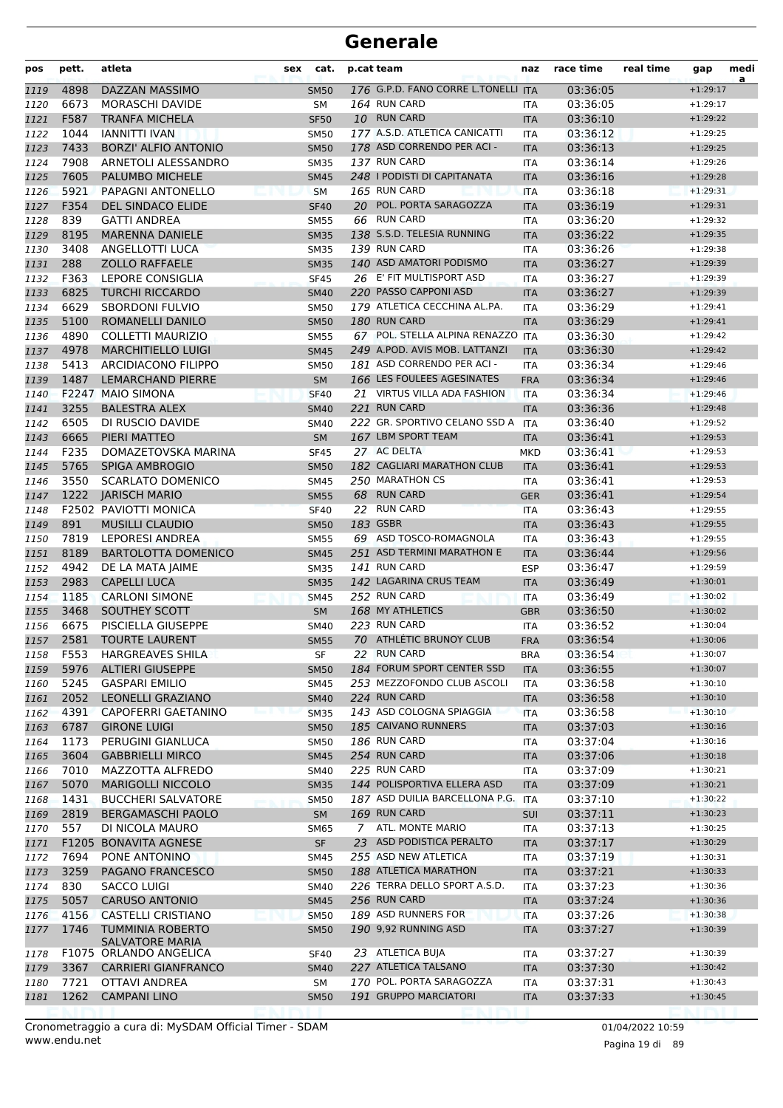| pos          | pett.        | atleta                                       | sex | cat.                       |    | p.cat team                              | naz               | race time            | real time | gap                      | medi<br>a |
|--------------|--------------|----------------------------------------------|-----|----------------------------|----|-----------------------------------------|-------------------|----------------------|-----------|--------------------------|-----------|
| 1119         | 4898         | DAZZAN MASSIMO                               |     | <b>SM50</b>                |    | 176 G.P.D. FANO CORRE L.TONELLI ITA     |                   | 03:36:05             |           | $+1:29:17$               |           |
| 1120         | 6673         | <b>MORASCHI DAVIDE</b>                       |     | SΜ                         |    | 164 RUN CARD                            | ITA               | 03:36:05             |           | $+1:29:17$               |           |
| 1121         | F587         | <b>TRANFA MICHELA</b>                        |     | <b>SF50</b>                |    | 10 RUN CARD                             | <b>ITA</b>        | 03:36:10             |           | $+1:29:22$               |           |
| 1122         | 1044         | <b>IANNITTI IVAN</b>                         |     | <b>SM50</b>                |    | 177 A.S.D. ATLETICA CANICATTI           | <b>ITA</b>        | 03:36:12             |           | $+1:29:25$               |           |
| 1123         | 7433         | <b>BORZI' ALFIO ANTONIO</b>                  |     | <b>SM50</b>                |    | 178 ASD CORRENDO PER ACI -              | <b>ITA</b>        | 03:36:13             |           | $+1:29:25$               |           |
| 1124         | 7908         | ARNETOLI ALESSANDRO                          |     | <b>SM35</b>                |    | 137 RUN CARD                            | <b>ITA</b>        | 03:36:14             |           | $+1:29:26$               |           |
| 1125         | 7605         | PALUMBO MICHELE                              |     | <b>SM45</b>                |    | 248   PODISTI DI CAPITANATA             | <b>ITA</b>        | 03:36:16             |           | $+1:29:28$               |           |
| 1126         | 5921         | PAPAGNI ANTONELLO                            |     | <b>SM</b>                  |    | 165 RUN CARD                            | <b>ITA</b>        | 03:36:18             |           | $+1:29:31$               |           |
| 1127         | F354         | <b>DEL SINDACO ELIDE</b>                     |     | <b>SF40</b>                |    | 20 POL. PORTA SARAGOZZA                 | <b>ITA</b>        | 03:36:19             |           | $+1:29:31$               |           |
| 1128         | 839          | <b>GATTI ANDREA</b>                          |     | <b>SM55</b>                | 66 | <b>RUN CARD</b>                         | <b>ITA</b>        | 03:36:20             |           | $+1:29:32$               |           |
| 1129         | 8195         | <b>MARENNA DANIELE</b>                       |     | <b>SM35</b>                |    | 138 S.S.D. TELESIA RUNNING              | <b>ITA</b>        | 03:36:22             |           | $+1:29:35$               |           |
| 1130         | 3408         | ANGELLOTTI LUCA                              |     | <b>SM35</b>                |    | 139 RUN CARD<br>140 ASD AMATORI PODISMO | <b>ITA</b>        | 03:36:26             |           | $+1:29:38$               |           |
| 1131         | 288<br>F363  | <b>ZOLLO RAFFAELE</b>                        |     | <b>SM35</b>                |    | 26 E' FIT MULTISPORT ASD                | <b>ITA</b>        | 03:36:27             |           | $+1:29:39$               |           |
| 1132<br>1133 | 6825         | LEPORE CONSIGLIA<br><b>TURCHI RICCARDO</b>   |     | <b>SF45</b>                |    | 220 PASSO CAPPONI ASD                   | <b>ITA</b>        | 03:36:27<br>03:36:27 |           | $+1:29:39$<br>$+1:29:39$ |           |
| 1134         | 6629         | <b>SBORDONI FULVIO</b>                       |     | <b>SM40</b><br><b>SM50</b> |    | 179 ATLETICA CECCHINA AL.PA.            | <b>ITA</b><br>ITA | 03:36:29             |           | $+1:29:41$               |           |
| 1135         | 5100         | ROMANELLI DANILO                             |     | <b>SM50</b>                |    | 180 RUN CARD                            | <b>ITA</b>        | 03:36:29             |           | $+1:29:41$               |           |
| 1136         | 4890         | COLLETTI MAURIZIO                            |     | <b>SM55</b>                |    | 67 POL. STELLA ALPINA RENAZZO ITA       |                   | 03:36:30             |           | $+1:29:42$               |           |
| 1137         | 4978         | <b>MARCHITIELLO LUIGI</b>                    |     | <b>SM45</b>                |    | 249 A.POD. AVIS MOB. LATTANZI           | <b>ITA</b>        | 03:36:30             |           | $+1:29:42$               |           |
| 1138         | 5413         | <b>ARCIDIACONO FILIPPO</b>                   |     | <b>SM50</b>                |    | 181 ASD CORRENDO PER ACI -              | ITA               | 03:36:34             |           | $+1:29:46$               |           |
| 1139         | 1487         | <b>LEMARCHAND PIERRE</b>                     |     | <b>SM</b>                  |    | 166 LES FOULEES AGESINATES              | <b>FRA</b>        | 03:36:34             |           | $+1:29:46$               |           |
| 1140         | F2247        | <b>MAIO SIMONA</b>                           |     | <b>SF40</b>                |    | 21 VIRTUS VILLA ADA FASHION             | <b>ITA</b>        | 03:36:34             |           | $+1:29:46$               |           |
| 1141         | 3255         | <b>BALESTRA ALEX</b>                         |     | <b>SM40</b>                |    | 221 RUN CARD                            | <b>ITA</b>        | 03:36:36             |           | $+1:29:48$               |           |
| 1142         | 6505         | DI RUSCIO DAVIDE                             |     | <b>SM40</b>                |    | 222 GR. SPORTIVO CELANO SSD A           | <b>ITA</b>        | 03:36:40             |           | $+1:29:52$               |           |
| 1143         | 6665         | PIERI MATTEO                                 |     | SM                         |    | 167 LBM SPORT TEAM                      | <b>ITA</b>        | 03:36:41             |           | $+1:29:53$               |           |
| 1144         | F235         | DOMAZETOVSKA MARINA                          |     | <b>SF45</b>                |    | 27 AC DELTA                             | <b>MKD</b>        | 03:36:41             |           | $+1:29:53$               |           |
| 1145         | 5765         | <b>SPIGA AMBROGIO</b>                        |     | <b>SM50</b>                |    | 182 CAGLIARI MARATHON CLUB              | <b>ITA</b>        | 03:36:41             |           | $+1:29:53$               |           |
| 1146         | 3550         | <b>SCARLATO DOMENICO</b>                     |     | <b>SM45</b>                |    | 250 MARATHON CS                         | ITA               | 03:36:41             |           | $+1:29:53$               |           |
| 1147         | 1222         | <b>JARISCH MARIO</b>                         |     | <b>SM55</b>                |    | 68 RUN CARD                             | <b>GER</b>        | 03:36:41             |           | $+1:29:54$               |           |
| 1148         |              | F2502 PAVIOTTI MONICA                        |     | <b>SF40</b>                |    | 22 RUN CARD                             | <b>ITA</b>        | 03:36:43             |           | $+1:29:55$               |           |
| 1149         | 891          | <b>MUSILLI CLAUDIO</b>                       |     | <b>SM50</b>                |    | 183 GSBR                                | <b>ITA</b>        | 03:36:43             |           | $+1:29:55$               |           |
| 1150         | 7819         | <b>LEPORESI ANDREA</b>                       |     | <b>SM55</b>                |    | 69 ASD TOSCO-ROMAGNOLA                  | <b>ITA</b>        | 03:36:43             |           | $+1:29:55$               |           |
| 1151         | 8189         | <b>BARTOLOTTA DOMENICO</b>                   |     | <b>SM45</b>                |    | 251 ASD TERMINI MARATHON E              | <b>ITA</b>        | 03:36:44             |           | $+1:29:56$               |           |
| 1152         | 4942         | DE LA MATA JAIME                             |     | <b>SM35</b>                |    | 141 RUN CARD                            | <b>ESP</b>        | 03:36:47             |           | $+1:29:59$               |           |
| 1153         | 2983         | <b>CAPELLI LUCA</b>                          |     | <b>SM35</b>                |    | 142 LAGARINA CRUS TEAM                  | <b>ITA</b>        | 03:36:49             |           | $+1:30:01$               |           |
| 1154         | 1185         | <b>CARLONI SIMONE</b>                        |     | <b>SM45</b>                |    | 252 RUN CARD                            | <b>ITA</b>        | 03:36:49             |           | $+1:30:02$               |           |
| 1155         | 3468         | SOUTHEY SCOTT                                |     | SM                         |    | 168 MY ATHLETICS                        | <b>GBR</b>        | 03:36:50             |           | $+1:30:02$               |           |
| 1156         | 6675         | PISCIELLA GIUSEPPE                           |     | <b>SM40</b>                |    | 223 RUN CARD                            | <b>ITA</b>        | 03:36:52             |           | $+1:30:04$               |           |
| 1157         | 2581         | <b>TOURTE LAURENT</b>                        |     | <b>SM55</b>                |    | 70 ATHLETIC BRUNOY CLUB                 | <b>FRA</b>        | 03:36:54             |           | $+1:30:06$               |           |
| 1158         | F553         | <b>HARGREAVES SHILA</b>                      |     | SF                         |    | 22 RUN CARD                             | <b>BRA</b>        | 03:36:54             |           | $+1:30:07$               |           |
| 1159         | 5976         | <b>ALTIERI GIUSEPPE</b>                      |     | <b>SM50</b>                |    | 184 FORUM SPORT CENTER SSD              | <b>ITA</b>        | 03:36:55             |           | $+1:30:07$               |           |
| 1160         | 5245         | <b>GASPARI EMILIO</b>                        |     | <b>SM45</b>                |    | 253 MEZZOFONDO CLUB ASCOLI              | <b>ITA</b>        | 03:36:58             |           | $+1:30:10$               |           |
| 1161         | 2052         | LEONELLI GRAZIANO                            |     | <b>SM40</b>                |    | 224 RUN CARD                            | <b>ITA</b>        | 03:36:58             |           | $+1:30:10$               |           |
| 1162         | 4391         | <b>CAPOFERRI GAETANINO</b>                   |     | <b>SM35</b>                |    | 143 ASD COLOGNA SPIAGGIA                | <b>ITA</b>        | 03:36:58             |           | $+1:30:10$               |           |
| 1163         | 6787         | <b>GIRONE LUIGI</b>                          |     | <b>SM50</b>                |    | 185 CAIVANO RUNNERS                     | <b>ITA</b>        | 03:37:03             |           | $+1:30:16$               |           |
| 1164         | 1173         | PERUGINI GIANLUCA                            |     | <b>SM50</b>                |    | 186 RUN CARD                            | ITA               | 03:37:04             |           | $+1:30:16$               |           |
| 1165         | 3604         | <b>GABBRIELLI MIRCO</b>                      |     | <b>SM45</b>                |    | 254 RUN CARD<br>225 RUN CARD            | <b>ITA</b>        | 03:37:06             |           | $+1:30:18$               |           |
| 1166         | 7010<br>5070 | MAZZOTTA ALFREDO<br><b>MARIGOLLI NICCOLO</b> |     | SM40                       |    | 144 POLISPORTIVA ELLERA ASD             | ITA               | 03:37:09<br>03:37:09 |           | $+1:30:21$<br>$+1:30:21$ |           |
| 1167<br>1168 | 1431         | <b>BUCCHERI SALVATORE</b>                    |     | <b>SM35</b><br><b>SM50</b> |    | 187 ASD DUILIA BARCELLONA P.G. ITA      | <b>ITA</b>        | 03:37:10             |           | $+1:30:22$               |           |
| 1169         | 2819         | <b>BERGAMASCHI PAOLO</b>                     |     | <b>SM</b>                  |    | 169 RUN CARD                            | <b>SUI</b>        | 03:37:11             |           | $+1:30:23$               |           |
| 1170         | 557          | DI NICOLA MAURO                              |     | SM65                       | 7  | ATL. MONTE MARIO                        | ITA               | 03:37:13             |           | $+1:30:25$               |           |
| 1171         |              | F1205 BONAVITA AGNESE                        |     | <b>SF</b>                  |    | 23 ASD PODISTICA PERALTO                | <b>ITA</b>        | 03:37:17             |           | $+1:30:29$               |           |
| 1172         | 7694         | PONE ANTONINO                                |     | SM45                       |    | 255 ASD NEW ATLETICA                    | ITA               | 03:37:19             |           | $+1:30:31$               |           |
| 1173         | 3259         | PAGANO FRANCESCO                             |     | <b>SM50</b>                |    | 188 ATLETICA MARATHON                   | <b>ITA</b>        | 03:37:21             |           | $+1:30:33$               |           |
| 1174         | 830          | <b>SACCO LUIGI</b>                           |     | SM40                       |    | 226 TERRA DELLO SPORT A.S.D.            | <b>ITA</b>        | 03:37:23             |           | $+1:30:36$               |           |
| 1175         | 5057         | <b>CARUSO ANTONIO</b>                        |     | <b>SM45</b>                |    | 256 RUN CARD                            | <b>ITA</b>        | 03:37:24             |           | $+1:30:36$               |           |
| 1176         | 4156         | <b>CASTELLI CRISTIANO</b>                    |     | <b>SM50</b>                |    | 189 ASD RUNNERS FOR                     | <b>ITA</b>        | 03:37:26             |           | $+1:30:38$               |           |
| 1177         | 1746         | <b>TUMMINIA ROBERTO</b>                      |     | <b>SM50</b>                |    | 190 9,92 RUNNING ASD                    | <b>ITA</b>        | 03:37:27             |           | $+1:30:39$               |           |
|              |              | <b>SALVATORE MARIA</b>                       |     |                            |    |                                         |                   |                      |           |                          |           |
| 1178         |              | F1075 ORLANDO ANGELICA                       |     | <b>SF40</b>                |    | 23 ATLETICA BUJA                        | ITA               | 03:37:27             |           | $+1:30:39$               |           |
| 1179         | 3367         | <b>CARRIERI GIANFRANCO</b>                   |     | <b>SM40</b>                |    | 227 ATLETICA TALSANO                    | <b>ITA</b>        | 03:37:30             |           | $+1:30:42$               |           |
| 1180         | 7721         | OTTAVI ANDREA                                |     | SM                         |    | 170 POL. PORTA SARAGOZZA                | ITA               | 03:37:31             |           | $+1:30:43$               |           |
| 1181         | 1262         | <b>CAMPANI LINO</b>                          |     | <b>SM50</b>                |    | 191 GRUPPO MARCIATORI                   | <b>ITA</b>        | 03:37:33             |           | $+1:30:45$               |           |
|              |              |                                              |     |                            |    |                                         |                   |                      |           |                          |           |

Pagina 19 di 89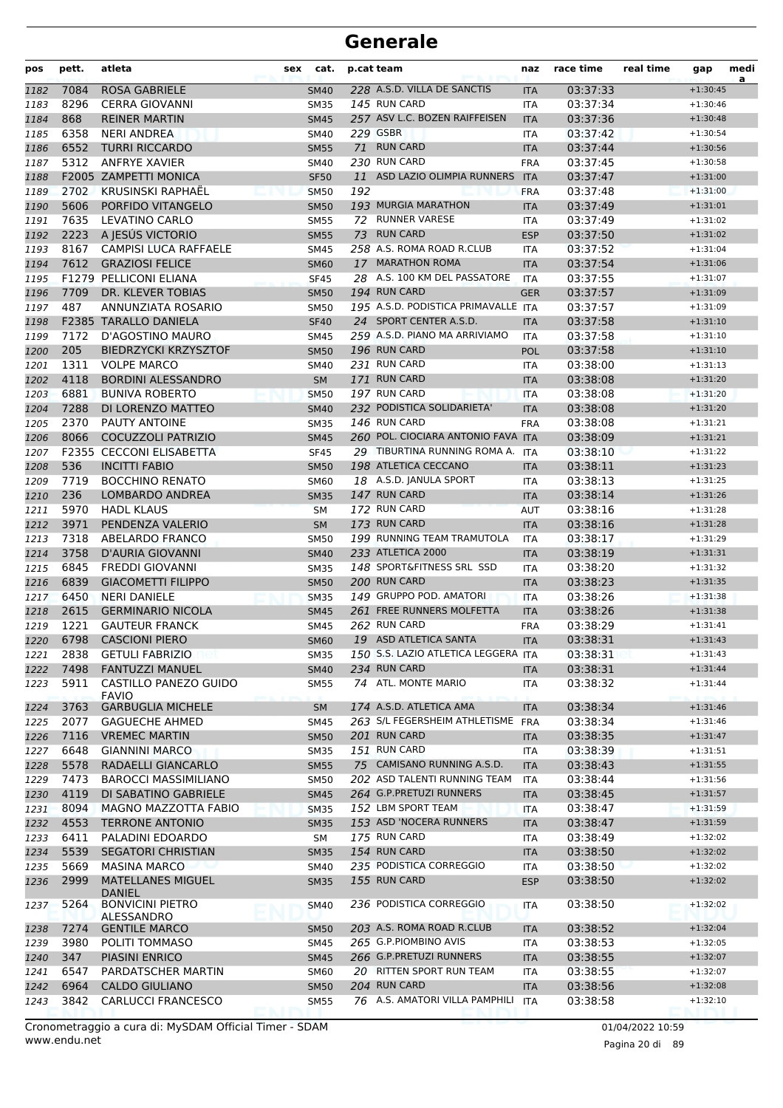| pos  | pett. | atleta                                | sex | cat.        |     | p.cat team                          | naz        | race time | real time | gap        | medi<br>a |
|------|-------|---------------------------------------|-----|-------------|-----|-------------------------------------|------------|-----------|-----------|------------|-----------|
| 1182 | 7084  | <b>ROSA GABRIELE</b>                  |     | <b>SM40</b> |     | 228 A.S.D. VILLA DE SANCTIS         | <b>ITA</b> | 03:37:33  |           | $+1:30:45$ |           |
| 1183 | 8296  | <b>CERRA GIOVANNI</b>                 |     | <b>SM35</b> |     | 145 RUN CARD                        | <b>ITA</b> | 03:37:34  |           | $+1:30:46$ |           |
| 1184 | 868   | <b>REINER MARTIN</b>                  |     | <b>SM45</b> |     | 257 ASV L.C. BOZEN RAIFFEISEN       | <b>ITA</b> | 03:37:36  |           | $+1:30:48$ |           |
| 1185 | 6358  | <b>NERI ANDREA</b>                    |     | <b>SM40</b> |     | <b>229 GSBR</b>                     | <b>ITA</b> | 03:37:42  |           | $+1:30:54$ |           |
| 1186 | 6552  | <b>TURRI RICCARDO</b>                 |     | <b>SM55</b> |     | 71 RUN CARD                         | <b>ITA</b> | 03:37:44  |           | $+1:30:56$ |           |
| 1187 | 5312  | <b>ANFRYE XAVIER</b>                  |     | <b>SM40</b> |     | 230 RUN CARD                        | <b>FRA</b> | 03:37:45  |           | $+1:30:58$ |           |
| 1188 |       | F2005 ZAMPETTI MONICA                 |     | <b>SF50</b> |     | 11 ASD LAZIO OLIMPIA RUNNERS        | <b>ITA</b> | 03:37:47  |           | $+1:31:00$ |           |
| 1189 | 2702  | <b>KRUSINSKI RAPHAËL</b>              |     | <b>SM50</b> | 192 |                                     | <b>FRA</b> | 03:37:48  |           | $+1:31:00$ |           |
| 1190 | 5606  | PORFIDO VITANGELO                     |     | <b>SM50</b> |     | 193 MURGIA MARATHON                 | <b>ITA</b> | 03:37:49  |           | $+1:31:01$ |           |
| 1191 | 7635  | <b>LEVATINO CARLO</b>                 |     | <b>SM55</b> | 72  | <b>RUNNER VARESE</b>                | ITA        | 03:37:49  |           | $+1:31:02$ |           |
| 1192 | 2223  | A JESÚS VICTORIO                      |     | <b>SM55</b> | 73  | <b>RUN CARD</b>                     | <b>ESP</b> | 03:37:50  |           | $+1:31:02$ |           |
| 1193 | 8167  | <b>CAMPISI LUCA RAFFAELE</b>          |     | <b>SM45</b> |     | 258 A.S. ROMA ROAD R.CLUB           | <b>ITA</b> | 03:37:52  |           | $+1:31:04$ |           |
| 1194 | 7612  | <b>GRAZIOSI FELICE</b>                |     | <b>SM60</b> |     | 17 MARATHON ROMA                    | <b>ITA</b> | 03:37:54  |           | $+1:31:06$ |           |
| 1195 |       | F1279 PELLICONI ELIANA                |     | <b>SF45</b> |     | 28 A.S. 100 KM DEL PASSATORE        | ITA        | 03:37:55  |           | $+1:31:07$ |           |
| 1196 | 7709  | DR. KLEVER TOBIAS                     |     | <b>SM50</b> |     | 194 RUN CARD                        | <b>GER</b> | 03:37:57  |           | $+1:31:09$ |           |
| 1197 | 487   | ANNUNZIATA ROSARIO                    |     | <b>SM50</b> |     | 195 A.S.D. PODISTICA PRIMAVALLE ITA |            | 03:37:57  |           | $+1:31:09$ |           |
| 1198 |       | <b>F2385 TARALLO DANIELA</b>          |     | <b>SF40</b> |     | 24 SPORT CENTER A.S.D.              | <b>ITA</b> | 03:37:58  |           | $+1:31:10$ |           |
| 1199 | 7172  | D'AGOSTINO MAURO                      |     | <b>SM45</b> |     | 259 A.S.D. PIANO MA ARRIVIAMO       | <b>ITA</b> | 03:37:58  |           | $+1:31:10$ |           |
| 1200 | 205   | <b>BIEDRZYCKI KRZYSZTOF</b>           |     | <b>SM50</b> |     | 196 RUN CARD                        | <b>POL</b> | 03:37:58  |           | $+1:31:10$ |           |
| 1201 | 1311  | <b>VOLPE MARCO</b>                    |     | <b>SM40</b> |     | 231 RUN CARD                        | ITA        | 03:38:00  |           | $+1:31:13$ |           |
| 1202 | 4118  | <b>BORDINI ALESSANDRO</b>             |     | <b>SM</b>   |     | 171 RUN CARD                        | <b>ITA</b> | 03:38:08  |           | $+1:31:20$ |           |
| 1203 | 6881  | <b>BUNIVA ROBERTO</b>                 |     | <b>SM50</b> |     | 197 RUN CARD                        | <b>ITA</b> | 03:38:08  |           | $+1:31:20$ |           |
| 1204 | 7288  | DI LORENZO MATTEO                     |     | <b>SM40</b> |     | 232 PODISTICA SOLIDARIETA'          | <b>ITA</b> | 03:38:08  |           | $+1:31:20$ |           |
| 1205 | 2370  | PAUTY ANTOINE                         |     | <b>SM35</b> |     | <b>146 RUN CARD</b>                 | <b>FRA</b> | 03:38:08  |           | $+1:31:21$ |           |
| 1206 | 8066  | <b>COCUZZOLI PATRIZIO</b>             |     | <b>SM45</b> |     | 260 POL. CIOCIARA ANTONIO FAVA ITA  |            | 03:38:09  |           | $+1:31:21$ |           |
| 1207 |       | F2355 CECCONI ELISABETTA              |     | <b>SF45</b> |     | 29 TIBURTINA RUNNING ROMA A. ITA    |            | 03:38:10  |           | $+1:31:22$ |           |
| 1208 | 536   | <b>INCITTI FABIO</b>                  |     | <b>SM50</b> |     | 198 ATLETICA CECCANO                | <b>ITA</b> | 03:38:11  |           | $+1:31:23$ |           |
| 1209 | 7719  | <b>BOCCHINO RENATO</b>                |     | <b>SM60</b> |     | 18 A.S.D. JANULA SPORT              | ITA        | 03:38:13  |           | $+1:31:25$ |           |
| 1210 | 236   | LOMBARDO ANDREA                       |     | <b>SM35</b> |     | 147 RUN CARD                        | <b>ITA</b> | 03:38:14  |           | $+1:31:26$ |           |
| 1211 | 5970  | <b>HADL KLAUS</b>                     |     | <b>SM</b>   |     | 172 RUN CARD                        | <b>AUT</b> | 03:38:16  |           | $+1:31:28$ |           |
| 1212 | 3971  | PENDENZA VALERIO                      |     | <b>SM</b>   |     | 173 RUN CARD                        | <b>ITA</b> | 03:38:16  |           | $+1:31:28$ |           |
| 1213 | 7318  | ABELARDO FRANCO                       |     | <b>SM50</b> |     | 199 RUNNING TEAM TRAMUTOLA          | ITA        | 03:38:17  |           | $+1:31:29$ |           |
| 1214 | 3758  | D'AURIA GIOVANNI                      |     | <b>SM40</b> |     | 233 ATLETICA 2000                   | <b>ITA</b> | 03:38:19  |           | $+1:31:31$ |           |
| 1215 | 6845  | <b>FREDDI GIOVANNI</b>                |     | <b>SM35</b> |     | 148 SPORT&FITNESS SRL SSD           | ITA        | 03:38:20  |           | $+1:31:32$ |           |
| 1216 | 6839  | <b>GIACOMETTI FILIPPO</b>             |     | <b>SM50</b> |     | 200 RUN CARD                        | <b>ITA</b> | 03:38:23  |           | $+1:31:35$ |           |
| 1217 | 6450  | <b>NERI DANIELE</b>                   |     | <b>SM35</b> |     | 149 GRUPPO POD. AMATORI             | <b>ITA</b> | 03:38:26  |           | $+1:31:38$ |           |
| 1218 | 2615  | <b>GERMINARIO NICOLA</b>              |     | <b>SM45</b> |     | 261 FREE RUNNERS MOLFETTA           | <b>ITA</b> | 03:38:26  |           | $+1:31:38$ |           |
| 1219 | 1221  | <b>GAUTEUR FRANCK</b>                 |     | SM45        |     | 262 RUN CARD                        | FRA        | 03:38:29  |           | $+1:31:41$ |           |
| 1220 | 6798  | <b>CASCIONI PIERO</b>                 |     | <b>SM60</b> |     | 19 ASD ATLETICA SANTA               | <b>ITA</b> | 03:38:31  |           | $+1:31:43$ |           |
| 1221 | 2838  | <b>GETULI FABRIZIO</b>                |     | <b>SM35</b> |     | 150 S.S. LAZIO ATLETICA LEGGERA ITA |            | 03:38:31  |           | $+1:31:43$ |           |
| 1222 | 7498  | <b>FANTUZZI MANUEL</b>                |     | <b>SM40</b> |     | 234 RUN CARD                        | <b>ITA</b> | 03:38:31  |           | $+1:31:44$ |           |
| 1223 | 5911  | CASTILLO PANEZO GUIDO<br><b>FAVIO</b> |     | SM55        |     | 74 ATL. MONTE MARIO                 | ITA        | 03:38:32  |           | $+1:31:44$ |           |
| 1224 | 3763  | <b>GARBUGLIA MICHELE</b>              |     | <b>SM</b>   |     | 174 A.S.D. ATLETICA AMA             | <b>ITA</b> | 03:38:34  |           | $+1:31:46$ |           |
| 1225 | 2077  | <b>GAGUECHE AHMED</b>                 |     | <b>SM45</b> |     | 263 S/L FEGERSHEIM ATHLETISME FRA   |            | 03:38:34  |           | $+1:31:46$ |           |
| 1226 | 7116  | <b>VREMEC MARTIN</b>                  |     | <b>SM50</b> |     | 201 RUN CARD                        | <b>ITA</b> | 03:38:35  |           | $+1:31:47$ |           |
| 1227 | 6648  | <b>GIANNINI MARCO</b>                 |     | <b>SM35</b> |     | 151 RUN CARD                        | ITA        | 03:38:39  |           | $+1:31:51$ |           |
| 1228 | 5578  | RADAELLI GIANCARLO                    |     | <b>SM55</b> |     | 75 CAMISANO RUNNING A.S.D.          | <b>ITA</b> | 03:38:43  |           | $+1:31:55$ |           |
| 1229 | 7473  | <b>BAROCCI MASSIMILIANO</b>           |     | <b>SM50</b> |     | 202 ASD TALENTI RUNNING TEAM        | <b>ITA</b> | 03:38:44  |           | $+1:31:56$ |           |
| 1230 | 4119  | DI SABATINO GABRIELE                  |     | <b>SM45</b> |     | 264 G.P.PRETUZI RUNNERS             | <b>ITA</b> | 03:38:45  |           | $+1:31:57$ |           |
| 1231 | 8094  | MAGNO MAZZOTTA FABIO                  |     | <b>SM35</b> |     | 152 LBM SPORT TEAM                  | ITA        | 03:38:47  |           | $+1:31:59$ |           |
| 1232 | 4553  | <b>TERRONE ANTONIO</b>                |     | <b>SM35</b> |     | 153 ASD 'NOCERA RUNNERS             | <b>ITA</b> | 03:38:47  |           | $+1:31:59$ |           |
| 1233 | 6411  | PALADINI EDOARDO                      |     | SM          |     | 175 RUN CARD                        | ITA        | 03:38:49  |           | $+1:32:02$ |           |
| 1234 | 5539  | <b>SEGATORI CHRISTIAN</b>             |     | <b>SM35</b> |     | 154 RUN CARD                        | <b>ITA</b> | 03:38:50  |           | $+1:32:02$ |           |
| 1235 | 5669  | <b>MASINA MARCO</b>                   |     | SM40        |     | 235 PODISTICA CORREGGIO             | ITA        | 03:38:50  |           | $+1:32:02$ |           |
| 1236 | 2999  | MATELLANES MIGUEL<br><b>DANIEL</b>    |     | <b>SM35</b> |     | 155 RUN CARD                        | <b>ESP</b> | 03:38:50  |           | $+1:32:02$ |           |
| 1237 | 5264  | <b>BONVICINI PIETRO</b><br>ALESSANDRO |     | SM40        |     | 236 PODISTICA CORREGGIO             | ITA        | 03:38:50  |           | $+1:32:02$ |           |
| 1238 | 7274  | <b>GENTILE MARCO</b>                  |     | <b>SM50</b> |     | 203 A.S. ROMA ROAD R.CLUB           | <b>ITA</b> | 03:38:52  |           | $+1:32:04$ |           |
| 1239 | 3980  | POLITI TOMMASO                        |     | <b>SM45</b> |     | 265 G.P.PIOMBINO AVIS               | ITA        | 03:38:53  |           | $+1:32:05$ |           |
| 1240 | 347   | PIASINI ENRICO                        |     | <b>SM45</b> |     | 266 G.P.PRETUZI RUNNERS             | <b>ITA</b> | 03:38:55  |           | $+1:32:07$ |           |
| 1241 | 6547  | PARDATSCHER MARTIN                    |     | SM60        |     | 20 RITTEN SPORT RUN TEAM            | ITA        | 03:38:55  |           | $+1:32:07$ |           |
| 1242 | 6964  | <b>CALDO GIULIANO</b>                 |     | <b>SM50</b> |     | 204 RUN CARD                        | <b>ITA</b> | 03:38:56  |           | $+1:32:08$ |           |
| 1243 | 3842  | CARLUCCI FRANCESCO                    |     | <b>SM55</b> |     | 76 A.S. AMATORI VILLA PAMPHILI      | <b>ITA</b> | 03:38:58  |           | $+1:32:10$ |           |

www.endu.net Cronometraggio a cura di: MySDAM Official Timer - SDAM 01/04/2022 10:59

Pagina 20 di 89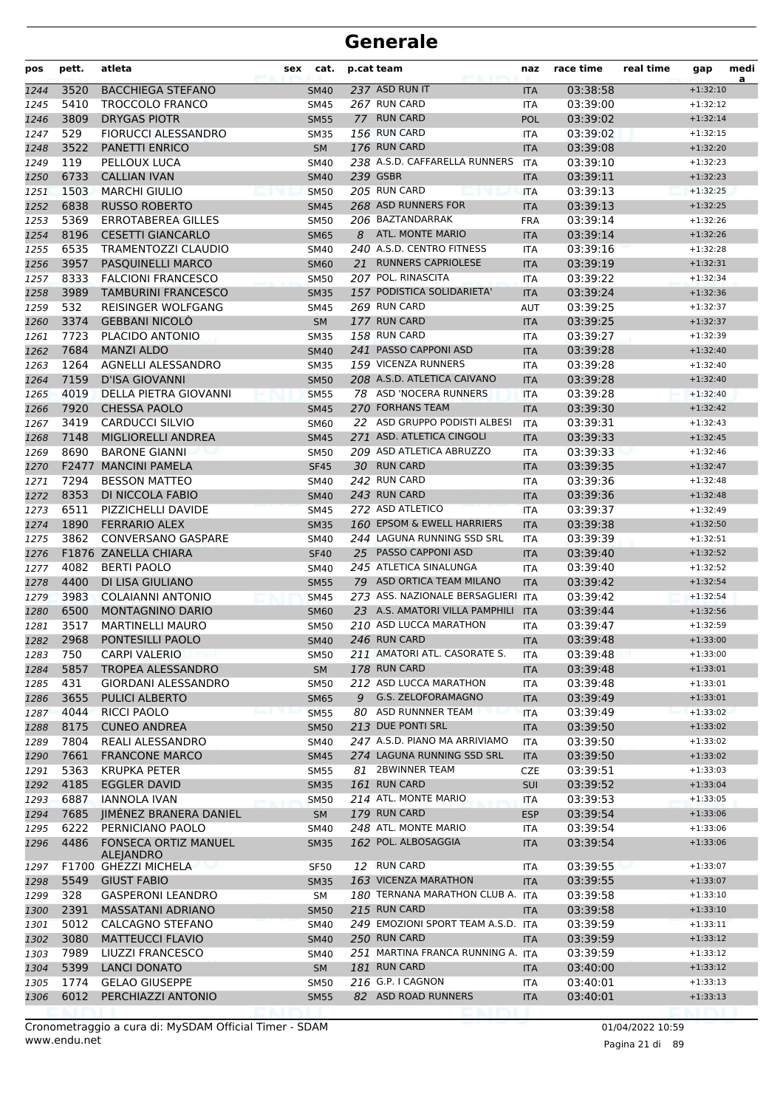| pos          | pett.        | atleta                                           | sex | cat.                       | p.cat team |                                                    | naz               | race time            | real time | gap                      | medi<br>a |
|--------------|--------------|--------------------------------------------------|-----|----------------------------|------------|----------------------------------------------------|-------------------|----------------------|-----------|--------------------------|-----------|
| 1244         | 3520         | <b>BACCHIEGA STEFANO</b>                         |     | <b>SM40</b>                |            | 237 ASD RUN IT                                     | <b>ITA</b>        | 03:38:58             |           | $+1:32:10$               |           |
| 1245         | 5410         | TROCCOLO FRANCO                                  |     | <b>SM45</b>                |            | 267 RUN CARD                                       | <b>ITA</b>        | 03:39:00             |           | $+1:32:12$               |           |
| 1246         | 3809         | <b>DRYGAS PIOTR</b>                              |     | <b>SM55</b>                | 77         | <b>RUN CARD</b>                                    | <b>POL</b>        | 03:39:02             |           | $+1:32:14$               |           |
| 1247         | 529          | <b>FIORUCCI ALESSANDRO</b>                       |     | <b>SM35</b>                |            | 156 RUN CARD                                       | <b>ITA</b>        | 03:39:02             |           | $+1:32:15$               |           |
| 1248         | 3522         | <b>PANETTI ENRICO</b>                            |     | <b>SM</b>                  |            | 176 RUN CARD                                       | <b>ITA</b>        | 03:39:08             |           | $+1:32:20$               |           |
| 1249         | 119          | PELLOUX LUCA                                     |     | <b>SM40</b>                |            | 238 A.S.D. CAFFARELLA RUNNERS                      | ITA               | 03:39:10             |           | $+1:32:23$               |           |
| 1250         | 6733         | <b>CALLIAN IVAN</b>                              |     | <b>SM40</b>                |            | 239 GSBR                                           | <b>ITA</b>        | 03:39:11             |           | $+1:32:23$               |           |
| 1251         | 1503         | <b>MARCHI GIULIO</b>                             |     | <b>SM50</b>                |            | 205 RUN CARD                                       | <b>ITA</b>        | 03:39:13             |           | $+1:32:25$               |           |
| 1252         | 6838         | <b>RUSSO ROBERTO</b>                             |     | <b>SM45</b>                |            | 268 ASD RUNNERS FOR                                | <b>ITA</b>        | 03:39:13             |           | $+1:32:25$               |           |
| 1253         | 5369         | <b>ERROTABEREA GILLES</b>                        |     | <b>SM50</b>                |            | 206 BAZTANDARRAK                                   | <b>FRA</b>        | 03:39:14             |           | $+1:32:26$               |           |
| 1254         | 8196         | <b>CESETTI GIANCARLO</b>                         |     | <b>SM65</b>                | 8          | <b>ATL. MONTE MARIO</b>                            | <b>ITA</b>        | 03:39:14             |           | $+1:32:26$               |           |
| 1255         | 6535         | TRAMENTOZZI CLAUDIO                              |     | <b>SM40</b>                |            | 240 A.S.D. CENTRO FITNESS<br>21 RUNNERS CAPRIOLESE | ITA               | 03:39:16             |           | $+1:32:28$               |           |
| 1256         | 3957         | PASQUINELLI MARCO                                |     | <b>SM60</b>                |            | 207 POL. RINASCITA                                 | <b>ITA</b>        | 03:39:19             |           | $+1:32:31$               |           |
| 1257         | 8333<br>3989 | <b>FALCIONI FRANCESCO</b>                        |     | <b>SM50</b>                |            | 157 PODISTICA SOLIDARIETA'                         | <b>ITA</b>        | 03:39:22             |           | $+1:32:34$               |           |
| 1258         | 532          | <b>TAMBURINI FRANCESCO</b><br>REISINGER WOLFGANG |     | <b>SM35</b>                |            | 269 RUN CARD                                       | <b>ITA</b>        | 03:39:24             |           | $+1:32:36$<br>$+1:32:37$ |           |
| 1259         | 3374         | <b>GEBBANI NICOLO</b>                            |     | <b>SM45</b>                |            | 177 RUN CARD                                       | <b>AUT</b>        | 03:39:25<br>03:39:25 |           | $+1:32:37$               |           |
| 1260         | 7723         | PLACIDO ANTONIO                                  |     | <b>SM</b>                  |            | 158 RUN CARD                                       | <b>ITA</b>        | 03:39:27             |           | $+1:32:39$               |           |
| 1261         | 7684         | <b>MANZI ALDO</b>                                |     | <b>SM35</b><br><b>SM40</b> |            | 241 PASSO CAPPONI ASD                              | ITA<br><b>ITA</b> | 03:39:28             |           | $+1:32:40$               |           |
| 1262<br>1263 | 1264         | AGNELLI ALESSANDRO                               |     | <b>SM35</b>                |            | 159 VICENZA RUNNERS                                | <b>ITA</b>        | 03:39:28             |           | $+1:32:40$               |           |
|              | 7159         | <b>D'ISA GIOVANNI</b>                            |     | <b>SM50</b>                |            | 208 A.S.D. ATLETICA CAIVANO                        | <b>ITA</b>        | 03:39:28             |           | $+1:32:40$               |           |
| 1264         | 4019         | DELLA PIETRA GIOVANNI                            |     | <b>SM55</b>                |            | 78 ASD 'NOCERA RUNNERS                             | <b>ITA</b>        | 03:39:28             |           | $+1:32:40$               |           |
| 1265<br>1266 | 7920         | <b>CHESSA PAOLO</b>                              |     | <b>SM45</b>                |            | 270 FORHANS TEAM                                   | <b>ITA</b>        | 03:39:30             |           | $+1:32:42$               |           |
| 1267         | 3419         | <b>CARDUCCI SILVIO</b>                           |     | <b>SM60</b>                |            | 22 ASD GRUPPO PODISTI ALBESI                       | ITA               | 03:39:31             |           | $+1:32:43$               |           |
| 1268         | 7148         | <b>MIGLIORELLI ANDREA</b>                        |     | <b>SM45</b>                |            | 271 ASD. ATLETICA CINGOLI                          | <b>ITA</b>        | 03:39:33             |           | $+1:32:45$               |           |
| 1269         | 8690         | <b>BARONE GIANNI</b>                             |     | <b>SM50</b>                |            | 209 ASD ATLETICA ABRUZZO                           | <b>ITA</b>        | 03:39:33             |           | $+1:32:46$               |           |
| 1270         | F2477        | <b>MANCINI PAMELA</b>                            |     | <b>SF45</b>                |            | 30 RUN CARD                                        | <b>ITA</b>        | 03:39:35             |           | $+1:32:47$               |           |
| 1271         | 7294         | <b>BESSON MATTEO</b>                             |     | <b>SM40</b>                |            | 242 RUN CARD                                       | <b>ITA</b>        | 03:39:36             |           | $+1:32:48$               |           |
| 1272         | 8353         | DI NICCOLA FABIO                                 |     | <b>SM40</b>                |            | 243 RUN CARD                                       | <b>ITA</b>        | 03:39:36             |           | $+1:32:48$               |           |
| 1273         | 6511         | PIZZICHELLI DAVIDE                               |     | <b>SM45</b>                |            | 272 ASD ATLETICO                                   | <b>ITA</b>        | 03:39:37             |           | $+1:32:49$               |           |
| 1274         | 1890         | <b>FERRARIO ALEX</b>                             |     | <b>SM35</b>                |            | 160 EPSOM & EWELL HARRIERS                         | <b>ITA</b>        | 03:39:38             |           | $+1:32:50$               |           |
| 1275         | 3862         | CONVERSANO GASPARE                               |     | <b>SM40</b>                |            | 244 LAGUNA RUNNING SSD SRL                         | <b>ITA</b>        | 03:39:39             |           | $+1:32:51$               |           |
| 1276         |              | F1876 ZANELLA CHIARA                             |     | <b>SF40</b>                |            | 25 PASSO CAPPONI ASD                               | <b>ITA</b>        | 03:39:40             |           | $+1:32:52$               |           |
| 1277         | 4082         | <b>BERTI PAOLO</b>                               |     | SM40                       |            | 245 ATLETICA SINALUNGA                             | <b>ITA</b>        | 03:39:40             |           | $+1:32:52$               |           |
| 1278         | 4400         | <b>DI LISA GIULIANO</b>                          |     | <b>SM55</b>                |            | 79 ASD ORTICA TEAM MILANO                          | <b>ITA</b>        | 03:39:42             |           | $+1:32:54$               |           |
| 1279         | 3983         | <b>COLAIANNI ANTONIO</b>                         |     | <b>SM45</b>                |            | 273 ASS. NAZIONALE BERSAGLIERI ITA                 |                   | 03:39:42             |           | $+1:32:54$               |           |
| 1280         | 6500         | <b>MONTAGNINO DARIO</b>                          |     | <b>SM60</b>                |            | 23 A.S. AMATORI VILLA PAMPHILI                     | <b>ITA</b>        | 03:39:44             |           | $+1:32:56$               |           |
| 1281         | 3517         | <b>MARTINELLI MAURO</b>                          |     | <b>SM50</b>                |            | 210 ASD LUCCA MARATHON                             | ITA               | 03:39:47             |           | $+1:32:59$               |           |
| 1282         | 2968         | PONTESILLI PAOLO                                 |     | <b>SM40</b>                |            | 246 RUN CARD                                       | <b>ITA</b>        | 03:39:48             |           | $+1:33:00$               |           |
| 1283         | 750          | <b>CARPI VALERIO</b>                             |     | <b>SM50</b>                |            | 211 AMATORI ATL. CASORATE S.                       | <b>ITA</b>        | 03:39:48             |           | $+1:33:00$               |           |
| 1284         | 5857         | TROPEA ALESSANDRO                                |     | SM                         |            | 178 RUN CARD                                       | <b>ITA</b>        | 03:39:48             |           | $+1:33:01$               |           |
| 1285         | 431          | GIORDANI ALESSANDRO                              |     | <b>SM50</b>                |            | 212 ASD LUCCA MARATHON                             | <b>ITA</b>        | 03:39:48             |           | $+1:33:01$               |           |
| 1286         | 3655         | <b>PULICI ALBERTO</b>                            |     | <b>SM65</b>                | 9          | G.S. ZELOFORAMAGNO                                 | <b>ITA</b>        | 03:39:49             |           | $+1:33:01$               |           |
| 1287         | 4044         | <b>RICCI PAOLO</b>                               |     | <b>SM55</b>                |            | 80 ASD RUNNNER TEAM                                | <b>ITA</b>        | 03:39:49             |           | $+1:33:02$               |           |
| 1288         | 8175         | <b>CUNEO ANDREA</b>                              |     | <b>SM50</b>                |            | 213 DUE PONTI SRL                                  | <b>ITA</b>        | 03:39:50             |           | $+1:33:02$               |           |
| 1289         | 7804         | REALI ALESSANDRO                                 |     | SM40                       |            | 247 A.S.D. PIANO MA ARRIVIAMO                      | <b>ITA</b>        | 03:39:50             |           | $+1:33:02$               |           |
| 1290         | 7661         | <b>FRANCONE MARCO</b>                            |     | <b>SM45</b>                |            | 274 LAGUNA RUNNING SSD SRL                         | <b>ITA</b>        | 03:39:50             |           | $+1:33:02$               |           |
| 1291         | 5363         | <b>KRUPKA PETER</b>                              |     | <b>SM55</b>                |            | 81 2BWINNER TEAM                                   | <b>CZE</b>        | 03:39:51             |           | $+1:33:03$               |           |
| 1292         | 4185         | <b>EGGLER DAVID</b>                              |     | <b>SM35</b>                |            | 161 RUN CARD                                       | <b>SUI</b>        | 03:39:52             |           | $+1:33:04$               |           |
| 1293         | 6887         | <b>IANNOLA IVAN</b>                              |     | <b>SM50</b>                |            | 214 ATL. MONTE MARIO                               | ITA               | 03:39:53             |           | $+1:33:05$               |           |
| 1294         | 7685         | JIMÉNEZ BRANERA DANIEL                           |     | <b>SM</b>                  |            | 179 RUN CARD                                       | <b>ESP</b>        | 03:39:54             |           | $+1:33:06$               |           |
| 1295         | 6222         | PERNICIANO PAOLO                                 |     | SM40                       |            | 248 ATL. MONTE MARIO                               | <b>ITA</b>        | 03:39:54             |           | $+1:33:06$               |           |
| 1296         | 4486         | <b>FONSECA ORTIZ MANUEL</b><br><b>ALEJANDRO</b>  |     | <b>SM35</b>                |            | 162 POL. ALBOSAGGIA                                | <b>ITA</b>        | 03:39:54             |           | $+1:33:06$               |           |
| 1297         |              | F1700 GHEZZI MICHELA                             |     | SF50                       |            | 12 RUN CARD                                        | ITA               | 03:39:55             |           | $+1:33:07$               |           |
| 1298         | 5549         | <b>GIUST FABIO</b>                               |     | <b>SM35</b>                |            | 163 VICENZA MARATHON                               | <b>ITA</b>        | 03:39:55             |           | $+1:33:07$               |           |
| 1299         | 328          | <b>GASPERONI LEANDRO</b>                         |     | SM                         |            | 180 TERNANA MARATHON CLUB A. ITA                   |                   | 03:39:58             |           | $+1:33:10$               |           |
| 1300         | 2391         | MASSATANI ADRIANO                                |     | <b>SM50</b>                |            | 215 RUN CARD                                       | <b>ITA</b>        | 03:39:58             |           | $+1:33:10$               |           |
| 1301         | 5012         | CALCAGNO STEFANO                                 |     | <b>SM40</b>                |            | 249 EMOZIONI SPORT TEAM A.S.D. ITA                 |                   | 03:39:59             |           | $+1:33:11$               |           |
| 1302         | 3080         | <b>MATTEUCCI FLAVIO</b>                          |     | <b>SM40</b>                |            | 250 RUN CARD                                       | <b>ITA</b>        | 03:39:59             |           | $+1:33:12$               |           |
| 1303         | 7989         | LIUZZI FRANCESCO                                 |     | SM40                       |            | 251 MARTINA FRANCA RUNNING A. ITA                  |                   | 03:39:59             |           | $+1:33:12$               |           |
| 1304         | 5399         | <b>LANCI DONATO</b>                              |     | <b>SM</b>                  |            | <b>181 RUN CARD</b>                                | <b>ITA</b>        | 03:40:00             |           | $+1:33:12$               |           |
| 1305         | 1774         | <b>GELAO GIUSEPPE</b>                            |     | <b>SM50</b>                |            | 216 G.P. I CAGNON                                  | <b>ITA</b>        | 03:40:01             |           | $+1:33:13$               |           |
| 1306         | 6012         | PERCHIAZZI ANTONIO                               |     | <b>SM55</b>                |            | 82 ASD ROAD RUNNERS                                | <b>ITA</b>        | 03:40:01             |           | $+1:33:13$               |           |
|              |              |                                                  |     |                            |            |                                                    |                   |                      |           |                          |           |

Pagina 21 di 89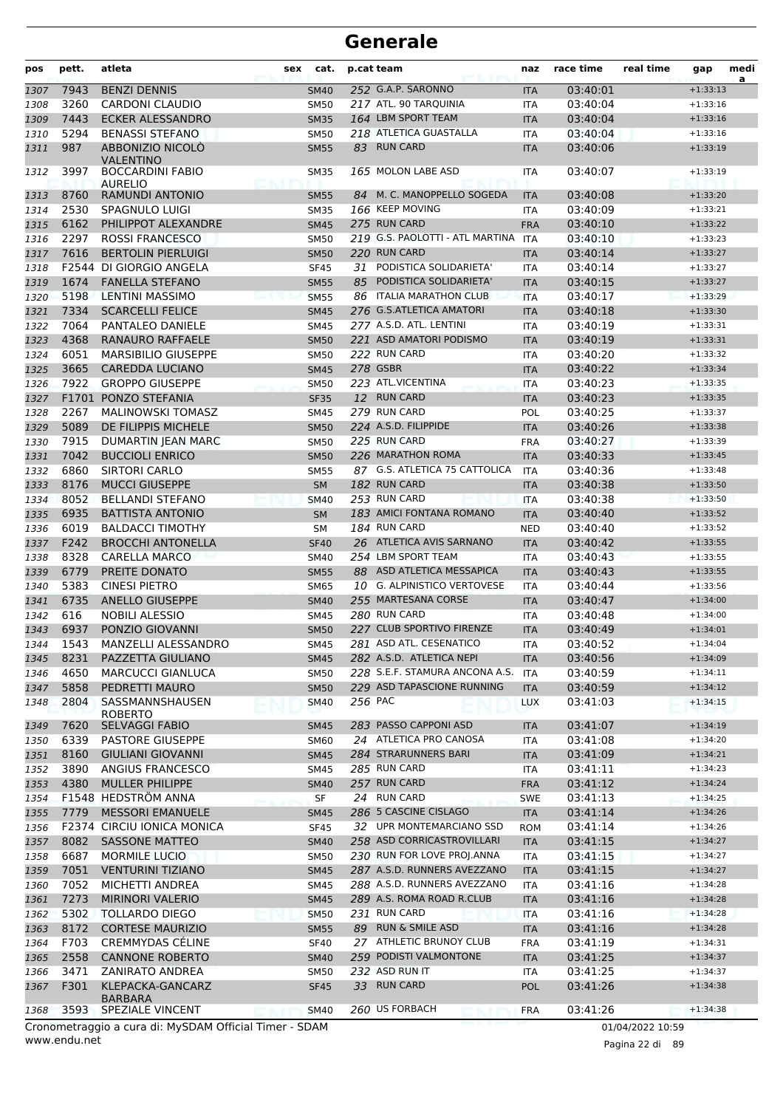| 252 G.A.P. SARONNO<br><b>BENZI DENNIS</b><br>7943<br>03:40:01<br>$+1:33:13$<br><b>SM40</b><br>1307<br><b>ITA</b><br>3260<br>217 ATL. 90 TARQUINIA<br><b>CARDONI CLAUDIO</b><br>03:40:04<br><b>SM50</b><br><b>ITA</b><br>$+1:33:16$<br>1308<br>7443<br><b>ECKER ALESSANDRO</b><br>164 LBM SPORT TEAM<br>03:40:04<br>1309<br><b>SM35</b><br>$+1:33:16$<br><b>ITA</b><br>218 ATLETICA GUASTALLA<br>5294<br><b>BENASSI STEFANO</b><br>03:40:04<br>$+1:33:16$<br><b>SM50</b><br>1310<br>ITA<br><b>RUN CARD</b><br>987<br><b>ABBONIZIO NICOLO</b><br>83<br>03:40:06<br>1311<br><b>SM55</b><br><b>ITA</b><br>$+1:33:19$<br><b>VALENTINO</b><br>165 MOLON LABE ASD<br>3997<br><b>BOCCARDINI FABIO</b><br>03:40:07<br><b>SM35</b><br>$+1:33:19$<br>1312<br>ITA<br><b>AURELIO</b><br>84 M. C. MANOPPELLO SOGEDA<br><b>RAMUNDI ANTONIO</b><br>1313<br>8760<br><b>SM55</b><br><b>ITA</b><br>03:40:08<br>$+1:33:20$<br>166 KEEP MOVING<br>2530<br><b>SM35</b><br>03:40:09<br>1314<br>SPAGNULO LUIGI<br>ITA<br>$+1:33:21$<br>6162<br>275 RUN CARD<br>PHILIPPOT ALEXANDRE<br>03:40:10<br>$+1:33:22$<br>1315<br><b>SM45</b><br><b>FRA</b><br>2297<br>219 G.S. PAOLOTTI - ATL MARTINA ITA<br><b>ROSSI FRANCESCO</b><br>03:40:10<br>1316<br><b>SM50</b><br>$+1:33:23$<br>7616<br>220 RUN CARD<br><b>BERTOLIN PIERLUIGI</b><br>03:40:14<br>1317<br><b>SM50</b><br>$+1:33:27$<br><b>ITA</b><br>PODISTICA SOLIDARIETA'<br>F2544<br>DI GIORGIO ANGELA<br>03:40:14<br>$+1:33:27$<br>1318<br><b>SF45</b><br>31<br>ITA<br>1674<br><b>FANELLA STEFANO</b><br>85<br>PODISTICA SOLIDARIETA'<br>03:40:15<br>1319<br><b>SM55</b><br><b>ITA</b><br>$+1:33:27$<br>5198<br><b>LENTINI MASSIMO</b><br>86 ITALIA MARATHON CLUB<br>03:40:17<br><b>SM55</b><br>$+1:33:29$<br>1320<br><b>ITA</b><br>7334<br><b>SCARCELLI FELICE</b><br>276 G.S.ATLETICA AMATORI<br>03:40:18<br>$+1:33:30$<br>1321<br><b>SM45</b><br><b>ITA</b><br>7064<br>277 A.S.D. ATL. LENTINI<br>PANTALEO DANIELE<br>03:40:19<br>1322<br><b>SM45</b><br>ITA<br>$+1:33:31$<br>4368<br><b>RANAURO RAFFAELE</b><br>221 ASD AMATORI PODISMO<br>03:40:19<br>1323<br>$+1:33:31$<br><b>SM50</b><br><b>ITA</b><br>222 RUN CARD<br>6051<br><b>MARSIBILIO GIUSEPPE</b><br>03:40:20<br>$+1:33:32$<br><b>SM50</b><br>1324<br>ITA<br>278 GSBR<br>3665<br><b>CAREDDA LUCIANO</b><br>03:40:22<br>1325<br><b>SM45</b><br><b>ITA</b><br>$+1:33:34$<br>223 ATL.VICENTINA<br>7922<br><b>GROPPO GIUSEPPE</b><br>03:40:23<br><b>SM50</b><br>$+1:33:35$<br>1326<br><b>ITA</b><br>12 RUN CARD<br>F1701 PONZO STEFANIA<br>03:40:23<br>$+1:33:35$<br>1327<br><b>SF35</b><br><b>ITA</b><br>2267<br>279 RUN CARD<br><b>MALINOWSKI TOMASZ</b><br>03:40:25<br>1328<br><b>SM45</b><br>POL<br>$+1:33:37$<br>5089<br>224 A.S.D. FILIPPIDE<br>DE FILIPPIS MICHELE<br>03:40:26<br><b>SM50</b><br>$+1:33:38$<br>1329<br><b>ITA</b><br>225 RUN CARD<br>7915<br><b>DUMARTIN JEAN MARC</b><br>03:40:27<br>$+1:33:39$<br><b>SM50</b><br><b>FRA</b><br>1330<br>7042<br>226 MARATHON ROMA<br><b>BUCCIOLI ENRICO</b><br>03:40:33<br>1331<br><b>SM50</b><br><b>ITA</b><br>$+1:33:45$<br>6860<br>87 G.S. ATLETICA 75 CATTOLICA<br>SIRTORI CARLO<br>03:40:36<br><b>ITA</b><br>$+1:33:48$<br>1332<br><b>SM55</b><br>182 RUN CARD<br>8176<br><b>MUCCI GIUSEPPE</b><br>1333<br>03:40:38<br>$+1:33:50$<br><b>SM</b><br><b>ITA</b><br>8052<br>253 RUN CARD<br><b>BELLANDI STEFANO</b><br>03:40:38<br>1334<br><b>SM40</b><br><b>ITA</b><br>$+1:33:50$<br>6935<br>183 AMICI FONTANA ROMANO<br><b>BATTISTA ANTONIO</b><br>03:40:40<br>1335<br>$+1:33:52$<br><b>SM</b><br><b>ITA</b><br>6019<br>184 RUN CARD<br><b>BALDACCI TIMOTHY</b><br>03:40:40<br>$+1:33:52$<br>1336<br>SМ<br><b>NED</b><br>F242<br><b>BROCCHI ANTONELLA</b><br>26 ATLETICA AVIS SARNANO<br>03:40:42<br>1337<br><b>SF40</b><br><b>ITA</b><br>$+1:33:55$<br>254 LBM SPORT TEAM<br>8328<br><b>CARELLA MARCO</b><br>03:40:43<br>$+1:33:55$<br>1338<br><b>SM40</b><br><b>ITA</b><br>6779<br>PREITE DONATO<br>88 ASD ATLETICA MESSAPICA<br>03:40:43<br>1339<br><b>SM55</b><br><b>ITA</b><br>$+1:33:55$<br>5383<br>10 G. ALPINISTICO VERTOVESE<br><b>CINESI PIETRO</b><br>03:40:44<br>1340<br><b>SM65</b><br>ITA<br>$+1:33:56$<br>6735<br><b>ANELLO GIUSEPPE</b><br>255 MARTESANA CORSE<br>03:40:47<br>$+1:34:00$<br>1341<br><b>SM40</b><br><b>ITA</b><br>280 RUN CARD<br>616<br><b>NOBILI ALESSIO</b><br><b>SM45</b><br>03:40:48<br>$+1:34:00$<br>1342<br>ITA<br>6937<br>227 CLUB SPORTIVO FIRENZE<br>1343<br>PONZIO GIOVANNI<br>03:40:49<br><b>SM50</b><br><b>ITA</b><br>$+1:34:01$<br>281 ASD ATL. CESENATICO<br>1543<br>MANZELLI ALESSANDRO<br><b>SM45</b><br>03:40:52<br>$+1:34:04$<br>1344<br>ITA<br>282 A.S.D. ATLETICA NEPI<br>8231<br>PAZZETTA GIULIANO<br>03:40:56<br>$+1:34:09$<br><b>SM45</b><br><b>ITA</b><br>1345<br>4650<br><b>MARCUCCI GIANLUCA</b><br>228 S.E.F. STAMURA ANCONA A.S.<br><b>SM50</b><br><b>ITA</b><br>03:40:59<br>1346<br>$+1:34:11$<br>229 ASD TAPASCIONE RUNNING<br>5858<br>PEDRETTI MAURO<br><b>SM50</b><br>03:40:59<br>$+1:34:12$<br>1347<br><b>ITA</b><br>2804<br>SASSMANNSHAUSEN<br>256 PAC<br><b>SM40</b><br>03:41:03<br>$+1:34:15$<br>1348<br><b>LUX</b><br><b>ROBERTO</b><br>283 PASSO CAPPONI ASD<br>7620<br>SELVAGGI FABIO<br>03:41:07<br><b>SM45</b><br>$+1:34:19$<br>1349<br><b>ITA</b><br>24 ATLETICA PRO CANOSA<br>6339<br>PASTORE GIUSEPPE<br>03:41:08<br>$+1:34:20$<br>1350<br>SM60<br><b>ITA</b><br>284 STRARUNNERS BARI<br>8160<br><b>GIULIANI GIOVANNI</b><br><b>SM45</b><br>03:41:09<br>$+1:34:21$<br>1351<br><b>ITA</b><br>3890<br>285 RUN CARD<br>ANGIUS FRANCESCO<br>03:41:11<br><b>SM45</b><br><b>ITA</b><br>$+1:34:23$<br>1352<br>4380<br>257 RUN CARD<br>1353<br><b>MULLER PHILIPPE</b><br><b>SM40</b><br>03:41:12<br><b>FRA</b><br>$+1:34:24$<br>24 RUN CARD<br>F1548 HEDSTRÖM ANNA<br>SF<br>SWE<br>03:41:13<br>$+1:34:25$<br>1354<br>286 5 CASCINE CISLAGO<br>7779<br><b>MESSORI EMANUELE</b><br>03:41:14<br>$+1:34:26$<br>1355<br><b>SM45</b><br><b>ITA</b><br>32 UPR MONTEMARCIANO SSD<br>F2374 CIRCIU IONICA MONICA<br>03:41:14<br><b>SF45</b><br><b>ROM</b><br>$+1:34:26$<br>1356<br>258 ASD CORRICASTROVILLARI<br>8082<br><b>SASSONE MATTEO</b><br><b>SM40</b><br>03:41:15<br>$+1:34:27$<br>1357<br><b>ITA</b><br>6687<br>230 RUN FOR LOVE PROJ.ANNA<br><b>MORMILE LUCIO</b><br><b>SM50</b><br><b>ITA</b><br>03:41:15<br>$+1:34:27$<br>1358<br>7051<br>287 A.S.D. RUNNERS AVEZZANO<br><b>VENTURINI TIZIANO</b><br>03:41:15<br>1359<br><b>SM45</b><br>$+1:34:27$<br><b>ITA</b><br>7052<br>288 A.S.D. RUNNERS AVEZZANO<br>MICHETTI ANDREA<br>03:41:16<br>$+1:34:28$<br>1360<br><b>SM45</b><br><b>ITA</b><br>7273<br>289 A.S. ROMA ROAD R.CLUB<br><b>MIRINORI VALERIO</b><br>03:41:16<br>1361<br><b>SM45</b><br>$+1:34:28$<br><b>ITA</b><br>231 RUN CARD<br>5302<br><b>TOLLARDO DIEGO</b><br>03:41:16<br>$+1:34:28$<br>1362<br><b>SM50</b><br><b>ITA</b><br>8172<br><b>CORTESE MAURIZIO</b><br>89 RUN & SMILE ASD<br>03:41:16<br>$+1:34:28$<br>1363<br><b>SM55</b><br><b>ITA</b><br>F703<br>27 ATHLETIC BRUNOY CLUB<br><b>CREMMYDAS CÉLINE</b><br>03:41:19<br><b>SF40</b><br><b>FRA</b><br>$+1:34:31$<br>1364<br>2558<br>259 PODISTI VALMONTONE<br><b>CANNONE ROBERTO</b><br>03:41:25<br><b>SM40</b><br><b>ITA</b><br>$+1:34:37$<br>232 ASD RUN IT<br>3471<br><b>ZANIRATO ANDREA</b><br>SM50<br>03:41:25<br>$+1:34:37$<br>ITA<br>1366<br>F301<br>33 RUN CARD<br>KLEPACKA-GANCARZ<br>03:41:26<br>1367<br><b>SF45</b><br><b>POL</b><br>$+1:34:38$<br><b>BARBARA</b><br>260 US FORBACH<br>SPEZIALE VINCENT<br>03:41:26<br>3593<br><b>SM40</b><br>$+1:34:38$<br>1368<br><b>FRA</b><br>Cropomotraggio a cura di: MyCDAM Official Timor CDAM | pos  | pett. | atleta | sex<br>cat. | p.cat team | naz | race time | real time | gap | medi<br>a |
|----------------------------------------------------------------------------------------------------------------------------------------------------------------------------------------------------------------------------------------------------------------------------------------------------------------------------------------------------------------------------------------------------------------------------------------------------------------------------------------------------------------------------------------------------------------------------------------------------------------------------------------------------------------------------------------------------------------------------------------------------------------------------------------------------------------------------------------------------------------------------------------------------------------------------------------------------------------------------------------------------------------------------------------------------------------------------------------------------------------------------------------------------------------------------------------------------------------------------------------------------------------------------------------------------------------------------------------------------------------------------------------------------------------------------------------------------------------------------------------------------------------------------------------------------------------------------------------------------------------------------------------------------------------------------------------------------------------------------------------------------------------------------------------------------------------------------------------------------------------------------------------------------------------------------------------------------------------------------------------------------------------------------------------------------------------------------------------------------------------------------------------------------------------------------------------------------------------------------------------------------------------------------------------------------------------------------------------------------------------------------------------------------------------------------------------------------------------------------------------------------------------------------------------------------------------------------------------------------------------------------------------------------------------------------------------------------------------------------------------------------------------------------------------------------------------------------------------------------------------------------------------------------------------------------------------------------------------------------------------------------------------------------------------------------------------------------------------------------------------------------------------------------------------------------------------------------------------------------------------------------------------------------------------------------------------------------------------------------------------------------------------------------------------------------------------------------------------------------------------------------------------------------------------------------------------------------------------------------------------------------------------------------------------------------------------------------------------------------------------------------------------------------------------------------------------------------------------------------------------------------------------------------------------------------------------------------------------------------------------------------------------------------------------------------------------------------------------------------------------------------------------------------------------------------------------------------------------------------------------------------------------------------------------------------------------------------------------------------------------------------------------------------------------------------------------------------------------------------------------------------------------------------------------------------------------------------------------------------------------------------------------------------------------------------------------------------------------------------------------------------------------------------------------------------------------------------------------------------------------------------------------------------------------------------------------------------------------------------------------------------------------------------------------------------------------------------------------------------------------------------------------------------------------------------------------------------------------------------------------------------------------------------------------------------------------------------------------------------------------------------------------------------------------------------------------------------------------------------------------------------------------------------------------------------------------------------------------------------------------------------------------------------------------------------------------------------------------------------------------------------------------------------------------------------------------------------------------------------------------------------------------------------------------------------------------------------------------------------------------------------------------------------------------------------------------------------------------------------------------------------------------------------------------------------------------------------------------------------------------------------------------------------------------------------------------------------------------------------------------------------------------------------------------------------------------------------------------------------------------------------------------------------------------------------------------------------------------------------------------------------------------------------------------------------------------------------------------------------------------------------------------------------------------------------------------------------------------------------------------------------------------------------------------------------------------------------------------------------------------------------------------------------------------------------------------------------------------------------------------------------------------------------------------------------------------------------------------------------------------------------------------------------------------------------------------------------------------------------------------------------------------------------------------------------------------------------------------------------------------------------------------------------------------------------------------------------------------------------------------------------------------------|------|-------|--------|-------------|------------|-----|-----------|-----------|-----|-----------|
|                                                                                                                                                                                                                                                                                                                                                                                                                                                                                                                                                                                                                                                                                                                                                                                                                                                                                                                                                                                                                                                                                                                                                                                                                                                                                                                                                                                                                                                                                                                                                                                                                                                                                                                                                                                                                                                                                                                                                                                                                                                                                                                                                                                                                                                                                                                                                                                                                                                                                                                                                                                                                                                                                                                                                                                                                                                                                                                                                                                                                                                                                                                                                                                                                                                                                                                                                                                                                                                                                                                                                                                                                                                                                                                                                                                                                                                                                                                                                                                                                                                                                                                                                                                                                                                                                                                                                                                                                                                                                                                                                                                                                                                                                                                                                                                                                                                                                                                                                                                                                                                                                                                                                                                                                                                                                                                                                                                                                                                                                                                                                                                                                                                                                                                                                                                                                                                                                                                                                                                                                                                                                                                                                                                                                                                                                                                                                                                                                                                                                                                                                                                                                                                                                                                                                                                                                                                                                                                                                                                                                                                                                                                                                                                                                                                                                                                                                                                                                                                                                                                                                                                                                                              |      |       |        |             |            |     |           |           |     |           |
|                                                                                                                                                                                                                                                                                                                                                                                                                                                                                                                                                                                                                                                                                                                                                                                                                                                                                                                                                                                                                                                                                                                                                                                                                                                                                                                                                                                                                                                                                                                                                                                                                                                                                                                                                                                                                                                                                                                                                                                                                                                                                                                                                                                                                                                                                                                                                                                                                                                                                                                                                                                                                                                                                                                                                                                                                                                                                                                                                                                                                                                                                                                                                                                                                                                                                                                                                                                                                                                                                                                                                                                                                                                                                                                                                                                                                                                                                                                                                                                                                                                                                                                                                                                                                                                                                                                                                                                                                                                                                                                                                                                                                                                                                                                                                                                                                                                                                                                                                                                                                                                                                                                                                                                                                                                                                                                                                                                                                                                                                                                                                                                                                                                                                                                                                                                                                                                                                                                                                                                                                                                                                                                                                                                                                                                                                                                                                                                                                                                                                                                                                                                                                                                                                                                                                                                                                                                                                                                                                                                                                                                                                                                                                                                                                                                                                                                                                                                                                                                                                                                                                                                                                                              |      |       |        |             |            |     |           |           |     |           |
|                                                                                                                                                                                                                                                                                                                                                                                                                                                                                                                                                                                                                                                                                                                                                                                                                                                                                                                                                                                                                                                                                                                                                                                                                                                                                                                                                                                                                                                                                                                                                                                                                                                                                                                                                                                                                                                                                                                                                                                                                                                                                                                                                                                                                                                                                                                                                                                                                                                                                                                                                                                                                                                                                                                                                                                                                                                                                                                                                                                                                                                                                                                                                                                                                                                                                                                                                                                                                                                                                                                                                                                                                                                                                                                                                                                                                                                                                                                                                                                                                                                                                                                                                                                                                                                                                                                                                                                                                                                                                                                                                                                                                                                                                                                                                                                                                                                                                                                                                                                                                                                                                                                                                                                                                                                                                                                                                                                                                                                                                                                                                                                                                                                                                                                                                                                                                                                                                                                                                                                                                                                                                                                                                                                                                                                                                                                                                                                                                                                                                                                                                                                                                                                                                                                                                                                                                                                                                                                                                                                                                                                                                                                                                                                                                                                                                                                                                                                                                                                                                                                                                                                                                                              |      |       |        |             |            |     |           |           |     |           |
|                                                                                                                                                                                                                                                                                                                                                                                                                                                                                                                                                                                                                                                                                                                                                                                                                                                                                                                                                                                                                                                                                                                                                                                                                                                                                                                                                                                                                                                                                                                                                                                                                                                                                                                                                                                                                                                                                                                                                                                                                                                                                                                                                                                                                                                                                                                                                                                                                                                                                                                                                                                                                                                                                                                                                                                                                                                                                                                                                                                                                                                                                                                                                                                                                                                                                                                                                                                                                                                                                                                                                                                                                                                                                                                                                                                                                                                                                                                                                                                                                                                                                                                                                                                                                                                                                                                                                                                                                                                                                                                                                                                                                                                                                                                                                                                                                                                                                                                                                                                                                                                                                                                                                                                                                                                                                                                                                                                                                                                                                                                                                                                                                                                                                                                                                                                                                                                                                                                                                                                                                                                                                                                                                                                                                                                                                                                                                                                                                                                                                                                                                                                                                                                                                                                                                                                                                                                                                                                                                                                                                                                                                                                                                                                                                                                                                                                                                                                                                                                                                                                                                                                                                                              |      |       |        |             |            |     |           |           |     |           |
|                                                                                                                                                                                                                                                                                                                                                                                                                                                                                                                                                                                                                                                                                                                                                                                                                                                                                                                                                                                                                                                                                                                                                                                                                                                                                                                                                                                                                                                                                                                                                                                                                                                                                                                                                                                                                                                                                                                                                                                                                                                                                                                                                                                                                                                                                                                                                                                                                                                                                                                                                                                                                                                                                                                                                                                                                                                                                                                                                                                                                                                                                                                                                                                                                                                                                                                                                                                                                                                                                                                                                                                                                                                                                                                                                                                                                                                                                                                                                                                                                                                                                                                                                                                                                                                                                                                                                                                                                                                                                                                                                                                                                                                                                                                                                                                                                                                                                                                                                                                                                                                                                                                                                                                                                                                                                                                                                                                                                                                                                                                                                                                                                                                                                                                                                                                                                                                                                                                                                                                                                                                                                                                                                                                                                                                                                                                                                                                                                                                                                                                                                                                                                                                                                                                                                                                                                                                                                                                                                                                                                                                                                                                                                                                                                                                                                                                                                                                                                                                                                                                                                                                                                                              |      |       |        |             |            |     |           |           |     |           |
|                                                                                                                                                                                                                                                                                                                                                                                                                                                                                                                                                                                                                                                                                                                                                                                                                                                                                                                                                                                                                                                                                                                                                                                                                                                                                                                                                                                                                                                                                                                                                                                                                                                                                                                                                                                                                                                                                                                                                                                                                                                                                                                                                                                                                                                                                                                                                                                                                                                                                                                                                                                                                                                                                                                                                                                                                                                                                                                                                                                                                                                                                                                                                                                                                                                                                                                                                                                                                                                                                                                                                                                                                                                                                                                                                                                                                                                                                                                                                                                                                                                                                                                                                                                                                                                                                                                                                                                                                                                                                                                                                                                                                                                                                                                                                                                                                                                                                                                                                                                                                                                                                                                                                                                                                                                                                                                                                                                                                                                                                                                                                                                                                                                                                                                                                                                                                                                                                                                                                                                                                                                                                                                                                                                                                                                                                                                                                                                                                                                                                                                                                                                                                                                                                                                                                                                                                                                                                                                                                                                                                                                                                                                                                                                                                                                                                                                                                                                                                                                                                                                                                                                                                                              |      |       |        |             |            |     |           |           |     |           |
|                                                                                                                                                                                                                                                                                                                                                                                                                                                                                                                                                                                                                                                                                                                                                                                                                                                                                                                                                                                                                                                                                                                                                                                                                                                                                                                                                                                                                                                                                                                                                                                                                                                                                                                                                                                                                                                                                                                                                                                                                                                                                                                                                                                                                                                                                                                                                                                                                                                                                                                                                                                                                                                                                                                                                                                                                                                                                                                                                                                                                                                                                                                                                                                                                                                                                                                                                                                                                                                                                                                                                                                                                                                                                                                                                                                                                                                                                                                                                                                                                                                                                                                                                                                                                                                                                                                                                                                                                                                                                                                                                                                                                                                                                                                                                                                                                                                                                                                                                                                                                                                                                                                                                                                                                                                                                                                                                                                                                                                                                                                                                                                                                                                                                                                                                                                                                                                                                                                                                                                                                                                                                                                                                                                                                                                                                                                                                                                                                                                                                                                                                                                                                                                                                                                                                                                                                                                                                                                                                                                                                                                                                                                                                                                                                                                                                                                                                                                                                                                                                                                                                                                                                                              |      |       |        |             |            |     |           |           |     |           |
|                                                                                                                                                                                                                                                                                                                                                                                                                                                                                                                                                                                                                                                                                                                                                                                                                                                                                                                                                                                                                                                                                                                                                                                                                                                                                                                                                                                                                                                                                                                                                                                                                                                                                                                                                                                                                                                                                                                                                                                                                                                                                                                                                                                                                                                                                                                                                                                                                                                                                                                                                                                                                                                                                                                                                                                                                                                                                                                                                                                                                                                                                                                                                                                                                                                                                                                                                                                                                                                                                                                                                                                                                                                                                                                                                                                                                                                                                                                                                                                                                                                                                                                                                                                                                                                                                                                                                                                                                                                                                                                                                                                                                                                                                                                                                                                                                                                                                                                                                                                                                                                                                                                                                                                                                                                                                                                                                                                                                                                                                                                                                                                                                                                                                                                                                                                                                                                                                                                                                                                                                                                                                                                                                                                                                                                                                                                                                                                                                                                                                                                                                                                                                                                                                                                                                                                                                                                                                                                                                                                                                                                                                                                                                                                                                                                                                                                                                                                                                                                                                                                                                                                                                                              |      |       |        |             |            |     |           |           |     |           |
|                                                                                                                                                                                                                                                                                                                                                                                                                                                                                                                                                                                                                                                                                                                                                                                                                                                                                                                                                                                                                                                                                                                                                                                                                                                                                                                                                                                                                                                                                                                                                                                                                                                                                                                                                                                                                                                                                                                                                                                                                                                                                                                                                                                                                                                                                                                                                                                                                                                                                                                                                                                                                                                                                                                                                                                                                                                                                                                                                                                                                                                                                                                                                                                                                                                                                                                                                                                                                                                                                                                                                                                                                                                                                                                                                                                                                                                                                                                                                                                                                                                                                                                                                                                                                                                                                                                                                                                                                                                                                                                                                                                                                                                                                                                                                                                                                                                                                                                                                                                                                                                                                                                                                                                                                                                                                                                                                                                                                                                                                                                                                                                                                                                                                                                                                                                                                                                                                                                                                                                                                                                                                                                                                                                                                                                                                                                                                                                                                                                                                                                                                                                                                                                                                                                                                                                                                                                                                                                                                                                                                                                                                                                                                                                                                                                                                                                                                                                                                                                                                                                                                                                                                                              |      |       |        |             |            |     |           |           |     |           |
|                                                                                                                                                                                                                                                                                                                                                                                                                                                                                                                                                                                                                                                                                                                                                                                                                                                                                                                                                                                                                                                                                                                                                                                                                                                                                                                                                                                                                                                                                                                                                                                                                                                                                                                                                                                                                                                                                                                                                                                                                                                                                                                                                                                                                                                                                                                                                                                                                                                                                                                                                                                                                                                                                                                                                                                                                                                                                                                                                                                                                                                                                                                                                                                                                                                                                                                                                                                                                                                                                                                                                                                                                                                                                                                                                                                                                                                                                                                                                                                                                                                                                                                                                                                                                                                                                                                                                                                                                                                                                                                                                                                                                                                                                                                                                                                                                                                                                                                                                                                                                                                                                                                                                                                                                                                                                                                                                                                                                                                                                                                                                                                                                                                                                                                                                                                                                                                                                                                                                                                                                                                                                                                                                                                                                                                                                                                                                                                                                                                                                                                                                                                                                                                                                                                                                                                                                                                                                                                                                                                                                                                                                                                                                                                                                                                                                                                                                                                                                                                                                                                                                                                                                                              |      |       |        |             |            |     |           |           |     |           |
|                                                                                                                                                                                                                                                                                                                                                                                                                                                                                                                                                                                                                                                                                                                                                                                                                                                                                                                                                                                                                                                                                                                                                                                                                                                                                                                                                                                                                                                                                                                                                                                                                                                                                                                                                                                                                                                                                                                                                                                                                                                                                                                                                                                                                                                                                                                                                                                                                                                                                                                                                                                                                                                                                                                                                                                                                                                                                                                                                                                                                                                                                                                                                                                                                                                                                                                                                                                                                                                                                                                                                                                                                                                                                                                                                                                                                                                                                                                                                                                                                                                                                                                                                                                                                                                                                                                                                                                                                                                                                                                                                                                                                                                                                                                                                                                                                                                                                                                                                                                                                                                                                                                                                                                                                                                                                                                                                                                                                                                                                                                                                                                                                                                                                                                                                                                                                                                                                                                                                                                                                                                                                                                                                                                                                                                                                                                                                                                                                                                                                                                                                                                                                                                                                                                                                                                                                                                                                                                                                                                                                                                                                                                                                                                                                                                                                                                                                                                                                                                                                                                                                                                                                                              |      |       |        |             |            |     |           |           |     |           |
|                                                                                                                                                                                                                                                                                                                                                                                                                                                                                                                                                                                                                                                                                                                                                                                                                                                                                                                                                                                                                                                                                                                                                                                                                                                                                                                                                                                                                                                                                                                                                                                                                                                                                                                                                                                                                                                                                                                                                                                                                                                                                                                                                                                                                                                                                                                                                                                                                                                                                                                                                                                                                                                                                                                                                                                                                                                                                                                                                                                                                                                                                                                                                                                                                                                                                                                                                                                                                                                                                                                                                                                                                                                                                                                                                                                                                                                                                                                                                                                                                                                                                                                                                                                                                                                                                                                                                                                                                                                                                                                                                                                                                                                                                                                                                                                                                                                                                                                                                                                                                                                                                                                                                                                                                                                                                                                                                                                                                                                                                                                                                                                                                                                                                                                                                                                                                                                                                                                                                                                                                                                                                                                                                                                                                                                                                                                                                                                                                                                                                                                                                                                                                                                                                                                                                                                                                                                                                                                                                                                                                                                                                                                                                                                                                                                                                                                                                                                                                                                                                                                                                                                                                                              |      |       |        |             |            |     |           |           |     |           |
|                                                                                                                                                                                                                                                                                                                                                                                                                                                                                                                                                                                                                                                                                                                                                                                                                                                                                                                                                                                                                                                                                                                                                                                                                                                                                                                                                                                                                                                                                                                                                                                                                                                                                                                                                                                                                                                                                                                                                                                                                                                                                                                                                                                                                                                                                                                                                                                                                                                                                                                                                                                                                                                                                                                                                                                                                                                                                                                                                                                                                                                                                                                                                                                                                                                                                                                                                                                                                                                                                                                                                                                                                                                                                                                                                                                                                                                                                                                                                                                                                                                                                                                                                                                                                                                                                                                                                                                                                                                                                                                                                                                                                                                                                                                                                                                                                                                                                                                                                                                                                                                                                                                                                                                                                                                                                                                                                                                                                                                                                                                                                                                                                                                                                                                                                                                                                                                                                                                                                                                                                                                                                                                                                                                                                                                                                                                                                                                                                                                                                                                                                                                                                                                                                                                                                                                                                                                                                                                                                                                                                                                                                                                                                                                                                                                                                                                                                                                                                                                                                                                                                                                                                                              |      |       |        |             |            |     |           |           |     |           |
|                                                                                                                                                                                                                                                                                                                                                                                                                                                                                                                                                                                                                                                                                                                                                                                                                                                                                                                                                                                                                                                                                                                                                                                                                                                                                                                                                                                                                                                                                                                                                                                                                                                                                                                                                                                                                                                                                                                                                                                                                                                                                                                                                                                                                                                                                                                                                                                                                                                                                                                                                                                                                                                                                                                                                                                                                                                                                                                                                                                                                                                                                                                                                                                                                                                                                                                                                                                                                                                                                                                                                                                                                                                                                                                                                                                                                                                                                                                                                                                                                                                                                                                                                                                                                                                                                                                                                                                                                                                                                                                                                                                                                                                                                                                                                                                                                                                                                                                                                                                                                                                                                                                                                                                                                                                                                                                                                                                                                                                                                                                                                                                                                                                                                                                                                                                                                                                                                                                                                                                                                                                                                                                                                                                                                                                                                                                                                                                                                                                                                                                                                                                                                                                                                                                                                                                                                                                                                                                                                                                                                                                                                                                                                                                                                                                                                                                                                                                                                                                                                                                                                                                                                                              |      |       |        |             |            |     |           |           |     |           |
|                                                                                                                                                                                                                                                                                                                                                                                                                                                                                                                                                                                                                                                                                                                                                                                                                                                                                                                                                                                                                                                                                                                                                                                                                                                                                                                                                                                                                                                                                                                                                                                                                                                                                                                                                                                                                                                                                                                                                                                                                                                                                                                                                                                                                                                                                                                                                                                                                                                                                                                                                                                                                                                                                                                                                                                                                                                                                                                                                                                                                                                                                                                                                                                                                                                                                                                                                                                                                                                                                                                                                                                                                                                                                                                                                                                                                                                                                                                                                                                                                                                                                                                                                                                                                                                                                                                                                                                                                                                                                                                                                                                                                                                                                                                                                                                                                                                                                                                                                                                                                                                                                                                                                                                                                                                                                                                                                                                                                                                                                                                                                                                                                                                                                                                                                                                                                                                                                                                                                                                                                                                                                                                                                                                                                                                                                                                                                                                                                                                                                                                                                                                                                                                                                                                                                                                                                                                                                                                                                                                                                                                                                                                                                                                                                                                                                                                                                                                                                                                                                                                                                                                                                                              |      |       |        |             |            |     |           |           |     |           |
|                                                                                                                                                                                                                                                                                                                                                                                                                                                                                                                                                                                                                                                                                                                                                                                                                                                                                                                                                                                                                                                                                                                                                                                                                                                                                                                                                                                                                                                                                                                                                                                                                                                                                                                                                                                                                                                                                                                                                                                                                                                                                                                                                                                                                                                                                                                                                                                                                                                                                                                                                                                                                                                                                                                                                                                                                                                                                                                                                                                                                                                                                                                                                                                                                                                                                                                                                                                                                                                                                                                                                                                                                                                                                                                                                                                                                                                                                                                                                                                                                                                                                                                                                                                                                                                                                                                                                                                                                                                                                                                                                                                                                                                                                                                                                                                                                                                                                                                                                                                                                                                                                                                                                                                                                                                                                                                                                                                                                                                                                                                                                                                                                                                                                                                                                                                                                                                                                                                                                                                                                                                                                                                                                                                                                                                                                                                                                                                                                                                                                                                                                                                                                                                                                                                                                                                                                                                                                                                                                                                                                                                                                                                                                                                                                                                                                                                                                                                                                                                                                                                                                                                                                                              |      |       |        |             |            |     |           |           |     |           |
|                                                                                                                                                                                                                                                                                                                                                                                                                                                                                                                                                                                                                                                                                                                                                                                                                                                                                                                                                                                                                                                                                                                                                                                                                                                                                                                                                                                                                                                                                                                                                                                                                                                                                                                                                                                                                                                                                                                                                                                                                                                                                                                                                                                                                                                                                                                                                                                                                                                                                                                                                                                                                                                                                                                                                                                                                                                                                                                                                                                                                                                                                                                                                                                                                                                                                                                                                                                                                                                                                                                                                                                                                                                                                                                                                                                                                                                                                                                                                                                                                                                                                                                                                                                                                                                                                                                                                                                                                                                                                                                                                                                                                                                                                                                                                                                                                                                                                                                                                                                                                                                                                                                                                                                                                                                                                                                                                                                                                                                                                                                                                                                                                                                                                                                                                                                                                                                                                                                                                                                                                                                                                                                                                                                                                                                                                                                                                                                                                                                                                                                                                                                                                                                                                                                                                                                                                                                                                                                                                                                                                                                                                                                                                                                                                                                                                                                                                                                                                                                                                                                                                                                                                                              |      |       |        |             |            |     |           |           |     |           |
|                                                                                                                                                                                                                                                                                                                                                                                                                                                                                                                                                                                                                                                                                                                                                                                                                                                                                                                                                                                                                                                                                                                                                                                                                                                                                                                                                                                                                                                                                                                                                                                                                                                                                                                                                                                                                                                                                                                                                                                                                                                                                                                                                                                                                                                                                                                                                                                                                                                                                                                                                                                                                                                                                                                                                                                                                                                                                                                                                                                                                                                                                                                                                                                                                                                                                                                                                                                                                                                                                                                                                                                                                                                                                                                                                                                                                                                                                                                                                                                                                                                                                                                                                                                                                                                                                                                                                                                                                                                                                                                                                                                                                                                                                                                                                                                                                                                                                                                                                                                                                                                                                                                                                                                                                                                                                                                                                                                                                                                                                                                                                                                                                                                                                                                                                                                                                                                                                                                                                                                                                                                                                                                                                                                                                                                                                                                                                                                                                                                                                                                                                                                                                                                                                                                                                                                                                                                                                                                                                                                                                                                                                                                                                                                                                                                                                                                                                                                                                                                                                                                                                                                                                                              |      |       |        |             |            |     |           |           |     |           |
|                                                                                                                                                                                                                                                                                                                                                                                                                                                                                                                                                                                                                                                                                                                                                                                                                                                                                                                                                                                                                                                                                                                                                                                                                                                                                                                                                                                                                                                                                                                                                                                                                                                                                                                                                                                                                                                                                                                                                                                                                                                                                                                                                                                                                                                                                                                                                                                                                                                                                                                                                                                                                                                                                                                                                                                                                                                                                                                                                                                                                                                                                                                                                                                                                                                                                                                                                                                                                                                                                                                                                                                                                                                                                                                                                                                                                                                                                                                                                                                                                                                                                                                                                                                                                                                                                                                                                                                                                                                                                                                                                                                                                                                                                                                                                                                                                                                                                                                                                                                                                                                                                                                                                                                                                                                                                                                                                                                                                                                                                                                                                                                                                                                                                                                                                                                                                                                                                                                                                                                                                                                                                                                                                                                                                                                                                                                                                                                                                                                                                                                                                                                                                                                                                                                                                                                                                                                                                                                                                                                                                                                                                                                                                                                                                                                                                                                                                                                                                                                                                                                                                                                                                                              |      |       |        |             |            |     |           |           |     |           |
|                                                                                                                                                                                                                                                                                                                                                                                                                                                                                                                                                                                                                                                                                                                                                                                                                                                                                                                                                                                                                                                                                                                                                                                                                                                                                                                                                                                                                                                                                                                                                                                                                                                                                                                                                                                                                                                                                                                                                                                                                                                                                                                                                                                                                                                                                                                                                                                                                                                                                                                                                                                                                                                                                                                                                                                                                                                                                                                                                                                                                                                                                                                                                                                                                                                                                                                                                                                                                                                                                                                                                                                                                                                                                                                                                                                                                                                                                                                                                                                                                                                                                                                                                                                                                                                                                                                                                                                                                                                                                                                                                                                                                                                                                                                                                                                                                                                                                                                                                                                                                                                                                                                                                                                                                                                                                                                                                                                                                                                                                                                                                                                                                                                                                                                                                                                                                                                                                                                                                                                                                                                                                                                                                                                                                                                                                                                                                                                                                                                                                                                                                                                                                                                                                                                                                                                                                                                                                                                                                                                                                                                                                                                                                                                                                                                                                                                                                                                                                                                                                                                                                                                                                                              |      |       |        |             |            |     |           |           |     |           |
|                                                                                                                                                                                                                                                                                                                                                                                                                                                                                                                                                                                                                                                                                                                                                                                                                                                                                                                                                                                                                                                                                                                                                                                                                                                                                                                                                                                                                                                                                                                                                                                                                                                                                                                                                                                                                                                                                                                                                                                                                                                                                                                                                                                                                                                                                                                                                                                                                                                                                                                                                                                                                                                                                                                                                                                                                                                                                                                                                                                                                                                                                                                                                                                                                                                                                                                                                                                                                                                                                                                                                                                                                                                                                                                                                                                                                                                                                                                                                                                                                                                                                                                                                                                                                                                                                                                                                                                                                                                                                                                                                                                                                                                                                                                                                                                                                                                                                                                                                                                                                                                                                                                                                                                                                                                                                                                                                                                                                                                                                                                                                                                                                                                                                                                                                                                                                                                                                                                                                                                                                                                                                                                                                                                                                                                                                                                                                                                                                                                                                                                                                                                                                                                                                                                                                                                                                                                                                                                                                                                                                                                                                                                                                                                                                                                                                                                                                                                                                                                                                                                                                                                                                                              |      |       |        |             |            |     |           |           |     |           |
|                                                                                                                                                                                                                                                                                                                                                                                                                                                                                                                                                                                                                                                                                                                                                                                                                                                                                                                                                                                                                                                                                                                                                                                                                                                                                                                                                                                                                                                                                                                                                                                                                                                                                                                                                                                                                                                                                                                                                                                                                                                                                                                                                                                                                                                                                                                                                                                                                                                                                                                                                                                                                                                                                                                                                                                                                                                                                                                                                                                                                                                                                                                                                                                                                                                                                                                                                                                                                                                                                                                                                                                                                                                                                                                                                                                                                                                                                                                                                                                                                                                                                                                                                                                                                                                                                                                                                                                                                                                                                                                                                                                                                                                                                                                                                                                                                                                                                                                                                                                                                                                                                                                                                                                                                                                                                                                                                                                                                                                                                                                                                                                                                                                                                                                                                                                                                                                                                                                                                                                                                                                                                                                                                                                                                                                                                                                                                                                                                                                                                                                                                                                                                                                                                                                                                                                                                                                                                                                                                                                                                                                                                                                                                                                                                                                                                                                                                                                                                                                                                                                                                                                                                                              |      |       |        |             |            |     |           |           |     |           |
|                                                                                                                                                                                                                                                                                                                                                                                                                                                                                                                                                                                                                                                                                                                                                                                                                                                                                                                                                                                                                                                                                                                                                                                                                                                                                                                                                                                                                                                                                                                                                                                                                                                                                                                                                                                                                                                                                                                                                                                                                                                                                                                                                                                                                                                                                                                                                                                                                                                                                                                                                                                                                                                                                                                                                                                                                                                                                                                                                                                                                                                                                                                                                                                                                                                                                                                                                                                                                                                                                                                                                                                                                                                                                                                                                                                                                                                                                                                                                                                                                                                                                                                                                                                                                                                                                                                                                                                                                                                                                                                                                                                                                                                                                                                                                                                                                                                                                                                                                                                                                                                                                                                                                                                                                                                                                                                                                                                                                                                                                                                                                                                                                                                                                                                                                                                                                                                                                                                                                                                                                                                                                                                                                                                                                                                                                                                                                                                                                                                                                                                                                                                                                                                                                                                                                                                                                                                                                                                                                                                                                                                                                                                                                                                                                                                                                                                                                                                                                                                                                                                                                                                                                                              |      |       |        |             |            |     |           |           |     |           |
|                                                                                                                                                                                                                                                                                                                                                                                                                                                                                                                                                                                                                                                                                                                                                                                                                                                                                                                                                                                                                                                                                                                                                                                                                                                                                                                                                                                                                                                                                                                                                                                                                                                                                                                                                                                                                                                                                                                                                                                                                                                                                                                                                                                                                                                                                                                                                                                                                                                                                                                                                                                                                                                                                                                                                                                                                                                                                                                                                                                                                                                                                                                                                                                                                                                                                                                                                                                                                                                                                                                                                                                                                                                                                                                                                                                                                                                                                                                                                                                                                                                                                                                                                                                                                                                                                                                                                                                                                                                                                                                                                                                                                                                                                                                                                                                                                                                                                                                                                                                                                                                                                                                                                                                                                                                                                                                                                                                                                                                                                                                                                                                                                                                                                                                                                                                                                                                                                                                                                                                                                                                                                                                                                                                                                                                                                                                                                                                                                                                                                                                                                                                                                                                                                                                                                                                                                                                                                                                                                                                                                                                                                                                                                                                                                                                                                                                                                                                                                                                                                                                                                                                                                                              |      |       |        |             |            |     |           |           |     |           |
|                                                                                                                                                                                                                                                                                                                                                                                                                                                                                                                                                                                                                                                                                                                                                                                                                                                                                                                                                                                                                                                                                                                                                                                                                                                                                                                                                                                                                                                                                                                                                                                                                                                                                                                                                                                                                                                                                                                                                                                                                                                                                                                                                                                                                                                                                                                                                                                                                                                                                                                                                                                                                                                                                                                                                                                                                                                                                                                                                                                                                                                                                                                                                                                                                                                                                                                                                                                                                                                                                                                                                                                                                                                                                                                                                                                                                                                                                                                                                                                                                                                                                                                                                                                                                                                                                                                                                                                                                                                                                                                                                                                                                                                                                                                                                                                                                                                                                                                                                                                                                                                                                                                                                                                                                                                                                                                                                                                                                                                                                                                                                                                                                                                                                                                                                                                                                                                                                                                                                                                                                                                                                                                                                                                                                                                                                                                                                                                                                                                                                                                                                                                                                                                                                                                                                                                                                                                                                                                                                                                                                                                                                                                                                                                                                                                                                                                                                                                                                                                                                                                                                                                                                                              |      |       |        |             |            |     |           |           |     |           |
|                                                                                                                                                                                                                                                                                                                                                                                                                                                                                                                                                                                                                                                                                                                                                                                                                                                                                                                                                                                                                                                                                                                                                                                                                                                                                                                                                                                                                                                                                                                                                                                                                                                                                                                                                                                                                                                                                                                                                                                                                                                                                                                                                                                                                                                                                                                                                                                                                                                                                                                                                                                                                                                                                                                                                                                                                                                                                                                                                                                                                                                                                                                                                                                                                                                                                                                                                                                                                                                                                                                                                                                                                                                                                                                                                                                                                                                                                                                                                                                                                                                                                                                                                                                                                                                                                                                                                                                                                                                                                                                                                                                                                                                                                                                                                                                                                                                                                                                                                                                                                                                                                                                                                                                                                                                                                                                                                                                                                                                                                                                                                                                                                                                                                                                                                                                                                                                                                                                                                                                                                                                                                                                                                                                                                                                                                                                                                                                                                                                                                                                                                                                                                                                                                                                                                                                                                                                                                                                                                                                                                                                                                                                                                                                                                                                                                                                                                                                                                                                                                                                                                                                                                                              |      |       |        |             |            |     |           |           |     |           |
|                                                                                                                                                                                                                                                                                                                                                                                                                                                                                                                                                                                                                                                                                                                                                                                                                                                                                                                                                                                                                                                                                                                                                                                                                                                                                                                                                                                                                                                                                                                                                                                                                                                                                                                                                                                                                                                                                                                                                                                                                                                                                                                                                                                                                                                                                                                                                                                                                                                                                                                                                                                                                                                                                                                                                                                                                                                                                                                                                                                                                                                                                                                                                                                                                                                                                                                                                                                                                                                                                                                                                                                                                                                                                                                                                                                                                                                                                                                                                                                                                                                                                                                                                                                                                                                                                                                                                                                                                                                                                                                                                                                                                                                                                                                                                                                                                                                                                                                                                                                                                                                                                                                                                                                                                                                                                                                                                                                                                                                                                                                                                                                                                                                                                                                                                                                                                                                                                                                                                                                                                                                                                                                                                                                                                                                                                                                                                                                                                                                                                                                                                                                                                                                                                                                                                                                                                                                                                                                                                                                                                                                                                                                                                                                                                                                                                                                                                                                                                                                                                                                                                                                                                                              |      |       |        |             |            |     |           |           |     |           |
|                                                                                                                                                                                                                                                                                                                                                                                                                                                                                                                                                                                                                                                                                                                                                                                                                                                                                                                                                                                                                                                                                                                                                                                                                                                                                                                                                                                                                                                                                                                                                                                                                                                                                                                                                                                                                                                                                                                                                                                                                                                                                                                                                                                                                                                                                                                                                                                                                                                                                                                                                                                                                                                                                                                                                                                                                                                                                                                                                                                                                                                                                                                                                                                                                                                                                                                                                                                                                                                                                                                                                                                                                                                                                                                                                                                                                                                                                                                                                                                                                                                                                                                                                                                                                                                                                                                                                                                                                                                                                                                                                                                                                                                                                                                                                                                                                                                                                                                                                                                                                                                                                                                                                                                                                                                                                                                                                                                                                                                                                                                                                                                                                                                                                                                                                                                                                                                                                                                                                                                                                                                                                                                                                                                                                                                                                                                                                                                                                                                                                                                                                                                                                                                                                                                                                                                                                                                                                                                                                                                                                                                                                                                                                                                                                                                                                                                                                                                                                                                                                                                                                                                                                                              |      |       |        |             |            |     |           |           |     |           |
|                                                                                                                                                                                                                                                                                                                                                                                                                                                                                                                                                                                                                                                                                                                                                                                                                                                                                                                                                                                                                                                                                                                                                                                                                                                                                                                                                                                                                                                                                                                                                                                                                                                                                                                                                                                                                                                                                                                                                                                                                                                                                                                                                                                                                                                                                                                                                                                                                                                                                                                                                                                                                                                                                                                                                                                                                                                                                                                                                                                                                                                                                                                                                                                                                                                                                                                                                                                                                                                                                                                                                                                                                                                                                                                                                                                                                                                                                                                                                                                                                                                                                                                                                                                                                                                                                                                                                                                                                                                                                                                                                                                                                                                                                                                                                                                                                                                                                                                                                                                                                                                                                                                                                                                                                                                                                                                                                                                                                                                                                                                                                                                                                                                                                                                                                                                                                                                                                                                                                                                                                                                                                                                                                                                                                                                                                                                                                                                                                                                                                                                                                                                                                                                                                                                                                                                                                                                                                                                                                                                                                                                                                                                                                                                                                                                                                                                                                                                                                                                                                                                                                                                                                                              |      |       |        |             |            |     |           |           |     |           |
|                                                                                                                                                                                                                                                                                                                                                                                                                                                                                                                                                                                                                                                                                                                                                                                                                                                                                                                                                                                                                                                                                                                                                                                                                                                                                                                                                                                                                                                                                                                                                                                                                                                                                                                                                                                                                                                                                                                                                                                                                                                                                                                                                                                                                                                                                                                                                                                                                                                                                                                                                                                                                                                                                                                                                                                                                                                                                                                                                                                                                                                                                                                                                                                                                                                                                                                                                                                                                                                                                                                                                                                                                                                                                                                                                                                                                                                                                                                                                                                                                                                                                                                                                                                                                                                                                                                                                                                                                                                                                                                                                                                                                                                                                                                                                                                                                                                                                                                                                                                                                                                                                                                                                                                                                                                                                                                                                                                                                                                                                                                                                                                                                                                                                                                                                                                                                                                                                                                                                                                                                                                                                                                                                                                                                                                                                                                                                                                                                                                                                                                                                                                                                                                                                                                                                                                                                                                                                                                                                                                                                                                                                                                                                                                                                                                                                                                                                                                                                                                                                                                                                                                                                                              |      |       |        |             |            |     |           |           |     |           |
|                                                                                                                                                                                                                                                                                                                                                                                                                                                                                                                                                                                                                                                                                                                                                                                                                                                                                                                                                                                                                                                                                                                                                                                                                                                                                                                                                                                                                                                                                                                                                                                                                                                                                                                                                                                                                                                                                                                                                                                                                                                                                                                                                                                                                                                                                                                                                                                                                                                                                                                                                                                                                                                                                                                                                                                                                                                                                                                                                                                                                                                                                                                                                                                                                                                                                                                                                                                                                                                                                                                                                                                                                                                                                                                                                                                                                                                                                                                                                                                                                                                                                                                                                                                                                                                                                                                                                                                                                                                                                                                                                                                                                                                                                                                                                                                                                                                                                                                                                                                                                                                                                                                                                                                                                                                                                                                                                                                                                                                                                                                                                                                                                                                                                                                                                                                                                                                                                                                                                                                                                                                                                                                                                                                                                                                                                                                                                                                                                                                                                                                                                                                                                                                                                                                                                                                                                                                                                                                                                                                                                                                                                                                                                                                                                                                                                                                                                                                                                                                                                                                                                                                                                                              |      |       |        |             |            |     |           |           |     |           |
|                                                                                                                                                                                                                                                                                                                                                                                                                                                                                                                                                                                                                                                                                                                                                                                                                                                                                                                                                                                                                                                                                                                                                                                                                                                                                                                                                                                                                                                                                                                                                                                                                                                                                                                                                                                                                                                                                                                                                                                                                                                                                                                                                                                                                                                                                                                                                                                                                                                                                                                                                                                                                                                                                                                                                                                                                                                                                                                                                                                                                                                                                                                                                                                                                                                                                                                                                                                                                                                                                                                                                                                                                                                                                                                                                                                                                                                                                                                                                                                                                                                                                                                                                                                                                                                                                                                                                                                                                                                                                                                                                                                                                                                                                                                                                                                                                                                                                                                                                                                                                                                                                                                                                                                                                                                                                                                                                                                                                                                                                                                                                                                                                                                                                                                                                                                                                                                                                                                                                                                                                                                                                                                                                                                                                                                                                                                                                                                                                                                                                                                                                                                                                                                                                                                                                                                                                                                                                                                                                                                                                                                                                                                                                                                                                                                                                                                                                                                                                                                                                                                                                                                                                                              |      |       |        |             |            |     |           |           |     |           |
|                                                                                                                                                                                                                                                                                                                                                                                                                                                                                                                                                                                                                                                                                                                                                                                                                                                                                                                                                                                                                                                                                                                                                                                                                                                                                                                                                                                                                                                                                                                                                                                                                                                                                                                                                                                                                                                                                                                                                                                                                                                                                                                                                                                                                                                                                                                                                                                                                                                                                                                                                                                                                                                                                                                                                                                                                                                                                                                                                                                                                                                                                                                                                                                                                                                                                                                                                                                                                                                                                                                                                                                                                                                                                                                                                                                                                                                                                                                                                                                                                                                                                                                                                                                                                                                                                                                                                                                                                                                                                                                                                                                                                                                                                                                                                                                                                                                                                                                                                                                                                                                                                                                                                                                                                                                                                                                                                                                                                                                                                                                                                                                                                                                                                                                                                                                                                                                                                                                                                                                                                                                                                                                                                                                                                                                                                                                                                                                                                                                                                                                                                                                                                                                                                                                                                                                                                                                                                                                                                                                                                                                                                                                                                                                                                                                                                                                                                                                                                                                                                                                                                                                                                                              |      |       |        |             |            |     |           |           |     |           |
|                                                                                                                                                                                                                                                                                                                                                                                                                                                                                                                                                                                                                                                                                                                                                                                                                                                                                                                                                                                                                                                                                                                                                                                                                                                                                                                                                                                                                                                                                                                                                                                                                                                                                                                                                                                                                                                                                                                                                                                                                                                                                                                                                                                                                                                                                                                                                                                                                                                                                                                                                                                                                                                                                                                                                                                                                                                                                                                                                                                                                                                                                                                                                                                                                                                                                                                                                                                                                                                                                                                                                                                                                                                                                                                                                                                                                                                                                                                                                                                                                                                                                                                                                                                                                                                                                                                                                                                                                                                                                                                                                                                                                                                                                                                                                                                                                                                                                                                                                                                                                                                                                                                                                                                                                                                                                                                                                                                                                                                                                                                                                                                                                                                                                                                                                                                                                                                                                                                                                                                                                                                                                                                                                                                                                                                                                                                                                                                                                                                                                                                                                                                                                                                                                                                                                                                                                                                                                                                                                                                                                                                                                                                                                                                                                                                                                                                                                                                                                                                                                                                                                                                                                                              |      |       |        |             |            |     |           |           |     |           |
|                                                                                                                                                                                                                                                                                                                                                                                                                                                                                                                                                                                                                                                                                                                                                                                                                                                                                                                                                                                                                                                                                                                                                                                                                                                                                                                                                                                                                                                                                                                                                                                                                                                                                                                                                                                                                                                                                                                                                                                                                                                                                                                                                                                                                                                                                                                                                                                                                                                                                                                                                                                                                                                                                                                                                                                                                                                                                                                                                                                                                                                                                                                                                                                                                                                                                                                                                                                                                                                                                                                                                                                                                                                                                                                                                                                                                                                                                                                                                                                                                                                                                                                                                                                                                                                                                                                                                                                                                                                                                                                                                                                                                                                                                                                                                                                                                                                                                                                                                                                                                                                                                                                                                                                                                                                                                                                                                                                                                                                                                                                                                                                                                                                                                                                                                                                                                                                                                                                                                                                                                                                                                                                                                                                                                                                                                                                                                                                                                                                                                                                                                                                                                                                                                                                                                                                                                                                                                                                                                                                                                                                                                                                                                                                                                                                                                                                                                                                                                                                                                                                                                                                                                                              |      |       |        |             |            |     |           |           |     |           |
|                                                                                                                                                                                                                                                                                                                                                                                                                                                                                                                                                                                                                                                                                                                                                                                                                                                                                                                                                                                                                                                                                                                                                                                                                                                                                                                                                                                                                                                                                                                                                                                                                                                                                                                                                                                                                                                                                                                                                                                                                                                                                                                                                                                                                                                                                                                                                                                                                                                                                                                                                                                                                                                                                                                                                                                                                                                                                                                                                                                                                                                                                                                                                                                                                                                                                                                                                                                                                                                                                                                                                                                                                                                                                                                                                                                                                                                                                                                                                                                                                                                                                                                                                                                                                                                                                                                                                                                                                                                                                                                                                                                                                                                                                                                                                                                                                                                                                                                                                                                                                                                                                                                                                                                                                                                                                                                                                                                                                                                                                                                                                                                                                                                                                                                                                                                                                                                                                                                                                                                                                                                                                                                                                                                                                                                                                                                                                                                                                                                                                                                                                                                                                                                                                                                                                                                                                                                                                                                                                                                                                                                                                                                                                                                                                                                                                                                                                                                                                                                                                                                                                                                                                                              |      |       |        |             |            |     |           |           |     |           |
|                                                                                                                                                                                                                                                                                                                                                                                                                                                                                                                                                                                                                                                                                                                                                                                                                                                                                                                                                                                                                                                                                                                                                                                                                                                                                                                                                                                                                                                                                                                                                                                                                                                                                                                                                                                                                                                                                                                                                                                                                                                                                                                                                                                                                                                                                                                                                                                                                                                                                                                                                                                                                                                                                                                                                                                                                                                                                                                                                                                                                                                                                                                                                                                                                                                                                                                                                                                                                                                                                                                                                                                                                                                                                                                                                                                                                                                                                                                                                                                                                                                                                                                                                                                                                                                                                                                                                                                                                                                                                                                                                                                                                                                                                                                                                                                                                                                                                                                                                                                                                                                                                                                                                                                                                                                                                                                                                                                                                                                                                                                                                                                                                                                                                                                                                                                                                                                                                                                                                                                                                                                                                                                                                                                                                                                                                                                                                                                                                                                                                                                                                                                                                                                                                                                                                                                                                                                                                                                                                                                                                                                                                                                                                                                                                                                                                                                                                                                                                                                                                                                                                                                                                                              |      |       |        |             |            |     |           |           |     |           |
|                                                                                                                                                                                                                                                                                                                                                                                                                                                                                                                                                                                                                                                                                                                                                                                                                                                                                                                                                                                                                                                                                                                                                                                                                                                                                                                                                                                                                                                                                                                                                                                                                                                                                                                                                                                                                                                                                                                                                                                                                                                                                                                                                                                                                                                                                                                                                                                                                                                                                                                                                                                                                                                                                                                                                                                                                                                                                                                                                                                                                                                                                                                                                                                                                                                                                                                                                                                                                                                                                                                                                                                                                                                                                                                                                                                                                                                                                                                                                                                                                                                                                                                                                                                                                                                                                                                                                                                                                                                                                                                                                                                                                                                                                                                                                                                                                                                                                                                                                                                                                                                                                                                                                                                                                                                                                                                                                                                                                                                                                                                                                                                                                                                                                                                                                                                                                                                                                                                                                                                                                                                                                                                                                                                                                                                                                                                                                                                                                                                                                                                                                                                                                                                                                                                                                                                                                                                                                                                                                                                                                                                                                                                                                                                                                                                                                                                                                                                                                                                                                                                                                                                                                                              |      |       |        |             |            |     |           |           |     |           |
|                                                                                                                                                                                                                                                                                                                                                                                                                                                                                                                                                                                                                                                                                                                                                                                                                                                                                                                                                                                                                                                                                                                                                                                                                                                                                                                                                                                                                                                                                                                                                                                                                                                                                                                                                                                                                                                                                                                                                                                                                                                                                                                                                                                                                                                                                                                                                                                                                                                                                                                                                                                                                                                                                                                                                                                                                                                                                                                                                                                                                                                                                                                                                                                                                                                                                                                                                                                                                                                                                                                                                                                                                                                                                                                                                                                                                                                                                                                                                                                                                                                                                                                                                                                                                                                                                                                                                                                                                                                                                                                                                                                                                                                                                                                                                                                                                                                                                                                                                                                                                                                                                                                                                                                                                                                                                                                                                                                                                                                                                                                                                                                                                                                                                                                                                                                                                                                                                                                                                                                                                                                                                                                                                                                                                                                                                                                                                                                                                                                                                                                                                                                                                                                                                                                                                                                                                                                                                                                                                                                                                                                                                                                                                                                                                                                                                                                                                                                                                                                                                                                                                                                                                                              |      |       |        |             |            |     |           |           |     |           |
|                                                                                                                                                                                                                                                                                                                                                                                                                                                                                                                                                                                                                                                                                                                                                                                                                                                                                                                                                                                                                                                                                                                                                                                                                                                                                                                                                                                                                                                                                                                                                                                                                                                                                                                                                                                                                                                                                                                                                                                                                                                                                                                                                                                                                                                                                                                                                                                                                                                                                                                                                                                                                                                                                                                                                                                                                                                                                                                                                                                                                                                                                                                                                                                                                                                                                                                                                                                                                                                                                                                                                                                                                                                                                                                                                                                                                                                                                                                                                                                                                                                                                                                                                                                                                                                                                                                                                                                                                                                                                                                                                                                                                                                                                                                                                                                                                                                                                                                                                                                                                                                                                                                                                                                                                                                                                                                                                                                                                                                                                                                                                                                                                                                                                                                                                                                                                                                                                                                                                                                                                                                                                                                                                                                                                                                                                                                                                                                                                                                                                                                                                                                                                                                                                                                                                                                                                                                                                                                                                                                                                                                                                                                                                                                                                                                                                                                                                                                                                                                                                                                                                                                                                                              |      |       |        |             |            |     |           |           |     |           |
|                                                                                                                                                                                                                                                                                                                                                                                                                                                                                                                                                                                                                                                                                                                                                                                                                                                                                                                                                                                                                                                                                                                                                                                                                                                                                                                                                                                                                                                                                                                                                                                                                                                                                                                                                                                                                                                                                                                                                                                                                                                                                                                                                                                                                                                                                                                                                                                                                                                                                                                                                                                                                                                                                                                                                                                                                                                                                                                                                                                                                                                                                                                                                                                                                                                                                                                                                                                                                                                                                                                                                                                                                                                                                                                                                                                                                                                                                                                                                                                                                                                                                                                                                                                                                                                                                                                                                                                                                                                                                                                                                                                                                                                                                                                                                                                                                                                                                                                                                                                                                                                                                                                                                                                                                                                                                                                                                                                                                                                                                                                                                                                                                                                                                                                                                                                                                                                                                                                                                                                                                                                                                                                                                                                                                                                                                                                                                                                                                                                                                                                                                                                                                                                                                                                                                                                                                                                                                                                                                                                                                                                                                                                                                                                                                                                                                                                                                                                                                                                                                                                                                                                                                                              |      |       |        |             |            |     |           |           |     |           |
|                                                                                                                                                                                                                                                                                                                                                                                                                                                                                                                                                                                                                                                                                                                                                                                                                                                                                                                                                                                                                                                                                                                                                                                                                                                                                                                                                                                                                                                                                                                                                                                                                                                                                                                                                                                                                                                                                                                                                                                                                                                                                                                                                                                                                                                                                                                                                                                                                                                                                                                                                                                                                                                                                                                                                                                                                                                                                                                                                                                                                                                                                                                                                                                                                                                                                                                                                                                                                                                                                                                                                                                                                                                                                                                                                                                                                                                                                                                                                                                                                                                                                                                                                                                                                                                                                                                                                                                                                                                                                                                                                                                                                                                                                                                                                                                                                                                                                                                                                                                                                                                                                                                                                                                                                                                                                                                                                                                                                                                                                                                                                                                                                                                                                                                                                                                                                                                                                                                                                                                                                                                                                                                                                                                                                                                                                                                                                                                                                                                                                                                                                                                                                                                                                                                                                                                                                                                                                                                                                                                                                                                                                                                                                                                                                                                                                                                                                                                                                                                                                                                                                                                                                                              |      |       |        |             |            |     |           |           |     |           |
|                                                                                                                                                                                                                                                                                                                                                                                                                                                                                                                                                                                                                                                                                                                                                                                                                                                                                                                                                                                                                                                                                                                                                                                                                                                                                                                                                                                                                                                                                                                                                                                                                                                                                                                                                                                                                                                                                                                                                                                                                                                                                                                                                                                                                                                                                                                                                                                                                                                                                                                                                                                                                                                                                                                                                                                                                                                                                                                                                                                                                                                                                                                                                                                                                                                                                                                                                                                                                                                                                                                                                                                                                                                                                                                                                                                                                                                                                                                                                                                                                                                                                                                                                                                                                                                                                                                                                                                                                                                                                                                                                                                                                                                                                                                                                                                                                                                                                                                                                                                                                                                                                                                                                                                                                                                                                                                                                                                                                                                                                                                                                                                                                                                                                                                                                                                                                                                                                                                                                                                                                                                                                                                                                                                                                                                                                                                                                                                                                                                                                                                                                                                                                                                                                                                                                                                                                                                                                                                                                                                                                                                                                                                                                                                                                                                                                                                                                                                                                                                                                                                                                                                                                                              |      |       |        |             |            |     |           |           |     |           |
|                                                                                                                                                                                                                                                                                                                                                                                                                                                                                                                                                                                                                                                                                                                                                                                                                                                                                                                                                                                                                                                                                                                                                                                                                                                                                                                                                                                                                                                                                                                                                                                                                                                                                                                                                                                                                                                                                                                                                                                                                                                                                                                                                                                                                                                                                                                                                                                                                                                                                                                                                                                                                                                                                                                                                                                                                                                                                                                                                                                                                                                                                                                                                                                                                                                                                                                                                                                                                                                                                                                                                                                                                                                                                                                                                                                                                                                                                                                                                                                                                                                                                                                                                                                                                                                                                                                                                                                                                                                                                                                                                                                                                                                                                                                                                                                                                                                                                                                                                                                                                                                                                                                                                                                                                                                                                                                                                                                                                                                                                                                                                                                                                                                                                                                                                                                                                                                                                                                                                                                                                                                                                                                                                                                                                                                                                                                                                                                                                                                                                                                                                                                                                                                                                                                                                                                                                                                                                                                                                                                                                                                                                                                                                                                                                                                                                                                                                                                                                                                                                                                                                                                                                                              |      |       |        |             |            |     |           |           |     |           |
|                                                                                                                                                                                                                                                                                                                                                                                                                                                                                                                                                                                                                                                                                                                                                                                                                                                                                                                                                                                                                                                                                                                                                                                                                                                                                                                                                                                                                                                                                                                                                                                                                                                                                                                                                                                                                                                                                                                                                                                                                                                                                                                                                                                                                                                                                                                                                                                                                                                                                                                                                                                                                                                                                                                                                                                                                                                                                                                                                                                                                                                                                                                                                                                                                                                                                                                                                                                                                                                                                                                                                                                                                                                                                                                                                                                                                                                                                                                                                                                                                                                                                                                                                                                                                                                                                                                                                                                                                                                                                                                                                                                                                                                                                                                                                                                                                                                                                                                                                                                                                                                                                                                                                                                                                                                                                                                                                                                                                                                                                                                                                                                                                                                                                                                                                                                                                                                                                                                                                                                                                                                                                                                                                                                                                                                                                                                                                                                                                                                                                                                                                                                                                                                                                                                                                                                                                                                                                                                                                                                                                                                                                                                                                                                                                                                                                                                                                                                                                                                                                                                                                                                                                                              |      |       |        |             |            |     |           |           |     |           |
|                                                                                                                                                                                                                                                                                                                                                                                                                                                                                                                                                                                                                                                                                                                                                                                                                                                                                                                                                                                                                                                                                                                                                                                                                                                                                                                                                                                                                                                                                                                                                                                                                                                                                                                                                                                                                                                                                                                                                                                                                                                                                                                                                                                                                                                                                                                                                                                                                                                                                                                                                                                                                                                                                                                                                                                                                                                                                                                                                                                                                                                                                                                                                                                                                                                                                                                                                                                                                                                                                                                                                                                                                                                                                                                                                                                                                                                                                                                                                                                                                                                                                                                                                                                                                                                                                                                                                                                                                                                                                                                                                                                                                                                                                                                                                                                                                                                                                                                                                                                                                                                                                                                                                                                                                                                                                                                                                                                                                                                                                                                                                                                                                                                                                                                                                                                                                                                                                                                                                                                                                                                                                                                                                                                                                                                                                                                                                                                                                                                                                                                                                                                                                                                                                                                                                                                                                                                                                                                                                                                                                                                                                                                                                                                                                                                                                                                                                                                                                                                                                                                                                                                                                                              |      |       |        |             |            |     |           |           |     |           |
|                                                                                                                                                                                                                                                                                                                                                                                                                                                                                                                                                                                                                                                                                                                                                                                                                                                                                                                                                                                                                                                                                                                                                                                                                                                                                                                                                                                                                                                                                                                                                                                                                                                                                                                                                                                                                                                                                                                                                                                                                                                                                                                                                                                                                                                                                                                                                                                                                                                                                                                                                                                                                                                                                                                                                                                                                                                                                                                                                                                                                                                                                                                                                                                                                                                                                                                                                                                                                                                                                                                                                                                                                                                                                                                                                                                                                                                                                                                                                                                                                                                                                                                                                                                                                                                                                                                                                                                                                                                                                                                                                                                                                                                                                                                                                                                                                                                                                                                                                                                                                                                                                                                                                                                                                                                                                                                                                                                                                                                                                                                                                                                                                                                                                                                                                                                                                                                                                                                                                                                                                                                                                                                                                                                                                                                                                                                                                                                                                                                                                                                                                                                                                                                                                                                                                                                                                                                                                                                                                                                                                                                                                                                                                                                                                                                                                                                                                                                                                                                                                                                                                                                                                                              |      |       |        |             |            |     |           |           |     |           |
|                                                                                                                                                                                                                                                                                                                                                                                                                                                                                                                                                                                                                                                                                                                                                                                                                                                                                                                                                                                                                                                                                                                                                                                                                                                                                                                                                                                                                                                                                                                                                                                                                                                                                                                                                                                                                                                                                                                                                                                                                                                                                                                                                                                                                                                                                                                                                                                                                                                                                                                                                                                                                                                                                                                                                                                                                                                                                                                                                                                                                                                                                                                                                                                                                                                                                                                                                                                                                                                                                                                                                                                                                                                                                                                                                                                                                                                                                                                                                                                                                                                                                                                                                                                                                                                                                                                                                                                                                                                                                                                                                                                                                                                                                                                                                                                                                                                                                                                                                                                                                                                                                                                                                                                                                                                                                                                                                                                                                                                                                                                                                                                                                                                                                                                                                                                                                                                                                                                                                                                                                                                                                                                                                                                                                                                                                                                                                                                                                                                                                                                                                                                                                                                                                                                                                                                                                                                                                                                                                                                                                                                                                                                                                                                                                                                                                                                                                                                                                                                                                                                                                                                                                                              |      |       |        |             |            |     |           |           |     |           |
|                                                                                                                                                                                                                                                                                                                                                                                                                                                                                                                                                                                                                                                                                                                                                                                                                                                                                                                                                                                                                                                                                                                                                                                                                                                                                                                                                                                                                                                                                                                                                                                                                                                                                                                                                                                                                                                                                                                                                                                                                                                                                                                                                                                                                                                                                                                                                                                                                                                                                                                                                                                                                                                                                                                                                                                                                                                                                                                                                                                                                                                                                                                                                                                                                                                                                                                                                                                                                                                                                                                                                                                                                                                                                                                                                                                                                                                                                                                                                                                                                                                                                                                                                                                                                                                                                                                                                                                                                                                                                                                                                                                                                                                                                                                                                                                                                                                                                                                                                                                                                                                                                                                                                                                                                                                                                                                                                                                                                                                                                                                                                                                                                                                                                                                                                                                                                                                                                                                                                                                                                                                                                                                                                                                                                                                                                                                                                                                                                                                                                                                                                                                                                                                                                                                                                                                                                                                                                                                                                                                                                                                                                                                                                                                                                                                                                                                                                                                                                                                                                                                                                                                                                                              |      |       |        |             |            |     |           |           |     |           |
|                                                                                                                                                                                                                                                                                                                                                                                                                                                                                                                                                                                                                                                                                                                                                                                                                                                                                                                                                                                                                                                                                                                                                                                                                                                                                                                                                                                                                                                                                                                                                                                                                                                                                                                                                                                                                                                                                                                                                                                                                                                                                                                                                                                                                                                                                                                                                                                                                                                                                                                                                                                                                                                                                                                                                                                                                                                                                                                                                                                                                                                                                                                                                                                                                                                                                                                                                                                                                                                                                                                                                                                                                                                                                                                                                                                                                                                                                                                                                                                                                                                                                                                                                                                                                                                                                                                                                                                                                                                                                                                                                                                                                                                                                                                                                                                                                                                                                                                                                                                                                                                                                                                                                                                                                                                                                                                                                                                                                                                                                                                                                                                                                                                                                                                                                                                                                                                                                                                                                                                                                                                                                                                                                                                                                                                                                                                                                                                                                                                                                                                                                                                                                                                                                                                                                                                                                                                                                                                                                                                                                                                                                                                                                                                                                                                                                                                                                                                                                                                                                                                                                                                                                                              |      |       |        |             |            |     |           |           |     |           |
|                                                                                                                                                                                                                                                                                                                                                                                                                                                                                                                                                                                                                                                                                                                                                                                                                                                                                                                                                                                                                                                                                                                                                                                                                                                                                                                                                                                                                                                                                                                                                                                                                                                                                                                                                                                                                                                                                                                                                                                                                                                                                                                                                                                                                                                                                                                                                                                                                                                                                                                                                                                                                                                                                                                                                                                                                                                                                                                                                                                                                                                                                                                                                                                                                                                                                                                                                                                                                                                                                                                                                                                                                                                                                                                                                                                                                                                                                                                                                                                                                                                                                                                                                                                                                                                                                                                                                                                                                                                                                                                                                                                                                                                                                                                                                                                                                                                                                                                                                                                                                                                                                                                                                                                                                                                                                                                                                                                                                                                                                                                                                                                                                                                                                                                                                                                                                                                                                                                                                                                                                                                                                                                                                                                                                                                                                                                                                                                                                                                                                                                                                                                                                                                                                                                                                                                                                                                                                                                                                                                                                                                                                                                                                                                                                                                                                                                                                                                                                                                                                                                                                                                                                                              |      |       |        |             |            |     |           |           |     |           |
|                                                                                                                                                                                                                                                                                                                                                                                                                                                                                                                                                                                                                                                                                                                                                                                                                                                                                                                                                                                                                                                                                                                                                                                                                                                                                                                                                                                                                                                                                                                                                                                                                                                                                                                                                                                                                                                                                                                                                                                                                                                                                                                                                                                                                                                                                                                                                                                                                                                                                                                                                                                                                                                                                                                                                                                                                                                                                                                                                                                                                                                                                                                                                                                                                                                                                                                                                                                                                                                                                                                                                                                                                                                                                                                                                                                                                                                                                                                                                                                                                                                                                                                                                                                                                                                                                                                                                                                                                                                                                                                                                                                                                                                                                                                                                                                                                                                                                                                                                                                                                                                                                                                                                                                                                                                                                                                                                                                                                                                                                                                                                                                                                                                                                                                                                                                                                                                                                                                                                                                                                                                                                                                                                                                                                                                                                                                                                                                                                                                                                                                                                                                                                                                                                                                                                                                                                                                                                                                                                                                                                                                                                                                                                                                                                                                                                                                                                                                                                                                                                                                                                                                                                                              |      |       |        |             |            |     |           |           |     |           |
|                                                                                                                                                                                                                                                                                                                                                                                                                                                                                                                                                                                                                                                                                                                                                                                                                                                                                                                                                                                                                                                                                                                                                                                                                                                                                                                                                                                                                                                                                                                                                                                                                                                                                                                                                                                                                                                                                                                                                                                                                                                                                                                                                                                                                                                                                                                                                                                                                                                                                                                                                                                                                                                                                                                                                                                                                                                                                                                                                                                                                                                                                                                                                                                                                                                                                                                                                                                                                                                                                                                                                                                                                                                                                                                                                                                                                                                                                                                                                                                                                                                                                                                                                                                                                                                                                                                                                                                                                                                                                                                                                                                                                                                                                                                                                                                                                                                                                                                                                                                                                                                                                                                                                                                                                                                                                                                                                                                                                                                                                                                                                                                                                                                                                                                                                                                                                                                                                                                                                                                                                                                                                                                                                                                                                                                                                                                                                                                                                                                                                                                                                                                                                                                                                                                                                                                                                                                                                                                                                                                                                                                                                                                                                                                                                                                                                                                                                                                                                                                                                                                                                                                                                                              |      |       |        |             |            |     |           |           |     |           |
|                                                                                                                                                                                                                                                                                                                                                                                                                                                                                                                                                                                                                                                                                                                                                                                                                                                                                                                                                                                                                                                                                                                                                                                                                                                                                                                                                                                                                                                                                                                                                                                                                                                                                                                                                                                                                                                                                                                                                                                                                                                                                                                                                                                                                                                                                                                                                                                                                                                                                                                                                                                                                                                                                                                                                                                                                                                                                                                                                                                                                                                                                                                                                                                                                                                                                                                                                                                                                                                                                                                                                                                                                                                                                                                                                                                                                                                                                                                                                                                                                                                                                                                                                                                                                                                                                                                                                                                                                                                                                                                                                                                                                                                                                                                                                                                                                                                                                                                                                                                                                                                                                                                                                                                                                                                                                                                                                                                                                                                                                                                                                                                                                                                                                                                                                                                                                                                                                                                                                                                                                                                                                                                                                                                                                                                                                                                                                                                                                                                                                                                                                                                                                                                                                                                                                                                                                                                                                                                                                                                                                                                                                                                                                                                                                                                                                                                                                                                                                                                                                                                                                                                                                                              |      |       |        |             |            |     |           |           |     |           |
|                                                                                                                                                                                                                                                                                                                                                                                                                                                                                                                                                                                                                                                                                                                                                                                                                                                                                                                                                                                                                                                                                                                                                                                                                                                                                                                                                                                                                                                                                                                                                                                                                                                                                                                                                                                                                                                                                                                                                                                                                                                                                                                                                                                                                                                                                                                                                                                                                                                                                                                                                                                                                                                                                                                                                                                                                                                                                                                                                                                                                                                                                                                                                                                                                                                                                                                                                                                                                                                                                                                                                                                                                                                                                                                                                                                                                                                                                                                                                                                                                                                                                                                                                                                                                                                                                                                                                                                                                                                                                                                                                                                                                                                                                                                                                                                                                                                                                                                                                                                                                                                                                                                                                                                                                                                                                                                                                                                                                                                                                                                                                                                                                                                                                                                                                                                                                                                                                                                                                                                                                                                                                                                                                                                                                                                                                                                                                                                                                                                                                                                                                                                                                                                                                                                                                                                                                                                                                                                                                                                                                                                                                                                                                                                                                                                                                                                                                                                                                                                                                                                                                                                                                                              |      |       |        |             |            |     |           |           |     |           |
|                                                                                                                                                                                                                                                                                                                                                                                                                                                                                                                                                                                                                                                                                                                                                                                                                                                                                                                                                                                                                                                                                                                                                                                                                                                                                                                                                                                                                                                                                                                                                                                                                                                                                                                                                                                                                                                                                                                                                                                                                                                                                                                                                                                                                                                                                                                                                                                                                                                                                                                                                                                                                                                                                                                                                                                                                                                                                                                                                                                                                                                                                                                                                                                                                                                                                                                                                                                                                                                                                                                                                                                                                                                                                                                                                                                                                                                                                                                                                                                                                                                                                                                                                                                                                                                                                                                                                                                                                                                                                                                                                                                                                                                                                                                                                                                                                                                                                                                                                                                                                                                                                                                                                                                                                                                                                                                                                                                                                                                                                                                                                                                                                                                                                                                                                                                                                                                                                                                                                                                                                                                                                                                                                                                                                                                                                                                                                                                                                                                                                                                                                                                                                                                                                                                                                                                                                                                                                                                                                                                                                                                                                                                                                                                                                                                                                                                                                                                                                                                                                                                                                                                                                                              | 1365 |       |        |             |            |     |           |           |     |           |
|                                                                                                                                                                                                                                                                                                                                                                                                                                                                                                                                                                                                                                                                                                                                                                                                                                                                                                                                                                                                                                                                                                                                                                                                                                                                                                                                                                                                                                                                                                                                                                                                                                                                                                                                                                                                                                                                                                                                                                                                                                                                                                                                                                                                                                                                                                                                                                                                                                                                                                                                                                                                                                                                                                                                                                                                                                                                                                                                                                                                                                                                                                                                                                                                                                                                                                                                                                                                                                                                                                                                                                                                                                                                                                                                                                                                                                                                                                                                                                                                                                                                                                                                                                                                                                                                                                                                                                                                                                                                                                                                                                                                                                                                                                                                                                                                                                                                                                                                                                                                                                                                                                                                                                                                                                                                                                                                                                                                                                                                                                                                                                                                                                                                                                                                                                                                                                                                                                                                                                                                                                                                                                                                                                                                                                                                                                                                                                                                                                                                                                                                                                                                                                                                                                                                                                                                                                                                                                                                                                                                                                                                                                                                                                                                                                                                                                                                                                                                                                                                                                                                                                                                                                              |      |       |        |             |            |     |           |           |     |           |
|                                                                                                                                                                                                                                                                                                                                                                                                                                                                                                                                                                                                                                                                                                                                                                                                                                                                                                                                                                                                                                                                                                                                                                                                                                                                                                                                                                                                                                                                                                                                                                                                                                                                                                                                                                                                                                                                                                                                                                                                                                                                                                                                                                                                                                                                                                                                                                                                                                                                                                                                                                                                                                                                                                                                                                                                                                                                                                                                                                                                                                                                                                                                                                                                                                                                                                                                                                                                                                                                                                                                                                                                                                                                                                                                                                                                                                                                                                                                                                                                                                                                                                                                                                                                                                                                                                                                                                                                                                                                                                                                                                                                                                                                                                                                                                                                                                                                                                                                                                                                                                                                                                                                                                                                                                                                                                                                                                                                                                                                                                                                                                                                                                                                                                                                                                                                                                                                                                                                                                                                                                                                                                                                                                                                                                                                                                                                                                                                                                                                                                                                                                                                                                                                                                                                                                                                                                                                                                                                                                                                                                                                                                                                                                                                                                                                                                                                                                                                                                                                                                                                                                                                                                              |      |       |        |             |            |     |           |           |     |           |
|                                                                                                                                                                                                                                                                                                                                                                                                                                                                                                                                                                                                                                                                                                                                                                                                                                                                                                                                                                                                                                                                                                                                                                                                                                                                                                                                                                                                                                                                                                                                                                                                                                                                                                                                                                                                                                                                                                                                                                                                                                                                                                                                                                                                                                                                                                                                                                                                                                                                                                                                                                                                                                                                                                                                                                                                                                                                                                                                                                                                                                                                                                                                                                                                                                                                                                                                                                                                                                                                                                                                                                                                                                                                                                                                                                                                                                                                                                                                                                                                                                                                                                                                                                                                                                                                                                                                                                                                                                                                                                                                                                                                                                                                                                                                                                                                                                                                                                                                                                                                                                                                                                                                                                                                                                                                                                                                                                                                                                                                                                                                                                                                                                                                                                                                                                                                                                                                                                                                                                                                                                                                                                                                                                                                                                                                                                                                                                                                                                                                                                                                                                                                                                                                                                                                                                                                                                                                                                                                                                                                                                                                                                                                                                                                                                                                                                                                                                                                                                                                                                                                                                                                                                              |      |       |        |             |            |     |           |           |     |           |

www.endu.net Cronometraggio a cura di: MySDAM Official Timer - SDAM 01/04/2022 10:59

Pagina 22 di 89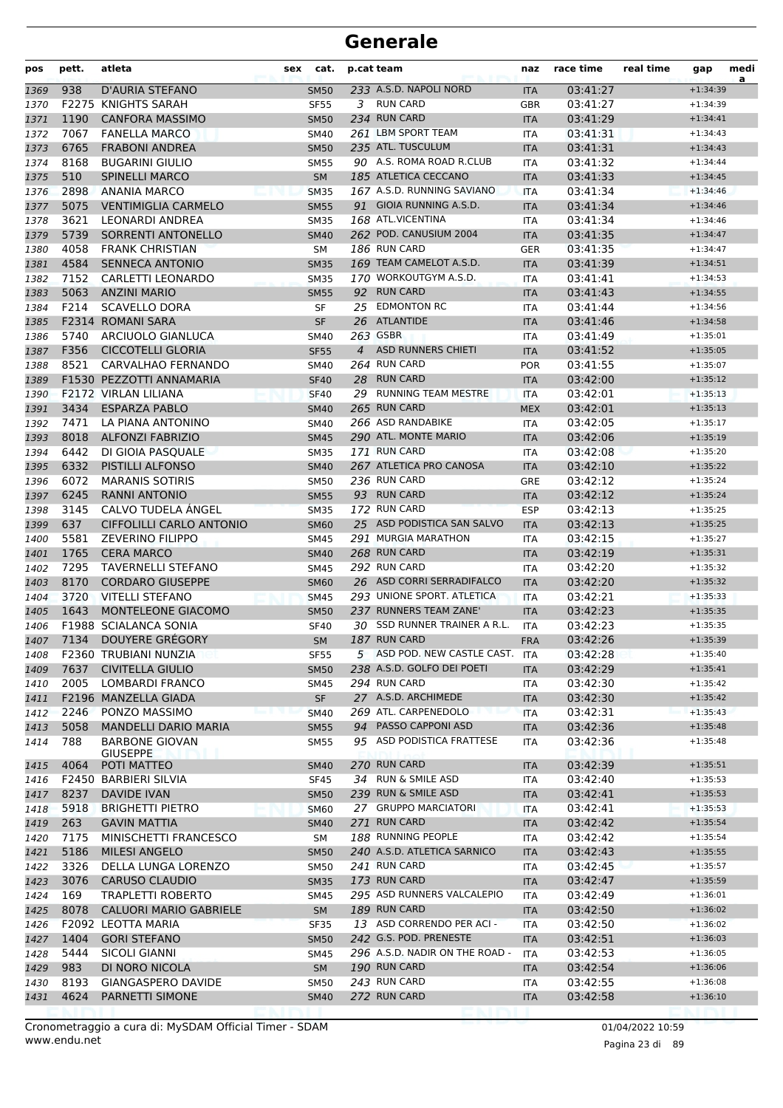| 233 A.S.D. NAPOLI NORD<br>938<br>D'AURIA STEFANO<br>03:41:27<br>$+1:34:39$<br><b>SM50</b><br><b>ITA</b><br>1369<br>F2275 KNIGHTS SARAH<br><b>RUN CARD</b><br><b>SF55</b><br>3<br>03:41:27<br><b>GBR</b><br>$+1:34:39$<br>1370<br>234 RUN CARD<br>1190<br><b>CANFORA MASSIMO</b><br>03:41:29<br><b>SM50</b><br><b>ITA</b><br>$+1:34:41$<br>1371<br>7067<br>261 LBM SPORT TEAM<br><b>FANELLA MARCO</b><br><b>SM40</b><br>03:41:31<br>$+1:34:43$<br>1372<br><b>ITA</b><br>6765<br>235 ATL. TUSCULUM<br><b>FRABONI ANDREA</b><br>03:41:31<br>1373<br><b>SM50</b><br><b>ITA</b><br>$+1:34:43$<br>90 A.S. ROMA ROAD R.CLUB<br>8168<br><b>BUGARINI GIULIO</b><br>03:41:32<br><b>SM55</b><br>$+1:34:44$<br>1374<br>ITA<br>510<br><b>SPINELLI MARCO</b><br>185 ATLETICA CECCANO<br><b>SM</b><br>03:41:33<br>$+1:34:45$<br>1375<br><b>ITA</b><br>2898<br>167 A.S.D. RUNNING SAVIANO<br><b>ANANIA MARCO</b><br><b>SM35</b><br>03:41:34<br>1376<br><b>ITA</b><br>$+1:34:46$<br>5075<br>91 GIOIA RUNNING A.S.D.<br><b>VENTIMIGLIA CARMELO</b><br>03:41:34<br>1377<br><b>SM55</b><br><b>ITA</b><br>$+1:34:46$<br>3621<br>168 ATL.VICENTINA<br>LEONARDI ANDREA<br><b>SM35</b><br>03:41:34<br>$+1:34:46$<br>1378<br><b>ITA</b><br>5739<br>262 POD. CANUSIUM 2004<br>SORRENTI ANTONELLO<br>03:41:35<br>1379<br><b>SM40</b><br><b>ITA</b><br>$+1:34:47$<br>4058<br>186 RUN CARD<br><b>FRANK CHRISTIAN</b><br>1380<br>SM<br><b>GER</b><br>03:41:35<br>$+1:34:47$<br>4584<br><b>SENNECA ANTONIO</b><br>169 TEAM CAMELOT A.S.D.<br>03:41:39<br>$+1:34:51$<br>1381<br><b>SM35</b><br><b>ITA</b><br>7152<br><b>CARLETTI LEONARDO</b><br>170 WORKOUTGYM A.S.D.<br><b>SM35</b><br>03:41:41<br>1382<br><b>ITA</b><br>$+1:34:53$<br>5063<br>92 RUN CARD<br><b>ANZINI MARIO</b><br>03:41:43<br>$+1:34:55$<br>1383<br><b>SM55</b><br><b>ITA</b><br>25 EDMONTON RC<br>F214<br><b>SCAVELLO DORA</b><br>03:41:44<br>$+1:34:56$<br>1384<br>SF<br><b>ITA</b><br>F2314 ROMANI SARA<br>26 ATLANTIDE<br><b>SF</b><br>03:41:46<br>1385<br><b>ITA</b><br>$+1:34:58$<br>263 GSBR<br>5740<br>ARCIUOLO GIANLUCA<br>03:41:49<br>$+1:35:01$<br>1386<br><b>SM40</b><br><b>ITA</b><br>4 ASD RUNNERS CHIETI<br>F356<br><b>CICCOTELLI GLORIA</b><br><b>SF55</b><br><b>ITA</b><br>03:41:52<br>$+1:35:05$<br>1387<br>8521<br>264 RUN CARD<br>CARVALHAO FERNANDO<br><b>SM40</b><br><b>POR</b><br>03:41:55<br>1388<br>$+1:35:07$<br><b>RUN CARD</b><br>F1530 PEZZOTTI ANNAMARIA<br>28<br>03:42:00<br>$+1:35:12$<br>1389<br><b>SF40</b><br><b>ITA</b><br>29 RUNNING TEAM MESTRE<br><b>F2172 VIRLAN LILIANA</b><br><b>SF40</b><br>03:42:01<br>$+1:35:13$<br>1390<br><b>ITA</b><br>265 RUN CARD<br>3434<br><b>ESPARZA PABLO</b><br><b>MEX</b><br>03:42:01<br>1391<br><b>SM40</b><br>$+1:35:13$<br>266 ASD RANDABIKE<br>7471<br>LA PIANA ANTONINO<br>03:42:05<br>$+1:35:17$<br>1392<br><b>SM40</b><br><b>ITA</b><br>8018<br><b>ALFONZI FABRIZIO</b><br>290 ATL. MONTE MARIO<br>1393<br>03:42:06<br>$+1:35:19$<br><b>SM45</b><br><b>ITA</b><br>6442<br>171 RUN CARD<br>DI GIOIA PASQUALE<br>03:42:08<br>1394<br><b>SM35</b><br><b>ITA</b><br>$+1:35:20$<br>6332<br>267 ATLETICA PRO CANOSA<br><b>PISTILLI ALFONSO</b><br>03:42:10<br>$+1:35:22$<br>1395<br><b>SM40</b><br><b>ITA</b><br>6072<br>236 RUN CARD<br><b>MARANIS SOTIRIS</b><br><b>SM50</b><br>03:42:12<br>$+1:35:24$<br>1396<br><b>GRE</b><br>93 RUN CARD<br>6245<br><b>RANNI ANTONIO</b><br><b>SM55</b><br>03:42:12<br>1397<br><b>ITA</b><br>$+1:35:24$<br>CALVO TUDELA ÁNGEL<br>3145<br>172 RUN CARD<br>03:42:13<br><b>ESP</b><br>$+1:35:25$<br>1398<br><b>SM35</b><br>637<br>CIFFOLILLI CARLO ANTONIO<br>25 ASD PODISTICA SAN SALVO<br>1399<br><b>SM60</b><br>03:42:13<br><b>ITA</b><br>$+1:35:25$<br>5581<br><b>ZEVERINO FILIPPO</b><br>291 MURGIA MARATHON<br>03:42:15<br><b>SM45</b><br><b>ITA</b><br>$+1:35:27$<br>1400<br>1765<br>268 RUN CARD<br><b>CERA MARCO</b><br>03:42:19<br>$+1:35:31$<br>1401<br><b>SM40</b><br><b>ITA</b><br>292 RUN CARD<br>7295<br><b>TAVERNELLI STEFANO</b><br><b>SM45</b><br>03:42:20<br>1402<br><b>ITA</b><br>$+1:35:32$<br>26 ASD CORRI SERRADIFALCO<br>8170<br><b>CORDARO GIUSEPPE</b><br><b>SM60</b><br>03:42:20<br>1403<br><b>ITA</b><br>$+1:35:32$<br>293 UNIONE SPORT. ATLETICA<br>3720<br><b>VITELLI STEFANO</b><br>03:42:21<br>$+1:35:33$<br>1404<br><b>SM45</b><br><b>ITA</b><br>1643<br>237 RUNNERS TEAM ZANE'<br>MONTELEONE GIACOMO<br>03:42:23<br>1405<br><b>SM50</b><br><b>ITA</b><br>$+1:35:35$<br>30 SSD RUNNER TRAINER A R.L.<br><b>F1988 SCIALANCA SONIA</b><br>03:42:23<br><b>SF40</b><br>1406<br>ITA<br>$+1:35:35$<br>187 RUN CARD<br>DOUYERE GRÉGORY<br>7134<br>03:42:26<br>$+1:35:39$<br>1407<br><b>SM</b><br><b>FRA</b><br>5 ASD POD. NEW CASTLE CAST. ITA<br>F2360 TRUBIANI NUNZIA<br><b>SF55</b><br>03:42:28<br>$+1:35:40$<br>1408<br>7637<br><b>CIVITELLA GIULIO</b><br>238 A.S.D. GOLFO DEI POETI<br>03:42:29<br>1409<br><b>SM50</b><br><b>ITA</b><br>$+1:35:41$<br>294 RUN CARD<br>2005<br>LOMBARDI FRANCO<br>$+1:35:42$<br>1410<br><b>SM45</b><br>03:42:30<br>ITA<br>27 A.S.D. ARCHIMEDE<br>F2196 MANZELLA GIADA<br><b>SF</b><br>03:42:30<br>1411<br><b>ITA</b><br>$+1:35:42$<br>269 ATL. CARPENEDOLO<br>2246<br>PONZO MASSIMO<br>03:42:31<br><b>SM40</b><br>$+1:35:43$<br>1412<br><b>ITA</b><br>PASSO CAPPONI ASD<br>5058<br><b>MANDELLI DARIO MARIA</b><br>94<br>$+1:35:48$<br>1413<br><b>SM55</b><br>03:42:36<br><b>ITA</b><br>95 ASD PODISTICA FRATTESE<br>788<br><b>BARBONE GIOVAN</b><br>03:42:36<br>1414<br><b>SM55</b><br>$+1:35:48$<br>ITA<br><b>GIUSEPPE</b><br>270 RUN CARD<br>4064<br>03:42:39<br>$+1:35:51$<br>1415<br>POTI MATTEO<br><b>SM40</b><br><b>ITA</b><br>34 RUN & SMILE ASD<br>F2450 BARBIERI SILVIA<br>03:42:40<br><b>SF45</b><br>$+1:35:53$<br>1416<br>ITA<br>239 RUN & SMILE ASD<br>8237<br><b>DAVIDE IVAN</b><br>03:42:41<br>$+1:35:53$<br>1417<br><b>SM50</b><br><b>ITA</b><br>27 GRUPPO MARCIATORI<br>5918<br><b>BRIGHETTI PIETRO</b><br>03:42:41<br>1418<br><b>SM60</b><br><b>ITA</b><br>$+1:35:53$<br>263<br><b>GAVIN MATTIA</b><br>271 RUN CARD<br>03:42:42<br><b>SM40</b><br>$+1:35:54$<br>1419<br><b>ITA</b><br>188 RUNNING PEOPLE<br>7175<br>$+1:35:54$<br>MINISCHETTI FRANCESCO<br>03:42:42<br>1420<br>SM<br>ITA<br>5186<br><b>MILESI ANGELO</b><br>240 A.S.D. ATLETICA SARNICO<br>03:42:43<br>$+1:35:55$<br>1421<br><b>SM50</b><br><b>ITA</b><br>3326<br>DELLA LUNGA LORENZO<br>241 RUN CARD<br>$+1:35:57$<br>03:42:45<br><b>SM50</b><br>1422<br>ITA<br>173 RUN CARD<br>3076<br><b>CARUSO CLAUDIO</b><br>03:42:47<br>$+1:35:59$<br>1423<br><b>SM35</b><br><b>ITA</b><br>169<br>295 ASD RUNNERS VALCALEPIO<br><b>TRAPLETTI ROBERTO</b><br>03:42:49<br>1424<br><b>SM45</b><br><b>ITA</b><br>$+1:36:01$<br>189 RUN CARD<br>8078<br><b>CALUORI MARIO GABRIELE</b><br>03:42:50<br><b>SM</b><br>$+1:36:02$<br>1425<br><b>ITA</b><br>13 ASD CORRENDO PER ACI -<br>$+1:36:02$<br>F2092 LEOTTA MARIA<br><b>SF35</b><br>ITA<br>03:42:50<br>1426<br>242 G.S. POD. PRENESTE<br>1404<br><b>GORI STEFANO</b><br>03:42:51<br>$+1:36:03$<br>1427<br><b>SM50</b><br><b>ITA</b><br>296 A.S.D. NADIR ON THE ROAD -<br>5444<br><b>SICOLI GIANNI</b><br>03:42:53<br>$+1:36:05$<br>SM45<br><b>ITA</b><br>1428<br>190 RUN CARD<br>983<br>DI NORO NICOLA<br>03:42:54<br>$+1:36:06$<br>1429<br><b>SM</b><br><b>ITA</b><br>243 RUN CARD<br>8193<br><b>GIANGASPERO DAVIDE</b><br>03:42:55<br>1430<br><b>SM50</b><br>ITA<br>$+1:36:08$<br>272 RUN CARD<br>4624<br>PARNETTI SIMONE<br>03:42:58<br>$+1:36:10$<br><b>SM40</b><br><b>ITA</b><br>1431 | pos | pett. | atleta | sex | cat. | p.cat team | naz | race time | real time | gap | medi<br>a |
|-------------------------------------------------------------------------------------------------------------------------------------------------------------------------------------------------------------------------------------------------------------------------------------------------------------------------------------------------------------------------------------------------------------------------------------------------------------------------------------------------------------------------------------------------------------------------------------------------------------------------------------------------------------------------------------------------------------------------------------------------------------------------------------------------------------------------------------------------------------------------------------------------------------------------------------------------------------------------------------------------------------------------------------------------------------------------------------------------------------------------------------------------------------------------------------------------------------------------------------------------------------------------------------------------------------------------------------------------------------------------------------------------------------------------------------------------------------------------------------------------------------------------------------------------------------------------------------------------------------------------------------------------------------------------------------------------------------------------------------------------------------------------------------------------------------------------------------------------------------------------------------------------------------------------------------------------------------------------------------------------------------------------------------------------------------------------------------------------------------------------------------------------------------------------------------------------------------------------------------------------------------------------------------------------------------------------------------------------------------------------------------------------------------------------------------------------------------------------------------------------------------------------------------------------------------------------------------------------------------------------------------------------------------------------------------------------------------------------------------------------------------------------------------------------------------------------------------------------------------------------------------------------------------------------------------------------------------------------------------------------------------------------------------------------------------------------------------------------------------------------------------------------------------------------------------------------------------------------------------------------------------------------------------------------------------------------------------------------------------------------------------------------------------------------------------------------------------------------------------------------------------------------------------------------------------------------------------------------------------------------------------------------------------------------------------------------------------------------------------------------------------------------------------------------------------------------------------------------------------------------------------------------------------------------------------------------------------------------------------------------------------------------------------------------------------------------------------------------------------------------------------------------------------------------------------------------------------------------------------------------------------------------------------------------------------------------------------------------------------------------------------------------------------------------------------------------------------------------------------------------------------------------------------------------------------------------------------------------------------------------------------------------------------------------------------------------------------------------------------------------------------------------------------------------------------------------------------------------------------------------------------------------------------------------------------------------------------------------------------------------------------------------------------------------------------------------------------------------------------------------------------------------------------------------------------------------------------------------------------------------------------------------------------------------------------------------------------------------------------------------------------------------------------------------------------------------------------------------------------------------------------------------------------------------------------------------------------------------------------------------------------------------------------------------------------------------------------------------------------------------------------------------------------------------------------------------------------------------------------------------------------------------------------------------------------------------------------------------------------------------------------------------------------------------------------------------------------------------------------------------------------------------------------------------------------------------------------------------------------------------------------------------------------------------------------------------------------------------------------------------------------------------------------------------------------------------------------------------------------------------------------------------------------------------------------------------------------------------------------------------------------------------------------------------------------------------------------------------------------------------------------------------------------------------------------------------------------------------------------------------------------------------------------------------------------------------------------------------------------------------------------------------------------------------------------------------------------------------------------------------------------------------------------------------------------------------------------------------------------------------------------------------------------------------------------------------------------------------------------------------------------------------------------------------------------------------------------------------------------------------------------------------------|-----|-------|--------|-----|------|------------|-----|-----------|-----------|-----|-----------|
|                                                                                                                                                                                                                                                                                                                                                                                                                                                                                                                                                                                                                                                                                                                                                                                                                                                                                                                                                                                                                                                                                                                                                                                                                                                                                                                                                                                                                                                                                                                                                                                                                                                                                                                                                                                                                                                                                                                                                                                                                                                                                                                                                                                                                                                                                                                                                                                                                                                                                                                                                                                                                                                                                                                                                                                                                                                                                                                                                                                                                                                                                                                                                                                                                                                                                                                                                                                                                                                                                                                                                                                                                                                                                                                                                                                                                                                                                                                                                                                                                                                                                                                                                                                                                                                                                                                                                                                                                                                                                                                                                                                                                                                                                                                                                                                                                                                                                                                                                                                                                                                                                                                                                                                                                                                                                                                                                                                                                                                                                                                                                                                                                                                                                                                                                                                                                                                                                                                                                                                                                                                                                                                                                                                                                                                                                                                                                                                                                                                                                                                                                                                                                                                                                                                                                                                                                                                                                                                                                                                                                                                                                                                                                                                                                                                                                                                                                                                                                                                                                                                               |     |       |        |     |      |            |     |           |           |     |           |
|                                                                                                                                                                                                                                                                                                                                                                                                                                                                                                                                                                                                                                                                                                                                                                                                                                                                                                                                                                                                                                                                                                                                                                                                                                                                                                                                                                                                                                                                                                                                                                                                                                                                                                                                                                                                                                                                                                                                                                                                                                                                                                                                                                                                                                                                                                                                                                                                                                                                                                                                                                                                                                                                                                                                                                                                                                                                                                                                                                                                                                                                                                                                                                                                                                                                                                                                                                                                                                                                                                                                                                                                                                                                                                                                                                                                                                                                                                                                                                                                                                                                                                                                                                                                                                                                                                                                                                                                                                                                                                                                                                                                                                                                                                                                                                                                                                                                                                                                                                                                                                                                                                                                                                                                                                                                                                                                                                                                                                                                                                                                                                                                                                                                                                                                                                                                                                                                                                                                                                                                                                                                                                                                                                                                                                                                                                                                                                                                                                                                                                                                                                                                                                                                                                                                                                                                                                                                                                                                                                                                                                                                                                                                                                                                                                                                                                                                                                                                                                                                                                                               |     |       |        |     |      |            |     |           |           |     |           |
|                                                                                                                                                                                                                                                                                                                                                                                                                                                                                                                                                                                                                                                                                                                                                                                                                                                                                                                                                                                                                                                                                                                                                                                                                                                                                                                                                                                                                                                                                                                                                                                                                                                                                                                                                                                                                                                                                                                                                                                                                                                                                                                                                                                                                                                                                                                                                                                                                                                                                                                                                                                                                                                                                                                                                                                                                                                                                                                                                                                                                                                                                                                                                                                                                                                                                                                                                                                                                                                                                                                                                                                                                                                                                                                                                                                                                                                                                                                                                                                                                                                                                                                                                                                                                                                                                                                                                                                                                                                                                                                                                                                                                                                                                                                                                                                                                                                                                                                                                                                                                                                                                                                                                                                                                                                                                                                                                                                                                                                                                                                                                                                                                                                                                                                                                                                                                                                                                                                                                                                                                                                                                                                                                                                                                                                                                                                                                                                                                                                                                                                                                                                                                                                                                                                                                                                                                                                                                                                                                                                                                                                                                                                                                                                                                                                                                                                                                                                                                                                                                                                               |     |       |        |     |      |            |     |           |           |     |           |
|                                                                                                                                                                                                                                                                                                                                                                                                                                                                                                                                                                                                                                                                                                                                                                                                                                                                                                                                                                                                                                                                                                                                                                                                                                                                                                                                                                                                                                                                                                                                                                                                                                                                                                                                                                                                                                                                                                                                                                                                                                                                                                                                                                                                                                                                                                                                                                                                                                                                                                                                                                                                                                                                                                                                                                                                                                                                                                                                                                                                                                                                                                                                                                                                                                                                                                                                                                                                                                                                                                                                                                                                                                                                                                                                                                                                                                                                                                                                                                                                                                                                                                                                                                                                                                                                                                                                                                                                                                                                                                                                                                                                                                                                                                                                                                                                                                                                                                                                                                                                                                                                                                                                                                                                                                                                                                                                                                                                                                                                                                                                                                                                                                                                                                                                                                                                                                                                                                                                                                                                                                                                                                                                                                                                                                                                                                                                                                                                                                                                                                                                                                                                                                                                                                                                                                                                                                                                                                                                                                                                                                                                                                                                                                                                                                                                                                                                                                                                                                                                                                                               |     |       |        |     |      |            |     |           |           |     |           |
|                                                                                                                                                                                                                                                                                                                                                                                                                                                                                                                                                                                                                                                                                                                                                                                                                                                                                                                                                                                                                                                                                                                                                                                                                                                                                                                                                                                                                                                                                                                                                                                                                                                                                                                                                                                                                                                                                                                                                                                                                                                                                                                                                                                                                                                                                                                                                                                                                                                                                                                                                                                                                                                                                                                                                                                                                                                                                                                                                                                                                                                                                                                                                                                                                                                                                                                                                                                                                                                                                                                                                                                                                                                                                                                                                                                                                                                                                                                                                                                                                                                                                                                                                                                                                                                                                                                                                                                                                                                                                                                                                                                                                                                                                                                                                                                                                                                                                                                                                                                                                                                                                                                                                                                                                                                                                                                                                                                                                                                                                                                                                                                                                                                                                                                                                                                                                                                                                                                                                                                                                                                                                                                                                                                                                                                                                                                                                                                                                                                                                                                                                                                                                                                                                                                                                                                                                                                                                                                                                                                                                                                                                                                                                                                                                                                                                                                                                                                                                                                                                                                               |     |       |        |     |      |            |     |           |           |     |           |
|                                                                                                                                                                                                                                                                                                                                                                                                                                                                                                                                                                                                                                                                                                                                                                                                                                                                                                                                                                                                                                                                                                                                                                                                                                                                                                                                                                                                                                                                                                                                                                                                                                                                                                                                                                                                                                                                                                                                                                                                                                                                                                                                                                                                                                                                                                                                                                                                                                                                                                                                                                                                                                                                                                                                                                                                                                                                                                                                                                                                                                                                                                                                                                                                                                                                                                                                                                                                                                                                                                                                                                                                                                                                                                                                                                                                                                                                                                                                                                                                                                                                                                                                                                                                                                                                                                                                                                                                                                                                                                                                                                                                                                                                                                                                                                                                                                                                                                                                                                                                                                                                                                                                                                                                                                                                                                                                                                                                                                                                                                                                                                                                                                                                                                                                                                                                                                                                                                                                                                                                                                                                                                                                                                                                                                                                                                                                                                                                                                                                                                                                                                                                                                                                                                                                                                                                                                                                                                                                                                                                                                                                                                                                                                                                                                                                                                                                                                                                                                                                                                                               |     |       |        |     |      |            |     |           |           |     |           |
|                                                                                                                                                                                                                                                                                                                                                                                                                                                                                                                                                                                                                                                                                                                                                                                                                                                                                                                                                                                                                                                                                                                                                                                                                                                                                                                                                                                                                                                                                                                                                                                                                                                                                                                                                                                                                                                                                                                                                                                                                                                                                                                                                                                                                                                                                                                                                                                                                                                                                                                                                                                                                                                                                                                                                                                                                                                                                                                                                                                                                                                                                                                                                                                                                                                                                                                                                                                                                                                                                                                                                                                                                                                                                                                                                                                                                                                                                                                                                                                                                                                                                                                                                                                                                                                                                                                                                                                                                                                                                                                                                                                                                                                                                                                                                                                                                                                                                                                                                                                                                                                                                                                                                                                                                                                                                                                                                                                                                                                                                                                                                                                                                                                                                                                                                                                                                                                                                                                                                                                                                                                                                                                                                                                                                                                                                                                                                                                                                                                                                                                                                                                                                                                                                                                                                                                                                                                                                                                                                                                                                                                                                                                                                                                                                                                                                                                                                                                                                                                                                                                               |     |       |        |     |      |            |     |           |           |     |           |
|                                                                                                                                                                                                                                                                                                                                                                                                                                                                                                                                                                                                                                                                                                                                                                                                                                                                                                                                                                                                                                                                                                                                                                                                                                                                                                                                                                                                                                                                                                                                                                                                                                                                                                                                                                                                                                                                                                                                                                                                                                                                                                                                                                                                                                                                                                                                                                                                                                                                                                                                                                                                                                                                                                                                                                                                                                                                                                                                                                                                                                                                                                                                                                                                                                                                                                                                                                                                                                                                                                                                                                                                                                                                                                                                                                                                                                                                                                                                                                                                                                                                                                                                                                                                                                                                                                                                                                                                                                                                                                                                                                                                                                                                                                                                                                                                                                                                                                                                                                                                                                                                                                                                                                                                                                                                                                                                                                                                                                                                                                                                                                                                                                                                                                                                                                                                                                                                                                                                                                                                                                                                                                                                                                                                                                                                                                                                                                                                                                                                                                                                                                                                                                                                                                                                                                                                                                                                                                                                                                                                                                                                                                                                                                                                                                                                                                                                                                                                                                                                                                                               |     |       |        |     |      |            |     |           |           |     |           |
|                                                                                                                                                                                                                                                                                                                                                                                                                                                                                                                                                                                                                                                                                                                                                                                                                                                                                                                                                                                                                                                                                                                                                                                                                                                                                                                                                                                                                                                                                                                                                                                                                                                                                                                                                                                                                                                                                                                                                                                                                                                                                                                                                                                                                                                                                                                                                                                                                                                                                                                                                                                                                                                                                                                                                                                                                                                                                                                                                                                                                                                                                                                                                                                                                                                                                                                                                                                                                                                                                                                                                                                                                                                                                                                                                                                                                                                                                                                                                                                                                                                                                                                                                                                                                                                                                                                                                                                                                                                                                                                                                                                                                                                                                                                                                                                                                                                                                                                                                                                                                                                                                                                                                                                                                                                                                                                                                                                                                                                                                                                                                                                                                                                                                                                                                                                                                                                                                                                                                                                                                                                                                                                                                                                                                                                                                                                                                                                                                                                                                                                                                                                                                                                                                                                                                                                                                                                                                                                                                                                                                                                                                                                                                                                                                                                                                                                                                                                                                                                                                                                               |     |       |        |     |      |            |     |           |           |     |           |
|                                                                                                                                                                                                                                                                                                                                                                                                                                                                                                                                                                                                                                                                                                                                                                                                                                                                                                                                                                                                                                                                                                                                                                                                                                                                                                                                                                                                                                                                                                                                                                                                                                                                                                                                                                                                                                                                                                                                                                                                                                                                                                                                                                                                                                                                                                                                                                                                                                                                                                                                                                                                                                                                                                                                                                                                                                                                                                                                                                                                                                                                                                                                                                                                                                                                                                                                                                                                                                                                                                                                                                                                                                                                                                                                                                                                                                                                                                                                                                                                                                                                                                                                                                                                                                                                                                                                                                                                                                                                                                                                                                                                                                                                                                                                                                                                                                                                                                                                                                                                                                                                                                                                                                                                                                                                                                                                                                                                                                                                                                                                                                                                                                                                                                                                                                                                                                                                                                                                                                                                                                                                                                                                                                                                                                                                                                                                                                                                                                                                                                                                                                                                                                                                                                                                                                                                                                                                                                                                                                                                                                                                                                                                                                                                                                                                                                                                                                                                                                                                                                                               |     |       |        |     |      |            |     |           |           |     |           |
|                                                                                                                                                                                                                                                                                                                                                                                                                                                                                                                                                                                                                                                                                                                                                                                                                                                                                                                                                                                                                                                                                                                                                                                                                                                                                                                                                                                                                                                                                                                                                                                                                                                                                                                                                                                                                                                                                                                                                                                                                                                                                                                                                                                                                                                                                                                                                                                                                                                                                                                                                                                                                                                                                                                                                                                                                                                                                                                                                                                                                                                                                                                                                                                                                                                                                                                                                                                                                                                                                                                                                                                                                                                                                                                                                                                                                                                                                                                                                                                                                                                                                                                                                                                                                                                                                                                                                                                                                                                                                                                                                                                                                                                                                                                                                                                                                                                                                                                                                                                                                                                                                                                                                                                                                                                                                                                                                                                                                                                                                                                                                                                                                                                                                                                                                                                                                                                                                                                                                                                                                                                                                                                                                                                                                                                                                                                                                                                                                                                                                                                                                                                                                                                                                                                                                                                                                                                                                                                                                                                                                                                                                                                                                                                                                                                                                                                                                                                                                                                                                                                               |     |       |        |     |      |            |     |           |           |     |           |
|                                                                                                                                                                                                                                                                                                                                                                                                                                                                                                                                                                                                                                                                                                                                                                                                                                                                                                                                                                                                                                                                                                                                                                                                                                                                                                                                                                                                                                                                                                                                                                                                                                                                                                                                                                                                                                                                                                                                                                                                                                                                                                                                                                                                                                                                                                                                                                                                                                                                                                                                                                                                                                                                                                                                                                                                                                                                                                                                                                                                                                                                                                                                                                                                                                                                                                                                                                                                                                                                                                                                                                                                                                                                                                                                                                                                                                                                                                                                                                                                                                                                                                                                                                                                                                                                                                                                                                                                                                                                                                                                                                                                                                                                                                                                                                                                                                                                                                                                                                                                                                                                                                                                                                                                                                                                                                                                                                                                                                                                                                                                                                                                                                                                                                                                                                                                                                                                                                                                                                                                                                                                                                                                                                                                                                                                                                                                                                                                                                                                                                                                                                                                                                                                                                                                                                                                                                                                                                                                                                                                                                                                                                                                                                                                                                                                                                                                                                                                                                                                                                                               |     |       |        |     |      |            |     |           |           |     |           |
|                                                                                                                                                                                                                                                                                                                                                                                                                                                                                                                                                                                                                                                                                                                                                                                                                                                                                                                                                                                                                                                                                                                                                                                                                                                                                                                                                                                                                                                                                                                                                                                                                                                                                                                                                                                                                                                                                                                                                                                                                                                                                                                                                                                                                                                                                                                                                                                                                                                                                                                                                                                                                                                                                                                                                                                                                                                                                                                                                                                                                                                                                                                                                                                                                                                                                                                                                                                                                                                                                                                                                                                                                                                                                                                                                                                                                                                                                                                                                                                                                                                                                                                                                                                                                                                                                                                                                                                                                                                                                                                                                                                                                                                                                                                                                                                                                                                                                                                                                                                                                                                                                                                                                                                                                                                                                                                                                                                                                                                                                                                                                                                                                                                                                                                                                                                                                                                                                                                                                                                                                                                                                                                                                                                                                                                                                                                                                                                                                                                                                                                                                                                                                                                                                                                                                                                                                                                                                                                                                                                                                                                                                                                                                                                                                                                                                                                                                                                                                                                                                                                               |     |       |        |     |      |            |     |           |           |     |           |
|                                                                                                                                                                                                                                                                                                                                                                                                                                                                                                                                                                                                                                                                                                                                                                                                                                                                                                                                                                                                                                                                                                                                                                                                                                                                                                                                                                                                                                                                                                                                                                                                                                                                                                                                                                                                                                                                                                                                                                                                                                                                                                                                                                                                                                                                                                                                                                                                                                                                                                                                                                                                                                                                                                                                                                                                                                                                                                                                                                                                                                                                                                                                                                                                                                                                                                                                                                                                                                                                                                                                                                                                                                                                                                                                                                                                                                                                                                                                                                                                                                                                                                                                                                                                                                                                                                                                                                                                                                                                                                                                                                                                                                                                                                                                                                                                                                                                                                                                                                                                                                                                                                                                                                                                                                                                                                                                                                                                                                                                                                                                                                                                                                                                                                                                                                                                                                                                                                                                                                                                                                                                                                                                                                                                                                                                                                                                                                                                                                                                                                                                                                                                                                                                                                                                                                                                                                                                                                                                                                                                                                                                                                                                                                                                                                                                                                                                                                                                                                                                                                                               |     |       |        |     |      |            |     |           |           |     |           |
|                                                                                                                                                                                                                                                                                                                                                                                                                                                                                                                                                                                                                                                                                                                                                                                                                                                                                                                                                                                                                                                                                                                                                                                                                                                                                                                                                                                                                                                                                                                                                                                                                                                                                                                                                                                                                                                                                                                                                                                                                                                                                                                                                                                                                                                                                                                                                                                                                                                                                                                                                                                                                                                                                                                                                                                                                                                                                                                                                                                                                                                                                                                                                                                                                                                                                                                                                                                                                                                                                                                                                                                                                                                                                                                                                                                                                                                                                                                                                                                                                                                                                                                                                                                                                                                                                                                                                                                                                                                                                                                                                                                                                                                                                                                                                                                                                                                                                                                                                                                                                                                                                                                                                                                                                                                                                                                                                                                                                                                                                                                                                                                                                                                                                                                                                                                                                                                                                                                                                                                                                                                                                                                                                                                                                                                                                                                                                                                                                                                                                                                                                                                                                                                                                                                                                                                                                                                                                                                                                                                                                                                                                                                                                                                                                                                                                                                                                                                                                                                                                                                               |     |       |        |     |      |            |     |           |           |     |           |
|                                                                                                                                                                                                                                                                                                                                                                                                                                                                                                                                                                                                                                                                                                                                                                                                                                                                                                                                                                                                                                                                                                                                                                                                                                                                                                                                                                                                                                                                                                                                                                                                                                                                                                                                                                                                                                                                                                                                                                                                                                                                                                                                                                                                                                                                                                                                                                                                                                                                                                                                                                                                                                                                                                                                                                                                                                                                                                                                                                                                                                                                                                                                                                                                                                                                                                                                                                                                                                                                                                                                                                                                                                                                                                                                                                                                                                                                                                                                                                                                                                                                                                                                                                                                                                                                                                                                                                                                                                                                                                                                                                                                                                                                                                                                                                                                                                                                                                                                                                                                                                                                                                                                                                                                                                                                                                                                                                                                                                                                                                                                                                                                                                                                                                                                                                                                                                                                                                                                                                                                                                                                                                                                                                                                                                                                                                                                                                                                                                                                                                                                                                                                                                                                                                                                                                                                                                                                                                                                                                                                                                                                                                                                                                                                                                                                                                                                                                                                                                                                                                                               |     |       |        |     |      |            |     |           |           |     |           |
|                                                                                                                                                                                                                                                                                                                                                                                                                                                                                                                                                                                                                                                                                                                                                                                                                                                                                                                                                                                                                                                                                                                                                                                                                                                                                                                                                                                                                                                                                                                                                                                                                                                                                                                                                                                                                                                                                                                                                                                                                                                                                                                                                                                                                                                                                                                                                                                                                                                                                                                                                                                                                                                                                                                                                                                                                                                                                                                                                                                                                                                                                                                                                                                                                                                                                                                                                                                                                                                                                                                                                                                                                                                                                                                                                                                                                                                                                                                                                                                                                                                                                                                                                                                                                                                                                                                                                                                                                                                                                                                                                                                                                                                                                                                                                                                                                                                                                                                                                                                                                                                                                                                                                                                                                                                                                                                                                                                                                                                                                                                                                                                                                                                                                                                                                                                                                                                                                                                                                                                                                                                                                                                                                                                                                                                                                                                                                                                                                                                                                                                                                                                                                                                                                                                                                                                                                                                                                                                                                                                                                                                                                                                                                                                                                                                                                                                                                                                                                                                                                                                               |     |       |        |     |      |            |     |           |           |     |           |
|                                                                                                                                                                                                                                                                                                                                                                                                                                                                                                                                                                                                                                                                                                                                                                                                                                                                                                                                                                                                                                                                                                                                                                                                                                                                                                                                                                                                                                                                                                                                                                                                                                                                                                                                                                                                                                                                                                                                                                                                                                                                                                                                                                                                                                                                                                                                                                                                                                                                                                                                                                                                                                                                                                                                                                                                                                                                                                                                                                                                                                                                                                                                                                                                                                                                                                                                                                                                                                                                                                                                                                                                                                                                                                                                                                                                                                                                                                                                                                                                                                                                                                                                                                                                                                                                                                                                                                                                                                                                                                                                                                                                                                                                                                                                                                                                                                                                                                                                                                                                                                                                                                                                                                                                                                                                                                                                                                                                                                                                                                                                                                                                                                                                                                                                                                                                                                                                                                                                                                                                                                                                                                                                                                                                                                                                                                                                                                                                                                                                                                                                                                                                                                                                                                                                                                                                                                                                                                                                                                                                                                                                                                                                                                                                                                                                                                                                                                                                                                                                                                                               |     |       |        |     |      |            |     |           |           |     |           |
|                                                                                                                                                                                                                                                                                                                                                                                                                                                                                                                                                                                                                                                                                                                                                                                                                                                                                                                                                                                                                                                                                                                                                                                                                                                                                                                                                                                                                                                                                                                                                                                                                                                                                                                                                                                                                                                                                                                                                                                                                                                                                                                                                                                                                                                                                                                                                                                                                                                                                                                                                                                                                                                                                                                                                                                                                                                                                                                                                                                                                                                                                                                                                                                                                                                                                                                                                                                                                                                                                                                                                                                                                                                                                                                                                                                                                                                                                                                                                                                                                                                                                                                                                                                                                                                                                                                                                                                                                                                                                                                                                                                                                                                                                                                                                                                                                                                                                                                                                                                                                                                                                                                                                                                                                                                                                                                                                                                                                                                                                                                                                                                                                                                                                                                                                                                                                                                                                                                                                                                                                                                                                                                                                                                                                                                                                                                                                                                                                                                                                                                                                                                                                                                                                                                                                                                                                                                                                                                                                                                                                                                                                                                                                                                                                                                                                                                                                                                                                                                                                                                               |     |       |        |     |      |            |     |           |           |     |           |
|                                                                                                                                                                                                                                                                                                                                                                                                                                                                                                                                                                                                                                                                                                                                                                                                                                                                                                                                                                                                                                                                                                                                                                                                                                                                                                                                                                                                                                                                                                                                                                                                                                                                                                                                                                                                                                                                                                                                                                                                                                                                                                                                                                                                                                                                                                                                                                                                                                                                                                                                                                                                                                                                                                                                                                                                                                                                                                                                                                                                                                                                                                                                                                                                                                                                                                                                                                                                                                                                                                                                                                                                                                                                                                                                                                                                                                                                                                                                                                                                                                                                                                                                                                                                                                                                                                                                                                                                                                                                                                                                                                                                                                                                                                                                                                                                                                                                                                                                                                                                                                                                                                                                                                                                                                                                                                                                                                                                                                                                                                                                                                                                                                                                                                                                                                                                                                                                                                                                                                                                                                                                                                                                                                                                                                                                                                                                                                                                                                                                                                                                                                                                                                                                                                                                                                                                                                                                                                                                                                                                                                                                                                                                                                                                                                                                                                                                                                                                                                                                                                                               |     |       |        |     |      |            |     |           |           |     |           |
|                                                                                                                                                                                                                                                                                                                                                                                                                                                                                                                                                                                                                                                                                                                                                                                                                                                                                                                                                                                                                                                                                                                                                                                                                                                                                                                                                                                                                                                                                                                                                                                                                                                                                                                                                                                                                                                                                                                                                                                                                                                                                                                                                                                                                                                                                                                                                                                                                                                                                                                                                                                                                                                                                                                                                                                                                                                                                                                                                                                                                                                                                                                                                                                                                                                                                                                                                                                                                                                                                                                                                                                                                                                                                                                                                                                                                                                                                                                                                                                                                                                                                                                                                                                                                                                                                                                                                                                                                                                                                                                                                                                                                                                                                                                                                                                                                                                                                                                                                                                                                                                                                                                                                                                                                                                                                                                                                                                                                                                                                                                                                                                                                                                                                                                                                                                                                                                                                                                                                                                                                                                                                                                                                                                                                                                                                                                                                                                                                                                                                                                                                                                                                                                                                                                                                                                                                                                                                                                                                                                                                                                                                                                                                                                                                                                                                                                                                                                                                                                                                                                               |     |       |        |     |      |            |     |           |           |     |           |
|                                                                                                                                                                                                                                                                                                                                                                                                                                                                                                                                                                                                                                                                                                                                                                                                                                                                                                                                                                                                                                                                                                                                                                                                                                                                                                                                                                                                                                                                                                                                                                                                                                                                                                                                                                                                                                                                                                                                                                                                                                                                                                                                                                                                                                                                                                                                                                                                                                                                                                                                                                                                                                                                                                                                                                                                                                                                                                                                                                                                                                                                                                                                                                                                                                                                                                                                                                                                                                                                                                                                                                                                                                                                                                                                                                                                                                                                                                                                                                                                                                                                                                                                                                                                                                                                                                                                                                                                                                                                                                                                                                                                                                                                                                                                                                                                                                                                                                                                                                                                                                                                                                                                                                                                                                                                                                                                                                                                                                                                                                                                                                                                                                                                                                                                                                                                                                                                                                                                                                                                                                                                                                                                                                                                                                                                                                                                                                                                                                                                                                                                                                                                                                                                                                                                                                                                                                                                                                                                                                                                                                                                                                                                                                                                                                                                                                                                                                                                                                                                                                                               |     |       |        |     |      |            |     |           |           |     |           |
|                                                                                                                                                                                                                                                                                                                                                                                                                                                                                                                                                                                                                                                                                                                                                                                                                                                                                                                                                                                                                                                                                                                                                                                                                                                                                                                                                                                                                                                                                                                                                                                                                                                                                                                                                                                                                                                                                                                                                                                                                                                                                                                                                                                                                                                                                                                                                                                                                                                                                                                                                                                                                                                                                                                                                                                                                                                                                                                                                                                                                                                                                                                                                                                                                                                                                                                                                                                                                                                                                                                                                                                                                                                                                                                                                                                                                                                                                                                                                                                                                                                                                                                                                                                                                                                                                                                                                                                                                                                                                                                                                                                                                                                                                                                                                                                                                                                                                                                                                                                                                                                                                                                                                                                                                                                                                                                                                                                                                                                                                                                                                                                                                                                                                                                                                                                                                                                                                                                                                                                                                                                                                                                                                                                                                                                                                                                                                                                                                                                                                                                                                                                                                                                                                                                                                                                                                                                                                                                                                                                                                                                                                                                                                                                                                                                                                                                                                                                                                                                                                                                               |     |       |        |     |      |            |     |           |           |     |           |
|                                                                                                                                                                                                                                                                                                                                                                                                                                                                                                                                                                                                                                                                                                                                                                                                                                                                                                                                                                                                                                                                                                                                                                                                                                                                                                                                                                                                                                                                                                                                                                                                                                                                                                                                                                                                                                                                                                                                                                                                                                                                                                                                                                                                                                                                                                                                                                                                                                                                                                                                                                                                                                                                                                                                                                                                                                                                                                                                                                                                                                                                                                                                                                                                                                                                                                                                                                                                                                                                                                                                                                                                                                                                                                                                                                                                                                                                                                                                                                                                                                                                                                                                                                                                                                                                                                                                                                                                                                                                                                                                                                                                                                                                                                                                                                                                                                                                                                                                                                                                                                                                                                                                                                                                                                                                                                                                                                                                                                                                                                                                                                                                                                                                                                                                                                                                                                                                                                                                                                                                                                                                                                                                                                                                                                                                                                                                                                                                                                                                                                                                                                                                                                                                                                                                                                                                                                                                                                                                                                                                                                                                                                                                                                                                                                                                                                                                                                                                                                                                                                                               |     |       |        |     |      |            |     |           |           |     |           |
|                                                                                                                                                                                                                                                                                                                                                                                                                                                                                                                                                                                                                                                                                                                                                                                                                                                                                                                                                                                                                                                                                                                                                                                                                                                                                                                                                                                                                                                                                                                                                                                                                                                                                                                                                                                                                                                                                                                                                                                                                                                                                                                                                                                                                                                                                                                                                                                                                                                                                                                                                                                                                                                                                                                                                                                                                                                                                                                                                                                                                                                                                                                                                                                                                                                                                                                                                                                                                                                                                                                                                                                                                                                                                                                                                                                                                                                                                                                                                                                                                                                                                                                                                                                                                                                                                                                                                                                                                                                                                                                                                                                                                                                                                                                                                                                                                                                                                                                                                                                                                                                                                                                                                                                                                                                                                                                                                                                                                                                                                                                                                                                                                                                                                                                                                                                                                                                                                                                                                                                                                                                                                                                                                                                                                                                                                                                                                                                                                                                                                                                                                                                                                                                                                                                                                                                                                                                                                                                                                                                                                                                                                                                                                                                                                                                                                                                                                                                                                                                                                                                               |     |       |        |     |      |            |     |           |           |     |           |
|                                                                                                                                                                                                                                                                                                                                                                                                                                                                                                                                                                                                                                                                                                                                                                                                                                                                                                                                                                                                                                                                                                                                                                                                                                                                                                                                                                                                                                                                                                                                                                                                                                                                                                                                                                                                                                                                                                                                                                                                                                                                                                                                                                                                                                                                                                                                                                                                                                                                                                                                                                                                                                                                                                                                                                                                                                                                                                                                                                                                                                                                                                                                                                                                                                                                                                                                                                                                                                                                                                                                                                                                                                                                                                                                                                                                                                                                                                                                                                                                                                                                                                                                                                                                                                                                                                                                                                                                                                                                                                                                                                                                                                                                                                                                                                                                                                                                                                                                                                                                                                                                                                                                                                                                                                                                                                                                                                                                                                                                                                                                                                                                                                                                                                                                                                                                                                                                                                                                                                                                                                                                                                                                                                                                                                                                                                                                                                                                                                                                                                                                                                                                                                                                                                                                                                                                                                                                                                                                                                                                                                                                                                                                                                                                                                                                                                                                                                                                                                                                                                                               |     |       |        |     |      |            |     |           |           |     |           |
|                                                                                                                                                                                                                                                                                                                                                                                                                                                                                                                                                                                                                                                                                                                                                                                                                                                                                                                                                                                                                                                                                                                                                                                                                                                                                                                                                                                                                                                                                                                                                                                                                                                                                                                                                                                                                                                                                                                                                                                                                                                                                                                                                                                                                                                                                                                                                                                                                                                                                                                                                                                                                                                                                                                                                                                                                                                                                                                                                                                                                                                                                                                                                                                                                                                                                                                                                                                                                                                                                                                                                                                                                                                                                                                                                                                                                                                                                                                                                                                                                                                                                                                                                                                                                                                                                                                                                                                                                                                                                                                                                                                                                                                                                                                                                                                                                                                                                                                                                                                                                                                                                                                                                                                                                                                                                                                                                                                                                                                                                                                                                                                                                                                                                                                                                                                                                                                                                                                                                                                                                                                                                                                                                                                                                                                                                                                                                                                                                                                                                                                                                                                                                                                                                                                                                                                                                                                                                                                                                                                                                                                                                                                                                                                                                                                                                                                                                                                                                                                                                                                               |     |       |        |     |      |            |     |           |           |     |           |
|                                                                                                                                                                                                                                                                                                                                                                                                                                                                                                                                                                                                                                                                                                                                                                                                                                                                                                                                                                                                                                                                                                                                                                                                                                                                                                                                                                                                                                                                                                                                                                                                                                                                                                                                                                                                                                                                                                                                                                                                                                                                                                                                                                                                                                                                                                                                                                                                                                                                                                                                                                                                                                                                                                                                                                                                                                                                                                                                                                                                                                                                                                                                                                                                                                                                                                                                                                                                                                                                                                                                                                                                                                                                                                                                                                                                                                                                                                                                                                                                                                                                                                                                                                                                                                                                                                                                                                                                                                                                                                                                                                                                                                                                                                                                                                                                                                                                                                                                                                                                                                                                                                                                                                                                                                                                                                                                                                                                                                                                                                                                                                                                                                                                                                                                                                                                                                                                                                                                                                                                                                                                                                                                                                                                                                                                                                                                                                                                                                                                                                                                                                                                                                                                                                                                                                                                                                                                                                                                                                                                                                                                                                                                                                                                                                                                                                                                                                                                                                                                                                                               |     |       |        |     |      |            |     |           |           |     |           |
|                                                                                                                                                                                                                                                                                                                                                                                                                                                                                                                                                                                                                                                                                                                                                                                                                                                                                                                                                                                                                                                                                                                                                                                                                                                                                                                                                                                                                                                                                                                                                                                                                                                                                                                                                                                                                                                                                                                                                                                                                                                                                                                                                                                                                                                                                                                                                                                                                                                                                                                                                                                                                                                                                                                                                                                                                                                                                                                                                                                                                                                                                                                                                                                                                                                                                                                                                                                                                                                                                                                                                                                                                                                                                                                                                                                                                                                                                                                                                                                                                                                                                                                                                                                                                                                                                                                                                                                                                                                                                                                                                                                                                                                                                                                                                                                                                                                                                                                                                                                                                                                                                                                                                                                                                                                                                                                                                                                                                                                                                                                                                                                                                                                                                                                                                                                                                                                                                                                                                                                                                                                                                                                                                                                                                                                                                                                                                                                                                                                                                                                                                                                                                                                                                                                                                                                                                                                                                                                                                                                                                                                                                                                                                                                                                                                                                                                                                                                                                                                                                                                               |     |       |        |     |      |            |     |           |           |     |           |
|                                                                                                                                                                                                                                                                                                                                                                                                                                                                                                                                                                                                                                                                                                                                                                                                                                                                                                                                                                                                                                                                                                                                                                                                                                                                                                                                                                                                                                                                                                                                                                                                                                                                                                                                                                                                                                                                                                                                                                                                                                                                                                                                                                                                                                                                                                                                                                                                                                                                                                                                                                                                                                                                                                                                                                                                                                                                                                                                                                                                                                                                                                                                                                                                                                                                                                                                                                                                                                                                                                                                                                                                                                                                                                                                                                                                                                                                                                                                                                                                                                                                                                                                                                                                                                                                                                                                                                                                                                                                                                                                                                                                                                                                                                                                                                                                                                                                                                                                                                                                                                                                                                                                                                                                                                                                                                                                                                                                                                                                                                                                                                                                                                                                                                                                                                                                                                                                                                                                                                                                                                                                                                                                                                                                                                                                                                                                                                                                                                                                                                                                                                                                                                                                                                                                                                                                                                                                                                                                                                                                                                                                                                                                                                                                                                                                                                                                                                                                                                                                                                                               |     |       |        |     |      |            |     |           |           |     |           |
|                                                                                                                                                                                                                                                                                                                                                                                                                                                                                                                                                                                                                                                                                                                                                                                                                                                                                                                                                                                                                                                                                                                                                                                                                                                                                                                                                                                                                                                                                                                                                                                                                                                                                                                                                                                                                                                                                                                                                                                                                                                                                                                                                                                                                                                                                                                                                                                                                                                                                                                                                                                                                                                                                                                                                                                                                                                                                                                                                                                                                                                                                                                                                                                                                                                                                                                                                                                                                                                                                                                                                                                                                                                                                                                                                                                                                                                                                                                                                                                                                                                                                                                                                                                                                                                                                                                                                                                                                                                                                                                                                                                                                                                                                                                                                                                                                                                                                                                                                                                                                                                                                                                                                                                                                                                                                                                                                                                                                                                                                                                                                                                                                                                                                                                                                                                                                                                                                                                                                                                                                                                                                                                                                                                                                                                                                                                                                                                                                                                                                                                                                                                                                                                                                                                                                                                                                                                                                                                                                                                                                                                                                                                                                                                                                                                                                                                                                                                                                                                                                                                               |     |       |        |     |      |            |     |           |           |     |           |
|                                                                                                                                                                                                                                                                                                                                                                                                                                                                                                                                                                                                                                                                                                                                                                                                                                                                                                                                                                                                                                                                                                                                                                                                                                                                                                                                                                                                                                                                                                                                                                                                                                                                                                                                                                                                                                                                                                                                                                                                                                                                                                                                                                                                                                                                                                                                                                                                                                                                                                                                                                                                                                                                                                                                                                                                                                                                                                                                                                                                                                                                                                                                                                                                                                                                                                                                                                                                                                                                                                                                                                                                                                                                                                                                                                                                                                                                                                                                                                                                                                                                                                                                                                                                                                                                                                                                                                                                                                                                                                                                                                                                                                                                                                                                                                                                                                                                                                                                                                                                                                                                                                                                                                                                                                                                                                                                                                                                                                                                                                                                                                                                                                                                                                                                                                                                                                                                                                                                                                                                                                                                                                                                                                                                                                                                                                                                                                                                                                                                                                                                                                                                                                                                                                                                                                                                                                                                                                                                                                                                                                                                                                                                                                                                                                                                                                                                                                                                                                                                                                                               |     |       |        |     |      |            |     |           |           |     |           |
|                                                                                                                                                                                                                                                                                                                                                                                                                                                                                                                                                                                                                                                                                                                                                                                                                                                                                                                                                                                                                                                                                                                                                                                                                                                                                                                                                                                                                                                                                                                                                                                                                                                                                                                                                                                                                                                                                                                                                                                                                                                                                                                                                                                                                                                                                                                                                                                                                                                                                                                                                                                                                                                                                                                                                                                                                                                                                                                                                                                                                                                                                                                                                                                                                                                                                                                                                                                                                                                                                                                                                                                                                                                                                                                                                                                                                                                                                                                                                                                                                                                                                                                                                                                                                                                                                                                                                                                                                                                                                                                                                                                                                                                                                                                                                                                                                                                                                                                                                                                                                                                                                                                                                                                                                                                                                                                                                                                                                                                                                                                                                                                                                                                                                                                                                                                                                                                                                                                                                                                                                                                                                                                                                                                                                                                                                                                                                                                                                                                                                                                                                                                                                                                                                                                                                                                                                                                                                                                                                                                                                                                                                                                                                                                                                                                                                                                                                                                                                                                                                                                               |     |       |        |     |      |            |     |           |           |     |           |
|                                                                                                                                                                                                                                                                                                                                                                                                                                                                                                                                                                                                                                                                                                                                                                                                                                                                                                                                                                                                                                                                                                                                                                                                                                                                                                                                                                                                                                                                                                                                                                                                                                                                                                                                                                                                                                                                                                                                                                                                                                                                                                                                                                                                                                                                                                                                                                                                                                                                                                                                                                                                                                                                                                                                                                                                                                                                                                                                                                                                                                                                                                                                                                                                                                                                                                                                                                                                                                                                                                                                                                                                                                                                                                                                                                                                                                                                                                                                                                                                                                                                                                                                                                                                                                                                                                                                                                                                                                                                                                                                                                                                                                                                                                                                                                                                                                                                                                                                                                                                                                                                                                                                                                                                                                                                                                                                                                                                                                                                                                                                                                                                                                                                                                                                                                                                                                                                                                                                                                                                                                                                                                                                                                                                                                                                                                                                                                                                                                                                                                                                                                                                                                                                                                                                                                                                                                                                                                                                                                                                                                                                                                                                                                                                                                                                                                                                                                                                                                                                                                                               |     |       |        |     |      |            |     |           |           |     |           |
|                                                                                                                                                                                                                                                                                                                                                                                                                                                                                                                                                                                                                                                                                                                                                                                                                                                                                                                                                                                                                                                                                                                                                                                                                                                                                                                                                                                                                                                                                                                                                                                                                                                                                                                                                                                                                                                                                                                                                                                                                                                                                                                                                                                                                                                                                                                                                                                                                                                                                                                                                                                                                                                                                                                                                                                                                                                                                                                                                                                                                                                                                                                                                                                                                                                                                                                                                                                                                                                                                                                                                                                                                                                                                                                                                                                                                                                                                                                                                                                                                                                                                                                                                                                                                                                                                                                                                                                                                                                                                                                                                                                                                                                                                                                                                                                                                                                                                                                                                                                                                                                                                                                                                                                                                                                                                                                                                                                                                                                                                                                                                                                                                                                                                                                                                                                                                                                                                                                                                                                                                                                                                                                                                                                                                                                                                                                                                                                                                                                                                                                                                                                                                                                                                                                                                                                                                                                                                                                                                                                                                                                                                                                                                                                                                                                                                                                                                                                                                                                                                                                               |     |       |        |     |      |            |     |           |           |     |           |
|                                                                                                                                                                                                                                                                                                                                                                                                                                                                                                                                                                                                                                                                                                                                                                                                                                                                                                                                                                                                                                                                                                                                                                                                                                                                                                                                                                                                                                                                                                                                                                                                                                                                                                                                                                                                                                                                                                                                                                                                                                                                                                                                                                                                                                                                                                                                                                                                                                                                                                                                                                                                                                                                                                                                                                                                                                                                                                                                                                                                                                                                                                                                                                                                                                                                                                                                                                                                                                                                                                                                                                                                                                                                                                                                                                                                                                                                                                                                                                                                                                                                                                                                                                                                                                                                                                                                                                                                                                                                                                                                                                                                                                                                                                                                                                                                                                                                                                                                                                                                                                                                                                                                                                                                                                                                                                                                                                                                                                                                                                                                                                                                                                                                                                                                                                                                                                                                                                                                                                                                                                                                                                                                                                                                                                                                                                                                                                                                                                                                                                                                                                                                                                                                                                                                                                                                                                                                                                                                                                                                                                                                                                                                                                                                                                                                                                                                                                                                                                                                                                                               |     |       |        |     |      |            |     |           |           |     |           |
|                                                                                                                                                                                                                                                                                                                                                                                                                                                                                                                                                                                                                                                                                                                                                                                                                                                                                                                                                                                                                                                                                                                                                                                                                                                                                                                                                                                                                                                                                                                                                                                                                                                                                                                                                                                                                                                                                                                                                                                                                                                                                                                                                                                                                                                                                                                                                                                                                                                                                                                                                                                                                                                                                                                                                                                                                                                                                                                                                                                                                                                                                                                                                                                                                                                                                                                                                                                                                                                                                                                                                                                                                                                                                                                                                                                                                                                                                                                                                                                                                                                                                                                                                                                                                                                                                                                                                                                                                                                                                                                                                                                                                                                                                                                                                                                                                                                                                                                                                                                                                                                                                                                                                                                                                                                                                                                                                                                                                                                                                                                                                                                                                                                                                                                                                                                                                                                                                                                                                                                                                                                                                                                                                                                                                                                                                                                                                                                                                                                                                                                                                                                                                                                                                                                                                                                                                                                                                                                                                                                                                                                                                                                                                                                                                                                                                                                                                                                                                                                                                                                               |     |       |        |     |      |            |     |           |           |     |           |
|                                                                                                                                                                                                                                                                                                                                                                                                                                                                                                                                                                                                                                                                                                                                                                                                                                                                                                                                                                                                                                                                                                                                                                                                                                                                                                                                                                                                                                                                                                                                                                                                                                                                                                                                                                                                                                                                                                                                                                                                                                                                                                                                                                                                                                                                                                                                                                                                                                                                                                                                                                                                                                                                                                                                                                                                                                                                                                                                                                                                                                                                                                                                                                                                                                                                                                                                                                                                                                                                                                                                                                                                                                                                                                                                                                                                                                                                                                                                                                                                                                                                                                                                                                                                                                                                                                                                                                                                                                                                                                                                                                                                                                                                                                                                                                                                                                                                                                                                                                                                                                                                                                                                                                                                                                                                                                                                                                                                                                                                                                                                                                                                                                                                                                                                                                                                                                                                                                                                                                                                                                                                                                                                                                                                                                                                                                                                                                                                                                                                                                                                                                                                                                                                                                                                                                                                                                                                                                                                                                                                                                                                                                                                                                                                                                                                                                                                                                                                                                                                                                                               |     |       |        |     |      |            |     |           |           |     |           |
|                                                                                                                                                                                                                                                                                                                                                                                                                                                                                                                                                                                                                                                                                                                                                                                                                                                                                                                                                                                                                                                                                                                                                                                                                                                                                                                                                                                                                                                                                                                                                                                                                                                                                                                                                                                                                                                                                                                                                                                                                                                                                                                                                                                                                                                                                                                                                                                                                                                                                                                                                                                                                                                                                                                                                                                                                                                                                                                                                                                                                                                                                                                                                                                                                                                                                                                                                                                                                                                                                                                                                                                                                                                                                                                                                                                                                                                                                                                                                                                                                                                                                                                                                                                                                                                                                                                                                                                                                                                                                                                                                                                                                                                                                                                                                                                                                                                                                                                                                                                                                                                                                                                                                                                                                                                                                                                                                                                                                                                                                                                                                                                                                                                                                                                                                                                                                                                                                                                                                                                                                                                                                                                                                                                                                                                                                                                                                                                                                                                                                                                                                                                                                                                                                                                                                                                                                                                                                                                                                                                                                                                                                                                                                                                                                                                                                                                                                                                                                                                                                                                               |     |       |        |     |      |            |     |           |           |     |           |
|                                                                                                                                                                                                                                                                                                                                                                                                                                                                                                                                                                                                                                                                                                                                                                                                                                                                                                                                                                                                                                                                                                                                                                                                                                                                                                                                                                                                                                                                                                                                                                                                                                                                                                                                                                                                                                                                                                                                                                                                                                                                                                                                                                                                                                                                                                                                                                                                                                                                                                                                                                                                                                                                                                                                                                                                                                                                                                                                                                                                                                                                                                                                                                                                                                                                                                                                                                                                                                                                                                                                                                                                                                                                                                                                                                                                                                                                                                                                                                                                                                                                                                                                                                                                                                                                                                                                                                                                                                                                                                                                                                                                                                                                                                                                                                                                                                                                                                                                                                                                                                                                                                                                                                                                                                                                                                                                                                                                                                                                                                                                                                                                                                                                                                                                                                                                                                                                                                                                                                                                                                                                                                                                                                                                                                                                                                                                                                                                                                                                                                                                                                                                                                                                                                                                                                                                                                                                                                                                                                                                                                                                                                                                                                                                                                                                                                                                                                                                                                                                                                                               |     |       |        |     |      |            |     |           |           |     |           |
|                                                                                                                                                                                                                                                                                                                                                                                                                                                                                                                                                                                                                                                                                                                                                                                                                                                                                                                                                                                                                                                                                                                                                                                                                                                                                                                                                                                                                                                                                                                                                                                                                                                                                                                                                                                                                                                                                                                                                                                                                                                                                                                                                                                                                                                                                                                                                                                                                                                                                                                                                                                                                                                                                                                                                                                                                                                                                                                                                                                                                                                                                                                                                                                                                                                                                                                                                                                                                                                                                                                                                                                                                                                                                                                                                                                                                                                                                                                                                                                                                                                                                                                                                                                                                                                                                                                                                                                                                                                                                                                                                                                                                                                                                                                                                                                                                                                                                                                                                                                                                                                                                                                                                                                                                                                                                                                                                                                                                                                                                                                                                                                                                                                                                                                                                                                                                                                                                                                                                                                                                                                                                                                                                                                                                                                                                                                                                                                                                                                                                                                                                                                                                                                                                                                                                                                                                                                                                                                                                                                                                                                                                                                                                                                                                                                                                                                                                                                                                                                                                                                               |     |       |        |     |      |            |     |           |           |     |           |
|                                                                                                                                                                                                                                                                                                                                                                                                                                                                                                                                                                                                                                                                                                                                                                                                                                                                                                                                                                                                                                                                                                                                                                                                                                                                                                                                                                                                                                                                                                                                                                                                                                                                                                                                                                                                                                                                                                                                                                                                                                                                                                                                                                                                                                                                                                                                                                                                                                                                                                                                                                                                                                                                                                                                                                                                                                                                                                                                                                                                                                                                                                                                                                                                                                                                                                                                                                                                                                                                                                                                                                                                                                                                                                                                                                                                                                                                                                                                                                                                                                                                                                                                                                                                                                                                                                                                                                                                                                                                                                                                                                                                                                                                                                                                                                                                                                                                                                                                                                                                                                                                                                                                                                                                                                                                                                                                                                                                                                                                                                                                                                                                                                                                                                                                                                                                                                                                                                                                                                                                                                                                                                                                                                                                                                                                                                                                                                                                                                                                                                                                                                                                                                                                                                                                                                                                                                                                                                                                                                                                                                                                                                                                                                                                                                                                                                                                                                                                                                                                                                                               |     |       |        |     |      |            |     |           |           |     |           |
|                                                                                                                                                                                                                                                                                                                                                                                                                                                                                                                                                                                                                                                                                                                                                                                                                                                                                                                                                                                                                                                                                                                                                                                                                                                                                                                                                                                                                                                                                                                                                                                                                                                                                                                                                                                                                                                                                                                                                                                                                                                                                                                                                                                                                                                                                                                                                                                                                                                                                                                                                                                                                                                                                                                                                                                                                                                                                                                                                                                                                                                                                                                                                                                                                                                                                                                                                                                                                                                                                                                                                                                                                                                                                                                                                                                                                                                                                                                                                                                                                                                                                                                                                                                                                                                                                                                                                                                                                                                                                                                                                                                                                                                                                                                                                                                                                                                                                                                                                                                                                                                                                                                                                                                                                                                                                                                                                                                                                                                                                                                                                                                                                                                                                                                                                                                                                                                                                                                                                                                                                                                                                                                                                                                                                                                                                                                                                                                                                                                                                                                                                                                                                                                                                                                                                                                                                                                                                                                                                                                                                                                                                                                                                                                                                                                                                                                                                                                                                                                                                                                               |     |       |        |     |      |            |     |           |           |     |           |
|                                                                                                                                                                                                                                                                                                                                                                                                                                                                                                                                                                                                                                                                                                                                                                                                                                                                                                                                                                                                                                                                                                                                                                                                                                                                                                                                                                                                                                                                                                                                                                                                                                                                                                                                                                                                                                                                                                                                                                                                                                                                                                                                                                                                                                                                                                                                                                                                                                                                                                                                                                                                                                                                                                                                                                                                                                                                                                                                                                                                                                                                                                                                                                                                                                                                                                                                                                                                                                                                                                                                                                                                                                                                                                                                                                                                                                                                                                                                                                                                                                                                                                                                                                                                                                                                                                                                                                                                                                                                                                                                                                                                                                                                                                                                                                                                                                                                                                                                                                                                                                                                                                                                                                                                                                                                                                                                                                                                                                                                                                                                                                                                                                                                                                                                                                                                                                                                                                                                                                                                                                                                                                                                                                                                                                                                                                                                                                                                                                                                                                                                                                                                                                                                                                                                                                                                                                                                                                                                                                                                                                                                                                                                                                                                                                                                                                                                                                                                                                                                                                                               |     |       |        |     |      |            |     |           |           |     |           |
|                                                                                                                                                                                                                                                                                                                                                                                                                                                                                                                                                                                                                                                                                                                                                                                                                                                                                                                                                                                                                                                                                                                                                                                                                                                                                                                                                                                                                                                                                                                                                                                                                                                                                                                                                                                                                                                                                                                                                                                                                                                                                                                                                                                                                                                                                                                                                                                                                                                                                                                                                                                                                                                                                                                                                                                                                                                                                                                                                                                                                                                                                                                                                                                                                                                                                                                                                                                                                                                                                                                                                                                                                                                                                                                                                                                                                                                                                                                                                                                                                                                                                                                                                                                                                                                                                                                                                                                                                                                                                                                                                                                                                                                                                                                                                                                                                                                                                                                                                                                                                                                                                                                                                                                                                                                                                                                                                                                                                                                                                                                                                                                                                                                                                                                                                                                                                                                                                                                                                                                                                                                                                                                                                                                                                                                                                                                                                                                                                                                                                                                                                                                                                                                                                                                                                                                                                                                                                                                                                                                                                                                                                                                                                                                                                                                                                                                                                                                                                                                                                                                               |     |       |        |     |      |            |     |           |           |     |           |
|                                                                                                                                                                                                                                                                                                                                                                                                                                                                                                                                                                                                                                                                                                                                                                                                                                                                                                                                                                                                                                                                                                                                                                                                                                                                                                                                                                                                                                                                                                                                                                                                                                                                                                                                                                                                                                                                                                                                                                                                                                                                                                                                                                                                                                                                                                                                                                                                                                                                                                                                                                                                                                                                                                                                                                                                                                                                                                                                                                                                                                                                                                                                                                                                                                                                                                                                                                                                                                                                                                                                                                                                                                                                                                                                                                                                                                                                                                                                                                                                                                                                                                                                                                                                                                                                                                                                                                                                                                                                                                                                                                                                                                                                                                                                                                                                                                                                                                                                                                                                                                                                                                                                                                                                                                                                                                                                                                                                                                                                                                                                                                                                                                                                                                                                                                                                                                                                                                                                                                                                                                                                                                                                                                                                                                                                                                                                                                                                                                                                                                                                                                                                                                                                                                                                                                                                                                                                                                                                                                                                                                                                                                                                                                                                                                                                                                                                                                                                                                                                                                                               |     |       |        |     |      |            |     |           |           |     |           |
|                                                                                                                                                                                                                                                                                                                                                                                                                                                                                                                                                                                                                                                                                                                                                                                                                                                                                                                                                                                                                                                                                                                                                                                                                                                                                                                                                                                                                                                                                                                                                                                                                                                                                                                                                                                                                                                                                                                                                                                                                                                                                                                                                                                                                                                                                                                                                                                                                                                                                                                                                                                                                                                                                                                                                                                                                                                                                                                                                                                                                                                                                                                                                                                                                                                                                                                                                                                                                                                                                                                                                                                                                                                                                                                                                                                                                                                                                                                                                                                                                                                                                                                                                                                                                                                                                                                                                                                                                                                                                                                                                                                                                                                                                                                                                                                                                                                                                                                                                                                                                                                                                                                                                                                                                                                                                                                                                                                                                                                                                                                                                                                                                                                                                                                                                                                                                                                                                                                                                                                                                                                                                                                                                                                                                                                                                                                                                                                                                                                                                                                                                                                                                                                                                                                                                                                                                                                                                                                                                                                                                                                                                                                                                                                                                                                                                                                                                                                                                                                                                                                               |     |       |        |     |      |            |     |           |           |     |           |
|                                                                                                                                                                                                                                                                                                                                                                                                                                                                                                                                                                                                                                                                                                                                                                                                                                                                                                                                                                                                                                                                                                                                                                                                                                                                                                                                                                                                                                                                                                                                                                                                                                                                                                                                                                                                                                                                                                                                                                                                                                                                                                                                                                                                                                                                                                                                                                                                                                                                                                                                                                                                                                                                                                                                                                                                                                                                                                                                                                                                                                                                                                                                                                                                                                                                                                                                                                                                                                                                                                                                                                                                                                                                                                                                                                                                                                                                                                                                                                                                                                                                                                                                                                                                                                                                                                                                                                                                                                                                                                                                                                                                                                                                                                                                                                                                                                                                                                                                                                                                                                                                                                                                                                                                                                                                                                                                                                                                                                                                                                                                                                                                                                                                                                                                                                                                                                                                                                                                                                                                                                                                                                                                                                                                                                                                                                                                                                                                                                                                                                                                                                                                                                                                                                                                                                                                                                                                                                                                                                                                                                                                                                                                                                                                                                                                                                                                                                                                                                                                                                                               |     |       |        |     |      |            |     |           |           |     |           |
|                                                                                                                                                                                                                                                                                                                                                                                                                                                                                                                                                                                                                                                                                                                                                                                                                                                                                                                                                                                                                                                                                                                                                                                                                                                                                                                                                                                                                                                                                                                                                                                                                                                                                                                                                                                                                                                                                                                                                                                                                                                                                                                                                                                                                                                                                                                                                                                                                                                                                                                                                                                                                                                                                                                                                                                                                                                                                                                                                                                                                                                                                                                                                                                                                                                                                                                                                                                                                                                                                                                                                                                                                                                                                                                                                                                                                                                                                                                                                                                                                                                                                                                                                                                                                                                                                                                                                                                                                                                                                                                                                                                                                                                                                                                                                                                                                                                                                                                                                                                                                                                                                                                                                                                                                                                                                                                                                                                                                                                                                                                                                                                                                                                                                                                                                                                                                                                                                                                                                                                                                                                                                                                                                                                                                                                                                                                                                                                                                                                                                                                                                                                                                                                                                                                                                                                                                                                                                                                                                                                                                                                                                                                                                                                                                                                                                                                                                                                                                                                                                                                               |     |       |        |     |      |            |     |           |           |     |           |
|                                                                                                                                                                                                                                                                                                                                                                                                                                                                                                                                                                                                                                                                                                                                                                                                                                                                                                                                                                                                                                                                                                                                                                                                                                                                                                                                                                                                                                                                                                                                                                                                                                                                                                                                                                                                                                                                                                                                                                                                                                                                                                                                                                                                                                                                                                                                                                                                                                                                                                                                                                                                                                                                                                                                                                                                                                                                                                                                                                                                                                                                                                                                                                                                                                                                                                                                                                                                                                                                                                                                                                                                                                                                                                                                                                                                                                                                                                                                                                                                                                                                                                                                                                                                                                                                                                                                                                                                                                                                                                                                                                                                                                                                                                                                                                                                                                                                                                                                                                                                                                                                                                                                                                                                                                                                                                                                                                                                                                                                                                                                                                                                                                                                                                                                                                                                                                                                                                                                                                                                                                                                                                                                                                                                                                                                                                                                                                                                                                                                                                                                                                                                                                                                                                                                                                                                                                                                                                                                                                                                                                                                                                                                                                                                                                                                                                                                                                                                                                                                                                                               |     |       |        |     |      |            |     |           |           |     |           |
|                                                                                                                                                                                                                                                                                                                                                                                                                                                                                                                                                                                                                                                                                                                                                                                                                                                                                                                                                                                                                                                                                                                                                                                                                                                                                                                                                                                                                                                                                                                                                                                                                                                                                                                                                                                                                                                                                                                                                                                                                                                                                                                                                                                                                                                                                                                                                                                                                                                                                                                                                                                                                                                                                                                                                                                                                                                                                                                                                                                                                                                                                                                                                                                                                                                                                                                                                                                                                                                                                                                                                                                                                                                                                                                                                                                                                                                                                                                                                                                                                                                                                                                                                                                                                                                                                                                                                                                                                                                                                                                                                                                                                                                                                                                                                                                                                                                                                                                                                                                                                                                                                                                                                                                                                                                                                                                                                                                                                                                                                                                                                                                                                                                                                                                                                                                                                                                                                                                                                                                                                                                                                                                                                                                                                                                                                                                                                                                                                                                                                                                                                                                                                                                                                                                                                                                                                                                                                                                                                                                                                                                                                                                                                                                                                                                                                                                                                                                                                                                                                                                               |     |       |        |     |      |            |     |           |           |     |           |
|                                                                                                                                                                                                                                                                                                                                                                                                                                                                                                                                                                                                                                                                                                                                                                                                                                                                                                                                                                                                                                                                                                                                                                                                                                                                                                                                                                                                                                                                                                                                                                                                                                                                                                                                                                                                                                                                                                                                                                                                                                                                                                                                                                                                                                                                                                                                                                                                                                                                                                                                                                                                                                                                                                                                                                                                                                                                                                                                                                                                                                                                                                                                                                                                                                                                                                                                                                                                                                                                                                                                                                                                                                                                                                                                                                                                                                                                                                                                                                                                                                                                                                                                                                                                                                                                                                                                                                                                                                                                                                                                                                                                                                                                                                                                                                                                                                                                                                                                                                                                                                                                                                                                                                                                                                                                                                                                                                                                                                                                                                                                                                                                                                                                                                                                                                                                                                                                                                                                                                                                                                                                                                                                                                                                                                                                                                                                                                                                                                                                                                                                                                                                                                                                                                                                                                                                                                                                                                                                                                                                                                                                                                                                                                                                                                                                                                                                                                                                                                                                                                                               |     |       |        |     |      |            |     |           |           |     |           |
|                                                                                                                                                                                                                                                                                                                                                                                                                                                                                                                                                                                                                                                                                                                                                                                                                                                                                                                                                                                                                                                                                                                                                                                                                                                                                                                                                                                                                                                                                                                                                                                                                                                                                                                                                                                                                                                                                                                                                                                                                                                                                                                                                                                                                                                                                                                                                                                                                                                                                                                                                                                                                                                                                                                                                                                                                                                                                                                                                                                                                                                                                                                                                                                                                                                                                                                                                                                                                                                                                                                                                                                                                                                                                                                                                                                                                                                                                                                                                                                                                                                                                                                                                                                                                                                                                                                                                                                                                                                                                                                                                                                                                                                                                                                                                                                                                                                                                                                                                                                                                                                                                                                                                                                                                                                                                                                                                                                                                                                                                                                                                                                                                                                                                                                                                                                                                                                                                                                                                                                                                                                                                                                                                                                                                                                                                                                                                                                                                                                                                                                                                                                                                                                                                                                                                                                                                                                                                                                                                                                                                                                                                                                                                                                                                                                                                                                                                                                                                                                                                                                               |     |       |        |     |      |            |     |           |           |     |           |
|                                                                                                                                                                                                                                                                                                                                                                                                                                                                                                                                                                                                                                                                                                                                                                                                                                                                                                                                                                                                                                                                                                                                                                                                                                                                                                                                                                                                                                                                                                                                                                                                                                                                                                                                                                                                                                                                                                                                                                                                                                                                                                                                                                                                                                                                                                                                                                                                                                                                                                                                                                                                                                                                                                                                                                                                                                                                                                                                                                                                                                                                                                                                                                                                                                                                                                                                                                                                                                                                                                                                                                                                                                                                                                                                                                                                                                                                                                                                                                                                                                                                                                                                                                                                                                                                                                                                                                                                                                                                                                                                                                                                                                                                                                                                                                                                                                                                                                                                                                                                                                                                                                                                                                                                                                                                                                                                                                                                                                                                                                                                                                                                                                                                                                                                                                                                                                                                                                                                                                                                                                                                                                                                                                                                                                                                                                                                                                                                                                                                                                                                                                                                                                                                                                                                                                                                                                                                                                                                                                                                                                                                                                                                                                                                                                                                                                                                                                                                                                                                                                                               |     |       |        |     |      |            |     |           |           |     |           |
|                                                                                                                                                                                                                                                                                                                                                                                                                                                                                                                                                                                                                                                                                                                                                                                                                                                                                                                                                                                                                                                                                                                                                                                                                                                                                                                                                                                                                                                                                                                                                                                                                                                                                                                                                                                                                                                                                                                                                                                                                                                                                                                                                                                                                                                                                                                                                                                                                                                                                                                                                                                                                                                                                                                                                                                                                                                                                                                                                                                                                                                                                                                                                                                                                                                                                                                                                                                                                                                                                                                                                                                                                                                                                                                                                                                                                                                                                                                                                                                                                                                                                                                                                                                                                                                                                                                                                                                                                                                                                                                                                                                                                                                                                                                                                                                                                                                                                                                                                                                                                                                                                                                                                                                                                                                                                                                                                                                                                                                                                                                                                                                                                                                                                                                                                                                                                                                                                                                                                                                                                                                                                                                                                                                                                                                                                                                                                                                                                                                                                                                                                                                                                                                                                                                                                                                                                                                                                                                                                                                                                                                                                                                                                                                                                                                                                                                                                                                                                                                                                                                               |     |       |        |     |      |            |     |           |           |     |           |
|                                                                                                                                                                                                                                                                                                                                                                                                                                                                                                                                                                                                                                                                                                                                                                                                                                                                                                                                                                                                                                                                                                                                                                                                                                                                                                                                                                                                                                                                                                                                                                                                                                                                                                                                                                                                                                                                                                                                                                                                                                                                                                                                                                                                                                                                                                                                                                                                                                                                                                                                                                                                                                                                                                                                                                                                                                                                                                                                                                                                                                                                                                                                                                                                                                                                                                                                                                                                                                                                                                                                                                                                                                                                                                                                                                                                                                                                                                                                                                                                                                                                                                                                                                                                                                                                                                                                                                                                                                                                                                                                                                                                                                                                                                                                                                                                                                                                                                                                                                                                                                                                                                                                                                                                                                                                                                                                                                                                                                                                                                                                                                                                                                                                                                                                                                                                                                                                                                                                                                                                                                                                                                                                                                                                                                                                                                                                                                                                                                                                                                                                                                                                                                                                                                                                                                                                                                                                                                                                                                                                                                                                                                                                                                                                                                                                                                                                                                                                                                                                                                                               |     |       |        |     |      |            |     |           |           |     |           |
|                                                                                                                                                                                                                                                                                                                                                                                                                                                                                                                                                                                                                                                                                                                                                                                                                                                                                                                                                                                                                                                                                                                                                                                                                                                                                                                                                                                                                                                                                                                                                                                                                                                                                                                                                                                                                                                                                                                                                                                                                                                                                                                                                                                                                                                                                                                                                                                                                                                                                                                                                                                                                                                                                                                                                                                                                                                                                                                                                                                                                                                                                                                                                                                                                                                                                                                                                                                                                                                                                                                                                                                                                                                                                                                                                                                                                                                                                                                                                                                                                                                                                                                                                                                                                                                                                                                                                                                                                                                                                                                                                                                                                                                                                                                                                                                                                                                                                                                                                                                                                                                                                                                                                                                                                                                                                                                                                                                                                                                                                                                                                                                                                                                                                                                                                                                                                                                                                                                                                                                                                                                                                                                                                                                                                                                                                                                                                                                                                                                                                                                                                                                                                                                                                                                                                                                                                                                                                                                                                                                                                                                                                                                                                                                                                                                                                                                                                                                                                                                                                                                               |     |       |        |     |      |            |     |           |           |     |           |
|                                                                                                                                                                                                                                                                                                                                                                                                                                                                                                                                                                                                                                                                                                                                                                                                                                                                                                                                                                                                                                                                                                                                                                                                                                                                                                                                                                                                                                                                                                                                                                                                                                                                                                                                                                                                                                                                                                                                                                                                                                                                                                                                                                                                                                                                                                                                                                                                                                                                                                                                                                                                                                                                                                                                                                                                                                                                                                                                                                                                                                                                                                                                                                                                                                                                                                                                                                                                                                                                                                                                                                                                                                                                                                                                                                                                                                                                                                                                                                                                                                                                                                                                                                                                                                                                                                                                                                                                                                                                                                                                                                                                                                                                                                                                                                                                                                                                                                                                                                                                                                                                                                                                                                                                                                                                                                                                                                                                                                                                                                                                                                                                                                                                                                                                                                                                                                                                                                                                                                                                                                                                                                                                                                                                                                                                                                                                                                                                                                                                                                                                                                                                                                                                                                                                                                                                                                                                                                                                                                                                                                                                                                                                                                                                                                                                                                                                                                                                                                                                                                                               |     |       |        |     |      |            |     |           |           |     |           |
|                                                                                                                                                                                                                                                                                                                                                                                                                                                                                                                                                                                                                                                                                                                                                                                                                                                                                                                                                                                                                                                                                                                                                                                                                                                                                                                                                                                                                                                                                                                                                                                                                                                                                                                                                                                                                                                                                                                                                                                                                                                                                                                                                                                                                                                                                                                                                                                                                                                                                                                                                                                                                                                                                                                                                                                                                                                                                                                                                                                                                                                                                                                                                                                                                                                                                                                                                                                                                                                                                                                                                                                                                                                                                                                                                                                                                                                                                                                                                                                                                                                                                                                                                                                                                                                                                                                                                                                                                                                                                                                                                                                                                                                                                                                                                                                                                                                                                                                                                                                                                                                                                                                                                                                                                                                                                                                                                                                                                                                                                                                                                                                                                                                                                                                                                                                                                                                                                                                                                                                                                                                                                                                                                                                                                                                                                                                                                                                                                                                                                                                                                                                                                                                                                                                                                                                                                                                                                                                                                                                                                                                                                                                                                                                                                                                                                                                                                                                                                                                                                                                               |     |       |        |     |      |            |     |           |           |     |           |
|                                                                                                                                                                                                                                                                                                                                                                                                                                                                                                                                                                                                                                                                                                                                                                                                                                                                                                                                                                                                                                                                                                                                                                                                                                                                                                                                                                                                                                                                                                                                                                                                                                                                                                                                                                                                                                                                                                                                                                                                                                                                                                                                                                                                                                                                                                                                                                                                                                                                                                                                                                                                                                                                                                                                                                                                                                                                                                                                                                                                                                                                                                                                                                                                                                                                                                                                                                                                                                                                                                                                                                                                                                                                                                                                                                                                                                                                                                                                                                                                                                                                                                                                                                                                                                                                                                                                                                                                                                                                                                                                                                                                                                                                                                                                                                                                                                                                                                                                                                                                                                                                                                                                                                                                                                                                                                                                                                                                                                                                                                                                                                                                                                                                                                                                                                                                                                                                                                                                                                                                                                                                                                                                                                                                                                                                                                                                                                                                                                                                                                                                                                                                                                                                                                                                                                                                                                                                                                                                                                                                                                                                                                                                                                                                                                                                                                                                                                                                                                                                                                                               |     |       |        |     |      |            |     |           |           |     |           |
|                                                                                                                                                                                                                                                                                                                                                                                                                                                                                                                                                                                                                                                                                                                                                                                                                                                                                                                                                                                                                                                                                                                                                                                                                                                                                                                                                                                                                                                                                                                                                                                                                                                                                                                                                                                                                                                                                                                                                                                                                                                                                                                                                                                                                                                                                                                                                                                                                                                                                                                                                                                                                                                                                                                                                                                                                                                                                                                                                                                                                                                                                                                                                                                                                                                                                                                                                                                                                                                                                                                                                                                                                                                                                                                                                                                                                                                                                                                                                                                                                                                                                                                                                                                                                                                                                                                                                                                                                                                                                                                                                                                                                                                                                                                                                                                                                                                                                                                                                                                                                                                                                                                                                                                                                                                                                                                                                                                                                                                                                                                                                                                                                                                                                                                                                                                                                                                                                                                                                                                                                                                                                                                                                                                                                                                                                                                                                                                                                                                                                                                                                                                                                                                                                                                                                                                                                                                                                                                                                                                                                                                                                                                                                                                                                                                                                                                                                                                                                                                                                                                               |     |       |        |     |      |            |     |           |           |     |           |
|                                                                                                                                                                                                                                                                                                                                                                                                                                                                                                                                                                                                                                                                                                                                                                                                                                                                                                                                                                                                                                                                                                                                                                                                                                                                                                                                                                                                                                                                                                                                                                                                                                                                                                                                                                                                                                                                                                                                                                                                                                                                                                                                                                                                                                                                                                                                                                                                                                                                                                                                                                                                                                                                                                                                                                                                                                                                                                                                                                                                                                                                                                                                                                                                                                                                                                                                                                                                                                                                                                                                                                                                                                                                                                                                                                                                                                                                                                                                                                                                                                                                                                                                                                                                                                                                                                                                                                                                                                                                                                                                                                                                                                                                                                                                                                                                                                                                                                                                                                                                                                                                                                                                                                                                                                                                                                                                                                                                                                                                                                                                                                                                                                                                                                                                                                                                                                                                                                                                                                                                                                                                                                                                                                                                                                                                                                                                                                                                                                                                                                                                                                                                                                                                                                                                                                                                                                                                                                                                                                                                                                                                                                                                                                                                                                                                                                                                                                                                                                                                                                                               |     |       |        |     |      |            |     |           |           |     |           |
|                                                                                                                                                                                                                                                                                                                                                                                                                                                                                                                                                                                                                                                                                                                                                                                                                                                                                                                                                                                                                                                                                                                                                                                                                                                                                                                                                                                                                                                                                                                                                                                                                                                                                                                                                                                                                                                                                                                                                                                                                                                                                                                                                                                                                                                                                                                                                                                                                                                                                                                                                                                                                                                                                                                                                                                                                                                                                                                                                                                                                                                                                                                                                                                                                                                                                                                                                                                                                                                                                                                                                                                                                                                                                                                                                                                                                                                                                                                                                                                                                                                                                                                                                                                                                                                                                                                                                                                                                                                                                                                                                                                                                                                                                                                                                                                                                                                                                                                                                                                                                                                                                                                                                                                                                                                                                                                                                                                                                                                                                                                                                                                                                                                                                                                                                                                                                                                                                                                                                                                                                                                                                                                                                                                                                                                                                                                                                                                                                                                                                                                                                                                                                                                                                                                                                                                                                                                                                                                                                                                                                                                                                                                                                                                                                                                                                                                                                                                                                                                                                                                               |     |       |        |     |      |            |     |           |           |     |           |
|                                                                                                                                                                                                                                                                                                                                                                                                                                                                                                                                                                                                                                                                                                                                                                                                                                                                                                                                                                                                                                                                                                                                                                                                                                                                                                                                                                                                                                                                                                                                                                                                                                                                                                                                                                                                                                                                                                                                                                                                                                                                                                                                                                                                                                                                                                                                                                                                                                                                                                                                                                                                                                                                                                                                                                                                                                                                                                                                                                                                                                                                                                                                                                                                                                                                                                                                                                                                                                                                                                                                                                                                                                                                                                                                                                                                                                                                                                                                                                                                                                                                                                                                                                                                                                                                                                                                                                                                                                                                                                                                                                                                                                                                                                                                                                                                                                                                                                                                                                                                                                                                                                                                                                                                                                                                                                                                                                                                                                                                                                                                                                                                                                                                                                                                                                                                                                                                                                                                                                                                                                                                                                                                                                                                                                                                                                                                                                                                                                                                                                                                                                                                                                                                                                                                                                                                                                                                                                                                                                                                                                                                                                                                                                                                                                                                                                                                                                                                                                                                                                                               |     |       |        |     |      |            |     |           |           |     |           |

www.endu.net Cronometraggio a cura di: MySDAM Official Timer - SDAM 01/04/2022 10:59 01/04/2022 10:59

Pagina 23 di 89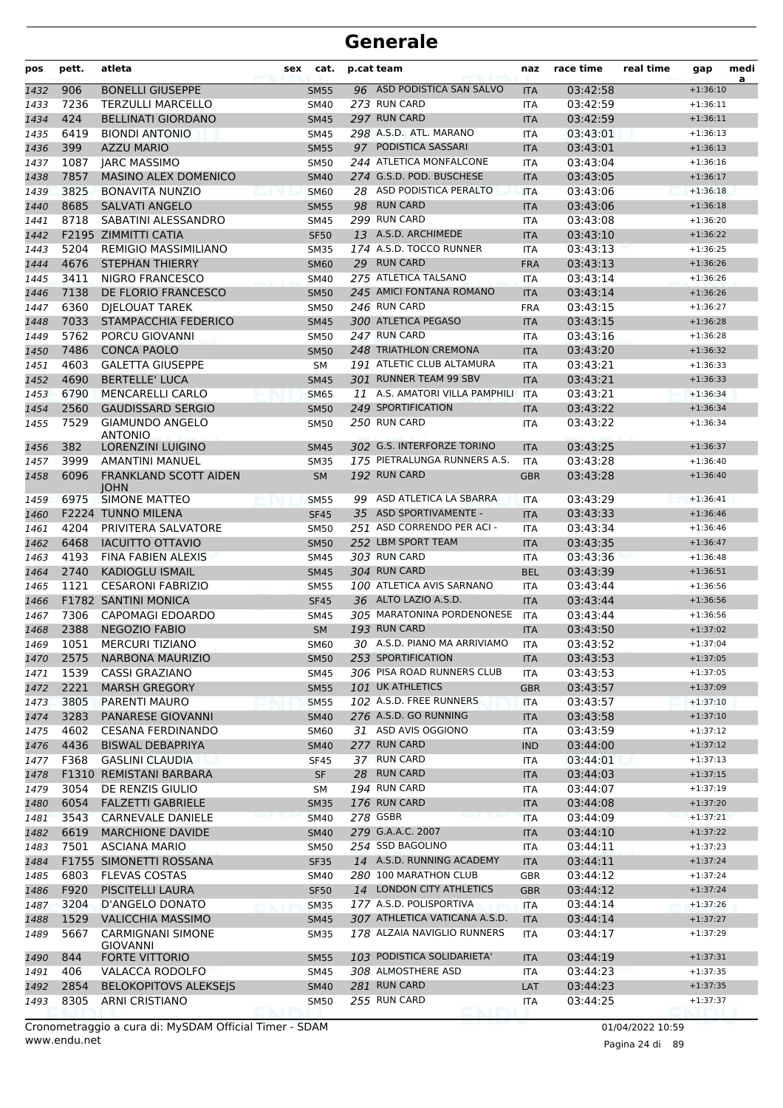| pos  | pett.        | atleta                                          | sex | cat.                     |    | p.cat team                     | naz        | race time            | real time | gap        | medi<br>a |
|------|--------------|-------------------------------------------------|-----|--------------------------|----|--------------------------------|------------|----------------------|-----------|------------|-----------|
| 1432 | 906          | <b>BONELLI GIUSEPPE</b>                         |     | <b>SM55</b>              |    | 96 ASD PODISTICA SAN SALVO     | <b>ITA</b> | 03:42:58             |           | $+1:36:10$ |           |
| 1433 | 7236         | <b>TERZULLI MARCELLO</b>                        |     | <b>SM40</b>              |    | 273 RUN CARD                   | ITA        | 03:42:59             |           | $+1:36:11$ |           |
| 1434 | 424          | <b>BELLINATI GIORDANO</b>                       |     | <b>SM45</b>              |    | 297 RUN CARD                   | <b>ITA</b> | 03:42:59             |           | $+1:36:11$ |           |
| 1435 | 6419         | <b>BIONDI ANTONIO</b>                           |     | <b>SM45</b>              |    | 298 A.S.D. ATL. MARANO         | <b>ITA</b> | 03:43:01             |           | $+1:36:13$ |           |
| 1436 | 399          | <b>AZZU MARIO</b>                               |     | <b>SM55</b>              |    | 97 PODISTICA SASSARI           | <b>ITA</b> | 03:43:01             |           | $+1:36:13$ |           |
| 1437 | 1087         | <b>JARC MASSIMO</b>                             |     | <b>SM50</b>              |    | 244 ATLETICA MONFALCONE        | ITA        | 03:43:04             |           | $+1:36:16$ |           |
| 1438 | 7857         | <b>MASINO ALEX DOMENICO</b>                     |     | <b>SM40</b>              |    | 274 G.S.D. POD. BUSCHESE       | <b>ITA</b> | 03:43:05             |           | $+1:36:17$ |           |
| 1439 | 3825         | <b>BONAVITA NUNZIO</b>                          |     | <b>SM60</b>              |    | 28 ASD PODISTICA PERALTO       | <b>ITA</b> | 03:43:06             |           | $+1:36:18$ |           |
| 1440 | 8685         | <b>SALVATI ANGELO</b>                           |     | <b>SM55</b>              |    | 98 RUN CARD                    | <b>ITA</b> | 03:43:06             |           | $+1:36:18$ |           |
| 1441 | 8718         | SABATINI ALESSANDRO                             |     | <b>SM45</b>              |    | 299 RUN CARD                   | ITA        | 03:43:08             |           | $+1:36:20$ |           |
| 1442 |              | F2195 ZIMMITTI CATIA                            |     | <b>SF50</b>              |    | 13 A.S.D. ARCHIMEDE            | <b>ITA</b> | 03:43:10             |           | $+1:36:22$ |           |
| 1443 | 5204         | <b>REMIGIO MASSIMILIANO</b>                     |     | <b>SM35</b>              |    | 174 A.S.D. TOCCO RUNNER        | ITA        | 03:43:13             |           | $+1:36:25$ |           |
| 1444 | 4676         | <b>STEPHAN THIERRY</b>                          |     | <b>SM60</b>              |    | 29 RUN CARD                    | <b>FRA</b> | 03:43:13             |           | $+1:36:26$ |           |
| 1445 | 3411         | <b>NIGRO FRANCESCO</b>                          |     | <b>SM40</b>              |    | 275 ATLETICA TALSANO           | <b>ITA</b> | 03:43:14             |           | $+1:36:26$ |           |
| 1446 | 7138         | DE FLORIO FRANCESCO                             |     | <b>SM50</b>              |    | 245 AMICI FONTANA ROMANO       | <b>ITA</b> | 03:43:14             |           | $+1:36:26$ |           |
| 1447 | 6360         | <b>DIELOUAT TAREK</b>                           |     | <b>SM50</b>              |    | 246 RUN CARD                   | <b>FRA</b> | 03:43:15             |           | $+1:36:27$ |           |
| 1448 | 7033         | STAMPACCHIA FEDERICO                            |     | <b>SM45</b>              |    | 300 ATLETICA PEGASO            | <b>ITA</b> | 03:43:15             |           | $+1:36:28$ |           |
| 1449 | 5762         | PORCU GIOVANNI                                  |     | <b>SM50</b>              |    | 247 RUN CARD                   | <b>ITA</b> | 03:43:16             |           | $+1:36:28$ |           |
| 1450 | 7486         | <b>CONCA PAOLO</b>                              |     | <b>SM50</b>              |    | 248 TRIATHLON CREMONA          | <b>ITA</b> | 03:43:20             |           | $+1:36:32$ |           |
| 1451 | 4603         | <b>GALETTA GIUSEPPE</b>                         |     | SM                       |    | 191 ATLETIC CLUB ALTAMURA      | ITA        | 03:43:21             |           | $+1:36:33$ |           |
| 1452 | 4690         | <b>BERTELLE' LUCA</b>                           |     | <b>SM45</b>              |    | 301 RUNNER TEAM 99 SBV         | <b>ITA</b> | 03:43:21             |           | $+1:36:33$ |           |
| 1453 | 6790         | <b>MENCARELLI CARLO</b>                         |     | <b>SM65</b>              |    | 11 A.S. AMATORI VILLA PAMPHILI | <b>ITA</b> | 03:43:21             |           | $+1:36:34$ |           |
| 1454 | 2560         | <b>GAUDISSARD SERGIO</b>                        |     | <b>SM50</b>              |    | 249 SPORTIFICATION             | <b>ITA</b> | 03:43:22             |           | $+1:36:34$ |           |
| 1455 | 7529         | <b>GIAMUNDO ANGELO</b>                          |     | <b>SM50</b>              |    | 250 RUN CARD                   | ITA        | 03:43:22             |           | $+1:36:34$ |           |
|      | 382          | <b>ANTONIO</b><br>LORENZINI LUIGINO             |     |                          |    | 302 G.S. INTERFORZE TORINO     |            | 03:43:25             |           | $+1:36:37$ |           |
| 1456 |              |                                                 |     | <b>SM45</b>              |    | 175 PIETRALUNGA RUNNERS A.S.   | <b>ITA</b> |                      |           | $+1:36:40$ |           |
| 1457 | 3999<br>6096 | AMANTINI MANUEL<br><b>FRANKLAND SCOTT AIDEN</b> |     | <b>SM35</b><br><b>SM</b> |    | 192 RUN CARD                   | <b>ITA</b> | 03:43:28<br>03:43:28 |           | $+1:36:40$ |           |
| 1458 |              | <b>IOHN</b>                                     |     |                          |    |                                | <b>GBR</b> |                      |           |            |           |
| 1459 | 6975         | <b>SIMONE MATTEO</b>                            |     | <b>SM55</b>              | 99 | ASD ATLETICA LA SBARRA         | ITA        | 03:43:29             |           | $+1:36:41$ |           |
| 1460 |              | <b>F2224 TUNNO MILENA</b>                       |     | <b>SF45</b>              |    | 35 ASD SPORTIVAMENTE -         | <b>ITA</b> | 03:43:33             |           | $+1:36:46$ |           |
| 1461 | 4204         | PRIVITERA SALVATORE                             |     | <b>SM50</b>              |    | 251 ASD CORRENDO PER ACI -     | <b>ITA</b> | 03:43:34             |           | $+1:36:46$ |           |
| 1462 | 6468         | <b>IACUITTO OTTAVIO</b>                         |     | <b>SM50</b>              |    | 252 LBM SPORT TEAM             | <b>ITA</b> | 03:43:35             |           | $+1:36:47$ |           |
| 1463 | 4193         | FINA FABIEN ALEXIS                              |     | <b>SM45</b>              |    | 303 RUN CARD                   | <b>ITA</b> | 03:43:36             |           | $+1:36:48$ |           |
| 1464 | 2740         | <b>KADIOGLU ISMAIL</b>                          |     | <b>SM45</b>              |    | 304 RUN CARD                   | <b>BEL</b> | 03:43:39             |           | $+1:36:51$ |           |
| 1465 | 1121         | <b>CESARONI FABRIZIO</b>                        |     | <b>SM55</b>              |    | 100 ATLETICA AVIS SARNANO      | ITA        | 03:43:44             |           | $+1:36:56$ |           |
| 1466 |              | <b>F1782 SANTINI MONICA</b>                     |     | <b>SF45</b>              |    | 36 ALTO LAZIO A.S.D.           | <b>ITA</b> | 03:43:44             |           | $+1:36:56$ |           |
| 1467 | 7306         | <b>CAPOMAGI EDOARDO</b>                         |     | <b>SM45</b>              |    | 305 MARATONINA PORDENONESE     | <b>ITA</b> | 03:43:44             |           | $+1:36:56$ |           |
| 1468 | 2388         | <b>NEGOZIO FABIO</b>                            |     | <b>SM</b>                |    | 193 RUN CARD                   | <b>ITA</b> | 03:43:50             |           | $+1:37:02$ |           |
| 1469 | 1051         | <b>MERCURI TIZIANO</b>                          |     | <b>SM60</b>              |    | 30 A.S.D. PIANO MA ARRIVIAMO   | <b>ITA</b> | 03:43:52             |           | $+1:37:04$ |           |
| 1470 | 2575         | <b>NARBONA MAURIZIO</b>                         |     | <b>SM50</b>              |    | 253 SPORTIFICATION             | <b>ITA</b> | 03:43:53             |           | $+1:37:05$ |           |
| 1471 | 1539         | <b>CASSI GRAZIANO</b>                           |     | SM45                     |    | 306 PISA ROAD RUNNERS CLUB     | <b>ITA</b> | 03:43:53             |           | $+1:37:05$ |           |
| 1472 | 2221         | <b>MARSH GREGORY</b>                            |     | <b>SM55</b>              |    | 101 UK ATHLETICS               | <b>GBR</b> | 03:43:57             |           | $+1:37:09$ |           |
| 1473 | 3805         | PARENTI MAURO                                   |     | <b>SM55</b>              |    | 102 A.S.D. FREE RUNNERS        | <b>ITA</b> | 03:43:57             |           | $+1:37:10$ |           |
| 1474 | 3283         | PANARESE GIOVANNI                               |     | <b>SM40</b>              |    | 276 A.S.D. GO RUNNING          | <b>ITA</b> | 03:43:58             |           | $+1:37:10$ |           |
| 1475 | 4602         | <b>CESANA FERDINANDO</b>                        |     | <b>SM60</b>              |    | 31 ASD AVIS OGGIONO            | ITA        | 03:43:59             |           | $+1:37:12$ |           |
| 1476 | 4436         | <b>BISWAL DEBAPRIYA</b>                         |     | <b>SM40</b>              |    | 277 RUN CARD                   | <b>IND</b> | 03:44:00             |           | $+1:37:12$ |           |
| 1477 | F368         | <b>GASLINI CLAUDIA</b>                          |     | SF45                     |    | 37 RUN CARD                    | <b>ITA</b> | 03:44:01             |           | $+1:37:13$ |           |
| 1478 |              | F1310 REMISTANI BARBARA                         |     | <b>SF</b>                |    | 28 RUN CARD                    | <b>ITA</b> | 03:44:03             |           | $+1:37:15$ |           |
| 1479 | 3054         | DE RENZIS GIULIO                                |     | SΜ                       |    | 194 RUN CARD                   | ITA        | 03:44:07             |           | $+1:37:19$ |           |
| 1480 | 6054         | <b>FALZETTI GABRIELE</b>                        |     | <b>SM35</b>              |    | 176 RUN CARD                   | <b>ITA</b> | 03:44:08             |           | $+1:37:20$ |           |
| 1481 | 3543         | <b>CARNEVALE DANIELE</b>                        |     | <b>SM40</b>              |    | 278 GSBR                       | <b>ITA</b> | 03:44:09             |           | $+1:37:21$ |           |
| 1482 | 6619         | <b>MARCHIONE DAVIDE</b>                         |     | <b>SM40</b>              |    | 279 G.A.A.C. 2007              | <b>ITA</b> | 03:44:10             |           | $+1:37:22$ |           |
| 1483 | 7501         | <b>ASCIANA MARIO</b>                            |     | <b>SM50</b>              |    | 254 SSD BAGOLINO               | <b>ITA</b> | 03:44:11             |           | $+1:37:23$ |           |
| 1484 |              | F1755 SIMONETTI ROSSANA                         |     | <b>SF35</b>              |    | 14 A.S.D. RUNNING ACADEMY      | <b>ITA</b> | 03:44:11             |           | $+1:37:24$ |           |
| 1485 | 6803         | <b>FLEVAS COSTAS</b>                            |     | <b>SM40</b>              |    | 280 100 MARATHON CLUB          | GBR        | 03:44:12             |           | $+1:37:24$ |           |
| 1486 | F920         | PISCITELLI LAURA                                |     | <b>SF50</b>              |    | 14 LONDON CITY ATHLETICS       | <b>GBR</b> | 03:44:12             |           | $+1:37:24$ |           |
| 1487 | 3204         | D'ANGELO DONATO                                 |     | <b>SM35</b>              |    | 177 A.S.D. POLISPORTIVA        | ITA        | 03:44:14             |           | $+1:37:26$ |           |
| 1488 | 1529         | <b>VALICCHIA MASSIMO</b>                        |     | <b>SM45</b>              |    | 307 ATHLETICA VATICANA A.S.D.  | <b>ITA</b> | 03:44:14             |           | $+1:37:27$ |           |
| 1489 | 5667         | <b>CARMIGNANI SIMONE</b>                        |     | <b>SM35</b>              |    | 178 ALZAIA NAVIGLIO RUNNERS    | <b>ITA</b> | 03:44:17             |           | $+1:37:29$ |           |
| 1490 | 844          | GIOVANNI<br>FORTE VITTORIO                      |     | <b>SM55</b>              |    | 103 PODISTICA SOLIDARIETA'     | ITA        | 03:44:19             |           | $+1:37:31$ |           |
| 1491 | 406          | VALACCA RODOLFO                                 |     | <b>SM45</b>              |    | 308 ALMOSTHERE ASD             | ITA        | 03:44:23             |           | $+1:37:35$ |           |
| 1492 | 2854         | <b>BELOKOPITOVS ALEKSEJS</b>                    |     | <b>SM40</b>              |    | 281 RUN CARD                   | LAT        | 03:44:23             |           | $+1:37:35$ |           |
| 1493 | 8305         | <b>ARNI CRISTIANO</b>                           |     | <b>SM50</b>              |    | 255 RUN CARD                   | ITA        | 03:44:25             |           | $+1:37:37$ |           |
|      |              |                                                 |     |                          |    |                                |            |                      |           |            |           |

Pagina 24 di 89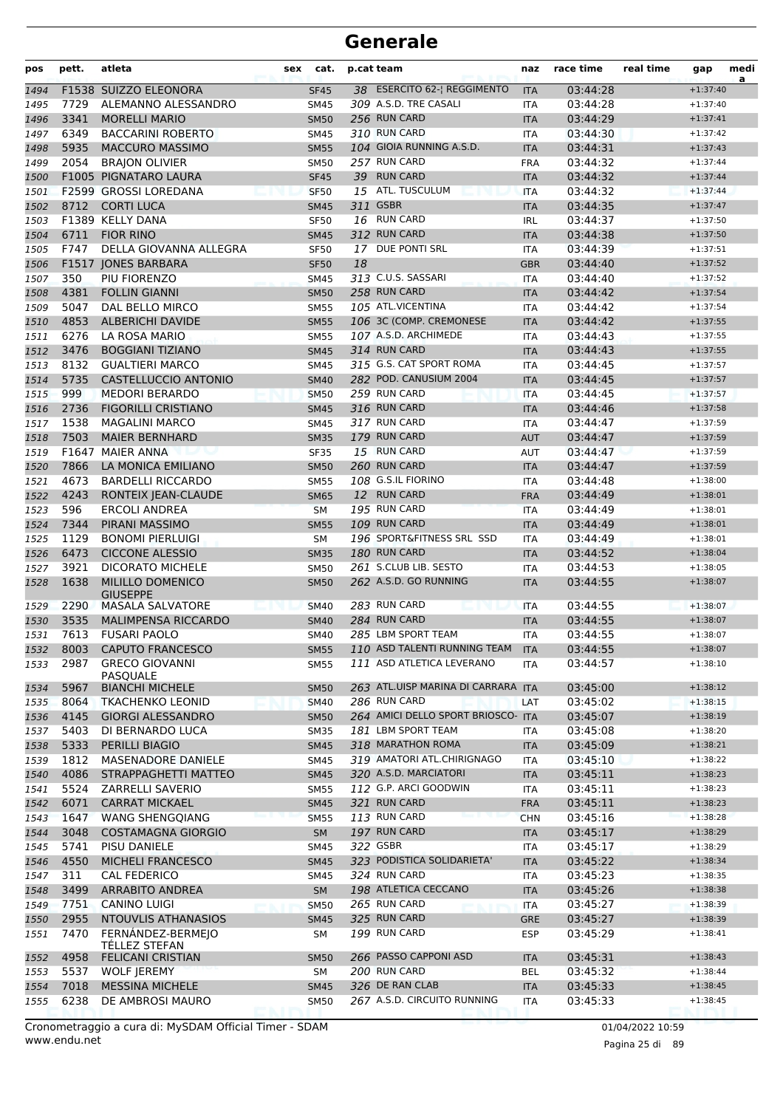| pos  | pett.        | atleta                                     | cat.<br>sex |    | p.cat team                                               | naz        | race time            | real time | gap                      | medi<br>a |
|------|--------------|--------------------------------------------|-------------|----|----------------------------------------------------------|------------|----------------------|-----------|--------------------------|-----------|
| 1494 |              | F1538 SUIZZO ELEONORA                      | <b>SF45</b> |    | 38 ESERCITO 62-  REGGIMENTO                              | <b>ITA</b> | 03:44:28             |           | $+1:37:40$               |           |
| 1495 | 7729         | ALEMANNO ALESSANDRO                        | <b>SM45</b> |    | 309 A.S.D. TRE CASALI                                    | <b>ITA</b> | 03:44:28             |           | $+1:37:40$               |           |
| 1496 | 3341         | <b>MORELLI MARIO</b>                       | <b>SM50</b> |    | 256 RUN CARD                                             | <b>ITA</b> | 03:44:29             |           | $+1:37:41$               |           |
| 1497 | 6349         | <b>BACCARINI ROBERTO</b>                   | <b>SM45</b> |    | 310 RUN CARD                                             | <b>ITA</b> | 03:44:30             |           | $+1:37:42$               |           |
| 1498 | 5935         | <b>MACCURO MASSIMO</b>                     | <b>SM55</b> |    | 104 GIOIA RUNNING A.S.D.                                 | <b>ITA</b> | 03:44:31             |           | $+1:37:43$               |           |
| 1499 | 2054         | <b>BRAJON OLIVIER</b>                      | <b>SM50</b> |    | 257 RUN CARD                                             | <b>FRA</b> | 03:44:32             |           | $+1:37:44$               |           |
| 1500 |              | F1005 PIGNATARO LAURA                      | <b>SF45</b> |    | 39 RUN CARD                                              | <b>ITA</b> | 03:44:32             |           | $+1:37:44$               |           |
| 1501 |              | F2599 GROSSI LOREDANA                      | <b>SF50</b> |    | 15 ATL. TUSCULUM                                         | <b>ITA</b> | 03:44:32             |           | $+1:37:44$               |           |
| 1502 | 8712         | <b>CORTI LUCA</b>                          | <b>SM45</b> |    | 311 GSBR                                                 | <b>ITA</b> | 03:44:35             |           | $+1:37:47$               |           |
| 1503 |              | F1389 KELLY DANA                           | <b>SF50</b> |    | 16 RUN CARD                                              | <b>IRL</b> | 03:44:37             |           | $+1:37:50$               |           |
| 1504 | 6711         | <b>FIOR RINO</b>                           | <b>SM45</b> |    | 312 RUN CARD                                             | <b>ITA</b> | 03:44:38             |           | $+1:37:50$               |           |
| 1505 | F747         | DELLA GIOVANNA ALLEGRA                     | <b>SF50</b> | 17 | DUE PONTI SRL                                            | <b>ITA</b> | 03:44:39             |           | $+1:37:51$               |           |
| 1506 |              | F1517 JONES BARBARA                        | <b>SF50</b> | 18 |                                                          | <b>GBR</b> | 03:44:40             |           | $+1:37:52$               |           |
| 1507 | 350          | PIU FIORENZO                               | <b>SM45</b> |    | 313 C.U.S. SASSARI                                       | <b>ITA</b> | 03:44:40             |           | $+1:37:52$               |           |
| 1508 | 4381         | <b>FOLLIN GIANNI</b>                       | <b>SM50</b> |    | 258 RUN CARD                                             | <b>ITA</b> | 03:44:42             |           | $+1:37:54$               |           |
| 1509 | 5047         | DAL BELLO MIRCO                            | <b>SM55</b> |    | 105 ATL.VICENTINA                                        | <b>ITA</b> | 03:44:42             |           | $+1:37:54$               |           |
| 1510 | 4853         | <b>ALBERICHI DAVIDE</b>                    | <b>SM55</b> |    | 106 3C (COMP. CREMONESE                                  | <b>ITA</b> | 03:44:42             |           | $+1:37:55$               |           |
| 1511 | 6276         | LA ROSA MARIO                              | <b>SM55</b> |    | 107 A.S.D. ARCHIMEDE                                     | <b>ITA</b> | 03:44:43             |           | $+1:37:55$               |           |
| 1512 | 3476         | <b>BOGGIANI TIZIANO</b>                    | <b>SM45</b> |    | 314 RUN CARD                                             | <b>ITA</b> | 03:44:43             |           | $+1:37:55$               |           |
| 1513 | 8132         | <b>GUALTIERI MARCO</b>                     | <b>SM45</b> |    | 315 G.S. CAT SPORT ROMA                                  | <b>ITA</b> | 03:44:45             |           | $+1:37:57$               |           |
| 1514 | 5735         | <b>CASTELLUCCIO ANTONIO</b>                | <b>SM40</b> |    | 282 POD. CANUSIUM 2004                                   | <b>ITA</b> | 03:44:45             |           | $+1:37:57$               |           |
| 1515 | 999          | <b>MEDORI BERARDO</b>                      | <b>SM50</b> |    | 259 RUN CARD                                             | <b>ITA</b> | 03:44:45             |           | $+1:37:57$               |           |
| 1516 | 2736         | <b>FIGORILLI CRISTIANO</b>                 | <b>SM45</b> |    | 316 RUN CARD                                             | <b>ITA</b> | 03:44:46             |           | $+1:37:58$               |           |
| 1517 | 1538         | <b>MAGALINI MARCO</b>                      | <b>SM45</b> |    | 317 RUN CARD                                             | <b>ITA</b> | 03:44:47             |           | $+1:37:59$               |           |
| 1518 | 7503         | <b>MAIER BERNHARD</b>                      | <b>SM35</b> |    | 179 RUN CARD                                             | <b>AUT</b> | 03:44:47             |           | $+1:37:59$               |           |
| 1519 | F1647        | MAIER ANNA                                 | <b>SF35</b> |    | 15 RUN CARD                                              | <b>AUT</b> | 03:44:47             |           | $+1:37:59$               |           |
| 1520 | 7866         | LA MONICA EMILIANO                         | <b>SM50</b> |    | 260 RUN CARD                                             | <b>ITA</b> | 03:44:47             |           | $+1:37:59$               |           |
| 1521 | 4673         | <b>BARDELLI RICCARDO</b>                   | <b>SM55</b> |    | 108 G.S.IL FIORINO                                       | <b>ITA</b> | 03:44:48             |           | $+1:38:00$               |           |
| 1522 | 4243         | RONTEIX JEAN-CLAUDE                        | <b>SM65</b> |    | 12 RUN CARD                                              | <b>FRA</b> | 03:44:49             |           | $+1:38:01$               |           |
| 1523 | 596          | <b>ERCOLI ANDREA</b>                       | <b>SM</b>   |    | 195 RUN CARD                                             | <b>ITA</b> | 03:44:49             |           | $+1:38:01$               |           |
| 1524 | 7344         | PIRANI MASSIMO                             | <b>SM55</b> |    | 109 RUN CARD                                             | <b>ITA</b> | 03:44:49             |           | $+1:38:01$               |           |
| 1525 | 1129         | <b>BONOMI PIERLUIGI</b>                    | <b>SM</b>   |    | 196 SPORT&FITNESS SRL SSD                                | <b>ITA</b> | 03:44:49             |           | $+1:38:01$               |           |
| 1526 | 6473         | <b>CICCONE ALESSIO</b>                     | <b>SM35</b> |    | 180 RUN CARD                                             | <b>ITA</b> | 03:44:52             |           | $+1:38:04$               |           |
| 1527 | 3921         | <b>DICORATO MICHELE</b>                    | <b>SM50</b> |    | 261 S.CLUB LIB. SESTO                                    | <b>ITA</b> | 03:44:53             |           | $+1:38:05$               |           |
| 1528 | 1638         | <b>MILILLO DOMENICO</b>                    | <b>SM50</b> |    | 262 A.S.D. GO RUNNING                                    | <b>ITA</b> | 03:44:55             |           | $+1:38:07$               |           |
| 1529 | 2290         | <b>GIUSEPPE</b><br><b>MASALA SALVATORE</b> | <b>SM40</b> |    | 283 RUN CARD                                             | <b>ITA</b> | 03:44:55             |           | $+1:38:07$               |           |
| 1530 | 3535         | <b>MALIMPENSA RICCARDO</b>                 | <b>SM40</b> |    | 284 RUN CARD                                             | <b>ITA</b> | 03:44:55             |           | $+1:38:07$               |           |
| 1531 | 7613         | <b>FUSARI PAOLO</b>                        | <b>SM40</b> |    | 285 LBM SPORT TEAM                                       | <b>ITA</b> | 03:44:55             |           | $+1:38:07$               |           |
| 1532 | 8003         | CAPUTO FRANCESCO                           | SM55        |    | 110 ASD TALENTI RUNNING TEAM                             | <b>ITA</b> | 03:44:55             |           | $+1:38:07$               |           |
| 1533 | 2987         | <b>GRECO GIOVANNI</b>                      | <b>SM55</b> |    | 111 ASD ATLETICA LEVERANO                                | ITA        | 03:44:57             |           | $+1:38:10$               |           |
|      |              | <b>PASQUALE</b>                            |             |    |                                                          |            |                      |           |                          |           |
| 1534 | 5967         | <b>BIANCHI MICHELE</b>                     | <b>SM50</b> |    | 263 ATL.UISP MARINA DI CARRARA ITA                       |            | 03:45:00             |           | $+1:38:12$               |           |
| 1535 | 8064         | <b>TKACHENKO LEONID</b>                    | <b>SM40</b> |    | 286 RUN CARD                                             | LAT        | 03:45:02             |           | $+1:38:15$               |           |
| 1536 | 4145         | <b>GIORGI ALESSANDRO</b>                   | <b>SM50</b> |    | 264 AMICI DELLO SPORT BRIOSCO- ITA<br>181 LBM SPORT TEAM |            | 03:45:07             |           | $+1:38:19$               |           |
| 1537 | 5403         | DI BERNARDO LUCA                           | <b>SM35</b> |    | 318 MARATHON ROMA                                        | ITA        | 03:45:08             |           | $+1:38:20$               |           |
| 1538 | 5333         | PERILLI BIAGIO                             | <b>SM45</b> |    | 319 AMATORI ATL.CHIRIGNAGO                               | <b>ITA</b> | 03:45:09             |           | $+1:38:21$               |           |
| 1539 | 1812<br>4086 | MASENADORE DANIELE<br>STRAPPAGHETTI MATTEO | SM45        |    | 320 A.S.D. MARCIATORI                                    | <b>ITA</b> | 03:45:10<br>03:45:11 |           | $+1:38:22$<br>$+1:38:23$ |           |
| 1540 |              |                                            | <b>SM45</b> |    | 112 G.P. ARCI GOODWIN                                    | <b>ITA</b> |                      |           |                          |           |
| 1541 | 5524<br>6071 | ZARRELLI SAVERIO<br><b>CARRAT MICKAEL</b>  | <b>SM55</b> |    | 321 RUN CARD                                             | ITA        | 03:45:11             |           | $+1:38:23$               |           |
| 1542 |              |                                            | <b>SM45</b> |    | 113 RUN CARD                                             | <b>FRA</b> | 03:45:11             |           | $+1:38:23$               |           |
| 1543 | 1647         | <b>WANG SHENGOIANG</b>                     | <b>SM55</b> |    |                                                          | <b>CHN</b> | 03:45:16             |           | $+1:38:28$               |           |
| 1544 | 3048         | <b>COSTAMAGNA GIORGIO</b>                  | SM          |    | 197 RUN CARD                                             | <b>ITA</b> | 03:45:17             |           | $+1:38:29$               |           |
| 1545 | 5741         | PISU DANIELE                               | <b>SM45</b> |    | 322 GSBR                                                 | <b>ITA</b> | 03:45:17             |           | $+1:38:29$               |           |
| 1546 | 4550         | MICHELI FRANCESCO                          | <b>SM45</b> |    | 323 PODISTICA SOLIDARIETA'                               | <b>ITA</b> | 03:45:22             |           | $+1:38:34$               |           |
| 1547 | 311          | CAL FEDERICO                               | SM45        |    | 324 RUN CARD                                             | ITA        | 03:45:23             |           | $+1:38:35$               |           |
| 1548 | 3499         | <b>ARRABITO ANDREA</b>                     | <b>SM</b>   |    | 198 ATLETICA CECCANO                                     | <b>ITA</b> | 03:45:26             |           | $+1:38:38$               |           |
| 1549 | 7751         | <b>CANINO LUIGI</b>                        | <b>SM50</b> |    | 265 RUN CARD                                             | ITA        | 03:45:27             |           | $+1:38:39$               |           |
| 1550 | 2955         | NTOUVLIS ATHANASIOS                        | <b>SM45</b> |    | 325 RUN CARD                                             | <b>GRE</b> | 03:45:27             |           | $+1:38:39$               |           |
| 1551 | 7470         | FERNÁNDEZ-BERMEJO<br>TELLEZ STEFAN         | SM          |    | 199 RUN CARD                                             | <b>ESP</b> | 03:45:29             |           | $+1:38:41$               |           |
| 1552 | 4958         | <b>FELICANI CRISTIAN</b>                   | <b>SM50</b> |    | 266 PASSO CAPPONI ASD                                    | <b>ITA</b> | 03:45:31             |           | $+1:38:43$               |           |
| 1553 | 5537         | <b>WOLF JEREMY</b>                         | SM          |    | 200 RUN CARD                                             | <b>BEL</b> | 03:45:32             |           | $+1:38:44$               |           |
| 1554 | 7018         | <b>MESSINA MICHELE</b>                     | <b>SM45</b> |    | 326 DE RAN CLAB                                          | <b>ITA</b> | 03:45:33             |           | $+1:38:45$               |           |
| 1555 | 6238         | DE AMBROSI MAURO                           | <b>SM50</b> |    | 267 A.S.D. CIRCUITO RUNNING                              | ITA        | 03:45:33             |           | $+1:38:45$               |           |
|      |              |                                            |             |    |                                                          |            |                      |           |                          |           |

www.endu.net Cronometraggio a cura di: MySDAM Official Timer - SDAM 01/04/2022 10:59 01/04/2022 10:59

Pagina 25 di 89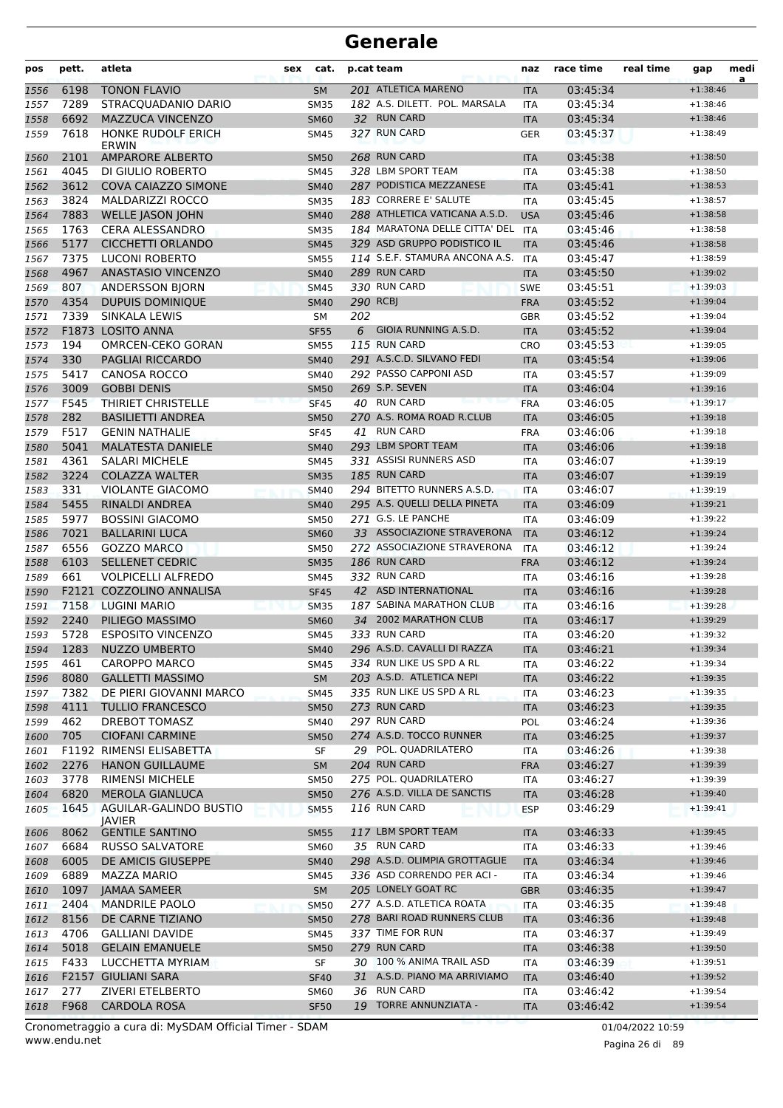| pos          | pett.        | atleta                                           | sex | cat.                       |     | p.cat team                                              | naz                      | race time            | real time | gap                      | medi<br>a |
|--------------|--------------|--------------------------------------------------|-----|----------------------------|-----|---------------------------------------------------------|--------------------------|----------------------|-----------|--------------------------|-----------|
| 1556         | 6198         | <b>TONON FLAVIO</b>                              |     | <b>SM</b>                  |     | 201 ATLETICA MARENO                                     | <b>ITA</b>               | 03:45:34             |           | $+1:38:46$               |           |
| 1557         | 7289         | STRACQUADANIO DARIO                              |     | <b>SM35</b>                |     | 182 A.S. DILETT. POL. MARSALA                           | <b>ITA</b>               | 03:45:34             |           | $+1:38:46$               |           |
| 1558         | 6692         | <b>MAZZUCA VINCENZO</b>                          |     | <b>SM60</b>                |     | 32 RUN CARD                                             | <b>ITA</b>               | 03:45:34             |           | $+1:38:46$               |           |
| 1559         | 7618         | HONKE RUDOLF ERICH<br>ERWIN                      |     | SM45                       |     | 327 RUN CARD                                            | <b>GER</b>               | 03:45:37             |           | $+1:38:49$               |           |
| 1560         | 2101         | <b>AMPARORE ALBERTO</b>                          |     | <b>SM50</b>                |     | 268 RUN CARD                                            | <b>ITA</b>               | 03:45:38             |           | $+1:38:50$               |           |
| 1561         | 4045         | DI GIULIO ROBERTO                                |     | <b>SM45</b>                |     | 328 LBM SPORT TEAM                                      | <b>ITA</b>               | 03:45:38             |           | $+1:38:50$               |           |
| 1562         | 3612         | <b>COVA CAIAZZO SIMONE</b>                       |     | <b>SM40</b>                |     | 287 PODISTICA MEZZANESE                                 | <b>ITA</b>               | 03:45:41             |           | $+1:38:53$               |           |
| 1563         | 3824         | MALDARIZZI ROCCO                                 |     | <b>SM35</b>                |     | 183 CORRERE E' SALUTE                                   | <b>ITA</b>               | 03:45:45             |           | $+1:38:57$               |           |
| 1564         | 7883         | <b>WELLE JASON JOHN</b>                          |     | <b>SM40</b>                |     | 288 ATHLETICA VATICANA A.S.D.                           | <b>USA</b>               | 03:45:46             |           | $+1:38:58$               |           |
| 1565         | 1763         | <b>CERA ALESSANDRO</b>                           |     | <b>SM35</b>                |     | 184 MARATONA DELLE CITTA' DEL ITA                       |                          | 03:45:46             |           | $+1:38:58$               |           |
| 1566         | 5177         | <b>CICCHETTI ORLANDO</b>                         |     | <b>SM45</b>                |     | 329 ASD GRUPPO PODISTICO IL                             | <b>ITA</b>               | 03:45:46             |           | $+1:38:58$               |           |
| 1567         | 7375         | <b>LUCONI ROBERTO</b>                            |     | <b>SM55</b>                |     | 114 S.E.F. STAMURA ANCONA A.S.                          | <b>ITA</b>               | 03:45:47             |           | $+1:38:59$               |           |
| 1568         | 4967         | <b>ANASTASIO VINCENZO</b>                        |     | <b>SM40</b>                |     | 289 RUN CARD                                            | <b>ITA</b>               | 03:45:50             |           | $+1:39:02$               |           |
| 1569         | 807          | ANDERSSON BJORN                                  |     | <b>SM45</b>                |     | 330 RUN CARD                                            | <b>SWE</b>               | 03:45:51             |           | $+1:39:03$               |           |
| 1570         | 4354         | <b>DUPUIS DOMINIQUE</b>                          |     | <b>SM40</b>                |     | 290 RCBJ                                                | <b>FRA</b>               | 03:45:52             |           | $+1:39:04$               |           |
| 1571         | 7339         | SINKALA LEWIS                                    |     | <b>SM</b>                  | 202 |                                                         | <b>GBR</b>               | 03:45:52             |           | $+1:39:04$               |           |
| 1572         |              | F1873 LOSITO ANNA                                |     | <b>SF55</b>                | 6   | GIOIA RUNNING A.S.D.                                    | <b>ITA</b>               | 03:45:52             |           | $+1:39:04$               |           |
| 1573         | 194          | OMRCEN-CEKO GORAN                                |     | <b>SM55</b>                |     | 115 RUN CARD                                            | <b>CRO</b>               | 03:45:53             |           | $+1:39:05$               |           |
| 1574         | 330          | PAGLIAI RICCARDO                                 |     | <b>SM40</b>                |     | 291 A.S.C.D. SILVANO FEDI                               | <b>ITA</b>               | 03:45:54             |           | $+1:39:06$               |           |
| 1575         | 5417         | <b>CANOSA ROCCO</b>                              |     | SM40                       |     | 292 PASSO CAPPONI ASD                                   | <b>ITA</b>               | 03:45:57             |           | $+1:39:09$               |           |
| 1576         | 3009         | <b>GOBBI DENIS</b>                               |     | <b>SM50</b>                |     | 269 S.P. SEVEN                                          | <b>ITA</b>               | 03:46:04             |           | $+1:39:16$               |           |
| 1577         | F545         | THIRIET CHRISTELLE                               |     | <b>SF45</b>                |     | 40 RUN CARD                                             | <b>FRA</b>               | 03:46:05             |           | $+1:39:17$               |           |
| 1578         | 282          | <b>BASILIETTI ANDREA</b>                         |     | <b>SM50</b>                |     | 270 A.S. ROMA ROAD R.CLUB                               | <b>ITA</b>               | 03:46:05             |           | $+1:39:18$               |           |
| 1579         | F517         | <b>GENIN NATHALIE</b>                            |     | <b>SF45</b>                |     | 41 RUN CARD                                             | <b>FRA</b>               | 03:46:06             |           | $+1:39:18$               |           |
| 1580         | 5041         | <b>MALATESTA DANIELE</b>                         |     | <b>SM40</b>                |     | 293 LBM SPORT TEAM                                      | <b>ITA</b>               | 03:46:06             |           | $+1:39:18$               |           |
| 1581         | 4361         | <b>SALARI MICHELE</b>                            |     | <b>SM45</b>                |     | 331 ASSISI RUNNERS ASD                                  | <b>ITA</b>               | 03:46:07             |           | $+1:39:19$               |           |
| 1582         | 3224         | <b>COLAZZA WALTER</b>                            |     | <b>SM35</b>                |     | 185 RUN CARD                                            | <b>ITA</b>               | 03:46:07             |           | $+1:39:19$               |           |
| 1583         | 331          | <b>VIOLANTE GIACOMO</b>                          |     | <b>SM40</b>                |     | 294 BITETTO RUNNERS A.S.D.                              | <b>ITA</b>               | 03:46:07             |           | $+1:39:19$               |           |
| 1584         | 5455         | <b>RINALDI ANDREA</b>                            |     | <b>SM40</b>                |     | 295 A.S. QUELLI DELLA PINETA                            | <b>ITA</b>               | 03:46:09             |           | $+1:39:21$               |           |
| 1585         | 5977         | <b>BOSSINI GIACOMO</b>                           |     | <b>SM50</b>                |     | 271 G.S. LE PANCHE                                      | <b>ITA</b>               | 03:46:09             |           | $+1:39:22$               |           |
| 1586         | 7021         | <b>BALLARINI LUCA</b>                            |     | <b>SM60</b>                |     | 33 ASSOCIAZIONE STRAVERONA                              | <b>ITA</b>               | 03:46:12             |           | $+1:39:24$               |           |
| 1587         | 6556         | <b>GOZZO MARCO</b>                               |     | <b>SM50</b>                |     | 272 ASSOCIAZIONE STRAVERONA                             | <b>ITA</b>               | 03:46:12             |           | $+1:39:24$               |           |
| 1588         | 6103         | <b>SELLENET CEDRIC</b>                           |     | <b>SM35</b>                |     | 186 RUN CARD                                            | <b>FRA</b>               | 03:46:12             |           | $+1:39:24$               |           |
| 1589         | 661          | <b>VOLPICELLI ALFREDO</b>                        |     | <b>SM45</b>                |     | 332 RUN CARD                                            | <b>ITA</b>               | 03:46:16             |           | $+1:39:28$               |           |
| 1590         |              | F2121 COZZOLINO ANNALISA                         |     | <b>SF45</b>                |     | 42 ASD INTERNATIONAL                                    | <b>ITA</b>               | 03:46:16             |           | $+1:39:28$               |           |
| 1591         | 7158         | <b>LUGINI MARIO</b>                              |     | <b>SM35</b>                |     | 187 SABINA MARATHON CLUB                                | <b>ITA</b>               | 03:46:16             |           | $+1:39:28$               |           |
| 1592         | 2240         | PILIEGO MASSIMO                                  |     | <b>SM60</b>                |     | 34 2002 MARATHON CLUB                                   | <b>ITA</b>               | 03:46:17             |           | $+1:39:29$               |           |
| 1593         | 5728         | <b>ESPOSITO VINCENZO</b>                         |     | <b>SM45</b>                |     | 333 RUN CARD<br>296 A.S.D. CAVALLI DI RAZZA             | <b>ITA</b>               | 03:46:20             |           | $+1:39:32$               |           |
| 1594         | 1283         | NUZZO UMBERTO                                    |     | SM40                       |     |                                                         | ITA                      | 03:46:21             |           | $+1:39:34$               |           |
| 1595         | 461          | <b>CAROPPO MARCO</b>                             |     | <b>SM45</b>                |     | 334 RUN LIKE US SPD A RL                                | ITA                      | 03:46:22             |           | $+1:39:34$               |           |
| 1596         | 8080         | <b>GALLETTI MASSIMO</b>                          |     | <b>SM</b>                  |     | 203 A.S.D. ATLETICA NEPI                                | <b>ITA</b>               | 03:46:22             |           | $+1:39:35$               |           |
| 1597         | 7382         | DE PIERI GIOVANNI MARCO                          |     | <b>SM45</b>                |     | 335 RUN LIKE US SPD A RL                                | ITA                      | 03:46:23             |           | $+1:39:35$               |           |
| 1598         | 4111         | <b>TULLIO FRANCESCO</b><br>DREBOT TOMASZ         |     | <b>SM50</b>                |     | 273 RUN CARD<br>297 RUN CARD                            | <b>ITA</b>               | 03:46:23             |           | $+1:39:35$               |           |
| 1599<br>1600 | 462<br>705   | <b>CIOFANI CARMINE</b>                           |     | <b>SM40</b><br><b>SM50</b> |     | 274 A.S.D. TOCCO RUNNER                                 | <b>POL</b><br><b>ITA</b> | 03:46:24<br>03:46:25 |           | $+1:39:36$<br>$+1:39:37$ |           |
| 1601         |              | F1192 RIMENSI ELISABETTA                         |     | SF                         |     | 29 POL. QUADRILATERO                                    | ITA                      | 03:46:26             |           | $+1:39:38$               |           |
| 1602         | 2276         | <b>HANON GUILLAUME</b>                           |     | <b>SM</b>                  |     | 204 RUN CARD                                            | <b>FRA</b>               | 03:46:27             |           | $+1:39:39$               |           |
| 1603         | 3778         | <b>RIMENSI MICHELE</b>                           |     | <b>SM50</b>                |     | 275 POL. QUADRILATERO                                   | ITA                      | 03:46:27             |           | $+1:39:39$               |           |
| 1604         | 6820         | <b>MEROLA GIANLUCA</b>                           |     | <b>SM50</b>                |     | 276 A.S.D. VILLA DE SANCTIS                             | <b>ITA</b>               | 03:46:28             |           | $+1:39:40$               |           |
| 1605         | 1645         | AGUILAR-GALINDO BUSTIO                           |     | <b>SM55</b>                |     | 116 RUN CARD                                            | <b>ESP</b>               | 03:46:29             |           | $+1:39:41$               |           |
|              |              | <b>IAVIER</b>                                    |     |                            |     |                                                         |                          |                      |           |                          |           |
| 1606         | 8062         | <b>GENTILE SANTINO</b>                           |     | <b>SM55</b>                |     | 117 LBM SPORT TEAM                                      | <b>ITA</b>               | 03:46:33             |           | $+1:39:45$               |           |
| 1607         | 6684         | RUSSO SALVATORE                                  |     | <b>SM60</b>                |     | 35 RUN CARD                                             | ITA                      | 03:46:33             |           | $+1:39:46$               |           |
| 1608         | 6005         | DE AMICIS GIUSEPPE                               |     | <b>SM40</b>                |     | 298 A.S.D. OLIMPIA GROTTAGLIE                           | <b>ITA</b>               | 03:46:34             |           | $+1:39:46$               |           |
| 1609         | 6889         | MAZZA MARIO                                      |     | <b>SM45</b>                |     | 336 ASD CORRENDO PER ACI -<br>205 LONELY GOAT RC        | ITA                      | 03:46:34             |           | $+1:39:46$               |           |
| 1610         | 1097         | JAMAA SAMEER                                     |     | <b>SM</b>                  |     |                                                         | <b>GBR</b>               | 03:46:35             |           | $+1:39:47$               |           |
| 1611         | 2404         | <b>MANDRILE PAOLO</b>                            |     | <b>SM50</b>                |     | 277 A.S.D. ATLETICA ROATA<br>278 BARI ROAD RUNNERS CLUB | ITA                      | 03:46:35             |           | $+1:39:48$               |           |
| 1612         | 8156<br>4706 | DE CARNE TIZIANO                                 |     | <b>SM50</b>                |     | 337 TIME FOR RUN                                        | <b>ITA</b>               | 03:46:36             |           | $+1:39:48$               |           |
| 1613         | 5018         | <b>GALLIANI DAVIDE</b><br><b>GELAIN EMANUELE</b> |     | <b>SM45</b>                |     | 279 RUN CARD                                            | <b>ITA</b>               | 03:46:37<br>03:46:38 |           | $+1:39:49$<br>$+1:39:50$ |           |
| 1614         | F433         | LUCCHETTA MYRIAM                                 |     | <b>SM50</b><br>SF          |     | 30 100 % ANIMA TRAIL ASD                                | <b>ITA</b>               | 03:46:39             |           | $+1:39:51$               |           |
| 1615         |              | F2157 GIULIANI SARA                              |     |                            |     | 31 A.S.D. PIANO MA ARRIVIAMO                            | ITA                      | 03:46:40             |           | $+1:39:52$               |           |
| 1616<br>1617 | 277          | <b>ZIVERI ETELBERTO</b>                          |     | <b>SF40</b><br><b>SM60</b> |     | 36 RUN CARD                                             | <b>ITA</b><br>ITA        | 03:46:42             |           | $+1:39:54$               |           |
| 1618         | F968         | <b>CARDOLA ROSA</b>                              |     | <b>SF50</b>                |     | 19 TORRE ANNUNZIATA -                                   | <b>ITA</b>               | 03:46:42             |           | $+1:39:54$               |           |
|              |              |                                                  |     |                            |     |                                                         |                          |                      |           |                          |           |

www.endu.net Cronometraggio a cura di: MySDAM Official Timer - SDAM 01/04/2022 10:59

Pagina 26 di 89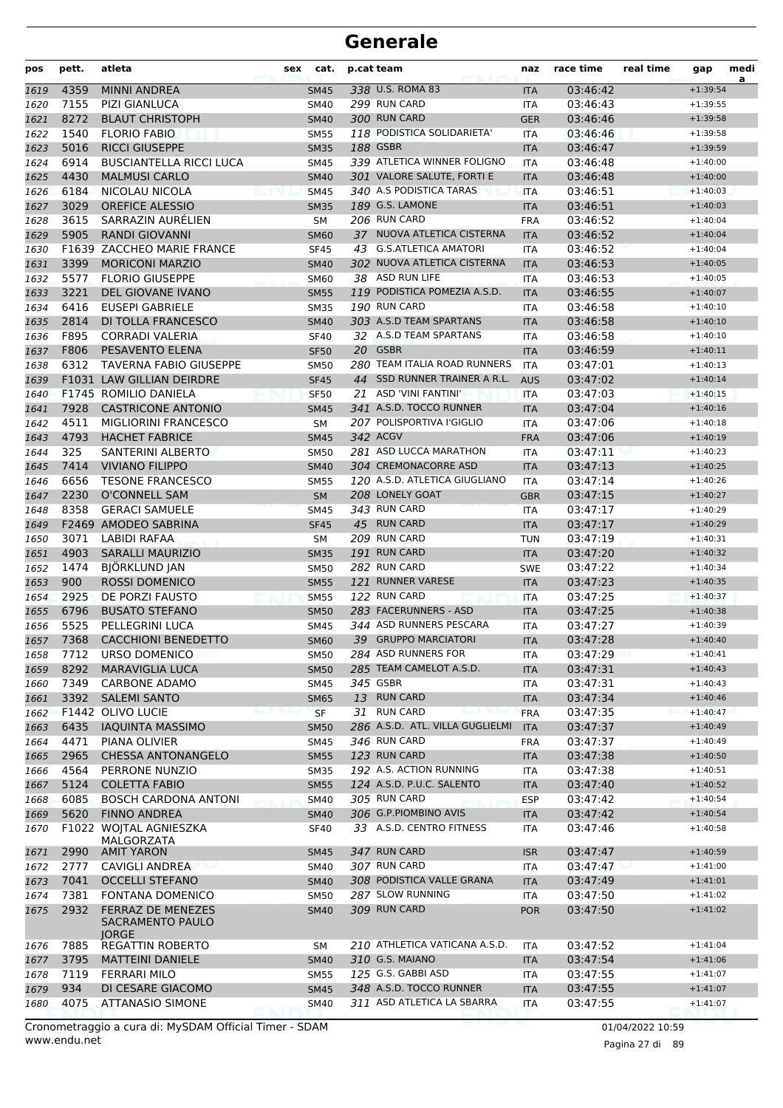| pos  | pett. | atleta                                                       | sex | cat.        |    | p.cat team                      | naz        | race time | real time | gap        | medi<br>a |
|------|-------|--------------------------------------------------------------|-----|-------------|----|---------------------------------|------------|-----------|-----------|------------|-----------|
| 1619 | 4359  | <b>MINNI ANDREA</b>                                          |     | <b>SM45</b> |    | 338 U.S. ROMA 83                | <b>ITA</b> | 03:46:42  |           | $+1:39:54$ |           |
| 1620 | 7155  | <b>PIZI GIANLUCA</b>                                         |     | <b>SM40</b> |    | 299 RUN CARD                    | ITA        | 03:46:43  |           | $+1:39:55$ |           |
| 1621 | 8272  | <b>BLAUT CHRISTOPH</b>                                       |     | <b>SM40</b> |    | 300 RUN CARD                    | <b>GER</b> | 03:46:46  |           | $+1:39:58$ |           |
| 1622 | 1540  | <b>FLORIO FABIO</b>                                          |     | <b>SM55</b> |    | 118 PODISTICA SOLIDARIETA'      | <b>ITA</b> | 03:46:46  |           | $+1:39:58$ |           |
| 1623 | 5016  | <b>RICCI GIUSEPPE</b>                                        |     | <b>SM35</b> |    | 188 GSBR                        | <b>ITA</b> | 03:46:47  |           | $+1:39:59$ |           |
| 1624 | 6914  | <b>BUSCIANTELLA RICCI LUCA</b>                               |     | <b>SM45</b> |    | 339 ATLETICA WINNER FOLIGNO     | <b>ITA</b> | 03:46:48  |           | $+1:40:00$ |           |
| 1625 | 4430  | <b>MALMUSI CARLO</b>                                         |     | <b>SM40</b> |    | 301 VALORE SALUTE, FORTI E      | <b>ITA</b> | 03:46:48  |           | $+1:40:00$ |           |
| 1626 | 6184  | NICOLAU NICOLA                                               |     | <b>SM45</b> |    | 340 A.S PODISTICA TARAS         | <b>ITA</b> | 03:46:51  |           | $+1:40:03$ |           |
| 1627 | 3029  | <b>OREFICE ALESSIO</b>                                       |     | <b>SM35</b> |    | 189 G.S. LAMONE                 | <b>ITA</b> | 03:46:51  |           | $+1:40:03$ |           |
| 1628 | 3615  | SARRAZIN AURÉLIEN                                            |     | SM          |    | 206 RUN CARD                    | <b>FRA</b> | 03:46:52  |           | $+1:40:04$ |           |
| 1629 | 5905  | <b>RANDI GIOVANNI</b>                                        |     | <b>SM60</b> |    | 37 NUOVA ATLETICA CISTERNA      | <b>ITA</b> | 03:46:52  |           | $+1:40:04$ |           |
| 1630 |       | F1639 ZACCHEO MARIE FRANCE                                   |     | <b>SF45</b> |    | 43 G.S.ATLETICA AMATORI         | <b>ITA</b> | 03:46:52  |           | $+1:40:04$ |           |
| 1631 | 3399  | <b>MORICONI MARZIO</b>                                       |     | <b>SM40</b> |    | 302 NUOVA ATLETICA CISTERNA     | <b>ITA</b> | 03:46:53  |           | $+1:40:05$ |           |
| 1632 | 5577  | <b>FLORIO GIUSEPPE</b>                                       |     | <b>SM60</b> |    | 38 ASD RUN LIFE                 | <b>ITA</b> | 03:46:53  |           | $+1:40:05$ |           |
| 1633 | 3221  | DEL GIOVANE IVANO                                            |     | <b>SM55</b> |    | 119 PODISTICA POMEZIA A.S.D.    | <b>ITA</b> | 03:46:55  |           | $+1:40:07$ |           |
| 1634 | 6416  | <b>EUSEPI GABRIELE</b>                                       |     | <b>SM35</b> |    | 190 RUN CARD                    | <b>ITA</b> | 03:46:58  |           | $+1:40:10$ |           |
| 1635 | 2814  | DI TOLLA FRANCESCO                                           |     | <b>SM40</b> |    | 303 A.S.D TEAM SPARTANS         | <b>ITA</b> | 03:46:58  |           | $+1:40:10$ |           |
| 1636 | F895  | <b>CORRADI VALERIA</b>                                       |     | <b>SF40</b> |    | 32 A.S.D TEAM SPARTANS          | <b>ITA</b> | 03:46:58  |           | $+1:40:10$ |           |
| 1637 | F806  | PESAVENTO ELENA                                              |     | <b>SF50</b> |    | 20 GSBR                         | <b>ITA</b> | 03:46:59  |           | $+1:40:11$ |           |
| 1638 | 6312  | <b>TAVERNA FABIO GIUSEPPE</b>                                |     | <b>SM50</b> |    | 280 TEAM ITALIA ROAD RUNNERS    | ITA        | 03:47:01  |           | $+1:40:13$ |           |
| 1639 |       | <b>F1031 LAW GILLIAN DEIRDRE</b>                             |     | <b>SF45</b> | 44 | SSD RUNNER TRAINER A R.L.       | <b>AUS</b> | 03:47:02  |           | $+1:40:14$ |           |
| 1640 |       | F1745 ROMILIO DANIELA                                        |     | <b>SF50</b> | 21 | ASD 'VINI FANTINI'              | <b>ITA</b> | 03:47:03  |           | $+1:40:15$ |           |
| 1641 | 7928  | <b>CASTRICONE ANTONIO</b>                                    |     | <b>SM45</b> |    | 341 A.S.D. TOCCO RUNNER         | <b>ITA</b> | 03:47:04  |           | $+1:40:16$ |           |
| 1642 | 4511  | <b>MIGLIORINI FRANCESCO</b>                                  |     | <b>SM</b>   |    | 207 POLISPORTIVA l'GIGLIO       | <b>ITA</b> | 03:47:06  |           | $+1:40:18$ |           |
| 1643 | 4793  | <b>HACHET FABRICE</b>                                        |     | <b>SM45</b> |    | 342 ACGV                        | <b>FRA</b> | 03:47:06  |           | $+1:40:19$ |           |
| 1644 | 325   | SANTERINI ALBERTO                                            |     | <b>SM50</b> |    | 281 ASD LUCCA MARATHON          | <b>ITA</b> | 03:47:11  |           | $+1:40:23$ |           |
| 1645 | 7414  | <b>VIVIANO FILIPPO</b>                                       |     | <b>SM40</b> |    | 304 CREMONACORRE ASD            | <b>ITA</b> | 03:47:13  |           | $+1:40:25$ |           |
| 1646 | 6656  | <b>TESONE FRANCESCO</b>                                      |     | <b>SM55</b> |    | 120 A.S.D. ATLETICA GIUGLIANO   | <b>ITA</b> | 03:47:14  |           | $+1:40:26$ |           |
| 1647 | 2230  | <b>O'CONNELL SAM</b>                                         |     | <b>SM</b>   |    | 208 LONELY GOAT                 | <b>GBR</b> | 03:47:15  |           | $+1:40:27$ |           |
| 1648 | 8358  | <b>GERACI SAMUELE</b>                                        |     | <b>SM45</b> |    | 343 RUN CARD                    | <b>ITA</b> | 03:47:17  |           | $+1:40:29$ |           |
| 1649 |       | F2469 AMODEO SABRINA                                         |     | <b>SF45</b> |    | 45 RUN CARD                     | <b>ITA</b> | 03:47:17  |           | $+1:40:29$ |           |
| 1650 | 3071  | <b>LABIDI RAFAA</b>                                          |     | SM          |    | 209 RUN CARD                    | <b>TUN</b> | 03:47:19  |           | $+1:40:31$ |           |
| 1651 | 4903  | <b>SARALLI MAURIZIO</b>                                      |     | <b>SM35</b> |    | 191 RUN CARD                    | <b>ITA</b> | 03:47:20  |           | $+1:40:32$ |           |
| 1652 | 1474  | BJÖRKLUND JAN                                                |     | <b>SM50</b> |    | 282 RUN CARD                    | <b>SWE</b> | 03:47:22  |           | $+1:40:34$ |           |
| 1653 | 900   | <b>ROSSI DOMENICO</b>                                        |     | <b>SM55</b> |    | 121 RUNNER VARESE               | <b>ITA</b> | 03:47:23  |           | $+1:40:35$ |           |
| 1654 | 2925  | <b>DE PORZI FAUSTO</b>                                       |     | <b>SM55</b> |    | 122 RUN CARD                    | <b>ITA</b> | 03:47:25  |           | $+1:40:37$ |           |
| 1655 | 6796  | <b>BUSATO STEFANO</b>                                        |     | <b>SM50</b> |    | 283 FACERUNNERS - ASD           | <b>ITA</b> | 03:47:25  |           | $+1:40:38$ |           |
| 1656 | 5525  | PELLEGRINI LUCA                                              |     | SM45        |    | 344 ASD RUNNERS PESCARA         | <b>ITA</b> | 03:47:27  |           | $+1:40:39$ |           |
| 1657 | 7368  | <b>CACCHIONI BENEDETTO</b>                                   |     | <b>SM60</b> |    | 39 GRUPPO MARCIATORI            | <b>ITA</b> | 03:47:28  |           | $+1:40:40$ |           |
| 1658 | 7712  | URSO DOMENICO                                                |     | <b>SM50</b> |    | 284 ASD RUNNERS FOR             | ITA        | 03:47:29  |           | $+1:40:41$ |           |
| 1659 | 8292  | <b>MARAVIGLIA LUCA</b>                                       |     | <b>SM50</b> |    | 285 TEAM CAMELOT A.S.D.         | <b>ITA</b> | 03:47:31  |           | $+1:40:43$ |           |
| 1660 | 7349  | <b>CARBONE ADAMO</b>                                         |     | <b>SM45</b> |    | 345 GSBR                        | <b>ITA</b> | 03:47:31  |           | $+1:40:43$ |           |
| 1661 | 3392  | <b>SALEMI SANTO</b>                                          |     | <b>SM65</b> |    | 13 RUN CARD                     | <b>ITA</b> | 03:47:34  |           | $+1:40:46$ |           |
| 1662 |       | F1442 OLIVO LUCIE                                            |     | SF          |    | 31 RUN CARD                     | <b>FRA</b> | 03:47:35  |           | $+1:40:47$ |           |
| 1663 | 6435  | <b>IAQUINTA MASSIMO</b>                                      |     | <b>SM50</b> |    | 286 A.S.D. ATL. VILLA GUGLIELMI | <b>ITA</b> | 03:47:37  |           | $+1:40:49$ |           |
| 1664 | 4471  | PIANA OLIVIER                                                |     | <b>SM45</b> |    | 346 RUN CARD                    | <b>FRA</b> | 03:47:37  |           | $+1:40:49$ |           |
| 1665 | 2965  | <b>CHESSA ANTONANGELO</b>                                    |     | <b>SM55</b> |    | 123 RUN CARD                    | <b>ITA</b> | 03:47:38  |           | $+1:40:50$ |           |
| 1666 | 4564  | PERRONE NUNZIO                                               |     | <b>SM35</b> |    | 192 A.S. ACTION RUNNING         | <b>ITA</b> | 03:47:38  |           | $+1:40:51$ |           |
| 1667 | 5124  | <b>COLETTA FABIO</b>                                         |     | <b>SM55</b> |    | 124 A.S.D. P.U.C. SALENTO       | <b>ITA</b> | 03:47:40  |           | $+1:40:52$ |           |
| 1668 | 6085  | <b>BOSCH CARDONA ANTONI</b>                                  |     | <b>SM40</b> |    | 305 RUN CARD                    | <b>ESP</b> | 03:47:42  |           | $+1:40:54$ |           |
| 1669 | 5620  | <b>FINNO ANDREA</b>                                          |     | <b>SM40</b> |    | 306 G.P.PIOMBINO AVIS           | <b>ITA</b> | 03:47:42  |           | $+1:40:54$ |           |
| 1670 |       | F1022 WOJTAL AGNIESZKA                                       |     | <b>SF40</b> |    | 33 A.S.D. CENTRO FITNESS        | ITA        | 03:47:46  |           | $+1:40:58$ |           |
| 1671 | 2990  | MALGORZATA<br><b>AMIT YARON</b>                              |     | <b>SM45</b> |    | 347 RUN CARD                    | <b>ISR</b> | 03:47:47  |           | $+1:40:59$ |           |
| 1672 | 2777  | CAVIGLI ANDREA                                               |     | SM40        |    | 307 RUN CARD                    | ITA        | 03:47:47  |           | $+1:41:00$ |           |
| 1673 | 7041  | <b>OCCELLI STEFANO</b>                                       |     | <b>SM40</b> |    | 308 PODISTICA VALLE GRANA       | <b>ITA</b> | 03:47:49  |           | $+1:41:01$ |           |
| 1674 | 7381  | <b>FONTANA DOMENICO</b>                                      |     | <b>SM50</b> |    | 287 SLOW RUNNING                | ITA        | 03:47:50  |           | $+1:41:02$ |           |
| 1675 | 2932  | <b>FERRAZ DE MENEZES</b><br>SACRAMENTO PAULO<br><b>JORGE</b> |     | <b>SM40</b> |    | 309 RUN CARD                    | <b>POR</b> | 03:47:50  |           | $+1:41:02$ |           |
| 1676 | 7885  | REGATTIN ROBERTO                                             |     | SM          |    | 210 ATHLETICA VATICANA A.S.D.   | ITA        | 03:47:52  |           | $+1:41:04$ |           |
| 1677 | 3795  | <b>MATTEINI DANIELE</b>                                      |     | <b>SM40</b> |    | 310 G.S. MAIANO                 | <b>ITA</b> | 03:47:54  |           | $+1:41:06$ |           |
| 1678 | 7119  | <b>FERRARI MILO</b>                                          |     | <b>SM55</b> |    | 125 G.S. GABBI ASD              | ITA        | 03:47:55  |           | $+1:41:07$ |           |
| 1679 | 934   | DI CESARE GIACOMO                                            |     | <b>SM45</b> |    | 348 A.S.D. TOCCO RUNNER         | <b>ITA</b> | 03:47:55  |           | $+1:41:07$ |           |
| 1680 | 4075  | <b>ATTANASIO SIMONE</b>                                      |     | <b>SM40</b> |    | 311 ASD ATLETICA LA SBARRA      | ITA        | 03:47:55  |           | $+1:41:07$ |           |

www.endu.net Cronometraggio a cura di: MySDAM Official Timer - SDAM 01/04/2022 10:59

Pagina 27 di 89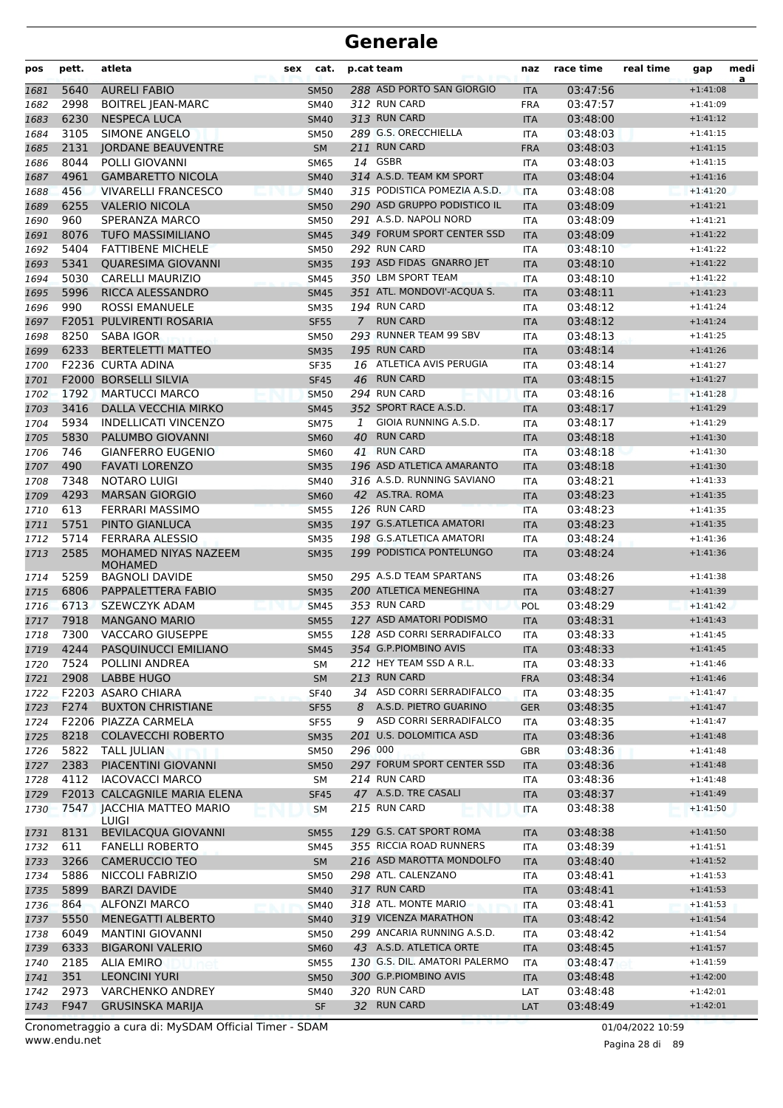| pos          | pett.        | atleta                                              | sex | cat.                       | p.cat team |                                         | naz                      | race time            | real time | gap                      | medi<br>a |
|--------------|--------------|-----------------------------------------------------|-----|----------------------------|------------|-----------------------------------------|--------------------------|----------------------|-----------|--------------------------|-----------|
| 1681         | 5640         | <b>AURELI FABIO</b>                                 |     | <b>SM50</b>                |            | 288 ASD PORTO SAN GIORGIO               | <b>ITA</b>               | 03:47:56             |           | $+1:41:08$               |           |
| 1682         | 2998         | <b>BOITREL JEAN-MARC</b>                            |     | <b>SM40</b>                |            | 312 RUN CARD                            | <b>FRA</b>               | 03:47:57             |           | $+1:41:09$               |           |
| 1683         | 6230         | <b>NESPECA LUCA</b>                                 |     | <b>SM40</b>                |            | 313 RUN CARD                            | <b>ITA</b>               | 03:48:00             |           | $+1:41:12$               |           |
| 1684         | 3105         | <b>SIMONE ANGELO</b>                                |     | <b>SM50</b>                |            | 289 G.S. ORECCHIELLA                    | <b>ITA</b>               | 03:48:03             |           | $+1:41:15$               |           |
| 1685         | 2131         | <b>JORDANE BEAUVENTRE</b>                           |     | <b>SM</b>                  |            | 211 RUN CARD                            | <b>FRA</b>               | 03:48:03             |           | $+1:41:15$               |           |
| 1686         | 8044         | POLLI GIOVANNI                                      |     | <b>SM65</b>                |            | 14 GSBR                                 | <b>ITA</b>               | 03:48:03             |           | $+1:41:15$               |           |
| 1687         | 4961         | <b>GAMBARETTO NICOLA</b>                            |     | <b>SM40</b>                |            | 314 A.S.D. TEAM KM SPORT                | <b>ITA</b>               | 03:48:04             |           | $+1:41:16$               |           |
| 1688         | 456          | <b>VIVARELLI FRANCESCO</b>                          |     | <b>SM40</b>                |            | 315 PODISTICA POMEZIA A.S.D.            | <b>ITA</b>               | 03:48:08             |           | $+1:41:20$               |           |
| 1689         | 6255         | <b>VALERIO NICOLA</b>                               |     | <b>SM50</b>                |            | 290 ASD GRUPPO PODISTICO IL             | <b>ITA</b>               | 03:48:09             |           | $+1:41:21$               |           |
| 1690         | 960          | SPERANZA MARCO                                      |     | <b>SM50</b>                |            | 291 A.S.D. NAPOLI NORD                  | <b>ITA</b>               | 03:48:09             |           | $+1:41:21$               |           |
| 1691         | 8076         | <b>TUFO MASSIMILIANO</b>                            |     | <b>SM45</b>                |            | 349 FORUM SPORT CENTER SSD              | <b>ITA</b>               | 03:48:09             |           | $+1:41:22$               |           |
| 1692         | 5404         | <b>FATTIBENE MICHELE</b>                            |     | <b>SM50</b>                |            | 292 RUN CARD                            | <b>ITA</b>               | 03:48:10             |           | $+1:41:22$               |           |
| 1693         | 5341         | <b>QUARESIMA GIOVANNI</b>                           |     | <b>SM35</b>                |            | 193 ASD FIDAS GNARRO JET                | <b>ITA</b>               | 03:48:10             |           | $+1:41:22$               |           |
| 1694         | 5030         | <b>CARELLI MAURIZIO</b>                             |     | <b>SM45</b>                |            | 350 LBM SPORT TEAM                      | <b>ITA</b>               | 03:48:10             |           | $+1:41:22$               |           |
| 1695         | 5996         | RICCA ALESSANDRO                                    |     | <b>SM45</b>                |            | 351 ATL. MONDOVI'-ACQUA S.              | <b>ITA</b>               | 03:48:11             |           | $+1:41:23$               |           |
| 1696         | 990          | ROSSI EMANUELE                                      |     | <b>SM35</b>                |            | 194 RUN CARD                            | <b>ITA</b>               | 03:48:12             |           | $+1:41:24$               |           |
| 1697         |              | F2051 PULVIRENTI ROSARIA                            |     | <b>SF55</b>                | 7          | <b>RUN CARD</b>                         | <b>ITA</b>               | 03:48:12             |           | $+1:41:24$               |           |
| 1698         | 8250         | SABA IGOR                                           |     | <b>SM50</b>                |            | 293 RUNNER TEAM 99 SBV                  | <b>ITA</b>               | 03:48:13             |           | $+1:41:25$               |           |
| 1699         | 6233         | <b>BERTELETTI MATTEO</b>                            |     | <b>SM35</b>                |            | 195 RUN CARD                            | <b>ITA</b>               | 03:48:14             |           | $+1:41:26$               |           |
| 1700         |              | F2236 CURTA ADINA                                   |     | <b>SF35</b>                |            | 16 ATLETICA AVIS PERUGIA                | <b>ITA</b>               | 03:48:14             |           | $+1:41:27$               |           |
| 1701         |              | <b>F2000 BORSELLI SILVIA</b>                        |     | <b>SF45</b>                | 46         | <b>RUN CARD</b>                         | <b>ITA</b>               | 03:48:15             |           | $+1:41:27$               |           |
| 1702         | 1792         | <b>MARTUCCI MARCO</b>                               |     | <b>SM50</b>                |            | 294 RUN CARD                            | <b>ITA</b>               | 03:48:16             |           | $+1:41:28$               |           |
| 1703         | 3416         | DALLA VECCHIA MIRKO                                 |     | <b>SM45</b>                |            | 352 SPORT RACE A.S.D.                   | <b>ITA</b>               | 03:48:17             |           | $+1:41:29$               |           |
| 1704         | 5934         | <b>INDELLICATI VINCENZO</b>                         |     | <b>SM75</b>                | 1          | GIOIA RUNNING A.S.D.                    | <b>ITA</b>               | 03:48:17             |           | $+1:41:29$               |           |
| 1705         | 5830         | PALUMBO GIOVANNI                                    |     | <b>SM60</b>                | 40         | <b>RUN CARD</b>                         | <b>ITA</b>               | 03:48:18             |           | $+1:41:30$               |           |
| 1706         | 746          | <b>GIANFERRO EUGENIO</b>                            |     | <b>SM60</b>                |            | 41 RUN CARD                             | ITA                      | 03:48:18             |           | $+1:41:30$               |           |
| 1707         | 490          | <b>FAVATI LORENZO</b>                               |     | <b>SM35</b>                |            | 196 ASD ATLETICA AMARANTO               | <b>ITA</b>               | 03:48:18             |           | $+1:41:30$               |           |
| 1708         | 7348         | NOTARO LUIGI                                        |     | <b>SM40</b>                |            | 316 A.S.D. RUNNING SAVIANO              | <b>ITA</b>               | 03:48:21             |           | $+1:41:33$               |           |
| 1709         | 4293         | <b>MARSAN GIORGIO</b>                               |     | <b>SM60</b>                |            | 42 AS.TRA. ROMA                         | <b>ITA</b>               | 03:48:23             |           | $+1:41:35$               |           |
| 1710         | 613          | FERRARI MASSIMO                                     |     | <b>SM55</b>                |            | 126 RUN CARD                            | <b>ITA</b>               | 03:48:23             |           | $+1:41:35$               |           |
| 1711         | 5751         | PINTO GIANLUCA                                      |     | <b>SM35</b>                |            | 197 G.S.ATLETICA AMATORI                | <b>ITA</b>               | 03:48:23             |           | $+1:41:35$               |           |
| 1712         | 5714         | <b>FERRARA ALESSIO</b>                              |     | <b>SM35</b>                |            | 198 G.S.ATLETICA AMATORI                | <b>ITA</b>               | 03:48:24             |           | $+1:41:36$               |           |
| 1713         | 2585         | MOHAMED NIYAS NAZEEM<br><b>MOHAMED</b>              |     | <b>SM35</b>                |            | 199 PODISTICA PONTELUNGO                | <b>ITA</b>               | 03:48:24             |           | $+1:41:36$               |           |
| 1714         | 5259         | <b>BAGNOLI DAVIDE</b>                               |     | <b>SM50</b>                |            | 295 A.S.D TEAM SPARTANS                 | <b>ITA</b>               | 03:48:26             |           | $+1:41:38$               |           |
| 1715         | 6806         | PAPPALETTERA FABIO                                  |     | <b>SM35</b>                |            | 200 ATLETICA MENEGHINA                  | <b>ITA</b>               | 03:48:27             |           | $+1:41:39$               |           |
| 1716         | 6713         | SZEWCZYK ADAM                                       |     | <b>SM45</b>                |            | 353 RUN CARD<br>127 ASD AMATORI PODISMO | <b>POL</b>               | 03:48:29             |           | $+1:41:42$               |           |
| 1717         | 7918         | <b>MANGANO MARIO</b>                                |     | <b>SM55</b>                |            | 128 ASD CORRI SERRADIFALCO              | <b>ITA</b>               | 03:48:31             |           | $+1:41:43$               |           |
| 1718         | 7300         | <b>VACCARO GIUSEPPE</b>                             |     | <b>SM55</b>                |            | 354 G.P.PIOMBINO AVIS                   | <b>ITA</b>               | 03:48:33             |           | $+1:41:45$<br>$+1:41:45$ |           |
| 1719         | 4244         | PASQUINUCCI EMILIANO                                |     | SM45                       |            | 212 HEY TEAM SSD A R.L.                 | <b>ITA</b>               | 03:48:33             |           |                          |           |
| 1720         | 7524<br>2908 | POLLINI ANDREA<br><b>LABBE HUGO</b>                 |     | SM                         |            | 213 RUN CARD                            | ITA                      | 03:48:33             |           | $+1:41:46$               |           |
| 1721         |              |                                                     |     | <b>SM</b>                  |            | 34 ASD CORRI SERRADIFALCO               | <b>FRA</b>               | 03:48:34             |           | $+1:41:46$               |           |
| 1722         | F274         | F2203 ASARO CHIARA                                  |     | <b>SF40</b>                |            | A.S.D. PIETRO GUARINO                   | ITA                      | 03:48:35<br>03:48:35 |           | $+1:41:47$<br>$+1:41:47$ |           |
| 1723         |              | <b>BUXTON CHRISTIANE</b>                            |     | <b>SF55</b>                | 8          | 9 ASD CORRI SERRADIFALCO                | <b>GER</b>               |                      |           |                          |           |
| 1724         | 8218         | F2206 PIAZZA CARMELA<br><b>COLAVECCHI ROBERTO</b>   |     | <b>SF55</b><br><b>SM35</b> |            | 201 U.S. DOLOMITICA ASD                 | <b>ITA</b>               | 03:48:35             |           | $+1:41:47$               |           |
| 1725         | 5822         |                                                     |     |                            | 296 000    |                                         | <b>ITA</b>               | 03:48:36<br>03:48:36 |           | $+1:41:48$<br>$+1:41:48$ |           |
| 1726         | 2383         | <b>TALL JULIAN</b><br>PIACENTINI GIOVANNI           |     | SM50<br><b>SM50</b>        |            | 297 FORUM SPORT CENTER SSD              | <b>GBR</b><br><b>ITA</b> | 03:48:36             |           | $+1:41:48$               |           |
| 1727<br>1728 | 4112         | <b>IACOVACCI MARCO</b>                              |     |                            |            | 214 RUN CARD                            |                          | 03:48:36             |           | $+1:41:48$               |           |
|              |              | F2013 CALCAGNILE MARIA ELENA                        |     | SM<br><b>SF45</b>          |            | 47 A.S.D. TRE CASALI                    | ITA                      | 03:48:37             |           | $+1:41:49$               |           |
| 1729<br>1730 |              | 7547   JACCHIA MATTEO MARIO                         |     |                            |            | 215 RUN CARD                            | <b>ITA</b>               | 03:48:38             |           | $+1:41:50$               |           |
|              | 8131         | LUIGI<br><b>BEVILACQUA GIOVANNI</b>                 |     | <b>SM</b>                  |            | 129 G.S. CAT SPORT ROMA                 | <b>ITA</b>               | 03:48:38             |           | $+1:41:50$               |           |
| 1731         | 611          | <b>FANELLI ROBERTO</b>                              |     | <b>SM55</b>                |            | 355 RICCIA ROAD RUNNERS                 | <b>ITA</b>               |                      |           | $+1:41:51$               |           |
| 1732         |              |                                                     |     | <b>SM45</b>                |            | 216 ASD MAROTTA MONDOLFO                | ITA                      | 03:48:39             |           |                          |           |
| 1733         | 3266         | <b>CAMERUCCIO TEO</b>                               |     | SM                         |            | 298 ATL. CALENZANO                      | <b>ITA</b>               | 03:48:40             |           | $+1:41:52$               |           |
| 1734         | 5886<br>5899 | NICCOLI FABRIZIO<br><b>BARZI DAVIDE</b>             |     | <b>SM50</b>                |            | 317 RUN CARD                            | <b>ITA</b>               | 03:48:41             |           | $+1:41:53$<br>$+1:41:53$ |           |
| 1735         |              |                                                     |     | <b>SM40</b>                |            | 318 ATL. MONTE MARIO                    | <b>ITA</b>               | 03:48:41             |           |                          |           |
| 1736         | 864          | <b>ALFONZI MARCO</b>                                |     | <b>SM40</b>                |            | 319 VICENZA MARATHON                    | ITA                      | 03:48:41             |           | $+1:41:53$               |           |
| 1737         | 5550<br>6049 | <b>MENEGATTI ALBERTO</b><br><b>MANTINI GIOVANNI</b> |     | <b>SM40</b>                |            | 299 ANCARIA RUNNING A.S.D.              | <b>ITA</b>               | 03:48:42<br>03:48:42 |           | $+1:41:54$<br>$+1:41:54$ |           |
| 1738<br>1739 | 6333         | <b>BIGARONI VALERIO</b>                             |     | <b>SM50</b>                |            | 43 A.S.D. ATLETICA ORTE                 | ITA                      | 03:48:45             |           | $+1:41:57$               |           |
|              | 2185         | <b>ALIA EMIRO</b>                                   |     | <b>SM60</b><br><b>SM55</b> |            | 130 G.S. DIL. AMATORI PALERMO           | <b>ITA</b><br><b>ITA</b> | 03:48:47             |           | $+1:41:59$               |           |
| 1740<br>1741 | 351          | <b>LEONCINI YURI</b>                                |     | <b>SM50</b>                |            | 300 G.P.PIOMBINO AVIS                   |                          | 03:48:48             |           | $+1:42:00$               |           |
| 1742         | 2973         | <b>VARCHENKO ANDREY</b>                             |     | SM40                       |            | 320 RUN CARD                            | <b>ITA</b><br>LAT        | 03:48:48             |           | $+1:42:01$               |           |
| 1743         | F947         | <b>GRUSINSKA MARIJA</b>                             |     | <b>SF</b>                  |            | 32 RUN CARD                             | LAT                      | 03:48:49             |           | $+1:42:01$               |           |
|              |              |                                                     |     |                            |            |                                         |                          |                      |           |                          |           |

www.endu.net Cronometraggio a cura di: MySDAM Official Timer - SDAM 01/04/2022 10:59

Pagina 28 di 89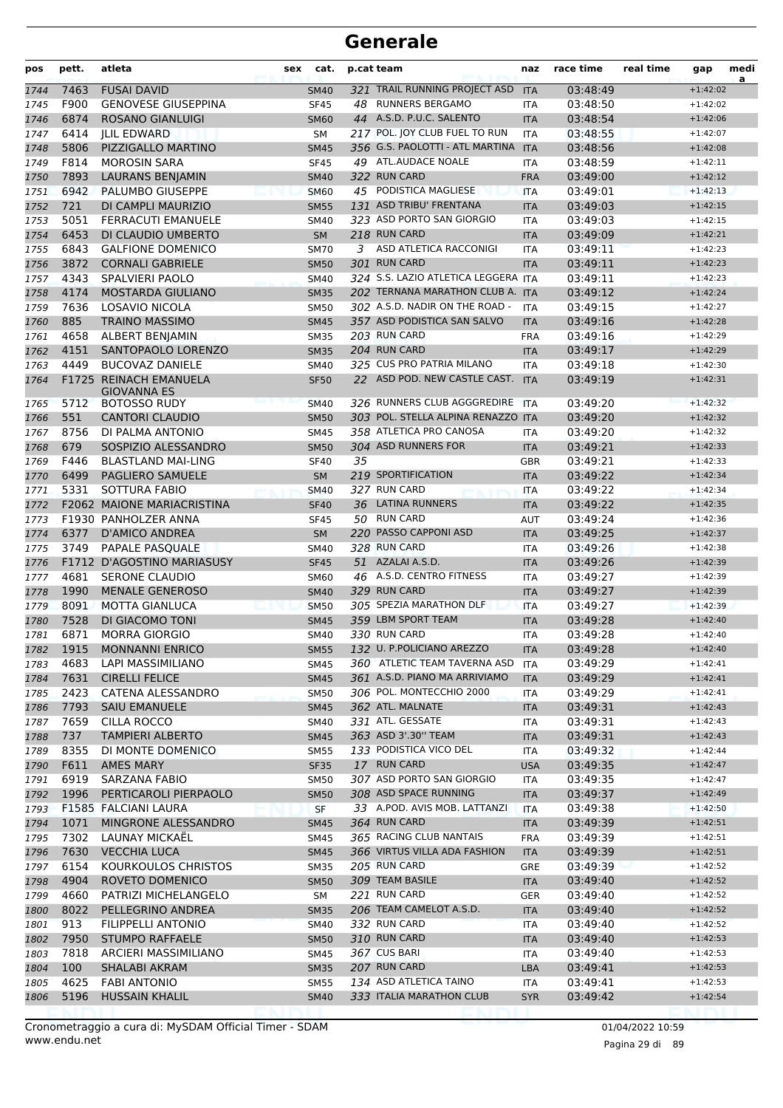| pos          | pett.        | atleta                                      | sex | cat.                       |    | p.cat team                                   | naz               | race time            | real time | gap                      | medi<br>a |
|--------------|--------------|---------------------------------------------|-----|----------------------------|----|----------------------------------------------|-------------------|----------------------|-----------|--------------------------|-----------|
| 1744         | 7463         | <b>FUSAI DAVID</b>                          |     | <b>SM40</b>                |    | 321 TRAIL RUNNING PROJECT ASD                | <b>ITA</b>        | 03:48:49             |           | $+1:42:02$               |           |
| 1745         | F900         | <b>GENOVESE GIUSEPPINA</b>                  |     | <b>SF45</b>                |    | 48 RUNNERS BERGAMO                           | <b>ITA</b>        | 03:48:50             |           | $+1:42:02$               |           |
| 1746         | 6874         | <b>ROSANO GIANLUIGI</b>                     |     | <b>SM60</b>                |    | 44 A.S.D. P.U.C. SALENTO                     | <b>ITA</b>        | 03:48:54             |           | $+1:42:06$               |           |
| 1747         | 6414         | <b>ILIL EDWARD</b>                          |     | <b>SM</b>                  |    | 217 POL. JOY CLUB FUEL TO RUN                | <b>ITA</b>        | 03:48:55             |           | $+1:42:07$               |           |
| 1748         | 5806         | PIZZIGALLO MARTINO                          |     | <b>SM45</b>                |    | 356 G.S. PAOLOTTI - ATL MARTINA              | <b>ITA</b>        | 03:48:56             |           | $+1:42:08$               |           |
| 1749         | F814         | <b>MOROSIN SARA</b>                         |     | <b>SF45</b>                |    | 49 ATL.AUDACE NOALE                          | <b>ITA</b>        | 03:48:59             |           | $+1:42:11$               |           |
| 1750         | 7893         | <b>LAURANS BENJAMIN</b>                     |     | <b>SM40</b>                |    | 322 RUN CARD                                 | <b>FRA</b>        | 03:49:00             |           | $+1:42:12$               |           |
| 1751         | 6942         | PALUMBO GIUSEPPE                            |     | <b>SM60</b>                |    | 45 PODISTICA MAGLIESE                        | <b>ITA</b>        | 03:49:01             |           | $+1:42:13$               |           |
| 1752         | 721          | DI CAMPLI MAURIZIO                          |     | <b>SM55</b>                |    | 131 ASD TRIBU' FRENTANA                      | <b>ITA</b>        | 03:49:03             |           | $+1:42:15$               |           |
| 1753         | 5051         | <b>FERRACUTI EMANUELE</b>                   |     | <b>SM40</b>                |    | 323 ASD PORTO SAN GIORGIO                    | <b>ITA</b>        | 03:49:03             |           | $+1:42:15$               |           |
| 1754         | 6453         | DI CLAUDIO UMBERTO                          |     | <b>SM</b>                  |    | 218 RUN CARD                                 | <b>ITA</b>        | 03:49:09             |           | $+1:42:21$               |           |
| 1755         | 6843         | <b>GALFIONE DOMENICO</b>                    |     | <b>SM70</b>                | 3  | ASD ATLETICA RACCONIGI<br>301 RUN CARD       | <b>ITA</b>        | 03:49:11             |           | $+1:42:23$               |           |
| 1756         | 3872<br>4343 | <b>CORNALI GABRIELE</b>                     |     | <b>SM50</b>                |    | 324 S.S. LAZIO ATLETICA LEGGERA ITA          | <b>ITA</b>        | 03:49:11             |           | $+1:42:23$               |           |
| 1757         | 4174         | SPALVIERI PAOLO<br><b>MOSTARDA GIULIANO</b> |     | <b>SM40</b>                |    | 202 TERNANA MARATHON CLUB A. ITA             |                   | 03:49:11<br>03:49:12 |           | $+1:42:23$<br>$+1:42:24$ |           |
| 1758         | 7636         | LOSAVIO NICOLA                              |     | <b>SM35</b>                |    | 302 A.S.D. NADIR ON THE ROAD -               | <b>ITA</b>        | 03:49:15             |           | $+1:42:27$               |           |
| 1759<br>1760 | 885          | <b>TRAINO MASSIMO</b>                       |     | <b>SM50</b><br><b>SM45</b> |    | 357 ASD PODISTICA SAN SALVO                  | <b>ITA</b>        | 03:49:16             |           | $+1:42:28$               |           |
| 1761         | 4658         | ALBERT BENJAMIN                             |     | <b>SM35</b>                |    | 203 RUN CARD                                 | <b>FRA</b>        | 03:49:16             |           | $+1:42:29$               |           |
| 1762         | 4151         | SANTOPAOLO LORENZO                          |     | <b>SM35</b>                |    | 204 RUN CARD                                 | <b>ITA</b>        | 03:49:17             |           | $+1:42:29$               |           |
| 1763         | 4449         | <b>BUCOVAZ DANIELE</b>                      |     | SM40                       |    | 325 CUS PRO PATRIA MILANO                    | <b>ITA</b>        | 03:49:18             |           | $+1:42:30$               |           |
| 1764         |              | F1725 REINACH EMANUELA                      |     | <b>SF50</b>                |    | 22 ASD POD. NEW CASTLE CAST.                 | <b>ITA</b>        | 03:49:19             |           | $+1:42:31$               |           |
|              |              | GIOVANNA ES                                 |     |                            |    |                                              |                   |                      |           |                          |           |
| 1765         | 5712         | <b>BOTOSSO RUDY</b>                         |     | <b>SM40</b>                |    | 326 RUNNERS CLUB AGGGREDIRE                  | <b>ITA</b>        | 03:49:20             |           | $+1:42:32$               |           |
| 1766         | 551          | <b>CANTORI CLAUDIO</b>                      |     | <b>SM50</b>                |    | 303 POL. STELLA ALPINA RENAZZO               | <b>ITA</b>        | 03:49:20             |           | $+1:42:32$               |           |
| 1767         | 8756         | DI PALMA ANTONIO                            |     | <b>SM45</b>                |    | 358 ATLETICA PRO CANOSA                      | <b>ITA</b>        | 03:49:20             |           | $+1:42:32$               |           |
| 1768         | 679          | SOSPIZIO ALESSANDRO                         |     | <b>SM50</b>                |    | 304 ASD RUNNERS FOR                          | <b>ITA</b>        | 03:49:21             |           | $+1:42:33$               |           |
| 1769         | F446         | <b>BLASTLAND MAI-LING</b>                   |     | <b>SF40</b>                | 35 |                                              | <b>GBR</b>        | 03:49:21             |           | $+1:42:33$               |           |
| 1770         | 6499         | PAGLIERO SAMUELE                            |     | <b>SM</b>                  |    | 219 SPORTIFICATION                           | <b>ITA</b>        | 03:49:22             |           | $+1:42:34$               |           |
| 1771         | 5331         | SOTTURA FABIO                               |     | <b>SM40</b>                |    | 327 RUN CARD                                 | <b>ITA</b>        | 03:49:22             |           | $+1:42:34$               |           |
| 1772         |              | F2062 MAIONE MARIACRISTINA                  |     | <b>SF40</b>                |    | 36 LATINA RUNNERS                            | <b>ITA</b>        | 03:49:22             |           | $+1:42:35$               |           |
| 1773         |              | F1930 PANHOLZER ANNA                        |     | <b>SF45</b>                |    | 50 RUN CARD                                  | <b>AUT</b>        | 03:49:24             |           | $+1:42:36$               |           |
| 1774         | 6377         | <b>D'AMICO ANDREA</b>                       |     | <b>SM</b>                  |    | 220 PASSO CAPPONI ASD                        | <b>ITA</b>        | 03:49:25             |           | $+1:42:37$               |           |
| 1775         | 3749         | PAPALE PASQUALE                             |     | <b>SM40</b>                |    | 328 RUN CARD                                 | <b>ITA</b>        | 03:49:26             |           | $+1:42:38$               |           |
| 1776         |              | F1712 D'AGOSTINO MARIASUSY                  |     | <b>SF45</b>                |    | 51 AZALAI A.S.D.                             | <b>ITA</b>        | 03:49:26             |           | $+1:42:39$               |           |
| 1777         | 4681         | <b>SERONE CLAUDIO</b>                       |     | SM60                       |    | 46 A.S.D. CENTRO FITNESS                     | <b>ITA</b>        | 03:49:27             |           | $+1:42:39$               |           |
| 1778         | 1990         | <b>MENALE GENEROSO</b>                      |     | <b>SM40</b>                |    | 329 RUN CARD                                 | <b>ITA</b>        | 03:49:27             |           | $+1:42:39$               |           |
| 1779         | 8091         | <b>MOTTA GIANLUCA</b>                       |     | <b>SM50</b>                |    | 305 SPEZIA MARATHON DLF                      | <b>ITA</b>        | 03:49:27             |           | $+1:42:39$               |           |
| 1780         | 7528         | DI GIACOMO TONI                             |     | <b>SM45</b>                |    | 359 LBM SPORT TEAM                           | <b>ITA</b>        | 03:49:28             |           | $+1:42:40$               |           |
| 1781         | 6871         | <b>MORRA GIORGIO</b>                        |     | <b>SM40</b>                |    | 330 RUN CARD                                 | <b>ITA</b>        | 03:49:28             |           | $+1:42:40$               |           |
| 1782         |              | 1915 MONNANNI ENRICO                        |     | <b>SM55</b>                |    | 132 U. P.POLICIANO AREZZO                    | <b>ITA</b>        | 03:49:28             |           | $+1:42:40$               |           |
| 1783         | 4683         | LAPI MASSIMILIANO                           |     | SM45                       |    | 360 ATLETIC TEAM TAVERNA ASD                 | ITA               | 03:49:29             |           | $+1:42:41$               |           |
| 1784         | 7631         | <b>CIRELLI FELICE</b>                       |     | <b>SM45</b>                |    | 361 A.S.D. PIANO MA ARRIVIAMO                | <b>ITA</b>        | 03:49:29             |           | $+1:42:41$               |           |
| 1785         | 2423         | CATENA ALESSANDRO                           |     | <b>SM50</b>                |    | 306 POL. MONTECCHIO 2000<br>362 ATL. MALNATE | <b>ITA</b>        | 03:49:29             |           | $+1:42:41$<br>$+1:42:43$ |           |
| 1786         | 7793<br>7659 | <b>SAIU EMANUELE</b><br><b>CILLA ROCCO</b>  |     | <b>SM45</b>                |    | 331 ATL. GESSATE                             | <b>ITA</b>        | 03:49:31             |           | $+1:42:43$               |           |
| 1787<br>1788 | 737          | <b>TAMPIERI ALBERTO</b>                     |     | SM40<br><b>SM45</b>        |    | 363 ASD 3'.30" TEAM                          | ITA<br><b>ITA</b> | 03:49:31<br>03:49:31 |           | $+1:42:43$               |           |
| 1789         | 8355         | DI MONTE DOMENICO                           |     | <b>SM55</b>                |    | 133 PODISTICA VICO DEL                       | ITA               | 03:49:32             |           | $+1:42:44$               |           |
| 1790         | F611         | <b>AMES MARY</b>                            |     | <b>SF35</b>                |    | 17 RUN CARD                                  | <b>USA</b>        | 03:49:35             |           | $+1:42:47$               |           |
| 1791         | 6919         | SARZANA FABIO                               |     | <b>SM50</b>                |    | 307 ASD PORTO SAN GIORGIO                    | ITA               | 03:49:35             |           | $+1:42:47$               |           |
| 1792         | 1996         | PERTICAROLI PIERPAOLO                       |     | <b>SM50</b>                |    | 308 ASD SPACE RUNNING                        | <b>ITA</b>        | 03:49:37             |           | $+1:42:49$               |           |
| 1793         |              | F1585 FALCIANI LAURA                        |     | <b>SF</b>                  |    | 33 A.POD. AVIS MOB. LATTANZI                 | <b>ITA</b>        | 03:49:38             |           | $+1:42:50$               |           |
| 1794         | 1071         | MINGRONE ALESSANDRO                         |     | <b>SM45</b>                |    | 364 RUN CARD                                 | <b>ITA</b>        | 03:49:39             |           | $+1:42:51$               |           |
| 1795         | 7302         | LAUNAY MICKAEL                              |     | SM45                       |    | 365 RACING CLUB NANTAIS                      | <b>FRA</b>        | 03:49:39             |           | $+1:42:51$               |           |
| 1796         | 7630         | <b>VECCHIA LUCA</b>                         |     | <b>SM45</b>                |    | 366 VIRTUS VILLA ADA FASHION                 | <b>ITA</b>        | 03:49:39             |           | $+1:42:51$               |           |
| 1797         | 6154         | KOURKOULOS CHRISTOS                         |     | <b>SM35</b>                |    | 205 RUN CARD                                 | <b>GRE</b>        | 03:49:39             |           | $+1:42:52$               |           |
| 1798         | 4904         | ROVETO DOMENICO                             |     | <b>SM50</b>                |    | 309 TEAM BASILE                              | <b>ITA</b>        | 03:49:40             |           | $+1:42:52$               |           |
| 1799         | 4660         | PATRIZI MICHELANGELO                        |     | SM                         |    | 221 RUN CARD                                 | GER               | 03:49:40             |           | $+1:42:52$               |           |
| 1800         | 8022         | PELLEGRINO ANDREA                           |     | <b>SM35</b>                |    | 206 TEAM CAMELOT A.S.D.                      | <b>ITA</b>        | 03:49:40             |           | $+1:42:52$               |           |
| 1801         | 913          | <b>FILIPPELLI ANTONIO</b>                   |     | <b>SM40</b>                |    | 332 RUN CARD                                 | ITA               | 03:49:40             |           | $+1:42:52$               |           |
| 1802         | 7950         | <b>STUMPO RAFFAELE</b>                      |     | <b>SM50</b>                |    | 310 RUN CARD                                 | <b>ITA</b>        | 03:49:40             |           | $+1:42:53$               |           |
| 1803         | 7818         | ARCIERI MASSIMILIANO                        |     | <b>SM45</b>                |    | 367 CUS BARI                                 | ITA               | 03:49:40             |           | $+1:42:53$               |           |
| 1804         | 100          | SHALABI AKRAM                               |     | <b>SM35</b>                |    | 207 RUN CARD                                 | LBA               | 03:49:41             |           | $+1:42:53$               |           |
| 1805         | 4625         | <b>FABI ANTONIO</b>                         |     | <b>SM55</b>                |    | 134 ASD ATLETICA TAINO                       | ITA               | 03:49:41             |           | $+1:42:53$               |           |
| 1806         | 5196         | <b>HUSSAIN KHALIL</b>                       |     | <b>SM40</b>                |    | 333 ITALIA MARATHON CLUB                     | <b>SYR</b>        | 03:49:42             |           | $+1:42:54$               |           |
|              |              |                                             |     |                            |    |                                              |                   |                      |           |                          |           |

Pagina 29 di 89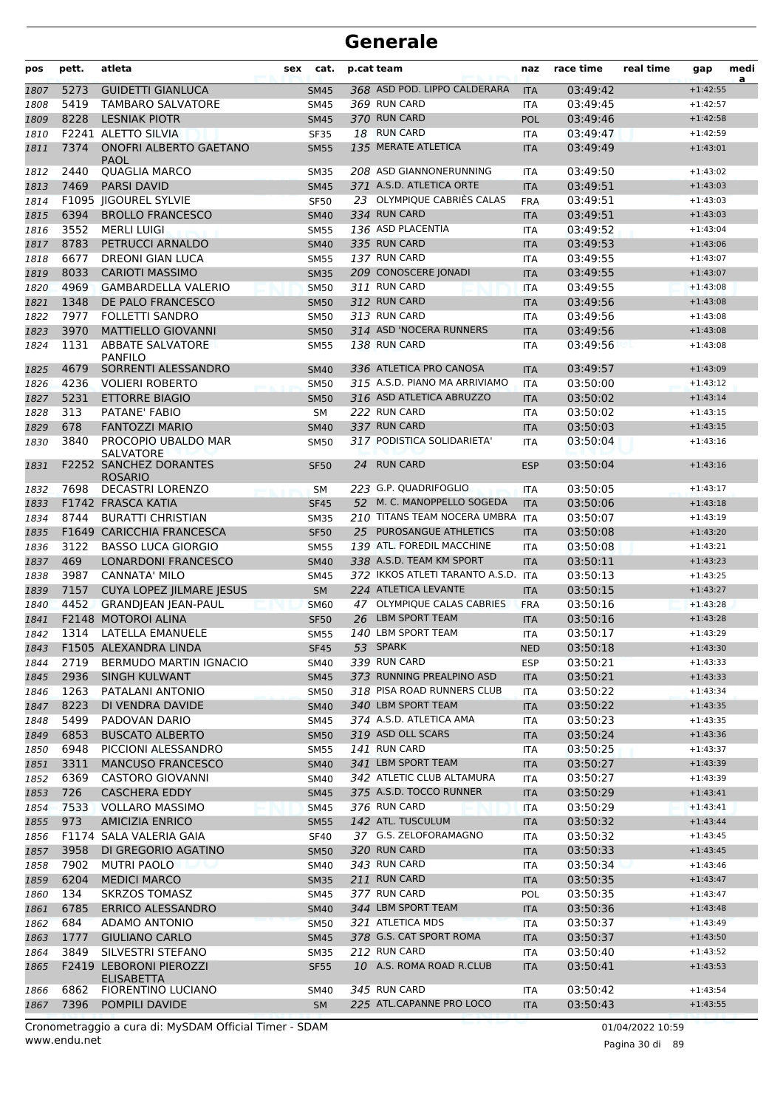| pos          | pett. | atleta                                                            | sex | cat.              |    | p.cat team                                    | naz                      | race time            | real time | gap                      | medi<br>a |
|--------------|-------|-------------------------------------------------------------------|-----|-------------------|----|-----------------------------------------------|--------------------------|----------------------|-----------|--------------------------|-----------|
| 1807         | 5273  | <b>GUIDETTI GIANLUCA</b>                                          |     | <b>SM45</b>       |    | 368 ASD POD. LIPPO CALDERARA                  | <b>ITA</b>               | 03:49:42             |           | $+1:42:55$               |           |
| 1808         | 5419  | <b>TAMBARO SALVATORE</b>                                          |     | <b>SM45</b>       |    | 369 RUN CARD                                  | <b>ITA</b>               | 03:49:45             |           | $+1:42:57$               |           |
| 1809         | 8228  | <b>LESNIAK PIOTR</b>                                              |     | <b>SM45</b>       |    | 370 RUN CARD                                  | <b>POL</b>               | 03:49:46             |           | $+1:42:58$               |           |
| 1810         |       | F2241 ALETTO SILVIA                                               |     | <b>SF35</b>       |    | 18 RUN CARD                                   | <b>ITA</b>               | 03:49:47             |           | $+1:42:59$               |           |
| 1811         | 7374  | <b>ONOFRI ALBERTO GAETANO</b><br>PAOL                             |     | <b>SM55</b>       |    | 135 MERATE ATLETICA                           | <b>ITA</b>               | 03:49:49             |           | $+1:43:01$               |           |
| 1812         | 2440  | <b>QUAGLIA MARCO</b>                                              |     | <b>SM35</b>       |    | 208 ASD GIANNONERUNNING                       | <b>ITA</b>               | 03:49:50             |           | $+1:43:02$               |           |
| 1813         | 7469  | <b>PARSI DAVID</b>                                                |     | <b>SM45</b>       |    | 371 A.S.D. ATLETICA ORTE                      | <b>ITA</b>               | 03:49:51             |           | $+1:43:03$               |           |
| 1814         |       | F1095 IIGOUREL SYLVIE                                             |     | <b>SF50</b>       |    | 23 OLYMPIQUE CABRIÉS CALAS                    | <b>FRA</b>               | 03:49:51             |           | $+1:43:03$               |           |
| 1815         | 6394  | <b>BROLLO FRANCESCO</b>                                           |     | <b>SM40</b>       |    | 334 RUN CARD                                  | <b>ITA</b>               | 03:49:51             |           | $+1:43:03$               |           |
| 1816         | 3552  | <b>MERLI LUIGI</b>                                                |     | <b>SM55</b>       |    | 136 ASD PLACENTIA                             | <b>ITA</b>               | 03:49:52             |           | $+1:43:04$               |           |
| 1817         | 8783  | PETRUCCI ARNALDO                                                  |     | <b>SM40</b>       |    | 335 RUN CARD                                  | <b>ITA</b>               | 03:49:53             |           | $+1:43:06$               |           |
| 1818         | 6677  | <b>DREONI GIAN LUCA</b>                                           |     | <b>SM55</b>       |    | 137 RUN CARD                                  | <b>ITA</b>               | 03:49:55             |           | $+1:43:07$               |           |
| 1819         | 8033  | <b>CARIOTI MASSIMO</b>                                            |     | <b>SM35</b>       |    | 209 CONOSCERE JONADI                          | <b>ITA</b>               | 03:49:55             |           | $+1:43:07$               |           |
| 1820         | 4969  | <b>GAMBARDELLA VALERIO</b>                                        |     | <b>SM50</b>       |    | 311 RUN CARD                                  | <b>ITA</b>               | 03:49:55             |           | $+1:43:08$               |           |
| 1821         | 1348  | DE PALO FRANCESCO                                                 |     | <b>SM50</b>       |    | 312 RUN CARD                                  | <b>ITA</b>               | 03:49:56             |           | $+1:43:08$               |           |
| 1822         | 7977  | <b>FOLLETTI SANDRO</b>                                            |     | <b>SM50</b>       |    | 313 RUN CARD                                  | <b>ITA</b>               | 03:49:56             |           | $+1:43:08$               |           |
| 1823         | 3970  | <b>MATTIELLO GIOVANNI</b>                                         |     | <b>SM50</b>       |    | 314 ASD 'NOCERA RUNNERS                       | <b>ITA</b>               | 03:49:56             |           | $+1:43:08$               |           |
| 1824         | 1131  | <b>ABBATE SALVATORE</b><br><b>PANFILO</b>                         |     | <b>SM55</b>       |    | 138 RUN CARD                                  | <b>ITA</b>               | 03:49:56             |           | $+1:43:08$               |           |
| 1825         | 4679  | SORRENTI ALESSANDRO                                               |     | <b>SM40</b>       |    | 336 ATLETICA PRO CANOSA                       | <b>ITA</b>               | 03:49:57             |           | $+1:43:09$               |           |
| 1826         | 4236  | <b>VOLIERI ROBERTO</b>                                            |     | <b>SM50</b>       |    | 315 A.S.D. PIANO MA ARRIVIAMO                 | <b>ITA</b>               | 03:50:00             |           | $+1:43:12$               |           |
| 1827         | 5231  | <b>ETTORRE BIAGIO</b>                                             |     | <b>SM50</b>       |    | 316 ASD ATLETICA ABRUZZO                      | <b>ITA</b>               | 03:50:02             |           | $+1:43:14$               |           |
| 1828         | 313   | PATANE' FABIO                                                     |     | <b>SM</b>         |    | 222 RUN CARD                                  | <b>ITA</b>               | 03:50:02             |           | $+1:43:15$               |           |
| 1829         | 678   | <b>FANTOZZI MARIO</b>                                             |     | <b>SM40</b>       |    | 337 RUN CARD                                  | <b>ITA</b>               | 03:50:03             |           | $+1:43:15$               |           |
| 1830         | 3840  | PROCOPIO UBALDO MAR<br>SALVATORE<br><b>F2252 SANCHEZ DORANTES</b> |     | <b>SM50</b>       | 24 | 317 PODISTICA SOLIDARIETA'<br><b>RUN CARD</b> | ITA                      | 03:50:04<br>03:50:04 |           | $+1:43:16$<br>$+1:43:16$ |           |
| 1831<br>1832 | 7698  | <b>ROSARIO</b><br><b>DECASTRI LORENZO</b>                         |     | <b>SF50</b><br>SM |    | 223 G.P. QUADRIFOGLIO                         | <b>ESP</b><br><b>ITA</b> | 03:50:05             |           | $+1:43:17$               |           |
| 1833         |       | F1742 FRASCA KATIA                                                |     | <b>SF45</b>       |    | 52 M. C. MANOPPELLO SOGEDA                    | <b>ITA</b>               | 03:50:06             |           | $+1:43:18$               |           |
| 1834         | 8744  | <b>BURATTI CHRISTIAN</b>                                          |     | <b>SM35</b>       |    | 210 TITANS TEAM NOCERA UMBRA                  | <b>ITA</b>               | 03:50:07             |           | $+1:43:19$               |           |
| 1835         |       | F1649 CARICCHIA FRANCESCA                                         |     | <b>SF50</b>       |    | 25 PUROSANGUE ATHLETICS                       | <b>ITA</b>               | 03:50:08             |           | $+1:43:20$               |           |
| 1836         | 3122  | <b>BASSO LUCA GIORGIO</b>                                         |     | <b>SM55</b>       |    | 139 ATL. FOREDIL MACCHINE                     | <b>ITA</b>               | 03:50:08             |           | $+1:43:21$               |           |
| 1837         | 469   | <b>LONARDONI FRANCESCO</b>                                        |     | <b>SM40</b>       |    | 338 A.S.D. TEAM KM SPORT                      | <b>ITA</b>               | 03:50:11             |           | $+1:43:23$               |           |
| 1838         | 3987  | <b>CANNATA' MILO</b>                                              |     | <b>SM45</b>       |    | 372 IKKOS ATLETI TARANTO A.S.D.               | <b>ITA</b>               | 03:50:13             |           | $+1:43:25$               |           |
| 1839         | 7157  | <b>CUYA LOPEZ IILMARE IESUS</b>                                   |     | <b>SM</b>         |    | 224 ATLETICA LEVANTE                          | <b>ITA</b>               | 03:50:15             |           | $+1:43:27$               |           |
| 1840         | 4452  | <b>GRANDJEAN JEAN-PAUL</b>                                        |     | <b>SM60</b>       |    | 47 OLYMPIQUE CALAS CABRIES                    | <b>FRA</b>               | 03:50:16             |           | $+1:43:28$               |           |
| 1841         |       | F2148 MOTOROI ALINA                                               |     | <b>SF50</b>       |    | 26 LBM SPORT TEAM                             | <b>ITA</b>               | 03:50:16             |           | $+1:43:28$               |           |
| 1842         |       | 1314 LATELLA EMANUELE                                             |     | <b>SM55</b>       |    | 140 LBM SPORT TEAM                            | <b>ITA</b>               | 03:50:17             |           | $+1:43:29$               |           |
| 1843         |       | F1505 ALEXANDRA LINDA                                             |     | <b>SF45</b>       |    | 53 SPARK                                      | <b>NED</b>               | 03:50:18             |           | $+1:43:30$               |           |
| 1844         | 2719  | <b>BERMUDO MARTIN IGNACIO</b>                                     |     | SM40              |    | 339 RUN CARD                                  | ESP                      | 03:50:21             |           | $+1:43:33$               |           |
| 1845         | 2936  | SINGH KULWANT                                                     |     | <b>SM45</b>       |    | 373 RUNNING PREALPINO ASD                     | <b>ITA</b>               | 03:50:21             |           | $+1:43:33$               |           |
| 1846         | 1263  | PATALANI ANTONIO                                                  |     | <b>SM50</b>       |    | 318 PISA ROAD RUNNERS CLUB                    | ITA                      | 03:50:22             |           | $+1:43:34$               |           |
| 1847         | 8223  | DI VENDRA DAVIDE                                                  |     | <b>SM40</b>       |    | 340 LBM SPORT TEAM                            | <b>ITA</b>               | 03:50:22             |           | $+1:43:35$               |           |
| 1848         | 5499  | PADOVAN DARIO                                                     |     | SM45              |    | 374 A.S.D. ATLETICA AMA                       | ITA                      | 03:50:23             |           | $+1:43:35$               |           |
| 1849         | 6853  | <b>BUSCATO ALBERTO</b>                                            |     | <b>SM50</b>       |    | 319 ASD OLL SCARS                             | <b>ITA</b>               | 03:50:24             |           | $+1:43:36$               |           |
| 1850         | 6948  | PICCIONI ALESSANDRO                                               |     | <b>SM55</b>       |    | <b>141 RUN CARD</b>                           | ITA                      | 03:50:25             |           | $+1:43:37$               |           |
| 1851         | 3311  | <b>MANCUSO FRANCESCO</b>                                          |     | <b>SM40</b>       |    | 341 LBM SPORT TEAM                            | <b>ITA</b>               | 03:50:27             |           | $+1:43:39$               |           |
| 1852         | 6369  | <b>CASTORO GIOVANNI</b>                                           |     | SM40              |    | 342 ATLETIC CLUB ALTAMURA                     | ITA                      | 03:50:27             |           | $+1:43:39$               |           |
| 1853         | 726   | <b>CASCHERA EDDY</b>                                              |     | <b>SM45</b>       |    | 375 A.S.D. TOCCO RUNNER                       | <b>ITA</b>               | 03:50:29             |           | $+1:43:41$               |           |
| 1854         | 7533  | <b>VOLLARO MASSIMO</b>                                            |     | <b>SM45</b>       |    | 376 RUN CARD                                  | ITA                      | 03:50:29             |           | $+1:43:41$               |           |
| 1855         | 973   | <b>AMICIZIA ENRICO</b>                                            |     | <b>SM55</b>       |    | 142 ATL. TUSCULUM                             | <b>ITA</b>               | 03:50:32             |           | $+1:43:44$               |           |
| 1856         |       | F1174 SALA VALERIA GAIA                                           |     | <b>SF40</b>       |    | 37 G.S. ZELOFORAMAGNO                         | ITA                      | 03:50:32             |           | $+1:43:45$               |           |
| 1857         | 3958  | DI GREGORIO AGATINO                                               |     | <b>SM50</b>       |    | 320 RUN CARD                                  | <b>ITA</b>               | 03:50:33             |           | $+1:43:45$               |           |
| 1858         | 7902  | <b>MUTRI PAOLO</b>                                                |     | SM40              |    | 343 RUN CARD                                  | ITA.                     | 03:50:34             |           | $+1:43:46$               |           |
| 1859         | 6204  | <b>MEDICI MARCO</b>                                               |     | <b>SM35</b>       |    | 211 RUN CARD                                  | <b>ITA</b>               | 03:50:35             |           | $+1:43:47$               |           |
| 1860         | 134   | <b>SKRZOS TOMASZ</b>                                              |     | SM45              |    | 377 RUN CARD                                  | <b>POL</b>               | 03:50:35             |           | $+1:43:47$               |           |
| 1861         | 6785  | <b>ERRICO ALESSANDRO</b>                                          |     | <b>SM40</b>       |    | 344 LBM SPORT TEAM                            | <b>ITA</b>               | 03:50:36             |           | $+1:43:48$               |           |
| 1862         | 684   | ADAMO ANTONIO                                                     |     | <b>SM50</b>       |    | 321 ATLETICA MDS                              | <b>ITA</b>               | 03:50:37             |           | $+1:43:49$               |           |
| 1863         | 1777  | <b>GIULIANO CARLO</b>                                             |     | <b>SM45</b>       |    | 378 G.S. CAT SPORT ROMA                       | <b>ITA</b>               | 03:50:37             |           | $+1:43:50$               |           |
| 1864         | 3849  | SILVESTRI STEFANO                                                 |     | SM35              |    | 212 RUN CARD                                  | ITA                      | 03:50:40             |           | $+1:43:52$               |           |
| 1865         |       | F2419 LEBORONI PIEROZZI<br>ELISABETTA                             |     | <b>SF55</b>       |    | 10 A.S. ROMA ROAD R.CLUB                      | <b>ITA</b>               | 03:50:41             |           | $+1:43:53$               |           |
| 1866         | 6862  | FIORENTINO LUCIANO                                                |     | SM40              |    | 345 RUN CARD                                  | ITA                      | 03:50:42             |           | $+1:43:54$               |           |
| 1867         | 7396  | POMPILI DAVIDE                                                    |     | <b>SM</b>         |    | 225 ATL.CAPANNE PRO LOCO                      | <b>ITA</b>               | 03:50:43             |           | $+1:43:55$               |           |

www.endu.net Cronometraggio a cura di: MySDAM Official Timer - SDAM 01/04/2022 10:59 01/04/2022 10:59

Pagina 30 di 89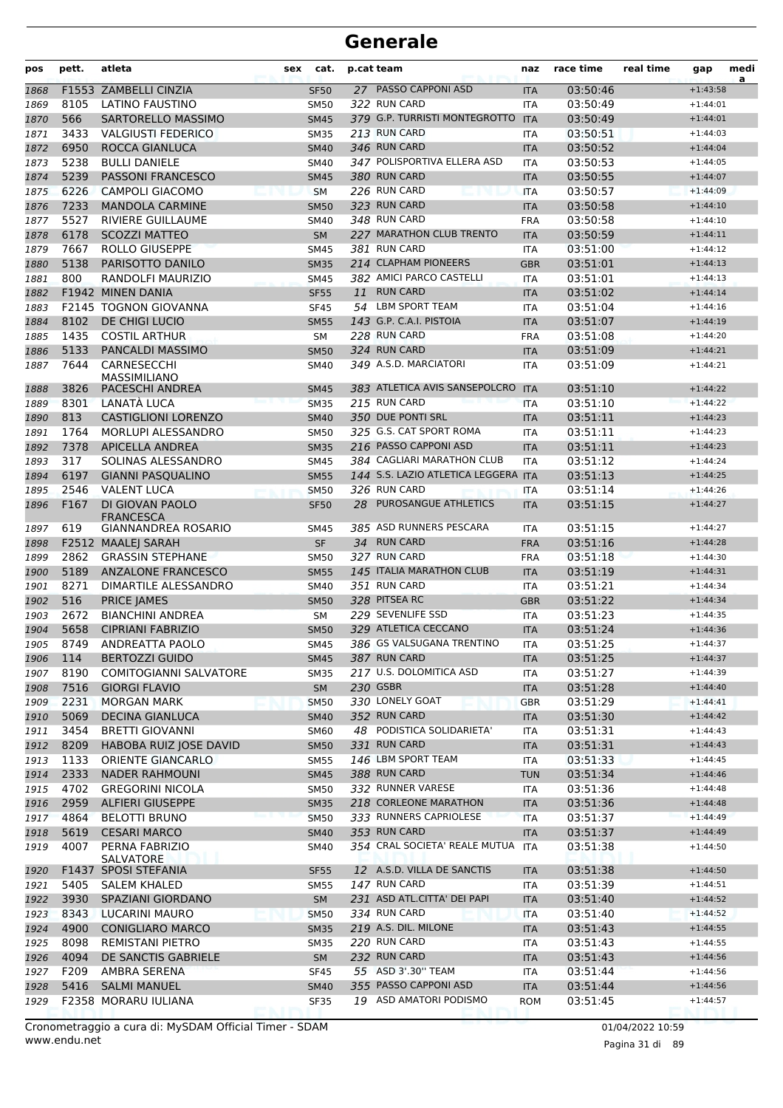| pos          | pett.        | atleta                                         | sex | cat.                       |    | p.cat team                                | naz                      | race time            | real time | gap                      | medi<br>a |
|--------------|--------------|------------------------------------------------|-----|----------------------------|----|-------------------------------------------|--------------------------|----------------------|-----------|--------------------------|-----------|
| 1868         |              | F1553 ZAMBELLI CINZIA                          |     | <b>SF50</b>                |    | 27 PASSO CAPPONI ASD                      | <b>ITA</b>               | 03:50:46             |           | $+1:43:58$               |           |
| 1869         | 8105         | <b>LATINO FAUSTINO</b>                         |     | <b>SM50</b>                |    | 322 RUN CARD                              | <b>ITA</b>               | 03:50:49             |           | $+1:44:01$               |           |
| 1870         | 566          | SARTORELLO MASSIMO                             |     | <b>SM45</b>                |    | 379 G.P. TURRISTI MONTEGROTTO ITA         |                          | 03:50:49             |           | $+1:44:01$               |           |
| 1871         | 3433         | <b>VALGIUSTI FEDERICO</b>                      |     | <b>SM35</b>                |    | 213 RUN CARD                              | ITA                      | 03:50:51             |           | $+1:44:03$               |           |
| 1872         | 6950         | ROCCA GIANLUCA                                 |     | <b>SM40</b>                |    | 346 RUN CARD                              | <b>ITA</b>               | 03:50:52             |           | $+1:44:04$               |           |
| 1873         | 5238         | <b>BULLI DANIELE</b>                           |     | <b>SM40</b>                |    | 347 POLISPORTIVA ELLERA ASD               | <b>ITA</b>               | 03:50:53             |           | $+1:44:05$               |           |
| 1874         | 5239         | PASSONI FRANCESCO                              |     | <b>SM45</b>                |    | 380 RUN CARD                              | <b>ITA</b>               | 03:50:55             |           | $+1:44:07$               |           |
| 1875         | 6226         | <b>CAMPOLI GIACOMO</b>                         |     | <b>SM</b>                  |    | 226 RUN CARD                              | <b>ITA</b>               | 03:50:57             |           | $+1:44:09$               |           |
| 1876         | 7233         | <b>MANDOLA CARMINE</b>                         |     | <b>SM50</b>                |    | 323 RUN CARD                              | <b>ITA</b>               | 03:50:58             |           | $+1:44:10$               |           |
| 1877         | 5527         | RIVIERE GUILLAUME                              |     | <b>SM40</b>                |    | 348 RUN CARD<br>227 MARATHON CLUB TRENTO  | <b>FRA</b>               | 03:50:58             |           | $+1:44:10$               |           |
| 1878         | 6178<br>7667 | <b>SCOZZI MATTEO</b>                           |     | <b>SM</b>                  |    | 381 RUN CARD                              | <b>ITA</b>               | 03:50:59             |           | $+1:44:11$               |           |
| 1879         | 5138         | ROLLO GIUSEPPE                                 |     | <b>SM45</b><br><b>SM35</b> |    | 214 CLAPHAM PIONEERS                      | <b>ITA</b>               | 03:51:00             |           | $+1:44:12$<br>$+1:44:13$ |           |
| 1880<br>1881 | 800          | PARISOTTO DANILO<br>RANDOLFI MAURIZIO          |     | <b>SM45</b>                |    | 382 AMICI PARCO CASTELLI                  | <b>GBR</b><br><b>ITA</b> | 03:51:01<br>03:51:01 |           | $+1:44:13$               |           |
| 1882         |              | F1942 MINEN DANIA                              |     | <b>SF55</b>                | 11 | <b>RUN CARD</b>                           | <b>ITA</b>               | 03:51:02             |           | $+1:44:14$               |           |
| 1883         |              | <b>F2145 TOGNON GIOVANNA</b>                   |     | <b>SF45</b>                |    | 54 LBM SPORT TEAM                         | <b>ITA</b>               | 03:51:04             |           | $+1:44:16$               |           |
| 1884         | 8102         | DE CHIGI LUCIO                                 |     | <b>SM55</b>                |    | 143 G.P. C.A.I. PISTOIA                   | <b>ITA</b>               | 03:51:07             |           | $+1:44:19$               |           |
| 1885         | 1435         | <b>COSTIL ARTHUR</b>                           |     | <b>SM</b>                  |    | 228 RUN CARD                              | <b>FRA</b>               | 03:51:08             |           | $+1:44:20$               |           |
| 1886         | 5133         | <b>PANCALDI MASSIMO</b>                        |     | <b>SM50</b>                |    | 324 RUN CARD                              | <b>ITA</b>               | 03:51:09             |           | $+1:44:21$               |           |
| 1887         | 7644         | CARNESECCHI                                    |     | <b>SM40</b>                |    | 349 A.S.D. MARCIATORI                     | ITA                      | 03:51:09             |           | $+1:44:21$               |           |
|              |              | <b>MASSIMILIANO</b>                            |     |                            |    |                                           |                          |                      |           |                          |           |
| 1888         | 3826         | PACESCHI ANDREA                                |     | <b>SM45</b>                |    | 383 ATLETICA AVIS SANSEPOLCRO             | <b>ITA</b>               | 03:51:10             |           | $+1:44:22$               |           |
| 1889         | 8301         | LANATÀ LUCA                                    |     | <b>SM35</b>                |    | 215 RUN CARD                              | <b>ITA</b>               | 03:51:10             |           | $+1:44:22$               |           |
| 1890         | 813          | <b>CASTIGLIONI LORENZO</b>                     |     | <b>SM40</b>                |    | 350 DUE PONTI SRL                         | <b>ITA</b>               | 03:51:11             |           | $+1:44:23$               |           |
| 1891         | 1764         | MORLUPI ALESSANDRO                             |     | <b>SM50</b>                |    | 325 G.S. CAT SPORT ROMA                   | <b>ITA</b>               | 03:51:11             |           | $+1:44:23$               |           |
| 1892         | 7378         | <b>APICELLA ANDREA</b>                         |     | <b>SM35</b>                |    | 216 PASSO CAPPONI ASD                     | <b>ITA</b>               | 03:51:11             |           | $+1:44:23$               |           |
| 1893         | 317          | SOLINAS ALESSANDRO                             |     | <b>SM45</b>                |    | 384 CAGLIARI MARATHON CLUB                | <b>ITA</b>               | 03:51:12             |           | $+1:44:24$               |           |
| 1894         | 6197         | <b>GIANNI PASQUALINO</b>                       |     | <b>SM55</b>                |    | 144 S.S. LAZIO ATLETICA LEGGERA ITA       |                          | 03:51:13             |           | $+1:44:25$               |           |
| 1895         | 2546         | <b>VALENT LUCA</b>                             |     | <b>SM50</b>                |    | 326 RUN CARD                              | <b>ITA</b>               | 03:51:14             |           | $+1:44:26$               |           |
| 1896         | F167         | DI GIOVAN PAOLO<br><b>FRANCESCA</b>            |     | <b>SF50</b>                | 28 | <b>PUROSANGUE ATHLETICS</b>               | <b>ITA</b>               | 03:51:15             |           | $+1:44:27$               |           |
| 1897         | 619          | <b>GIANNANDREA ROSARIO</b>                     |     | <b>SM45</b>                |    | 385 ASD RUNNERS PESCARA                   | ITA                      | 03:51:15             |           | $+1:44:27$               |           |
| 1898         |              | F2512 MAALEJ SARAH                             |     | <b>SF</b>                  |    | 34 RUN CARD                               | <b>FRA</b>               | 03:51:16             |           | $+1:44:28$               |           |
| 1899         | 2862         | <b>GRASSIN STEPHANE</b>                        |     | <b>SM50</b>                |    | 327 RUN CARD                              | <b>FRA</b>               | 03:51:18             |           | $+1:44:30$               |           |
| 1900         | 5189         | <b>ANZALONE FRANCESCO</b>                      |     | <b>SM55</b>                |    | 145 ITALIA MARATHON CLUB                  | <b>ITA</b>               | 03:51:19             |           | $+1:44:31$               |           |
| 1901         | 8271         | DIMARTILE ALESSANDRO                           |     | <b>SM40</b>                |    | 351 RUN CARD                              | <b>ITA</b>               | 03:51:21             |           | $+1:44:34$               |           |
| 1902         | 516          | <b>PRICE JAMES</b>                             |     | <b>SM50</b>                |    | 328 PITSEA RC                             | <b>GBR</b>               | 03:51:22             |           | $+1:44:34$               |           |
| 1903         | 2672         | <b>BIANCHINI ANDREA</b>                        |     | <b>SM</b>                  |    | 229 SEVENLIFE SSD                         | <b>ITA</b>               | 03:51:23             |           | $+1:44:35$               |           |
| 1904         | 5658         | <b>CIPRIANI FABRIZIO</b>                       |     | <b>SM50</b>                |    | 329 ATLETICA CECCANO                      | <b>ITA</b>               | 03:51:24             |           | $+1:44:36$               |           |
| 1905         | 8749         | ANDREATTA PAOLO                                |     | <b>SM45</b>                |    | 386 GS VALSUGANA TRENTINO<br>387 RUN CARD | <b>ITA</b>               | 03:51:25             |           | $+1:44:37$               |           |
| 1906         | 114          | <b>BERTOZZI GUIDO</b>                          |     | <b>SM45</b>                |    | 217 U.S. DOLOMITICA ASD                   | <b>ITA</b>               | 03:51:25             |           | $+1:44:37$               |           |
| 1907         | 8190<br>7516 | COMITOGIANNI SALVATORE<br><b>GIORGI FLAVIO</b> |     | <b>SM35</b><br>SM          |    | 230 GSBR                                  | ITA                      | 03:51:27<br>03:51:28 |           | $+1:44:39$<br>$+1:44:40$ |           |
| 1908<br>1909 | 2231         | <b>MORGAN MARK</b>                             |     | <b>SM50</b>                |    | 330 LONELY GOAT                           | <b>ITA</b><br><b>GBR</b> | 03:51:29             |           | $+1:44:41$               |           |
| 1910         | 5069         | <b>DECINA GIANLUCA</b>                         |     | <b>SM40</b>                |    | 352 RUN CARD                              | <b>ITA</b>               | 03:51:30             |           | $+1:44:42$               |           |
| 1911         | 3454         | <b>BRETTI GIOVANNI</b>                         |     | <b>SM60</b>                |    | 48 PODISTICA SOLIDARIETA'                 | ITA                      | 03:51:31             |           | $+1:44:43$               |           |
| 1912         | 8209         | HABOBA RUIZ JOSE DAVID                         |     | <b>SM50</b>                |    | 331 RUN CARD                              | <b>ITA</b>               | 03:51:31             |           | $+1:44:43$               |           |
| 1913         | 1133         | ORIENTE GIANCARLO                              |     | <b>SM55</b>                |    | 146 LBM SPORT TEAM                        | ITA                      | 03:51:33             |           | $+1:44:45$               |           |
| 1914         | 2333         | <b>NADER RAHMOUNI</b>                          |     | <b>SM45</b>                |    | 388 RUN CARD                              | <b>TUN</b>               | 03:51:34             |           | $+1:44:46$               |           |
| 1915         | 4702         | <b>GREGORINI NICOLA</b>                        |     | <b>SM50</b>                |    | 332 RUNNER VARESE                         | ITA                      | 03:51:36             |           | $+1:44:48$               |           |
| 1916         | 2959         | <b>ALFIERI GIUSEPPE</b>                        |     | <b>SM35</b>                |    | 218 CORLEONE MARATHON                     | <b>ITA</b>               | 03:51:36             |           | $+1:44:48$               |           |
| 1917         | 4864         | <b>BELOTTI BRUNO</b>                           |     | <b>SM50</b>                |    | 333 RUNNERS CAPRIOLESE                    | <b>ITA</b>               | 03:51:37             |           | $+1:44:49$               |           |
| 1918         | 5619         | <b>CESARI MARCO</b>                            |     | <b>SM40</b>                |    | 353 RUN CARD                              | <b>ITA</b>               | 03:51:37             |           | $+1:44:49$               |           |
| 1919         | 4007         | PERNA FABRIZIO<br>SALVATORE                    |     | SM40                       |    | 354 CRAL SOCIETA' REALE MUTUA             | <b>ITA</b>               | 03:51:38             |           | $+1:44:50$               |           |
| 1920         |              | F1437 SPOSI STEFANIA                           |     | <b>SF55</b>                |    | 12 A.S.D. VILLA DE SANCTIS                | <b>ITA</b>               | 03:51:38             |           | $+1:44:50$               |           |
| 1921         | 5405         | <b>SALEM KHALED</b>                            |     | <b>SM55</b>                |    | 147 RUN CARD                              | ITA                      | 03:51:39             |           | $+1:44:51$               |           |
| 1922         | 3930         | SPAZIANI GIORDANO                              |     | SM                         |    | 231 ASD ATL.CITTA' DEI PAPI               | <b>ITA</b>               | 03:51:40             |           | $+1:44:52$               |           |
| 1923         | 8343         | LUCARINI MAURO                                 |     | <b>SM50</b>                |    | 334 RUN CARD                              | <b>ITA</b>               | 03:51:40             |           | $+1:44:52$               |           |
| 1924         | 4900         | <b>CONIGLIARO MARCO</b>                        |     | <b>SM35</b>                |    | 219 A.S. DIL. MILONE                      | <b>ITA</b>               | 03:51:43             |           | $+1:44:55$               |           |
| 1925         | 8098         | REMISTANI PIETRO                               |     | <b>SM35</b>                |    | 220 RUN CARD                              | ITA                      | 03:51:43             |           | $+1:44:55$               |           |
| 1926         | 4094         | DE SANCTIS GABRIELE                            |     | <b>SM</b>                  |    | 232 RUN CARD                              | <b>ITA</b>               | 03:51:43             |           | $+1:44:56$               |           |
| 1927         | F209         | AMBRA SERENA                                   |     | <b>SF45</b>                |    | 55 ASD 3'.30" TEAM                        | ITA                      | 03:51:44             |           | $+1:44:56$               |           |
| 1928         | 5416         | <b>SALMI MANUEL</b>                            |     | <b>SM40</b>                |    | 355 PASSO CAPPONI ASD                     | <b>ITA</b>               | 03:51:44             |           | $+1:44:56$               |           |
| 1929         |              | F2358 MORARU IULIANA                           |     | <b>SF35</b>                |    | 19 ASD AMATORI PODISMO                    | <b>ROM</b>               | 03:51:45             |           | $+1:44:57$               |           |

www.endu.net Cronometraggio a cura di: MySDAM Official Timer - SDAM 01/04/2022 10:59

Pagina 31 di 89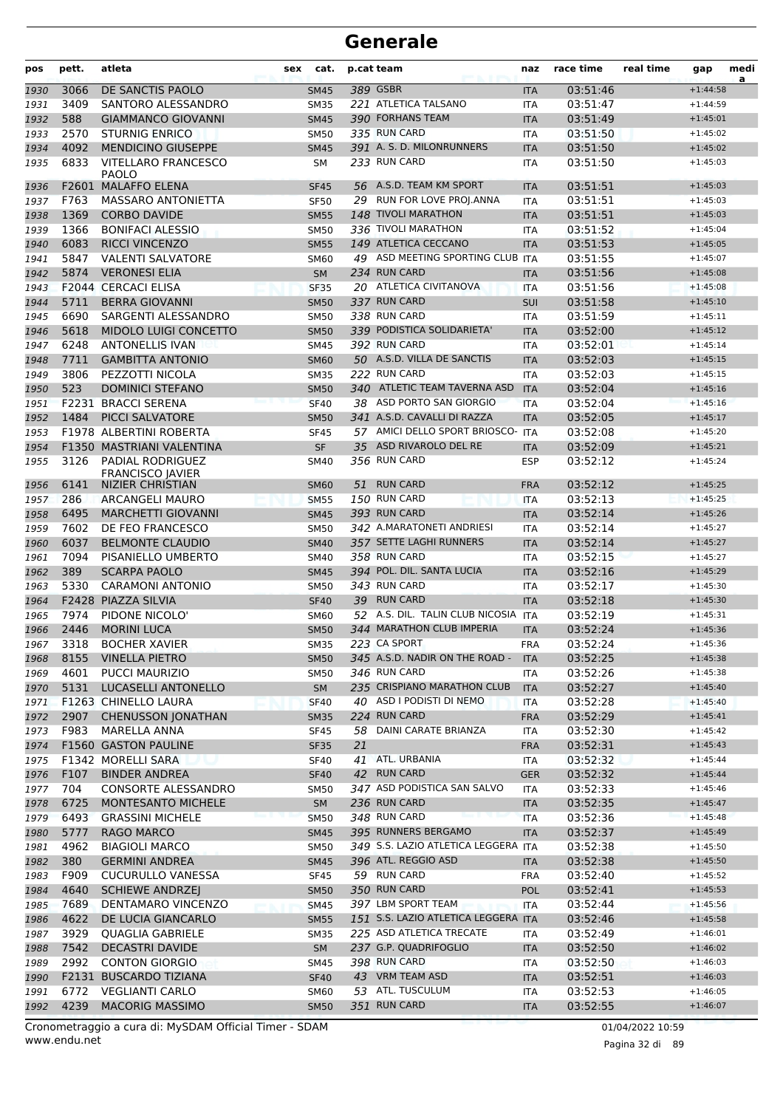| pos          | pett.        | atleta                                          | sex | cat.                       |    | p.cat team                                        | naz                      | race time            | real time | gap                      | medi<br>a |
|--------------|--------------|-------------------------------------------------|-----|----------------------------|----|---------------------------------------------------|--------------------------|----------------------|-----------|--------------------------|-----------|
| 1930         | 3066         | DE SANCTIS PAOLO                                |     | <b>SM45</b>                |    | 389 GSBR                                          | <b>ITA</b>               | 03:51:46             |           | $+1:44:58$               |           |
| 1931         | 3409         | SANTORO ALESSANDRO                              |     | <b>SM35</b>                |    | 221 ATLETICA TALSANO                              | <b>ITA</b>               | 03:51:47             |           | $+1:44:59$               |           |
| 1932         | 588          | <b>GIAMMANCO GIOVANNI</b>                       |     | <b>SM45</b>                |    | 390 FORHANS TEAM                                  | <b>ITA</b>               | 03:51:49             |           | $+1:45:01$               |           |
| 1933         | 2570         | <b>STURNIG ENRICO</b>                           |     | <b>SM50</b>                |    | 335 RUN CARD                                      | <b>ITA</b>               | 03:51:50             |           | $+1:45:02$               |           |
| 1934         | 4092         | <b>MENDICINO GIUSEPPE</b>                       |     | <b>SM45</b>                |    | 391 A. S. D. MILONRUNNERS                         | <b>ITA</b>               | 03:51:50             |           | $+1:45:02$               |           |
| 1935         | 6833         | <b>VITELLARO FRANCESCO</b><br><b>PAOLO</b>      |     | SΜ                         |    | 233 RUN CARD                                      | <b>ITA</b>               | 03:51:50             |           | $+1:45:03$               |           |
| 1936         |              | F2601 MALAFFO ELENA                             |     | <b>SF45</b>                |    | 56 A.S.D. TEAM KM SPORT                           | <b>ITA</b>               | 03:51:51             |           | $+1:45:03$               |           |
| 1937         | F763         | <b>MASSARO ANTONIETTA</b>                       |     | <b>SF50</b>                |    | 29 RUN FOR LOVE PROJ. ANNA                        | ITA                      | 03:51:51             |           | $+1:45:03$               |           |
| 1938         | 1369         | <b>CORBO DAVIDE</b>                             |     | <b>SM55</b>                |    | 148 TIVOLI MARATHON                               | <b>ITA</b>               | 03:51:51             |           | $+1:45:03$               |           |
| 1939         | 1366         | <b>BONIFACI ALESSIO</b>                         |     | <b>SM50</b>                |    | 336 TIVOLI MARATHON                               | <b>ITA</b>               | 03:51:52             |           | $+1:45:04$               |           |
| 1940         | 6083         | <b>RICCI VINCENZO</b>                           |     | <b>SM55</b>                |    | 149 ATLETICA CECCANO                              | <b>ITA</b>               | 03:51:53             |           | $+1:45:05$               |           |
| 1941         | 5847<br>5874 | <b>VALENTI SALVATORE</b>                        |     | <b>SM60</b>                |    | 49 ASD MEETING SPORTING CLUB ITA<br>234 RUN CARD  |                          | 03:51:55             |           | $+1:45:07$               |           |
| 1942         |              | <b>VERONESI ELIA</b><br>F2044 CERCACI ELISA     |     | <b>SM</b>                  |    | 20 ATLETICA CIVITANOVA                            | <b>ITA</b>               | 03:51:56<br>03:51:56 |           | $+1:45:08$<br>$+1:45:08$ |           |
| 1943<br>1944 | 5711         | <b>BERRA GIOVANNI</b>                           |     | <b>SF35</b><br><b>SM50</b> |    | 337 RUN CARD                                      | ITA<br><b>SUI</b>        | 03:51:58             |           | $+1:45:10$               |           |
| 1945         | 6690         | SARGENTI ALESSANDRO                             |     | <b>SM50</b>                |    | 338 RUN CARD                                      | <b>ITA</b>               | 03:51:59             |           | $+1:45:11$               |           |
| 1946         | 5618         | MIDOLO LUIGI CONCETTO                           |     | <b>SM50</b>                |    | 339 PODISTICA SOLIDARIETA'                        | <b>ITA</b>               | 03:52:00             |           | $+1:45:12$               |           |
| 1947         | 6248         | <b>ANTONELLIS IVAN</b>                          |     | <b>SM45</b>                |    | 392 RUN CARD                                      | <b>ITA</b>               | 03:52:01             |           | $+1:45:14$               |           |
| 1948         | 7711         | <b>GAMBITTA ANTONIO</b>                         |     | <b>SM60</b>                |    | 50 A.S.D. VILLA DE SANCTIS                        | <b>ITA</b>               | 03:52:03             |           | $+1:45:15$               |           |
| 1949         | 3806         | PEZZOTTI NICOLA                                 |     | <b>SM35</b>                |    | 222 RUN CARD                                      | <b>ITA</b>               | 03:52:03             |           | $+1:45:15$               |           |
| 1950         | 523          | <b>DOMINICI STEFANO</b>                         |     | <b>SM50</b>                |    | 340 ATLETIC TEAM TAVERNA ASD                      | <b>ITA</b>               | 03:52:04             |           | $+1:45:16$               |           |
| 1951         |              | <b>F2231 BRACCI SERENA</b>                      |     | <b>SF40</b>                |    | 38 ASD PORTO SAN GIORGIO                          | <b>ITA</b>               | 03:52:04             |           | $+1:45:16$               |           |
| 1952         | 1484         | <b>PICCI SALVATORE</b>                          |     | <b>SM50</b>                |    | 341 A.S.D. CAVALLI DI RAZZA                       | <b>ITA</b>               | 03:52:05             |           | $+1:45:17$               |           |
| 1953         |              | F1978 ALBERTINI ROBERTA                         |     | <b>SF45</b>                |    | 57 AMICI DELLO SPORT BRIOSCO- ITA                 |                          | 03:52:08             |           | $+1:45:20$               |           |
| 1954         |              | F1350 MASTRIANI VALENTINA                       |     | <b>SF</b>                  |    | 35 ASD RIVAROLO DEL RE                            | <b>ITA</b>               | 03:52:09             |           | $+1:45:21$               |           |
| 1955         | 3126         | <b>PADIAL RODRIGUEZ</b><br>FRANCISCO JAVIER     |     | SM40                       |    | 356 RUN CARD                                      | <b>ESP</b>               | 03:52:12             |           | $+1:45:24$               |           |
| 1956         | 6141         | NIZIER CHRISTIAN                                |     | <b>SM60</b>                | 51 | <b>RUN CARD</b>                                   | <b>FRA</b>               | 03:52:12             |           | $+1:45:25$               |           |
| 1957         | 286          | ARCANGELI MAURO                                 |     | <b>SM55</b>                |    | 150 RUN CARD                                      | <b>ITA</b>               | 03:52:13             |           | $+1:45:25$               |           |
| 1958         | 6495         | <b>MARCHETTI GIOVANNI</b>                       |     | <b>SM45</b>                |    | 393 RUN CARD                                      | <b>ITA</b>               | 03:52:14             |           | $+1:45:26$               |           |
| 1959         | 7602         | DE FEO FRANCESCO                                |     | <b>SM50</b>                |    | 342 A.MARATONETI ANDRIESI                         | ITA                      | 03:52:14             |           | $+1:45:27$               |           |
| 1960         | 6037         | <b>BELMONTE CLAUDIO</b>                         |     | <b>SM40</b>                |    | 357 SETTE LAGHI RUNNERS                           | <b>ITA</b>               | 03:52:14             |           | $+1:45:27$               |           |
| 1961         | 7094         | PISANIELLO UMBERTO                              |     | <b>SM40</b>                |    | 358 RUN CARD                                      | <b>ITA</b>               | 03:52:15             |           | $+1:45:27$               |           |
| 1962         | 389          | <b>SCARPA PAOLO</b>                             |     | <b>SM45</b>                |    | 394 POL. DIL. SANTA LUCIA                         | <b>ITA</b>               | 03:52:16             |           | $+1:45:29$               |           |
| 1963         | 5330         | <b>CARAMONI ANTONIO</b>                         |     | <b>SM50</b>                |    | 343 RUN CARD<br>39 RUN CARD                       | <b>ITA</b>               | 03:52:17             |           | $+1:45:30$               |           |
| 1964         | 7974         | F2428 PIAZZA SILVIA                             |     | <b>SF40</b>                |    | 52 A.S. DIL. TALIN CLUB NICOSIA                   | <b>ITA</b><br><b>ITA</b> | 03:52:18             |           | $+1:45:30$<br>$+1:45:31$ |           |
| 1965<br>1966 | 2446         | PIDONE NICOLO'<br><b>MORINI LUCA</b>            |     | <b>SM60</b><br><b>SM50</b> |    | 344 MARATHON CLUB IMPERIA                         | <b>ITA</b>               | 03:52:19<br>03:52:24 |           | $+1:45:36$               |           |
| 1967         | 3318         | <b>BOCHER XAVIER</b>                            |     | <b>SM35</b>                |    | 223 CA SPORT                                      | <b>FRA</b>               | 03:52:24             |           | $+1:45:36$               |           |
| 1968         | 8155         | <b>VINELLA PIETRO</b>                           |     | <b>SM50</b>                |    | 345 A.S.D. NADIR ON THE ROAD -                    | <b>ITA</b>               | 03:52:25             |           | $+1:45:38$               |           |
| 1969         | 4601         | <b>PUCCI MAURIZIO</b>                           |     | <b>SM50</b>                |    | 346 RUN CARD                                      | ITA                      | 03:52:26             |           | $+1:45:38$               |           |
| 1970         | 5131         | <b>LUCASELLI ANTONELLO</b>                      |     | <b>SM</b>                  |    | 235 CRISPIANO MARATHON CLUB                       | <b>ITA</b>               | 03:52:27             |           | $+1:45:40$               |           |
| 1971         |              | F1263 CHINELLO LAURA                            |     | <b>SF40</b>                |    | 40 ASD I PODISTI DI NEMO                          | <b>ITA</b>               | 03:52:28             |           | $+1:45:40$               |           |
| 1972         | 2907         | <b>CHENUSSON JONATHAN</b>                       |     | <b>SM35</b>                |    | 224 RUN CARD                                      | <b>FRA</b>               | 03:52:29             |           | $+1:45:41$               |           |
| 1973         | F983         | MARELLA ANNA                                    |     | <b>SF45</b>                |    | 58 DAINI CARATE BRIANZA                           | ITA                      | 03:52:30             |           | $+1:45:42$               |           |
| 1974         |              | F1560 GASTON PAULINE                            |     | <b>SF35</b>                | 21 |                                                   | <b>FRA</b>               | 03:52:31             |           | $+1:45:43$               |           |
| 1975         |              | F1342 MORELLI SARA                              |     | <b>SF40</b>                |    | 41 ATL. URBANIA                                   | ITA                      | 03:52:32             |           | $+1:45:44$               |           |
| 1976         | F107         | <b>BINDER ANDREA</b>                            |     | <b>SF40</b>                |    | 42 RUN CARD                                       | <b>GER</b>               | 03:52:32             |           | $+1:45:44$               |           |
| 1977         | 704          | CONSORTE ALESSANDRO                             |     | <b>SM50</b>                |    | 347 ASD PODISTICA SAN SALVO                       | ITA                      | 03:52:33             |           | $+1:45:46$               |           |
| 1978         | 6725         | MONTESANTO MICHELE                              |     | <b>SM</b>                  |    | 236 RUN CARD                                      | <b>ITA</b>               | 03:52:35             |           | $+1:45:47$               |           |
| 1979         | 6493         | <b>GRASSINI MICHELE</b>                         |     | <b>SM50</b>                |    | 348 RUN CARD                                      | <b>ITA</b>               | 03:52:36             |           | $+1:45:48$               |           |
| 1980         | 5777         | RAGO MARCO                                      |     | SM45                       |    | 395 RUNNERS BERGAMO                               | <b>ITA</b>               | 03:52:37             |           | $+1:45:49$               |           |
| 1981         | 4962         | <b>BIAGIOLI MARCO</b>                           |     | <b>SM50</b>                |    | 349 S.S. LAZIO ATLETICA LEGGERA ITA               |                          | 03:52:38             |           | $+1:45:50$               |           |
| 1982         | 380          | <b>GERMINI ANDREA</b>                           |     | <b>SM45</b>                |    | 396 ATL. REGGIO ASD                               | <b>ITA</b>               | 03:52:38             |           | $+1:45:50$               |           |
| 1983         | F909         | <b>CUCURULLO VANESSA</b>                        |     | <b>SF45</b>                |    | 59 RUN CARD                                       | <b>FRA</b>               | 03:52:40             |           | $+1:45:52$               |           |
| 1984         | 4640         | <b>SCHIEWE ANDRZEJ</b>                          |     | <b>SM50</b>                |    | 350 RUN CARD                                      | <b>POL</b>               | 03:52:41             |           | $+1:45:53$               |           |
| 1985         | 7689         | DENTAMARO VINCENZO                              |     | <b>SM45</b>                |    | 397 LBM SPORT TEAM                                | ITA                      | 03:52:44             |           | $+1:45:56$               |           |
| 1986         | 4622         | DE LUCIA GIANCARLO                              |     | <b>SM55</b>                |    | 151 S.S. LAZIO ATLETICA LEGGERA ITA               |                          | 03:52:46             |           | $+1:45:58$               |           |
| 1987         | 3929<br>7542 | QUAGLIA GABRIELE                                |     | <b>SM35</b>                |    | 225 ASD ATLETICA TRECATE<br>237 G.P. QUADRIFOGLIO | ITA                      | 03:52:49             |           | $+1:46:01$               |           |
| 1988<br>1989 | 2992         | <b>DECASTRI DAVIDE</b><br><b>CONTON GIORGIO</b> |     | <b>SM</b><br>SM45          |    | 398 RUN CARD                                      | <b>ITA</b><br>ITA        | 03:52:50<br>03:52:50 |           | $+1:46:02$<br>$+1:46:03$ |           |
| 1990         |              | F2131 BUSCARDO TIZIANA                          |     | <b>SF40</b>                |    | 43 VRM TEAM ASD                                   | <b>ITA</b>               | 03:52:51             |           | $+1:46:03$               |           |
| 1991         | 6772         | <b>VEGLIANTI CARLO</b>                          |     | <b>SM60</b>                |    | 53 ATL. TUSCULUM                                  | ITA                      | 03:52:53             |           | $+1:46:05$               |           |
| 1992         | 4239         | <b>MACORIG MASSIMO</b>                          |     | <b>SM50</b>                |    | 351 RUN CARD                                      | <b>ITA</b>               | 03:52:55             |           | $+1:46:07$               |           |
|              |              |                                                 |     |                            |    |                                                   |                          |                      |           |                          |           |

www.endu.net Cronometraggio a cura di: MySDAM Official Timer - SDAM 01/04/2022 10:59 01/04/2022 10:59

Pagina 32 di 89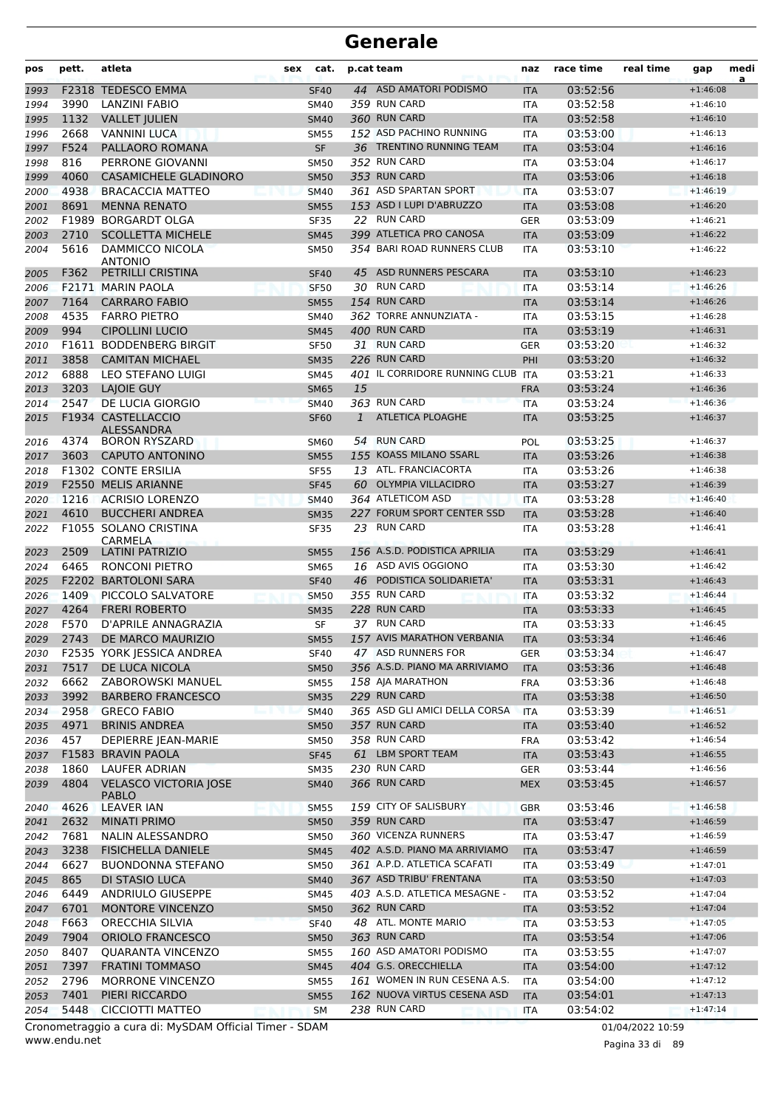| pos  | pett. | atleta                                       | sex | cat.        |              | p.cat team                    | naz        | race time | real time | gap        | medi<br>a |
|------|-------|----------------------------------------------|-----|-------------|--------------|-------------------------------|------------|-----------|-----------|------------|-----------|
| 1993 | F2318 | <b>TEDESCO EMMA</b>                          |     | <b>SF40</b> |              | 44 ASD AMATORI PODISMO        | <b>ITA</b> | 03:52:56  |           | $+1:46:08$ |           |
| 1994 | 3990  | LANZINI FABIO                                |     | <b>SM40</b> |              | 359 RUN CARD                  | <b>ITA</b> | 03:52:58  |           | $+1:46:10$ |           |
| 1995 | 1132  | <b>VALLET JULIEN</b>                         |     | <b>SM40</b> |              | 360 RUN CARD                  | <b>ITA</b> | 03:52:58  |           | $+1:46:10$ |           |
| 1996 | 2668  | <b>VANNINI LUCA</b>                          |     | <b>SM55</b> |              | 152 ASD PACHINO RUNNING       | <b>ITA</b> | 03:53:00  |           | $+1:46:13$ |           |
| 1997 | F524  | PALLAORO ROMANA                              |     | <b>SF</b>   |              | 36 TRENTINO RUNNING TEAM      | <b>ITA</b> | 03:53:04  |           | $+1:46:16$ |           |
| 1998 | 816   | PERRONE GIOVANNI                             |     | <b>SM50</b> |              | 352 RUN CARD                  | <b>ITA</b> | 03:53:04  |           | $+1:46:17$ |           |
| 1999 | 4060  | <b>CASAMICHELE GLADINORO</b>                 |     | <b>SM50</b> |              | 353 RUN CARD                  | <b>ITA</b> | 03:53:06  |           | $+1:46:18$ |           |
| 2000 | 4938  | <b>BRACACCIA MATTEO</b>                      |     | <b>SM40</b> |              | 361 ASD SPARTAN SPORT         | <b>ITA</b> | 03:53:07  |           | $+1:46:19$ |           |
| 2001 | 8691  | <b>MENNA RENATO</b>                          |     | <b>SM55</b> |              | 153 ASD I LUPI D'ABRUZZO      | <b>ITA</b> | 03:53:08  |           | $+1:46:20$ |           |
| 2002 | F1989 | <b>BORGARDT OLGA</b>                         |     | <b>SF35</b> | 22           | <b>RUN CARD</b>               | <b>GER</b> | 03:53:09  |           | $+1:46:21$ |           |
| 2003 | 2710  | <b>SCOLLETTA MICHELE</b>                     |     | <b>SM45</b> |              | 399 ATLETICA PRO CANOSA       | <b>ITA</b> | 03:53:09  |           | $+1:46:22$ |           |
| 2004 | 5616  | DAMMICCO NICOLA<br><b>ANTONIO</b>            |     | <b>SM50</b> |              | 354 BARI ROAD RUNNERS CLUB    | <b>ITA</b> | 03:53:10  |           | $+1:46:22$ |           |
| 2005 | F362  | PETRILLI CRISTINA                            |     | <b>SF40</b> | 45           | ASD RUNNERS PESCARA           | <b>ITA</b> | 03:53:10  |           | $+1:46:23$ |           |
| 2006 |       | F2171 MARIN PAOLA                            |     | <b>SF50</b> |              | 30 RUN CARD                   | <b>ITA</b> | 03:53:14  |           | $+1:46:26$ |           |
| 2007 | 7164  | <b>CARRARO FABIO</b>                         |     | <b>SM55</b> |              | 154 RUN CARD                  | <b>ITA</b> | 03:53:14  |           | $+1:46:26$ |           |
| 2008 | 4535  | <b>FARRO PIETRO</b>                          |     | <b>SM40</b> |              | 362 TORRE ANNUNZIATA -        | <b>ITA</b> | 03:53:15  |           | $+1:46:28$ |           |
| 2009 | 994   | <b>CIPOLLINI LUCIO</b>                       |     | <b>SM45</b> |              | 400 RUN CARD                  | <b>ITA</b> | 03:53:19  |           | $+1:46:31$ |           |
| 2010 |       | F1611 BODDENBERG BIRGIT                      |     | <b>SF50</b> |              | 31 RUN CARD                   | <b>GER</b> | 03:53:20  |           | $+1:46:32$ |           |
| 2011 | 3858  | <b>CAMITAN MICHAEL</b>                       |     | <b>SM35</b> |              | 226 RUN CARD                  | PHI        | 03:53:20  |           | $+1:46:32$ |           |
| 2012 | 6888  | LEO STEFANO LUIGI                            |     | <b>SM45</b> |              | 401 IL CORRIDORE RUNNING CLUB | <b>ITA</b> | 03:53:21  |           | $+1:46:33$ |           |
| 2013 | 3203  | LAJOIE GUY                                   |     | <b>SM65</b> | 15           |                               | <b>FRA</b> | 03:53:24  |           | $+1:46:36$ |           |
| 2014 | 2547  | <b>DE LUCIA GIORGIO</b>                      |     | <b>SM40</b> |              | 363 RUN CARD                  | <b>ITA</b> | 03:53:24  |           | $+1:46:36$ |           |
| 2015 |       | F1934 CASTELLACCIO<br>ALESSANDRA             |     | <b>SF60</b> | $\mathbf{1}$ | <b>ATLETICA PLOAGHE</b>       | <b>ITA</b> | 03:53:25  |           | $+1:46:37$ |           |
| 2016 | 4374  | <b>BORON RYSZARD</b>                         |     | <b>SM60</b> | 54           | <b>RUN CARD</b>               | POL        | 03:53:25  |           | $+1:46:37$ |           |
| 2017 | 3603  | CAPUTO ANTONINO                              |     | <b>SM55</b> |              | 155 KOASS MILANO SSARL        | <b>ITA</b> | 03:53:26  |           | $+1:46:38$ |           |
| 2018 |       | <b>F1302 CONTE ERSILIA</b>                   |     | <b>SF55</b> |              | 13 ATL. FRANCIACORTA          | <b>ITA</b> | 03:53:26  |           | $+1:46:38$ |           |
| 2019 |       | F2550 MELIS ARIANNE                          |     | <b>SF45</b> | 60           | <b>OLYMPIA VILLACIDRO</b>     | <b>ITA</b> | 03:53:27  |           | $+1:46:39$ |           |
| 2020 | 1216  | <b>ACRISIO LORENZO</b>                       |     | <b>SM40</b> |              | 364 ATLETICOM ASD             | <b>ITA</b> | 03:53:28  |           | $+1:46:40$ |           |
| 2021 | 4610  | <b>BUCCHERI ANDREA</b>                       |     | <b>SM35</b> |              | 227 FORUM SPORT CENTER SSD    | <b>ITA</b> | 03:53:28  |           | $+1:46:40$ |           |
| 2022 |       | F1055 SOLANO CRISTINA<br>CARMELA             |     | SF35        | 23           | <b>RUN CARD</b>               | ITA        | 03:53:28  |           | $+1:46:41$ |           |
| 2023 | 2509  | <b>LATINI PATRIZIO</b>                       |     | <b>SM55</b> |              | 156 A.S.D. PODISTICA APRILIA  | <b>ITA</b> | 03:53:29  |           | $+1:46:41$ |           |
| 2024 | 6465  | RONCONI PIETRO                               |     | <b>SM65</b> |              | 16 ASD AVIS OGGIONO           | <b>ITA</b> | 03:53:30  |           | $+1:46:42$ |           |
| 2025 |       | F2202 BARTOLONI SARA                         |     | <b>SF40</b> | 46           | PODISTICA SOLIDARIETA'        | <b>ITA</b> | 03:53:31  |           | $+1:46:43$ |           |
| 2026 | 1409  | PICCOLO SALVATORE                            |     | <b>SM50</b> |              | 355 RUN CARD                  | ITA        | 03:53:32  |           | $+1:46:44$ |           |
| 2027 | 4264  | <b>FRERI ROBERTO</b>                         |     | <b>SM35</b> |              | 228 RUN CARD                  | <b>ITA</b> | 03:53:33  |           | $+1:46:45$ |           |
| 2028 | F570  | D'APRILE ANNAGRAZIA                          |     | SF          |              | 37 RUN CARD                   | <b>ITA</b> | 03:53:33  |           | $+1:46:45$ |           |
| 2029 | 2743  | DE MARCO MAURIZIO                            |     | <b>SM55</b> |              | 157 AVIS MARATHON VERBANIA    | <b>ITA</b> | 03:53:34  |           | $+1:46:46$ |           |
| 2030 |       | F2535 YORK JESSICA ANDREA                    |     | <b>SF40</b> |              | 47 ASD RUNNERS FOR            | <b>GER</b> | 03:53:34  |           | $+1:46:47$ |           |
| 2031 | 7517  | DE LUCA NICOLA                               |     | <b>SM50</b> |              | 356 A.S.D. PIANO MA ARRIVIAMO | <b>ITA</b> | 03:53:36  |           | $+1:46:48$ |           |
| 2032 | 6662  | ZABOROWSKI MANUEL                            |     | <b>SM55</b> |              | 158 AJA MARATHON              | <b>FRA</b> | 03:53:36  |           | $+1:46:48$ |           |
| 2033 | 3992  | <b>BARBERO FRANCESCO</b>                     |     | <b>SM35</b> |              | 229 RUN CARD                  | <b>ITA</b> | 03:53:38  |           | $+1:46:50$ |           |
| 2034 | 2958  | <b>GRECO FABIO</b>                           |     | <b>SM40</b> |              | 365 ASD GLI AMICI DELLA CORSA | <b>ITA</b> | 03:53:39  |           | $+1:46:51$ |           |
| 2035 | 4971  | <b>BRINIS ANDREA</b>                         |     | <b>SM50</b> |              | 357 RUN CARD                  | <b>ITA</b> | 03:53:40  |           | $+1:46:52$ |           |
| 2036 | 457   | <b>DEPIERRE JEAN-MARIE</b>                   |     | <b>SM50</b> |              | 358 RUN CARD                  | <b>FRA</b> | 03:53:42  |           | $+1:46:54$ |           |
| 2037 |       | F1583 BRAVIN PAOLA                           |     | <b>SF45</b> |              | 61 LBM SPORT TEAM             | <b>ITA</b> | 03:53:43  |           | $+1:46:55$ |           |
| 2038 | 1860  | <b>LAUFER ADRIAN</b>                         |     | <b>SM35</b> |              | 230 RUN CARD                  | <b>GER</b> | 03:53:44  |           | $+1:46:56$ |           |
| 2039 | 4804  | <b>VELASCO VICTORIA JOSE</b><br><b>PABLO</b> |     | <b>SM40</b> |              | 366 RUN CARD                  | <b>MEX</b> | 03:53:45  |           | $+1:46:57$ |           |
| 2040 | 4626  | <b>LEAVER IAN</b>                            |     | <b>SM55</b> |              | 159 CITY OF SALISBURY         | <b>GBR</b> | 03:53:46  |           | $+1:46:58$ |           |
| 2041 | 2632  | <b>MINATI PRIMO</b>                          |     | <b>SM50</b> |              | 359 RUN CARD                  | <b>ITA</b> | 03:53:47  |           | $+1:46:59$ |           |
| 2042 | 7681  | NALIN ALESSANDRO                             |     | <b>SM50</b> |              | 360 VICENZA RUNNERS           | ITA        | 03:53:47  |           | $+1:46:59$ |           |
| 2043 | 3238  | <b>FISICHELLA DANIELE</b>                    |     | <b>SM45</b> |              | 402 A.S.D. PIANO MA ARRIVIAMO | <b>ITA</b> | 03:53:47  |           | $+1:46:59$ |           |
| 2044 | 6627  | <b>BUONDONNA STEFANO</b>                     |     | <b>SM50</b> |              | 361 A.P.D. ATLETICA SCAFATI   | ITA        | 03:53:49  |           | $+1:47:01$ |           |
| 2045 | 865   | DI STASIO LUCA                               |     | <b>SM40</b> |              | 367 ASD TRIBU' FRENTANA       | <b>ITA</b> | 03:53:50  |           | $+1:47:03$ |           |
| 2046 | 6449  | <b>ANDRIULO GIUSEPPE</b>                     |     | <b>SM45</b> |              | 403 A.S.D. ATLETICA MESAGNE - | <b>ITA</b> | 03:53:52  |           | $+1:47:04$ |           |
| 2047 | 6701  | MONTORE VINCENZO                             |     | <b>SM50</b> |              | 362 RUN CARD                  | <b>ITA</b> | 03:53:52  |           | $+1:47:04$ |           |
| 2048 | F663  | <b>ORECCHIA SILVIA</b>                       |     | <b>SF40</b> |              | 48 ATL. MONTE MARIO           | <b>ITA</b> | 03:53:53  |           | $+1:47:05$ |           |
| 2049 | 7904  | <b>ORIOLO FRANCESCO</b>                      |     | <b>SM50</b> |              | 363 RUN CARD                  | <b>ITA</b> | 03:53:54  |           | $+1:47:06$ |           |
| 2050 | 8407  | <b>QUARANTA VINCENZO</b>                     |     | <b>SM55</b> |              | 160 ASD AMATORI PODISMO       | ITA        | 03:53:55  |           | $+1:47:07$ |           |
| 2051 | 7397  | <b>FRATINI TOMMASO</b>                       |     | <b>SM45</b> |              | 404 G.S. ORECCHIELLA          | <b>ITA</b> | 03:54:00  |           | $+1:47:12$ |           |
| 2052 | 2796  | MORRONE VINCENZO                             |     | <b>SM55</b> |              | 161 WOMEN IN RUN CESENA A.S.  | ITA        | 03:54:00  |           | $+1:47:12$ |           |
| 2053 | 7401  | PIERI RICCARDO                               |     | <b>SM55</b> |              | 162 NUOVA VIRTUS CESENA ASD   | <b>ITA</b> | 03:54:01  |           | $+1:47:13$ |           |
| 2054 | 5448  | CICCIOTTI MATTEO                             |     | SM          |              | 238 RUN CARD                  | ITA        | 03:54:02  |           | $+1:47:14$ |           |

www.endu.net Cronometraggio a cura di: MySDAM Official Timer - SDAM 01/04/2022 10:59

Pagina 33 di 89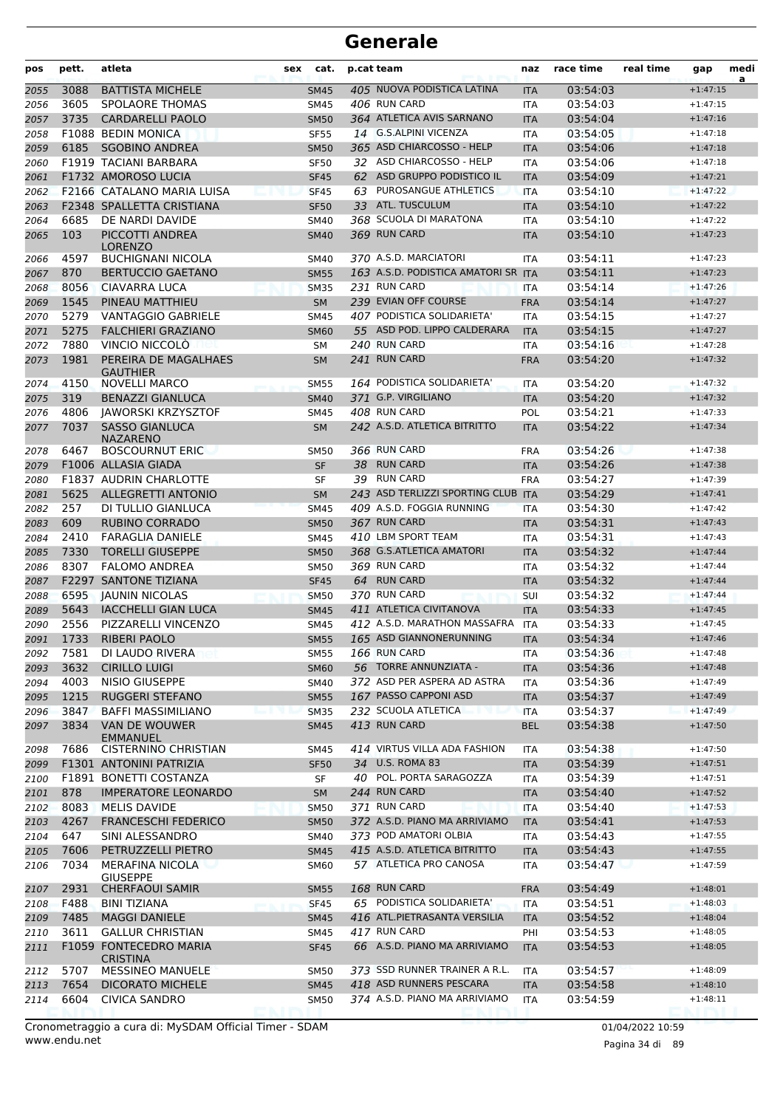| pos  | pett. | atleta                                    | sex | cat.        | p.cat team |                                     | naz        | race time | real time | gap        | medi<br>a |
|------|-------|-------------------------------------------|-----|-------------|------------|-------------------------------------|------------|-----------|-----------|------------|-----------|
| 2055 | 3088  | <b>BATTISTA MICHELE</b>                   |     | <b>SM45</b> |            | 405 NUOVA PODISTICA LATINA          | <b>ITA</b> | 03:54:03  |           | $+1:47:15$ |           |
| 2056 | 3605  | <b>SPOLAORE THOMAS</b>                    |     | <b>SM45</b> |            | 406 RUN CARD                        | <b>ITA</b> | 03:54:03  |           | $+1:47:15$ |           |
| 2057 | 3735  | <b>CARDARELLI PAOLO</b>                   |     | <b>SM50</b> |            | 364 ATLETICA AVIS SARNANO           | <b>ITA</b> | 03:54:04  |           | $+1:47:16$ |           |
| 2058 |       | <b>F1088 BEDIN MONICA</b>                 |     | <b>SF55</b> |            | 14 G.S.ALPINI VICENZA               | <b>ITA</b> | 03:54:05  |           | $+1:47:18$ |           |
| 2059 | 6185  | <b>SGOBINO ANDREA</b>                     |     | <b>SM50</b> |            | 365 ASD CHIARCOSSO - HELP           | <b>ITA</b> | 03:54:06  |           | $+1:47:18$ |           |
| 2060 |       | F1919 TACIANI BARBARA                     |     | <b>SF50</b> |            | 32 ASD CHIARCOSSO - HELP            | <b>ITA</b> | 03:54:06  |           | $+1:47:18$ |           |
| 2061 |       | <b>F1732 AMOROSO LUCIA</b>                |     | <b>SF45</b> |            | 62 ASD GRUPPO PODISTICO IL          | <b>ITA</b> | 03:54:09  |           | $+1:47:21$ |           |
| 2062 |       | F2166 CATALANO MARIA LUISA                |     | <b>SF45</b> | 63         | PUROSANGUE ATHLETICS                | <b>ITA</b> | 03:54:10  |           | $+1:47:22$ |           |
| 2063 |       | <b>F2348 SPALLETTA CRISTIANA</b>          |     | <b>SF50</b> |            | 33 ATL. TUSCULUM                    | <b>ITA</b> | 03:54:10  |           | $+1:47:22$ |           |
| 2064 | 6685  | DE NARDI DAVIDE                           |     | <b>SM40</b> |            | 368 SCUOLA DI MARATONA              | <b>ITA</b> | 03:54:10  |           | $+1:47:22$ |           |
| 2065 | 103   | PICCOTTI ANDREA<br><b>LORENZO</b>         |     | <b>SM40</b> |            | 369 RUN CARD                        | <b>ITA</b> | 03:54:10  |           | $+1:47:23$ |           |
| 2066 | 4597  | <b>BUCHIGNANI NICOLA</b>                  |     | <b>SM40</b> |            | 370 A.S.D. MARCIATORI               | ITA        | 03:54:11  |           | $+1:47:23$ |           |
| 2067 | 870   | <b>BERTUCCIO GAETANO</b>                  |     | <b>SM55</b> |            | 163 A.S.D. PODISTICA AMATORI SR ITA |            | 03:54:11  |           | $+1:47:23$ |           |
| 2068 | 8056  | <b>CIAVARRA LUCA</b>                      |     | <b>SM35</b> |            | 231 RUN CARD                        | <b>ITA</b> | 03:54:14  |           | $+1:47:26$ |           |
| 2069 | 1545  | PINEAU MATTHIEU                           |     | <b>SM</b>   |            | 239 EVIAN OFF COURSE                | <b>FRA</b> | 03:54:14  |           | $+1:47:27$ |           |
| 2070 | 5279  | <b>VANTAGGIO GABRIELE</b>                 |     | <b>SM45</b> |            | 407 PODISTICA SOLIDARIETA'          | <b>ITA</b> | 03:54:15  |           | $+1:47:27$ |           |
| 2071 | 5275  | <b>FALCHIERI GRAZIANO</b>                 |     | <b>SM60</b> |            | 55 ASD POD. LIPPO CALDERARA         | <b>ITA</b> | 03:54:15  |           | $+1:47:27$ |           |
| 2072 | 7880  | VINCIO NICCOLO                            |     | <b>SM</b>   |            | 240 RUN CARD                        | <b>ITA</b> | 03:54:16  |           | $+1:47:28$ |           |
| 2073 | 1981  | PEREIRA DE MAGALHAES<br><b>GAUTHIER</b>   |     | <b>SM</b>   |            | 241 RUN CARD                        | <b>FRA</b> | 03:54:20  |           | $+1:47:32$ |           |
| 2074 | 4150  | <b>NOVELLI MARCO</b>                      |     | <b>SM55</b> |            | 164 PODISTICA SOLIDARIETA'          | <b>ITA</b> | 03:54:20  |           | $+1:47:32$ |           |
| 2075 | 319   | <b>BENAZZI GIANLUCA</b>                   |     | <b>SM40</b> |            | 371 G.P. VIRGILIANO                 | <b>ITA</b> | 03:54:20  |           | $+1:47:32$ |           |
| 2076 | 4806  | <b>JAWORSKI KRZYSZTOF</b>                 |     | <b>SM45</b> |            | 408 RUN CARD                        | POL        | 03:54:21  |           | $+1:47:33$ |           |
| 2077 | 7037  | <b>SASSO GIANLUCA</b><br><b>NAZARENO</b>  |     | <b>SM</b>   |            | 242 A.S.D. ATLETICA BITRITTO        | <b>ITA</b> | 03:54:22  |           | $+1:47:34$ |           |
| 2078 | 6467  | <b>BOSCOURNUT ERIC</b>                    |     | <b>SM50</b> |            | 366 RUN CARD                        | <b>FRA</b> | 03:54:26  |           | $+1:47:38$ |           |
| 2079 |       | F1006 ALLASIA GIADA                       |     | <b>SF</b>   | 38         | <b>RUN CARD</b>                     | <b>ITA</b> | 03:54:26  |           | $+1:47:38$ |           |
| 2080 |       | <b>F1837 AUDRIN CHARLOTTE</b>             |     | SF          |            | 39 RUN CARD                         | <b>FRA</b> | 03:54:27  |           | $+1:47:39$ |           |
| 2081 | 5625  | <b>ALLEGRETTI ANTONIO</b>                 |     | <b>SM</b>   |            | 243 ASD TERLIZZI SPORTING CLUB ITA  |            | 03:54:29  |           | $+1:47:41$ |           |
| 2082 | 257   | DI TULLIO GIANLUCA                        |     | <b>SM45</b> |            | 409 A.S.D. FOGGIA RUNNING           | <b>ITA</b> | 03:54:30  |           | $+1:47:42$ |           |
| 2083 | 609   | <b>RUBINO CORRADO</b>                     |     | <b>SM50</b> |            | 367 RUN CARD                        | <b>ITA</b> | 03:54:31  |           | $+1:47:43$ |           |
| 2084 | 2410  | <b>FARAGLIA DANIELE</b>                   |     | <b>SM45</b> |            | 410 LBM SPORT TEAM                  | <b>ITA</b> | 03:54:31  |           | $+1:47:43$ |           |
| 2085 | 7330  | <b>TORELLI GIUSEPPE</b>                   |     | <b>SM50</b> |            | 368 G.S.ATLETICA AMATORI            | <b>ITA</b> | 03:54:32  |           | $+1:47:44$ |           |
| 2086 | 8307  | <b>FALOMO ANDREA</b>                      |     | <b>SM50</b> |            | 369 RUN CARD                        | <b>ITA</b> | 03:54:32  |           | $+1:47:44$ |           |
| 2087 | F2297 | <b>SANTONE TIZIANA</b>                    |     | <b>SF45</b> |            | 64 RUN CARD                         | <b>ITA</b> | 03:54:32  |           | $+1:47:44$ |           |
| 2088 | 6595  | <b>JAUNIN NICOLAS</b>                     |     | <b>SM50</b> |            | 370 RUN CARD                        | SUI        | 03:54:32  |           | $+1:47:44$ |           |
| 2089 | 5643  | <b>IACCHELLI GIAN LUCA</b>                |     | <b>SM45</b> |            | 411 ATLETICA CIVITANOVA             | <b>ITA</b> | 03:54:33  |           | $+1:47:45$ |           |
| 2090 | 2556  | PIZZARELLI VINCENZO                       |     | <b>SM45</b> |            | 412 A.S.D. MARATHON MASSAFRA        | <b>ITA</b> | 03:54:33  |           | $+1:47:45$ |           |
| 2091 | 1733  | <b>RIBERI PAOLO</b>                       |     | <b>SM55</b> |            | 165 ASD GIANNONERUNNING             | <b>ITA</b> | 03:54:34  |           | $+1:47:46$ |           |
| 2092 | 7581  | DI LAUDO RIVERA                           |     | <b>SM55</b> |            | 166 RUN CARD                        | ITA        | 03:54:36  |           | $+1:47:48$ |           |
| 2093 | 3632  | <b>CIRILLO LUIGI</b>                      |     | <b>SM60</b> |            | 56 TORRE ANNUNZIATA -               | <b>ITA</b> | 03:54:36  |           | $+1:47:48$ |           |
| 2094 | 4003  | NISIO GIUSEPPE                            |     | <b>SM40</b> |            | 372 ASD PER ASPERA AD ASTRA         | ITA        | 03:54:36  |           | $+1:47:49$ |           |
| 2095 | 1215  | RUGGERI STEFANO                           |     | <b>SM55</b> |            | 167 PASSO CAPPONI ASD               | <b>ITA</b> | 03:54:37  |           | $+1:47:49$ |           |
| 2096 | 3847  | <b>BAFFI MASSIMILIANO</b>                 |     | <b>SM35</b> |            | 232 SCUOLA ATLETICA                 | <b>ITA</b> | 03:54:37  |           | $+1:47:49$ |           |
| 2097 | 3834  | VAN DE WOUWER<br><b>EMMANUEL</b>          |     | <b>SM45</b> |            | 413 RUN CARD                        | <b>BEL</b> | 03:54:38  |           | $+1:47:50$ |           |
| 2098 | 7686  | <b>CISTERNINO CHRISTIAN</b>               |     | SM45        |            | 414 VIRTUS VILLA ADA FASHION        | ITA        | 03:54:38  |           | $+1:47:50$ |           |
| 2099 |       | F1301 ANTONINI PATRIZIA                   |     | <b>SF50</b> |            | 34 U.S. ROMA 83                     | <b>ITA</b> | 03:54:39  |           | $+1:47:51$ |           |
| 2100 |       | F1891 BONETTI COSTANZA                    |     | SF          |            | 40 POL. PORTA SARAGOZZA             | <b>ITA</b> | 03:54:39  |           | $+1:47:51$ |           |
| 2101 | 878   | <b>IMPERATORE LEONARDO</b>                |     | <b>SM</b>   |            | 244 RUN CARD                        | <b>ITA</b> | 03:54:40  |           | $+1:47:52$ |           |
| 2102 | 8083  | MELIS DAVIDE                              |     | <b>SM50</b> |            | 371 RUN CARD                        | <b>ITA</b> | 03:54:40  |           | $+1:47:53$ |           |
| 2103 | 4267  | <b>FRANCESCHI FEDERICO</b>                |     | <b>SM50</b> |            | 372 A.S.D. PIANO MA ARRIVIAMO       | <b>ITA</b> | 03:54:41  |           | $+1:47:53$ |           |
| 2104 | 647   | SINI ALESSANDRO                           |     | <b>SM40</b> |            | 373 POD AMATORI OLBIA               | ITA        | 03:54:43  |           | $+1:47:55$ |           |
| 2105 | 7606  | PETRUZZELLI PIETRO                        |     | <b>SM45</b> |            | 415 A.S.D. ATLETICA BITRITTO        | <b>ITA</b> | 03:54:43  |           | $+1:47:55$ |           |
| 2106 | 7034  | MERAFINA NICOLA<br><b>GIUSEPPE</b>        |     | <b>SM60</b> |            | 57 ATLETICA PRO CANOSA              | ITA        | 03:54:47  |           | $+1:47:59$ |           |
| 2107 | 2931  | <b>CHERFAOUI SAMIR</b>                    |     | <b>SM55</b> |            | 168 RUN CARD                        | <b>FRA</b> | 03:54:49  |           | $+1:48:01$ |           |
| 2108 | F488  | <b>BINI TIZIANA</b>                       |     | <b>SF45</b> |            | 65 PODISTICA SOLIDARIETA'           | ITA        | 03:54:51  |           | $+1:48:03$ |           |
| 2109 | 7485  | <b>MAGGI DANIELE</b>                      |     | <b>SM45</b> |            | 416 ATL.PIETRASANTA VERSILIA        | <b>ITA</b> | 03:54:52  |           | $+1:48:04$ |           |
| 2110 | 3611  | <b>GALLUR CHRISTIAN</b>                   |     | <b>SM45</b> |            | 417 RUN CARD                        | PHI        | 03:54:53  |           | $+1:48:05$ |           |
| 2111 |       | F1059 FONTECEDRO MARIA<br><b>CRISTINA</b> |     | <b>SF45</b> |            | 66 A.S.D. PIANO MA ARRIVIAMO        | <b>ITA</b> | 03:54:53  |           | $+1:48:05$ |           |
| 2112 | 5707  | <b>MESSINEO MANUELE</b>                   |     | <b>SM50</b> |            | 373 SSD RUNNER TRAINER A R.L.       | ITA        | 03:54:57  |           | $+1:48:09$ |           |
| 2113 | 7654  | <b>DICORATO MICHELE</b>                   |     | <b>SM45</b> |            | 418 ASD RUNNERS PESCARA             | <b>ITA</b> | 03:54:58  |           | $+1:48:10$ |           |
| 2114 | 6604  | <b>CIVICA SANDRO</b>                      |     | <b>SM50</b> |            | 374 A.S.D. PIANO MA ARRIVIAMO       | <b>ITA</b> | 03:54:59  |           | $+1:48:11$ |           |

www.endu.net Cronometraggio a cura di: MySDAM Official Timer - SDAM 01/04/2022 10:59

Pagina 34 di 89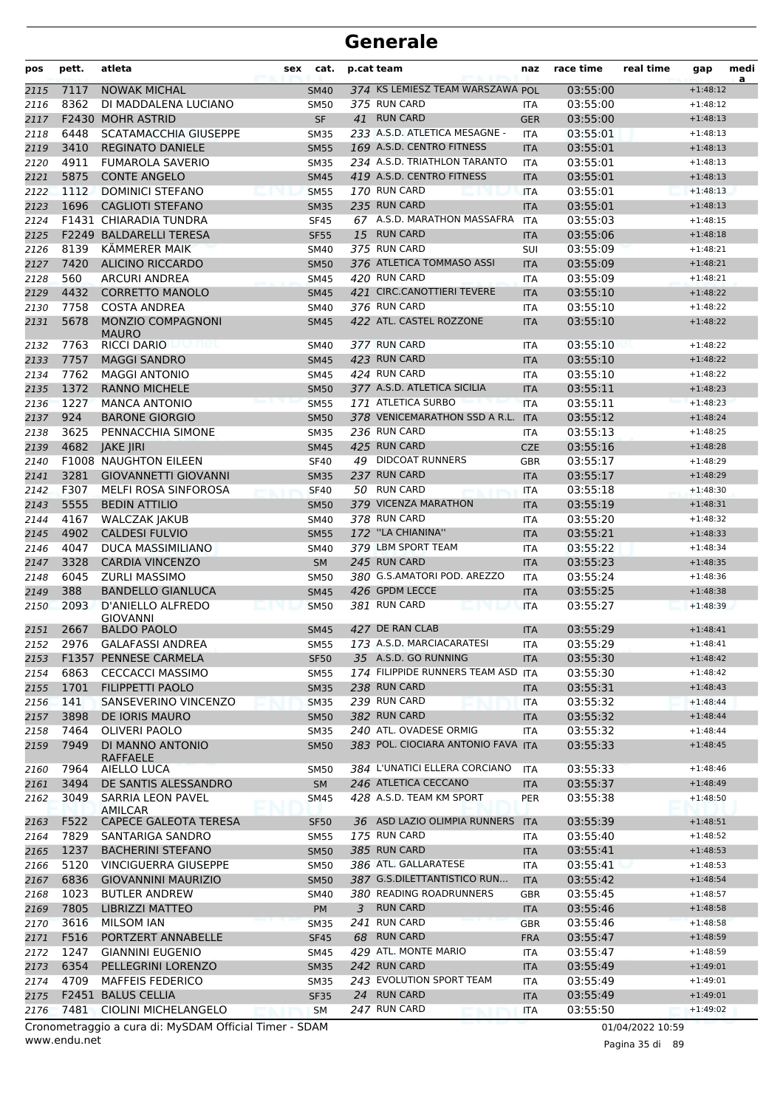| pos          | pett.        | atleta                                             | sex | cat.                       | p.cat team                                                   | naz                      | race time            | real time | gap                      | medi<br>a |
|--------------|--------------|----------------------------------------------------|-----|----------------------------|--------------------------------------------------------------|--------------------------|----------------------|-----------|--------------------------|-----------|
| 2115         | 7117         | <b>NOWAK MICHAL</b>                                |     | <b>SM40</b>                | 374 KS LEMIESZ TEAM WARSZAWA POL                             |                          | 03:55:00             |           | $+1:48:12$               |           |
| 2116         | 8362         | DI MADDALENA LUCIANO                               |     | <b>SM50</b>                | 375 RUN CARD                                                 | <b>ITA</b>               | 03:55:00             |           | $+1:48:12$               |           |
| 2117         |              | F2430 MOHR ASTRID                                  |     | <b>SF</b>                  | 41 RUN CARD                                                  | <b>GER</b>               | 03:55:00             |           | $+1:48:13$               |           |
| 2118         | 6448         | SCATAMACCHIA GIUSEPPE                              |     | <b>SM35</b>                | 233 A.S.D. ATLETICA MESAGNE -                                | ITA                      | 03:55:01             |           | $+1:48:13$               |           |
| 2119         | 3410         | <b>REGINATO DANIELE</b>                            |     | <b>SM55</b>                | 169 A.S.D. CENTRO FITNESS                                    | <b>ITA</b>               | 03:55:01             |           | $+1:48:13$               |           |
| 2120         | 4911         | <b>FUMAROLA SAVERIO</b>                            |     | <b>SM35</b>                | 234 A.S.D. TRIATHLON TARANTO                                 | <b>ITA</b>               | 03:55:01             |           | $+1:48:13$               |           |
| 2121         | 5875         | <b>CONTE ANGELO</b>                                |     | <b>SM45</b>                | 419 A.S.D. CENTRO FITNESS                                    | <b>ITA</b>               | 03:55:01             |           | $+1:48:13$               |           |
| 2122         | 1112         | <b>DOMINICI STEFANO</b>                            |     | <b>SM55</b>                | 170 RUN CARD                                                 | <b>ITA</b>               | 03:55:01             |           | $+1:48:13$               |           |
| 2123         | 1696         | <b>CAGLIOTI STEFANO</b>                            |     | <b>SM35</b>                | 235 RUN CARD                                                 | <b>ITA</b>               | 03:55:01             |           | $+1:48:13$               |           |
| 2124         |              | F1431 CHIARADIA TUNDRA                             |     | <b>SF45</b>                | 67 A.S.D. MARATHON MASSAFRA                                  | <b>ITA</b>               | 03:55:03             |           | $+1:48:15$               |           |
| 2125         |              | F2249 BALDARELLI TERESA                            |     | <b>SF55</b>                | 15 RUN CARD                                                  | <b>ITA</b>               | 03:55:06             |           | $+1:48:18$               |           |
| 2126         | 8139         | KÄMMERER MAIK                                      |     | <b>SM40</b>                | 375 RUN CARD                                                 | SUI                      | 03:55:09             |           | $+1:48:21$               |           |
| 2127         | 7420         | <b>ALICINO RICCARDO</b>                            |     | <b>SM50</b>                | 376 ATLETICA TOMMASO ASSI                                    | <b>ITA</b>               | 03:55:09             |           | $+1:48:21$               |           |
| 2128         | 560          | <b>ARCURI ANDREA</b>                               |     | <b>SM45</b>                | 420 RUN CARD                                                 | <b>ITA</b>               | 03:55:09             |           | $+1:48:21$               |           |
| 2129         | 4432         | <b>CORRETTO MANOLO</b>                             |     | <b>SM45</b>                | 421 CIRC.CANOTTIERI TEVERE                                   | <b>ITA</b>               | 03:55:10             |           | $+1:48:22$               |           |
| 2130         | 7758         | <b>COSTA ANDREA</b>                                |     | <b>SM40</b>                | 376 RUN CARD                                                 | ITA                      | 03:55:10             |           | $+1:48:22$               |           |
| 2131         | 5678         | <b>MONZIO COMPAGNONI</b><br><b>MAURO</b>           |     | <b>SM45</b>                | 422 ATL. CASTEL ROZZONE                                      | <b>ITA</b>               | 03:55:10             |           | $+1:48:22$               |           |
| 2132         | 7763         | <b>RICCI DARIO</b><br>w.net                        |     | <b>SM40</b>                | 377 RUN CARD                                                 | ITA                      | 03:55:10             |           | $+1:48:22$               |           |
| 2133         | 7757         | <b>MAGGI SANDRO</b>                                |     | <b>SM45</b>                | 423 RUN CARD                                                 | <b>ITA</b>               | 03:55:10             |           | $+1:48:22$               |           |
| 2134         | 7762         | <b>MAGGI ANTONIO</b>                               |     | <b>SM45</b>                | 424 RUN CARD                                                 | <b>ITA</b>               | 03:55:10             |           | $+1:48:22$               |           |
| 2135         | 1372         | <b>RANNO MICHELE</b>                               |     | <b>SM50</b>                | 377 A.S.D. ATLETICA SICILIA                                  | <b>ITA</b>               | 03:55:11             |           | $+1:48:23$               |           |
| 2136         | 1227         | <b>MANCA ANTONIO</b>                               |     | <b>SM55</b>                | 171 ATLETICA SURBO                                           | <b>ITA</b>               | 03:55:11             |           | $+1:48:23$               |           |
| 2137         | 924          | <b>BARONE GIORGIO</b>                              |     | <b>SM50</b>                | 378 VENICEMARATHON SSD A R.L.                                | <b>ITA</b>               | 03:55:12             |           | $+1:48:24$               |           |
| 2138         | 3625         | PENNACCHIA SIMONE                                  |     | <b>SM35</b>                | 236 RUN CARD                                                 | ITA                      | 03:55:13             |           | $+1:48:25$               |           |
| 2139         | 4682         | <b>JAKE JIRI</b>                                   |     | <b>SM45</b>                | 425 RUN CARD                                                 | <b>CZE</b>               | 03:55:16             |           | $+1:48:28$               |           |
| 2140         |              | F1008 NAUGHTON EILEEN                              |     | <b>SF40</b>                | 49 DIDCOAT RUNNERS                                           | <b>GBR</b>               | 03:55:17             |           | $+1:48:29$               |           |
| 2141         | 3281         | <b>GIOVANNETTI GIOVANNI</b>                        |     | <b>SM35</b>                | 237 RUN CARD                                                 | <b>ITA</b>               | 03:55:17             |           | $+1:48:29$               |           |
| 2142         | F307         | MELFI ROSA SINFOROSA                               |     | <b>SF40</b>                | 50 RUN CARD                                                  | <b>ITA</b>               | 03:55:18             |           | $+1:48:30$               |           |
| 2143         | 5555         | <b>BEDIN ATTILIO</b>                               |     | <b>SM50</b>                | 379 VICENZA MARATHON                                         | <b>ITA</b>               | 03:55:19             |           | $+1:48:31$               |           |
| 2144         | 4167         | <b>WALCZAK JAKUB</b>                               |     | <b>SM40</b>                | 378 RUN CARD                                                 | ITA                      | 03:55:20             |           | $+1:48:32$               |           |
| 2145         | 4902         | <b>CALDESI FULVIO</b>                              |     | <b>SM55</b>                | 172 "LA CHIANINA"                                            | <b>ITA</b>               | 03:55:21             |           | $+1:48:33$               |           |
| 2146         | 4047         | <b>DUCA MASSIMILIANO</b>                           |     | <b>SM40</b>                | 379 LBM SPORT TEAM                                           | <b>ITA</b>               | 03:55:22             |           | $+1:48:34$               |           |
| 2147         | 3328         | <b>CARDIA VINCENZO</b>                             |     | <b>SM</b>                  | 245 RUN CARD                                                 | <b>ITA</b>               | 03:55:23             |           | $+1:48:35$               |           |
| 2148         | 6045         | <b>ZURLI MASSIMO</b>                               |     | <b>SM50</b>                | 380 G.S.AMATORI POD. AREZZO                                  | <b>ITA</b>               | 03:55:24             |           | $+1:48:36$               |           |
| 2149         | 388          | <b>BANDELLO GIANLUCA</b>                           |     | <b>SM45</b>                | 426 GPDM LECCE                                               | <b>ITA</b>               | 03:55:25             |           | $+1:48:38$               |           |
| 2150         | 2093         | D'ANIELLO ALFREDO<br><b>GIOVANNI</b>               |     | <b>SM50</b>                | 381 RUN CARD<br>متاز الازالات                                | <b>ITA</b>               | 03:55:27             |           | $+1:48:39$               |           |
| 2151         | 2667         | <b>BALDO PAOLO</b>                                 |     | <b>SM45</b>                | 427 DE RAN CLAB                                              | <b>ITA</b>               | 03:55:29             |           | $+1:48:41$               |           |
| 2152         | 2976         | <b>GALAFASSI ANDREA</b>                            |     | <b>SM55</b>                | 173 A.S.D. MARCIACARATESI                                    | <b>ITA</b>               | 03:55:29             |           | $+1:48:41$               |           |
| 2153         |              | <b>F1357 PENNESE CARMELA</b>                       |     | <b>SF50</b>                | 35 A.S.D. GO RUNNING                                         | <b>ITA</b>               | 03:55:30             |           | $+1:48:42$               |           |
| 2154         | 6863         | <b>CECCACCI MASSIMO</b>                            |     | <b>SM55</b>                | 174 FILIPPIDE RUNNERS TEAM ASD ITA                           |                          | 03:55:30             |           | $+1:48:42$               |           |
| 2155         | 1701         | <b>FILIPPETTI PAOLO</b>                            |     | <b>SM35</b>                | 238 RUN CARD                                                 | <b>ITA</b>               | 03:55:31             |           | $+1:48:43$               |           |
| 2156         | 141          | SANSEVERINO VINCENZO                               |     | <b>SM35</b>                | 239 RUN CARD                                                 | <b>ITA</b>               | 03:55:32             |           | $+1:48:44$               |           |
| 2157         | 3898         | DE IORIS MAURO                                     |     | <b>SM50</b>                | 382 RUN CARD                                                 | <b>ITA</b>               | 03:55:32             |           | $+1:48:44$               |           |
| 2158<br>2159 | 7464<br>7949 | <b>OLIVERI PAOLO</b><br>DI MANNO ANTONIO           |     | <b>SM35</b><br><b>SM50</b> | 240 ATL. OVADESE ORMIG<br>383 POL. CIOCIARA ANTONIO FAVA ITA | <b>ITA</b>               | 03:55:32<br>03:55:33 |           | $+1:48:44$<br>$+1:48:45$ |           |
|              |              | <b>RAFFAELE</b>                                    |     |                            |                                                              |                          |                      |           |                          |           |
| 2160         | 7964         | AIELLO LUCA                                        |     | SM50                       | 384 L'UNATICI ELLERA CORCIANO                                | ITA                      | 03:55:33             |           | $+1:48:46$               |           |
| 2161<br>2162 | 3494<br>3049 | DE SANTIS ALESSANDRO<br>SARRIA LEON PAVEL          |     | <b>SM</b><br><b>SM45</b>   | 246 ATLETICA CECCANO<br>428 A.S.D. TEAM KM SPORT             | <b>ITA</b><br><b>PER</b> | 03:55:37<br>03:55:38 |           | $+1:48:49$<br>$+1:48:50$ |           |
|              |              | AMILCAR                                            |     |                            |                                                              |                          |                      |           |                          |           |
| 2163         | F522         | <b>CAPECE GALEOTA TERESA</b>                       |     | <b>SF50</b>                | 36 ASD LAZIO OLIMPIA RUNNERS                                 | <b>ITA</b>               | 03:55:39             |           | $+1:48:51$               |           |
| 2164         | 7829         | SANTARIGA SANDRO                                   |     | <b>SM55</b>                | 175 RUN CARD                                                 | <b>ITA</b>               | 03:55:40             |           | $+1:48:52$               |           |
| 2165         | 1237         | <b>BACHERINI STEFANO</b>                           |     | <b>SM50</b>                | 385 RUN CARD<br>386 ATL. GALLARATESE                         | <b>ITA</b>               | 03:55:41             |           | $+1:48:53$               |           |
| 2166         | 5120         | <b>VINCIGUERRA GIUSEPPE</b>                        |     | <b>SM50</b>                |                                                              | <b>ITA</b>               | 03:55:41             |           | $+1:48:53$               |           |
| 2167         | 6836<br>1023 | <b>GIOVANNINI MAURIZIO</b><br><b>BUTLER ANDREW</b> |     | <b>SM50</b>                | 387 G.S.DILETTANTISTICO RUN<br>380 READING ROADRUNNERS       | <b>ITA</b>               | 03:55:42<br>03:55:45 |           | $+1:48:54$<br>$+1:48:57$ |           |
| 2168         |              |                                                    |     | SM40                       | 3 RUN CARD                                                   | <b>GBR</b>               |                      |           |                          |           |
| 2169         | 7805         | LIBRIZZI MATTEO                                    |     | PM                         | 241 RUN CARD                                                 | <b>ITA</b>               | 03:55:46             |           | $+1:48:58$               |           |
| 2170         | 3616<br>F516 | <b>MILSOM IAN</b><br>PORTZERT ANNABELLE            |     | <b>SM35</b>                | 68 RUN CARD                                                  | <b>GBR</b>               | 03:55:46<br>03:55:47 |           | $+1:48:58$<br>$+1:48:59$ |           |
| 2171         |              |                                                    |     | <b>SF45</b>                | 429 ATL. MONTE MARIO                                         | <b>FRA</b>               |                      |           | $+1:48:59$               |           |
| 2172         | 1247<br>6354 | <b>GIANNINI EUGENIO</b><br>PELLEGRINI LORENZO      |     | SM45                       | 242 RUN CARD                                                 | <b>ITA</b><br><b>ITA</b> | 03:55:47<br>03:55:49 |           | $+1:49:01$               |           |
| 2173<br>2174 | 4709         | <b>MAFFEIS FEDERICO</b>                            |     | <b>SM35</b><br><b>SM35</b> | 243 EVOLUTION SPORT TEAM                                     | ITA                      | 03:55:49             |           | $+1:49:01$               |           |
| 2175         |              | F2451 BALUS CELLIA                                 |     | <b>SF35</b>                | 24 RUN CARD                                                  | <b>ITA</b>               | 03:55:49             |           | $+1:49:01$               |           |
| 2176         | 7481         | CIOLINI MICHELANGELO                               |     | <b>SM</b>                  | 247 RUN CARD                                                 | <b>ITA</b>               | 03:55:50             |           | $+1:49:02$               |           |
|              |              |                                                    |     |                            |                                                              |                          |                      |           |                          |           |

www.endu.net Cronometraggio a cura di: MySDAM Official Timer - SDAM 01/04/2022 10:59

Pagina 35 di 89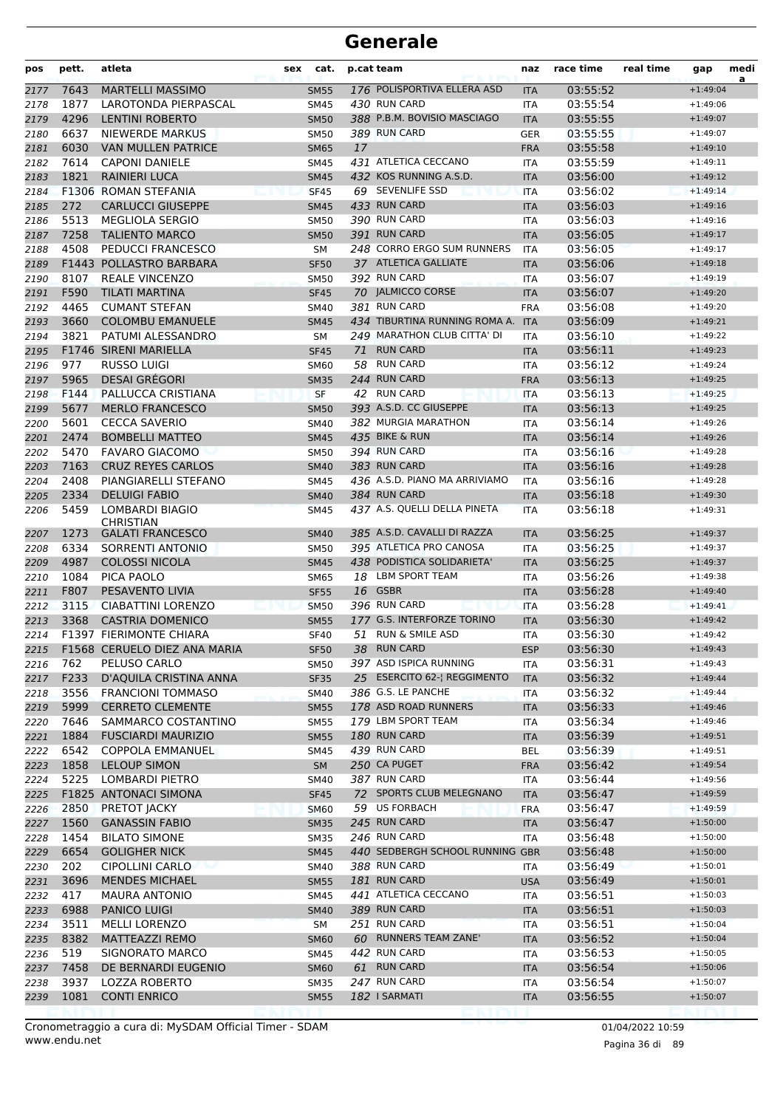| pos  | pett. | atleta                         | sex | cat.        |    | p.cat team                                 | naz        | race time | real time | gap        | medi<br>a |
|------|-------|--------------------------------|-----|-------------|----|--------------------------------------------|------------|-----------|-----------|------------|-----------|
| 2177 | 7643  | <b>MARTELLI MASSIMO</b>        |     | <b>SM55</b> |    | 176 POLISPORTIVA ELLERA ASD                | <b>ITA</b> | 03:55:52  |           | $+1:49:04$ |           |
| 2178 | 1877  | LAROTONDA PIERPASCAL           |     | <b>SM45</b> |    | 430 RUN CARD                               | ITA        | 03:55:54  |           | $+1:49:06$ |           |
| 2179 | 4296  | <b>LENTINI ROBERTO</b>         |     | <b>SM50</b> |    | 388 P.B.M. BOVISIO MASCIAGO                | <b>ITA</b> | 03:55:55  |           | $+1:49:07$ |           |
| 2180 | 6637  | <b>NIEWERDE MARKUS</b>         |     | <b>SM50</b> |    | 389 RUN CARD                               | <b>GER</b> | 03:55:55  |           | $+1:49:07$ |           |
| 2181 | 6030  | <b>VAN MULLEN PATRICE</b>      |     | <b>SM65</b> | 17 |                                            | <b>FRA</b> | 03:55:58  |           | $+1:49:10$ |           |
| 2182 | 7614  | <b>CAPONI DANIELE</b>          |     | SM45        |    | 431 ATLETICA CECCANO                       | ITA        | 03:55:59  |           | $+1:49:11$ |           |
| 2183 | 1821  | <b>RAINIERI LUCA</b>           |     | <b>SM45</b> |    | 432 KOS RUNNING A.S.D.                     | <b>ITA</b> | 03:56:00  |           | $+1:49:12$ |           |
| 2184 |       | F1306 ROMAN STEFANIA           |     | <b>SF45</b> |    | 69 SEVENLIFE SSD                           | <b>ITA</b> | 03:56:02  |           | $+1:49:14$ |           |
| 2185 | 272   | <b>CARLUCCI GIUSEPPE</b>       |     | <b>SM45</b> |    | 433 RUN CARD                               | <b>ITA</b> | 03:56:03  |           | $+1:49:16$ |           |
| 2186 | 5513  | <b>MEGLIOLA SERGIO</b>         |     | <b>SM50</b> |    | 390 RUN CARD                               | ITA        | 03:56:03  |           | $+1:49:16$ |           |
| 2187 | 7258  | <b>TALIENTO MARCO</b>          |     | <b>SM50</b> |    | 391 RUN CARD                               | <b>ITA</b> | 03:56:05  |           | $+1:49:17$ |           |
| 2188 | 4508  | PEDUCCI FRANCESCO              |     | <b>SM</b>   |    | 248 CORRO ERGO SUM RUNNERS                 | <b>ITA</b> | 03:56:05  |           | $+1:49:17$ |           |
| 2189 |       | F1443 POLLASTRO BARBARA        |     | <b>SF50</b> |    | 37 ATLETICA GALLIATE                       | <b>ITA</b> | 03:56:06  |           | $+1:49:18$ |           |
| 2190 | 8107  | <b>REALE VINCENZO</b>          |     | <b>SM50</b> |    | 392 RUN CARD                               | ITA        | 03:56:07  |           | $+1:49:19$ |           |
| 2191 | F590  | TILATI MARTINA                 |     | <b>SF45</b> |    | 70 JALMICCO CORSE                          | <b>ITA</b> | 03:56:07  |           | $+1:49:20$ |           |
| 2192 | 4465  | <b>CUMANT STEFAN</b>           |     | SM40        |    | 381 RUN CARD                               | <b>FRA</b> | 03:56:08  |           | $+1:49:20$ |           |
| 2193 | 3660  | <b>COLOMBU EMANUELE</b>        |     | <b>SM45</b> |    | 434 TIBURTINA RUNNING ROMA A.              | <b>ITA</b> | 03:56:09  |           | $+1:49:21$ |           |
| 2194 | 3821  | PATUMI ALESSANDRO              |     | <b>SM</b>   |    | 249 MARATHON CLUB CITTA' DI                | <b>ITA</b> | 03:56:10  |           | $+1:49:22$ |           |
| 2195 |       | F1746 SIRENI MARIELLA          |     | <b>SF45</b> | 71 | <b>RUN CARD</b>                            | <b>ITA</b> | 03:56:11  |           | $+1:49:23$ |           |
| 2196 | 977   | RUSSO LUIGI                    |     | <b>SM60</b> |    | 58 RUN CARD                                | ITA        | 03:56:12  |           | $+1:49:24$ |           |
| 2197 | 5965  | <b>DESAI GRÉGORI</b>           |     | <b>SM35</b> |    | 244 RUN CARD                               | <b>FRA</b> | 03:56:13  |           | $+1:49:25$ |           |
| 2198 | F144  | PALLUCCA CRISTIANA             |     | <b>SF</b>   |    | 42 RUN CARD                                | <b>ITA</b> | 03:56:13  |           | $+1:49:25$ |           |
| 2199 | 5677  | <b>MERLO FRANCESCO</b>         |     | <b>SM50</b> |    | 393 A.S.D. CC GIUSEPPE                     | <b>ITA</b> | 03:56:13  |           | $+1:49:25$ |           |
| 2200 | 5601  | <b>CECCA SAVERIO</b>           |     | SM40        |    | 382 MURGIA MARATHON                        | <b>ITA</b> | 03:56:14  |           | $+1:49:26$ |           |
| 2201 | 2474  | <b>BOMBELLI MATTEO</b>         |     | <b>SM45</b> |    | 435 BIKE & RUN                             | <b>ITA</b> | 03:56:14  |           | $+1:49:26$ |           |
| 2202 | 5470  | <b>FAVARO GIACOMO</b>          |     | <b>SM50</b> |    | 394 RUN CARD                               | <b>ITA</b> | 03:56:16  |           | $+1:49:28$ |           |
| 2203 | 7163  | <b>CRUZ REYES CARLOS</b>       |     | <b>SM40</b> |    | 383 RUN CARD                               | <b>ITA</b> | 03:56:16  |           | $+1:49:28$ |           |
| 2204 | 2408  | PIANGIARELLI STEFANO           |     | SM45        |    | 436 A.S.D. PIANO MA ARRIVIAMO              | <b>ITA</b> | 03:56:16  |           | $+1:49:28$ |           |
| 2205 | 2334  | <b>DELUIGI FABIO</b>           |     | <b>SM40</b> |    | 384 RUN CARD                               | <b>ITA</b> | 03:56:18  |           | $+1:49:30$ |           |
| 2206 | 5459  | LOMBARDI BIAGIO                |     | <b>SM45</b> |    | 437 A.S. QUELLI DELLA PINETA               | <b>ITA</b> | 03:56:18  |           | $+1:49:31$ |           |
|      |       | <b>CHRISTIAN</b>               |     |             |    | 385 A.S.D. CAVALLI DI RAZZA                |            |           |           |            |           |
| 2207 | 1273  | <b>GALATI FRANCESCO</b>        |     | <b>SM40</b> |    |                                            | <b>ITA</b> | 03:56:25  |           | $+1:49:37$ |           |
| 2208 | 6334  | SORRENTI ANTONIO               |     | <b>SM50</b> |    | 395 ATLETICA PRO CANOSA                    | ITA        | 03:56:25  |           | $+1:49:37$ |           |
| 2209 | 4987  | <b>COLOSSI NICOLA</b>          |     | <b>SM45</b> |    | 438 PODISTICA SOLIDARIETA'                 | <b>ITA</b> | 03:56:25  |           | $+1:49:37$ |           |
| 2210 | 1084  | PICA PAOLO                     |     | <b>SM65</b> |    | 18 LBM SPORT TEAM                          | ITA        | 03:56:26  |           | $+1:49:38$ |           |
| 2211 | F807  | PESAVENTO LIVIA                |     | <b>SF55</b> |    | 16 GSBR                                    | <b>ITA</b> | 03:56:28  |           | $+1:49:40$ |           |
| 2212 | 3115  | CIABATTINI LORENZO             |     | <b>SM50</b> |    | 396 RUN CARD<br>177 G.S. INTERFORZE TORINO | <b>ITA</b> | 03:56:28  |           | $+1:49:41$ |           |
| 2213 | 3368  | <b>CASTRIA DOMENICO</b>        |     | <b>SM55</b> |    |                                            | <b>ITA</b> | 03:56:30  |           | $+1:49:42$ |           |
| 2214 |       | <b>F1397 FIERIMONTE CHIARA</b> |     | <b>SF40</b> |    | 51 RUN & SMILE ASD                         | ITA        | 03:56:30  |           | $+1:49:42$ |           |
| 2215 |       | F1568 CERUELO DIEZ ANA MARIA   |     | <b>SF50</b> |    | 38 RUN CARD                                | <b>ESP</b> | 03:56:30  |           | $+1:49:43$ |           |
| 2216 | 762   | PELUSO CARLO                   |     | <b>SM50</b> |    | 397 ASD ISPICA RUNNING                     | ITA        | 03:56:31  |           | $+1:49:43$ |           |
| 2217 | F233  | D'AQUILA CRISTINA ANNA         |     | <b>SF35</b> |    | 25 ESERCITO 62-  REGGIMENTO                | <b>ITA</b> | 03:56:32  |           | $+1:49:44$ |           |
| 2218 | 3556  | <b>FRANCIONI TOMMASO</b>       |     | <b>SM40</b> |    | 386 G.S. LE PANCHE                         | ITA        | 03:56:32  |           | $+1:49:44$ |           |
| 2219 | 5999  | <b>CERRETO CLEMENTE</b>        |     | <b>SM55</b> |    | 178 ASD ROAD RUNNERS                       | <b>ITA</b> | 03:56:33  |           | $+1:49:46$ |           |
| 2220 | 7646  | SAMMARCO COSTANTINO            |     | <b>SM55</b> |    | 179 LBM SPORT TEAM                         | ITA        | 03:56:34  |           | $+1:49:46$ |           |
| 2221 | 1884  | <b>FUSCIARDI MAURIZIO</b>      |     | <b>SM55</b> |    | 180 RUN CARD                               | <b>ITA</b> | 03:56:39  |           | $+1:49:51$ |           |
| 2222 | 6542  | <b>COPPOLA EMMANUEL</b>        |     | SM45        |    | 439 RUN CARD                               | <b>BEL</b> | 03:56:39  |           | $+1:49:51$ |           |
| 2223 | 1858  | <b>LELOUP SIMON</b>            |     | <b>SM</b>   |    | 250 CA PUGET                               | <b>FRA</b> | 03:56:42  |           | $+1:49:54$ |           |
| 2224 | 5225  | LOMBARDI PIETRO                |     | <b>SM40</b> |    | 387 RUN CARD                               | ITA        | 03:56:44  |           | $+1:49:56$ |           |
| 2225 |       | F1825 ANTONACI SIMONA          |     | <b>SF45</b> |    | 72 SPORTS CLUB MELEGNANO                   | <b>ITA</b> | 03:56:47  |           | $+1:49:59$ |           |
| 2226 | 2850  | PRETOT JACKY                   |     | <b>SM60</b> |    | 59 US FORBACH                              | <b>FRA</b> | 03:56:47  |           | $+1:49:59$ |           |
| 2227 | 1560  | <b>GANASSIN FABIO</b>          |     | <b>SM35</b> |    | 245 RUN CARD                               | <b>ITA</b> | 03:56:47  |           | $+1:50:00$ |           |
| 2228 | 1454  | <b>BILATO SIMONE</b>           |     | <b>SM35</b> |    | 246 RUN CARD                               | ITA        | 03:56:48  |           | $+1:50:00$ |           |
| 2229 | 6654  | <b>GOLIGHER NICK</b>           |     | <b>SM45</b> |    | 440 SEDBERGH SCHOOL RUNNING GBR            |            | 03:56:48  |           | $+1:50:00$ |           |
| 2230 | 202   | <b>CIPOLLINI CARLO</b>         |     | SM40        |    | 388 RUN CARD                               | ITA        | 03:56:49  |           | $+1:50:01$ |           |
| 2231 | 3696  | <b>MENDES MICHAEL</b>          |     | <b>SM55</b> |    | 181 RUN CARD                               | <b>USA</b> | 03:56:49  |           | $+1:50:01$ |           |
| 2232 | 417   | <b>MAURA ANTONIO</b>           |     | <b>SM45</b> |    | 441 ATLETICA CECCANO                       | ITA        | 03:56:51  |           | $+1:50:03$ |           |
| 2233 | 6988  | <b>PANICO LUIGI</b>            |     | <b>SM40</b> |    | 389 RUN CARD                               | <b>ITA</b> | 03:56:51  |           | $+1:50:03$ |           |
| 2234 | 3511  | <b>MELLI LORENZO</b>           |     | <b>SM</b>   |    | 251 RUN CARD                               | ITA        | 03:56:51  |           | $+1:50:04$ |           |
| 2235 | 8382  | MATTEAZZI REMO                 |     | <b>SM60</b> |    | 60 RUNNERS TEAM ZANE'                      | <b>ITA</b> | 03:56:52  |           | $+1:50:04$ |           |
| 2236 | 519   | SIGNORATO MARCO                |     | SM45        |    | 442 RUN CARD                               | ITA        | 03:56:53  |           | $+1:50:05$ |           |
| 2237 | 7458  | DE BERNARDI EUGENIO            |     | <b>SM60</b> |    | 61 RUN CARD                                | <b>ITA</b> | 03:56:54  |           | $+1:50:06$ |           |
| 2238 | 3937  | <b>LOZZA ROBERTO</b>           |     | <b>SM35</b> |    | 247 RUN CARD                               | ITA        | 03:56:54  |           | $+1:50:07$ |           |
| 2239 | 1081  | <b>CONTI ENRICO</b>            |     | <b>SM55</b> |    | 182 I SARMATI                              | <b>ITA</b> | 03:56:55  |           | $+1:50:07$ |           |
|      |       |                                |     |             |    |                                            |            |           |           |            |           |

Pagina 36 di 89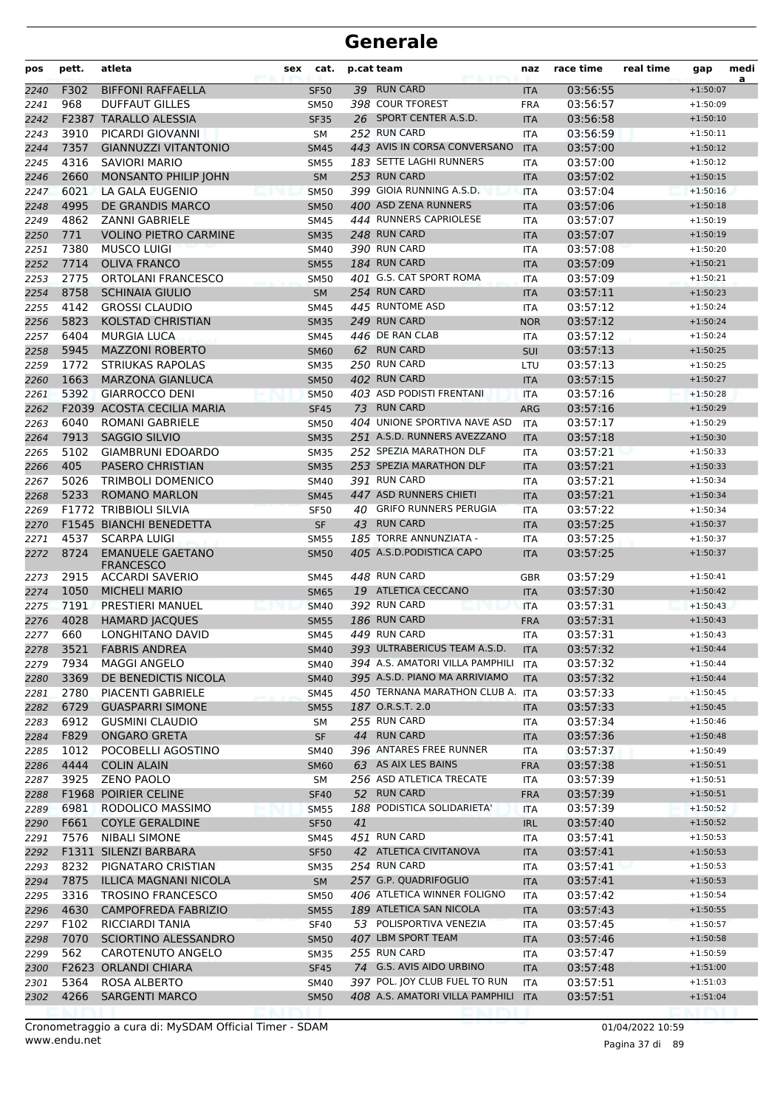| pos  | pett. | atleta                                      | sex | cat.        |    | p.cat team                          | naz        | race time | real time | gap        | medi<br>a |
|------|-------|---------------------------------------------|-----|-------------|----|-------------------------------------|------------|-----------|-----------|------------|-----------|
| 2240 | F302  | <b>BIFFONI RAFFAELLA</b>                    |     | <b>SF50</b> |    | 39 RUN CARD                         | <b>ITA</b> | 03:56:55  |           | $+1:50:07$ |           |
| 2241 | 968   | <b>DUFFAUT GILLES</b>                       |     | <b>SM50</b> |    | 398 COUR TFOREST                    | <b>FRA</b> | 03:56:57  |           | $+1:50:09$ |           |
| 2242 |       | F2387 TARALLO ALESSIA                       |     | <b>SF35</b> |    | 26 SPORT CENTER A.S.D.              | <b>ITA</b> | 03:56:58  |           | $+1:50:10$ |           |
| 2243 | 3910  | PICARDI GIOVANNI                            |     | <b>SM</b>   |    | 252 RUN CARD                        | <b>ITA</b> | 03:56:59  |           | $+1:50:11$ |           |
| 2244 | 7357  | <b>GIANNUZZI VITANTONIO</b>                 |     | <b>SM45</b> |    | 443 AVIS IN CORSA CONVERSANO        | <b>ITA</b> | 03:57:00  |           | $+1:50:12$ |           |
| 2245 | 4316  | <b>SAVIORI MARIO</b>                        |     | <b>SM55</b> |    | 183 SETTE LAGHI RUNNERS             | <b>ITA</b> | 03:57:00  |           | $+1:50:12$ |           |
| 2246 | 2660  | MONSANTO PHILIP JOHN                        |     | <b>SM</b>   |    | 253 RUN CARD                        | <b>ITA</b> | 03:57:02  |           | $+1:50:15$ |           |
| 2247 | 6021  | LA GALA EUGENIO                             |     | <b>SM50</b> |    | 399 GIOIA RUNNING A.S.D.            | <b>ITA</b> | 03:57:04  |           | $+1:50:16$ |           |
| 2248 | 4995  | DE GRANDIS MARCO                            |     | <b>SM50</b> |    | 400 ASD ZENA RUNNERS                | <b>ITA</b> | 03:57:06  |           | $+1:50:18$ |           |
| 2249 | 4862  | <b>ZANNI GABRIELE</b>                       |     | <b>SM45</b> |    | 444 RUNNERS CAPRIOLESE              | <b>ITA</b> | 03:57:07  |           | $+1:50:19$ |           |
| 2250 | 771   | <b>VOLINO PIETRO CARMINE</b>                |     | <b>SM35</b> |    | 248 RUN CARD                        | <b>ITA</b> | 03:57:07  |           | $+1:50:19$ |           |
| 2251 | 7380  | <b>MUSCO LUIGI</b>                          |     | <b>SM40</b> |    | 390 RUN CARD                        | <b>ITA</b> | 03:57:08  |           | $+1:50:20$ |           |
| 2252 | 7714  | <b>OLIVA FRANCO</b>                         |     | <b>SM55</b> |    | 184 RUN CARD                        | <b>ITA</b> | 03:57:09  |           | $+1:50:21$ |           |
| 2253 | 2775  | <b>ORTOLANI FRANCESCO</b>                   |     | <b>SM50</b> |    | 401 G.S. CAT SPORT ROMA             | <b>ITA</b> | 03:57:09  |           | $+1:50:21$ |           |
| 2254 | 8758  | <b>SCHINAIA GIULIO</b>                      |     | <b>SM</b>   |    | 254 RUN CARD                        | <b>ITA</b> | 03:57:11  |           | $+1:50:23$ |           |
| 2255 | 4142  | <b>GROSSI CLAUDIO</b>                       |     | <b>SM45</b> |    | 445 RUNTOME ASD                     | <b>ITA</b> | 03:57:12  |           | $+1:50:24$ |           |
| 2256 | 5823  | <b>KOLSTAD CHRISTIAN</b>                    |     | <b>SM35</b> |    | 249 RUN CARD                        | <b>NOR</b> | 03:57:12  |           | $+1:50:24$ |           |
| 2257 | 6404  | <b>MURGIA LUCA</b>                          |     | <b>SM45</b> |    | 446 DE RAN CLAB                     | ITA        | 03:57:12  |           | $+1:50:24$ |           |
| 2258 | 5945  | <b>MAZZONI ROBERTO</b>                      |     | <b>SM60</b> |    | 62 RUN CARD                         | SUI        | 03:57:13  |           | $+1:50:25$ |           |
| 2259 | 1772  | <b>STRIUKAS RAPOLAS</b>                     |     | <b>SM35</b> |    | 250 RUN CARD                        | LTU        | 03:57:13  |           | $+1:50:25$ |           |
| 2260 | 1663  | <b>MARZONA GIANLUCA</b>                     |     | <b>SM50</b> |    | 402 RUN CARD                        | <b>ITA</b> | 03:57:15  |           | $+1:50:27$ |           |
| 2261 | 5392  | <b>GIARROCCO DENI</b>                       |     | <b>SM50</b> |    | 403 ASD PODISTI FRENTANI            | <b>ITA</b> | 03:57:16  |           | $+1:50:28$ |           |
| 2262 |       | <b>F2039 ACOSTA CECILIA MARIA</b>           |     | <b>SF45</b> |    | 73 RUN CARD                         | <b>ARG</b> | 03:57:16  |           | $+1:50:29$ |           |
| 2263 | 6040  | <b>ROMANI GABRIELE</b>                      |     | <b>SM50</b> |    | 404 UNIONE SPORTIVA NAVE ASD        | <b>ITA</b> | 03:57:17  |           | $+1:50:29$ |           |
| 2264 | 7913  | <b>SAGGIO SILVIO</b>                        |     | <b>SM35</b> |    | 251 A.S.D. RUNNERS AVEZZANO         | <b>ITA</b> | 03:57:18  |           | $+1:50:30$ |           |
| 2265 | 5102  | <b>GIAMBRUNI EDOARDO</b>                    |     | <b>SM35</b> |    | 252 SPEZIA MARATHON DLF             | <b>ITA</b> | 03:57:21  |           | $+1:50:33$ |           |
| 2266 | 405   | <b>PASERO CHRISTIAN</b>                     |     | <b>SM35</b> |    | 253 SPEZIA MARATHON DLF             | <b>ITA</b> | 03:57:21  |           | $+1:50:33$ |           |
| 2267 | 5026  | <b>TRIMBOLI DOMENICO</b>                    |     | <b>SM40</b> |    | 391 RUN CARD                        | <b>ITA</b> | 03:57:21  |           | $+1:50:34$ |           |
| 2268 | 5233  | <b>ROMANO MARLON</b>                        |     | <b>SM45</b> |    | 447 ASD RUNNERS CHIETI              | <b>ITA</b> | 03:57:21  |           | $+1:50:34$ |           |
| 2269 |       | <b>F1772 TRIBBIOLI SILVIA</b>               |     | <b>SF50</b> |    | 40 GRIFO RUNNERS PERUGIA            | <b>ITA</b> | 03:57:22  |           | $+1:50:34$ |           |
| 2270 |       | F1545 BIANCHI BENEDETTA                     |     | <b>SF</b>   |    | 43 RUN CARD                         | <b>ITA</b> | 03:57:25  |           | $+1:50:37$ |           |
| 2271 | 4537  | <b>SCARPA LUIGI</b>                         |     | <b>SM55</b> |    | 185 TORRE ANNUNZIATA -              | <b>ITA</b> | 03:57:25  |           | $+1:50:37$ |           |
| 2272 | 8724  | <b>EMANUELE GAETANO</b><br><b>FRANCESCO</b> |     | <b>SM50</b> |    | 405 A.S.D. PODISTICA CAPO           | <b>ITA</b> | 03:57:25  |           | $+1:50:37$ |           |
| 2273 | 2915  | <b>ACCARDI SAVERIO</b>                      |     | <b>SM45</b> |    | 448 RUN CARD                        | <b>GBR</b> | 03:57:29  |           | $+1:50:41$ |           |
| 2274 | 1050  | <b>MICHELI MARIO</b>                        |     | <b>SM65</b> |    | 19 ATLETICA CECCANO                 | <b>ITA</b> | 03:57:30  |           | $+1:50:42$ |           |
| 2275 | 7191  | <b>PRESTIERI MANUEL</b>                     |     | <b>SM40</b> |    | 392 RUN CARD                        | <b>ITA</b> | 03:57:31  |           | $+1:50:43$ |           |
| 2276 | 4028  | <b>HAMARD JACQUES</b>                       |     | <b>SM55</b> |    | 186 RUN CARD                        | <b>FRA</b> | 03:57:31  |           | $+1:50:43$ |           |
| 2277 | 660   | LONGHITANO DAVID                            |     | <b>SM45</b> |    | 449 RUN CARD                        | ITA        | 03:57:31  |           | $+1:50:43$ |           |
| 2278 |       | 3521 FABRIS ANDREA                          |     | SM40        |    | 393 ULTRABERICUS TEAM A.S.D.        | <b>ITA</b> | 03:57:32  |           | $+1:50:44$ |           |
| 2279 | 7934  | <b>MAGGI ANGELO</b>                         |     | <b>SM40</b> |    | 394 A.S. AMATORI VILLA PAMPHILI ITA |            | 03:57:32  |           | $+1:50:44$ |           |
| 2280 | 3369  | DE BENEDICTIS NICOLA                        |     | <b>SM40</b> |    | 395 A.S.D. PIANO MA ARRIVIAMO       | <b>ITA</b> | 03:57:32  |           | $+1:50:44$ |           |
| 2281 | 2780  | PIACENTI GABRIELE                           |     | <b>SM45</b> |    | 450 TERNANA MARATHON CLUB A. ITA    |            | 03:57:33  |           | $+1:50:45$ |           |
| 2282 | 6729  | <b>GUASPARRI SIMONE</b>                     |     | <b>SM55</b> |    | 187 O.R.S.T. 2.0                    | <b>ITA</b> | 03:57:33  |           | $+1:50:45$ |           |
| 2283 | 6912  | <b>GUSMINI CLAUDIO</b>                      |     | SM          |    | 255 RUN CARD                        | <b>ITA</b> | 03:57:34  |           | $+1:50:46$ |           |
| 2284 | F829  | <b>ONGARO GRETA</b>                         |     | <b>SF</b>   |    | 44 RUN CARD                         | <b>ITA</b> | 03:57:36  |           | $+1:50:48$ |           |
| 2285 | 1012  | POCOBELLI AGOSTINO                          |     | SM40        |    | 396 ANTARES FREE RUNNER             | ITA        | 03:57:37  |           | $+1:50:49$ |           |
| 2286 | 4444  | <b>COLIN ALAIN</b>                          |     | <b>SM60</b> |    | 63 AS AIX LES BAINS                 | <b>FRA</b> | 03:57:38  |           | $+1:50:51$ |           |
| 2287 | 3925  | <b>ZENO PAOLO</b>                           |     | SM          |    | 256 ASD ATLETICA TRECATE            | ITA        | 03:57:39  |           | $+1:50:51$ |           |
| 2288 |       | <b>F1968 POIRIER CELINE</b>                 |     | <b>SF40</b> |    | 52 RUN CARD                         | <b>FRA</b> | 03:57:39  |           | $+1:50:51$ |           |
| 2289 | 6981  | RODOLICO MASSIMO                            |     | <b>SM55</b> |    | 188 PODISTICA SOLIDARIETA'          | <b>ITA</b> | 03:57:39  |           | $+1:50:52$ |           |
| 2290 | F661  | <b>COYLE GERALDINE</b>                      |     | <b>SF50</b> | 41 |                                     | <b>IRL</b> | 03:57:40  |           | $+1:50:52$ |           |
| 2291 | 7576  | NIBALI SIMONE                               |     | SM45        |    | 451 RUN CARD                        | ITA        | 03:57:41  |           | $+1:50:53$ |           |
| 2292 |       | F1311 SILENZI BARBARA                       |     | <b>SF50</b> |    | 42 ATLETICA CIVITANOVA              | <b>ITA</b> | 03:57:41  |           | $+1:50:53$ |           |
| 2293 | 8232  | PIGNATARO CRISTIAN                          |     | <b>SM35</b> |    | 254 RUN CARD                        | ITA        | 03:57:41  |           | $+1:50:53$ |           |
| 2294 | 7875  | <b>ILLICA MAGNANI NICOLA</b>                |     | <b>SM</b>   |    | 257 G.P. QUADRIFOGLIO               | <b>ITA</b> | 03:57:41  |           | $+1:50:53$ |           |
| 2295 | 3316  | <b>TROSINO FRANCESCO</b>                    |     | <b>SM50</b> |    | 406 ATLETICA WINNER FOLIGNO         | ITA        | 03:57:42  |           | $+1:50:54$ |           |
| 2296 | 4630  | <b>CAMPOFREDA FABRIZIO</b>                  |     | <b>SM55</b> |    | 189 ATLETICA SAN NICOLA             | <b>ITA</b> | 03:57:43  |           | $+1:50:55$ |           |
| 2297 | F102  | RICCIARDI TANIA                             |     | <b>SF40</b> |    | 53 POLISPORTIVA VENEZIA             | <b>ITA</b> | 03:57:45  |           | $+1:50:57$ |           |
| 2298 | 7070  | SCIORTINO ALESSANDRO                        |     | <b>SM50</b> |    | 407 LBM SPORT TEAM                  | <b>ITA</b> | 03:57:46  |           | $+1:50:58$ |           |
| 2299 | 562   | CAROTENUTO ANGELO                           |     | <b>SM35</b> |    | 255 RUN CARD                        | ITA        | 03:57:47  |           | $+1:50:59$ |           |
| 2300 |       | F2623 ORLANDI CHIARA                        |     | <b>SF45</b> |    | 74 G.S. AVIS AIDO URBINO            | <b>ITA</b> | 03:57:48  |           | $+1:51:00$ |           |
| 2301 | 5364  | ROSA ALBERTO                                |     | <b>SM40</b> |    | 397 POL. JOY CLUB FUEL TO RUN       | ITA        | 03:57:51  |           | $+1:51:03$ |           |
| 2302 | 4266  | <b>SARGENTI MARCO</b>                       |     | <b>SM50</b> |    | 408 A.S. AMATORI VILLA PAMPHILI     | <b>ITA</b> | 03:57:51  |           | $+1:51:04$ |           |
|      |       |                                             |     |             |    |                                     |            |           |           |            |           |

Pagina 37 di 89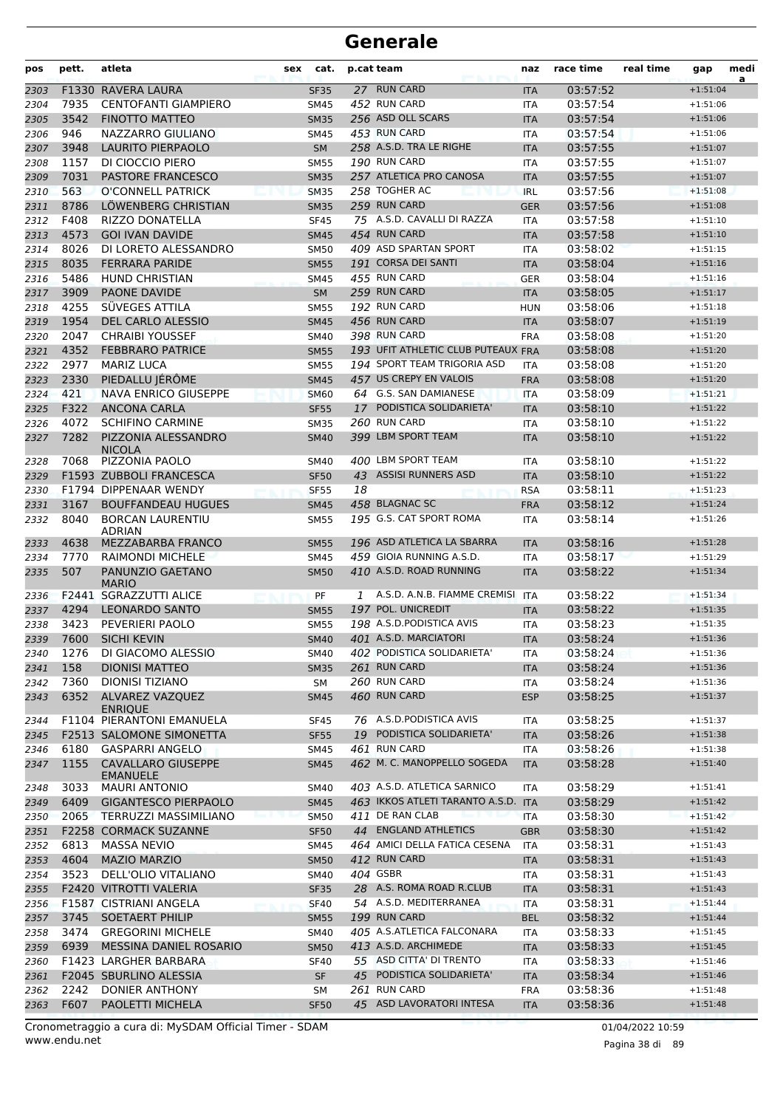| pos          | pett.        | atleta                                             | sex | cat.                       |    | p.cat team                                 | naz               | race time            | real time | gap                      | medi<br>a |
|--------------|--------------|----------------------------------------------------|-----|----------------------------|----|--------------------------------------------|-------------------|----------------------|-----------|--------------------------|-----------|
| 2303         | F1330        | RAVERA LAURA                                       |     | <b>SF35</b>                |    | 27 RUN CARD                                | <b>ITA</b>        | 03:57:52             |           | $+1:51:04$               |           |
| 2304         | 7935         | <b>CENTOFANTI GIAMPIERO</b>                        |     | <b>SM45</b>                |    | 452 RUN CARD                               | ITA               | 03:57:54             |           | $+1:51:06$               |           |
| 2305         | 3542         | <b>FINOTTO MATTEO</b>                              |     | <b>SM35</b>                |    | 256 ASD OLL SCARS                          | <b>ITA</b>        | 03:57:54             |           | $+1:51:06$               |           |
| 2306         | 946          | NAZZARRO GIULIANO                                  |     | <b>SM45</b>                |    | 453 RUN CARD                               | <b>ITA</b>        | 03:57:54             |           | $+1:51:06$               |           |
| 2307         | 3948         | <b>LAURITO PIERPAOLO</b>                           |     | <b>SM</b>                  |    | 258 A.S.D. TRA LE RIGHE                    | <b>ITA</b>        | 03:57:55             |           | $+1:51:07$               |           |
| 2308         | 1157         | DI CIOCCIO PIERO                                   |     | <b>SM55</b>                |    | 190 RUN CARD                               | <b>ITA</b>        | 03:57:55             |           | $+1:51:07$               |           |
| 2309         | 7031         | PASTORE FRANCESCO                                  |     | <b>SM35</b>                |    | 257 ATLETICA PRO CANOSA                    | <b>ITA</b>        | 03:57:55             |           | $+1:51:07$               |           |
| 2310         | 563          | O'CONNELL PATRICK                                  |     | <b>SM35</b>                |    | 258 TOGHER AC                              | <b>IRL</b>        | 03:57:56<br>03:57:56 |           | $+1:51:08$               |           |
| 2311         | 8786<br>F408 | LÖWENBERG CHRISTIAN<br><b>RIZZO DONATELLA</b>      |     | <b>SM35</b>                |    | 259 RUN CARD<br>75 A.S.D. CAVALLI DI RAZZA | <b>GER</b>        | 03:57:58             |           | $+1:51:08$<br>$+1:51:10$ |           |
| 2312<br>2313 | 4573         | <b>GOI IVAN DAVIDE</b>                             |     | <b>SF45</b><br><b>SM45</b> |    | 454 RUN CARD                               | ITA<br><b>ITA</b> | 03:57:58             |           | $+1:51:10$               |           |
| 2314         | 8026         | DI LORETO ALESSANDRO                               |     | <b>SM50</b>                |    | 409 ASD SPARTAN SPORT                      | ITA               | 03:58:02             |           | $+1:51:15$               |           |
| 2315         | 8035         | <b>FERRARA PARIDE</b>                              |     | <b>SM55</b>                |    | 191 CORSA DEI SANTI                        | <b>ITA</b>        | 03:58:04             |           | $+1:51:16$               |           |
| 2316         | 5486         | <b>HUND CHRISTIAN</b>                              |     | <b>SM45</b>                |    | 455 RUN CARD                               | <b>GER</b>        | 03:58:04             |           | $+1:51:16$               |           |
| 2317         | 3909         | PAONE DAVIDE                                       |     | <b>SM</b>                  |    | 259 RUN CARD                               | <b>ITA</b>        | 03:58:05             |           | $+1:51:17$               |           |
| 2318         | 4255         | SÜVEGES ATTILA                                     |     | <b>SM55</b>                |    | 192 RUN CARD                               | <b>HUN</b>        | 03:58:06             |           | $+1:51:18$               |           |
| 2319         | 1954         | <b>DEL CARLO ALESSIO</b>                           |     | <b>SM45</b>                |    | 456 RUN CARD                               | <b>ITA</b>        | 03:58:07             |           | $+1:51:19$               |           |
| 2320         | 2047         | <b>CHRAIBI YOUSSEF</b>                             |     | <b>SM40</b>                |    | 398 RUN CARD                               | <b>FRA</b>        | 03:58:08             |           | $+1:51:20$               |           |
| 2321         | 4352         | <b>FEBBRARO PATRICE</b>                            |     | <b>SM55</b>                |    | 193 UFIT ATHLETIC CLUB PUTEAUX FRA         |                   | 03:58:08             |           | $+1:51:20$               |           |
| 2322         | 2977         | <b>MARIZ LUCA</b>                                  |     | <b>SM55</b>                |    | 194 SPORT TEAM TRIGORIA ASD                | ITA               | 03:58:08             |           | $+1:51:20$               |           |
| 2323         | 2330         | PIEDALLU JÉRÔME                                    |     | <b>SM45</b>                |    | 457 US CREPY EN VALOIS                     | <b>FRA</b>        | 03:58:08             |           | $+1:51:20$               |           |
| 2324         | 421          | <b>NAVA ENRICO GIUSEPPE</b>                        |     | <b>SM60</b>                |    | 64 G.S. SAN DAMIANESE                      | <b>ITA</b>        | 03:58:09             |           | $+1:51:21$               |           |
| 2325         | F322         | <b>ANCONA CARLA</b>                                |     | <b>SF55</b>                | 17 | PODISTICA SOLIDARIETA'                     | <b>ITA</b>        | 03:58:10             |           | $+1:51:22$               |           |
| 2326         | 4072         | <b>SCHIFINO CARMINE</b>                            |     | <b>SM35</b>                |    | 260 RUN CARD                               | <b>ITA</b>        | 03:58:10             |           | $+1:51:22$               |           |
| 2327         | 7282         | PIZZONIA ALESSANDRO<br><b>NICOLA</b>               |     | <b>SM40</b>                |    | 399 LBM SPORT TEAM                         | <b>ITA</b>        | 03:58:10             |           | $+1:51:22$               |           |
| 2328         | 7068         | PIZZONIA PAOLO                                     |     | <b>SM40</b>                |    | 400 LBM SPORT TEAM                         | ITA               | 03:58:10             |           | $+1:51:22$               |           |
| 2329         |              | F1593 ZUBBOLI FRANCESCA                            |     | <b>SF50</b>                |    | 43 ASSISI RUNNERS ASD                      | <b>ITA</b>        | 03:58:10             |           | $+1:51:22$               |           |
| 2330         |              | F1794 DIPPENAAR WENDY                              |     | <b>SF55</b>                | 18 |                                            | <b>RSA</b>        | 03:58:11             |           | $+1:51:23$               |           |
| 2331         | 3167         | <b>BOUFFANDEAU HUGUES</b>                          |     | <b>SM45</b>                |    | 458 BLAGNAC SC                             | <b>FRA</b>        | 03:58:12             |           | $+1:51:24$               |           |
| 2332         | 8040         | <b>BORCAN LAURENTIU</b><br><b>ADRIAN</b>           |     | <b>SM55</b>                |    | 195 G.S. CAT SPORT ROMA                    | ITA               | 03:58:14             |           | $+1:51:26$               |           |
| 2333         | 4638         | MEZZABARBA FRANCO                                  |     | <b>SM55</b>                |    | 196 ASD ATLETICA LA SBARRA                 | <b>ITA</b>        | 03:58:16             |           | $+1:51:28$               |           |
| 2334         | 7770         | <b>RAIMONDI MICHELE</b>                            |     | <b>SM45</b>                |    | 459 GIOIA RUNNING A.S.D.                   | <b>ITA</b>        | 03:58:17             |           | $+1:51:29$               |           |
| 2335         | 507          | PANUNZIO GAETANO<br><b>MARIO</b>                   |     | <b>SM50</b>                |    | 410 A.S.D. ROAD RUNNING                    | <b>ITA</b>        | 03:58:22             |           | $+1:51:34$               |           |
| 2336         |              | <b>F2441 SGRAZZUTTI ALICE</b>                      |     | PF                         | 1  | A.S.D. A.N.B. FIAMME CREMISI               | <b>ITA</b>        | 03:58:22             |           | $+1:51:34$               |           |
| 2337         | 4294         | <b>LEONARDO SANTO</b>                              |     | <b>SM55</b>                |    | 197 POL. UNICREDIT                         | <b>ITA</b>        | 03:58:22             |           | $+1:51:35$               |           |
| 2338         | 3423         | PEVERIERI PAOLO                                    |     | <b>SM55</b>                |    | 198 A.S.D.PODISTICA AVIS                   | <b>ITA</b>        | 03:58:23             |           | $+1:51:35$               |           |
| 2339         | 7600         | <b>SICHI KEVIN</b>                                 |     | <b>SM40</b>                |    | 401 A.S.D. MARCIATORI                      | <b>ITA</b>        | 03:58:24             |           | $+1:51:36$               |           |
| 2340         | 1276         | DI GIACOMO ALESSIO                                 |     | SM40                       |    | 402 PODISTICA SOLIDARIETA'                 | ITA               | 03:58:24             |           | $+1:51:36$               |           |
| 2341         | 158          | <b>DIONISI MATTEO</b>                              |     | <b>SM35</b>                |    | 261 RUN CARD                               | <b>ITA</b>        | 03:58:24             |           | $+1:51:36$               |           |
| 2342         | 7360         | <b>DIONISI TIZIANO</b>                             |     | SM                         |    | 260 RUN CARD                               | <b>ITA</b>        | 03:58:24             |           | $+1:51:36$               |           |
| 2343         | 6352         | ALVAREZ VAZQUEZ<br><b>ENRIOUE</b>                  |     | <b>SM45</b>                |    | 460 RUN CARD                               | <b>ESP</b>        | 03:58:25             |           | $+1:51:37$               |           |
| 2344         |              | F1104 PIERANTONI EMANUELA                          |     | <b>SF45</b>                |    | 76 A.S.D. PODISTICA AVIS                   | ITA               | 03:58:25             |           | $+1:51:37$               |           |
| 2345         |              | F2513 SALOMONE SIMONETTA                           |     | <b>SF55</b>                | 19 | PODISTICA SOLIDARIETA'                     | <b>ITA</b>        | 03:58:26             |           | $+1:51:38$               |           |
| 2346         | 6180         | <b>GASPARRI ANGELO</b>                             |     | SM45                       |    | 461 RUN CARD                               | <b>ITA</b>        | 03:58:26             |           | $+1:51:38$               |           |
| 2347         | 1155         | <b>CAVALLARO GIUSEPPE</b><br><b>EMANUELE</b>       |     | <b>SM45</b>                |    | 462 M. C. MANOPPELLO SOGEDA                | <b>ITA</b>        | 03:58:28             |           | $+1:51:40$               |           |
| 2348         | 3033         | <b>MAURI ANTONIO</b>                               |     | SM40                       |    | 403 A.S.D. ATLETICA SARNICO                | ITA               | 03:58:29             |           | $+1:51:41$               |           |
| 2349         | 6409         | <b>GIGANTESCO PIERPAOLO</b>                        |     | <b>SM45</b>                |    | 463 IKKOS ATLETI TARANTO A.S.D. ITA        |                   | 03:58:29             |           | $+1:51:42$               |           |
| 2350         | 2065         | <b>TERRUZZI MASSIMILIANO</b>                       |     | <b>SM50</b>                |    | 411 DE RAN CLAB                            | <b>ITA</b>        | 03:58:30             |           | $+1:51:42$               |           |
| 2351         |              | F2258 CORMACK SUZANNE                              |     | <b>SF50</b>                |    | 44 ENGLAND ATHLETICS                       | <b>GBR</b>        | 03:58:30             |           | $+1:51:42$               |           |
| 2352         | 6813         | <b>MASSA NEVIO</b>                                 |     | SM45                       |    | 464 AMICI DELLA FATICA CESENA              | <b>ITA</b>        | 03:58:31             |           | $+1:51:43$               |           |
| 2353         | 4604         | <b>MAZIO MARZIO</b>                                |     | <b>SM50</b>                |    | 412 RUN CARD                               | <b>ITA</b>        | 03:58:31             |           | $+1:51:43$               |           |
| 2354         | 3523         | DELL'OLIO VITALIANO                                |     | SM40                       |    | 404 GSBR                                   | ITA               | 03:58:31             |           | $+1:51:43$               |           |
| 2355         |              | F2420 VITROTTI VALERIA                             |     | <b>SF35</b>                |    | 28 A.S. ROMA ROAD R.CLUB                   | <b>ITA</b>        | 03:58:31             |           | $+1:51:43$               |           |
| 2356         |              | F1587 CISTRIANI ANGELA                             |     | <b>SF40</b>                |    | 54 A.S.D. MEDITERRANEA<br>199 RUN CARD     | <b>ITA</b>        | 03:58:31             |           | $+1:51:44$               |           |
| 2357         | 3745<br>3474 | <b>SOETAERT PHILIP</b>                             |     | <b>SM55</b>                |    | 405 A.S.ATLETICA FALCONARA                 | <b>BEL</b>        | 03:58:32             |           | $+1:51:44$<br>$+1:51:45$ |           |
| 2358<br>2359 | 6939         | <b>GREGORINI MICHELE</b><br>MESSINA DANIEL ROSARIO |     | SM40<br><b>SM50</b>        |    | 413 A.S.D. ARCHIMEDE                       | ITA<br><b>ITA</b> | 03:58:33<br>03:58:33 |           | $+1:51:45$               |           |
| 2360         |              | F1423 LARGHER BARBARA                              |     | <b>SF40</b>                |    | 55 ASD CITTA' DI TRENTO                    | ITA               | 03:58:33             |           | $+1:51:46$               |           |
| 2361         |              | F2045 SBURLINO ALESSIA                             |     | <b>SF</b>                  |    | 45 PODISTICA SOLIDARIETA'                  | <b>ITA</b>        | 03:58:34             |           | $+1:51:46$               |           |
| 2362         | 2242         | DONIER ANTHONY                                     |     | SM                         |    | 261 RUN CARD                               | <b>FRA</b>        | 03:58:36             |           | $+1:51:48$               |           |
| 2363         | F607         | PAOLETTI MICHELA                                   |     | <b>SF50</b>                |    | 45 ASD LAVORATORI INTESA                   | <b>ITA</b>        | 03:58:36             |           | $+1:51:48$               |           |
|              |              |                                                    |     |                            |    |                                            |                   |                      |           |                          |           |

www.endu.net Cronometraggio a cura di: MySDAM Official Timer - SDAM 01/04/2022 10:59 01/04/2022 10:59

Pagina 38 di 89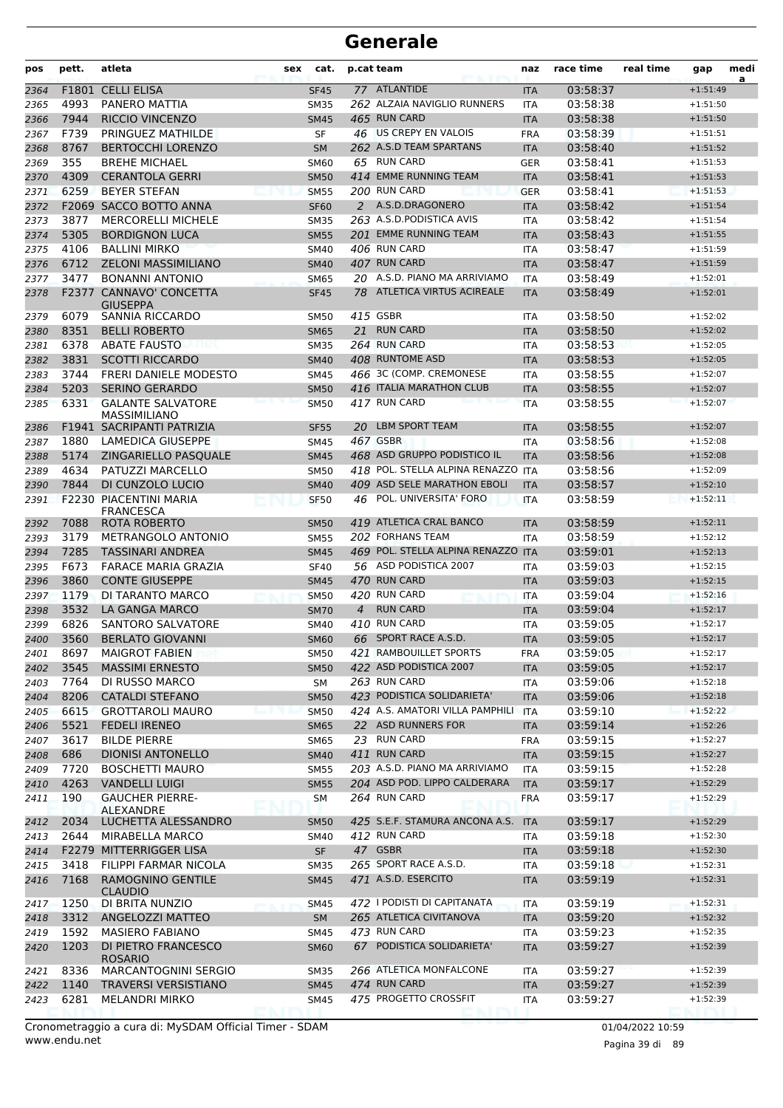| pos  | pett. | atleta                                            | sex | cat.        |                | p.cat team                         | naz        | race time | real time | gap        | medi<br>a |
|------|-------|---------------------------------------------------|-----|-------------|----------------|------------------------------------|------------|-----------|-----------|------------|-----------|
| 2364 |       | F1801 CELLI ELISA                                 |     | <b>SF45</b> |                | 77 ATLANTIDE                       | <b>ITA</b> | 03:58:37  |           | $+1:51:49$ |           |
| 2365 | 4993  | PANERO MATTIA                                     |     | <b>SM35</b> |                | 262 ALZAIA NAVIGLIO RUNNERS        | <b>ITA</b> | 03:58:38  |           | $+1:51:50$ |           |
| 2366 | 7944  | <b>RICCIO VINCENZO</b>                            |     | <b>SM45</b> |                | 465 RUN CARD                       | <b>ITA</b> | 03:58:38  |           | $+1:51:50$ |           |
| 2367 | F739  | PRINGUEZ MATHILDE                                 |     | SF          |                | 46 US CREPY EN VALOIS              | <b>FRA</b> | 03:58:39  |           | $+1:51:51$ |           |
| 2368 | 8767  | <b>BERTOCCHI LORENZO</b>                          |     | <b>SM</b>   |                | 262 A.S.D TEAM SPARTANS            | <b>ITA</b> | 03:58:40  |           | $+1:51:52$ |           |
| 2369 | 355   | <b>BREHE MICHAEL</b>                              |     | <b>SM60</b> |                | 65 RUN CARD                        | <b>GER</b> | 03:58:41  |           | $+1:51:53$ |           |
| 2370 | 4309  | <b>CERANTOLA GERRI</b>                            |     | <b>SM50</b> |                | 414 EMME RUNNING TEAM              | <b>ITA</b> | 03:58:41  |           | $+1:51:53$ |           |
| 2371 | 6259  | <b>BEYER STEFAN</b>                               |     | <b>SM55</b> |                | 200 RUN CARD                       | <b>GER</b> | 03:58:41  |           | $+1:51:53$ |           |
| 2372 |       | F2069 SACCO BOTTO ANNA                            |     | <b>SF60</b> |                | 2 A.S.D.DRAGONERO                  | <b>ITA</b> | 03:58:42  |           | $+1:51:54$ |           |
| 2373 | 3877  | <b>MERCORELLI MICHELE</b>                         |     | <b>SM35</b> |                | 263 A.S.D.PODISTICA AVIS           | <b>ITA</b> | 03:58:42  |           | $+1:51:54$ |           |
| 2374 | 5305  | <b>BORDIGNON LUCA</b>                             |     | <b>SM55</b> |                | 201 EMME RUNNING TEAM              | <b>ITA</b> | 03:58:43  |           | $+1:51:55$ |           |
| 2375 | 4106  | <b>BALLINI MIRKO</b>                              |     | <b>SM40</b> |                | 406 RUN CARD                       | <b>ITA</b> | 03:58:47  |           | $+1:51:59$ |           |
| 2376 | 6712  | <b>ZELONI MASSIMILIANO</b>                        |     | <b>SM40</b> |                | 407 RUN CARD                       | <b>ITA</b> | 03:58:47  |           | $+1:51:59$ |           |
| 2377 | 3477  | <b>BONANNI ANTONIO</b>                            |     | <b>SM65</b> |                | 20 A.S.D. PIANO MA ARRIVIAMO       | <b>ITA</b> | 03:58:49  |           | $+1:52:01$ |           |
| 2378 |       | <b>F2377 CANNAVO' CONCETTA</b>                    |     | <b>SF45</b> |                | 78 ATLETICA VIRTUS ACIREALE        | <b>ITA</b> | 03:58:49  |           | $+1:52:01$ |           |
|      |       | <b>GIUSEPPA</b>                                   |     |             |                |                                    |            |           |           |            |           |
| 2379 | 6079  | <b>SANNIA RICCARDO</b>                            |     | <b>SM50</b> |                | 415 GSBR                           | ITA        | 03:58:50  |           | $+1:52:02$ |           |
| 2380 | 8351  | <b>BELLI ROBERTO</b>                              |     | <b>SM65</b> | 21             | <b>RUN CARD</b>                    | <b>ITA</b> | 03:58:50  |           | $+1:52:02$ |           |
| 2381 | 6378  | <b>ABATE FAUSTO</b><br>net                        |     | <b>SM35</b> |                | 264 RUN CARD                       | <b>ITA</b> | 03:58:53  |           | $+1:52:05$ |           |
| 2382 | 3831  | <b>SCOTTI RICCARDO</b>                            |     | <b>SM40</b> |                | 408 RUNTOME ASD                    | <b>ITA</b> | 03:58:53  |           | $+1:52:05$ |           |
| 2383 | 3744  | <b>FRERI DANIELE MODESTO</b>                      |     | SM45        |                | 466 3C (COMP. CREMONESE            | <b>ITA</b> | 03:58:55  |           | $+1:52:07$ |           |
| 2384 | 5203  | <b>SERINO GERARDO</b>                             |     | <b>SM50</b> |                | 416 ITALIA MARATHON CLUB           | <b>ITA</b> | 03:58:55  |           | $+1:52:07$ |           |
| 2385 | 6331  | <b>GALANTE SALVATORE</b>                          |     | <b>SM50</b> |                | 417 RUN CARD                       | <b>ITA</b> | 03:58:55  |           | $+1:52:07$ |           |
|      |       | <b>MASSIMILIANO</b>                               |     |             |                |                                    |            |           |           |            |           |
| 2386 |       | F1941 SACRIPANTI PATRIZIA                         |     | <b>SF55</b> | 20             | LBM SPORT TEAM                     | <b>ITA</b> | 03:58:55  |           | $+1:52:07$ |           |
| 2387 | 1880  | LAMEDICA GIUSEPPE                                 |     | SM45        |                | 467 GSBR                           | ITA        | 03:58:56  |           | $+1:52:08$ |           |
| 2388 | 5174  | ZINGARIELLO PASQUALE                              |     | <b>SM45</b> |                | 468 ASD GRUPPO PODISTICO IL        | <b>ITA</b> | 03:58:56  |           | $+1:52:08$ |           |
| 2389 | 4634  | PATUZZI MARCELLO                                  |     | <b>SM50</b> |                | 418 POL. STELLA ALPINA RENAZZO ITA |            | 03:58:56  |           | $+1:52:09$ |           |
| 2390 | 7844  | DI CUNZOLO LUCIO                                  |     | <b>SM40</b> |                | 409 ASD SELE MARATHON EBOLI        | <b>ITA</b> | 03:58:57  |           | $+1:52:10$ |           |
| 2391 |       | <b>F2230 PIACENTINI MARIA</b><br><b>FRANCESCA</b> |     | <b>SF50</b> | 46             | POL. UNIVERSITA' FORO              | <b>ITA</b> | 03:58:59  |           | $+1:52:11$ |           |
| 2392 | 7088  | ROTA ROBERTO                                      |     | <b>SM50</b> |                | 419 ATLETICA CRAL BANCO            | <b>ITA</b> | 03:58:59  |           | $+1:52:11$ |           |
| 2393 | 3179  | METRANGOLO ANTONIO                                |     | <b>SM55</b> |                | 202 FORHANS TEAM                   | ITA        | 03:58:59  |           | $+1:52:12$ |           |
| 2394 | 7285  | <b>TASSINARI ANDREA</b>                           |     | <b>SM45</b> |                | 469 POL. STELLA ALPINA RENAZZO     | <b>ITA</b> | 03:59:01  |           | $+1:52:13$ |           |
| 2395 | F673  | <b>FARACE MARIA GRAZIA</b>                        |     | <b>SF40</b> |                | 56 ASD PODISTICA 2007              | <b>ITA</b> | 03:59:03  |           | $+1:52:15$ |           |
| 2396 | 3860  | <b>CONTE GIUSEPPE</b>                             |     | <b>SM45</b> |                | 470 RUN CARD                       | <b>ITA</b> | 03:59:03  |           | $+1:52:15$ |           |
| 2397 | 1179  | DI TARANTO MARCO                                  |     | <b>SM50</b> |                | 420 RUN CARD                       | <b>ITA</b> | 03:59:04  |           | $+1:52:16$ |           |
| 2398 | 3532  | <b>LA GANGA MARCO</b>                             |     | <b>SM70</b> | $\overline{4}$ | <b>RUN CARD</b>                    | <b>ITA</b> | 03:59:04  |           | $+1:52:17$ |           |
| 2399 | 6826  | <b>SANTORO SALVATORE</b>                          |     | SM40        |                | 410 RUN CARD                       | ITA        | 03:59:05  |           | $+1:52:17$ |           |
| 2400 | 3560  | <b>BERLATO GIOVANNI</b>                           |     | <b>SM60</b> |                | 66 SPORT RACE A.S.D.               | <b>ITA</b> | 03:59:05  |           | $+1:52:17$ |           |
| 2401 | 8697  | <b>MAIGROT FABIEN</b>                             |     | <b>SM50</b> |                | 421 RAMBOUILLET SPORTS             | <b>FRA</b> | 03:59:05  |           | $+1:52:17$ |           |
| 2402 | 3545  | <b>MASSIMI ERNESTO</b>                            |     | <b>SM50</b> |                | 422 ASD PODISTICA 2007             | <b>ITA</b> | 03:59:05  |           | $+1:52:17$ |           |
| 2403 | 7764  | DI RUSSO MARCO                                    |     | SM          |                | 263 RUN CARD                       | <b>ITA</b> | 03:59:06  |           | $+1:52:18$ |           |
| 2404 | 8206  | <b>CATALDI STEFANO</b>                            |     | <b>SM50</b> |                | 423 PODISTICA SOLIDARIETA'         | <b>ITA</b> | 03:59:06  |           | $+1:52:18$ |           |
| 2405 | 6615  | <b>GROTTAROLI MAURO</b>                           |     | <b>SM50</b> |                | 424 A.S. AMATORI VILLA PAMPHILI    | <b>ITA</b> | 03:59:10  |           | $+1:52:22$ |           |
| 2406 | 5521  | <b>FEDELI IRENEO</b>                              |     | <b>SM65</b> |                | 22 ASD RUNNERS FOR                 | <b>ITA</b> | 03:59:14  |           | $+1:52:26$ |           |
| 2407 | 3617  | <b>BILDE PIERRE</b>                               |     | SM65        |                | 23 RUN CARD                        | <b>FRA</b> | 03:59:15  |           | $+1:52:27$ |           |
| 2408 | 686   | <b>DIONISI ANTONELLO</b>                          |     | <b>SM40</b> |                | 411 RUN CARD                       | <b>ITA</b> | 03:59:15  |           | $+1:52:27$ |           |
| 2409 | 7720  | <b>BOSCHETTI MAURO</b>                            |     | <b>SM55</b> |                | 203 A.S.D. PIANO MA ARRIVIAMO      | ITA        | 03:59:15  |           | $+1:52:28$ |           |
| 2410 | 4263  | <b>VANDELLI LUIGI</b>                             |     | <b>SM55</b> |                | 204 ASD POD. LIPPO CALDERARA       | <b>ITA</b> | 03:59:17  |           | $+1:52:29$ |           |
| 2411 | 190   | <b>GAUCHER PIERRE-</b>                            |     | SM          |                | 264 RUN CARD                       | <b>FRA</b> | 03:59:17  |           | $+1:52:29$ |           |
|      |       | ALEXANDRE<br>LUCHETTA ALESSANDRO                  |     |             |                | 425 S.E.F. STAMURA ANCONA A.S.     | <b>ITA</b> |           |           | $+1:52:29$ |           |
| 2412 | 2034  |                                                   |     | <b>SM50</b> |                |                                    |            | 03:59:17  |           |            |           |
| 2413 | 2644  | MIRABELLA MARCO                                   |     | SM40        |                | 412 RUN CARD                       | ITA        | 03:59:18  |           | $+1:52:30$ |           |
| 2414 |       | F2279 MITTERRIGGER LISA                           |     | <b>SF</b>   |                | 47 GSBR                            | <b>ITA</b> | 03:59:18  |           | $+1:52:30$ |           |
| 2415 | 3418  | FILIPPI FARMAR NICOLA                             |     | <b>SM35</b> |                | 265 SPORT RACE A.S.D.              | ITA        | 03:59:18  |           | $+1:52:31$ |           |
| 2416 | 7168  | RAMOGNINO GENTILE<br><b>CLAUDIO</b>               |     | <b>SM45</b> |                | 471 A.S.D. ESERCITO                | <b>ITA</b> | 03:59:19  |           | $+1:52:31$ |           |
| 2417 | 1250  | DI BRITA NUNZIO                                   |     | <b>SM45</b> |                | 472 I PODISTI DI CAPITANATA        | ITA        | 03:59:19  |           | $+1:52:31$ |           |
| 2418 | 3312  | ANGELOZZI MATTEO                                  |     | <b>SM</b>   |                | 265 ATLETICA CIVITANOVA            | <b>ITA</b> | 03:59:20  |           | $+1:52:32$ |           |
| 2419 | 1592  | <b>MASIERO FABIANO</b>                            |     | SM45        |                | 473 RUN CARD                       | ITA        | 03:59:23  |           | $+1:52:35$ |           |
| 2420 | 1203  | DI PIETRO FRANCESCO<br><b>ROSARIO</b>             |     | <b>SM60</b> |                | 67 PODISTICA SOLIDARIETA'          | <b>ITA</b> | 03:59:27  |           | $+1:52:39$ |           |
| 2421 | 8336  | MARCANTOGNINI SERGIO                              |     | <b>SM35</b> |                | 266 ATLETICA MONFALCONE            | <b>ITA</b> | 03:59:27  |           | $+1:52:39$ |           |
| 2422 | 1140  | <b>TRAVERSI VERSISTIANO</b>                       |     | <b>SM45</b> |                | 474 RUN CARD                       | <b>ITA</b> | 03:59:27  |           | $+1:52:39$ |           |
| 2423 | 6281  | <b>MELANDRI MIRKO</b>                             |     | SM45        |                | 475 PROGETTO CROSSFIT              | ITA        | 03:59:27  |           | $+1:52:39$ |           |
|      |       |                                                   |     |             |                |                                    |            |           |           |            |           |

www.endu.net Cronometraggio a cura di: MySDAM Official Timer - SDAM 01/04/2022 10:59 01/04/2022 10:59

Pagina 39 di 89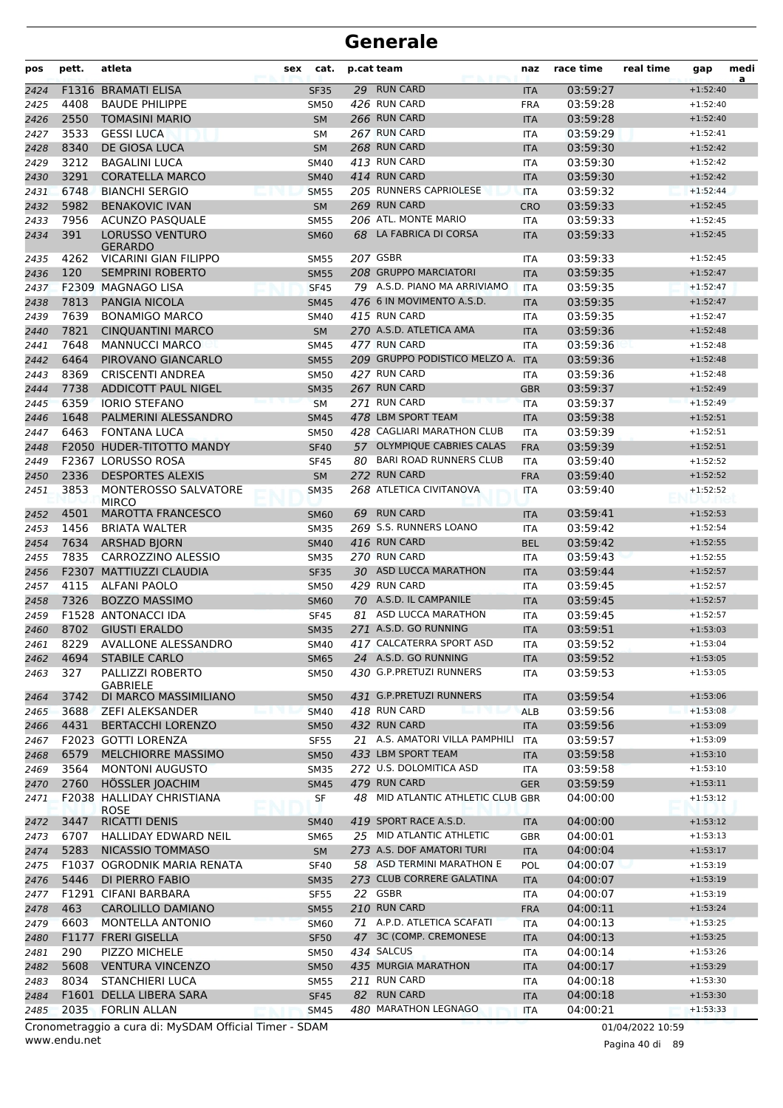| pos  | pett. | atleta                                                 | cat.<br>sex |    | p.cat team                        | naz        | race time | real time        | gap        | medi<br>a |
|------|-------|--------------------------------------------------------|-------------|----|-----------------------------------|------------|-----------|------------------|------------|-----------|
| 2424 | F1316 | <b>BRAMATI ELISA</b>                                   | <b>SF35</b> |    | 29 RUN CARD                       | <b>ITA</b> | 03:59:27  |                  | $+1:52:40$ |           |
| 2425 | 4408  | <b>BAUDE PHILIPPE</b>                                  | <b>SM50</b> |    | 426 RUN CARD                      | <b>FRA</b> | 03:59:28  |                  | $+1:52:40$ |           |
| 2426 | 2550  | <b>TOMASINI MARIO</b>                                  | <b>SM</b>   |    | 266 RUN CARD                      | <b>ITA</b> | 03:59:28  |                  | $+1:52:40$ |           |
| 2427 | 3533  | <b>GESSI LUCA</b>                                      | SΜ          |    | 267 RUN CARD                      | <b>ITA</b> | 03:59:29  |                  | $+1:52:41$ |           |
| 2428 | 8340  | DE GIOSA LUCA                                          | <b>SM</b>   |    | 268 RUN CARD                      | <b>ITA</b> | 03:59:30  |                  | $+1:52:42$ |           |
| 2429 | 3212  | <b>BAGALINI LUCA</b>                                   | <b>SM40</b> |    | 413 RUN CARD                      | <b>ITA</b> | 03:59:30  |                  | $+1:52:42$ |           |
| 2430 | 3291  | <b>CORATELLA MARCO</b>                                 | <b>SM40</b> |    | 414 RUN CARD                      | <b>ITA</b> | 03:59:30  |                  | $+1:52:42$ |           |
| 2431 | 6748  | <b>BIANCHI SERGIO</b>                                  | <b>SM55</b> |    | 205 RUNNERS CAPRIOLESE            | <b>ITA</b> | 03:59:32  |                  | $+1:52:44$ |           |
| 2432 | 5982  | <b>BENAKOVIC IVAN</b>                                  | <b>SM</b>   |    | 269 RUN CARD                      | <b>CRO</b> | 03:59:33  |                  | $+1:52:45$ |           |
| 2433 | 7956  | <b>ACUNZO PASQUALE</b>                                 | <b>SM55</b> |    | 206 ATL. MONTE MARIO              | <b>ITA</b> | 03:59:33  |                  | $+1:52:45$ |           |
| 2434 | 391   | <b>LORUSSO VENTURO</b><br><b>GERARDO</b>               | <b>SM60</b> |    | 68 LA FABRICA DI CORSA            | <b>ITA</b> | 03:59:33  |                  | $+1:52:45$ |           |
| 2435 | 4262  | <b>VICARINI GIAN FILIPPO</b>                           | <b>SM55</b> |    | 207 GSBR                          | <b>ITA</b> | 03:59:33  |                  | $+1:52:45$ |           |
| 2436 | 120   | <b>SEMPRINI ROBERTO</b>                                | <b>SM55</b> |    | 208 GRUPPO MARCIATORI             | <b>ITA</b> | 03:59:35  |                  | $+1:52:47$ |           |
| 2437 |       | F2309 MAGNAGO LISA                                     | <b>SF45</b> |    | 79 A.S.D. PIANO MA ARRIVIAMO      | <b>ITA</b> | 03:59:35  |                  | $+1:52:47$ |           |
| 2438 | 7813  | PANGIA NICOLA                                          | <b>SM45</b> |    | 476 6 IN MOVIMENTO A.S.D.         | <b>ITA</b> | 03:59:35  |                  | $+1:52:47$ |           |
| 2439 | 7639  | <b>BONAMIGO MARCO</b>                                  | <b>SM40</b> |    | 415 RUN CARD                      | <b>ITA</b> | 03:59:35  |                  | $+1:52:47$ |           |
| 2440 | 7821  | <b>CINQUANTINI MARCO</b>                               | <b>SM</b>   |    | 270 A.S.D. ATLETICA AMA           | <b>ITA</b> | 03:59:36  |                  | $+1:52:48$ |           |
| 2441 | 7648  | <b>MANNUCCI MARCO</b>                                  | <b>SM45</b> |    | 477 RUN CARD                      | <b>ITA</b> | 03:59:36  |                  | $+1:52:48$ |           |
| 2442 | 6464  | PIROVANO GIANCARLO                                     | <b>SM55</b> |    | 209 GRUPPO PODISTICO MELZO A.     | <b>ITA</b> | 03:59:36  |                  | $+1:52:48$ |           |
| 2443 | 8369  | <b>CRISCENTI ANDREA</b>                                | <b>SM50</b> |    | 427 RUN CARD                      | <b>ITA</b> | 03:59:36  |                  | $+1:52:48$ |           |
| 2444 | 7738  | <b>ADDICOTT PAUL NIGEL</b>                             | <b>SM35</b> |    | 267 RUN CARD                      | <b>GBR</b> | 03:59:37  |                  | $+1:52:49$ |           |
| 2445 | 6359  | <b>IORIO STEFANO</b>                                   | <b>SM</b>   |    | 271 RUN CARD                      | <b>ITA</b> | 03:59:37  |                  | $+1:52:49$ |           |
| 2446 | 1648  | PALMERINI ALESSANDRO                                   | <b>SM45</b> |    | 478 LBM SPORT TEAM                | <b>ITA</b> | 03:59:38  |                  | $+1:52:51$ |           |
| 2447 | 6463  | <b>FONTANA LUCA</b>                                    | <b>SM50</b> |    | 428 CAGLIARI MARATHON CLUB        | <b>ITA</b> | 03:59:39  |                  | $+1:52:51$ |           |
| 2448 |       | F2050 HUDER-TITOTTO MANDY                              | <b>SF40</b> |    | 57 OLYMPIQUE CABRIES CALAS        | <b>FRA</b> | 03:59:39  |                  | $+1:52:51$ |           |
| 2449 |       | F2367 LORUSSO ROSA                                     | <b>SF45</b> |    | 80 BARI ROAD RUNNERS CLUB         | ITA        | 03:59:40  |                  | $+1:52:52$ |           |
| 2450 | 2336  | <b>DESPORTES ALEXIS</b>                                | <b>SM</b>   |    | 272 RUN CARD                      | <b>FRA</b> | 03:59:40  |                  | $+1:52:52$ |           |
| 2451 | 3853  | MONTEROSSO SALVATORE<br><b>MIRCO</b>                   | <b>SM35</b> |    | 268 ATLETICA CIVITANOVA           | <b>ITA</b> | 03:59:40  |                  | $+1:52:52$ |           |
| 2452 | 4501  | <b>MAROTTA FRANCESCO</b>                               | <b>SM60</b> |    | 69 RUN CARD                       | <b>ITA</b> | 03:59:41  |                  | $+1:52:53$ |           |
| 2453 | 1456  | <b>BRIATA WALTER</b>                                   | <b>SM35</b> |    | 269 S.S. RUNNERS LOANO            | <b>ITA</b> | 03:59:42  |                  | $+1:52:54$ |           |
| 2454 | 7634  | <b>ARSHAD BJORN</b>                                    | <b>SM40</b> |    | 416 RUN CARD                      | <b>BEL</b> | 03:59:42  |                  | $+1:52:55$ |           |
| 2455 | 7835  | CARROZZINO ALESSIO                                     | <b>SM35</b> |    | 270 RUN CARD                      | <b>ITA</b> | 03:59:43  |                  | $+1:52:55$ |           |
| 2456 |       | F2307 MATTIUZZI CLAUDIA                                | <b>SF35</b> |    | 30 ASD LUCCA MARATHON             | <b>ITA</b> | 03:59:44  |                  | $+1:52:57$ |           |
| 2457 | 4115  | ALFANI PAOLO                                           | <b>SM50</b> |    | 429 RUN CARD                      | <b>ITA</b> | 03:59:45  |                  | $+1:52:57$ |           |
| 2458 | 7326  | <b>BOZZO MASSIMO</b>                                   | <b>SM60</b> |    | 70 A.S.D. IL CAMPANILE            | <b>ITA</b> | 03:59:45  |                  | $+1:52:57$ |           |
| 2459 |       | <b>F1528 ANTONACCI IDA</b>                             | <b>SF45</b> | 81 | ASD LUCCA MARATHON                | <b>ITA</b> | 03:59:45  |                  | $+1:52:57$ |           |
| 2460 | 8702  | <b>GIUSTI ERALDO</b>                                   | <b>SM35</b> |    | 271 A.S.D. GO RUNNING             | <b>ITA</b> | 03:59:51  |                  | $+1:53:03$ |           |
| 2461 | 8229  | <b>AVALLONE ALESSANDRO</b>                             | <b>SM40</b> |    | 417 CALCATERRA SPORT ASD          | ITA        | 03:59:52  |                  | $+1:53:04$ |           |
| 2462 | 4694  | <b>STABILE CARLO</b>                                   | <b>SM65</b> |    | 24 A.S.D. GO RUNNING              | <b>ITA</b> | 03:59:52  |                  | $+1:53:05$ |           |
| 2463 | 327   | PALLIZZI ROBERTO<br><b>GABRIELE</b>                    | SM50        |    | 430 G.P.PRETUZI RUNNERS           | ITA        | 03:59:53  |                  | $+1:53:05$ |           |
| 2464 | 3742  | DI MARCO MASSIMILIANO                                  | <b>SM50</b> |    | 431 G.P.PRETUZI RUNNERS           | <b>ITA</b> | 03:59:54  |                  | $+1:53:06$ |           |
| 2465 | 3688  | <b>ZEFI ALEKSANDER</b>                                 | <b>SM40</b> |    | 418 RUN CARD                      | <b>ALB</b> | 03:59:56  |                  | $+1:53:08$ |           |
| 2466 | 4431  | <b>BERTACCHI LORENZO</b>                               | <b>SM50</b> |    | 432 RUN CARD                      | <b>ITA</b> | 03:59:56  |                  | $+1:53:09$ |           |
| 2467 |       | F2023 GOTTI LORENZA                                    | <b>SF55</b> |    | 21 A.S. AMATORI VILLA PAMPHILI    | <b>ITA</b> | 03:59:57  |                  | $+1:53:09$ |           |
| 2468 | 6579  | MELCHIORRE MASSIMO                                     | <b>SM50</b> |    | 433 LBM SPORT TEAM                | <b>ITA</b> | 03:59:58  |                  | $+1:53:10$ |           |
| 2469 | 3564  | <b>MONTONI AUGUSTO</b>                                 | <b>SM35</b> |    | 272 U.S. DOLOMITICA ASD           | <b>ITA</b> | 03:59:58  |                  | $+1:53:10$ |           |
| 2470 | 2760  | HÖSSLER JOACHIM                                        | <b>SM45</b> |    | 479 RUN CARD                      | <b>GER</b> | 03:59:59  |                  | $+1:53:11$ |           |
| 2471 |       | F2038 HALLIDAY CHRISTIANA<br><b>ROSE</b>               | <b>SF</b>   |    | 48 MID ATLANTIC ATHLETIC CLUB GBR |            | 04:00:00  |                  | $+1:53:12$ |           |
| 2472 | 3447  | <b>RICATTI DENIS</b>                                   | SM40        |    | 419 SPORT RACE A.S.D.             | <b>ITA</b> | 04:00:00  |                  | $+1:53:12$ |           |
| 2473 | 6707  | HALLIDAY EDWARD NEIL                                   | <b>SM65</b> |    | 25 MID ATLANTIC ATHLETIC          | GBR        | 04:00:01  |                  | $+1:53:13$ |           |
| 2474 | 5283  | NICASSIO TOMMASO                                       | SM          |    | 273 A.S. DOF AMATORI TURI         | <b>ITA</b> | 04:00:04  |                  | $+1:53:17$ |           |
| 2475 |       | F1037 OGRODNIK MARIA RENATA                            | <b>SF40</b> |    | 58 ASD TERMINI MARATHON E         | <b>POL</b> | 04:00:07  |                  | $+1:53:19$ |           |
| 2476 | 5446  | DI PIERRO FABIO                                        | <b>SM35</b> |    | 273 CLUB CORRERE GALATINA         | <b>ITA</b> | 04:00:07  |                  | $+1:53:19$ |           |
| 2477 |       | F1291 CIFANI BARBARA                                   | <b>SF55</b> |    | 22 GSBR                           | <b>ITA</b> | 04:00:07  |                  | $+1:53:19$ |           |
| 2478 | 463   | CAROLILLO DAMIANO                                      | <b>SM55</b> |    | 210 RUN CARD                      | <b>FRA</b> | 04:00:11  |                  | $+1:53:24$ |           |
| 2479 | 6603  | <b>MONTELLA ANTONIO</b>                                | <b>SM60</b> |    | 71 A.P.D. ATLETICA SCAFATI        | <b>ITA</b> | 04:00:13  |                  | $+1:53:25$ |           |
| 2480 | F1177 | <b>FRERI GISELLA</b>                                   | <b>SF50</b> |    | 47 3C (COMP. CREMONESE            | <b>ITA</b> | 04:00:13  |                  | $+1:53:25$ |           |
| 2481 | 290   | <b>PIZZO MICHELE</b>                                   | SM50        |    | 434 SALCUS                        | <b>ITA</b> | 04:00:14  |                  | $+1:53:26$ |           |
| 2482 | 5608  | <b>VENTURA VINCENZO</b>                                | <b>SM50</b> |    | 435 MURGIA MARATHON               | <b>ITA</b> | 04:00:17  |                  | $+1:53:29$ |           |
| 2483 | 8034  | <b>STANCHIERI LUCA</b>                                 | <b>SM55</b> |    | 211 RUN CARD                      | <b>ITA</b> | 04:00:18  |                  | $+1:53:30$ |           |
| 2484 |       | F1601 DELLA LIBERA SARA                                | <b>SF45</b> |    | 82 RUN CARD                       | <b>ITA</b> | 04:00:18  |                  | $+1:53:30$ |           |
| 2485 | 2035  | <b>FORLIN ALLAN</b>                                    | <b>SM45</b> |    | 480 MARATHON LEGNAGO              | <b>ITA</b> | 04:00:21  |                  | $+1:53:33$ |           |
|      |       | Cronometraggio a cura di: MySDAM Official Timer - SDAM |             |    |                                   |            |           | 01/04/2022 10:59 |            |           |

www.endu.net

Pagina 40 di 89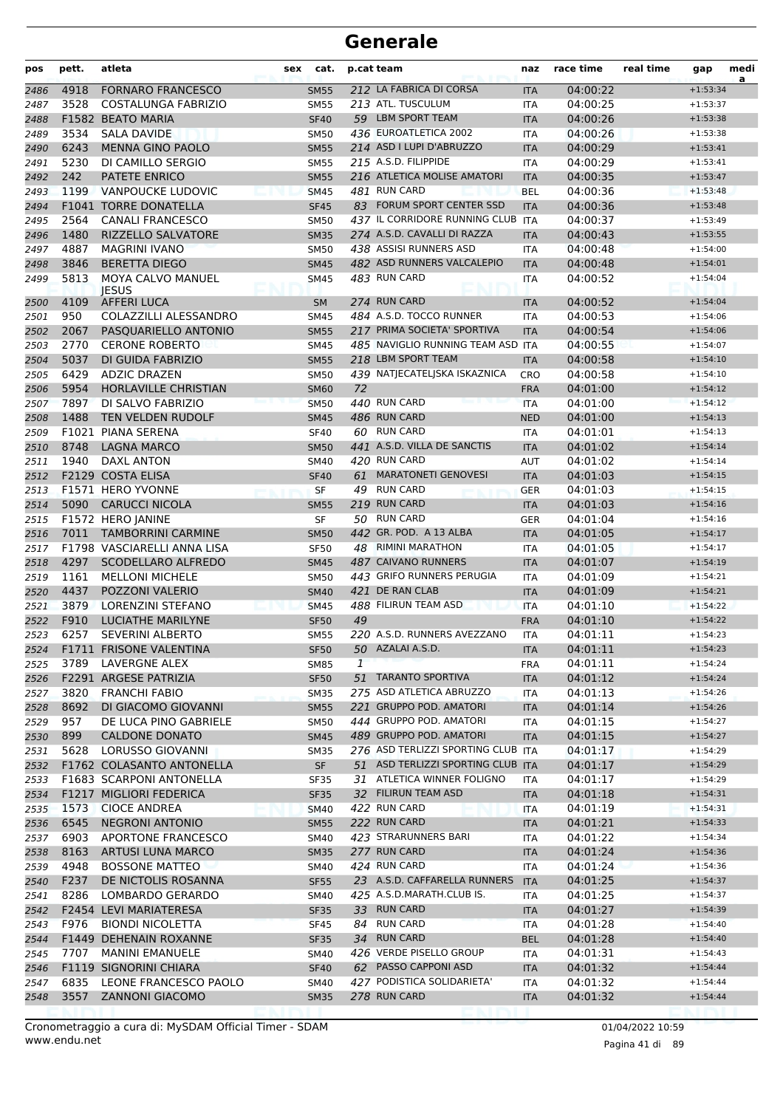| pos  | pett. | atleta                                   | sex | cat.        |    | p.cat team                         | naz        | race time | real time | gap        | medi<br>a |
|------|-------|------------------------------------------|-----|-------------|----|------------------------------------|------------|-----------|-----------|------------|-----------|
| 2486 | 4918  | <b>FORNARO FRANCESCO</b>                 |     | <b>SM55</b> |    | 212 LA FABRICA DI CORSA            | <b>ITA</b> | 04:00:22  |           | $+1:53:34$ |           |
| 2487 | 3528  | <b>COSTALUNGA FABRIZIO</b>               |     | <b>SM55</b> |    | 213 ATL. TUSCULUM                  | <b>ITA</b> | 04:00:25  |           | $+1:53:37$ |           |
| 2488 |       | F1582 BEATO MARIA                        |     | <b>SF40</b> |    | 59 LBM SPORT TEAM                  | <b>ITA</b> | 04:00:26  |           | $+1:53:38$ |           |
| 2489 | 3534  | <b>SALA DAVIDE</b>                       |     | <b>SM50</b> |    | 436 EUROATLETICA 2002              | <b>ITA</b> | 04:00:26  |           | $+1:53:38$ |           |
| 2490 | 6243  | <b>MENNA GINO PAOLO</b>                  |     | <b>SM55</b> |    | 214 ASD I LUPI D'ABRUZZO           | <b>ITA</b> | 04:00:29  |           | $+1:53:41$ |           |
| 2491 | 5230  | DI CAMILLO SERGIO                        |     | <b>SM55</b> |    | 215 A.S.D. FILIPPIDE               | ITA        | 04:00:29  |           | $+1:53:41$ |           |
| 2492 | 242   | PATETE ENRICO                            |     | <b>SM55</b> |    | 216 ATLETICA MOLISE AMATORI        | <b>ITA</b> | 04:00:35  |           | $+1:53:47$ |           |
| 2493 | 1199  | VANPOUCKE LUDOVIC                        |     | <b>SM45</b> |    | 481 RUN CARD                       | <b>BEL</b> | 04:00:36  |           | $+1:53:48$ |           |
| 2494 |       | F1041 TORRE DONATELLA                    |     | <b>SF45</b> |    | 83 FORUM SPORT CENTER SSD          | <b>ITA</b> | 04:00:36  |           | $+1:53:48$ |           |
| 2495 | 2564  | <b>CANALI FRANCESCO</b>                  |     | <b>SM50</b> |    | 437 IL CORRIDORE RUNNING CLUB      | <b>ITA</b> | 04:00:37  |           | $+1:53:49$ |           |
| 2496 | 1480  | RIZZELLO SALVATORE                       |     | <b>SM35</b> |    | 274 A.S.D. CAVALLI DI RAZZA        | <b>ITA</b> | 04:00:43  |           | $+1:53:55$ |           |
| 2497 | 4887  | <b>MAGRINI IVANO</b>                     |     | <b>SM50</b> |    | 438 ASSISI RUNNERS ASD             | ITA        | 04:00:48  |           | $+1:54:00$ |           |
| 2498 | 3846  | <b>BERETTA DIEGO</b>                     |     | <b>SM45</b> |    | 482 ASD RUNNERS VALCALEPIO         | <b>ITA</b> | 04:00:48  |           | $+1:54:01$ |           |
| 2499 | 5813  | <b>MOYA CALVO MANUEL</b><br><b>IESUS</b> |     | <b>SM45</b> |    | 483 RUN CARD                       | <b>ITA</b> | 04:00:52  |           | $+1:54:04$ |           |
| 2500 | 4109  | AFFERI LUCA                              |     | <b>SM</b>   |    | 274 RUN CARD                       | <b>ITA</b> | 04:00:52  |           | $+1:54:04$ |           |
| 2501 | 950   | COLAZZILLI ALESSANDRO                    |     | SM45        |    | 484 A.S.D. TOCCO RUNNER            | <b>ITA</b> | 04:00:53  |           | $+1:54:06$ |           |
| 2502 | 2067  | PASQUARIELLO ANTONIO                     |     | <b>SM55</b> |    | 217 PRIMA SOCIETA' SPORTIVA        | <b>ITA</b> | 04:00:54  |           | $+1:54:06$ |           |
| 2503 | 2770  | <b>CERONE ROBERTO</b>                    |     | <b>SM45</b> |    | 485 NAVIGLIO RUNNING TEAM ASD ITA  |            | 04:00:55  |           | $+1:54:07$ |           |
| 2504 | 5037  | DI GUIDA FABRIZIO                        |     | <b>SM55</b> |    | 218 LBM SPORT TEAM                 | <b>ITA</b> | 04:00:58  |           | $+1:54:10$ |           |
| 2505 | 6429  | <b>ADZIC DRAZEN</b>                      |     | <b>SM50</b> |    | 439 NATJECATELJSKA ISKAZNICA       | <b>CRO</b> | 04:00:58  |           | $+1:54:10$ |           |
| 2506 | 5954  | HORLAVILLE CHRISTIAN                     |     | <b>SM60</b> | 72 |                                    | <b>FRA</b> | 04:01:00  |           | $+1:54:12$ |           |
|      | 7897  | DI SALVO FABRIZIO                        |     |             |    | 440 RUN CARD                       |            | 04:01:00  |           | $+1:54:12$ |           |
| 2507 | 1488  |                                          |     | <b>SM50</b> |    | 486 RUN CARD                       | <b>ITA</b> |           |           | $+1:54:13$ |           |
| 2508 |       | TEN VELDEN RUDOLF<br>F1021 PIANA SERENA  |     | <b>SM45</b> |    | 60 RUN CARD                        | <b>NED</b> | 04:01:00  |           |            |           |
| 2509 |       |                                          |     | <b>SF40</b> |    |                                    | ITA        | 04:01:01  |           | $+1:54:13$ |           |
| 2510 | 8748  | <b>LAGNA MARCO</b>                       |     | <b>SM50</b> |    | 441 A.S.D. VILLA DE SANCTIS        | <b>ITA</b> | 04:01:02  |           | $+1:54:14$ |           |
| 2511 | 1940  | <b>DAXL ANTON</b>                        |     | SM40        |    | 420 RUN CARD                       | <b>AUT</b> | 04:01:02  |           | $+1:54:14$ |           |
| 2512 |       | F2129 COSTA ELISA                        |     | <b>SF40</b> |    | 61 MARATONETI GENOVESI             | <b>ITA</b> | 04:01:03  |           | $+1:54:15$ |           |
| 2513 |       | F1571 HERO YVONNE                        |     | SF          | 49 | <b>RUN CARD</b>                    | <b>GER</b> | 04:01:03  |           | $+1:54:15$ |           |
| 2514 | 5090  | <b>CARUCCI NICOLA</b>                    |     | <b>SM55</b> |    | 219 RUN CARD                       | <b>ITA</b> | 04:01:03  |           | $+1:54:16$ |           |
| 2515 |       | F1572 HERO JANINE                        |     | SF          |    | 50 RUN CARD                        | <b>GER</b> | 04:01:04  |           | $+1:54:16$ |           |
| 2516 | 7011  | <b>TAMBORRINI CARMINE</b>                |     | <b>SM50</b> |    | 442 GR. POD. A 13 ALBA             | <b>ITA</b> | 04:01:05  |           | $+1:54:17$ |           |
| 2517 |       | <b>F1798 VASCIARELLI ANNA LISA</b>       |     | <b>SF50</b> |    | 48 RIMINI MARATHON                 | <b>ITA</b> | 04:01:05  |           | $+1:54:17$ |           |
| 2518 | 4297  | SCODELLARO ALFREDO                       |     | <b>SM45</b> |    | 487 CAIVANO RUNNERS                | <b>ITA</b> | 04:01:07  |           | $+1:54:19$ |           |
| 2519 | 1161  | <b>MELLONI MICHELE</b>                   |     | <b>SM50</b> |    | 443 GRIFO RUNNERS PERUGIA          | <b>ITA</b> | 04:01:09  |           | $+1:54:21$ |           |
| 2520 | 4437  | POZZONI VALERIO                          |     | <b>SM40</b> |    | 421 DE RAN CLAB                    | <b>ITA</b> | 04:01:09  |           | $+1:54:21$ |           |
| 2521 | 3879  | <b>LORENZINI STEFANO</b>                 |     | <b>SM45</b> |    | 488 FILIRUN TEAM ASD               | <b>ITA</b> | 04:01:10  |           | $+1:54:22$ |           |
| 2522 | F910  | <b>LUCIATHE MARILYNE</b>                 |     | <b>SF50</b> | 49 |                                    | <b>FRA</b> | 04:01:10  |           | $+1:54:22$ |           |
| 2523 | 6257  | <b>SEVERINI ALBERTO</b>                  |     | <b>SM55</b> |    | 220 A.S.D. RUNNERS AVEZZANO        | <b>ITA</b> | 04:01:11  |           | $+1:54:23$ |           |
| 2524 |       | F1711 FRISONE VALENTINA                  |     | <b>SF50</b> |    | 50 AZALAI A.S.D.                   | <b>ITA</b> | 04:01:11  |           | $+1:54:23$ |           |
| 2525 |       | 3789 LAVERGNE ALEX                       |     | SM85        | 1  |                                    | <b>FRA</b> | 04:01:11  |           | $+1:54:24$ |           |
| 2526 |       | F2291 ARGESE PATRIZIA                    |     | <b>SF50</b> |    | 51 TARANTO SPORTIVA                | <b>ITA</b> | 04:01:12  |           | $+1:54:24$ |           |
| 2527 | 3820  | <b>FRANCHI FABIO</b>                     |     | SM35        |    | 275 ASD ATLETICA ABRUZZO           | ITA        | 04:01:13  |           | $+1:54:26$ |           |
| 2528 | 8692  | DI GIACOMO GIOVANNI                      |     | <b>SM55</b> |    | 221 GRUPPO POD. AMATORI            | <b>ITA</b> | 04:01:14  |           | $+1:54:26$ |           |
| 2529 | 957   | DE LUCA PINO GABRIELE                    |     | <b>SM50</b> |    | 444 GRUPPO POD. AMATORI            | <b>ITA</b> | 04:01:15  |           | $+1:54:27$ |           |
| 2530 | 899   | <b>CALDONE DONATO</b>                    |     | <b>SM45</b> |    | 489 GRUPPO POD. AMATORI            | <b>ITA</b> | 04:01:15  |           | $+1:54:27$ |           |
| 2531 | 5628  | LORUSSO GIOVANNI                         |     | <b>SM35</b> |    | 276 ASD TERLIZZI SPORTING CLUB ITA |            | 04:01:17  |           | $+1:54:29$ |           |
| 2532 |       | <b>F1762 COLASANTO ANTONELLA</b>         |     | SF          |    | 51 ASD TERLIZZI SPORTING CLUB ITA  |            | 04:01:17  |           | $+1:54:29$ |           |
| 2533 |       | F1683 SCARPONI ANTONELLA                 |     | SF35        |    | 31 ATLETICA WINNER FOLIGNO         | ITA        | 04:01:17  |           | $+1:54:29$ |           |
| 2534 |       | <b>F1217 MIGLIORI FEDERICA</b>           |     | <b>SF35</b> |    | 32 FILIRUN TEAM ASD                | <b>ITA</b> | 04:01:18  |           | $+1:54:31$ |           |
| 2535 | 1573  | <b>CIOCE ANDREA</b>                      |     | <b>SM40</b> |    | 422 RUN CARD                       | <b>ITA</b> | 04:01:19  |           | $+1:54:31$ |           |
| 2536 | 6545  | <b>NEGRONI ANTONIO</b>                   |     | <b>SM55</b> |    | 222 RUN CARD                       | <b>ITA</b> | 04:01:21  |           | $+1:54:33$ |           |
| 2537 | 6903  | APORTONE FRANCESCO                       |     | SM40        |    | 423 STRARUNNERS BARI               | ITA        | 04:01:22  |           | $+1:54:34$ |           |
| 2538 | 8163  | ARTUSI LUNA MARCO                        |     | <b>SM35</b> |    | 277 RUN CARD                       | <b>ITA</b> | 04:01:24  |           | $+1:54:36$ |           |
| 2539 | 4948  | <b>BOSSONE MATTEO</b>                    |     | SM40        |    | 424 RUN CARD                       | <b>ITA</b> | 04:01:24  |           | $+1:54:36$ |           |
| 2540 | F237  | DE NICTOLIS ROSANNA                      |     | <b>SF55</b> |    | 23 A.S.D. CAFFARELLA RUNNERS       | <b>ITA</b> | 04:01:25  |           | $+1:54:37$ |           |
| 2541 | 8286  | LOMBARDO GERARDO                         |     | SM40        |    | 425 A.S.D.MARATH.CLUB IS.          | ITA        | 04:01:25  |           | $+1:54:37$ |           |
| 2542 |       | F2454 LEVI MARIATERESA                   |     | <b>SF35</b> |    | 33 RUN CARD                        | <b>ITA</b> | 04:01:27  |           | $+1:54:39$ |           |
| 2543 | F976  | <b>BIONDI NICOLETTA</b>                  |     | <b>SF45</b> |    | 84 RUN CARD                        | ITA        | 04:01:28  |           | $+1:54:40$ |           |
| 2544 |       | F1449 DEHENAIN ROXANNE                   |     | <b>SF35</b> |    | 34 RUN CARD                        | <b>BEL</b> | 04:01:28  |           | $+1:54:40$ |           |
| 2545 | 7707  | <b>MANINI EMANUELE</b>                   |     | SM40        |    | 426 VERDE PISELLO GROUP            | ITA        | 04:01:31  |           | $+1:54:43$ |           |
| 2546 |       | <b>F1119 SIGNORINI CHIARA</b>            |     | <b>SF40</b> |    | 62 PASSO CAPPONI ASD               | <b>ITA</b> | 04:01:32  |           | $+1:54:44$ |           |
| 2547 | 6835  | LEONE FRANCESCO PAOLO                    |     | SM40        |    | 427 PODISTICA SOLIDARIETA'         | <b>ITA</b> | 04:01:32  |           | $+1:54:44$ |           |
| 2548 | 3557  | <b>ZANNONI GIACOMO</b>                   |     | <b>SM35</b> |    | 278 RUN CARD                       | <b>ITA</b> | 04:01:32  |           | $+1:54:44$ |           |
|      |       |                                          |     |             |    |                                    |            |           |           |            |           |

www.endu.net Cronometraggio a cura di: MySDAM Official Timer - SDAM 01/04/2022 10:59

Pagina 41 di 89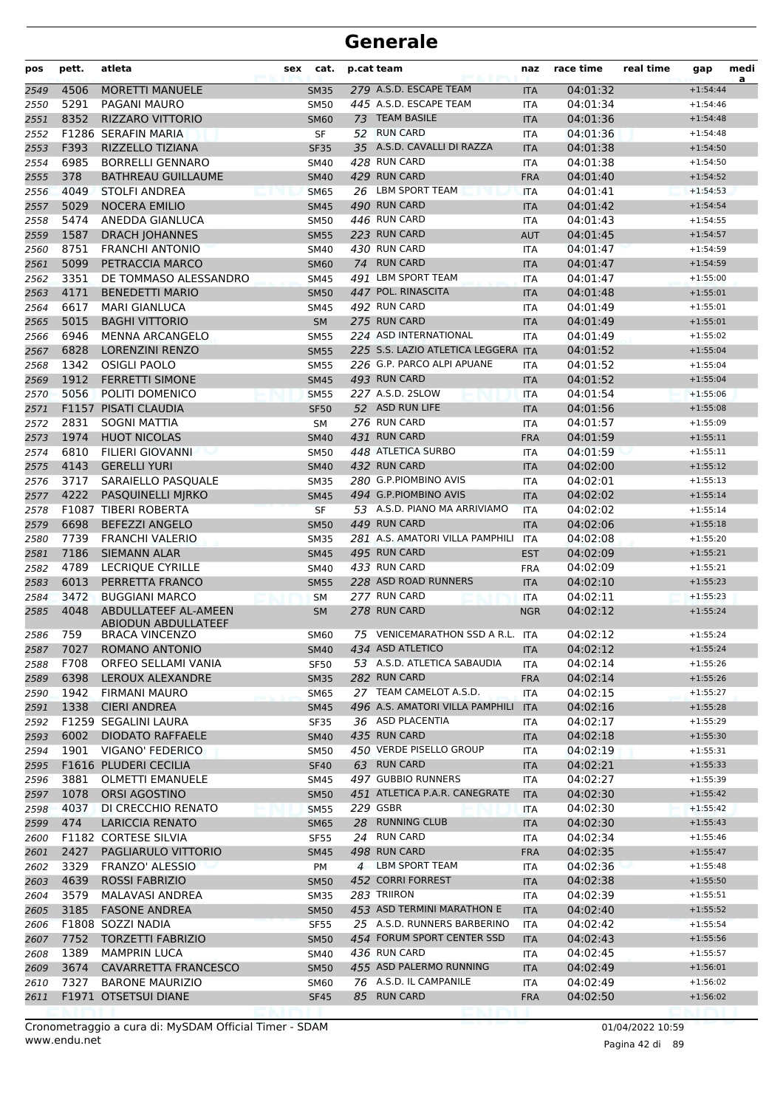| 279 A.S.D. ESCAPE TEAM<br>4506<br>04:01:32<br><b>MORETTI MANUELE</b><br><b>SM35</b><br>2549<br><b>ITA</b><br>445 A.S.D. ESCAPE TEAM<br>5291<br>PAGANI MAURO<br><b>SM50</b><br>04:01:34<br>2550<br><b>ITA</b><br>8352<br><b>RIZZARO VITTORIO</b><br>73 TEAM BASILE<br><b>SM60</b><br>04:01:36<br>2551<br><b>ITA</b><br>52 RUN CARD<br>F1286 SERAFIN MARIA<br>SF<br>04:01:36<br>2552<br><b>ITA</b><br>35 A.S.D. CAVALLI DI RAZZA<br>2553<br>F393<br>RIZZELLO TIZIANA<br><b>SF35</b><br><b>ITA</b><br>04:01:38<br>6985<br>428 RUN CARD<br>2554<br><b>BORRELLI GENNARO</b><br><b>SM40</b><br>04:01:38<br><b>ITA</b><br>429 RUN CARD<br>378<br>2555<br><b>BATHREAU GUILLAUME</b><br>04:01:40<br><b>SM40</b><br><b>FRA</b><br>26 LBM SPORT TEAM<br>4049<br><b>STOLFI ANDREA</b><br><b>SM65</b><br><b>ITA</b><br>04:01:41<br>2556<br>5029<br><b>NOCERA EMILIO</b><br>490 RUN CARD<br>2557<br><b>SM45</b><br>04:01:42<br><b>ITA</b><br>446 RUN CARD<br>5474<br>ANEDDA GIANLUCA<br>04:01:43<br>2558<br><b>SM50</b><br><b>ITA</b><br>223 RUN CARD<br>1587<br><b>DRACH JOHANNES</b><br>04:01:45<br>2559<br><b>SM55</b><br><b>AUT</b><br>8751<br>430 RUN CARD<br>2560<br><b>FRANCHI ANTONIO</b><br><b>SM40</b><br>04:01:47<br><b>ITA</b><br>74 RUN CARD<br>5099<br>PETRACCIA MARCO<br>2561<br>04:01:47<br><b>SM60</b><br><b>ITA</b><br>3351<br>491 LBM SPORT TEAM<br>DE TOMMASO ALESSANDRO<br><b>SM45</b><br><b>ITA</b><br>04:01:47<br>2562<br>4171<br>447 POL. RINASCITA<br><b>BENEDETTI MARIO</b><br>04:01:48<br>2563<br><b>SM50</b><br><b>ITA</b><br>492 RUN CARD<br>6617<br><b>MARI GIANLUCA</b><br>04:01:49<br>2564<br><b>SM45</b><br><b>ITA</b><br>5015<br><b>BAGHI VITTORIO</b><br>275 RUN CARD<br>2565<br><b>SM</b><br><b>ITA</b><br>04:01:49<br>6946<br>224 ASD INTERNATIONAL<br><b>MENNA ARCANGELO</b><br>04:01:49<br>2566<br><b>SM55</b><br><b>ITA</b><br>225 S.S. LAZIO ATLETICA LEGGERA ITA<br>6828<br>2567<br><b>LORENZINI RENZO</b><br><b>SM55</b><br>04:01:52<br>1342<br>226 G.P. PARCO ALPI APUANE<br><b>OSIGLI PAOLO</b><br><b>SM55</b><br>04:01:52<br>2568<br><b>ITA</b><br>493 RUN CARD<br>1912<br><b>FERRETTI SIMONE</b><br>04:01:52<br>2569<br><b>SM45</b><br><b>ITA</b><br>5056<br>227 A.S.D. 2SLOW<br>POLITI DOMENICO<br>04:01:54<br>2570<br><b>SM55</b><br><b>ITA</b><br>F1157 PISATI CLAUDIA<br>52 ASD RUN LIFE<br><b>SF50</b><br>04:01:56<br>2571<br><b>ITA</b><br>2831<br><b>SOGNI MATTIA</b><br>276 RUN CARD<br>04:01:57<br>2572<br>SM<br>ITA<br>431 RUN CARD<br>1974<br><b>HUOT NICOLAS</b><br>2573<br><b>FRA</b><br>04:01:59<br><b>SM40</b><br>6810<br>448 ATLETICA SURBO<br>2574<br>FILIERI GIOVANNI<br><b>SM50</b><br><b>ITA</b><br>04:01:59<br>4143<br><b>GERELLI YURI</b><br>432 RUN CARD<br>04:02:00<br>2575<br><b>SM40</b><br><b>ITA</b><br>280 G.P.PIOMBINO AVIS<br>3717<br>SARAIELLO PASQUALE<br>04:02:01<br>2576<br><b>SM35</b><br><b>ITA</b><br>4222<br>PASQUINELLI MJRKO<br>494 G.P.PIOMBINO AVIS<br><b>SM45</b><br><b>ITA</b><br>04:02:02<br>2577<br>53 A.S.D. PIANO MA ARRIVIAMO<br>F1087 TIBERI ROBERTA<br>04:02:02<br>2578<br><b>SF</b><br><b>ITA</b><br>449 RUN CARD<br>6698<br>2579<br><b>BEFEZZI ANGELO</b><br>04:02:06<br><b>SM50</b><br><b>ITA</b><br>7739<br>281 A.S. AMATORI VILLA PAMPHILI<br><b>FRANCHI VALERIO</b><br><b>SM35</b><br><b>ITA</b><br>04:02:08<br>2580<br>7186<br>495 RUN CARD<br><b>SIEMANN ALAR</b><br>04:02:09<br><b>SM45</b><br><b>EST</b><br>2581<br>4789<br>433 RUN CARD<br><b>LECRIOUE CYRILLE</b><br>04:02:09<br>2582<br><b>SM40</b><br><b>FRA</b><br>6013<br>228 ASD ROAD RUNNERS<br>2583<br>PERRETTA FRANCO<br><b>SM55</b><br><b>ITA</b><br>04:02:10<br>277 RUN CARD<br>3472<br><b>BUGGIANI MARCO</b><br>04:02:11<br>2584<br><b>ITA</b><br><b>SM</b><br>278 RUN CARD<br>4048<br>2585<br>ABDULLATEEF AL-AMEEN<br>04:02:12<br><b>SM</b><br><b>NGR</b><br><b>ABIODUN ABDULLATEEF</b><br>75 VENICEMARATHON SSD A R.L. ITA<br>759<br>04:02:12<br>2586<br><b>BRACA VINCENZO</b><br><b>SM60</b><br>ROMANO ANTONIO<br>434 ASD ATLETICO<br>7027<br>04:02:12<br>2587<br>SM40<br>IIA<br>53 A.S.D. ATLETICA SABAUDIA<br>F708<br>ORFEO SELLAMI VANIA<br>04:02:14<br>2588<br>SF50<br>ITA<br>282 RUN CARD<br>6398<br>04:02:14<br>2589<br>LEROUX ALEXANDRE<br><b>SM35</b><br><b>FRA</b><br>1942<br>27 TEAM CAMELOT A.S.D.<br>2590<br>FIRMANI MAURO<br><b>SM65</b><br>ITA<br>04:02:15<br>496 A.S. AMATORI VILLA PAMPHILI<br>1338<br><b>CIERI ANDREA</b><br>04:02:16<br>2591<br><b>SM45</b><br><b>ITA</b><br>36 ASD PLACENTIA<br>F1259 SEGALINI LAURA<br>2592<br><b>SF35</b><br>04:02:17<br>ITA | a<br>$+1:54:44$<br>$+1:54:46$<br>$+1:54:48$<br>$+1:54:48$<br>$+1:54:50$<br>$+1:54:50$<br>$+1:54:52$<br>$+1:54:53$<br>$+1:54:54$<br>$+1:54:55$ |
|--------------------------------------------------------------------------------------------------------------------------------------------------------------------------------------------------------------------------------------------------------------------------------------------------------------------------------------------------------------------------------------------------------------------------------------------------------------------------------------------------------------------------------------------------------------------------------------------------------------------------------------------------------------------------------------------------------------------------------------------------------------------------------------------------------------------------------------------------------------------------------------------------------------------------------------------------------------------------------------------------------------------------------------------------------------------------------------------------------------------------------------------------------------------------------------------------------------------------------------------------------------------------------------------------------------------------------------------------------------------------------------------------------------------------------------------------------------------------------------------------------------------------------------------------------------------------------------------------------------------------------------------------------------------------------------------------------------------------------------------------------------------------------------------------------------------------------------------------------------------------------------------------------------------------------------------------------------------------------------------------------------------------------------------------------------------------------------------------------------------------------------------------------------------------------------------------------------------------------------------------------------------------------------------------------------------------------------------------------------------------------------------------------------------------------------------------------------------------------------------------------------------------------------------------------------------------------------------------------------------------------------------------------------------------------------------------------------------------------------------------------------------------------------------------------------------------------------------------------------------------------------------------------------------------------------------------------------------------------------------------------------------------------------------------------------------------------------------------------------------------------------------------------------------------------------------------------------------------------------------------------------------------------------------------------------------------------------------------------------------------------------------------------------------------------------------------------------------------------------------------------------------------------------------------------------------------------------------------------------------------------------------------------------------------------------------------------------------------------------------------------------------------------------------------------------------------------------------------------------------------------------------------------------------------------------------------------------------------------------------------------------------------------------------------------------------------------------------------------------------------------------------------------------------------------------------------------------------------------------------------------------------------------------------------------------------------------------------------------------------------------------------------------------------------------------------------------------------------------------------------------------------------------------------------|-----------------------------------------------------------------------------------------------------------------------------------------------|
|                                                                                                                                                                                                                                                                                                                                                                                                                                                                                                                                                                                                                                                                                                                                                                                                                                                                                                                                                                                                                                                                                                                                                                                                                                                                                                                                                                                                                                                                                                                                                                                                                                                                                                                                                                                                                                                                                                                                                                                                                                                                                                                                                                                                                                                                                                                                                                                                                                                                                                                                                                                                                                                                                                                                                                                                                                                                                                                                                                                                                                                                                                                                                                                                                                                                                                                                                                                                                                                                                                                                                                                                                                                                                                                                                                                                                                                                                                                                                                                                                                                                                                                                                                                                                                                                                                                                                                                                                                                                                                                                                  |                                                                                                                                               |
|                                                                                                                                                                                                                                                                                                                                                                                                                                                                                                                                                                                                                                                                                                                                                                                                                                                                                                                                                                                                                                                                                                                                                                                                                                                                                                                                                                                                                                                                                                                                                                                                                                                                                                                                                                                                                                                                                                                                                                                                                                                                                                                                                                                                                                                                                                                                                                                                                                                                                                                                                                                                                                                                                                                                                                                                                                                                                                                                                                                                                                                                                                                                                                                                                                                                                                                                                                                                                                                                                                                                                                                                                                                                                                                                                                                                                                                                                                                                                                                                                                                                                                                                                                                                                                                                                                                                                                                                                                                                                                                                                  |                                                                                                                                               |
|                                                                                                                                                                                                                                                                                                                                                                                                                                                                                                                                                                                                                                                                                                                                                                                                                                                                                                                                                                                                                                                                                                                                                                                                                                                                                                                                                                                                                                                                                                                                                                                                                                                                                                                                                                                                                                                                                                                                                                                                                                                                                                                                                                                                                                                                                                                                                                                                                                                                                                                                                                                                                                                                                                                                                                                                                                                                                                                                                                                                                                                                                                                                                                                                                                                                                                                                                                                                                                                                                                                                                                                                                                                                                                                                                                                                                                                                                                                                                                                                                                                                                                                                                                                                                                                                                                                                                                                                                                                                                                                                                  |                                                                                                                                               |
|                                                                                                                                                                                                                                                                                                                                                                                                                                                                                                                                                                                                                                                                                                                                                                                                                                                                                                                                                                                                                                                                                                                                                                                                                                                                                                                                                                                                                                                                                                                                                                                                                                                                                                                                                                                                                                                                                                                                                                                                                                                                                                                                                                                                                                                                                                                                                                                                                                                                                                                                                                                                                                                                                                                                                                                                                                                                                                                                                                                                                                                                                                                                                                                                                                                                                                                                                                                                                                                                                                                                                                                                                                                                                                                                                                                                                                                                                                                                                                                                                                                                                                                                                                                                                                                                                                                                                                                                                                                                                                                                                  |                                                                                                                                               |
|                                                                                                                                                                                                                                                                                                                                                                                                                                                                                                                                                                                                                                                                                                                                                                                                                                                                                                                                                                                                                                                                                                                                                                                                                                                                                                                                                                                                                                                                                                                                                                                                                                                                                                                                                                                                                                                                                                                                                                                                                                                                                                                                                                                                                                                                                                                                                                                                                                                                                                                                                                                                                                                                                                                                                                                                                                                                                                                                                                                                                                                                                                                                                                                                                                                                                                                                                                                                                                                                                                                                                                                                                                                                                                                                                                                                                                                                                                                                                                                                                                                                                                                                                                                                                                                                                                                                                                                                                                                                                                                                                  |                                                                                                                                               |
|                                                                                                                                                                                                                                                                                                                                                                                                                                                                                                                                                                                                                                                                                                                                                                                                                                                                                                                                                                                                                                                                                                                                                                                                                                                                                                                                                                                                                                                                                                                                                                                                                                                                                                                                                                                                                                                                                                                                                                                                                                                                                                                                                                                                                                                                                                                                                                                                                                                                                                                                                                                                                                                                                                                                                                                                                                                                                                                                                                                                                                                                                                                                                                                                                                                                                                                                                                                                                                                                                                                                                                                                                                                                                                                                                                                                                                                                                                                                                                                                                                                                                                                                                                                                                                                                                                                                                                                                                                                                                                                                                  |                                                                                                                                               |
|                                                                                                                                                                                                                                                                                                                                                                                                                                                                                                                                                                                                                                                                                                                                                                                                                                                                                                                                                                                                                                                                                                                                                                                                                                                                                                                                                                                                                                                                                                                                                                                                                                                                                                                                                                                                                                                                                                                                                                                                                                                                                                                                                                                                                                                                                                                                                                                                                                                                                                                                                                                                                                                                                                                                                                                                                                                                                                                                                                                                                                                                                                                                                                                                                                                                                                                                                                                                                                                                                                                                                                                                                                                                                                                                                                                                                                                                                                                                                                                                                                                                                                                                                                                                                                                                                                                                                                                                                                                                                                                                                  |                                                                                                                                               |
|                                                                                                                                                                                                                                                                                                                                                                                                                                                                                                                                                                                                                                                                                                                                                                                                                                                                                                                                                                                                                                                                                                                                                                                                                                                                                                                                                                                                                                                                                                                                                                                                                                                                                                                                                                                                                                                                                                                                                                                                                                                                                                                                                                                                                                                                                                                                                                                                                                                                                                                                                                                                                                                                                                                                                                                                                                                                                                                                                                                                                                                                                                                                                                                                                                                                                                                                                                                                                                                                                                                                                                                                                                                                                                                                                                                                                                                                                                                                                                                                                                                                                                                                                                                                                                                                                                                                                                                                                                                                                                                                                  |                                                                                                                                               |
|                                                                                                                                                                                                                                                                                                                                                                                                                                                                                                                                                                                                                                                                                                                                                                                                                                                                                                                                                                                                                                                                                                                                                                                                                                                                                                                                                                                                                                                                                                                                                                                                                                                                                                                                                                                                                                                                                                                                                                                                                                                                                                                                                                                                                                                                                                                                                                                                                                                                                                                                                                                                                                                                                                                                                                                                                                                                                                                                                                                                                                                                                                                                                                                                                                                                                                                                                                                                                                                                                                                                                                                                                                                                                                                                                                                                                                                                                                                                                                                                                                                                                                                                                                                                                                                                                                                                                                                                                                                                                                                                                  |                                                                                                                                               |
|                                                                                                                                                                                                                                                                                                                                                                                                                                                                                                                                                                                                                                                                                                                                                                                                                                                                                                                                                                                                                                                                                                                                                                                                                                                                                                                                                                                                                                                                                                                                                                                                                                                                                                                                                                                                                                                                                                                                                                                                                                                                                                                                                                                                                                                                                                                                                                                                                                                                                                                                                                                                                                                                                                                                                                                                                                                                                                                                                                                                                                                                                                                                                                                                                                                                                                                                                                                                                                                                                                                                                                                                                                                                                                                                                                                                                                                                                                                                                                                                                                                                                                                                                                                                                                                                                                                                                                                                                                                                                                                                                  |                                                                                                                                               |
|                                                                                                                                                                                                                                                                                                                                                                                                                                                                                                                                                                                                                                                                                                                                                                                                                                                                                                                                                                                                                                                                                                                                                                                                                                                                                                                                                                                                                                                                                                                                                                                                                                                                                                                                                                                                                                                                                                                                                                                                                                                                                                                                                                                                                                                                                                                                                                                                                                                                                                                                                                                                                                                                                                                                                                                                                                                                                                                                                                                                                                                                                                                                                                                                                                                                                                                                                                                                                                                                                                                                                                                                                                                                                                                                                                                                                                                                                                                                                                                                                                                                                                                                                                                                                                                                                                                                                                                                                                                                                                                                                  | $+1:54:57$                                                                                                                                    |
|                                                                                                                                                                                                                                                                                                                                                                                                                                                                                                                                                                                                                                                                                                                                                                                                                                                                                                                                                                                                                                                                                                                                                                                                                                                                                                                                                                                                                                                                                                                                                                                                                                                                                                                                                                                                                                                                                                                                                                                                                                                                                                                                                                                                                                                                                                                                                                                                                                                                                                                                                                                                                                                                                                                                                                                                                                                                                                                                                                                                                                                                                                                                                                                                                                                                                                                                                                                                                                                                                                                                                                                                                                                                                                                                                                                                                                                                                                                                                                                                                                                                                                                                                                                                                                                                                                                                                                                                                                                                                                                                                  | $+1:54:59$                                                                                                                                    |
|                                                                                                                                                                                                                                                                                                                                                                                                                                                                                                                                                                                                                                                                                                                                                                                                                                                                                                                                                                                                                                                                                                                                                                                                                                                                                                                                                                                                                                                                                                                                                                                                                                                                                                                                                                                                                                                                                                                                                                                                                                                                                                                                                                                                                                                                                                                                                                                                                                                                                                                                                                                                                                                                                                                                                                                                                                                                                                                                                                                                                                                                                                                                                                                                                                                                                                                                                                                                                                                                                                                                                                                                                                                                                                                                                                                                                                                                                                                                                                                                                                                                                                                                                                                                                                                                                                                                                                                                                                                                                                                                                  | $+1:54:59$                                                                                                                                    |
|                                                                                                                                                                                                                                                                                                                                                                                                                                                                                                                                                                                                                                                                                                                                                                                                                                                                                                                                                                                                                                                                                                                                                                                                                                                                                                                                                                                                                                                                                                                                                                                                                                                                                                                                                                                                                                                                                                                                                                                                                                                                                                                                                                                                                                                                                                                                                                                                                                                                                                                                                                                                                                                                                                                                                                                                                                                                                                                                                                                                                                                                                                                                                                                                                                                                                                                                                                                                                                                                                                                                                                                                                                                                                                                                                                                                                                                                                                                                                                                                                                                                                                                                                                                                                                                                                                                                                                                                                                                                                                                                                  | $+1:55:00$                                                                                                                                    |
|                                                                                                                                                                                                                                                                                                                                                                                                                                                                                                                                                                                                                                                                                                                                                                                                                                                                                                                                                                                                                                                                                                                                                                                                                                                                                                                                                                                                                                                                                                                                                                                                                                                                                                                                                                                                                                                                                                                                                                                                                                                                                                                                                                                                                                                                                                                                                                                                                                                                                                                                                                                                                                                                                                                                                                                                                                                                                                                                                                                                                                                                                                                                                                                                                                                                                                                                                                                                                                                                                                                                                                                                                                                                                                                                                                                                                                                                                                                                                                                                                                                                                                                                                                                                                                                                                                                                                                                                                                                                                                                                                  | $+1:55:01$                                                                                                                                    |
|                                                                                                                                                                                                                                                                                                                                                                                                                                                                                                                                                                                                                                                                                                                                                                                                                                                                                                                                                                                                                                                                                                                                                                                                                                                                                                                                                                                                                                                                                                                                                                                                                                                                                                                                                                                                                                                                                                                                                                                                                                                                                                                                                                                                                                                                                                                                                                                                                                                                                                                                                                                                                                                                                                                                                                                                                                                                                                                                                                                                                                                                                                                                                                                                                                                                                                                                                                                                                                                                                                                                                                                                                                                                                                                                                                                                                                                                                                                                                                                                                                                                                                                                                                                                                                                                                                                                                                                                                                                                                                                                                  | $+1:55:01$                                                                                                                                    |
|                                                                                                                                                                                                                                                                                                                                                                                                                                                                                                                                                                                                                                                                                                                                                                                                                                                                                                                                                                                                                                                                                                                                                                                                                                                                                                                                                                                                                                                                                                                                                                                                                                                                                                                                                                                                                                                                                                                                                                                                                                                                                                                                                                                                                                                                                                                                                                                                                                                                                                                                                                                                                                                                                                                                                                                                                                                                                                                                                                                                                                                                                                                                                                                                                                                                                                                                                                                                                                                                                                                                                                                                                                                                                                                                                                                                                                                                                                                                                                                                                                                                                                                                                                                                                                                                                                                                                                                                                                                                                                                                                  | $+1:55:01$                                                                                                                                    |
|                                                                                                                                                                                                                                                                                                                                                                                                                                                                                                                                                                                                                                                                                                                                                                                                                                                                                                                                                                                                                                                                                                                                                                                                                                                                                                                                                                                                                                                                                                                                                                                                                                                                                                                                                                                                                                                                                                                                                                                                                                                                                                                                                                                                                                                                                                                                                                                                                                                                                                                                                                                                                                                                                                                                                                                                                                                                                                                                                                                                                                                                                                                                                                                                                                                                                                                                                                                                                                                                                                                                                                                                                                                                                                                                                                                                                                                                                                                                                                                                                                                                                                                                                                                                                                                                                                                                                                                                                                                                                                                                                  | $+1:55:02$                                                                                                                                    |
|                                                                                                                                                                                                                                                                                                                                                                                                                                                                                                                                                                                                                                                                                                                                                                                                                                                                                                                                                                                                                                                                                                                                                                                                                                                                                                                                                                                                                                                                                                                                                                                                                                                                                                                                                                                                                                                                                                                                                                                                                                                                                                                                                                                                                                                                                                                                                                                                                                                                                                                                                                                                                                                                                                                                                                                                                                                                                                                                                                                                                                                                                                                                                                                                                                                                                                                                                                                                                                                                                                                                                                                                                                                                                                                                                                                                                                                                                                                                                                                                                                                                                                                                                                                                                                                                                                                                                                                                                                                                                                                                                  | $+1:55:04$                                                                                                                                    |
|                                                                                                                                                                                                                                                                                                                                                                                                                                                                                                                                                                                                                                                                                                                                                                                                                                                                                                                                                                                                                                                                                                                                                                                                                                                                                                                                                                                                                                                                                                                                                                                                                                                                                                                                                                                                                                                                                                                                                                                                                                                                                                                                                                                                                                                                                                                                                                                                                                                                                                                                                                                                                                                                                                                                                                                                                                                                                                                                                                                                                                                                                                                                                                                                                                                                                                                                                                                                                                                                                                                                                                                                                                                                                                                                                                                                                                                                                                                                                                                                                                                                                                                                                                                                                                                                                                                                                                                                                                                                                                                                                  | $+1:55:04$                                                                                                                                    |
|                                                                                                                                                                                                                                                                                                                                                                                                                                                                                                                                                                                                                                                                                                                                                                                                                                                                                                                                                                                                                                                                                                                                                                                                                                                                                                                                                                                                                                                                                                                                                                                                                                                                                                                                                                                                                                                                                                                                                                                                                                                                                                                                                                                                                                                                                                                                                                                                                                                                                                                                                                                                                                                                                                                                                                                                                                                                                                                                                                                                                                                                                                                                                                                                                                                                                                                                                                                                                                                                                                                                                                                                                                                                                                                                                                                                                                                                                                                                                                                                                                                                                                                                                                                                                                                                                                                                                                                                                                                                                                                                                  | $+1:55:04$                                                                                                                                    |
|                                                                                                                                                                                                                                                                                                                                                                                                                                                                                                                                                                                                                                                                                                                                                                                                                                                                                                                                                                                                                                                                                                                                                                                                                                                                                                                                                                                                                                                                                                                                                                                                                                                                                                                                                                                                                                                                                                                                                                                                                                                                                                                                                                                                                                                                                                                                                                                                                                                                                                                                                                                                                                                                                                                                                                                                                                                                                                                                                                                                                                                                                                                                                                                                                                                                                                                                                                                                                                                                                                                                                                                                                                                                                                                                                                                                                                                                                                                                                                                                                                                                                                                                                                                                                                                                                                                                                                                                                                                                                                                                                  | $+1:55:06$                                                                                                                                    |
|                                                                                                                                                                                                                                                                                                                                                                                                                                                                                                                                                                                                                                                                                                                                                                                                                                                                                                                                                                                                                                                                                                                                                                                                                                                                                                                                                                                                                                                                                                                                                                                                                                                                                                                                                                                                                                                                                                                                                                                                                                                                                                                                                                                                                                                                                                                                                                                                                                                                                                                                                                                                                                                                                                                                                                                                                                                                                                                                                                                                                                                                                                                                                                                                                                                                                                                                                                                                                                                                                                                                                                                                                                                                                                                                                                                                                                                                                                                                                                                                                                                                                                                                                                                                                                                                                                                                                                                                                                                                                                                                                  | $+1:55:08$                                                                                                                                    |
|                                                                                                                                                                                                                                                                                                                                                                                                                                                                                                                                                                                                                                                                                                                                                                                                                                                                                                                                                                                                                                                                                                                                                                                                                                                                                                                                                                                                                                                                                                                                                                                                                                                                                                                                                                                                                                                                                                                                                                                                                                                                                                                                                                                                                                                                                                                                                                                                                                                                                                                                                                                                                                                                                                                                                                                                                                                                                                                                                                                                                                                                                                                                                                                                                                                                                                                                                                                                                                                                                                                                                                                                                                                                                                                                                                                                                                                                                                                                                                                                                                                                                                                                                                                                                                                                                                                                                                                                                                                                                                                                                  | $+1:55:09$                                                                                                                                    |
|                                                                                                                                                                                                                                                                                                                                                                                                                                                                                                                                                                                                                                                                                                                                                                                                                                                                                                                                                                                                                                                                                                                                                                                                                                                                                                                                                                                                                                                                                                                                                                                                                                                                                                                                                                                                                                                                                                                                                                                                                                                                                                                                                                                                                                                                                                                                                                                                                                                                                                                                                                                                                                                                                                                                                                                                                                                                                                                                                                                                                                                                                                                                                                                                                                                                                                                                                                                                                                                                                                                                                                                                                                                                                                                                                                                                                                                                                                                                                                                                                                                                                                                                                                                                                                                                                                                                                                                                                                                                                                                                                  | $+1:55:11$                                                                                                                                    |
|                                                                                                                                                                                                                                                                                                                                                                                                                                                                                                                                                                                                                                                                                                                                                                                                                                                                                                                                                                                                                                                                                                                                                                                                                                                                                                                                                                                                                                                                                                                                                                                                                                                                                                                                                                                                                                                                                                                                                                                                                                                                                                                                                                                                                                                                                                                                                                                                                                                                                                                                                                                                                                                                                                                                                                                                                                                                                                                                                                                                                                                                                                                                                                                                                                                                                                                                                                                                                                                                                                                                                                                                                                                                                                                                                                                                                                                                                                                                                                                                                                                                                                                                                                                                                                                                                                                                                                                                                                                                                                                                                  | $+1:55:11$                                                                                                                                    |
|                                                                                                                                                                                                                                                                                                                                                                                                                                                                                                                                                                                                                                                                                                                                                                                                                                                                                                                                                                                                                                                                                                                                                                                                                                                                                                                                                                                                                                                                                                                                                                                                                                                                                                                                                                                                                                                                                                                                                                                                                                                                                                                                                                                                                                                                                                                                                                                                                                                                                                                                                                                                                                                                                                                                                                                                                                                                                                                                                                                                                                                                                                                                                                                                                                                                                                                                                                                                                                                                                                                                                                                                                                                                                                                                                                                                                                                                                                                                                                                                                                                                                                                                                                                                                                                                                                                                                                                                                                                                                                                                                  | $+1:55:12$                                                                                                                                    |
|                                                                                                                                                                                                                                                                                                                                                                                                                                                                                                                                                                                                                                                                                                                                                                                                                                                                                                                                                                                                                                                                                                                                                                                                                                                                                                                                                                                                                                                                                                                                                                                                                                                                                                                                                                                                                                                                                                                                                                                                                                                                                                                                                                                                                                                                                                                                                                                                                                                                                                                                                                                                                                                                                                                                                                                                                                                                                                                                                                                                                                                                                                                                                                                                                                                                                                                                                                                                                                                                                                                                                                                                                                                                                                                                                                                                                                                                                                                                                                                                                                                                                                                                                                                                                                                                                                                                                                                                                                                                                                                                                  | $+1:55:13$                                                                                                                                    |
|                                                                                                                                                                                                                                                                                                                                                                                                                                                                                                                                                                                                                                                                                                                                                                                                                                                                                                                                                                                                                                                                                                                                                                                                                                                                                                                                                                                                                                                                                                                                                                                                                                                                                                                                                                                                                                                                                                                                                                                                                                                                                                                                                                                                                                                                                                                                                                                                                                                                                                                                                                                                                                                                                                                                                                                                                                                                                                                                                                                                                                                                                                                                                                                                                                                                                                                                                                                                                                                                                                                                                                                                                                                                                                                                                                                                                                                                                                                                                                                                                                                                                                                                                                                                                                                                                                                                                                                                                                                                                                                                                  | $+1:55:14$                                                                                                                                    |
|                                                                                                                                                                                                                                                                                                                                                                                                                                                                                                                                                                                                                                                                                                                                                                                                                                                                                                                                                                                                                                                                                                                                                                                                                                                                                                                                                                                                                                                                                                                                                                                                                                                                                                                                                                                                                                                                                                                                                                                                                                                                                                                                                                                                                                                                                                                                                                                                                                                                                                                                                                                                                                                                                                                                                                                                                                                                                                                                                                                                                                                                                                                                                                                                                                                                                                                                                                                                                                                                                                                                                                                                                                                                                                                                                                                                                                                                                                                                                                                                                                                                                                                                                                                                                                                                                                                                                                                                                                                                                                                                                  | $+1:55:14$                                                                                                                                    |
|                                                                                                                                                                                                                                                                                                                                                                                                                                                                                                                                                                                                                                                                                                                                                                                                                                                                                                                                                                                                                                                                                                                                                                                                                                                                                                                                                                                                                                                                                                                                                                                                                                                                                                                                                                                                                                                                                                                                                                                                                                                                                                                                                                                                                                                                                                                                                                                                                                                                                                                                                                                                                                                                                                                                                                                                                                                                                                                                                                                                                                                                                                                                                                                                                                                                                                                                                                                                                                                                                                                                                                                                                                                                                                                                                                                                                                                                                                                                                                                                                                                                                                                                                                                                                                                                                                                                                                                                                                                                                                                                                  | $+1:55:18$                                                                                                                                    |
|                                                                                                                                                                                                                                                                                                                                                                                                                                                                                                                                                                                                                                                                                                                                                                                                                                                                                                                                                                                                                                                                                                                                                                                                                                                                                                                                                                                                                                                                                                                                                                                                                                                                                                                                                                                                                                                                                                                                                                                                                                                                                                                                                                                                                                                                                                                                                                                                                                                                                                                                                                                                                                                                                                                                                                                                                                                                                                                                                                                                                                                                                                                                                                                                                                                                                                                                                                                                                                                                                                                                                                                                                                                                                                                                                                                                                                                                                                                                                                                                                                                                                                                                                                                                                                                                                                                                                                                                                                                                                                                                                  | $+1:55:20$                                                                                                                                    |
|                                                                                                                                                                                                                                                                                                                                                                                                                                                                                                                                                                                                                                                                                                                                                                                                                                                                                                                                                                                                                                                                                                                                                                                                                                                                                                                                                                                                                                                                                                                                                                                                                                                                                                                                                                                                                                                                                                                                                                                                                                                                                                                                                                                                                                                                                                                                                                                                                                                                                                                                                                                                                                                                                                                                                                                                                                                                                                                                                                                                                                                                                                                                                                                                                                                                                                                                                                                                                                                                                                                                                                                                                                                                                                                                                                                                                                                                                                                                                                                                                                                                                                                                                                                                                                                                                                                                                                                                                                                                                                                                                  | $+1:55:21$                                                                                                                                    |
|                                                                                                                                                                                                                                                                                                                                                                                                                                                                                                                                                                                                                                                                                                                                                                                                                                                                                                                                                                                                                                                                                                                                                                                                                                                                                                                                                                                                                                                                                                                                                                                                                                                                                                                                                                                                                                                                                                                                                                                                                                                                                                                                                                                                                                                                                                                                                                                                                                                                                                                                                                                                                                                                                                                                                                                                                                                                                                                                                                                                                                                                                                                                                                                                                                                                                                                                                                                                                                                                                                                                                                                                                                                                                                                                                                                                                                                                                                                                                                                                                                                                                                                                                                                                                                                                                                                                                                                                                                                                                                                                                  | $+1:55:21$                                                                                                                                    |
|                                                                                                                                                                                                                                                                                                                                                                                                                                                                                                                                                                                                                                                                                                                                                                                                                                                                                                                                                                                                                                                                                                                                                                                                                                                                                                                                                                                                                                                                                                                                                                                                                                                                                                                                                                                                                                                                                                                                                                                                                                                                                                                                                                                                                                                                                                                                                                                                                                                                                                                                                                                                                                                                                                                                                                                                                                                                                                                                                                                                                                                                                                                                                                                                                                                                                                                                                                                                                                                                                                                                                                                                                                                                                                                                                                                                                                                                                                                                                                                                                                                                                                                                                                                                                                                                                                                                                                                                                                                                                                                                                  | $+1:55:23$                                                                                                                                    |
|                                                                                                                                                                                                                                                                                                                                                                                                                                                                                                                                                                                                                                                                                                                                                                                                                                                                                                                                                                                                                                                                                                                                                                                                                                                                                                                                                                                                                                                                                                                                                                                                                                                                                                                                                                                                                                                                                                                                                                                                                                                                                                                                                                                                                                                                                                                                                                                                                                                                                                                                                                                                                                                                                                                                                                                                                                                                                                                                                                                                                                                                                                                                                                                                                                                                                                                                                                                                                                                                                                                                                                                                                                                                                                                                                                                                                                                                                                                                                                                                                                                                                                                                                                                                                                                                                                                                                                                                                                                                                                                                                  | $+1:55:23$                                                                                                                                    |
|                                                                                                                                                                                                                                                                                                                                                                                                                                                                                                                                                                                                                                                                                                                                                                                                                                                                                                                                                                                                                                                                                                                                                                                                                                                                                                                                                                                                                                                                                                                                                                                                                                                                                                                                                                                                                                                                                                                                                                                                                                                                                                                                                                                                                                                                                                                                                                                                                                                                                                                                                                                                                                                                                                                                                                                                                                                                                                                                                                                                                                                                                                                                                                                                                                                                                                                                                                                                                                                                                                                                                                                                                                                                                                                                                                                                                                                                                                                                                                                                                                                                                                                                                                                                                                                                                                                                                                                                                                                                                                                                                  | $+1:55:24$                                                                                                                                    |
|                                                                                                                                                                                                                                                                                                                                                                                                                                                                                                                                                                                                                                                                                                                                                                                                                                                                                                                                                                                                                                                                                                                                                                                                                                                                                                                                                                                                                                                                                                                                                                                                                                                                                                                                                                                                                                                                                                                                                                                                                                                                                                                                                                                                                                                                                                                                                                                                                                                                                                                                                                                                                                                                                                                                                                                                                                                                                                                                                                                                                                                                                                                                                                                                                                                                                                                                                                                                                                                                                                                                                                                                                                                                                                                                                                                                                                                                                                                                                                                                                                                                                                                                                                                                                                                                                                                                                                                                                                                                                                                                                  | $+1:55:24$                                                                                                                                    |
|                                                                                                                                                                                                                                                                                                                                                                                                                                                                                                                                                                                                                                                                                                                                                                                                                                                                                                                                                                                                                                                                                                                                                                                                                                                                                                                                                                                                                                                                                                                                                                                                                                                                                                                                                                                                                                                                                                                                                                                                                                                                                                                                                                                                                                                                                                                                                                                                                                                                                                                                                                                                                                                                                                                                                                                                                                                                                                                                                                                                                                                                                                                                                                                                                                                                                                                                                                                                                                                                                                                                                                                                                                                                                                                                                                                                                                                                                                                                                                                                                                                                                                                                                                                                                                                                                                                                                                                                                                                                                                                                                  | $+1:55:24$                                                                                                                                    |
|                                                                                                                                                                                                                                                                                                                                                                                                                                                                                                                                                                                                                                                                                                                                                                                                                                                                                                                                                                                                                                                                                                                                                                                                                                                                                                                                                                                                                                                                                                                                                                                                                                                                                                                                                                                                                                                                                                                                                                                                                                                                                                                                                                                                                                                                                                                                                                                                                                                                                                                                                                                                                                                                                                                                                                                                                                                                                                                                                                                                                                                                                                                                                                                                                                                                                                                                                                                                                                                                                                                                                                                                                                                                                                                                                                                                                                                                                                                                                                                                                                                                                                                                                                                                                                                                                                                                                                                                                                                                                                                                                  | $+1:55:26$                                                                                                                                    |
|                                                                                                                                                                                                                                                                                                                                                                                                                                                                                                                                                                                                                                                                                                                                                                                                                                                                                                                                                                                                                                                                                                                                                                                                                                                                                                                                                                                                                                                                                                                                                                                                                                                                                                                                                                                                                                                                                                                                                                                                                                                                                                                                                                                                                                                                                                                                                                                                                                                                                                                                                                                                                                                                                                                                                                                                                                                                                                                                                                                                                                                                                                                                                                                                                                                                                                                                                                                                                                                                                                                                                                                                                                                                                                                                                                                                                                                                                                                                                                                                                                                                                                                                                                                                                                                                                                                                                                                                                                                                                                                                                  | $+1:55:26$                                                                                                                                    |
|                                                                                                                                                                                                                                                                                                                                                                                                                                                                                                                                                                                                                                                                                                                                                                                                                                                                                                                                                                                                                                                                                                                                                                                                                                                                                                                                                                                                                                                                                                                                                                                                                                                                                                                                                                                                                                                                                                                                                                                                                                                                                                                                                                                                                                                                                                                                                                                                                                                                                                                                                                                                                                                                                                                                                                                                                                                                                                                                                                                                                                                                                                                                                                                                                                                                                                                                                                                                                                                                                                                                                                                                                                                                                                                                                                                                                                                                                                                                                                                                                                                                                                                                                                                                                                                                                                                                                                                                                                                                                                                                                  | $+1:55:27$                                                                                                                                    |
|                                                                                                                                                                                                                                                                                                                                                                                                                                                                                                                                                                                                                                                                                                                                                                                                                                                                                                                                                                                                                                                                                                                                                                                                                                                                                                                                                                                                                                                                                                                                                                                                                                                                                                                                                                                                                                                                                                                                                                                                                                                                                                                                                                                                                                                                                                                                                                                                                                                                                                                                                                                                                                                                                                                                                                                                                                                                                                                                                                                                                                                                                                                                                                                                                                                                                                                                                                                                                                                                                                                                                                                                                                                                                                                                                                                                                                                                                                                                                                                                                                                                                                                                                                                                                                                                                                                                                                                                                                                                                                                                                  | $+1:55:28$                                                                                                                                    |
|                                                                                                                                                                                                                                                                                                                                                                                                                                                                                                                                                                                                                                                                                                                                                                                                                                                                                                                                                                                                                                                                                                                                                                                                                                                                                                                                                                                                                                                                                                                                                                                                                                                                                                                                                                                                                                                                                                                                                                                                                                                                                                                                                                                                                                                                                                                                                                                                                                                                                                                                                                                                                                                                                                                                                                                                                                                                                                                                                                                                                                                                                                                                                                                                                                                                                                                                                                                                                                                                                                                                                                                                                                                                                                                                                                                                                                                                                                                                                                                                                                                                                                                                                                                                                                                                                                                                                                                                                                                                                                                                                  | $+1:55:29$                                                                                                                                    |
| 435 RUN CARD<br>6002<br><b>DIODATO RAFFAELE</b><br>04:02:18<br>2593<br><b>SM40</b><br><b>ITA</b>                                                                                                                                                                                                                                                                                                                                                                                                                                                                                                                                                                                                                                                                                                                                                                                                                                                                                                                                                                                                                                                                                                                                                                                                                                                                                                                                                                                                                                                                                                                                                                                                                                                                                                                                                                                                                                                                                                                                                                                                                                                                                                                                                                                                                                                                                                                                                                                                                                                                                                                                                                                                                                                                                                                                                                                                                                                                                                                                                                                                                                                                                                                                                                                                                                                                                                                                                                                                                                                                                                                                                                                                                                                                                                                                                                                                                                                                                                                                                                                                                                                                                                                                                                                                                                                                                                                                                                                                                                                 | $+1:55:30$                                                                                                                                    |
| 1901<br>450 VERDE PISELLO GROUP<br>VIGANO' FEDERICO<br>04:02:19<br><b>SM50</b><br>ITA<br>2594                                                                                                                                                                                                                                                                                                                                                                                                                                                                                                                                                                                                                                                                                                                                                                                                                                                                                                                                                                                                                                                                                                                                                                                                                                                                                                                                                                                                                                                                                                                                                                                                                                                                                                                                                                                                                                                                                                                                                                                                                                                                                                                                                                                                                                                                                                                                                                                                                                                                                                                                                                                                                                                                                                                                                                                                                                                                                                                                                                                                                                                                                                                                                                                                                                                                                                                                                                                                                                                                                                                                                                                                                                                                                                                                                                                                                                                                                                                                                                                                                                                                                                                                                                                                                                                                                                                                                                                                                                                    | $+1:55:31$                                                                                                                                    |
| 63 RUN CARD<br>F1616 PLUDERI CECILIA<br>04:02:21<br>2595<br><b>SF40</b><br><b>ITA</b>                                                                                                                                                                                                                                                                                                                                                                                                                                                                                                                                                                                                                                                                                                                                                                                                                                                                                                                                                                                                                                                                                                                                                                                                                                                                                                                                                                                                                                                                                                                                                                                                                                                                                                                                                                                                                                                                                                                                                                                                                                                                                                                                                                                                                                                                                                                                                                                                                                                                                                                                                                                                                                                                                                                                                                                                                                                                                                                                                                                                                                                                                                                                                                                                                                                                                                                                                                                                                                                                                                                                                                                                                                                                                                                                                                                                                                                                                                                                                                                                                                                                                                                                                                                                                                                                                                                                                                                                                                                            | $+1:55:33$                                                                                                                                    |
| 3881<br>497 GUBBIO RUNNERS<br>04:02:27<br>2596<br><b>OLMETTI EMANUELE</b><br><b>SM45</b><br>ITA                                                                                                                                                                                                                                                                                                                                                                                                                                                                                                                                                                                                                                                                                                                                                                                                                                                                                                                                                                                                                                                                                                                                                                                                                                                                                                                                                                                                                                                                                                                                                                                                                                                                                                                                                                                                                                                                                                                                                                                                                                                                                                                                                                                                                                                                                                                                                                                                                                                                                                                                                                                                                                                                                                                                                                                                                                                                                                                                                                                                                                                                                                                                                                                                                                                                                                                                                                                                                                                                                                                                                                                                                                                                                                                                                                                                                                                                                                                                                                                                                                                                                                                                                                                                                                                                                                                                                                                                                                                  | $+1:55:39$                                                                                                                                    |
| 451 ATLETICA P.A.R. CANEGRATE<br>1078<br><b>ORSI AGOSTINO</b><br>04:02:30<br>2597<br><b>SM50</b><br><b>ITA</b>                                                                                                                                                                                                                                                                                                                                                                                                                                                                                                                                                                                                                                                                                                                                                                                                                                                                                                                                                                                                                                                                                                                                                                                                                                                                                                                                                                                                                                                                                                                                                                                                                                                                                                                                                                                                                                                                                                                                                                                                                                                                                                                                                                                                                                                                                                                                                                                                                                                                                                                                                                                                                                                                                                                                                                                                                                                                                                                                                                                                                                                                                                                                                                                                                                                                                                                                                                                                                                                                                                                                                                                                                                                                                                                                                                                                                                                                                                                                                                                                                                                                                                                                                                                                                                                                                                                                                                                                                                   | $+1:55:42$                                                                                                                                    |
| 4037<br>DI CRECCHIO RENATO<br>229 GSBR<br>2598<br><b>SM55</b><br>04:02:30<br><b>ITA</b>                                                                                                                                                                                                                                                                                                                                                                                                                                                                                                                                                                                                                                                                                                                                                                                                                                                                                                                                                                                                                                                                                                                                                                                                                                                                                                                                                                                                                                                                                                                                                                                                                                                                                                                                                                                                                                                                                                                                                                                                                                                                                                                                                                                                                                                                                                                                                                                                                                                                                                                                                                                                                                                                                                                                                                                                                                                                                                                                                                                                                                                                                                                                                                                                                                                                                                                                                                                                                                                                                                                                                                                                                                                                                                                                                                                                                                                                                                                                                                                                                                                                                                                                                                                                                                                                                                                                                                                                                                                          | $+1:55:42$                                                                                                                                    |
| 474<br>LARICCIA RENATO<br>28 RUNNING CLUB<br>04:02:30<br>2599<br><b>SM65</b><br><b>ITA</b>                                                                                                                                                                                                                                                                                                                                                                                                                                                                                                                                                                                                                                                                                                                                                                                                                                                                                                                                                                                                                                                                                                                                                                                                                                                                                                                                                                                                                                                                                                                                                                                                                                                                                                                                                                                                                                                                                                                                                                                                                                                                                                                                                                                                                                                                                                                                                                                                                                                                                                                                                                                                                                                                                                                                                                                                                                                                                                                                                                                                                                                                                                                                                                                                                                                                                                                                                                                                                                                                                                                                                                                                                                                                                                                                                                                                                                                                                                                                                                                                                                                                                                                                                                                                                                                                                                                                                                                                                                                       | $+1:55:43$                                                                                                                                    |
| 24 RUN CARD<br>F1182 CORTESE SILVIA<br>04:02:34<br>2600<br><b>SF55</b><br>ITA                                                                                                                                                                                                                                                                                                                                                                                                                                                                                                                                                                                                                                                                                                                                                                                                                                                                                                                                                                                                                                                                                                                                                                                                                                                                                                                                                                                                                                                                                                                                                                                                                                                                                                                                                                                                                                                                                                                                                                                                                                                                                                                                                                                                                                                                                                                                                                                                                                                                                                                                                                                                                                                                                                                                                                                                                                                                                                                                                                                                                                                                                                                                                                                                                                                                                                                                                                                                                                                                                                                                                                                                                                                                                                                                                                                                                                                                                                                                                                                                                                                                                                                                                                                                                                                                                                                                                                                                                                                                    | $+1:55:46$                                                                                                                                    |
| 2427<br>PAGLIARULO VITTORIO<br>498 RUN CARD<br>2601<br><b>SM45</b><br><b>FRA</b><br>04:02:35                                                                                                                                                                                                                                                                                                                                                                                                                                                                                                                                                                                                                                                                                                                                                                                                                                                                                                                                                                                                                                                                                                                                                                                                                                                                                                                                                                                                                                                                                                                                                                                                                                                                                                                                                                                                                                                                                                                                                                                                                                                                                                                                                                                                                                                                                                                                                                                                                                                                                                                                                                                                                                                                                                                                                                                                                                                                                                                                                                                                                                                                                                                                                                                                                                                                                                                                                                                                                                                                                                                                                                                                                                                                                                                                                                                                                                                                                                                                                                                                                                                                                                                                                                                                                                                                                                                                                                                                                                                     | $+1:55:47$                                                                                                                                    |
| 3329<br>4 LBM SPORT TEAM<br>FRANZO' ALESSIO<br>04:02:36<br>2602<br>PM<br>ITA                                                                                                                                                                                                                                                                                                                                                                                                                                                                                                                                                                                                                                                                                                                                                                                                                                                                                                                                                                                                                                                                                                                                                                                                                                                                                                                                                                                                                                                                                                                                                                                                                                                                                                                                                                                                                                                                                                                                                                                                                                                                                                                                                                                                                                                                                                                                                                                                                                                                                                                                                                                                                                                                                                                                                                                                                                                                                                                                                                                                                                                                                                                                                                                                                                                                                                                                                                                                                                                                                                                                                                                                                                                                                                                                                                                                                                                                                                                                                                                                                                                                                                                                                                                                                                                                                                                                                                                                                                                                     | $+1:55:48$                                                                                                                                    |
| 452 CORRI FORREST<br>4639<br><b>ROSSI FABRIZIO</b><br>2603<br><b>SM50</b><br><b>ITA</b><br>04:02:38                                                                                                                                                                                                                                                                                                                                                                                                                                                                                                                                                                                                                                                                                                                                                                                                                                                                                                                                                                                                                                                                                                                                                                                                                                                                                                                                                                                                                                                                                                                                                                                                                                                                                                                                                                                                                                                                                                                                                                                                                                                                                                                                                                                                                                                                                                                                                                                                                                                                                                                                                                                                                                                                                                                                                                                                                                                                                                                                                                                                                                                                                                                                                                                                                                                                                                                                                                                                                                                                                                                                                                                                                                                                                                                                                                                                                                                                                                                                                                                                                                                                                                                                                                                                                                                                                                                                                                                                                                              | $+1:55:50$                                                                                                                                    |
| 3579<br>283 TRIIRON<br>MALAVASI ANDREA<br><b>SM35</b><br><b>ITA</b><br>04:02:39<br>2604                                                                                                                                                                                                                                                                                                                                                                                                                                                                                                                                                                                                                                                                                                                                                                                                                                                                                                                                                                                                                                                                                                                                                                                                                                                                                                                                                                                                                                                                                                                                                                                                                                                                                                                                                                                                                                                                                                                                                                                                                                                                                                                                                                                                                                                                                                                                                                                                                                                                                                                                                                                                                                                                                                                                                                                                                                                                                                                                                                                                                                                                                                                                                                                                                                                                                                                                                                                                                                                                                                                                                                                                                                                                                                                                                                                                                                                                                                                                                                                                                                                                                                                                                                                                                                                                                                                                                                                                                                                          | $+1:55:51$                                                                                                                                    |
| 3185<br><b>FASONE ANDREA</b><br>453 ASD TERMINI MARATHON E<br>2605<br>04:02:40<br><b>SM50</b><br><b>ITA</b>                                                                                                                                                                                                                                                                                                                                                                                                                                                                                                                                                                                                                                                                                                                                                                                                                                                                                                                                                                                                                                                                                                                                                                                                                                                                                                                                                                                                                                                                                                                                                                                                                                                                                                                                                                                                                                                                                                                                                                                                                                                                                                                                                                                                                                                                                                                                                                                                                                                                                                                                                                                                                                                                                                                                                                                                                                                                                                                                                                                                                                                                                                                                                                                                                                                                                                                                                                                                                                                                                                                                                                                                                                                                                                                                                                                                                                                                                                                                                                                                                                                                                                                                                                                                                                                                                                                                                                                                                                      | $+1:55:52$                                                                                                                                    |
| 25 A.S.D. RUNNERS BARBERINO<br>F1808 SOZZI NADIA<br><b>SF55</b><br>ITA<br>04:02:42<br>2606                                                                                                                                                                                                                                                                                                                                                                                                                                                                                                                                                                                                                                                                                                                                                                                                                                                                                                                                                                                                                                                                                                                                                                                                                                                                                                                                                                                                                                                                                                                                                                                                                                                                                                                                                                                                                                                                                                                                                                                                                                                                                                                                                                                                                                                                                                                                                                                                                                                                                                                                                                                                                                                                                                                                                                                                                                                                                                                                                                                                                                                                                                                                                                                                                                                                                                                                                                                                                                                                                                                                                                                                                                                                                                                                                                                                                                                                                                                                                                                                                                                                                                                                                                                                                                                                                                                                                                                                                                                       | $+1:55:54$                                                                                                                                    |
| 454 FORUM SPORT CENTER SSD<br>7752<br><b>TORZETTI FABRIZIO</b><br><b>SM50</b><br>04:02:43<br>2607<br><b>ITA</b>                                                                                                                                                                                                                                                                                                                                                                                                                                                                                                                                                                                                                                                                                                                                                                                                                                                                                                                                                                                                                                                                                                                                                                                                                                                                                                                                                                                                                                                                                                                                                                                                                                                                                                                                                                                                                                                                                                                                                                                                                                                                                                                                                                                                                                                                                                                                                                                                                                                                                                                                                                                                                                                                                                                                                                                                                                                                                                                                                                                                                                                                                                                                                                                                                                                                                                                                                                                                                                                                                                                                                                                                                                                                                                                                                                                                                                                                                                                                                                                                                                                                                                                                                                                                                                                                                                                                                                                                                                  | $+1:55:56$                                                                                                                                    |
| 1389<br><b>MAMPRIN LUCA</b><br>436 RUN CARD<br><b>SM40</b><br>04:02:45<br>2608<br>ITA                                                                                                                                                                                                                                                                                                                                                                                                                                                                                                                                                                                                                                                                                                                                                                                                                                                                                                                                                                                                                                                                                                                                                                                                                                                                                                                                                                                                                                                                                                                                                                                                                                                                                                                                                                                                                                                                                                                                                                                                                                                                                                                                                                                                                                                                                                                                                                                                                                                                                                                                                                                                                                                                                                                                                                                                                                                                                                                                                                                                                                                                                                                                                                                                                                                                                                                                                                                                                                                                                                                                                                                                                                                                                                                                                                                                                                                                                                                                                                                                                                                                                                                                                                                                                                                                                                                                                                                                                                                            | $+1:55:57$                                                                                                                                    |
| 455 ASD PALERMO RUNNING<br>3674<br>CAVARRETTA FRANCESCO<br>04:02:49<br>2609<br><b>SM50</b><br><b>ITA</b>                                                                                                                                                                                                                                                                                                                                                                                                                                                                                                                                                                                                                                                                                                                                                                                                                                                                                                                                                                                                                                                                                                                                                                                                                                                                                                                                                                                                                                                                                                                                                                                                                                                                                                                                                                                                                                                                                                                                                                                                                                                                                                                                                                                                                                                                                                                                                                                                                                                                                                                                                                                                                                                                                                                                                                                                                                                                                                                                                                                                                                                                                                                                                                                                                                                                                                                                                                                                                                                                                                                                                                                                                                                                                                                                                                                                                                                                                                                                                                                                                                                                                                                                                                                                                                                                                                                                                                                                                                         | $+1:56:01$                                                                                                                                    |
| 7327<br><b>BARONE MAURIZIO</b><br>76 A.S.D. IL CAMPANILE<br><b>SM60</b><br><b>ITA</b><br>04:02:49<br>2610                                                                                                                                                                                                                                                                                                                                                                                                                                                                                                                                                                                                                                                                                                                                                                                                                                                                                                                                                                                                                                                                                                                                                                                                                                                                                                                                                                                                                                                                                                                                                                                                                                                                                                                                                                                                                                                                                                                                                                                                                                                                                                                                                                                                                                                                                                                                                                                                                                                                                                                                                                                                                                                                                                                                                                                                                                                                                                                                                                                                                                                                                                                                                                                                                                                                                                                                                                                                                                                                                                                                                                                                                                                                                                                                                                                                                                                                                                                                                                                                                                                                                                                                                                                                                                                                                                                                                                                                                                        | $+1:56:02$                                                                                                                                    |
| F1971 OTSETSUI DIANE<br>85 RUN CARD<br>04:02:50<br>2611<br><b>SF45</b><br><b>FRA</b>                                                                                                                                                                                                                                                                                                                                                                                                                                                                                                                                                                                                                                                                                                                                                                                                                                                                                                                                                                                                                                                                                                                                                                                                                                                                                                                                                                                                                                                                                                                                                                                                                                                                                                                                                                                                                                                                                                                                                                                                                                                                                                                                                                                                                                                                                                                                                                                                                                                                                                                                                                                                                                                                                                                                                                                                                                                                                                                                                                                                                                                                                                                                                                                                                                                                                                                                                                                                                                                                                                                                                                                                                                                                                                                                                                                                                                                                                                                                                                                                                                                                                                                                                                                                                                                                                                                                                                                                                                                             | $+1:56:02$                                                                                                                                    |

www.endu.net Cronometraggio a cura di: MySDAM Official Timer - SDAM 01/04/2022 10:59 01/04/2022 10:59

Pagina 42 di 89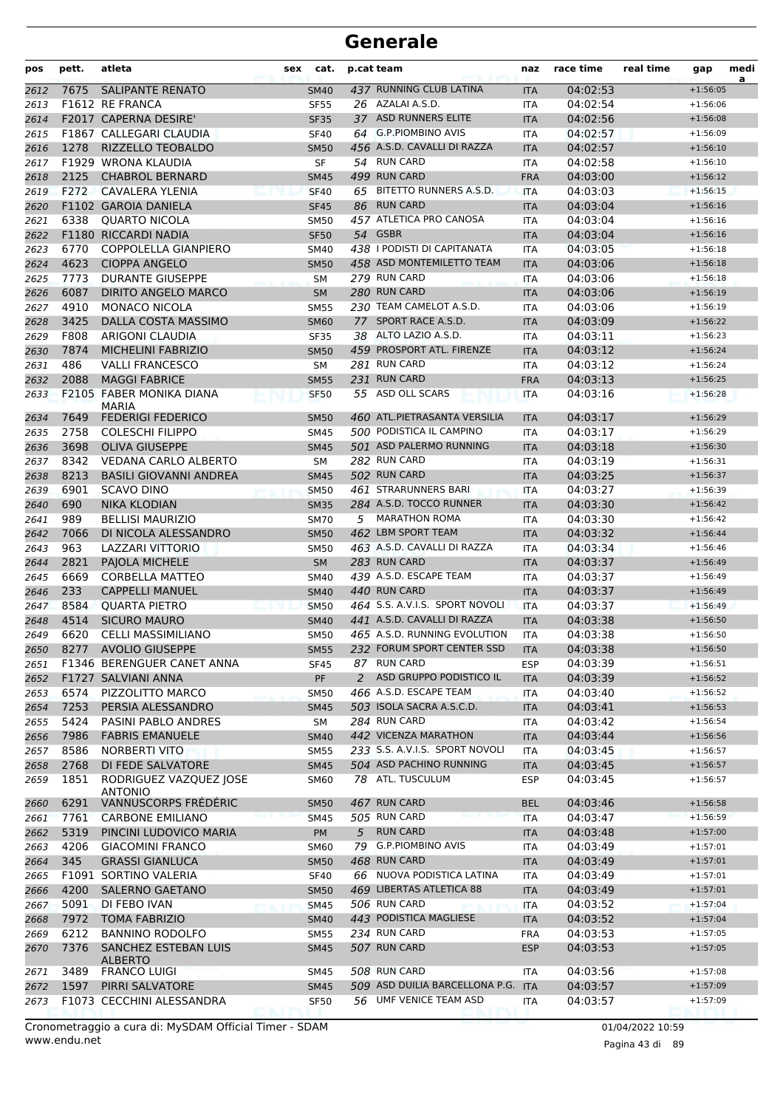| pos  | pett. | atleta                                        | sex | cat.        |   | p.cat team                         | naz        | race time | real time | gap        | medi<br>a |
|------|-------|-----------------------------------------------|-----|-------------|---|------------------------------------|------------|-----------|-----------|------------|-----------|
| 2612 | 7675  | <b>SALIPANTE RENATO</b>                       |     | <b>SM40</b> |   | 437 RUNNING CLUB LATINA            | <b>ITA</b> | 04:02:53  |           | $+1:56:05$ |           |
| 2613 |       | F1612 RE FRANCA                               |     | <b>SF55</b> |   | 26 AZALAI A.S.D.                   | ITA        | 04:02:54  |           | $+1:56:06$ |           |
| 2614 |       | F2017 CAPERNA DESIRE'                         |     | <b>SF35</b> |   | 37 ASD RUNNERS ELITE               | <b>ITA</b> | 04:02:56  |           | $+1:56:08$ |           |
| 2615 |       | F1867 CALLEGARI CLAUDIA                       |     | <b>SF40</b> |   | 64 G.P.PIOMBINO AVIS               | <b>ITA</b> | 04:02:57  |           | $+1:56:09$ |           |
| 2616 | 1278  | RIZZELLO TEOBALDO                             |     | <b>SM50</b> |   | 456 A.S.D. CAVALLI DI RAZZA        | <b>ITA</b> | 04:02:57  |           | $+1:56:10$ |           |
| 2617 |       | F1929 WRONA KLAUDIA                           |     | SF          |   | 54 RUN CARD                        | ITA        | 04:02:58  |           | $+1:56:10$ |           |
| 2618 | 2125  | <b>CHABROL BERNARD</b>                        |     | <b>SM45</b> |   | 499 RUN CARD                       | <b>FRA</b> | 04:03:00  |           | $+1:56:12$ |           |
| 2619 | F272  | CAVALERA YLENIA                               |     | <b>SF40</b> |   | 65 BITETTO RUNNERS A.S.D.          | <b>ITA</b> | 04:03:03  |           | $+1:56:15$ |           |
| 2620 |       | <b>F1102 GAROIA DANIELA</b>                   |     | <b>SF45</b> |   | 86 RUN CARD                        | <b>ITA</b> | 04:03:04  |           | $+1:56:16$ |           |
| 2621 | 6338  | <b>OUARTO NICOLA</b>                          |     | <b>SM50</b> |   | 457 ATLETICA PRO CANOSA            | <b>ITA</b> | 04:03:04  |           | $+1:56:16$ |           |
| 2622 |       | <b>F1180 RICCARDI NADIA</b>                   |     | <b>SF50</b> |   | 54 GSBR                            | <b>ITA</b> | 04:03:04  |           | $+1:56:16$ |           |
| 2623 | 6770  | <b>COPPOLELLA GIANPIERO</b>                   |     | SM40        |   | 438 I PODISTI DI CAPITANATA        | <b>ITA</b> | 04:03:05  |           | $+1:56:18$ |           |
| 2624 | 4623  | <b>CIOPPA ANGELO</b>                          |     | <b>SM50</b> |   | 458 ASD MONTEMILETTO TEAM          | <b>ITA</b> | 04:03:06  |           | $+1:56:18$ |           |
| 2625 | 7773  | <b>DURANTE GIUSEPPE</b>                       |     | SΜ          |   | 279 RUN CARD                       | <b>ITA</b> | 04:03:06  |           | $+1:56:18$ |           |
| 2626 | 6087  | <b>DIRITO ANGELO MARCO</b>                    |     | <b>SM</b>   |   | 280 RUN CARD                       | <b>ITA</b> | 04:03:06  |           | $+1:56:19$ |           |
| 2627 | 4910  | <b>MONACO NICOLA</b>                          |     | <b>SM55</b> |   | 230 TEAM CAMELOT A.S.D.            | <b>ITA</b> | 04:03:06  |           | $+1:56:19$ |           |
| 2628 | 3425  | DALLA COSTA MASSIMO                           |     | <b>SM60</b> |   | 77 SPORT RACE A.S.D.               | <b>ITA</b> | 04:03:09  |           | $+1:56:22$ |           |
| 2629 | F808  | ARIGONI CLAUDIA                               |     | <b>SF35</b> |   | 38 ALTO LAZIO A.S.D.               | <b>ITA</b> | 04:03:11  |           | $+1:56:23$ |           |
| 2630 | 7874  | <b>MICHELINI FABRIZIO</b>                     |     | <b>SM50</b> |   | 459 PROSPORT ATL. FIRENZE          | <b>ITA</b> | 04:03:12  |           | $+1:56:24$ |           |
| 2631 | 486   | <b>VALLI FRANCESCO</b>                        |     | <b>SM</b>   |   | 281 RUN CARD                       | <b>ITA</b> | 04:03:12  |           | $+1:56:24$ |           |
| 2632 | 2088  | <b>MAGGI FABRICE</b>                          |     | <b>SM55</b> |   | 231 RUN CARD                       | <b>FRA</b> | 04:03:13  |           | $+1:56:25$ |           |
| 2633 |       | <b>F2105 FABER MONIKA DIANA</b>               |     | <b>SF50</b> |   | 55 ASD OLL SCARS                   | <b>ITA</b> | 04:03:16  |           | $+1:56:28$ |           |
|      |       | <b>MARIA</b>                                  |     |             |   |                                    |            |           |           |            |           |
| 2634 | 7649  | <b>FEDERIGI FEDERICO</b>                      |     | <b>SM50</b> |   | 460 ATL.PIETRASANTA VERSILIA       | <b>ITA</b> | 04:03:17  |           | $+1:56:29$ |           |
| 2635 | 2758  | <b>COLESCHI FILIPPO</b>                       |     | SM45        |   | 500 PODISTICA IL CAMPINO           | <b>ITA</b> | 04:03:17  |           | $+1:56:29$ |           |
| 2636 | 3698  | <b>OLIVA GIUSEPPE</b>                         |     | <b>SM45</b> |   | 501 ASD PALERMO RUNNING            | <b>ITA</b> | 04:03:18  |           | $+1:56:30$ |           |
| 2637 | 8342  | <b>VEDANA CARLO ALBERTO</b>                   |     | <b>SM</b>   |   | 282 RUN CARD                       | ITA        | 04:03:19  |           | $+1:56:31$ |           |
| 2638 | 8213  | <b>BASILI GIOVANNI ANDREA</b>                 |     | <b>SM45</b> |   | 502 RUN CARD                       | <b>ITA</b> | 04:03:25  |           | $+1:56:37$ |           |
| 2639 | 6901  | <b>SCAVO DINO</b>                             |     | <b>SM50</b> |   | 461 STRARUNNERS BARI               | <b>ITA</b> | 04:03:27  |           | $+1:56:39$ |           |
| 2640 | 690   | <b>NIKA KLODIAN</b>                           |     | <b>SM35</b> |   | 284 A.S.D. TOCCO RUNNER            | <b>ITA</b> | 04:03:30  |           | $+1:56:42$ |           |
| 2641 | 989   | <b>BELLISI MAURIZIO</b>                       |     | <b>SM70</b> |   | 5 MARATHON ROMA                    | <b>ITA</b> | 04:03:30  |           | $+1:56:42$ |           |
| 2642 | 7066  | DI NICOLA ALESSANDRO                          |     | <b>SM50</b> |   | 462 LBM SPORT TEAM                 | <b>ITA</b> | 04:03:32  |           | $+1:56:44$ |           |
| 2643 | 963   | <b>LAZZARI VITTORIO</b>                       |     | <b>SM50</b> |   | 463 A.S.D. CAVALLI DI RAZZA        | <b>ITA</b> | 04:03:34  |           | $+1:56:46$ |           |
| 2644 | 2821  | PAJOLA MICHELE                                |     | SM          |   | 283 RUN CARD                       | <b>ITA</b> | 04:03:37  |           | $+1:56:49$ |           |
| 2645 | 6669  | <b>CORBELLA MATTEO</b>                        |     | SM40        |   | 439 A.S.D. ESCAPE TEAM             | <b>ITA</b> | 04:03:37  |           | $+1:56:49$ |           |
| 2646 | 233   | <b>CAPPELLI MANUEL</b>                        |     | <b>SM40</b> |   | 440 RUN CARD                       | <b>ITA</b> | 04:03:37  |           | $+1:56:49$ |           |
| 2647 | 8584  | <b>QUARTA PIETRO</b>                          |     | <b>SM50</b> |   | 464 S.S. A.V.I.S. SPORT NOVOLI     | <b>ITA</b> | 04:03:37  |           | $+1:56:49$ |           |
| 2648 | 4514  | <b>SICURO MAURO</b>                           |     | <b>SM40</b> |   | 441 A.S.D. CAVALLI DI RAZZA        | <b>ITA</b> | 04:03:38  |           | $+1:56:50$ |           |
| 2649 | 6620  | <b>CELLI MASSIMILIANO</b>                     |     | <b>SM50</b> |   | 465 A.S.D. RUNNING EVOLUTION       | <b>ITA</b> | 04:03:38  |           | $+1:56:50$ |           |
| 2650 | 8277  | <b>AVOLIO GIUSEPPE</b>                        |     | <b>SM55</b> |   | 232 FORUM SPORT CENTER SSD         | <b>ITA</b> | 04:03:38  |           | $+1:56:50$ |           |
| 2651 |       | F1346 BERENGUER CANET ANNA                    |     | <b>SF45</b> |   | 87 RUN CARD                        | <b>ESP</b> | 04:03:39  |           | $+1:56:51$ |           |
| 2652 |       | F1727 SALVIANI ANNA                           |     | PF          | 2 | ASD GRUPPO PODISTICO IL            | <b>ITA</b> | 04:03:39  |           | $+1:56:52$ |           |
| 2653 | 6574  | PIZZOLITTO MARCO                              |     | <b>SM50</b> |   | 466 A.S.D. ESCAPE TEAM             | <b>ITA</b> | 04:03:40  |           | $+1:56:52$ |           |
| 2654 | 7253  | PERSIA ALESSANDRO                             |     | <b>SM45</b> |   | 503 ISOLA SACRA A.S.C.D.           | <b>ITA</b> | 04:03:41  |           | $+1:56:53$ |           |
| 2655 | 5424  | PASINI PABLO ANDRES                           |     | <b>SM</b>   |   | 284 RUN CARD                       | ITA        | 04:03:42  |           | $+1:56:54$ |           |
| 2656 | 7986  | <b>FABRIS EMANUELE</b>                        |     | <b>SM40</b> |   | 442 VICENZA MARATHON               | <b>ITA</b> | 04:03:44  |           | $+1:56:56$ |           |
| 2657 | 8586  | <b>NORBERTI VITO</b>                          |     | <b>SM55</b> |   | 233 S.S. A.V.I.S. SPORT NOVOLI     | ITA        | 04:03:45  |           | $+1:56:57$ |           |
| 2658 | 2768  | DI FEDE SALVATORE                             |     | <b>SM45</b> |   | 504 ASD PACHINO RUNNING            | <b>ITA</b> | 04:03:45  |           | $+1:56:57$ |           |
| 2659 | 1851  | RODRIGUEZ VAZQUEZ JOSE                        |     | <b>SM60</b> |   | 78 ATL. TUSCULUM                   | <b>ESP</b> | 04:03:45  |           | $+1:56:57$ |           |
|      |       | <b>ANTONIO</b>                                |     |             |   |                                    |            |           |           |            |           |
| 2660 | 6291  | VANNUSCORPS FRÉDÉRIC                          |     | <b>SM50</b> |   | 467 RUN CARD                       | <b>BEL</b> | 04:03:46  |           | $+1:56:58$ |           |
| 2661 | 7761  | <b>CARBONE EMILIANO</b>                       |     | <b>SM45</b> |   | 505 RUN CARD                       | <b>ITA</b> | 04:03:47  |           | $+1:56:59$ |           |
| 2662 | 5319  | PINCINI LUDOVICO MARIA                        |     | <b>PM</b>   | 5 | <b>RUN CARD</b>                    | <b>ITA</b> | 04:03:48  |           | $+1:57:00$ |           |
| 2663 | 4206  | <b>GIACOMINI FRANCO</b>                       |     | SM60        |   | 79 G.P.PIOMBINO AVIS               | ITA        | 04:03:49  |           | $+1:57:01$ |           |
| 2664 | 345   | <b>GRASSI GIANLUCA</b>                        |     | <b>SM50</b> |   | 468 RUN CARD                       | <b>ITA</b> | 04:03:49  |           | $+1:57:01$ |           |
| 2665 |       | F1091 SORTINO VALERIA                         |     | <b>SF40</b> |   | 66 NUOVA PODISTICA LATINA          | ITA        | 04:03:49  |           | $+1:57:01$ |           |
| 2666 | 4200  | <b>SALERNO GAETANO</b>                        |     | <b>SM50</b> |   | 469 LIBERTAS ATLETICA 88           | <b>ITA</b> | 04:03:49  |           | $+1:57:01$ |           |
| 2667 | 5091  | DI FEBO IVAN                                  |     | <b>SM45</b> |   | 506 RUN CARD                       | ITA        | 04:03:52  |           | $+1:57:04$ |           |
| 2668 | 7972  | <b>TOMA FABRIZIO</b>                          |     | <b>SM40</b> |   | 443 PODISTICA MAGLIESE             | <b>ITA</b> | 04:03:52  |           | $+1:57:04$ |           |
| 2669 | 6212  | <b>BANNINO RODOLFO</b>                        |     | <b>SM55</b> |   | 234 RUN CARD                       | <b>FRA</b> | 04:03:53  |           | $+1:57:05$ |           |
| 2670 | 7376  | <b>SANCHEZ ESTEBAN LUIS</b><br><b>ALBERTO</b> |     | <b>SM45</b> |   | 507 RUN CARD                       | <b>ESP</b> | 04:03:53  |           | $+1:57:05$ |           |
| 2671 | 3489  | <b>FRANCO LUIGI</b>                           |     | SM45        |   | 508 RUN CARD                       | ITA        | 04:03:56  |           | $+1:57:08$ |           |
| 2672 | 1597  | PIRRI SALVATORE                               |     | <b>SM45</b> |   | 509 ASD DUILIA BARCELLONA P.G. ITA |            | 04:03:57  |           | $+1:57:09$ |           |
| 2673 |       | F1073 CECCHINI ALESSANDRA                     |     | <b>SF50</b> |   | 56 UMF VENICE TEAM ASD             | ITA        | 04:03:57  |           | $+1:57:09$ |           |

www.endu.net Cronometraggio a cura di: MySDAM Official Timer - SDAM 01/04/2022 10:59 01/04/2022 10:59

Pagina 43 di 89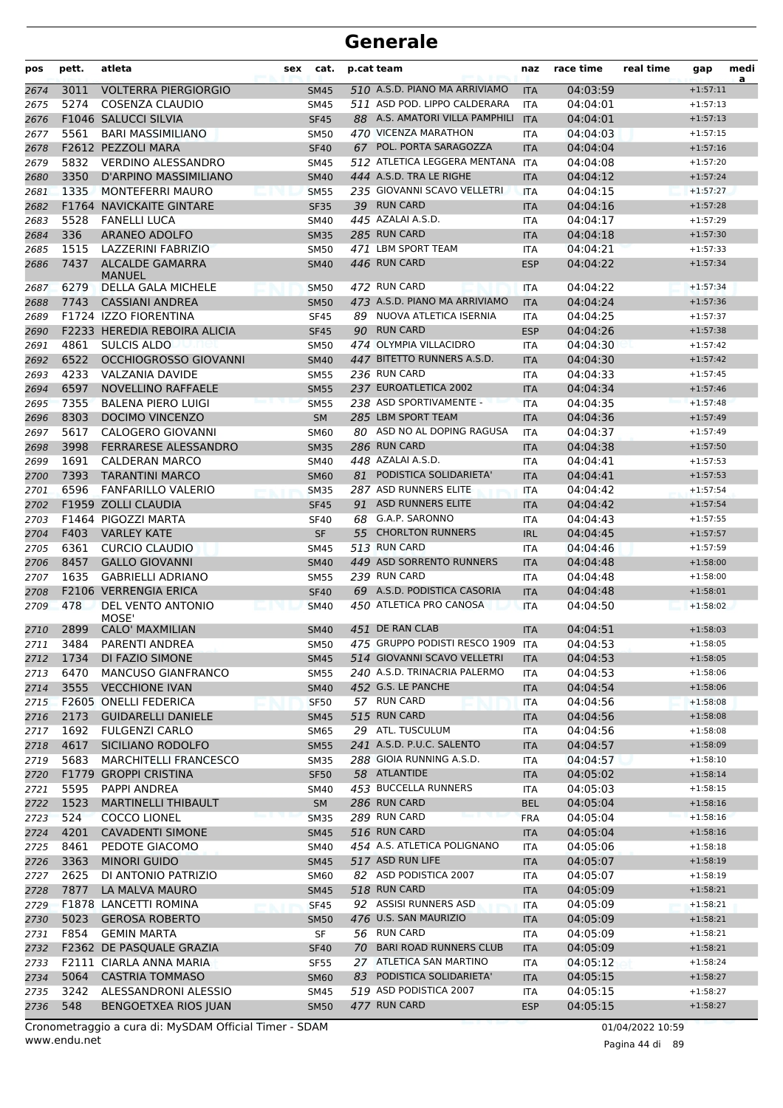| pos          | pett.        | atleta                                                  | sex | cat.                       |    | p.cat team                                             | naz                      | race time            | real time | gap                      | medi<br>a |
|--------------|--------------|---------------------------------------------------------|-----|----------------------------|----|--------------------------------------------------------|--------------------------|----------------------|-----------|--------------------------|-----------|
| 2674         | 3011         | <b>VOLTERRA PIERGIORGIO</b>                             |     | <b>SM45</b>                |    | 510 A.S.D. PIANO MA ARRIVIAMO                          | <b>ITA</b>               | 04:03:59             |           | $+1:57:11$               |           |
| 2675         | 5274         | COSENZA CLAUDIO                                         |     | SM45                       |    | 511 ASD POD. LIPPO CALDERARA                           | <b>ITA</b>               | 04:04:01             |           | $+1:57:13$               |           |
| 2676         |              | F1046 SALUCCI SILVIA                                    |     | <b>SF45</b>                |    | 88 A.S. AMATORI VILLA PAMPHILI                         | <b>ITA</b>               | 04:04:01             |           | $+1:57:13$               |           |
| 2677         | 5561         | <b>BARI MASSIMILIANO</b>                                |     | <b>SM50</b>                |    | 470 VICENZA MARATHON                                   | <b>ITA</b>               | 04:04:03             |           | $+1:57:15$               |           |
| 2678         |              | F2612 PEZZOLI MARA                                      |     | <b>SF40</b>                |    | 67 POL. PORTA SARAGOZZA                                | <b>ITA</b>               | 04:04:04             |           | $+1:57:16$               |           |
| 2679         | 5832         | <b>VERDINO ALESSANDRO</b>                               |     | <b>SM45</b>                |    | 512 ATLETICA LEGGERA MENTANA                           | <b>ITA</b>               | 04:04:08             |           | $+1:57:20$               |           |
| 2680<br>2681 | 3350<br>1335 | D'ARPINO MASSIMILIANO<br><b>MONTEFERRI MAURO</b>        |     | <b>SM40</b>                |    | 444 A.S.D. TRA LE RIGHE<br>235 GIOVANNI SCAVO VELLETRI | <b>ITA</b><br><b>ITA</b> | 04:04:12<br>04:04:15 |           | $+1:57:24$<br>$+1:57:27$ |           |
| 2682         |              | <b>F1764 NAVICKAITE GINTARE</b>                         |     | <b>SM55</b><br><b>SF35</b> |    | 39 RUN CARD                                            | <b>ITA</b>               | 04:04:16             |           | $+1:57:28$               |           |
| 2683         | 5528         | <b>FANELLI LUCA</b>                                     |     | <b>SM40</b>                |    | 445 AZALAI A.S.D.                                      | <b>ITA</b>               | 04:04:17             |           | $+1:57:29$               |           |
| 2684         | 336          | <b>ARANEO ADOLFO</b>                                    |     | <b>SM35</b>                |    | 285 RUN CARD                                           | <b>ITA</b>               | 04:04:18             |           | $+1:57:30$               |           |
| 2685         | 1515         | LAZZERINI FABRIZIO                                      |     | <b>SM50</b>                |    | 471 LBM SPORT TEAM                                     | <b>ITA</b>               | 04:04:21             |           | $+1:57:33$               |           |
| 2686         | 7437         | ALCALDE GAMARRA<br>MANUEL                               |     | <b>SM40</b>                |    | 446 RUN CARD                                           | <b>ESP</b>               | 04:04:22             |           | $+1:57:34$               |           |
| 2687         | 6279         | DELLA GALA MICHELE                                      |     | <b>SM50</b>                |    | 472 RUN CARD                                           | <b>ITA</b>               | 04:04:22             |           | $+1:57:34$               |           |
| 2688         | 7743         | <b>CASSIANI ANDREA</b>                                  |     | <b>SM50</b>                |    | 473 A.S.D. PIANO MA ARRIVIAMO                          | <b>ITA</b>               | 04:04:24             |           | $+1:57:36$               |           |
| 2689         |              | F1724 IZZO FIORENTINA                                   |     | <b>SF45</b>                |    | 89 NUOVA ATLETICA ISERNIA                              | <b>ITA</b>               | 04:04:25             |           | $+1:57:37$               |           |
| 2690         |              | F2233 HEREDIA REBOIRA ALICIA                            |     | <b>SF45</b>                |    | 90 RUN CARD                                            | <b>ESP</b>               | 04:04:26             |           | $+1:57:38$               |           |
| 2691         | 4861         | <b>SULCIS ALDO</b>                                      |     | <b>SM50</b>                |    | 474 OLYMPIA VILLACIDRO                                 | ITA                      | 04:04:30             |           | $+1:57:42$               |           |
| 2692         | 6522         | <b>OCCHIOGROSSO GIOVANNI</b>                            |     | <b>SM40</b>                |    | 447 BITETTO RUNNERS A.S.D.                             | <b>ITA</b>               | 04:04:30             |           | $+1:57:42$               |           |
| 2693         | 4233         | <b>VALZANIA DAVIDE</b>                                  |     | <b>SM55</b>                |    | 236 RUN CARD                                           | ITA                      | 04:04:33             |           | $+1:57:45$               |           |
| 2694         | 6597         | <b>NOVELLINO RAFFAELE</b>                               |     | <b>SM55</b>                |    | 237 EUROATLETICA 2002                                  | <b>ITA</b>               | 04:04:34             |           | $+1:57:46$               |           |
| 2695         | 7355         | <b>BALENA PIERO LUIGI</b>                               |     | <b>SM55</b>                |    | 238 ASD SPORTIVAMENTE -                                | <b>ITA</b>               | 04:04:35             |           | $+1:57:48$               |           |
| 2696         | 8303         | DOCIMO VINCENZO                                         |     | <b>SM</b>                  |    | 285 LBM SPORT TEAM<br>80 ASD NO AL DOPING RAGUSA       | <b>ITA</b>               | 04:04:36             |           | $+1:57:49$               |           |
| 2697         | 5617<br>3998 | <b>CALOGERO GIOVANNI</b><br><b>FERRARESE ALESSANDRO</b> |     | <b>SM60</b>                |    | 286 RUN CARD                                           | ITA                      | 04:04:37<br>04:04:38 |           | $+1:57:49$<br>$+1:57:50$ |           |
| 2698<br>2699 | 1691         | <b>CALDERAN MARCO</b>                                   |     | <b>SM35</b><br><b>SM40</b> |    | 448 AZALAI A.S.D.                                      | <b>ITA</b><br>ITA        | 04:04:41             |           | $+1:57:53$               |           |
| 2700         | 7393         | <b>TARANTINI MARCO</b>                                  |     | <b>SM60</b>                |    | 81 PODISTICA SOLIDARIETA'                              | <b>ITA</b>               | 04:04:41             |           | $+1:57:53$               |           |
| 2701         | 6596         | <b>FANFARILLO VALERIO</b>                               |     | <b>SM35</b>                |    | 287 ASD RUNNERS ELITE                                  | <b>ITA</b>               | 04:04:42             |           | $+1:57:54$               |           |
| 2702         |              | F1959 ZOLLI CLAUDIA                                     |     | <b>SF45</b>                |    | 91 ASD RUNNERS ELITE                                   | <b>ITA</b>               | 04:04:42             |           | $+1:57:54$               |           |
| 2703         |              | F1464 PIGOZZI MARTA                                     |     | <b>SF40</b>                | 68 | G.A.P. SARONNO                                         | ITA                      | 04:04:43             |           | $+1:57:55$               |           |
| 2704         | F403         | <b>VARLEY KATE</b>                                      |     | <b>SF</b>                  | 55 | <b>CHORLTON RUNNERS</b>                                | <b>IRL</b>               | 04:04:45             |           | $+1:57:57$               |           |
| 2705         | 6361         | <b>CURCIO CLAUDIO</b>                                   |     | <b>SM45</b>                |    | 513 RUN CARD                                           | <b>ITA</b>               | 04:04:46             |           | $+1:57:59$               |           |
| 2706         | 8457         | <b>GALLO GIOVANNI</b>                                   |     | <b>SM40</b>                |    | 449 ASD SORRENTO RUNNERS                               | <b>ITA</b>               | 04:04:48             |           | $+1:58:00$               |           |
| 2707         | 1635         | <b>GABRIELLI ADRIANO</b>                                |     | <b>SM55</b>                |    | 239 RUN CARD                                           | <b>ITA</b>               | 04:04:48             |           | $+1:58:00$               |           |
| 2708         |              | <b>F2106 VERRENGIA ERICA</b>                            |     | <b>SF40</b>                |    | 69 A.S.D. PODISTICA CASORIA                            | <b>ITA</b>               | 04:04:48             |           | $+1:58:01$               |           |
| 2709         | 478          | DEL VENTO ANTONIO<br>MOSE'                              |     | <b>SM40</b>                |    | 450 ATLETICA PRO CANOSA                                | <b>ITA</b>               | 04:04:50             |           | $+1:58:02$               |           |
| 2710         | 2899         | <b>CALO' MAXMILIAN</b>                                  |     | <b>SM40</b>                |    | 451 DE RAN CLAB                                        | <b>ITA</b>               | 04:04:51             |           | $+1:58:03$               |           |
| 2711         | 3484         | PARENTI ANDREA                                          |     | <b>SM50</b>                |    | 475 GRUPPO PODISTI RESCO 1909                          | <b>ITA</b>               | 04:04:53             |           | $+1:58:05$               |           |
| 2712         | 1734         | DI FAZIO SIMONE                                         |     | <b>SM45</b>                |    | 514 GIOVANNI SCAVO VELLETRI                            | <b>ITA</b>               | 04:04:53             |           | $+1:58:05$               |           |
| 2713         | 6470         | MANCUSO GIANFRANCO                                      |     | <b>SM55</b>                |    | 240 A.S.D. TRINACRIA PALERMO                           | ITA                      | 04:04:53             |           | $+1:58:06$               |           |
| 2714         | 3555         | <b>VECCHIONE IVAN</b><br>F2605 ONELLI FEDERICA          |     | <b>SM40</b>                |    | 452 G.S. LE PANCHE<br>57 RUN CARD                      | <b>ITA</b>               | 04:04:54             |           | $+1:58:06$               |           |
| 2715<br>2716 | 2173         | <b>GUIDARELLI DANIELE</b>                               |     | <b>SF50</b><br><b>SM45</b> |    | 515 RUN CARD                                           | <b>ITA</b><br><b>ITA</b> | 04:04:56<br>04:04:56 |           | $+1:58:08$<br>$+1:58:08$ |           |
| 2717         | 1692         | <b>FULGENZI CARLO</b>                                   |     | <b>SM65</b>                |    | 29 ATL. TUSCULUM                                       | <b>ITA</b>               | 04:04:56             |           | $+1:58:08$               |           |
| 2718         | 4617         | SICILIANO RODOLFO                                       |     | <b>SM55</b>                |    | 241 A.S.D. P.U.C. SALENTO                              | <b>ITA</b>               | 04:04:57             |           | $+1:58:09$               |           |
| 2719         | 5683         | <b>MARCHITELLI FRANCESCO</b>                            |     | <b>SM35</b>                |    | 288 GIOIA RUNNING A.S.D.                               | ITA                      | 04:04:57             |           | $+1:58:10$               |           |
| 2720         |              | F1779 GROPPI CRISTINA                                   |     | <b>SF50</b>                |    | 58 ATLANTIDE                                           | <b>ITA</b>               | 04:05:02             |           | $+1:58:14$               |           |
| 2721         | 5595         | PAPPI ANDREA                                            |     | <b>SM40</b>                |    | 453 BUCCELLA RUNNERS                                   | ITA                      | 04:05:03             |           | $+1:58:15$               |           |
| 2722         | 1523         | <b>MARTINELLI THIBAULT</b>                              |     | <b>SM</b>                  |    | 286 RUN CARD                                           | <b>BEL</b>               | 04:05:04             |           | $+1:58:16$               |           |
| 2723         | 524          | <b>COCCO LIONEL</b>                                     |     | <b>SM35</b>                |    | 289 RUN CARD                                           | <b>FRA</b>               | 04:05:04             |           | $+1:58:16$               |           |
| 2724         | 4201         | <b>CAVADENTI SIMONE</b>                                 |     | <b>SM45</b>                |    | 516 RUN CARD                                           | <b>ITA</b>               | 04:05:04             |           | $+1:58:16$               |           |
| 2725         | 8461         | PEDOTE GIACOMO                                          |     | SM40                       |    | 454 A.S. ATLETICA POLIGNANO                            | ITA                      | 04:05:06             |           | $+1:58:18$               |           |
| 2726         | 3363         | <b>MINORI GUIDO</b>                                     |     | <b>SM45</b>                |    | 517 ASD RUN LIFE                                       | <b>ITA</b>               | 04:05:07             |           | $+1:58:19$               |           |
| 2727         | 2625         | DI ANTONIO PATRIZIO                                     |     | SM60                       |    | 82 ASD PODISTICA 2007                                  | ITA                      | 04:05:07             |           | $+1:58:19$               |           |
| 2728         | 7877         | LA MALVA MAURO                                          |     | <b>SM45</b>                |    | 518 RUN CARD                                           | <b>ITA</b>               | 04:05:09             |           | $+1:58:21$               |           |
| 2729         |              | F1878 LANCETTI ROMINA                                   |     | <b>SF45</b>                |    | 92 ASSISI RUNNERS ASD                                  | ITA                      | 04:05:09             |           | $+1:58:21$               |           |
| 2730         | 5023         | <b>GEROSA ROBERTO</b>                                   |     | <b>SM50</b>                |    | 476 U.S. SAN MAURIZIO                                  | <b>ITA</b>               | 04:05:09             |           | $+1:58:21$               |           |
| 2731         | F854         | <b>GEMIN MARTA</b>                                      |     | SF                         |    | 56 RUN CARD                                            | ITA                      | 04:05:09             |           | $+1:58:21$               |           |
| 2732         |              | F2362 DE PASQUALE GRAZIA                                |     | <b>SF40</b>                |    | 70 BARI ROAD RUNNERS CLUB                              | <b>ITA</b>               | 04:05:09             |           | $+1:58:21$               |           |
| 2733         | 5064         | F2111 CIARLA ANNA MARIA                                 |     | <b>SF55</b>                |    | 27 ATLETICA SAN MARTINO<br>83 PODISTICA SOLIDARIETA'   | ITA                      | 04:05:12             |           | $+1:58:24$<br>$+1:58:27$ |           |
| 2734<br>2735 | 3242         | <b>CASTRIA TOMMASO</b><br>ALESSANDRONI ALESSIO          |     | <b>SM60</b><br><b>SM45</b> |    | 519 ASD PODISTICA 2007                                 | <b>ITA</b><br>ITA        | 04:05:15<br>04:05:15 |           | $+1:58:27$               |           |
| 2736         | 548          | BENGOETXEA RIOS JUAN                                    |     | <b>SM50</b>                |    | 477 RUN CARD                                           | <b>ESP</b>               | 04:05:15             |           | $+1:58:27$               |           |

www.endu.net Cronometraggio a cura di: MySDAM Official Timer - SDAM 01/04/2022 10:59

Pagina 44 di 89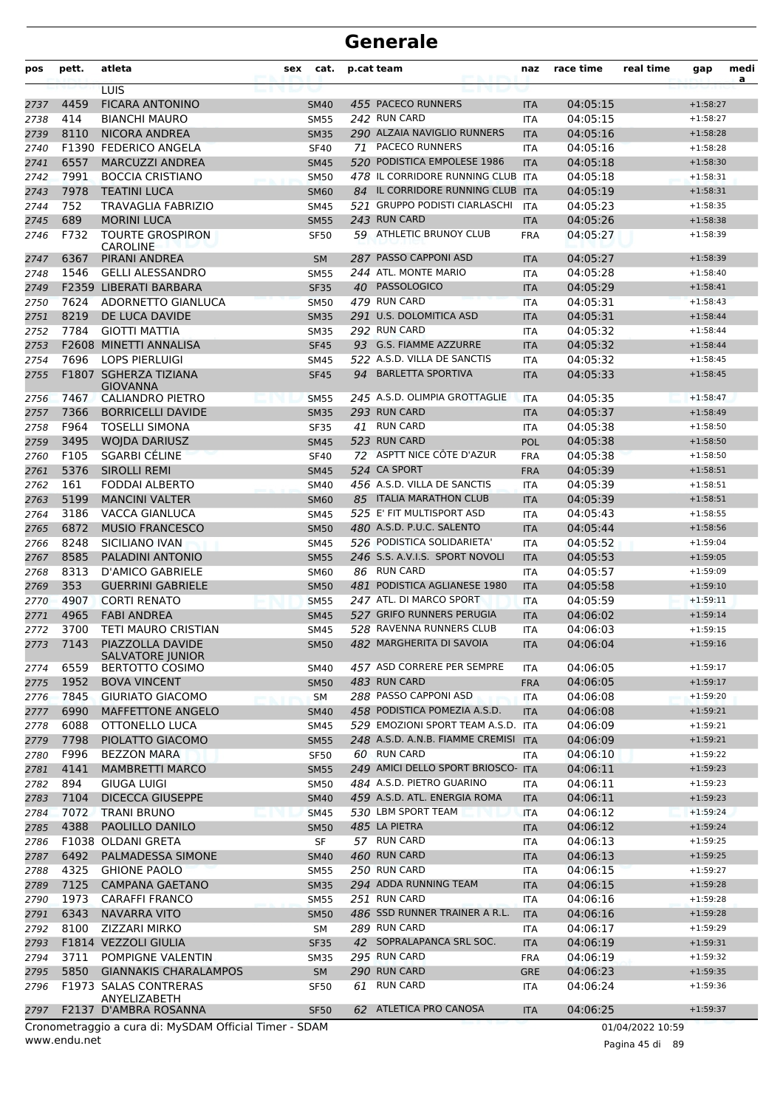| pos          | pett.        | atleta                                                 | sex | cat.                       | p.cat team |                                                  | naz                      | race time            | real time        | gap                      | medi<br>a |
|--------------|--------------|--------------------------------------------------------|-----|----------------------------|------------|--------------------------------------------------|--------------------------|----------------------|------------------|--------------------------|-----------|
|              |              | LUIS                                                   |     |                            |            |                                                  |                          |                      |                  |                          |           |
| 2737         | 4459         | <b>FICARA ANTONINO</b>                                 |     | <b>SM40</b>                |            | 455 PACECO RUNNERS                               | <b>ITA</b>               | 04:05:15             |                  | $+1:58:27$               |           |
| 2738         | 414          | <b>BIANCHI MAURO</b>                                   |     | <b>SM55</b>                |            | 242 RUN CARD                                     | <b>ITA</b>               | 04:05:15             |                  | $+1:58:27$               |           |
| 2739         | 8110         | <b>NICORA ANDREA</b>                                   |     | <b>SM35</b>                |            | 290 ALZAIA NAVIGLIO RUNNERS<br>71 PACECO RUNNERS | <b>ITA</b>               | 04:05:16             |                  | $+1:58:28$               |           |
| 2740<br>2741 | 6557         | F1390 FEDERICO ANGELA<br><b>MARCUZZI ANDREA</b>        |     | <b>SF40</b>                |            | 520 PODISTICA EMPOLESE 1986                      | <b>ITA</b>               | 04:05:16<br>04:05:18 |                  | $+1:58:28$<br>$+1:58:30$ |           |
| 2742         | 7991         | <b>BOCCIA CRISTIANO</b>                                |     | <b>SM45</b><br><b>SM50</b> |            | 478 IL CORRIDORE RUNNING CLUB ITA                | <b>ITA</b>               | 04:05:18             |                  | $+1:58:31$               |           |
| 2743         | 7978         | <b>TEATINI LUCA</b>                                    |     | <b>SM60</b>                |            | 84 IL CORRIDORE RUNNING CLUB ITA                 |                          | 04:05:19             |                  | $+1:58:31$               |           |
| 2744         | 752          | TRAVAGLIA FABRIZIO                                     |     | <b>SM45</b>                |            | 521 GRUPPO PODISTI CIARLASCHI                    | <b>ITA</b>               | 04:05:23             |                  | $+1:58:35$               |           |
| 2745         | 689          | <b>MORINI LUCA</b>                                     |     | <b>SM55</b>                |            | 243 RUN CARD                                     | <b>ITA</b>               | 04:05:26             |                  | $+1:58:38$               |           |
| 2746         | F732         | <b>TOURTE GROSPIRON</b>                                |     | <b>SF50</b>                |            | 59 ATHLETIC BRUNOY CLUB                          | <b>FRA</b>               | 04:05:27             |                  | $+1:58:39$               |           |
| 2747         | 6367         | <b>CAROLINE</b><br>PIRANI ANDREA                       |     | <b>SM</b>                  |            | 287 PASSO CAPPONI ASD                            | <b>ITA</b>               | 04:05:27             |                  | $+1:58:39$               |           |
| 2748         | 1546         | <b>GELLI ALESSANDRO</b>                                |     | <b>SM55</b>                |            | 244 ATL. MONTE MARIO                             | <b>ITA</b>               | 04:05:28             |                  | $+1:58:40$               |           |
| 2749         |              | F2359 LIBERATI BARBARA                                 |     | <b>SF35</b>                |            | 40 PASSOLOGICO                                   | <b>ITA</b>               | 04:05:29             |                  | $+1:58:41$               |           |
| 2750         | 7624         | ADORNETTO GIANLUCA                                     |     | <b>SM50</b>                |            | 479 RUN CARD                                     | <b>ITA</b>               | 04:05:31             |                  | $+1:58:43$               |           |
| 2751         | 8219         | DE LUCA DAVIDE                                         |     | <b>SM35</b>                |            | 291 U.S. DOLOMITICA ASD                          | <b>ITA</b>               | 04:05:31             |                  | $+1:58:44$               |           |
| 2752         | 7784         | <b>GIOTTI MATTIA</b>                                   |     | <b>SM35</b>                |            | 292 RUN CARD                                     | <b>ITA</b>               | 04:05:32             |                  | $+1:58:44$               |           |
| 2753         |              | F2608 MINETTI ANNALISA                                 |     | <b>SF45</b>                |            | 93 G.S. FIAMME AZZURRE                           | <b>ITA</b>               | 04:05:32             |                  | $+1:58:44$               |           |
| 2754         | 7696         | <b>LOPS PIERLUIGI</b>                                  |     | <b>SM45</b>                |            | 522 A.S.D. VILLA DE SANCTIS                      | <b>ITA</b>               | 04:05:32             |                  | $+1:58:45$               |           |
| 2755         |              | F1807 SGHERZA TIZIANA<br><b>GIOVANNA</b>               |     | <b>SF45</b>                | 94         | <b>BARLETTA SPORTIVA</b>                         | <b>ITA</b>               | 04:05:33             |                  | $+1:58:45$               |           |
| 2756         | 7467         | <b>CALIANDRO PIETRO</b>                                |     | <b>SM55</b>                |            | 245 A.S.D. OLIMPIA GROTTAGLIE                    | <b>ITA</b>               | 04:05:35             |                  | $+1:58:47$               |           |
| 2757         | 7366         | <b>BORRICELLI DAVIDE</b>                               |     | <b>SM35</b>                |            | 293 RUN CARD                                     | <b>ITA</b>               | 04:05:37             |                  | $+1:58:49$               |           |
| 2758         | F964         | <b>TOSELLI SIMONA</b>                                  |     | <b>SF35</b>                |            | 41 RUN CARD                                      | ITA                      | 04:05:38             |                  | $+1:58:50$               |           |
| 2759         | 3495         | <b>WOJDA DARIUSZ</b>                                   |     | <b>SM45</b>                |            | 523 RUN CARD                                     | <b>POL</b>               | 04:05:38             |                  | $+1:58:50$               |           |
| 2760         | F105         | <b>SGARBI CÉLINE</b>                                   |     | <b>SF40</b>                |            | 72 ASPTT NICE CÔTE D'AZUR                        | <b>FRA</b>               | 04:05:38             |                  | $+1:58:50$               |           |
| 2761         | 5376         | <b>SIROLLI REMI</b>                                    |     | <b>SM45</b>                |            | 524 CA SPORT                                     | <b>FRA</b>               | 04:05:39             |                  | $+1:58:51$               |           |
| 2762         | 161          | FODDAI ALBERTO                                         |     | <b>SM40</b>                |            | 456 A.S.D. VILLA DE SANCTIS                      | <b>ITA</b>               | 04:05:39             |                  | $+1:58:51$               |           |
| 2763         | 5199         | <b>MANCINI VALTER</b>                                  |     | <b>SM60</b>                |            | 85 ITALIA MARATHON CLUB                          | <b>ITA</b>               | 04:05:39             |                  | $+1:58:51$               |           |
| 2764         | 3186         | VACCA GIANLUCA                                         |     | <b>SM45</b>                |            | 525 E' FIT MULTISPORT ASD                        | <b>ITA</b>               | 04:05:43             |                  | $+1:58:55$               |           |
| 2765         | 6872         | <b>MUSIO FRANCESCO</b>                                 |     | <b>SM50</b>                |            | 480 A.S.D. P.U.C. SALENTO                        | <b>ITA</b>               | 04:05:44             |                  | $+1:58:56$               |           |
| 2766         | 8248         | SICILIANO IVAN                                         |     | <b>SM45</b>                |            | 526 PODISTICA SOLIDARIETA'                       | <b>ITA</b>               | 04:05:52             |                  | $+1:59:04$               |           |
| 2767         | 8585         | PALADINI ANTONIO                                       |     | <b>SM55</b>                |            | 246 S.S. A.V.I.S. SPORT NOVOLI                   | <b>ITA</b>               | 04:05:53             |                  | $+1:59:05$               |           |
| 2768         | 8313         | <b>D'AMICO GABRIELE</b>                                |     | <b>SM60</b>                |            | 86 RUN CARD                                      | ITA                      | 04:05:57             |                  | $+1:59:09$               |           |
| 2769         | 353          | <b>GUERRINI GABRIELE</b>                               |     | <b>SM50</b>                |            | 481 PODISTICA AGLIANESE 1980                     | <b>ITA</b>               | 04:05:58             |                  | $+1:59:10$               |           |
| 2770         | 4907         | <b>CORTI RENATO</b>                                    |     | <b>SM55</b>                |            | 247 ATL. DI MARCO SPORT                          | <b>ITA</b>               | 04:05:59             |                  | $+1:59:11$               |           |
| 2771         | 4965         | <b>FABI ANDREA</b>                                     |     | <b>SM45</b>                |            | 527 GRIFO RUNNERS PERUGIA                        | <b>ITA</b>               | 04:06:02             |                  | $+1:59:14$               |           |
| 2772         | 3700         | TETI MAURO CRISTIAN                                    |     | <b>SM45</b>                |            | 528 RAVENNA RUNNERS CLUB                         | <b>ITA</b>               | 04:06:03             |                  | $+1:59:15$               |           |
| 2773         | 7143         | PIAZZOLLA DAVIDE<br><b>SALVATORE JUNIOR</b>            |     | <b>SM50</b>                |            | 482 MARGHERITA DI SAVOIA                         | <b>ITA</b>               | 04:06:04             |                  | $+1:59:16$               |           |
| 2774         | 6559         | <b>BERTOTTO COSIMO</b>                                 |     | SM40                       |            | 457 ASD CORRERE PER SEMPRE                       | ITA                      | 04:06:05             |                  | $+1:59:17$               |           |
| 2775         | 1952         | <b>BOVA VINCENT</b>                                    |     | <b>SM50</b>                |            | 483 RUN CARD                                     | <b>FRA</b>               | 04:06:05             |                  | $+1:59:17$               |           |
| 2776         | 7845         | <b>GIURIATO GIACOMO</b>                                |     | <b>SM</b>                  |            | 288 PASSO CAPPONI ASD                            | <b>ITA</b>               | 04:06:08             |                  | $+1:59:20$               |           |
| 2777         | 6990         | MAFFETTONE ANGELO                                      |     | <b>SM40</b>                |            | 458 PODISTICA POMEZIA A.S.D.                     | <b>ITA</b>               | 04:06:08             |                  | $+1:59:21$               |           |
| 2778         | 6088         | OTTONELLO LUCA                                         |     | SM45                       |            | 529 EMOZIONI SPORT TEAM A.S.D. ITA               |                          | 04:06:09             |                  | $+1:59:21$               |           |
| 2779         | 7798         | PIOLATTO GIACOMO                                       |     | <b>SM55</b>                |            | 248 A.S.D. A.N.B. FIAMME CREMISI ITA             |                          | 04:06:09             |                  | $+1:59:21$               |           |
| 2780         | F996         | <b>BEZZON MARA</b>                                     |     | <b>SF50</b>                |            | 60 RUN CARD                                      | ITA                      | 04:06:10             |                  | $+1:59:22$               |           |
| 2781         | 4141         | <b>MAMBRETTI MARCO</b>                                 |     | <b>SM55</b>                |            | 249 AMICI DELLO SPORT BRIOSCO- ITA               |                          | 04:06:11             |                  | $+1:59:23$               |           |
| 2782         | 894          | <b>GIUGA LUIGI</b>                                     |     | <b>SM50</b>                |            | 484 A.S.D. PIETRO GUARINO                        | <b>ITA</b>               | 04:06:11             |                  | $+1:59:23$               |           |
| 2783         | 7104         | <b>DICECCA GIUSEPPE</b>                                |     | <b>SM40</b>                |            | 459 A.S.D. ATL. ENERGIA ROMA                     | <b>ITA</b>               | 04:06:11             |                  | $+1:59:23$               |           |
| 2784         | 7072         | <b>TRANI BRUNO</b>                                     |     | <b>SM45</b>                |            | 530 LBM SPORT TEAM                               | <b>ITA</b>               | 04:06:12             |                  | $+1:59:24$               |           |
| 2785         | 4388         | PAOLILLO DANILO                                        |     | <b>SM50</b>                |            | 485 LA PIETRA                                    | <b>ITA</b>               | 04:06:12             |                  | $+1:59:24$               |           |
| 2786         |              | F1038 OLDANI GRETA                                     |     | SF                         |            | 57 RUN CARD                                      | <b>ITA</b>               | 04:06:13             |                  | $+1:59:25$               |           |
| 2787         | 6492         | PALMADESSA SIMONE                                      |     | <b>SM40</b>                |            | 460 RUN CARD<br>250 RUN CARD                     | <b>ITA</b>               | 04:06:13             |                  | $+1:59:25$               |           |
| 2788         | 4325         | <b>GHIONE PAOLO</b>                                    |     | <b>SM55</b>                |            |                                                  | ITA                      | 04:06:15             |                  | $+1:59:27$               |           |
| 2789         | 7125         | <b>CAMPANA GAETANO</b>                                 |     | <b>SM35</b>                |            | 294 ADDA RUNNING TEAM<br>251 RUN CARD            | <b>ITA</b>               | 04:06:15             |                  | $+1:59:28$               |           |
| 2790         | 1973<br>6343 | <b>CARAFFI FRANCO</b><br><b>NAVARRA VITO</b>           |     | <b>SM55</b>                |            | 486 SSD RUNNER TRAINER A R.L.                    | <b>ITA</b>               | 04:06:16<br>04:06:16 |                  | $+1:59:28$<br>$+1:59:28$ |           |
| 2791         |              |                                                        |     | <b>SM50</b>                |            | 289 RUN CARD                                     | <b>ITA</b>               |                      |                  | $+1:59:29$               |           |
| 2792         | 8100         | ZIZZARI MIRKO<br>F1814 VEZZOLI GIULIA                  |     | SM                         |            | 42 SOPRALAPANCA SRL SOC.                         | <b>ITA</b>               | 04:06:17             |                  |                          |           |
| 2793         | 3711         | POMPIGNE VALENTIN                                      |     | <b>SF35</b>                |            | 295 RUN CARD                                     | <b>ITA</b>               | 04:06:19<br>04:06:19 |                  | $+1:59:31$<br>$+1:59:32$ |           |
| 2794<br>2795 | 5850         | <b>GIANNAKIS CHARALAMPOS</b>                           |     | <b>SM35</b><br>SM          |            | 290 RUN CARD                                     | <b>FRA</b><br><b>GRE</b> | 04:06:23             |                  | $+1:59:35$               |           |
| 2796         |              | F1973 SALAS CONTRERAS                                  |     | <b>SF50</b>                |            | 61 RUN CARD                                      | ITA                      | 04:06:24             |                  | $+1:59:36$               |           |
| 2797         |              | ANYELIZABETH<br>F2137 D'AMBRA ROSANNA                  |     | <b>SF50</b>                |            | 62 ATLETICA PRO CANOSA                           | <b>ITA</b>               | 04:06:25             |                  | $+1:59:37$               |           |
|              |              | Cronometraggio a cura di: MySDAM Official Timer - SDAM |     |                            |            |                                                  |                          |                      | 01/04/2022 10:59 |                          |           |

www.endu.net

Pagina 45 di 89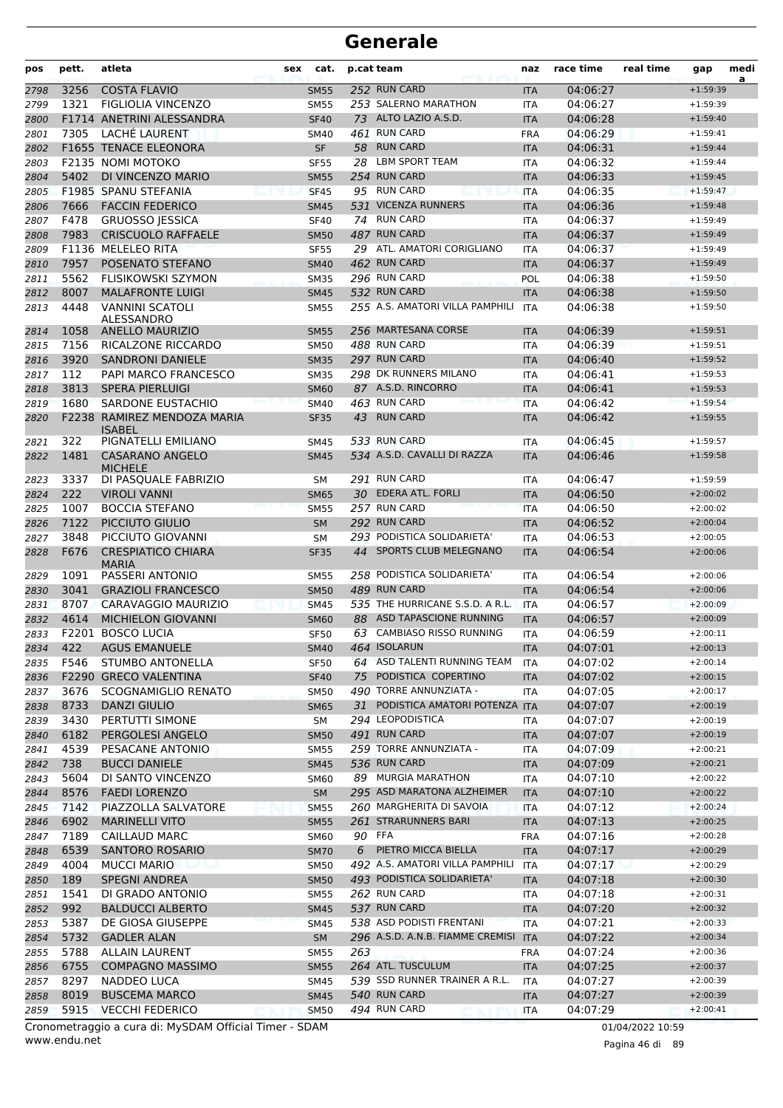| pos          | pett.        | atleta                                              | sex | cat.                       | p.cat team |                                               | naz                      | race time            | real time | gap                      | medi<br>a |
|--------------|--------------|-----------------------------------------------------|-----|----------------------------|------------|-----------------------------------------------|--------------------------|----------------------|-----------|--------------------------|-----------|
| 2798         | 3256         | <b>COSTA FLAVIO</b>                                 |     | <b>SM55</b>                |            | 252 RUN CARD                                  | <b>ITA</b>               | 04:06:27             |           | $+1:59:39$               |           |
| 2799         | 1321         | <b>FIGLIOLIA VINCENZO</b>                           |     | <b>SM55</b>                |            | 253 SALERNO MARATHON                          | <b>ITA</b>               | 04:06:27             |           | $+1:59:39$               |           |
| 2800         |              | F1714 ANETRINI ALESSANDRA                           |     | <b>SF40</b>                |            | 73 ALTO LAZIO A.S.D.                          | <b>ITA</b>               | 04:06:28             |           | $+1:59:40$               |           |
| 2801         | 7305         | LACHÉ LAURENT                                       |     | <b>SM40</b>                |            | 461 RUN CARD                                  | <b>FRA</b>               | 04:06:29             |           | $+1:59:41$               |           |
| 2802         |              | F1655 TENACE ELEONORA                               |     | <b>SF</b>                  |            | 58 RUN CARD                                   | <b>ITA</b>               | 04:06:31             |           | $+1:59:44$               |           |
| 2803         |              | <b>F2135 NOMI MOTOKO</b>                            |     | <b>SF55</b>                | 28         | <b>LBM SPORT TEAM</b>                         | <b>ITA</b>               | 04:06:32             |           | $+1:59:44$               |           |
| 2804         | 5402         | DI VINCENZO MARIO                                   |     | <b>SM55</b>                |            | 254 RUN CARD                                  | <b>ITA</b>               | 04:06:33             |           | $+1:59:45$               |           |
| 2805         |              | F1985 SPANU STEFANIA                                |     | <b>SF45</b>                |            | 95 RUN CARD                                   | <b>ITA</b>               | 04:06:35             |           | $+1:59:47$               |           |
| 2806         | 7666<br>F478 | <b>FACCIN FEDERICO</b>                              |     | <b>SM45</b>                |            | 531 VICENZA RUNNERS<br>74 RUN CARD            | <b>ITA</b>               | 04:06:36             |           | $+1:59:48$<br>$+1:59:49$ |           |
| 2807<br>2808 | 7983         | <b>GRUOSSO JESSICA</b><br><b>CRISCUOLO RAFFAELE</b> |     | <b>SF40</b><br><b>SM50</b> |            | 487 RUN CARD                                  | <b>ITA</b><br><b>ITA</b> | 04:06:37<br>04:06:37 |           | $+1:59:49$               |           |
| 2809         |              | F1136 MELELEO RITA                                  |     | <b>SF55</b>                |            | 29 ATL. AMATORI CORIGLIANO                    | <b>ITA</b>               | 04:06:37             |           | $+1:59:49$               |           |
| 2810         | 7957         | POSENATO STEFANO                                    |     | <b>SM40</b>                |            | 462 RUN CARD                                  | <b>ITA</b>               | 04:06:37             |           | $+1:59:49$               |           |
| 2811         | 5562         | <b>FLISIKOWSKI SZYMON</b>                           |     | <b>SM35</b>                |            | 296 RUN CARD                                  | POL                      | 04:06:38             |           | $+1:59:50$               |           |
| 2812         | 8007         | <b>MALAFRONTE LUIGI</b>                             |     | <b>SM45</b>                |            | 532 RUN CARD                                  | <b>ITA</b>               | 04:06:38             |           | $+1:59:50$               |           |
| 2813         | 4448         | <b>VANNINI SCATOLI</b>                              |     | <b>SM55</b>                |            | 255 A.S. AMATORI VILLA PAMPHILI               | <b>ITA</b>               | 04:06:38             |           | $+1:59:50$               |           |
|              |              | ALESSANDRO                                          |     |                            |            |                                               |                          |                      |           |                          |           |
| 2814         | 1058         | <b>ANELLO MAURIZIO</b>                              |     | <b>SM55</b>                |            | 256 MARTESANA CORSE                           | <b>ITA</b>               | 04:06:39             |           | $+1:59:51$               |           |
| 2815         | 7156         | RICALZONE RICCARDO                                  |     | <b>SM50</b>                |            | 488 RUN CARD                                  | <b>ITA</b>               | 04:06:39             |           | $+1:59:51$               |           |
| 2816         | 3920         | <b>SANDRONI DANIELE</b>                             |     | <b>SM35</b>                |            | 297 RUN CARD                                  | <b>ITA</b>               | 04:06:40             |           | $+1:59:52$               |           |
| 2817         | 112          | PAPI MARCO FRANCESCO                                |     | <b>SM35</b>                |            | 298 DK RUNNERS MILANO                         | <b>ITA</b>               | 04:06:41             |           | $+1:59:53$               |           |
| 2818         | 3813         | <b>SPERA PIERLUIGI</b>                              |     | <b>SM60</b>                |            | 87 A.S.D. RINCORRO                            | <b>ITA</b>               | 04:06:41             |           | $+1:59:53$               |           |
| 2819         | 1680         | <b>SARDONE EUSTACHIO</b>                            |     | <b>SM40</b>                |            | 463 RUN CARD                                  | <b>ITA</b>               | 04:06:42             |           | $+1:59:54$               |           |
| 2820         |              | F2238 RAMIREZ MENDOZA MARIA<br><b>ISABEL</b>        |     | <b>SF35</b>                | 43         | <b>RUN CARD</b>                               | <b>ITA</b>               | 04:06:42             |           | $+1:59:55$               |           |
| 2821         | 322          | PIGNATELLI EMILIANO                                 |     | SM45                       |            | 533 RUN CARD                                  | ITA                      | 04:06:45             |           | $+1:59:57$               |           |
| 2822         | 1481         | <b>CASARANO ANGELO</b>                              |     | <b>SM45</b>                |            | 534 A.S.D. CAVALLI DI RAZZA                   | <b>ITA</b>               | 04:06:46             |           | $+1:59:58$               |           |
|              |              | <b>MICHELE</b>                                      |     |                            |            |                                               |                          |                      |           |                          |           |
| 2823         | 3337         | DI PASQUALE FABRIZIO                                |     | SΜ                         |            | 291 RUN CARD                                  | <b>ITA</b>               | 04:06:47             |           | $+1:59:59$               |           |
| 2824         | 222          | <b>VIROLI VANNI</b>                                 |     | <b>SM65</b>                |            | 30 EDERA ATL. FORLI                           | <b>ITA</b>               | 04:06:50             |           | $+2:00:02$               |           |
| 2825         | 1007         | <b>BOCCIA STEFANO</b>                               |     | <b>SM55</b>                |            | 257 RUN CARD                                  | <b>ITA</b>               | 04:06:50             |           | $+2:00:02$               |           |
| 2826         | 7122<br>3848 | PICCIUTO GIULIO                                     |     | <b>SM</b>                  |            | 292 RUN CARD<br>293 PODISTICA SOLIDARIETA'    | <b>ITA</b>               | 04:06:52             |           | $+2:00:04$               |           |
| 2827         | F676         | PICCIUTO GIOVANNI<br><b>CRESPIATICO CHIARA</b>      |     | SM                         | 44         | SPORTS CLUB MELEGNANO                         | <b>ITA</b><br><b>ITA</b> | 04:06:53<br>04:06:54 |           | $+2:00:05$<br>$+2:00:06$ |           |
| 2828         |              | <b>MARIA</b>                                        |     | <b>SF35</b>                |            |                                               |                          |                      |           |                          |           |
| 2829         | 1091         | PASSERI ANTONIO                                     |     | <b>SM55</b>                |            | 258 PODISTICA SOLIDARIETA'                    | ITA                      | 04:06:54             |           | $+2:00:06$               |           |
| 2830         | 3041         | <b>GRAZIOLI FRANCESCO</b>                           |     | <b>SM50</b>                |            | 489 RUN CARD                                  | <b>ITA</b>               | 04:06:54             |           | $+2:00:06$               |           |
| 2831         | 8707         | CARAVAGGIO MAURIZIO                                 |     | <b>SM45</b>                |            | 535 THE HURRICANE S.S.D. A R.L.               | <b>ITA</b>               | 04:06:57             |           | $+2:00:09$               |           |
| 2832         | 4614         | <b>MICHIELON GIOVANNI</b>                           |     | <b>SM60</b>                |            | 88 ASD TAPASCIONE RUNNING                     | <b>ITA</b>               | 04:06:57             |           | $+2:00:09$               |           |
| 2833         |              | F2201 BOSCO LUCIA                                   |     | <b>SF50</b>                |            | 63 CAMBIASO RISSO RUNNING                     | <b>ITA</b>               | 04:06:59             |           | $+2:00:11$               |           |
| 2834         | 422          | <b>AGUS EMANUELE</b>                                |     | SM40                       |            | 464 ISOLARUN                                  | <b>ITA</b>               | 04:07:01             |           | $+2:00:13$               |           |
| 2835         | F546         | STUMBO ANTONELLA                                    |     | SF50                       |            | 64 ASD TALENTI RUNNING TEAM                   | ITA                      | 04:07:02             |           | $+2:00:14$               |           |
| 2836         |              | F2290 GRECO VALENTINA                               |     | <b>SF40</b>                | 75         | PODISTICA COPERTINO<br>490 TORRE ANNUNZIATA - | <b>ITA</b>               | 04:07:02             |           | $+2:00:15$               |           |
| 2837         | 3676<br>8733 | <b>SCOGNAMIGLIO RENATO</b>                          |     | <b>SM50</b>                |            | 31 PODISTICA AMATORI POTENZA ITA              | ITA                      | 04:07:05<br>04:07:07 |           | $+2:00:17$<br>$+2:00:19$ |           |
| 2838<br>2839 | 3430         | DANZI GIULIO<br>PERTUTTI SIMONE                     |     | <b>SM65</b><br>SM          |            | 294 LEOPODISTICA                              | ITA                      | 04:07:07             |           | $+2:00:19$               |           |
| 2840         | 6182         | PERGOLESI ANGELO                                    |     | <b>SM50</b>                |            | 491 RUN CARD                                  | <b>ITA</b>               | 04:07:07             |           | $+2:00:19$               |           |
| 2841         | 4539         | PESACANE ANTONIO                                    |     | <b>SM55</b>                |            | 259 TORRE ANNUNZIATA -                        | <b>ITA</b>               | 04:07:09             |           | $+2:00:21$               |           |
| 2842         | 738          | <b>BUCCI DANIELE</b>                                |     | <b>SM45</b>                |            | 536 RUN CARD                                  | <b>ITA</b>               | 04:07:09             |           | $+2:00:21$               |           |
| 2843         | 5604         | DI SANTO VINCENZO                                   |     | <b>SM60</b>                |            | 89 MURGIA MARATHON                            | ITA                      | 04:07:10             |           | $+2:00:22$               |           |
| 2844         | 8576         | <b>FAEDI LORENZO</b>                                |     | <b>SM</b>                  |            | 295 ASD MARATONA ALZHEIMER                    | <b>ITA</b>               | 04:07:10             |           | $+2:00:22$               |           |
| 2845         | 7142         | PIAZZOLLA SALVATORE                                 |     | <b>SM55</b>                |            | 260 MARGHERITA DI SAVOIA                      | <b>ITA</b>               | 04:07:12             |           | $+2:00:24$               |           |
| 2846         | 6902         | <b>MARINELLI VITO</b>                               |     | <b>SM55</b>                |            | 261 STRARUNNERS BARI                          | <b>ITA</b>               | 04:07:13             |           | $+2:00:25$               |           |
| 2847         | 7189         | <b>CAILLAUD MARC</b>                                |     | <b>SM60</b>                | 90 FFA     |                                               | <b>FRA</b>               | 04:07:16             |           | $+2:00:28$               |           |
| 2848         | 6539         | SANTORO ROSARIO                                     |     | <b>SM70</b>                | 6          | PIETRO MICCA BIELLA                           | <b>ITA</b>               | 04:07:17             |           | $+2:00:29$               |           |
| 2849         | 4004         | <b>MUCCI MARIO</b>                                  |     | <b>SM50</b>                |            | 492 A.S. AMATORI VILLA PAMPHILI               | ITA                      | 04:07:17             |           | $+2:00:29$               |           |
| 2850         | 189          | <b>SPEGNI ANDREA</b>                                |     | <b>SM50</b>                |            | 493 PODISTICA SOLIDARIETA'                    | <b>ITA</b>               | 04:07:18             |           | $+2:00:30$               |           |
| 2851         | 1541         | DI GRADO ANTONIO                                    |     | <b>SM55</b>                |            | 262 RUN CARD                                  | <b>ITA</b>               | 04:07:18             |           | $+2:00:31$               |           |
| 2852         | 992          | <b>BALDUCCI ALBERTO</b>                             |     | <b>SM45</b>                |            | 537 RUN CARD                                  | <b>ITA</b>               | 04:07:20             |           | $+2:00:32$               |           |
| 2853         | 5387         | DE GIOSA GIUSEPPE                                   |     | <b>SM45</b>                |            | 538 ASD PODISTI FRENTANI                      | <b>ITA</b>               | 04:07:21             |           | $+2:00:33$               |           |
| 2854         | 5732         | <b>GADLER ALAN</b>                                  |     | <b>SM</b>                  |            | 296 A.S.D. A.N.B. FIAMME CREMISI              | <b>ITA</b>               | 04:07:22             |           | $+2:00:34$               |           |
| 2855         | 5788         | <b>ALLAIN LAURENT</b>                               |     | <b>SM55</b>                | 263        |                                               | FRA                      | 04:07:24             |           | $+2:00:36$               |           |
| 2856         | 6755         | <b>COMPAGNO MASSIMO</b>                             |     | <b>SM55</b>                |            | 264 ATL. TUSCULUM                             | <b>ITA</b>               | 04:07:25             |           | $+2:00:37$               |           |
| 2857         | 8297         | NADDEO LUCA                                         |     | <b>SM45</b>                |            | 539 SSD RUNNER TRAINER A R.L.                 | <b>ITA</b>               | 04:07:27             |           | $+2:00:39$               |           |
| 2858         | 8019         | <b>BUSCEMA MARCO</b>                                |     | <b>SM45</b>                |            | 540 RUN CARD                                  | <b>ITA</b>               | 04:07:27             |           | $+2:00:39$               |           |
| 2859         | 5915         | <b>VECCHI FEDERICO</b>                              |     | <b>SM50</b>                |            | 494 RUN CARD                                  | <b>ITA</b>               | 04:07:29             |           | $+2:00:41$               |           |

www.endu.net Cronometraggio a cura di: MySDAM Official Timer - SDAM 01/04/2022 10:59

Pagina 46 di 89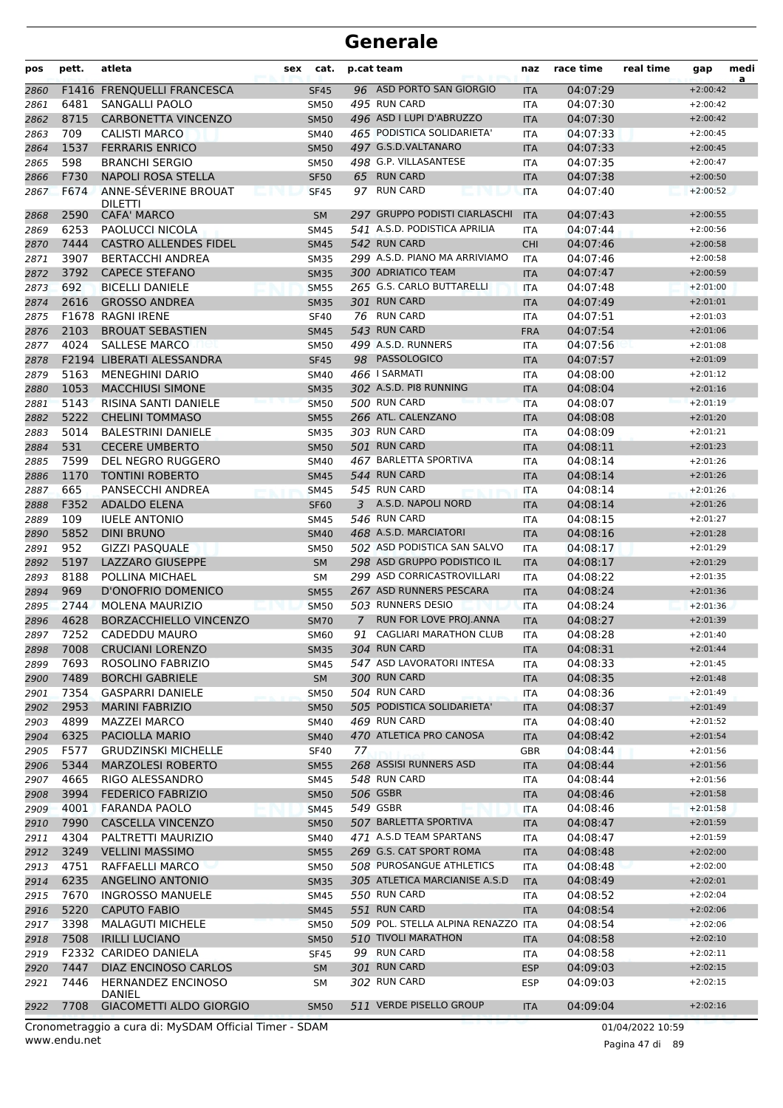| pos          | pett.        | atleta                                              | sex | cat.                       |                | p.cat team                                                | naz                      | race time            | real time | gap                      | medi<br>a |
|--------------|--------------|-----------------------------------------------------|-----|----------------------------|----------------|-----------------------------------------------------------|--------------------------|----------------------|-----------|--------------------------|-----------|
| 2860         |              | F1416 FRENQUELLI FRANCESCA                          |     | <b>SF45</b>                |                | 96 ASD PORTO SAN GIORGIO                                  | <b>ITA</b>               | 04:07:29             |           | $+2:00:42$               |           |
| 2861         | 6481         | SANGALLI PAOLO                                      |     | <b>SM50</b>                |                | 495 RUN CARD                                              | ITA                      | 04:07:30             |           | $+2:00:42$               |           |
| 2862         | 8715         | <b>CARBONETTA VINCENZO</b>                          |     | <b>SM50</b>                |                | 496 ASD I LUPI D'ABRUZZO                                  | <b>ITA</b>               | 04:07:30             |           | $+2:00:42$               |           |
| 2863         | 709          | <b>CALISTI MARCO</b>                                |     | <b>SM40</b>                |                | 465 PODISTICA SOLIDARIETA'                                | ITA                      | 04:07:33             |           | $+2:00:45$               |           |
| 2864         | 1537         | <b>FERRARIS ENRICO</b>                              |     | <b>SM50</b>                |                | 497 G.S.D.VALTANARO                                       | <b>ITA</b>               | 04:07:33             |           | $+2:00:45$               |           |
| 2865         | 598          | <b>BRANCHI SERGIO</b>                               |     | <b>SM50</b>                |                | 498 G.P. VILLASANTESE                                     | ITA                      | 04:07:35             |           | $+2:00:47$               |           |
| 2866         | F730         | <b>NAPOLI ROSA STELLA</b>                           |     | <b>SF50</b>                |                | 65 RUN CARD                                               | <b>ITA</b>               | 04:07:38             |           | $+2:00:50$               |           |
| 2867         | F674         | ANNE-SÉVERINE BROUAT<br><b>DILETTI</b>              |     | <b>SF45</b>                |                | 97 RUN CARD                                               | <b>ITA</b>               | 04:07:40             |           | $+2:00:52$               |           |
| 2868         | 2590         | <b>CAFA' MARCO</b>                                  |     | <b>SM</b>                  |                | 297 GRUPPO PODISTI CIARLASCHI                             | <b>ITA</b>               | 04:07:43             |           | $+2:00:55$               |           |
| 2869         | 6253         | PAOLUCCI NICOLA                                     |     | <b>SM45</b>                |                | 541 A.S.D. PODISTICA APRILIA                              | <b>ITA</b>               | 04:07:44             |           | $+2:00:56$               |           |
| 2870         | 7444         | <b>CASTRO ALLENDES FIDEL</b>                        |     | <b>SM45</b>                |                | 542 RUN CARD                                              | <b>CHI</b>               | 04:07:46             |           | $+2:00:58$               |           |
| 2871         | 3907         | <b>BERTACCHI ANDREA</b>                             |     | <b>SM35</b>                |                | 299 A.S.D. PIANO MA ARRIVIAMO                             | <b>ITA</b>               | 04:07:46             |           | $+2:00:58$               |           |
| 2872         | 3792         | <b>CAPECE STEFANO</b>                               |     | <b>SM35</b>                |                | 300 ADRIATICO TEAM                                        | <b>ITA</b>               | 04:07:47             |           | $+2:00:59$               |           |
| 2873         | 692          | <b>BICELLI DANIELE</b>                              |     | <b>SM55</b>                |                | 265 G.S. CARLO BUTTARELLI                                 | <b>ITA</b>               | 04:07:48             |           | $+2:01:00$               |           |
| 2874         | 2616         | <b>GROSSO ANDREA</b>                                |     | <b>SM35</b>                |                | 301 RUN CARD                                              | <b>ITA</b>               | 04:07:49             |           | $+2:01:01$               |           |
| 2875         |              | F1678 RAGNI IRENE                                   |     | <b>SF40</b>                |                | 76 RUN CARD                                               | ITA                      | 04:07:51             |           | $+2:01:03$               |           |
| 2876         | 2103         | <b>BROUAT SEBASTIEN</b>                             |     | <b>SM45</b>                |                | 543 RUN CARD<br>499 A.S.D. RUNNERS                        | <b>FRA</b>               | 04:07:54             |           | $+2:01:06$               |           |
| 2877         | 4024         | <b>SALLESE MARCO</b>                                |     | <b>SM50</b>                |                | 98 PASSOLOGICO                                            | ITA                      | 04:07:56<br>04:07:57 |           | $+2:01:08$               |           |
| 2878         | 5163         | F2194 LIBERATI ALESSANDRA                           |     | <b>SF45</b>                |                | 466 I SARMATI                                             | <b>ITA</b>               |                      |           | $+2:01:09$<br>$+2:01:12$ |           |
| 2879         | 1053         | <b>MENEGHINI DARIO</b>                              |     | SM40                       |                | 302 A.S.D. PI8 RUNNING                                    | <b>ITA</b>               | 04:08:00             |           |                          |           |
| 2880         | 5143         | <b>MACCHIUSI SIMONE</b>                             |     | <b>SM35</b>                |                | 500 RUN CARD                                              | <b>ITA</b>               | 04:08:04             |           | $+2:01:16$               |           |
| 2881         | 5222         | RISINA SANTI DANIELE                                |     | <b>SM50</b>                |                | 266 ATL. CALENZANO                                        | <b>ITA</b>               | 04:08:07             |           | $+2:01:19$<br>$+2:01:20$ |           |
| 2882<br>2883 | 5014         | <b>CHELINI TOMMASO</b><br><b>BALESTRINI DANIELE</b> |     | <b>SM55</b><br><b>SM35</b> |                | 303 RUN CARD                                              | <b>ITA</b><br><b>ITA</b> | 04:08:08<br>04:08:09 |           | $+2:01:21$               |           |
| 2884         | 531          | <b>CECERE UMBERTO</b>                               |     | <b>SM50</b>                |                | 501 RUN CARD                                              | <b>ITA</b>               | 04:08:11             |           | $+2:01:23$               |           |
| 2885         | 7599         | DEL NEGRO RUGGERO                                   |     | SM40                       |                | 467 BARLETTA SPORTIVA                                     | ITA                      | 04:08:14             |           | $+2:01:26$               |           |
| 2886         | 1170         | <b>TONTINI ROBERTO</b>                              |     | <b>SM45</b>                |                | 544 RUN CARD                                              | <b>ITA</b>               | 04:08:14             |           | $+2:01:26$               |           |
| 2887         | 665          | PANSECCHI ANDREA                                    |     | <b>SM45</b>                |                | 545 RUN CARD                                              | <b>ITA</b>               | 04:08:14             |           | $+2:01:26$               |           |
| 2888         | F352         | <b>ADALDO ELENA</b>                                 |     | <b>SF60</b>                |                | 3 A.S.D. NAPOLI NORD                                      | <b>ITA</b>               | 04:08:14             |           | $+2:01:26$               |           |
| 2889         | 109          | <b>IUELE ANTONIO</b>                                |     | <b>SM45</b>                |                | 546 RUN CARD                                              | <b>ITA</b>               | 04:08:15             |           | $+2:01:27$               |           |
| 2890         | 5852         | <b>DINI BRUNO</b>                                   |     | <b>SM40</b>                |                | 468 A.S.D. MARCIATORI                                     | <b>ITA</b>               | 04:08:16             |           | $+2:01:28$               |           |
| 2891         | 952          | <b>GIZZI PASQUALE</b>                               |     | <b>SM50</b>                |                | 502 ASD PODISTICA SAN SALVO                               | ITA                      | 04:08:17             |           | $+2:01:29$               |           |
| 2892         | 5197         | LAZZARO GIUSEPPE                                    |     | <b>SM</b>                  |                | 298 ASD GRUPPO PODISTICO IL                               | <b>ITA</b>               | 04:08:17             |           | $+2:01:29$               |           |
| 2893         | 8188         | POLLINA MICHAEL                                     |     | SM                         |                | 299 ASD CORRICASTROVILLARI                                | ITA                      | 04:08:22             |           | $+2:01:35$               |           |
| 2894         | 969          | D'ONOFRIO DOMENICO                                  |     | <b>SM55</b>                |                | 267 ASD RUNNERS PESCARA                                   | <b>ITA</b>               | 04:08:24             |           | $+2:01:36$               |           |
| 2895         | 2744         | <b>MOLENA MAURIZIO</b>                              |     | <b>SM50</b>                |                | 503 RUNNERS DESIO                                         | <b>ITA</b>               | 04:08:24             |           | $+2:01:36$               |           |
| 2896         | 4628         | BORZACCHIELLO VINCENZO                              |     | <b>SM70</b>                | $\overline{7}$ | RUN FOR LOVE PROJ.ANNA                                    | <b>ITA</b>               | 04:08:27             |           | $+2:01:39$               |           |
| 2897         | 7252         | CADEDDU MAURO                                       |     | <b>SM60</b>                |                | 91 CAGLIARI MARATHON CLUB                                 | <b>ITA</b>               | 04:08:28             |           | $+2:01:40$               |           |
| 2898         | 7008         | <b>CRUCIANI LORENZO</b>                             |     | SM35                       |                | 304 RUN CARD                                              | <b>ITA</b>               | 04:08:31             |           | $+2:01:44$               |           |
| 2899         | 7693         | ROSOLINO FABRIZIO                                   |     | SM45                       |                | 547 ASD LAVORATORI INTESA                                 | <b>ITA</b>               | 04:08:33             |           | $+2:01:45$               |           |
| 2900         | 7489         | <b>BORCHI GABRIELE</b>                              |     | <b>SM</b>                  |                | 300 RUN CARD                                              | <b>ITA</b>               | 04:08:35             |           | $+2:01:48$               |           |
| 2901         | 7354         | <b>GASPARRI DANIELE</b>                             |     | <b>SM50</b>                |                | 504 RUN CARD                                              | <b>ITA</b>               | 04:08:36             |           | $+2:01:49$               |           |
| 2902         | 2953         | <b>MARINI FABRIZIO</b>                              |     | <b>SM50</b>                |                | 505 PODISTICA SOLIDARIETA'                                | <b>ITA</b>               | 04:08:37             |           | $+2:01:49$               |           |
| 2903         | 4899         | <b>MAZZEI MARCO</b>                                 |     | SM40                       |                | 469 RUN CARD                                              | <b>ITA</b>               | 04:08:40             |           | $+2:01:52$               |           |
| 2904         | 6325         | PACIOLLA MARIO                                      |     | <b>SM40</b>                |                | 470 ATLETICA PRO CANOSA                                   | <b>ITA</b>               | 04:08:42             |           | $+2:01:54$               |           |
| 2905         | F577         | <b>GRUDZINSKI MICHELLE</b>                          |     | <b>SF40</b>                | 77             |                                                           | GBR                      | 04:08:44             |           | $+2:01:56$               |           |
| 2906         | 5344         | <b>MARZOLESI ROBERTO</b>                            |     | <b>SM55</b>                |                | 268 ASSISI RUNNERS ASD                                    | <b>ITA</b>               | 04:08:44             |           | $+2:01:56$               |           |
| 2907         | 4665         | RIGO ALESSANDRO                                     |     | <b>SM45</b>                |                | 548 RUN CARD                                              | <b>ITA</b>               | 04:08:44             |           | $+2:01:56$               |           |
| 2908         | 3994         | <b>FEDERICO FABRIZIO</b>                            |     | <b>SM50</b>                |                | 506 GSBR                                                  | <b>ITA</b>               | 04:08:46             |           | $+2:01:58$               |           |
| 2909         | 4001         | <b>FARANDA PAOLO</b>                                |     | <b>SM45</b>                |                | 549 GSBR                                                  | <b>ITA</b>               | 04:08:46             |           | $+2:01:58$               |           |
| 2910         | 7990         | CASCELLA VINCENZO                                   |     | <b>SM50</b>                |                | 507 BARLETTA SPORTIVA                                     | <b>ITA</b>               | 04:08:47             |           | $+2:01:59$               |           |
| 2911         | 4304         | PALTRETTI MAURIZIO                                  |     | SM40                       |                | 471 A.S.D TEAM SPARTANS                                   | <b>ITA</b>               | 04:08:47             |           | $+2:01:59$               |           |
| 2912         | 3249         | <b>VELLINI MASSIMO</b>                              |     | <b>SM55</b>                |                | 269 G.S. CAT SPORT ROMA                                   | <b>ITA</b>               | 04:08:48             |           | $+2:02:00$               |           |
| 2913         | 4751         | RAFFAELLI MARCO                                     |     | <b>SM50</b>                |                | 508 PUROSANGUE ATHLETICS<br>305 ATLETICA MARCIANISE A.S.D | <b>ITA</b>               | 04:08:48             |           | $+2:02:00$               |           |
| 2914         | 6235         | ANGELINO ANTONIO                                    |     | <b>SM35</b>                |                | 550 RUN CARD                                              | <b>ITA</b>               | 04:08:49             |           | $+2:02:01$               |           |
| 2915         | 7670<br>5220 | <b>INGROSSO MANUELE</b><br><b>CAPUTO FABIO</b>      |     | <b>SM45</b>                |                | 551 RUN CARD                                              | <b>ITA</b>               | 04:08:52<br>04:08:54 |           | $+2:02:04$<br>$+2:02:06$ |           |
| 2916         | 3398         | <b>MALAGUTI MICHELE</b>                             |     | <b>SM45</b>                |                | 509 POL. STELLA ALPINA RENAZZO ITA                        | <b>ITA</b>               |                      |           | $+2:02:06$               |           |
| 2917<br>2918 | 7508         | <b>IRILLI LUCIANO</b>                               |     | <b>SM50</b><br><b>SM50</b> |                | 510 TIVOLI MARATHON                                       | <b>ITA</b>               | 04:08:54<br>04:08:58 |           | $+2:02:10$               |           |
| 2919         |              | F2332 CARIDEO DANIELA                               |     | <b>SF45</b>                |                | 99 RUN CARD                                               | <b>ITA</b>               | 04:08:58             |           | $+2:02:11$               |           |
| 2920         | 7447         | DIAZ ENCINOSO CARLOS                                |     | <b>SM</b>                  |                | 301 RUN CARD                                              | <b>ESP</b>               | 04:09:03             |           | $+2:02:15$               |           |
| 2921         | 7446         | <b>HERNANDEZ ENCINOSO</b>                           |     | SM                         |                | 302 RUN CARD                                              | <b>ESP</b>               | 04:09:03             |           | $+2:02:15$               |           |
|              |              | DANIEL                                              |     |                            |                |                                                           |                          |                      |           |                          |           |
| 2922         | 7708         | GIACOMETTI ALDO GIORGIO                             |     | <b>SM50</b>                |                | 511 VERDE PISELLO GROUP                                   | <b>ITA</b>               | 04:09:04             |           | $+2:02:16$               |           |

www.endu.net Cronometraggio a cura di: MySDAM Official Timer - SDAM 01/04/2022 10:59

Pagina 47 di 89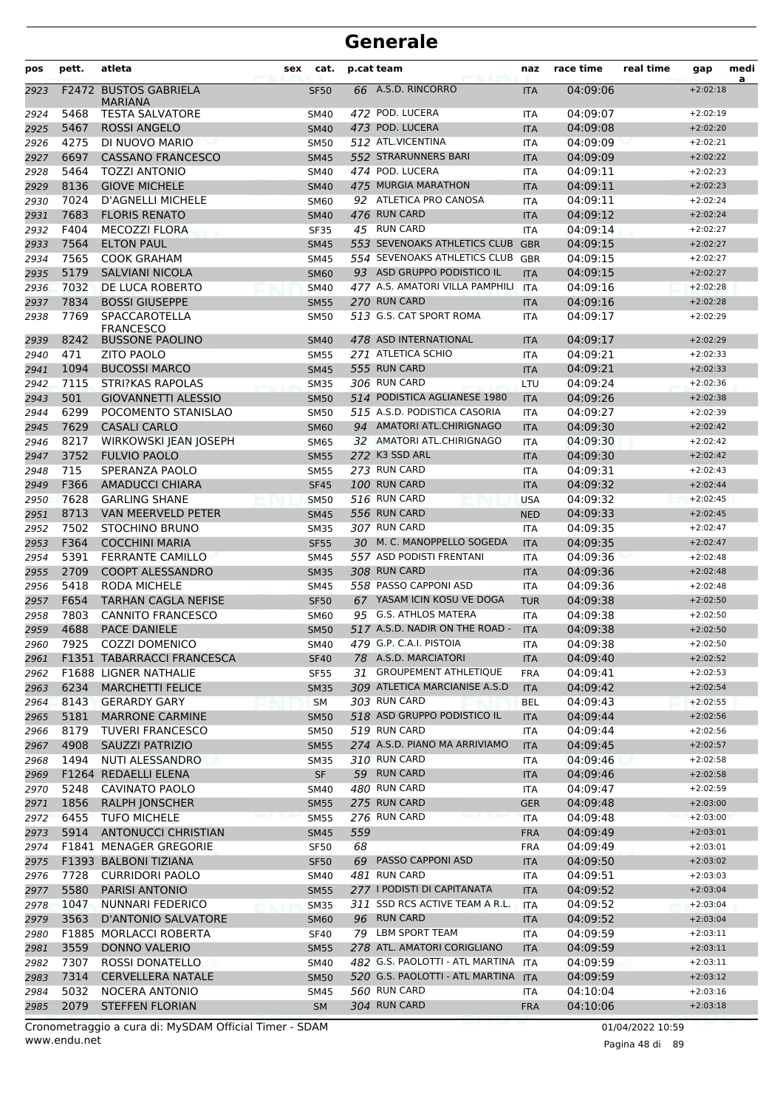| pos          | pett.        | atleta                                            | sex | cat.                       |     | p.cat team                                       | naz               | race time            | real time | gap                      | medi |
|--------------|--------------|---------------------------------------------------|-----|----------------------------|-----|--------------------------------------------------|-------------------|----------------------|-----------|--------------------------|------|
| 2923         |              | <b>F2472 BUSTOS GABRIELA</b><br><b>MARIANA</b>    |     | <b>SF50</b>                |     | 66 A.S.D. RINCORRO                               | <b>ITA</b>        | 04:09:06             |           | $+2:02:18$               | a    |
| 2924         | 5468         | <b>TESTA SALVATORE</b>                            |     | <b>SM40</b>                |     | 472 POD. LUCERA                                  | <b>ITA</b>        | 04:09:07             |           | $+2:02:19$               |      |
| 2925         | 5467         | <b>ROSSI ANGELO</b>                               |     | <b>SM40</b>                |     | 473 POD. LUCERA                                  | <b>ITA</b>        | 04:09:08             |           | $+2:02:20$               |      |
| 2926         | 4275         | DI NUOVO MARIO                                    |     | <b>SM50</b>                |     | 512 ATL.VICENTINA                                | <b>ITA</b>        | 04:09:09             |           | $+2:02:21$               |      |
| 2927         | 6697         | <b>CASSANO FRANCESCO</b>                          |     | <b>SM45</b>                |     | 552 STRARUNNERS BARI                             | <b>ITA</b>        | 04:09:09             |           | $+2:02:22$               |      |
| 2928         | 5464         | <b>TOZZI ANTONIO</b>                              |     | <b>SM40</b>                |     | 474 POD. LUCERA                                  | <b>ITA</b>        | 04:09:11             |           | $+2:02:23$               |      |
| 2929         | 8136         | <b>GIOVE MICHELE</b>                              |     | <b>SM40</b>                |     | 475 MURGIA MARATHON                              | <b>ITA</b>        | 04:09:11             |           | $+2:02:23$               |      |
| 2930         | 7024         | <b>D'AGNELLI MICHELE</b>                          |     | SM60                       |     | 92 ATLETICA PRO CANOSA                           | <b>ITA</b>        | 04:09:11             |           | $+2:02:24$               |      |
| 2931         | 7683         | <b>FLORIS RENATO</b>                              |     | <b>SM40</b>                |     | 476 RUN CARD                                     | <b>ITA</b>        | 04:09:12             |           | $+2:02:24$               |      |
| 2932         | F404         | <b>MECOZZI FLORA</b>                              |     | SF35                       |     | 45 RUN CARD                                      | <b>ITA</b>        | 04:09:14             |           | $+2:02:27$               |      |
| 2933         | 7564         | <b>ELTON PAUL</b>                                 |     | <b>SM45</b>                |     | 553 SEVENOAKS ATHLETICS CLUB                     | <b>GBR</b>        | 04:09:15             |           | $+2:02:27$               |      |
| 2934         | 7565         | <b>COOK GRAHAM</b>                                |     | <b>SM45</b>                |     | 554 SEVENOAKS ATHLETICS CLUB                     | <b>GBR</b>        | 04:09:15             |           | $+2:02:27$               |      |
| 2935         | 5179         | <b>SALVIANI NICOLA</b>                            |     | <b>SM60</b>                |     | 93 ASD GRUPPO PODISTICO IL                       | <b>ITA</b>        | 04:09:15             |           | $+2:02:27$               |      |
| 2936         | 7032         | DE LUCA ROBERTO                                   |     | <b>SM40</b>                |     | 477 A.S. AMATORI VILLA PAMPHILI                  | <b>ITA</b>        | 04:09:16             |           | $+2:02:28$               |      |
| 2937         | 7834         | <b>BOSSI GIUSEPPE</b>                             |     | <b>SM55</b>                |     | 270 RUN CARD                                     | <b>ITA</b>        | 04:09:16             |           | $+2:02:28$               |      |
| 2938         | 7769         | SPACCAROTELLA<br><b>FRANCESCO</b>                 |     | <b>SM50</b>                |     | 513 G.S. CAT SPORT ROMA                          | <b>ITA</b>        | 04:09:17             |           | $+2:02:29$               |      |
| 2939         | 8242         | <b>BUSSONE PAOLINO</b>                            |     | <b>SM40</b>                |     | 478 ASD INTERNATIONAL                            | <b>ITA</b>        | 04:09:17             |           | $+2:02:29$               |      |
| 2940         | 471          | <b>ZITO PAOLO</b>                                 |     | <b>SM55</b>                |     | 271 ATLETICA SCHIO                               | <b>ITA</b>        | 04:09:21             |           | $+2:02:33$               |      |
| 2941         | 1094         | <b>BUCOSSI MARCO</b>                              |     | <b>SM45</b>                |     | 555 RUN CARD                                     | <b>ITA</b>        | 04:09:21             |           | $+2:02:33$               |      |
| 2942         | 7115         | STRI?KAS RAPOLAS                                  |     | <b>SM35</b>                |     | 306 RUN CARD                                     | LTU               | 04:09:24             |           | $+2:02:36$               |      |
| 2943         | 501          | <b>GIOVANNETTI ALESSIO</b>                        |     | <b>SM50</b>                |     | 514 PODISTICA AGLIANESE 1980                     | <b>ITA</b>        | 04:09:26             |           | $+2:02:38$               |      |
| 2944         | 6299         | POCOMENTO STANISLAO                               |     | <b>SM50</b>                |     | 515 A.S.D. PODISTICA CASORIA                     | <b>ITA</b>        | 04:09:27             |           | $+2:02:39$               |      |
| 2945         | 7629         | <b>CASALI CARLO</b>                               |     | <b>SM60</b>                |     | 94 AMATORI ATL.CHIRIGNAGO                        | <b>ITA</b>        | 04:09:30             |           | $+2:02:42$               |      |
| 2946         | 8217         | WIRKOWSKI JEAN JOSEPH                             |     | <b>SM65</b>                |     | 32 AMATORI ATL.CHIRIGNAGO                        | <b>ITA</b>        | 04:09:30             |           | $+2:02:42$               |      |
| 2947         | 3752         | <b>FULVIO PAOLO</b>                               |     | <b>SM55</b>                |     | 272 K3 SSD ARL                                   | <b>ITA</b>        | 04:09:30             |           | $+2:02:42$               |      |
| 2948         | 715          | SPERANZA PAOLO                                    |     | <b>SM55</b>                |     | 273 RUN CARD                                     | <b>ITA</b>        | 04:09:31             |           | $+2:02:43$               |      |
| 2949         | F366         | <b>AMADUCCI CHIARA</b>                            |     | <b>SF45</b>                |     | 100 RUN CARD                                     | <b>ITA</b>        | 04:09:32             |           | $+2:02:44$               |      |
| 2950         | 7628         | <b>GARLING SHANE</b>                              |     | <b>SM50</b>                |     | 516 RUN CARD                                     | <b>USA</b>        | 04:09:32             |           | $+2:02:45$               |      |
| 2951         | 8713         | <b>VAN MEERVELD PETER</b>                         |     | <b>SM45</b>                |     | 556 RUN CARD                                     | <b>NED</b>        | 04:09:33             |           | $+2:02:45$               |      |
| 2952         | 7502         | STOCHINO BRUNO                                    |     | <b>SM35</b>                |     | 307 RUN CARD                                     | <b>ITA</b>        | 04:09:35             |           | $+2:02:47$               |      |
| 2953         | F364         | <b>COCCHINI MARIA</b>                             |     | <b>SF55</b>                |     | 30 M. C. MANOPPELLO SOGEDA                       | <b>ITA</b>        | 04:09:35             |           | $+2:02:47$               |      |
| 2954         | 5391         | <b>FERRANTE CAMILLO</b>                           |     | <b>SM45</b>                |     | 557 ASD PODISTI FRENTANI                         | <b>ITA</b>        | 04:09:36             |           | $+2:02:48$               |      |
| 2955         | 2709         | <b>COOPT ALESSANDRO</b>                           |     | <b>SM35</b>                |     | 308 RUN CARD                                     | <b>ITA</b>        | 04:09:36             |           | $+2:02:48$               |      |
| 2956         | 5418         | <b>RODA MICHELE</b>                               |     | <b>SM45</b>                |     | 558 PASSO CAPPONI ASD                            | <b>ITA</b>        | 04:09:36             |           | $+2:02:48$               |      |
| 2957         | F654         | <b>TARHAN CAGLA NEFISE</b>                        |     | <b>SF50</b>                |     | 67 YASAM ICIN KOSU VE DOGA                       | <b>TUR</b>        | 04:09:38             |           | $+2:02:50$               |      |
| 2958         | 7803         | <b>CANNITO FRANCESCO</b>                          |     | <b>SM60</b>                |     | 95 G.S. ATHLOS MATERA                            | <b>ITA</b>        | 04:09:38             |           | $+2:02:50$               |      |
| 2959         | 4688         | <b>PACE DANIELE</b>                               |     | <b>SM50</b>                |     | 517 A.S.D. NADIR ON THE ROAD -                   | <b>ITA</b>        | 04:09:38             |           | $+2:02:50$               |      |
| 2960         |              | 7925 COZZI DOMENICO                               |     | SM40                       |     | 479 G.P. C.A.I. PISTOIA                          | ITA               | 04:09:38             |           | $+2:02:50$               |      |
| 2961         |              | F1351 TABARRACCI FRANCESCA                        |     | <b>SF40</b>                |     | 78 A.S.D. MARCIATORI<br>31 GROUPEMENT ATHLETIQUE | <b>ITA</b>        | 04:09:40             |           | $+2:02:52$               |      |
| 2962         |              | F1688 LIGNER NATHALIE                             |     | <b>SF55</b>                |     | 309 ATLETICA MARCIANISE A.S.D                    | <b>FRA</b>        | 04:09:41             |           | $+2:02:53$               |      |
| 2963         | 6234         | <b>MARCHETTI FELICE</b>                           |     | <b>SM35</b>                |     |                                                  | <b>ITA</b>        | 04:09:42             |           | $+2:02:54$               |      |
| 2964         | 8143         | <b>GERARDY GARY</b>                               |     | <b>SM</b>                  |     | 303 RUN CARD<br>518 ASD GRUPPO PODISTICO IL      | <b>BEL</b>        | 04:09:43             |           | $+2:02:55$<br>$+2:02:56$ |      |
| 2965         | 5181<br>8179 | <b>MARRONE CARMINE</b>                            |     | <b>SM50</b>                |     | 519 RUN CARD                                     | <b>ITA</b>        | 04:09:44             |           | $+2:02:56$               |      |
| 2966<br>2967 | 4908         | <b>TUVERI FRANCESCO</b><br><b>SAUZZI PATRIZIO</b> |     | <b>SM50</b><br><b>SM55</b> |     | 274 A.S.D. PIANO MA ARRIVIAMO                    | ITA<br><b>ITA</b> | 04:09:44<br>04:09:45 |           | $+2:02:57$               |      |
| 2968         | 1494         | NUTI ALESSANDRO                                   |     | <b>SM35</b>                |     | 310 RUN CARD                                     | ITA               | 04:09:46             |           | $+2:02:58$               |      |
| 2969         |              | F1264 REDAELLI ELENA                              |     | <b>SF</b>                  |     | 59 RUN CARD                                      | <b>ITA</b>        | 04:09:46             |           | $+2:02:58$               |      |
| 2970         | 5248         | CAVINATO PAOLO                                    |     | <b>SM40</b>                |     | 480 RUN CARD                                     | ITA               | 04:09:47             |           | $+2:02:59$               |      |
| 2971         | 1856         | <b>RALPH JONSCHER</b>                             |     | <b>SM55</b>                |     | 275 RUN CARD                                     | <b>GER</b>        | 04:09:48             |           | $+2:03:00$               |      |
| 2972         | 6455         | <b>TUFO MICHELE</b>                               |     | <b>SM55</b>                |     | 276 RUN CARD                                     | <b>ITA</b>        | 04:09:48             |           | $+2:03:00$               |      |
| 2973         | 5914         | <b>ANTONUCCI CHRISTIAN</b>                        |     | <b>SM45</b>                | 559 |                                                  | <b>FRA</b>        | 04:09:49             |           | $+2:03:01$               |      |
| 2974         |              | F1841 MENAGER GREGORIE                            |     | <b>SF50</b>                | 68  |                                                  | <b>FRA</b>        | 04:09:49             |           | $+2:03:01$               |      |
| 2975         |              | F1393 BALBONI TIZIANA                             |     | <b>SF50</b>                |     | 69 PASSO CAPPONI ASD                             | <b>ITA</b>        | 04:09:50             |           | $+2:03:02$               |      |
| 2976         | 7728         | <b>CURRIDORI PAOLO</b>                            |     | SM40                       |     | 481 RUN CARD                                     | ITA               | 04:09:51             |           | $+2:03:03$               |      |
| 2977         | 5580         | PARISI ANTONIO                                    |     | <b>SM55</b>                |     | 277 I PODISTI DI CAPITANATA                      | <b>ITA</b>        | 04:09:52             |           | $+2:03:04$               |      |
| 2978         | 1047         | NUNNARI FEDERICO                                  |     | <b>SM35</b>                |     | 311 SSD RCS ACTIVE TEAM A R.L.                   | ITA               | 04:09:52             |           | $+2:03:04$               |      |
| 2979         | 3563         | <b>D'ANTONIO SALVATORE</b>                        |     | <b>SM60</b>                |     | 96 RUN CARD                                      | <b>ITA</b>        | 04:09:52             |           | $+2:03:04$               |      |
| 2980         |              | F1885 MORLACCI ROBERTA                            |     | <b>SF40</b>                |     | 79 LBM SPORT TEAM                                | ITA               | 04:09:59             |           | $+2:03:11$               |      |
| 2981         | 3559         | <b>DONNO VALERIO</b>                              |     | <b>SM55</b>                |     | 278 ATL. AMATORI CORIGLIANO                      | <b>ITA</b>        | 04:09:59             |           | $+2:03:11$               |      |
| 2982         | 7307         | ROSSI DONATELLO                                   |     | SM40                       |     | 482 G.S. PAOLOTTI - ATL MARTINA ITA              |                   | 04:09:59             |           | $+2:03:11$               |      |
| 2983         | 7314         | <b>CERVELLERA NATALE</b>                          |     | <b>SM50</b>                |     | 520 G.S. PAOLOTTI - ATL MARTINA ITA              |                   | 04:09:59             |           | $+2:03:12$               |      |
| 2984         | 5032         | NOCERA ANTONIO                                    |     | SM45                       |     | 560 RUN CARD                                     | ITA               | 04:10:04             |           | $+2:03:16$               |      |
| 2985         | 2079         | <b>STEFFEN FLORIAN</b>                            |     | <b>SM</b>                  |     | 304 RUN CARD                                     | <b>FRA</b>        | 04:10:06             |           | $+2:03:18$               |      |
|              |              |                                                   |     |                            |     |                                                  |                   |                      |           |                          |      |

www.endu.net Cronometraggio a cura di: MySDAM Official Timer - SDAM 01/04/2022 10:59 01/04/2022 10:59

Pagina 48 di 89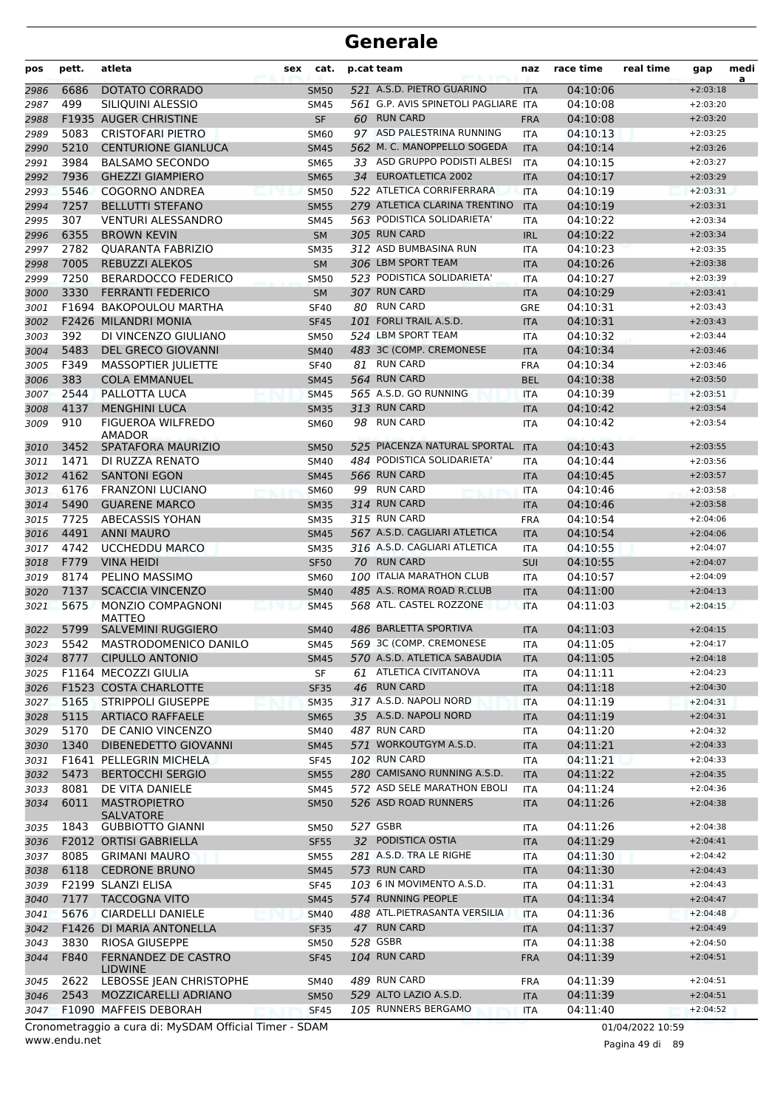| pos          | pett.        | atleta                                       | cat.<br>sex                |    | p.cat team                                           | naz                      | race time            | real time | gap                      | medi<br>a |
|--------------|--------------|----------------------------------------------|----------------------------|----|------------------------------------------------------|--------------------------|----------------------|-----------|--------------------------|-----------|
| 2986         | 6686         | <b>DOTATO CORRADO</b>                        | <b>SM50</b>                |    | 521 A.S.D. PIETRO GUARINO                            | <b>ITA</b>               | 04:10:06             |           | $+2:03:18$               |           |
| 2987         | 499          | SILIQUINI ALESSIO                            | <b>SM45</b>                |    | 561 G.P. AVIS SPINETOLI PAGLIARE ITA                 |                          | 04:10:08             |           | $+2:03:20$               |           |
| 2988         |              | F1935 AUGER CHRISTINE                        | <b>SF</b>                  |    | 60 RUN CARD                                          | <b>FRA</b>               | 04:10:08             |           | $+2:03:20$               |           |
| 2989         | 5083         | <b>CRISTOFARI PIETRO</b>                     | <b>SM60</b>                |    | 97 ASD PALESTRINA RUNNING                            | <b>ITA</b>               | 04:10:13             |           | $+2:03:25$               |           |
| 2990         | 5210         | <b>CENTURIONE GIANLUCA</b>                   | <b>SM45</b>                |    | 562 M. C. MANOPPELLO SOGEDA                          | <b>ITA</b>               | 04:10:14             |           | $+2:03:26$               |           |
| 2991         | 3984         | <b>BALSAMO SECONDO</b>                       | <b>SM65</b>                |    | 33 ASD GRUPPO PODISTI ALBESI                         | <b>ITA</b>               | 04:10:15             |           | $+2:03:27$               |           |
| 2992         | 7936         | <b>GHEZZI GIAMPIERO</b>                      | <b>SM65</b>                | 34 | <b>EUROATLETICA 2002</b>                             | <b>ITA</b>               | 04:10:17             |           | $+2:03:29$               |           |
| 2993         | 5546         | <b>COGORNO ANDREA</b>                        | <b>SM50</b>                |    | 522 ATLETICA CORRIFERRARA                            | <b>ITA</b>               | 04:10:19             |           | $+2:03:31$               |           |
| 2994         | 7257         | <b>BELLUTTI STEFANO</b>                      | <b>SM55</b>                |    | 279 ATLETICA CLARINA TRENTINO                        | <b>ITA</b>               | 04:10:19             |           | $+2:03:31$               |           |
| 2995         | 307          | <b>VENTURI ALESSANDRO</b>                    | <b>SM45</b>                |    | 563 PODISTICA SOLIDARIETA'                           | <b>ITA</b>               | 04:10:22             |           | $+2:03:34$               |           |
| 2996         | 6355         | <b>BROWN KEVIN</b>                           | <b>SM</b>                  |    | 305 RUN CARD                                         | <b>IRL</b>               | 04:10:22             |           | $+2:03:34$               |           |
| 2997         | 2782         | <b>QUARANTA FABRIZIO</b>                     | <b>SM35</b>                |    | 312 ASD BUMBASINA RUN                                | <b>ITA</b>               | 04:10:23             |           | $+2:03:35$               |           |
| 2998         | 7005         | <b>REBUZZI ALEKOS</b>                        | <b>SM</b>                  |    | 306 LBM SPORT TEAM                                   | <b>ITA</b>               | 04:10:26             |           | $+2:03:38$               |           |
| 2999         | 7250         | <b>BERARDOCCO FEDERICO</b>                   | <b>SM50</b>                |    | 523 PODISTICA SOLIDARIETA'                           | <b>ITA</b>               | 04:10:27             |           | $+2:03:39$               |           |
| 3000         | 3330         | <b>FERRANTI FEDERICO</b>                     | <b>SM</b>                  |    | 307 RUN CARD                                         | <b>ITA</b>               | 04:10:29             |           | $+2:03:41$               |           |
| 3001         |              | F1694 BAKOPOULOU MARTHA                      | <b>SF40</b>                | 80 | <b>RUN CARD</b>                                      | GRE                      | 04:10:31             |           | $+2:03:43$               |           |
| 3002         | F2426        | MILANDRI MONIA                               | <b>SF45</b>                |    | 101 FORLI TRAIL A.S.D.                               | <b>ITA</b>               | 04:10:31             |           | $+2:03:43$               |           |
| 3003         | 392          | DI VINCENZO GIULIANO                         | <b>SM50</b>                |    | 524 LBM SPORT TEAM                                   | <b>ITA</b>               | 04:10:32             |           | $+2:03:44$               |           |
| 3004         | 5483         | <b>DEL GRECO GIOVANNI</b>                    | <b>SM40</b>                |    | 483 3C (COMP. CREMONESE                              | <b>ITA</b>               | 04:10:34             |           | $+2:03:46$               |           |
| 3005         | F349         | <b>MASSOPTIER JULIETTE</b>                   | <b>SF40</b>                |    | 81 RUN CARD                                          | <b>FRA</b>               | 04:10:34             |           | $+2:03:46$               |           |
| 3006         | 383          | <b>COLA EMMANUEL</b>                         | <b>SM45</b>                |    | 564 RUN CARD<br>565 A.S.D. GO RUNNING                | <b>BEL</b>               | 04:10:38             |           | $+2:03:50$               |           |
| 3007         | 2544         | PALLOTTA LUCA                                | <b>SM45</b>                |    | 313 RUN CARD                                         | <b>ITA</b>               | 04:10:39             |           | $+2:03:51$               |           |
| 3008         | 4137<br>910  | <b>MENGHINI LUCA</b>                         | <b>SM35</b>                |    | 98 RUN CARD                                          | <b>ITA</b>               | 04:10:42             |           | $+2:03:54$               |           |
| 3009         |              | <b>FIGUEROA WILFREDO</b><br><b>AMADOR</b>    | <b>SM60</b>                |    |                                                      | <b>ITA</b>               | 04:10:42             |           | $+2:03:54$               |           |
| 3010         | 3452         | SPATAFORA MAURIZIO                           | <b>SM50</b>                |    | 525 PIACENZA NATURAL SPORTAL                         | <b>ITA</b>               | 04:10:43             |           | $+2:03:55$               |           |
| 3011         | 1471         | DI RUZZA RENATO                              | <b>SM40</b>                |    | 484 PODISTICA SOLIDARIETA'                           | ITA                      | 04:10:44             |           | $+2:03:56$               |           |
| 3012         | 4162         | <b>SANTONI EGON</b>                          | <b>SM45</b>                |    | 566 RUN CARD                                         | <b>ITA</b>               | 04:10:45             |           | $+2:03:57$               |           |
| 3013         | 6176         | <b>FRANZONI LUCIANO</b>                      | <b>SM60</b>                |    | 99 RUN CARD                                          | <b>ITA</b>               | 04:10:46             |           | $+2:03:58$               |           |
| 3014         | 5490         | <b>GUARENE MARCO</b>                         | <b>SM35</b>                |    | 314 RUN CARD                                         | <b>ITA</b>               | 04:10:46             |           | $+2:03:58$               |           |
| 3015         | 7725         | <b>ABECASSIS YOHAN</b>                       | <b>SM35</b>                |    | 315 RUN CARD                                         | <b>FRA</b>               | 04:10:54             |           | $+2:04:06$               |           |
| 3016         | 4491         | <b>ANNI MAURO</b>                            | <b>SM45</b>                |    | 567 A.S.D. CAGLIARI ATLETICA                         | <b>ITA</b>               | 04:10:54             |           | $+2:04:06$               |           |
| 3017         | 4742         | <b>UCCHEDDU MARCO</b>                        | <b>SM35</b>                |    | 316 A.S.D. CAGLIARI ATLETICA                         | ITA                      | 04:10:55             |           | $+2:04:07$               |           |
| 3018         | F779         | <b>VINA HEIDI</b>                            | <b>SF50</b>                |    | 70 RUN CARD                                          | SUI                      | 04:10:55             |           | $+2:04:07$               |           |
| 3019         | 8174         | PELINO MASSIMO                               | <b>SM60</b>                |    | 100 ITALIA MARATHON CLUB                             | <b>ITA</b>               | 04:10:57             |           | $+2:04:09$               |           |
| 3020<br>3021 | 7137<br>5675 | <b>SCACCIA VINCENZO</b><br>MONZIO COMPAGNONI | <b>SM40</b><br><b>SM45</b> |    | 485 A.S. ROMA ROAD R.CLUB<br>568 ATL. CASTEL ROZZONE | <b>ITA</b><br><b>ITA</b> | 04:11:00<br>04:11:03 |           | $+2:04:13$<br>$+2:04:15$ |           |
|              |              | <b>MATTEO</b>                                |                            |    |                                                      |                          |                      |           |                          |           |
| 3022         | 5799         | <b>SALVEMINI RUGGIERO</b>                    | <b>SM40</b>                |    | 486 BARLETTA SPORTIVA                                | <b>ITA</b>               | 04:11:03             |           | $+2:04:15$               |           |
| 3023         | 5542         | MASTRODOMENICO DANILO                        | <b>SM45</b>                |    | 569 3C (COMP. CREMONESE                              | ITA                      | 04:11:05             |           | $+2:04:17$               |           |
| 3024         | 8777         | <b>CIPULLO ANTONIO</b>                       | <b>SM45</b>                |    | 570 A.S.D. ATLETICA SABAUDIA                         | <b>ITA</b>               | 04:11:05             |           | $+2:04:18$               |           |
| 3025         |              | F1164 MECOZZI GIULIA                         | SF                         |    | 61 ATLETICA CIVITANOVA                               | <b>ITA</b>               | 04:11:11             |           | $+2:04:23$               |           |
| 3026         |              | F1523 COSTA CHARLOTTE                        | <b>SF35</b>                |    | 46 RUN CARD                                          | <b>ITA</b>               | 04:11:18             |           | $+2:04:30$               |           |
| 3027         | 5165         | <b>STRIPPOLI GIUSEPPE</b>                    | <b>SM35</b>                |    | 317 A.S.D. NAPOLI NORD                               | <b>ITA</b>               | 04:11:19             |           | $+2:04:31$               |           |
| 3028         | 5115         | <b>ARTIACO RAFFAELE</b>                      | <b>SM65</b>                |    | 35 A.S.D. NAPOLI NORD                                | <b>ITA</b>               | 04:11:19             |           | $+2:04:31$               |           |
| 3029         | 5170         | DE CANIO VINCENZO                            | <b>SM40</b>                |    | 487 RUN CARD                                         | <b>ITA</b>               | 04:11:20             |           | $+2:04:32$               |           |
| 3030         | 1340         | DIBENEDETTO GIOVANNI                         | <b>SM45</b>                |    | 571 WORKOUTGYM A.S.D.                                | <b>ITA</b>               | 04:11:21             |           | $+2:04:33$               |           |
| 3031         |              | F1641 PELLEGRIN MICHELA                      | <b>SF45</b>                |    | 102 RUN CARD<br>280 CAMISANO RUNNING A.S.D.          | <b>ITA</b>               | 04:11:21             |           | $+2:04:33$               |           |
| 3032         | 5473<br>8081 | <b>BERTOCCHI SERGIO</b>                      | <b>SM55</b>                |    | 572 ASD SELE MARATHON EBOLI                          | <b>ITA</b>               | 04:11:22             |           | $+2:04:35$               |           |
| 3033         | 6011         | DE VITA DANIELE<br><b>MASTROPIETRO</b>       | <b>SM45</b><br><b>SM50</b> |    | 526 ASD ROAD RUNNERS                                 | ITA                      | 04:11:24<br>04:11:26 |           | $+2:04:36$<br>$+2:04:38$ |           |
| 3034         |              | SALVATORE                                    |                            |    |                                                      | <b>ITA</b>               |                      |           |                          |           |
| 3035         | 1843         | <b>GUBBIOTTO GIANNI</b>                      | <b>SM50</b>                |    | 527 GSBR                                             | ITA                      | 04:11:26             |           | $+2:04:38$               |           |
| 3036         |              | F2012 ORTISI GABRIELLA                       | <b>SF55</b>                |    | 32 PODISTICA OSTIA                                   | <b>ITA</b>               | 04:11:29             |           | $+2:04:41$               |           |
| 3037         | 8085         | <b>GRIMANI MAURO</b>                         | <b>SM55</b>                |    | 281 A.S.D. TRA LE RIGHE                              | <b>ITA</b>               | 04:11:30             |           | $+2:04:42$               |           |
| 3038         | 6118         | <b>CEDRONE BRUNO</b>                         | <b>SM45</b>                |    | 573 RUN CARD                                         | <b>ITA</b>               | 04:11:30             |           | $+2:04:43$               |           |
| 3039         |              | F2199 SLANZI ELISA                           | <b>SF45</b>                |    | 103 6 IN MOVIMENTO A.S.D.                            | <b>ITA</b>               | 04:11:31             |           | $+2:04:43$               |           |
| 3040         | 7177         | <b>TACCOGNA VITO</b>                         | <b>SM45</b>                |    | 574 RUNNING PEOPLE                                   | <b>ITA</b>               | 04:11:34             |           | $+2:04:47$               |           |
| 3041         | 5676         | <b>CIARDELLI DANIELE</b>                     | <b>SM40</b>                |    | 488 ATL.PIETRASANTA VERSILIA                         | <b>ITA</b>               | 04:11:36             |           | $+2:04:48$               |           |
| 3042         |              | F1426 DI MARIA ANTONELLA                     | <b>SF35</b>                |    | 47 RUN CARD                                          | <b>ITA</b>               | 04:11:37             |           | $+2:04:49$               |           |
| 3043         | 3830         | <b>RIOSA GIUSEPPE</b>                        | <b>SM50</b>                |    | 528 GSBR                                             | <b>ITA</b>               | 04:11:38             |           | $+2:04:50$               |           |
| 3044         | F840         | FERNANDEZ DE CASTRO<br><b>LIDWINE</b>        | <b>SF45</b>                |    | 104 RUN CARD                                         | <b>FRA</b>               | 04:11:39             |           | $+2:04:51$               |           |
| 3045         | 2622         | LEBOSSE JEAN CHRISTOPHE                      | <b>SM40</b>                |    | 489 RUN CARD                                         | <b>FRA</b>               | 04:11:39             |           | $+2:04:51$               |           |
| 3046         | 2543         | MOZZICARELLI ADRIANO                         | <b>SM50</b>                |    | 529 ALTO LAZIO A.S.D.                                | <b>ITA</b>               | 04:11:39             |           | $+2:04:51$               |           |
| 3047         |              | F1090 MAFFEIS DEBORAH                        | <b>SF45</b>                |    | 105 RUNNERS BERGAMO                                  | <b>ITA</b>               | 04:11:40             |           | $+2:04:52$               |           |

www.endu.net Cronometraggio a cura di: MySDAM Official Timer - SDAM 01/04/2022 10:59

Pagina 49 di 89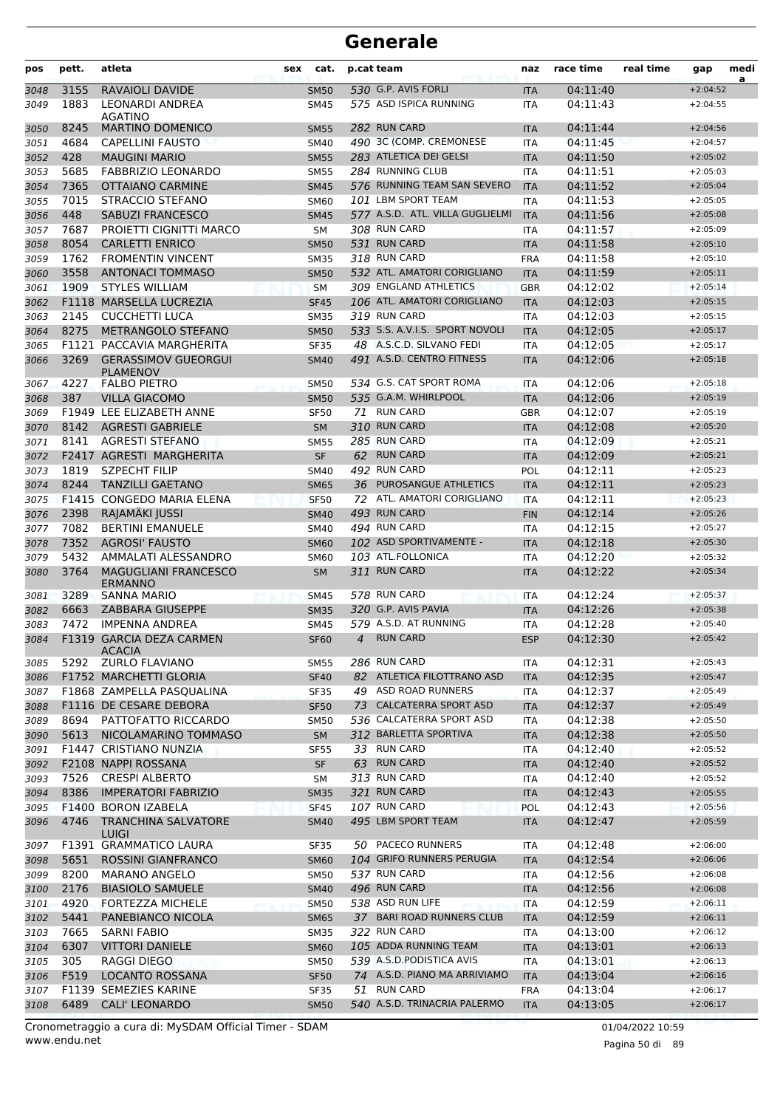| pos          | pett.        | atleta                                            | sex | cat.                       |                | p.cat team                                 | naz                      | race time            | real time | gap                      | medi<br>a |
|--------------|--------------|---------------------------------------------------|-----|----------------------------|----------------|--------------------------------------------|--------------------------|----------------------|-----------|--------------------------|-----------|
| 3048         | 3155         | <b>RAVAIOLI DAVIDE</b>                            |     | <b>SM50</b>                |                | 530 G.P. AVIS FORLI                        | <b>ITA</b>               | 04:11:40             |           | $+2:04:52$               |           |
| 3049         | 1883         | <b>LEONARDI ANDREA</b>                            |     | <b>SM45</b>                |                | 575 ASD ISPICA RUNNING                     | <b>ITA</b>               | 04:11:43             |           | $+2:04:55$               |           |
| 3050         | 8245         | AGATINO<br><b>MARTINO DOMENICO</b>                |     | <b>SM55</b>                |                | 282 RUN CARD                               | <b>ITA</b>               | 04:11:44             |           | $+2:04:56$               |           |
| 3051         | 4684         | <b>CAPELLINI FAUSTO</b>                           |     | <b>SM40</b>                |                | 490 3C (COMP, CREMONESE                    | <b>ITA</b>               | 04:11:45             |           | $+2:04:57$               |           |
| 3052         | 428          | <b>MAUGINI MARIO</b>                              |     | <b>SM55</b>                |                | 283 ATLETICA DEI GELSI                     | <b>ITA</b>               | 04:11:50             |           | $+2:05:02$               |           |
| 3053         | 5685         | <b>FABBRIZIO LEONARDO</b>                         |     | <b>SM55</b>                |                | 284 RUNNING CLUB                           | <b>ITA</b>               | 04:11:51             |           | $+2:05:03$               |           |
| 3054         | 7365         | <b>OTTAIANO CARMINE</b>                           |     | <b>SM45</b>                |                | 576 RUNNING TEAM SAN SEVERO                | <b>ITA</b>               | 04:11:52             |           | $+2:05:04$               |           |
| 3055         | 7015         | STRACCIO STEFANO                                  |     | SM60                       |                | 101 LBM SPORT TEAM                         | <b>ITA</b>               | 04:11:53             |           | $+2:05:05$               |           |
| 3056         | 448          | SABUZI FRANCESCO                                  |     | <b>SM45</b>                |                | 577 A.S.D. ATL. VILLA GUGLIELMI            | <b>ITA</b>               | 04:11:56             |           | $+2:05:08$               |           |
| 3057         | 7687         | PROIETTI CIGNITTI MARCO                           |     | SM                         |                | 308 RUN CARD                               | <b>ITA</b>               | 04:11:57             |           | $+2:05:09$               |           |
| 3058         | 8054         | <b>CARLETTI ENRICO</b>                            |     | <b>SM50</b>                |                | 531 RUN CARD                               | <b>ITA</b>               | 04:11:58             |           | $+2:05:10$               |           |
| 3059         | 1762         | <b>FROMENTIN VINCENT</b>                          |     | <b>SM35</b>                |                | 318 RUN CARD                               | <b>FRA</b>               | 04:11:58             |           | $+2:05:10$               |           |
| 3060         | 3558         | <b>ANTONACI TOMMASO</b>                           |     | <b>SM50</b>                |                | 532 ATL. AMATORI CORIGLIANO                | <b>ITA</b>               | 04:11:59             |           | $+2:05:11$               |           |
| 3061         | 1909         | <b>STYLES WILLIAM</b>                             |     | <b>SM</b>                  |                | 309 ENGLAND ATHLETICS                      | <b>GBR</b>               | 04:12:02             |           | $+2:05:14$               |           |
| 3062         |              | F1118 MARSELLA LUCREZIA                           |     | <b>SF45</b>                |                | 106 ATL. AMATORI CORIGLIANO                | <b>ITA</b>               | 04:12:03             |           | $+2:05:15$               |           |
| 3063         | 2145         | <b>CUCCHETTI LUCA</b>                             |     | <b>SM35</b>                |                | 319 RUN CARD                               | <b>ITA</b>               | 04:12:03             |           | $+2:05:15$               |           |
| 3064         | 8275         | METRANGOLO STEFANO                                |     | <b>SM50</b>                |                | 533 S.S. A.V.I.S. SPORT NOVOLI             | <b>ITA</b>               | 04:12:05             |           | $+2:05:17$               |           |
| 3065         |              | F1121 PACCAVIA MARGHERITA                         |     | <b>SF35</b>                |                | 48 A.S.C.D. SILVANO FEDI                   | ITA                      | 04:12:05             |           | $+2:05:17$               |           |
| 3066         | 3269         | <b>GERASSIMOV GUEORGUI</b><br><b>PLAMENOV</b>     |     | <b>SM40</b>                |                | 491 A.S.D. CENTRO FITNESS                  | <b>ITA</b>               | 04:12:06             |           | $+2:05:18$               |           |
| 3067         | 4227         | <b>FALBO PIETRO</b>                               |     | <b>SM50</b>                |                | 534 G.S. CAT SPORT ROMA                    | <b>ITA</b>               | 04:12:06             |           | $+2:05:18$               |           |
| 3068         | 387          | <b>VILLA GIACOMO</b>                              |     | <b>SM50</b>                |                | 535 G.A.M. WHIRLPOOL                       | <b>ITA</b>               | 04:12:06             |           | $+2:05:19$               |           |
| 3069         |              | F1949 LEE ELIZABETH ANNE                          |     | <b>SF50</b>                |                | 71 RUN CARD                                | <b>GBR</b>               | 04:12:07             |           | $+2:05:19$               |           |
| 3070         | 8142         | <b>AGRESTI GABRIELE</b>                           |     | <b>SM</b>                  |                | 310 RUN CARD                               | <b>ITA</b>               | 04:12:08             |           | $+2:05:20$               |           |
| 3071         | 8141         | <b>AGRESTI STEFANO</b>                            |     | <b>SM55</b>                |                | 285 RUN CARD                               | <b>ITA</b>               | 04:12:09             |           | $+2:05:21$               |           |
| 3072         |              | F2417 AGRESTI MARGHERITA                          |     | <b>SF</b>                  |                | 62 RUN CARD                                | <b>ITA</b>               | 04:12:09             |           | $+2:05:21$               |           |
| 3073         | 1819         | <b>SZPECHT FILIP</b>                              |     | <b>SM40</b>                |                | 492 RUN CARD                               | POL                      | 04:12:11             |           | $+2:05:23$               |           |
| 3074         | 8244         | <b>TANZILLI GAETANO</b>                           |     | <b>SM65</b>                | 36             | PUROSANGUE ATHLETICS                       | <b>ITA</b>               | 04:12:11             |           | $+2:05:23$               |           |
| 3075         |              | <b>F1415 CONGEDO MARIA ELENA</b>                  |     | <b>SF50</b>                |                | 72 ATL. AMATORI CORIGLIANO<br>493 RUN CARD | <b>ITA</b>               | 04:12:11             |           | $+2:05:23$               |           |
| 3076         | 2398<br>7082 | RAJAMÄKI JUSSI<br><b>BERTINI EMANUELE</b>         |     | <b>SM40</b>                |                | 494 RUN CARD                               | <b>FIN</b>               | 04:12:14             |           | $+2:05:26$               |           |
| 3077         | 7352         | <b>AGROSI' FAUSTO</b>                             |     | <b>SM40</b>                |                | 102 ASD SPORTIVAMENTE -                    | <b>ITA</b>               | 04:12:15<br>04:12:18 |           | $+2:05:27$<br>$+2:05:30$ |           |
| 3078         | 5432         | AMMALATI ALESSANDRO                               |     | <b>SM60</b>                |                | 103 ATL.FOLLONICA                          | <b>ITA</b>               | 04:12:20             |           | $+2:05:32$               |           |
| 3079<br>3080 | 3764         | <b>MAGUGLIANI FRANCESCO</b>                       |     | <b>SM60</b><br><b>SM</b>   |                | 311 RUN CARD                               | <b>ITA</b><br><b>ITA</b> | 04:12:22             |           | $+2:05:34$               |           |
|              |              | <b>ERMANNO</b>                                    |     |                            |                |                                            |                          |                      |           |                          |           |
| 3081         | 3289         | <b>SANNA MARIO</b>                                |     | <b>SM45</b>                |                | 578 RUN CARD                               | <b>ITA</b>               | 04:12:24             |           | $+2:05:37$               |           |
| 3082         | 6663         | <b>ZABBARA GIUSEPPE</b>                           |     | <b>SM35</b>                |                | 320 G.P. AVIS PAVIA                        | <b>ITA</b>               | 04:12:26             |           | $+2:05:38$               |           |
| 3083         | 7472         | <b>IMPENNA ANDREA</b>                             |     | <b>SM45</b>                |                | 579 A.S.D. AT RUNNING                      | <b>ITA</b>               | 04:12:28             |           | $+2:05:40$               |           |
| 3084         |              | <b>F1319 GARCIA DEZA CARMEN</b><br><b>ACACIA</b>  |     | <b>SF60</b>                | $\overline{4}$ | <b>RUN CARD</b>                            | <b>ESP</b>               | 04:12:30             |           | $+2:05:42$               |           |
| 3085         | 5292         | <b>ZURLO FLAVIANO</b>                             |     | <b>SM55</b>                |                | 286 RUN CARD                               | ITA                      | 04:12:31             |           | $+2:05:43$               |           |
| 3086         |              | F1752 MARCHETTI GLORIA                            |     | <b>SF40</b>                |                | 82 ATLETICA FILOTTRANO ASD                 | <b>ITA</b>               | 04:12:35             |           | $+2:05:47$               |           |
| 3087         |              | F1868 ZAMPELLA PASQUALINA                         |     | <b>SF35</b>                |                | 49 ASD ROAD RUNNERS                        | ITA                      | 04:12:37             |           | $+2:05:49$               |           |
| 3088         |              | F1116 DE CESARE DEBORA                            |     | <b>SF50</b>                |                | 73 CALCATERRA SPORT ASD                    | <b>ITA</b>               | 04:12:37             |           | $+2:05:49$               |           |
| 3089         | 8694         | PATTOFATTO RICCARDO                               |     | <b>SM50</b>                |                | 536 CALCATERRA SPORT ASD                   | ITA                      | 04:12:38             |           | $+2:05:50$               |           |
| 3090         | 5613         | NICOLAMARINO TOMMASO                              |     | <b>SM</b>                  |                | 312 BARLETTA SPORTIVA<br>33 RUN CARD       | <b>ITA</b>               | 04:12:38             |           | $+2:05:50$               |           |
| 3091         |              | F1447 CRISTIANO NUNZIA                            |     | <b>SF55</b>                |                | 63 RUN CARD                                | ITA                      | 04:12:40             |           | $+2:05:52$<br>$+2:05:52$ |           |
| 3092         |              | F2108 NAPPI ROSSANA                               |     | <b>SF</b>                  |                | 313 RUN CARD                               | <b>ITA</b>               | 04:12:40             |           | $+2:05:52$               |           |
| 3093         | 7526<br>8386 | <b>CRESPI ALBERTO</b>                             |     | SM                         |                | 321 RUN CARD                               | ITA                      | 04:12:40             |           |                          |           |
| 3094         |              | <b>IMPERATORI FABRIZIO</b><br>F1400 BORON IZABELA |     | <b>SM35</b><br><b>SF45</b> |                | 107 RUN CARD                               | <b>ITA</b><br><b>POL</b> | 04:12:43<br>04:12:43 |           | $+2:05:55$<br>$+2:05:56$ |           |
| 3095<br>3096 | 4746         | <b>TRANCHINA SALVATORE</b>                        |     | <b>SM40</b>                |                | 495 LBM SPORT TEAM                         | <b>ITA</b>               | 04:12:47             |           | $+2:05:59$               |           |
| 3097         |              | LUIGI<br>F1391 GRAMMATICO LAURA                   |     | SF35                       |                | 50 PACECO RUNNERS                          | ITA                      | 04:12:48             |           | $+2:06:00$               |           |
| 3098         | 5651         | ROSSINI GIANFRANCO                                |     | <b>SM60</b>                |                | 104 GRIFO RUNNERS PERUGIA                  | <b>ITA</b>               | 04:12:54             |           | $+2:06:06$               |           |
| 3099         | 8200         | <b>MARANO ANGELO</b>                              |     | <b>SM50</b>                |                | 537 RUN CARD                               | ITA                      | 04:12:56             |           | $+2:06:08$               |           |
| 3100         | 2176         | <b>BIASIOLO SAMUELE</b>                           |     | <b>SM40</b>                |                | 496 RUN CARD                               | <b>ITA</b>               | 04:12:56             |           | $+2:06:08$               |           |
| 3101         | 4920         | <b>FORTEZZA MICHELE</b>                           |     | <b>SM50</b>                |                | 538 ASD RUN LIFE                           | ITA                      | 04:12:59             |           | $+2:06:11$               |           |
| 3102         | 5441         | PANEBIANCO NICOLA                                 |     | <b>SM65</b>                |                | 37 BARI ROAD RUNNERS CLUB                  | <b>ITA</b>               | 04:12:59             |           | $+2:06:11$               |           |
| 3103         | 7665         | SARNI FABIO                                       |     | <b>SM35</b>                |                | 322 RUN CARD                               | <b>ITA</b>               | 04:13:00             |           | $+2:06:12$               |           |
| 3104         | 6307         | <b>VITTORI DANIELE</b>                            |     | <b>SM60</b>                |                | 105 ADDA RUNNING TEAM                      | <b>ITA</b>               | 04:13:01             |           | $+2:06:13$               |           |
| 3105         | 305          | RAGGI DIEGO                                       |     | <b>SM50</b>                |                | 539 A.S.D. PODISTICA AVIS                  | ITA                      | 04:13:01             |           | $+2:06:13$               |           |
| 3106         | F519         | LOCANTO ROSSANA                                   |     | <b>SF50</b>                |                | 74 A.S.D. PIANO MA ARRIVIAMO               | <b>ITA</b>               | 04:13:04             |           | $+2:06:16$               |           |
| 3107         |              | F1139 SEMEZIES KARINE                             |     | <b>SF35</b>                |                | 51 RUN CARD                                | <b>FRA</b>               | 04:13:04             |           | $+2:06:17$               |           |
| 3108         | 6489         | <b>CALI' LEONARDO</b>                             |     | <b>SM50</b>                |                | 540 A.S.D. TRINACRIA PALERMO               | <b>ITA</b>               | 04:13:05             |           | $+2:06:17$               |           |

www.endu.net Cronometraggio a cura di: MySDAM Official Timer - SDAM 01/04/2022 10:59 01/04/2022 10:59

Pagina 50 di 89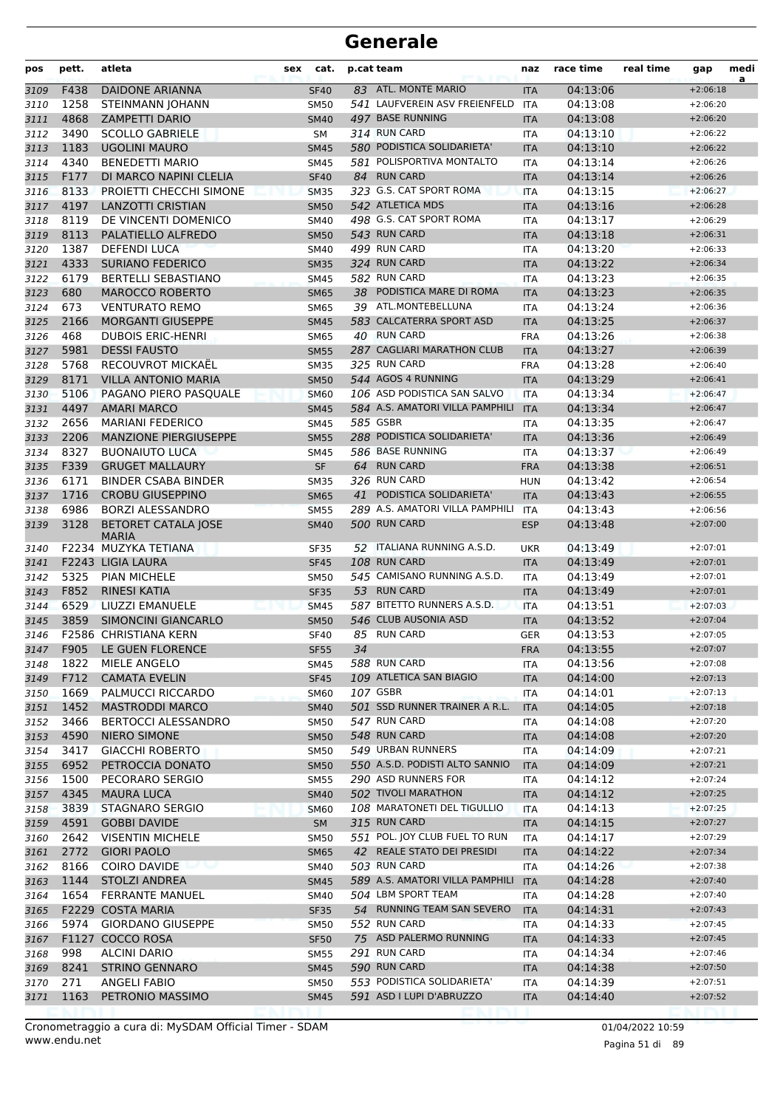| pos          | pett.        | atleta                                            | sex | cat.                       |    | p.cat team                                    | naz                      | race time            | real time | gap                      | medi<br>a |
|--------------|--------------|---------------------------------------------------|-----|----------------------------|----|-----------------------------------------------|--------------------------|----------------------|-----------|--------------------------|-----------|
| 3109         | F438         | <b>DAIDONE ARIANNA</b>                            |     | <b>SF40</b>                |    | 83 ATL. MONTE MARIO                           | <b>ITA</b>               | 04:13:06             |           | $+2:06:18$               |           |
| 3110         | 1258         | <b>STEINMANN JOHANN</b>                           |     | <b>SM50</b>                |    | 541 LAUFVEREIN ASV FREIENFELD                 | <b>ITA</b>               | 04:13:08             |           | $+2:06:20$               |           |
| 3111         | 4868         | <b>ZAMPETTI DARIO</b>                             |     | <b>SM40</b>                |    | 497 BASE RUNNING                              | <b>ITA</b>               | 04:13:08             |           | $+2:06:20$               |           |
| 3112         | 3490         | <b>SCOLLO GABRIELE</b>                            |     | SM                         |    | 314 RUN CARD                                  | <b>ITA</b>               | 04:13:10             |           | $+2:06:22$               |           |
| 3113         | 1183         | <b>UGOLINI MAURO</b>                              |     | <b>SM45</b>                |    | 580 PODISTICA SOLIDARIETA'                    | <b>ITA</b>               | 04:13:10             |           | $+2:06:22$               |           |
| 3114         | 4340         | <b>BENEDETTI MARIO</b>                            |     | <b>SM45</b>                |    | 581 POLISPORTIVA MONTALTO                     | <b>ITA</b>               | 04:13:14             |           | $+2:06:26$               |           |
| 3115         | F177         | DI MARCO NAPINI CLELIA                            |     | <b>SF40</b>                |    | 84 RUN CARD                                   | <b>ITA</b>               | 04:13:14             |           | $+2:06:26$               |           |
| 3116         | 8133         | PROJETTI CHECCHI SIMONE                           |     | <b>SM35</b>                |    | 323 G.S. CAT SPORT ROMA                       | <b>ITA</b>               | 04:13:15             |           | $+2:06:27$               |           |
| 3117         | 4197         | <b>LANZOTTI CRISTIAN</b>                          |     | <b>SM50</b>                |    | 542 ATLETICA MDS<br>498 G.S. CAT SPORT ROMA   | <b>ITA</b>               | 04:13:16             |           | $+2:06:28$<br>$+2:06:29$ |           |
| 3118         | 8119<br>8113 | DE VINCENTI DOMENICO<br>PALATIELLO ALFREDO        |     | <b>SM40</b>                |    | 543 RUN CARD                                  | <b>ITA</b>               | 04:13:17<br>04:13:18 |           | $+2:06:31$               |           |
| 3119<br>3120 | 1387         | <b>DEFENDI LUCA</b>                               |     | <b>SM50</b><br><b>SM40</b> |    | 499 RUN CARD                                  | <b>ITA</b><br><b>ITA</b> | 04:13:20             |           | $+2:06:33$               |           |
| 3121         | 4333         | <b>SURIANO FEDERICO</b>                           |     | <b>SM35</b>                |    | 324 RUN CARD                                  | <b>ITA</b>               | 04:13:22             |           | $+2:06:34$               |           |
| 3122         | 6179         | <b>BERTELLI SEBASTIANO</b>                        |     | <b>SM45</b>                |    | 582 RUN CARD                                  | <b>ITA</b>               | 04:13:23             |           | $+2:06:35$               |           |
| 3123         | 680          | <b>MAROCCO ROBERTO</b>                            |     | <b>SM65</b>                |    | 38 PODISTICA MARE DI ROMA                     | <b>ITA</b>               | 04:13:23             |           | $+2:06:35$               |           |
| 3124         | 673          | <b>VENTURATO REMO</b>                             |     | <b>SM65</b>                |    | 39 ATL.MONTEBELLUNA                           | <b>ITA</b>               | 04:13:24             |           | $+2:06:36$               |           |
| 3125         | 2166         | <b>MORGANTI GIUSEPPE</b>                          |     | <b>SM45</b>                |    | 583 CALCATERRA SPORT ASD                      | <b>ITA</b>               | 04:13:25             |           | $+2:06:37$               |           |
| 3126         | 468          | <b>DUBOIS ERIC-HENRI</b>                          |     | <b>SM65</b>                |    | 40 RUN CARD                                   | <b>FRA</b>               | 04:13:26             |           | $+2:06:38$               |           |
| 3127         | 5981         | <b>DESSI FAUSTO</b>                               |     | <b>SM55</b>                |    | 287 CAGLIARI MARATHON CLUB                    | <b>ITA</b>               | 04:13:27             |           | $+2:06:39$               |           |
| 3128         | 5768         | RECOUVROT MICKAEL                                 |     | <b>SM35</b>                |    | 325 RUN CARD                                  | <b>FRA</b>               | 04:13:28             |           | $+2:06:40$               |           |
| 3129         | 8171         | <b>VILLA ANTONIO MARIA</b>                        |     | <b>SM50</b>                |    | 544 AGOS 4 RUNNING                            | <b>ITA</b>               | 04:13:29             |           | $+2:06:41$               |           |
| 3130         | 5106         | PAGANO PIERO PASQUALE                             |     | <b>SM60</b>                |    | 106 ASD PODISTICA SAN SALVO                   | <b>ITA</b>               | 04:13:34             |           | $+2:06:47$               |           |
| 3131         | 4497         | <b>AMARI MARCO</b>                                |     | <b>SM45</b>                |    | 584 A.S. AMATORI VILLA PAMPHILI               | <b>ITA</b>               | 04:13:34             |           | $+2:06:47$               |           |
| 3132         | 2656         | <b>MARIANI FEDERICO</b>                           |     | <b>SM45</b>                |    | 585 GSBR                                      | <b>ITA</b>               | 04:13:35             |           | $+2:06:47$               |           |
| 3133         | 2206         | <b>MANZIONE PIERGIUSEPPE</b>                      |     | <b>SM55</b>                |    | 288 PODISTICA SOLIDARIETA'                    | <b>ITA</b>               | 04:13:36             |           | $+2:06:49$               |           |
| 3134         | 8327         | <b>BUONAIUTO LUCA</b>                             |     | SM45                       |    | 586 BASE RUNNING                              | <b>ITA</b>               | 04:13:37             |           | $+2:06:49$               |           |
| 3135         | F339         | <b>GRUGET MALLAURY</b>                            |     | <b>SF</b>                  |    | 64 RUN CARD                                   | <b>FRA</b>               | 04:13:38             |           | $+2:06:51$               |           |
| 3136         | 6171         | <b>BINDER CSABA BINDER</b>                        |     | <b>SM35</b>                |    | 326 RUN CARD                                  | <b>HUN</b>               | 04:13:42             |           | $+2:06:54$               |           |
| 3137         | 1716         | <b>CROBU GIUSEPPINO</b>                           |     | <b>SM65</b>                | 41 | PODISTICA SOLIDARIETA'                        | <b>ITA</b>               | 04:13:43             |           | $+2:06:55$               |           |
| 3138         | 6986         | <b>BORZI ALESSANDRO</b>                           |     | <b>SM55</b>                |    | 289 A.S. AMATORI VILLA PAMPHILI               | <b>ITA</b>               | 04:13:43             |           | $+2:06:56$               |           |
| 3139         | 3128         | <b>BETORET CATALA JOSE</b><br><b>MARIA</b>        |     | <b>SM40</b>                |    | 500 RUN CARD                                  | <b>ESP</b>               | 04:13:48             |           | $+2:07:00$               |           |
| 3140         |              | F2234 MUZYKA TETIANA                              |     | SF35                       |    | 52 ITALIANA RUNNING A.S.D.                    | <b>UKR</b>               | 04:13:49             |           | $+2:07:01$               |           |
| 3141         |              | F2243 LIGIA LAURA                                 |     | <b>SF45</b>                |    | <b>108 RUN CARD</b>                           | <b>ITA</b>               | 04:13:49             |           | $+2:07:01$               |           |
| 3142         | 5325         | <b>PIAN MICHELE</b>                               |     | <b>SM50</b>                |    | 545 CAMISANO RUNNING A.S.D.                   | <b>ITA</b>               | 04:13:49             |           | $+2:07:01$               |           |
| 3143         | F852         | RINESI KATIA                                      |     | <b>SF35</b>                |    | 53 RUN CARD                                   | <b>ITA</b>               | 04:13:49             |           | $+2:07:01$               |           |
| 3144         | 6529         | LIUZZI EMANUELE                                   |     | <b>SM45</b>                |    | 587 BITETTO RUNNERS A.S.D.                    | <b>ITA</b>               | 04:13:51             |           | $+2:07:03$               |           |
| 3145         | 3859         | <b>SIMONCINI GIANCARLO</b>                        |     | <b>SM50</b>                |    | 546 CLUB AUSONIA ASD                          | <b>ITA</b>               | 04:13:52             |           | $+2:07:04$               |           |
| 3146         |              | F2586 CHRISTIANA KERN                             |     | <b>SF40</b>                |    | 85 RUN CARD                                   | <b>GER</b>               | 04:13:53             |           | $+2:07:05$               |           |
| 3147         |              | F905 LE GUEN FLORENCE                             |     | <b>SF55</b>                | 34 |                                               | <b>FRA</b>               | 04:13:55             |           | $+2:07:07$               |           |
| 3148         | 1822         | MIELE ANGELO                                      |     | SM45                       |    | 588 RUN CARD                                  | ITA                      | 04:13:56             |           | $+2:07:08$               |           |
| 3149         | F712         | <b>CAMATA EVELIN</b>                              |     | <b>SF45</b>                |    | 109 ATLETICA SAN BIAGIO                       | <b>ITA</b>               | 04:14:00             |           | $+2:07:13$               |           |
| 3150         | 1669         | PALMUCCI RICCARDO                                 |     | <b>SM60</b>                |    | 107 GSBR                                      | ITA                      | 04:14:01             |           | $+2:07:13$               |           |
| 3151         | 1452         | <b>MASTRODDI MARCO</b>                            |     | <b>SM40</b>                |    | 501 SSD RUNNER TRAINER A R.L.<br>547 RUN CARD | <b>ITA</b>               | 04:14:05             |           | $+2:07:18$               |           |
| 3152         | 3466<br>4590 | <b>BERTOCCI ALESSANDRO</b><br><b>NIERO SIMONE</b> |     | <b>SM50</b>                |    | 548 RUN CARD                                  | ITA                      | 04:14:08             |           | $+2:07:20$<br>$+2:07:20$ |           |
| 3153<br>3154 | 3417         | <b>GIACCHI ROBERTO</b>                            |     | <b>SM50</b><br><b>SM50</b> |    | 549 URBAN RUNNERS                             | <b>ITA</b><br>ITA        | 04:14:08<br>04:14:09 |           | $+2:07:21$               |           |
| 3155         | 6952         | PETROCCIA DONATO                                  |     | <b>SM50</b>                |    | 550 A.S.D. PODISTI ALTO SANNIO                | <b>ITA</b>               | 04:14:09             |           | $+2:07:21$               |           |
| 3156         | 1500         | PECORARO SERGIO                                   |     | <b>SM55</b>                |    | 290 ASD RUNNERS FOR                           | ITA                      | 04:14:12             |           | $+2:07:24$               |           |
| 3157         | 4345         | <b>MAURA LUCA</b>                                 |     | <b>SM40</b>                |    | 502 TIVOLI MARATHON                           | <b>ITA</b>               | 04:14:12             |           | $+2:07:25$               |           |
| 3158         | 3839         | <b>STAGNARO SERGIO</b>                            |     | <b>SM60</b>                |    | 108 MARATONETI DEL TIGULLIO                   | <b>ITA</b>               | 04:14:13             |           | $+2:07:25$               |           |
| 3159         | 4591         | <b>GOBBI DAVIDE</b>                               |     | <b>SM</b>                  |    | 315 RUN CARD                                  | <b>ITA</b>               | 04:14:15             |           | $+2:07:27$               |           |
| 3160         | 2642         | <b>VISENTIN MICHELE</b>                           |     | <b>SM50</b>                |    | 551 POL. JOY CLUB FUEL TO RUN                 | <b>ITA</b>               | 04:14:17             |           | $+2:07:29$               |           |
| 3161         | 2772         | <b>GIORI PAOLO</b>                                |     | <b>SM65</b>                |    | 42 REALE STATO DEI PRESIDI                    | <b>ITA</b>               | 04:14:22             |           | $+2:07:34$               |           |
| 3162         | 8166         | <b>COIRO DAVIDE</b>                               |     | SM40                       |    | 503 RUN CARD                                  | ITA                      | 04:14:26             |           | +2:07:38                 |           |
| 3163         | 1144         | <b>STOLZI ANDREA</b>                              |     | <b>SM45</b>                |    | 589 A.S. AMATORI VILLA PAMPHILI               | <b>ITA</b>               | 04:14:28             |           | $+2:07:40$               |           |
| 3164         | 1654         | <b>FERRANTE MANUEL</b>                            |     | SM40                       |    | 504 LBM SPORT TEAM                            | ITA                      | 04:14:28             |           | $+2:07:40$               |           |
| 3165         |              | F2229 COSTA MARIA                                 |     | <b>SF35</b>                |    | 54 RUNNING TEAM SAN SEVERO                    | <b>ITA</b>               | 04:14:31             |           | $+2:07:43$               |           |
| 3166         | 5974         | <b>GIORDANO GIUSEPPE</b>                          |     | <b>SM50</b>                |    | 552 RUN CARD                                  | ITA                      | 04:14:33             |           | $+2:07:45$               |           |
| 3167         |              | F1127 COCCO ROSA                                  |     | <b>SF50</b>                |    | 75 ASD PALERMO RUNNING                        | <b>ITA</b>               | 04:14:33             |           | $+2:07:45$               |           |
| 3168         | 998          | <b>ALCINI DARIO</b>                               |     | <b>SM55</b>                |    | 291 RUN CARD                                  | ITA                      | 04:14:34             |           | $+2:07:46$               |           |
| 3169         | 8241         | <b>STRINO GENNARO</b>                             |     | <b>SM45</b>                |    | 590 RUN CARD                                  | <b>ITA</b>               | 04:14:38             |           | $+2:07:50$               |           |
| 3170         | 271          | <b>ANGELI FABIO</b>                               |     | SM50                       |    | 553 PODISTICA SOLIDARIETA'                    | ITA                      | 04:14:39             |           | $+2:07:51$               |           |
| 3171         | 1163         | PETRONIO MASSIMO                                  |     | <b>SM45</b>                |    | 591 ASD I LUPI D'ABRUZZO                      | <b>ITA</b>               | 04:14:40             |           | $+2:07:52$               |           |
|              |              |                                                   |     |                            |    |                                               |                          |                      |           |                          |           |

www.endu.net Cronometraggio a cura di: MySDAM Official Timer - SDAM 01/04/2022 10:59 01/04/2022 10:59

Pagina 51 di 89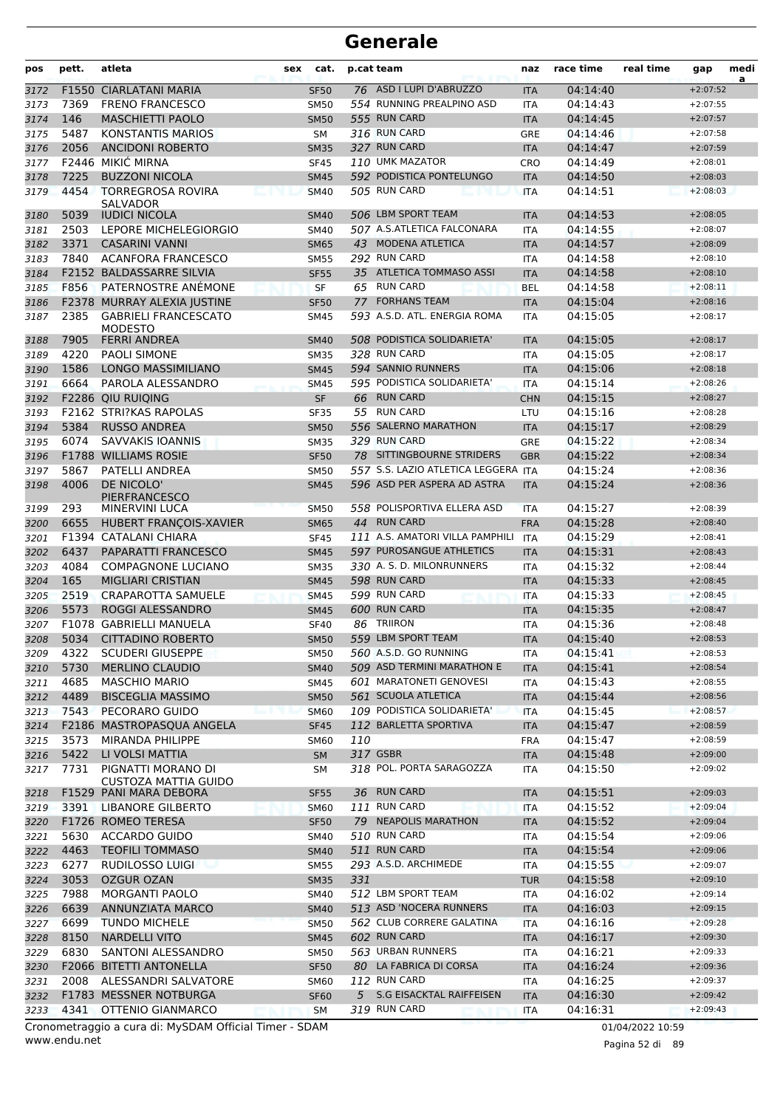| pos          | pett.        | atleta                                                | sex | cat.                       |     | p.cat team                                                         | naz                      | race time            | real time | gap                      | medi<br>a |
|--------------|--------------|-------------------------------------------------------|-----|----------------------------|-----|--------------------------------------------------------------------|--------------------------|----------------------|-----------|--------------------------|-----------|
| 3172         | F1550        | <b>CIARLATANI MARIA</b>                               |     | <b>SF50</b>                |     | 76 ASD I LUPI D'ABRUZZO                                            | <b>ITA</b>               | 04:14:40             |           | $+2:07:52$               |           |
| 3173         | 7369         | <b>FRENO FRANCESCO</b>                                |     | <b>SM50</b>                |     | 554 RUNNING PREALPINO ASD                                          | <b>ITA</b>               | 04:14:43             |           | $+2:07:55$               |           |
| 3174         | 146          | <b>MASCHIETTI PAOLO</b>                               |     | <b>SM50</b>                |     | 555 RUN CARD                                                       | <b>ITA</b>               | 04:14:45             |           | $+2:07:57$               |           |
| 3175         | 5487         | <b>KONSTANTIS MARIOS</b>                              |     | SΜ                         |     | 316 RUN CARD                                                       | <b>GRE</b>               | 04:14:46             |           | $+2:07:58$               |           |
| 3176         | 2056         | <b>ANCIDONI ROBERTO</b>                               |     | <b>SM35</b>                |     | 327 RUN CARD                                                       | <b>ITA</b>               | 04:14:47             |           | $+2:07:59$               |           |
| 3177         |              | F2446 MIKIC MIRNA                                     |     | <b>SF45</b>                |     | 110 UMK MAZATOR                                                    | CRO                      | 04:14:49             |           | $+2:08:01$               |           |
| 3178         | 7225         | <b>BUZZONI NICOLA</b>                                 |     | <b>SM45</b>                |     | 592 PODISTICA PONTELUNGO                                           | <b>ITA</b>               | 04:14:50             |           | $+2:08:03$               |           |
| 3179         | 4454         | <b>TORREGROSA ROVIRA</b><br>SALVADOR                  |     | <b>SM40</b>                |     | 505 RUN CARD                                                       | <b>ITA</b>               | 04:14:51             |           | $+2:08:03$               |           |
| 3180         | 5039         | <b>IUDICI NICOLA</b>                                  |     | <b>SM40</b>                |     | 506 LBM SPORT TEAM                                                 | <b>ITA</b>               | 04:14:53             |           | $+2:08:05$               |           |
| 3181         | 2503         | LEPORE MICHELEGIORGIO                                 |     | SM40                       |     | 507 A.S.ATLETICA FALCONARA                                         | <b>ITA</b>               | 04:14:55             |           | $+2:08:07$               |           |
| 3182         | 3371         | <b>CASARINI VANNI</b>                                 |     | <b>SM65</b>                |     | 43 MODENA ATLETICA                                                 | <b>ITA</b>               | 04:14:57             |           | $+2:08:09$               |           |
| 3183         | 7840         | <b>ACANFORA FRANCESCO</b>                             |     | <b>SM55</b>                |     | 292 RUN CARD                                                       | <b>ITA</b>               | 04:14:58             |           | $+2:08:10$               |           |
| 3184         |              | <b>F2152 BALDASSARRE SILVIA</b>                       |     | <b>SF55</b>                |     | 35 ATLETICA TOMMASO ASSI                                           | <b>ITA</b>               | 04:14:58             |           | $+2:08:10$               |           |
| 3185         | F856         | PATERNOSTRE ANÉMONE                                   |     | <b>SF</b>                  |     | 65 RUN CARD                                                        | <b>BEL</b>               | 04:14:58             |           | $+2:08:11$               |           |
| 3186         |              | F2378 MURRAY ALEXIA JUSTINE                           |     | <b>SF50</b>                | 77  | <b>FORHANS TEAM</b>                                                | <b>ITA</b>               | 04:15:04             |           | $+2:08:16$               |           |
| 3187         | 2385         | <b>GABRIELI FRANCESCATO</b><br><b>MODESTO</b>         |     | SM45                       |     | 593 A.S.D. ATL. ENERGIA ROMA                                       | <b>ITA</b>               | 04:15:05             |           | $+2:08:17$               |           |
| 3188         | 7905         | <b>FERRI ANDREA</b>                                   |     | <b>SM40</b>                |     | 508 PODISTICA SOLIDARIETA'                                         | <b>ITA</b>               | 04:15:05             |           | $+2:08:17$               |           |
| 3189         | 4220         | <b>PAOLI SIMONE</b>                                   |     | <b>SM35</b>                |     | 328 RUN CARD                                                       | <b>ITA</b>               | 04:15:05             |           | $+2:08:17$               |           |
| 3190         | 1586         | LONGO MASSIMILIANO                                    |     | <b>SM45</b>                |     | 594 SANNIO RUNNERS                                                 | <b>ITA</b>               | 04:15:06             |           | $+2:08:18$               |           |
| 3191         | 6664         | PAROLA ALESSANDRO                                     |     | <b>SM45</b>                |     | 595 PODISTICA SOLIDARIETA'                                         | <b>ITA</b>               | 04:15:14             |           | $+2:08:26$               |           |
| 3192         |              | F2286 QIU RUIOING                                     |     | <b>SF</b>                  | 66  | <b>RUN CARD</b>                                                    | <b>CHN</b>               | 04:15:15             |           | $+2:08:27$               |           |
| 3193         |              | <b>F2162 STRI?KAS RAPOLAS</b>                         |     | <b>SF35</b>                |     | 55 RUN CARD                                                        | LTU                      | 04:15:16             |           | $+2:08:28$               |           |
| 3194         | 5384         | <b>RUSSO ANDREA</b>                                   |     | <b>SM50</b>                |     | 556 SALERNO MARATHON                                               | <b>ITA</b>               | 04:15:17             |           | $+2:08:29$               |           |
| 3195         | 6074         | <b>SAVVAKIS IOANNIS</b>                               |     | <b>SM35</b>                |     | 329 RUN CARD                                                       | GRE                      | 04:15:22             |           | $+2:08:34$               |           |
| 3196         |              | <b>F1788 WILLIAMS ROSIE</b>                           |     | <b>SF50</b>                |     | 78 SITTINGBOURNE STRIDERS                                          | <b>GBR</b>               | 04:15:22             |           | $+2:08:34$               |           |
| 3197<br>3198 | 5867<br>4006 | PATELLI ANDREA<br>DE NICOLO'                          |     | <b>SM50</b><br><b>SM45</b> |     | 557 S.S. LAZIO ATLETICA LEGGERA ITA<br>596 ASD PER ASPERA AD ASTRA | <b>ITA</b>               | 04:15:24<br>04:15:24 |           | $+2:08:36$<br>$+2:08:36$ |           |
|              |              | <b>PIERFRANCESCO</b>                                  |     |                            |     |                                                                    |                          |                      |           |                          |           |
| 3199         | 293          | MINERVINI LUCA                                        |     | <b>SM50</b>                |     | 558 POLISPORTIVA ELLERA ASD                                        | <b>ITA</b>               | 04:15:27             |           | $+2:08:39$               |           |
| 3200         | 6655         | HUBERT FRANÇOIS-XAVIER                                |     | <b>SM65</b>                |     | 44 RUN CARD                                                        | <b>FRA</b>               | 04:15:28             |           | $+2:08:40$               |           |
| 3201         |              | F1394 CATALANI CHIARA                                 |     | <b>SF45</b>                |     | 111 A.S. AMATORI VILLA PAMPHILI<br>597 PUROSANGUE ATHLETICS        | <b>ITA</b>               | 04:15:29             |           | $+2:08:41$               |           |
| 3202         | 6437         | PAPARATTI FRANCESCO                                   |     | <b>SM45</b>                |     |                                                                    | <b>ITA</b>               | 04:15:31             |           | $+2:08:43$               |           |
| 3203         | 4084         | <b>COMPAGNONE LUCIANO</b>                             |     | <b>SM35</b>                |     | 330 A. S. D. MILONRUNNERS<br>598 RUN CARD                          | <b>ITA</b>               | 04:15:32             |           | $+2:08:44$               |           |
| 3204         | 165          | <b>MIGLIARI CRISTIAN</b><br><b>CRAPAROTTA SAMUELE</b> |     | <b>SM45</b>                |     | 599 RUN CARD                                                       | <b>ITA</b>               | 04:15:33<br>04:15:33 |           | $+2:08:45$<br>$+2:08:45$ |           |
| 3205         | 2519<br>5573 |                                                       |     | <b>SM45</b>                |     | 600 RUN CARD                                                       | <b>ITA</b>               |                      |           |                          |           |
| 3206         | F1078        | ROGGI ALESSANDRO<br><b>GABRIELLI MANUELA</b>          |     | <b>SM45</b>                | 86  | <b>TRIIRON</b>                                                     | <b>ITA</b>               | 04:15:35<br>04:15:36 |           | $+2:08:47$<br>$+2:08:48$ |           |
| 3207<br>3208 | 5034         | <b>CITTADINO ROBERTO</b>                              |     | <b>SF40</b><br><b>SM50</b> |     | 559 LBM SPORT TEAM                                                 | <b>ITA</b><br><b>ITA</b> | 04:15:40             |           | $+2:08:53$               |           |
| 3209         | 4322         | <b>SCUDERI GIUSEPPE</b>                               |     | <b>SM50</b>                |     | 560 A.S.D. GO RUNNING                                              | ITA                      | 04:15:41             |           | $+2:08:53$               |           |
| 3210         | 5730         | <b>MERLINO CLAUDIO</b>                                |     | <b>SM40</b>                |     | 509 ASD TERMINI MARATHON E                                         | <b>ITA</b>               | 04:15:41             |           | $+2:08:54$               |           |
| 3211         | 4685         | <b>MASCHIO MARIO</b>                                  |     | SM45                       |     | 601 MARATONETI GENOVESI                                            | <b>ITA</b>               | 04:15:43             |           | $+2:08:55$               |           |
| 3212         | 4489         | <b>BISCEGLIA MASSIMO</b>                              |     | <b>SM50</b>                |     | 561 SCUOLA ATLETICA                                                | <b>ITA</b>               | 04:15:44             |           | $+2:08:56$               |           |
| 3213         | 7543         | PECORARO GUIDO                                        |     | <b>SM60</b>                |     | 109 PODISTICA SOLIDARIETA'                                         | <b>ITA</b>               | 04:15:45             |           | $+2:08:57$               |           |
| 3214         |              | F2186 MASTROPASQUA ANGELA                             |     | <b>SF45</b>                |     | 112 BARLETTA SPORTIVA                                              | <b>ITA</b>               | 04:15:47             |           | $+2:08:59$               |           |
| 3215         | 3573         | MIRANDA PHILIPPE                                      |     | <b>SM60</b>                | 110 |                                                                    | <b>FRA</b>               | 04:15:47             |           | $+2:08:59$               |           |
| 3216         | 5422         | LI VOLSI MATTIA                                       |     | <b>SM</b>                  |     | 317 GSBR                                                           | <b>ITA</b>               | 04:15:48             |           | $+2:09:00$               |           |
| 3217         | 7731         | PIGNATTI MORANO DI<br>CUSTOZA MATTIA GUIDO            |     | SМ                         |     | 318 POL. PORTA SARAGOZZA                                           | ITA                      | 04:15:50             |           | $+2:09:02$               |           |
| 3218         |              | F1529 PANI MARA DEBORA                                |     | <b>SF55</b>                |     | 36 RUN CARD                                                        | <b>ITA</b>               | 04:15:51             |           | $+2:09:03$               |           |
| 3219         |              | 3391 LIBANORE GILBERTO                                |     | <b>SM60</b>                |     | 111 RUN CARD                                                       | <b>ITA</b>               | 04:15:52             |           | $+2:09:04$               |           |
| 3220         |              | F1726 ROMEO TERESA                                    |     | <b>SF50</b>                |     | 79 NEAPOLIS MARATHON                                               | <b>ITA</b>               | 04:15:52             |           | $+2:09:04$               |           |
| 3221         | 5630         | <b>ACCARDO GUIDO</b>                                  |     | SM40                       |     | 510 RUN CARD                                                       | ITA                      | 04:15:54             |           | $+2:09:06$               |           |
| 3222         | 4463         | <b>TEOFILI TOMMASO</b>                                |     | <b>SM40</b>                |     | 511 RUN CARD                                                       | <b>ITA</b>               | 04:15:54             |           | $+2:09:06$               |           |
| 3223         | 6277         | <b>RUDILOSSO LUIGI</b>                                |     | <b>SM55</b>                |     | 293 A.S.D. ARCHIMEDE                                               | ITA                      | 04:15:55             |           | $+2:09:07$               |           |
| 3224         | 3053         | <b>OZGUR OZAN</b>                                     |     | <b>SM35</b>                | 331 |                                                                    | <b>TUR</b>               | 04:15:58             |           | $+2:09:10$               |           |
| 3225         | 7988         | <b>MORGANTI PAOLO</b>                                 |     | <b>SM40</b>                |     | 512 LBM SPORT TEAM                                                 | ITA                      | 04:16:02             |           | $+2:09:14$               |           |
| 3226         | 6639         | ANNUNZIATA MARCO                                      |     | <b>SM40</b>                |     | 513 ASD 'NOCERA RUNNERS                                            | <b>ITA</b>               | 04:16:03             |           | $+2:09:15$               |           |
| 3227         | 6699         | <b>TUNDO MICHELE</b>                                  |     | <b>SM50</b>                |     | 562 CLUB CORRERE GALATINA                                          | <b>ITA</b>               | 04:16:16             |           | $+2:09:28$               |           |
| 3228         | 8150         | <b>NARDELLI VITO</b>                                  |     | <b>SM45</b>                |     | 602 RUN CARD                                                       | <b>ITA</b>               | 04:16:17             |           | $+2:09:30$               |           |
| 3229         | 6830         | SANTONI ALESSANDRO                                    |     | SM50                       |     | 563 URBAN RUNNERS                                                  | ITA                      | 04:16:21             |           | $+2:09:33$               |           |
| 3230         |              | F2066 BITETTI ANTONELLA                               |     | <b>SF50</b>                |     | 80 LA FABRICA DI CORSA                                             | <b>ITA</b>               | 04:16:24             |           | $+2:09:36$               |           |
| 3231         | 2008         | ALESSANDRI SALVATORE                                  |     | <b>SM60</b>                |     | 112 RUN CARD                                                       | ITA                      | 04:16:25             |           | $+2:09:37$               |           |
| 3232         |              | F1783 MESSNER NOTBURGA                                |     | <b>SF60</b>                | 5   | <b>S.G EISACKTAL RAIFFEISEN</b>                                    | <b>ITA</b>               | 04:16:30             |           | $+2:09:42$               |           |
| 3233         | 4341         | OTTENIO GIANMARCO                                     |     | <b>SM</b>                  |     | 319 RUN CARD                                                       | <b>ITA</b>               | 04:16:31             |           | $+2:09:43$               |           |

www.endu.net Cronometraggio a cura di: MySDAM Official Timer - SDAM 01/04/2022 10:59

Pagina 52 di 89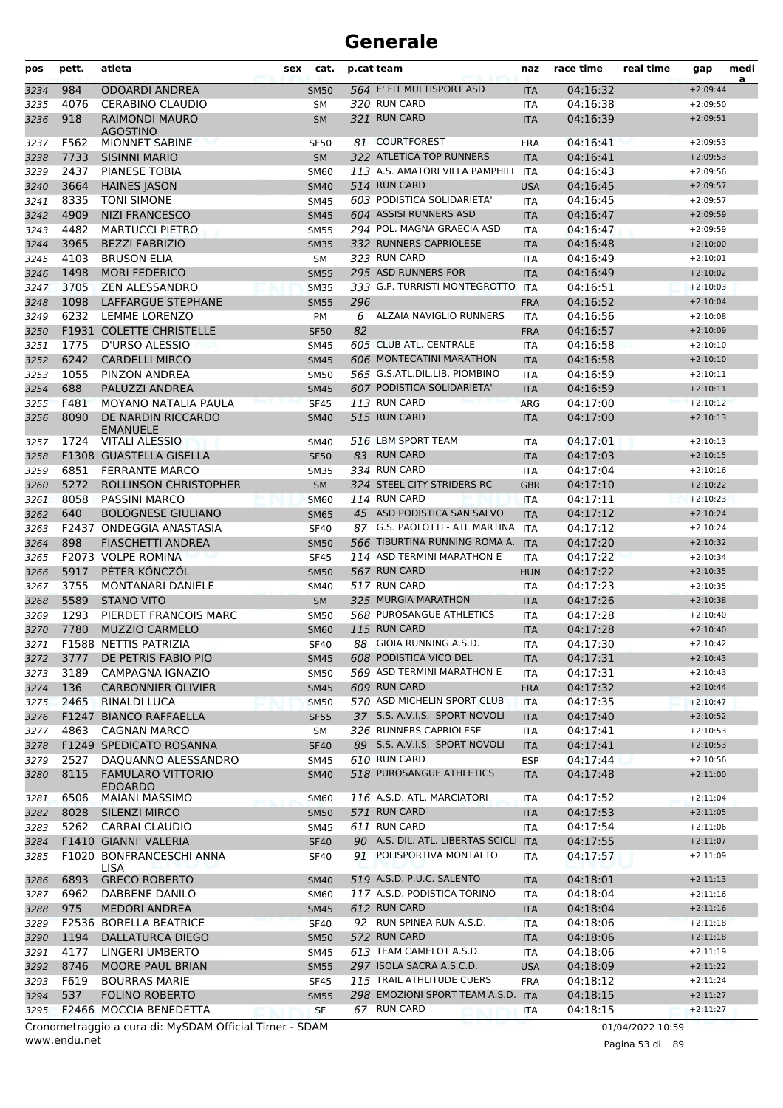| pos          | pett.        | atleta                                    | sex | cat.              |     | p.cat team                                        | naz                      | race time            | real time | gap                      | medi<br>a |
|--------------|--------------|-------------------------------------------|-----|-------------------|-----|---------------------------------------------------|--------------------------|----------------------|-----------|--------------------------|-----------|
| 3234         | 984          | ODOARDI ANDREA                            |     | <b>SM50</b>       |     | 564 E' FIT MULTISPORT ASD                         | <b>ITA</b>               | 04:16:32             |           | $+2:09:44$               |           |
| 3235         | 4076         | <b>CERABINO CLAUDIO</b>                   |     | SМ                |     | 320 RUN CARD                                      | <b>ITA</b>               | 04:16:38             |           | $+2:09:50$               |           |
| 3236         | 918          | RAIMONDI MAURO<br>AGOSTINO                |     | <b>SM</b>         |     | 321 RUN CARD                                      | <b>ITA</b>               | 04:16:39             |           | $+2:09:51$               |           |
| 3237         | F562         | <b>MIONNET SABINE</b>                     |     | <b>SF50</b>       |     | 81 COURTFOREST                                    | <b>FRA</b>               | 04:16:41             |           | $+2:09:53$               |           |
| 3238         | 7733         | <b>SISINNI MARIO</b>                      |     | <b>SM</b>         |     | 322 ATLETICA TOP RUNNERS                          | <b>ITA</b>               | 04:16:41             |           | $+2:09:53$               |           |
| 3239         | 2437         | <b>PIANESE TOBIA</b>                      |     | <b>SM60</b>       |     | 113 A.S. AMATORI VILLA PAMPHILI                   | <b>ITA</b>               | 04:16:43             |           | $+2:09:56$               |           |
| 3240         | 3664         | <b>HAINES JASON</b>                       |     | <b>SM40</b>       |     | 514 RUN CARD                                      | <b>USA</b>               | 04:16:45             |           | $+2:09:57$               |           |
| 3241         | 8335         | <b>TONI SIMONE</b>                        |     | <b>SM45</b>       |     | 603 PODISTICA SOLIDARIETA'                        | <b>ITA</b>               | 04:16:45             |           | $+2:09:57$               |           |
| 3242         | 4909         | <b>NIZI FRANCESCO</b>                     |     | <b>SM45</b>       |     | 604 ASSISI RUNNERS ASD                            | <b>ITA</b>               | 04:16:47             |           | $+2:09:59$               |           |
| 3243         | 4482         | <b>MARTUCCI PIETRO</b>                    |     | <b>SM55</b>       |     | 294 POL. MAGNA GRAECIA ASD                        | ITA                      | 04:16:47             |           | $+2:09:59$               |           |
| 3244         | 3965         | <b>BEZZI FABRIZIO</b>                     |     | <b>SM35</b>       |     | 332 RUNNERS CAPRIOLESE                            | <b>ITA</b>               | 04:16:48             |           | $+2:10:00$               |           |
| 3245         | 4103         | <b>BRUSON ELIA</b>                        |     | SΜ                |     | 323 RUN CARD                                      | ITA                      | 04:16:49             |           | $+2:10:01$               |           |
| 3246         | 1498         | <b>MORI FEDERICO</b>                      |     | <b>SM55</b>       |     | 295 ASD RUNNERS FOR                               | <b>ITA</b>               | 04:16:49             |           | $+2:10:02$               |           |
| 3247         | 3705         | <b>ZEN ALESSANDRO</b>                     |     | <b>SM35</b>       |     | 333 G.P. TURRISTI MONTEGROTTO                     | <b>ITA</b>               | 04:16:51             |           | $+2:10:03$               |           |
| 3248         | 1098<br>6232 | LAFFARGUE STEPHANE                        |     | <b>SM55</b>       | 296 |                                                   | <b>FRA</b>               | 04:16:52             |           | $+2:10:04$               |           |
| 3249         |              | LEMME LORENZO                             |     | PM                |     | 6 ALZAIA NAVIGLIO RUNNERS                         | ITA                      | 04:16:56             |           | $+2:10:08$               |           |
| 3250         | 1775         | F1931 COLETTE CHRISTELLE                  |     | <b>SF50</b>       | 82  | 605 CLUB ATL. CENTRALE                            | <b>FRA</b>               | 04:16:57             |           | $+2:10:09$               |           |
| 3251         | 6242         | D'URSO ALESSIO<br><b>CARDELLI MIRCO</b>   |     | <b>SM45</b>       |     | 606 MONTECATINI MARATHON                          | ITA                      | 04:16:58<br>04:16:58 |           | $+2:10:10$<br>$+2:10:10$ |           |
| 3252         | 1055         |                                           |     | <b>SM45</b>       |     | 565 G.S.ATL.DIL.LIB. PIOMBINO                     | <b>ITA</b>               | 04:16:59             |           | $+2:10:11$               |           |
| 3253         | 688          | PINZON ANDREA<br>PALUZZI ANDREA           |     | <b>SM50</b>       |     | 607 PODISTICA SOLIDARIETA'                        | <b>ITA</b>               |                      |           |                          |           |
| 3254         | F481         | MOYANO NATALIA PAULA                      |     | <b>SM45</b>       |     | 113 RUN CARD                                      | <b>ITA</b>               | 04:16:59             |           | $+2:10:11$<br>$+2:10:12$ |           |
| 3255         | 8090         | DE NARDIN RICCARDO                        |     | <b>SF45</b>       |     | 515 RUN CARD                                      | <b>ARG</b>               | 04:17:00             |           | $+2:10:13$               |           |
| 3256         |              | <b>EMANUELE</b>                           |     | <b>SM40</b>       |     |                                                   | <b>ITA</b>               | 04:17:00             |           |                          |           |
| 3257         | 1724         | <b>VITALI ALESSIO</b>                     |     | <b>SM40</b>       |     | 516 LBM SPORT TEAM                                | ITA                      | 04:17:01             |           | $+2:10:13$               |           |
| 3258         |              | F1308 GUASTELLA GISELLA                   |     | <b>SF50</b>       |     | 83 RUN CARD                                       | <b>ITA</b>               | 04:17:03             |           | $+2:10:15$               |           |
| 3259         | 6851         | <b>FERRANTE MARCO</b>                     |     | <b>SM35</b>       |     | 334 RUN CARD                                      | <b>ITA</b>               | 04:17:04             |           | $+2:10:16$               |           |
| 3260         | 5272         | ROLLINSON CHRISTOPHER                     |     | <b>SM</b>         |     | 324 STEEL CITY STRIDERS RC                        | <b>GBR</b>               | 04:17:10             |           | $+2:10:22$               |           |
| 3261         | 8058         | <b>PASSINI MARCO</b>                      |     | <b>SM60</b>       |     | 114 RUN CARD                                      | <b>ITA</b>               | 04:17:11             |           | $+2:10:23$               |           |
| 3262         | 640          | <b>BOLOGNESE GIULIANO</b>                 |     | <b>SM65</b>       |     | 45 ASD PODISTICA SAN SALVO                        | <b>ITA</b>               | 04:17:12             |           | $+2:10:24$               |           |
| 3263         | F2437        | ONDEGGIA ANASTASIA                        |     | <b>SF40</b>       |     | 87 G.S. PAOLOTTI - ATL MARTINA                    | <b>ITA</b>               | 04:17:12             |           | $+2:10:24$               |           |
| 3264         | 898          | FIASCHETTI ANDREA                         |     | <b>SM50</b>       |     | 566 TIBURTINA RUNNING ROMA A.                     | <b>ITA</b>               | 04:17:20             |           | $+2:10:32$               |           |
| 3265         |              | F2073 VOLPE ROMINA                        |     | <b>SF45</b>       |     | 114 ASD TERMINI MARATHON E                        | <b>ITA</b>               | 04:17:22             |           | $+2:10:34$               |           |
| 3266         | 5917         | PÉTER KÖNCZÖL                             |     | <b>SM50</b>       |     | 567 RUN CARD                                      | <b>HUN</b>               | 04:17:22             |           | $+2:10:35$               |           |
| 3267         | 3755         | <b>MONTANARI DANIELE</b>                  |     | <b>SM40</b>       |     | 517 RUN CARD                                      | ITA                      | 04:17:23             |           | $+2:10:35$               |           |
| 3268         | 5589         | <b>STANO VITO</b>                         |     | <b>SM</b>         |     | 325 MURGIA MARATHON                               | <b>ITA</b>               | 04:17:26             |           | $+2:10:38$               |           |
| 3269         | 1293         | PIERDET FRANCOIS MARC                     |     | <b>SM50</b>       |     | 568 PUROSANGUE ATHLETICS                          | <b>ITA</b>               | 04:17:28             |           | $+2:10:40$               |           |
| 3270         | 7780         | <b>MUZZIO CARMELO</b>                     |     | <b>SM60</b>       |     | 115 RUN CARD                                      | <b>ITA</b>               | 04:17:28             |           | $+2:10:40$               |           |
| 3271         |              | F1588 NETTIS PATRIZIA                     |     | <b>SF40</b>       |     | 88 GIOIA RUNNING A.S.D.<br>608 PODISTICA VICO DEL | <b>ITA</b>               | 04:17:30             |           | $+2:10:42$               |           |
| 3272         | 3777         | DE PETRIS FABIO PIO                       |     | <b>SM45</b>       |     | 569 ASD TERMINI MARATHON E                        | <b>ITA</b>               | 04:17:31             |           | $+2:10:43$               |           |
| 3273         | 3189         | CAMPAGNA IGNAZIO                          |     | <b>SM50</b>       |     | 609 RUN CARD                                      | <b>ITA</b>               | 04:17:31             |           | $+2:10:43$<br>$+2:10:44$ |           |
| 3274         | 136<br>2465  | <b>CARBONNIER OLIVIER</b><br>RINALDI LUCA |     | <b>SM45</b>       |     | 570 ASD MICHELIN SPORT CLUB                       | <b>FRA</b><br><b>ITA</b> | 04:17:32<br>04:17:35 |           | $+2:10:47$               |           |
| 3275<br>3276 |              | F1247 BIANCO RAFFAELLA                    |     | <b>SM50</b>       |     | 37 S.S. A.V.I.S. SPORT NOVOLI                     |                          | 04:17:40             |           | $+2:10:52$               |           |
|              | 4863         | <b>CAGNAN MARCO</b>                       |     | <b>SF55</b>       |     | 326 RUNNERS CAPRIOLESE                            | <b>ITA</b><br><b>ITA</b> | 04:17:41             |           | $+2:10:53$               |           |
| 3277<br>3278 |              | F1249 SPEDICATO ROSANNA                   |     | SM<br><b>SF40</b> |     | 89 S.S. A.V.I.S. SPORT NOVOLI                     | <b>ITA</b>               | 04:17:41             |           | $+2:10:53$               |           |
| 3279         | 2527         | DAQUANNO ALESSANDRO                       |     | SM45              |     | 610 RUN CARD                                      | ESP                      | 04:17:44             |           | $+2:10:56$               |           |
| 3280         | 8115         | <b>FAMULARO VITTORIO</b>                  |     | <b>SM40</b>       |     | 518 PUROSANGUE ATHLETICS                          | <b>ITA</b>               | 04:17:48             |           | $+2:11:00$               |           |
|              |              | <b>EDOARDO</b>                            |     |                   |     |                                                   |                          |                      |           |                          |           |
| 3281         | 6506         | <b>MAIANI MASSIMO</b>                     |     | <b>SM60</b>       |     | 116 A.S.D. ATL. MARCIATORI                        | ITA                      | 04:17:52             |           | $+2:11:04$               |           |
| 3282         | 8028         | SILENZI MIRCO                             |     | <b>SM50</b>       |     | 571 RUN CARD                                      | <b>ITA</b>               | 04:17:53             |           | $+2:11:05$               |           |
| 3283         | 5262         | CARRAI CLAUDIO                            |     | <b>SM45</b>       |     | 611 RUN CARD                                      | <b>ITA</b>               | 04:17:54             |           | $+2:11:06$               |           |
| 3284         |              | F1410 GIANNI' VALERIA                     |     | <b>SF40</b>       |     | 90 A.S. DIL. ATL. LIBERTAS SCICLI ITA             |                          | 04:17:55             |           | $+2:11:07$               |           |
| 3285         |              | F1020 BONFRANCESCHI ANNA<br>LISA          |     | <b>SF40</b>       |     | 91 POLISPORTIVA MONTALTO                          | ITA                      | 04:17:57             |           | $+2:11:09$               |           |
| 3286         | 6893         | <b>GRECO ROBERTO</b>                      |     | <b>SM40</b>       |     | 519 A.S.D. P.U.C. SALENTO                         | <b>ITA</b>               | 04:18:01             |           | $+2:11:13$               |           |
| 3287         | 6962         | DABBENE DANILO                            |     | <b>SM60</b>       |     | 117 A.S.D. PODISTICA TORINO                       | <b>ITA</b>               | 04:18:04             |           | $+2:11:16$               |           |
| 3288         | 975          | <b>MEDORI ANDREA</b>                      |     | <b>SM45</b>       |     | 612 RUN CARD                                      | <b>ITA</b>               | 04:18:04             |           | $+2:11:16$               |           |
| 3289         |              | F2536 BORELLA BEATRICE                    |     | <b>SF40</b>       |     | 92 RUN SPINEA RUN A.S.D.                          | <b>ITA</b>               | 04:18:06             |           | $+2:11:18$               |           |
| 3290         | 1194         | <b>DALLATURCA DIEGO</b>                   |     | <b>SM50</b>       |     | 572 RUN CARD                                      | <b>ITA</b>               | 04:18:06             |           | $+2:11:18$               |           |
| 3291         | 4177         | LINGERI UMBERTO                           |     | <b>SM45</b>       |     | 613 TEAM CAMELOT A.S.D.                           | ITA                      | 04:18:06             |           | $+2:11:19$               |           |
| 3292         | 8746         | MOORE PAUL BRIAN                          |     | <b>SM55</b>       |     | 297 ISOLA SACRA A.S.C.D.                          | <b>USA</b>               | 04:18:09             |           | $+2:11:22$               |           |
| 3293         | F619         | <b>BOURRAS MARIE</b>                      |     | <b>SF45</b>       |     | 115 TRAIL ATHLITUDE CUERS                         | <b>FRA</b>               | 04:18:12             |           | $+2:11:24$               |           |
| 3294         | 537          | <b>FOLINO ROBERTO</b>                     |     | <b>SM55</b>       |     | 298 EMOZIONI SPORT TEAM A.S.D. ITA                |                          | 04:18:15             |           | $+2:11:27$               |           |
| 3295         |              | F2466 MOCCIA BENEDETTA                    |     | <b>SF</b>         |     | 67 RUN CARD                                       | <b>ITA</b>               | 04:18:15             |           | $+2:11:27$               |           |

www.endu.net Cronometraggio a cura di: MySDAM Official Timer - SDAM 01/04/2022 10:59

Pagina 53 di 89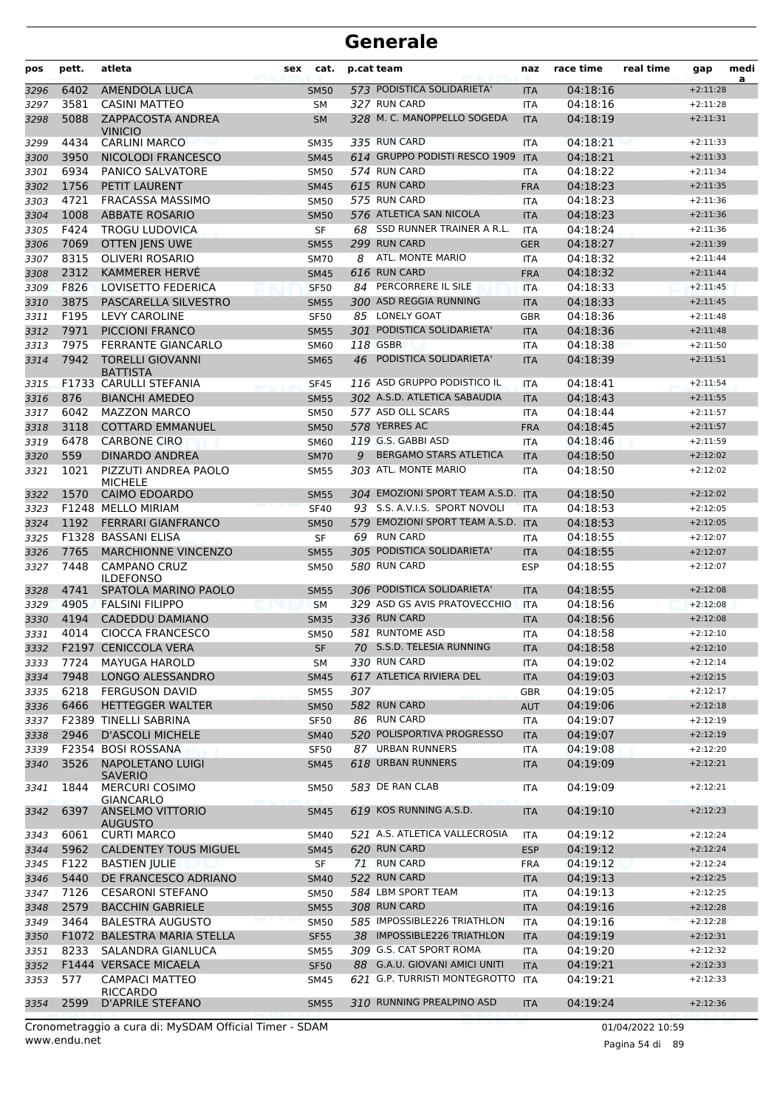| pos          | pett.        | atleta                                          | sex | cat.                       | p.cat team |                                                         | naz                      | race time            | real time | gap                      | medi<br>a |
|--------------|--------------|-------------------------------------------------|-----|----------------------------|------------|---------------------------------------------------------|--------------------------|----------------------|-----------|--------------------------|-----------|
| 3296         | 6402         | <b>AMENDOLA LUCA</b>                            |     | <b>SM50</b>                |            | 573 PODISTICA SOLIDARIETA'                              | <b>ITA</b>               | 04:18:16             |           | $+2:11:28$               |           |
| 3297         | 3581         | <b>CASINI MATTEO</b>                            |     | <b>SM</b>                  |            | 327 RUN CARD                                            | <b>ITA</b>               | 04:18:16             |           | $+2:11:28$               |           |
| 3298         | 5088         | <b>ZAPPACOSTA ANDREA</b><br><b>VINICIO</b>      |     | <b>SM</b>                  |            | 328 M. C. MANOPPELLO SOGEDA                             | <b>ITA</b>               | 04:18:19             |           | $+2:11:31$               |           |
| 3299         | 4434         | <b>CARLINI MARCO</b>                            |     | <b>SM35</b>                |            | 335 RUN CARD                                            | ITA                      | 04:18:21             |           | $+2:11:33$               |           |
| 3300         | 3950         | NICOLODI FRANCESCO                              |     | <b>SM45</b>                |            | 614 GRUPPO PODISTI RESCO 1909 ITA                       |                          | 04:18:21             |           | $+2:11:33$               |           |
| 3301         | 6934         | <b>PANICO SALVATORE</b>                         |     | <b>SM50</b>                |            | 574 RUN CARD                                            | <b>ITA</b>               | 04:18:22             |           | $+2:11:34$               |           |
| 3302         | 1756         | PETIT LAURENT                                   |     | <b>SM45</b>                |            | 615 RUN CARD                                            | <b>FRA</b>               | 04:18:23             |           | $+2:11:35$               |           |
| 3303         | 4721         | <b>FRACASSA MASSIMO</b>                         |     | <b>SM50</b>                |            | 575 RUN CARD                                            | <b>ITA</b>               | 04:18:23             |           | $+2:11:36$               |           |
| 3304         | 1008         | <b>ABBATE ROSARIO</b>                           |     | <b>SM50</b>                |            | 576 ATLETICA SAN NICOLA<br>68 SSD RUNNER TRAINER A R.L. | <b>ITA</b>               | 04:18:23             |           | $+2:11:36$               |           |
| 3305         | F424         | <b>TROGU LUDOVICA</b>                           |     | SF                         |            | 299 RUN CARD                                            | <b>ITA</b>               | 04:18:24             |           | $+2:11:36$               |           |
| 3306         | 7069<br>8315 | <b>OTTEN JENS UWE</b><br><b>OLIVERI ROSARIO</b> |     | <b>SM55</b>                | 8          | ATL. MONTE MARIO                                        | <b>GER</b>               | 04:18:27             |           | $+2:11:39$               |           |
| 3307<br>3308 | 2312         | KAMMERER HERVÉ                                  |     | <b>SM70</b><br><b>SM45</b> |            | 616 RUN CARD                                            | <b>ITA</b><br><b>FRA</b> | 04:18:32<br>04:18:32 |           | $+2:11:44$<br>$+2:11:44$ |           |
| 3309         | F826         | LOVISETTO FEDERICA                              |     | <b>SF50</b>                |            | 84 PERCORRERE IL SILE                                   | <b>ITA</b>               | 04:18:33             |           | $+2:11:45$               |           |
| 3310         | 3875         | PASCARELLA SILVESTRO                            |     | <b>SM55</b>                |            | 300 ASD REGGIA RUNNING                                  | <b>ITA</b>               | 04:18:33             |           | $+2:11:45$               |           |
| 3311         | F195         | LEVY CAROLINE                                   |     | <b>SF50</b>                |            | 85 LONELY GOAT                                          | GBR                      | 04:18:36             |           | $+2:11:48$               |           |
| 3312         | 7971         | PICCIONI FRANCO                                 |     | <b>SM55</b>                |            | 301 PODISTICA SOLIDARIETA'                              | <b>ITA</b>               | 04:18:36             |           | $+2:11:48$               |           |
| 3313         | 7975         | <b>FERRANTE GIANCARLO</b>                       |     | SM60                       |            | 118 GSBR                                                | <b>ITA</b>               | 04:18:38             |           | $+2:11:50$               |           |
| 3314         | 7942         | <b>TORELLI GIOVANNI</b><br><b>BATTISTA</b>      |     | <b>SM65</b>                | 46         | PODISTICA SOLIDARIETA'                                  | <b>ITA</b>               | 04:18:39             |           | $+2:11:51$               |           |
| 3315         |              | F1733 CARULLI STEFANIA                          |     | <b>SF45</b>                |            | 116 ASD GRUPPO PODISTICO IL                             | <b>ITA</b>               | 04:18:41             |           | $+2:11:54$               |           |
| 3316         | 876          | <b>BIANCHI AMEDEO</b>                           |     | <b>SM55</b>                |            | 302 A.S.D. ATLETICA SABAUDIA                            | <b>ITA</b>               | 04:18:43             |           | $+2:11:55$               |           |
| 3317         | 6042         | <b>MAZZON MARCO</b>                             |     | <b>SM50</b>                |            | 577 ASD OLL SCARS                                       | <b>ITA</b>               | 04:18:44             |           | $+2:11:57$               |           |
| 3318         | 3118         | <b>COTTARD EMMANUEL</b>                         |     | <b>SM50</b>                |            | 578 YERRES AC                                           | <b>FRA</b>               | 04:18:45             |           | $+2:11:57$               |           |
| 3319         | 6478         | <b>CARBONE CIRO</b>                             |     | <b>SM60</b>                |            | 119 G.S. GABBI ASD                                      | <b>ITA</b>               | 04:18:46             |           | $+2:11:59$               |           |
| 3320         | 559          | <b>DINARDO ANDREA</b>                           |     | <b>SM70</b>                | 9          | <b>BERGAMO STARS ATLETICA</b>                           | <b>ITA</b>               | 04:18:50             |           | $+2:12:02$               |           |
| 3321         | 1021         | PIZZUTI ANDREA PAOLO<br><b>MICHELE</b>          |     | <b>SM55</b>                |            | 303 ATL. MONTE MARIO                                    | <b>ITA</b>               | 04:18:50             |           | $+2:12:02$               |           |
| 3322         | 1570         | <b>CAIMO EDOARDO</b>                            |     | <b>SM55</b>                |            | 304 EMOZIONI SPORT TEAM A.S.D. ITA                      |                          | 04:18:50             |           | $+2:12:02$               |           |
| 3323         |              | F1248 MELLO MIRIAM                              |     | <b>SF40</b>                |            | 93 S.S. A.V.I.S. SPORT NOVOLI                           | <b>ITA</b>               | 04:18:53             |           | $+2:12:05$               |           |
| 3324         | 1192         | <b>FERRARI GIANFRANCO</b>                       |     | <b>SM50</b>                |            | 579 EMOZIONI SPORT TEAM A.S.D. ITA                      |                          | 04:18:53             |           | $+2:12:05$               |           |
| 3325         |              | F1328 BASSANI ELISA                             |     | SF                         |            | 69 RUN CARD                                             | <b>ITA</b>               | 04:18:55             |           | $+2:12:07$               |           |
| 3326         | 7765         | <b>MARCHIONNE VINCENZO</b>                      |     | <b>SM55</b>                |            | 305 PODISTICA SOLIDARIETA'                              | <b>ITA</b>               | 04:18:55             |           | $+2:12:07$               |           |
| 3327         | 7448         | <b>CAMPANO CRUZ</b><br><b>ILDEFONSO</b>         |     | <b>SM50</b>                |            | 580 RUN CARD                                            | <b>ESP</b>               | 04:18:55             |           | $+2:12:07$               |           |
| 3328         | 4741         | SPATOLA MARINO PAOLO                            |     | <b>SM55</b>                |            | 306 PODISTICA SOLIDARIETA'                              | <b>ITA</b>               | 04:18:55             |           | $+2:12:08$<br>$+2:12:08$ |           |
| 3329         | 4905         | <b>FALSINI FILIPPO</b>                          |     | <b>SM</b>                  |            | 329 ASD GS AVIS PRATOVECCHIO<br>336 RUN CARD            | <b>ITA</b>               | 04:18:56             |           |                          |           |
| 3330         | 4194<br>4014 | <b>CADEDDU DAMIANO</b>                          |     | <b>SM35</b><br><b>SM50</b> |            | 581 RUNTOME ASD                                         | <b>ITA</b><br><b>ITA</b> | 04:18:56<br>04:18:58 |           | $+2:12:08$               |           |
| 3331         |              | <b>CIOCCA FRANCESCO</b>                         |     |                            |            | 70 S.S.D. TELESIA RUNNING                               |                          |                      |           | $+2:12:10$<br>$+2:12:10$ |           |
| 3332         | 7724         | F2197 CENICCOLA VERA<br><b>MAYUGA HAROLD</b>    |     | SF                         |            | 330 RUN CARD                                            | ITA                      | 04:18:58<br>04:19:02 |           |                          |           |
| 3333<br>3334 | 7948         | LONGO ALESSANDRO                                |     | SM<br><b>SM45</b>          |            | 617 ATLETICA RIVIERA DEL                                | ITA<br><b>ITA</b>        | 04:19:03             |           | $+2:12:14$<br>$+2:12:15$ |           |
| 3335         | 6218         | <b>FERGUSON DAVID</b>                           |     | <b>SM55</b>                | 307        |                                                         | <b>GBR</b>               | 04:19:05             |           | $+2:12:17$               |           |
| 3336         | 6466         | <b>HETTEGGER WALTER</b>                         |     | <b>SM50</b>                |            | 582 RUN CARD                                            | <b>AUT</b>               | 04:19:06             |           | $+2:12:18$               |           |
| 3337         |              | F2389 TINELLI SABRINA                           |     | <b>SF50</b>                |            | 86 RUN CARD                                             | ITA                      | 04:19:07             |           | $+2:12:19$               |           |
| 3338         | 2946         | <b>D'ASCOLI MICHELE</b>                         |     | <b>SM40</b>                |            | 520 POLISPORTIVA PROGRESSO                              | <b>ITA</b>               | 04:19:07             |           | $+2:12:19$               |           |
| 3339         |              | F2354 BOSI ROSSANA                              |     | <b>SF50</b>                |            | 87 URBAN RUNNERS                                        | <b>ITA</b>               | 04:19:08             |           | $+2:12:20$               |           |
| 3340         | 3526         | <b>NAPOLETANO LUIGI</b><br><b>SAVERIO</b>       |     | <b>SM45</b>                |            | 618 URBAN RUNNERS                                       | <b>ITA</b>               | 04:19:09             |           | $+2:12:21$               |           |
| 3341         | 1844         | <b>MERCURI COSIMO</b><br><b>GIANCARLO</b>       |     | <b>SM50</b>                |            | 583 DE RAN CLAB                                         | ITA                      | 04:19:09             |           | $+2:12:21$               |           |
| 3342         | 6397         | <b>ANSELMO VITTORIO</b><br><b>AUGUSTO</b>       |     | <b>SM45</b>                |            | 619 KOS RUNNING A.S.D.                                  | <b>ITA</b>               | 04:19:10             |           | $+2:12:23$               |           |
| 3343         | 6061         | <b>CURTI MARCO</b>                              |     | <b>SM40</b>                |            | 521 A.S. ATLETICA VALLECROSIA                           | ITA                      | 04:19:12             |           | $+2:12:24$               |           |
| 3344         | 5962         | <b>CALDENTEY TOUS MIGUEL</b>                    |     | <b>SM45</b>                |            | 620 RUN CARD                                            | <b>ESP</b>               | 04:19:12             |           | $+2:12:24$               |           |
| 3345         | F122         | <b>BASTIEN JULIE</b>                            |     | SF                         |            | 71 RUN CARD                                             | <b>FRA</b>               | 04:19:12             |           | $+2:12:24$               |           |
| 3346         | 5440         | DE FRANCESCO ADRIANO                            |     | <b>SM40</b>                |            | 522 RUN CARD                                            | <b>ITA</b>               | 04:19:13             |           | $+2:12:25$               |           |
| 3347         | 7126         | <b>CESARONI STEFANO</b>                         |     | <b>SM50</b>                |            | 584 LBM SPORT TEAM<br>308 RUN CARD                      | ITA                      | 04:19:13             |           | $+2:12:25$               |           |
| 3348         | 2579<br>3464 | <b>BACCHIN GABRIELE</b>                         |     | <b>SM55</b>                |            | 585 IMPOSSIBLE226 TRIATHLON                             | <b>ITA</b>               | 04:19:16             |           | $+2:12:28$               |           |
| 3349         |              | <b>BALESTRA AUGUSTO</b>                         |     | <b>SM50</b>                |            | 38 IMPOSSIBLE226 TRIATHLON                              | <b>ITA</b>               | 04:19:16             |           | $+2:12:28$<br>$+2:12:31$ |           |
| 3350         |              | F1072 BALESTRA MARIA STELLA                     |     | <b>SF55</b>                |            | 309 G.S. CAT SPORT ROMA                                 | <b>ITA</b>               | 04:19:19             |           |                          |           |
| 3351         | 8233         | SALANDRA GIANLUCA<br>F1444 VERSACE MICAELA      |     | <b>SM55</b>                |            | 88 G.A.U. GIOVANI AMICI UNITI                           | ITA                      | 04:19:20<br>04:19:21 |           | $+2:12:32$<br>$+2:12:33$ |           |
| 3352<br>3353 | 577          | <b>CAMPACI MATTEO</b>                           |     | <b>SF50</b><br>SM45        |            | 621 G.P. TURRISTI MONTEGROTTO                           | <b>ITA</b><br><b>ITA</b> | 04:19:21             |           | $+2:12:33$               |           |
| 3354         | 2599         | RICCARDO<br><b>D'APRILE STEFANO</b>             |     | <b>SM55</b>                |            | 310 RUNNING PREALPINO ASD                               | <b>ITA</b>               | 04:19:24             |           | $+2:12:36$               |           |
|              |              |                                                 |     |                            |            |                                                         |                          |                      |           |                          |           |

www.endu.net Cronometraggio a cura di: MySDAM Official Timer - SDAM 01/04/2022 10:59

Pagina 54 di 89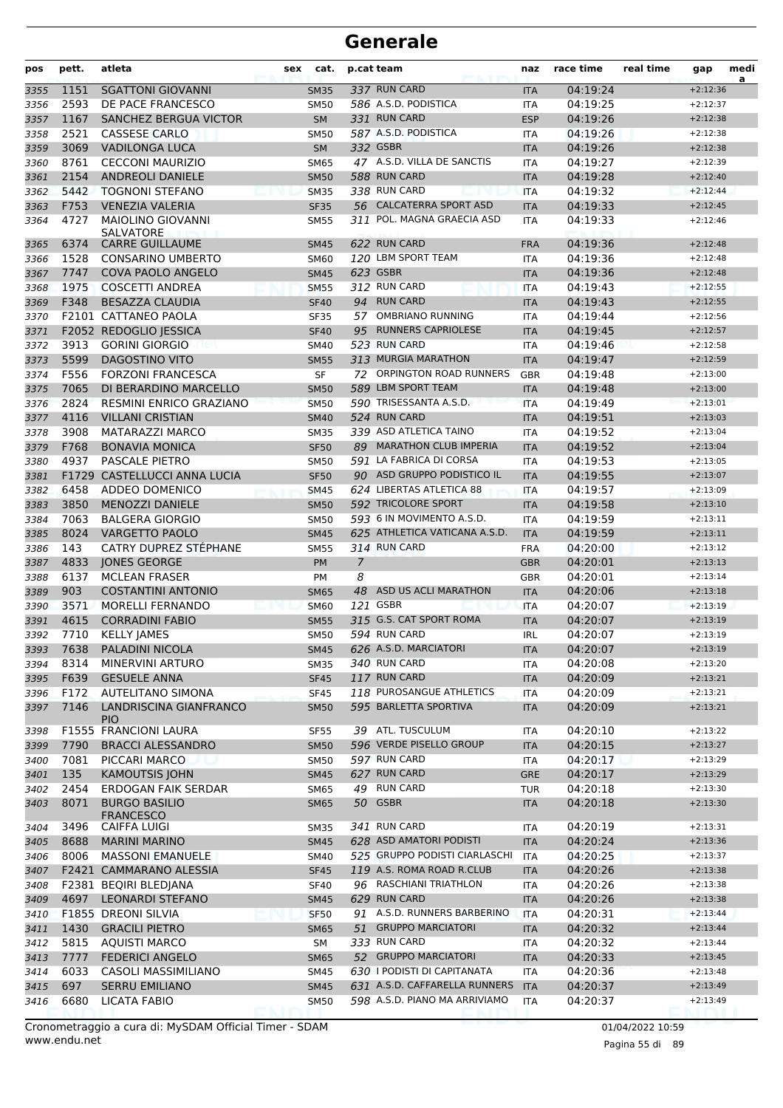| pos  | pett. | atleta                                   | sex | cat.        |    | p.cat team                    | naz        | race time | real time | gap        | medi<br>a |
|------|-------|------------------------------------------|-----|-------------|----|-------------------------------|------------|-----------|-----------|------------|-----------|
| 3355 | 1151  | <b>SGATTONI GIOVANNI</b>                 |     | <b>SM35</b> |    | 337 RUN CARD                  | <b>ITA</b> | 04:19:24  |           | $+2:12:36$ |           |
| 3356 | 2593  | DE PACE FRANCESCO                        |     | <b>SM50</b> |    | 586 A.S.D. PODISTICA          | ITA        | 04:19:25  |           | $+2:12:37$ |           |
| 3357 | 1167  | SANCHEZ BERGUA VICTOR                    |     | <b>SM</b>   |    | 331 RUN CARD                  | <b>ESP</b> | 04:19:26  |           | $+2:12:38$ |           |
| 3358 | 2521  | <b>CASSESE CARLO</b>                     |     | <b>SM50</b> |    | 587 A.S.D. PODISTICA          | <b>ITA</b> | 04:19:26  |           | $+2:12:38$ |           |
| 3359 | 3069  | <b>VADILONGA LUCA</b>                    |     | <b>SM</b>   |    | 332 GSBR                      | <b>ITA</b> | 04:19:26  |           | $+2:12:38$ |           |
| 3360 | 8761  | <b>CECCONI MAURIZIO</b>                  |     | <b>SM65</b> |    | 47 A.S.D. VILLA DE SANCTIS    | ITA        | 04:19:27  |           | $+2:12:39$ |           |
| 3361 | 2154  | <b>ANDREOLI DANIELE</b>                  |     | <b>SM50</b> |    | 588 RUN CARD                  | <b>ITA</b> | 04:19:28  |           | $+2:12:40$ |           |
| 3362 | 5442  | <b>TOGNONI STEFANO</b>                   |     | <b>SM35</b> |    | 338 RUN CARD                  | <b>ITA</b> | 04:19:32  |           | $+2:12:44$ |           |
| 3363 | F753  | <b>VENEZIA VALERIA</b>                   |     | <b>SF35</b> |    | 56 CALCATERRA SPORT ASD       | <b>ITA</b> | 04:19:33  |           | $+2:12:45$ |           |
| 3364 | 4727  | <b>MAIOLINO GIOVANNI</b><br>SALVATORE    |     | <b>SM55</b> |    | 311 POL. MAGNA GRAECIA ASD    | <b>ITA</b> | 04:19:33  |           | $+2:12:46$ |           |
| 3365 | 6374  | <b>CARRE GUILLAUME</b>                   |     | <b>SM45</b> |    | 622 RUN CARD                  | <b>FRA</b> | 04:19:36  |           | $+2:12:48$ |           |
| 3366 | 1528  | <b>CONSARINO UMBERTO</b>                 |     | <b>SM60</b> |    | 120 LBM SPORT TEAM            | ITA        | 04:19:36  |           | $+2:12:48$ |           |
| 3367 | 7747  | COVA PAOLO ANGELO                        |     | <b>SM45</b> |    | 623 GSBR                      | <b>ITA</b> | 04:19:36  |           | $+2:12:48$ |           |
| 3368 | 1975  | <b>COSCETTI ANDREA</b>                   |     | <b>SM55</b> |    | 312 RUN CARD                  | <b>ITA</b> | 04:19:43  |           | $+2:12:55$ |           |
| 3369 | F348  | <b>BESAZZA CLAUDIA</b>                   |     | <b>SF40</b> |    | 94 RUN CARD                   | <b>ITA</b> | 04:19:43  |           | $+2:12:55$ |           |
| 3370 |       | F2101 CATTANEO PAOLA                     |     | <b>SF35</b> | 57 | <b>OMBRIANO RUNNING</b>       | <b>ITA</b> | 04:19:44  |           | $+2:12:56$ |           |
| 3371 |       | F2052 REDOGLIO JESSICA                   |     | <b>SF40</b> | 95 | <b>RUNNERS CAPRIOLESE</b>     | <b>ITA</b> | 04:19:45  |           | $+2:12:57$ |           |
| 3372 | 3913  | <b>GORINI GIORGIO</b>                    |     | SM40        |    | 523 RUN CARD                  | ITA        | 04:19:46  |           | $+2:12:58$ |           |
| 3373 | 5599  | <b>DAGOSTINO VITO</b>                    |     | <b>SM55</b> |    | 313 MURGIA MARATHON           | <b>ITA</b> | 04:19:47  |           | $+2:12:59$ |           |
| 3374 | F556  | <b>FORZONI FRANCESCA</b>                 |     | SF          |    | 72 ORPINGTON ROAD RUNNERS     | GBR        | 04:19:48  |           | $+2:13:00$ |           |
| 3375 | 7065  | DI BERARDINO MARCELLO                    |     | <b>SM50</b> |    | 589 LBM SPORT TEAM            | <b>ITA</b> | 04:19:48  |           | $+2:13:00$ |           |
| 3376 | 2824  | RESMINI ENRICO GRAZIANO                  |     | <b>SM50</b> |    | 590 TRISESSANTA A.S.D.        | <b>ITA</b> | 04:19:49  |           | $+2:13:01$ |           |
| 3377 | 4116  | <b>VILLANI CRISTIAN</b>                  |     | <b>SM40</b> |    | 524 RUN CARD                  | <b>ITA</b> | 04:19:51  |           | $+2:13:03$ |           |
| 3378 | 3908  | <b>MATARAZZI MARCO</b>                   |     | <b>SM35</b> |    | 339 ASD ATLETICA TAINO        | <b>ITA</b> | 04:19:52  |           | $+2:13:04$ |           |
| 3379 | F768  | <b>BONAVIA MONICA</b>                    |     | <b>SF50</b> |    | 89 MARATHON CLUB IMPERIA      | <b>ITA</b> | 04:19:52  |           | $+2:13:04$ |           |
| 3380 | 4937  | <b>PASCALE PIETRO</b>                    |     | <b>SM50</b> |    | 591 LA FABRICA DI CORSA       | <b>ITA</b> | 04:19:53  |           | $+2:13:05$ |           |
| 3381 |       | F1729 CASTELLUCCI ANNA LUCIA             |     | <b>SF50</b> |    | 90 ASD GRUPPO PODISTICO IL    | <b>ITA</b> | 04:19:55  |           | $+2:13:07$ |           |
| 3382 | 6458  | ADDEO DOMENICO                           |     | <b>SM45</b> |    | 624 LIBERTAS ATLETICA 88      | <b>ITA</b> | 04:19:57  |           | $+2:13:09$ |           |
| 3383 | 3850  | <b>MENOZZI DANIELE</b>                   |     | <b>SM50</b> |    | 592 TRICOLORE SPORT           | <b>ITA</b> | 04:19:58  |           | $+2:13:10$ |           |
| 3384 | 7063  | <b>BALGERA GIORGIO</b>                   |     | <b>SM50</b> |    | 593 6 IN MOVIMENTO A.S.D.     | <b>ITA</b> | 04:19:59  |           | $+2:13:11$ |           |
| 3385 | 8024  | <b>VARGETTO PAOLO</b>                    |     | <b>SM45</b> |    | 625 ATHLETICA VATICANA A.S.D. | <b>ITA</b> | 04:19:59  |           | $+2:13:11$ |           |
| 3386 | 143   | CATRY DUPREZ STÉPHANE                    |     | <b>SM55</b> |    | 314 RUN CARD                  | <b>FRA</b> | 04:20:00  |           | $+2:13:12$ |           |
| 3387 | 4833  | JONES GEORGE                             |     | <b>PM</b>   | 7  |                               | <b>GBR</b> | 04:20:01  |           | $+2:13:13$ |           |
| 3388 | 6137  | <b>MCLEAN FRASER</b>                     |     | PM          | 8  |                               | <b>GBR</b> | 04:20:01  |           | $+2:13:14$ |           |
| 3389 | 903   | <b>COSTANTINI ANTONIO</b>                |     | <b>SM65</b> | 48 | ASD US ACLI MARATHON          | <b>ITA</b> | 04:20:06  |           | $+2:13:18$ |           |
| 3390 | 3571  | <b>MORELLI FERNANDO</b>                  |     | <b>SM60</b> |    | 121 GSBR                      | <b>ITA</b> | 04:20:07  |           | $+2:13:19$ |           |
| 3391 | 4615  | <b>CORRADINI FABIO</b>                   |     | <b>SM55</b> |    | 315 G.S. CAT SPORT ROMA       | <b>ITA</b> | 04:20:07  |           | $+2:13:19$ |           |
| 3392 | 7710  | <b>KELLY JAMES</b>                       |     | <b>SM50</b> |    | 594 RUN CARD                  | <b>IRL</b> | 04:20:07  |           | $+2:13:19$ |           |
| 3393 |       | 7638 PALADINI NICOLA                     |     | <b>SM45</b> |    | 626 A.S.D. MARCIATORI         | <b>ITA</b> | 04:20:07  |           | $+2:13:19$ |           |
| 3394 | 8314  | MINERVINI ARTURO                         |     | <b>SM35</b> |    | 340 RUN CARD                  | ITA        | 04:20:08  |           | $+2:13:20$ |           |
| 3395 | F639  | <b>GESUELE ANNA</b>                      |     | <b>SF45</b> |    | 117 RUN CARD                  | <b>ITA</b> | 04:20:09  |           | $+2:13:21$ |           |
| 3396 | F172  | AUTELITANO SIMONA                        |     | <b>SF45</b> |    | 118 PUROSANGUE ATHLETICS      | ITA        | 04:20:09  |           | $+2:13:21$ |           |
| 3397 | 7146  | LANDRISCINA GIANFRANCO<br><b>PIO</b>     |     | <b>SM50</b> |    | 595 BARLETTA SPORTIVA         | <b>ITA</b> | 04:20:09  |           | $+2:13:21$ |           |
| 3398 |       | <b>F1555 FRANCIONI LAURA</b>             |     | <b>SF55</b> |    | 39 ATL. TUSCULUM              | ITA        | 04:20:10  |           | $+2:13:22$ |           |
| 3399 | 7790  | <b>BRACCI ALESSANDRO</b>                 |     | <b>SM50</b> |    | 596 VERDE PISELLO GROUP       | <b>ITA</b> | 04:20:15  |           | $+2:13:27$ |           |
| 3400 | 7081  | PICCARI MARCO                            |     | <b>SM50</b> |    | 597 RUN CARD                  | ITA        | 04:20:17  |           | $+2:13:29$ |           |
| 3401 | 135   | <b>KAMOUTSIS JOHN</b>                    |     | <b>SM45</b> |    | 627 RUN CARD                  | <b>GRE</b> | 04:20:17  |           | $+2:13:29$ |           |
| 3402 | 2454  | <b>ERDOGAN FAIK SERDAR</b>               |     | SM65        |    | 49 RUN CARD                   | TUR        | 04:20:18  |           | $+2:13:30$ |           |
| 3403 | 8071  | <b>BURGO BASILIO</b><br><b>FRANCESCO</b> |     | <b>SM65</b> |    | 50 GSBR                       | ITA        | 04:20:18  |           | $+2:13:30$ |           |
| 3404 | 3496  | CAIFFA LUIGI                             |     | <b>SM35</b> |    | 341 RUN CARD                  | <b>ITA</b> | 04:20:19  |           | $+2:13:31$ |           |
| 3405 | 8688  | <b>MARINI MARINO</b>                     |     | <b>SM45</b> |    | 628 ASD AMATORI PODISTI       | <b>ITA</b> | 04:20:24  |           | $+2:13:36$ |           |
| 3406 | 8006  | <b>MASSONI EMANUELE</b>                  |     | SM40        |    | 525 GRUPPO PODISTI CIARLASCHI | ITA        | 04:20:25  |           | $+2:13:37$ |           |
| 3407 |       | F2421 CAMMARANO ALESSIA                  |     | <b>SF45</b> |    | 119 A.S. ROMA ROAD R.CLUB     | <b>ITA</b> | 04:20:26  |           | $+2:13:38$ |           |
| 3408 |       | F2381 BEQIRI BLEDIANA                    |     | <b>SF40</b> |    | 96 RASCHIANI TRIATHLON        | ITA        | 04:20:26  |           | $+2:13:38$ |           |
| 3409 | 4697  | <b>LEONARDI STEFANO</b>                  |     | <b>SM45</b> |    | 629 RUN CARD                  | <b>ITA</b> | 04:20:26  |           | $+2:13:38$ |           |
| 3410 |       | F1855 DREONI SILVIA                      |     | <b>SF50</b> |    | 91 A.S.D. RUNNERS BARBERINO   | <b>ITA</b> | 04:20:31  |           | $+2:13:44$ |           |
| 3411 | 1430  | <b>GRACILI PIETRO</b>                    |     | <b>SM65</b> |    | 51 GRUPPO MARCIATORI          | <b>ITA</b> | 04:20:32  |           | $+2:13:44$ |           |
| 3412 | 5815  | <b>AQUISTI MARCO</b>                     |     | SM          |    | 333 RUN CARD                  | ITA        | 04:20:32  |           | $+2:13:44$ |           |
| 3413 | 7777  | <b>FEDERICI ANGELO</b>                   |     | <b>SM65</b> |    | 52 GRUPPO MARCIATORI          | <b>ITA</b> | 04:20:33  |           | $+2:13:45$ |           |
| 3414 | 6033  | CASOLI MASSIMILIANO                      |     | SM45        |    | 630 I PODISTI DI CAPITANATA   | ITA        | 04:20:36  |           | $+2:13:48$ |           |
| 3415 | 697   | <b>SERRU EMILIANO</b>                    |     | <b>SM45</b> |    | 631 A.S.D. CAFFARELLA RUNNERS | <b>ITA</b> | 04:20:37  |           | $+2:13:49$ |           |
| 3416 | 6680  | LICATA FABIO                             |     | <b>SM50</b> |    | 598 A.S.D. PIANO MA ARRIVIAMO | ITA        | 04:20:37  |           | $+2:13:49$ |           |

Pagina 55 di 89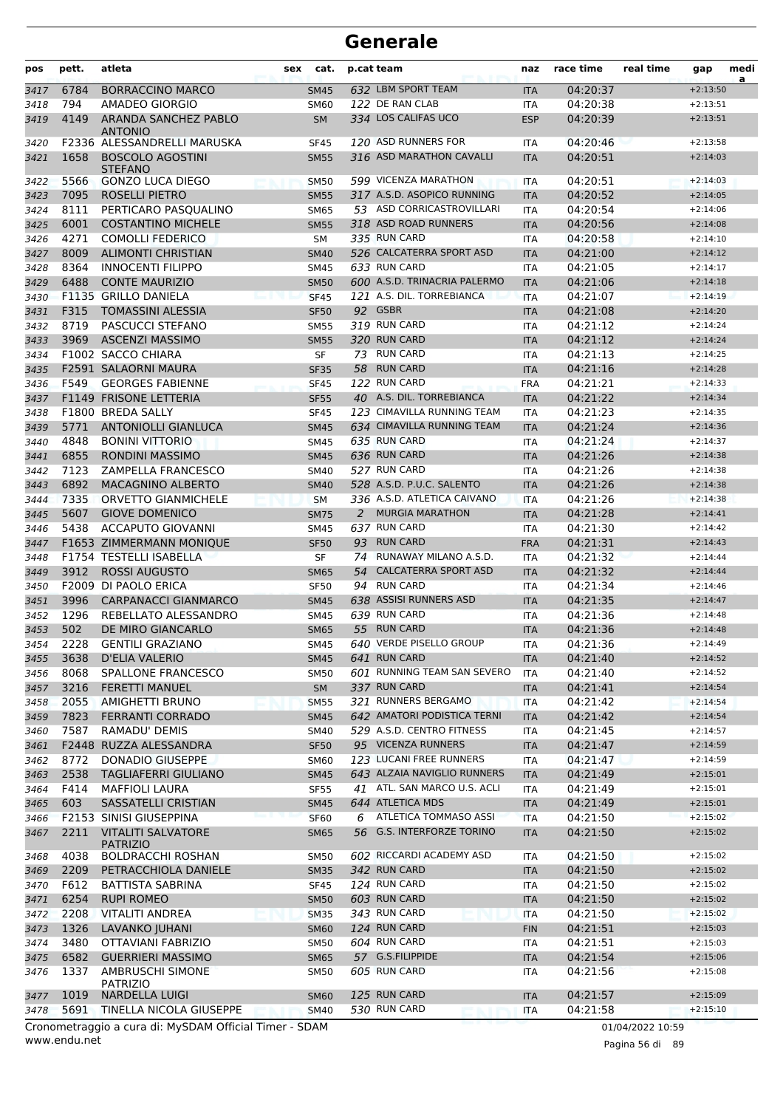| pos          | pett.       | atleta                                                 | sex | cat.                       |    | p.cat team                                      | naz                      | race time            | real time        | gap                      | medi<br>a |
|--------------|-------------|--------------------------------------------------------|-----|----------------------------|----|-------------------------------------------------|--------------------------|----------------------|------------------|--------------------------|-----------|
| 3417         | 6784        | <b>BORRACCINO MARCO</b>                                |     | <b>SM45</b>                |    | 632 LBM SPORT TEAM                              | <b>ITA</b>               | 04:20:37             |                  | $+2:13:50$               |           |
| 3418         | 794         | AMADEO GIORGIO                                         |     | <b>SM60</b>                |    | 122 DE RAN CLAB                                 | ITA                      | 04:20:38             |                  | $+2:13:51$               |           |
| 3419         | 4149        | ARANDA SANCHEZ PABLO                                   |     | <b>SM</b>                  |    | 334 LOS CALIFAS UCO                             | <b>ESP</b>               | 04:20:39             |                  | $+2:13:51$               |           |
| 3420         |             | <b>ANTONIO</b><br>F2336 ALESSANDRELLI MARUSKA          |     | <b>SF45</b>                |    | 120 ASD RUNNERS FOR                             | <b>ITA</b>               | 04:20:46             |                  | $+2:13:58$               |           |
| 3421         | 1658        | <b>BOSCOLO AGOSTINI</b><br><b>STEFANO</b>              |     | <b>SM55</b>                |    | 316 ASD MARATHON CAVALLI                        | <b>ITA</b>               | 04:20:51             |                  | $+2:14:03$               |           |
| 3422         | 5566        | <b>GONZO LUCA DIEGO</b>                                |     | <b>SM50</b>                |    | 599 VICENZA MARATHON                            | <b>ITA</b>               | 04:20:51             |                  | $+2:14:03$               |           |
| 3423         | 7095        | <b>ROSELLI PIETRO</b>                                  |     | <b>SM55</b>                |    | 317 A.S.D. ASOPICO RUNNING                      | <b>ITA</b>               | 04:20:52             |                  | $+2:14:05$               |           |
| 3424         | 8111        | PERTICARO PASOUALINO                                   |     | <b>SM65</b>                |    | 53 ASD CORRICASTROVILLARI                       | <b>ITA</b>               | 04:20:54             |                  | $+2:14:06$               |           |
| 3425         | 6001        | <b>COSTANTINO MICHELE</b>                              |     | <b>SM55</b>                |    | 318 ASD ROAD RUNNERS                            | <b>ITA</b>               | 04:20:56             |                  | $+2:14:08$               |           |
| 3426         | 4271        | <b>COMOLLI FEDERICO</b>                                |     | SΜ                         |    | 335 RUN CARD                                    | <b>ITA</b>               | 04:20:58             |                  | $+2:14:10$               |           |
| 3427         | 8009        | <b>ALIMONTI CHRISTIAN</b>                              |     | <b>SM40</b>                |    | 526 CALCATERRA SPORT ASD                        | <b>ITA</b>               | 04:21:00             |                  | $+2:14:12$               |           |
| 3428         | 8364        | <b>INNOCENTI FILIPPO</b>                               |     | <b>SM45</b>                |    | 633 RUN CARD                                    | <b>ITA</b>               | 04:21:05             |                  | $+2:14:17$               |           |
| 3429         | 6488        | <b>CONTE MAURIZIO</b>                                  |     | <b>SM50</b>                |    | 600 A.S.D. TRINACRIA PALERMO                    | <b>ITA</b>               | 04:21:06             |                  | $+2:14:18$               |           |
| 3430         |             | F1135 GRILLO DANIELA                                   |     | <b>SF45</b>                |    | 121 A.S. DIL. TORREBIANCA                       | <b>ITA</b>               | 04:21:07             |                  | $+2:14:19$               |           |
| 3431         | F315        | <b>TOMASSINI ALESSIA</b>                               |     | <b>SF50</b>                |    | 92 GSBR                                         | <b>ITA</b>               | 04:21:08             |                  | $+2:14:20$               |           |
| 3432         | 8719        | PASCUCCI STEFANO                                       |     | <b>SM55</b>                |    | 319 RUN CARD                                    | <b>ITA</b>               | 04:21:12             |                  | $+2:14:24$               |           |
| 3433         | 3969        | <b>ASCENZI MASSIMO</b>                                 |     | <b>SM55</b>                |    | 320 RUN CARD                                    | <b>ITA</b>               | 04:21:12             |                  | $+2:14:24$               |           |
| 3434         |             | F1002 SACCO CHIARA                                     |     | SF                         |    | 73 RUN CARD                                     | <b>ITA</b>               | 04:21:13             |                  | $+2:14:25$               |           |
| 3435         |             | F2591 SALAORNI MAURA                                   |     | <b>SF35</b>                |    | 58 RUN CARD                                     | <b>ITA</b>               | 04:21:16             |                  | $+2:14:28$               |           |
| 3436         | F549        | <b>GEORGES FABIENNE</b>                                |     | <b>SF45</b>                |    | 122 RUN CARD                                    | <b>FRA</b>               | 04:21:21             |                  | $+2:14:33$               |           |
| 3437         |             | <b>F1149 FRISONE LETTERIA</b>                          |     | <b>SF55</b>                |    | 40 A.S. DIL. TORREBIANCA                        | <b>ITA</b>               | 04:21:22             |                  | $+2:14:34$               |           |
| 3438         | 5771        | F1800 BREDA SALLY                                      |     | <b>SF45</b>                |    | 123 CIMAVILLA RUNNING TEAM                      | ITA                      | 04:21:23<br>04:21:24 |                  | $+2:14:35$               |           |
| 3439         | 4848        | <b>ANTONIOLLI GIANLUCA</b><br><b>BONINI VITTORIO</b>   |     | <b>SM45</b>                |    | 634 CIMAVILLA RUNNING TEAM<br>635 RUN CARD      | <b>ITA</b>               | 04:21:24             |                  | $+2:14:36$<br>$+2:14:37$ |           |
| 3440         | 6855        | <b>RONDINI MASSIMO</b>                                 |     | <b>SM45</b>                |    | 636 RUN CARD                                    | <b>ITA</b>               | 04:21:26             |                  | $+2:14:38$               |           |
| 3441<br>3442 | 7123        | ZAMPELLA FRANCESCO                                     |     | <b>SM45</b><br><b>SM40</b> |    | 527 RUN CARD                                    | <b>ITA</b><br><b>ITA</b> | 04:21:26             |                  | $+2:14:38$               |           |
| 3443         | 6892        | MACAGNINO ALBERTO                                      |     | <b>SM40</b>                |    | 528 A.S.D. P.U.C. SALENTO                       | <b>ITA</b>               | 04:21:26             |                  | $+2:14:38$               |           |
| 3444         | 7335        | ORVETTO GIANMICHELE                                    |     | <b>SM</b>                  |    | 336 A.S.D. ATLETICA CAIVANO                     | <b>ITA</b>               | 04:21:26             |                  | $+2:14:38$               |           |
| 3445         | 5607        | <b>GIOVE DOMENICO</b>                                  |     | <b>SM75</b>                | 2  | <b>MURGIA MARATHON</b>                          | <b>ITA</b>               | 04:21:28             |                  | $+2:14:41$               |           |
| 3446         | 5438        | ACCAPUTO GIOVANNI                                      |     | <b>SM45</b>                |    | 637 RUN CARD                                    | <b>ITA</b>               | 04:21:30             |                  | $+2:14:42$               |           |
| 3447         |             | F1653 ZIMMERMANN MONIQUE                               |     | <b>SF50</b>                | 93 | <b>RUN CARD</b>                                 | <b>FRA</b>               | 04:21:31             |                  | $+2:14:43$               |           |
| 3448         |             | F1754 TESTELLI ISABELLA                                |     | SF                         | 74 | RUNAWAY MILANO A.S.D.                           | <b>ITA</b>               | 04:21:32             |                  | $+2:14:44$               |           |
| 3449         | 3912        | <b>ROSSI AUGUSTO</b>                                   |     | <b>SM65</b>                | 54 | <b>CALCATERRA SPORT ASD</b>                     | <b>ITA</b>               | 04:21:32             |                  | $+2:14:44$               |           |
| 3450         |             | F2009 DI PAOLO ERICA                                   |     | <b>SF50</b>                |    | 94 RUN CARD                                     | <b>ITA</b>               | 04:21:34             |                  | $+2:14:46$               |           |
| 3451         | 3996        | <b>CARPANACCI GIANMARCO</b>                            |     | <b>SM45</b>                |    | 638 ASSISI RUNNERS ASD                          | <b>ITA</b>               | 04:21:35             |                  | $+2:14:47$               |           |
| 3452         | 1296        | REBELLATO ALESSANDRO                                   |     | <b>SM45</b>                |    | 639 RUN CARD                                    | <b>ITA</b>               | 04:21:36             |                  | $+2:14:48$               |           |
| 3453         | 502         | DE MIRO GIANCARLO                                      |     | <b>SM65</b>                |    | 55 RUN CARD                                     | <b>ITA</b>               | 04:21:36             |                  | $+2:14:48$               |           |
| 3454         | 2228        | <b>GENTILI GRAZIANO</b>                                |     | <b>SM45</b>                |    | 640 VERDE PISELLO GROUP                         | <b>ITA</b>               | 04:21:36             |                  | $+2:14:49$               |           |
| 3455         | 3638        | D'ELIA VALERIO                                         |     | SM45                       |    | 641 RUN CARD                                    | <b>ITA</b>               | 04:21:40             |                  | $+2:14:52$               |           |
| 3456         | 8068        | SPALLONE FRANCESCO                                     |     | <b>SM50</b>                |    | 601 RUNNING TEAM SAN SEVERO                     | ITA                      | 04:21:40             |                  | $+2:14:52$               |           |
| 3457         | 3216        | <b>FERETTI MANUEL</b>                                  |     | <b>SM</b>                  |    | 337 RUN CARD                                    | <b>ITA</b>               | 04:21:41             |                  | $+2:14:54$               |           |
| 3458         | 2055        | <b>AMIGHETTI BRUNO</b>                                 |     | <b>SM55</b>                |    | 321 RUNNERS BERGAMO                             | <b>ITA</b>               | 04:21:42             |                  | $+2:14:54$               |           |
| 3459         | 7823        | <b>FERRANTI CORRADO</b>                                |     | <b>SM45</b>                |    | 642 AMATORI PODISTICA TERNI                     | <b>ITA</b>               | 04:21:42             |                  | $+2:14:54$               |           |
| 3460         | 7587        | RAMADU' DEMIS                                          |     | <b>SM40</b>                |    | 529 A.S.D. CENTRO FITNESS                       | ITA                      | 04:21:45             |                  | $+2:14:57$               |           |
| 3461         |             | F2448 RUZZA ALESSANDRA                                 |     | <b>SF50</b>                |    | 95 VICENZA RUNNERS                              | <b>ITA</b>               | 04:21:47             |                  | $+2:14:59$               |           |
| 3462         | 8772        | <b>DONADIO GIUSEPPE</b>                                |     | <b>SM60</b>                |    | 123 LUCANI FREE RUNNERS                         | ITA                      | 04:21:47             |                  | $+2:14:59$               |           |
| 3463         | 2538        | <b>TAGLIAFERRI GIULIANO</b>                            |     | <b>SM45</b>                |    | 643 ALZAIA NAVIGLIO RUNNERS                     | <b>ITA</b>               | 04:21:49             |                  | $+2:15:01$               |           |
| 3464         | F414<br>603 | <b>MAFFIOLI LAURA</b><br>SASSATELLI CRISTIAN           |     | <b>SF55</b>                |    | 41 ATL. SAN MARCO U.S. ACLI<br>644 ATLETICA MDS | ITA                      | 04:21:49             |                  | $+2:15:01$               |           |
| 3465<br>3466 |             | <b>F2153 SINISI GIUSEPPINA</b>                         |     | <b>SM45</b><br><b>SF60</b> | 6  | ATLETICA TOMMASO ASSI                           | <b>ITA</b><br><b>ITA</b> | 04:21:49<br>04:21:50 |                  | $+2:15:01$<br>$+2:15:02$ |           |
| 3467         | 2211        | <b>VITALITI SALVATORE</b>                              |     | <b>SM65</b>                |    | 56 G.S. INTERFORZE TORINO                       | <b>ITA</b>               | 04:21:50             |                  | $+2:15:02$               |           |
| 3468         | 4038        | <b>PATRIZIO</b><br><b>BOLDRACCHI ROSHAN</b>            |     | <b>SM50</b>                |    | 602 RICCARDI ACADEMY ASD                        | ITA                      | 04:21:50             |                  | $+2:15:02$               |           |
| 3469         | 2209        | PETRACCHIOLA DANIELE                                   |     | <b>SM35</b>                |    | 342 RUN CARD                                    | <b>ITA</b>               | 04:21:50             |                  | $+2:15:02$               |           |
| 3470         | F612        | <b>BATTISTA SABRINA</b>                                |     | <b>SF45</b>                |    | 124 RUN CARD                                    | ITA                      | 04:21:50             |                  | $+2:15:02$               |           |
| 3471         | 6254        | <b>RUPI ROMEO</b>                                      |     | <b>SM50</b>                |    | 603 RUN CARD                                    | <b>ITA</b>               | 04:21:50             |                  | $+2:15:02$               |           |
| 3472         | 2208        | VITALITI ANDREA                                        |     | <b>SM35</b>                |    | 343 RUN CARD                                    | ITA                      | 04:21:50             |                  | $+2:15:02$               |           |
| 3473         | 1326        | LAVANKO JUHANI                                         |     | <b>SM60</b>                |    | 124 RUN CARD                                    | <b>FIN</b>               | 04:21:51             |                  | $+2:15:03$               |           |
| 3474         | 3480        | OTTAVIANI FABRIZIO                                     |     | <b>SM50</b>                |    | 604 RUN CARD                                    | ITA                      | 04:21:51             |                  | $+2:15:03$               |           |
| 3475         | 6582        | <b>GUERRIERI MASSIMO</b>                               |     | <b>SM65</b>                |    | 57 G.S.FILIPPIDE                                | <b>ITA</b>               | 04:21:54             |                  | $+2:15:06$               |           |
| 3476         | 1337        | AMBRUSCHI SIMONE<br><b>PATRIZIO</b>                    |     | <b>SM50</b>                |    | 605 RUN CARD                                    | ITA                      | 04:21:56             |                  | $+2:15:08$               |           |
| 3477         | 1019        | <b>NARDELLA LUIGI</b>                                  |     | <b>SM60</b>                |    | 125 RUN CARD                                    | <b>ITA</b>               | 04:21:57             |                  | $+2:15:09$               |           |
| 3478         | 5691        | TINELLA NICOLA GIUSEPPE                                |     | <b>SM40</b>                |    | 530 RUN CARD                                    | <b>ITA</b>               | 04:21:58             |                  | $+2:15:10$               |           |
|              |             | Cronometraggio a cura di: MySDAM Official Timer - SDAM |     |                            |    |                                                 |                          |                      | 01/04/2022 10:59 |                          |           |

www.endu.net

Pagina 56 di 89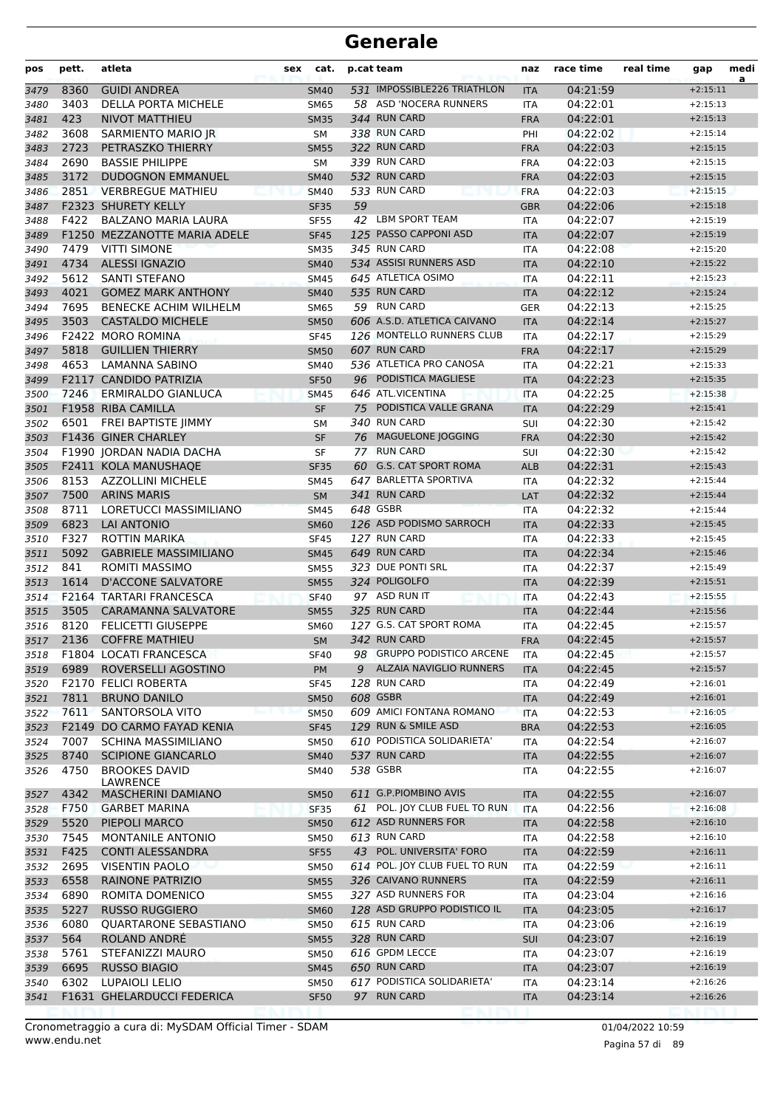| pos  | pett. | atleta                                  | sex<br>cat. |    | p.cat team                    | naz        | race time | real time | gap        | medi<br>a |
|------|-------|-----------------------------------------|-------------|----|-------------------------------|------------|-----------|-----------|------------|-----------|
| 3479 | 8360  | <b>GUIDI ANDREA</b>                     | <b>SM40</b> |    | 531 IMPOSSIBLE226 TRIATHLON   | <b>ITA</b> | 04:21:59  |           | $+2:15:11$ |           |
| 3480 | 3403  | <b>DELLA PORTA MICHELE</b>              | <b>SM65</b> |    | 58 ASD 'NOCERA RUNNERS        | ITA        | 04:22:01  |           | $+2:15:13$ |           |
| 3481 | 423   | <b>NIVOT MATTHIEU</b>                   | <b>SM35</b> |    | 344 RUN CARD                  | <b>FRA</b> | 04:22:01  |           | $+2:15:13$ |           |
| 3482 | 3608  | SARMIENTO MARIO JR                      | SΜ          |    | 338 RUN CARD                  | PHI        | 04:22:02  |           | $+2:15:14$ |           |
| 3483 | 2723  | PETRASZKO THIERRY                       | <b>SM55</b> |    | 322 RUN CARD                  | <b>FRA</b> | 04:22:03  |           | $+2:15:15$ |           |
| 3484 | 2690  | <b>BASSIE PHILIPPE</b>                  | <b>SM</b>   |    | 339 RUN CARD                  | <b>FRA</b> | 04:22:03  |           | $+2:15:15$ |           |
| 3485 | 3172  | <b>DUDOGNON EMMANUEL</b>                | <b>SM40</b> |    | 532 RUN CARD                  | <b>FRA</b> | 04:22:03  |           | $+2:15:15$ |           |
| 3486 | 2851  | <b>VERBREGUE MATHIEU</b>                | <b>SM40</b> |    | 533 RUN CARD                  | <b>FRA</b> | 04:22:03  |           | $+2:15:15$ |           |
| 3487 |       | <b>F2323 SHURETY KELLY</b>              | <b>SF35</b> | 59 |                               | <b>GBR</b> | 04:22:06  |           | $+2:15:18$ |           |
| 3488 | F422  | <b>BALZANO MARIA LAURA</b>              | <b>SF55</b> | 42 | <b>LBM SPORT TEAM</b>         | ITA        | 04:22:07  |           | $+2:15:19$ |           |
| 3489 |       | F1250 MEZZANOTTE MARIA ADELE            | <b>SF45</b> |    | 125 PASSO CAPPONI ASD         | <b>ITA</b> | 04:22:07  |           | $+2:15:19$ |           |
| 3490 | 7479  | <b>VITTI SIMONE</b>                     | <b>SM35</b> |    | 345 RUN CARD                  | <b>ITA</b> | 04:22:08  |           | $+2:15:20$ |           |
| 3491 | 4734  | <b>ALESSI IGNAZIO</b>                   | <b>SM40</b> |    | 534 ASSISI RUNNERS ASD        | <b>ITA</b> | 04:22:10  |           | $+2:15:22$ |           |
| 3492 | 5612  | <b>SANTI STEFANO</b>                    | <b>SM45</b> |    | 645 ATLETICA OSIMO            | <b>ITA</b> | 04:22:11  |           | $+2:15:23$ |           |
| 3493 | 4021  | <b>GOMEZ MARK ANTHONY</b>               | <b>SM40</b> |    | 535 RUN CARD                  | <b>ITA</b> | 04:22:12  |           | $+2:15:24$ |           |
| 3494 | 7695  | <b>BENECKE ACHIM WILHELM</b>            | <b>SM65</b> |    | 59 RUN CARD                   | <b>GER</b> | 04:22:13  |           | $+2:15:25$ |           |
| 3495 | 3503  | <b>CASTALDO MICHELE</b>                 | <b>SM50</b> |    | 606 A.S.D. ATLETICA CAIVANO   | <b>ITA</b> | 04:22:14  |           | $+2:15:27$ |           |
| 3496 |       | F2422 MORO ROMINA                       | <b>SF45</b> |    | 126 MONTELLO RUNNERS CLUB     | <b>ITA</b> | 04:22:17  |           | $+2:15:29$ |           |
| 3497 | 5818  | <b>GUILLIEN THIERRY</b>                 | <b>SM50</b> |    | 607 RUN CARD                  | <b>FRA</b> | 04:22:17  |           | $+2:15:29$ |           |
| 3498 | 4653  | <b>LAMANNA SABINO</b>                   | <b>SM40</b> |    | 536 ATLETICA PRO CANOSA       | <b>ITA</b> | 04:22:21  |           | $+2:15:33$ |           |
| 3499 |       | F2117 CANDIDO PATRIZIA                  | <b>SF50</b> |    | 96 PODISTICA MAGLIESE         | <b>ITA</b> | 04:22:23  |           | $+2:15:35$ |           |
| 3500 | 7246  | <b>ERMIRALDO GIANLUCA</b>               | <b>SM45</b> |    | 646 ATL.VICENTINA             | <b>ITA</b> | 04:22:25  |           | $+2:15:38$ |           |
| 3501 |       | F1958 RIBA CAMILLA                      | <b>SF</b>   |    | 75 PODISTICA VALLE GRANA      | <b>ITA</b> | 04:22:29  |           | $+2:15:41$ |           |
| 3502 | 6501  | FREI BAPTISTE JIMMY                     | SΜ          |    | 340 RUN CARD                  | SUI        | 04:22:30  |           | $+2:15:42$ |           |
| 3503 |       | F1436 GINER CHARLEY                     | <b>SF</b>   |    | 76 MAGUELONE JOGGING          | <b>FRA</b> | 04:22:30  |           | $+2:15:42$ |           |
| 3504 |       | F1990 JORDAN NADIA DACHA                | SF          |    | 77 RUN CARD                   | SUI        | 04:22:30  |           | $+2:15:42$ |           |
| 3505 |       | F2411 KOLA MANUSHAQE                    | <b>SF35</b> |    | 60 G.S. CAT SPORT ROMA        | <b>ALB</b> | 04:22:31  |           | $+2:15:43$ |           |
| 3506 | 8153  | <b>AZZOLLINI MICHELE</b>                | <b>SM45</b> |    | 647 BARLETTA SPORTIVA         | ITA        | 04:22:32  |           | $+2:15:44$ |           |
| 3507 | 7500  | <b>ARINS MARIS</b>                      | <b>SM</b>   |    | 341 RUN CARD                  | LAT        | 04:22:32  |           | $+2:15:44$ |           |
| 3508 | 8711  | LORETUCCI MASSIMILIANO                  | <b>SM45</b> |    | 648 GSBR                      | <b>ITA</b> | 04:22:32  |           | $+2:15:44$ |           |
| 3509 | 6823  | <b>LAI ANTONIO</b>                      | <b>SM60</b> |    | 126 ASD PODISMO SARROCH       | <b>ITA</b> | 04:22:33  |           | $+2:15:45$ |           |
| 3510 | F327  | ROTTIN MARIKA                           | <b>SF45</b> |    | 127 RUN CARD                  | <b>ITA</b> | 04:22:33  |           | $+2:15:45$ |           |
| 3511 | 5092  | <b>GABRIELE MASSIMILIANO</b>            | <b>SM45</b> |    | 649 RUN CARD                  | <b>ITA</b> | 04:22:34  |           | $+2:15:46$ |           |
| 3512 | 841   | <b>ROMITI MASSIMO</b>                   | <b>SM55</b> |    | 323 DUE PONTI SRL             | ITA        | 04:22:37  |           | $+2:15:49$ |           |
| 3513 | 1614  | <b>D'ACCONE SALVATORE</b>               | <b>SM55</b> |    | 324 POLIGOLFO                 | <b>ITA</b> | 04:22:39  |           | $+2:15:51$ |           |
| 3514 |       | F2164 TARTARI FRANCESCA                 | <b>SF40</b> |    | 97 ASD RUN IT                 | <b>ITA</b> | 04:22:43  |           | $+2:15:55$ |           |
| 3515 | 3505  | <b>CARAMANNA SALVATORE</b>              | <b>SM55</b> |    | 325 RUN CARD                  | <b>ITA</b> | 04:22:44  |           | $+2:15:56$ |           |
| 3516 | 8120  | <b>FELICETTI GIUSEPPE</b>               | <b>SM60</b> |    | 127 G.S. CAT SPORT ROMA       | <b>ITA</b> | 04:22:45  |           | $+2:15:57$ |           |
| 3517 | 2136  | <b>COFFRE MATHIEU</b>                   | <b>SM</b>   |    | 342 RUN CARD                  | <b>FRA</b> | 04:22:45  |           | $+2:15:57$ |           |
| 3518 |       | F1804 LOCATI FRANCESCA                  | <b>SF40</b> |    | 98 GRUPPO PODISTICO ARCENE    | ITA        | 04:22:45  |           | $+2:15:57$ |           |
| 3519 | 6989  | ROVERSELLI AGOSTINO                     | PM          |    | 9 ALZAIA NAVIGLIO RUNNERS     | <b>ITA</b> | 04:22:45  |           | $+2:15:57$ |           |
| 3520 |       | <b>F2170 FELICI ROBERTA</b>             | <b>SF45</b> |    | 128 RUN CARD                  | ITA        | 04:22:49  |           | $+2:16:01$ |           |
| 3521 | 7811  | <b>BRUNO DANILO</b>                     | <b>SM50</b> |    | 608 GSBR                      | <b>ITA</b> | 04:22:49  |           | $+2:16:01$ |           |
| 3522 | 7611  | SANTORSOLA VITO                         | <b>SM50</b> |    | 609 AMICI FONTANA ROMANO      | <b>ITA</b> | 04:22:53  |           | $+2:16:05$ |           |
| 3523 |       | F2149 DO CARMO FAYAD KENIA              | <b>SF45</b> |    | 129 RUN & SMILE ASD           | <b>BRA</b> | 04:22:53  |           | $+2:16:05$ |           |
| 3524 | 7007  | SCHINA MASSIMILIANO                     | <b>SM50</b> |    | 610 PODISTICA SOLIDARIETA'    | <b>ITA</b> | 04:22:54  |           | $+2:16:07$ |           |
| 3525 | 8740  | <b>SCIPIONE GIANCARLO</b>               | <b>SM40</b> |    | 537 RUN CARD                  | ITA        | 04:22:55  |           | $+2:16:07$ |           |
| 3526 | 4750  | <b>BROOKES DAVID</b><br><b>LAWRENCE</b> | SM40        |    | 538 GSBR                      | ITA        | 04:22:55  |           | $+2:16:07$ |           |
| 3527 | 4342  | MASCHERINI DAMIANO                      | <b>SM50</b> |    | 611 G.P.PIOMBINO AVIS         | <b>ITA</b> | 04:22:55  |           | $+2:16:07$ |           |
| 3528 | F750  | <b>GARBET MARINA</b>                    | <b>SF35</b> |    | 61 POL. JOY CLUB FUEL TO RUN  | <b>ITA</b> | 04:22:56  |           | $+2:16:08$ |           |
| 3529 | 5520  | PIEPOLI MARCO                           | <b>SM50</b> |    | 612 ASD RUNNERS FOR           | <b>ITA</b> | 04:22:58  |           | $+2:16:10$ |           |
| 3530 | 7545  | MONTANILE ANTONIO                       | SM50        |    | 613 RUN CARD                  | ITA        | 04:22:58  |           | $+2:16:10$ |           |
| 3531 | F425  | <b>CONTI ALESSANDRA</b>                 | <b>SF55</b> |    | 43 POL. UNIVERSITA' FORO      | <b>ITA</b> | 04:22:59  |           | $+2:16:11$ |           |
| 3532 | 2695  | <b>VISENTIN PAOLO</b>                   | <b>SM50</b> |    | 614 POL. JOY CLUB FUEL TO RUN | ITA        | 04:22:59  |           | $+2:16:11$ |           |
| 3533 | 6558  | <b>RAINONE PATRIZIO</b>                 | <b>SM55</b> |    | 326 CAIVANO RUNNERS           | <b>ITA</b> | 04:22:59  |           | $+2:16:11$ |           |
| 3534 | 6890  | ROMITA DOMENICO                         | <b>SM55</b> |    | 327 ASD RUNNERS FOR           | ITA        | 04:23:04  |           | $+2:16:16$ |           |
| 3535 | 5227  | <b>RUSSO RUGGIERO</b>                   | <b>SM60</b> |    | 128 ASD GRUPPO PODISTICO IL   | <b>ITA</b> | 04:23:05  |           | $+2:16:17$ |           |
| 3536 | 6080  | <b>QUARTARONE SEBASTIANO</b>            | <b>SM50</b> |    | 615 RUN CARD                  | ITA        | 04:23:06  |           | $+2:16:19$ |           |
| 3537 | 564   | <b>ROLAND ANDRE</b>                     | <b>SM55</b> |    | 328 RUN CARD                  | <b>SUI</b> | 04:23:07  |           | $+2:16:19$ |           |
| 3538 | 5761  | STEFANIZZI MAURO                        | <b>SM50</b> |    | 616 GPDM LECCE                | ITA        | 04:23:07  |           | $+2:16:19$ |           |
| 3539 | 6695  | <b>RUSSO BIAGIO</b>                     | <b>SM45</b> |    | 650 RUN CARD                  | <b>ITA</b> | 04:23:07  |           | $+2:16:19$ |           |
| 3540 | 6302  | LUPAIOLI LELIO                          | <b>SM50</b> |    | 617 PODISTICA SOLIDARIETA'    | <b>ITA</b> | 04:23:14  |           | $+2:16:26$ |           |
| 3541 |       | F1631 GHELARDUCCI FEDERICA              | <b>SF50</b> |    | 97 RUN CARD                   | <b>ITA</b> | 04:23:14  |           | $+2:16:26$ |           |
|      |       |                                         |             |    |                               |            |           |           |            |           |

www.endu.net Cronometraggio a cura di: MySDAM Official Timer - SDAM 01/04/2022 10:59 01/04/2022 10:59

Pagina 57 di 89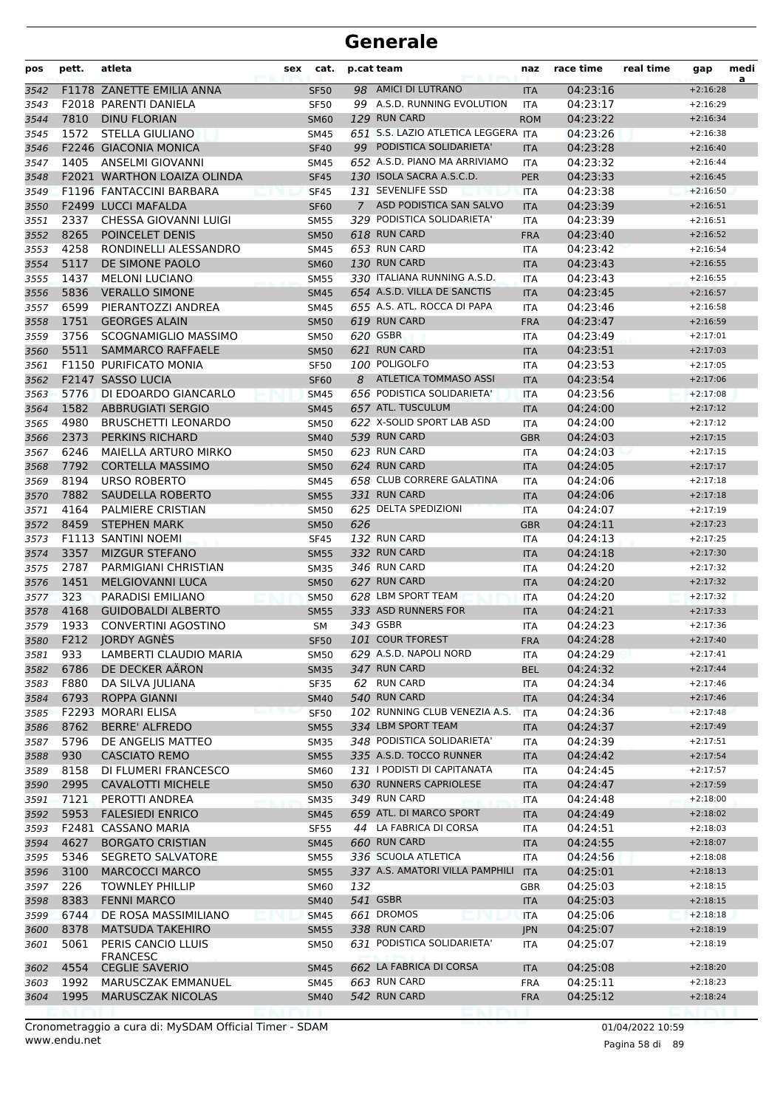| pos  | pett. | atleta                             | sex         | cat. | p.cat team                          | naz        | race time | real time | gap        | medi<br>a |
|------|-------|------------------------------------|-------------|------|-------------------------------------|------------|-----------|-----------|------------|-----------|
| 3542 |       | F1178 ZANETTE EMILIA ANNA          | <b>SF50</b> |      | 98 AMICI DI LUTRANO                 | <b>ITA</b> | 04:23:16  |           | $+2:16:28$ |           |
| 3543 |       | <b>F2018 PARENTI DANIELA</b>       | <b>SF50</b> |      | 99 A.S.D. RUNNING EVOLUTION         | ITA        | 04:23:17  |           | $+2:16:29$ |           |
| 3544 | 7810  | <b>DINU FLORIAN</b>                | <b>SM60</b> |      | 129 RUN CARD                        | <b>ROM</b> | 04:23:22  |           | $+2:16:34$ |           |
| 3545 | 1572  | STELLA GIULIANO                    | <b>SM45</b> |      | 651 S.S. LAZIO ATLETICA LEGGERA ITA |            | 04:23:26  |           | $+2:16:38$ |           |
| 3546 |       | <b>F2246 GIACONIA MONICA</b>       | <b>SF40</b> |      | 99 PODISTICA SOLIDARIETA'           | <b>ITA</b> | 04:23:28  |           | $+2:16:40$ |           |
| 3547 | 1405  | ANSELMI GIOVANNI                   | SM45        |      | 652 A.S.D. PIANO MA ARRIVIAMO       | <b>ITA</b> | 04:23:32  |           | $+2:16:44$ |           |
| 3548 |       | <b>F2021 WARTHON LOAIZA OLINDA</b> | <b>SF45</b> |      | 130 ISOLA SACRA A.S.C.D.            | <b>PER</b> | 04:23:33  |           | $+2:16:45$ |           |
| 3549 |       | F1196 FANTACCINI BARBARA           | <b>SF45</b> |      | 131 SEVENLIFE SSD                   | <b>ITA</b> | 04:23:38  |           | $+2:16:50$ |           |
| 3550 |       | <b>F2499 LUCCI MAFALDA</b>         | <b>SF60</b> |      | 7 ASD PODISTICA SAN SALVO           | <b>ITA</b> | 04:23:39  |           | $+2:16:51$ |           |
| 3551 | 2337  | CHESSA GIOVANNI LUIGI              | <b>SM55</b> |      | 329 PODISTICA SOLIDARIETA'          | ITA        | 04:23:39  |           | $+2:16:51$ |           |
| 3552 | 8265  | POINCELET DENIS                    | <b>SM50</b> |      | 618 RUN CARD                        | <b>FRA</b> | 04:23:40  |           | $+2:16:52$ |           |
| 3553 | 4258  | RONDINELLI ALESSANDRO              | <b>SM45</b> |      | 653 RUN CARD                        | ITA        | 04:23:42  |           | $+2:16:54$ |           |
| 3554 | 5117  | DE SIMONE PAOLO                    | <b>SM60</b> |      | 130 RUN CARD                        | <b>ITA</b> | 04:23:43  |           | $+2:16:55$ |           |
| 3555 | 1437  | <b>MELONI LUCIANO</b>              | <b>SM55</b> |      | 330 ITALIANA RUNNING A.S.D.         | ITA        | 04:23:43  |           | $+2:16:55$ |           |
| 3556 | 5836  | <b>VERALLO SIMONE</b>              | <b>SM45</b> |      | 654 A.S.D. VILLA DE SANCTIS         | <b>ITA</b> | 04:23:45  |           | $+2:16:57$ |           |
| 3557 | 6599  | PIERANTOZZI ANDREA                 | <b>SM45</b> |      | 655 A.S. ATL. ROCCA DI PAPA         | ITA        | 04:23:46  |           | $+2:16:58$ |           |
| 3558 | 1751  | <b>GEORGES ALAIN</b>               | <b>SM50</b> |      | 619 RUN CARD                        | <b>FRA</b> | 04:23:47  |           | $+2:16:59$ |           |
| 3559 | 3756  | SCOGNAMIGLIO MASSIMO               | <b>SM50</b> |      | 620 GSBR                            | ITA        | 04:23:49  |           | $+2:17:01$ |           |
| 3560 | 5511  | SAMMARCO RAFFAELE                  | <b>SM50</b> |      | 621 RUN CARD                        | <b>ITA</b> | 04:23:51  |           | $+2:17:03$ |           |
| 3561 |       | <b>F1150 PURIFICATO MONIA</b>      | <b>SF50</b> |      | 100 POLIGOLFO                       | <b>ITA</b> | 04:23:53  |           | $+2:17:05$ |           |
| 3562 |       | F2147 SASSO LUCIA                  | <b>SF60</b> |      | 8 ATLETICA TOMMASO ASSI             | <b>ITA</b> | 04:23:54  |           | $+2:17:06$ |           |
| 3563 | 5776  | DI EDOARDO GIANCARLO               | <b>SM45</b> |      | 656 PODISTICA SOLIDARIETA'          | <b>ITA</b> | 04:23:56  |           | $+2:17:08$ |           |
| 3564 | 1582  | <b>ABBRUGIATI SERGIO</b>           | <b>SM45</b> |      | 657 ATL. TUSCULUM                   | <b>ITA</b> | 04:24:00  |           | $+2:17:12$ |           |
| 3565 | 4980  | <b>BRUSCHETTI LEONARDO</b>         | <b>SM50</b> |      | 622 X-SOLID SPORT LAB ASD           | ITA        | 04:24:00  |           | $+2:17:12$ |           |
| 3566 | 2373  | PERKINS RICHARD                    | <b>SM40</b> |      | 539 RUN CARD                        | <b>GBR</b> | 04:24:03  |           | $+2:17:15$ |           |
| 3567 | 6246  | MAIELLA ARTURO MIRKO               | <b>SM50</b> |      | 623 RUN CARD                        | ITA        | 04:24:03  |           | $+2:17:15$ |           |
| 3568 | 7792  | <b>CORTELLA MASSIMO</b>            | <b>SM50</b> |      | 624 RUN CARD                        | <b>ITA</b> | 04:24:05  |           | $+2:17:17$ |           |
| 3569 | 8194  | URSO ROBERTO                       | <b>SM45</b> |      | 658 CLUB CORRERE GALATINA           | ITA        | 04:24:06  |           | $+2:17:18$ |           |
| 3570 | 7882  | SAUDELLA ROBERTO                   | <b>SM55</b> |      | 331 RUN CARD                        | <b>ITA</b> | 04:24:06  |           | $+2:17:18$ |           |
| 3571 | 4164  | PALMIERE CRISTIAN                  | <b>SM50</b> |      | 625 DELTA SPEDIZIONI                | <b>ITA</b> | 04:24:07  |           | $+2:17:19$ |           |
| 3572 | 8459  | <b>STEPHEN MARK</b>                | <b>SM50</b> | 626  |                                     | <b>GBR</b> | 04:24:11  |           | $+2:17:23$ |           |
| 3573 |       | F1113 SANTINI NOEMI                | <b>SF45</b> |      | 132 RUN CARD                        | ITA        | 04:24:13  |           | $+2:17:25$ |           |
| 3574 | 3357  | <b>MIZGUR STEFANO</b>              | <b>SM55</b> |      | 332 RUN CARD                        | <b>ITA</b> | 04:24:18  |           | $+2:17:30$ |           |
| 3575 | 2787  | PARMIGIANI CHRISTIAN               | <b>SM35</b> |      | 346 RUN CARD                        | ITA        | 04:24:20  |           | $+2:17:32$ |           |
| 3576 | 1451  | <b>MELGIOVANNI LUCA</b>            | <b>SM50</b> |      | 627 RUN CARD                        | <b>ITA</b> | 04:24:20  |           | $+2:17:32$ |           |
| 3577 | 323   | PARADISI EMILIANO                  | <b>SM50</b> |      | 628 LBM SPORT TEAM                  | <b>ITA</b> | 04:24:20  |           | $+2:17:32$ |           |
| 3578 | 4168  | <b>GUIDOBALDI ALBERTO</b>          | <b>SM55</b> |      | 333 ASD RUNNERS FOR                 | <b>ITA</b> | 04:24:21  |           | $+2:17:33$ |           |
| 3579 | 1933  | CONVERTINI AGOSTINO                | <b>SM</b>   |      | 343 GSBR                            | ITA        | 04:24:23  |           | $+2:17:36$ |           |
| 3580 | F212  | JORDY AGNÈS                        | <b>SF50</b> |      | 101 COUR TFOREST                    | <b>FRA</b> | 04:24:28  |           | $+2:17:40$ |           |
| 3581 | 933   | LAMBERTI CLAUDIO MARIA             | <b>SM50</b> |      | 629 A.S.D. NAPOLI NORD              | ITA        | 04:24:29  |           | $+2:17:41$ |           |
| 3582 | 6786  | DE DECKER AÄRON                    | <b>SM35</b> |      | 347 RUN CARD                        | <b>BEL</b> | 04:24:32  |           | $+2:17:44$ |           |
| 3583 | F880  | DA SILVA JULIANA                   | SF35        |      | 62 RUN CARD                         | <b>ITA</b> | 04:24:34  |           | $+2:17:46$ |           |
| 3584 | 6793  | ROPPA GIANNI                       | <b>SM40</b> |      | 540 RUN CARD                        | <b>ITA</b> | 04:24:34  |           | $+2:17:46$ |           |
| 3585 |       | F2293 MORARI ELISA                 | <b>SF50</b> |      | 102 RUNNING CLUB VENEZIA A.S.       | <b>ITA</b> | 04:24:36  |           | $+2:17:48$ |           |
| 3586 | 8762  | <b>BERRE' ALFREDO</b>              | <b>SM55</b> |      | 334 LBM SPORT TEAM                  | <b>ITA</b> | 04:24:37  |           | $+2:17:49$ |           |
| 3587 | 5796  | DE ANGELIS MATTEO                  | <b>SM35</b> |      | 348 PODISTICA SOLIDARIETA'          | <b>ITA</b> | 04:24:39  |           | $+2:17:51$ |           |
| 3588 | 930   | <b>CASCIATO REMO</b>               | <b>SM55</b> |      | 335 A.S.D. TOCCO RUNNER             | <b>ITA</b> | 04:24:42  |           | $+2:17:54$ |           |
| 3589 | 8158  | DI FLUMERI FRANCESCO               | <b>SM60</b> |      | 131   PODISTI DI CAPITANATA         | <b>ITA</b> | 04:24:45  |           | $+2:17:57$ |           |
| 3590 | 2995  | <b>CAVALOTTI MICHELE</b>           | <b>SM50</b> |      | 630 RUNNERS CAPRIOLESE              | <b>ITA</b> | 04:24:47  |           | $+2:17:59$ |           |
| 3591 | 7121  | PEROTTI ANDREA                     | <b>SM35</b> |      | 349 RUN CARD                        | <b>ITA</b> | 04:24:48  |           | $+2:18:00$ |           |
| 3592 | 5953  | <b>FALESIEDI ENRICO</b>            | <b>SM45</b> |      | 659 ATL. DI MARCO SPORT             | <b>ITA</b> | 04:24:49  |           | $+2:18:02$ |           |
| 3593 |       | F2481 CASSANO MARIA                | <b>SF55</b> |      | 44 LA FABRICA DI CORSA              | <b>ITA</b> | 04:24:51  |           | $+2:18:03$ |           |
| 3594 | 4627  | <b>BORGATO CRISTIAN</b>            | <b>SM45</b> |      | 660 RUN CARD                        | <b>ITA</b> | 04:24:55  |           | $+2:18:07$ |           |
| 3595 | 5346  | <b>SEGRETO SALVATORE</b>           | <b>SM55</b> |      | 336 SCUOLA ATLETICA                 | ITA        | 04:24:56  |           | $+2:18:08$ |           |
| 3596 | 3100  | <b>MARCOCCI MARCO</b>              | <b>SM55</b> |      | 337 A.S. AMATORI VILLA PAMPHILI     | <b>ITA</b> | 04:25:01  |           | $+2:18:13$ |           |
| 3597 | 226   | <b>TOWNLEY PHILLIP</b>             | <b>SM60</b> | 132  |                                     | GBR        | 04:25:03  |           | $+2:18:15$ |           |
| 3598 | 8383  | <b>FENNI MARCO</b>                 | <b>SM40</b> |      | 541 GSBR                            | <b>ITA</b> | 04:25:03  |           | $+2:18:15$ |           |
| 3599 | 6744  | DE ROSA MASSIMILIANO               | <b>SM45</b> |      | 661 DROMOS                          | <b>ITA</b> | 04:25:06  |           | $+2:18:18$ |           |
| 3600 | 8378  | <b>MATSUDA TAKEHIRO</b>            | <b>SM55</b> |      | 338 RUN CARD                        | <b>JPN</b> | 04:25:07  |           | $+2:18:19$ |           |
| 3601 | 5061  | PERIS CANCIO LLUIS                 | <b>SM50</b> |      | 631 PODISTICA SOLIDARIETA'          | <b>ITA</b> | 04:25:07  |           | $+2:18:19$ |           |
|      |       | <b>FRANCESC</b>                    |             |      |                                     |            |           |           |            |           |
| 3602 | 4554  | <b>CEGLIE SAVERIO</b>              | <b>SM45</b> |      | 662 LA FABRICA DI CORSA             | <b>ITA</b> | 04:25:08  |           | $+2:18:20$ |           |
| 3603 | 1992  | MARUSCZAK EMMANUEL                 | SM45        |      | 663 RUN CARD                        | <b>FRA</b> | 04:25:11  |           | $+2:18:23$ |           |
| 3604 | 1995  | <b>MARUSCZAK NICOLAS</b>           | <b>SM40</b> |      | 542 RUN CARD                        | <b>FRA</b> | 04:25:12  |           | $+2:18:24$ |           |
|      |       |                                    |             |      |                                     |            |           |           |            |           |

www.endu.net Cronometraggio a cura di: MySDAM Official Timer - SDAM 01/04/2022 10:59 01/04/2022 10:59

Pagina 58 di 89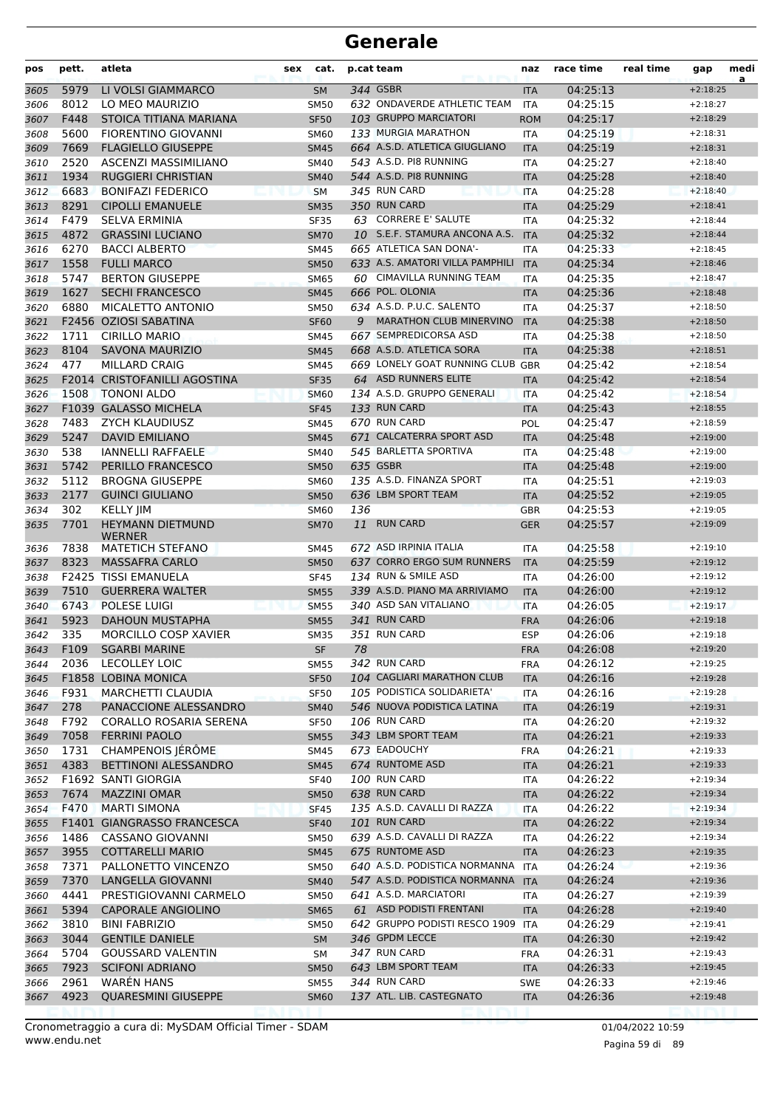| LI VOLSI GIAMMARCO<br>344 GSBR<br>04:25:13<br>5979<br>$+2:18:25$<br><b>SM</b><br>3605<br><b>ITA</b><br>632 ONDAVERDE ATHLETIC TEAM<br>8012<br>LO MEO MAURIZIO<br>04:25:15<br><b>SM50</b><br><b>ITA</b><br>$+2:18:27$<br>3606<br>F448<br>STOICA TITIANA MARIANA<br>103 GRUPPO MARCIATORI<br>04:25:17<br>3607<br><b>SF50</b><br><b>ROM</b><br>$+2:18:29$<br>5600<br>133 MURGIA MARATHON<br><b>FIORENTINO GIOVANNI</b><br>04:25:19<br>$+2:18:31$<br><b>SM60</b><br>3608<br>ITA<br>664 A.S.D. ATLETICA GIUGLIANO<br>7669<br><b>FLAGIELLO GIUSEPPE</b><br>04:25:19<br>3609<br><b>SM45</b><br><b>ITA</b><br>$+2:18:31$<br>2520<br>ASCENZI MASSIMILIANO<br>543 A.S.D. PI8 RUNNING<br>04:25:27<br>3610<br><b>SM40</b><br>$+2:18:40$<br><b>ITA</b><br>1934<br>544 A.S.D. PI8 RUNNING<br>04:25:28<br><b>RUGGIERI CHRISTIAN</b><br>3611<br><b>SM40</b><br>$+2:18:40$<br><b>ITA</b><br>6683<br>345 RUN CARD<br><b>BONIFAZI FEDERICO</b><br>04:25:28<br>3612<br><b>SM</b><br><b>ITA</b><br>$+2:18:40$<br>350 RUN CARD<br>8291<br><b>CIPOLLI EMANUELE</b><br>04:25:29<br>3613<br><b>SM35</b><br>$+2:18:41$<br><b>ITA</b><br>63 CORRERE E' SALUTE<br>F479<br><b>SELVA ERMINIA</b><br>04:25:32<br>$+2:18:44$<br><b>SF35</b><br><b>ITA</b><br>3614<br>10 S.E.F. STAMURA ANCONA A.S.<br>4872<br><b>GRASSINI LUCIANO</b><br>04:25:32<br>3615<br><b>SM70</b><br><b>ITA</b><br>$+2:18:44$<br>6270<br><b>BACCI ALBERTO</b><br>665 ATLETICA SAN DONA'-<br>04:25:33<br>3616<br><b>SM45</b><br><b>ITA</b><br>$+2:18:45$<br>1558<br>633 A.S. AMATORI VILLA PAMPHILI<br><b>FULLI MARCO</b><br>04:25:34<br>3617<br><b>SM50</b><br><b>ITA</b><br>$+2:18:46$<br>60 CIMAVILLA RUNNING TEAM<br>5747<br><b>BERTON GIUSEPPE</b><br>04:25:35<br>3618<br><b>SM65</b><br><b>ITA</b><br>$+2:18:47$<br>1627<br><b>SECHI FRANCESCO</b><br>666 POL. OLONIA<br>04:25:36<br>$+2:18:48$<br>3619<br><b>SM45</b><br><b>ITA</b><br>6880<br>634 A.S.D. P.U.C. SALENTO<br>MICALETTO ANTONIO<br>04:25:37<br>$+2:18:50$<br><b>SM50</b><br>3620<br>ITA<br>F2456 OZIOSI SABATINA<br><b>MARATHON CLUB MINERVINO</b><br>04:25:38<br>3621<br><b>SF60</b><br>9<br><b>ITA</b><br>$+2:18:50$<br>1711<br><b>CIRILLO MARIO</b><br>667 SEMPREDICORSA ASD<br>04:25:38<br>$+2:18:50$<br>3622<br><b>SM45</b><br><b>ITA</b><br>8104<br>668 A.S.D. ATLETICA SORA<br><b>SAVONA MAURIZIO</b><br>04:25:38<br>3623<br><b>SM45</b><br><b>ITA</b><br>$+2:18:51$<br>477<br><b>MILLARD CRAIG</b><br>669 LONELY GOAT RUNNING CLUB GBR<br>04:25:42<br>3624<br><b>SM45</b><br>$+2:18:54$<br><b>F2014 CRISTOFANILLI AGOSTINA</b><br>64 ASD RUNNERS ELITE<br>04:25:42<br><b>SF35</b><br>$+2:18:54$<br>3625<br><b>ITA</b><br>1508<br>134 A.S.D. GRUPPO GENERALI<br><b>TONONI ALDO</b><br>04:25:42<br>$+2:18:54$<br><b>SM60</b><br>3626<br><b>ITA</b><br>133 RUN CARD<br>F1039 GALASSO MICHELA<br>04:25:43<br>3627<br><b>SF45</b><br><b>ITA</b><br>$+2:18:55$<br>670 RUN CARD<br>7483<br><b>ZYCH KLAUDIUSZ</b><br>04:25:47<br>POL<br>$+2:18:59$<br>3628<br><b>SM45</b><br>5247<br>671 CALCATERRA SPORT ASD<br><b>DAVID EMILIANO</b><br>04:25:48<br>3629<br><b>SM45</b><br><b>ITA</b><br>$+2:19:00$<br>538<br>545 BARLETTA SPORTIVA<br>04:25:48<br>3630<br><b>IANNELLI RAFFAELE</b><br><b>SM40</b><br><b>ITA</b><br>$+2:19:00$<br>5742<br>PERILLO FRANCESCO<br>635 GSBR<br>04:25:48<br>3631<br><b>SM50</b><br>$+2:19:00$<br><b>ITA</b><br>135 A.S.D. FINANZA SPORT<br>5112<br><b>BROGNA GIUSEPPE</b><br>04:25:51<br>$+2:19:03$<br><b>SM60</b><br>3632<br>ITA<br>636 LBM SPORT TEAM<br>2177<br><b>GUINCI GIULIANO</b><br>04:25:52<br>3633<br><b>SM50</b><br><b>ITA</b><br>$+2:19:05$<br>302<br><b>KELLY JIM</b><br>136<br>04:25:53<br>$+2:19:05$<br>3634<br><b>SM60</b><br><b>GBR</b><br>7701<br><b>RUN CARD</b><br><b>HEYMANN DIETMUND</b><br>11<br>04:25:57<br>3635<br><b>SM70</b><br><b>GER</b><br>$+2:19:09$<br>WERNER<br>672 ASD IRPINIA ITALIA<br>7838<br>04:25:58<br><b>MATETICH STEFANO</b><br>3636<br><b>SM45</b><br>ITA<br>$+2:19:10$<br>8323<br>637 CORRO ERGO SUM RUNNERS<br>04:25:59<br>3637<br><b>MASSAFRA CARLO</b><br><b>SM50</b><br>$+2:19:12$<br><b>ITA</b><br><b>F2425 TISSI EMANUELA</b><br>134 RUN & SMILE ASD<br>04:26:00<br>$+2:19:12$<br>3638<br><b>SF45</b><br><b>ITA</b><br>339 A.S.D. PIANO MA ARRIVIAMO<br>7510<br><b>GUERRERA WALTER</b><br>04:26:00<br>$+2:19:12$<br>3639<br><b>SM55</b><br><b>ITA</b><br>340 ASD SAN VITALIANO<br>6743<br>POLESE LUIGI<br>3640<br><b>SM55</b><br><b>ITA</b><br>04:26:05<br>$+2:19:17$<br>341 RUN CARD<br>5923<br><b>DAHOUN MUSTAPHA</b><br><b>SM55</b><br>04:26:06<br>$+2:19:18$<br>3641<br><b>FRA</b><br>351 RUN CARD<br>335<br><b>MORCILLO COSP XAVIER</b><br>3642<br><b>SM35</b><br><b>ESP</b><br>04:26:06<br>$+2:19:18$<br>F109<br><b>SGARBI MARINE</b><br>$\ensuremath{\mathsf{SF}}\xspace$<br>78<br>04:26:08<br>$+2:19:20$<br>3643<br>${\sf FRA}$<br>342 RUN CARD<br>2036<br><b>LECOLLEY LOIC</b><br>04:26:12<br>$+2:19:25$<br><b>SM55</b><br><b>FRA</b><br>3644<br>104 CAGLIARI MARATHON CLUB<br>F1858 LOBINA MONICA<br>04:26:16<br>3645<br><b>SF50</b><br>$+2:19:28$<br><b>ITA</b><br>105 PODISTICA SOLIDARIETA'<br>F931<br>MARCHETTI CLAUDIA<br><b>SF50</b><br>ITA<br>04:26:16<br>$+2:19:28$<br>3646<br>546 NUOVA PODISTICA LATINA<br>278<br>PANACCIONE ALESSANDRO<br>04:26:19<br>$+2:19:31$<br>3647<br><b>SM40</b><br><b>ITA</b><br>106 RUN CARD<br>F792<br>CORALLO ROSARIA SERENA<br>04:26:20<br><b>SF50</b><br>$+2:19:32$<br>3648<br>ITA<br>7058<br><b>FERRINI PAOLO</b><br>343 LBM SPORT TEAM<br>04:26:21<br>3649<br><b>SM55</b><br><b>ITA</b><br>$+2:19:33$<br>1731<br>CHAMPENOIS JÉRÔME<br>673 EADOUCHY<br>04:26:21<br>$+2:19:33$<br>3650<br><b>SM45</b><br><b>FRA</b><br>4383<br>674 RUNTOME ASD<br>BETTINONI ALESSANDRO<br>04:26:21<br>3651<br><b>SM45</b><br>$+2:19:33$<br><b>ITA</b><br>F1692 SANTI GIORGIA<br><b>100 RUN CARD</b><br>04:26:22<br>3652<br><b>SF40</b><br><b>ITA</b><br>$+2:19:34$<br>638 RUN CARD<br>7674<br><b>MAZZINI OMAR</b><br>04:26:22<br>$+2:19:34$<br><b>SM50</b><br><b>ITA</b><br>F470<br>135 A.S.D. CAVALLI DI RAZZA<br><b>MARTI SIMONA</b><br>04:26:22<br>$+2:19:34$<br>3654<br><b>SF45</b><br><b>ITA</b><br>F1401 GIANGRASSO FRANCESCA<br><b>101 RUN CARD</b><br>04:26:22<br><b>SF40</b><br><b>ITA</b><br>$+2:19:34$<br>1486<br>639 A.S.D. CAVALLI DI RAZZA<br>CASSANO GIOVANNI<br>04:26:22<br>$+2:19:34$<br>3656<br><b>SM50</b><br>ITA<br>675 RUNTOME ASD<br>3955<br><b>COTTARELLI MARIO</b><br>04:26:23<br><b>SM45</b><br>$+2:19:35$<br><b>ITA</b><br>7371<br>640 A.S.D. PODISTICA NORMANNA<br>04:26:24<br>PALLONETTO VINCENZO<br><b>SM50</b><br>$+2:19:36$<br><b>ITA</b><br>547 A.S.D. PODISTICA NORMANNA<br>7370<br>LANGELLA GIOVANNI<br><b>SM40</b><br><b>ITA</b><br>04:26:24<br>$+2:19:36$<br>4441<br>PRESTIGIOVANNI CARMELO<br>641 A.S.D. MARCIATORI<br>04:26:27<br><b>SM50</b><br>$+2:19:39$<br>3660<br>ITA<br>5394<br><b>CAPORALE ANGIOLINO</b><br>61 ASD PODISTI FRENTANI<br>04:26:28<br>$+2:19:40$<br><b>SM65</b><br><b>ITA</b><br>3810<br><b>BINI FABRIZIO</b><br>642 GRUPPO PODISTI RESCO 1909 ITA<br>04:26:29<br>$+2:19:41$<br><b>SM50</b><br>3662<br>346 GPDM LECCE<br>3044<br><b>GENTILE DANIELE</b><br>04:26:30<br>$+2:19:42$<br><b>SM</b><br>3663<br><b>ITA</b><br>5704<br><b>GOUSSARD VALENTIN</b><br>347 RUN CARD<br>04:26:31<br>$+2:19:43$<br>3664<br>SМ<br><b>FRA</b><br>643 LBM SPORT TEAM<br>7923<br><b>SCIFONI ADRIANO</b><br>04:26:33<br>$+2:19:45$<br>3665<br><b>SM50</b><br><b>ITA</b><br>2961<br><b>WAREN HANS</b><br>344 RUN CARD<br><b>SWE</b><br>04:26:33<br>$+2:19:46$<br>3666<br>SM55<br>4923<br><b>QUARESMINI GIUSEPPE</b><br>137 ATL. LIB. CASTEGNATO<br>04:26:36<br>$+2:19:48$<br><b>SM60</b><br><b>ITA</b> | pos  | pett. | atleta | sex | cat. | p.cat team | naz | race time | real time | gap | medi<br>a |
|----------------------------------------------------------------------------------------------------------------------------------------------------------------------------------------------------------------------------------------------------------------------------------------------------------------------------------------------------------------------------------------------------------------------------------------------------------------------------------------------------------------------------------------------------------------------------------------------------------------------------------------------------------------------------------------------------------------------------------------------------------------------------------------------------------------------------------------------------------------------------------------------------------------------------------------------------------------------------------------------------------------------------------------------------------------------------------------------------------------------------------------------------------------------------------------------------------------------------------------------------------------------------------------------------------------------------------------------------------------------------------------------------------------------------------------------------------------------------------------------------------------------------------------------------------------------------------------------------------------------------------------------------------------------------------------------------------------------------------------------------------------------------------------------------------------------------------------------------------------------------------------------------------------------------------------------------------------------------------------------------------------------------------------------------------------------------------------------------------------------------------------------------------------------------------------------------------------------------------------------------------------------------------------------------------------------------------------------------------------------------------------------------------------------------------------------------------------------------------------------------------------------------------------------------------------------------------------------------------------------------------------------------------------------------------------------------------------------------------------------------------------------------------------------------------------------------------------------------------------------------------------------------------------------------------------------------------------------------------------------------------------------------------------------------------------------------------------------------------------------------------------------------------------------------------------------------------------------------------------------------------------------------------------------------------------------------------------------------------------------------------------------------------------------------------------------------------------------------------------------------------------------------------------------------------------------------------------------------------------------------------------------------------------------------------------------------------------------------------------------------------------------------------------------------------------------------------------------------------------------------------------------------------------------------------------------------------------------------------------------------------------------------------------------------------------------------------------------------------------------------------------------------------------------------------------------------------------------------------------------------------------------------------------------------------------------------------------------------------------------------------------------------------------------------------------------------------------------------------------------------------------------------------------------------------------------------------------------------------------------------------------------------------------------------------------------------------------------------------------------------------------------------------------------------------------------------------------------------------------------------------------------------------------------------------------------------------------------------------------------------------------------------------------------------------------------------------------------------------------------------------------------------------------------------------------------------------------------------------------------------------------------------------------------------------------------------------------------------------------------------------------------------------------------------------------------------------------------------------------------------------------------------------------------------------------------------------------------------------------------------------------------------------------------------------------------------------------------------------------------------------------------------------------------------------------------------------------------------------------------------------------------------------------------------------------------------------------------------------------------------------------------------------------------------------------------------------------------------------------------------------------------------------------------------------------------------------------------------------------------------------------------------------------------------------------------------------------------------------------------------------------------------------------------------------------------------------------------------------------------------------------------------------------------------------------------------------------------------------------------------------------------------------------------------------------------------------------------------------------------------------------------------------------------------------------------------------------------------------------------------------------------------------------------------------------------------------------------------------------------------------------------------------------------------------------------------------------------------------------------------------------------------------------------------------------------------------------------------------------------------------------------------------------------------------------------------------------------------------------------------------------------------------------------------------------------------------------------------------------------------------------------------------------------------------------------------------------------------------------------------------------------------------------------------|------|-------|--------|-----|------|------------|-----|-----------|-----------|-----|-----------|
|                                                                                                                                                                                                                                                                                                                                                                                                                                                                                                                                                                                                                                                                                                                                                                                                                                                                                                                                                                                                                                                                                                                                                                                                                                                                                                                                                                                                                                                                                                                                                                                                                                                                                                                                                                                                                                                                                                                                                                                                                                                                                                                                                                                                                                                                                                                                                                                                                                                                                                                                                                                                                                                                                                                                                                                                                                                                                                                                                                                                                                                                                                                                                                                                                                                                                                                                                                                                                                                                                                                                                                                                                                                                                                                                                                                                                                                                                                                                                                                                                                                                                                                                                                                                                                                                                                                                                                                                                                                                                                                                                                                                                                                                                                                                                                                                                                                                                                                                                                                                                                                                                                                                                                                                                                                                                                                                                                                                                                                                                                                                                                                                                                                                                                                                                                                                                                                                                                                                                                                                                                                                                                                                                                                                                                                                                                                                                                                                                                                                                                                                                                                                                                                                                                                                                                                                                                                                                                                                                                                                                                                                                                                                                                                                                                                                                                                                                                                                                                                                                                                                                                                                                                                                            |      |       |        |     |      |            |     |           |           |     |           |
|                                                                                                                                                                                                                                                                                                                                                                                                                                                                                                                                                                                                                                                                                                                                                                                                                                                                                                                                                                                                                                                                                                                                                                                                                                                                                                                                                                                                                                                                                                                                                                                                                                                                                                                                                                                                                                                                                                                                                                                                                                                                                                                                                                                                                                                                                                                                                                                                                                                                                                                                                                                                                                                                                                                                                                                                                                                                                                                                                                                                                                                                                                                                                                                                                                                                                                                                                                                                                                                                                                                                                                                                                                                                                                                                                                                                                                                                                                                                                                                                                                                                                                                                                                                                                                                                                                                                                                                                                                                                                                                                                                                                                                                                                                                                                                                                                                                                                                                                                                                                                                                                                                                                                                                                                                                                                                                                                                                                                                                                                                                                                                                                                                                                                                                                                                                                                                                                                                                                                                                                                                                                                                                                                                                                                                                                                                                                                                                                                                                                                                                                                                                                                                                                                                                                                                                                                                                                                                                                                                                                                                                                                                                                                                                                                                                                                                                                                                                                                                                                                                                                                                                                                                                                            |      |       |        |     |      |            |     |           |           |     |           |
|                                                                                                                                                                                                                                                                                                                                                                                                                                                                                                                                                                                                                                                                                                                                                                                                                                                                                                                                                                                                                                                                                                                                                                                                                                                                                                                                                                                                                                                                                                                                                                                                                                                                                                                                                                                                                                                                                                                                                                                                                                                                                                                                                                                                                                                                                                                                                                                                                                                                                                                                                                                                                                                                                                                                                                                                                                                                                                                                                                                                                                                                                                                                                                                                                                                                                                                                                                                                                                                                                                                                                                                                                                                                                                                                                                                                                                                                                                                                                                                                                                                                                                                                                                                                                                                                                                                                                                                                                                                                                                                                                                                                                                                                                                                                                                                                                                                                                                                                                                                                                                                                                                                                                                                                                                                                                                                                                                                                                                                                                                                                                                                                                                                                                                                                                                                                                                                                                                                                                                                                                                                                                                                                                                                                                                                                                                                                                                                                                                                                                                                                                                                                                                                                                                                                                                                                                                                                                                                                                                                                                                                                                                                                                                                                                                                                                                                                                                                                                                                                                                                                                                                                                                                                            |      |       |        |     |      |            |     |           |           |     |           |
|                                                                                                                                                                                                                                                                                                                                                                                                                                                                                                                                                                                                                                                                                                                                                                                                                                                                                                                                                                                                                                                                                                                                                                                                                                                                                                                                                                                                                                                                                                                                                                                                                                                                                                                                                                                                                                                                                                                                                                                                                                                                                                                                                                                                                                                                                                                                                                                                                                                                                                                                                                                                                                                                                                                                                                                                                                                                                                                                                                                                                                                                                                                                                                                                                                                                                                                                                                                                                                                                                                                                                                                                                                                                                                                                                                                                                                                                                                                                                                                                                                                                                                                                                                                                                                                                                                                                                                                                                                                                                                                                                                                                                                                                                                                                                                                                                                                                                                                                                                                                                                                                                                                                                                                                                                                                                                                                                                                                                                                                                                                                                                                                                                                                                                                                                                                                                                                                                                                                                                                                                                                                                                                                                                                                                                                                                                                                                                                                                                                                                                                                                                                                                                                                                                                                                                                                                                                                                                                                                                                                                                                                                                                                                                                                                                                                                                                                                                                                                                                                                                                                                                                                                                                                            |      |       |        |     |      |            |     |           |           |     |           |
|                                                                                                                                                                                                                                                                                                                                                                                                                                                                                                                                                                                                                                                                                                                                                                                                                                                                                                                                                                                                                                                                                                                                                                                                                                                                                                                                                                                                                                                                                                                                                                                                                                                                                                                                                                                                                                                                                                                                                                                                                                                                                                                                                                                                                                                                                                                                                                                                                                                                                                                                                                                                                                                                                                                                                                                                                                                                                                                                                                                                                                                                                                                                                                                                                                                                                                                                                                                                                                                                                                                                                                                                                                                                                                                                                                                                                                                                                                                                                                                                                                                                                                                                                                                                                                                                                                                                                                                                                                                                                                                                                                                                                                                                                                                                                                                                                                                                                                                                                                                                                                                                                                                                                                                                                                                                                                                                                                                                                                                                                                                                                                                                                                                                                                                                                                                                                                                                                                                                                                                                                                                                                                                                                                                                                                                                                                                                                                                                                                                                                                                                                                                                                                                                                                                                                                                                                                                                                                                                                                                                                                                                                                                                                                                                                                                                                                                                                                                                                                                                                                                                                                                                                                                                            |      |       |        |     |      |            |     |           |           |     |           |
|                                                                                                                                                                                                                                                                                                                                                                                                                                                                                                                                                                                                                                                                                                                                                                                                                                                                                                                                                                                                                                                                                                                                                                                                                                                                                                                                                                                                                                                                                                                                                                                                                                                                                                                                                                                                                                                                                                                                                                                                                                                                                                                                                                                                                                                                                                                                                                                                                                                                                                                                                                                                                                                                                                                                                                                                                                                                                                                                                                                                                                                                                                                                                                                                                                                                                                                                                                                                                                                                                                                                                                                                                                                                                                                                                                                                                                                                                                                                                                                                                                                                                                                                                                                                                                                                                                                                                                                                                                                                                                                                                                                                                                                                                                                                                                                                                                                                                                                                                                                                                                                                                                                                                                                                                                                                                                                                                                                                                                                                                                                                                                                                                                                                                                                                                                                                                                                                                                                                                                                                                                                                                                                                                                                                                                                                                                                                                                                                                                                                                                                                                                                                                                                                                                                                                                                                                                                                                                                                                                                                                                                                                                                                                                                                                                                                                                                                                                                                                                                                                                                                                                                                                                                                            |      |       |        |     |      |            |     |           |           |     |           |
|                                                                                                                                                                                                                                                                                                                                                                                                                                                                                                                                                                                                                                                                                                                                                                                                                                                                                                                                                                                                                                                                                                                                                                                                                                                                                                                                                                                                                                                                                                                                                                                                                                                                                                                                                                                                                                                                                                                                                                                                                                                                                                                                                                                                                                                                                                                                                                                                                                                                                                                                                                                                                                                                                                                                                                                                                                                                                                                                                                                                                                                                                                                                                                                                                                                                                                                                                                                                                                                                                                                                                                                                                                                                                                                                                                                                                                                                                                                                                                                                                                                                                                                                                                                                                                                                                                                                                                                                                                                                                                                                                                                                                                                                                                                                                                                                                                                                                                                                                                                                                                                                                                                                                                                                                                                                                                                                                                                                                                                                                                                                                                                                                                                                                                                                                                                                                                                                                                                                                                                                                                                                                                                                                                                                                                                                                                                                                                                                                                                                                                                                                                                                                                                                                                                                                                                                                                                                                                                                                                                                                                                                                                                                                                                                                                                                                                                                                                                                                                                                                                                                                                                                                                                                            |      |       |        |     |      |            |     |           |           |     |           |
|                                                                                                                                                                                                                                                                                                                                                                                                                                                                                                                                                                                                                                                                                                                                                                                                                                                                                                                                                                                                                                                                                                                                                                                                                                                                                                                                                                                                                                                                                                                                                                                                                                                                                                                                                                                                                                                                                                                                                                                                                                                                                                                                                                                                                                                                                                                                                                                                                                                                                                                                                                                                                                                                                                                                                                                                                                                                                                                                                                                                                                                                                                                                                                                                                                                                                                                                                                                                                                                                                                                                                                                                                                                                                                                                                                                                                                                                                                                                                                                                                                                                                                                                                                                                                                                                                                                                                                                                                                                                                                                                                                                                                                                                                                                                                                                                                                                                                                                                                                                                                                                                                                                                                                                                                                                                                                                                                                                                                                                                                                                                                                                                                                                                                                                                                                                                                                                                                                                                                                                                                                                                                                                                                                                                                                                                                                                                                                                                                                                                                                                                                                                                                                                                                                                                                                                                                                                                                                                                                                                                                                                                                                                                                                                                                                                                                                                                                                                                                                                                                                                                                                                                                                                                            |      |       |        |     |      |            |     |           |           |     |           |
|                                                                                                                                                                                                                                                                                                                                                                                                                                                                                                                                                                                                                                                                                                                                                                                                                                                                                                                                                                                                                                                                                                                                                                                                                                                                                                                                                                                                                                                                                                                                                                                                                                                                                                                                                                                                                                                                                                                                                                                                                                                                                                                                                                                                                                                                                                                                                                                                                                                                                                                                                                                                                                                                                                                                                                                                                                                                                                                                                                                                                                                                                                                                                                                                                                                                                                                                                                                                                                                                                                                                                                                                                                                                                                                                                                                                                                                                                                                                                                                                                                                                                                                                                                                                                                                                                                                                                                                                                                                                                                                                                                                                                                                                                                                                                                                                                                                                                                                                                                                                                                                                                                                                                                                                                                                                                                                                                                                                                                                                                                                                                                                                                                                                                                                                                                                                                                                                                                                                                                                                                                                                                                                                                                                                                                                                                                                                                                                                                                                                                                                                                                                                                                                                                                                                                                                                                                                                                                                                                                                                                                                                                                                                                                                                                                                                                                                                                                                                                                                                                                                                                                                                                                                                            |      |       |        |     |      |            |     |           |           |     |           |
|                                                                                                                                                                                                                                                                                                                                                                                                                                                                                                                                                                                                                                                                                                                                                                                                                                                                                                                                                                                                                                                                                                                                                                                                                                                                                                                                                                                                                                                                                                                                                                                                                                                                                                                                                                                                                                                                                                                                                                                                                                                                                                                                                                                                                                                                                                                                                                                                                                                                                                                                                                                                                                                                                                                                                                                                                                                                                                                                                                                                                                                                                                                                                                                                                                                                                                                                                                                                                                                                                                                                                                                                                                                                                                                                                                                                                                                                                                                                                                                                                                                                                                                                                                                                                                                                                                                                                                                                                                                                                                                                                                                                                                                                                                                                                                                                                                                                                                                                                                                                                                                                                                                                                                                                                                                                                                                                                                                                                                                                                                                                                                                                                                                                                                                                                                                                                                                                                                                                                                                                                                                                                                                                                                                                                                                                                                                                                                                                                                                                                                                                                                                                                                                                                                                                                                                                                                                                                                                                                                                                                                                                                                                                                                                                                                                                                                                                                                                                                                                                                                                                                                                                                                                                            |      |       |        |     |      |            |     |           |           |     |           |
|                                                                                                                                                                                                                                                                                                                                                                                                                                                                                                                                                                                                                                                                                                                                                                                                                                                                                                                                                                                                                                                                                                                                                                                                                                                                                                                                                                                                                                                                                                                                                                                                                                                                                                                                                                                                                                                                                                                                                                                                                                                                                                                                                                                                                                                                                                                                                                                                                                                                                                                                                                                                                                                                                                                                                                                                                                                                                                                                                                                                                                                                                                                                                                                                                                                                                                                                                                                                                                                                                                                                                                                                                                                                                                                                                                                                                                                                                                                                                                                                                                                                                                                                                                                                                                                                                                                                                                                                                                                                                                                                                                                                                                                                                                                                                                                                                                                                                                                                                                                                                                                                                                                                                                                                                                                                                                                                                                                                                                                                                                                                                                                                                                                                                                                                                                                                                                                                                                                                                                                                                                                                                                                                                                                                                                                                                                                                                                                                                                                                                                                                                                                                                                                                                                                                                                                                                                                                                                                                                                                                                                                                                                                                                                                                                                                                                                                                                                                                                                                                                                                                                                                                                                                                            |      |       |        |     |      |            |     |           |           |     |           |
|                                                                                                                                                                                                                                                                                                                                                                                                                                                                                                                                                                                                                                                                                                                                                                                                                                                                                                                                                                                                                                                                                                                                                                                                                                                                                                                                                                                                                                                                                                                                                                                                                                                                                                                                                                                                                                                                                                                                                                                                                                                                                                                                                                                                                                                                                                                                                                                                                                                                                                                                                                                                                                                                                                                                                                                                                                                                                                                                                                                                                                                                                                                                                                                                                                                                                                                                                                                                                                                                                                                                                                                                                                                                                                                                                                                                                                                                                                                                                                                                                                                                                                                                                                                                                                                                                                                                                                                                                                                                                                                                                                                                                                                                                                                                                                                                                                                                                                                                                                                                                                                                                                                                                                                                                                                                                                                                                                                                                                                                                                                                                                                                                                                                                                                                                                                                                                                                                                                                                                                                                                                                                                                                                                                                                                                                                                                                                                                                                                                                                                                                                                                                                                                                                                                                                                                                                                                                                                                                                                                                                                                                                                                                                                                                                                                                                                                                                                                                                                                                                                                                                                                                                                                                            |      |       |        |     |      |            |     |           |           |     |           |
|                                                                                                                                                                                                                                                                                                                                                                                                                                                                                                                                                                                                                                                                                                                                                                                                                                                                                                                                                                                                                                                                                                                                                                                                                                                                                                                                                                                                                                                                                                                                                                                                                                                                                                                                                                                                                                                                                                                                                                                                                                                                                                                                                                                                                                                                                                                                                                                                                                                                                                                                                                                                                                                                                                                                                                                                                                                                                                                                                                                                                                                                                                                                                                                                                                                                                                                                                                                                                                                                                                                                                                                                                                                                                                                                                                                                                                                                                                                                                                                                                                                                                                                                                                                                                                                                                                                                                                                                                                                                                                                                                                                                                                                                                                                                                                                                                                                                                                                                                                                                                                                                                                                                                                                                                                                                                                                                                                                                                                                                                                                                                                                                                                                                                                                                                                                                                                                                                                                                                                                                                                                                                                                                                                                                                                                                                                                                                                                                                                                                                                                                                                                                                                                                                                                                                                                                                                                                                                                                                                                                                                                                                                                                                                                                                                                                                                                                                                                                                                                                                                                                                                                                                                                                            |      |       |        |     |      |            |     |           |           |     |           |
|                                                                                                                                                                                                                                                                                                                                                                                                                                                                                                                                                                                                                                                                                                                                                                                                                                                                                                                                                                                                                                                                                                                                                                                                                                                                                                                                                                                                                                                                                                                                                                                                                                                                                                                                                                                                                                                                                                                                                                                                                                                                                                                                                                                                                                                                                                                                                                                                                                                                                                                                                                                                                                                                                                                                                                                                                                                                                                                                                                                                                                                                                                                                                                                                                                                                                                                                                                                                                                                                                                                                                                                                                                                                                                                                                                                                                                                                                                                                                                                                                                                                                                                                                                                                                                                                                                                                                                                                                                                                                                                                                                                                                                                                                                                                                                                                                                                                                                                                                                                                                                                                                                                                                                                                                                                                                                                                                                                                                                                                                                                                                                                                                                                                                                                                                                                                                                                                                                                                                                                                                                                                                                                                                                                                                                                                                                                                                                                                                                                                                                                                                                                                                                                                                                                                                                                                                                                                                                                                                                                                                                                                                                                                                                                                                                                                                                                                                                                                                                                                                                                                                                                                                                                                            |      |       |        |     |      |            |     |           |           |     |           |
|                                                                                                                                                                                                                                                                                                                                                                                                                                                                                                                                                                                                                                                                                                                                                                                                                                                                                                                                                                                                                                                                                                                                                                                                                                                                                                                                                                                                                                                                                                                                                                                                                                                                                                                                                                                                                                                                                                                                                                                                                                                                                                                                                                                                                                                                                                                                                                                                                                                                                                                                                                                                                                                                                                                                                                                                                                                                                                                                                                                                                                                                                                                                                                                                                                                                                                                                                                                                                                                                                                                                                                                                                                                                                                                                                                                                                                                                                                                                                                                                                                                                                                                                                                                                                                                                                                                                                                                                                                                                                                                                                                                                                                                                                                                                                                                                                                                                                                                                                                                                                                                                                                                                                                                                                                                                                                                                                                                                                                                                                                                                                                                                                                                                                                                                                                                                                                                                                                                                                                                                                                                                                                                                                                                                                                                                                                                                                                                                                                                                                                                                                                                                                                                                                                                                                                                                                                                                                                                                                                                                                                                                                                                                                                                                                                                                                                                                                                                                                                                                                                                                                                                                                                                                            |      |       |        |     |      |            |     |           |           |     |           |
|                                                                                                                                                                                                                                                                                                                                                                                                                                                                                                                                                                                                                                                                                                                                                                                                                                                                                                                                                                                                                                                                                                                                                                                                                                                                                                                                                                                                                                                                                                                                                                                                                                                                                                                                                                                                                                                                                                                                                                                                                                                                                                                                                                                                                                                                                                                                                                                                                                                                                                                                                                                                                                                                                                                                                                                                                                                                                                                                                                                                                                                                                                                                                                                                                                                                                                                                                                                                                                                                                                                                                                                                                                                                                                                                                                                                                                                                                                                                                                                                                                                                                                                                                                                                                                                                                                                                                                                                                                                                                                                                                                                                                                                                                                                                                                                                                                                                                                                                                                                                                                                                                                                                                                                                                                                                                                                                                                                                                                                                                                                                                                                                                                                                                                                                                                                                                                                                                                                                                                                                                                                                                                                                                                                                                                                                                                                                                                                                                                                                                                                                                                                                                                                                                                                                                                                                                                                                                                                                                                                                                                                                                                                                                                                                                                                                                                                                                                                                                                                                                                                                                                                                                                                                            |      |       |        |     |      |            |     |           |           |     |           |
|                                                                                                                                                                                                                                                                                                                                                                                                                                                                                                                                                                                                                                                                                                                                                                                                                                                                                                                                                                                                                                                                                                                                                                                                                                                                                                                                                                                                                                                                                                                                                                                                                                                                                                                                                                                                                                                                                                                                                                                                                                                                                                                                                                                                                                                                                                                                                                                                                                                                                                                                                                                                                                                                                                                                                                                                                                                                                                                                                                                                                                                                                                                                                                                                                                                                                                                                                                                                                                                                                                                                                                                                                                                                                                                                                                                                                                                                                                                                                                                                                                                                                                                                                                                                                                                                                                                                                                                                                                                                                                                                                                                                                                                                                                                                                                                                                                                                                                                                                                                                                                                                                                                                                                                                                                                                                                                                                                                                                                                                                                                                                                                                                                                                                                                                                                                                                                                                                                                                                                                                                                                                                                                                                                                                                                                                                                                                                                                                                                                                                                                                                                                                                                                                                                                                                                                                                                                                                                                                                                                                                                                                                                                                                                                                                                                                                                                                                                                                                                                                                                                                                                                                                                                                            |      |       |        |     |      |            |     |           |           |     |           |
|                                                                                                                                                                                                                                                                                                                                                                                                                                                                                                                                                                                                                                                                                                                                                                                                                                                                                                                                                                                                                                                                                                                                                                                                                                                                                                                                                                                                                                                                                                                                                                                                                                                                                                                                                                                                                                                                                                                                                                                                                                                                                                                                                                                                                                                                                                                                                                                                                                                                                                                                                                                                                                                                                                                                                                                                                                                                                                                                                                                                                                                                                                                                                                                                                                                                                                                                                                                                                                                                                                                                                                                                                                                                                                                                                                                                                                                                                                                                                                                                                                                                                                                                                                                                                                                                                                                                                                                                                                                                                                                                                                                                                                                                                                                                                                                                                                                                                                                                                                                                                                                                                                                                                                                                                                                                                                                                                                                                                                                                                                                                                                                                                                                                                                                                                                                                                                                                                                                                                                                                                                                                                                                                                                                                                                                                                                                                                                                                                                                                                                                                                                                                                                                                                                                                                                                                                                                                                                                                                                                                                                                                                                                                                                                                                                                                                                                                                                                                                                                                                                                                                                                                                                                                            |      |       |        |     |      |            |     |           |           |     |           |
|                                                                                                                                                                                                                                                                                                                                                                                                                                                                                                                                                                                                                                                                                                                                                                                                                                                                                                                                                                                                                                                                                                                                                                                                                                                                                                                                                                                                                                                                                                                                                                                                                                                                                                                                                                                                                                                                                                                                                                                                                                                                                                                                                                                                                                                                                                                                                                                                                                                                                                                                                                                                                                                                                                                                                                                                                                                                                                                                                                                                                                                                                                                                                                                                                                                                                                                                                                                                                                                                                                                                                                                                                                                                                                                                                                                                                                                                                                                                                                                                                                                                                                                                                                                                                                                                                                                                                                                                                                                                                                                                                                                                                                                                                                                                                                                                                                                                                                                                                                                                                                                                                                                                                                                                                                                                                                                                                                                                                                                                                                                                                                                                                                                                                                                                                                                                                                                                                                                                                                                                                                                                                                                                                                                                                                                                                                                                                                                                                                                                                                                                                                                                                                                                                                                                                                                                                                                                                                                                                                                                                                                                                                                                                                                                                                                                                                                                                                                                                                                                                                                                                                                                                                                                            |      |       |        |     |      |            |     |           |           |     |           |
|                                                                                                                                                                                                                                                                                                                                                                                                                                                                                                                                                                                                                                                                                                                                                                                                                                                                                                                                                                                                                                                                                                                                                                                                                                                                                                                                                                                                                                                                                                                                                                                                                                                                                                                                                                                                                                                                                                                                                                                                                                                                                                                                                                                                                                                                                                                                                                                                                                                                                                                                                                                                                                                                                                                                                                                                                                                                                                                                                                                                                                                                                                                                                                                                                                                                                                                                                                                                                                                                                                                                                                                                                                                                                                                                                                                                                                                                                                                                                                                                                                                                                                                                                                                                                                                                                                                                                                                                                                                                                                                                                                                                                                                                                                                                                                                                                                                                                                                                                                                                                                                                                                                                                                                                                                                                                                                                                                                                                                                                                                                                                                                                                                                                                                                                                                                                                                                                                                                                                                                                                                                                                                                                                                                                                                                                                                                                                                                                                                                                                                                                                                                                                                                                                                                                                                                                                                                                                                                                                                                                                                                                                                                                                                                                                                                                                                                                                                                                                                                                                                                                                                                                                                                                            |      |       |        |     |      |            |     |           |           |     |           |
|                                                                                                                                                                                                                                                                                                                                                                                                                                                                                                                                                                                                                                                                                                                                                                                                                                                                                                                                                                                                                                                                                                                                                                                                                                                                                                                                                                                                                                                                                                                                                                                                                                                                                                                                                                                                                                                                                                                                                                                                                                                                                                                                                                                                                                                                                                                                                                                                                                                                                                                                                                                                                                                                                                                                                                                                                                                                                                                                                                                                                                                                                                                                                                                                                                                                                                                                                                                                                                                                                                                                                                                                                                                                                                                                                                                                                                                                                                                                                                                                                                                                                                                                                                                                                                                                                                                                                                                                                                                                                                                                                                                                                                                                                                                                                                                                                                                                                                                                                                                                                                                                                                                                                                                                                                                                                                                                                                                                                                                                                                                                                                                                                                                                                                                                                                                                                                                                                                                                                                                                                                                                                                                                                                                                                                                                                                                                                                                                                                                                                                                                                                                                                                                                                                                                                                                                                                                                                                                                                                                                                                                                                                                                                                                                                                                                                                                                                                                                                                                                                                                                                                                                                                                                            |      |       |        |     |      |            |     |           |           |     |           |
|                                                                                                                                                                                                                                                                                                                                                                                                                                                                                                                                                                                                                                                                                                                                                                                                                                                                                                                                                                                                                                                                                                                                                                                                                                                                                                                                                                                                                                                                                                                                                                                                                                                                                                                                                                                                                                                                                                                                                                                                                                                                                                                                                                                                                                                                                                                                                                                                                                                                                                                                                                                                                                                                                                                                                                                                                                                                                                                                                                                                                                                                                                                                                                                                                                                                                                                                                                                                                                                                                                                                                                                                                                                                                                                                                                                                                                                                                                                                                                                                                                                                                                                                                                                                                                                                                                                                                                                                                                                                                                                                                                                                                                                                                                                                                                                                                                                                                                                                                                                                                                                                                                                                                                                                                                                                                                                                                                                                                                                                                                                                                                                                                                                                                                                                                                                                                                                                                                                                                                                                                                                                                                                                                                                                                                                                                                                                                                                                                                                                                                                                                                                                                                                                                                                                                                                                                                                                                                                                                                                                                                                                                                                                                                                                                                                                                                                                                                                                                                                                                                                                                                                                                                                                            |      |       |        |     |      |            |     |           |           |     |           |
|                                                                                                                                                                                                                                                                                                                                                                                                                                                                                                                                                                                                                                                                                                                                                                                                                                                                                                                                                                                                                                                                                                                                                                                                                                                                                                                                                                                                                                                                                                                                                                                                                                                                                                                                                                                                                                                                                                                                                                                                                                                                                                                                                                                                                                                                                                                                                                                                                                                                                                                                                                                                                                                                                                                                                                                                                                                                                                                                                                                                                                                                                                                                                                                                                                                                                                                                                                                                                                                                                                                                                                                                                                                                                                                                                                                                                                                                                                                                                                                                                                                                                                                                                                                                                                                                                                                                                                                                                                                                                                                                                                                                                                                                                                                                                                                                                                                                                                                                                                                                                                                                                                                                                                                                                                                                                                                                                                                                                                                                                                                                                                                                                                                                                                                                                                                                                                                                                                                                                                                                                                                                                                                                                                                                                                                                                                                                                                                                                                                                                                                                                                                                                                                                                                                                                                                                                                                                                                                                                                                                                                                                                                                                                                                                                                                                                                                                                                                                                                                                                                                                                                                                                                                                            |      |       |        |     |      |            |     |           |           |     |           |
|                                                                                                                                                                                                                                                                                                                                                                                                                                                                                                                                                                                                                                                                                                                                                                                                                                                                                                                                                                                                                                                                                                                                                                                                                                                                                                                                                                                                                                                                                                                                                                                                                                                                                                                                                                                                                                                                                                                                                                                                                                                                                                                                                                                                                                                                                                                                                                                                                                                                                                                                                                                                                                                                                                                                                                                                                                                                                                                                                                                                                                                                                                                                                                                                                                                                                                                                                                                                                                                                                                                                                                                                                                                                                                                                                                                                                                                                                                                                                                                                                                                                                                                                                                                                                                                                                                                                                                                                                                                                                                                                                                                                                                                                                                                                                                                                                                                                                                                                                                                                                                                                                                                                                                                                                                                                                                                                                                                                                                                                                                                                                                                                                                                                                                                                                                                                                                                                                                                                                                                                                                                                                                                                                                                                                                                                                                                                                                                                                                                                                                                                                                                                                                                                                                                                                                                                                                                                                                                                                                                                                                                                                                                                                                                                                                                                                                                                                                                                                                                                                                                                                                                                                                                                            |      |       |        |     |      |            |     |           |           |     |           |
|                                                                                                                                                                                                                                                                                                                                                                                                                                                                                                                                                                                                                                                                                                                                                                                                                                                                                                                                                                                                                                                                                                                                                                                                                                                                                                                                                                                                                                                                                                                                                                                                                                                                                                                                                                                                                                                                                                                                                                                                                                                                                                                                                                                                                                                                                                                                                                                                                                                                                                                                                                                                                                                                                                                                                                                                                                                                                                                                                                                                                                                                                                                                                                                                                                                                                                                                                                                                                                                                                                                                                                                                                                                                                                                                                                                                                                                                                                                                                                                                                                                                                                                                                                                                                                                                                                                                                                                                                                                                                                                                                                                                                                                                                                                                                                                                                                                                                                                                                                                                                                                                                                                                                                                                                                                                                                                                                                                                                                                                                                                                                                                                                                                                                                                                                                                                                                                                                                                                                                                                                                                                                                                                                                                                                                                                                                                                                                                                                                                                                                                                                                                                                                                                                                                                                                                                                                                                                                                                                                                                                                                                                                                                                                                                                                                                                                                                                                                                                                                                                                                                                                                                                                                                            |      |       |        |     |      |            |     |           |           |     |           |
|                                                                                                                                                                                                                                                                                                                                                                                                                                                                                                                                                                                                                                                                                                                                                                                                                                                                                                                                                                                                                                                                                                                                                                                                                                                                                                                                                                                                                                                                                                                                                                                                                                                                                                                                                                                                                                                                                                                                                                                                                                                                                                                                                                                                                                                                                                                                                                                                                                                                                                                                                                                                                                                                                                                                                                                                                                                                                                                                                                                                                                                                                                                                                                                                                                                                                                                                                                                                                                                                                                                                                                                                                                                                                                                                                                                                                                                                                                                                                                                                                                                                                                                                                                                                                                                                                                                                                                                                                                                                                                                                                                                                                                                                                                                                                                                                                                                                                                                                                                                                                                                                                                                                                                                                                                                                                                                                                                                                                                                                                                                                                                                                                                                                                                                                                                                                                                                                                                                                                                                                                                                                                                                                                                                                                                                                                                                                                                                                                                                                                                                                                                                                                                                                                                                                                                                                                                                                                                                                                                                                                                                                                                                                                                                                                                                                                                                                                                                                                                                                                                                                                                                                                                                                            |      |       |        |     |      |            |     |           |           |     |           |
|                                                                                                                                                                                                                                                                                                                                                                                                                                                                                                                                                                                                                                                                                                                                                                                                                                                                                                                                                                                                                                                                                                                                                                                                                                                                                                                                                                                                                                                                                                                                                                                                                                                                                                                                                                                                                                                                                                                                                                                                                                                                                                                                                                                                                                                                                                                                                                                                                                                                                                                                                                                                                                                                                                                                                                                                                                                                                                                                                                                                                                                                                                                                                                                                                                                                                                                                                                                                                                                                                                                                                                                                                                                                                                                                                                                                                                                                                                                                                                                                                                                                                                                                                                                                                                                                                                                                                                                                                                                                                                                                                                                                                                                                                                                                                                                                                                                                                                                                                                                                                                                                                                                                                                                                                                                                                                                                                                                                                                                                                                                                                                                                                                                                                                                                                                                                                                                                                                                                                                                                                                                                                                                                                                                                                                                                                                                                                                                                                                                                                                                                                                                                                                                                                                                                                                                                                                                                                                                                                                                                                                                                                                                                                                                                                                                                                                                                                                                                                                                                                                                                                                                                                                                                            |      |       |        |     |      |            |     |           |           |     |           |
|                                                                                                                                                                                                                                                                                                                                                                                                                                                                                                                                                                                                                                                                                                                                                                                                                                                                                                                                                                                                                                                                                                                                                                                                                                                                                                                                                                                                                                                                                                                                                                                                                                                                                                                                                                                                                                                                                                                                                                                                                                                                                                                                                                                                                                                                                                                                                                                                                                                                                                                                                                                                                                                                                                                                                                                                                                                                                                                                                                                                                                                                                                                                                                                                                                                                                                                                                                                                                                                                                                                                                                                                                                                                                                                                                                                                                                                                                                                                                                                                                                                                                                                                                                                                                                                                                                                                                                                                                                                                                                                                                                                                                                                                                                                                                                                                                                                                                                                                                                                                                                                                                                                                                                                                                                                                                                                                                                                                                                                                                                                                                                                                                                                                                                                                                                                                                                                                                                                                                                                                                                                                                                                                                                                                                                                                                                                                                                                                                                                                                                                                                                                                                                                                                                                                                                                                                                                                                                                                                                                                                                                                                                                                                                                                                                                                                                                                                                                                                                                                                                                                                                                                                                                                            |      |       |        |     |      |            |     |           |           |     |           |
|                                                                                                                                                                                                                                                                                                                                                                                                                                                                                                                                                                                                                                                                                                                                                                                                                                                                                                                                                                                                                                                                                                                                                                                                                                                                                                                                                                                                                                                                                                                                                                                                                                                                                                                                                                                                                                                                                                                                                                                                                                                                                                                                                                                                                                                                                                                                                                                                                                                                                                                                                                                                                                                                                                                                                                                                                                                                                                                                                                                                                                                                                                                                                                                                                                                                                                                                                                                                                                                                                                                                                                                                                                                                                                                                                                                                                                                                                                                                                                                                                                                                                                                                                                                                                                                                                                                                                                                                                                                                                                                                                                                                                                                                                                                                                                                                                                                                                                                                                                                                                                                                                                                                                                                                                                                                                                                                                                                                                                                                                                                                                                                                                                                                                                                                                                                                                                                                                                                                                                                                                                                                                                                                                                                                                                                                                                                                                                                                                                                                                                                                                                                                                                                                                                                                                                                                                                                                                                                                                                                                                                                                                                                                                                                                                                                                                                                                                                                                                                                                                                                                                                                                                                                                            |      |       |        |     |      |            |     |           |           |     |           |
|                                                                                                                                                                                                                                                                                                                                                                                                                                                                                                                                                                                                                                                                                                                                                                                                                                                                                                                                                                                                                                                                                                                                                                                                                                                                                                                                                                                                                                                                                                                                                                                                                                                                                                                                                                                                                                                                                                                                                                                                                                                                                                                                                                                                                                                                                                                                                                                                                                                                                                                                                                                                                                                                                                                                                                                                                                                                                                                                                                                                                                                                                                                                                                                                                                                                                                                                                                                                                                                                                                                                                                                                                                                                                                                                                                                                                                                                                                                                                                                                                                                                                                                                                                                                                                                                                                                                                                                                                                                                                                                                                                                                                                                                                                                                                                                                                                                                                                                                                                                                                                                                                                                                                                                                                                                                                                                                                                                                                                                                                                                                                                                                                                                                                                                                                                                                                                                                                                                                                                                                                                                                                                                                                                                                                                                                                                                                                                                                                                                                                                                                                                                                                                                                                                                                                                                                                                                                                                                                                                                                                                                                                                                                                                                                                                                                                                                                                                                                                                                                                                                                                                                                                                                                            |      |       |        |     |      |            |     |           |           |     |           |
|                                                                                                                                                                                                                                                                                                                                                                                                                                                                                                                                                                                                                                                                                                                                                                                                                                                                                                                                                                                                                                                                                                                                                                                                                                                                                                                                                                                                                                                                                                                                                                                                                                                                                                                                                                                                                                                                                                                                                                                                                                                                                                                                                                                                                                                                                                                                                                                                                                                                                                                                                                                                                                                                                                                                                                                                                                                                                                                                                                                                                                                                                                                                                                                                                                                                                                                                                                                                                                                                                                                                                                                                                                                                                                                                                                                                                                                                                                                                                                                                                                                                                                                                                                                                                                                                                                                                                                                                                                                                                                                                                                                                                                                                                                                                                                                                                                                                                                                                                                                                                                                                                                                                                                                                                                                                                                                                                                                                                                                                                                                                                                                                                                                                                                                                                                                                                                                                                                                                                                                                                                                                                                                                                                                                                                                                                                                                                                                                                                                                                                                                                                                                                                                                                                                                                                                                                                                                                                                                                                                                                                                                                                                                                                                                                                                                                                                                                                                                                                                                                                                                                                                                                                                                            |      |       |        |     |      |            |     |           |           |     |           |
|                                                                                                                                                                                                                                                                                                                                                                                                                                                                                                                                                                                                                                                                                                                                                                                                                                                                                                                                                                                                                                                                                                                                                                                                                                                                                                                                                                                                                                                                                                                                                                                                                                                                                                                                                                                                                                                                                                                                                                                                                                                                                                                                                                                                                                                                                                                                                                                                                                                                                                                                                                                                                                                                                                                                                                                                                                                                                                                                                                                                                                                                                                                                                                                                                                                                                                                                                                                                                                                                                                                                                                                                                                                                                                                                                                                                                                                                                                                                                                                                                                                                                                                                                                                                                                                                                                                                                                                                                                                                                                                                                                                                                                                                                                                                                                                                                                                                                                                                                                                                                                                                                                                                                                                                                                                                                                                                                                                                                                                                                                                                                                                                                                                                                                                                                                                                                                                                                                                                                                                                                                                                                                                                                                                                                                                                                                                                                                                                                                                                                                                                                                                                                                                                                                                                                                                                                                                                                                                                                                                                                                                                                                                                                                                                                                                                                                                                                                                                                                                                                                                                                                                                                                                                            |      |       |        |     |      |            |     |           |           |     |           |
|                                                                                                                                                                                                                                                                                                                                                                                                                                                                                                                                                                                                                                                                                                                                                                                                                                                                                                                                                                                                                                                                                                                                                                                                                                                                                                                                                                                                                                                                                                                                                                                                                                                                                                                                                                                                                                                                                                                                                                                                                                                                                                                                                                                                                                                                                                                                                                                                                                                                                                                                                                                                                                                                                                                                                                                                                                                                                                                                                                                                                                                                                                                                                                                                                                                                                                                                                                                                                                                                                                                                                                                                                                                                                                                                                                                                                                                                                                                                                                                                                                                                                                                                                                                                                                                                                                                                                                                                                                                                                                                                                                                                                                                                                                                                                                                                                                                                                                                                                                                                                                                                                                                                                                                                                                                                                                                                                                                                                                                                                                                                                                                                                                                                                                                                                                                                                                                                                                                                                                                                                                                                                                                                                                                                                                                                                                                                                                                                                                                                                                                                                                                                                                                                                                                                                                                                                                                                                                                                                                                                                                                                                                                                                                                                                                                                                                                                                                                                                                                                                                                                                                                                                                                                            |      |       |        |     |      |            |     |           |           |     |           |
|                                                                                                                                                                                                                                                                                                                                                                                                                                                                                                                                                                                                                                                                                                                                                                                                                                                                                                                                                                                                                                                                                                                                                                                                                                                                                                                                                                                                                                                                                                                                                                                                                                                                                                                                                                                                                                                                                                                                                                                                                                                                                                                                                                                                                                                                                                                                                                                                                                                                                                                                                                                                                                                                                                                                                                                                                                                                                                                                                                                                                                                                                                                                                                                                                                                                                                                                                                                                                                                                                                                                                                                                                                                                                                                                                                                                                                                                                                                                                                                                                                                                                                                                                                                                                                                                                                                                                                                                                                                                                                                                                                                                                                                                                                                                                                                                                                                                                                                                                                                                                                                                                                                                                                                                                                                                                                                                                                                                                                                                                                                                                                                                                                                                                                                                                                                                                                                                                                                                                                                                                                                                                                                                                                                                                                                                                                                                                                                                                                                                                                                                                                                                                                                                                                                                                                                                                                                                                                                                                                                                                                                                                                                                                                                                                                                                                                                                                                                                                                                                                                                                                                                                                                                                            |      |       |        |     |      |            |     |           |           |     |           |
|                                                                                                                                                                                                                                                                                                                                                                                                                                                                                                                                                                                                                                                                                                                                                                                                                                                                                                                                                                                                                                                                                                                                                                                                                                                                                                                                                                                                                                                                                                                                                                                                                                                                                                                                                                                                                                                                                                                                                                                                                                                                                                                                                                                                                                                                                                                                                                                                                                                                                                                                                                                                                                                                                                                                                                                                                                                                                                                                                                                                                                                                                                                                                                                                                                                                                                                                                                                                                                                                                                                                                                                                                                                                                                                                                                                                                                                                                                                                                                                                                                                                                                                                                                                                                                                                                                                                                                                                                                                                                                                                                                                                                                                                                                                                                                                                                                                                                                                                                                                                                                                                                                                                                                                                                                                                                                                                                                                                                                                                                                                                                                                                                                                                                                                                                                                                                                                                                                                                                                                                                                                                                                                                                                                                                                                                                                                                                                                                                                                                                                                                                                                                                                                                                                                                                                                                                                                                                                                                                                                                                                                                                                                                                                                                                                                                                                                                                                                                                                                                                                                                                                                                                                                                            |      |       |        |     |      |            |     |           |           |     |           |
|                                                                                                                                                                                                                                                                                                                                                                                                                                                                                                                                                                                                                                                                                                                                                                                                                                                                                                                                                                                                                                                                                                                                                                                                                                                                                                                                                                                                                                                                                                                                                                                                                                                                                                                                                                                                                                                                                                                                                                                                                                                                                                                                                                                                                                                                                                                                                                                                                                                                                                                                                                                                                                                                                                                                                                                                                                                                                                                                                                                                                                                                                                                                                                                                                                                                                                                                                                                                                                                                                                                                                                                                                                                                                                                                                                                                                                                                                                                                                                                                                                                                                                                                                                                                                                                                                                                                                                                                                                                                                                                                                                                                                                                                                                                                                                                                                                                                                                                                                                                                                                                                                                                                                                                                                                                                                                                                                                                                                                                                                                                                                                                                                                                                                                                                                                                                                                                                                                                                                                                                                                                                                                                                                                                                                                                                                                                                                                                                                                                                                                                                                                                                                                                                                                                                                                                                                                                                                                                                                                                                                                                                                                                                                                                                                                                                                                                                                                                                                                                                                                                                                                                                                                                                            |      |       |        |     |      |            |     |           |           |     |           |
|                                                                                                                                                                                                                                                                                                                                                                                                                                                                                                                                                                                                                                                                                                                                                                                                                                                                                                                                                                                                                                                                                                                                                                                                                                                                                                                                                                                                                                                                                                                                                                                                                                                                                                                                                                                                                                                                                                                                                                                                                                                                                                                                                                                                                                                                                                                                                                                                                                                                                                                                                                                                                                                                                                                                                                                                                                                                                                                                                                                                                                                                                                                                                                                                                                                                                                                                                                                                                                                                                                                                                                                                                                                                                                                                                                                                                                                                                                                                                                                                                                                                                                                                                                                                                                                                                                                                                                                                                                                                                                                                                                                                                                                                                                                                                                                                                                                                                                                                                                                                                                                                                                                                                                                                                                                                                                                                                                                                                                                                                                                                                                                                                                                                                                                                                                                                                                                                                                                                                                                                                                                                                                                                                                                                                                                                                                                                                                                                                                                                                                                                                                                                                                                                                                                                                                                                                                                                                                                                                                                                                                                                                                                                                                                                                                                                                                                                                                                                                                                                                                                                                                                                                                                                            |      |       |        |     |      |            |     |           |           |     |           |
|                                                                                                                                                                                                                                                                                                                                                                                                                                                                                                                                                                                                                                                                                                                                                                                                                                                                                                                                                                                                                                                                                                                                                                                                                                                                                                                                                                                                                                                                                                                                                                                                                                                                                                                                                                                                                                                                                                                                                                                                                                                                                                                                                                                                                                                                                                                                                                                                                                                                                                                                                                                                                                                                                                                                                                                                                                                                                                                                                                                                                                                                                                                                                                                                                                                                                                                                                                                                                                                                                                                                                                                                                                                                                                                                                                                                                                                                                                                                                                                                                                                                                                                                                                                                                                                                                                                                                                                                                                                                                                                                                                                                                                                                                                                                                                                                                                                                                                                                                                                                                                                                                                                                                                                                                                                                                                                                                                                                                                                                                                                                                                                                                                                                                                                                                                                                                                                                                                                                                                                                                                                                                                                                                                                                                                                                                                                                                                                                                                                                                                                                                                                                                                                                                                                                                                                                                                                                                                                                                                                                                                                                                                                                                                                                                                                                                                                                                                                                                                                                                                                                                                                                                                                                            |      |       |        |     |      |            |     |           |           |     |           |
|                                                                                                                                                                                                                                                                                                                                                                                                                                                                                                                                                                                                                                                                                                                                                                                                                                                                                                                                                                                                                                                                                                                                                                                                                                                                                                                                                                                                                                                                                                                                                                                                                                                                                                                                                                                                                                                                                                                                                                                                                                                                                                                                                                                                                                                                                                                                                                                                                                                                                                                                                                                                                                                                                                                                                                                                                                                                                                                                                                                                                                                                                                                                                                                                                                                                                                                                                                                                                                                                                                                                                                                                                                                                                                                                                                                                                                                                                                                                                                                                                                                                                                                                                                                                                                                                                                                                                                                                                                                                                                                                                                                                                                                                                                                                                                                                                                                                                                                                                                                                                                                                                                                                                                                                                                                                                                                                                                                                                                                                                                                                                                                                                                                                                                                                                                                                                                                                                                                                                                                                                                                                                                                                                                                                                                                                                                                                                                                                                                                                                                                                                                                                                                                                                                                                                                                                                                                                                                                                                                                                                                                                                                                                                                                                                                                                                                                                                                                                                                                                                                                                                                                                                                                                            |      |       |        |     |      |            |     |           |           |     |           |
|                                                                                                                                                                                                                                                                                                                                                                                                                                                                                                                                                                                                                                                                                                                                                                                                                                                                                                                                                                                                                                                                                                                                                                                                                                                                                                                                                                                                                                                                                                                                                                                                                                                                                                                                                                                                                                                                                                                                                                                                                                                                                                                                                                                                                                                                                                                                                                                                                                                                                                                                                                                                                                                                                                                                                                                                                                                                                                                                                                                                                                                                                                                                                                                                                                                                                                                                                                                                                                                                                                                                                                                                                                                                                                                                                                                                                                                                                                                                                                                                                                                                                                                                                                                                                                                                                                                                                                                                                                                                                                                                                                                                                                                                                                                                                                                                                                                                                                                                                                                                                                                                                                                                                                                                                                                                                                                                                                                                                                                                                                                                                                                                                                                                                                                                                                                                                                                                                                                                                                                                                                                                                                                                                                                                                                                                                                                                                                                                                                                                                                                                                                                                                                                                                                                                                                                                                                                                                                                                                                                                                                                                                                                                                                                                                                                                                                                                                                                                                                                                                                                                                                                                                                                                            |      |       |        |     |      |            |     |           |           |     |           |
|                                                                                                                                                                                                                                                                                                                                                                                                                                                                                                                                                                                                                                                                                                                                                                                                                                                                                                                                                                                                                                                                                                                                                                                                                                                                                                                                                                                                                                                                                                                                                                                                                                                                                                                                                                                                                                                                                                                                                                                                                                                                                                                                                                                                                                                                                                                                                                                                                                                                                                                                                                                                                                                                                                                                                                                                                                                                                                                                                                                                                                                                                                                                                                                                                                                                                                                                                                                                                                                                                                                                                                                                                                                                                                                                                                                                                                                                                                                                                                                                                                                                                                                                                                                                                                                                                                                                                                                                                                                                                                                                                                                                                                                                                                                                                                                                                                                                                                                                                                                                                                                                                                                                                                                                                                                                                                                                                                                                                                                                                                                                                                                                                                                                                                                                                                                                                                                                                                                                                                                                                                                                                                                                                                                                                                                                                                                                                                                                                                                                                                                                                                                                                                                                                                                                                                                                                                                                                                                                                                                                                                                                                                                                                                                                                                                                                                                                                                                                                                                                                                                                                                                                                                                                            |      |       |        |     |      |            |     |           |           |     |           |
|                                                                                                                                                                                                                                                                                                                                                                                                                                                                                                                                                                                                                                                                                                                                                                                                                                                                                                                                                                                                                                                                                                                                                                                                                                                                                                                                                                                                                                                                                                                                                                                                                                                                                                                                                                                                                                                                                                                                                                                                                                                                                                                                                                                                                                                                                                                                                                                                                                                                                                                                                                                                                                                                                                                                                                                                                                                                                                                                                                                                                                                                                                                                                                                                                                                                                                                                                                                                                                                                                                                                                                                                                                                                                                                                                                                                                                                                                                                                                                                                                                                                                                                                                                                                                                                                                                                                                                                                                                                                                                                                                                                                                                                                                                                                                                                                                                                                                                                                                                                                                                                                                                                                                                                                                                                                                                                                                                                                                                                                                                                                                                                                                                                                                                                                                                                                                                                                                                                                                                                                                                                                                                                                                                                                                                                                                                                                                                                                                                                                                                                                                                                                                                                                                                                                                                                                                                                                                                                                                                                                                                                                                                                                                                                                                                                                                                                                                                                                                                                                                                                                                                                                                                                                            |      |       |        |     |      |            |     |           |           |     |           |
|                                                                                                                                                                                                                                                                                                                                                                                                                                                                                                                                                                                                                                                                                                                                                                                                                                                                                                                                                                                                                                                                                                                                                                                                                                                                                                                                                                                                                                                                                                                                                                                                                                                                                                                                                                                                                                                                                                                                                                                                                                                                                                                                                                                                                                                                                                                                                                                                                                                                                                                                                                                                                                                                                                                                                                                                                                                                                                                                                                                                                                                                                                                                                                                                                                                                                                                                                                                                                                                                                                                                                                                                                                                                                                                                                                                                                                                                                                                                                                                                                                                                                                                                                                                                                                                                                                                                                                                                                                                                                                                                                                                                                                                                                                                                                                                                                                                                                                                                                                                                                                                                                                                                                                                                                                                                                                                                                                                                                                                                                                                                                                                                                                                                                                                                                                                                                                                                                                                                                                                                                                                                                                                                                                                                                                                                                                                                                                                                                                                                                                                                                                                                                                                                                                                                                                                                                                                                                                                                                                                                                                                                                                                                                                                                                                                                                                                                                                                                                                                                                                                                                                                                                                                                            |      |       |        |     |      |            |     |           |           |     |           |
|                                                                                                                                                                                                                                                                                                                                                                                                                                                                                                                                                                                                                                                                                                                                                                                                                                                                                                                                                                                                                                                                                                                                                                                                                                                                                                                                                                                                                                                                                                                                                                                                                                                                                                                                                                                                                                                                                                                                                                                                                                                                                                                                                                                                                                                                                                                                                                                                                                                                                                                                                                                                                                                                                                                                                                                                                                                                                                                                                                                                                                                                                                                                                                                                                                                                                                                                                                                                                                                                                                                                                                                                                                                                                                                                                                                                                                                                                                                                                                                                                                                                                                                                                                                                                                                                                                                                                                                                                                                                                                                                                                                                                                                                                                                                                                                                                                                                                                                                                                                                                                                                                                                                                                                                                                                                                                                                                                                                                                                                                                                                                                                                                                                                                                                                                                                                                                                                                                                                                                                                                                                                                                                                                                                                                                                                                                                                                                                                                                                                                                                                                                                                                                                                                                                                                                                                                                                                                                                                                                                                                                                                                                                                                                                                                                                                                                                                                                                                                                                                                                                                                                                                                                                                            |      |       |        |     |      |            |     |           |           |     |           |
|                                                                                                                                                                                                                                                                                                                                                                                                                                                                                                                                                                                                                                                                                                                                                                                                                                                                                                                                                                                                                                                                                                                                                                                                                                                                                                                                                                                                                                                                                                                                                                                                                                                                                                                                                                                                                                                                                                                                                                                                                                                                                                                                                                                                                                                                                                                                                                                                                                                                                                                                                                                                                                                                                                                                                                                                                                                                                                                                                                                                                                                                                                                                                                                                                                                                                                                                                                                                                                                                                                                                                                                                                                                                                                                                                                                                                                                                                                                                                                                                                                                                                                                                                                                                                                                                                                                                                                                                                                                                                                                                                                                                                                                                                                                                                                                                                                                                                                                                                                                                                                                                                                                                                                                                                                                                                                                                                                                                                                                                                                                                                                                                                                                                                                                                                                                                                                                                                                                                                                                                                                                                                                                                                                                                                                                                                                                                                                                                                                                                                                                                                                                                                                                                                                                                                                                                                                                                                                                                                                                                                                                                                                                                                                                                                                                                                                                                                                                                                                                                                                                                                                                                                                                                            |      |       |        |     |      |            |     |           |           |     |           |
|                                                                                                                                                                                                                                                                                                                                                                                                                                                                                                                                                                                                                                                                                                                                                                                                                                                                                                                                                                                                                                                                                                                                                                                                                                                                                                                                                                                                                                                                                                                                                                                                                                                                                                                                                                                                                                                                                                                                                                                                                                                                                                                                                                                                                                                                                                                                                                                                                                                                                                                                                                                                                                                                                                                                                                                                                                                                                                                                                                                                                                                                                                                                                                                                                                                                                                                                                                                                                                                                                                                                                                                                                                                                                                                                                                                                                                                                                                                                                                                                                                                                                                                                                                                                                                                                                                                                                                                                                                                                                                                                                                                                                                                                                                                                                                                                                                                                                                                                                                                                                                                                                                                                                                                                                                                                                                                                                                                                                                                                                                                                                                                                                                                                                                                                                                                                                                                                                                                                                                                                                                                                                                                                                                                                                                                                                                                                                                                                                                                                                                                                                                                                                                                                                                                                                                                                                                                                                                                                                                                                                                                                                                                                                                                                                                                                                                                                                                                                                                                                                                                                                                                                                                                                            |      |       |        |     |      |            |     |           |           |     |           |
|                                                                                                                                                                                                                                                                                                                                                                                                                                                                                                                                                                                                                                                                                                                                                                                                                                                                                                                                                                                                                                                                                                                                                                                                                                                                                                                                                                                                                                                                                                                                                                                                                                                                                                                                                                                                                                                                                                                                                                                                                                                                                                                                                                                                                                                                                                                                                                                                                                                                                                                                                                                                                                                                                                                                                                                                                                                                                                                                                                                                                                                                                                                                                                                                                                                                                                                                                                                                                                                                                                                                                                                                                                                                                                                                                                                                                                                                                                                                                                                                                                                                                                                                                                                                                                                                                                                                                                                                                                                                                                                                                                                                                                                                                                                                                                                                                                                                                                                                                                                                                                                                                                                                                                                                                                                                                                                                                                                                                                                                                                                                                                                                                                                                                                                                                                                                                                                                                                                                                                                                                                                                                                                                                                                                                                                                                                                                                                                                                                                                                                                                                                                                                                                                                                                                                                                                                                                                                                                                                                                                                                                                                                                                                                                                                                                                                                                                                                                                                                                                                                                                                                                                                                                                            |      |       |        |     |      |            |     |           |           |     |           |
|                                                                                                                                                                                                                                                                                                                                                                                                                                                                                                                                                                                                                                                                                                                                                                                                                                                                                                                                                                                                                                                                                                                                                                                                                                                                                                                                                                                                                                                                                                                                                                                                                                                                                                                                                                                                                                                                                                                                                                                                                                                                                                                                                                                                                                                                                                                                                                                                                                                                                                                                                                                                                                                                                                                                                                                                                                                                                                                                                                                                                                                                                                                                                                                                                                                                                                                                                                                                                                                                                                                                                                                                                                                                                                                                                                                                                                                                                                                                                                                                                                                                                                                                                                                                                                                                                                                                                                                                                                                                                                                                                                                                                                                                                                                                                                                                                                                                                                                                                                                                                                                                                                                                                                                                                                                                                                                                                                                                                                                                                                                                                                                                                                                                                                                                                                                                                                                                                                                                                                                                                                                                                                                                                                                                                                                                                                                                                                                                                                                                                                                                                                                                                                                                                                                                                                                                                                                                                                                                                                                                                                                                                                                                                                                                                                                                                                                                                                                                                                                                                                                                                                                                                                                                            | 3653 |       |        |     |      |            |     |           |           |     |           |
|                                                                                                                                                                                                                                                                                                                                                                                                                                                                                                                                                                                                                                                                                                                                                                                                                                                                                                                                                                                                                                                                                                                                                                                                                                                                                                                                                                                                                                                                                                                                                                                                                                                                                                                                                                                                                                                                                                                                                                                                                                                                                                                                                                                                                                                                                                                                                                                                                                                                                                                                                                                                                                                                                                                                                                                                                                                                                                                                                                                                                                                                                                                                                                                                                                                                                                                                                                                                                                                                                                                                                                                                                                                                                                                                                                                                                                                                                                                                                                                                                                                                                                                                                                                                                                                                                                                                                                                                                                                                                                                                                                                                                                                                                                                                                                                                                                                                                                                                                                                                                                                                                                                                                                                                                                                                                                                                                                                                                                                                                                                                                                                                                                                                                                                                                                                                                                                                                                                                                                                                                                                                                                                                                                                                                                                                                                                                                                                                                                                                                                                                                                                                                                                                                                                                                                                                                                                                                                                                                                                                                                                                                                                                                                                                                                                                                                                                                                                                                                                                                                                                                                                                                                                                            |      |       |        |     |      |            |     |           |           |     |           |
|                                                                                                                                                                                                                                                                                                                                                                                                                                                                                                                                                                                                                                                                                                                                                                                                                                                                                                                                                                                                                                                                                                                                                                                                                                                                                                                                                                                                                                                                                                                                                                                                                                                                                                                                                                                                                                                                                                                                                                                                                                                                                                                                                                                                                                                                                                                                                                                                                                                                                                                                                                                                                                                                                                                                                                                                                                                                                                                                                                                                                                                                                                                                                                                                                                                                                                                                                                                                                                                                                                                                                                                                                                                                                                                                                                                                                                                                                                                                                                                                                                                                                                                                                                                                                                                                                                                                                                                                                                                                                                                                                                                                                                                                                                                                                                                                                                                                                                                                                                                                                                                                                                                                                                                                                                                                                                                                                                                                                                                                                                                                                                                                                                                                                                                                                                                                                                                                                                                                                                                                                                                                                                                                                                                                                                                                                                                                                                                                                                                                                                                                                                                                                                                                                                                                                                                                                                                                                                                                                                                                                                                                                                                                                                                                                                                                                                                                                                                                                                                                                                                                                                                                                                                                            | 3655 |       |        |     |      |            |     |           |           |     |           |
|                                                                                                                                                                                                                                                                                                                                                                                                                                                                                                                                                                                                                                                                                                                                                                                                                                                                                                                                                                                                                                                                                                                                                                                                                                                                                                                                                                                                                                                                                                                                                                                                                                                                                                                                                                                                                                                                                                                                                                                                                                                                                                                                                                                                                                                                                                                                                                                                                                                                                                                                                                                                                                                                                                                                                                                                                                                                                                                                                                                                                                                                                                                                                                                                                                                                                                                                                                                                                                                                                                                                                                                                                                                                                                                                                                                                                                                                                                                                                                                                                                                                                                                                                                                                                                                                                                                                                                                                                                                                                                                                                                                                                                                                                                                                                                                                                                                                                                                                                                                                                                                                                                                                                                                                                                                                                                                                                                                                                                                                                                                                                                                                                                                                                                                                                                                                                                                                                                                                                                                                                                                                                                                                                                                                                                                                                                                                                                                                                                                                                                                                                                                                                                                                                                                                                                                                                                                                                                                                                                                                                                                                                                                                                                                                                                                                                                                                                                                                                                                                                                                                                                                                                                                                            |      |       |        |     |      |            |     |           |           |     |           |
|                                                                                                                                                                                                                                                                                                                                                                                                                                                                                                                                                                                                                                                                                                                                                                                                                                                                                                                                                                                                                                                                                                                                                                                                                                                                                                                                                                                                                                                                                                                                                                                                                                                                                                                                                                                                                                                                                                                                                                                                                                                                                                                                                                                                                                                                                                                                                                                                                                                                                                                                                                                                                                                                                                                                                                                                                                                                                                                                                                                                                                                                                                                                                                                                                                                                                                                                                                                                                                                                                                                                                                                                                                                                                                                                                                                                                                                                                                                                                                                                                                                                                                                                                                                                                                                                                                                                                                                                                                                                                                                                                                                                                                                                                                                                                                                                                                                                                                                                                                                                                                                                                                                                                                                                                                                                                                                                                                                                                                                                                                                                                                                                                                                                                                                                                                                                                                                                                                                                                                                                                                                                                                                                                                                                                                                                                                                                                                                                                                                                                                                                                                                                                                                                                                                                                                                                                                                                                                                                                                                                                                                                                                                                                                                                                                                                                                                                                                                                                                                                                                                                                                                                                                                                            | 3657 |       |        |     |      |            |     |           |           |     |           |
|                                                                                                                                                                                                                                                                                                                                                                                                                                                                                                                                                                                                                                                                                                                                                                                                                                                                                                                                                                                                                                                                                                                                                                                                                                                                                                                                                                                                                                                                                                                                                                                                                                                                                                                                                                                                                                                                                                                                                                                                                                                                                                                                                                                                                                                                                                                                                                                                                                                                                                                                                                                                                                                                                                                                                                                                                                                                                                                                                                                                                                                                                                                                                                                                                                                                                                                                                                                                                                                                                                                                                                                                                                                                                                                                                                                                                                                                                                                                                                                                                                                                                                                                                                                                                                                                                                                                                                                                                                                                                                                                                                                                                                                                                                                                                                                                                                                                                                                                                                                                                                                                                                                                                                                                                                                                                                                                                                                                                                                                                                                                                                                                                                                                                                                                                                                                                                                                                                                                                                                                                                                                                                                                                                                                                                                                                                                                                                                                                                                                                                                                                                                                                                                                                                                                                                                                                                                                                                                                                                                                                                                                                                                                                                                                                                                                                                                                                                                                                                                                                                                                                                                                                                                                            | 3658 |       |        |     |      |            |     |           |           |     |           |
|                                                                                                                                                                                                                                                                                                                                                                                                                                                                                                                                                                                                                                                                                                                                                                                                                                                                                                                                                                                                                                                                                                                                                                                                                                                                                                                                                                                                                                                                                                                                                                                                                                                                                                                                                                                                                                                                                                                                                                                                                                                                                                                                                                                                                                                                                                                                                                                                                                                                                                                                                                                                                                                                                                                                                                                                                                                                                                                                                                                                                                                                                                                                                                                                                                                                                                                                                                                                                                                                                                                                                                                                                                                                                                                                                                                                                                                                                                                                                                                                                                                                                                                                                                                                                                                                                                                                                                                                                                                                                                                                                                                                                                                                                                                                                                                                                                                                                                                                                                                                                                                                                                                                                                                                                                                                                                                                                                                                                                                                                                                                                                                                                                                                                                                                                                                                                                                                                                                                                                                                                                                                                                                                                                                                                                                                                                                                                                                                                                                                                                                                                                                                                                                                                                                                                                                                                                                                                                                                                                                                                                                                                                                                                                                                                                                                                                                                                                                                                                                                                                                                                                                                                                                                            | 3659 |       |        |     |      |            |     |           |           |     |           |
|                                                                                                                                                                                                                                                                                                                                                                                                                                                                                                                                                                                                                                                                                                                                                                                                                                                                                                                                                                                                                                                                                                                                                                                                                                                                                                                                                                                                                                                                                                                                                                                                                                                                                                                                                                                                                                                                                                                                                                                                                                                                                                                                                                                                                                                                                                                                                                                                                                                                                                                                                                                                                                                                                                                                                                                                                                                                                                                                                                                                                                                                                                                                                                                                                                                                                                                                                                                                                                                                                                                                                                                                                                                                                                                                                                                                                                                                                                                                                                                                                                                                                                                                                                                                                                                                                                                                                                                                                                                                                                                                                                                                                                                                                                                                                                                                                                                                                                                                                                                                                                                                                                                                                                                                                                                                                                                                                                                                                                                                                                                                                                                                                                                                                                                                                                                                                                                                                                                                                                                                                                                                                                                                                                                                                                                                                                                                                                                                                                                                                                                                                                                                                                                                                                                                                                                                                                                                                                                                                                                                                                                                                                                                                                                                                                                                                                                                                                                                                                                                                                                                                                                                                                                                            |      |       |        |     |      |            |     |           |           |     |           |
|                                                                                                                                                                                                                                                                                                                                                                                                                                                                                                                                                                                                                                                                                                                                                                                                                                                                                                                                                                                                                                                                                                                                                                                                                                                                                                                                                                                                                                                                                                                                                                                                                                                                                                                                                                                                                                                                                                                                                                                                                                                                                                                                                                                                                                                                                                                                                                                                                                                                                                                                                                                                                                                                                                                                                                                                                                                                                                                                                                                                                                                                                                                                                                                                                                                                                                                                                                                                                                                                                                                                                                                                                                                                                                                                                                                                                                                                                                                                                                                                                                                                                                                                                                                                                                                                                                                                                                                                                                                                                                                                                                                                                                                                                                                                                                                                                                                                                                                                                                                                                                                                                                                                                                                                                                                                                                                                                                                                                                                                                                                                                                                                                                                                                                                                                                                                                                                                                                                                                                                                                                                                                                                                                                                                                                                                                                                                                                                                                                                                                                                                                                                                                                                                                                                                                                                                                                                                                                                                                                                                                                                                                                                                                                                                                                                                                                                                                                                                                                                                                                                                                                                                                                                                            | 3661 |       |        |     |      |            |     |           |           |     |           |
|                                                                                                                                                                                                                                                                                                                                                                                                                                                                                                                                                                                                                                                                                                                                                                                                                                                                                                                                                                                                                                                                                                                                                                                                                                                                                                                                                                                                                                                                                                                                                                                                                                                                                                                                                                                                                                                                                                                                                                                                                                                                                                                                                                                                                                                                                                                                                                                                                                                                                                                                                                                                                                                                                                                                                                                                                                                                                                                                                                                                                                                                                                                                                                                                                                                                                                                                                                                                                                                                                                                                                                                                                                                                                                                                                                                                                                                                                                                                                                                                                                                                                                                                                                                                                                                                                                                                                                                                                                                                                                                                                                                                                                                                                                                                                                                                                                                                                                                                                                                                                                                                                                                                                                                                                                                                                                                                                                                                                                                                                                                                                                                                                                                                                                                                                                                                                                                                                                                                                                                                                                                                                                                                                                                                                                                                                                                                                                                                                                                                                                                                                                                                                                                                                                                                                                                                                                                                                                                                                                                                                                                                                                                                                                                                                                                                                                                                                                                                                                                                                                                                                                                                                                                                            |      |       |        |     |      |            |     |           |           |     |           |
|                                                                                                                                                                                                                                                                                                                                                                                                                                                                                                                                                                                                                                                                                                                                                                                                                                                                                                                                                                                                                                                                                                                                                                                                                                                                                                                                                                                                                                                                                                                                                                                                                                                                                                                                                                                                                                                                                                                                                                                                                                                                                                                                                                                                                                                                                                                                                                                                                                                                                                                                                                                                                                                                                                                                                                                                                                                                                                                                                                                                                                                                                                                                                                                                                                                                                                                                                                                                                                                                                                                                                                                                                                                                                                                                                                                                                                                                                                                                                                                                                                                                                                                                                                                                                                                                                                                                                                                                                                                                                                                                                                                                                                                                                                                                                                                                                                                                                                                                                                                                                                                                                                                                                                                                                                                                                                                                                                                                                                                                                                                                                                                                                                                                                                                                                                                                                                                                                                                                                                                                                                                                                                                                                                                                                                                                                                                                                                                                                                                                                                                                                                                                                                                                                                                                                                                                                                                                                                                                                                                                                                                                                                                                                                                                                                                                                                                                                                                                                                                                                                                                                                                                                                                                            |      |       |        |     |      |            |     |           |           |     |           |
|                                                                                                                                                                                                                                                                                                                                                                                                                                                                                                                                                                                                                                                                                                                                                                                                                                                                                                                                                                                                                                                                                                                                                                                                                                                                                                                                                                                                                                                                                                                                                                                                                                                                                                                                                                                                                                                                                                                                                                                                                                                                                                                                                                                                                                                                                                                                                                                                                                                                                                                                                                                                                                                                                                                                                                                                                                                                                                                                                                                                                                                                                                                                                                                                                                                                                                                                                                                                                                                                                                                                                                                                                                                                                                                                                                                                                                                                                                                                                                                                                                                                                                                                                                                                                                                                                                                                                                                                                                                                                                                                                                                                                                                                                                                                                                                                                                                                                                                                                                                                                                                                                                                                                                                                                                                                                                                                                                                                                                                                                                                                                                                                                                                                                                                                                                                                                                                                                                                                                                                                                                                                                                                                                                                                                                                                                                                                                                                                                                                                                                                                                                                                                                                                                                                                                                                                                                                                                                                                                                                                                                                                                                                                                                                                                                                                                                                                                                                                                                                                                                                                                                                                                                                                            |      |       |        |     |      |            |     |           |           |     |           |
|                                                                                                                                                                                                                                                                                                                                                                                                                                                                                                                                                                                                                                                                                                                                                                                                                                                                                                                                                                                                                                                                                                                                                                                                                                                                                                                                                                                                                                                                                                                                                                                                                                                                                                                                                                                                                                                                                                                                                                                                                                                                                                                                                                                                                                                                                                                                                                                                                                                                                                                                                                                                                                                                                                                                                                                                                                                                                                                                                                                                                                                                                                                                                                                                                                                                                                                                                                                                                                                                                                                                                                                                                                                                                                                                                                                                                                                                                                                                                                                                                                                                                                                                                                                                                                                                                                                                                                                                                                                                                                                                                                                                                                                                                                                                                                                                                                                                                                                                                                                                                                                                                                                                                                                                                                                                                                                                                                                                                                                                                                                                                                                                                                                                                                                                                                                                                                                                                                                                                                                                                                                                                                                                                                                                                                                                                                                                                                                                                                                                                                                                                                                                                                                                                                                                                                                                                                                                                                                                                                                                                                                                                                                                                                                                                                                                                                                                                                                                                                                                                                                                                                                                                                                                            |      |       |        |     |      |            |     |           |           |     |           |
|                                                                                                                                                                                                                                                                                                                                                                                                                                                                                                                                                                                                                                                                                                                                                                                                                                                                                                                                                                                                                                                                                                                                                                                                                                                                                                                                                                                                                                                                                                                                                                                                                                                                                                                                                                                                                                                                                                                                                                                                                                                                                                                                                                                                                                                                                                                                                                                                                                                                                                                                                                                                                                                                                                                                                                                                                                                                                                                                                                                                                                                                                                                                                                                                                                                                                                                                                                                                                                                                                                                                                                                                                                                                                                                                                                                                                                                                                                                                                                                                                                                                                                                                                                                                                                                                                                                                                                                                                                                                                                                                                                                                                                                                                                                                                                                                                                                                                                                                                                                                                                                                                                                                                                                                                                                                                                                                                                                                                                                                                                                                                                                                                                                                                                                                                                                                                                                                                                                                                                                                                                                                                                                                                                                                                                                                                                                                                                                                                                                                                                                                                                                                                                                                                                                                                                                                                                                                                                                                                                                                                                                                                                                                                                                                                                                                                                                                                                                                                                                                                                                                                                                                                                                                            |      |       |        |     |      |            |     |           |           |     |           |
|                                                                                                                                                                                                                                                                                                                                                                                                                                                                                                                                                                                                                                                                                                                                                                                                                                                                                                                                                                                                                                                                                                                                                                                                                                                                                                                                                                                                                                                                                                                                                                                                                                                                                                                                                                                                                                                                                                                                                                                                                                                                                                                                                                                                                                                                                                                                                                                                                                                                                                                                                                                                                                                                                                                                                                                                                                                                                                                                                                                                                                                                                                                                                                                                                                                                                                                                                                                                                                                                                                                                                                                                                                                                                                                                                                                                                                                                                                                                                                                                                                                                                                                                                                                                                                                                                                                                                                                                                                                                                                                                                                                                                                                                                                                                                                                                                                                                                                                                                                                                                                                                                                                                                                                                                                                                                                                                                                                                                                                                                                                                                                                                                                                                                                                                                                                                                                                                                                                                                                                                                                                                                                                                                                                                                                                                                                                                                                                                                                                                                                                                                                                                                                                                                                                                                                                                                                                                                                                                                                                                                                                                                                                                                                                                                                                                                                                                                                                                                                                                                                                                                                                                                                                                            | 3667 |       |        |     |      |            |     |           |           |     |           |

Pagina 59 di 89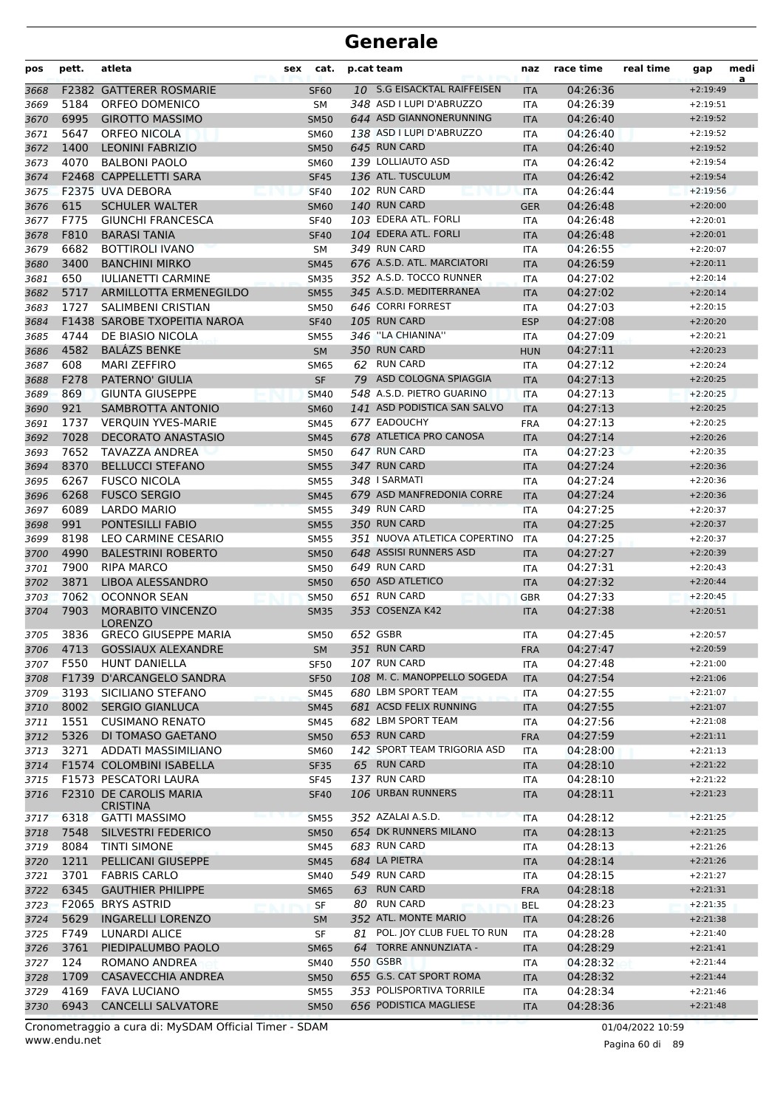| pos          | pett. | atleta                                  | cat.<br>sex       | p.cat team                   | naz        | race time            | real time | gap        | medi<br>a |
|--------------|-------|-----------------------------------------|-------------------|------------------------------|------------|----------------------|-----------|------------|-----------|
| 3668         |       | <b>F2382 GATTERER ROSMARIE</b>          | <b>SF60</b>       | 10 S.G EISACKTAL RAIFFEISEN  | <b>ITA</b> | 04:26:36             |           | $+2:19:49$ |           |
| 3669         | 5184  | ORFEO DOMENICO                          | <b>SM</b>         | 348 ASD I LUPI D'ABRUZZO     | <b>ITA</b> | 04:26:39             |           | $+2:19:51$ |           |
| 3670         | 6995  | <b>GIROTTO MASSIMO</b>                  | <b>SM50</b>       | 644 ASD GIANNONERUNNING      | <b>ITA</b> | 04:26:40             |           | $+2:19:52$ |           |
| 3671         | 5647  | <b>ORFEO NICOLA</b>                     | <b>SM60</b>       | 138 ASD I LUPI D'ABRUZZO     | <b>ITA</b> | 04:26:40             |           | $+2:19:52$ |           |
| 3672         | 1400  | <b>LEONINI FABRIZIO</b>                 | <b>SM50</b>       | 645 RUN CARD                 | <b>ITA</b> | 04:26:40             |           | $+2:19:52$ |           |
| 3673         | 4070  | <b>BALBONI PAOLO</b>                    | <b>SM60</b>       | 139 LOLLIAUTO ASD            | ITA        | 04:26:42             |           | $+2:19:54$ |           |
| 3674         |       | F2468 CAPPELLETTI SARA                  | <b>SF45</b>       | 136 ATL. TUSCULUM            | <b>ITA</b> | 04:26:42             |           | $+2:19:54$ |           |
| 3675         |       | F2375 UVA DEBORA                        | <b>SF40</b>       | 102 RUN CARD                 | <b>ITA</b> | 04:26:44             |           | $+2:19:56$ |           |
| 3676         | 615   | <b>SCHULER WALTER</b>                   | <b>SM60</b>       | 140 RUN CARD                 | <b>GER</b> | 04:26:48             |           | $+2:20:00$ |           |
| 3677         | F775  | <b>GIUNCHI FRANCESCA</b>                | <b>SF40</b>       | 103 EDERA ATL. FORLI         | <b>ITA</b> | 04:26:48             |           | $+2:20:01$ |           |
| 3678         | F810  | <b>BARASI TANIA</b>                     | <b>SF40</b>       | 104 EDERA ATL. FORLI         | <b>ITA</b> | 04:26:48             |           | $+2:20:01$ |           |
| 3679         | 6682  | <b>BOTTIROLI IVANO</b>                  | SΜ                | 349 RUN CARD                 | <b>ITA</b> | 04:26:55             |           | $+2:20:07$ |           |
| 3680         | 3400  | <b>BANCHINI MIRKO</b>                   | <b>SM45</b>       | 676 A.S.D. ATL. MARCIATORI   | <b>ITA</b> | 04:26:59             |           | $+2:20:11$ |           |
| 3681         | 650   | <b>IULIANETTI CARMINE</b>               | <b>SM35</b>       | 352 A.S.D. TOCCO RUNNER      | <b>ITA</b> | 04:27:02             |           | $+2:20:14$ |           |
| 3682         | 5717  | ARMILLOTTA ERMENEGILDO                  | <b>SM55</b>       | 345 A.S.D. MEDITERRANEA      | <b>ITA</b> | 04:27:02             |           | $+2:20:14$ |           |
| 3683         | 1727  | SALIMBENI CRISTIAN                      | <b>SM50</b>       | 646 CORRI FORREST            | ITA        | 04:27:03             |           | $+2:20:15$ |           |
| 3684         |       | F1438 SAROBE TXOPEITIA NAROA            | <b>SF40</b>       | 105 RUN CARD                 | <b>ESP</b> | 04:27:08             |           | $+2:20:20$ |           |
| 3685         | 4744  | DE BIASIO NICOLA                        | <b>SM55</b>       | 346 "LA CHIANINA"            | <b>ITA</b> | 04:27:09             |           | $+2:20:21$ |           |
| 3686         | 4582  | <b>BALÁZS BENKE</b>                     | <b>SM</b>         | 350 RUN CARD                 | <b>HUN</b> | 04:27:11             |           | $+2:20:23$ |           |
| 3687         | 608   | <b>MARI ZEFFIRO</b>                     | <b>SM65</b>       | 62 RUN CARD                  | <b>ITA</b> | 04:27:12             |           | $+2:20:24$ |           |
| 3688         | F278  | PATERNO' GIULIA                         | SF                | 79 ASD COLOGNA SPIAGGIA      | <b>ITA</b> | 04:27:13             |           | $+2:20:25$ |           |
| 3689         | 869   | <b>GIUNTA GIUSEPPE</b>                  | <b>SM40</b>       | 548 A.S.D. PIETRO GUARINO    | <b>ITA</b> | 04:27:13             |           | $+2:20:25$ |           |
| 3690         | 921   | SAMBROTTA ANTONIO                       | <b>SM60</b>       | 141 ASD PODISTICA SAN SALVO  | <b>ITA</b> | 04:27:13             |           | $+2:20:25$ |           |
| 3691         | 1737  | <b>VERQUIN YVES-MARIE</b>               | <b>SM45</b>       | 677 EADOUCHY                 | <b>FRA</b> | 04:27:13             |           | $+2:20:25$ |           |
| 3692         | 7028  | <b>DECORATO ANASTASIO</b>               | <b>SM45</b>       | 678 ATLETICA PRO CANOSA      | <b>ITA</b> | 04:27:14             |           | $+2:20:26$ |           |
| 3693         | 7652  | TAVAZZA ANDREA                          | <b>SM50</b>       | 647 RUN CARD                 | <b>ITA</b> | 04:27:23             |           | $+2:20:35$ |           |
| 3694         | 8370  | <b>BELLUCCI STEFANO</b>                 | <b>SM55</b>       | 347 RUN CARD                 | <b>ITA</b> | 04:27:24             |           | $+2:20:36$ |           |
| 3695         | 6267  | <b>FUSCO NICOLA</b>                     | <b>SM55</b>       | 348 I SARMATI                | <b>ITA</b> | 04:27:24             |           | $+2:20:36$ |           |
| 3696         | 6268  | <b>FUSCO SERGIO</b>                     | <b>SM45</b>       | 679 ASD MANFREDONIA CORRE    | <b>ITA</b> | 04:27:24             |           | $+2:20:36$ |           |
| 3697         | 6089  | <b>LARDO MARIO</b>                      | <b>SM55</b>       | 349 RUN CARD                 | <b>ITA</b> | 04:27:25             |           | $+2:20:37$ |           |
| 3698         | 991   | <b>PONTESILLI FABIO</b>                 | <b>SM55</b>       | 350 RUN CARD                 | <b>ITA</b> | 04:27:25             |           | $+2:20:37$ |           |
| 3699         | 8198  | LEO CARMINE CESARIO                     | <b>SM55</b>       | 351 NUOVA ATLETICA COPERTINO | ITA        | 04:27:25             |           | $+2:20:37$ |           |
| 3700         | 4990  | <b>BALESTRINI ROBERTO</b>               | <b>SM50</b>       | 648 ASSISI RUNNERS ASD       | <b>ITA</b> | 04:27:27             |           | $+2:20:39$ |           |
| 3701         | 7900  | <b>RIPA MARCO</b>                       | <b>SM50</b>       | 649 RUN CARD                 | <b>ITA</b> | 04:27:31             |           | $+2:20:43$ |           |
| 3702         | 3871  | LIBOA ALESSANDRO                        | <b>SM50</b>       | 650 ASD ATLETICO             | <b>ITA</b> | 04:27:32             |           | $+2:20:44$ |           |
| 3703         | 7062  | <b>OCONNOR SEAN</b>                     | <b>SM50</b>       | 651 RUN CARD                 | <b>GBR</b> | 04:27:33             |           | $+2:20:45$ |           |
| 3704         | 7903  | <b>MORABITO VINCENZO</b>                | <b>SM35</b>       | 353 COSENZA K42              | <b>ITA</b> | 04:27:38             |           | $+2:20:51$ |           |
|              |       | LORENZO                                 |                   |                              |            |                      |           |            |           |
| 3705         | 3836  | <b>GRECO GIUSEPPE MARIA</b>             | <b>SM50</b>       | 652 GSBR                     | ITA        | 04:27:45             |           | $+2:20:57$ |           |
| 3706         |       | 4713 GOSSIAUX ALEXANDRE                 | <b>SM</b>         | 351 RUN CARD                 | FRA        | 04:27:47             |           | $+2:20:59$ |           |
| 3707         | F550  | HUNT DANIELLA                           | SF50              | 107 RUN CARD                 | ITA        | 04:27:48             |           | $+2:21:00$ |           |
| 3708         |       | F1739 D'ARCANGELO SANDRA                | <b>SF50</b>       | 108 M. C. MANOPPELLO SOGEDA  | <b>ITA</b> | 04:27:54             |           | $+2:21:06$ |           |
| 3709         | 3193  | SICILIANO STEFANO                       | <b>SM45</b>       | 680 LBM SPORT TEAM           | ITA        | 04:27:55             |           | $+2:21:07$ |           |
| 3710         | 8002  | <b>SERGIO GIANLUCA</b>                  | <b>SM45</b>       | 681 ACSD FELIX RUNNING       | <b>ITA</b> | 04:27:55             |           | $+2:21:07$ |           |
| 3711         | 1551  | <b>CUSIMANO RENATO</b>                  | SM45              | 682 LBM SPORT TEAM           | ITA        | 04:27:56             |           | $+2:21:08$ |           |
| 3712         | 5326  | DI TOMASO GAETANO                       | <b>SM50</b>       | 653 RUN CARD                 | <b>FRA</b> | 04:27:59             |           | $+2:21:11$ |           |
| 3713         | 3271  | ADDATI MASSIMILIANO                     | <b>SM60</b>       | 142 SPORT TEAM TRIGORIA ASD  | ITA        | 04:28:00             |           | $+2:21:13$ |           |
| 3714         |       | F1574 COLOMBINI ISABELLA                | <b>SF35</b>       | 65 RUN CARD                  | <b>ITA</b> | 04:28:10             |           | $+2:21:22$ |           |
| 3715         |       | <b>F1573 PESCATORI LAURA</b>            | <b>SF45</b>       | 137 RUN CARD                 | ITA        | 04:28:10             |           | $+2:21:22$ |           |
| 3716         |       | F2310 DE CAROLIS MARIA                  | <b>SF40</b>       | 106 URBAN RUNNERS            | <b>ITA</b> | 04:28:11             |           | $+2:21:23$ |           |
| 3717         | 6318  | <b>CRISTINA</b><br><b>GATTI MASSIMO</b> | <b>SM55</b>       | 352 AZALAI A.S.D.            | <b>ITA</b> | 04:28:12             |           | $+2:21:25$ |           |
| 3718         | 7548  | SILVESTRI FEDERICO                      | <b>SM50</b>       | 654 DK RUNNERS MILANO        | <b>ITA</b> | 04:28:13             |           | $+2:21:25$ |           |
| 3719         | 8084  | <b>TINTI SIMONE</b>                     | SM45              | 683 RUN CARD                 | ITA        | 04:28:13             |           | $+2:21:26$ |           |
| 3720         | 1211  | PELLICANI GIUSEPPE                      | <b>SM45</b>       | 684 LA PIETRA                | <b>ITA</b> | 04:28:14             |           | $+2:21:26$ |           |
|              | 3701  | <b>FABRIS CARLO</b>                     | SM40              | 549 RUN CARD                 | ITA        | 04:28:15             |           | $+2:21:27$ |           |
| 3721<br>3722 | 6345  | <b>GAUTHIER PHILIPPE</b>                | <b>SM65</b>       | 63 RUN CARD                  | <b>FRA</b> | 04:28:18             |           | $+2:21:31$ |           |
| 3723         |       | F2065 BRYS ASTRID                       |                   | 80 RUN CARD                  | <b>BEL</b> | 04:28:23             |           | $+2:21:35$ |           |
| 3724         | 5629  | <b>INGARELLI LORENZO</b>                | SF                | 352 ATL. MONTE MARIO         | <b>ITA</b> | 04:28:26             |           | $+2:21:38$ |           |
|              | F749  | LUNARDI ALICE                           | <b>SM</b>         | 81 POL. JOY CLUB FUEL TO RUN | ITA        | 04:28:28             |           | $+2:21:40$ |           |
| 3725<br>3726 | 3761  | PIEDIPALUMBO PAOLO                      | SF<br><b>SM65</b> | 64 TORRE ANNUNZIATA -        | <b>ITA</b> | 04:28:29             |           | $+2:21:41$ |           |
|              | 124   | ROMANO ANDREA                           |                   | 550 GSBR                     |            |                      |           | $+2:21:44$ |           |
| 3727         | 1709  | <b>CASAVECCHIA ANDREA</b>               | SM40              | 655 G.S. CAT SPORT ROMA      | ITA        | 04:28:32             |           | $+2:21:44$ |           |
| 3728         | 4169  | <b>FAVA LUCIANO</b>                     | <b>SM50</b>       | 353 POLISPORTIVA TORRILE     | <b>ITA</b> | 04:28:32<br>04:28:34 |           | $+2:21:46$ |           |
| 3729         | 6943  | <b>CANCELLI SALVATORE</b>               | <b>SM55</b>       | 656 PODISTICA MAGLIESE       | ITA        |                      |           |            |           |
| 3730         |       |                                         | <b>SM50</b>       |                              | <b>ITA</b> | 04:28:36             |           | $+2:21:48$ |           |

www.endu.net Cronometraggio a cura di: MySDAM Official Timer - SDAM 01/04/2022 10:59

Pagina 60 di 89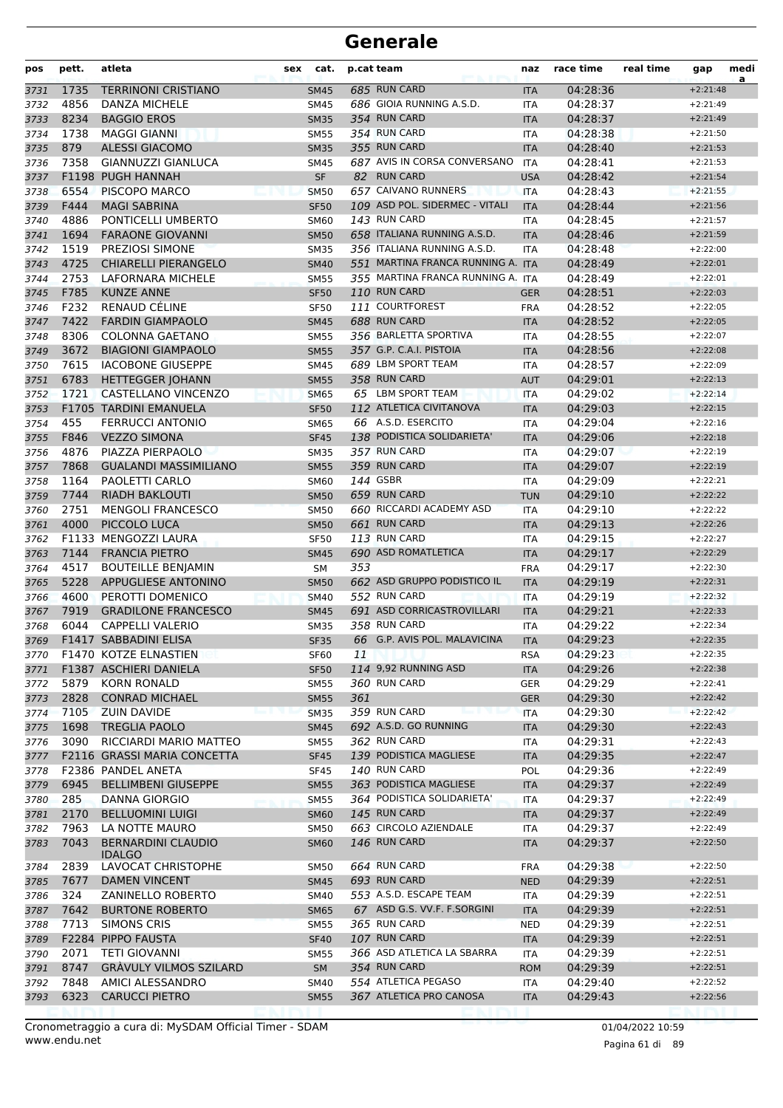| pos          | pett.        | atleta                                           | cat.<br>sex                |     | p.cat team                                     | naz                      | race time            | real time | gap                      | medi<br>a |
|--------------|--------------|--------------------------------------------------|----------------------------|-----|------------------------------------------------|--------------------------|----------------------|-----------|--------------------------|-----------|
| 3731         | 1735         | <b>TERRINONI CRISTIANO</b>                       | <b>SM45</b>                |     | 685 RUN CARD                                   | <b>ITA</b>               | 04:28:36             |           | $+2:21:48$               |           |
| 3732         | 4856         | DANZA MICHELE                                    | <b>SM45</b>                |     | 686 GIOIA RUNNING A.S.D.                       | <b>ITA</b>               | 04:28:37             |           | $+2:21:49$               |           |
| 3733         | 8234         | <b>BAGGIO EROS</b>                               | <b>SM35</b>                |     | 354 RUN CARD                                   | <b>ITA</b>               | 04:28:37             |           | $+2:21:49$               |           |
| 3734         | 1738         | <b>MAGGI GIANNI</b>                              | <b>SM55</b>                |     | 354 RUN CARD                                   | <b>ITA</b>               | 04:28:38             |           | $+2:21:50$               |           |
| 3735         | 879          | <b>ALESSI GIACOMO</b>                            | <b>SM35</b>                |     | 355 RUN CARD                                   | <b>ITA</b>               | 04:28:40             |           | $+2:21:53$               |           |
| 3736         | 7358         | GIANNUZZI GIANLUCA                               | SM45                       |     | 687 AVIS IN CORSA CONVERSANO                   | <b>ITA</b>               | 04:28:41             |           | $+2:21:53$               |           |
| 3737         |              | F1198 PUGH HANNAH                                | <b>SF</b>                  |     | 82 RUN CARD                                    | <b>USA</b>               | 04:28:42             |           | $+2:21:54$               |           |
| 3738         | 6554         | PISCOPO MARCO                                    | <b>SM50</b>                |     | 657 CAIVANO RUNNERS                            | <b>ITA</b>               | 04:28:43             |           | $+2:21:55$               |           |
| 3739         | F444         | <b>MAGI SABRINA</b>                              | <b>SF50</b>                |     | 109 ASD POL. SIDERMEC - VITALI<br>143 RUN CARD | <b>ITA</b>               | 04:28:44             |           | $+2:21:56$               |           |
| 3740         | 4886         | PONTICELLI UMBERTO                               | <b>SM60</b>                |     | 658 ITALIANA RUNNING A.S.D.                    | <b>ITA</b>               | 04:28:45             |           | $+2:21:57$               |           |
| 3741         | 1694<br>1519 | <b>FARAONE GIOVANNI</b>                          | <b>SM50</b>                |     | 356 ITALIANA RUNNING A.S.D.                    | <b>ITA</b>               | 04:28:46             |           | $+2:21:59$               |           |
| 3742         | 4725         | PREZIOSI SIMONE                                  | <b>SM35</b>                |     | 551 MARTINA FRANCA RUNNING A. ITA              | <b>ITA</b>               | 04:28:48             |           | $+2:22:00$<br>$+2:22:01$ |           |
| 3743         | 2753         | <b>CHIARELLI PIERANGELO</b><br>LAFORNARA MICHELE | <b>SM40</b>                |     | 355 MARTINA FRANCA RUNNING A. ITA              |                          | 04:28:49<br>04:28:49 |           | $+2:22:01$               |           |
| 3744<br>3745 | F785         | <b>KUNZE ANNE</b>                                | <b>SM55</b>                |     | 110 RUN CARD                                   |                          | 04:28:51             |           | $+2:22:03$               |           |
| 3746         | F232         | RENAUD CÉLINE                                    | <b>SF50</b><br><b>SF50</b> |     | 111 COURTFOREST                                | <b>GER</b><br><b>FRA</b> | 04:28:52             |           | $+2:22:05$               |           |
| 3747         | 7422         | <b>FARDIN GIAMPAOLO</b>                          | <b>SM45</b>                |     | 688 RUN CARD                                   | <b>ITA</b>               | 04:28:52             |           | $+2:22:05$               |           |
| 3748         | 8306         | <b>COLONNA GAETANO</b>                           | <b>SM55</b>                |     | 356 BARLETTA SPORTIVA                          | <b>ITA</b>               | 04:28:55             |           | $+2:22:07$               |           |
| 3749         | 3672         | <b>BIAGIONI GIAMPAOLO</b>                        | <b>SM55</b>                |     | 357 G.P. C.A.I. PISTOIA                        | <b>ITA</b>               | 04:28:56             |           | $+2:22:08$               |           |
| 3750         | 7615         | <b>IACOBONE GIUSEPPE</b>                         | <b>SM45</b>                |     | 689 LBM SPORT TEAM                             | ITA                      | 04:28:57             |           | $+2:22:09$               |           |
| 3751         | 6783         | <b>HETTEGGER JOHANN</b>                          | <b>SM55</b>                |     | 358 RUN CARD                                   | <b>AUT</b>               | 04:29:01             |           | $+2:22:13$               |           |
| 3752         | 1721         | CASTELLANO VINCENZO                              | <b>SM65</b>                |     | 65 LBM SPORT TEAM                              | <b>ITA</b>               | 04:29:02             |           | $+2:22:14$               |           |
| 3753         |              | F1705 TARDINI EMANUELA                           | <b>SF50</b>                |     | 112 ATLETICA CIVITANOVA                        | <b>ITA</b>               | 04:29:03             |           | $+2:22:15$               |           |
| 3754         | 455          | <b>FERRUCCI ANTONIO</b>                          | <b>SM65</b>                |     | 66 A.S.D. ESERCITO                             | <b>ITA</b>               | 04:29:04             |           | $+2:22:16$               |           |
| 3755         | F846         | <b>VEZZO SIMONA</b>                              | <b>SF45</b>                |     | 138 PODISTICA SOLIDARIETA'                     | <b>ITA</b>               | 04:29:06             |           | $+2:22:18$               |           |
| 3756         | 4876         | PIAZZA PIERPAOLO                                 | <b>SM35</b>                |     | 357 RUN CARD                                   | <b>ITA</b>               | 04:29:07             |           | $+2:22:19$               |           |
| 3757         | 7868         | <b>GUALANDI MASSIMILIANO</b>                     | <b>SM55</b>                |     | 359 RUN CARD                                   | <b>ITA</b>               | 04:29:07             |           | $+2:22:19$               |           |
| 3758         | 1164         | PAOLETTI CARLO                                   | <b>SM60</b>                |     | 144 GSBR                                       | <b>ITA</b>               | 04:29:09             |           | $+2:22:21$               |           |
| 3759         | 7744         | <b>RIADH BAKLOUTI</b>                            | <b>SM50</b>                |     | 659 RUN CARD                                   | <b>TUN</b>               | 04:29:10             |           | $+2:22:22$               |           |
| 3760         | 2751         | <b>MENGOLI FRANCESCO</b>                         | <b>SM50</b>                |     | 660 RICCARDI ACADEMY ASD                       | <b>ITA</b>               | 04:29:10             |           | $+2:22:22$               |           |
| 3761         | 4000         | PICCOLO LUCA                                     | <b>SM50</b>                |     | 661 RUN CARD                                   | <b>ITA</b>               | 04:29:13             |           | $+2:22:26$               |           |
| 3762         |              | F1133 MENGOZZI LAURA                             | <b>SF50</b>                |     | 113 RUN CARD                                   | <b>ITA</b>               | 04:29:15             |           | $+2:22:27$               |           |
| 3763         | 7144         | <b>FRANCIA PIETRO</b>                            | <b>SM45</b>                |     | 690 ASD ROMATLETICA                            | <b>ITA</b>               | 04:29:17             |           | $+2:22:29$               |           |
| 3764         | 4517         | <b>BOUTEILLE BENJAMIN</b>                        | SМ                         | 353 |                                                | <b>FRA</b>               | 04:29:17             |           | $+2:22:30$               |           |
| 3765         | 5228         | APPUGLIESE ANTONINO                              | <b>SM50</b>                |     | 662 ASD GRUPPO PODISTICO IL                    | <b>ITA</b>               | 04:29:19             |           | $+2:22:31$               |           |
| 3766         | 4600         | PEROTTI DOMENICO                                 | <b>SM40</b>                |     | 552 RUN CARD                                   | <b>ITA</b>               | 04:29:19             |           | $+2:22:32$               |           |
| 3767         | 7919         | <b>GRADILONE FRANCESCO</b>                       | <b>SM45</b>                |     | 691 ASD CORRICASTROVILLARI                     | <b>ITA</b>               | 04:29:21             |           | $+2:22:33$               |           |
| 3768         | 6044         | <b>CAPPELLI VALERIO</b>                          | <b>SM35</b>                |     | 358 RUN CARD                                   | <b>ITA</b>               | 04:29:22             |           | $+2:22:34$               |           |
| 3769         |              | F1417 SABBADINI ELISA                            | <b>SF35</b>                |     | 66 G.P. AVIS POL. MALAVICINA                   | <b>ITA</b>               | 04:29:23             |           | $+2:22:35$               |           |
| 3770         |              | F1470 KOTZE ELNASTIEN                            | <b>SF60</b>                | 11  |                                                | <b>RSA</b>               | 04:29:23             |           | $+2:22:35$               |           |
| 3771         |              | F1387 ASCHIERI DANIELA                           | <b>SF50</b>                |     | 114 9,92 RUNNING ASD                           | <b>ITA</b>               | 04:29:26             |           | $+2:22:38$               |           |
| 3772         | 5879         | <b>KORN RONALD</b>                               | <b>SM55</b>                |     | 360 RUN CARD                                   | GER                      | 04:29:29             |           | $+2:22:41$               |           |
| 3773         | 2828         | <b>CONRAD MICHAEL</b>                            | <b>SM55</b>                | 361 |                                                | <b>GER</b>               | 04:29:30             |           | $+2:22:42$               |           |
| 3774         | 7105         | <b>ZUIN DAVIDE</b>                               | <b>SM35</b>                |     | 359 RUN CARD                                   | <b>ITA</b>               | 04:29:30             |           | $+2:22:42$               |           |
| 3775         | 1698         | <b>TREGLIA PAOLO</b>                             | <b>SM45</b>                |     | 692 A.S.D. GO RUNNING                          | <b>ITA</b>               | 04:29:30             |           | $+2:22:43$               |           |
| 3776         | 3090         | RICCIARDI MARIO MATTEO                           | <b>SM55</b>                |     | 362 RUN CARD                                   | ITA                      | 04:29:31             |           | $+2:22:43$               |           |
| 3777         |              | F2116 GRASSI MARIA CONCETTA                      | <b>SF45</b>                |     | 139 PODISTICA MAGLIESE                         | <b>ITA</b>               | 04:29:35             |           | $+2:22:47$               |           |
| 3778         |              | F2386 PANDEL ANETA                               | <b>SF45</b>                |     | 140 RUN CARD                                   | <b>POL</b>               | 04:29:36             |           | $+2:22:49$               |           |
| 3779         | 6945         | <b>BELLIMBENI GIUSEPPE</b>                       | <b>SM55</b>                |     | 363 PODISTICA MAGLIESE                         | <b>ITA</b>               | 04:29:37             |           | $+2:22:49$               |           |
| 3780         | 285          | <b>DANNA GIORGIO</b>                             | <b>SM55</b>                |     | 364 PODISTICA SOLIDARIETA'                     | <b>ITA</b>               | 04:29:37             |           | $+2:22:49$               |           |
| 3781         | 2170         | <b>BELLUOMINI LUIGI</b>                          | <b>SM60</b>                |     | <b>145 RUN CARD</b>                            | <b>ITA</b>               | 04:29:37             |           | $+2:22:49$               |           |
| 3782         | 7963<br>7043 | LA NOTTE MAURO<br><b>BERNARDINI CLAUDIO</b>      | <b>SM50</b>                |     | 663 CIRCOLO AZIENDALE<br><b>146 RUN CARD</b>   | ITA                      | 04:29:37<br>04:29:37 |           | $+2:22:49$               |           |
| 3783         |              | <b>IDALGO</b>                                    | <b>SM60</b>                |     |                                                | <b>ITA</b>               |                      |           | $+2:22:50$               |           |
| 3784         | 2839         | LAVOCAT CHRISTOPHE                               | <b>SM50</b>                |     | 664 RUN CARD                                   | <b>FRA</b>               | 04:29:38             |           | $+2:22:50$               |           |
| 3785         | 7677         | <b>DAMEN VINCENT</b>                             | <b>SM45</b>                |     | 693 RUN CARD                                   | <b>NED</b>               | 04:29:39             |           | $+2:22:51$               |           |
| 3786         | 324          | ZANINELLO ROBERTO                                | SM40                       |     | 553 A.S.D. ESCAPE TEAM                         | ITA                      | 04:29:39             |           | $+2:22:51$               |           |
| 3787         | 7642         | <b>BURTONE ROBERTO</b>                           | <b>SM65</b>                |     | 67 ASD G.S. VV.F. F.SORGINI                    | <b>ITA</b>               | 04:29:39             |           | $+2:22:51$               |           |
| 3788         | 7713         | <b>SIMONS CRIS</b>                               | <b>SM55</b>                |     | 365 RUN CARD<br>107 RUN CARD                   | <b>NED</b>               | 04:29:39             |           | $+2:22:51$               |           |
| 3789         | 2071         | F2284 PIPPO FAUSTA<br><b>TETI GIOVANNI</b>       | <b>SF40</b>                |     | 366 ASD ATLETICA LA SBARRA                     | <b>ITA</b>               | 04:29:39<br>04:29:39 |           | $+2:22:51$<br>$+2:22:51$ |           |
| 3790<br>3791 | 8747         | <b>GRAVULY VILMOS SZILARD</b>                    | <b>SM55</b><br>SM          |     | 354 RUN CARD                                   | ITA<br><b>ROM</b>        | 04:29:39             |           | $+2:22:51$               |           |
| 3792         | 7848         | AMICI ALESSANDRO                                 | <b>SM40</b>                |     | 554 ATLETICA PEGASO                            | ITA                      | 04:29:40             |           | $+2:22:52$               |           |
| 3793         | 6323         | <b>CARUCCI PIETRO</b>                            | <b>SM55</b>                |     | 367 ATLETICA PRO CANOSA                        | <b>ITA</b>               | 04:29:43             |           | $+2:22:56$               |           |
|              |              |                                                  |                            |     |                                                |                          |                      |           |                          |           |

www.endu.net Cronometraggio a cura di: MySDAM Official Timer - SDAM 01/04/2022 10:59 01/04/2022 10:59

Pagina 61 di 89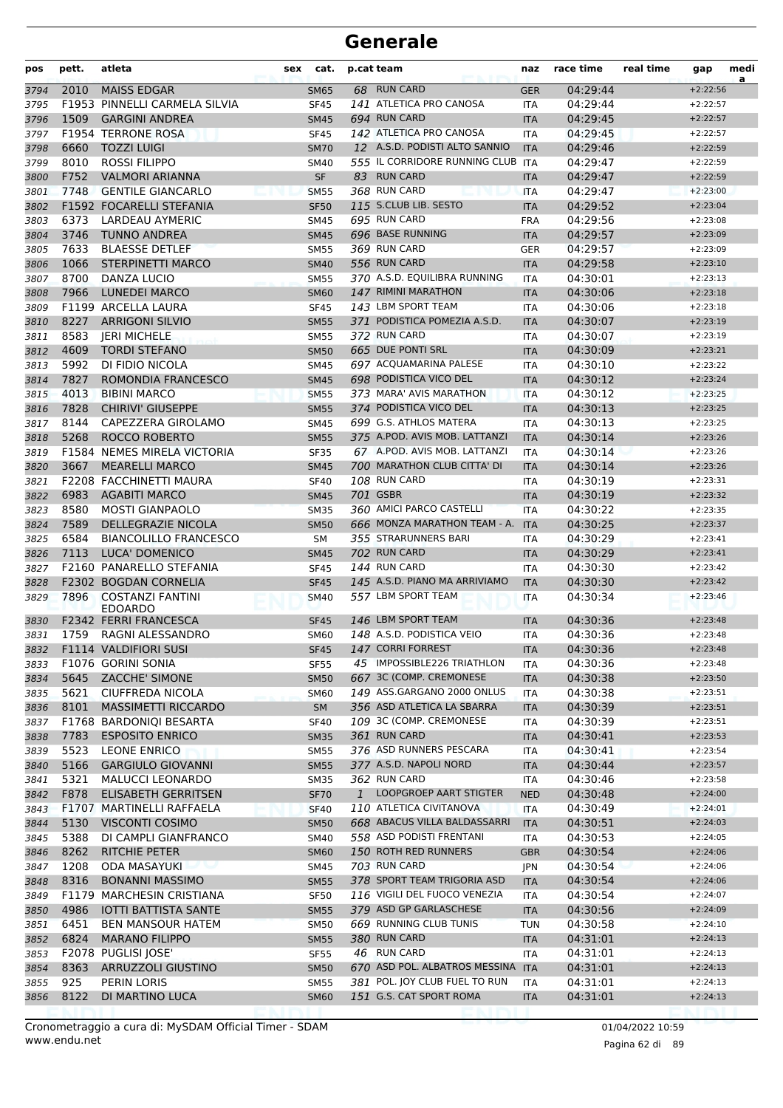| pos  | pett. | atleta                                    | cat.<br>sex |              | p.cat team                        | naz        | race time | real time | gap        | medi<br>a |
|------|-------|-------------------------------------------|-------------|--------------|-----------------------------------|------------|-----------|-----------|------------|-----------|
| 3794 | 2010  | <b>MAISS EDGAR</b>                        | <b>SM65</b> |              | 68 RUN CARD                       | <b>GER</b> | 04:29:44  |           | $+2:22:56$ |           |
| 3795 |       | F1953 PINNELLI CARMELA SILVIA             | <b>SF45</b> |              | 141 ATLETICA PRO CANOSA           | <b>ITA</b> | 04:29:44  |           | $+2:22:57$ |           |
| 3796 | 1509  | <b>GARGINI ANDREA</b>                     | <b>SM45</b> |              | 694 RUN CARD                      | <b>ITA</b> | 04:29:45  |           | $+2:22:57$ |           |
| 3797 |       | F1954 TERRONE ROSA                        | <b>SF45</b> |              | 142 ATLETICA PRO CANOSA           | ITA        | 04:29:45  |           | $+2:22:57$ |           |
| 3798 | 6660  | <b>TOZZI LUIGI</b>                        | <b>SM70</b> |              | 12 A.S.D. PODISTI ALTO SANNIO     | <b>ITA</b> | 04:29:46  |           | $+2:22:59$ |           |
| 3799 | 8010  | <b>ROSSI FILIPPO</b>                      | <b>SM40</b> |              | 555 IL CORRIDORE RUNNING CLUB ITA |            | 04:29:47  |           | $+2:22:59$ |           |
| 3800 | F752  | <b>VALMORI ARIANNA</b>                    | SF          |              | 83 RUN CARD                       | <b>ITA</b> | 04:29:47  |           | $+2:22:59$ |           |
| 3801 | 7748  | <b>GENTILE GIANCARLO</b>                  | <b>SM55</b> |              | 368 RUN CARD                      | <b>ITA</b> | 04:29:47  |           | $+2:23:00$ |           |
| 3802 |       | F1592 FOCARELLI STEFANIA                  | <b>SF50</b> |              | 115 S.CLUB LIB. SESTO             | <b>ITA</b> | 04:29:52  |           | $+2:23:04$ |           |
| 3803 | 6373  | <b>LARDEAU AYMERIC</b>                    | <b>SM45</b> |              | 695 RUN CARD                      | <b>FRA</b> | 04:29:56  |           | $+2:23:08$ |           |
| 3804 | 3746  | <b>TUNNO ANDREA</b>                       | <b>SM45</b> |              | 696 BASE RUNNING                  | <b>ITA</b> | 04:29:57  |           | $+2:23:09$ |           |
| 3805 | 7633  | <b>BLAESSE DETLEF</b>                     | <b>SM55</b> |              | 369 RUN CARD                      | <b>GER</b> | 04:29:57  |           | $+2:23:09$ |           |
| 3806 | 1066  | <b>STERPINETTI MARCO</b>                  | <b>SM40</b> |              | 556 RUN CARD                      | <b>ITA</b> | 04:29:58  |           | $+2:23:10$ |           |
| 3807 | 8700  | DANZA LUCIO                               | <b>SM55</b> |              | 370 A.S.D. EQUILIBRA RUNNING      | ITA        | 04:30:01  |           | $+2:23:13$ |           |
| 3808 | 7966  | <b>LUNEDEI MARCO</b>                      | <b>SM60</b> |              | 147 RIMINI MARATHON               | <b>ITA</b> | 04:30:06  |           | $+2:23:18$ |           |
| 3809 |       | F1199 ARCELLA LAURA                       | <b>SF45</b> |              | 143 LBM SPORT TEAM                | <b>ITA</b> | 04:30:06  |           | $+2:23:18$ |           |
| 3810 | 8227  | <b>ARRIGONI SILVIO</b>                    | <b>SM55</b> |              | 371 PODISTICA POMEZIA A.S.D.      | <b>ITA</b> | 04:30:07  |           | $+2:23:19$ |           |
| 3811 | 8583  | <b>JERI MICHELE</b>                       | <b>SM55</b> |              | 372 RUN CARD                      | <b>ITA</b> | 04:30:07  |           | $+2:23:19$ |           |
| 3812 | 4609  | <b>TORDI STEFANO</b>                      | <b>SM50</b> |              | 665 DUE PONTI SRL                 | <b>ITA</b> | 04:30:09  |           | $+2:23:21$ |           |
| 3813 | 5992  | DI FIDIO NICOLA                           | <b>SM45</b> |              | 697 ACQUAMARINA PALESE            | <b>ITA</b> | 04:30:10  |           | $+2:23:22$ |           |
| 3814 | 7827  | ROMONDIA FRANCESCO                        | <b>SM45</b> |              | 698 PODISTICA VICO DEL            | <b>ITA</b> | 04:30:12  |           | $+2:23:24$ |           |
| 3815 | 4013  | <b>BIBINI MARCO</b>                       | <b>SM55</b> |              | 373 MARA' AVIS MARATHON           | <b>ITA</b> | 04:30:12  |           | $+2:23:25$ |           |
| 3816 | 7828  | <b>CHIRIVI' GIUSEPPE</b>                  | <b>SM55</b> |              | 374 PODISTICA VICO DEL            | <b>ITA</b> | 04:30:13  |           | $+2:23:25$ |           |
| 3817 | 8144  | CAPEZZERA GIROLAMO                        | <b>SM45</b> |              | 699 G.S. ATHLOS MATERA            | <b>ITA</b> | 04:30:13  |           | $+2:23:25$ |           |
| 3818 | 5268  | <b>ROCCO ROBERTO</b>                      | <b>SM55</b> |              | 375 A.POD. AVIS MOB. LATTANZI     | <b>ITA</b> | 04:30:14  |           | $+2:23:26$ |           |
| 3819 |       | F1584 NEMES MIRELA VICTORIA               | SF35        |              | 67 A.POD. AVIS MOB. LATTANZI      | <b>ITA</b> | 04:30:14  |           | $+2:23:26$ |           |
| 3820 | 3667  | <b>MEARELLI MARCO</b>                     | <b>SM45</b> |              | 700 MARATHON CLUB CITTA' DI       | <b>ITA</b> | 04:30:14  |           | $+2:23:26$ |           |
| 3821 |       | F2208 FACCHINETTI MAURA                   | <b>SF40</b> |              | 108 RUN CARD                      | ITA        | 04:30:19  |           | $+2:23:31$ |           |
| 3822 | 6983  | <b>AGABITI MARCO</b>                      | <b>SM45</b> |              | <b>701 GSBR</b>                   | <b>ITA</b> | 04:30:19  |           | $+2:23:32$ |           |
| 3823 | 8580  | <b>MOSTI GIANPAOLO</b>                    | <b>SM35</b> |              | 360 AMICI PARCO CASTELLI          | <b>ITA</b> | 04:30:22  |           | $+2:23:35$ |           |
| 3824 | 7589  | <b>DELLEGRAZIE NICOLA</b>                 | <b>SM50</b> |              | 666 MONZA MARATHON TEAM - A.      | <b>ITA</b> | 04:30:25  |           | $+2:23:37$ |           |
| 3825 | 6584  | <b>BIANCOLILLO FRANCESCO</b>              | SM          |              | 355 STRARUNNERS BARI              | ITA        | 04:30:29  |           | $+2:23:41$ |           |
| 3826 | 7113  | LUCA' DOMENICO                            | <b>SM45</b> |              | 702 RUN CARD                      | <b>ITA</b> | 04:30:29  |           | $+2:23:41$ |           |
| 3827 |       | F2160 PANARELLO STEFANIA                  | <b>SF45</b> |              | 144 RUN CARD                      | ITA        | 04:30:30  |           | $+2:23:42$ |           |
| 3828 |       | F2302 BOGDAN CORNELIA                     | <b>SF45</b> |              | 145 A.S.D. PIANO MA ARRIVIAMO     | <b>ITA</b> | 04:30:30  |           | $+2:23:42$ |           |
| 3829 | 7896  | <b>COSTANZI FANTINI</b><br><b>EDOARDO</b> | <b>SM40</b> |              | 557 LBM SPORT TEAM                | ITA        | 04:30:34  |           | $+2:23:46$ |           |
| 3830 |       | <b>F2342 FERRI FRANCESCA</b>              | <b>SF45</b> |              | 146 LBM SPORT TEAM                | <b>ITA</b> | 04:30:36  |           | $+2:23:48$ |           |
| 3831 |       | 1759 RAGNI ALESSANDRO                     | <b>SM60</b> |              | 148 A.S.D. PODISTICA VEIO         | ITA        | 04:30:36  |           | $+2:23:48$ |           |
| 3832 |       | F1114 VALDIFIORI SUSI                     | <b>SF45</b> |              | 147 CORRI FORREST                 | <b>ITA</b> | 04:30:36  |           | $+2:23:48$ |           |
| 3833 |       | F1076 GORINI SONIA                        | <b>SF55</b> |              | 45 IMPOSSIBLE226 TRIATHLON        | ITA        | 04:30:36  |           | $+2:23:48$ |           |
| 3834 | 5645  | <b>ZACCHE' SIMONE</b>                     | <b>SM50</b> |              | 667 3C (COMP. CREMONESE           | ITA        | 04:30:38  |           | $+2:23:50$ |           |
| 3835 | 5621  | CIUFFREDA NICOLA                          | <b>SM60</b> |              | 149 ASS.GARGANO 2000 ONLUS        | <b>ITA</b> | 04:30:38  |           | $+2:23:51$ |           |
| 3836 | 8101  | <b>MASSIMETTI RICCARDO</b>                | <b>SM</b>   |              | 356 ASD ATLETICA LA SBARRA        | <b>ITA</b> | 04:30:39  |           | $+2:23:51$ |           |
| 3837 |       | F1768 BARDONIQI BESARTA                   | <b>SF40</b> |              | 109 3C (COMP. CREMONESE           | ITA        | 04:30:39  |           | $+2:23:51$ |           |
| 3838 | 7783  | <b>ESPOSITO ENRICO</b>                    | <b>SM35</b> |              | 361 RUN CARD                      | <b>ITA</b> | 04:30:41  |           | $+2:23:53$ |           |
| 3839 | 5523  | <b>LEONE ENRICO</b>                       | <b>SM55</b> |              | 376 ASD RUNNERS PESCARA           | ITA        | 04:30:41  |           | $+2:23:54$ |           |
| 3840 | 5166  | <b>GARGIULO GIOVANNI</b>                  | <b>SM55</b> |              | 377 A.S.D. NAPOLI NORD            | <b>ITA</b> | 04:30:44  |           | $+2:23:57$ |           |
| 3841 | 5321  | <b>MALUCCI LEONARDO</b>                   | <b>SM35</b> |              | 362 RUN CARD                      | ITA        | 04:30:46  |           | $+2:23:58$ |           |
| 3842 | F878  | <b>ELISABETH GERRITSEN</b>                | <b>SF70</b> | $\mathbf{1}$ | <b>LOOPGROEP AART STIGTER</b>     | <b>NED</b> | 04:30:48  |           | $+2:24:00$ |           |
| 3843 |       | F1707 MARTINELLI RAFFAELA                 | <b>SF40</b> |              | 110 ATLETICA CIVITANOVA           | ITA        | 04:30:49  |           | $+2:24:01$ |           |
| 3844 | 5130  | <b>VISCONTI COSIMO</b>                    | <b>SM50</b> |              | 668 ABACUS VILLA BALDASSARRI      | <b>ITA</b> | 04:30:51  |           | $+2:24:03$ |           |
| 3845 | 5388  | DI CAMPLI GIANFRANCO                      | <b>SM40</b> |              | 558 ASD PODISTI FRENTANI          | ITA        | 04:30:53  |           | $+2:24:05$ |           |
| 3846 | 8262  | <b>RITCHIE PETER</b>                      | <b>SM60</b> |              | 150 ROTH RED RUNNERS              | <b>GBR</b> | 04:30:54  |           | $+2:24:06$ |           |
| 3847 | 1208  | ODA MASAYUKI                              | SM45        |              | 703 RUN CARD                      | JPN        | 04:30:54  |           | $+2:24:06$ |           |
| 3848 | 8316  | <b>BONANNI MASSIMO</b>                    | <b>SM55</b> |              | 378 SPORT TEAM TRIGORIA ASD       | <b>ITA</b> | 04:30:54  |           | $+2:24:06$ |           |
| 3849 |       | F1179 MARCHESIN CRISTIANA                 | <b>SF50</b> |              | 116 VIGILI DEL FUOCO VENEZIA      | ITA        | 04:30:54  |           | $+2:24:07$ |           |
| 3850 | 4986  | <b>IOTTI BATTISTA SANTE</b>               | <b>SM55</b> |              | 379 ASD GP GARLASCHESE            | <b>ITA</b> | 04:30:56  |           | $+2:24:09$ |           |
| 3851 | 6451  | <b>BEN MANSOUR HATEM</b>                  | <b>SM50</b> |              | 669 RUNNING CLUB TUNIS            | <b>TUN</b> | 04:30:58  |           | $+2:24:10$ |           |
| 3852 | 6824  | <b>MARANO FILIPPO</b>                     | <b>SM55</b> |              | 380 RUN CARD                      | <b>ITA</b> | 04:31:01  |           | $+2:24:13$ |           |
| 3853 |       | F2078 PUGLISI JOSE'                       | <b>SF55</b> |              | 46 RUN CARD                       | ITA        | 04:31:01  |           | $+2:24:13$ |           |
| 3854 | 8363  | <b>ARRUZZOLI GIUSTINO</b>                 | <b>SM50</b> |              | 670 ASD POL. ALBATROS MESSINA     | <b>ITA</b> | 04:31:01  |           | $+2:24:13$ |           |
| 3855 | 925   | PERIN LORIS                               | <b>SM55</b> |              | 381 POL. JOY CLUB FUEL TO RUN     | <b>ITA</b> | 04:31:01  |           | $+2:24:13$ |           |
| 3856 | 8122  | DI MARTINO LUCA                           | <b>SM60</b> |              | 151 G.S. CAT SPORT ROMA           | <b>ITA</b> | 04:31:01  |           | $+2:24:13$ |           |

www.endu.net Cronometraggio a cura di: MySDAM Official Timer - SDAM 01/04/2022 10:59 01/04/2022 10:59

Pagina 62 di 89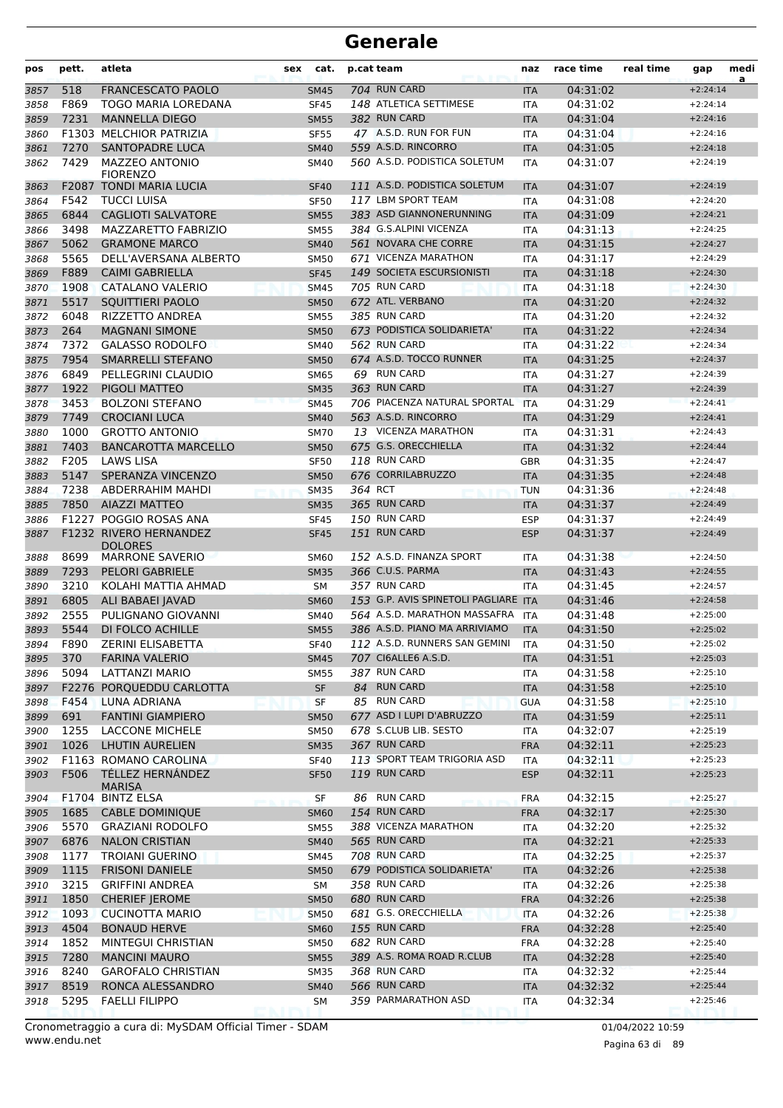| pos          | pett.        | atleta                                    | sex | cat.                       | p.cat team |                                                   | naz                      | race time            | real time | gap                      | medi<br>a |
|--------------|--------------|-------------------------------------------|-----|----------------------------|------------|---------------------------------------------------|--------------------------|----------------------|-----------|--------------------------|-----------|
| 3857         | 518          | <b>FRANCESCATO PAOLO</b>                  |     | <b>SM45</b>                |            | 704 RUN CARD                                      | <b>ITA</b>               | 04:31:02             |           | $+2:24:14$               |           |
| 3858         | F869         | TOGO MARIA LOREDANA                       |     | <b>SF45</b>                |            | 148 ATLETICA SETTIMESE                            | ITA                      | 04:31:02             |           | $+2:24:14$               |           |
| 3859         | 7231         | <b>MANNELLA DIEGO</b>                     |     | <b>SM55</b>                |            | 382 RUN CARD                                      | <b>ITA</b>               | 04:31:04             |           | $+2:24:16$               |           |
| 3860         |              | F1303 MELCHIOR PATRIZIA                   |     | <b>SF55</b>                |            | 47 A.S.D. RUN FOR FUN                             | <b>ITA</b>               | 04:31:04             |           | $+2:24:16$               |           |
| 3861         | 7270         | SANTOPADRE LUCA                           |     | <b>SM40</b>                |            | 559 A.S.D. RINCORRO                               | <b>ITA</b>               | 04:31:05             |           | $+2:24:18$               |           |
| 3862         | 7429         | <b>MAZZEO ANTONIO</b><br><b>FIORENZO</b>  |     | SM40                       |            | 560 A.S.D. PODISTICA SOLETUM                      | ITA                      | 04:31:07             |           | $+2:24:19$               |           |
| 3863         |              | <b>F2087 TONDI MARIA LUCIA</b>            |     | <b>SF40</b>                |            | 111 A.S.D. PODISTICA SOLETUM                      | <b>ITA</b>               | 04:31:07             |           | $+2:24:19$               |           |
| 3864         | F542         | <b>TUCCI LUISA</b>                        |     | <b>SF50</b>                |            | 117 LBM SPORT TEAM                                | <b>ITA</b>               | 04:31:08             |           | $+2:24:20$               |           |
| 3865         | 6844         | <b>CAGLIOTI SALVATORE</b>                 |     | <b>SM55</b>                |            | 383 ASD GIANNONERUNNING                           | <b>ITA</b>               | 04:31:09             |           | $+2:24:21$               |           |
| 3866         | 3498         | <b>MAZZARETTO FABRIZIO</b>                |     | <b>SM55</b>                |            | 384 G.S.ALPINI VICENZA                            | <b>ITA</b>               | 04:31:13             |           | $+2:24:25$               |           |
| 3867         | 5062         | <b>GRAMONE MARCO</b>                      |     | <b>SM40</b>                |            | 561 NOVARA CHE CORRE                              | <b>ITA</b>               | 04:31:15             |           | $+2:24:27$               |           |
| 3868         | 5565         | DELL'AVERSANA ALBERTO                     |     | <b>SM50</b>                |            | 671 VICENZA MARATHON                              | <b>ITA</b>               | 04:31:17             |           | $+2:24:29$               |           |
| 3869         | F889         | <b>CAIMI GABRIELLA</b>                    |     | <b>SF45</b>                |            | 149 SOCIETA ESCURSIONISTI                         | <b>ITA</b>               | 04:31:18             |           | $+2:24:30$               |           |
| 3870         | 1908<br>5517 | CATALANO VALERIO                          |     | <b>SM45</b>                |            | 705 RUN CARD<br>672 ATL. VERBANO                  | <b>ITA</b>               | 04:31:18             |           | $+2:24:30$               |           |
| 3871<br>3872 | 6048         | SQUITTIERI PAOLO<br>RIZZETTO ANDREA       |     | <b>SM50</b><br><b>SM55</b> |            | 385 RUN CARD                                      | <b>ITA</b><br><b>ITA</b> | 04:31:20<br>04:31:20 |           | $+2:24:32$<br>$+2:24:32$ |           |
| 3873         | 264          | <b>MAGNANI SIMONE</b>                     |     | <b>SM50</b>                |            | 673 PODISTICA SOLIDARIETA'                        | <b>ITA</b>               | 04:31:22             |           | $+2:24:34$               |           |
| 3874         | 7372         | <b>GALASSO RODOLFO</b>                    |     | <b>SM40</b>                |            | 562 RUN CARD                                      | <b>ITA</b>               | 04:31:22             |           | $+2:24:34$               |           |
| 3875         | 7954         | SMARRELLI STEFANO                         |     | <b>SM50</b>                |            | 674 A.S.D. TOCCO RUNNER                           | <b>ITA</b>               | 04:31:25             |           | $+2:24:37$               |           |
| 3876         | 6849         | PELLEGRINI CLAUDIO                        |     | <b>SM65</b>                |            | 69 RUN CARD                                       | <b>ITA</b>               | 04:31:27             |           | $+2:24:39$               |           |
| 3877         | 1922         | PIGOLI MATTEO                             |     | <b>SM35</b>                |            | 363 RUN CARD                                      | <b>ITA</b>               | 04:31:27             |           | $+2:24:39$               |           |
| 3878         | 3453         | <b>BOLZONI STEFANO</b>                    |     | <b>SM45</b>                |            | 706 PIACENZA NATURAL SPORTAL                      | <b>ITA</b>               | 04:31:29             |           | $+2:24:41$               |           |
| 3879         | 7749         | <b>CROCIANI LUCA</b>                      |     | <b>SM40</b>                |            | 563 A.S.D. RINCORRO                               | <b>ITA</b>               | 04:31:29             |           | $+2:24:41$               |           |
| 3880         | 1000         | <b>GROTTO ANTONIO</b>                     |     | <b>SM70</b>                |            | 13 VICENZA MARATHON                               | <b>ITA</b>               | 04:31:31             |           | $+2:24:43$               |           |
| 3881         | 7403         | <b>BANCAROTTA MARCELLO</b>                |     | <b>SM50</b>                |            | 675 G.S. ORECCHIELLA                              | <b>ITA</b>               | 04:31:32             |           | $+2:24:44$               |           |
| 3882         | F205         | <b>LAWS LISA</b>                          |     | <b>SF50</b>                |            | 118 RUN CARD                                      | <b>GBR</b>               | 04:31:35             |           | $+2:24:47$               |           |
| 3883         | 5147         | SPERANZA VINCENZO                         |     | <b>SM50</b>                |            | 676 CORRILABRUZZO                                 | <b>ITA</b>               | 04:31:35             |           | $+2:24:48$               |           |
| 3884         | 7238         | ABDERRAHIM MAHDI                          |     | <b>SM35</b>                | 364 RCT    |                                                   | <b>TUN</b>               | 04:31:36             |           | $+2:24:48$               |           |
| 3885         | 7850         | <b>AIAZZI MATTEO</b>                      |     | <b>SM35</b>                |            | 365 RUN CARD                                      | <b>ITA</b>               | 04:31:37             |           | $+2:24:49$               |           |
| 3886         |              | F1227 POGGIO ROSAS ANA                    |     | <b>SF45</b>                |            | 150 RUN CARD                                      | <b>ESP</b>               | 04:31:37             |           | $+2:24:49$               |           |
| 3887         |              | F1232 RIVERO HERNANDEZ<br><b>DOLORES</b>  |     | <b>SF45</b>                |            | 151 RUN CARD                                      | <b>ESP</b>               | 04:31:37             |           | $+2:24:49$               |           |
| 3888         | 8699         | <b>MARRONE SAVERIO</b>                    |     | <b>SM60</b>                |            | 152 A.S.D. FINANZA SPORT                          | <b>ITA</b>               | 04:31:38             |           | $+2:24:50$               |           |
| 3889         | 7293         | <b>PELORI GABRIELE</b>                    |     | <b>SM35</b>                |            | 366 C.U.S. PARMA                                  | <b>ITA</b>               | 04:31:43             |           | $+2:24:55$               |           |
| 3890         | 3210         | KOLAHI MATTIA AHMAD                       |     | SM                         |            | 357 RUN CARD                                      | ITA                      | 04:31:45             |           | $+2:24:57$               |           |
| 3891         | 6805         | ALI BABAEI JAVAD                          |     | <b>SM60</b>                |            | 153 G.P. AVIS SPINETOLI PAGLIARE ITA              |                          | 04:31:46             |           | $+2:24:58$               |           |
| 3892         | 2555         | PULIGNANO GIOVANNI                        |     | <b>SM40</b>                |            | 564 A.S.D. MARATHON MASSAFRA                      | <b>ITA</b>               | 04:31:48             |           | $+2:25:00$               |           |
| 3893         | 5544         | DI FOLCO ACHILLE                          |     | <b>SM55</b>                |            | 386 A.S.D. PIANO MA ARRIVIAMO                     | <b>ITA</b>               | 04:31:50             |           | $+2:25:02$               |           |
| 3894         | F890         | <b>ZERINI ELISABETTA</b>                  |     | <b>SF40</b>                |            | 112 A.S.D. RUNNERS SAN GEMINI                     | <b>ITA</b>               | 04:31:50             |           | $+2:25:02$               |           |
| 3895         | 370          | <b>FARINA VALERIO</b>                     |     | <b>SM45</b>                |            | 707 CI6ALLE6 A.S.D.                               | <b>ITA</b>               | 04:31:51             |           | $+2:25:03$               |           |
| 3896         | 5094         | LATTANZI MARIO                            |     | <b>SM55</b>                |            | 387 RUN CARD                                      | ITA                      | 04:31:58             |           | $+2:25:10$               |           |
| 3897         |              | F2276 PORQUEDDU CARLOTTA                  |     | SF                         |            | 84 RUN CARD                                       | <b>ITA</b>               | 04:31:58             |           | $+2:25:10$               |           |
| 3898         | F454         | LUNA ADRIANA                              |     | SF                         |            | 85 RUN CARD                                       | <b>GUA</b>               | 04:31:58             |           | $+2:25:10$               |           |
| 3899         | 691          | <b>FANTINI GIAMPIERO</b>                  |     | <b>SM50</b>                |            | 677 ASD I LUPI D'ABRUZZO<br>678 S.CLUB LIB. SESTO | <b>ITA</b>               | 04:31:59             |           | $+2:25:11$<br>$+2:25:19$ |           |
| 3900<br>3901 | 1255<br>1026 | LACCONE MICHELE<br><b>LHUTIN AURELIEN</b> |     | <b>SM50</b><br><b>SM35</b> |            | 367 RUN CARD                                      | ITA<br><b>FRA</b>        | 04:32:07<br>04:32:11 |           | $+2:25:23$               |           |
| 3902         |              | F1163 ROMANO CAROLINA                     |     | <b>SF40</b>                |            | 113 SPORT TEAM TRIGORIA ASD                       | ITA                      | 04:32:11             |           | $+2:25:23$               |           |
| 3903         | F506         | TÉLLEZ HERNÁNDEZ<br><b>MARISA</b>         |     | <b>SF50</b>                |            | 119 RUN CARD                                      | <b>ESP</b>               | 04:32:11             |           | $+2:25:23$               |           |
| 3904         |              | F1704 BINTZ ELSA                          |     | <b>SF</b>                  |            | 86 RUN CARD                                       | <b>FRA</b>               | 04:32:15             |           | $+2:25:27$               |           |
| 3905         | 1685         | <b>CABLE DOMINIQUE</b>                    |     | <b>SM60</b>                |            | 154 RUN CARD                                      | <b>FRA</b>               | 04:32:17             |           | $+2:25:30$               |           |
| 3906         | 5570         | <b>GRAZIANI RODOLFO</b>                   |     | <b>SM55</b>                |            | 388 VICENZA MARATHON                              | ITA                      | 04:32:20             |           | $+2:25:32$               |           |
| 3907         | 6876         | <b>NALON CRISTIAN</b>                     |     | <b>SM40</b>                |            | 565 RUN CARD                                      | <b>ITA</b>               | 04:32:21             |           | $+2:25:33$               |           |
| 3908         | 1177         | <b>TROIANI GUERINO</b>                    |     | <b>SM45</b>                |            | 708 RUN CARD                                      | ITA                      | 04:32:25             |           | $+2:25:37$               |           |
| 3909         | 1115         | <b>FRISONI DANIELE</b>                    |     | <b>SM50</b>                |            | 679 PODISTICA SOLIDARIETA'                        | <b>ITA</b>               | 04:32:26             |           | $+2:25:38$               |           |
| 3910         | 3215         | <b>GRIFFINI ANDREA</b>                    |     | SM                         |            | 358 RUN CARD                                      | ITA                      | 04:32:26             |           | $+2:25:38$               |           |
| 3911         | 1850         | <b>CHERIEF JEROME</b>                     |     | <b>SM50</b>                |            | 680 RUN CARD                                      | <b>FRA</b>               | 04:32:26             |           | $+2:25:38$               |           |
| 3912         | 1093         | <b>CUCINOTTA MARIO</b>                    |     | <b>SM50</b>                |            | 681 G.S. ORECCHIELLA                              | ITA                      | 04:32:26             |           | $+2:25:38$               |           |
| 3913         | 4504         | <b>BONAUD HERVE</b>                       |     | <b>SM60</b>                |            | 155 RUN CARD                                      | <b>FRA</b>               | 04:32:28             |           | $+2:25:40$               |           |
| 3914         | 1852         | MINTEGUI CHRISTIAN                        |     | <b>SM50</b>                |            | 682 RUN CARD                                      | <b>FRA</b>               | 04:32:28             |           | $+2:25:40$               |           |
| 3915         | 7280         | <b>MANCINI MAURO</b>                      |     | <b>SM55</b>                |            | 389 A.S. ROMA ROAD R.CLUB                         | <b>ITA</b>               | 04:32:28             |           | $+2:25:40$               |           |
| 3916         | 8240         | <b>GAROFALO CHRISTIAN</b>                 |     | <b>SM35</b>                |            | 368 RUN CARD                                      | ITA                      | 04:32:32             |           | $+2:25:44$               |           |
| 3917         | 8519<br>5295 | RONCA ALESSANDRO<br><b>FAELLI FILIPPO</b> |     | <b>SM40</b>                |            | 566 RUN CARD<br>359 PARMARATHON ASD               | <b>ITA</b>               | 04:32:32<br>04:32:34 |           | $+2:25:44$<br>$+2:25:46$ |           |
| 3918         |              |                                           |     | SΜ                         |            |                                                   | ITA                      |                      |           |                          |           |

www.endu.net Cronometraggio a cura di: MySDAM Official Timer - SDAM 01/04/2022 10:59 01/04/2022 10:59

Pagina 63 di 89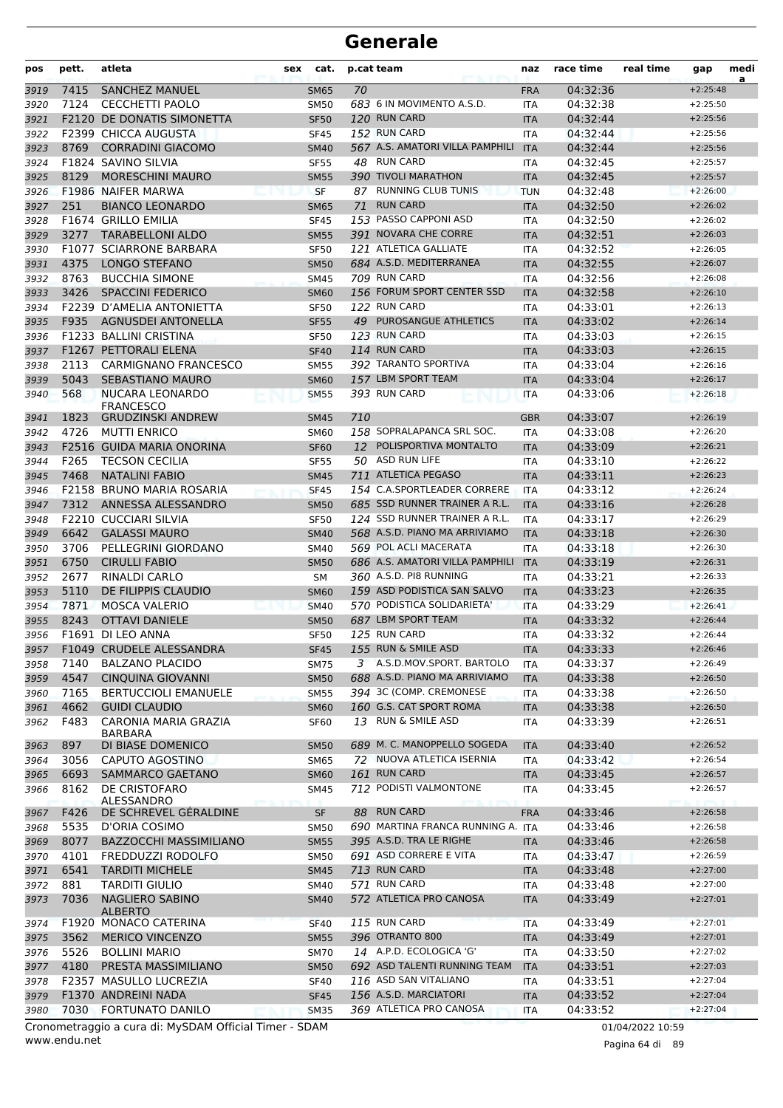| pos  | pett. | atleta                                                 | sex | cat.        |     | p.cat team                                         | naz        | race time | real time        | gap        | medi<br>a |
|------|-------|--------------------------------------------------------|-----|-------------|-----|----------------------------------------------------|------------|-----------|------------------|------------|-----------|
| 3919 | 7415  | <b>SANCHEZ MANUEL</b>                                  |     | <b>SM65</b> | 70  |                                                    | <b>FRA</b> | 04:32:36  |                  | $+2:25:48$ |           |
| 3920 | 7124  | CECCHETTI PAOLO                                        |     | <b>SM50</b> |     | 683 6 IN MOVIMENTO A.S.D.                          | <b>ITA</b> | 04:32:38  |                  | $+2:25:50$ |           |
| 3921 |       | <b>F2120 DE DONATIS SIMONETTA</b>                      |     | <b>SF50</b> |     | 120 RUN CARD                                       | <b>ITA</b> | 04:32:44  |                  | $+2:25:56$ |           |
| 3922 |       | <b>F2399 CHICCA AUGUSTA</b>                            |     | <b>SF45</b> |     | 152 RUN CARD                                       | <b>ITA</b> | 04:32:44  |                  | $+2:25:56$ |           |
| 3923 | 8769  | <b>CORRADINI GIACOMO</b>                               |     | <b>SM40</b> |     | 567 A.S. AMATORI VILLA PAMPHILI                    | <b>ITA</b> | 04:32:44  |                  | $+2:25:56$ |           |
| 3924 |       | F1824 SAVINO SILVIA                                    |     | <b>SF55</b> |     | 48 RUN CARD                                        | <b>ITA</b> | 04:32:45  |                  | $+2:25:57$ |           |
| 3925 | 8129  | <b>MORESCHINI MAURO</b>                                |     | <b>SM55</b> |     | 390 TIVOLI MARATHON                                | <b>ITA</b> | 04:32:45  |                  | $+2:25:57$ |           |
| 3926 |       | <b>F1986 NAIFER MARWA</b>                              |     | <b>SF</b>   |     | 87 RUNNING CLUB TUNIS                              | <b>TUN</b> | 04:32:48  |                  | $+2:26:00$ |           |
| 3927 | 251   | <b>BIANCO LEONARDO</b>                                 |     | <b>SM65</b> | 71  | <b>RUN CARD</b>                                    | <b>ITA</b> | 04:32:50  |                  | $+2:26:02$ |           |
| 3928 |       | F1674 GRILLO EMILIA                                    |     | <b>SF45</b> |     | 153 PASSO CAPPONI ASD                              | <b>ITA</b> | 04:32:50  |                  | $+2:26:02$ |           |
| 3929 | 3277  | <b>TARABELLONI ALDO</b>                                |     | <b>SM55</b> |     | 391 NOVARA CHE CORRE                               | <b>ITA</b> | 04:32:51  |                  | $+2:26:03$ |           |
| 3930 |       | <b>F1077 SCIARRONE BARBARA</b>                         |     | <b>SF50</b> |     | 121 ATLETICA GALLIATE                              | <b>ITA</b> | 04:32:52  |                  | $+2:26:05$ |           |
| 3931 | 4375  | <b>LONGO STEFANO</b>                                   |     | <b>SM50</b> |     | 684 A.S.D. MEDITERRANEA                            | <b>ITA</b> | 04:32:55  |                  | $+2:26:07$ |           |
| 3932 | 8763  | <b>BUCCHIA SIMONE</b>                                  |     | <b>SM45</b> |     | 709 RUN CARD                                       | <b>ITA</b> | 04:32:56  |                  | $+2:26:08$ |           |
| 3933 | 3426  | <b>SPACCINI FEDERICO</b>                               |     | <b>SM60</b> |     | 156 FORUM SPORT CENTER SSD                         | <b>ITA</b> | 04:32:58  |                  | $+2:26:10$ |           |
| 3934 | F2239 | D'AMELIA ANTONIETTA                                    |     | SF50        |     | 122 RUN CARD                                       | ITA        | 04:33:01  |                  | $+2:26:13$ |           |
| 3935 | F935  | <b>AGNUSDEI ANTONELLA</b>                              |     | <b>SF55</b> |     | 49 PUROSANGUE ATHLETICS                            | <b>ITA</b> | 04:33:02  |                  | $+2:26:14$ |           |
| 3936 |       | <b>F1233 BALLINI CRISTINA</b>                          |     | <b>SF50</b> |     | 123 RUN CARD                                       | <b>ITA</b> | 04:33:03  |                  | $+2:26:15$ |           |
| 3937 |       | F1267 PETTORALI ELENA                                  |     | <b>SF40</b> |     | 114 RUN CARD                                       | <b>ITA</b> | 04:33:03  |                  | $+2:26:15$ |           |
| 3938 | 2113  | <b>CARMIGNANO FRANCESCO</b>                            |     | <b>SM55</b> |     | 392 TARANTO SPORTIVA                               | <b>ITA</b> | 04:33:04  |                  | $+2:26:16$ |           |
| 3939 | 5043  | <b>SEBASTIANO MAURO</b>                                |     | <b>SM60</b> |     | 157 LBM SPORT TEAM                                 | <b>ITA</b> | 04:33:04  |                  | $+2:26:17$ |           |
| 3940 | 568   | <b>NUCARA LEONARDO</b><br><b>FRANCESCO</b>             |     | <b>SM55</b> |     | 393 RUN CARD                                       | <b>ITA</b> | 04:33:06  |                  | $+2:26:18$ |           |
| 3941 | 1823  | <b>GRUDZINSKI ANDREW</b>                               |     | <b>SM45</b> | 710 |                                                    | <b>GBR</b> | 04:33:07  |                  | $+2:26:19$ |           |
| 3942 | 4726  | <b>MUTTI ENRICO</b>                                    |     | <b>SM60</b> |     | 158 SOPRALAPANCA SRL SOC.                          | <b>ITA</b> | 04:33:08  |                  | $+2:26:20$ |           |
| 3943 |       | F2516 GUIDA MARIA ONORINA                              |     | <b>SF60</b> |     | 12 POLISPORTIVA MONTALTO                           | <b>ITA</b> | 04:33:09  |                  | $+2:26:21$ |           |
| 3944 | F265  | <b>TECSON CECILIA</b>                                  |     | <b>SF55</b> |     | 50 ASD RUN LIFE                                    | <b>ITA</b> | 04:33:10  |                  | $+2:26:22$ |           |
| 3945 | 7468  | <b>NATALINI FABIO</b>                                  |     | <b>SM45</b> |     | 711 ATLETICA PEGASO                                | <b>ITA</b> | 04:33:11  |                  | $+2:26:23$ |           |
| 3946 |       | F2158 BRUNO MARIA ROSARIA                              |     | <b>SF45</b> |     | 154 C.A.SPORTLEADER CORRERE                        | <b>ITA</b> | 04:33:12  |                  | $+2:26:24$ |           |
| 3947 | 7312  | ANNESSA ALESSANDRO                                     |     | <b>SM50</b> |     | 685 SSD RUNNER TRAINER A R.L.                      | <b>ITA</b> | 04:33:16  |                  | $+2:26:28$ |           |
| 3948 |       | <b>F2210 CUCCIARI SILVIA</b>                           |     | <b>SF50</b> |     | 124 SSD RUNNER TRAINER A R.L.                      | <b>ITA</b> | 04:33:17  |                  | $+2:26:29$ |           |
| 3949 | 6642  | <b>GALASSI MAURO</b>                                   |     | <b>SM40</b> |     | 568 A.S.D. PIANO MA ARRIVIAMO                      | <b>ITA</b> | 04:33:18  |                  | $+2:26:30$ |           |
| 3950 | 3706  | PELLEGRINI GIORDANO                                    |     | <b>SM40</b> |     | 569 POL ACLI MACERATA                              | ITA        | 04:33:18  |                  | $+2:26:30$ |           |
| 3951 | 6750  | <b>CIRULLI FABIO</b>                                   |     | <b>SM50</b> |     | 686 A.S. AMATORI VILLA PAMPHILI                    | <b>ITA</b> | 04:33:19  |                  | $+2:26:31$ |           |
| 3952 | 2677  | <b>RINALDI CARLO</b>                                   |     | <b>SM</b>   |     | 360 A.S.D. PI8 RUNNING                             | <b>ITA</b> | 04:33:21  |                  | $+2:26:33$ |           |
| 3953 | 5110  | DE FILIPPIS CLAUDIO                                    |     | <b>SM60</b> |     | 159 ASD PODISTICA SAN SALVO                        | <b>ITA</b> | 04:33:23  |                  | $+2:26:35$ |           |
| 3954 | 7871  | <b>MOSCA VALERIO</b>                                   |     | <b>SM40</b> |     | 570 PODISTICA SOLIDARIETA'                         | <b>ITA</b> | 04:33:29  |                  | $+2:26:41$ |           |
| 3955 | 8243  | <b>OTTAVI DANIELE</b>                                  |     | <b>SM50</b> |     | 687 LBM SPORT TEAM                                 | <b>ITA</b> | 04:33:32  |                  | $+2:26:44$ |           |
| 3956 |       | F1691 DI LEO ANNA                                      |     | <b>SF50</b> |     | 125 RUN CARD                                       | <b>ITA</b> | 04:33:32  |                  | $+2:26:44$ |           |
| 3957 |       | F1049 CRUDELE ALESSANDRA                               |     | <b>SF45</b> |     | 155 RUN & SMILE ASD                                | <b>ITA</b> | 04:33:33  |                  | $+2:26:46$ |           |
| 3958 | 7140  | <b>BALZANO PLACIDO</b>                                 |     | SM75        |     | 3 A.S.D.MOV.SPORT. BARTOLO                         | ITA        | 04:33:37  |                  | $+2:26:49$ |           |
| 3959 | 4547  | <b>CINQUINA GIOVANNI</b>                               |     | <b>SM50</b> |     | 688 A.S.D. PIANO MA ARRIVIAMO                      | <b>ITA</b> | 04:33:38  |                  | $+2:26:50$ |           |
| 3960 | 7165  | <b>BERTUCCIOLI EMANUELE</b>                            |     | <b>SM55</b> |     | 394 3C (COMP. CREMONESE<br>160 G.S. CAT SPORT ROMA | ITA        | 04:33:38  |                  | $+2:26:50$ |           |
| 3961 | 4662  | <b>GUIDI CLAUDIO</b>                                   |     | <b>SM60</b> |     | 13 RUN & SMILE ASD                                 | <b>ITA</b> | 04:33:38  |                  | $+2:26:50$ |           |
| 3962 | F483  | CARONIA MARIA GRAZIA<br>BARBARA                        |     | <b>SF60</b> |     |                                                    | ITA        | 04:33:39  |                  | $+2:26:51$ |           |
| 3963 | 897   | DI BIASE DOMENICO                                      |     | <b>SM50</b> |     | 689 M. C. MANOPPELLO SOGEDA                        | <b>ITA</b> | 04:33:40  |                  | $+2:26:52$ |           |
| 3964 | 3056  | CAPUTO AGOSTINO                                        |     | SM65        |     | 72 NUOVA ATLETICA ISERNIA                          | <b>ITA</b> | 04:33:42  |                  | $+2:26:54$ |           |
| 3965 | 6693  | <b>SAMMARCO GAETANO</b>                                |     | <b>SM60</b> |     | <b>161 RUN CARD</b>                                | <b>ITA</b> | 04:33:45  |                  | $+2:26:57$ |           |
| 3966 | 8162  | DE CRISTOFARO<br>ALESSANDRO                            |     | SM45        |     | 712 PODISTI VALMONTONE                             | ITA        | 04:33:45  |                  | $+2:26:57$ |           |
| 3967 | F426  | DE SCHREVEL GÉRALDINE                                  |     | SF          |     | 88 RUN CARD                                        | <b>FRA</b> | 04:33:46  |                  | $+2:26:58$ |           |
| 3968 | 5535  | D'ORIA COSIMO                                          |     | <b>SM50</b> |     | 690 MARTINA FRANCA RUNNING A.                      | <b>ITA</b> | 04:33:46  |                  | $+2:26:58$ |           |
| 3969 | 8077  | <b>BAZZOCCHI MASSIMILIANO</b>                          |     | <b>SM55</b> |     | 395 A.S.D. TRA LE RIGHE                            | <b>ITA</b> | 04:33:46  |                  | $+2:26:58$ |           |
| 3970 | 4101  | FREDDUZZI RODOLFO                                      |     | SM50        |     | 691 ASD CORRERE E VITA                             | ITA        | 04:33:47  |                  | $+2:26:59$ |           |
| 3971 | 6541  | <b>TARDITI MICHELE</b>                                 |     | <b>SM45</b> |     | 713 RUN CARD                                       | <b>ITA</b> | 04:33:48  |                  | $+2:27:00$ |           |
| 3972 | 881   | <b>TARDITI GIULIO</b>                                  |     | SM40        |     | 571 RUN CARD                                       | ITA        | 04:33:48  |                  | $+2:27:00$ |           |
| 3973 | 7036  | <b>NAGLIERO SABINO</b>                                 |     | <b>SM40</b> |     | 572 ATLETICA PRO CANOSA                            | <b>ITA</b> | 04:33:49  |                  | $+2:27:01$ |           |
| 3974 |       | <b>ALBERTO</b><br>F1920 MONACO CATERINA                |     | <b>SF40</b> |     | <b>115 RUN CARD</b>                                | <b>ITA</b> | 04:33:49  |                  | $+2:27:01$ |           |
| 3975 | 3562  | <b>MERICO VINCENZO</b>                                 |     | <b>SM55</b> |     | 396 OTRANTO 800                                    | <b>ITA</b> | 04:33:49  |                  | $+2:27:01$ |           |
| 3976 | 5526  | <b>BOLLINI MARIO</b>                                   |     | <b>SM70</b> |     | 14 A.P.D. ECOLOGICA 'G'                            | <b>ITA</b> | 04:33:50  |                  | $+2:27:02$ |           |
| 3977 | 4180  | PRESTA MASSIMILIANO                                    |     | <b>SM50</b> |     | 692 ASD TALENTI RUNNING TEAM                       | <b>ITA</b> | 04:33:51  |                  | $+2:27:03$ |           |
| 3978 |       | F2357 MASULLO LUCREZIA                                 |     | <b>SF40</b> |     | 116 ASD SAN VITALIANO                              | <b>ITA</b> | 04:33:51  |                  | $+2:27:04$ |           |
| 3979 |       | F1370 ANDREINI NADA                                    |     | <b>SF45</b> |     | 156 A.S.D. MARCIATORI                              | <b>ITA</b> | 04:33:52  |                  | $+2:27:04$ |           |
| 3980 | 7030  | <b>FORTUNATO DANILO</b>                                |     | <b>SM35</b> |     | 369 ATLETICA PRO CANOSA                            | <b>ITA</b> | 04:33:52  |                  | $+2:27:04$ |           |
|      |       | Cronometraggio a cura di: MySDAM Official Timer - SDAM |     |             |     |                                                    |            |           | 01/04/2022 10:59 |            |           |

www.endu.net

Pagina 64 di 89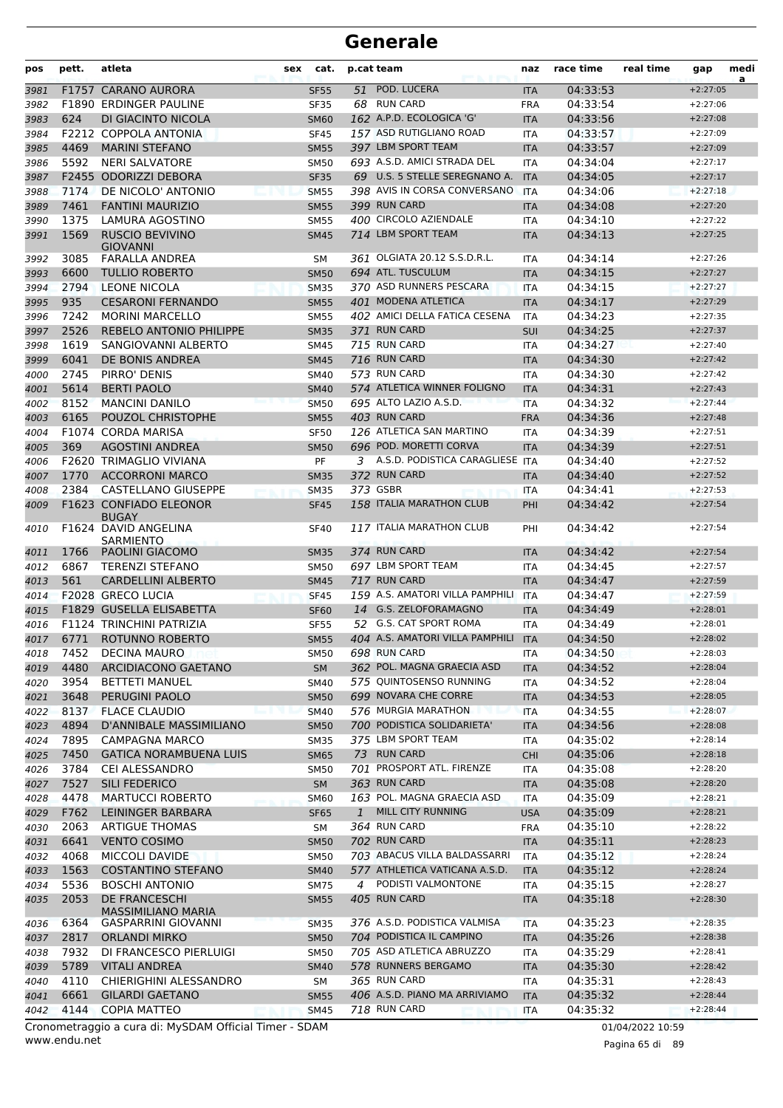| pos          | pett.        | atleta                                                 | sex | cat.                       |              | p.cat team                               | naz                      | race time            | real time        | gap                      | medi<br>a |
|--------------|--------------|--------------------------------------------------------|-----|----------------------------|--------------|------------------------------------------|--------------------------|----------------------|------------------|--------------------------|-----------|
| 3981         |              | F1757 CARANO AURORA                                    |     | <b>SF55</b>                | 51           | POD. LUCERA                              | <b>ITA</b>               | 04:33:53             |                  | $+2:27:05$               |           |
| 3982         |              | <b>F1890 ERDINGER PAULINE</b>                          |     | <b>SF35</b>                |              | 68 RUN CARD                              | <b>FRA</b>               | 04:33:54             |                  | $+2:27:06$               |           |
| 3983         | 624          | DI GIACINTO NICOLA                                     |     | <b>SM60</b>                |              | 162 A.P.D. ECOLOGICA 'G'                 | <b>ITA</b>               | 04:33:56             |                  | $+2:27:08$               |           |
| 3984         |              | F2212 COPPOLA ANTONIA                                  |     | <b>SF45</b>                |              | 157 ASD RUTIGLIANO ROAD                  | <b>ITA</b>               | 04:33:57             |                  | $+2:27:09$               |           |
| 3985         | 4469         | <b>MARINI STEFANO</b>                                  |     | <b>SM55</b>                |              | 397 LBM SPORT TEAM                       | <b>ITA</b>               | 04:33:57             |                  | $+2:27:09$               |           |
| 3986         | 5592         | <b>NERI SALVATORE</b>                                  |     | <b>SM50</b>                |              | 693 A.S.D. AMICI STRADA DEL              | <b>ITA</b>               | 04:34:04             |                  | $+2:27:17$               |           |
| 3987         |              | F2455 ODORIZZI DEBORA                                  |     | <b>SF35</b>                |              | 69 U.S. 5 STELLE SEREGNANO A.            | <b>ITA</b>               | 04:34:05             |                  | $+2:27:17$               |           |
| 3988         | 7174         | DE NICOLO' ANTONIO                                     |     | <b>SM55</b>                |              | 398 AVIS IN CORSA CONVERSANO             | <b>ITA</b>               | 04:34:06             |                  | $+2:27:18$               |           |
| 3989         | 7461         | <b>FANTINI MAURIZIO</b>                                |     | <b>SM55</b>                |              | 399 RUN CARD                             | <b>ITA</b>               | 04:34:08             |                  | $+2:27:20$               |           |
| 3990         | 1375         | <b>LAMURA AGOSTINO</b>                                 |     | <b>SM55</b>                |              | 400 CIRCOLO AZIENDALE                    | <b>ITA</b>               | 04:34:10             |                  | $+2:27:22$               |           |
| 3991         | 1569         | <b>RUSCIO BEVIVINO</b><br><b>GIOVANNI</b>              |     | <b>SM45</b>                |              | 714 LBM SPORT TEAM                       | <b>ITA</b>               | 04:34:13             |                  | $+2:27:25$               |           |
| 3992         | 3085         | FARALLA ANDREA                                         |     | SΜ                         |              | 361 OLGIATA 20.12 S.S.D.R.L.             | <b>ITA</b>               | 04:34:14             |                  | $+2:27:26$               |           |
| 3993         | 6600         | <b>TULLIO ROBERTO</b>                                  |     | <b>SM50</b>                |              | 694 ATL. TUSCULUM                        | <b>ITA</b>               | 04:34:15             |                  | $+2:27:27$               |           |
| 3994         | 2794         | <b>LEONE NICOLA</b>                                    |     | <b>SM35</b>                |              | 370 ASD RUNNERS PESCARA                  | <b>ITA</b>               | 04:34:15             |                  | $+2:27:27$               |           |
| 3995         | 935          | <b>CESARONI FERNANDO</b>                               |     | <b>SM55</b>                |              | 401 MODENA ATLETICA                      | <b>ITA</b>               | 04:34:17             |                  | $+2:27:29$               |           |
| 3996         | 7242         | <b>MORINI MARCELLO</b>                                 |     | <b>SM55</b>                |              | 402 AMICI DELLA FATICA CESENA            | <b>ITA</b>               | 04:34:23             |                  | $+2:27:35$               |           |
| 3997         | 2526         | REBELO ANTONIO PHILIPPE                                |     | <b>SM35</b>                |              | 371 RUN CARD                             | <b>SUI</b>               | 04:34:25             |                  | $+2:27:37$               |           |
| 3998         | 1619         | SANGIOVANNI ALBERTO                                    |     | <b>SM45</b>                |              | 715 RUN CARD                             | <b>ITA</b>               | 04:34:27             |                  | $+2:27:40$               |           |
| 3999         | 6041         | DE BONIS ANDREA                                        |     | <b>SM45</b>                |              | 716 RUN CARD                             | <b>ITA</b>               | 04:34:30             |                  | $+2:27:42$               |           |
| 4000         | 2745         | PIRRO' DENIS                                           |     | <b>SM40</b>                |              | 573 RUN CARD                             | <b>ITA</b>               | 04:34:30             |                  | $+2:27:42$               |           |
| 4001         | 5614         | <b>BERTI PAOLO</b>                                     |     | <b>SM40</b>                |              | 574 ATLETICA WINNER FOLIGNO              | <b>ITA</b>               | 04:34:31             |                  | $+2:27:43$               |           |
| 4002         | 8152         | <b>MANCINI DANILO</b>                                  |     | <b>SM50</b>                |              | 695 ALTO LAZIO A.S.D.                    | <b>ITA</b>               | 04:34:32             |                  | $+2:27:44$               |           |
| 4003         | 6165         | POUZOL CHRISTOPHE                                      |     | <b>SM55</b>                |              | 403 RUN CARD                             | <b>FRA</b>               | 04:34:36             |                  | $+2:27:48$               |           |
| 4004         |              | F1074 CORDA MARISA                                     |     | <b>SF50</b>                |              | 126 ATLETICA SAN MARTINO                 | <b>ITA</b>               | 04:34:39             |                  | $+2:27:51$               |           |
| 4005         | 369          | <b>AGOSTINI ANDREA</b>                                 |     | <b>SM50</b>                |              | 696 POD. MORETTI CORVA                   | <b>ITA</b>               | 04:34:39             |                  | $+2:27:51$               |           |
| 4006         |              | F2620 TRIMAGLIO VIVIANA                                |     | PF                         |              | 3 A.S.D. PODISTICA CARAGLIESE ITA        |                          | 04:34:40             |                  | $+2:27:52$               |           |
| 4007         | 1770         | <b>ACCORRONI MARCO</b>                                 |     | <b>SM35</b>                |              | 372 RUN CARD                             | <b>ITA</b>               | 04:34:40             |                  | $+2:27:52$               |           |
| 4008         | 2384         | CASTELLANO GIUSEPPE                                    |     | <b>SM35</b>                |              | 373 GSBR                                 | <b>ITA</b>               | 04:34:41             |                  | $+2:27:53$               |           |
| 4009         |              | F1623 CONFIADO ELEONOR<br><b>BUGAY</b>                 |     | <b>SF45</b>                |              | 158 ITALIA MARATHON CLUB                 | PHI                      | 04:34:42             |                  | $+2:27:54$               |           |
| 4010         |              | F1624 DAVID ANGELINA<br><b>SARMIENTO</b>               |     | <b>SF40</b>                |              | 117 ITALIA MARATHON CLUB                 | PHI                      | 04:34:42             |                  | $+2:27:54$               |           |
| 4011         | 1766         | PAOLINI GIACOMO                                        |     | <b>SM35</b>                |              | 374 RUN CARD                             | <b>ITA</b>               | 04:34:42             |                  | $+2:27:54$               |           |
| 4012         | 6867         | <b>TERENZI STEFANO</b>                                 |     | <b>SM50</b>                |              | 697 LBM SPORT TEAM                       | <b>ITA</b>               | 04:34:45             |                  | $+2:27:57$               |           |
| 4013         | 561          | <b>CARDELLINI ALBERTO</b>                              |     | <b>SM45</b>                |              | 717 RUN CARD                             | <b>ITA</b>               | 04:34:47             |                  | $+2:27:59$               |           |
| 4014         |              | <b>F2028 GRECO LUCIA</b>                               |     | SF45                       |              | 159 A.S. AMATORI VILLA PAMPHILI          | <b>ITA</b>               | 04:34:47             |                  | $+2:27:59$               |           |
| 4015         |              | F1829 GUSELLA ELISABETTA                               |     | <b>SF60</b>                |              | 14 G.S. ZELOFORAMAGNO                    | <b>ITA</b>               | 04:34:49             |                  | $+2:28:01$               |           |
| 4016         |              | F1124 TRINCHINI PATRIZIA                               |     | <b>SF55</b>                | 52           | <b>G.S. CAT SPORT ROMA</b>               | <b>ITA</b>               | 04:34:49             |                  | $+2:28:01$               |           |
| 4017         | 6771         | ROTUNNO ROBERTO                                        |     | <b>SM55</b>                |              | 404 A.S. AMATORI VILLA PAMPHILI          | <b>ITA</b>               | 04:34:50             |                  | $+2:28:02$               |           |
| 4018         | 7452         | <b>DECINA MAURO</b>                                    |     | <b>SM50</b>                |              | 698 RUN CARD                             | ITA                      | 04:34:50             |                  | $+2:28:03$               |           |
| 4019         | 4480         | ARCIDIACONO GAETANO                                    |     | <b>SM</b>                  |              | 362 POL. MAGNA GRAECIA ASD               | <b>ITA</b>               | 04:34:52             |                  | $+2:28:04$               |           |
| 4020         | 3954         | <b>BETTETI MANUEL</b>                                  |     | <b>SM40</b>                |              | 575 QUINTOSENSO RUNNING                  | ITA                      | 04:34:52             |                  | $+2:28:04$               |           |
| 4021         | 3648         | PERUGINI PAOLO                                         |     | <b>SM50</b>                |              | 699 NOVARA CHE CORRE                     | <b>ITA</b>               | 04:34:53             |                  | $+2:28:05$               |           |
| 4022         | 8137         | <b>FLACE CLAUDIO</b>                                   |     | <b>SM40</b>                |              | 576 MURGIA MARATHON                      | <b>ITA</b>               | 04:34:55             |                  | $+2:28:07$               |           |
| 4023         | 4894         | D'ANNIBALE MASSIMILIANO                                |     | <b>SM50</b>                |              | 700 PODISTICA SOLIDARIETA'               | <b>ITA</b>               | 04:34:56             |                  | $+2:28:08$               |           |
| 4024         | 7895         | CAMPAGNA MARCO                                         |     | <b>SM35</b>                |              | 375 LBM SPORT TEAM                       | ITA                      | 04:35:02             |                  | $+2:28:14$               |           |
| 4025         | 7450         | <b>GATICA NORAMBUENA LUIS</b>                          |     | <b>SM65</b>                |              | 73 RUN CARD<br>701 PROSPORT ATL. FIRENZE | <b>CHI</b>               | 04:35:06<br>04:35:08 |                  | $+2:28:18$<br>$+2:28:20$ |           |
| 4026         | 3784<br>7527 | CEI ALESSANDRO                                         |     | SM50                       |              | 363 RUN CARD                             | ITA                      |                      |                  | $+2:28:20$               |           |
| 4027         | 4478         | SILI FEDERICO<br><b>MARTUCCI ROBERTO</b>               |     | <b>SM</b>                  |              | 163 POL. MAGNA GRAECIA ASD               | <b>ITA</b>               | 04:35:08<br>04:35:09 |                  | $+2:28:21$               |           |
| 4028<br>4029 | F762         | LEININGER BARBARA                                      |     | <b>SM60</b><br><b>SF65</b> | $\mathbf{1}$ | MILL CITY RUNNING                        | <b>ITA</b><br><b>USA</b> | 04:35:09             |                  | $+2:28:21$               |           |
| 4030         | 2063         | <b>ARTIGUE THOMAS</b>                                  |     | SM                         |              | 364 RUN CARD                             | <b>FRA</b>               | 04:35:10             |                  | $+2:28:22$               |           |
| 4031         | 6641         | <b>VENTO COSIMO</b>                                    |     | <b>SM50</b>                |              | 702 RUN CARD                             | <b>ITA</b>               | 04:35:11             |                  | $+2:28:23$               |           |
| 4032         | 4068         | <b>MICCOLI DAVIDE</b>                                  |     | <b>SM50</b>                |              | 703 ABACUS VILLA BALDASSARRI             | <b>ITA</b>               | 04:35:12             |                  | $+2:28:24$               |           |
| 4033         | 1563         | <b>COSTANTINO STEFANO</b>                              |     | <b>SM40</b>                |              | 577 ATHLETICA VATICANA A.S.D.            | <b>ITA</b>               | 04:35:12             |                  | $+2:28:24$               |           |
| 4034         | 5536         | <b>BOSCHI ANTONIO</b>                                  |     | <b>SM75</b>                | 4            | PODISTI VALMONTONE                       | ITA                      | 04:35:15             |                  | $+2:28:27$               |           |
| 4035         | 2053         | DE FRANCESCHI                                          |     | <b>SM55</b>                |              | 405 RUN CARD                             | <b>ITA</b>               | 04:35:18             |                  | $+2:28:30$               |           |
|              |              | <b>MASSIMILIANO MARIA</b>                              |     |                            |              |                                          |                          |                      |                  |                          |           |
| 4036         | 6364         | GASPARRINI GIOVANNI                                    |     | <b>SM35</b>                |              | 376 A.S.D. PODISTICA VALMISA             | <b>ITA</b>               | 04:35:23             |                  | $+2:28:35$               |           |
| 4037         | 2817         | <b>ORLANDI MIRKO</b>                                   |     | <b>SM50</b>                |              | 704 PODISTICA IL CAMPINO                 | <b>ITA</b>               | 04:35:26             |                  | $+2:28:38$               |           |
| 4038         | 7932         | DI FRANCESCO PIERLUIGI                                 |     | <b>SM50</b>                |              | 705 ASD ATLETICA ABRUZZO                 | ITA                      | 04:35:29             |                  | $+2:28:41$               |           |
| 4039         | 5789         | <b>VITALI ANDREA</b>                                   |     | <b>SM40</b>                |              | 578 RUNNERS BERGAMO                      | <b>ITA</b>               | 04:35:30             |                  | $+2:28:42$               |           |
| 4040         | 4110         | CHIERIGHINI ALESSANDRO                                 |     | SM                         |              | 365 RUN CARD                             | <b>ITA</b>               | 04:35:31             |                  | $+2:28:43$               |           |
| 4041         | 6661         | <b>GILARDI GAETANO</b>                                 |     | <b>SM55</b>                |              | 406 A.S.D. PIANO MA ARRIVIAMO            | <b>ITA</b>               | 04:35:32             |                  | $+2:28:44$               |           |
| 4042         | 4144         | <b>COPIA MATTEO</b>                                    |     | <b>SM45</b>                |              | 718 RUN CARD                             | <b>ITA</b>               | 04:35:32             |                  | $+2:28:44$               |           |
|              |              | Cronometraggio a cura di: MySDAM Official Timer - SDAM |     |                            |              |                                          |                          |                      | 01/04/2022 10:59 |                          |           |

www.endu.net

Pagina 65 di 89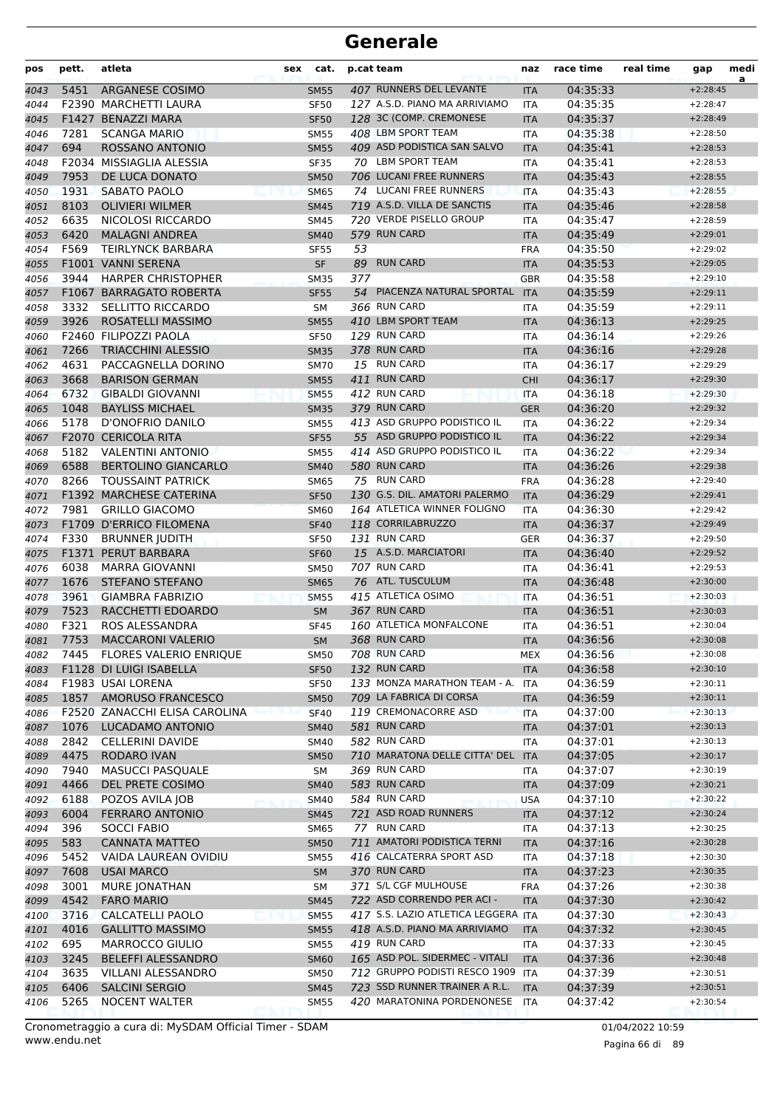| pos  | pett. | atleta                        | sex | cat.        | p.cat team |                                     | naz        | race time | real time | gap        | medi<br>a |
|------|-------|-------------------------------|-----|-------------|------------|-------------------------------------|------------|-----------|-----------|------------|-----------|
| 4043 | 5451  | ARGANESE COSIMO               |     | <b>SM55</b> |            | 407 RUNNERS DEL LEVANTE             | <b>ITA</b> | 04:35:33  |           | $+2:28:45$ |           |
| 4044 |       | F2390 MARCHETTI LAURA         |     | <b>SF50</b> |            | 127 A.S.D. PIANO MA ARRIVIAMO       | <b>ITA</b> | 04:35:35  |           | $+2:28:47$ |           |
| 4045 |       | F1427 BENAZZI MARA            |     | <b>SF50</b> |            | 128 3C (COMP. CREMONESE             | <b>ITA</b> | 04:35:37  |           | $+2:28:49$ |           |
| 4046 | 7281  | <b>SCANGA MARIO</b>           |     | <b>SM55</b> |            | 408 LBM SPORT TEAM                  | ITA        | 04:35:38  |           | $+2:28:50$ |           |
| 4047 | 694   | ROSSANO ANTONIO               |     | <b>SM55</b> |            | 409 ASD PODISTICA SAN SALVO         | <b>ITA</b> | 04:35:41  |           | $+2:28:53$ |           |
| 4048 |       | F2034 MISSIAGLIA ALESSIA      |     | <b>SF35</b> |            | 70 LBM SPORT TEAM                   | ITA        | 04:35:41  |           | $+2:28:53$ |           |
| 4049 | 7953  | DE LUCA DONATO                |     | <b>SM50</b> |            | 706 LUCANI FREE RUNNERS             | <b>ITA</b> | 04:35:43  |           | $+2:28:55$ |           |
| 4050 | 1931  | <b>SABATO PAOLO</b>           |     | <b>SM65</b> |            | 74 LUCANI FREE RUNNERS              | <b>ITA</b> | 04:35:43  |           | $+2:28:55$ |           |
| 4051 | 8103  | <b>OLIVIERI WILMER</b>        |     | <b>SM45</b> |            | 719 A.S.D. VILLA DE SANCTIS         | <b>ITA</b> | 04:35:46  |           | $+2:28:58$ |           |
| 4052 | 6635  | NICOLOSI RICCARDO             |     | <b>SM45</b> |            | 720 VERDE PISELLO GROUP             | ITA        | 04:35:47  |           | $+2:28:59$ |           |
| 4053 | 6420  | <b>MALAGNI ANDREA</b>         |     | <b>SM40</b> |            | 579 RUN CARD                        | <b>ITA</b> | 04:35:49  |           | $+2:29:01$ |           |
| 4054 | F569  | <b>TEIRLYNCK BARBARA</b>      |     | <b>SF55</b> | 53         |                                     | <b>FRA</b> | 04:35:50  |           | $+2:29:02$ |           |
| 4055 |       | F1001 VANNI SERENA            |     | <b>SF</b>   | 89         | <b>RUN CARD</b>                     | <b>ITA</b> | 04:35:53  |           | $+2:29:05$ |           |
| 4056 | 3944  | <b>HARPER CHRISTOPHER</b>     |     | <b>SM35</b> | 377        |                                     | GBR        | 04:35:58  |           | $+2:29:10$ |           |
| 4057 |       | F1067 BARRAGATO ROBERTA       |     | <b>SF55</b> | 54         | PIACENZA NATURAL SPORTAL            | <b>ITA</b> | 04:35:59  |           | $+2:29:11$ |           |
| 4058 | 3332  | SELLITTO RICCARDO             |     | <b>SM</b>   |            | 366 RUN CARD                        | ITA        | 04:35:59  |           | $+2:29:11$ |           |
| 4059 | 3926  | ROSATELLI MASSIMO             |     | <b>SM55</b> |            | 410 LBM SPORT TEAM                  | <b>ITA</b> | 04:36:13  |           | $+2:29:25$ |           |
| 4060 |       | F2460 FILIPOZZI PAOLA         |     | <b>SF50</b> |            | 129 RUN CARD                        | <b>ITA</b> | 04:36:14  |           | $+2:29:26$ |           |
| 4061 | 7266  | <b>TRIACCHINI ALESSIO</b>     |     | <b>SM35</b> |            | 378 RUN CARD                        | <b>ITA</b> | 04:36:16  |           | $+2:29:28$ |           |
| 4062 | 4631  | PACCAGNELLA DORINO            |     | <b>SM70</b> |            | 15 RUN CARD                         | ITA        | 04:36:17  |           | $+2:29:29$ |           |
| 4063 | 3668  | <b>BARISON GERMAN</b>         |     | <b>SM55</b> |            | 411 RUN CARD                        | <b>CHI</b> | 04:36:17  |           | $+2:29:30$ |           |
| 4064 | 6732  | <b>GIBALDI GIOVANNI</b>       |     | <b>SM55</b> |            | 412 RUN CARD                        | <b>ITA</b> | 04:36:18  |           | $+2:29:30$ |           |
| 4065 | 1048  | <b>BAYLISS MICHAEL</b>        |     | <b>SM35</b> |            | 379 RUN CARD                        | <b>GER</b> | 04:36:20  |           | $+2:29:32$ |           |
| 4066 | 5178  | D'ONOFRIO DANILO              |     | <b>SM55</b> |            | 413 ASD GRUPPO PODISTICO IL         | ITA        | 04:36:22  |           | $+2:29:34$ |           |
| 4067 |       | F2070 CERICOLA RITA           |     | <b>SF55</b> |            | 55 ASD GRUPPO PODISTICO IL          | <b>ITA</b> | 04:36:22  |           | $+2:29:34$ |           |
| 4068 | 5182  | <b>VALENTINI ANTONIO</b>      |     | <b>SM55</b> |            | 414 ASD GRUPPO PODISTICO IL         | ITA        | 04:36:22  |           | $+2:29:34$ |           |
| 4069 | 6588  | <b>BERTOLINO GIANCARLO</b>    |     | <b>SM40</b> |            | 580 RUN CARD                        | <b>ITA</b> | 04:36:26  |           | $+2:29:38$ |           |
| 4070 | 8266  | <b>TOUSSAINT PATRICK</b>      |     | <b>SM65</b> |            | 75 RUN CARD                         | <b>FRA</b> | 04:36:28  |           | $+2:29:40$ |           |
| 4071 |       | F1392 MARCHESE CATERINA       |     | <b>SF50</b> |            | 130 G.S. DIL. AMATORI PALERMO       | <b>ITA</b> | 04:36:29  |           | $+2:29:41$ |           |
| 4072 | 7981  | <b>GRILLO GIACOMO</b>         |     | <b>SM60</b> |            | 164 ATLETICA WINNER FOLIGNO         | <b>ITA</b> | 04:36:30  |           | $+2:29:42$ |           |
| 4073 |       | F1709 D'ERRICO FILOMENA       |     | <b>SF40</b> |            | 118 CORRILABRUZZO                   | <b>ITA</b> | 04:36:37  |           | $+2:29:49$ |           |
| 4074 | F330  | <b>BRUNNER JUDITH</b>         |     | <b>SF50</b> |            | 131 RUN CARD                        | GER        | 04:36:37  |           | $+2:29:50$ |           |
| 4075 |       | F1371 PERUT BARBARA           |     | <b>SF60</b> |            | 15 A.S.D. MARCIATORI                | <b>ITA</b> | 04:36:40  |           | $+2:29:52$ |           |
| 4076 | 6038  | <b>MARRA GIOVANNI</b>         |     | <b>SM50</b> |            | 707 RUN CARD                        | ITA        | 04:36:41  |           | $+2:29:53$ |           |
| 4077 | 1676  | STEFANO STEFANO               |     | <b>SM65</b> |            | 76 ATL. TUSCULUM                    | <b>ITA</b> | 04:36:48  |           | $+2:30:00$ |           |
| 4078 | 3961  | <b>GIAMBRA FABRIZIO</b>       |     | <b>SM55</b> |            | 415 ATLETICA OSIMO                  | <b>ITA</b> | 04:36:51  |           | $+2:30:03$ |           |
| 4079 | 7523  | RACCHETTI EDOARDO             |     | <b>SM</b>   |            | 367 RUN CARD                        | <b>ITA</b> | 04:36:51  |           | $+2:30:03$ |           |
| 4080 | F321  | ROS ALESSANDRA                |     | <b>SF45</b> |            | 160 ATLETICA MONFALCONE             | <b>ITA</b> | 04:36:51  |           | $+2:30:04$ |           |
| 4081 | 7753  | <b>MACCARONI VALERIO</b>      |     | <b>SM</b>   |            | 368 RUN CARD                        | <b>ITA</b> | 04:36:56  |           | $+2:30:08$ |           |
| 4082 |       | 7445 FLORES VALERIO ENRIQUE   |     | <b>SM50</b> |            | 708 RUN CARD                        | <b>MEX</b> | 04:36:56  |           | $+2:30:08$ |           |
| 4083 |       | F1128 DI LUIGI ISABELLA       |     | <b>SF50</b> |            | 132 RUN CARD                        | <b>ITA</b> | 04:36:58  |           | $+2:30:10$ |           |
| 4084 |       | F1983 USAI LORENA             |     | <b>SF50</b> |            | 133 MONZA MARATHON TEAM - A.        | <b>ITA</b> | 04:36:59  |           | $+2:30:11$ |           |
| 4085 | 1857  | <b>AMORUSO FRANCESCO</b>      |     | <b>SM50</b> |            | 709 LA FABRICA DI CORSA             | <b>ITA</b> | 04:36:59  |           | $+2:30:11$ |           |
| 4086 |       | F2520 ZANACCHI ELISA CAROLINA |     | <b>SF40</b> |            | 119 CREMONACORRE ASD                | <b>ITA</b> | 04:37:00  |           | $+2:30:13$ |           |
| 4087 | 1076  | LUCADAMO ANTONIO              |     | <b>SM40</b> |            | 581 RUN CARD                        | ITA        | 04:37:01  |           | $+2:30:13$ |           |
| 4088 | 2842  | <b>CELLERINI DAVIDE</b>       |     | <b>SM40</b> |            | 582 RUN CARD                        | ITA        | 04:37:01  |           | $+2:30:13$ |           |
| 4089 | 4475  | <b>RODARO IVAN</b>            |     | <b>SM50</b> |            | 710 MARATONA DELLE CITTA' DEL ITA   |            | 04:37:05  |           | $+2:30:17$ |           |
| 4090 | 7940  | <b>MASUCCI PASQUALE</b>       |     | SM          |            | 369 RUN CARD                        | <b>ITA</b> | 04:37:07  |           | $+2:30:19$ |           |
| 4091 | 4466  | DEL PRETE COSIMO              |     | <b>SM40</b> |            | 583 RUN CARD                        | <b>ITA</b> | 04:37:09  |           | $+2:30:21$ |           |
| 4092 | 6188  | POZOS AVILA JOB               |     | <b>SM40</b> |            | 584 RUN CARD                        | <b>USA</b> | 04:37:10  |           | $+2:30:22$ |           |
| 4093 | 6004  | <b>FERRARO ANTONIO</b>        |     | <b>SM45</b> |            | 721 ASD ROAD RUNNERS                | <b>ITA</b> | 04:37:12  |           | $+2:30:24$ |           |
| 4094 | 396   | <b>SOCCI FABIO</b>            |     | <b>SM65</b> |            | 77 RUN CARD                         | ITA        | 04:37:13  |           | $+2:30:25$ |           |
| 4095 | 583   | <b>CANNATA MATTEO</b>         |     | <b>SM50</b> |            | 711 AMATORI PODISTICA TERNI         | <b>ITA</b> | 04:37:16  |           | $+2:30:28$ |           |
| 4096 | 5452  | VAIDA LAUREAN OVIDIU          |     | <b>SM55</b> |            | 416 CALCATERRA SPORT ASD            | <b>ITA</b> | 04:37:18  |           | $+2:30:30$ |           |
| 4097 | 7608  | <b>USAI MARCO</b>             |     | <b>SM</b>   |            | 370 RUN CARD                        | <b>ITA</b> | 04:37:23  |           | $+2:30:35$ |           |
| 4098 | 3001  | MURE JONATHAN                 |     | SM          |            | 371 S/L CGF MULHOUSE                | <b>FRA</b> | 04:37:26  |           | $+2:30:38$ |           |
| 4099 | 4542  | <b>FARO MARIO</b>             |     | <b>SM45</b> |            | 722 ASD CORRENDO PER ACI -          | ITA        | 04:37:30  |           | $+2:30:42$ |           |
| 4100 | 3716  | <b>CALCATELLI PAOLO</b>       |     | <b>SM55</b> |            | 417 S.S. LAZIO ATLETICA LEGGERA ITA |            | 04:37:30  |           | $+2:30:43$ |           |
| 4101 | 4016  | <b>GALLITTO MASSIMO</b>       |     | <b>SM55</b> |            | 418 A.S.D. PIANO MA ARRIVIAMO       | <b>ITA</b> | 04:37:32  |           | $+2:30:45$ |           |
| 4102 | 695   | <b>MARROCCO GIULIO</b>        |     | <b>SM55</b> |            | 419 RUN CARD                        | ITA        | 04:37:33  |           | $+2:30:45$ |           |
| 4103 | 3245  | <b>BELEFFI ALESSANDRO</b>     |     | <b>SM60</b> |            | 165 ASD POL. SIDERMEC - VITALI      | <b>ITA</b> | 04:37:36  |           | $+2:30:48$ |           |
| 4104 | 3635  | VILLANI ALESSANDRO            |     | <b>SM50</b> |            | 712 GRUPPO PODISTI RESCO 1909 ITA   |            | 04:37:39  |           | $+2:30:51$ |           |
| 4105 | 6406  | <b>SALCINI SERGIO</b>         |     | <b>SM45</b> |            | 723 SSD RUNNER TRAINER A R.L.       | <b>ITA</b> | 04:37:39  |           | $+2:30:51$ |           |
| 4106 | 5265  | <b>NOCENT WALTER</b>          |     | <b>SM55</b> |            | 420 MARATONINA PORDENONESE          | ITA        | 04:37:42  |           | $+2:30:54$ |           |
|      |       |                               |     |             |            |                                     |            |           |           |            |           |

Pagina 66 di 89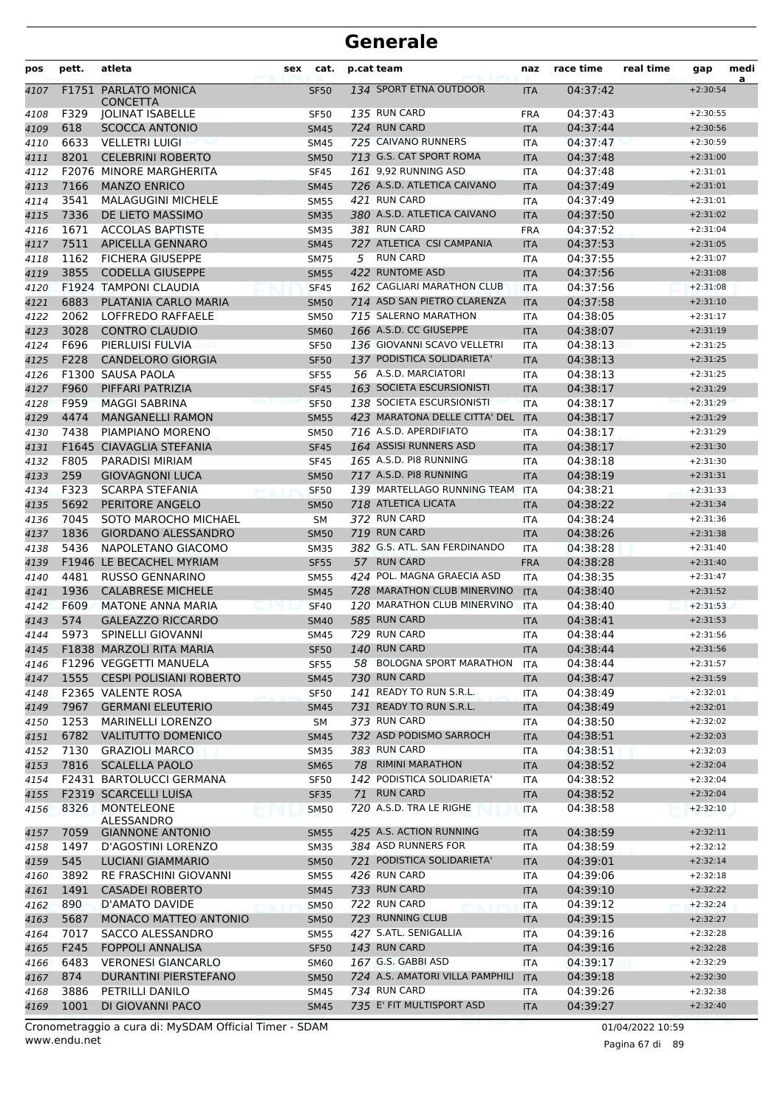| pos          | pett.        | atleta                                             | sex | cat.                       |    | p.cat team                                            | naz                      | race time            | real time | gap                      | medi |
|--------------|--------------|----------------------------------------------------|-----|----------------------------|----|-------------------------------------------------------|--------------------------|----------------------|-----------|--------------------------|------|
| 4107         |              | <b>F1751 PARLATO MONICA</b><br><b>CONCETTA</b>     |     | <b>SF50</b>                |    | 134 SPORT ETNA OUTDOOR                                | <b>ITA</b>               | 04:37:42             |           | $+2:30:54$               | a    |
| 4108         | F329         | <b>JOLINAT ISABELLE</b>                            |     | <b>SF50</b>                |    | 135 RUN CARD                                          | <b>FRA</b>               | 04:37:43             |           | $+2:30:55$               |      |
| 4109         | 618          | <b>SCOCCA ANTONIO</b>                              |     | <b>SM45</b>                |    | 724 RUN CARD                                          | <b>ITA</b>               | 04:37:44             |           | $+2:30:56$               |      |
| 4110         | 6633         | <b>VELLETRI LUIGI</b>                              |     | SM45                       |    | 725 CAIVANO RUNNERS                                   | <b>ITA</b>               | 04:37:47             |           | $+2:30:59$               |      |
| 4111         | 8201         | <b>CELEBRINI ROBERTO</b>                           |     | <b>SM50</b>                |    | 713 G.S. CAT SPORT ROMA                               | <b>ITA</b>               | 04:37:48             |           | $+2:31:00$               |      |
| 4112         |              | <b>F2076 MINORE MARGHERITA</b>                     |     | <b>SF45</b>                |    | 161 9,92 RUNNING ASD                                  | <b>ITA</b>               | 04:37:48             |           | $+2:31:01$               |      |
| 4113         | 7166         | <b>MANZO ENRICO</b>                                |     | <b>SM45</b>                |    | 726 A.S.D. ATLETICA CAIVANO                           | <b>ITA</b>               | 04:37:49             |           | $+2:31:01$               |      |
| 4114         | 3541         | <b>MALAGUGINI MICHELE</b>                          |     | <b>SM55</b>                |    | 421 RUN CARD                                          | <b>ITA</b>               | 04:37:49             |           | $+2:31:01$               |      |
| 4115         | 7336         | DE LIETO MASSIMO                                   |     | <b>SM35</b>                |    | 380 A.S.D. ATLETICA CAIVANO                           | <b>ITA</b>               | 04:37:50             |           | $+2:31:02$               |      |
| 4116         | 1671         | <b>ACCOLAS BAPTISTE</b>                            |     | <b>SM35</b>                |    | 381 RUN CARD                                          | <b>FRA</b>               | 04:37:52             |           | $+2:31:04$               |      |
| 4117         | 7511         | APICELLA GENNARO                                   |     | <b>SM45</b>                |    | 727 ATLETICA CSI CAMPANIA                             | <b>ITA</b>               | 04:37:53             |           | $+2:31:05$               |      |
| 4118         | 1162         | <b>FICHERA GIUSEPPE</b>                            |     | <b>SM75</b>                | 5  | <b>RUN CARD</b>                                       | <b>ITA</b>               | 04:37:55             |           | $+2:31:07$               |      |
| 4119         | 3855         | <b>CODELLA GIUSEPPE</b>                            |     | <b>SM55</b>                |    | 422 RUNTOME ASD<br>162 CAGLIARI MARATHON CLUB         | <b>ITA</b>               | 04:37:56             |           | $+2:31:08$               |      |
| 4120         |              | <b>F1924 TAMPONI CLAUDIA</b>                       |     | <b>SF45</b>                |    | 714 ASD SAN PIETRO CLARENZA                           | <b>ITA</b>               | 04:37:56             |           | $+2:31:08$               |      |
| 4121         | 6883<br>2062 | PLATANIA CARLO MARIA<br>LOFFREDO RAFFAELE          |     | <b>SM50</b>                |    | 715 SALERNO MARATHON                                  | <b>ITA</b>               | 04:37:58<br>04:38:05 |           | $+2:31:10$<br>$+2:31:17$ |      |
| 4122         | 3028         | <b>CONTRO CLAUDIO</b>                              |     | <b>SM50</b><br><b>SM60</b> |    | 166 A.S.D. CC GIUSEPPE                                | <b>ITA</b><br><b>ITA</b> | 04:38:07             |           | $+2:31:19$               |      |
| 4123<br>4124 | F696         | PIERLUISI FULVIA                                   |     | <b>SF50</b>                |    | 136 GIOVANNI SCAVO VELLETRI                           | <b>ITA</b>               | 04:38:13             |           | $+2:31:25$               |      |
| 4125         | F228         | <b>CANDELORO GIORGIA</b>                           |     | <b>SF50</b>                |    | 137 PODISTICA SOLIDARIETA'                            | <b>ITA</b>               | 04:38:13             |           | $+2:31:25$               |      |
| 4126         |              | F1300 SAUSA PAOLA                                  |     | <b>SF55</b>                |    | 56 A.S.D. MARCIATORI                                  | <b>ITA</b>               | 04:38:13             |           | $+2:31:25$               |      |
| 4127         | F960         | PIFFARI PATRIZIA                                   |     | <b>SF45</b>                |    | 163 SOCIETA ESCURSIONISTI                             | <b>ITA</b>               | 04:38:17             |           | $+2:31:29$               |      |
| 4128         | F959         | <b>MAGGI SABRINA</b>                               |     | <b>SF50</b>                |    | 138 SOCIETA ESCURSIONISTI                             | <b>ITA</b>               | 04:38:17             |           | $+2:31:29$               |      |
| 4129         | 4474         | <b>MANGANELLI RAMON</b>                            |     | <b>SM55</b>                |    | 423 MARATONA DELLE CITTA' DEL ITA                     |                          | 04:38:17             |           | $+2:31:29$               |      |
| 4130         | 7438         | PIAMPIANO MORENO                                   |     | <b>SM50</b>                |    | 716 A.S.D. APERDIFIATO                                | <b>ITA</b>               | 04:38:17             |           | $+2:31:29$               |      |
| 4131         |              | F1645 CIAVAGLIA STEFANIA                           |     | <b>SF45</b>                |    | 164 ASSISI RUNNERS ASD                                | <b>ITA</b>               | 04:38:17             |           | $+2:31:30$               |      |
| 4132         | F805         | PARADISI MIRIAM                                    |     | <b>SF45</b>                |    | 165 A.S.D. PI8 RUNNING                                | <b>ITA</b>               | 04:38:18             |           | $+2:31:30$               |      |
| 4133         | 259          | <b>GIOVAGNONI LUCA</b>                             |     | <b>SM50</b>                |    | 717 A.S.D. PI8 RUNNING                                | <b>ITA</b>               | 04:38:19             |           | $+2:31:31$               |      |
| 4134         | F323         | <b>SCARPA STEFANIA</b>                             |     | <b>SF50</b>                |    | 139 MARTELLAGO RUNNING TEAM                           | <b>ITA</b>               | 04:38:21             |           | $+2:31:33$               |      |
| 4135         | 5692         | PERITORE ANGELO                                    |     | <b>SM50</b>                |    | 718 ATLETICA LICATA                                   | <b>ITA</b>               | 04:38:22             |           | $+2:31:34$               |      |
| 4136         | 7045         | SOTO MAROCHO MICHAEL                               |     | <b>SM</b>                  |    | 372 RUN CARD                                          | ITA                      | 04:38:24             |           | $+2:31:36$               |      |
| 4137         | 1836         | <b>GIORDANO ALESSANDRO</b>                         |     | <b>SM50</b>                |    | 719 RUN CARD                                          | <b>ITA</b>               | 04:38:26             |           | $+2:31:38$               |      |
| 4138         | 5436         | NAPOLETANO GIACOMO                                 |     | <b>SM35</b>                |    | 382 G.S. ATL. SAN FERDINANDO                          | <b>ITA</b>               | 04:38:28             |           | $+2:31:40$               |      |
| 4139         |              | F1946 LE BECACHEL MYRIAM                           |     | <b>SF55</b>                |    | 57 RUN CARD                                           | <b>FRA</b>               | 04:38:28             |           | $+2:31:40$               |      |
| 4140         | 4481         | <b>RUSSO GENNARINO</b>                             |     | <b>SM55</b>                |    | 424 POL. MAGNA GRAECIA ASD                            | ITA                      | 04:38:35             |           | $+2:31:47$               |      |
| 4141         | 1936         | <b>CALABRESE MICHELE</b>                           |     | <b>SM45</b>                |    | 728 MARATHON CLUB MINERVINO                           | <b>ITA</b>               | 04:38:40             |           | $+2:31:52$               |      |
| 4142         | F609         | <b>MATONE ANNA MARIA</b>                           |     | <b>SF40</b>                |    | 120 MARATHON CLUB MINERVINO                           | <b>ITA</b>               | 04:38:40             |           | $+2:31:53$               |      |
| 4143         | 574          | <b>GALEAZZO RICCARDO</b>                           |     | <b>SM40</b>                |    | 585 RUN CARD                                          | <b>ITA</b>               | 04:38:41             |           | $+2:31:53$               |      |
| 4144         | 5973         | <b>SPINELLI GIOVANNI</b>                           |     | SM45                       |    | 729 RUN CARD                                          | <b>ITA</b>               | 04:38:44             |           | $+2:31:56$               |      |
| 4145         |              | F1838 MARZOLI RITA MARIA                           |     | <b>SF50</b>                |    | <b>140 RUN CARD</b>                                   | <b>ITA</b>               | 04:38:44             |           | $+2:31:56$               |      |
| 4146         |              | F1296 VEGGETTI MANUELA                             |     | <b>SF55</b>                |    | 58 BOLOGNA SPORT MARATHON                             | ITA                      | 04:38:44             |           | $+2:31:57$               |      |
| 4147         |              | 1555 CESPI POLISIANI ROBERTO                       |     | <b>SM45</b>                |    | 730 RUN CARD                                          | <b>ITA</b>               | 04:38:47             |           | $+2:31:59$               |      |
| 4148         |              | F2365 VALENTE ROSA                                 |     | <b>SF50</b>                |    | 141 READY TO RUN S.R.L.                               | ITA                      | 04:38:49             |           | $+2:32:01$               |      |
| 4149         | 7967         | <b>GERMANI ELEUTERIO</b>                           |     | <b>SM45</b>                |    | 731 READY TO RUN S.R.L.<br>373 RUN CARD               | <b>ITA</b>               | 04:38:49             |           | $+2:32:01$               |      |
| 4150<br>4151 | 1253<br>6782 | MARINELLI LORENZO<br><b>VALITUTTO DOMENICO</b>     |     | SM<br><b>SM45</b>          |    | 732 ASD PODISMO SARROCH                               | ITA<br><b>ITA</b>        | 04:38:50<br>04:38:51 |           | $+2:32:02$<br>$+2:32:03$ |      |
| 4152         | 7130         | <b>GRAZIOLI MARCO</b>                              |     | <b>SM35</b>                |    | 383 RUN CARD                                          | ITA                      | 04:38:51             |           | $+2:32:03$               |      |
| 4153         | 7816         | <b>SCALELLA PAOLO</b>                              |     | <b>SM65</b>                |    | 78 RIMINI MARATHON                                    | <b>ITA</b>               | 04:38:52             |           | $+2:32:04$               |      |
| 4154         |              | F2431 BARTOLUCCI GERMANA                           |     | <b>SF50</b>                |    | 142 PODISTICA SOLIDARIETA'                            | ITA                      | 04:38:52             |           | $+2:32:04$               |      |
| 4155         |              | F2319 SCARCELLI LUISA                              |     | <b>SF35</b>                | 71 | <b>RUN CARD</b>                                       | ITA                      | 04:38:52             |           | $+2:32:04$               |      |
| 4156         | 8326         | MONTELEONE                                         |     | <b>SM50</b>                |    | 720 A.S.D. TRA LE RIGHE                               | ITA                      | 04:38:58             |           | $+2:32:10$               |      |
|              |              | ALESSANDRO                                         |     |                            |    |                                                       |                          |                      |           |                          |      |
| 4157         | 7059         | <b>GIANNONE ANTONIO</b>                            |     | <b>SM55</b>                |    | 425 A.S. ACTION RUNNING                               | <b>ITA</b>               | 04:38:59             |           | $+2:32:11$               |      |
| 4158         | 1497         | D'AGOSTINI LORENZO                                 |     | <b>SM35</b>                |    | 384 ASD RUNNERS FOR                                   | ITA                      | 04:38:59             |           | $+2:32:12$               |      |
| 4159         | 545          | <b>LUCIANI GIAMMARIO</b>                           |     | <b>SM50</b>                |    | 721 PODISTICA SOLIDARIETA'                            | <b>ITA</b>               | 04:39:01             |           | $+2:32:14$               |      |
| 4160         | 3892         | <b>RE FRASCHINI GIOVANNI</b>                       |     | <b>SM55</b>                |    | 426 RUN CARD                                          | ITA                      | 04:39:06             |           | $+2:32:18$               |      |
| 4161         | 1491         | <b>CASADEI ROBERTO</b>                             |     | <b>SM45</b>                |    | 733 RUN CARD                                          | <b>ITA</b>               | 04:39:10             |           | $+2:32:22$               |      |
| 4162         | 890          | D'AMATO DAVIDE                                     |     | <b>SM50</b>                |    | 722 RUN CARD                                          | ITA                      | 04:39:12             |           | $+2:32:24$               |      |
| 4163         | 5687         | <b>MONACO MATTEO ANTONIO</b>                       |     | <b>SM50</b>                |    | 723 RUNNING CLUB                                      | <b>ITA</b>               | 04:39:15             |           | $+2:32:27$               |      |
| 4164         | 7017         | SACCO ALESSANDRO                                   |     | <b>SM55</b>                |    | 427 S.ATL. SENIGALLIA                                 | ITA                      | 04:39:16             |           | $+2:32:28$               |      |
| 4165         | F245         | <b>FOPPOLI ANNALISA</b>                            |     | <b>SF50</b>                |    | 143 RUN CARD                                          | <b>ITA</b>               | 04:39:16             |           | $+2:32:28$               |      |
| 4166         | 6483<br>874  | <b>VERONESI GIANCARLO</b><br>DURANTINI PIERSTEFANO |     | <b>SM60</b>                |    | 167 G.S. GABBI ASD<br>724 A.S. AMATORI VILLA PAMPHILI | ITA                      | 04:39:17<br>04:39:18 |           | $+2:32:29$               |      |
| 4167         | 3886         | PETRILLI DANILO                                    |     | <b>SM50</b>                |    | 734 RUN CARD                                          | <b>ITA</b>               |                      |           | $+2:32:30$<br>$+2:32:38$ |      |
| 4168<br>4169 | 1001         | DI GIOVANNI PACO                                   |     | SM45<br><b>SM45</b>        |    | 735 E' FIT MULTISPORT ASD                             | <b>ITA</b><br><b>ITA</b> | 04:39:26<br>04:39:27 |           | $+2:32:40$               |      |
|              |              |                                                    |     |                            |    |                                                       |                          |                      |           |                          |      |

www.endu.net Cronometraggio a cura di: MySDAM Official Timer - SDAM 01/04/2022 10:59

Pagina 67 di 89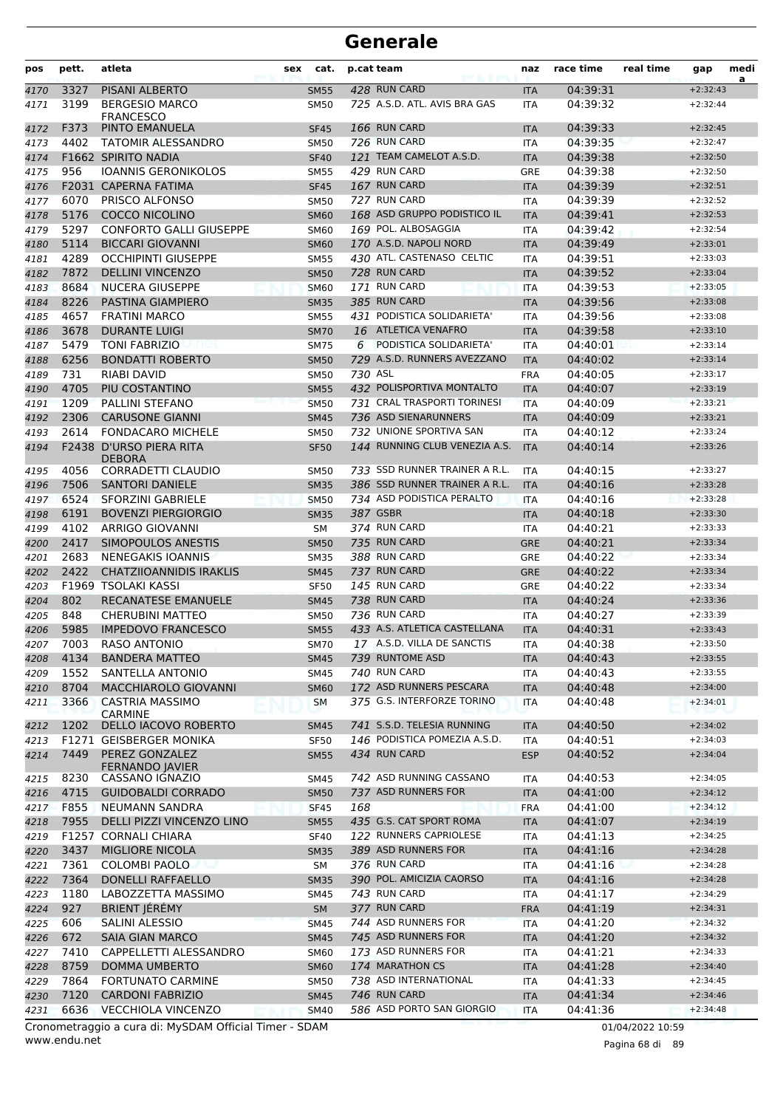| 3327<br><b>PISANI ALBERTO</b><br>428 RUN CARD<br>04:39:31<br>$+2:32:43$<br><b>SM55</b><br><b>ITA</b><br>725 A.S.D. ATL. AVIS BRA GAS<br>3199<br><b>BERGESIO MARCO</b><br>04:39:32<br><b>SM50</b><br><b>ITA</b><br>$+2:32:44$<br><b>FRANCESCO</b><br>F373<br><b>166 RUN CARD</b><br>PINTO EMANUELA<br>04:39:33<br><b>SF45</b><br>4172<br><b>ITA</b><br>$+2:32:45$<br>4402<br>726 RUN CARD<br>04:39:35<br><b>TATOMIR ALESSANDRO</b><br><b>SM50</b><br><b>ITA</b><br>$+2:32:47$<br>4173<br>121 TEAM CAMELOT A.S.D.<br>F1662 SPIRITO NADIA<br>04:39:38<br>$+2:32:50$<br>4174<br><b>SF40</b><br><b>ITA</b><br>956<br>429 RUN CARD<br><b>IOANNIS GERONIKOLOS</b><br>04:39:38<br><b>SM55</b><br><b>GRE</b><br>$+2:32:50$<br>4175<br>167 RUN CARD<br>F2031 CAPERNA FATIMA<br>04:39:39<br>4176<br><b>SF45</b><br><b>ITA</b><br>$+2:32:51$<br>6070<br>727 RUN CARD<br>PRISCO ALFONSO<br><b>SM50</b><br>04:39:39<br>$+2:32:52$<br>4177<br><b>ITA</b><br>168 ASD GRUPPO PODISTICO IL<br>5176<br><b>COCCO NICOLINO</b><br>04:39:41<br>4178<br><b>SM60</b><br><b>ITA</b><br>$+2:32:53$<br>5297<br>169 POL. ALBOSAGGIA<br><b>CONFORTO GALLI GIUSEPPE</b><br>04:39:42<br><b>SM60</b><br><b>ITA</b><br>$+2:32:54$<br>5114<br><b>BICCARI GIOVANNI</b><br>170 A.S.D. NAPOLI NORD<br>04:39:49<br>$+2:33:01$<br><b>SM60</b><br><b>ITA</b><br>4289<br>430 ATL. CASTENASO CELTIC<br><b>OCCHIPINTI GIUSEPPE</b><br>04:39:51<br><b>SM55</b><br><b>ITA</b><br>$+2:33:03$<br>7872<br>728 RUN CARD<br><b>DELLINI VINCENZO</b><br>04:39:52<br><b>SM50</b><br><b>ITA</b><br>$+2:33:04$<br>8684<br>171 RUN CARD<br><b>NUCERA GIUSEPPE</b><br>04:39:53<br>$+2:33:05$<br><b>SM60</b><br>ITA<br>8226<br>PASTINA GIAMPIERO<br>385 RUN CARD<br>04:39:56<br><b>SM35</b><br><b>ITA</b><br>$+2:33:08$<br>4657<br><b>FRATINI MARCO</b><br>431 PODISTICA SOLIDARIETA'<br>04:39:56<br>$+2:33:08$<br><b>SM55</b><br><b>ITA</b><br>3678<br>16 ATLETICA VENAFRO<br><b>DURANTE LUIGI</b><br><b>SM70</b><br>04:39:58<br>$+2:33:10$<br><b>ITA</b><br>5479<br><b>TONI FABRIZIO</b><br>6 PODISTICA SOLIDARIETA'<br>04:40:01<br><b>SM75</b><br>ITA<br>$+2:33:14$<br>пец<br>6256<br>729 A.S.D. RUNNERS AVEZZANO<br><b>BONDATTI ROBERTO</b><br>04:40:02<br>$+2:33:14$<br>4188<br><b>SM50</b><br><b>ITA</b><br>731<br>730 ASL<br>RIABI DAVID<br><b>SM50</b><br>04:40:05<br>$+2:33:17$<br>4189<br><b>FRA</b><br>4705<br>PIU COSTANTINO<br>432 POLISPORTIVA MONTALTO<br>04:40:07<br>4190<br><b>SM55</b><br><b>ITA</b><br>$+2:33:19$<br>1209<br><b>PALLINI STEFANO</b><br>731 CRAL TRASPORTI TORINESI<br>4191<br><b>SM50</b><br>04:40:09<br>$+2:33:21$<br><b>ITA</b><br>2306<br>736 ASD SIENARUNNERS<br>4192<br><b>CARUSONE GIANNI</b><br>04:40:09<br>$+2:33:21$<br><b>SM45</b><br><b>ITA</b><br>2614<br>732 UNIONE SPORTIVA SAN<br><b>FONDACARO MICHELE</b><br>04:40:12<br>4193<br><b>SM50</b><br><b>ITA</b><br>$+2:33:24$<br>F2438 D'URSO PIERA RITA<br>144 RUNNING CLUB VENEZIA A.S.<br>04:40:14<br>$+2:33:26$<br>4194<br><b>SF50</b><br><b>ITA</b><br><b>DEBORA</b><br>4056<br>CORRADETTI CLAUDIO<br>733 SSD RUNNER TRAINER A R.L.<br>04:40:15<br>$+2:33:27$<br><b>SM50</b><br><b>ITA</b><br>386 SSD RUNNER TRAINER A R.L.<br>7506<br><b>SANTORI DANIELE</b><br>04:40:16<br>$+2:33:28$<br><b>SM35</b><br><b>ITA</b><br>734 ASD PODISTICA PERALTO<br>6524<br>04:40:16<br><b>SFORZINI GABRIELE</b><br><b>SM50</b><br><b>ITA</b><br>$+2:33:28$<br>387 GSBR<br>6191<br><b>BOVENZI PIERGIORGIO</b><br>04:40:18<br>$+2:33:30$<br><b>SM35</b><br><b>ITA</b><br>4102<br>374 RUN CARD<br>ARRIGO GIOVANNI<br>04:40:21<br>SΜ<br>$+2:33:33$<br>ITA<br>2417<br>735 RUN CARD<br>SIMOPOULOS ANESTIS<br>04:40:21<br>4200<br><b>SM50</b><br><b>GRE</b><br>$+2:33:34$<br>2683<br><b>NENEGAKIS IOANNIS</b><br>388 RUN CARD<br>04:40:22<br>$+2:33:34$<br>4201<br><b>SM35</b><br><b>GRE</b><br>2422<br>737 RUN CARD<br><b>CHATZIIOANNIDIS IRAKLIS</b><br>04:40:22<br>4202<br><b>SM45</b><br><b>GRE</b><br>$+2:33:34$<br><b>145 RUN CARD</b><br>F1969 TSOLAKI KASSI<br>4203<br><b>SF50</b><br><b>GRE</b><br>04:40:22<br>$+2:33:34$<br>802<br>738 RUN CARD<br>RECANATESE EMANUELE<br>$+2:33:36$<br>4204<br><b>SM45</b><br><b>ITA</b><br>04:40:24<br>736 RUN CARD<br>848<br><b>CHERUBINI MATTEO</b><br>04:40:27<br>4205<br><b>SM50</b><br>$+2:33:39$<br>ITA<br>433 A.S. ATLETICA CASTELLANA<br>4206<br>5985<br><b>IMPEDOVO FRANCESCO</b><br>04:40:31<br><b>SM55</b><br><b>ITA</b><br>$+2:33:43$<br>17 A.S.D. VILLA DE SANCTIS<br>7003<br>RASO ANTONIO<br>04:40:38<br>$+2:33:50$<br>4207<br><b>SM70</b><br><b>ITA</b><br>739 RUNTOME ASD<br>4134<br><b>BANDERA MATTEO</b><br>04:40:43<br>$+2:33:55$<br>4208<br>SM45<br><b>ITA</b><br>1552<br>740 RUN CARD<br>SANTELLA ANTONIO<br><b>SM45</b><br>04:40:43<br>$+2:33:55$<br>4209<br>ITA<br>172 ASD RUNNERS PESCARA<br>8704<br><b>MACCHIAROLO GIOVANNI</b><br>$+2:34:00$<br>4210<br><b>SM60</b><br><b>ITA</b><br>04:40:48<br>3366<br>375 G.S. INTERFORZE TORINO<br><b>CASTRIA MASSIMO</b><br>04:40:48<br>$+2:34:01$<br><b>SM</b><br>ITA<br><b>CARMINE</b><br>741 S.S.D. TELESIA RUNNING<br>1202<br>DELLO IACOVO ROBERTO<br>04:40:50<br>$+2:34:02$<br>4212<br>SM45<br><b>ITA</b><br>F1271 GEISBERGER MONIKA<br>146 PODISTICA POMEZIA A.S.D.<br><b>SF50</b><br>04:40:51<br>$+2:34:03$<br>4213<br>ITA<br>434 RUN CARD<br>7449<br>PEREZ GONZALEZ<br>$+2:34:04$<br>4214<br><b>SM55</b><br><b>ESP</b><br>04:40:52<br>FERNANDO JAVIER<br>742 ASD RUNNING CASSANO<br>8230<br>CASSANO IGNAZIO<br>04:40:53<br>$+2:34:05$<br>SM45<br>ITA<br>737 ASD RUNNERS FOR<br>4715<br><b>GUIDOBALDI CORRADO</b><br>04:41:00<br>$+2:34:12$<br><b>SM50</b><br><b>ITA</b><br>4217<br>F855<br>NEUMANN SANDRA<br>168<br>04:41:00<br>$+2:34:12$<br>SF45<br><b>FRA</b><br>435 G.S. CAT SPORT ROMA<br>7955<br>DELLI PIZZI VINCENZO LINO<br>$+2:34:19$<br><b>SM55</b><br><b>ITA</b><br>04:41:07<br>F1257 CORNALI CHIARA<br>122 RUNNERS CAPRIOLESE<br><b>SF40</b><br>04:41:13<br>$+2:34:25$<br>ITA<br>3437<br><b>MIGLIORE NICOLA</b><br>389 ASD RUNNERS FOR<br>04:41:16<br>$+2:34:28$<br><b>SM35</b><br><b>ITA</b><br>376 RUN CARD<br>7361<br><b>COLOMBI PAOLO</b><br>$+2:34:28$<br>SM<br>ITA<br>04:41:16<br>390 POL. AMICIZIA CAORSO<br>7364<br><b>DONELLI RAFFAELLO</b><br>04:41:16<br>4222<br><b>SM35</b><br>$+2:34:28$<br><b>ITA</b><br>1180<br>LABOZZETTA MASSIMO<br>743 RUN CARD<br>04:41:17<br>$+2:34:29$<br>SM45<br><b>ITA</b><br>377 RUN CARD<br>927<br><b>BRIENT JEREMY</b><br>$+2:34:31$<br>4224<br><b>SM</b><br><b>FRA</b><br>04:41:19<br>606<br>SALINI ALESSIO<br>744 ASD RUNNERS FOR<br>04:41:20<br>4225<br>$+2:34:32$<br>SM45<br><b>ITA</b><br>672<br><b>SAIA GIAN MARCO</b><br>745 ASD RUNNERS FOR<br>04:41:20<br>$+2:34:32$<br>4226<br><b>SM45</b><br><b>ITA</b><br>7410<br>CAPPELLETTI ALESSANDRO<br>173 ASD RUNNERS FOR<br>04:41:21<br>$+2:34:33$<br>4227<br><b>SM60</b><br>ITA<br>174 MARATHON CS<br>8759<br><b>DOMMA UMBERTO</b><br>04:41:28<br>$+2:34:40$<br>4228<br><b>SM60</b><br><b>ITA</b><br>738 ASD INTERNATIONAL<br>7864<br><b>FORTUNATO CARMINE</b><br>04:41:33<br>+2:34:45<br>4229<br><b>SM50</b><br>ITA<br>746 RUN CARD<br>7120<br><b>CARDONI FABRIZIO</b><br>04:41:34<br>$+2:34:46$<br>4230<br><b>SM45</b><br><b>ITA</b><br>6636<br>586 ASD PORTO SAN GIORGIO<br><b>VECCHIOLA VINCENZO</b><br>4231<br>04:41:36<br>$+2:34:48$<br><b>SM40</b><br><b>ITA</b><br>Cronometraggio a cura di: MySDAM Official Timer - SDAM | pos  | pett. | atleta | sex | cat. | p.cat team | naz | race time | real time        | gap | medi |
|-------------------------------------------------------------------------------------------------------------------------------------------------------------------------------------------------------------------------------------------------------------------------------------------------------------------------------------------------------------------------------------------------------------------------------------------------------------------------------------------------------------------------------------------------------------------------------------------------------------------------------------------------------------------------------------------------------------------------------------------------------------------------------------------------------------------------------------------------------------------------------------------------------------------------------------------------------------------------------------------------------------------------------------------------------------------------------------------------------------------------------------------------------------------------------------------------------------------------------------------------------------------------------------------------------------------------------------------------------------------------------------------------------------------------------------------------------------------------------------------------------------------------------------------------------------------------------------------------------------------------------------------------------------------------------------------------------------------------------------------------------------------------------------------------------------------------------------------------------------------------------------------------------------------------------------------------------------------------------------------------------------------------------------------------------------------------------------------------------------------------------------------------------------------------------------------------------------------------------------------------------------------------------------------------------------------------------------------------------------------------------------------------------------------------------------------------------------------------------------------------------------------------------------------------------------------------------------------------------------------------------------------------------------------------------------------------------------------------------------------------------------------------------------------------------------------------------------------------------------------------------------------------------------------------------------------------------------------------------------------------------------------------------------------------------------------------------------------------------------------------------------------------------------------------------------------------------------------------------------------------------------------------------------------------------------------------------------------------------------------------------------------------------------------------------------------------------------------------------------------------------------------------------------------------------------------------------------------------------------------------------------------------------------------------------------------------------------------------------------------------------------------------------------------------------------------------------------------------------------------------------------------------------------------------------------------------------------------------------------------------------------------------------------------------------------------------------------------------------------------------------------------------------------------------------------------------------------------------------------------------------------------------------------------------------------------------------------------------------------------------------------------------------------------------------------------------------------------------------------------------------------------------------------------------------------------------------------------------------------------------------------------------------------------------------------------------------------------------------------------------------------------------------------------------------------------------------------------------------------------------------------------------------------------------------------------------------------------------------------------------------------------------------------------------------------------------------------------------------------------------------------------------------------------------------------------------------------------------------------------------------------------------------------------------------------------------------------------------------------------------------------------------------------------------------------------------------------------------------------------------------------------------------------------------------------------------------------------------------------------------------------------------------------------------------------------------------------------------------------------------------------------------------------------------------------------------------------------------------------------------------------------------------------------------------------------------------------------------------------------------------------------------------------------------------------------------------------------------------------------------------------------------------------------------------------------------------------------------------------------------------------------------------------------------------------------------------------------------------------------------------------------------------------------------------------------------------------------------------------------------------------------------------------------------------------------------------------------------------------------------------------------------------------------------------------------------------------------------------------------------------------------------------------------------------------------------------------------------------------------------------------------------------------------------------------------------------------------------------------------------------------------------------------------------------------------------------------------------------------------------------------------------------------------------------------------------------------------------------------------------------------------------------------------------------------------------------------------------------------------------------------|------|-------|--------|-----|------|------------|-----|-----------|------------------|-----|------|
|                                                                                                                                                                                                                                                                                                                                                                                                                                                                                                                                                                                                                                                                                                                                                                                                                                                                                                                                                                                                                                                                                                                                                                                                                                                                                                                                                                                                                                                                                                                                                                                                                                                                                                                                                                                                                                                                                                                                                                                                                                                                                                                                                                                                                                                                                                                                                                                                                                                                                                                                                                                                                                                                                                                                                                                                                                                                                                                                                                                                                                                                                                                                                                                                                                                                                                                                                                                                                                                                                                                                                                                                                                                                                                                                                                                                                                                                                                                                                                                                                                                                                                                                                                                                                                                                                                                                                                                                                                                                                                                                                                                                                                                                                                                                                                                                                                                                                                                                                                                                                                                                                                                                                                                                                                                                                                                                                                                                                                                                                                                                                                                                                                                                                                                                                                                                                                                                                                                                                                                                                                                                                                                                                                                                                                                                                                                                                                                                                                                                                                                                                                                                                                                                                                                                                                                                                                                                                                                                                                                                                                                                                                                                                                                                                                                                                                                                                                                     | 4170 |       |        |     |      |            |     |           |                  |     | a    |
|                                                                                                                                                                                                                                                                                                                                                                                                                                                                                                                                                                                                                                                                                                                                                                                                                                                                                                                                                                                                                                                                                                                                                                                                                                                                                                                                                                                                                                                                                                                                                                                                                                                                                                                                                                                                                                                                                                                                                                                                                                                                                                                                                                                                                                                                                                                                                                                                                                                                                                                                                                                                                                                                                                                                                                                                                                                                                                                                                                                                                                                                                                                                                                                                                                                                                                                                                                                                                                                                                                                                                                                                                                                                                                                                                                                                                                                                                                                                                                                                                                                                                                                                                                                                                                                                                                                                                                                                                                                                                                                                                                                                                                                                                                                                                                                                                                                                                                                                                                                                                                                                                                                                                                                                                                                                                                                                                                                                                                                                                                                                                                                                                                                                                                                                                                                                                                                                                                                                                                                                                                                                                                                                                                                                                                                                                                                                                                                                                                                                                                                                                                                                                                                                                                                                                                                                                                                                                                                                                                                                                                                                                                                                                                                                                                                                                                                                                                                     | 4171 |       |        |     |      |            |     |           |                  |     |      |
|                                                                                                                                                                                                                                                                                                                                                                                                                                                                                                                                                                                                                                                                                                                                                                                                                                                                                                                                                                                                                                                                                                                                                                                                                                                                                                                                                                                                                                                                                                                                                                                                                                                                                                                                                                                                                                                                                                                                                                                                                                                                                                                                                                                                                                                                                                                                                                                                                                                                                                                                                                                                                                                                                                                                                                                                                                                                                                                                                                                                                                                                                                                                                                                                                                                                                                                                                                                                                                                                                                                                                                                                                                                                                                                                                                                                                                                                                                                                                                                                                                                                                                                                                                                                                                                                                                                                                                                                                                                                                                                                                                                                                                                                                                                                                                                                                                                                                                                                                                                                                                                                                                                                                                                                                                                                                                                                                                                                                                                                                                                                                                                                                                                                                                                                                                                                                                                                                                                                                                                                                                                                                                                                                                                                                                                                                                                                                                                                                                                                                                                                                                                                                                                                                                                                                                                                                                                                                                                                                                                                                                                                                                                                                                                                                                                                                                                                                                                     |      |       |        |     |      |            |     |           |                  |     |      |
|                                                                                                                                                                                                                                                                                                                                                                                                                                                                                                                                                                                                                                                                                                                                                                                                                                                                                                                                                                                                                                                                                                                                                                                                                                                                                                                                                                                                                                                                                                                                                                                                                                                                                                                                                                                                                                                                                                                                                                                                                                                                                                                                                                                                                                                                                                                                                                                                                                                                                                                                                                                                                                                                                                                                                                                                                                                                                                                                                                                                                                                                                                                                                                                                                                                                                                                                                                                                                                                                                                                                                                                                                                                                                                                                                                                                                                                                                                                                                                                                                                                                                                                                                                                                                                                                                                                                                                                                                                                                                                                                                                                                                                                                                                                                                                                                                                                                                                                                                                                                                                                                                                                                                                                                                                                                                                                                                                                                                                                                                                                                                                                                                                                                                                                                                                                                                                                                                                                                                                                                                                                                                                                                                                                                                                                                                                                                                                                                                                                                                                                                                                                                                                                                                                                                                                                                                                                                                                                                                                                                                                                                                                                                                                                                                                                                                                                                                                                     |      |       |        |     |      |            |     |           |                  |     |      |
|                                                                                                                                                                                                                                                                                                                                                                                                                                                                                                                                                                                                                                                                                                                                                                                                                                                                                                                                                                                                                                                                                                                                                                                                                                                                                                                                                                                                                                                                                                                                                                                                                                                                                                                                                                                                                                                                                                                                                                                                                                                                                                                                                                                                                                                                                                                                                                                                                                                                                                                                                                                                                                                                                                                                                                                                                                                                                                                                                                                                                                                                                                                                                                                                                                                                                                                                                                                                                                                                                                                                                                                                                                                                                                                                                                                                                                                                                                                                                                                                                                                                                                                                                                                                                                                                                                                                                                                                                                                                                                                                                                                                                                                                                                                                                                                                                                                                                                                                                                                                                                                                                                                                                                                                                                                                                                                                                                                                                                                                                                                                                                                                                                                                                                                                                                                                                                                                                                                                                                                                                                                                                                                                                                                                                                                                                                                                                                                                                                                                                                                                                                                                                                                                                                                                                                                                                                                                                                                                                                                                                                                                                                                                                                                                                                                                                                                                                                                     |      |       |        |     |      |            |     |           |                  |     |      |
|                                                                                                                                                                                                                                                                                                                                                                                                                                                                                                                                                                                                                                                                                                                                                                                                                                                                                                                                                                                                                                                                                                                                                                                                                                                                                                                                                                                                                                                                                                                                                                                                                                                                                                                                                                                                                                                                                                                                                                                                                                                                                                                                                                                                                                                                                                                                                                                                                                                                                                                                                                                                                                                                                                                                                                                                                                                                                                                                                                                                                                                                                                                                                                                                                                                                                                                                                                                                                                                                                                                                                                                                                                                                                                                                                                                                                                                                                                                                                                                                                                                                                                                                                                                                                                                                                                                                                                                                                                                                                                                                                                                                                                                                                                                                                                                                                                                                                                                                                                                                                                                                                                                                                                                                                                                                                                                                                                                                                                                                                                                                                                                                                                                                                                                                                                                                                                                                                                                                                                                                                                                                                                                                                                                                                                                                                                                                                                                                                                                                                                                                                                                                                                                                                                                                                                                                                                                                                                                                                                                                                                                                                                                                                                                                                                                                                                                                                                                     |      |       |        |     |      |            |     |           |                  |     |      |
|                                                                                                                                                                                                                                                                                                                                                                                                                                                                                                                                                                                                                                                                                                                                                                                                                                                                                                                                                                                                                                                                                                                                                                                                                                                                                                                                                                                                                                                                                                                                                                                                                                                                                                                                                                                                                                                                                                                                                                                                                                                                                                                                                                                                                                                                                                                                                                                                                                                                                                                                                                                                                                                                                                                                                                                                                                                                                                                                                                                                                                                                                                                                                                                                                                                                                                                                                                                                                                                                                                                                                                                                                                                                                                                                                                                                                                                                                                                                                                                                                                                                                                                                                                                                                                                                                                                                                                                                                                                                                                                                                                                                                                                                                                                                                                                                                                                                                                                                                                                                                                                                                                                                                                                                                                                                                                                                                                                                                                                                                                                                                                                                                                                                                                                                                                                                                                                                                                                                                                                                                                                                                                                                                                                                                                                                                                                                                                                                                                                                                                                                                                                                                                                                                                                                                                                                                                                                                                                                                                                                                                                                                                                                                                                                                                                                                                                                                                                     |      |       |        |     |      |            |     |           |                  |     |      |
|                                                                                                                                                                                                                                                                                                                                                                                                                                                                                                                                                                                                                                                                                                                                                                                                                                                                                                                                                                                                                                                                                                                                                                                                                                                                                                                                                                                                                                                                                                                                                                                                                                                                                                                                                                                                                                                                                                                                                                                                                                                                                                                                                                                                                                                                                                                                                                                                                                                                                                                                                                                                                                                                                                                                                                                                                                                                                                                                                                                                                                                                                                                                                                                                                                                                                                                                                                                                                                                                                                                                                                                                                                                                                                                                                                                                                                                                                                                                                                                                                                                                                                                                                                                                                                                                                                                                                                                                                                                                                                                                                                                                                                                                                                                                                                                                                                                                                                                                                                                                                                                                                                                                                                                                                                                                                                                                                                                                                                                                                                                                                                                                                                                                                                                                                                                                                                                                                                                                                                                                                                                                                                                                                                                                                                                                                                                                                                                                                                                                                                                                                                                                                                                                                                                                                                                                                                                                                                                                                                                                                                                                                                                                                                                                                                                                                                                                                                                     |      |       |        |     |      |            |     |           |                  |     |      |
|                                                                                                                                                                                                                                                                                                                                                                                                                                                                                                                                                                                                                                                                                                                                                                                                                                                                                                                                                                                                                                                                                                                                                                                                                                                                                                                                                                                                                                                                                                                                                                                                                                                                                                                                                                                                                                                                                                                                                                                                                                                                                                                                                                                                                                                                                                                                                                                                                                                                                                                                                                                                                                                                                                                                                                                                                                                                                                                                                                                                                                                                                                                                                                                                                                                                                                                                                                                                                                                                                                                                                                                                                                                                                                                                                                                                                                                                                                                                                                                                                                                                                                                                                                                                                                                                                                                                                                                                                                                                                                                                                                                                                                                                                                                                                                                                                                                                                                                                                                                                                                                                                                                                                                                                                                                                                                                                                                                                                                                                                                                                                                                                                                                                                                                                                                                                                                                                                                                                                                                                                                                                                                                                                                                                                                                                                                                                                                                                                                                                                                                                                                                                                                                                                                                                                                                                                                                                                                                                                                                                                                                                                                                                                                                                                                                                                                                                                                                     |      |       |        |     |      |            |     |           |                  |     |      |
|                                                                                                                                                                                                                                                                                                                                                                                                                                                                                                                                                                                                                                                                                                                                                                                                                                                                                                                                                                                                                                                                                                                                                                                                                                                                                                                                                                                                                                                                                                                                                                                                                                                                                                                                                                                                                                                                                                                                                                                                                                                                                                                                                                                                                                                                                                                                                                                                                                                                                                                                                                                                                                                                                                                                                                                                                                                                                                                                                                                                                                                                                                                                                                                                                                                                                                                                                                                                                                                                                                                                                                                                                                                                                                                                                                                                                                                                                                                                                                                                                                                                                                                                                                                                                                                                                                                                                                                                                                                                                                                                                                                                                                                                                                                                                                                                                                                                                                                                                                                                                                                                                                                                                                                                                                                                                                                                                                                                                                                                                                                                                                                                                                                                                                                                                                                                                                                                                                                                                                                                                                                                                                                                                                                                                                                                                                                                                                                                                                                                                                                                                                                                                                                                                                                                                                                                                                                                                                                                                                                                                                                                                                                                                                                                                                                                                                                                                                                     | 4179 |       |        |     |      |            |     |           |                  |     |      |
|                                                                                                                                                                                                                                                                                                                                                                                                                                                                                                                                                                                                                                                                                                                                                                                                                                                                                                                                                                                                                                                                                                                                                                                                                                                                                                                                                                                                                                                                                                                                                                                                                                                                                                                                                                                                                                                                                                                                                                                                                                                                                                                                                                                                                                                                                                                                                                                                                                                                                                                                                                                                                                                                                                                                                                                                                                                                                                                                                                                                                                                                                                                                                                                                                                                                                                                                                                                                                                                                                                                                                                                                                                                                                                                                                                                                                                                                                                                                                                                                                                                                                                                                                                                                                                                                                                                                                                                                                                                                                                                                                                                                                                                                                                                                                                                                                                                                                                                                                                                                                                                                                                                                                                                                                                                                                                                                                                                                                                                                                                                                                                                                                                                                                                                                                                                                                                                                                                                                                                                                                                                                                                                                                                                                                                                                                                                                                                                                                                                                                                                                                                                                                                                                                                                                                                                                                                                                                                                                                                                                                                                                                                                                                                                                                                                                                                                                                                                     | 4180 |       |        |     |      |            |     |           |                  |     |      |
|                                                                                                                                                                                                                                                                                                                                                                                                                                                                                                                                                                                                                                                                                                                                                                                                                                                                                                                                                                                                                                                                                                                                                                                                                                                                                                                                                                                                                                                                                                                                                                                                                                                                                                                                                                                                                                                                                                                                                                                                                                                                                                                                                                                                                                                                                                                                                                                                                                                                                                                                                                                                                                                                                                                                                                                                                                                                                                                                                                                                                                                                                                                                                                                                                                                                                                                                                                                                                                                                                                                                                                                                                                                                                                                                                                                                                                                                                                                                                                                                                                                                                                                                                                                                                                                                                                                                                                                                                                                                                                                                                                                                                                                                                                                                                                                                                                                                                                                                                                                                                                                                                                                                                                                                                                                                                                                                                                                                                                                                                                                                                                                                                                                                                                                                                                                                                                                                                                                                                                                                                                                                                                                                                                                                                                                                                                                                                                                                                                                                                                                                                                                                                                                                                                                                                                                                                                                                                                                                                                                                                                                                                                                                                                                                                                                                                                                                                                                     | 4181 |       |        |     |      |            |     |           |                  |     |      |
|                                                                                                                                                                                                                                                                                                                                                                                                                                                                                                                                                                                                                                                                                                                                                                                                                                                                                                                                                                                                                                                                                                                                                                                                                                                                                                                                                                                                                                                                                                                                                                                                                                                                                                                                                                                                                                                                                                                                                                                                                                                                                                                                                                                                                                                                                                                                                                                                                                                                                                                                                                                                                                                                                                                                                                                                                                                                                                                                                                                                                                                                                                                                                                                                                                                                                                                                                                                                                                                                                                                                                                                                                                                                                                                                                                                                                                                                                                                                                                                                                                                                                                                                                                                                                                                                                                                                                                                                                                                                                                                                                                                                                                                                                                                                                                                                                                                                                                                                                                                                                                                                                                                                                                                                                                                                                                                                                                                                                                                                                                                                                                                                                                                                                                                                                                                                                                                                                                                                                                                                                                                                                                                                                                                                                                                                                                                                                                                                                                                                                                                                                                                                                                                                                                                                                                                                                                                                                                                                                                                                                                                                                                                                                                                                                                                                                                                                                                                     | 4182 |       |        |     |      |            |     |           |                  |     |      |
|                                                                                                                                                                                                                                                                                                                                                                                                                                                                                                                                                                                                                                                                                                                                                                                                                                                                                                                                                                                                                                                                                                                                                                                                                                                                                                                                                                                                                                                                                                                                                                                                                                                                                                                                                                                                                                                                                                                                                                                                                                                                                                                                                                                                                                                                                                                                                                                                                                                                                                                                                                                                                                                                                                                                                                                                                                                                                                                                                                                                                                                                                                                                                                                                                                                                                                                                                                                                                                                                                                                                                                                                                                                                                                                                                                                                                                                                                                                                                                                                                                                                                                                                                                                                                                                                                                                                                                                                                                                                                                                                                                                                                                                                                                                                                                                                                                                                                                                                                                                                                                                                                                                                                                                                                                                                                                                                                                                                                                                                                                                                                                                                                                                                                                                                                                                                                                                                                                                                                                                                                                                                                                                                                                                                                                                                                                                                                                                                                                                                                                                                                                                                                                                                                                                                                                                                                                                                                                                                                                                                                                                                                                                                                                                                                                                                                                                                                                                     | 4183 |       |        |     |      |            |     |           |                  |     |      |
|                                                                                                                                                                                                                                                                                                                                                                                                                                                                                                                                                                                                                                                                                                                                                                                                                                                                                                                                                                                                                                                                                                                                                                                                                                                                                                                                                                                                                                                                                                                                                                                                                                                                                                                                                                                                                                                                                                                                                                                                                                                                                                                                                                                                                                                                                                                                                                                                                                                                                                                                                                                                                                                                                                                                                                                                                                                                                                                                                                                                                                                                                                                                                                                                                                                                                                                                                                                                                                                                                                                                                                                                                                                                                                                                                                                                                                                                                                                                                                                                                                                                                                                                                                                                                                                                                                                                                                                                                                                                                                                                                                                                                                                                                                                                                                                                                                                                                                                                                                                                                                                                                                                                                                                                                                                                                                                                                                                                                                                                                                                                                                                                                                                                                                                                                                                                                                                                                                                                                                                                                                                                                                                                                                                                                                                                                                                                                                                                                                                                                                                                                                                                                                                                                                                                                                                                                                                                                                                                                                                                                                                                                                                                                                                                                                                                                                                                                                                     | 4184 |       |        |     |      |            |     |           |                  |     |      |
|                                                                                                                                                                                                                                                                                                                                                                                                                                                                                                                                                                                                                                                                                                                                                                                                                                                                                                                                                                                                                                                                                                                                                                                                                                                                                                                                                                                                                                                                                                                                                                                                                                                                                                                                                                                                                                                                                                                                                                                                                                                                                                                                                                                                                                                                                                                                                                                                                                                                                                                                                                                                                                                                                                                                                                                                                                                                                                                                                                                                                                                                                                                                                                                                                                                                                                                                                                                                                                                                                                                                                                                                                                                                                                                                                                                                                                                                                                                                                                                                                                                                                                                                                                                                                                                                                                                                                                                                                                                                                                                                                                                                                                                                                                                                                                                                                                                                                                                                                                                                                                                                                                                                                                                                                                                                                                                                                                                                                                                                                                                                                                                                                                                                                                                                                                                                                                                                                                                                                                                                                                                                                                                                                                                                                                                                                                                                                                                                                                                                                                                                                                                                                                                                                                                                                                                                                                                                                                                                                                                                                                                                                                                                                                                                                                                                                                                                                                                     | 4185 |       |        |     |      |            |     |           |                  |     |      |
|                                                                                                                                                                                                                                                                                                                                                                                                                                                                                                                                                                                                                                                                                                                                                                                                                                                                                                                                                                                                                                                                                                                                                                                                                                                                                                                                                                                                                                                                                                                                                                                                                                                                                                                                                                                                                                                                                                                                                                                                                                                                                                                                                                                                                                                                                                                                                                                                                                                                                                                                                                                                                                                                                                                                                                                                                                                                                                                                                                                                                                                                                                                                                                                                                                                                                                                                                                                                                                                                                                                                                                                                                                                                                                                                                                                                                                                                                                                                                                                                                                                                                                                                                                                                                                                                                                                                                                                                                                                                                                                                                                                                                                                                                                                                                                                                                                                                                                                                                                                                                                                                                                                                                                                                                                                                                                                                                                                                                                                                                                                                                                                                                                                                                                                                                                                                                                                                                                                                                                                                                                                                                                                                                                                                                                                                                                                                                                                                                                                                                                                                                                                                                                                                                                                                                                                                                                                                                                                                                                                                                                                                                                                                                                                                                                                                                                                                                                                     | 4186 |       |        |     |      |            |     |           |                  |     |      |
|                                                                                                                                                                                                                                                                                                                                                                                                                                                                                                                                                                                                                                                                                                                                                                                                                                                                                                                                                                                                                                                                                                                                                                                                                                                                                                                                                                                                                                                                                                                                                                                                                                                                                                                                                                                                                                                                                                                                                                                                                                                                                                                                                                                                                                                                                                                                                                                                                                                                                                                                                                                                                                                                                                                                                                                                                                                                                                                                                                                                                                                                                                                                                                                                                                                                                                                                                                                                                                                                                                                                                                                                                                                                                                                                                                                                                                                                                                                                                                                                                                                                                                                                                                                                                                                                                                                                                                                                                                                                                                                                                                                                                                                                                                                                                                                                                                                                                                                                                                                                                                                                                                                                                                                                                                                                                                                                                                                                                                                                                                                                                                                                                                                                                                                                                                                                                                                                                                                                                                                                                                                                                                                                                                                                                                                                                                                                                                                                                                                                                                                                                                                                                                                                                                                                                                                                                                                                                                                                                                                                                                                                                                                                                                                                                                                                                                                                                                                     | 4187 |       |        |     |      |            |     |           |                  |     |      |
|                                                                                                                                                                                                                                                                                                                                                                                                                                                                                                                                                                                                                                                                                                                                                                                                                                                                                                                                                                                                                                                                                                                                                                                                                                                                                                                                                                                                                                                                                                                                                                                                                                                                                                                                                                                                                                                                                                                                                                                                                                                                                                                                                                                                                                                                                                                                                                                                                                                                                                                                                                                                                                                                                                                                                                                                                                                                                                                                                                                                                                                                                                                                                                                                                                                                                                                                                                                                                                                                                                                                                                                                                                                                                                                                                                                                                                                                                                                                                                                                                                                                                                                                                                                                                                                                                                                                                                                                                                                                                                                                                                                                                                                                                                                                                                                                                                                                                                                                                                                                                                                                                                                                                                                                                                                                                                                                                                                                                                                                                                                                                                                                                                                                                                                                                                                                                                                                                                                                                                                                                                                                                                                                                                                                                                                                                                                                                                                                                                                                                                                                                                                                                                                                                                                                                                                                                                                                                                                                                                                                                                                                                                                                                                                                                                                                                                                                                                                     |      |       |        |     |      |            |     |           |                  |     |      |
|                                                                                                                                                                                                                                                                                                                                                                                                                                                                                                                                                                                                                                                                                                                                                                                                                                                                                                                                                                                                                                                                                                                                                                                                                                                                                                                                                                                                                                                                                                                                                                                                                                                                                                                                                                                                                                                                                                                                                                                                                                                                                                                                                                                                                                                                                                                                                                                                                                                                                                                                                                                                                                                                                                                                                                                                                                                                                                                                                                                                                                                                                                                                                                                                                                                                                                                                                                                                                                                                                                                                                                                                                                                                                                                                                                                                                                                                                                                                                                                                                                                                                                                                                                                                                                                                                                                                                                                                                                                                                                                                                                                                                                                                                                                                                                                                                                                                                                                                                                                                                                                                                                                                                                                                                                                                                                                                                                                                                                                                                                                                                                                                                                                                                                                                                                                                                                                                                                                                                                                                                                                                                                                                                                                                                                                                                                                                                                                                                                                                                                                                                                                                                                                                                                                                                                                                                                                                                                                                                                                                                                                                                                                                                                                                                                                                                                                                                                                     |      |       |        |     |      |            |     |           |                  |     |      |
|                                                                                                                                                                                                                                                                                                                                                                                                                                                                                                                                                                                                                                                                                                                                                                                                                                                                                                                                                                                                                                                                                                                                                                                                                                                                                                                                                                                                                                                                                                                                                                                                                                                                                                                                                                                                                                                                                                                                                                                                                                                                                                                                                                                                                                                                                                                                                                                                                                                                                                                                                                                                                                                                                                                                                                                                                                                                                                                                                                                                                                                                                                                                                                                                                                                                                                                                                                                                                                                                                                                                                                                                                                                                                                                                                                                                                                                                                                                                                                                                                                                                                                                                                                                                                                                                                                                                                                                                                                                                                                                                                                                                                                                                                                                                                                                                                                                                                                                                                                                                                                                                                                                                                                                                                                                                                                                                                                                                                                                                                                                                                                                                                                                                                                                                                                                                                                                                                                                                                                                                                                                                                                                                                                                                                                                                                                                                                                                                                                                                                                                                                                                                                                                                                                                                                                                                                                                                                                                                                                                                                                                                                                                                                                                                                                                                                                                                                                                     |      |       |        |     |      |            |     |           |                  |     |      |
|                                                                                                                                                                                                                                                                                                                                                                                                                                                                                                                                                                                                                                                                                                                                                                                                                                                                                                                                                                                                                                                                                                                                                                                                                                                                                                                                                                                                                                                                                                                                                                                                                                                                                                                                                                                                                                                                                                                                                                                                                                                                                                                                                                                                                                                                                                                                                                                                                                                                                                                                                                                                                                                                                                                                                                                                                                                                                                                                                                                                                                                                                                                                                                                                                                                                                                                                                                                                                                                                                                                                                                                                                                                                                                                                                                                                                                                                                                                                                                                                                                                                                                                                                                                                                                                                                                                                                                                                                                                                                                                                                                                                                                                                                                                                                                                                                                                                                                                                                                                                                                                                                                                                                                                                                                                                                                                                                                                                                                                                                                                                                                                                                                                                                                                                                                                                                                                                                                                                                                                                                                                                                                                                                                                                                                                                                                                                                                                                                                                                                                                                                                                                                                                                                                                                                                                                                                                                                                                                                                                                                                                                                                                                                                                                                                                                                                                                                                                     |      |       |        |     |      |            |     |           |                  |     |      |
|                                                                                                                                                                                                                                                                                                                                                                                                                                                                                                                                                                                                                                                                                                                                                                                                                                                                                                                                                                                                                                                                                                                                                                                                                                                                                                                                                                                                                                                                                                                                                                                                                                                                                                                                                                                                                                                                                                                                                                                                                                                                                                                                                                                                                                                                                                                                                                                                                                                                                                                                                                                                                                                                                                                                                                                                                                                                                                                                                                                                                                                                                                                                                                                                                                                                                                                                                                                                                                                                                                                                                                                                                                                                                                                                                                                                                                                                                                                                                                                                                                                                                                                                                                                                                                                                                                                                                                                                                                                                                                                                                                                                                                                                                                                                                                                                                                                                                                                                                                                                                                                                                                                                                                                                                                                                                                                                                                                                                                                                                                                                                                                                                                                                                                                                                                                                                                                                                                                                                                                                                                                                                                                                                                                                                                                                                                                                                                                                                                                                                                                                                                                                                                                                                                                                                                                                                                                                                                                                                                                                                                                                                                                                                                                                                                                                                                                                                                                     |      |       |        |     |      |            |     |           |                  |     |      |
|                                                                                                                                                                                                                                                                                                                                                                                                                                                                                                                                                                                                                                                                                                                                                                                                                                                                                                                                                                                                                                                                                                                                                                                                                                                                                                                                                                                                                                                                                                                                                                                                                                                                                                                                                                                                                                                                                                                                                                                                                                                                                                                                                                                                                                                                                                                                                                                                                                                                                                                                                                                                                                                                                                                                                                                                                                                                                                                                                                                                                                                                                                                                                                                                                                                                                                                                                                                                                                                                                                                                                                                                                                                                                                                                                                                                                                                                                                                                                                                                                                                                                                                                                                                                                                                                                                                                                                                                                                                                                                                                                                                                                                                                                                                                                                                                                                                                                                                                                                                                                                                                                                                                                                                                                                                                                                                                                                                                                                                                                                                                                                                                                                                                                                                                                                                                                                                                                                                                                                                                                                                                                                                                                                                                                                                                                                                                                                                                                                                                                                                                                                                                                                                                                                                                                                                                                                                                                                                                                                                                                                                                                                                                                                                                                                                                                                                                                                                     |      |       |        |     |      |            |     |           |                  |     |      |
|                                                                                                                                                                                                                                                                                                                                                                                                                                                                                                                                                                                                                                                                                                                                                                                                                                                                                                                                                                                                                                                                                                                                                                                                                                                                                                                                                                                                                                                                                                                                                                                                                                                                                                                                                                                                                                                                                                                                                                                                                                                                                                                                                                                                                                                                                                                                                                                                                                                                                                                                                                                                                                                                                                                                                                                                                                                                                                                                                                                                                                                                                                                                                                                                                                                                                                                                                                                                                                                                                                                                                                                                                                                                                                                                                                                                                                                                                                                                                                                                                                                                                                                                                                                                                                                                                                                                                                                                                                                                                                                                                                                                                                                                                                                                                                                                                                                                                                                                                                                                                                                                                                                                                                                                                                                                                                                                                                                                                                                                                                                                                                                                                                                                                                                                                                                                                                                                                                                                                                                                                                                                                                                                                                                                                                                                                                                                                                                                                                                                                                                                                                                                                                                                                                                                                                                                                                                                                                                                                                                                                                                                                                                                                                                                                                                                                                                                                                                     |      |       |        |     |      |            |     |           |                  |     |      |
|                                                                                                                                                                                                                                                                                                                                                                                                                                                                                                                                                                                                                                                                                                                                                                                                                                                                                                                                                                                                                                                                                                                                                                                                                                                                                                                                                                                                                                                                                                                                                                                                                                                                                                                                                                                                                                                                                                                                                                                                                                                                                                                                                                                                                                                                                                                                                                                                                                                                                                                                                                                                                                                                                                                                                                                                                                                                                                                                                                                                                                                                                                                                                                                                                                                                                                                                                                                                                                                                                                                                                                                                                                                                                                                                                                                                                                                                                                                                                                                                                                                                                                                                                                                                                                                                                                                                                                                                                                                                                                                                                                                                                                                                                                                                                                                                                                                                                                                                                                                                                                                                                                                                                                                                                                                                                                                                                                                                                                                                                                                                                                                                                                                                                                                                                                                                                                                                                                                                                                                                                                                                                                                                                                                                                                                                                                                                                                                                                                                                                                                                                                                                                                                                                                                                                                                                                                                                                                                                                                                                                                                                                                                                                                                                                                                                                                                                                                                     | 4195 |       |        |     |      |            |     |           |                  |     |      |
|                                                                                                                                                                                                                                                                                                                                                                                                                                                                                                                                                                                                                                                                                                                                                                                                                                                                                                                                                                                                                                                                                                                                                                                                                                                                                                                                                                                                                                                                                                                                                                                                                                                                                                                                                                                                                                                                                                                                                                                                                                                                                                                                                                                                                                                                                                                                                                                                                                                                                                                                                                                                                                                                                                                                                                                                                                                                                                                                                                                                                                                                                                                                                                                                                                                                                                                                                                                                                                                                                                                                                                                                                                                                                                                                                                                                                                                                                                                                                                                                                                                                                                                                                                                                                                                                                                                                                                                                                                                                                                                                                                                                                                                                                                                                                                                                                                                                                                                                                                                                                                                                                                                                                                                                                                                                                                                                                                                                                                                                                                                                                                                                                                                                                                                                                                                                                                                                                                                                                                                                                                                                                                                                                                                                                                                                                                                                                                                                                                                                                                                                                                                                                                                                                                                                                                                                                                                                                                                                                                                                                                                                                                                                                                                                                                                                                                                                                                                     | 4196 |       |        |     |      |            |     |           |                  |     |      |
|                                                                                                                                                                                                                                                                                                                                                                                                                                                                                                                                                                                                                                                                                                                                                                                                                                                                                                                                                                                                                                                                                                                                                                                                                                                                                                                                                                                                                                                                                                                                                                                                                                                                                                                                                                                                                                                                                                                                                                                                                                                                                                                                                                                                                                                                                                                                                                                                                                                                                                                                                                                                                                                                                                                                                                                                                                                                                                                                                                                                                                                                                                                                                                                                                                                                                                                                                                                                                                                                                                                                                                                                                                                                                                                                                                                                                                                                                                                                                                                                                                                                                                                                                                                                                                                                                                                                                                                                                                                                                                                                                                                                                                                                                                                                                                                                                                                                                                                                                                                                                                                                                                                                                                                                                                                                                                                                                                                                                                                                                                                                                                                                                                                                                                                                                                                                                                                                                                                                                                                                                                                                                                                                                                                                                                                                                                                                                                                                                                                                                                                                                                                                                                                                                                                                                                                                                                                                                                                                                                                                                                                                                                                                                                                                                                                                                                                                                                                     | 4197 |       |        |     |      |            |     |           |                  |     |      |
|                                                                                                                                                                                                                                                                                                                                                                                                                                                                                                                                                                                                                                                                                                                                                                                                                                                                                                                                                                                                                                                                                                                                                                                                                                                                                                                                                                                                                                                                                                                                                                                                                                                                                                                                                                                                                                                                                                                                                                                                                                                                                                                                                                                                                                                                                                                                                                                                                                                                                                                                                                                                                                                                                                                                                                                                                                                                                                                                                                                                                                                                                                                                                                                                                                                                                                                                                                                                                                                                                                                                                                                                                                                                                                                                                                                                                                                                                                                                                                                                                                                                                                                                                                                                                                                                                                                                                                                                                                                                                                                                                                                                                                                                                                                                                                                                                                                                                                                                                                                                                                                                                                                                                                                                                                                                                                                                                                                                                                                                                                                                                                                                                                                                                                                                                                                                                                                                                                                                                                                                                                                                                                                                                                                                                                                                                                                                                                                                                                                                                                                                                                                                                                                                                                                                                                                                                                                                                                                                                                                                                                                                                                                                                                                                                                                                                                                                                                                     | 4198 |       |        |     |      |            |     |           |                  |     |      |
|                                                                                                                                                                                                                                                                                                                                                                                                                                                                                                                                                                                                                                                                                                                                                                                                                                                                                                                                                                                                                                                                                                                                                                                                                                                                                                                                                                                                                                                                                                                                                                                                                                                                                                                                                                                                                                                                                                                                                                                                                                                                                                                                                                                                                                                                                                                                                                                                                                                                                                                                                                                                                                                                                                                                                                                                                                                                                                                                                                                                                                                                                                                                                                                                                                                                                                                                                                                                                                                                                                                                                                                                                                                                                                                                                                                                                                                                                                                                                                                                                                                                                                                                                                                                                                                                                                                                                                                                                                                                                                                                                                                                                                                                                                                                                                                                                                                                                                                                                                                                                                                                                                                                                                                                                                                                                                                                                                                                                                                                                                                                                                                                                                                                                                                                                                                                                                                                                                                                                                                                                                                                                                                                                                                                                                                                                                                                                                                                                                                                                                                                                                                                                                                                                                                                                                                                                                                                                                                                                                                                                                                                                                                                                                                                                                                                                                                                                                                     | 4199 |       |        |     |      |            |     |           |                  |     |      |
|                                                                                                                                                                                                                                                                                                                                                                                                                                                                                                                                                                                                                                                                                                                                                                                                                                                                                                                                                                                                                                                                                                                                                                                                                                                                                                                                                                                                                                                                                                                                                                                                                                                                                                                                                                                                                                                                                                                                                                                                                                                                                                                                                                                                                                                                                                                                                                                                                                                                                                                                                                                                                                                                                                                                                                                                                                                                                                                                                                                                                                                                                                                                                                                                                                                                                                                                                                                                                                                                                                                                                                                                                                                                                                                                                                                                                                                                                                                                                                                                                                                                                                                                                                                                                                                                                                                                                                                                                                                                                                                                                                                                                                                                                                                                                                                                                                                                                                                                                                                                                                                                                                                                                                                                                                                                                                                                                                                                                                                                                                                                                                                                                                                                                                                                                                                                                                                                                                                                                                                                                                                                                                                                                                                                                                                                                                                                                                                                                                                                                                                                                                                                                                                                                                                                                                                                                                                                                                                                                                                                                                                                                                                                                                                                                                                                                                                                                                                     |      |       |        |     |      |            |     |           |                  |     |      |
|                                                                                                                                                                                                                                                                                                                                                                                                                                                                                                                                                                                                                                                                                                                                                                                                                                                                                                                                                                                                                                                                                                                                                                                                                                                                                                                                                                                                                                                                                                                                                                                                                                                                                                                                                                                                                                                                                                                                                                                                                                                                                                                                                                                                                                                                                                                                                                                                                                                                                                                                                                                                                                                                                                                                                                                                                                                                                                                                                                                                                                                                                                                                                                                                                                                                                                                                                                                                                                                                                                                                                                                                                                                                                                                                                                                                                                                                                                                                                                                                                                                                                                                                                                                                                                                                                                                                                                                                                                                                                                                                                                                                                                                                                                                                                                                                                                                                                                                                                                                                                                                                                                                                                                                                                                                                                                                                                                                                                                                                                                                                                                                                                                                                                                                                                                                                                                                                                                                                                                                                                                                                                                                                                                                                                                                                                                                                                                                                                                                                                                                                                                                                                                                                                                                                                                                                                                                                                                                                                                                                                                                                                                                                                                                                                                                                                                                                                                                     |      |       |        |     |      |            |     |           |                  |     |      |
|                                                                                                                                                                                                                                                                                                                                                                                                                                                                                                                                                                                                                                                                                                                                                                                                                                                                                                                                                                                                                                                                                                                                                                                                                                                                                                                                                                                                                                                                                                                                                                                                                                                                                                                                                                                                                                                                                                                                                                                                                                                                                                                                                                                                                                                                                                                                                                                                                                                                                                                                                                                                                                                                                                                                                                                                                                                                                                                                                                                                                                                                                                                                                                                                                                                                                                                                                                                                                                                                                                                                                                                                                                                                                                                                                                                                                                                                                                                                                                                                                                                                                                                                                                                                                                                                                                                                                                                                                                                                                                                                                                                                                                                                                                                                                                                                                                                                                                                                                                                                                                                                                                                                                                                                                                                                                                                                                                                                                                                                                                                                                                                                                                                                                                                                                                                                                                                                                                                                                                                                                                                                                                                                                                                                                                                                                                                                                                                                                                                                                                                                                                                                                                                                                                                                                                                                                                                                                                                                                                                                                                                                                                                                                                                                                                                                                                                                                                                     |      |       |        |     |      |            |     |           |                  |     |      |
|                                                                                                                                                                                                                                                                                                                                                                                                                                                                                                                                                                                                                                                                                                                                                                                                                                                                                                                                                                                                                                                                                                                                                                                                                                                                                                                                                                                                                                                                                                                                                                                                                                                                                                                                                                                                                                                                                                                                                                                                                                                                                                                                                                                                                                                                                                                                                                                                                                                                                                                                                                                                                                                                                                                                                                                                                                                                                                                                                                                                                                                                                                                                                                                                                                                                                                                                                                                                                                                                                                                                                                                                                                                                                                                                                                                                                                                                                                                                                                                                                                                                                                                                                                                                                                                                                                                                                                                                                                                                                                                                                                                                                                                                                                                                                                                                                                                                                                                                                                                                                                                                                                                                                                                                                                                                                                                                                                                                                                                                                                                                                                                                                                                                                                                                                                                                                                                                                                                                                                                                                                                                                                                                                                                                                                                                                                                                                                                                                                                                                                                                                                                                                                                                                                                                                                                                                                                                                                                                                                                                                                                                                                                                                                                                                                                                                                                                                                                     |      |       |        |     |      |            |     |           |                  |     |      |
|                                                                                                                                                                                                                                                                                                                                                                                                                                                                                                                                                                                                                                                                                                                                                                                                                                                                                                                                                                                                                                                                                                                                                                                                                                                                                                                                                                                                                                                                                                                                                                                                                                                                                                                                                                                                                                                                                                                                                                                                                                                                                                                                                                                                                                                                                                                                                                                                                                                                                                                                                                                                                                                                                                                                                                                                                                                                                                                                                                                                                                                                                                                                                                                                                                                                                                                                                                                                                                                                                                                                                                                                                                                                                                                                                                                                                                                                                                                                                                                                                                                                                                                                                                                                                                                                                                                                                                                                                                                                                                                                                                                                                                                                                                                                                                                                                                                                                                                                                                                                                                                                                                                                                                                                                                                                                                                                                                                                                                                                                                                                                                                                                                                                                                                                                                                                                                                                                                                                                                                                                                                                                                                                                                                                                                                                                                                                                                                                                                                                                                                                                                                                                                                                                                                                                                                                                                                                                                                                                                                                                                                                                                                                                                                                                                                                                                                                                                                     |      |       |        |     |      |            |     |           |                  |     |      |
|                                                                                                                                                                                                                                                                                                                                                                                                                                                                                                                                                                                                                                                                                                                                                                                                                                                                                                                                                                                                                                                                                                                                                                                                                                                                                                                                                                                                                                                                                                                                                                                                                                                                                                                                                                                                                                                                                                                                                                                                                                                                                                                                                                                                                                                                                                                                                                                                                                                                                                                                                                                                                                                                                                                                                                                                                                                                                                                                                                                                                                                                                                                                                                                                                                                                                                                                                                                                                                                                                                                                                                                                                                                                                                                                                                                                                                                                                                                                                                                                                                                                                                                                                                                                                                                                                                                                                                                                                                                                                                                                                                                                                                                                                                                                                                                                                                                                                                                                                                                                                                                                                                                                                                                                                                                                                                                                                                                                                                                                                                                                                                                                                                                                                                                                                                                                                                                                                                                                                                                                                                                                                                                                                                                                                                                                                                                                                                                                                                                                                                                                                                                                                                                                                                                                                                                                                                                                                                                                                                                                                                                                                                                                                                                                                                                                                                                                                                                     |      |       |        |     |      |            |     |           |                  |     |      |
|                                                                                                                                                                                                                                                                                                                                                                                                                                                                                                                                                                                                                                                                                                                                                                                                                                                                                                                                                                                                                                                                                                                                                                                                                                                                                                                                                                                                                                                                                                                                                                                                                                                                                                                                                                                                                                                                                                                                                                                                                                                                                                                                                                                                                                                                                                                                                                                                                                                                                                                                                                                                                                                                                                                                                                                                                                                                                                                                                                                                                                                                                                                                                                                                                                                                                                                                                                                                                                                                                                                                                                                                                                                                                                                                                                                                                                                                                                                                                                                                                                                                                                                                                                                                                                                                                                                                                                                                                                                                                                                                                                                                                                                                                                                                                                                                                                                                                                                                                                                                                                                                                                                                                                                                                                                                                                                                                                                                                                                                                                                                                                                                                                                                                                                                                                                                                                                                                                                                                                                                                                                                                                                                                                                                                                                                                                                                                                                                                                                                                                                                                                                                                                                                                                                                                                                                                                                                                                                                                                                                                                                                                                                                                                                                                                                                                                                                                                                     |      |       |        |     |      |            |     |           |                  |     |      |
|                                                                                                                                                                                                                                                                                                                                                                                                                                                                                                                                                                                                                                                                                                                                                                                                                                                                                                                                                                                                                                                                                                                                                                                                                                                                                                                                                                                                                                                                                                                                                                                                                                                                                                                                                                                                                                                                                                                                                                                                                                                                                                                                                                                                                                                                                                                                                                                                                                                                                                                                                                                                                                                                                                                                                                                                                                                                                                                                                                                                                                                                                                                                                                                                                                                                                                                                                                                                                                                                                                                                                                                                                                                                                                                                                                                                                                                                                                                                                                                                                                                                                                                                                                                                                                                                                                                                                                                                                                                                                                                                                                                                                                                                                                                                                                                                                                                                                                                                                                                                                                                                                                                                                                                                                                                                                                                                                                                                                                                                                                                                                                                                                                                                                                                                                                                                                                                                                                                                                                                                                                                                                                                                                                                                                                                                                                                                                                                                                                                                                                                                                                                                                                                                                                                                                                                                                                                                                                                                                                                                                                                                                                                                                                                                                                                                                                                                                                                     |      |       |        |     |      |            |     |           |                  |     |      |
|                                                                                                                                                                                                                                                                                                                                                                                                                                                                                                                                                                                                                                                                                                                                                                                                                                                                                                                                                                                                                                                                                                                                                                                                                                                                                                                                                                                                                                                                                                                                                                                                                                                                                                                                                                                                                                                                                                                                                                                                                                                                                                                                                                                                                                                                                                                                                                                                                                                                                                                                                                                                                                                                                                                                                                                                                                                                                                                                                                                                                                                                                                                                                                                                                                                                                                                                                                                                                                                                                                                                                                                                                                                                                                                                                                                                                                                                                                                                                                                                                                                                                                                                                                                                                                                                                                                                                                                                                                                                                                                                                                                                                                                                                                                                                                                                                                                                                                                                                                                                                                                                                                                                                                                                                                                                                                                                                                                                                                                                                                                                                                                                                                                                                                                                                                                                                                                                                                                                                                                                                                                                                                                                                                                                                                                                                                                                                                                                                                                                                                                                                                                                                                                                                                                                                                                                                                                                                                                                                                                                                                                                                                                                                                                                                                                                                                                                                                                     |      |       |        |     |      |            |     |           |                  |     |      |
|                                                                                                                                                                                                                                                                                                                                                                                                                                                                                                                                                                                                                                                                                                                                                                                                                                                                                                                                                                                                                                                                                                                                                                                                                                                                                                                                                                                                                                                                                                                                                                                                                                                                                                                                                                                                                                                                                                                                                                                                                                                                                                                                                                                                                                                                                                                                                                                                                                                                                                                                                                                                                                                                                                                                                                                                                                                                                                                                                                                                                                                                                                                                                                                                                                                                                                                                                                                                                                                                                                                                                                                                                                                                                                                                                                                                                                                                                                                                                                                                                                                                                                                                                                                                                                                                                                                                                                                                                                                                                                                                                                                                                                                                                                                                                                                                                                                                                                                                                                                                                                                                                                                                                                                                                                                                                                                                                                                                                                                                                                                                                                                                                                                                                                                                                                                                                                                                                                                                                                                                                                                                                                                                                                                                                                                                                                                                                                                                                                                                                                                                                                                                                                                                                                                                                                                                                                                                                                                                                                                                                                                                                                                                                                                                                                                                                                                                                                                     |      |       |        |     |      |            |     |           |                  |     |      |
|                                                                                                                                                                                                                                                                                                                                                                                                                                                                                                                                                                                                                                                                                                                                                                                                                                                                                                                                                                                                                                                                                                                                                                                                                                                                                                                                                                                                                                                                                                                                                                                                                                                                                                                                                                                                                                                                                                                                                                                                                                                                                                                                                                                                                                                                                                                                                                                                                                                                                                                                                                                                                                                                                                                                                                                                                                                                                                                                                                                                                                                                                                                                                                                                                                                                                                                                                                                                                                                                                                                                                                                                                                                                                                                                                                                                                                                                                                                                                                                                                                                                                                                                                                                                                                                                                                                                                                                                                                                                                                                                                                                                                                                                                                                                                                                                                                                                                                                                                                                                                                                                                                                                                                                                                                                                                                                                                                                                                                                                                                                                                                                                                                                                                                                                                                                                                                                                                                                                                                                                                                                                                                                                                                                                                                                                                                                                                                                                                                                                                                                                                                                                                                                                                                                                                                                                                                                                                                                                                                                                                                                                                                                                                                                                                                                                                                                                                                                     | 4211 |       |        |     |      |            |     |           |                  |     |      |
|                                                                                                                                                                                                                                                                                                                                                                                                                                                                                                                                                                                                                                                                                                                                                                                                                                                                                                                                                                                                                                                                                                                                                                                                                                                                                                                                                                                                                                                                                                                                                                                                                                                                                                                                                                                                                                                                                                                                                                                                                                                                                                                                                                                                                                                                                                                                                                                                                                                                                                                                                                                                                                                                                                                                                                                                                                                                                                                                                                                                                                                                                                                                                                                                                                                                                                                                                                                                                                                                                                                                                                                                                                                                                                                                                                                                                                                                                                                                                                                                                                                                                                                                                                                                                                                                                                                                                                                                                                                                                                                                                                                                                                                                                                                                                                                                                                                                                                                                                                                                                                                                                                                                                                                                                                                                                                                                                                                                                                                                                                                                                                                                                                                                                                                                                                                                                                                                                                                                                                                                                                                                                                                                                                                                                                                                                                                                                                                                                                                                                                                                                                                                                                                                                                                                                                                                                                                                                                                                                                                                                                                                                                                                                                                                                                                                                                                                                                                     |      |       |        |     |      |            |     |           |                  |     |      |
|                                                                                                                                                                                                                                                                                                                                                                                                                                                                                                                                                                                                                                                                                                                                                                                                                                                                                                                                                                                                                                                                                                                                                                                                                                                                                                                                                                                                                                                                                                                                                                                                                                                                                                                                                                                                                                                                                                                                                                                                                                                                                                                                                                                                                                                                                                                                                                                                                                                                                                                                                                                                                                                                                                                                                                                                                                                                                                                                                                                                                                                                                                                                                                                                                                                                                                                                                                                                                                                                                                                                                                                                                                                                                                                                                                                                                                                                                                                                                                                                                                                                                                                                                                                                                                                                                                                                                                                                                                                                                                                                                                                                                                                                                                                                                                                                                                                                                                                                                                                                                                                                                                                                                                                                                                                                                                                                                                                                                                                                                                                                                                                                                                                                                                                                                                                                                                                                                                                                                                                                                                                                                                                                                                                                                                                                                                                                                                                                                                                                                                                                                                                                                                                                                                                                                                                                                                                                                                                                                                                                                                                                                                                                                                                                                                                                                                                                                                                     |      |       |        |     |      |            |     |           |                  |     |      |
|                                                                                                                                                                                                                                                                                                                                                                                                                                                                                                                                                                                                                                                                                                                                                                                                                                                                                                                                                                                                                                                                                                                                                                                                                                                                                                                                                                                                                                                                                                                                                                                                                                                                                                                                                                                                                                                                                                                                                                                                                                                                                                                                                                                                                                                                                                                                                                                                                                                                                                                                                                                                                                                                                                                                                                                                                                                                                                                                                                                                                                                                                                                                                                                                                                                                                                                                                                                                                                                                                                                                                                                                                                                                                                                                                                                                                                                                                                                                                                                                                                                                                                                                                                                                                                                                                                                                                                                                                                                                                                                                                                                                                                                                                                                                                                                                                                                                                                                                                                                                                                                                                                                                                                                                                                                                                                                                                                                                                                                                                                                                                                                                                                                                                                                                                                                                                                                                                                                                                                                                                                                                                                                                                                                                                                                                                                                                                                                                                                                                                                                                                                                                                                                                                                                                                                                                                                                                                                                                                                                                                                                                                                                                                                                                                                                                                                                                                                                     |      |       |        |     |      |            |     |           |                  |     |      |
|                                                                                                                                                                                                                                                                                                                                                                                                                                                                                                                                                                                                                                                                                                                                                                                                                                                                                                                                                                                                                                                                                                                                                                                                                                                                                                                                                                                                                                                                                                                                                                                                                                                                                                                                                                                                                                                                                                                                                                                                                                                                                                                                                                                                                                                                                                                                                                                                                                                                                                                                                                                                                                                                                                                                                                                                                                                                                                                                                                                                                                                                                                                                                                                                                                                                                                                                                                                                                                                                                                                                                                                                                                                                                                                                                                                                                                                                                                                                                                                                                                                                                                                                                                                                                                                                                                                                                                                                                                                                                                                                                                                                                                                                                                                                                                                                                                                                                                                                                                                                                                                                                                                                                                                                                                                                                                                                                                                                                                                                                                                                                                                                                                                                                                                                                                                                                                                                                                                                                                                                                                                                                                                                                                                                                                                                                                                                                                                                                                                                                                                                                                                                                                                                                                                                                                                                                                                                                                                                                                                                                                                                                                                                                                                                                                                                                                                                                                                     |      |       |        |     |      |            |     |           |                  |     |      |
|                                                                                                                                                                                                                                                                                                                                                                                                                                                                                                                                                                                                                                                                                                                                                                                                                                                                                                                                                                                                                                                                                                                                                                                                                                                                                                                                                                                                                                                                                                                                                                                                                                                                                                                                                                                                                                                                                                                                                                                                                                                                                                                                                                                                                                                                                                                                                                                                                                                                                                                                                                                                                                                                                                                                                                                                                                                                                                                                                                                                                                                                                                                                                                                                                                                                                                                                                                                                                                                                                                                                                                                                                                                                                                                                                                                                                                                                                                                                                                                                                                                                                                                                                                                                                                                                                                                                                                                                                                                                                                                                                                                                                                                                                                                                                                                                                                                                                                                                                                                                                                                                                                                                                                                                                                                                                                                                                                                                                                                                                                                                                                                                                                                                                                                                                                                                                                                                                                                                                                                                                                                                                                                                                                                                                                                                                                                                                                                                                                                                                                                                                                                                                                                                                                                                                                                                                                                                                                                                                                                                                                                                                                                                                                                                                                                                                                                                                                                     | 4215 |       |        |     |      |            |     |           |                  |     |      |
|                                                                                                                                                                                                                                                                                                                                                                                                                                                                                                                                                                                                                                                                                                                                                                                                                                                                                                                                                                                                                                                                                                                                                                                                                                                                                                                                                                                                                                                                                                                                                                                                                                                                                                                                                                                                                                                                                                                                                                                                                                                                                                                                                                                                                                                                                                                                                                                                                                                                                                                                                                                                                                                                                                                                                                                                                                                                                                                                                                                                                                                                                                                                                                                                                                                                                                                                                                                                                                                                                                                                                                                                                                                                                                                                                                                                                                                                                                                                                                                                                                                                                                                                                                                                                                                                                                                                                                                                                                                                                                                                                                                                                                                                                                                                                                                                                                                                                                                                                                                                                                                                                                                                                                                                                                                                                                                                                                                                                                                                                                                                                                                                                                                                                                                                                                                                                                                                                                                                                                                                                                                                                                                                                                                                                                                                                                                                                                                                                                                                                                                                                                                                                                                                                                                                                                                                                                                                                                                                                                                                                                                                                                                                                                                                                                                                                                                                                                                     | 4216 |       |        |     |      |            |     |           |                  |     |      |
|                                                                                                                                                                                                                                                                                                                                                                                                                                                                                                                                                                                                                                                                                                                                                                                                                                                                                                                                                                                                                                                                                                                                                                                                                                                                                                                                                                                                                                                                                                                                                                                                                                                                                                                                                                                                                                                                                                                                                                                                                                                                                                                                                                                                                                                                                                                                                                                                                                                                                                                                                                                                                                                                                                                                                                                                                                                                                                                                                                                                                                                                                                                                                                                                                                                                                                                                                                                                                                                                                                                                                                                                                                                                                                                                                                                                                                                                                                                                                                                                                                                                                                                                                                                                                                                                                                                                                                                                                                                                                                                                                                                                                                                                                                                                                                                                                                                                                                                                                                                                                                                                                                                                                                                                                                                                                                                                                                                                                                                                                                                                                                                                                                                                                                                                                                                                                                                                                                                                                                                                                                                                                                                                                                                                                                                                                                                                                                                                                                                                                                                                                                                                                                                                                                                                                                                                                                                                                                                                                                                                                                                                                                                                                                                                                                                                                                                                                                                     |      |       |        |     |      |            |     |           |                  |     |      |
|                                                                                                                                                                                                                                                                                                                                                                                                                                                                                                                                                                                                                                                                                                                                                                                                                                                                                                                                                                                                                                                                                                                                                                                                                                                                                                                                                                                                                                                                                                                                                                                                                                                                                                                                                                                                                                                                                                                                                                                                                                                                                                                                                                                                                                                                                                                                                                                                                                                                                                                                                                                                                                                                                                                                                                                                                                                                                                                                                                                                                                                                                                                                                                                                                                                                                                                                                                                                                                                                                                                                                                                                                                                                                                                                                                                                                                                                                                                                                                                                                                                                                                                                                                                                                                                                                                                                                                                                                                                                                                                                                                                                                                                                                                                                                                                                                                                                                                                                                                                                                                                                                                                                                                                                                                                                                                                                                                                                                                                                                                                                                                                                                                                                                                                                                                                                                                                                                                                                                                                                                                                                                                                                                                                                                                                                                                                                                                                                                                                                                                                                                                                                                                                                                                                                                                                                                                                                                                                                                                                                                                                                                                                                                                                                                                                                                                                                                                                     | 4218 |       |        |     |      |            |     |           |                  |     |      |
|                                                                                                                                                                                                                                                                                                                                                                                                                                                                                                                                                                                                                                                                                                                                                                                                                                                                                                                                                                                                                                                                                                                                                                                                                                                                                                                                                                                                                                                                                                                                                                                                                                                                                                                                                                                                                                                                                                                                                                                                                                                                                                                                                                                                                                                                                                                                                                                                                                                                                                                                                                                                                                                                                                                                                                                                                                                                                                                                                                                                                                                                                                                                                                                                                                                                                                                                                                                                                                                                                                                                                                                                                                                                                                                                                                                                                                                                                                                                                                                                                                                                                                                                                                                                                                                                                                                                                                                                                                                                                                                                                                                                                                                                                                                                                                                                                                                                                                                                                                                                                                                                                                                                                                                                                                                                                                                                                                                                                                                                                                                                                                                                                                                                                                                                                                                                                                                                                                                                                                                                                                                                                                                                                                                                                                                                                                                                                                                                                                                                                                                                                                                                                                                                                                                                                                                                                                                                                                                                                                                                                                                                                                                                                                                                                                                                                                                                                                                     | 4219 |       |        |     |      |            |     |           |                  |     |      |
|                                                                                                                                                                                                                                                                                                                                                                                                                                                                                                                                                                                                                                                                                                                                                                                                                                                                                                                                                                                                                                                                                                                                                                                                                                                                                                                                                                                                                                                                                                                                                                                                                                                                                                                                                                                                                                                                                                                                                                                                                                                                                                                                                                                                                                                                                                                                                                                                                                                                                                                                                                                                                                                                                                                                                                                                                                                                                                                                                                                                                                                                                                                                                                                                                                                                                                                                                                                                                                                                                                                                                                                                                                                                                                                                                                                                                                                                                                                                                                                                                                                                                                                                                                                                                                                                                                                                                                                                                                                                                                                                                                                                                                                                                                                                                                                                                                                                                                                                                                                                                                                                                                                                                                                                                                                                                                                                                                                                                                                                                                                                                                                                                                                                                                                                                                                                                                                                                                                                                                                                                                                                                                                                                                                                                                                                                                                                                                                                                                                                                                                                                                                                                                                                                                                                                                                                                                                                                                                                                                                                                                                                                                                                                                                                                                                                                                                                                                                     | 4220 |       |        |     |      |            |     |           |                  |     |      |
|                                                                                                                                                                                                                                                                                                                                                                                                                                                                                                                                                                                                                                                                                                                                                                                                                                                                                                                                                                                                                                                                                                                                                                                                                                                                                                                                                                                                                                                                                                                                                                                                                                                                                                                                                                                                                                                                                                                                                                                                                                                                                                                                                                                                                                                                                                                                                                                                                                                                                                                                                                                                                                                                                                                                                                                                                                                                                                                                                                                                                                                                                                                                                                                                                                                                                                                                                                                                                                                                                                                                                                                                                                                                                                                                                                                                                                                                                                                                                                                                                                                                                                                                                                                                                                                                                                                                                                                                                                                                                                                                                                                                                                                                                                                                                                                                                                                                                                                                                                                                                                                                                                                                                                                                                                                                                                                                                                                                                                                                                                                                                                                                                                                                                                                                                                                                                                                                                                                                                                                                                                                                                                                                                                                                                                                                                                                                                                                                                                                                                                                                                                                                                                                                                                                                                                                                                                                                                                                                                                                                                                                                                                                                                                                                                                                                                                                                                                                     | 4221 |       |        |     |      |            |     |           |                  |     |      |
|                                                                                                                                                                                                                                                                                                                                                                                                                                                                                                                                                                                                                                                                                                                                                                                                                                                                                                                                                                                                                                                                                                                                                                                                                                                                                                                                                                                                                                                                                                                                                                                                                                                                                                                                                                                                                                                                                                                                                                                                                                                                                                                                                                                                                                                                                                                                                                                                                                                                                                                                                                                                                                                                                                                                                                                                                                                                                                                                                                                                                                                                                                                                                                                                                                                                                                                                                                                                                                                                                                                                                                                                                                                                                                                                                                                                                                                                                                                                                                                                                                                                                                                                                                                                                                                                                                                                                                                                                                                                                                                                                                                                                                                                                                                                                                                                                                                                                                                                                                                                                                                                                                                                                                                                                                                                                                                                                                                                                                                                                                                                                                                                                                                                                                                                                                                                                                                                                                                                                                                                                                                                                                                                                                                                                                                                                                                                                                                                                                                                                                                                                                                                                                                                                                                                                                                                                                                                                                                                                                                                                                                                                                                                                                                                                                                                                                                                                                                     |      |       |        |     |      |            |     |           |                  |     |      |
|                                                                                                                                                                                                                                                                                                                                                                                                                                                                                                                                                                                                                                                                                                                                                                                                                                                                                                                                                                                                                                                                                                                                                                                                                                                                                                                                                                                                                                                                                                                                                                                                                                                                                                                                                                                                                                                                                                                                                                                                                                                                                                                                                                                                                                                                                                                                                                                                                                                                                                                                                                                                                                                                                                                                                                                                                                                                                                                                                                                                                                                                                                                                                                                                                                                                                                                                                                                                                                                                                                                                                                                                                                                                                                                                                                                                                                                                                                                                                                                                                                                                                                                                                                                                                                                                                                                                                                                                                                                                                                                                                                                                                                                                                                                                                                                                                                                                                                                                                                                                                                                                                                                                                                                                                                                                                                                                                                                                                                                                                                                                                                                                                                                                                                                                                                                                                                                                                                                                                                                                                                                                                                                                                                                                                                                                                                                                                                                                                                                                                                                                                                                                                                                                                                                                                                                                                                                                                                                                                                                                                                                                                                                                                                                                                                                                                                                                                                                     | 4223 |       |        |     |      |            |     |           |                  |     |      |
|                                                                                                                                                                                                                                                                                                                                                                                                                                                                                                                                                                                                                                                                                                                                                                                                                                                                                                                                                                                                                                                                                                                                                                                                                                                                                                                                                                                                                                                                                                                                                                                                                                                                                                                                                                                                                                                                                                                                                                                                                                                                                                                                                                                                                                                                                                                                                                                                                                                                                                                                                                                                                                                                                                                                                                                                                                                                                                                                                                                                                                                                                                                                                                                                                                                                                                                                                                                                                                                                                                                                                                                                                                                                                                                                                                                                                                                                                                                                                                                                                                                                                                                                                                                                                                                                                                                                                                                                                                                                                                                                                                                                                                                                                                                                                                                                                                                                                                                                                                                                                                                                                                                                                                                                                                                                                                                                                                                                                                                                                                                                                                                                                                                                                                                                                                                                                                                                                                                                                                                                                                                                                                                                                                                                                                                                                                                                                                                                                                                                                                                                                                                                                                                                                                                                                                                                                                                                                                                                                                                                                                                                                                                                                                                                                                                                                                                                                                                     |      |       |        |     |      |            |     |           |                  |     |      |
|                                                                                                                                                                                                                                                                                                                                                                                                                                                                                                                                                                                                                                                                                                                                                                                                                                                                                                                                                                                                                                                                                                                                                                                                                                                                                                                                                                                                                                                                                                                                                                                                                                                                                                                                                                                                                                                                                                                                                                                                                                                                                                                                                                                                                                                                                                                                                                                                                                                                                                                                                                                                                                                                                                                                                                                                                                                                                                                                                                                                                                                                                                                                                                                                                                                                                                                                                                                                                                                                                                                                                                                                                                                                                                                                                                                                                                                                                                                                                                                                                                                                                                                                                                                                                                                                                                                                                                                                                                                                                                                                                                                                                                                                                                                                                                                                                                                                                                                                                                                                                                                                                                                                                                                                                                                                                                                                                                                                                                                                                                                                                                                                                                                                                                                                                                                                                                                                                                                                                                                                                                                                                                                                                                                                                                                                                                                                                                                                                                                                                                                                                                                                                                                                                                                                                                                                                                                                                                                                                                                                                                                                                                                                                                                                                                                                                                                                                                                     |      |       |        |     |      |            |     |           |                  |     |      |
|                                                                                                                                                                                                                                                                                                                                                                                                                                                                                                                                                                                                                                                                                                                                                                                                                                                                                                                                                                                                                                                                                                                                                                                                                                                                                                                                                                                                                                                                                                                                                                                                                                                                                                                                                                                                                                                                                                                                                                                                                                                                                                                                                                                                                                                                                                                                                                                                                                                                                                                                                                                                                                                                                                                                                                                                                                                                                                                                                                                                                                                                                                                                                                                                                                                                                                                                                                                                                                                                                                                                                                                                                                                                                                                                                                                                                                                                                                                                                                                                                                                                                                                                                                                                                                                                                                                                                                                                                                                                                                                                                                                                                                                                                                                                                                                                                                                                                                                                                                                                                                                                                                                                                                                                                                                                                                                                                                                                                                                                                                                                                                                                                                                                                                                                                                                                                                                                                                                                                                                                                                                                                                                                                                                                                                                                                                                                                                                                                                                                                                                                                                                                                                                                                                                                                                                                                                                                                                                                                                                                                                                                                                                                                                                                                                                                                                                                                                                     |      |       |        |     |      |            |     |           |                  |     |      |
|                                                                                                                                                                                                                                                                                                                                                                                                                                                                                                                                                                                                                                                                                                                                                                                                                                                                                                                                                                                                                                                                                                                                                                                                                                                                                                                                                                                                                                                                                                                                                                                                                                                                                                                                                                                                                                                                                                                                                                                                                                                                                                                                                                                                                                                                                                                                                                                                                                                                                                                                                                                                                                                                                                                                                                                                                                                                                                                                                                                                                                                                                                                                                                                                                                                                                                                                                                                                                                                                                                                                                                                                                                                                                                                                                                                                                                                                                                                                                                                                                                                                                                                                                                                                                                                                                                                                                                                                                                                                                                                                                                                                                                                                                                                                                                                                                                                                                                                                                                                                                                                                                                                                                                                                                                                                                                                                                                                                                                                                                                                                                                                                                                                                                                                                                                                                                                                                                                                                                                                                                                                                                                                                                                                                                                                                                                                                                                                                                                                                                                                                                                                                                                                                                                                                                                                                                                                                                                                                                                                                                                                                                                                                                                                                                                                                                                                                                                                     |      |       |        |     |      |            |     |           |                  |     |      |
|                                                                                                                                                                                                                                                                                                                                                                                                                                                                                                                                                                                                                                                                                                                                                                                                                                                                                                                                                                                                                                                                                                                                                                                                                                                                                                                                                                                                                                                                                                                                                                                                                                                                                                                                                                                                                                                                                                                                                                                                                                                                                                                                                                                                                                                                                                                                                                                                                                                                                                                                                                                                                                                                                                                                                                                                                                                                                                                                                                                                                                                                                                                                                                                                                                                                                                                                                                                                                                                                                                                                                                                                                                                                                                                                                                                                                                                                                                                                                                                                                                                                                                                                                                                                                                                                                                                                                                                                                                                                                                                                                                                                                                                                                                                                                                                                                                                                                                                                                                                                                                                                                                                                                                                                                                                                                                                                                                                                                                                                                                                                                                                                                                                                                                                                                                                                                                                                                                                                                                                                                                                                                                                                                                                                                                                                                                                                                                                                                                                                                                                                                                                                                                                                                                                                                                                                                                                                                                                                                                                                                                                                                                                                                                                                                                                                                                                                                                                     |      |       |        |     |      |            |     |           |                  |     |      |
|                                                                                                                                                                                                                                                                                                                                                                                                                                                                                                                                                                                                                                                                                                                                                                                                                                                                                                                                                                                                                                                                                                                                                                                                                                                                                                                                                                                                                                                                                                                                                                                                                                                                                                                                                                                                                                                                                                                                                                                                                                                                                                                                                                                                                                                                                                                                                                                                                                                                                                                                                                                                                                                                                                                                                                                                                                                                                                                                                                                                                                                                                                                                                                                                                                                                                                                                                                                                                                                                                                                                                                                                                                                                                                                                                                                                                                                                                                                                                                                                                                                                                                                                                                                                                                                                                                                                                                                                                                                                                                                                                                                                                                                                                                                                                                                                                                                                                                                                                                                                                                                                                                                                                                                                                                                                                                                                                                                                                                                                                                                                                                                                                                                                                                                                                                                                                                                                                                                                                                                                                                                                                                                                                                                                                                                                                                                                                                                                                                                                                                                                                                                                                                                                                                                                                                                                                                                                                                                                                                                                                                                                                                                                                                                                                                                                                                                                                                                     |      |       |        |     |      |            |     |           |                  |     |      |
|                                                                                                                                                                                                                                                                                                                                                                                                                                                                                                                                                                                                                                                                                                                                                                                                                                                                                                                                                                                                                                                                                                                                                                                                                                                                                                                                                                                                                                                                                                                                                                                                                                                                                                                                                                                                                                                                                                                                                                                                                                                                                                                                                                                                                                                                                                                                                                                                                                                                                                                                                                                                                                                                                                                                                                                                                                                                                                                                                                                                                                                                                                                                                                                                                                                                                                                                                                                                                                                                                                                                                                                                                                                                                                                                                                                                                                                                                                                                                                                                                                                                                                                                                                                                                                                                                                                                                                                                                                                                                                                                                                                                                                                                                                                                                                                                                                                                                                                                                                                                                                                                                                                                                                                                                                                                                                                                                                                                                                                                                                                                                                                                                                                                                                                                                                                                                                                                                                                                                                                                                                                                                                                                                                                                                                                                                                                                                                                                                                                                                                                                                                                                                                                                                                                                                                                                                                                                                                                                                                                                                                                                                                                                                                                                                                                                                                                                                                                     |      |       |        |     |      |            |     |           |                  |     |      |
|                                                                                                                                                                                                                                                                                                                                                                                                                                                                                                                                                                                                                                                                                                                                                                                                                                                                                                                                                                                                                                                                                                                                                                                                                                                                                                                                                                                                                                                                                                                                                                                                                                                                                                                                                                                                                                                                                                                                                                                                                                                                                                                                                                                                                                                                                                                                                                                                                                                                                                                                                                                                                                                                                                                                                                                                                                                                                                                                                                                                                                                                                                                                                                                                                                                                                                                                                                                                                                                                                                                                                                                                                                                                                                                                                                                                                                                                                                                                                                                                                                                                                                                                                                                                                                                                                                                                                                                                                                                                                                                                                                                                                                                                                                                                                                                                                                                                                                                                                                                                                                                                                                                                                                                                                                                                                                                                                                                                                                                                                                                                                                                                                                                                                                                                                                                                                                                                                                                                                                                                                                                                                                                                                                                                                                                                                                                                                                                                                                                                                                                                                                                                                                                                                                                                                                                                                                                                                                                                                                                                                                                                                                                                                                                                                                                                                                                                                                                     |      |       |        |     |      |            |     |           | 01/04/2022 10:59 |     |      |

www.endu.net

Pagina 68 di 89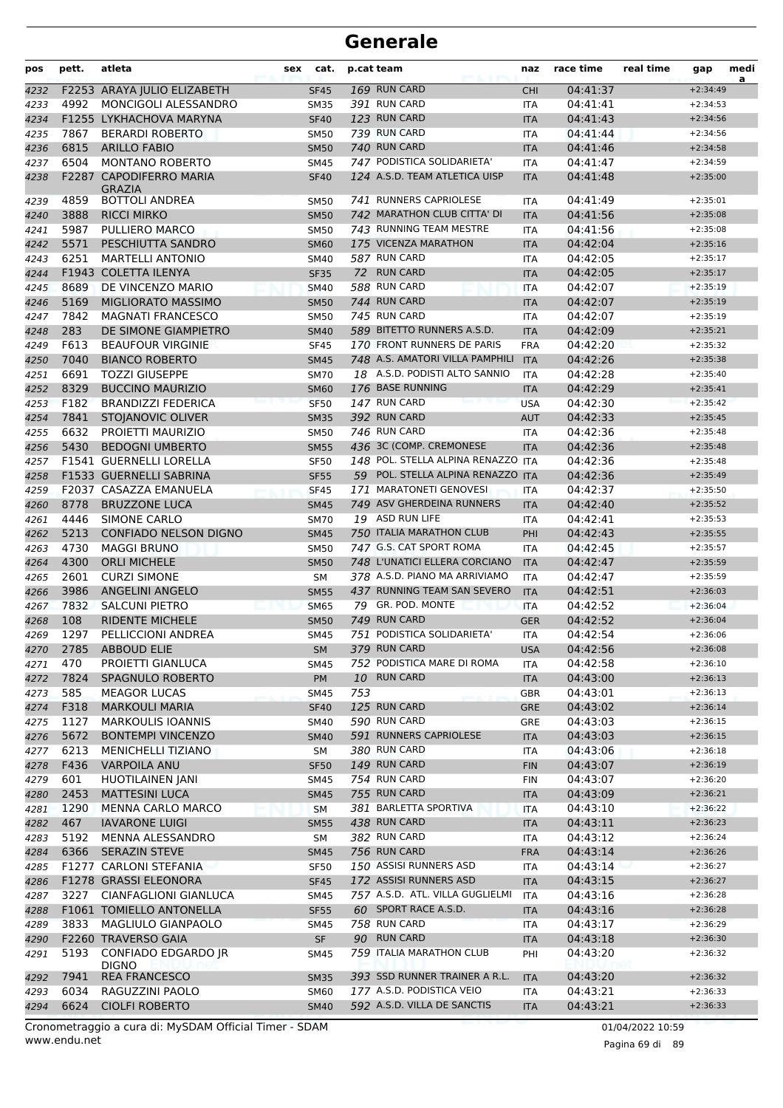| pos          | pett. | atleta                                            | sex | cat.                       |     | p.cat team                             | naz                      | race time            | real time | gap                      | medi<br>a |
|--------------|-------|---------------------------------------------------|-----|----------------------------|-----|----------------------------------------|--------------------------|----------------------|-----------|--------------------------|-----------|
| 4232         |       | F2253 ARAYA JULIO ELIZABETH                       |     | <b>SF45</b>                |     | 169 RUN CARD                           | <b>CHI</b>               | 04:41:37             |           | $+2:34:49$               |           |
| 4233         | 4992  | MONCIGOLI ALESSANDRO                              |     | <b>SM35</b>                |     | 391 RUN CARD                           | ITA                      | 04:41:41             |           | $+2:34:53$               |           |
| 4234         |       | F1255 LYKHACHOVA MARYNA                           |     | <b>SF40</b>                |     | 123 RUN CARD                           | <b>ITA</b>               | 04:41:43             |           | $+2:34:56$               |           |
| 4235         | 7867  | <b>BERARDI ROBERTO</b>                            |     | <b>SM50</b>                |     | 739 RUN CARD                           | <b>ITA</b>               | 04:41:44             |           | $+2:34:56$               |           |
| 4236         | 6815  | <b>ARILLO FABIO</b>                               |     | <b>SM50</b>                |     | 740 RUN CARD                           | <b>ITA</b>               | 04:41:46             |           | $+2:34:58$               |           |
| 4237         | 6504  | <b>MONTANO ROBERTO</b>                            |     | SM45                       |     | 747 PODISTICA SOLIDARIETA'             | <b>ITA</b>               | 04:41:47             |           | $+2:34:59$               |           |
| 4238         |       | F2287 CAPODIFERRO MARIA<br><b>GRAZIA</b>          |     | <b>SF40</b>                |     | 124 A.S.D. TEAM ATLETICA UISP          | <b>ITA</b>               | 04:41:48             |           | $+2:35:00$               |           |
| 4239         | 4859  | <b>BOTTOLI ANDREA</b>                             |     | <b>SM50</b>                |     | 741 RUNNERS CAPRIOLESE                 | ITA                      | 04:41:49             |           | $+2:35:01$               |           |
| 4240         | 3888  | <b>RICCI MIRKO</b>                                |     | <b>SM50</b>                |     | 742 MARATHON CLUB CITTA' DI            | <b>ITA</b>               | 04:41:56             |           | $+2:35:08$               |           |
| 4241         | 5987  | PULLIERO MARCO                                    |     | <b>SM50</b>                |     | 743 RUNNING TEAM MESTRE                | <b>ITA</b>               | 04:41:56             |           | $+2:35:08$               |           |
| 4242         | 5571  | PESCHIUTTA SANDRO                                 |     | <b>SM60</b>                |     | 175 VICENZA MARATHON                   | <b>ITA</b>               | 04:42:04             |           | $+2:35:16$               |           |
| 4243         | 6251  | <b>MARTELLI ANTONIO</b>                           |     | SM40                       |     | 587 RUN CARD                           | ITA                      | 04:42:05             |           | $+2:35:17$               |           |
| 4244         |       | F1943 COLETTA ILENYA                              |     | <b>SF35</b>                |     | 72 RUN CARD                            | <b>ITA</b>               | 04:42:05             |           | $+2:35:17$               |           |
| 4245         | 8689  | DE VINCENZO MARIO                                 |     | <b>SM40</b>                |     | 588 RUN CARD                           | <b>ITA</b>               | 04:42:07             |           | $+2:35:19$               |           |
| 4246         | 5169  | MIGLIORATO MASSIMO                                |     | <b>SM50</b>                |     | 744 RUN CARD                           | <b>ITA</b>               | 04:42:07             |           | $+2:35:19$               |           |
| 4247         | 7842  | <b>MAGNATI FRANCESCO</b>                          |     | <b>SM50</b>                |     | 745 RUN CARD                           | <b>ITA</b>               | 04:42:07             |           | $+2:35:19$               |           |
| 4248         | 283   | DE SIMONE GIAMPIETRO                              |     | <b>SM40</b>                |     | 589 BITETTO RUNNERS A.S.D.             | <b>ITA</b>               | 04:42:09             |           | $+2:35:21$               |           |
| 4249         | F613  | <b>BEAUFOUR VIRGINIE</b>                          |     | <b>SF45</b>                |     | 170 FRONT RUNNERS DE PARIS             | <b>FRA</b>               | 04:42:20             |           | $+2:35:32$               |           |
| 4250         | 7040  | <b>BIANCO ROBERTO</b>                             |     | <b>SM45</b>                |     | 748 A.S. AMATORI VILLA PAMPHILI        | <b>ITA</b>               | 04:42:26             |           | $+2:35:38$               |           |
| 4251         | 6691  | <b>TOZZI GIUSEPPE</b>                             |     | <b>SM70</b>                |     | 18 A.S.D. PODISTI ALTO SANNIO          | <b>ITA</b>               | 04:42:28             |           | $+2:35:40$               |           |
| 4252         | 8329  | <b>BUCCINO MAURIZIO</b>                           |     | <b>SM60</b>                |     | 176 BASE RUNNING                       | <b>ITA</b>               | 04:42:29             |           | $+2:35:41$               |           |
| 4253         | F182  | <b>BRANDIZZI FEDERICA</b>                         |     | <b>SF50</b>                |     | 147 RUN CARD<br>392 RUN CARD           | <b>USA</b>               | 04:42:30             |           | $+2:35:42$               |           |
| 4254         | 7841  | STOJANOVIC OLIVER                                 |     | <b>SM35</b>                |     | 746 RUN CARD                           | <b>AUT</b>               | 04:42:33             |           | $+2:35:45$               |           |
| 4255         | 6632  | PROJETTI MAURIZIO                                 |     | <b>SM50</b>                |     | 436 3C (COMP. CREMONESE                | ITA                      | 04:42:36             |           | $+2:35:48$               |           |
| 4256         | 5430  | <b>BEDOGNI UMBERTO</b><br>F1541 GUERNELLI LORELLA |     | <b>SM55</b>                |     | 148 POL. STELLA ALPINA RENAZZO ITA     | <b>ITA</b>               | 04:42:36             |           | $+2:35:48$<br>$+2:35:48$ |           |
| 4257         |       | F1533 GUERNELLI SABRINA                           |     | <b>SF50</b><br><b>SF55</b> |     | 59 POL. STELLA ALPINA RENAZZO ITA      |                          | 04:42:36<br>04:42:36 |           | $+2:35:49$               |           |
| 4258<br>4259 |       | F2037 CASAZZA EMANUELA                            |     | <b>SF45</b>                |     | 171 MARATONETI GENOVESI                | <b>ITA</b>               | 04:42:37             |           | $+2:35:50$               |           |
| 4260         | 8778  | <b>BRUZZONE LUCA</b>                              |     | <b>SM45</b>                |     | 749 ASV GHERDEINA RUNNERS              | <b>ITA</b>               | 04:42:40             |           | $+2:35:52$               |           |
| 4261         | 4446  | SIMONE CARLO                                      |     | <b>SM70</b>                |     | 19 ASD RUN LIFE                        | ITA                      | 04:42:41             |           | $+2:35:53$               |           |
| 4262         | 5213  | <b>CONFIADO NELSON DIGNO</b>                      |     | <b>SM45</b>                |     | 750 ITALIA MARATHON CLUB               | PHI                      | 04:42:43             |           | $+2:35:55$               |           |
| 4263         | 4730  | <b>MAGGI BRUNO</b>                                |     | <b>SM50</b>                |     | 747 G.S. CAT SPORT ROMA                | <b>ITA</b>               | 04:42:45             |           | $+2:35:57$               |           |
| 4264         | 4300  | <b>ORLI MICHELE</b>                               |     | <b>SM50</b>                |     | 748 L'UNATICI ELLERA CORCIANO          | <b>ITA</b>               | 04:42:47             |           | $+2:35:59$               |           |
| 4265         | 2601  | <b>CURZI SIMONE</b>                               |     | SM                         |     | 378 A.S.D. PIANO MA ARRIVIAMO          | <b>ITA</b>               | 04:42:47             |           | $+2:35:59$               |           |
| 4266         | 3986  | <b>ANGELINI ANGELO</b>                            |     | <b>SM55</b>                |     | 437 RUNNING TEAM SAN SEVERO            | <b>ITA</b>               | 04:42:51             |           | $+2:36:03$               |           |
| 4267         | 7832  | <b>SALCUNI PIETRO</b>                             |     | <b>SM65</b>                |     | 79 GR. POD. MONTE                      | <b>ITA</b>               | 04:42:52             |           | $+2:36:04$               |           |
| 4268         | 108   | <b>RIDENTE MICHELE</b>                            |     | <b>SM50</b>                |     | 749 RUN CARD                           | <b>GER</b>               | 04:42:52             |           | $+2:36:04$               |           |
| 4269         | 1297  | PELLICCIONI ANDREA                                |     | <b>SM45</b>                |     | 751 PODISTICA SOLIDARIETA'             | <b>ITA</b>               | 04:42:54             |           | $+2:36:06$               |           |
| 4270         | 2785  | <b>ABBOUD ELIE</b>                                |     | <b>SM</b>                  |     | 379 RUN CARD                           | <b>USA</b>               | 04:42:56             |           | $+2:36:08$               |           |
| 4271         | 470   | PROIETTI GIANLUCA                                 |     | <b>SM45</b>                |     | 752 PODISTICA MARE DI ROMA             | <b>ITA</b>               | 04:42:58             |           | $+2:36:10$               |           |
| 4272         | 7824  | SPAGNULO ROBERTO                                  |     | <b>PM</b>                  |     | 10 RUN CARD                            | <b>ITA</b>               | 04:43:00             |           | $+2:36:13$               |           |
| 4273         | 585   | <b>MEAGOR LUCAS</b>                               |     | <b>SM45</b>                | 753 |                                        | GBR                      | 04:43:01             |           | $+2:36:13$               |           |
| 4274         | F318  | <b>MARKOULI MARIA</b>                             |     | <b>SF40</b>                |     | 125 RUN CARD                           | GRE                      | 04:43:02             |           | $+2:36:14$               |           |
| 4275         | 1127  | <b>MARKOULIS IOANNIS</b>                          |     | SM40                       |     | 590 RUN CARD                           | GRE                      | 04:43:03             |           | $+2:36:15$               |           |
| 4276         | 5672  | <b>BONTEMPI VINCENZO</b>                          |     | <b>SM40</b>                |     | 591 RUNNERS CAPRIOLESE                 | <b>ITA</b>               | 04:43:03             |           | $+2:36:15$               |           |
| 4277         | 6213  | <b>MENICHELLI TIZIANO</b>                         |     | SM                         |     | 380 RUN CARD                           | ITA                      | 04:43:06             |           | $+2:36:18$               |           |
| 4278         | F436  | <b>VARPOILA ANU</b>                               |     | <b>SF50</b>                |     | 149 RUN CARD                           | <b>FIN</b>               | 04:43:07             |           | $+2:36:19$               |           |
| 4279         | 601   | <b>HUOTILAINEN JANI</b>                           |     | SM45                       |     | 754 RUN CARD                           | <b>FIN</b>               | 04:43:07             |           | $+2:36:20$               |           |
| 4280         | 2453  | <b>MATTESINI LUCA</b>                             |     | <b>SM45</b>                |     | 755 RUN CARD                           | <b>ITA</b>               | 04:43:09             |           | $+2:36:21$               |           |
| 4281         | 1290  | <b>MENNA CARLO MARCO</b>                          |     | <b>SM</b>                  |     | 381 BARLETTA SPORTIVA                  | <b>ITA</b>               | 04:43:10             |           | $+2:36:22$               |           |
| 4282         | 467   | <b>IAVARONE LUIGI</b>                             |     | <b>SM55</b>                |     | 438 RUN CARD                           | <b>ITA</b>               | 04:43:11             |           | $+2:36:23$               |           |
| 4283         | 5192  | MENNA ALESSANDRO                                  |     | SM                         |     | 382 RUN CARD                           | ITA                      | 04:43:12             |           | $+2:36:24$               |           |
| 4284         | 6366  | <b>SERAZIN STEVE</b>                              |     | <b>SM45</b>                |     | 756 RUN CARD<br>150 ASSISI RUNNERS ASD | <b>FRA</b>               | 04:43:14             |           | $+2:36:26$               |           |
| 4285         |       | F1277 CARLONI STEFANIA<br>F1278 GRASSI ELEONORA   |     | <b>SF50</b>                |     | 172 ASSISI RUNNERS ASD                 | ITA                      | 04:43:14             |           | $+2:36:27$<br>$+2:36:27$ |           |
| 4286         | 3227  | CIANFAGLIONI GIANLUCA                             |     | <b>SF45</b>                |     | 757 A.S.D. ATL. VILLA GUGLIELMI        | <b>ITA</b>               | 04:43:15<br>04:43:16 |           | $+2:36:28$               |           |
| 4287<br>4288 |       | F1061 TOMIELLO ANTONELLA                          |     | SM45<br><b>SF55</b>        |     | 60 SPORT RACE A.S.D.                   | <b>ITA</b><br><b>ITA</b> | 04:43:16             |           | $+2:36:28$               |           |
| 4289         | 3833  | MAGLIULO GIANPAOLO                                |     | <b>SM45</b>                |     | 758 RUN CARD                           | <b>ITA</b>               | 04:43:17             |           | $+2:36:29$               |           |
| 4290         |       | F2260 TRAVERSO GAIA                               |     | <b>SF</b>                  |     | 90 RUN CARD                            | <b>ITA</b>               | 04:43:18             |           | $+2:36:30$               |           |
| 4291         | 5193  | CONFIADO EDGARDO JR                               |     | SM45                       |     | 759 ITALIA MARATHON CLUB               | PHI                      | 04:43:20             |           | +2:36:32                 |           |
|              |       | <b>DIGNO</b>                                      |     |                            |     |                                        |                          |                      |           |                          |           |
| 4292         | 7941  | <b>REA FRANCESCO</b>                              |     | <b>SM35</b>                |     | 393 SSD RUNNER TRAINER A R.L.          | <b>ITA</b>               | 04:43:20             |           | $+2:36:32$               |           |
| 4293         | 6034  | RAGUZZINI PAOLO                                   |     | <b>SM60</b>                |     | 177 A.S.D. PODISTICA VEIO              | ITA                      | 04:43:21             |           | $+2:36:33$               |           |
| 4294         | 6624  | <b>CIOLFI ROBERTO</b>                             |     | <b>SM40</b>                |     | 592 A.S.D. VILLA DE SANCTIS            | <b>ITA</b>               | 04:43:21             |           | $+2:36:33$               |           |

www.endu.net Cronometraggio a cura di: MySDAM Official Timer - SDAM 01/04/2022 10:59 01/04/2022 10:59

Pagina 69 di 89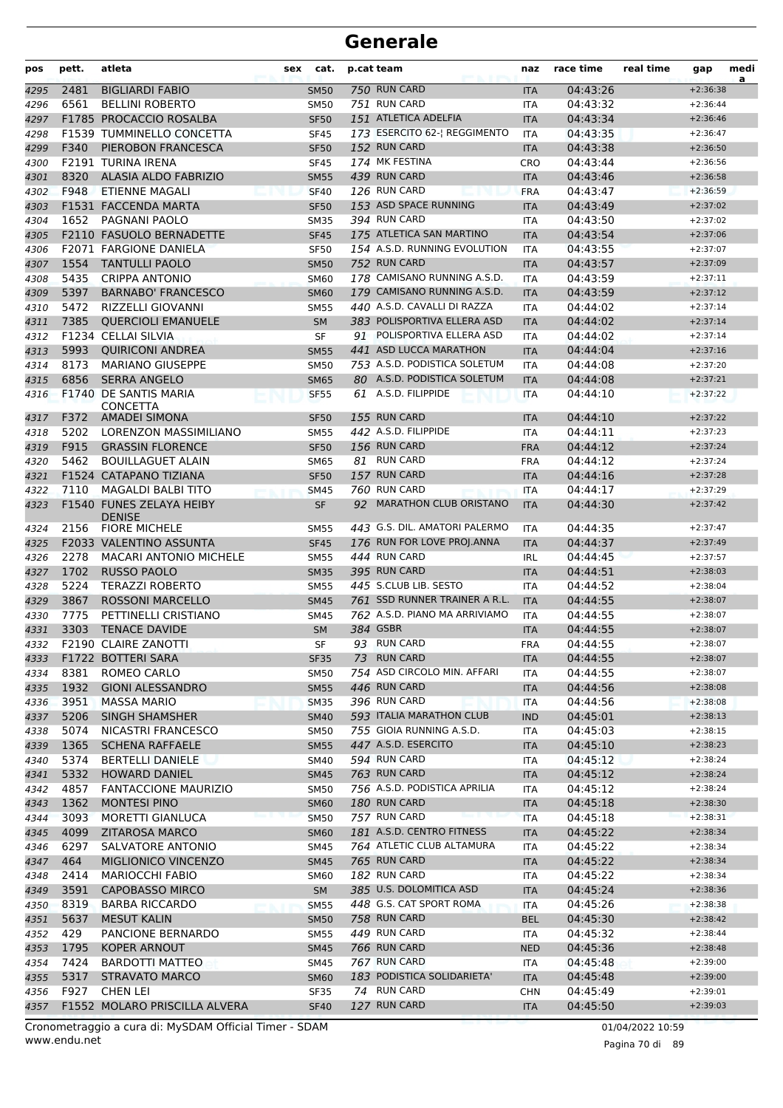| pos          | pett.        | atleta                                                | sex<br>cat.              | p.cat team                                   | naz                      | race time            | real time | gap                      | medi<br>a |
|--------------|--------------|-------------------------------------------------------|--------------------------|----------------------------------------------|--------------------------|----------------------|-----------|--------------------------|-----------|
| 4295         | 2481         | <b>BIGLIARDI FABIO</b>                                | <b>SM50</b>              | 750 RUN CARD                                 | <b>ITA</b>               | 04:43:26             |           | $+2:36:38$               |           |
| 4296         | 6561         | <b>BELLINI ROBERTO</b>                                | <b>SM50</b>              | 751 RUN CARD                                 | ITA                      | 04:43:32             |           | $+2:36:44$               |           |
| 4297         |              | F1785 PROCACCIO ROSALBA                               | <b>SF50</b>              | 151 ATLETICA ADELFIA                         | <b>ITA</b>               | 04:43:34             |           | $+2:36:46$               |           |
| 4298         |              | F1539 TUMMINELLO CONCETTA                             | <b>SF45</b>              | 173 ESERCITO 62-  REGGIMENTO                 | <b>ITA</b>               | 04:43:35             |           | $+2:36:47$               |           |
| 4299         | F340         | PIEROBON FRANCESCA                                    | <b>SF50</b>              | 152 RUN CARD                                 | <b>ITA</b>               | 04:43:38             |           | $+2:36:50$               |           |
| 4300         |              | F2191 TURINA IRENA                                    | <b>SF45</b>              | 174 MK FESTINA                               | <b>CRO</b>               | 04:43:44             |           | $+2:36:56$               |           |
| 4301         | 8320         | <b>ALASIA ALDO FABRIZIO</b>                           | <b>SM55</b>              | 439 RUN CARD                                 | <b>ITA</b>               | 04:43:46             |           | $+2:36:58$               |           |
| 4302         | F948         | ETIENNE MAGALI                                        | <b>SF40</b>              | 126 RUN CARD                                 | <b>FRA</b>               | 04:43:47             |           | $+2:36:59$               |           |
| 4303         |              | F1531 FACCENDA MARTA                                  | <b>SF50</b>              | 153 ASD SPACE RUNNING                        | <b>ITA</b>               | 04:43:49             |           | $+2:37:02$               |           |
| 4304         | 1652         | PAGNANI PAOLO                                         | <b>SM35</b>              | 394 RUN CARD                                 | <b>ITA</b>               | 04:43:50             |           | $+2:37:02$               |           |
| 4305         |              | <b>F2110 FASUOLO BERNADETTE</b>                       | <b>SF45</b>              | 175 ATLETICA SAN MARTINO                     | <b>ITA</b>               | 04:43:54             |           | $+2:37:06$               |           |
| 4306         |              | <b>F2071 FARGIONE DANIELA</b>                         | <b>SF50</b>              | 154 A.S.D. RUNNING EVOLUTION                 | <b>ITA</b>               | 04:43:55             |           | $+2:37:07$               |           |
| 4307         | 1554         | <b>TANTULLI PAOLO</b>                                 | <b>SM50</b>              | 752 RUN CARD                                 | <b>ITA</b>               | 04:43:57             |           | $+2:37:09$               |           |
| 4308         | 5435         | <b>CRIPPA ANTONIO</b>                                 | <b>SM60</b>              | 178 CAMISANO RUNNING A.S.D.                  | <b>ITA</b>               | 04:43:59             |           | $+2:37:11$               |           |
| 4309         | 5397         | <b>BARNABO' FRANCESCO</b>                             | <b>SM60</b>              | 179 CAMISANO RUNNING A.S.D.                  | <b>ITA</b>               | 04:43:59             |           | $+2:37:12$               |           |
| 4310         | 5472         | <b>RIZZELLI GIOVANNI</b>                              | <b>SM55</b>              | 440 A.S.D. CAVALLI DI RAZZA                  | ITA                      | 04:44:02             |           | $+2:37:14$               |           |
| 4311         | 7385         | <b>OUERCIOLI EMANUELE</b>                             | <b>SM</b>                | 383 POLISPORTIVA ELLERA ASD                  | <b>ITA</b>               | 04:44:02             |           | $+2:37:14$               |           |
| 4312         |              | F1234 CELLAI SILVIA                                   | <b>SF</b>                | 91 POLISPORTIVA ELLERA ASD                   | <b>ITA</b>               | 04:44:02             |           | $+2:37:14$               |           |
| 4313         | 5993         | <b>OUIRICONI ANDREA</b>                               | <b>SM55</b>              | 441 ASD LUCCA MARATHON                       | <b>ITA</b>               | 04:44:04             |           | $+2:37:16$               |           |
| 4314         | 8173         | <b>MARIANO GIUSEPPE</b>                               | <b>SM50</b>              | 753 A.S.D. PODISTICA SOLETUM                 | <b>ITA</b>               | 04:44:08             |           | $+2:37:20$               |           |
| 4315         | 6856         | <b>SERRA ANGELO</b>                                   | <b>SM65</b>              | 80 A.S.D. PODISTICA SOLETUM                  | <b>ITA</b>               | 04:44:08             |           | $+2:37:21$               |           |
| 4316         |              | F1740 DE SANTIS MARIA                                 | <b>SF55</b>              | 61 A.S.D. FILIPPIDE                          | <b>ITA</b>               | 04:44:10             |           | $+2:37:22$               |           |
|              |              | <b>CONCETTA</b>                                       |                          |                                              |                          |                      |           |                          |           |
| 4317         | F372         | <b>AMADEI SIMONA</b>                                  | SF <sub>50</sub>         | 155 RUN CARD                                 | <b>ITA</b>               | 04:44:10             |           | $+2:37:22$               |           |
| 4318         | 5202         | LORENZON MASSIMILIANO                                 | <b>SM55</b>              | 442 A.S.D. FILIPPIDE<br>156 RUN CARD         | ITA                      | 04:44:11             |           | $+2:37:23$               |           |
| 4319         | F915         | <b>GRASSIN FLORENCE</b>                               | <b>SF50</b>              |                                              | <b>FRA</b>               | 04:44:12             |           | $+2:37:24$               |           |
| 4320         | 5462         | <b>BOUILLAGUET ALAIN</b>                              | <b>SM65</b>              | 81 RUN CARD                                  | <b>FRA</b>               | 04:44:12             |           | $+2:37:24$               |           |
| 4321         |              | F1524 CATAPANO TIZIANA                                | <b>SF50</b>              | 157 RUN CARD<br>760 RUN CARD                 | <b>ITA</b>               | 04:44:16             |           | $+2:37:28$<br>$+2:37:29$ |           |
| 4322         | 7110         | <b>MAGALDI BALBI TITO</b><br>F1540 FUNES ZELAYA HEIBY | <b>SM45</b>              | 92 MARATHON CLUB ORISTANO                    | <b>ITA</b>               | 04:44:17             |           | $+2:37:42$               |           |
| 4323         |              | <b>DENISE</b>                                         | <b>SF</b>                |                                              | <b>ITA</b>               | 04:44:30             |           |                          |           |
| 4324         | 2156         | <b>FIORE MICHELE</b>                                  | <b>SM55</b>              | 443 G.S. DIL. AMATORI PALERMO                | <b>ITA</b>               | 04:44:35             |           | $+2:37:47$               |           |
| 4325         |              | F2033 VALENTINO ASSUNTA                               | <b>SF45</b>              | 176 RUN FOR LOVE PROJ.ANNA                   | <b>ITA</b>               | 04:44:37             |           | $+2:37:49$               |           |
| 4326         | 2278         | <b>MACARI ANTONIO MICHELE</b>                         | <b>SM55</b>              | 444 RUN CARD                                 | <b>IRL</b>               | 04:44:45             |           | $+2:37:57$               |           |
| 4327         | 1702         | <b>RUSSO PAOLO</b>                                    | <b>SM35</b>              | 395 RUN CARD                                 | <b>ITA</b>               | 04:44:51             |           | $+2:38:03$               |           |
| 4328         | 5224         | <b>TERAZZI ROBERTO</b>                                | <b>SM55</b>              | 445 S.CLUB LIB. SESTO                        | <b>ITA</b>               | 04:44:52             |           | $+2:38:04$               |           |
| 4329         | 3867         | <b>ROSSONI MARCELLO</b>                               | <b>SM45</b>              | 761 SSD RUNNER TRAINER A R.L.                | <b>ITA</b>               | 04:44:55             |           | $+2:38:07$               |           |
| 4330         | 7775         | PETTINELLI CRISTIANO                                  | <b>SM45</b>              | 762 A.S.D. PIANO MA ARRIVIAMO                | <b>ITA</b>               | 04:44:55             |           | $+2:38:07$               |           |
| 4331         | 3303         | <b>TENACE DAVIDE</b>                                  | <b>SM</b>                | 384 GSBR                                     | <b>ITA</b>               | 04:44:55             |           | $+2:38:07$               |           |
| 4332         |              | F2190 CLAIRE ZANOTTI                                  | SF                       | 93 RUN CARD                                  | <b>FRA</b>               | 04:44:55             |           | $+2:38:07$               |           |
| 4333         |              | F1722 BOTTERI SARA                                    | <b>SF35</b>              | 73 RUN CARD                                  | <b>ITA</b>               | 04:44:55             |           | $+2:38:07$               |           |
| 4334         | 8381         | ROMEO CARLO                                           | <b>SM50</b>              | 754 ASD CIRCOLO MIN. AFFARI                  | <b>ITA</b>               | 04:44:55             |           | $+2:38:07$               |           |
| 4335         | 1932         | <b>GIONI ALESSANDRO</b>                               | <b>SM55</b>              | 446 RUN CARD                                 | <b>ITA</b>               | 04:44:56             |           | $+2:38:08$               |           |
| 4336         | 3951         | <b>MASSA MARIO</b>                                    | <b>SM35</b>              | 396 RUN CARD                                 | <b>ITA</b>               | 04:44:56             |           | $+2:38:08$               |           |
| 4337         | 5206         | <b>SINGH SHAMSHER</b>                                 | <b>SM40</b>              | 593 ITALIA MARATHON CLUB                     | <b>IND</b>               | 04:45:01             |           | $+2:38:13$               |           |
| 4338         | 5074         | NICASTRI FRANCESCO                                    | <b>SM50</b>              | 755 GIOIA RUNNING A.S.D.                     | <b>ITA</b>               | 04:45:03             |           | $+2:38:15$               |           |
| 4339         | 1365         | <b>SCHENA RAFFAELE</b>                                | <b>SM55</b>              | 447 A.S.D. ESERCITO                          | <b>ITA</b>               | 04:45:10             |           | $+2:38:23$               |           |
| 4340         | 5374         | <b>BERTELLI DANIELE</b>                               | <b>SM40</b>              | 594 RUN CARD                                 | <b>ITA</b>               | 04:45:12             |           | $+2:38:24$               |           |
| 4341         | 5332<br>4857 | <b>HOWARD DANIEL</b>                                  | <b>SM45</b>              | 763 RUN CARD<br>756 A.S.D. PODISTICA APRILIA | <b>ITA</b>               | 04:45:12             |           | $+2:38:24$               |           |
| 4342         |              | <b>FANTACCIONE MAURIZIO</b>                           | <b>SM50</b>              |                                              | ITA                      | 04:45:12             |           | $+2:38:24$<br>$+2:38:30$ |           |
| 4343         | 1362         | <b>MONTESI PINO</b>                                   | <b>SM60</b>              | 180 RUN CARD                                 | <b>ITA</b>               | 04:45:18             |           |                          |           |
| 4344         | 3093         | MORETTI GIANLUCA                                      | <b>SM50</b>              | 757 RUN CARD<br>181 A.S.D. CENTRO FITNESS    | <b>ITA</b>               | 04:45:18             |           | $+2:38:31$               |           |
| 4345         | 4099         | <b>ZITAROSA MARCO</b>                                 | <b>SM60</b>              | 764 ATLETIC CLUB ALTAMURA                    | <b>ITA</b>               | 04:45:22             |           | $+2:38:34$               |           |
| 4346         | 6297         | SALVATORE ANTONIO                                     | <b>SM45</b>              | 765 RUN CARD                                 | <b>ITA</b>               | 04:45:22             |           | $+2:38:34$               |           |
| 4347         | 464          | MIGLIONICO VINCENZO                                   | <b>SM45</b>              | 182 RUN CARD                                 | <b>ITA</b>               | 04:45:22             |           | $+2:38:34$               |           |
| 4348         | 2414<br>3591 | <b>MARIOCCHI FABIO</b><br>CAPOBASSO MIRCO             | <b>SM60</b><br><b>SM</b> | 385 U.S. DOLOMITICA ASD                      | <b>ITA</b>               | 04:45:22<br>04:45:24 |           | $+2:38:34$<br>$+2:38:36$ |           |
| 4349         |              |                                                       |                          |                                              | <b>ITA</b>               |                      |           |                          |           |
| 4350         | 8319         | <b>BARBA RICCARDO</b>                                 | <b>SM55</b>              | 448 G.S. CAT SPORT ROMA                      | <b>ITA</b>               | 04:45:26             |           | $+2:38:38$               |           |
| 4351         | 5637<br>429  | <b>MESUT KALIN</b><br>PANCIONE BERNARDO               | <b>SM50</b>              | 758 RUN CARD<br>449 RUN CARD                 | <b>BEL</b>               | 04:45:30             |           | $+2:38:42$<br>$+2:38:44$ |           |
| 4352         | 1795         | KOPER ARNOUT                                          | <b>SM55</b>              | 766 RUN CARD                                 | <b>ITA</b>               | 04:45:32<br>04:45:36 |           | $+2:38:48$               |           |
| 4353         | 7424         | BARDOTTI MATTEO                                       | <b>SM45</b>              | 767 RUN CARD                                 | <b>NED</b><br>ITA        |                      |           | $+2:39:00$               |           |
| 4354         | 5317         | STRAVATO MARCO                                        | SM45                     | 183 PODISTICA SOLIDARIETA'                   |                          | 04:45:48<br>04:45:48 |           | $+2:39:00$               |           |
| 4355<br>4356 | F927         | CHEN LEI                                              | <b>SM60</b><br>SF35      | 74 RUN CARD                                  | <b>ITA</b><br><b>CHN</b> | 04:45:49             |           | $+2:39:01$               |           |
| 4357         |              | F1552 MOLARO PRISCILLA ALVERA                         | <b>SF40</b>              | 127 RUN CARD                                 | <b>ITA</b>               | 04:45:50             |           | $+2:39:03$               |           |
|              |              |                                                       |                          |                                              |                          |                      |           |                          |           |

www.endu.net Cronometraggio a cura di: MySDAM Official Timer - SDAM 01/04/2022 10:59 01/04/2022 10:59

Pagina 70 di 89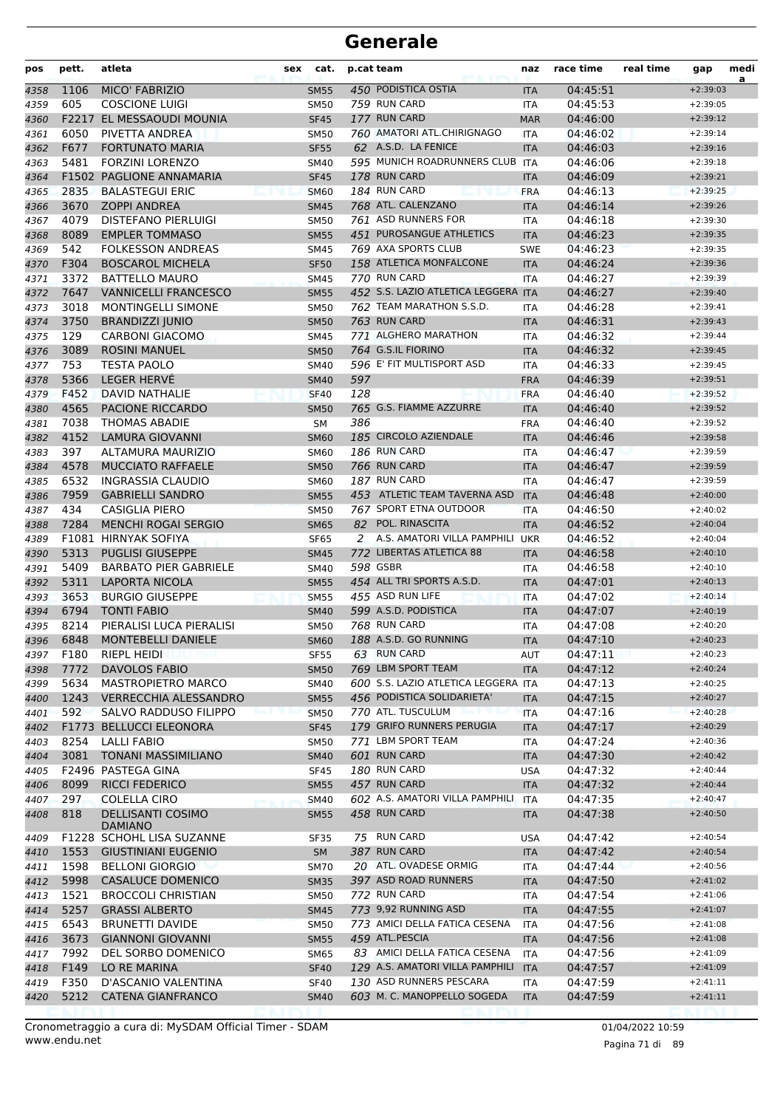| pos  | pett. | atleta                                     | sex | cat.        |     | p.cat team                          | naz        | race time | real time | gap        | medi<br>a |
|------|-------|--------------------------------------------|-----|-------------|-----|-------------------------------------|------------|-----------|-----------|------------|-----------|
| 4358 | 1106  | <b>MICO' FABRIZIO</b>                      |     | <b>SM55</b> |     | 450 PODISTICA OSTIA                 | <b>ITA</b> | 04:45:51  |           | $+2:39:03$ |           |
| 4359 | 605   | <b>COSCIONE LUIGI</b>                      |     | <b>SM50</b> |     | 759 RUN CARD                        | ITA        | 04:45:53  |           | $+2:39:05$ |           |
| 4360 |       | F2217 EL MESSAOUDI MOUNIA                  |     | <b>SF45</b> |     | 177 RUN CARD                        | <b>MAR</b> | 04:46:00  |           | $+2:39:12$ |           |
| 4361 | 6050  | PIVETTA ANDREA                             |     | <b>SM50</b> |     | 760 AMATORI ATL.CHIRIGNAGO          | <b>ITA</b> | 04:46:02  |           | $+2:39:14$ |           |
| 4362 | F677  | <b>FORTUNATO MARIA</b>                     |     | <b>SF55</b> |     | 62 A.S.D. LA FENICE                 | <b>ITA</b> | 04:46:03  |           | $+2:39:16$ |           |
| 4363 | 5481  | <b>FORZINI LORENZO</b>                     |     | <b>SM40</b> |     | 595 MUNICH ROADRUNNERS CLUB ITA     |            | 04:46:06  |           | $+2:39:18$ |           |
| 4364 |       | F1502 PAGLIONE ANNAMARIA                   |     | <b>SF45</b> |     | 178 RUN CARD                        | <b>ITA</b> | 04:46:09  |           | $+2:39:21$ |           |
| 4365 | 2835  | <b>BALASTEGUI ERIC</b>                     |     | <b>SM60</b> |     | 184 RUN CARD                        | <b>FRA</b> | 04:46:13  |           | $+2:39:25$ |           |
| 4366 | 3670  | <b>ZOPPI ANDREA</b>                        |     | <b>SM45</b> |     | 768 ATL. CALENZANO                  | <b>ITA</b> | 04:46:14  |           | $+2:39:26$ |           |
| 4367 | 4079  | <b>DISTEFANO PIERLUIGI</b>                 |     | <b>SM50</b> |     | 761 ASD RUNNERS FOR                 | <b>ITA</b> | 04:46:18  |           | $+2:39:30$ |           |
| 4368 | 8089  | <b>EMPLER TOMMASO</b>                      |     | <b>SM55</b> |     | 451 PUROSANGUE ATHLETICS            | <b>ITA</b> | 04:46:23  |           | $+2:39:35$ |           |
| 4369 | 542   | <b>FOLKESSON ANDREAS</b>                   |     | <b>SM45</b> |     | 769 AXA SPORTS CLUB                 | <b>SWE</b> | 04:46:23  |           | $+2:39:35$ |           |
| 4370 | F304  | <b>BOSCAROL MICHELA</b>                    |     | <b>SF50</b> |     | 158 ATLETICA MONFALCONE             | <b>ITA</b> | 04:46:24  |           | $+2:39:36$ |           |
| 4371 | 3372  | <b>BATTELLO MAURO</b>                      |     | <b>SM45</b> |     | 770 RUN CARD                        | <b>ITA</b> | 04:46:27  |           | $+2:39:39$ |           |
| 4372 | 7647  | <b>VANNICELLI FRANCESCO</b>                |     | <b>SM55</b> |     | 452 S.S. LAZIO ATLETICA LEGGERA ITA |            | 04:46:27  |           | $+2:39:40$ |           |
| 4373 | 3018  | <b>MONTINGELLI SIMONE</b>                  |     | <b>SM50</b> |     | 762 TEAM MARATHON S.S.D.            | <b>ITA</b> | 04:46:28  |           | $+2:39:41$ |           |
| 4374 | 3750  | <b>BRANDIZZI JUNIO</b>                     |     | <b>SM50</b> |     | 763 RUN CARD                        | <b>ITA</b> | 04:46:31  |           | $+2:39:43$ |           |
| 4375 | 129   | <b>CARBONI GIACOMO</b>                     |     | <b>SM45</b> |     | 771 ALGHERO MARATHON                | <b>ITA</b> | 04:46:32  |           | $+2:39:44$ |           |
| 4376 | 3089  | <b>ROSINI MANUEL</b>                       |     | <b>SM50</b> |     | 764 G.S.IL FIORINO                  | <b>ITA</b> | 04:46:32  |           | $+2:39:45$ |           |
| 4377 | 753   | <b>TESTA PAOLO</b>                         |     | <b>SM40</b> |     | 596 E' FIT MULTISPORT ASD           | <b>ITA</b> | 04:46:33  |           | $+2:39:45$ |           |
| 4378 | 5366  | <b>LEGER HERVÉ</b>                         |     | <b>SM40</b> | 597 |                                     | <b>FRA</b> | 04:46:39  |           | $+2:39:51$ |           |
| 4379 | F452  | <b>DAVID NATHALIE</b>                      |     | <b>SF40</b> | 128 |                                     | <b>FRA</b> | 04:46:40  |           | $+2:39:52$ |           |
| 4380 | 4565  | PACIONE RICCARDO                           |     | <b>SM50</b> |     | 765 G.S. FIAMME AZZURRE             | <b>ITA</b> | 04:46:40  |           | $+2:39:52$ |           |
| 4381 | 7038  | <b>THOMAS ABADIE</b>                       |     | SM          | 386 |                                     | <b>FRA</b> | 04:46:40  |           | $+2:39:52$ |           |
| 4382 | 4152  | <b>LAMURA GIOVANNI</b>                     |     | <b>SM60</b> |     | 185 CIRCOLO AZIENDALE               | <b>ITA</b> | 04:46:46  |           | $+2:39:58$ |           |
| 4383 | 397   | ALTAMURA MAURIZIO                          |     | <b>SM60</b> |     | 186 RUN CARD                        | <b>ITA</b> | 04:46:47  |           | $+2:39:59$ |           |
| 4384 | 4578  | <b>MUCCIATO RAFFAELE</b>                   |     | <b>SM50</b> |     | 766 RUN CARD                        | <b>ITA</b> | 04:46:47  |           | $+2:39:59$ |           |
| 4385 | 6532  | INGRASSIA CLAUDIO                          |     | <b>SM60</b> |     | 187 RUN CARD                        | <b>ITA</b> | 04:46:47  |           | $+2:39:59$ |           |
| 4386 | 7959  | <b>GABRIELLI SANDRO</b>                    |     | <b>SM55</b> |     | 453 ATLETIC TEAM TAVERNA ASD        | <b>ITA</b> | 04:46:48  |           | $+2:40:00$ |           |
| 4387 | 434   | <b>CASIGLIA PIERO</b>                      |     | <b>SM50</b> |     | 767 SPORT ETNA OUTDOOR              | <b>ITA</b> | 04:46:50  |           | $+2:40:02$ |           |
| 4388 | 7284  | <b>MENCHI ROGAI SERGIO</b>                 |     | <b>SM65</b> |     | 82 POL. RINASCITA                   | <b>ITA</b> | 04:46:52  |           | $+2:40:04$ |           |
| 4389 |       | F1081 HIRNYAK SOFIYA                       |     | <b>SF65</b> |     | 2 A.S. AMATORI VILLA PAMPHILI       | <b>UKR</b> | 04:46:52  |           | $+2:40:04$ |           |
| 4390 | 5313  | <b>PUGLISI GIUSEPPE</b>                    |     | <b>SM45</b> |     | 772 LIBERTAS ATLETICA 88            | <b>ITA</b> | 04:46:58  |           | $+2:40:10$ |           |
| 4391 | 5409  | <b>BARBATO PIER GABRIELE</b>               |     | SM40        |     | 598 GSBR                            | <b>ITA</b> | 04:46:58  |           | $+2:40:10$ |           |
| 4392 | 5311  | <b>LAPORTA NICOLA</b>                      |     | <b>SM55</b> |     | 454 ALL TRI SPORTS A.S.D.           | <b>ITA</b> | 04:47:01  |           | $+2:40:13$ |           |
| 4393 | 3653  | <b>BURGIO GIUSEPPE</b>                     |     | <b>SM55</b> |     | 455 ASD RUN LIFE                    | <b>ITA</b> | 04:47:02  |           | $+2:40:14$ |           |
| 4394 | 6794  | <b>TONTI FABIO</b>                         |     | <b>SM40</b> |     | 599 A.S.D. PODISTICA                | <b>ITA</b> | 04:47:07  |           | $+2:40:19$ |           |
| 4395 | 8214  | PIERALISI LUCA PIERALISI                   |     | <b>SM50</b> |     | 768 RUN CARD                        | <b>ITA</b> | 04:47:08  |           | $+2:40:20$ |           |
| 4396 | 6848  | <b>MONTEBELLI DANIELE</b>                  |     | <b>SM60</b> |     | 188 A.S.D. GO RUNNING               | <b>ITA</b> | 04:47:10  |           | $+2:40:23$ |           |
| 4397 | F180  | <b>RIEPL HEIDI</b>                         |     | <b>SF55</b> |     | 63 RUN CARD                         | <b>AUT</b> | 04:47:11  |           | $+2:40:23$ |           |
| 4398 | 7772  | <b>DAVOLOS FABIO</b>                       |     | <b>SM50</b> |     | 769 LBM SPORT TEAM                  | <b>ITA</b> | 04:47:12  |           | $+2:40:24$ |           |
| 4399 | 5634  | <b>MASTROPIETRO MARCO</b>                  |     | SM40        |     | 600 S.S. LAZIO ATLETICA LEGGERA ITA |            | 04:47:13  |           | $+2:40:25$ |           |
| 4400 | 1243  | <b>VERRECCHIA ALESSANDRO</b>               |     | <b>SM55</b> |     | 456 PODISTICA SOLIDARIETA'          | <b>ITA</b> | 04:47:15  |           | $+2:40:27$ |           |
| 4401 | 592   | SALVO RADDUSO FILIPPO                      |     | <b>SM50</b> |     | 770 ATL. TUSCULUM                   | <b>ITA</b> | 04:47:16  |           | $+2:40:28$ |           |
| 4402 |       | <b>F1773 BELLUCCI ELEONORA</b>             |     | <b>SF45</b> |     | 179 GRIFO RUNNERS PERUGIA           | <b>ITA</b> | 04:47:17  |           | $+2:40:29$ |           |
| 4403 | 8254  | <b>LALLI FABIO</b>                         |     | <b>SM50</b> |     | 771 LBM SPORT TEAM                  | <b>ITA</b> | 04:47:24  |           | $+2:40:36$ |           |
| 4404 | 3081  | <b>TONANI MASSIMILIANO</b>                 |     | <b>SM40</b> |     | 601 RUN CARD                        | <b>ITA</b> | 04:47:30  |           | $+2:40:42$ |           |
| 4405 |       | F2496 PASTEGA GINA                         |     | <b>SF45</b> |     | <b>180 RUN CARD</b>                 | <b>USA</b> | 04:47:32  |           | $+2:40:44$ |           |
| 4406 | 8099  | <b>RICCI FEDERICO</b>                      |     | <b>SM55</b> |     | 457 RUN CARD                        | <b>ITA</b> | 04:47:32  |           | $+2:40:44$ |           |
| 4407 | 297   | COLELLA CIRO                               |     | <b>SM40</b> |     | 602 A.S. AMATORI VILLA PAMPHILI     | <b>ITA</b> | 04:47:35  |           | $+2:40:47$ |           |
| 4408 | 818   | <b>DELLISANTI COSIMO</b><br><b>DAMIANO</b> |     | <b>SM55</b> |     | 458 RUN CARD                        | <b>ITA</b> | 04:47:38  |           | $+2:40:50$ |           |
| 4409 |       | F1228 SCHOHL LISA SUZANNE                  |     | SF35        |     | 75 RUN CARD                         | USA        | 04:47:42  |           | $+2:40:54$ |           |
| 4410 | 1553  | <b>GIUSTINIANI EUGENIO</b>                 |     | <b>SM</b>   |     | 387 RUN CARD                        | <b>ITA</b> | 04:47:42  |           | $+2:40:54$ |           |
| 4411 | 1598  | <b>BELLONI GIORGIO</b>                     |     | <b>SM70</b> |     | 20 ATL. OVADESE ORMIG               | <b>ITA</b> | 04:47:44  |           | $+2:40:56$ |           |
| 4412 | 5998  | <b>CASALUCE DOMENICO</b>                   |     | <b>SM35</b> |     | 397 ASD ROAD RUNNERS                | <b>ITA</b> | 04:47:50  |           | $+2:41:02$ |           |
| 4413 | 1521  | <b>BROCCOLI CHRISTIAN</b>                  |     | <b>SM50</b> |     | 772 RUN CARD                        | ITA        | 04:47:54  |           | $+2:41:06$ |           |
| 4414 | 5257  | <b>GRASSI ALBERTO</b>                      |     | <b>SM45</b> |     | 773 9,92 RUNNING ASD                | <b>ITA</b> | 04:47:55  |           | $+2:41:07$ |           |
| 4415 | 6543  | <b>BRUNETTI DAVIDE</b>                     |     | <b>SM50</b> |     | 773 AMICI DELLA FATICA CESENA       | <b>ITA</b> | 04:47:56  |           | $+2:41:08$ |           |
| 4416 | 3673  | <b>GIANNONI GIOVANNI</b>                   |     | <b>SM55</b> |     | 459 ATL.PESCIA                      | <b>ITA</b> | 04:47:56  |           | $+2:41:08$ |           |
| 4417 | 7992  | DEL SORBO DOMENICO                         |     | SM65        |     | 83 AMICI DELLA FATICA CESENA        | <b>ITA</b> | 04:47:56  |           | $+2:41:09$ |           |
| 4418 | F149  | LO RE MARINA                               |     | <b>SF40</b> |     | 129 A.S. AMATORI VILLA PAMPHILI     | <b>ITA</b> | 04:47:57  |           | $+2:41:09$ |           |
| 4419 | F350  | D'ASCANIO VALENTINA                        |     | <b>SF40</b> |     | 130 ASD RUNNERS PESCARA             | ITA        | 04:47:59  |           | $+2:41:11$ |           |
| 4420 | 5212  | <b>CATENA GIANFRANCO</b>                   |     | <b>SM40</b> |     | 603 M. C. MANOPPELLO SOGEDA         | <b>ITA</b> | 04:47:59  |           | $+2:41:11$ |           |
|      |       |                                            |     |             |     |                                     |            |           |           |            |           |

www.endu.net Cronometraggio a cura di: MySDAM Official Timer - SDAM 01/04/2022 10:59 01/04/2022 10:59

Pagina 71 di 89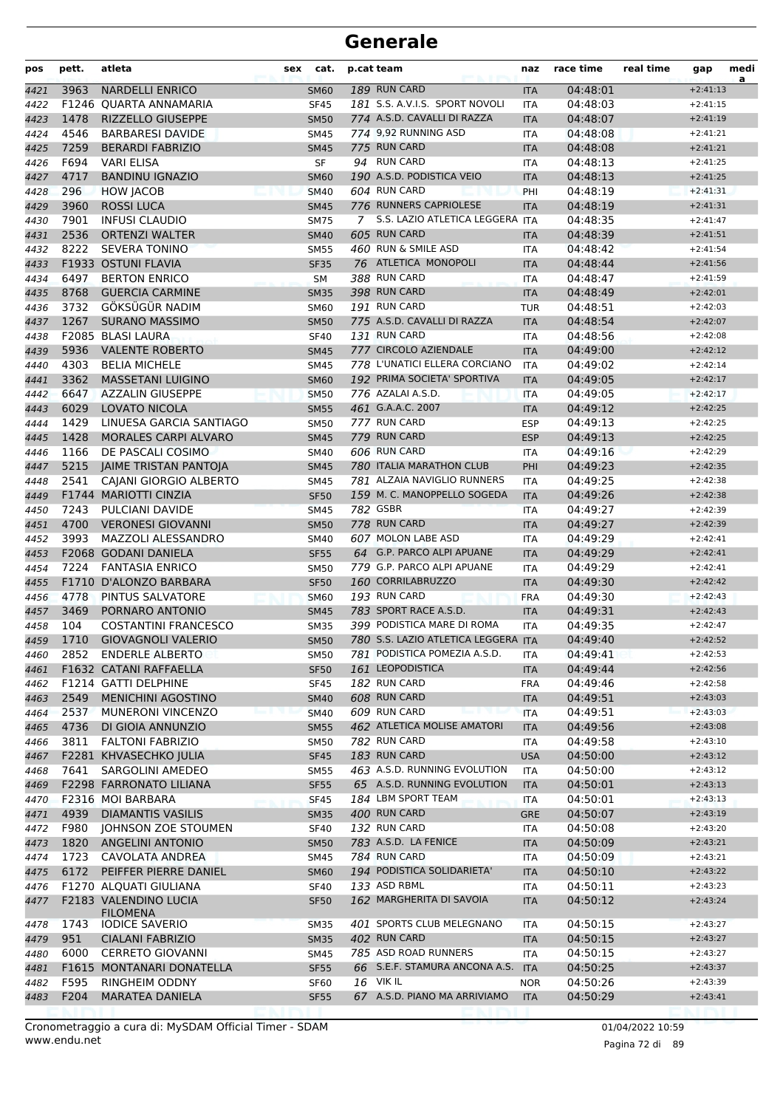| pos  | pett. | atleta                                   | sex | cat.             | p.cat team     |                                     | naz        | race time | real time | gap        | medi<br>a |
|------|-------|------------------------------------------|-----|------------------|----------------|-------------------------------------|------------|-----------|-----------|------------|-----------|
| 4421 | 3963  | <b>NARDELLI ENRICO</b>                   |     | <b>SM60</b>      |                | 189 RUN CARD                        | <b>ITA</b> | 04:48:01  |           | $+2:41:13$ |           |
| 4422 |       | F1246 OUARTA ANNAMARIA                   |     | <b>SF45</b>      |                | 181 S.S. A.V.I.S. SPORT NOVOLI      | <b>ITA</b> | 04:48:03  |           | $+2:41:15$ |           |
| 4423 | 1478  | <b>RIZZELLO GIUSEPPE</b>                 |     | <b>SM50</b>      |                | 774 A.S.D. CAVALLI DI RAZZA         | <b>ITA</b> | 04:48:07  |           | $+2:41:19$ |           |
| 4424 | 4546  | <b>BARBARESI DAVIDE</b>                  |     | <b>SM45</b>      |                | 774 9,92 RUNNING ASD                | <b>ITA</b> | 04:48:08  |           | $+2:41:21$ |           |
| 4425 | 7259  | <b>BERARDI FABRIZIO</b>                  |     | <b>SM45</b>      |                | 775 RUN CARD                        | <b>ITA</b> | 04:48:08  |           | $+2:41:21$ |           |
| 4426 | F694  | <b>VARI ELISA</b>                        |     | SF               |                | 94 RUN CARD                         | <b>ITA</b> | 04:48:13  |           | $+2:41:25$ |           |
| 4427 | 4717  | <b>BANDINU IGNAZIO</b>                   |     | <b>SM60</b>      |                | 190 A.S.D. PODISTICA VEIO           | <b>ITA</b> | 04:48:13  |           | $+2:41:25$ |           |
| 4428 | 296   | <b>HOW JACOB</b>                         |     | <b>SM40</b>      |                | 604 RUN CARD                        | PHI        | 04:48:19  |           | $+2:41:31$ |           |
| 4429 | 3960  | <b>ROSSI LUCA</b>                        |     | <b>SM45</b>      |                | 776 RUNNERS CAPRIOLESE              | <b>ITA</b> | 04:48:19  |           | $+2:41:31$ |           |
| 4430 | 7901  | <b>INFUSI CLAUDIO</b>                    |     | <b>SM75</b>      | $\overline{7}$ | S.S. LAZIO ATLETICA LEGGERA ITA     |            | 04:48:35  |           | $+2:41:47$ |           |
| 4431 | 2536  | <b>ORTENZI WALTER</b>                    |     | <b>SM40</b>      |                | 605 RUN CARD                        | <b>ITA</b> | 04:48:39  |           | $+2:41:51$ |           |
| 4432 | 8222  | <b>SEVERA TONINO</b>                     |     | <b>SM55</b>      |                | 460 RUN & SMILE ASD                 | <b>ITA</b> | 04:48:42  |           | $+2:41:54$ |           |
| 4433 |       | F1933 OSTUNI FLAVIA                      |     | <b>SF35</b>      |                | 76 ATLETICA MONOPOLI                | <b>ITA</b> | 04:48:44  |           | $+2:41:56$ |           |
| 4434 | 6497  | <b>BERTON ENRICO</b>                     |     | <b>SM</b>        |                | 388 RUN CARD                        | <b>ITA</b> | 04:48:47  |           | $+2:41:59$ |           |
| 4435 | 8768  | <b>GUERCIA CARMINE</b>                   |     | <b>SM35</b>      |                | 398 RUN CARD                        | <b>ITA</b> | 04:48:49  |           | $+2:42:01$ |           |
| 4436 | 3732  | GÖKSÜGÜR NADIM                           |     | <b>SM60</b>      |                | 191 RUN CARD                        | <b>TUR</b> | 04:48:51  |           | $+2:42:03$ |           |
| 4437 | 1267  | <b>SURANO MASSIMO</b>                    |     | <b>SM50</b>      |                | 775 A.S.D. CAVALLI DI RAZZA         | <b>ITA</b> | 04:48:54  |           | $+2:42:07$ |           |
| 4438 |       | F2085 BLASI LAURA                        |     | <b>SF40</b>      |                | 131 RUN CARD                        | <b>ITA</b> | 04:48:56  |           | $+2:42:08$ |           |
| 4439 | 5936  | <b>VALENTE ROBERTO</b>                   |     | <b>SM45</b>      |                | 777 CIRCOLO AZIENDALE               | <b>ITA</b> | 04:49:00  |           | $+2:42:12$ |           |
| 4440 | 4303  | <b>BELIA MICHELE</b>                     |     | <b>SM45</b>      |                | 778 L'UNATICI ELLERA CORCIANO       | ITA        | 04:49:02  |           | $+2:42:14$ |           |
| 4441 | 3362  | <b>MASSETANI LUIGINO</b>                 |     | <b>SM60</b>      |                | 192 PRIMA SOCIETA' SPORTIVA         | <b>ITA</b> | 04:49:05  |           | $+2:42:17$ |           |
| 4442 | 6647  | <b>AZZALIN GIUSEPPE</b>                  |     | <b>SM50</b>      |                | 776 AZALAI A.S.D.                   | <b>ITA</b> | 04:49:05  |           | $+2:42:17$ |           |
| 4443 | 6029  | <b>LOVATO NICOLA</b>                     |     | <b>SM55</b>      |                | 461 G.A.A.C. 2007                   | <b>ITA</b> | 04:49:12  |           | $+2:42:25$ |           |
| 4444 | 1429  | LINUESA GARCIA SANTIAGO                  |     | <b>SM50</b>      |                | 777 RUN CARD                        | <b>ESP</b> | 04:49:13  |           | $+2:42:25$ |           |
| 4445 | 1428  | MORALES CARPI ALVARO                     |     | <b>SM45</b>      |                | 779 RUN CARD                        | <b>ESP</b> | 04:49:13  |           | $+2:42:25$ |           |
| 4446 | 1166  | DE PASCALI COSIMO                        |     | <b>SM40</b>      |                | 606 RUN CARD                        | <b>ITA</b> | 04:49:16  |           | $+2:42:29$ |           |
| 4447 | 5215  | JAIME TRISTAN PANTOJA                    |     | <b>SM45</b>      |                | 780 ITALIA MARATHON CLUB            | PHI        | 04:49:23  |           | $+2:42:35$ |           |
| 4448 | 2541  | <b>CAJANI GIORGIO ALBERTO</b>            |     | <b>SM45</b>      |                | 781 ALZAIA NAVIGLIO RUNNERS         | ITA        | 04:49:25  |           | $+2:42:38$ |           |
| 4449 |       | F1744 MARIOTTI CINZIA                    |     | <b>SF50</b>      |                | 159 M. C. MANOPPELLO SOGEDA         | <b>ITA</b> | 04:49:26  |           | $+2:42:38$ |           |
| 4450 | 7243  | PULCIANI DAVIDE                          |     | <b>SM45</b>      |                | 782 GSBR                            | <b>ITA</b> | 04:49:27  |           | $+2:42:39$ |           |
| 4451 | 4700  | <b>VERONESI GIOVANNI</b>                 |     | <b>SM50</b>      |                | 778 RUN CARD                        | <b>ITA</b> | 04:49:27  |           | $+2:42:39$ |           |
| 4452 | 3993  | <b>MAZZOLI ALESSANDRO</b>                |     | <b>SM40</b>      |                | 607 MOLON LABE ASD                  | <b>ITA</b> | 04:49:29  |           | $+2:42:41$ |           |
| 4453 |       | F2068 GODANI DANIELA                     |     | <b>SF55</b>      |                | 64 G.P. PARCO ALPI APUANE           | <b>ITA</b> | 04:49:29  |           | $+2:42:41$ |           |
| 4454 | 7224  | <b>FANTASIA ENRICO</b>                   |     | <b>SM50</b>      |                | 779 G.P. PARCO ALPI APUANE          | <b>ITA</b> | 04:49:29  |           | $+2:42:41$ |           |
| 4455 |       | F1710 D'ALONZO BARBARA                   |     | <b>SF50</b>      |                | 160 CORRILABRUZZO                   | <b>ITA</b> | 04:49:30  |           | $+2:42:42$ |           |
| 4456 | 4778  | PINTUS SALVATORE                         |     | <b>SM60</b>      |                | 193 RUN CARD                        | <b>FRA</b> | 04:49:30  |           | $+2:42:43$ |           |
| 4457 | 3469  | PORNARO ANTONIO                          |     | <b>SM45</b>      |                | 783 SPORT RACE A.S.D.               | <b>ITA</b> | 04:49:31  |           | $+2:42:43$ |           |
| 4458 | 104   | <b>COSTANTINI FRANCESCO</b>              |     | <b>SM35</b>      |                | 399 PODISTICA MARE DI ROMA          | ITA        | 04:49:35  |           | $+2:42:47$ |           |
| 4459 | 1710  | <b>GIOVAGNOLI VALERIO</b>                |     | <b>SM50</b>      |                | 780 S.S. LAZIO ATLETICA LEGGERA ITA |            | 04:49:40  |           | $+2:42:52$ |           |
| 4460 |       | 2852 ENDERLE ALBERTO                     |     | <b>SM50</b>      |                | 781 PODISTICA POMEZIA A.S.D.        | ITA        | 04:49:41  |           | $+2:42:53$ |           |
| 4461 |       | F1632 CATANI RAFFAELLA                   |     | <b>SF50</b>      |                | 161 LEOPODISTICA                    | <b>ITA</b> | 04:49:44  |           | $+2:42:56$ |           |
| 4462 |       | <b>F1214 GATTI DELPHINE</b>              |     | <b>SF45</b>      |                | 182 RUN CARD                        | <b>FRA</b> | 04:49:46  |           | $+2:42:58$ |           |
| 4463 | 2549  | <b>MENICHINI AGOSTINO</b>                |     | <b>SM40</b>      |                | 608 RUN CARD                        | <b>ITA</b> | 04:49:51  |           | $+2:43:03$ |           |
| 4464 | 2537  | MUNERONI VINCENZO                        |     | <b>SM40</b>      |                | 609 RUN CARD                        | <b>ITA</b> | 04:49:51  |           | $+2:43:03$ |           |
| 4465 | 4736  | DI GIOIA ANNUNZIO                        |     | <b>SM55</b>      |                | 462 ATLETICA MOLISE AMATORI         | <b>ITA</b> | 04:49:56  |           | $+2:43:08$ |           |
| 4466 | 3811  | <b>FALTONI FABRIZIO</b>                  |     | <b>SM50</b>      |                | 782 RUN CARD                        | ITA        | 04:49:58  |           | $+2:43:10$ |           |
| 4467 |       | F2281 KHVASECHKO JULIA                   |     | <b>SF45</b>      |                | 183 RUN CARD                        | <b>USA</b> | 04:50:00  |           | $+2:43:12$ |           |
| 4468 | 7641  | <b>SARGOLINI AMEDEO</b>                  |     | <b>SM55</b>      |                | 463 A.S.D. RUNNING EVOLUTION        | ITA        | 04:50:00  |           | $+2:43:12$ |           |
| 4469 |       | F2298 FARRONATO LILIANA                  |     | <b>SF55</b>      |                | 65 A.S.D. RUNNING EVOLUTION         | <b>ITA</b> | 04:50:01  |           | $+2:43:13$ |           |
| 4470 |       | F2316 MOI BARBARA                        |     | <b>SF45</b>      |                | 184 LBM SPORT TEAM                  | ITA        | 04:50:01  |           | $+2:43:13$ |           |
| 4471 | 4939  | <b>DIAMANTIS VASILIS</b>                 |     | <b>SM35</b>      |                | 400 RUN CARD                        | <b>GRE</b> | 04:50:07  |           | $+2:43:19$ |           |
| 4472 | F980  | JOHNSON ZOE STOUMEN                      |     | <b>SF40</b>      |                | 132 RUN CARD                        | ITA        | 04:50:08  |           | $+2:43:20$ |           |
| 4473 | 1820  | <b>ANGELINI ANTONIO</b>                  |     | <b>SM50</b>      |                | 783 A.S.D. LA FENICE                | <b>ITA</b> | 04:50:09  |           | $+2:43:21$ |           |
| 4474 | 1723  | CAVOLATA ANDREA                          |     | <b>SM45</b>      |                | 784 RUN CARD                        | ITA        | 04:50:09  |           | $+2:43:21$ |           |
| 4475 | 6172  | PEIFFER PIERRE DANIEL                    |     | <b>SM60</b>      |                | 194 PODISTICA SOLIDARIETA'          | <b>ITA</b> | 04:50:10  |           | $+2:43:22$ |           |
| 4476 |       | F1270 ALQUATI GIULIANA                   |     | <b>SF40</b>      |                | 133 ASD RBML                        | ITA        | 04:50:11  |           | $+2:43:23$ |           |
| 4477 |       | F2183 VALENDINO LUCIA<br><b>FILOMENA</b> |     | <b>SF50</b>      |                | 162 MARGHERITA DI SAVOIA            | <b>ITA</b> | 04:50:12  |           | $+2:43:24$ |           |
| 4478 | 1743  | <b>IODICE SAVERIO</b>                    |     | <b>SM35</b>      |                | 401 SPORTS CLUB MELEGNANO           | ITA        | 04:50:15  |           | $+2:43:27$ |           |
| 4479 | 951   | <b>CIALANI FABRIZIO</b>                  |     | <b>SM35</b>      |                | 402 RUN CARD                        | <b>ITA</b> | 04:50:15  |           | $+2:43:27$ |           |
| 4480 | 6000  | <b>CERRETO GIOVANNI</b>                  |     | <b>SM45</b>      |                | 785 ASD ROAD RUNNERS                | ITA        | 04:50:15  |           | $+2:43:27$ |           |
| 4481 |       | F1615 MONTANARI DONATELLA                |     | <b>SF55</b>      |                | 66 S.E.F. STAMURA ANCONA A.S.       | <b>ITA</b> | 04:50:25  |           | $+2:43:37$ |           |
| 4482 | F595  | RINGHEIM ODDNY                           |     | SF <sub>60</sub> |                | <b>16 VIKIL</b>                     | <b>NOR</b> | 04:50:26  |           | $+2:43:39$ |           |
| 4483 | F204  | <b>MARATEA DANIELA</b>                   |     | <b>SF55</b>      |                | 67 A.S.D. PIANO MA ARRIVIAMO        | <b>ITA</b> | 04:50:29  |           | $+2:43:41$ |           |
|      |       |                                          |     |                  |                |                                     |            |           |           |            |           |

www.endu.net Cronometraggio a cura di: MySDAM Official Timer - SDAM 01/04/2022 10:59 01/04/2022 10:59

Pagina 72 di 89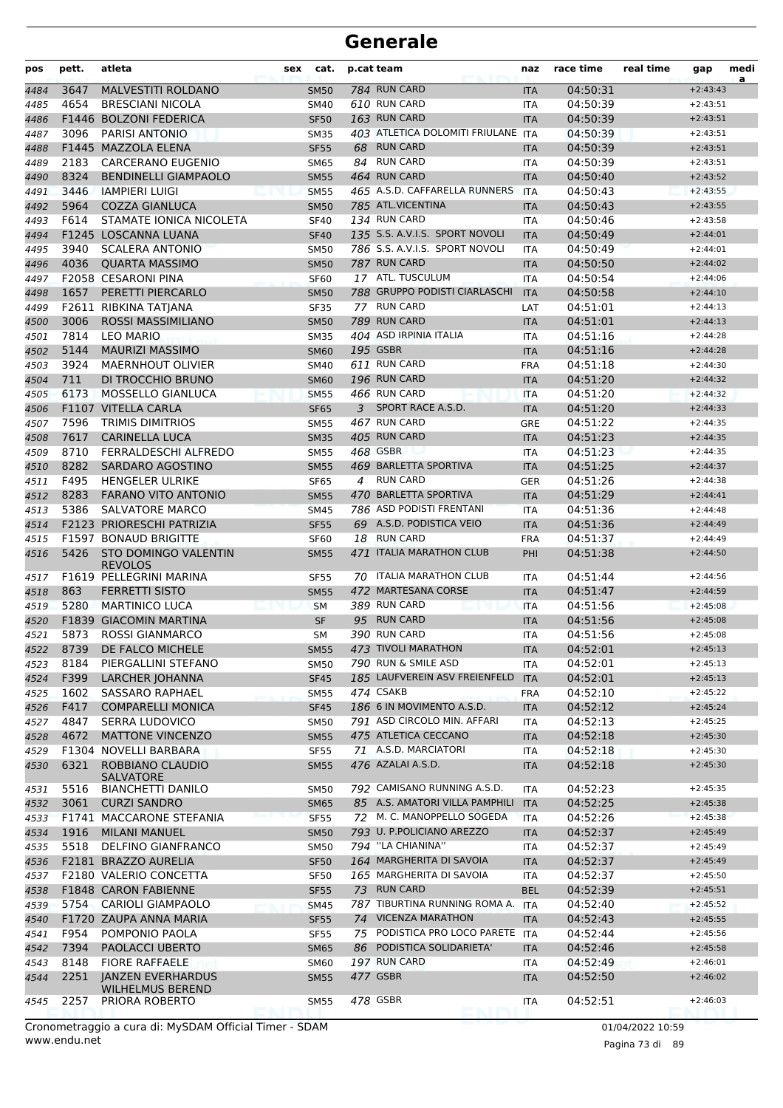| pos          | pett. | atleta                                        | sex | cat.                       | p.cat team |                                           | naz                      | race time            | real time | gap                      | medi<br>a |
|--------------|-------|-----------------------------------------------|-----|----------------------------|------------|-------------------------------------------|--------------------------|----------------------|-----------|--------------------------|-----------|
| 4484         | 3647  | MALVESTITI ROLDANO                            |     | <b>SM50</b>                |            | 784 RUN CARD                              | <b>ITA</b>               | 04:50:31             |           | $+2:43:43$               |           |
| 4485         | 4654  | <b>BRESCIANI NICOLA</b>                       |     | <b>SM40</b>                |            | 610 RUN CARD                              | <b>ITA</b>               | 04:50:39             |           | $+2:43:51$               |           |
| 4486         |       | F1446 BOLZONI FEDERICA                        |     | <b>SF50</b>                |            | 163 RUN CARD                              | <b>ITA</b>               | 04:50:39             |           | $+2:43:51$               |           |
| 4487         | 3096  | PARISI ANTONIO                                |     | <b>SM35</b>                |            | 403 ATLETICA DOLOMITI FRIULANE            | <b>ITA</b>               | 04:50:39             |           | $+2:43:51$               |           |
| 4488         |       | F1445 MAZZOLA ELENA                           |     | <b>SF55</b>                |            | 68 RUN CARD                               | <b>ITA</b>               | 04:50:39             |           | $+2:43:51$               |           |
| 4489         | 2183  | <b>CARCERANO EUGENIO</b>                      |     | <b>SM65</b>                |            | 84 RUN CARD                               | ITA                      | 04:50:39             |           | $+2:43:51$               |           |
| 4490         | 8324  | <b>BENDINELLI GIAMPAOLO</b>                   |     | <b>SM55</b>                |            | 464 RUN CARD                              | <b>ITA</b>               | 04:50:40             |           | $+2:43:52$               |           |
| 4491         | 3446  | <b>IAMPIERI LUIGI</b>                         |     | <b>SM55</b>                |            | 465 A.S.D. CAFFARELLA RUNNERS             | <b>ITA</b>               | 04:50:43             |           | $+2:43:55$               |           |
| 4492         | 5964  | <b>COZZA GIANLUCA</b>                         |     | <b>SM50</b>                |            | 785 ATL.VICENTINA                         | <b>ITA</b>               | 04:50:43             |           | $+2:43:55$               |           |
| 4493         | F614  | STAMATE IONICA NICOLETA                       |     | <b>SF40</b>                |            | 134 RUN CARD                              | <b>ITA</b>               | 04:50:46             |           | $+2:43:58$               |           |
| 4494         |       | F1245 LOSCANNA LUANA                          |     | <b>SF40</b>                |            | 135 S.S. A.V.I.S. SPORT NOVOLI            | <b>ITA</b>               | 04:50:49             |           | $+2:44:01$               |           |
| 4495         | 3940  | <b>SCALERA ANTONIO</b>                        |     | <b>SM50</b>                |            | 786 S.S. A.V.I.S. SPORT NOVOLI            | ITA                      | 04:50:49             |           | $+2:44:01$               |           |
| 4496         | 4036  | <b>QUARTA MASSIMO</b>                         |     | <b>SM50</b>                |            | 787 RUN CARD                              | <b>ITA</b>               | 04:50:50             |           | $+2:44:02$               |           |
| 4497         |       | F2058 CESARONI PINA                           |     | <b>SF60</b>                |            | 17 ATL. TUSCULUM                          | ITA                      | 04:50:54             |           | $+2:44:06$               |           |
| 4498         | 1657  | PERETTI PIERCARLO                             |     | <b>SM50</b>                |            | 788 GRUPPO PODISTI CIARLASCHI             | <b>ITA</b>               | 04:50:58             |           | $+2:44:10$               |           |
| 4499         |       | F2611 RIBKINA TATJANA                         |     | <b>SF35</b>                |            | 77 RUN CARD                               | LAT                      | 04:51:01             |           | $+2:44:13$               |           |
| 4500         | 3006  | <b>ROSSI MASSIMILIANO</b>                     |     | <b>SM50</b>                |            | 789 RUN CARD                              | <b>ITA</b>               | 04:51:01             |           | $+2:44:13$               |           |
| 4501         | 7814  | <b>LEO MARIO</b>                              |     | <b>SM35</b>                |            | 404 ASD IRPINIA ITALIA                    | <b>ITA</b>               | 04:51:16             |           | $+2:44:28$               |           |
| 4502         | 5144  | <b>MAURIZI MASSIMO</b>                        |     | <b>SM60</b>                |            | 195 GSBR                                  | <b>ITA</b>               | 04:51:16             |           | $+2:44:28$               |           |
| 4503         | 3924  | <b>MAERNHOUT OLIVIER</b>                      |     | <b>SM40</b>                |            | 611 RUN CARD                              | <b>FRA</b>               | 04:51:18             |           | $+2:44:30$               |           |
| 4504         | 711   | DI TROCCHIO BRUNO                             |     | <b>SM60</b>                |            | 196 RUN CARD                              | <b>ITA</b>               | 04:51:20             |           | $+2:44:32$               |           |
| 4505         | 6173  | MOSSELLO GIANLUCA                             |     | <b>SM55</b>                |            | 466 RUN CARD                              | <b>ITA</b>               | 04:51:20             |           | $+2:44:32$               |           |
| 4506         |       | F1107 VITELLA CARLA                           |     | <b>SF65</b>                | 3          | SPORT RACE A.S.D.                         | <b>ITA</b>               | 04:51:20             |           | $+2:44:33$               |           |
| 4507         | 7596  | <b>TRIMIS DIMITRIOS</b>                       |     | <b>SM55</b>                |            | 467 RUN CARD                              | GRE                      | 04:51:22             |           | $+2:44:35$               |           |
| 4508         | 7617  | <b>CARINELLA LUCA</b>                         |     | <b>SM35</b>                |            | 405 RUN CARD                              | <b>ITA</b>               | 04:51:23             |           | $+2:44:35$               |           |
| 4509         | 8710  | FERRALDESCHI ALFREDO                          |     | <b>SM55</b>                |            | 468 GSBR                                  | ITA                      | 04:51:23             |           | $+2:44:35$               |           |
| 4510         | 8282  | SARDARO AGOSTINO                              |     | <b>SM55</b>                |            | 469 BARLETTA SPORTIVA                     | <b>ITA</b>               | 04:51:25             |           | $+2:44:37$               |           |
| 4511         | F495  | <b>HENGELER ULRIKE</b>                        |     | <b>SF65</b>                | 4          | <b>RUN CARD</b>                           | <b>GER</b>               | 04:51:26             |           | $+2:44:38$               |           |
| 4512         | 8283  | <b>FARANO VITO ANTONIO</b>                    |     | <b>SM55</b>                |            | 470 BARLETTA SPORTIVA                     | <b>ITA</b>               | 04:51:29             |           | $+2:44:41$               |           |
| 4513         | 5386  | <b>SALVATORE MARCO</b>                        |     | <b>SM45</b>                |            | 786 ASD PODISTI FRENTANI                  | <b>ITA</b>               | 04:51:36             |           | $+2:44:48$               |           |
| 4514         |       | F2123 PRIORESCHI PATRIZIA                     |     | <b>SF55</b>                |            | 69 A.S.D. PODISTICA VEIO                  | <b>ITA</b>               | 04:51:36             |           | $+2:44:49$               |           |
| 4515         |       | F1597 BONAUD BRIGITTE                         |     | <b>SF60</b>                |            | 18 RUN CARD                               | <b>FRA</b>               | 04:51:37             |           | $+2:44:49$               |           |
| 4516         | 5426  | <b>STO DOMINGO VALENTIN</b><br><b>REVOLOS</b> |     | <b>SM55</b>                |            | 471 ITALIA MARATHON CLUB                  | PHI                      | 04:51:38             |           | $+2:44:50$               |           |
| 4517         |       | F1619 PELLEGRINI MARINA                       |     | <b>SF55</b>                |            | 70 ITALIA MARATHON CLUB                   | <b>ITA</b>               | 04:51:44             |           | $+2:44:56$               |           |
| 4518         | 863   | <b>FERRETTI SISTO</b>                         |     | <b>SM55</b>                |            | 472 MARTESANA CORSE                       | <b>ITA</b>               | 04:51:47             |           | $+2:44:59$               |           |
| 4519         | 5280  | <b>MARTINICO LUCA</b>                         |     | <b>SM</b>                  |            | 389 RUN CARD                              | <b>ITA</b>               | 04:51:56             |           | $+2:45:08$               |           |
| 4520         |       | <b>F1839 GIACOMIN MARTINA</b>                 |     | <b>SF</b>                  |            | 95 RUN CARD                               | <b>ITA</b>               | 04:51:56             |           | $+2:45:08$               |           |
| 4521         | 5873  | <b>ROSSI GIANMARCO</b>                        |     | SМ                         |            | 390 RUN CARD                              | <b>ITA</b>               | 04:51:56             |           | $+2:45:08$               |           |
| 4522         |       | 8739 DE FALCO MICHELE                         |     | <b>SM55</b>                |            | 473 TIVOLI MARATHON                       | <b>ITA</b>               | 04:52:01             |           | $+2:45:13$               |           |
| 4523         | 8184  | PIERGALLINI STEFANO                           |     | <b>SM50</b>                |            | 790 RUN & SMILE ASD                       | ITA                      | 04:52:01             |           | $+2:45:13$               |           |
| 4524         | F399  | LARCHER JOHANNA                               |     | <b>SF45</b>                |            | 185 LAUFVEREIN ASV FREIENFELD             | <b>ITA</b>               | 04:52:01             |           | $+2:45:13$               |           |
| 4525         | 1602  | <b>SASSARO RAPHAEL</b>                        |     | <b>SM55</b>                |            | 474 CSAKB                                 | <b>FRA</b>               | 04:52:10             |           | $+2:45:22$               |           |
| 4526         | F417  | <b>COMPARELLI MONICA</b>                      |     | <b>SF45</b>                |            | 186 6 IN MOVIMENTO A.S.D.                 | <b>ITA</b>               | 04:52:12             |           | $+2:45:24$               |           |
| 4527         | 4847  | <b>SERRA LUDOVICO</b>                         |     | <b>SM50</b>                |            | 791 ASD CIRCOLO MIN. AFFARI               | ITA                      | 04:52:13             |           | $+2:45:25$               |           |
| 4528         | 4672  | <b>MATTONE VINCENZO</b>                       |     | <b>SM55</b>                |            | 475 ATLETICA CECCANO                      | <b>ITA</b>               | 04:52:18             |           | $+2:45:30$               |           |
| 4529<br>4530 | 6321  | F1304 NOVELLI BARBARA<br>ROBBIANO CLAUDIO     |     | <b>SF55</b><br><b>SM55</b> |            | 71 A.S.D. MARCIATORI<br>476 AZALAI A.S.D. | ITA<br><b>ITA</b>        | 04:52:18<br>04:52:18 |           | $+2:45:30$<br>$+2:45:30$ |           |
| 4531         | 5516  | <b>SALVATORE</b><br><b>BIANCHETTI DANILO</b>  |     | <b>SM50</b>                |            | 792 CAMISANO RUNNING A.S.D.               | ITA                      | 04:52:23             |           | $+2:45:35$               |           |
| 4532         | 3061  | <b>CURZI SANDRO</b>                           |     | <b>SM65</b>                |            | 85 A.S. AMATORI VILLA PAMPHILI            | <b>ITA</b>               | 04:52:25             |           | $+2:45:38$               |           |
| 4533         |       | F1741 MACCARONE STEFANIA                      |     | <b>SF55</b>                |            | 72 M. C. MANOPPELLO SOGEDA                | <b>ITA</b>               | 04:52:26             |           | $+2:45:38$               |           |
| 4534         | 1916  | <b>MILANI MANUEL</b>                          |     | <b>SM50</b>                |            | 793 U. P. POLICIANO AREZZO                | <b>ITA</b>               | 04:52:37             |           | $+2:45:49$               |           |
|              | 5518  | DELFINO GIANFRANCO                            |     | <b>SM50</b>                |            | 794 "LA CHIANINA"                         |                          | 04:52:37             |           | $+2:45:49$               |           |
| 4535<br>4536 |       | F2181 BRAZZO AURELIA                          |     | <b>SF50</b>                |            | 164 MARGHERITA DI SAVOIA                  | <b>ITA</b><br><b>ITA</b> | 04:52:37             |           | $+2:45:49$               |           |
|              |       | F2180 VALERIO CONCETTA                        |     | <b>SF50</b>                |            | 165 MARGHERITA DI SAVOIA                  |                          | 04:52:37             |           | $+2:45:50$               |           |
| 4537<br>4538 |       | <b>F1848 CARON FABIENNE</b>                   |     |                            |            | 73 RUN CARD                               | ITA<br><b>BEL</b>        | 04:52:39             |           | $+2:45:51$               |           |
|              |       | 5754 CARIOLI GIAMPAOLO                        |     | <b>SF55</b>                |            | 787 TIBURTINA RUNNING ROMA A.             | <b>ITA</b>               | 04:52:40             |           | $+2:45:52$               |           |
| 4539         |       | F1720 ZAUPA ANNA MARIA                        |     | <b>SM45</b>                |            | 74 VICENZA MARATHON                       |                          |                      |           |                          |           |
| 4540         |       |                                               |     | <b>SF55</b>                |            | 75 PODISTICA PRO LOCO PARETE ITA          | <b>ITA</b>               | 04:52:43             |           | $+2:45:55$               |           |
| 4541         | F954  | POMPONIO PAOLA                                |     | <b>SF55</b>                |            |                                           |                          | 04:52:44             |           | $+2:45:56$               |           |
| 4542         | 7394  | <b>PAOLACCI UBERTO</b>                        |     | <b>SM65</b>                | 86         | PODISTICA SOLIDARIETA'                    | <b>ITA</b>               | 04:52:46             |           | $+2:45:58$               |           |
| 4543         | 8148  | <b>FIORE RAFFAELE</b>                         |     | <b>SM60</b>                |            | 197 RUN CARD                              | ITA                      | 04:52:49             |           | $+2:46:01$               |           |
| 4544         | 2251  | <b>JANZEN EVERHARDUS</b><br>WILHELMUS BEREND  |     | <b>SM55</b>                |            | 477 GSBR<br>478 GSBR                      | <b>ITA</b>               | 04:52:50<br>04:52:51 |           | $+2:46:02$<br>$+2:46:03$ |           |
| 4545         | 2257  | PRIORA ROBERTO                                |     | <b>SM55</b>                |            |                                           | ITA                      |                      |           |                          |           |

www.endu.net Cronometraggio a cura di: MySDAM Official Timer - SDAM 01/04/2022 10:59

Pagina 73 di 89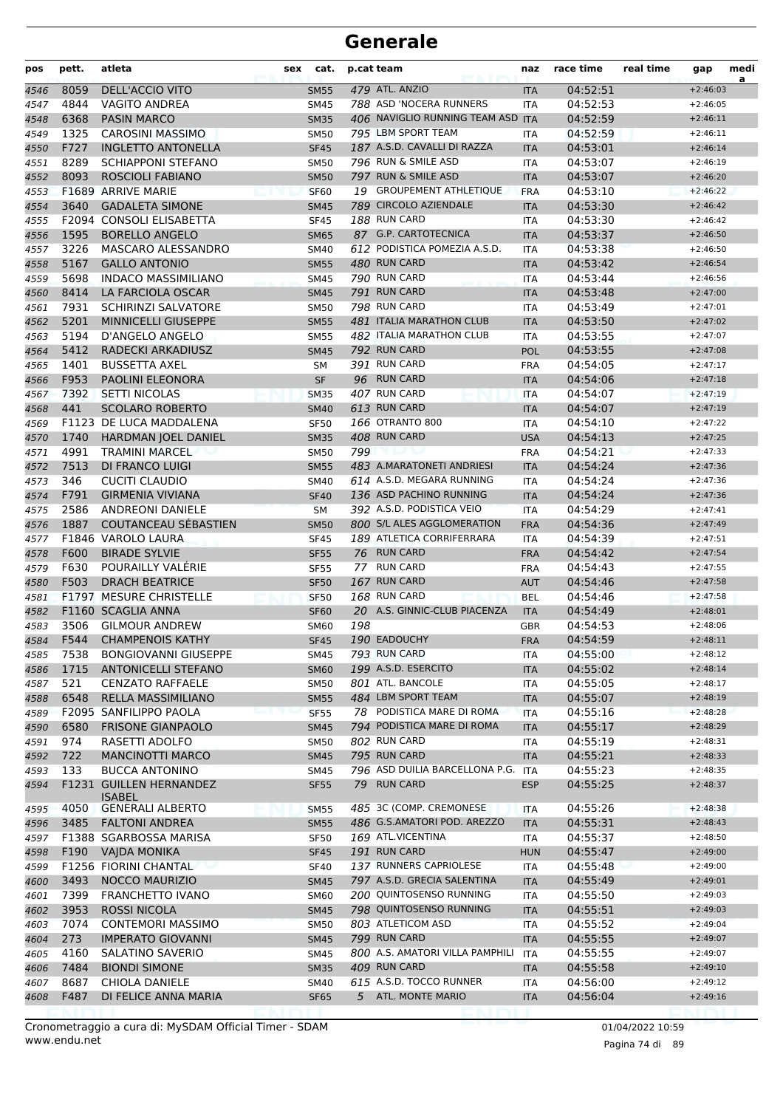| pos  | pett. | atleta                      | cat.<br>sex |     | p.cat team                        | naz        | race time | real time | gap        | medi<br>a |
|------|-------|-----------------------------|-------------|-----|-----------------------------------|------------|-----------|-----------|------------|-----------|
| 4546 | 8059  | DELL'ACCIO VITO             | <b>SM55</b> |     | 479 ATL. ANZIO                    | <b>ITA</b> | 04:52:51  |           | $+2:46:03$ |           |
| 4547 | 4844  | <b>VAGITO ANDREA</b>        | <b>SM45</b> |     | 788 ASD 'NOCERA RUNNERS           | <b>ITA</b> | 04:52:53  |           | $+2:46:05$ |           |
| 4548 | 6368  | <b>PASIN MARCO</b>          | <b>SM35</b> |     | 406 NAVIGLIO RUNNING TEAM ASD ITA |            | 04:52:59  |           | $+2:46:11$ |           |
| 4549 | 1325  | <b>CAROSINI MASSIMO</b>     | <b>SM50</b> |     | 795 LBM SPORT TEAM                | <b>ITA</b> | 04:52:59  |           | $+2:46:11$ |           |
| 4550 | F727  | <b>INGLETTO ANTONELLA</b>   | <b>SF45</b> |     | 187 A.S.D. CAVALLI DI RAZZA       | <b>ITA</b> | 04:53:01  |           | $+2:46:14$ |           |
| 4551 | 8289  | <b>SCHIAPPONI STEFANO</b>   | <b>SM50</b> |     | 796 RUN & SMILE ASD               | <b>ITA</b> | 04:53:07  |           | $+2:46:19$ |           |
| 4552 | 8093  | <b>ROSCIOLI FABIANO</b>     | <b>SM50</b> |     | 797 RUN & SMILE ASD               | <b>ITA</b> | 04:53:07  |           | $+2:46:20$ |           |
| 4553 |       | F1689 ARRIVE MARIE          | <b>SF60</b> |     | 19 GROUPEMENT ATHLETIQUE          | <b>FRA</b> | 04:53:10  |           | $+2:46:22$ |           |
| 4554 | 3640  | <b>GADALETA SIMONE</b>      | <b>SM45</b> |     | 789 CIRCOLO AZIENDALE             | <b>ITA</b> | 04:53:30  |           | $+2:46:42$ |           |
| 4555 |       | F2094 CONSOLI ELISABETTA    | <b>SF45</b> |     | 188 RUN CARD                      | <b>ITA</b> | 04:53:30  |           | $+2:46:42$ |           |
| 4556 | 1595  | <b>BORELLO ANGELO</b>       | <b>SM65</b> |     | 87 G.P. CARTOTECNICA              | <b>ITA</b> | 04:53:37  |           | $+2:46:50$ |           |
| 4557 | 3226  | MASCARO ALESSANDRO          | SM40        |     | 612 PODISTICA POMEZIA A.S.D.      | <b>ITA</b> | 04:53:38  |           | $+2:46:50$ |           |
| 4558 | 5167  | <b>GALLO ANTONIO</b>        | <b>SM55</b> |     | 480 RUN CARD                      | <b>ITA</b> | 04:53:42  |           | $+2:46:54$ |           |
| 4559 | 5698  | <b>INDACO MASSIMILIANO</b>  | <b>SM45</b> |     | 790 RUN CARD                      | <b>ITA</b> | 04:53:44  |           | $+2:46:56$ |           |
| 4560 | 8414  | LA FARCIOLA OSCAR           | <b>SM45</b> |     | 791 RUN CARD                      | <b>ITA</b> | 04:53:48  |           | $+2:47:00$ |           |
| 4561 | 7931  | <b>SCHIRINZI SALVATORE</b>  | <b>SM50</b> |     | 798 RUN CARD                      | <b>ITA</b> | 04:53:49  |           | $+2:47:01$ |           |
| 4562 | 5201  | MINNICELLI GIUSEPPE         | <b>SM55</b> |     | 481 ITALIA MARATHON CLUB          | <b>ITA</b> | 04:53:50  |           | $+2:47:02$ |           |
| 4563 | 5194  | D'ANGELO ANGELO             | <b>SM55</b> |     | 482 ITALIA MARATHON CLUB          | <b>ITA</b> | 04:53:55  |           | $+2:47:07$ |           |
| 4564 | 5412  | RADECKI ARKADIUSZ           | <b>SM45</b> |     | 792 RUN CARD                      | <b>POL</b> | 04:53:55  |           | $+2:47:08$ |           |
| 4565 | 1401  | <b>BUSSETTA AXEL</b>        | SM          |     | 391 RUN CARD                      | <b>FRA</b> | 04:54:05  |           | $+2:47:17$ |           |
| 4566 | F953  | <b>PAOLINI ELEONORA</b>     | <b>SF</b>   |     | 96 RUN CARD                       | <b>ITA</b> | 04:54:06  |           | $+2:47:18$ |           |
| 4567 | 7392  | <b>SETTI NICOLAS</b>        | <b>SM35</b> |     | 407 RUN CARD                      | <b>ITA</b> | 04:54:07  |           | $+2:47:19$ |           |
| 4568 | 441   | <b>SCOLARO ROBERTO</b>      | <b>SM40</b> |     | 613 RUN CARD                      | <b>ITA</b> | 04:54:07  |           | $+2:47:19$ |           |
| 4569 |       | F1123 DE LUCA MADDALENA     | <b>SF50</b> |     | 166 OTRANTO 800                   | <b>ITA</b> | 04:54:10  |           | $+2:47:22$ |           |
| 4570 | 1740  | <b>HARDMAN JOEL DANIEL</b>  | <b>SM35</b> |     | 408 RUN CARD                      | <b>USA</b> | 04:54:13  |           | $+2:47:25$ |           |
| 4571 | 4991  | <b>TRAMINI MARCEL</b>       | <b>SM50</b> | 799 |                                   | <b>FRA</b> | 04:54:21  |           | $+2:47:33$ |           |
| 4572 | 7513  | DI FRANCO LUIGI             | <b>SM55</b> |     | 483 A.MARATONETI ANDRIESI         | <b>ITA</b> | 04:54:24  |           | $+2:47:36$ |           |
| 4573 | 346   | <b>CUCITI CLAUDIO</b>       | SM40        |     | 614 A.S.D. MEGARA RUNNING         | <b>ITA</b> | 04:54:24  |           | $+2:47:36$ |           |
| 4574 | F791  | <b>GIRMENIA VIVIANA</b>     | <b>SF40</b> |     | 136 ASD PACHINO RUNNING           | <b>ITA</b> | 04:54:24  |           | $+2:47:36$ |           |
| 4575 | 2586  | <b>ANDREONI DANIELE</b>     | <b>SM</b>   |     | 392 A.S.D. PODISTICA VEIO         | <b>ITA</b> | 04:54:29  |           | $+2:47:41$ |           |
| 4576 | 1887  | COUTANCEAU SÉBASTIEN        | <b>SM50</b> |     | 800 S/L ALES AGGLOMERATION        | <b>FRA</b> | 04:54:36  |           | $+2:47:49$ |           |
| 4577 |       | F1846 VAROLO LAURA          | <b>SF45</b> |     | 189 ATLETICA CORRIFERRARA         | ITA        | 04:54:39  |           | $+2:47:51$ |           |
| 4578 | F600  | <b>BIRADE SYLVIE</b>        | <b>SF55</b> |     | 76 RUN CARD                       | <b>FRA</b> | 04:54:42  |           | $+2:47:54$ |           |
| 4579 | F630  | POURAILLY VALÉRIE           | <b>SF55</b> |     | 77 RUN CARD                       | <b>FRA</b> | 04:54:43  |           | $+2:47:55$ |           |
| 4580 | F503  | <b>DRACH BEATRICE</b>       | <b>SF50</b> |     | 167 RUN CARD                      | <b>AUT</b> | 04:54:46  |           | $+2:47:58$ |           |
| 4581 |       | F1797 MESURE CHRISTELLE     | <b>SF50</b> |     | 168 RUN CARD                      | <b>BEL</b> | 04:54:46  |           | $+2:47:58$ |           |
| 4582 |       | F1160 SCAGLIA ANNA          | <b>SF60</b> |     | 20 A.S. GINNIC-CLUB PIACENZA      | <b>ITA</b> | 04:54:49  |           | $+2:48:01$ |           |
| 4583 | 3506  | <b>GILMOUR ANDREW</b>       | SM60        | 198 |                                   | GBR        | 04:54:53  |           | $+2:48:06$ |           |
| 4584 | F544  | <b>CHAMPENOIS KATHY</b>     | <b>SF45</b> |     | 190 EADOUCHY                      | <b>FRA</b> | 04:54:59  |           | $+2:48:11$ |           |
| 4585 | 7538  | <b>BONGIOVANNI GIUSEPPE</b> | SM45        |     | 793 RUN CARD                      | ITA        | 04:55:00  |           | $+2:48:12$ |           |
| 4586 | 1715  | <b>ANTONICELLI STEFANO</b>  | <b>SM60</b> |     | 199 A.S.D. ESERCITO               | <b>ITA</b> | 04:55:02  |           | $+2:48:14$ |           |
| 4587 | 521   | <b>CENZATO RAFFAELE</b>     | <b>SM50</b> |     | 801 ATL. BANCOLE                  | <b>ITA</b> | 04:55:05  |           | $+2:48:17$ |           |
| 4588 | 6548  | RELLA MASSIMILIANO          | <b>SM55</b> |     | 484 LBM SPORT TEAM                | <b>ITA</b> | 04:55:07  |           | $+2:48:19$ |           |
| 4589 |       | F2095 SANFILIPPO PAOLA      | <b>SF55</b> |     | 78 PODISTICA MARE DI ROMA         | <b>ITA</b> | 04:55:16  |           | $+2:48:28$ |           |
| 4590 | 6580  | <b>FRISONE GIANPAOLO</b>    | <b>SM45</b> |     | 794 PODISTICA MARE DI ROMA        | <b>ITA</b> | 04:55:17  |           | $+2:48:29$ |           |
| 4591 | 974   | RASETTI ADOLFO              | <b>SM50</b> |     | 802 RUN CARD                      | ITA        | 04:55:19  |           | $+2:48:31$ |           |
| 4592 | 722   | <b>MANCINOTTI MARCO</b>     | <b>SM45</b> |     | 795 RUN CARD                      | <b>ITA</b> | 04:55:21  |           | $+2:48:33$ |           |
| 4593 | 133   | <b>BUCCA ANTONINO</b>       | SM45        |     | 796 ASD DUILIA BARCELLONA P.G.    | <b>ITA</b> | 04:55:23  |           | $+2:48:35$ |           |
| 4594 |       | F1231 GUILLEN HERNANDEZ     | <b>SF55</b> |     | 79 RUN CARD                       | <b>ESP</b> | 04:55:25  |           | $+2:48:37$ |           |
|      |       | <b>ISABEL</b>               |             |     |                                   |            |           |           |            |           |
| 4595 | 4050  | <b>GENERALI ALBERTO</b>     | <b>SM55</b> |     | 485 3C (COMP. CREMONESE           | ITA        | 04:55:26  |           | $+2:48:38$ |           |
| 4596 | 3485  | <b>FALTONI ANDREA</b>       | <b>SM55</b> |     | 486 G.S.AMATORI POD. AREZZO       | <b>ITA</b> | 04:55:31  |           | $+2:48:43$ |           |
| 4597 |       | F1388 SGARBOSSA MARISA      | <b>SF50</b> |     | 169 ATL.VICENTINA                 | <b>ITA</b> | 04:55:37  |           | $+2:48:50$ |           |
| 4598 | F190  | <b>VAIDA MONIKA</b>         | <b>SF45</b> |     | 191 RUN CARD                      | <b>HUN</b> | 04:55:47  |           | $+2:49:00$ |           |
| 4599 |       | F1256 FIORINI CHANTAL       | <b>SF40</b> |     | 137 RUNNERS CAPRIOLESE            | ITA        | 04:55:48  |           | $+2:49:00$ |           |
| 4600 | 3493  | <b>NOCCO MAURIZIO</b>       | <b>SM45</b> |     | 797 A.S.D. GRECIA SALENTINA       | <b>ITA</b> | 04:55:49  |           | $+2:49:01$ |           |
| 4601 | 7399  | FRANCHETTO IVANO            | <b>SM60</b> |     | 200 QUINTOSENSO RUNNING           | ITA        | 04:55:50  |           | $+2:49:03$ |           |
| 4602 | 3953  | <b>ROSSI NICOLA</b>         | <b>SM45</b> |     | 798 QUINTOSENSO RUNNING           | <b>ITA</b> | 04:55:51  |           | $+2:49:03$ |           |
| 4603 | 7074  | <b>CONTEMORI MASSIMO</b>    | <b>SM50</b> |     | 803 ATLETICOM ASD                 | <b>ITA</b> | 04:55:52  |           | $+2:49:04$ |           |
| 4604 | 273   | <b>IMPERATO GIOVANNI</b>    | <b>SM45</b> |     | 799 RUN CARD                      | <b>ITA</b> | 04:55:55  |           | $+2:49:07$ |           |
| 4605 | 4160  | SALATINO SAVERIO            | SM45        |     | 800 A.S. AMATORI VILLA PAMPHILI   | <b>ITA</b> | 04:55:55  |           | $+2:49:07$ |           |
| 4606 | 7484  | <b>BIONDI SIMONE</b>        | <b>SM35</b> |     | 409 RUN CARD                      | <b>ITA</b> | 04:55:58  |           | $+2:49:10$ |           |
| 4607 | 8687  | CHIOLA DANIELE              | SM40        |     | 615 A.S.D. TOCCO RUNNER           | ITA        | 04:56:00  |           | $+2:49:12$ |           |
| 4608 | F487  | DI FELICE ANNA MARIA        | <b>SF65</b> |     | 5 ATL. MONTE MARIO                | <b>ITA</b> | 04:56:04  |           | $+2:49:16$ |           |
|      |       |                             |             |     |                                   |            |           |           |            |           |

www.endu.net Cronometraggio a cura di: MySDAM Official Timer - SDAM 01/04/2022 10:59 01/04/2022 10:59

Pagina 74 di 89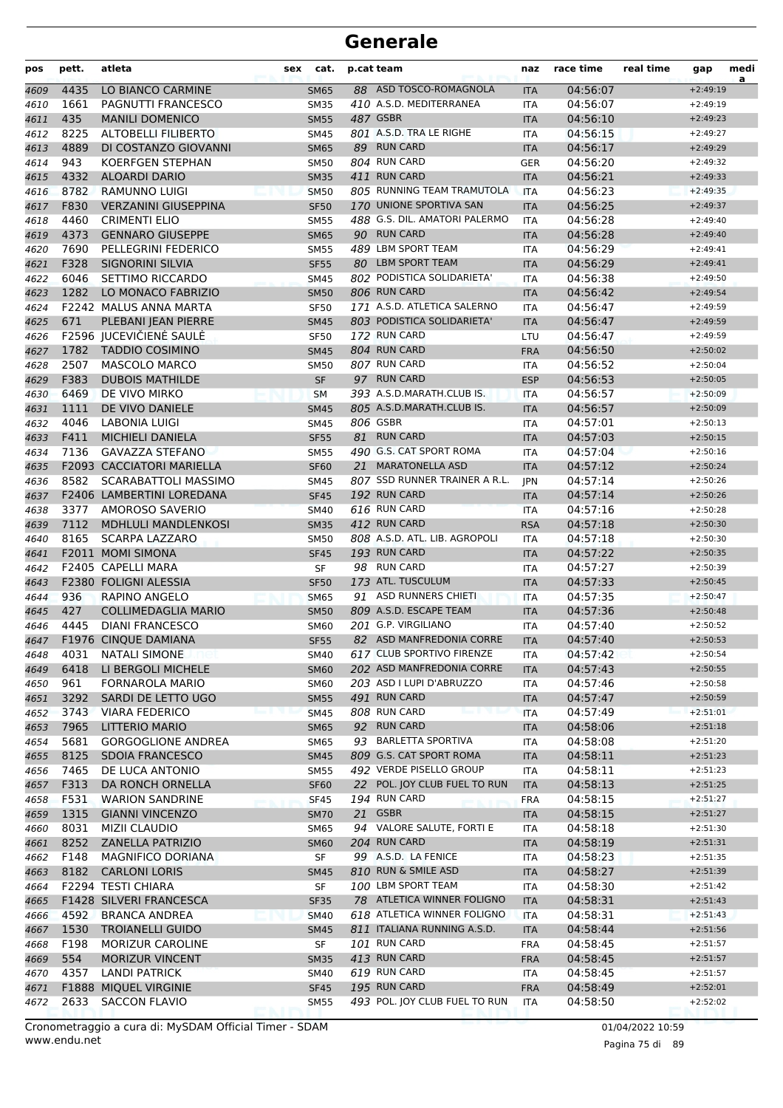| pos  | pett. | atleta                        | cat.<br>sex | p.cat team                    | naz        | race time | real time | gap        | medi<br>a |
|------|-------|-------------------------------|-------------|-------------------------------|------------|-----------|-----------|------------|-----------|
| 4609 | 4435  | LO BIANCO CARMINE             | <b>SM65</b> | 88 ASD TOSCO-ROMAGNOLA        | <b>ITA</b> | 04:56:07  |           | $+2:49:19$ |           |
| 4610 | 1661  | PAGNUTTI FRANCESCO            | <b>SM35</b> | 410 A.S.D. MEDITERRANEA       | <b>ITA</b> | 04:56:07  |           | $+2:49:19$ |           |
| 4611 | 435   | <b>MANILI DOMENICO</b>        | <b>SM55</b> | 487 GSBR                      | <b>ITA</b> | 04:56:10  |           | $+2:49:23$ |           |
| 4612 | 8225  | ALTOBELLI FILIBERTO           | <b>SM45</b> | 801 A.S.D. TRA LE RIGHE       | <b>ITA</b> | 04:56:15  |           | $+2:49:27$ |           |
| 4613 | 4889  | DI COSTANZO GIOVANNI          | <b>SM65</b> | 89 RUN CARD                   | <b>ITA</b> | 04:56:17  |           | $+2:49:29$ |           |
| 4614 | 943   | KOERFGEN STEPHAN              | <b>SM50</b> | 804 RUN CARD                  | <b>GER</b> | 04:56:20  |           | $+2:49:32$ |           |
| 4615 | 4332  | <b>ALOARDI DARIO</b>          | <b>SM35</b> | 411 RUN CARD                  | <b>ITA</b> | 04:56:21  |           | $+2:49:33$ |           |
| 4616 | 8782  | <b>RAMUNNO LUIGI</b>          | <b>SM50</b> | 805 RUNNING TEAM TRAMUTOLA    | <b>ITA</b> | 04:56:23  |           | $+2:49:35$ |           |
| 4617 | F830  | <b>VERZANINI GIUSEPPINA</b>   | <b>SF50</b> | 170 UNIONE SPORTIVA SAN       | <b>ITA</b> | 04:56:25  |           | $+2:49:37$ |           |
| 4618 | 4460  | <b>CRIMENTI ELIO</b>          | <b>SM55</b> | 488 G.S. DIL. AMATORI PALERMO | <b>ITA</b> | 04:56:28  |           | $+2:49:40$ |           |
| 4619 | 4373  | <b>GENNARO GIUSEPPE</b>       | <b>SM65</b> | 90 RUN CARD                   | <b>ITA</b> | 04:56:28  |           | $+2:49:40$ |           |
| 4620 | 7690  | PELLEGRINI FEDERICO           | <b>SM55</b> | 489 LBM SPORT TEAM            | <b>ITA</b> | 04:56:29  |           | $+2:49:41$ |           |
| 4621 | F328  | <b>SIGNORINI SILVIA</b>       | <b>SF55</b> | 80 LBM SPORT TEAM             | <b>ITA</b> | 04:56:29  |           | $+2:49:41$ |           |
| 4622 | 6046  | SETTIMO RICCARDO              | <b>SM45</b> | 802 PODISTICA SOLIDARIETA'    | <b>ITA</b> | 04:56:38  |           | $+2:49:50$ |           |
| 4623 | 1282  | LO MONACO FABRIZIO            | <b>SM50</b> | 806 RUN CARD                  | <b>ITA</b> | 04:56:42  |           | $+2:49:54$ |           |
| 4624 |       | <b>F2242 MALUS ANNA MARTA</b> | <b>SF50</b> | 171 A.S.D. ATLETICA SALERNO   | <b>ITA</b> | 04:56:47  |           | $+2:49:59$ |           |
| 4625 | 671   | PLEBANI JEAN PIERRE           | <b>SM45</b> | 803 PODISTICA SOLIDARIETA'    | <b>ITA</b> | 04:56:47  |           | $+2:49:59$ |           |
| 4626 |       | F2596 IUCEVIČIENĖ SAULĖ       | <b>SF50</b> | 172 RUN CARD                  | LTU        | 04:56:47  |           | $+2:49:59$ |           |
| 4627 | 1782  | <b>TADDIO COSIMINO</b>        | <b>SM45</b> | 804 RUN CARD                  | <b>FRA</b> | 04:56:50  |           | $+2:50:02$ |           |
| 4628 | 2507  | MASCOLO MARCO                 | <b>SM50</b> | 807 RUN CARD                  | ITA        | 04:56:52  |           | $+2:50:04$ |           |
| 4629 | F383  | <b>DUBOIS MATHILDE</b>        | <b>SF</b>   | 97 RUN CARD                   | <b>ESP</b> | 04:56:53  |           | $+2:50:05$ |           |
| 4630 | 6469  | DE VIVO MIRKO                 | <b>SM</b>   | 393 A.S.D.MARATH.CLUB IS.     | <b>ITA</b> | 04:56:57  |           | $+2:50:09$ |           |
| 4631 | 1111  | DE VIVO DANIELE               | <b>SM45</b> | 805 A.S.D.MARATH.CLUB IS.     | <b>ITA</b> | 04:56:57  |           | $+2:50:09$ |           |
| 4632 | 4046  | <b>LABONIA LUIGI</b>          | SM45        | 806 GSBR                      | <b>ITA</b> | 04:57:01  |           | $+2:50:13$ |           |
| 4633 | F411  | MICHIELI DANIELA              | <b>SF55</b> | 81 RUN CARD                   | <b>ITA</b> | 04:57:03  |           | $+2:50:15$ |           |
| 4634 | 7136  | <b>GAVAZZA STEFANO</b>        | <b>SM55</b> | 490 G.S. CAT SPORT ROMA       | <b>ITA</b> | 04:57:04  |           | $+2:50:16$ |           |
| 4635 |       | F2093 CACCIATORI MARIELLA     | <b>SF60</b> | 21 MARATONELLA ASD            | <b>ITA</b> | 04:57:12  |           | $+2:50:24$ |           |
| 4636 | 8582  | SCARABATTOLI MASSIMO          | <b>SM45</b> | 807 SSD RUNNER TRAINER A R.L. | <b>IPN</b> | 04:57:14  |           | $+2:50:26$ |           |
| 4637 |       | F2406 LAMBERTINI LOREDANA     | <b>SF45</b> | 192 RUN CARD                  | <b>ITA</b> | 04:57:14  |           | $+2:50:26$ |           |
| 4638 | 3377  | AMOROSO SAVERIO               | <b>SM40</b> | 616 RUN CARD                  | <b>ITA</b> | 04:57:16  |           | $+2:50:28$ |           |
| 4639 | 7112  | <b>MDHLULI MANDLENKOSI</b>    | <b>SM35</b> | 412 RUN CARD                  | <b>RSA</b> | 04:57:18  |           | $+2:50:30$ |           |
| 4640 | 8165  | <b>SCARPA LAZZARO</b>         | <b>SM50</b> | 808 A.S.D. ATL. LIB. AGROPOLI | <b>ITA</b> | 04:57:18  |           | $+2:50:30$ |           |
| 4641 |       | F2011 MOMI SIMONA             | <b>SF45</b> | 193 RUN CARD                  | <b>ITA</b> | 04:57:22  |           | $+2:50:35$ |           |
| 4642 |       | F2405 CAPELLI MARA            | SF          | 98 RUN CARD                   | <b>ITA</b> | 04:57:27  |           | $+2:50:39$ |           |
| 4643 |       | F2380 FOLIGNI ALESSIA         | <b>SF50</b> | 173 ATL. TUSCULUM             | <b>ITA</b> | 04:57:33  |           | $+2:50:45$ |           |
| 4644 | 936   | <b>RAPINO ANGELO</b>          | <b>SM65</b> | 91 ASD RUNNERS CHIETI         | <b>ITA</b> | 04:57:35  |           | $+2:50:47$ |           |
| 4645 | 427   | <b>COLLIMEDAGLIA MARIO</b>    | <b>SM50</b> | 809 A.S.D. ESCAPE TEAM        | <b>ITA</b> | 04:57:36  |           | $+2:50:48$ |           |
| 4646 | 4445  | <b>DIANI FRANCESCO</b>        | <b>SM60</b> | 201 G.P. VIRGILIANO           | <b>ITA</b> | 04:57:40  |           | $+2:50:52$ |           |
| 4647 |       | F1976 CINQUE DAMIANA          | <b>SF55</b> | 82 ASD MANFREDONIA CORRE      | <b>ITA</b> | 04:57:40  |           | $+2:50:53$ |           |
| 4648 | 4031  | <b>NATALI SIMONE</b>          | <b>SM40</b> | 617 CLUB SPORTIVO FIRENZE     | ITA        | 04:57:42  |           | $+2:50:54$ |           |
| 4649 | 6418  | LI BERGOLI MICHELE            | <b>SM60</b> | 202 ASD MANFREDONIA CORRE     | <b>ITA</b> | 04:57:43  |           | $+2:50:55$ |           |
| 4650 | 961   | FORNAROLA MARIO               | <b>SM60</b> | 203 ASD I LUPI D'ABRUZZO      | ITA        | 04:57:46  |           | $+2:50:58$ |           |
| 4651 | 3292  | SARDI DE LETTO UGO            | <b>SM55</b> | 491 RUN CARD                  | <b>ITA</b> | 04:57:47  |           | $+2:50:59$ |           |
| 4652 | 3743  | <b>VIARA FEDERICO</b>         | <b>SM45</b> | 808 RUN CARD                  | <b>ITA</b> | 04:57:49  |           | $+2:51:01$ |           |
| 4653 | 7965  | <b>LITTERIO MARIO</b>         | <b>SM65</b> | 92 RUN CARD                   | <b>ITA</b> | 04:58:06  |           | $+2:51:18$ |           |
| 4654 | 5681  | <b>GORGOGLIONE ANDREA</b>     | <b>SM65</b> | 93 BARLETTA SPORTIVA          | <b>ITA</b> | 04:58:08  |           | $+2:51:20$ |           |
| 4655 | 8125  | <b>SDOIA FRANCESCO</b>        | <b>SM45</b> | 809 G.S. CAT SPORT ROMA       | <b>ITA</b> | 04:58:11  |           | $+2:51:23$ |           |
| 4656 | 7465  | DE LUCA ANTONIO               | <b>SM55</b> | 492 VERDE PISELLO GROUP       | ITA        | 04:58:11  |           | $+2:51:23$ |           |
| 4657 | F313  | DA RONCH ORNELLA              | <b>SF60</b> | 22 POL. JOY CLUB FUEL TO RUN  | <b>ITA</b> | 04:58:13  |           | $+2:51:25$ |           |
| 4658 | F531  | <b>WARION SANDRINE</b>        | <b>SF45</b> | 194 RUN CARD                  | <b>FRA</b> | 04:58:15  |           | $+2:51:27$ |           |
| 4659 | 1315  | <b>GIANNI VINCENZO</b>        | <b>SM70</b> | 21 GSBR                       | <b>ITA</b> | 04:58:15  |           | $+2:51:27$ |           |
| 4660 | 8031  | <b>MIZII CLAUDIO</b>          | <b>SM65</b> | 94 VALORE SALUTE, FORTI E     | ITA        | 04:58:18  |           | $+2:51:30$ |           |
| 4661 | 8252  | <b>ZANELLA PATRIZIO</b>       | <b>SM60</b> | 204 RUN CARD                  | <b>ITA</b> | 04:58:19  |           | $+2:51:31$ |           |
| 4662 | F148  | <b>MAGNIFICO DORIANA</b>      | SF          | 99 A.S.D. LA FENICE           | ITA        | 04:58:23  |           | +2:51:35   |           |
| 4663 | 8182  | <b>CARLONI LORIS</b>          | <b>SM45</b> | 810 RUN & SMILE ASD           | <b>ITA</b> | 04:58:27  |           | $+2:51:39$ |           |
| 4664 |       | F2294 TESTI CHIARA            | SF          | 100 LBM SPORT TEAM            | ITA        | 04:58:30  |           | $+2:51:42$ |           |
| 4665 |       | F1428 SILVERI FRANCESCA       | <b>SF35</b> | 78 ATLETICA WINNER FOLIGNO    | <b>ITA</b> | 04:58:31  |           | $+2:51:43$ |           |
| 4666 | 4592  | <b>BRANCA ANDREA</b>          | <b>SM40</b> | 618 ATLETICA WINNER FOLIGNO   | <b>ITA</b> | 04:58:31  |           | $+2:51:43$ |           |
| 4667 | 1530  | <b>TROIANELLI GUIDO</b>       | <b>SM45</b> | 811 ITALIANA RUNNING A.S.D.   | <b>ITA</b> | 04:58:44  |           | $+2:51:56$ |           |
| 4668 | F198  | <b>MORIZUR CAROLINE</b>       | SF          | 101 RUN CARD                  | <b>FRA</b> | 04:58:45  |           | $+2:51:57$ |           |
| 4669 | 554   | <b>MORIZUR VINCENT</b>        | <b>SM35</b> | 413 RUN CARD                  | <b>FRA</b> | 04:58:45  |           | $+2:51:57$ |           |
| 4670 | 4357  | LANDI PATRICK                 | SM40        | 619 RUN CARD                  | ITA        | 04:58:45  |           | $+2:51:57$ |           |
| 4671 |       | F1888 MIQUEL VIRGINIE         | <b>SF45</b> | 195 RUN CARD                  | <b>FRA</b> | 04:58:49  |           | $+2:52:01$ |           |
| 4672 | 2633  | <b>SACCON FLAVIO</b>          | <b>SM55</b> | 493 POL. JOY CLUB FUEL TO RUN | <b>ITA</b> | 04:58:50  |           | $+2:52:02$ |           |

www.endu.net Cronometraggio a cura di: MySDAM Official Timer - SDAM 01/04/2022 10:59 01/04/2022 10:59

Pagina 75 di 89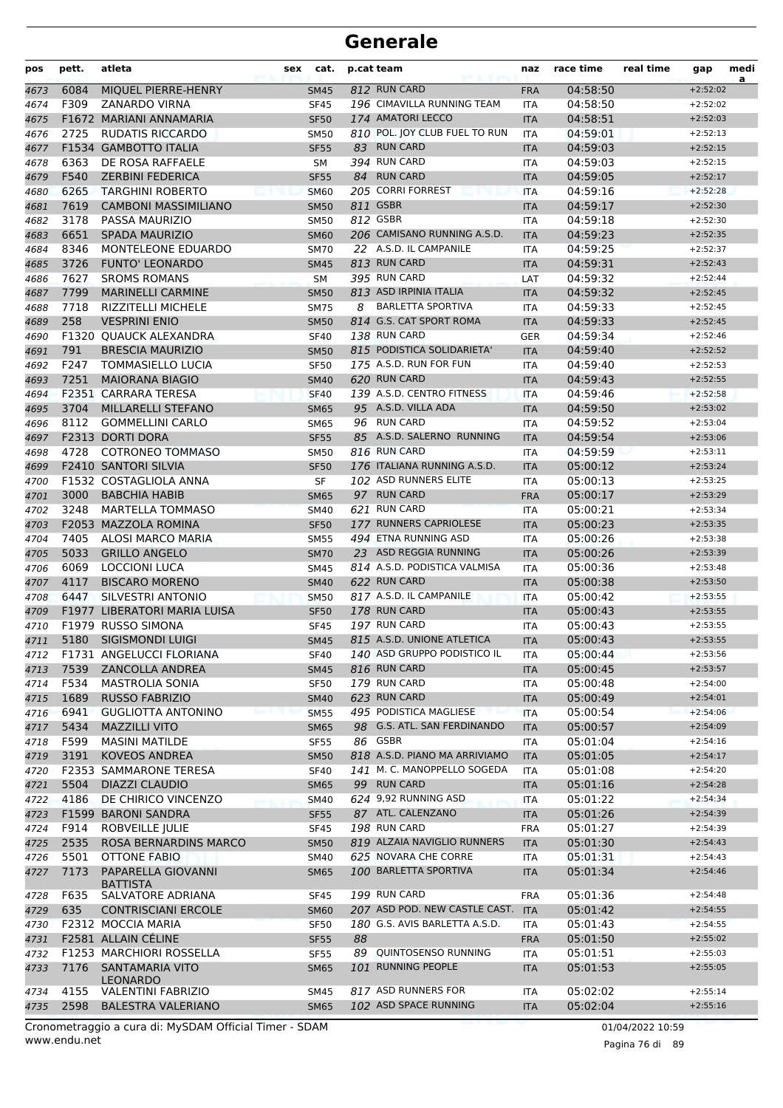| MIQUEL PIERRE-HENRY<br>812 RUN CARD<br>04:58:50<br>6084<br><b>FRA</b><br>$+2:52:02$<br><b>SM45</b><br>4673<br>F309<br>196 CIMAVILLA RUNNING TEAM<br><b>ZANARDO VIRNA</b><br>04:58:50<br><b>SF45</b><br>$+2:52:02$<br>4674<br>ITA<br>174 AMATORI LECCO<br>F1672 MARIANI ANNAMARIA<br>04:58:51<br>4675<br><b>SF50</b><br><b>ITA</b><br>$+2:52:03$<br>810 POL. JOY CLUB FUEL TO RUN<br>2725<br><b>RUDATIS RICCARDO</b><br><b>SM50</b><br>04:59:01<br>$+2:52:13$<br>4676<br>ITA<br>83 RUN CARD<br>F1534 GAMBOTTO ITALIA<br>04:59:03<br><b>SF55</b><br>$+2:52:15$<br>4677<br><b>ITA</b><br>394 RUN CARD<br>6363<br>DE ROSA RAFFAELE<br>04:59:03<br>4678<br>SM<br><b>ITA</b><br>$+2:52:15$<br>84 RUN CARD<br>F540<br><b>ZERBINI FEDERICA</b><br>04:59:05<br>$+2:52:17$<br>4679<br><b>SF55</b><br><b>ITA</b><br>6265<br>205 CORRI FORREST<br><b>TARGHINI ROBERTO</b><br>04:59:16<br><b>SM60</b><br><b>ITA</b><br>$+2:52:28$<br>4680<br>7619<br>811 GSBR<br><b>CAMBONI MASSIMILIANO</b><br>04:59:17<br>4681<br><b>SM50</b><br><b>ITA</b><br>$+2:52:30$<br>812 GSBR<br>3178<br>PASSA MAURIZIO<br><b>SM50</b><br>04:59:18<br>$+2:52:30$<br>4682<br><b>ITA</b><br>6651<br>206 CAMISANO RUNNING A.S.D.<br><b>SPADA MAURIZIO</b><br>04:59:23<br>4683<br><b>SM60</b><br><b>ITA</b><br>$+2:52:35$<br>22 A.S.D. IL CAMPANILE<br>8346<br>MONTELEONE EDUARDO<br>04:59:25<br>4684<br><b>SM70</b><br><b>ITA</b><br>$+2:52:37$<br><b>FUNTO' LEONARDO</b><br>813 RUN CARD<br>3726<br>04:59:31<br>$+2:52:43$<br>4685<br><b>SM45</b><br><b>ITA</b><br>7627<br>395 RUN CARD<br><b>SROMS ROMANS</b><br>04:59:32<br>SM<br>$+2:52:44$<br>4686<br>LAT<br>7799<br>813 ASD IRPINIA ITALIA<br><b>MARINELLI CARMINE</b><br>04:59:32<br>$+2:52:45$<br>4687<br><b>SM50</b><br><b>ITA</b><br>7718<br><b>BARLETTA SPORTIVA</b><br><b>RIZZITELLI MICHELE</b><br>8<br>04:59:33<br>$+2:52:45$<br>4688<br><b>SM75</b><br><b>ITA</b><br>258<br>814 G.S. CAT SPORT ROMA<br><b>VESPRINI ENIO</b><br>04:59:33<br><b>SM50</b><br>$+2:52:45$<br>4689<br><b>ITA</b><br>138 RUN CARD<br>F1320 OUAUCK ALEXANDRA<br>04:59:34<br><b>SF40</b><br>$+2:52:46$<br>4690<br><b>GER</b><br>791<br>815 PODISTICA SOLIDARIETA'<br><b>BRESCIA MAURIZIO</b><br>04:59:40<br>$+2:52:52$<br>4691<br><b>SM50</b><br><b>ITA</b><br>175 A.S.D. RUN FOR FUN<br>F247<br><b>TOMMASIELLO LUCIA</b><br>04:59:40<br><b>SF50</b><br>$+2:52:53$<br>4692<br>ITA<br>7251<br>620 RUN CARD<br><b>MAIORANA BIAGIO</b><br>04:59:43<br>$+2:52:55$<br>4693<br><b>SM40</b><br><b>ITA</b><br><b>F2351 CARRARA TERESA</b><br>139 A.S.D. CENTRO FITNESS<br>04:59:46<br>$+2:52:58$<br><b>SF40</b><br><b>ITA</b><br>4694<br>3704<br>95 A.S.D. VILLA ADA<br>MILLARELLI STEFANO<br>04:59:50<br>$+2:53:02$<br><b>SM65</b><br><b>ITA</b><br>96 RUN CARD<br>8112<br><b>GOMMELLINI CARLO</b><br>04:59:52<br>$+2:53:04$<br>4696<br><b>SM65</b><br><b>ITA</b><br>85 A.S.D. SALERNO RUNNING<br>F2313 DORTI DORA<br><b>SF55</b><br>04:59:54<br>$+2:53:06$<br>4697<br><b>ITA</b><br>4728<br><b>COTRONEO TOMMASO</b><br>816 RUN CARD<br>04:59:59<br>4698<br>$+2:53:11$<br><b>SM50</b><br>ITA<br>F2410 SANTORI SILVIA<br>176 ITALIANA RUNNING A.S.D.<br>05:00:12<br>$+2:53:24$<br>4699<br><b>SF50</b><br><b>ITA</b><br>F1532 COSTAGLIOLA ANNA<br>102 ASD RUNNERS ELITE<br>SF<br>05:00:13<br>$+2:53:25$<br>4700<br><b>ITA</b><br>97 RUN CARD<br>3000<br><b>BABCHIA HABIB</b><br>05:00:17<br><b>SM65</b><br><b>FRA</b><br>$+2:53:29$<br>4701<br>621 RUN CARD<br>3248<br><b>MARTELLA TOMMASO</b><br>05:00:21<br><b>SM40</b><br>$+2:53:34$<br>4702<br><b>ITA</b><br>177 RUNNERS CAPRIOLESE<br>F2053 MAZZOLA ROMINA<br><b>SF50</b><br>05:00:23<br>4703<br><b>ITA</b><br>$+2:53:35$<br>7405<br>494 ETNA RUNNING ASD<br>ALOSI MARCO MARIA<br>05:00:26<br><b>SM55</b><br>$+2:53:38$<br>4704<br>ITA<br>5033<br><b>GRILLO ANGELO</b><br>23 ASD REGGIA RUNNING<br>05:00:26<br><b>SM70</b><br>$+2:53:39$<br>4705<br><b>ITA</b><br>6069<br><b>LOCCIONI LUCA</b><br>814 A.S.D. PODISTICA VALMISA<br><b>SM45</b><br>05:00:36<br>$+2:53:48$<br><b>ITA</b><br>4706<br>4117<br>622 RUN CARD<br><b>BISCARO MORENO</b><br>05:00:38<br><b>SM40</b><br>$+2:53:50$<br>4707<br><b>ITA</b><br>817 A.S.D. IL CAMPANILE<br>6447<br>SILVESTRI ANTONIO<br>05:00:42<br>$+2:53:55$<br>4708<br><b>SM50</b><br><b>ITA</b><br>178 RUN CARD<br><b>F1977 LIBERATORI MARIA LUISA</b><br>05:00:43<br>4709<br><b>SF50</b><br><b>ITA</b><br>$+2:53:55$<br>197 RUN CARD<br>F1979 RUSSO SIMONA<br>05:00:43<br>4710<br><b>SF45</b><br>ITA<br>$+2:53:55$<br>815 A.S.D. UNIONE ATLETICA<br>5180<br>SIGISMONDI LUIGI<br><b>SM45</b><br>05:00:43<br>$+2:53:55$<br>4711<br><b>ITA</b><br>F1731 ANGELUCCI FLORIANA<br>140 ASD GRUPPO PODISTICO IL<br>05:00:44<br>$+2:53:56$<br><b>SF40</b><br>4712<br>ITA<br>7539<br>816 RUN CARD<br><b>ZANCOLLA ANDREA</b><br>05:00:45<br>$+2:53:57$<br>4713<br><b>SM45</b><br><b>ITA</b><br>179 RUN CARD<br>F534<br>$+2:54:00$<br><b>MASTROLIA SONIA</b><br><b>SF50</b><br>05:00:48<br>4714<br>ITA<br>1689<br>623 RUN CARD<br><b>RUSSO FABRIZIO</b><br><b>SM40</b><br>05:00:49<br>$+2:54:01$<br>4715<br><b>ITA</b><br>6941<br>495 PODISTICA MAGLIESE<br><b>GUGLIOTTA ANTONINO</b><br>05:00:54<br>$+2:54:06$<br>4716<br><b>SM55</b><br><b>ITA</b><br>98 G.S. ATL. SAN FERDINANDO<br>5434<br><b>MAZZILLI VITO</b><br>05:00:57<br>$+2:54:09$<br>4717<br><b>SM65</b><br><b>ITA</b><br>F599<br><b>MASINI MATILDE</b><br>86 GSBR<br><b>SF55</b><br>05:01:04<br>$+2:54:16$<br>4718<br>ITA<br>818 A.S.D. PIANO MA ARRIVIAMO<br>3191<br><b>KOVEOS ANDREA</b><br>05:01:05<br>$+2:54:17$<br>4719<br><b>SM50</b><br><b>ITA</b><br>141 M. C. MANOPPELLO SOGEDA<br>$+2:54:20$<br><b>F2353 SAMMARONE TERESA</b><br><b>SF40</b><br><b>ITA</b><br>05:01:08<br>4720<br>99 RUN CARD<br>5504<br><b>DIAZZI CLAUDIO</b><br><b>SM65</b><br>05:01:16<br>$+2:54:28$<br>4721<br><b>ITA</b><br>4186<br>624 9,92 RUNNING ASD<br>DE CHIRICO VINCENZO<br>05:01:22<br><b>ITA</b><br>$+2:54:34$<br>4722<br><b>SM40</b><br>87 ATL. CALENZANO<br>F1599 BARONI SANDRA<br>05:01:26<br><b>SF55</b><br>$+2:54:39$<br>4723<br><b>ITA</b><br>F914<br>ROBVEILLE JULIE<br>198 RUN CARD<br><b>FRA</b><br>05:01:27<br>$+2:54:39$<br>4724<br><b>SF45</b><br>2535<br>819 ALZAIA NAVIGLIO RUNNERS<br>ROSA BERNARDINS MARCO<br>05:01:30<br>$+2:54:43$<br><b>SM50</b><br><b>ITA</b><br>5501<br>625 NOVARA CHE CORRE<br>$+2:54:43$<br>OTTONE FABIO<br>SM40<br>05:01:31<br>4726<br>ITA<br>7173<br>PAPARELLA GIOVANNI<br>100 BARLETTA SPORTIVA<br><b>SM65</b><br>05:01:34<br>4727<br><b>ITA</b><br>$+2:54:46$<br><b>BATTISTA</b><br>F635<br>199 RUN CARD<br>SALVATORE ADRIANA<br>05:01:36<br>$+2:54:48$<br>4728<br><b>SF45</b><br><b>FRA</b><br>207 ASD POD. NEW CASTLE CAST. ITA<br>635<br><b>CONTRISCIANI ERCOLE</b><br>05:01:42<br>$+2:54:55$<br><b>SM60</b><br>180 G.S. AVIS BARLETTA A.S.D.<br>F2312 MOCCIA MARIA<br><b>SF50</b><br>05:01:43<br>$+2:54:55$<br>4730<br>ITA<br>F2581 ALLAIN CÉLINE<br>88<br>05:01:50<br>$+2:55:02$<br>4731<br><b>SF55</b><br><b>FRA</b><br>F1253 MARCHIORI ROSSELLA<br>QUINTOSENSO RUNNING<br>$+2:55:03$<br>89<br>05:01:51<br>4732<br><b>SF55</b><br>ITA<br>7176<br>101 RUNNING PEOPLE<br>$+2:55:05$<br>SANTAMARIA VITO<br><b>SM65</b><br>05:01:53<br>4733<br><b>ITA</b><br><b>LEONARDO</b><br>817 ASD RUNNERS FOR<br>$+2:55:14$<br>4155<br><b>VALENTINI FABRIZIO</b><br><b>SM45</b><br>05:02:02<br>4734<br>ITA<br>102 ASD SPACE RUNNING<br>2598<br><b>BALESTRA VALERIANO</b><br><b>SM65</b><br>05:02:04<br>4735<br><b>ITA</b><br>$+2:55:16$ | pos  | pett. | atleta | cat.<br>sex | p.cat team | naz | race time | real time | gap | medi<br>a |
|------------------------------------------------------------------------------------------------------------------------------------------------------------------------------------------------------------------------------------------------------------------------------------------------------------------------------------------------------------------------------------------------------------------------------------------------------------------------------------------------------------------------------------------------------------------------------------------------------------------------------------------------------------------------------------------------------------------------------------------------------------------------------------------------------------------------------------------------------------------------------------------------------------------------------------------------------------------------------------------------------------------------------------------------------------------------------------------------------------------------------------------------------------------------------------------------------------------------------------------------------------------------------------------------------------------------------------------------------------------------------------------------------------------------------------------------------------------------------------------------------------------------------------------------------------------------------------------------------------------------------------------------------------------------------------------------------------------------------------------------------------------------------------------------------------------------------------------------------------------------------------------------------------------------------------------------------------------------------------------------------------------------------------------------------------------------------------------------------------------------------------------------------------------------------------------------------------------------------------------------------------------------------------------------------------------------------------------------------------------------------------------------------------------------------------------------------------------------------------------------------------------------------------------------------------------------------------------------------------------------------------------------------------------------------------------------------------------------------------------------------------------------------------------------------------------------------------------------------------------------------------------------------------------------------------------------------------------------------------------------------------------------------------------------------------------------------------------------------------------------------------------------------------------------------------------------------------------------------------------------------------------------------------------------------------------------------------------------------------------------------------------------------------------------------------------------------------------------------------------------------------------------------------------------------------------------------------------------------------------------------------------------------------------------------------------------------------------------------------------------------------------------------------------------------------------------------------------------------------------------------------------------------------------------------------------------------------------------------------------------------------------------------------------------------------------------------------------------------------------------------------------------------------------------------------------------------------------------------------------------------------------------------------------------------------------------------------------------------------------------------------------------------------------------------------------------------------------------------------------------------------------------------------------------------------------------------------------------------------------------------------------------------------------------------------------------------------------------------------------------------------------------------------------------------------------------------------------------------------------------------------------------------------------------------------------------------------------------------------------------------------------------------------------------------------------------------------------------------------------------------------------------------------------------------------------------------------------------------------------------------------------------------------------------------------------------------------------------------------------------------------------------------------------------------------------------------------------------------------------------------------------------------------------------------------------------------------------------------------------------------------------------------------------------------------------------------------------------------------------------------------------------------------------------------------------------------------------------------------------------------------------------------------------------------------------------------------------------------------------------------------------------------------------------------------------------------------------------------------------------------------------------------------------------------------------------------------------------------------------------------------------------------------------------------------------------------------------------------------------------------------------------------------------------------------------------------------------------------------------------------------------------------------------------------------------------------------------------------------------------------------------------------------------------------------------------------------------------------------------------------------------------------------------------------------------------------------------------------------------------------------------------------------------------------------------------------------------------------------------------------------------------------------------------------------------------------------------------------------------------------------------------------------------------------------------------------------------------------------------------------------------------------------------------------------------------------------------------------------------------------------------------------------------------------------------------------------------------------------------------------|------|-------|--------|-------------|------------|-----|-----------|-----------|-----|-----------|
|                                                                                                                                                                                                                                                                                                                                                                                                                                                                                                                                                                                                                                                                                                                                                                                                                                                                                                                                                                                                                                                                                                                                                                                                                                                                                                                                                                                                                                                                                                                                                                                                                                                                                                                                                                                                                                                                                                                                                                                                                                                                                                                                                                                                                                                                                                                                                                                                                                                                                                                                                                                                                                                                                                                                                                                                                                                                                                                                                                                                                                                                                                                                                                                                                                                                                                                                                                                                                                                                                                                                                                                                                                                                                                                                                                                                                                                                                                                                                                                                                                                                                                                                                                                                                                                                                                                                                                                                                                                                                                                                                                                                                                                                                                                                                                                                                                                                                                                                                                                                                                                                                                                                                                                                                                                                                                                                                                                                                                                                                                                                                                                                                                                                                                                                                                                                                                                                                                                                                                                                                                                                                                                                                                                                                                                                                                                                                                                                                                                                                                                                                                                                                                                                                                                                                                                                                                                                                                                                                                                                                                                                                                                                                                                                                                                                                                                                                                                                                                                                                                      |      |       |        |             |            |     |           |           |     |           |
|                                                                                                                                                                                                                                                                                                                                                                                                                                                                                                                                                                                                                                                                                                                                                                                                                                                                                                                                                                                                                                                                                                                                                                                                                                                                                                                                                                                                                                                                                                                                                                                                                                                                                                                                                                                                                                                                                                                                                                                                                                                                                                                                                                                                                                                                                                                                                                                                                                                                                                                                                                                                                                                                                                                                                                                                                                                                                                                                                                                                                                                                                                                                                                                                                                                                                                                                                                                                                                                                                                                                                                                                                                                                                                                                                                                                                                                                                                                                                                                                                                                                                                                                                                                                                                                                                                                                                                                                                                                                                                                                                                                                                                                                                                                                                                                                                                                                                                                                                                                                                                                                                                                                                                                                                                                                                                                                                                                                                                                                                                                                                                                                                                                                                                                                                                                                                                                                                                                                                                                                                                                                                                                                                                                                                                                                                                                                                                                                                                                                                                                                                                                                                                                                                                                                                                                                                                                                                                                                                                                                                                                                                                                                                                                                                                                                                                                                                                                                                                                                                                      |      |       |        |             |            |     |           |           |     |           |
|                                                                                                                                                                                                                                                                                                                                                                                                                                                                                                                                                                                                                                                                                                                                                                                                                                                                                                                                                                                                                                                                                                                                                                                                                                                                                                                                                                                                                                                                                                                                                                                                                                                                                                                                                                                                                                                                                                                                                                                                                                                                                                                                                                                                                                                                                                                                                                                                                                                                                                                                                                                                                                                                                                                                                                                                                                                                                                                                                                                                                                                                                                                                                                                                                                                                                                                                                                                                                                                                                                                                                                                                                                                                                                                                                                                                                                                                                                                                                                                                                                                                                                                                                                                                                                                                                                                                                                                                                                                                                                                                                                                                                                                                                                                                                                                                                                                                                                                                                                                                                                                                                                                                                                                                                                                                                                                                                                                                                                                                                                                                                                                                                                                                                                                                                                                                                                                                                                                                                                                                                                                                                                                                                                                                                                                                                                                                                                                                                                                                                                                                                                                                                                                                                                                                                                                                                                                                                                                                                                                                                                                                                                                                                                                                                                                                                                                                                                                                                                                                                                      |      |       |        |             |            |     |           |           |     |           |
|                                                                                                                                                                                                                                                                                                                                                                                                                                                                                                                                                                                                                                                                                                                                                                                                                                                                                                                                                                                                                                                                                                                                                                                                                                                                                                                                                                                                                                                                                                                                                                                                                                                                                                                                                                                                                                                                                                                                                                                                                                                                                                                                                                                                                                                                                                                                                                                                                                                                                                                                                                                                                                                                                                                                                                                                                                                                                                                                                                                                                                                                                                                                                                                                                                                                                                                                                                                                                                                                                                                                                                                                                                                                                                                                                                                                                                                                                                                                                                                                                                                                                                                                                                                                                                                                                                                                                                                                                                                                                                                                                                                                                                                                                                                                                                                                                                                                                                                                                                                                                                                                                                                                                                                                                                                                                                                                                                                                                                                                                                                                                                                                                                                                                                                                                                                                                                                                                                                                                                                                                                                                                                                                                                                                                                                                                                                                                                                                                                                                                                                                                                                                                                                                                                                                                                                                                                                                                                                                                                                                                                                                                                                                                                                                                                                                                                                                                                                                                                                                                                      |      |       |        |             |            |     |           |           |     |           |
|                                                                                                                                                                                                                                                                                                                                                                                                                                                                                                                                                                                                                                                                                                                                                                                                                                                                                                                                                                                                                                                                                                                                                                                                                                                                                                                                                                                                                                                                                                                                                                                                                                                                                                                                                                                                                                                                                                                                                                                                                                                                                                                                                                                                                                                                                                                                                                                                                                                                                                                                                                                                                                                                                                                                                                                                                                                                                                                                                                                                                                                                                                                                                                                                                                                                                                                                                                                                                                                                                                                                                                                                                                                                                                                                                                                                                                                                                                                                                                                                                                                                                                                                                                                                                                                                                                                                                                                                                                                                                                                                                                                                                                                                                                                                                                                                                                                                                                                                                                                                                                                                                                                                                                                                                                                                                                                                                                                                                                                                                                                                                                                                                                                                                                                                                                                                                                                                                                                                                                                                                                                                                                                                                                                                                                                                                                                                                                                                                                                                                                                                                                                                                                                                                                                                                                                                                                                                                                                                                                                                                                                                                                                                                                                                                                                                                                                                                                                                                                                                                                      |      |       |        |             |            |     |           |           |     |           |
|                                                                                                                                                                                                                                                                                                                                                                                                                                                                                                                                                                                                                                                                                                                                                                                                                                                                                                                                                                                                                                                                                                                                                                                                                                                                                                                                                                                                                                                                                                                                                                                                                                                                                                                                                                                                                                                                                                                                                                                                                                                                                                                                                                                                                                                                                                                                                                                                                                                                                                                                                                                                                                                                                                                                                                                                                                                                                                                                                                                                                                                                                                                                                                                                                                                                                                                                                                                                                                                                                                                                                                                                                                                                                                                                                                                                                                                                                                                                                                                                                                                                                                                                                                                                                                                                                                                                                                                                                                                                                                                                                                                                                                                                                                                                                                                                                                                                                                                                                                                                                                                                                                                                                                                                                                                                                                                                                                                                                                                                                                                                                                                                                                                                                                                                                                                                                                                                                                                                                                                                                                                                                                                                                                                                                                                                                                                                                                                                                                                                                                                                                                                                                                                                                                                                                                                                                                                                                                                                                                                                                                                                                                                                                                                                                                                                                                                                                                                                                                                                                                      |      |       |        |             |            |     |           |           |     |           |
|                                                                                                                                                                                                                                                                                                                                                                                                                                                                                                                                                                                                                                                                                                                                                                                                                                                                                                                                                                                                                                                                                                                                                                                                                                                                                                                                                                                                                                                                                                                                                                                                                                                                                                                                                                                                                                                                                                                                                                                                                                                                                                                                                                                                                                                                                                                                                                                                                                                                                                                                                                                                                                                                                                                                                                                                                                                                                                                                                                                                                                                                                                                                                                                                                                                                                                                                                                                                                                                                                                                                                                                                                                                                                                                                                                                                                                                                                                                                                                                                                                                                                                                                                                                                                                                                                                                                                                                                                                                                                                                                                                                                                                                                                                                                                                                                                                                                                                                                                                                                                                                                                                                                                                                                                                                                                                                                                                                                                                                                                                                                                                                                                                                                                                                                                                                                                                                                                                                                                                                                                                                                                                                                                                                                                                                                                                                                                                                                                                                                                                                                                                                                                                                                                                                                                                                                                                                                                                                                                                                                                                                                                                                                                                                                                                                                                                                                                                                                                                                                                                      |      |       |        |             |            |     |           |           |     |           |
|                                                                                                                                                                                                                                                                                                                                                                                                                                                                                                                                                                                                                                                                                                                                                                                                                                                                                                                                                                                                                                                                                                                                                                                                                                                                                                                                                                                                                                                                                                                                                                                                                                                                                                                                                                                                                                                                                                                                                                                                                                                                                                                                                                                                                                                                                                                                                                                                                                                                                                                                                                                                                                                                                                                                                                                                                                                                                                                                                                                                                                                                                                                                                                                                                                                                                                                                                                                                                                                                                                                                                                                                                                                                                                                                                                                                                                                                                                                                                                                                                                                                                                                                                                                                                                                                                                                                                                                                                                                                                                                                                                                                                                                                                                                                                                                                                                                                                                                                                                                                                                                                                                                                                                                                                                                                                                                                                                                                                                                                                                                                                                                                                                                                                                                                                                                                                                                                                                                                                                                                                                                                                                                                                                                                                                                                                                                                                                                                                                                                                                                                                                                                                                                                                                                                                                                                                                                                                                                                                                                                                                                                                                                                                                                                                                                                                                                                                                                                                                                                                                      |      |       |        |             |            |     |           |           |     |           |
|                                                                                                                                                                                                                                                                                                                                                                                                                                                                                                                                                                                                                                                                                                                                                                                                                                                                                                                                                                                                                                                                                                                                                                                                                                                                                                                                                                                                                                                                                                                                                                                                                                                                                                                                                                                                                                                                                                                                                                                                                                                                                                                                                                                                                                                                                                                                                                                                                                                                                                                                                                                                                                                                                                                                                                                                                                                                                                                                                                                                                                                                                                                                                                                                                                                                                                                                                                                                                                                                                                                                                                                                                                                                                                                                                                                                                                                                                                                                                                                                                                                                                                                                                                                                                                                                                                                                                                                                                                                                                                                                                                                                                                                                                                                                                                                                                                                                                                                                                                                                                                                                                                                                                                                                                                                                                                                                                                                                                                                                                                                                                                                                                                                                                                                                                                                                                                                                                                                                                                                                                                                                                                                                                                                                                                                                                                                                                                                                                                                                                                                                                                                                                                                                                                                                                                                                                                                                                                                                                                                                                                                                                                                                                                                                                                                                                                                                                                                                                                                                                                      |      |       |        |             |            |     |           |           |     |           |
|                                                                                                                                                                                                                                                                                                                                                                                                                                                                                                                                                                                                                                                                                                                                                                                                                                                                                                                                                                                                                                                                                                                                                                                                                                                                                                                                                                                                                                                                                                                                                                                                                                                                                                                                                                                                                                                                                                                                                                                                                                                                                                                                                                                                                                                                                                                                                                                                                                                                                                                                                                                                                                                                                                                                                                                                                                                                                                                                                                                                                                                                                                                                                                                                                                                                                                                                                                                                                                                                                                                                                                                                                                                                                                                                                                                                                                                                                                                                                                                                                                                                                                                                                                                                                                                                                                                                                                                                                                                                                                                                                                                                                                                                                                                                                                                                                                                                                                                                                                                                                                                                                                                                                                                                                                                                                                                                                                                                                                                                                                                                                                                                                                                                                                                                                                                                                                                                                                                                                                                                                                                                                                                                                                                                                                                                                                                                                                                                                                                                                                                                                                                                                                                                                                                                                                                                                                                                                                                                                                                                                                                                                                                                                                                                                                                                                                                                                                                                                                                                                                      |      |       |        |             |            |     |           |           |     |           |
|                                                                                                                                                                                                                                                                                                                                                                                                                                                                                                                                                                                                                                                                                                                                                                                                                                                                                                                                                                                                                                                                                                                                                                                                                                                                                                                                                                                                                                                                                                                                                                                                                                                                                                                                                                                                                                                                                                                                                                                                                                                                                                                                                                                                                                                                                                                                                                                                                                                                                                                                                                                                                                                                                                                                                                                                                                                                                                                                                                                                                                                                                                                                                                                                                                                                                                                                                                                                                                                                                                                                                                                                                                                                                                                                                                                                                                                                                                                                                                                                                                                                                                                                                                                                                                                                                                                                                                                                                                                                                                                                                                                                                                                                                                                                                                                                                                                                                                                                                                                                                                                                                                                                                                                                                                                                                                                                                                                                                                                                                                                                                                                                                                                                                                                                                                                                                                                                                                                                                                                                                                                                                                                                                                                                                                                                                                                                                                                                                                                                                                                                                                                                                                                                                                                                                                                                                                                                                                                                                                                                                                                                                                                                                                                                                                                                                                                                                                                                                                                                                                      |      |       |        |             |            |     |           |           |     |           |
|                                                                                                                                                                                                                                                                                                                                                                                                                                                                                                                                                                                                                                                                                                                                                                                                                                                                                                                                                                                                                                                                                                                                                                                                                                                                                                                                                                                                                                                                                                                                                                                                                                                                                                                                                                                                                                                                                                                                                                                                                                                                                                                                                                                                                                                                                                                                                                                                                                                                                                                                                                                                                                                                                                                                                                                                                                                                                                                                                                                                                                                                                                                                                                                                                                                                                                                                                                                                                                                                                                                                                                                                                                                                                                                                                                                                                                                                                                                                                                                                                                                                                                                                                                                                                                                                                                                                                                                                                                                                                                                                                                                                                                                                                                                                                                                                                                                                                                                                                                                                                                                                                                                                                                                                                                                                                                                                                                                                                                                                                                                                                                                                                                                                                                                                                                                                                                                                                                                                                                                                                                                                                                                                                                                                                                                                                                                                                                                                                                                                                                                                                                                                                                                                                                                                                                                                                                                                                                                                                                                                                                                                                                                                                                                                                                                                                                                                                                                                                                                                                                      |      |       |        |             |            |     |           |           |     |           |
|                                                                                                                                                                                                                                                                                                                                                                                                                                                                                                                                                                                                                                                                                                                                                                                                                                                                                                                                                                                                                                                                                                                                                                                                                                                                                                                                                                                                                                                                                                                                                                                                                                                                                                                                                                                                                                                                                                                                                                                                                                                                                                                                                                                                                                                                                                                                                                                                                                                                                                                                                                                                                                                                                                                                                                                                                                                                                                                                                                                                                                                                                                                                                                                                                                                                                                                                                                                                                                                                                                                                                                                                                                                                                                                                                                                                                                                                                                                                                                                                                                                                                                                                                                                                                                                                                                                                                                                                                                                                                                                                                                                                                                                                                                                                                                                                                                                                                                                                                                                                                                                                                                                                                                                                                                                                                                                                                                                                                                                                                                                                                                                                                                                                                                                                                                                                                                                                                                                                                                                                                                                                                                                                                                                                                                                                                                                                                                                                                                                                                                                                                                                                                                                                                                                                                                                                                                                                                                                                                                                                                                                                                                                                                                                                                                                                                                                                                                                                                                                                                                      |      |       |        |             |            |     |           |           |     |           |
|                                                                                                                                                                                                                                                                                                                                                                                                                                                                                                                                                                                                                                                                                                                                                                                                                                                                                                                                                                                                                                                                                                                                                                                                                                                                                                                                                                                                                                                                                                                                                                                                                                                                                                                                                                                                                                                                                                                                                                                                                                                                                                                                                                                                                                                                                                                                                                                                                                                                                                                                                                                                                                                                                                                                                                                                                                                                                                                                                                                                                                                                                                                                                                                                                                                                                                                                                                                                                                                                                                                                                                                                                                                                                                                                                                                                                                                                                                                                                                                                                                                                                                                                                                                                                                                                                                                                                                                                                                                                                                                                                                                                                                                                                                                                                                                                                                                                                                                                                                                                                                                                                                                                                                                                                                                                                                                                                                                                                                                                                                                                                                                                                                                                                                                                                                                                                                                                                                                                                                                                                                                                                                                                                                                                                                                                                                                                                                                                                                                                                                                                                                                                                                                                                                                                                                                                                                                                                                                                                                                                                                                                                                                                                                                                                                                                                                                                                                                                                                                                                                      |      |       |        |             |            |     |           |           |     |           |
|                                                                                                                                                                                                                                                                                                                                                                                                                                                                                                                                                                                                                                                                                                                                                                                                                                                                                                                                                                                                                                                                                                                                                                                                                                                                                                                                                                                                                                                                                                                                                                                                                                                                                                                                                                                                                                                                                                                                                                                                                                                                                                                                                                                                                                                                                                                                                                                                                                                                                                                                                                                                                                                                                                                                                                                                                                                                                                                                                                                                                                                                                                                                                                                                                                                                                                                                                                                                                                                                                                                                                                                                                                                                                                                                                                                                                                                                                                                                                                                                                                                                                                                                                                                                                                                                                                                                                                                                                                                                                                                                                                                                                                                                                                                                                                                                                                                                                                                                                                                                                                                                                                                                                                                                                                                                                                                                                                                                                                                                                                                                                                                                                                                                                                                                                                                                                                                                                                                                                                                                                                                                                                                                                                                                                                                                                                                                                                                                                                                                                                                                                                                                                                                                                                                                                                                                                                                                                                                                                                                                                                                                                                                                                                                                                                                                                                                                                                                                                                                                                                      |      |       |        |             |            |     |           |           |     |           |
|                                                                                                                                                                                                                                                                                                                                                                                                                                                                                                                                                                                                                                                                                                                                                                                                                                                                                                                                                                                                                                                                                                                                                                                                                                                                                                                                                                                                                                                                                                                                                                                                                                                                                                                                                                                                                                                                                                                                                                                                                                                                                                                                                                                                                                                                                                                                                                                                                                                                                                                                                                                                                                                                                                                                                                                                                                                                                                                                                                                                                                                                                                                                                                                                                                                                                                                                                                                                                                                                                                                                                                                                                                                                                                                                                                                                                                                                                                                                                                                                                                                                                                                                                                                                                                                                                                                                                                                                                                                                                                                                                                                                                                                                                                                                                                                                                                                                                                                                                                                                                                                                                                                                                                                                                                                                                                                                                                                                                                                                                                                                                                                                                                                                                                                                                                                                                                                                                                                                                                                                                                                                                                                                                                                                                                                                                                                                                                                                                                                                                                                                                                                                                                                                                                                                                                                                                                                                                                                                                                                                                                                                                                                                                                                                                                                                                                                                                                                                                                                                                                      |      |       |        |             |            |     |           |           |     |           |
|                                                                                                                                                                                                                                                                                                                                                                                                                                                                                                                                                                                                                                                                                                                                                                                                                                                                                                                                                                                                                                                                                                                                                                                                                                                                                                                                                                                                                                                                                                                                                                                                                                                                                                                                                                                                                                                                                                                                                                                                                                                                                                                                                                                                                                                                                                                                                                                                                                                                                                                                                                                                                                                                                                                                                                                                                                                                                                                                                                                                                                                                                                                                                                                                                                                                                                                                                                                                                                                                                                                                                                                                                                                                                                                                                                                                                                                                                                                                                                                                                                                                                                                                                                                                                                                                                                                                                                                                                                                                                                                                                                                                                                                                                                                                                                                                                                                                                                                                                                                                                                                                                                                                                                                                                                                                                                                                                                                                                                                                                                                                                                                                                                                                                                                                                                                                                                                                                                                                                                                                                                                                                                                                                                                                                                                                                                                                                                                                                                                                                                                                                                                                                                                                                                                                                                                                                                                                                                                                                                                                                                                                                                                                                                                                                                                                                                                                                                                                                                                                                                      |      |       |        |             |            |     |           |           |     |           |
|                                                                                                                                                                                                                                                                                                                                                                                                                                                                                                                                                                                                                                                                                                                                                                                                                                                                                                                                                                                                                                                                                                                                                                                                                                                                                                                                                                                                                                                                                                                                                                                                                                                                                                                                                                                                                                                                                                                                                                                                                                                                                                                                                                                                                                                                                                                                                                                                                                                                                                                                                                                                                                                                                                                                                                                                                                                                                                                                                                                                                                                                                                                                                                                                                                                                                                                                                                                                                                                                                                                                                                                                                                                                                                                                                                                                                                                                                                                                                                                                                                                                                                                                                                                                                                                                                                                                                                                                                                                                                                                                                                                                                                                                                                                                                                                                                                                                                                                                                                                                                                                                                                                                                                                                                                                                                                                                                                                                                                                                                                                                                                                                                                                                                                                                                                                                                                                                                                                                                                                                                                                                                                                                                                                                                                                                                                                                                                                                                                                                                                                                                                                                                                                                                                                                                                                                                                                                                                                                                                                                                                                                                                                                                                                                                                                                                                                                                                                                                                                                                                      |      |       |        |             |            |     |           |           |     |           |
|                                                                                                                                                                                                                                                                                                                                                                                                                                                                                                                                                                                                                                                                                                                                                                                                                                                                                                                                                                                                                                                                                                                                                                                                                                                                                                                                                                                                                                                                                                                                                                                                                                                                                                                                                                                                                                                                                                                                                                                                                                                                                                                                                                                                                                                                                                                                                                                                                                                                                                                                                                                                                                                                                                                                                                                                                                                                                                                                                                                                                                                                                                                                                                                                                                                                                                                                                                                                                                                                                                                                                                                                                                                                                                                                                                                                                                                                                                                                                                                                                                                                                                                                                                                                                                                                                                                                                                                                                                                                                                                                                                                                                                                                                                                                                                                                                                                                                                                                                                                                                                                                                                                                                                                                                                                                                                                                                                                                                                                                                                                                                                                                                                                                                                                                                                                                                                                                                                                                                                                                                                                                                                                                                                                                                                                                                                                                                                                                                                                                                                                                                                                                                                                                                                                                                                                                                                                                                                                                                                                                                                                                                                                                                                                                                                                                                                                                                                                                                                                                                                      |      |       |        |             |            |     |           |           |     |           |
|                                                                                                                                                                                                                                                                                                                                                                                                                                                                                                                                                                                                                                                                                                                                                                                                                                                                                                                                                                                                                                                                                                                                                                                                                                                                                                                                                                                                                                                                                                                                                                                                                                                                                                                                                                                                                                                                                                                                                                                                                                                                                                                                                                                                                                                                                                                                                                                                                                                                                                                                                                                                                                                                                                                                                                                                                                                                                                                                                                                                                                                                                                                                                                                                                                                                                                                                                                                                                                                                                                                                                                                                                                                                                                                                                                                                                                                                                                                                                                                                                                                                                                                                                                                                                                                                                                                                                                                                                                                                                                                                                                                                                                                                                                                                                                                                                                                                                                                                                                                                                                                                                                                                                                                                                                                                                                                                                                                                                                                                                                                                                                                                                                                                                                                                                                                                                                                                                                                                                                                                                                                                                                                                                                                                                                                                                                                                                                                                                                                                                                                                                                                                                                                                                                                                                                                                                                                                                                                                                                                                                                                                                                                                                                                                                                                                                                                                                                                                                                                                                                      |      |       |        |             |            |     |           |           |     |           |
|                                                                                                                                                                                                                                                                                                                                                                                                                                                                                                                                                                                                                                                                                                                                                                                                                                                                                                                                                                                                                                                                                                                                                                                                                                                                                                                                                                                                                                                                                                                                                                                                                                                                                                                                                                                                                                                                                                                                                                                                                                                                                                                                                                                                                                                                                                                                                                                                                                                                                                                                                                                                                                                                                                                                                                                                                                                                                                                                                                                                                                                                                                                                                                                                                                                                                                                                                                                                                                                                                                                                                                                                                                                                                                                                                                                                                                                                                                                                                                                                                                                                                                                                                                                                                                                                                                                                                                                                                                                                                                                                                                                                                                                                                                                                                                                                                                                                                                                                                                                                                                                                                                                                                                                                                                                                                                                                                                                                                                                                                                                                                                                                                                                                                                                                                                                                                                                                                                                                                                                                                                                                                                                                                                                                                                                                                                                                                                                                                                                                                                                                                                                                                                                                                                                                                                                                                                                                                                                                                                                                                                                                                                                                                                                                                                                                                                                                                                                                                                                                                                      |      |       |        |             |            |     |           |           |     |           |
|                                                                                                                                                                                                                                                                                                                                                                                                                                                                                                                                                                                                                                                                                                                                                                                                                                                                                                                                                                                                                                                                                                                                                                                                                                                                                                                                                                                                                                                                                                                                                                                                                                                                                                                                                                                                                                                                                                                                                                                                                                                                                                                                                                                                                                                                                                                                                                                                                                                                                                                                                                                                                                                                                                                                                                                                                                                                                                                                                                                                                                                                                                                                                                                                                                                                                                                                                                                                                                                                                                                                                                                                                                                                                                                                                                                                                                                                                                                                                                                                                                                                                                                                                                                                                                                                                                                                                                                                                                                                                                                                                                                                                                                                                                                                                                                                                                                                                                                                                                                                                                                                                                                                                                                                                                                                                                                                                                                                                                                                                                                                                                                                                                                                                                                                                                                                                                                                                                                                                                                                                                                                                                                                                                                                                                                                                                                                                                                                                                                                                                                                                                                                                                                                                                                                                                                                                                                                                                                                                                                                                                                                                                                                                                                                                                                                                                                                                                                                                                                                                                      | 4695 |       |        |             |            |     |           |           |     |           |
|                                                                                                                                                                                                                                                                                                                                                                                                                                                                                                                                                                                                                                                                                                                                                                                                                                                                                                                                                                                                                                                                                                                                                                                                                                                                                                                                                                                                                                                                                                                                                                                                                                                                                                                                                                                                                                                                                                                                                                                                                                                                                                                                                                                                                                                                                                                                                                                                                                                                                                                                                                                                                                                                                                                                                                                                                                                                                                                                                                                                                                                                                                                                                                                                                                                                                                                                                                                                                                                                                                                                                                                                                                                                                                                                                                                                                                                                                                                                                                                                                                                                                                                                                                                                                                                                                                                                                                                                                                                                                                                                                                                                                                                                                                                                                                                                                                                                                                                                                                                                                                                                                                                                                                                                                                                                                                                                                                                                                                                                                                                                                                                                                                                                                                                                                                                                                                                                                                                                                                                                                                                                                                                                                                                                                                                                                                                                                                                                                                                                                                                                                                                                                                                                                                                                                                                                                                                                                                                                                                                                                                                                                                                                                                                                                                                                                                                                                                                                                                                                                                      |      |       |        |             |            |     |           |           |     |           |
|                                                                                                                                                                                                                                                                                                                                                                                                                                                                                                                                                                                                                                                                                                                                                                                                                                                                                                                                                                                                                                                                                                                                                                                                                                                                                                                                                                                                                                                                                                                                                                                                                                                                                                                                                                                                                                                                                                                                                                                                                                                                                                                                                                                                                                                                                                                                                                                                                                                                                                                                                                                                                                                                                                                                                                                                                                                                                                                                                                                                                                                                                                                                                                                                                                                                                                                                                                                                                                                                                                                                                                                                                                                                                                                                                                                                                                                                                                                                                                                                                                                                                                                                                                                                                                                                                                                                                                                                                                                                                                                                                                                                                                                                                                                                                                                                                                                                                                                                                                                                                                                                                                                                                                                                                                                                                                                                                                                                                                                                                                                                                                                                                                                                                                                                                                                                                                                                                                                                                                                                                                                                                                                                                                                                                                                                                                                                                                                                                                                                                                                                                                                                                                                                                                                                                                                                                                                                                                                                                                                                                                                                                                                                                                                                                                                                                                                                                                                                                                                                                                      |      |       |        |             |            |     |           |           |     |           |
|                                                                                                                                                                                                                                                                                                                                                                                                                                                                                                                                                                                                                                                                                                                                                                                                                                                                                                                                                                                                                                                                                                                                                                                                                                                                                                                                                                                                                                                                                                                                                                                                                                                                                                                                                                                                                                                                                                                                                                                                                                                                                                                                                                                                                                                                                                                                                                                                                                                                                                                                                                                                                                                                                                                                                                                                                                                                                                                                                                                                                                                                                                                                                                                                                                                                                                                                                                                                                                                                                                                                                                                                                                                                                                                                                                                                                                                                                                                                                                                                                                                                                                                                                                                                                                                                                                                                                                                                                                                                                                                                                                                                                                                                                                                                                                                                                                                                                                                                                                                                                                                                                                                                                                                                                                                                                                                                                                                                                                                                                                                                                                                                                                                                                                                                                                                                                                                                                                                                                                                                                                                                                                                                                                                                                                                                                                                                                                                                                                                                                                                                                                                                                                                                                                                                                                                                                                                                                                                                                                                                                                                                                                                                                                                                                                                                                                                                                                                                                                                                                                      |      |       |        |             |            |     |           |           |     |           |
|                                                                                                                                                                                                                                                                                                                                                                                                                                                                                                                                                                                                                                                                                                                                                                                                                                                                                                                                                                                                                                                                                                                                                                                                                                                                                                                                                                                                                                                                                                                                                                                                                                                                                                                                                                                                                                                                                                                                                                                                                                                                                                                                                                                                                                                                                                                                                                                                                                                                                                                                                                                                                                                                                                                                                                                                                                                                                                                                                                                                                                                                                                                                                                                                                                                                                                                                                                                                                                                                                                                                                                                                                                                                                                                                                                                                                                                                                                                                                                                                                                                                                                                                                                                                                                                                                                                                                                                                                                                                                                                                                                                                                                                                                                                                                                                                                                                                                                                                                                                                                                                                                                                                                                                                                                                                                                                                                                                                                                                                                                                                                                                                                                                                                                                                                                                                                                                                                                                                                                                                                                                                                                                                                                                                                                                                                                                                                                                                                                                                                                                                                                                                                                                                                                                                                                                                                                                                                                                                                                                                                                                                                                                                                                                                                                                                                                                                                                                                                                                                                                      |      |       |        |             |            |     |           |           |     |           |
|                                                                                                                                                                                                                                                                                                                                                                                                                                                                                                                                                                                                                                                                                                                                                                                                                                                                                                                                                                                                                                                                                                                                                                                                                                                                                                                                                                                                                                                                                                                                                                                                                                                                                                                                                                                                                                                                                                                                                                                                                                                                                                                                                                                                                                                                                                                                                                                                                                                                                                                                                                                                                                                                                                                                                                                                                                                                                                                                                                                                                                                                                                                                                                                                                                                                                                                                                                                                                                                                                                                                                                                                                                                                                                                                                                                                                                                                                                                                                                                                                                                                                                                                                                                                                                                                                                                                                                                                                                                                                                                                                                                                                                                                                                                                                                                                                                                                                                                                                                                                                                                                                                                                                                                                                                                                                                                                                                                                                                                                                                                                                                                                                                                                                                                                                                                                                                                                                                                                                                                                                                                                                                                                                                                                                                                                                                                                                                                                                                                                                                                                                                                                                                                                                                                                                                                                                                                                                                                                                                                                                                                                                                                                                                                                                                                                                                                                                                                                                                                                                                      |      |       |        |             |            |     |           |           |     |           |
|                                                                                                                                                                                                                                                                                                                                                                                                                                                                                                                                                                                                                                                                                                                                                                                                                                                                                                                                                                                                                                                                                                                                                                                                                                                                                                                                                                                                                                                                                                                                                                                                                                                                                                                                                                                                                                                                                                                                                                                                                                                                                                                                                                                                                                                                                                                                                                                                                                                                                                                                                                                                                                                                                                                                                                                                                                                                                                                                                                                                                                                                                                                                                                                                                                                                                                                                                                                                                                                                                                                                                                                                                                                                                                                                                                                                                                                                                                                                                                                                                                                                                                                                                                                                                                                                                                                                                                                                                                                                                                                                                                                                                                                                                                                                                                                                                                                                                                                                                                                                                                                                                                                                                                                                                                                                                                                                                                                                                                                                                                                                                                                                                                                                                                                                                                                                                                                                                                                                                                                                                                                                                                                                                                                                                                                                                                                                                                                                                                                                                                                                                                                                                                                                                                                                                                                                                                                                                                                                                                                                                                                                                                                                                                                                                                                                                                                                                                                                                                                                                                      |      |       |        |             |            |     |           |           |     |           |
|                                                                                                                                                                                                                                                                                                                                                                                                                                                                                                                                                                                                                                                                                                                                                                                                                                                                                                                                                                                                                                                                                                                                                                                                                                                                                                                                                                                                                                                                                                                                                                                                                                                                                                                                                                                                                                                                                                                                                                                                                                                                                                                                                                                                                                                                                                                                                                                                                                                                                                                                                                                                                                                                                                                                                                                                                                                                                                                                                                                                                                                                                                                                                                                                                                                                                                                                                                                                                                                                                                                                                                                                                                                                                                                                                                                                                                                                                                                                                                                                                                                                                                                                                                                                                                                                                                                                                                                                                                                                                                                                                                                                                                                                                                                                                                                                                                                                                                                                                                                                                                                                                                                                                                                                                                                                                                                                                                                                                                                                                                                                                                                                                                                                                                                                                                                                                                                                                                                                                                                                                                                                                                                                                                                                                                                                                                                                                                                                                                                                                                                                                                                                                                                                                                                                                                                                                                                                                                                                                                                                                                                                                                                                                                                                                                                                                                                                                                                                                                                                                                      |      |       |        |             |            |     |           |           |     |           |
|                                                                                                                                                                                                                                                                                                                                                                                                                                                                                                                                                                                                                                                                                                                                                                                                                                                                                                                                                                                                                                                                                                                                                                                                                                                                                                                                                                                                                                                                                                                                                                                                                                                                                                                                                                                                                                                                                                                                                                                                                                                                                                                                                                                                                                                                                                                                                                                                                                                                                                                                                                                                                                                                                                                                                                                                                                                                                                                                                                                                                                                                                                                                                                                                                                                                                                                                                                                                                                                                                                                                                                                                                                                                                                                                                                                                                                                                                                                                                                                                                                                                                                                                                                                                                                                                                                                                                                                                                                                                                                                                                                                                                                                                                                                                                                                                                                                                                                                                                                                                                                                                                                                                                                                                                                                                                                                                                                                                                                                                                                                                                                                                                                                                                                                                                                                                                                                                                                                                                                                                                                                                                                                                                                                                                                                                                                                                                                                                                                                                                                                                                                                                                                                                                                                                                                                                                                                                                                                                                                                                                                                                                                                                                                                                                                                                                                                                                                                                                                                                                                      |      |       |        |             |            |     |           |           |     |           |
|                                                                                                                                                                                                                                                                                                                                                                                                                                                                                                                                                                                                                                                                                                                                                                                                                                                                                                                                                                                                                                                                                                                                                                                                                                                                                                                                                                                                                                                                                                                                                                                                                                                                                                                                                                                                                                                                                                                                                                                                                                                                                                                                                                                                                                                                                                                                                                                                                                                                                                                                                                                                                                                                                                                                                                                                                                                                                                                                                                                                                                                                                                                                                                                                                                                                                                                                                                                                                                                                                                                                                                                                                                                                                                                                                                                                                                                                                                                                                                                                                                                                                                                                                                                                                                                                                                                                                                                                                                                                                                                                                                                                                                                                                                                                                                                                                                                                                                                                                                                                                                                                                                                                                                                                                                                                                                                                                                                                                                                                                                                                                                                                                                                                                                                                                                                                                                                                                                                                                                                                                                                                                                                                                                                                                                                                                                                                                                                                                                                                                                                                                                                                                                                                                                                                                                                                                                                                                                                                                                                                                                                                                                                                                                                                                                                                                                                                                                                                                                                                                                      |      |       |        |             |            |     |           |           |     |           |
|                                                                                                                                                                                                                                                                                                                                                                                                                                                                                                                                                                                                                                                                                                                                                                                                                                                                                                                                                                                                                                                                                                                                                                                                                                                                                                                                                                                                                                                                                                                                                                                                                                                                                                                                                                                                                                                                                                                                                                                                                                                                                                                                                                                                                                                                                                                                                                                                                                                                                                                                                                                                                                                                                                                                                                                                                                                                                                                                                                                                                                                                                                                                                                                                                                                                                                                                                                                                                                                                                                                                                                                                                                                                                                                                                                                                                                                                                                                                                                                                                                                                                                                                                                                                                                                                                                                                                                                                                                                                                                                                                                                                                                                                                                                                                                                                                                                                                                                                                                                                                                                                                                                                                                                                                                                                                                                                                                                                                                                                                                                                                                                                                                                                                                                                                                                                                                                                                                                                                                                                                                                                                                                                                                                                                                                                                                                                                                                                                                                                                                                                                                                                                                                                                                                                                                                                                                                                                                                                                                                                                                                                                                                                                                                                                                                                                                                                                                                                                                                                                                      |      |       |        |             |            |     |           |           |     |           |
|                                                                                                                                                                                                                                                                                                                                                                                                                                                                                                                                                                                                                                                                                                                                                                                                                                                                                                                                                                                                                                                                                                                                                                                                                                                                                                                                                                                                                                                                                                                                                                                                                                                                                                                                                                                                                                                                                                                                                                                                                                                                                                                                                                                                                                                                                                                                                                                                                                                                                                                                                                                                                                                                                                                                                                                                                                                                                                                                                                                                                                                                                                                                                                                                                                                                                                                                                                                                                                                                                                                                                                                                                                                                                                                                                                                                                                                                                                                                                                                                                                                                                                                                                                                                                                                                                                                                                                                                                                                                                                                                                                                                                                                                                                                                                                                                                                                                                                                                                                                                                                                                                                                                                                                                                                                                                                                                                                                                                                                                                                                                                                                                                                                                                                                                                                                                                                                                                                                                                                                                                                                                                                                                                                                                                                                                                                                                                                                                                                                                                                                                                                                                                                                                                                                                                                                                                                                                                                                                                                                                                                                                                                                                                                                                                                                                                                                                                                                                                                                                                                      |      |       |        |             |            |     |           |           |     |           |
|                                                                                                                                                                                                                                                                                                                                                                                                                                                                                                                                                                                                                                                                                                                                                                                                                                                                                                                                                                                                                                                                                                                                                                                                                                                                                                                                                                                                                                                                                                                                                                                                                                                                                                                                                                                                                                                                                                                                                                                                                                                                                                                                                                                                                                                                                                                                                                                                                                                                                                                                                                                                                                                                                                                                                                                                                                                                                                                                                                                                                                                                                                                                                                                                                                                                                                                                                                                                                                                                                                                                                                                                                                                                                                                                                                                                                                                                                                                                                                                                                                                                                                                                                                                                                                                                                                                                                                                                                                                                                                                                                                                                                                                                                                                                                                                                                                                                                                                                                                                                                                                                                                                                                                                                                                                                                                                                                                                                                                                                                                                                                                                                                                                                                                                                                                                                                                                                                                                                                                                                                                                                                                                                                                                                                                                                                                                                                                                                                                                                                                                                                                                                                                                                                                                                                                                                                                                                                                                                                                                                                                                                                                                                                                                                                                                                                                                                                                                                                                                                                                      |      |       |        |             |            |     |           |           |     |           |
|                                                                                                                                                                                                                                                                                                                                                                                                                                                                                                                                                                                                                                                                                                                                                                                                                                                                                                                                                                                                                                                                                                                                                                                                                                                                                                                                                                                                                                                                                                                                                                                                                                                                                                                                                                                                                                                                                                                                                                                                                                                                                                                                                                                                                                                                                                                                                                                                                                                                                                                                                                                                                                                                                                                                                                                                                                                                                                                                                                                                                                                                                                                                                                                                                                                                                                                                                                                                                                                                                                                                                                                                                                                                                                                                                                                                                                                                                                                                                                                                                                                                                                                                                                                                                                                                                                                                                                                                                                                                                                                                                                                                                                                                                                                                                                                                                                                                                                                                                                                                                                                                                                                                                                                                                                                                                                                                                                                                                                                                                                                                                                                                                                                                                                                                                                                                                                                                                                                                                                                                                                                                                                                                                                                                                                                                                                                                                                                                                                                                                                                                                                                                                                                                                                                                                                                                                                                                                                                                                                                                                                                                                                                                                                                                                                                                                                                                                                                                                                                                                                      |      |       |        |             |            |     |           |           |     |           |
|                                                                                                                                                                                                                                                                                                                                                                                                                                                                                                                                                                                                                                                                                                                                                                                                                                                                                                                                                                                                                                                                                                                                                                                                                                                                                                                                                                                                                                                                                                                                                                                                                                                                                                                                                                                                                                                                                                                                                                                                                                                                                                                                                                                                                                                                                                                                                                                                                                                                                                                                                                                                                                                                                                                                                                                                                                                                                                                                                                                                                                                                                                                                                                                                                                                                                                                                                                                                                                                                                                                                                                                                                                                                                                                                                                                                                                                                                                                                                                                                                                                                                                                                                                                                                                                                                                                                                                                                                                                                                                                                                                                                                                                                                                                                                                                                                                                                                                                                                                                                                                                                                                                                                                                                                                                                                                                                                                                                                                                                                                                                                                                                                                                                                                                                                                                                                                                                                                                                                                                                                                                                                                                                                                                                                                                                                                                                                                                                                                                                                                                                                                                                                                                                                                                                                                                                                                                                                                                                                                                                                                                                                                                                                                                                                                                                                                                                                                                                                                                                                                      |      |       |        |             |            |     |           |           |     |           |
|                                                                                                                                                                                                                                                                                                                                                                                                                                                                                                                                                                                                                                                                                                                                                                                                                                                                                                                                                                                                                                                                                                                                                                                                                                                                                                                                                                                                                                                                                                                                                                                                                                                                                                                                                                                                                                                                                                                                                                                                                                                                                                                                                                                                                                                                                                                                                                                                                                                                                                                                                                                                                                                                                                                                                                                                                                                                                                                                                                                                                                                                                                                                                                                                                                                                                                                                                                                                                                                                                                                                                                                                                                                                                                                                                                                                                                                                                                                                                                                                                                                                                                                                                                                                                                                                                                                                                                                                                                                                                                                                                                                                                                                                                                                                                                                                                                                                                                                                                                                                                                                                                                                                                                                                                                                                                                                                                                                                                                                                                                                                                                                                                                                                                                                                                                                                                                                                                                                                                                                                                                                                                                                                                                                                                                                                                                                                                                                                                                                                                                                                                                                                                                                                                                                                                                                                                                                                                                                                                                                                                                                                                                                                                                                                                                                                                                                                                                                                                                                                                                      |      |       |        |             |            |     |           |           |     |           |
|                                                                                                                                                                                                                                                                                                                                                                                                                                                                                                                                                                                                                                                                                                                                                                                                                                                                                                                                                                                                                                                                                                                                                                                                                                                                                                                                                                                                                                                                                                                                                                                                                                                                                                                                                                                                                                                                                                                                                                                                                                                                                                                                                                                                                                                                                                                                                                                                                                                                                                                                                                                                                                                                                                                                                                                                                                                                                                                                                                                                                                                                                                                                                                                                                                                                                                                                                                                                                                                                                                                                                                                                                                                                                                                                                                                                                                                                                                                                                                                                                                                                                                                                                                                                                                                                                                                                                                                                                                                                                                                                                                                                                                                                                                                                                                                                                                                                                                                                                                                                                                                                                                                                                                                                                                                                                                                                                                                                                                                                                                                                                                                                                                                                                                                                                                                                                                                                                                                                                                                                                                                                                                                                                                                                                                                                                                                                                                                                                                                                                                                                                                                                                                                                                                                                                                                                                                                                                                                                                                                                                                                                                                                                                                                                                                                                                                                                                                                                                                                                                                      |      |       |        |             |            |     |           |           |     |           |
|                                                                                                                                                                                                                                                                                                                                                                                                                                                                                                                                                                                                                                                                                                                                                                                                                                                                                                                                                                                                                                                                                                                                                                                                                                                                                                                                                                                                                                                                                                                                                                                                                                                                                                                                                                                                                                                                                                                                                                                                                                                                                                                                                                                                                                                                                                                                                                                                                                                                                                                                                                                                                                                                                                                                                                                                                                                                                                                                                                                                                                                                                                                                                                                                                                                                                                                                                                                                                                                                                                                                                                                                                                                                                                                                                                                                                                                                                                                                                                                                                                                                                                                                                                                                                                                                                                                                                                                                                                                                                                                                                                                                                                                                                                                                                                                                                                                                                                                                                                                                                                                                                                                                                                                                                                                                                                                                                                                                                                                                                                                                                                                                                                                                                                                                                                                                                                                                                                                                                                                                                                                                                                                                                                                                                                                                                                                                                                                                                                                                                                                                                                                                                                                                                                                                                                                                                                                                                                                                                                                                                                                                                                                                                                                                                                                                                                                                                                                                                                                                                                      |      |       |        |             |            |     |           |           |     |           |
|                                                                                                                                                                                                                                                                                                                                                                                                                                                                                                                                                                                                                                                                                                                                                                                                                                                                                                                                                                                                                                                                                                                                                                                                                                                                                                                                                                                                                                                                                                                                                                                                                                                                                                                                                                                                                                                                                                                                                                                                                                                                                                                                                                                                                                                                                                                                                                                                                                                                                                                                                                                                                                                                                                                                                                                                                                                                                                                                                                                                                                                                                                                                                                                                                                                                                                                                                                                                                                                                                                                                                                                                                                                                                                                                                                                                                                                                                                                                                                                                                                                                                                                                                                                                                                                                                                                                                                                                                                                                                                                                                                                                                                                                                                                                                                                                                                                                                                                                                                                                                                                                                                                                                                                                                                                                                                                                                                                                                                                                                                                                                                                                                                                                                                                                                                                                                                                                                                                                                                                                                                                                                                                                                                                                                                                                                                                                                                                                                                                                                                                                                                                                                                                                                                                                                                                                                                                                                                                                                                                                                                                                                                                                                                                                                                                                                                                                                                                                                                                                                                      |      |       |        |             |            |     |           |           |     |           |
|                                                                                                                                                                                                                                                                                                                                                                                                                                                                                                                                                                                                                                                                                                                                                                                                                                                                                                                                                                                                                                                                                                                                                                                                                                                                                                                                                                                                                                                                                                                                                                                                                                                                                                                                                                                                                                                                                                                                                                                                                                                                                                                                                                                                                                                                                                                                                                                                                                                                                                                                                                                                                                                                                                                                                                                                                                                                                                                                                                                                                                                                                                                                                                                                                                                                                                                                                                                                                                                                                                                                                                                                                                                                                                                                                                                                                                                                                                                                                                                                                                                                                                                                                                                                                                                                                                                                                                                                                                                                                                                                                                                                                                                                                                                                                                                                                                                                                                                                                                                                                                                                                                                                                                                                                                                                                                                                                                                                                                                                                                                                                                                                                                                                                                                                                                                                                                                                                                                                                                                                                                                                                                                                                                                                                                                                                                                                                                                                                                                                                                                                                                                                                                                                                                                                                                                                                                                                                                                                                                                                                                                                                                                                                                                                                                                                                                                                                                                                                                                                                                      |      |       |        |             |            |     |           |           |     |           |
|                                                                                                                                                                                                                                                                                                                                                                                                                                                                                                                                                                                                                                                                                                                                                                                                                                                                                                                                                                                                                                                                                                                                                                                                                                                                                                                                                                                                                                                                                                                                                                                                                                                                                                                                                                                                                                                                                                                                                                                                                                                                                                                                                                                                                                                                                                                                                                                                                                                                                                                                                                                                                                                                                                                                                                                                                                                                                                                                                                                                                                                                                                                                                                                                                                                                                                                                                                                                                                                                                                                                                                                                                                                                                                                                                                                                                                                                                                                                                                                                                                                                                                                                                                                                                                                                                                                                                                                                                                                                                                                                                                                                                                                                                                                                                                                                                                                                                                                                                                                                                                                                                                                                                                                                                                                                                                                                                                                                                                                                                                                                                                                                                                                                                                                                                                                                                                                                                                                                                                                                                                                                                                                                                                                                                                                                                                                                                                                                                                                                                                                                                                                                                                                                                                                                                                                                                                                                                                                                                                                                                                                                                                                                                                                                                                                                                                                                                                                                                                                                                                      |      |       |        |             |            |     |           |           |     |           |
|                                                                                                                                                                                                                                                                                                                                                                                                                                                                                                                                                                                                                                                                                                                                                                                                                                                                                                                                                                                                                                                                                                                                                                                                                                                                                                                                                                                                                                                                                                                                                                                                                                                                                                                                                                                                                                                                                                                                                                                                                                                                                                                                                                                                                                                                                                                                                                                                                                                                                                                                                                                                                                                                                                                                                                                                                                                                                                                                                                                                                                                                                                                                                                                                                                                                                                                                                                                                                                                                                                                                                                                                                                                                                                                                                                                                                                                                                                                                                                                                                                                                                                                                                                                                                                                                                                                                                                                                                                                                                                                                                                                                                                                                                                                                                                                                                                                                                                                                                                                                                                                                                                                                                                                                                                                                                                                                                                                                                                                                                                                                                                                                                                                                                                                                                                                                                                                                                                                                                                                                                                                                                                                                                                                                                                                                                                                                                                                                                                                                                                                                                                                                                                                                                                                                                                                                                                                                                                                                                                                                                                                                                                                                                                                                                                                                                                                                                                                                                                                                                                      |      |       |        |             |            |     |           |           |     |           |
|                                                                                                                                                                                                                                                                                                                                                                                                                                                                                                                                                                                                                                                                                                                                                                                                                                                                                                                                                                                                                                                                                                                                                                                                                                                                                                                                                                                                                                                                                                                                                                                                                                                                                                                                                                                                                                                                                                                                                                                                                                                                                                                                                                                                                                                                                                                                                                                                                                                                                                                                                                                                                                                                                                                                                                                                                                                                                                                                                                                                                                                                                                                                                                                                                                                                                                                                                                                                                                                                                                                                                                                                                                                                                                                                                                                                                                                                                                                                                                                                                                                                                                                                                                                                                                                                                                                                                                                                                                                                                                                                                                                                                                                                                                                                                                                                                                                                                                                                                                                                                                                                                                                                                                                                                                                                                                                                                                                                                                                                                                                                                                                                                                                                                                                                                                                                                                                                                                                                                                                                                                                                                                                                                                                                                                                                                                                                                                                                                                                                                                                                                                                                                                                                                                                                                                                                                                                                                                                                                                                                                                                                                                                                                                                                                                                                                                                                                                                                                                                                                                      |      |       |        |             |            |     |           |           |     |           |
|                                                                                                                                                                                                                                                                                                                                                                                                                                                                                                                                                                                                                                                                                                                                                                                                                                                                                                                                                                                                                                                                                                                                                                                                                                                                                                                                                                                                                                                                                                                                                                                                                                                                                                                                                                                                                                                                                                                                                                                                                                                                                                                                                                                                                                                                                                                                                                                                                                                                                                                                                                                                                                                                                                                                                                                                                                                                                                                                                                                                                                                                                                                                                                                                                                                                                                                                                                                                                                                                                                                                                                                                                                                                                                                                                                                                                                                                                                                                                                                                                                                                                                                                                                                                                                                                                                                                                                                                                                                                                                                                                                                                                                                                                                                                                                                                                                                                                                                                                                                                                                                                                                                                                                                                                                                                                                                                                                                                                                                                                                                                                                                                                                                                                                                                                                                                                                                                                                                                                                                                                                                                                                                                                                                                                                                                                                                                                                                                                                                                                                                                                                                                                                                                                                                                                                                                                                                                                                                                                                                                                                                                                                                                                                                                                                                                                                                                                                                                                                                                                                      |      |       |        |             |            |     |           |           |     |           |
|                                                                                                                                                                                                                                                                                                                                                                                                                                                                                                                                                                                                                                                                                                                                                                                                                                                                                                                                                                                                                                                                                                                                                                                                                                                                                                                                                                                                                                                                                                                                                                                                                                                                                                                                                                                                                                                                                                                                                                                                                                                                                                                                                                                                                                                                                                                                                                                                                                                                                                                                                                                                                                                                                                                                                                                                                                                                                                                                                                                                                                                                                                                                                                                                                                                                                                                                                                                                                                                                                                                                                                                                                                                                                                                                                                                                                                                                                                                                                                                                                                                                                                                                                                                                                                                                                                                                                                                                                                                                                                                                                                                                                                                                                                                                                                                                                                                                                                                                                                                                                                                                                                                                                                                                                                                                                                                                                                                                                                                                                                                                                                                                                                                                                                                                                                                                                                                                                                                                                                                                                                                                                                                                                                                                                                                                                                                                                                                                                                                                                                                                                                                                                                                                                                                                                                                                                                                                                                                                                                                                                                                                                                                                                                                                                                                                                                                                                                                                                                                                                                      |      |       |        |             |            |     |           |           |     |           |
|                                                                                                                                                                                                                                                                                                                                                                                                                                                                                                                                                                                                                                                                                                                                                                                                                                                                                                                                                                                                                                                                                                                                                                                                                                                                                                                                                                                                                                                                                                                                                                                                                                                                                                                                                                                                                                                                                                                                                                                                                                                                                                                                                                                                                                                                                                                                                                                                                                                                                                                                                                                                                                                                                                                                                                                                                                                                                                                                                                                                                                                                                                                                                                                                                                                                                                                                                                                                                                                                                                                                                                                                                                                                                                                                                                                                                                                                                                                                                                                                                                                                                                                                                                                                                                                                                                                                                                                                                                                                                                                                                                                                                                                                                                                                                                                                                                                                                                                                                                                                                                                                                                                                                                                                                                                                                                                                                                                                                                                                                                                                                                                                                                                                                                                                                                                                                                                                                                                                                                                                                                                                                                                                                                                                                                                                                                                                                                                                                                                                                                                                                                                                                                                                                                                                                                                                                                                                                                                                                                                                                                                                                                                                                                                                                                                                                                                                                                                                                                                                                                      |      |       |        |             |            |     |           |           |     |           |
|                                                                                                                                                                                                                                                                                                                                                                                                                                                                                                                                                                                                                                                                                                                                                                                                                                                                                                                                                                                                                                                                                                                                                                                                                                                                                                                                                                                                                                                                                                                                                                                                                                                                                                                                                                                                                                                                                                                                                                                                                                                                                                                                                                                                                                                                                                                                                                                                                                                                                                                                                                                                                                                                                                                                                                                                                                                                                                                                                                                                                                                                                                                                                                                                                                                                                                                                                                                                                                                                                                                                                                                                                                                                                                                                                                                                                                                                                                                                                                                                                                                                                                                                                                                                                                                                                                                                                                                                                                                                                                                                                                                                                                                                                                                                                                                                                                                                                                                                                                                                                                                                                                                                                                                                                                                                                                                                                                                                                                                                                                                                                                                                                                                                                                                                                                                                                                                                                                                                                                                                                                                                                                                                                                                                                                                                                                                                                                                                                                                                                                                                                                                                                                                                                                                                                                                                                                                                                                                                                                                                                                                                                                                                                                                                                                                                                                                                                                                                                                                                                                      |      |       |        |             |            |     |           |           |     |           |
|                                                                                                                                                                                                                                                                                                                                                                                                                                                                                                                                                                                                                                                                                                                                                                                                                                                                                                                                                                                                                                                                                                                                                                                                                                                                                                                                                                                                                                                                                                                                                                                                                                                                                                                                                                                                                                                                                                                                                                                                                                                                                                                                                                                                                                                                                                                                                                                                                                                                                                                                                                                                                                                                                                                                                                                                                                                                                                                                                                                                                                                                                                                                                                                                                                                                                                                                                                                                                                                                                                                                                                                                                                                                                                                                                                                                                                                                                                                                                                                                                                                                                                                                                                                                                                                                                                                                                                                                                                                                                                                                                                                                                                                                                                                                                                                                                                                                                                                                                                                                                                                                                                                                                                                                                                                                                                                                                                                                                                                                                                                                                                                                                                                                                                                                                                                                                                                                                                                                                                                                                                                                                                                                                                                                                                                                                                                                                                                                                                                                                                                                                                                                                                                                                                                                                                                                                                                                                                                                                                                                                                                                                                                                                                                                                                                                                                                                                                                                                                                                                                      |      |       |        |             |            |     |           |           |     |           |
|                                                                                                                                                                                                                                                                                                                                                                                                                                                                                                                                                                                                                                                                                                                                                                                                                                                                                                                                                                                                                                                                                                                                                                                                                                                                                                                                                                                                                                                                                                                                                                                                                                                                                                                                                                                                                                                                                                                                                                                                                                                                                                                                                                                                                                                                                                                                                                                                                                                                                                                                                                                                                                                                                                                                                                                                                                                                                                                                                                                                                                                                                                                                                                                                                                                                                                                                                                                                                                                                                                                                                                                                                                                                                                                                                                                                                                                                                                                                                                                                                                                                                                                                                                                                                                                                                                                                                                                                                                                                                                                                                                                                                                                                                                                                                                                                                                                                                                                                                                                                                                                                                                                                                                                                                                                                                                                                                                                                                                                                                                                                                                                                                                                                                                                                                                                                                                                                                                                                                                                                                                                                                                                                                                                                                                                                                                                                                                                                                                                                                                                                                                                                                                                                                                                                                                                                                                                                                                                                                                                                                                                                                                                                                                                                                                                                                                                                                                                                                                                                                                      |      |       |        |             |            |     |           |           |     |           |
|                                                                                                                                                                                                                                                                                                                                                                                                                                                                                                                                                                                                                                                                                                                                                                                                                                                                                                                                                                                                                                                                                                                                                                                                                                                                                                                                                                                                                                                                                                                                                                                                                                                                                                                                                                                                                                                                                                                                                                                                                                                                                                                                                                                                                                                                                                                                                                                                                                                                                                                                                                                                                                                                                                                                                                                                                                                                                                                                                                                                                                                                                                                                                                                                                                                                                                                                                                                                                                                                                                                                                                                                                                                                                                                                                                                                                                                                                                                                                                                                                                                                                                                                                                                                                                                                                                                                                                                                                                                                                                                                                                                                                                                                                                                                                                                                                                                                                                                                                                                                                                                                                                                                                                                                                                                                                                                                                                                                                                                                                                                                                                                                                                                                                                                                                                                                                                                                                                                                                                                                                                                                                                                                                                                                                                                                                                                                                                                                                                                                                                                                                                                                                                                                                                                                                                                                                                                                                                                                                                                                                                                                                                                                                                                                                                                                                                                                                                                                                                                                                                      | 4725 |       |        |             |            |     |           |           |     |           |
|                                                                                                                                                                                                                                                                                                                                                                                                                                                                                                                                                                                                                                                                                                                                                                                                                                                                                                                                                                                                                                                                                                                                                                                                                                                                                                                                                                                                                                                                                                                                                                                                                                                                                                                                                                                                                                                                                                                                                                                                                                                                                                                                                                                                                                                                                                                                                                                                                                                                                                                                                                                                                                                                                                                                                                                                                                                                                                                                                                                                                                                                                                                                                                                                                                                                                                                                                                                                                                                                                                                                                                                                                                                                                                                                                                                                                                                                                                                                                                                                                                                                                                                                                                                                                                                                                                                                                                                                                                                                                                                                                                                                                                                                                                                                                                                                                                                                                                                                                                                                                                                                                                                                                                                                                                                                                                                                                                                                                                                                                                                                                                                                                                                                                                                                                                                                                                                                                                                                                                                                                                                                                                                                                                                                                                                                                                                                                                                                                                                                                                                                                                                                                                                                                                                                                                                                                                                                                                                                                                                                                                                                                                                                                                                                                                                                                                                                                                                                                                                                                                      |      |       |        |             |            |     |           |           |     |           |
|                                                                                                                                                                                                                                                                                                                                                                                                                                                                                                                                                                                                                                                                                                                                                                                                                                                                                                                                                                                                                                                                                                                                                                                                                                                                                                                                                                                                                                                                                                                                                                                                                                                                                                                                                                                                                                                                                                                                                                                                                                                                                                                                                                                                                                                                                                                                                                                                                                                                                                                                                                                                                                                                                                                                                                                                                                                                                                                                                                                                                                                                                                                                                                                                                                                                                                                                                                                                                                                                                                                                                                                                                                                                                                                                                                                                                                                                                                                                                                                                                                                                                                                                                                                                                                                                                                                                                                                                                                                                                                                                                                                                                                                                                                                                                                                                                                                                                                                                                                                                                                                                                                                                                                                                                                                                                                                                                                                                                                                                                                                                                                                                                                                                                                                                                                                                                                                                                                                                                                                                                                                                                                                                                                                                                                                                                                                                                                                                                                                                                                                                                                                                                                                                                                                                                                                                                                                                                                                                                                                                                                                                                                                                                                                                                                                                                                                                                                                                                                                                                                      |      |       |        |             |            |     |           |           |     |           |
|                                                                                                                                                                                                                                                                                                                                                                                                                                                                                                                                                                                                                                                                                                                                                                                                                                                                                                                                                                                                                                                                                                                                                                                                                                                                                                                                                                                                                                                                                                                                                                                                                                                                                                                                                                                                                                                                                                                                                                                                                                                                                                                                                                                                                                                                                                                                                                                                                                                                                                                                                                                                                                                                                                                                                                                                                                                                                                                                                                                                                                                                                                                                                                                                                                                                                                                                                                                                                                                                                                                                                                                                                                                                                                                                                                                                                                                                                                                                                                                                                                                                                                                                                                                                                                                                                                                                                                                                                                                                                                                                                                                                                                                                                                                                                                                                                                                                                                                                                                                                                                                                                                                                                                                                                                                                                                                                                                                                                                                                                                                                                                                                                                                                                                                                                                                                                                                                                                                                                                                                                                                                                                                                                                                                                                                                                                                                                                                                                                                                                                                                                                                                                                                                                                                                                                                                                                                                                                                                                                                                                                                                                                                                                                                                                                                                                                                                                                                                                                                                                                      |      |       |        |             |            |     |           |           |     |           |
|                                                                                                                                                                                                                                                                                                                                                                                                                                                                                                                                                                                                                                                                                                                                                                                                                                                                                                                                                                                                                                                                                                                                                                                                                                                                                                                                                                                                                                                                                                                                                                                                                                                                                                                                                                                                                                                                                                                                                                                                                                                                                                                                                                                                                                                                                                                                                                                                                                                                                                                                                                                                                                                                                                                                                                                                                                                                                                                                                                                                                                                                                                                                                                                                                                                                                                                                                                                                                                                                                                                                                                                                                                                                                                                                                                                                                                                                                                                                                                                                                                                                                                                                                                                                                                                                                                                                                                                                                                                                                                                                                                                                                                                                                                                                                                                                                                                                                                                                                                                                                                                                                                                                                                                                                                                                                                                                                                                                                                                                                                                                                                                                                                                                                                                                                                                                                                                                                                                                                                                                                                                                                                                                                                                                                                                                                                                                                                                                                                                                                                                                                                                                                                                                                                                                                                                                                                                                                                                                                                                                                                                                                                                                                                                                                                                                                                                                                                                                                                                                                                      | 4729 |       |        |             |            |     |           |           |     |           |
|                                                                                                                                                                                                                                                                                                                                                                                                                                                                                                                                                                                                                                                                                                                                                                                                                                                                                                                                                                                                                                                                                                                                                                                                                                                                                                                                                                                                                                                                                                                                                                                                                                                                                                                                                                                                                                                                                                                                                                                                                                                                                                                                                                                                                                                                                                                                                                                                                                                                                                                                                                                                                                                                                                                                                                                                                                                                                                                                                                                                                                                                                                                                                                                                                                                                                                                                                                                                                                                                                                                                                                                                                                                                                                                                                                                                                                                                                                                                                                                                                                                                                                                                                                                                                                                                                                                                                                                                                                                                                                                                                                                                                                                                                                                                                                                                                                                                                                                                                                                                                                                                                                                                                                                                                                                                                                                                                                                                                                                                                                                                                                                                                                                                                                                                                                                                                                                                                                                                                                                                                                                                                                                                                                                                                                                                                                                                                                                                                                                                                                                                                                                                                                                                                                                                                                                                                                                                                                                                                                                                                                                                                                                                                                                                                                                                                                                                                                                                                                                                                                      |      |       |        |             |            |     |           |           |     |           |
|                                                                                                                                                                                                                                                                                                                                                                                                                                                                                                                                                                                                                                                                                                                                                                                                                                                                                                                                                                                                                                                                                                                                                                                                                                                                                                                                                                                                                                                                                                                                                                                                                                                                                                                                                                                                                                                                                                                                                                                                                                                                                                                                                                                                                                                                                                                                                                                                                                                                                                                                                                                                                                                                                                                                                                                                                                                                                                                                                                                                                                                                                                                                                                                                                                                                                                                                                                                                                                                                                                                                                                                                                                                                                                                                                                                                                                                                                                                                                                                                                                                                                                                                                                                                                                                                                                                                                                                                                                                                                                                                                                                                                                                                                                                                                                                                                                                                                                                                                                                                                                                                                                                                                                                                                                                                                                                                                                                                                                                                                                                                                                                                                                                                                                                                                                                                                                                                                                                                                                                                                                                                                                                                                                                                                                                                                                                                                                                                                                                                                                                                                                                                                                                                                                                                                                                                                                                                                                                                                                                                                                                                                                                                                                                                                                                                                                                                                                                                                                                                                                      |      |       |        |             |            |     |           |           |     |           |
|                                                                                                                                                                                                                                                                                                                                                                                                                                                                                                                                                                                                                                                                                                                                                                                                                                                                                                                                                                                                                                                                                                                                                                                                                                                                                                                                                                                                                                                                                                                                                                                                                                                                                                                                                                                                                                                                                                                                                                                                                                                                                                                                                                                                                                                                                                                                                                                                                                                                                                                                                                                                                                                                                                                                                                                                                                                                                                                                                                                                                                                                                                                                                                                                                                                                                                                                                                                                                                                                                                                                                                                                                                                                                                                                                                                                                                                                                                                                                                                                                                                                                                                                                                                                                                                                                                                                                                                                                                                                                                                                                                                                                                                                                                                                                                                                                                                                                                                                                                                                                                                                                                                                                                                                                                                                                                                                                                                                                                                                                                                                                                                                                                                                                                                                                                                                                                                                                                                                                                                                                                                                                                                                                                                                                                                                                                                                                                                                                                                                                                                                                                                                                                                                                                                                                                                                                                                                                                                                                                                                                                                                                                                                                                                                                                                                                                                                                                                                                                                                                                      |      |       |        |             |            |     |           |           |     |           |
|                                                                                                                                                                                                                                                                                                                                                                                                                                                                                                                                                                                                                                                                                                                                                                                                                                                                                                                                                                                                                                                                                                                                                                                                                                                                                                                                                                                                                                                                                                                                                                                                                                                                                                                                                                                                                                                                                                                                                                                                                                                                                                                                                                                                                                                                                                                                                                                                                                                                                                                                                                                                                                                                                                                                                                                                                                                                                                                                                                                                                                                                                                                                                                                                                                                                                                                                                                                                                                                                                                                                                                                                                                                                                                                                                                                                                                                                                                                                                                                                                                                                                                                                                                                                                                                                                                                                                                                                                                                                                                                                                                                                                                                                                                                                                                                                                                                                                                                                                                                                                                                                                                                                                                                                                                                                                                                                                                                                                                                                                                                                                                                                                                                                                                                                                                                                                                                                                                                                                                                                                                                                                                                                                                                                                                                                                                                                                                                                                                                                                                                                                                                                                                                                                                                                                                                                                                                                                                                                                                                                                                                                                                                                                                                                                                                                                                                                                                                                                                                                                                      |      |       |        |             |            |     |           |           |     |           |
|                                                                                                                                                                                                                                                                                                                                                                                                                                                                                                                                                                                                                                                                                                                                                                                                                                                                                                                                                                                                                                                                                                                                                                                                                                                                                                                                                                                                                                                                                                                                                                                                                                                                                                                                                                                                                                                                                                                                                                                                                                                                                                                                                                                                                                                                                                                                                                                                                                                                                                                                                                                                                                                                                                                                                                                                                                                                                                                                                                                                                                                                                                                                                                                                                                                                                                                                                                                                                                                                                                                                                                                                                                                                                                                                                                                                                                                                                                                                                                                                                                                                                                                                                                                                                                                                                                                                                                                                                                                                                                                                                                                                                                                                                                                                                                                                                                                                                                                                                                                                                                                                                                                                                                                                                                                                                                                                                                                                                                                                                                                                                                                                                                                                                                                                                                                                                                                                                                                                                                                                                                                                                                                                                                                                                                                                                                                                                                                                                                                                                                                                                                                                                                                                                                                                                                                                                                                                                                                                                                                                                                                                                                                                                                                                                                                                                                                                                                                                                                                                                                      |      |       |        |             |            |     |           |           |     |           |
|                                                                                                                                                                                                                                                                                                                                                                                                                                                                                                                                                                                                                                                                                                                                                                                                                                                                                                                                                                                                                                                                                                                                                                                                                                                                                                                                                                                                                                                                                                                                                                                                                                                                                                                                                                                                                                                                                                                                                                                                                                                                                                                                                                                                                                                                                                                                                                                                                                                                                                                                                                                                                                                                                                                                                                                                                                                                                                                                                                                                                                                                                                                                                                                                                                                                                                                                                                                                                                                                                                                                                                                                                                                                                                                                                                                                                                                                                                                                                                                                                                                                                                                                                                                                                                                                                                                                                                                                                                                                                                                                                                                                                                                                                                                                                                                                                                                                                                                                                                                                                                                                                                                                                                                                                                                                                                                                                                                                                                                                                                                                                                                                                                                                                                                                                                                                                                                                                                                                                                                                                                                                                                                                                                                                                                                                                                                                                                                                                                                                                                                                                                                                                                                                                                                                                                                                                                                                                                                                                                                                                                                                                                                                                                                                                                                                                                                                                                                                                                                                                                      |      |       |        |             |            |     |           |           |     |           |

www.endu.net Cronometraggio a cura di: MySDAM Official Timer - SDAM 01/04/2022 10:59 01/04/2022 10:59

Pagina 76 di 89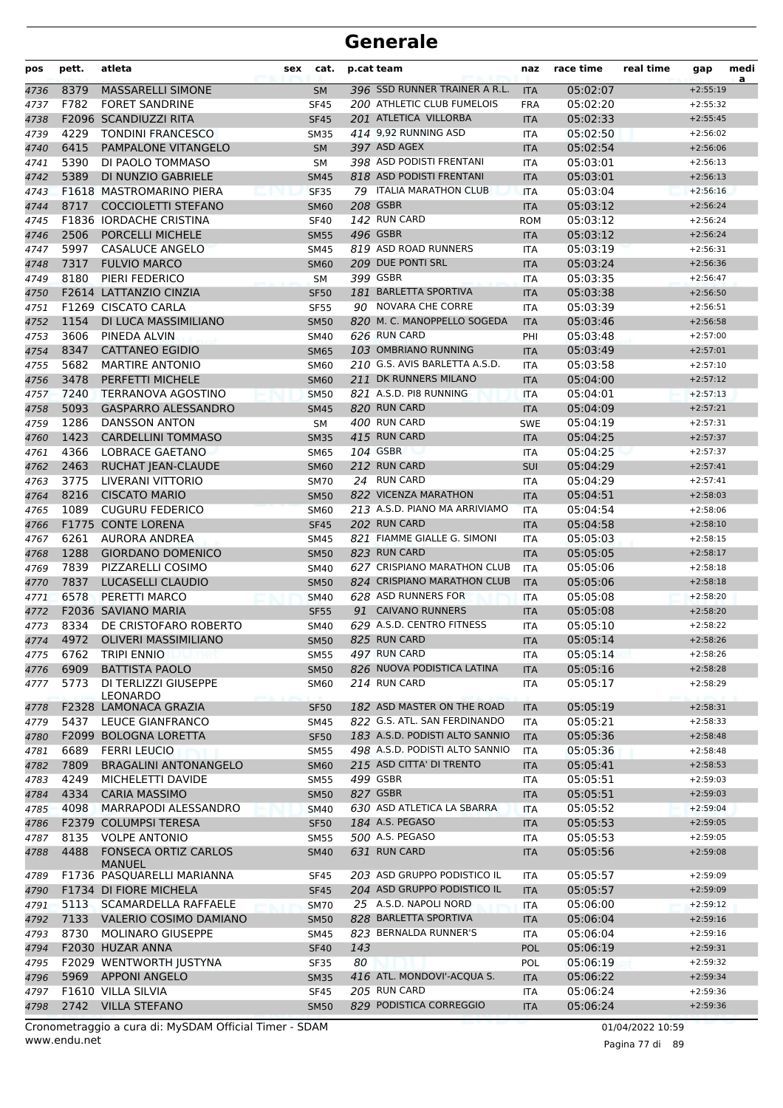| pos  | pett. | atleta                       | sex | cat.        | p.cat team |                                | naz               | race time | real time | gap        | medi<br>a |
|------|-------|------------------------------|-----|-------------|------------|--------------------------------|-------------------|-----------|-----------|------------|-----------|
| 4736 | 8379  | <b>MASSARELLI SIMONE</b>     |     | SM          |            | 396 SSD RUNNER TRAINER A R.L.  | <b>ITA</b>        | 05:02:07  |           | $+2:55:19$ |           |
| 4737 | F782  | <b>FORET SANDRINE</b>        |     | <b>SF45</b> |            | 200 ATHLETIC CLUB FUMELOIS     | <b>FRA</b>        | 05:02:20  |           | $+2:55:32$ |           |
| 4738 |       | F2096 SCANDIUZZI RITA        |     | <b>SF45</b> |            | 201 ATLETICA VILLORBA          | <b>ITA</b>        | 05:02:33  |           | $+2:55:45$ |           |
| 4739 | 4229  | <b>TONDINI FRANCESCO</b>     |     | <b>SM35</b> |            | 414 9,92 RUNNING ASD           | <b>ITA</b>        | 05:02:50  |           | $+2:56:02$ |           |
| 4740 | 6415  | PAMPALONE VITANGELO          |     | <b>SM</b>   |            | 397 ASD AGEX                   | <b>ITA</b>        | 05:02:54  |           | $+2:56:06$ |           |
| 4741 | 5390  | DI PAOLO TOMMASO             |     | SM          |            | 398 ASD PODISTI FRENTANI       | <b>ITA</b>        | 05:03:01  |           | $+2:56:13$ |           |
| 4742 | 5389  | DI NUNZIO GABRIELE           |     | <b>SM45</b> |            | 818 ASD PODISTI FRENTANI       | <b>ITA</b>        | 05:03:01  |           | $+2:56:13$ |           |
| 4743 |       | F1618 MASTROMARINO PIERA     |     | <b>SF35</b> |            | 79 ITALIA MARATHON CLUB        | <b>ITA</b>        | 05:03:04  |           | $+2:56:16$ |           |
| 4744 | 8717  | <b>COCCIOLETTI STEFANO</b>   |     | <b>SM60</b> |            | <b>208 GSBR</b>                | <b>ITA</b>        | 05:03:12  |           | $+2:56:24$ |           |
| 4745 |       | F1836 IORDACHE CRISTINA      |     | <b>SF40</b> |            | 142 RUN CARD                   | <b>ROM</b>        | 05:03:12  |           | $+2:56:24$ |           |
| 4746 | 2506  | PORCELLI MICHELE             |     | <b>SM55</b> |            | 496 GSBR                       | <b>ITA</b>        | 05:03:12  |           | $+2:56:24$ |           |
| 4747 | 5997  | CASALUCE ANGELO              |     | <b>SM45</b> |            | 819 ASD ROAD RUNNERS           | <b>ITA</b>        | 05:03:19  |           | $+2:56:31$ |           |
| 4748 | 7317  | <b>FULVIO MARCO</b>          |     | <b>SM60</b> |            | 209 DUE PONTI SRL              | <b>ITA</b>        | 05:03:24  |           | $+2:56:36$ |           |
| 4749 | 8180  | PIERI FEDERICO               |     | <b>SM</b>   |            | 399 GSBR                       | <b>ITA</b>        | 05:03:35  |           | $+2:56:47$ |           |
| 4750 |       | F2614 LATTANZIO CINZIA       |     | <b>SF50</b> |            | 181 BARLETTA SPORTIVA          | <b>ITA</b>        | 05:03:38  |           | $+2:56:50$ |           |
| 4751 |       | F1269 CISCATO CARLA          |     | <b>SF55</b> |            | 90 NOVARA CHE CORRE            | <b>ITA</b>        | 05:03:39  |           | $+2:56:51$ |           |
| 4752 | 1154  | DI LUCA MASSIMILIANO         |     | <b>SM50</b> |            | 820 M. C. MANOPPELLO SOGEDA    | <b>ITA</b>        | 05:03:46  |           | $+2:56:58$ |           |
| 4753 | 3606  | PINEDA ALVIN                 |     | <b>SM40</b> |            | 626 RUN CARD                   | PHI               | 05:03:48  |           | $+2:57:00$ |           |
| 4754 | 8347  | <b>CATTANEO EGIDIO</b>       |     | <b>SM65</b> |            | 103 OMBRIANO RUNNING           | <b>ITA</b>        | 05:03:49  |           | $+2:57:01$ |           |
| 4755 | 5682  | <b>MARTIRE ANTONIO</b>       |     | <b>SM60</b> |            | 210 G.S. AVIS BARLETTA A.S.D.  | <b>ITA</b>        | 05:03:58  |           | $+2:57:10$ |           |
| 4756 | 3478  | PERFETTI MICHELE             |     | <b>SM60</b> |            | 211 DK RUNNERS MILANO          | <b>ITA</b>        | 05:04:00  |           | $+2:57:12$ |           |
| 4757 | 7240  | TERRANOVA AGOSTINO           |     | <b>SM50</b> |            | 821 A.S.D. PI8 RUNNING         | <b>ITA</b>        | 05:04:01  |           | $+2:57:13$ |           |
| 4758 | 5093  | <b>GASPARRO ALESSANDRO</b>   |     | <b>SM45</b> |            | 820 RUN CARD                   | <b>ITA</b>        | 05:04:09  |           | $+2:57:21$ |           |
| 4759 | 1286  | <b>DANSSON ANTON</b>         |     | <b>SM</b>   |            | 400 RUN CARD                   | <b>SWE</b>        | 05:04:19  |           | $+2:57:31$ |           |
| 4760 | 1423  | <b>CARDELLINI TOMMASO</b>    |     | <b>SM35</b> |            | 415 RUN CARD                   | <b>ITA</b>        | 05:04:25  |           | $+2:57:37$ |           |
| 4761 | 4366  | LOBRACE GAETANO              |     | <b>SM65</b> |            | 104 GSBR                       | <b>ITA</b>        | 05:04:25  |           | $+2:57:37$ |           |
| 4762 | 2463  | RUCHAT JEAN-CLAUDE           |     | <b>SM60</b> |            | 212 RUN CARD                   | SUI               | 05:04:29  |           | $+2:57:41$ |           |
| 4763 | 3775  | LIVERANI VITTORIO            |     | <b>SM70</b> |            | 24 RUN CARD                    | <b>ITA</b>        | 05:04:29  |           | $+2:57:41$ |           |
| 4764 | 8216  | <b>CISCATO MARIO</b>         |     | <b>SM50</b> |            | 822 VICENZA MARATHON           | <b>ITA</b>        | 05:04:51  |           | $+2:58:03$ |           |
| 4765 | 1089  | <b>CUGURU FEDERICO</b>       |     | <b>SM60</b> |            | 213 A.S.D. PIANO MA ARRIVIAMO  | <b>ITA</b>        | 05:04:54  |           | $+2:58:06$ |           |
| 4766 |       | F1775 CONTE LORENA           |     | <b>SF45</b> |            | 202 RUN CARD                   | <b>ITA</b>        | 05:04:58  |           | $+2:58:10$ |           |
| 4767 | 6261  | AURORA ANDREA                |     | <b>SM45</b> |            | 821 FIAMME GIALLE G. SIMONI    | ITA               | 05:05:03  |           | $+2:58:15$ |           |
| 4768 | 1288  | <b>GIORDANO DOMENICO</b>     |     | <b>SM50</b> |            | 823 RUN CARD                   | <b>ITA</b>        | 05:05:05  |           | $+2:58:17$ |           |
| 4769 | 7839  | PIZZARELLI COSIMO            |     | <b>SM40</b> |            | 627 CRISPIANO MARATHON CLUB    | <b>ITA</b>        | 05:05:06  |           | $+2:58:18$ |           |
| 4770 | 7837  | LUCASELLI CLAUDIO            |     | <b>SM50</b> |            | 824 CRISPIANO MARATHON CLUB    | <b>ITA</b>        | 05:05:06  |           | $+2:58:18$ |           |
| 4771 | 6578  | PERETTI MARCO                |     | <b>SM40</b> |            | 628 ASD RUNNERS FOR            | <b>ITA</b>        | 05:05:08  |           | $+2:58:20$ |           |
| 4772 |       | F2036 SAVIANO MARIA          |     | <b>SF55</b> |            | 91 CAIVANO RUNNERS             | <b>ITA</b>        | 05:05:08  |           | $+2:58:20$ |           |
| 4773 | 8334  | DE CRISTOFARO ROBERTO        |     | <b>SM40</b> |            | 629 A.S.D. CENTRO FITNESS      | <b>ITA</b>        | 05:05:10  |           | $+2:58:22$ |           |
| 4774 | 4972  | <b>OLIVERI MASSIMILIANO</b>  |     | <b>SM50</b> |            | 825 RUN CARD                   | <b>ITA</b>        | 05:05:14  |           | $+2:58:26$ |           |
| 4775 | 6762  | <b>TRIPI ENNIO</b>           |     | <b>SM55</b> |            | 497 RUN CARD                   |                   | 05:05:14  |           | $+2:58:26$ |           |
| 4776 | 6909  | <b>BATTISTA PAOLO</b>        |     | <b>SM50</b> |            | 826 NUOVA PODISTICA LATINA     | ITA<br><b>ITA</b> | 05:05:16  |           | $+2:58:28$ |           |
| 4777 | 5773  | DI TERLIZZI GIUSEPPE         |     | <b>SM60</b> |            | 214 RUN CARD                   |                   | 05:05:17  |           | $+2:58:29$ |           |
|      |       | LEONARDO                     |     |             |            |                                | ITA               |           |           |            |           |
| 4778 |       | F2328 LAMONACA GRAZIA        |     | <b>SF50</b> |            | 182 ASD MASTER ON THE ROAD     | <b>ITA</b>        | 05:05:19  |           | $+2:58:31$ |           |
| 4779 | 5437  | LEUCE GIANFRANCO             |     | <b>SM45</b> |            | 822 G.S. ATL. SAN FERDINANDO   | <b>ITA</b>        | 05:05:21  |           | $+2:58:33$ |           |
| 4780 |       | F2099 BOLOGNA LORETTA        |     | <b>SF50</b> |            | 183 A.S.D. PODISTI ALTO SANNIO | <b>ITA</b>        | 05:05:36  |           | $+2:58:48$ |           |
| 4781 | 6689  | <b>FERRI LEUCIO</b>          |     | <b>SM55</b> |            | 498 A.S.D. PODISTI ALTO SANNIO | <b>ITA</b>        | 05:05:36  |           | $+2:58:48$ |           |
| 4782 | 7809  | <b>BRAGALINI ANTONANGELO</b> |     | <b>SM60</b> |            | 215 ASD CITTA' DI TRENTO       | <b>ITA</b>        | 05:05:41  |           | $+2:58:53$ |           |
| 4783 | 4249  | MICHELETTI DAVIDE            |     | <b>SM55</b> |            | 499 GSBR                       | ITA               | 05:05:51  |           | $+2:59:03$ |           |
| 4784 | 4334  | <b>CARIA MASSIMO</b>         |     | <b>SM50</b> |            | 827 GSBR                       | <b>ITA</b>        | 05:05:51  |           | $+2:59:03$ |           |
| 4785 | 4098  | MARRAPODI ALESSANDRO         |     | <b>SM40</b> |            | 630 ASD ATLETICA LA SBARRA     | ITA               | 05:05:52  |           | $+2:59:04$ |           |
| 4786 |       | F2379 COLUMPSI TERESA        |     | <b>SF50</b> |            | 184 A.S. PEGASO                | <b>ITA</b>        | 05:05:53  |           | $+2:59:05$ |           |
| 4787 | 8135  | <b>VOLPE ANTONIO</b>         |     | <b>SM55</b> |            | 500 A.S. PEGASO                | ITA               | 05:05:53  |           | $+2:59:05$ |           |
| 4788 | 4488  | <b>FONSECA ORTIZ CARLOS</b>  |     | <b>SM40</b> |            | 631 RUN CARD                   | <b>ITA</b>        | 05:05:56  |           | $+2:59:08$ |           |
|      |       | <b>MANUEL</b>                |     |             |            |                                |                   |           |           |            |           |
| 4789 |       | F1736 PASQUARELLI MARIANNA   |     | <b>SF45</b> |            | 203 ASD GRUPPO PODISTICO IL    | ITA               | 05:05:57  |           | $+2:59:09$ |           |
| 4790 |       | F1734 DI FIORE MICHELA       |     | <b>SF45</b> |            | 204 ASD GRUPPO PODISTICO IL    | <b>ITA</b>        | 05:05:57  |           | $+2:59:09$ |           |
| 4791 | 5113  | SCAMARDELLA RAFFAELE         |     | <b>SM70</b> |            | 25 A.S.D. NAPOLI NORD          | <b>ITA</b>        | 05:06:00  |           | $+2:59:12$ |           |
| 4792 | 7133  | VALERIO COSIMO DAMIANO       |     | <b>SM50</b> |            | 828 BARLETTA SPORTIVA          | <b>ITA</b>        | 05:06:04  |           | $+2:59:16$ |           |
| 4793 | 8730  | MOLINARO GIUSEPPE            |     | <b>SM45</b> |            | 823 BERNALDA RUNNER'S          | ITA               | 05:06:04  |           | $+2:59:16$ |           |
| 4794 |       | F2030 HUZAR ANNA             |     | <b>SF40</b> | 143        |                                | <b>POL</b>        | 05:06:19  |           | $+2:59:31$ |           |
| 4795 |       | F2029 WENTWORTH JUSTYNA      |     | <b>SF35</b> | 80         |                                | POL               | 05:06:19  |           | $+2:59:32$ |           |
| 4796 |       | 5969 APPONI ANGELO           |     | <b>SM35</b> |            | 416 ATL. MONDOVI'-ACQUA S.     | <b>ITA</b>        | 05:06:22  |           | $+2:59:34$ |           |
|      |       |                              |     |             |            | 205 RUN CARD                   | <b>ITA</b>        | 05:06:24  |           | $+2:59:36$ |           |
| 4797 |       | F1610 VILLA SILVIA           |     | <b>SF45</b> |            |                                |                   |           |           |            |           |

www.endu.net Cronometraggio a cura di: MySDAM Official Timer - SDAM 01/04/2022 10:59

Pagina 77 di 89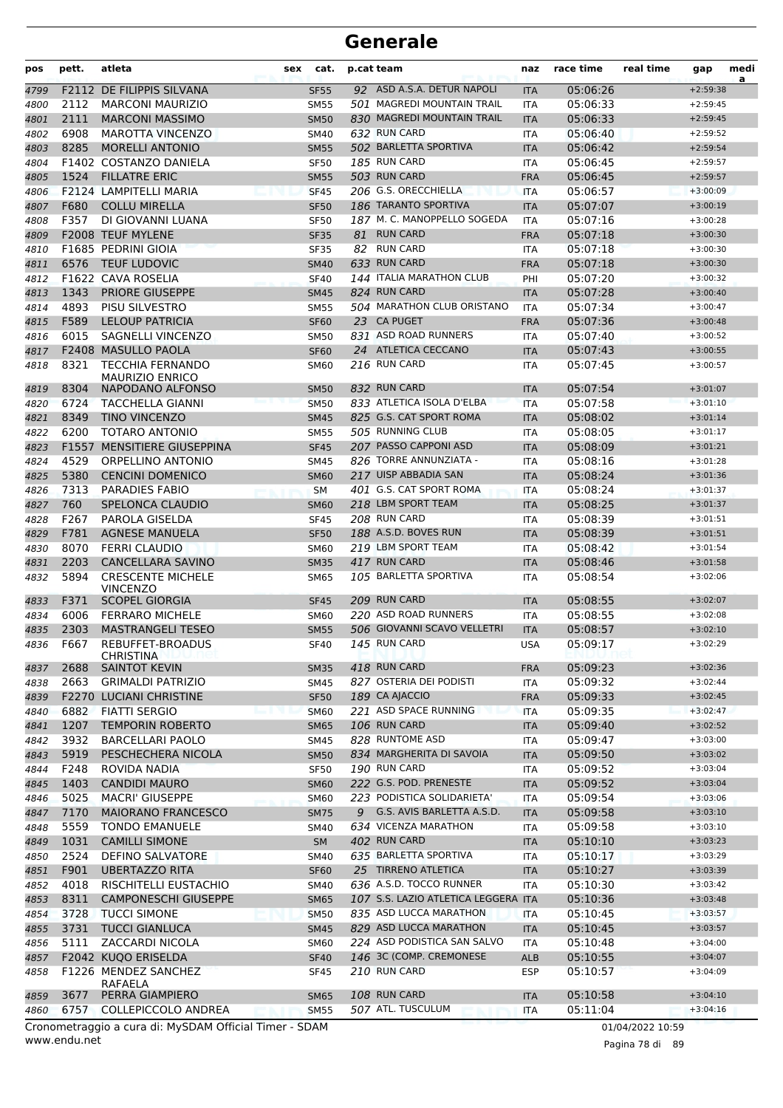| pos          | pett. | atleta<br>sex                                     | cat.                       | p.cat team                          | naz                      | race time | real time | gap        | medi<br>a |
|--------------|-------|---------------------------------------------------|----------------------------|-------------------------------------|--------------------------|-----------|-----------|------------|-----------|
| 4799         |       | F2112 DE FILIPPIS SILVANA                         | <b>SF55</b>                | 92 ASD A.S.A. DETUR NAPOLI          | <b>ITA</b>               | 05:06:26  |           | $+2:59:38$ |           |
| 4800         | 2112  | <b>MARCONI MAURIZIO</b>                           | <b>SM55</b>                | 501 MAGREDI MOUNTAIN TRAIL          | ITA                      | 05:06:33  |           | $+2:59:45$ |           |
| 4801         | 2111  | <b>MARCONI MASSIMO</b>                            | <b>SM50</b>                | 830 MAGREDI MOUNTAIN TRAIL          | <b>ITA</b>               | 05:06:33  |           | $+2:59:45$ |           |
| 4802         | 6908  | <b>MAROTTA VINCENZO</b>                           | <b>SM40</b>                | 632 RUN CARD                        | <b>ITA</b>               | 05:06:40  |           | $+2:59:52$ |           |
| 4803         | 8285  | <b>MORELLI ANTONIO</b>                            | <b>SM55</b>                | 502 BARLETTA SPORTIVA               | <b>ITA</b>               | 05:06:42  |           | $+2:59:54$ |           |
| 4804         |       | F1402 COSTANZO DANIELA                            | <b>SF50</b>                | 185 RUN CARD                        | <b>ITA</b>               | 05:06:45  |           | $+2:59:57$ |           |
| 4805         | 1524  | <b>FILLATRE ERIC</b>                              | <b>SM55</b>                | 503 RUN CARD                        | <b>FRA</b>               | 05:06:45  |           | $+2:59:57$ |           |
| 4806         |       | F2124 LAMPITELLI MARIA                            | <b>SF45</b>                | 206 G.S. ORECCHIELLA                | <b>ITA</b>               | 05:06:57  |           | $+3:00:09$ |           |
| 4807         | F680  | <b>COLLU MIRELLA</b>                              | <b>SF50</b>                | 186 TARANTO SPORTIVA                | <b>ITA</b>               | 05:07:07  |           | $+3:00:19$ |           |
| 4808         | F357  | DI GIOVANNI LUANA                                 | <b>SF50</b>                | 187 M. C. MANOPPELLO SOGEDA         | ITA                      | 05:07:16  |           | $+3:00:28$ |           |
| 4809         |       | F2008 TEUF MYLENE                                 | <b>SF35</b>                | 81 RUN CARD                         | <b>FRA</b>               | 05:07:18  |           | $+3:00:30$ |           |
| 4810         |       | F1685 PEDRINI GIOIA                               | <b>SF35</b>                | 82 RUN CARD                         | <b>ITA</b>               | 05:07:18  |           | $+3:00:30$ |           |
| 4811         | 6576  | <b>TEUF LUDOVIC</b>                               | <b>SM40</b>                | 633 RUN CARD                        | <b>FRA</b>               | 05:07:18  |           | $+3:00:30$ |           |
| 4812         |       | F1622 CAVA ROSELIA                                | <b>SF40</b>                | 144 ITALIA MARATHON CLUB            | PHI                      | 05:07:20  |           | $+3:00:32$ |           |
| 4813         | 1343  | <b>PRIORE GIUSEPPE</b>                            | <b>SM45</b>                | 824 RUN CARD                        | <b>ITA</b>               | 05:07:28  |           | $+3:00:40$ |           |
| 4814         | 4893  | PISU SILVESTRO                                    | <b>SM55</b>                | 504 MARATHON CLUB ORISTANO          | <b>ITA</b>               | 05:07:34  |           | $+3:00:47$ |           |
| 4815         | F589  | <b>LELOUP PATRICIA</b>                            | <b>SF60</b>                | 23 CA PUGET                         | <b>FRA</b>               | 05:07:36  |           | $+3:00:48$ |           |
| 4816         | 6015  | SAGNELLI VINCENZO                                 | <b>SM50</b>                | 831 ASD ROAD RUNNERS                | <b>ITA</b>               | 05:07:40  |           | $+3:00:52$ |           |
| 4817         |       | F2408 MASULLO PAOLA                               | <b>SF60</b>                | 24 ATLETICA CECCANO                 | <b>ITA</b>               | 05:07:43  |           | $+3:00:55$ |           |
| 4818         | 8321  | <b>TECCHIA FERNANDO</b><br><b>MAURIZIO ENRICO</b> | <b>SM60</b>                | 216 RUN CARD                        | ITA                      | 05:07:45  |           | $+3:00:57$ |           |
| 4819         | 8304  | NAPODANO ALFONSO                                  | <b>SM50</b>                | 832 RUN CARD                        | <b>ITA</b>               | 05:07:54  |           | $+3:01:07$ |           |
| 4820         | 6724  | <b>TACCHELLA GIANNI</b>                           | <b>SM50</b>                | 833 ATLETICA ISOLA D'ELBA           | <b>ITA</b>               | 05:07:58  |           | $+3:01:10$ |           |
| 4821         | 8349  | <b>TINO VINCENZO</b>                              | <b>SM45</b>                | 825 G.S. CAT SPORT ROMA             | <b>ITA</b>               | 05:08:02  |           | $+3:01:14$ |           |
| 4822         | 6200  | <b>TOTARO ANTONIO</b>                             | <b>SM55</b>                | 505 RUNNING CLUB                    | ITA                      | 05:08:05  |           | $+3:01:17$ |           |
| 4823         |       | <b>F1557 MENSITIERE GIUSEPPINA</b>                | <b>SF45</b>                | 207 PASSO CAPPONI ASD               | <b>ITA</b>               | 05:08:09  |           | $+3:01:21$ |           |
| 4824         | 4529  | ORPELLINO ANTONIO                                 | <b>SM45</b>                | 826 TORRE ANNUNZIATA -              | <b>ITA</b>               | 05:08:16  |           | $+3:01:28$ |           |
| 4825         | 5380  | <b>CENCINI DOMENICO</b>                           | <b>SM60</b>                | 217 UISP ABBADIA SAN                | <b>ITA</b>               | 05:08:24  |           | $+3:01:36$ |           |
| 4826         | 7313  | <b>PARADIES FABIO</b>                             | <b>SM</b>                  | 401 G.S. CAT SPORT ROMA             | <b>ITA</b>               | 05:08:24  |           | $+3:01:37$ |           |
| 4827         | 760   | SPELONCA CLAUDIO                                  | <b>SM60</b>                | 218 LBM SPORT TEAM                  | <b>ITA</b>               | 05:08:25  |           | $+3:01:37$ |           |
| 4828         | F267  | PAROLA GISELDA                                    | <b>SF45</b>                | 208 RUN CARD                        | ITA                      | 05:08:39  |           | $+3:01:51$ |           |
| 4829         | F781  | <b>AGNESE MANUELA</b>                             | <b>SF50</b>                | 188 A.S.D. BOVES RUN                | <b>ITA</b>               | 05:08:39  |           | $+3:01:51$ |           |
| 4830         | 8070  | <b>FERRI CLAUDIO</b>                              | <b>SM60</b>                | 219 LBM SPORT TEAM                  | <b>ITA</b>               | 05:08:42  |           | $+3:01:54$ |           |
| 4831         | 2203  | <b>CANCELLARA SAVINO</b>                          | <b>SM35</b>                | 417 RUN CARD                        | <b>ITA</b>               | 05:08:46  |           | $+3:01:58$ |           |
| 4832         | 5894  | <b>CRESCENTE MICHELE</b>                          | <b>SM65</b>                | 105 BARLETTA SPORTIVA               | ITA                      | 05:08:54  |           | $+3:02:06$ |           |
|              | F371  | <b>VINCENZO</b><br><b>SCOPEL GIORGIA</b>          |                            | 209 RUN CARD                        |                          | 05:08:55  |           | $+3:02:07$ |           |
| 4833         | 6006  | <b>FERRARO MICHELE</b>                            | <b>SF45</b><br><b>SM60</b> | 220 ASD ROAD RUNNERS                | <b>ITA</b><br><b>ITA</b> | 05:08:55  |           | $+3:02:08$ |           |
| 4834<br>4835 | 2303  | <b>MASTRANGELI TESEO</b>                          | <b>SM55</b>                | 506 GIOVANNI SCAVO VELLETRI         | <b>ITA</b>               | 05:08:57  |           | $+3:02:10$ |           |
| 4836         | F667  | REBUFFET-BROADUS                                  | <b>SF40</b>                | 145 RUN CARD                        | <b>USA</b>               | 05:09:17  |           | $+3:02:29$ |           |
|              |       | <b>CHRISTINA</b>                                  |                            |                                     |                          |           |           |            |           |
| 4837         | 2688  | <b>SAINTOT KEVIN</b>                              | <b>SM35</b>                | 418 RUN CARD                        | <b>FRA</b>               | 05:09:23  |           | $+3:02:36$ |           |
| 4838         | 2663  | <b>GRIMALDI PATRIZIO</b>                          | <b>SM45</b>                | 827 OSTERIA DEI PODISTI             | ITA                      | 05:09:32  |           | $+3:02:44$ |           |
| 4839         |       | F2270 LUCIANI CHRISTINE                           | <b>SF50</b>                | 189 CA AJACCIO                      | <b>FRA</b>               | 05:09:33  |           | $+3:02:45$ |           |
| 4840         | 6882  | <b>FIATTI SERGIO</b>                              | <b>SM60</b>                | 221 ASD SPACE RUNNING               | <b>ITA</b>               | 05:09:35  |           | $+3:02:47$ |           |
| 4841         | 1207  | <b>TEMPORIN ROBERTO</b>                           | <b>SM65</b>                | <b>106 RUN CARD</b>                 | <b>ITA</b>               | 05:09:40  |           | $+3:02:52$ |           |
| 4842         | 3932  | BARCELLARI PAOLO                                  | SM45                       | 828 RUNTOME ASD                     | ITA                      | 05:09:47  |           | $+3:03:00$ |           |
| 4843         | 5919  | PESCHECHERA NICOLA                                | <b>SM50</b>                | 834 MARGHERITA DI SAVOIA            | <b>ITA</b>               | 05:09:50  |           | $+3:03:02$ |           |
| 4844         | F248  | ROVIDA NADIA                                      | <b>SF50</b>                | 190 RUN CARD                        | ITA                      | 05:09:52  |           | $+3:03:04$ |           |
| 4845         | 1403  | <b>CANDIDI MAURO</b>                              | <b>SM60</b>                | 222 G.S. POD. PRENESTE              | <b>ITA</b>               | 05:09:52  |           | $+3:03:04$ |           |
| 4846         | 5025  | <b>MACRI' GIUSEPPE</b>                            | <b>SM60</b>                | 223 PODISTICA SOLIDARIETA'          | <b>ITA</b>               | 05:09:54  |           | $+3:03:06$ |           |
| 4847         | 7170  | <b>MAIORANO FRANCESCO</b>                         | <b>SM75</b>                | 9 G.S. AVIS BARLETTA A.S.D.         | <b>ITA</b>               | 05:09:58  |           | $+3:03:10$ |           |
| 4848         | 5559  | <b>TONDO EMANUELE</b>                             | <b>SM40</b>                | 634 VICENZA MARATHON                | ITA                      | 05:09:58  |           | $+3:03:10$ |           |
| 4849         | 1031  | <b>CAMILLI SIMONE</b>                             | <b>SM</b>                  | 402 RUN CARD                        | <b>ITA</b>               | 05:10:10  |           | $+3:03:23$ |           |
| 4850         | 2524  | <b>DEFINO SALVATORE</b>                           | <b>SM40</b>                | 635 BARLETTA SPORTIVA               | ITA                      | 05:10:17  |           | $+3:03:29$ |           |
| 4851         | F901  | <b>UBERTAZZO RITA</b>                             | <b>SF60</b>                | 25 TIRRENO ATLETICA                 | <b>ITA</b>               | 05:10:27  |           | $+3:03:39$ |           |
| 4852         | 4018  | RISCHITELLI EUSTACHIO                             | SM40                       | 636 A.S.D. TOCCO RUNNER             | <b>ITA</b>               | 05:10:30  |           | $+3:03:42$ |           |
| 4853         | 8311  | <b>CAMPONESCHI GIUSEPPE</b>                       | <b>SM65</b>                | 107 S.S. LAZIO ATLETICA LEGGERA ITA |                          | 05:10:36  |           | $+3:03:48$ |           |
| 4854         | 3728  | <b>TUCCI SIMONE</b>                               | <b>SM50</b>                | 835 ASD LUCCA MARATHON              | <b>ITA</b>               | 05:10:45  |           | $+3:03:57$ |           |
| 4855         | 3731  | <b>TUCCI GIANLUCA</b>                             | <b>SM45</b>                | 829 ASD LUCCA MARATHON              | <b>ITA</b>               | 05:10:45  |           | $+3:03:57$ |           |
| 4856         | 5111  | ZACCARDI NICOLA                                   | <b>SM60</b>                | 224 ASD PODISTICA SAN SALVO         | ITA                      | 05:10:48  |           | $+3:04:00$ |           |
| 4857         |       | F2042 KUQO ERISELDA                               | <b>SF40</b>                | 146 3C (COMP. CREMONESE             | <b>ALB</b>               | 05:10:55  |           | $+3:04:07$ |           |
| 4858         |       | F1226 MENDEZ SANCHEZ<br>RAFAELA                   | <b>SF45</b>                | 210 RUN CARD                        | <b>ESP</b>               | 05:10:57  |           | $+3:04:09$ |           |
| 4859         | 3677  | PERRA GIAMPIERO                                   | <b>SM65</b>                | 108 RUN CARD                        | <b>ITA</b>               | 05:10:58  |           | $+3:04:10$ |           |
| 4860         | 6757  | COLLEPICCOLO ANDREA                               | <b>SM55</b>                | 507 ATL. TUSCULUM                   | <b>ITA</b>               | 05:11:04  |           | $+3:04:16$ |           |
|              |       |                                                   |                            |                                     |                          |           |           |            |           |

www.endu.net Cronometraggio a cura di: MySDAM Official Timer - SDAM 01/04/2022 10:59

Pagina 78 di 89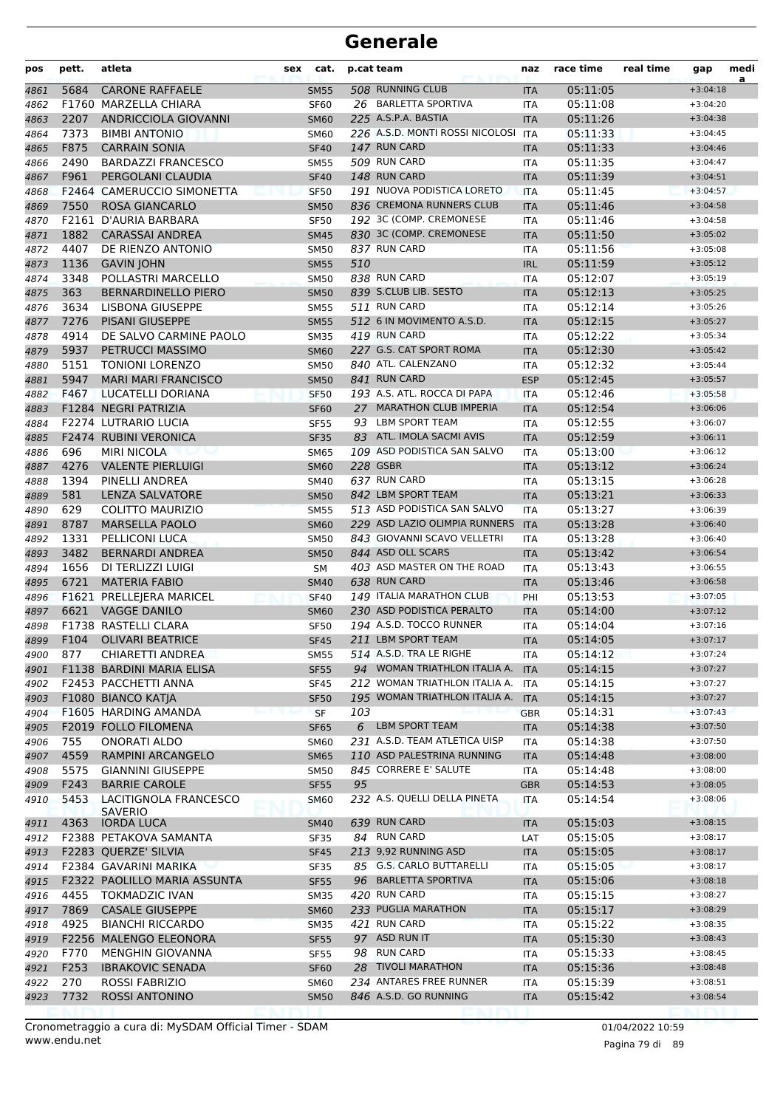| 508 RUNNING CLUB<br>5684<br><b>CARONE RAFFAELE</b><br>05:11:05<br>$+3:04:18$<br><b>SM55</b><br><b>ITA</b><br>4861<br>26 BARLETTA SPORTIVA<br>F1760 MARZELLA CHIARA<br>05:11:08<br>4862<br><b>SF60</b><br><b>ITA</b><br>$+3:04:20$<br>2207<br>225 A.S.P.A. BASTIA<br>ANDRICCIOLA GIOVANNI<br><b>ITA</b><br>05:11:26<br>4863<br><b>SM60</b><br>$+3:04:38$<br>226 A.S.D. MONTI ROSSI NICOLOSI<br>7373<br><b>BIMBI ANTONIO</b><br>05:11:33<br>$+3:04:45$<br>4864<br><b>SM60</b><br><b>ITA</b><br>F875<br>147 RUN CARD<br>05:11:33<br><b>CARRAIN SONIA</b><br>4865<br><b>SF40</b><br><b>ITA</b><br>$+3:04:46$<br>509 RUN CARD<br>2490<br><b>BARDAZZI FRANCESCO</b><br>05:11:35<br>4866<br><b>SM55</b><br><b>ITA</b><br>$+3:04:47$<br>148 RUN CARD<br>F961<br>PERGOLANI CLAUDIA<br>4867<br><b>SF40</b><br><b>ITA</b><br>05:11:39<br>$+3:04:51$<br>191 NUOVA PODISTICA LORETO<br><b>F2464 CAMERUCCIO SIMONETTA</b><br>05:11:45<br>4868<br><b>SF50</b><br><b>ITA</b><br>$+3:04:57$<br>7550<br>836 CREMONA RUNNERS CLUB<br><b>ROSA GIANCARLO</b><br><b>SM50</b><br>05:11:46<br>4869<br><b>ITA</b><br>$+3:04:58$<br>F2161 D'AURIA BARBARA<br>192 3C (COMP. CREMONESE<br>05:11:46<br><b>SF50</b><br>$+3:04:58$<br><b>ITA</b><br>4870<br>1882<br>830 3C (COMP. CREMONESE<br><b>CARASSAI ANDREA</b><br>05:11:50<br>4871<br><b>SM45</b><br><b>ITA</b><br>$+3:05:02$<br>4407<br>837 RUN CARD<br>DE RIENZO ANTONIO<br><b>SM50</b><br>05:11:56<br>4872<br><b>ITA</b><br>$+3:05:08$<br>1136<br><b>GAVIN JOHN</b><br>510<br><b>SM55</b><br><b>IRL</b><br>05:11:59<br>4873<br>$+3:05:12$<br>3348<br>POLLASTRI MARCELLO<br>838 RUN CARD<br>05:12:07<br>4874<br><b>SM50</b><br><b>ITA</b><br>$+3:05:19$<br>363<br><b>BERNARDINELLO PIERO</b><br>839 S.CLUB LIB. SESTO<br>05:12:13<br>4875<br><b>SM50</b><br><b>ITA</b><br>$+3:05:25$<br>3634<br><b>LISBONA GIUSEPPE</b><br>511 RUN CARD<br>05:12:14<br>$+3:05:26$<br>4876<br><b>SM55</b><br><b>ITA</b><br>7276<br>512 6 IN MOVIMENTO A.S.D.<br>05:12:15<br><b>PISANI GIUSEPPE</b><br>4877<br><b>SM55</b><br><b>ITA</b><br>$+3:05:27$<br>4914<br>419 RUN CARD<br>DE SALVO CARMINE PAOLO<br>05:12:22<br>4878<br><b>SM35</b><br>$+3:05:34$<br><b>ITA</b><br>227 G.S. CAT SPORT ROMA<br>5937<br>PETRUCCI MASSIMO<br>05:12:30<br><b>SM60</b><br><b>ITA</b><br>4879<br>$+3:05:42$<br>5151<br>840 ATL. CALENZANO<br><b>TONIONI LORENZO</b><br>05:12:32<br>4880<br><b>SM50</b><br><b>ITA</b><br>$+3:05:44$<br>5947<br>841 RUN CARD<br><b>MARI MARI FRANCISCO</b><br>05:12:45<br>4881<br><b>SM50</b><br><b>ESP</b><br>$+3:05:57$<br>193 A.S. ATL. ROCCA DI PAPA<br>F467<br><b>LUCATELLI DORIANA</b><br>05:12:46<br>$+3:05:58$<br>4882<br><b>SF50</b><br><b>ITA</b><br>F1284 NEGRI PATRIZIA<br>27 MARATHON CLUB IMPERIA<br>05:12:54<br>4883<br><b>SF60</b><br><b>ITA</b><br>$+3:06:06$<br><b>LBM SPORT TEAM</b><br><b>F2274 LUTRARIO LUCIA</b><br>93<br>05:12:55<br>4884<br><b>SF55</b><br>$+3:06:07$<br><b>ITA</b><br><b>F2474 RUBINI VERONICA</b><br>83 ATL. IMOLA SACMI AVIS<br>05:12:59<br>4885<br><b>SF35</b><br><b>ITA</b><br>$+3:06:11$<br>696<br>109 ASD PODISTICA SAN SALVO<br>MIRI NICOLA<br>05:13:00<br>4886<br><b>SM65</b><br><b>ITA</b><br>$+3:06:12$<br>4276<br><b>228 GSBR</b><br><b>VALENTE PIERLUIGI</b><br>05:13:12<br>4887<br><b>SM60</b><br>$+3:06:24$<br><b>ITA</b><br>637 RUN CARD<br>1394<br>PINELLI ANDREA<br>05:13:15<br>$+3:06:28$<br>4888<br><b>SM40</b><br><b>ITA</b><br>581<br>842 LBM SPORT TEAM<br><b>LENZA SALVATORE</b><br>05:13:21<br>4889<br><b>SM50</b><br><b>ITA</b><br>$+3:06:33$<br>629<br>513 ASD PODISTICA SAN SALVO<br><b>COLITTO MAURIZIO</b><br>05:13:27<br>4890<br><b>SM55</b><br>$+3:06:39$<br><b>ITA</b><br>229 ASD LAZIO OLIMPIA RUNNERS<br>8787<br>05:13:28<br><b>MARSELLA PAOLO</b><br><b>SM60</b><br><b>ITA</b><br>4891<br>$+3:06:40$<br>1331<br>843 GIOVANNI SCAVO VELLETRI<br>PELLICONI LUCA<br>05:13:28<br>4892<br><b>SM50</b><br><b>ITA</b><br>$+3:06:40$<br>3482<br>844 ASD OLL SCARS<br><b>BERNARDI ANDREA</b><br>05:13:42<br>4893<br><b>SM50</b><br><b>ITA</b><br>$+3:06:54$<br>1656<br>DI TERLIZZI LUIGI<br>403 ASD MASTER ON THE ROAD<br>05:13:43<br>4894<br>SM<br>ITA<br>$+3:06:55$<br>6721<br><b>MATERIA FABIO</b><br>638 RUN CARD<br>05:13:46<br>4895<br><b>SM40</b><br><b>ITA</b><br>$+3:06:58$<br>149 ITALIA MARATHON CLUB<br>F1621 PRELLEJERA MARICEL<br><b>SF40</b><br>PHI<br>05:13:53<br>$+3:07:05$<br>4896<br>6621<br><b>VAGGE DANILO</b><br>230 ASD PODISTICA PERALTO<br>05:14:00<br>4897<br><b>SM60</b><br><b>ITA</b><br>$+3:07:12$<br>194 A.S.D. TOCCO RUNNER<br>F1738 RASTELLI CLARA<br>4898<br><b>SF50</b><br><b>ITA</b><br>05:14:04<br>$+3:07:16$<br>211 LBM SPORT TEAM<br>F104<br>4899<br><b>OLIVARI BEATRICE</b><br><b>SF45</b><br>05:14:05<br>$+3:07:17$<br><b>ITA</b><br>514 A.S.D. TRA LE RIGHE<br>877<br><b>CHIARETTI ANDREA</b><br>05:14:12<br><b>SM55</b><br>$+3:07:24$<br>4900<br>ITA<br>94 WOMAN TRIATHLON ITALIA A.<br>F1138 BARDINI MARIA ELISA<br>05:14:15<br>$+3:07:27$<br>4901<br><b>SF55</b><br><b>ITA</b><br>F2453 PACCHETTI ANNA<br>212 WOMAN TRIATHLON ITALIA A.<br>$+3:07:27$<br><b>SF45</b><br><b>ITA</b><br>05:14:15<br>4902<br>195 WOMAN TRIATHLON ITALIA A.<br>F1080 BIANCO KATJA<br>05:14:15<br>4903<br><b>SF50</b><br><b>ITA</b><br>$+3:07:27$<br>F1605 HARDING AMANDA<br><b>SF</b><br>103<br>4904<br><b>GBR</b><br>05:14:31<br>$+3:07:43$<br>6<br>LBM SPORT TEAM<br>F2019 FOLLO FILOMENA<br>05:14:38<br>$+3:07:50$<br>4905<br><b>SF65</b><br><b>ITA</b><br>755<br>231 A.S.D. TEAM ATLETICA UISP<br><b>ONORATI ALDO</b><br>05:14:38<br><b>SM60</b><br>ITA<br>$+3:07:50$<br>4906<br>4559<br>RAMPINI ARCANGELO<br>110 ASD PALESTRINA RUNNING<br>4907<br><b>SM65</b><br>05:14:48<br>$+3:08:00$<br><b>ITA</b><br>845 CORRERE E' SALUTE<br>5575<br><b>GIANNINI GIUSEPPE</b><br><b>SM50</b><br>05:14:48<br>$+3:08:00$<br>4908<br>ITA<br>95<br>F243<br><b>BARRIE CAROLE</b><br>4909<br><b>SF55</b><br><b>GBR</b><br>05:14:53<br>$+3:08:05$<br>5453<br>LACITIGNOLA FRANCESCO<br>232 A.S. QUELLI DELLA PINETA<br><b>SM60</b><br>05:14:54<br>$+3:08:06$<br>4910<br>ITA<br><b>SAVERIO</b><br>639 RUN CARD<br><b>IORDA LUCA</b><br>05:15:03<br>4363<br><b>SM40</b><br>$+3:08:15$<br>4911<br><b>ITA</b><br>84 RUN CARD<br>F2388 PETAKOVA SAMANTA<br>05:15:05<br>$+3:08:17$<br><b>SF35</b><br>4912<br>LAT<br>F2283 QUERZE' SILVIA<br>213 9,92 RUNNING ASD<br>05:15:05<br><b>SF45</b><br><b>ITA</b><br>$+3:08:17$<br>4913<br>F2384 GAVARINI MARIKA<br>85 G.S. CARLO BUTTARELLI<br>05:15:05<br>$+3:08:17$<br>4914<br><b>SF35</b><br>ITA<br>96 BARLETTA SPORTIVA<br>$+3:08:18$<br>F2322 PAOLILLO MARIA ASSUNTA<br>05:15:06<br>4915<br><b>SF55</b><br><b>ITA</b><br>420 RUN CARD<br>4455<br><b>TOKMADZIC IVAN</b><br>05:15:15<br>$+3:08:27$<br><b>SM35</b><br>4916<br><b>ITA</b><br>233 PUGLIA MARATHON<br>7869<br><b>CASALE GIUSEPPE</b><br>05:15:17<br><b>SM60</b><br>$+3:08:29$<br><b>ITA</b><br>4925<br>421 RUN CARD<br><b>BIANCHI RICCARDO</b><br>05:15:22<br>$+3:08:35$<br><b>SM35</b><br>4918<br>ITA<br>F2256 MALENGO ELEONORA<br>97 ASD RUN IT<br>05:15:30<br><b>SF55</b><br><b>ITA</b><br>$+3:08:43$<br>4919<br>F770<br>98 RUN CARD<br>05:15:33<br>$+3:08:45$<br>MENGHIN GIOVANNA<br>4920<br><b>SF55</b><br>ITA<br>28 TIVOLI MARATHON<br>$+3:08:48$<br>F253<br><b>IBRAKOVIC SENADA</b><br>05:15:36<br>4921<br><b>SF60</b><br><b>ITA</b><br>234 ANTARES FREE RUNNER<br>270<br>ROSSI FABRIZIO<br>05:15:39<br>$+3:08:51$<br>4922<br><b>SM60</b><br><b>ITA</b><br>7732<br><b>ROSSI ANTONINO</b><br>846 A.S.D. GO RUNNING<br>05:15:42<br>$+3:08:54$<br>4923<br><b>SM50</b><br><b>ITA</b> | pos  | pett. | atleta | sex<br>cat. | p.cat team | naz | race time | real time | gap | medi<br>a |
|-------------------------------------------------------------------------------------------------------------------------------------------------------------------------------------------------------------------------------------------------------------------------------------------------------------------------------------------------------------------------------------------------------------------------------------------------------------------------------------------------------------------------------------------------------------------------------------------------------------------------------------------------------------------------------------------------------------------------------------------------------------------------------------------------------------------------------------------------------------------------------------------------------------------------------------------------------------------------------------------------------------------------------------------------------------------------------------------------------------------------------------------------------------------------------------------------------------------------------------------------------------------------------------------------------------------------------------------------------------------------------------------------------------------------------------------------------------------------------------------------------------------------------------------------------------------------------------------------------------------------------------------------------------------------------------------------------------------------------------------------------------------------------------------------------------------------------------------------------------------------------------------------------------------------------------------------------------------------------------------------------------------------------------------------------------------------------------------------------------------------------------------------------------------------------------------------------------------------------------------------------------------------------------------------------------------------------------------------------------------------------------------------------------------------------------------------------------------------------------------------------------------------------------------------------------------------------------------------------------------------------------------------------------------------------------------------------------------------------------------------------------------------------------------------------------------------------------------------------------------------------------------------------------------------------------------------------------------------------------------------------------------------------------------------------------------------------------------------------------------------------------------------------------------------------------------------------------------------------------------------------------------------------------------------------------------------------------------------------------------------------------------------------------------------------------------------------------------------------------------------------------------------------------------------------------------------------------------------------------------------------------------------------------------------------------------------------------------------------------------------------------------------------------------------------------------------------------------------------------------------------------------------------------------------------------------------------------------------------------------------------------------------------------------------------------------------------------------------------------------------------------------------------------------------------------------------------------------------------------------------------------------------------------------------------------------------------------------------------------------------------------------------------------------------------------------------------------------------------------------------------------------------------------------------------------------------------------------------------------------------------------------------------------------------------------------------------------------------------------------------------------------------------------------------------------------------------------------------------------------------------------------------------------------------------------------------------------------------------------------------------------------------------------------------------------------------------------------------------------------------------------------------------------------------------------------------------------------------------------------------------------------------------------------------------------------------------------------------------------------------------------------------------------------------------------------------------------------------------------------------------------------------------------------------------------------------------------------------------------------------------------------------------------------------------------------------------------------------------------------------------------------------------------------------------------------------------------------------------------------------------------------------------------------------------------------------------------------------------------------------------------------------------------------------------------------------------------------------------------------------------------------------------------------------------------------------------------------------------------------------------------------------------------------------------------------------------------------------------------------------------------------------------------------------------------------------------------------------------------------------------------------------------------------------------------------------------------------------------------------------------------------------------------------------------------------------------------------------------------------------------------------------------------------------------------------------------------------------------------------------------------------------------------------------------------------------------------------------------------------------------------------------------------------------------------------------------------------------------------------------------------------------------------------------------------------------------------------------------------------------------------------------------------------------------------------------------------------------------------------------------------------------------------------------------------------------------------------------------------------------------------------------------------------------------------------------------------------------|------|-------|--------|-------------|------------|-----|-----------|-----------|-----|-----------|
|                                                                                                                                                                                                                                                                                                                                                                                                                                                                                                                                                                                                                                                                                                                                                                                                                                                                                                                                                                                                                                                                                                                                                                                                                                                                                                                                                                                                                                                                                                                                                                                                                                                                                                                                                                                                                                                                                                                                                                                                                                                                                                                                                                                                                                                                                                                                                                                                                                                                                                                                                                                                                                                                                                                                                                                                                                                                                                                                                                                                                                                                                                                                                                                                                                                                                                                                                                                                                                                                                                                                                                                                                                                                                                                                                                                                                                                                                                                                                                                                                                                                                                                                                                                                                                                                                                                                                                                                                                                                                                                                                                                                                                                                                                                                                                                                                                                                                                                                                                                                                                                                                                                                                                                                                                                                                                                                                                                                                                                                                                                                                                                                                                                                                                                                                                                                                                                                                                                                                                                                                                                                                                                                                                                                                                                                                                                                                                                                                                                                                                                                                                                                                                                                                                                                                                                                                                                                                                                                                                                                                                                                                                                                                                                                                                                                                                                                                                                                                                                                                                                                                                                                 |      |       |        |             |            |     |           |           |     |           |
|                                                                                                                                                                                                                                                                                                                                                                                                                                                                                                                                                                                                                                                                                                                                                                                                                                                                                                                                                                                                                                                                                                                                                                                                                                                                                                                                                                                                                                                                                                                                                                                                                                                                                                                                                                                                                                                                                                                                                                                                                                                                                                                                                                                                                                                                                                                                                                                                                                                                                                                                                                                                                                                                                                                                                                                                                                                                                                                                                                                                                                                                                                                                                                                                                                                                                                                                                                                                                                                                                                                                                                                                                                                                                                                                                                                                                                                                                                                                                                                                                                                                                                                                                                                                                                                                                                                                                                                                                                                                                                                                                                                                                                                                                                                                                                                                                                                                                                                                                                                                                                                                                                                                                                                                                                                                                                                                                                                                                                                                                                                                                                                                                                                                                                                                                                                                                                                                                                                                                                                                                                                                                                                                                                                                                                                                                                                                                                                                                                                                                                                                                                                                                                                                                                                                                                                                                                                                                                                                                                                                                                                                                                                                                                                                                                                                                                                                                                                                                                                                                                                                                                                                 |      |       |        |             |            |     |           |           |     |           |
|                                                                                                                                                                                                                                                                                                                                                                                                                                                                                                                                                                                                                                                                                                                                                                                                                                                                                                                                                                                                                                                                                                                                                                                                                                                                                                                                                                                                                                                                                                                                                                                                                                                                                                                                                                                                                                                                                                                                                                                                                                                                                                                                                                                                                                                                                                                                                                                                                                                                                                                                                                                                                                                                                                                                                                                                                                                                                                                                                                                                                                                                                                                                                                                                                                                                                                                                                                                                                                                                                                                                                                                                                                                                                                                                                                                                                                                                                                                                                                                                                                                                                                                                                                                                                                                                                                                                                                                                                                                                                                                                                                                                                                                                                                                                                                                                                                                                                                                                                                                                                                                                                                                                                                                                                                                                                                                                                                                                                                                                                                                                                                                                                                                                                                                                                                                                                                                                                                                                                                                                                                                                                                                                                                                                                                                                                                                                                                                                                                                                                                                                                                                                                                                                                                                                                                                                                                                                                                                                                                                                                                                                                                                                                                                                                                                                                                                                                                                                                                                                                                                                                                                                 |      |       |        |             |            |     |           |           |     |           |
|                                                                                                                                                                                                                                                                                                                                                                                                                                                                                                                                                                                                                                                                                                                                                                                                                                                                                                                                                                                                                                                                                                                                                                                                                                                                                                                                                                                                                                                                                                                                                                                                                                                                                                                                                                                                                                                                                                                                                                                                                                                                                                                                                                                                                                                                                                                                                                                                                                                                                                                                                                                                                                                                                                                                                                                                                                                                                                                                                                                                                                                                                                                                                                                                                                                                                                                                                                                                                                                                                                                                                                                                                                                                                                                                                                                                                                                                                                                                                                                                                                                                                                                                                                                                                                                                                                                                                                                                                                                                                                                                                                                                                                                                                                                                                                                                                                                                                                                                                                                                                                                                                                                                                                                                                                                                                                                                                                                                                                                                                                                                                                                                                                                                                                                                                                                                                                                                                                                                                                                                                                                                                                                                                                                                                                                                                                                                                                                                                                                                                                                                                                                                                                                                                                                                                                                                                                                                                                                                                                                                                                                                                                                                                                                                                                                                                                                                                                                                                                                                                                                                                                                                 |      |       |        |             |            |     |           |           |     |           |
|                                                                                                                                                                                                                                                                                                                                                                                                                                                                                                                                                                                                                                                                                                                                                                                                                                                                                                                                                                                                                                                                                                                                                                                                                                                                                                                                                                                                                                                                                                                                                                                                                                                                                                                                                                                                                                                                                                                                                                                                                                                                                                                                                                                                                                                                                                                                                                                                                                                                                                                                                                                                                                                                                                                                                                                                                                                                                                                                                                                                                                                                                                                                                                                                                                                                                                                                                                                                                                                                                                                                                                                                                                                                                                                                                                                                                                                                                                                                                                                                                                                                                                                                                                                                                                                                                                                                                                                                                                                                                                                                                                                                                                                                                                                                                                                                                                                                                                                                                                                                                                                                                                                                                                                                                                                                                                                                                                                                                                                                                                                                                                                                                                                                                                                                                                                                                                                                                                                                                                                                                                                                                                                                                                                                                                                                                                                                                                                                                                                                                                                                                                                                                                                                                                                                                                                                                                                                                                                                                                                                                                                                                                                                                                                                                                                                                                                                                                                                                                                                                                                                                                                                 |      |       |        |             |            |     |           |           |     |           |
|                                                                                                                                                                                                                                                                                                                                                                                                                                                                                                                                                                                                                                                                                                                                                                                                                                                                                                                                                                                                                                                                                                                                                                                                                                                                                                                                                                                                                                                                                                                                                                                                                                                                                                                                                                                                                                                                                                                                                                                                                                                                                                                                                                                                                                                                                                                                                                                                                                                                                                                                                                                                                                                                                                                                                                                                                                                                                                                                                                                                                                                                                                                                                                                                                                                                                                                                                                                                                                                                                                                                                                                                                                                                                                                                                                                                                                                                                                                                                                                                                                                                                                                                                                                                                                                                                                                                                                                                                                                                                                                                                                                                                                                                                                                                                                                                                                                                                                                                                                                                                                                                                                                                                                                                                                                                                                                                                                                                                                                                                                                                                                                                                                                                                                                                                                                                                                                                                                                                                                                                                                                                                                                                                                                                                                                                                                                                                                                                                                                                                                                                                                                                                                                                                                                                                                                                                                                                                                                                                                                                                                                                                                                                                                                                                                                                                                                                                                                                                                                                                                                                                                                                 |      |       |        |             |            |     |           |           |     |           |
|                                                                                                                                                                                                                                                                                                                                                                                                                                                                                                                                                                                                                                                                                                                                                                                                                                                                                                                                                                                                                                                                                                                                                                                                                                                                                                                                                                                                                                                                                                                                                                                                                                                                                                                                                                                                                                                                                                                                                                                                                                                                                                                                                                                                                                                                                                                                                                                                                                                                                                                                                                                                                                                                                                                                                                                                                                                                                                                                                                                                                                                                                                                                                                                                                                                                                                                                                                                                                                                                                                                                                                                                                                                                                                                                                                                                                                                                                                                                                                                                                                                                                                                                                                                                                                                                                                                                                                                                                                                                                                                                                                                                                                                                                                                                                                                                                                                                                                                                                                                                                                                                                                                                                                                                                                                                                                                                                                                                                                                                                                                                                                                                                                                                                                                                                                                                                                                                                                                                                                                                                                                                                                                                                                                                                                                                                                                                                                                                                                                                                                                                                                                                                                                                                                                                                                                                                                                                                                                                                                                                                                                                                                                                                                                                                                                                                                                                                                                                                                                                                                                                                                                                 |      |       |        |             |            |     |           |           |     |           |
|                                                                                                                                                                                                                                                                                                                                                                                                                                                                                                                                                                                                                                                                                                                                                                                                                                                                                                                                                                                                                                                                                                                                                                                                                                                                                                                                                                                                                                                                                                                                                                                                                                                                                                                                                                                                                                                                                                                                                                                                                                                                                                                                                                                                                                                                                                                                                                                                                                                                                                                                                                                                                                                                                                                                                                                                                                                                                                                                                                                                                                                                                                                                                                                                                                                                                                                                                                                                                                                                                                                                                                                                                                                                                                                                                                                                                                                                                                                                                                                                                                                                                                                                                                                                                                                                                                                                                                                                                                                                                                                                                                                                                                                                                                                                                                                                                                                                                                                                                                                                                                                                                                                                                                                                                                                                                                                                                                                                                                                                                                                                                                                                                                                                                                                                                                                                                                                                                                                                                                                                                                                                                                                                                                                                                                                                                                                                                                                                                                                                                                                                                                                                                                                                                                                                                                                                                                                                                                                                                                                                                                                                                                                                                                                                                                                                                                                                                                                                                                                                                                                                                                                                 |      |       |        |             |            |     |           |           |     |           |
|                                                                                                                                                                                                                                                                                                                                                                                                                                                                                                                                                                                                                                                                                                                                                                                                                                                                                                                                                                                                                                                                                                                                                                                                                                                                                                                                                                                                                                                                                                                                                                                                                                                                                                                                                                                                                                                                                                                                                                                                                                                                                                                                                                                                                                                                                                                                                                                                                                                                                                                                                                                                                                                                                                                                                                                                                                                                                                                                                                                                                                                                                                                                                                                                                                                                                                                                                                                                                                                                                                                                                                                                                                                                                                                                                                                                                                                                                                                                                                                                                                                                                                                                                                                                                                                                                                                                                                                                                                                                                                                                                                                                                                                                                                                                                                                                                                                                                                                                                                                                                                                                                                                                                                                                                                                                                                                                                                                                                                                                                                                                                                                                                                                                                                                                                                                                                                                                                                                                                                                                                                                                                                                                                                                                                                                                                                                                                                                                                                                                                                                                                                                                                                                                                                                                                                                                                                                                                                                                                                                                                                                                                                                                                                                                                                                                                                                                                                                                                                                                                                                                                                                                 |      |       |        |             |            |     |           |           |     |           |
|                                                                                                                                                                                                                                                                                                                                                                                                                                                                                                                                                                                                                                                                                                                                                                                                                                                                                                                                                                                                                                                                                                                                                                                                                                                                                                                                                                                                                                                                                                                                                                                                                                                                                                                                                                                                                                                                                                                                                                                                                                                                                                                                                                                                                                                                                                                                                                                                                                                                                                                                                                                                                                                                                                                                                                                                                                                                                                                                                                                                                                                                                                                                                                                                                                                                                                                                                                                                                                                                                                                                                                                                                                                                                                                                                                                                                                                                                                                                                                                                                                                                                                                                                                                                                                                                                                                                                                                                                                                                                                                                                                                                                                                                                                                                                                                                                                                                                                                                                                                                                                                                                                                                                                                                                                                                                                                                                                                                                                                                                                                                                                                                                                                                                                                                                                                                                                                                                                                                                                                                                                                                                                                                                                                                                                                                                                                                                                                                                                                                                                                                                                                                                                                                                                                                                                                                                                                                                                                                                                                                                                                                                                                                                                                                                                                                                                                                                                                                                                                                                                                                                                                                 |      |       |        |             |            |     |           |           |     |           |
|                                                                                                                                                                                                                                                                                                                                                                                                                                                                                                                                                                                                                                                                                                                                                                                                                                                                                                                                                                                                                                                                                                                                                                                                                                                                                                                                                                                                                                                                                                                                                                                                                                                                                                                                                                                                                                                                                                                                                                                                                                                                                                                                                                                                                                                                                                                                                                                                                                                                                                                                                                                                                                                                                                                                                                                                                                                                                                                                                                                                                                                                                                                                                                                                                                                                                                                                                                                                                                                                                                                                                                                                                                                                                                                                                                                                                                                                                                                                                                                                                                                                                                                                                                                                                                                                                                                                                                                                                                                                                                                                                                                                                                                                                                                                                                                                                                                                                                                                                                                                                                                                                                                                                                                                                                                                                                                                                                                                                                                                                                                                                                                                                                                                                                                                                                                                                                                                                                                                                                                                                                                                                                                                                                                                                                                                                                                                                                                                                                                                                                                                                                                                                                                                                                                                                                                                                                                                                                                                                                                                                                                                                                                                                                                                                                                                                                                                                                                                                                                                                                                                                                                                 |      |       |        |             |            |     |           |           |     |           |
|                                                                                                                                                                                                                                                                                                                                                                                                                                                                                                                                                                                                                                                                                                                                                                                                                                                                                                                                                                                                                                                                                                                                                                                                                                                                                                                                                                                                                                                                                                                                                                                                                                                                                                                                                                                                                                                                                                                                                                                                                                                                                                                                                                                                                                                                                                                                                                                                                                                                                                                                                                                                                                                                                                                                                                                                                                                                                                                                                                                                                                                                                                                                                                                                                                                                                                                                                                                                                                                                                                                                                                                                                                                                                                                                                                                                                                                                                                                                                                                                                                                                                                                                                                                                                                                                                                                                                                                                                                                                                                                                                                                                                                                                                                                                                                                                                                                                                                                                                                                                                                                                                                                                                                                                                                                                                                                                                                                                                                                                                                                                                                                                                                                                                                                                                                                                                                                                                                                                                                                                                                                                                                                                                                                                                                                                                                                                                                                                                                                                                                                                                                                                                                                                                                                                                                                                                                                                                                                                                                                                                                                                                                                                                                                                                                                                                                                                                                                                                                                                                                                                                                                                 |      |       |        |             |            |     |           |           |     |           |
|                                                                                                                                                                                                                                                                                                                                                                                                                                                                                                                                                                                                                                                                                                                                                                                                                                                                                                                                                                                                                                                                                                                                                                                                                                                                                                                                                                                                                                                                                                                                                                                                                                                                                                                                                                                                                                                                                                                                                                                                                                                                                                                                                                                                                                                                                                                                                                                                                                                                                                                                                                                                                                                                                                                                                                                                                                                                                                                                                                                                                                                                                                                                                                                                                                                                                                                                                                                                                                                                                                                                                                                                                                                                                                                                                                                                                                                                                                                                                                                                                                                                                                                                                                                                                                                                                                                                                                                                                                                                                                                                                                                                                                                                                                                                                                                                                                                                                                                                                                                                                                                                                                                                                                                                                                                                                                                                                                                                                                                                                                                                                                                                                                                                                                                                                                                                                                                                                                                                                                                                                                                                                                                                                                                                                                                                                                                                                                                                                                                                                                                                                                                                                                                                                                                                                                                                                                                                                                                                                                                                                                                                                                                                                                                                                                                                                                                                                                                                                                                                                                                                                                                                 |      |       |        |             |            |     |           |           |     |           |
|                                                                                                                                                                                                                                                                                                                                                                                                                                                                                                                                                                                                                                                                                                                                                                                                                                                                                                                                                                                                                                                                                                                                                                                                                                                                                                                                                                                                                                                                                                                                                                                                                                                                                                                                                                                                                                                                                                                                                                                                                                                                                                                                                                                                                                                                                                                                                                                                                                                                                                                                                                                                                                                                                                                                                                                                                                                                                                                                                                                                                                                                                                                                                                                                                                                                                                                                                                                                                                                                                                                                                                                                                                                                                                                                                                                                                                                                                                                                                                                                                                                                                                                                                                                                                                                                                                                                                                                                                                                                                                                                                                                                                                                                                                                                                                                                                                                                                                                                                                                                                                                                                                                                                                                                                                                                                                                                                                                                                                                                                                                                                                                                                                                                                                                                                                                                                                                                                                                                                                                                                                                                                                                                                                                                                                                                                                                                                                                                                                                                                                                                                                                                                                                                                                                                                                                                                                                                                                                                                                                                                                                                                                                                                                                                                                                                                                                                                                                                                                                                                                                                                                                                 |      |       |        |             |            |     |           |           |     |           |
|                                                                                                                                                                                                                                                                                                                                                                                                                                                                                                                                                                                                                                                                                                                                                                                                                                                                                                                                                                                                                                                                                                                                                                                                                                                                                                                                                                                                                                                                                                                                                                                                                                                                                                                                                                                                                                                                                                                                                                                                                                                                                                                                                                                                                                                                                                                                                                                                                                                                                                                                                                                                                                                                                                                                                                                                                                                                                                                                                                                                                                                                                                                                                                                                                                                                                                                                                                                                                                                                                                                                                                                                                                                                                                                                                                                                                                                                                                                                                                                                                                                                                                                                                                                                                                                                                                                                                                                                                                                                                                                                                                                                                                                                                                                                                                                                                                                                                                                                                                                                                                                                                                                                                                                                                                                                                                                                                                                                                                                                                                                                                                                                                                                                                                                                                                                                                                                                                                                                                                                                                                                                                                                                                                                                                                                                                                                                                                                                                                                                                                                                                                                                                                                                                                                                                                                                                                                                                                                                                                                                                                                                                                                                                                                                                                                                                                                                                                                                                                                                                                                                                                                                 |      |       |        |             |            |     |           |           |     |           |
|                                                                                                                                                                                                                                                                                                                                                                                                                                                                                                                                                                                                                                                                                                                                                                                                                                                                                                                                                                                                                                                                                                                                                                                                                                                                                                                                                                                                                                                                                                                                                                                                                                                                                                                                                                                                                                                                                                                                                                                                                                                                                                                                                                                                                                                                                                                                                                                                                                                                                                                                                                                                                                                                                                                                                                                                                                                                                                                                                                                                                                                                                                                                                                                                                                                                                                                                                                                                                                                                                                                                                                                                                                                                                                                                                                                                                                                                                                                                                                                                                                                                                                                                                                                                                                                                                                                                                                                                                                                                                                                                                                                                                                                                                                                                                                                                                                                                                                                                                                                                                                                                                                                                                                                                                                                                                                                                                                                                                                                                                                                                                                                                                                                                                                                                                                                                                                                                                                                                                                                                                                                                                                                                                                                                                                                                                                                                                                                                                                                                                                                                                                                                                                                                                                                                                                                                                                                                                                                                                                                                                                                                                                                                                                                                                                                                                                                                                                                                                                                                                                                                                                                                 |      |       |        |             |            |     |           |           |     |           |
|                                                                                                                                                                                                                                                                                                                                                                                                                                                                                                                                                                                                                                                                                                                                                                                                                                                                                                                                                                                                                                                                                                                                                                                                                                                                                                                                                                                                                                                                                                                                                                                                                                                                                                                                                                                                                                                                                                                                                                                                                                                                                                                                                                                                                                                                                                                                                                                                                                                                                                                                                                                                                                                                                                                                                                                                                                                                                                                                                                                                                                                                                                                                                                                                                                                                                                                                                                                                                                                                                                                                                                                                                                                                                                                                                                                                                                                                                                                                                                                                                                                                                                                                                                                                                                                                                                                                                                                                                                                                                                                                                                                                                                                                                                                                                                                                                                                                                                                                                                                                                                                                                                                                                                                                                                                                                                                                                                                                                                                                                                                                                                                                                                                                                                                                                                                                                                                                                                                                                                                                                                                                                                                                                                                                                                                                                                                                                                                                                                                                                                                                                                                                                                                                                                                                                                                                                                                                                                                                                                                                                                                                                                                                                                                                                                                                                                                                                                                                                                                                                                                                                                                                 |      |       |        |             |            |     |           |           |     |           |
|                                                                                                                                                                                                                                                                                                                                                                                                                                                                                                                                                                                                                                                                                                                                                                                                                                                                                                                                                                                                                                                                                                                                                                                                                                                                                                                                                                                                                                                                                                                                                                                                                                                                                                                                                                                                                                                                                                                                                                                                                                                                                                                                                                                                                                                                                                                                                                                                                                                                                                                                                                                                                                                                                                                                                                                                                                                                                                                                                                                                                                                                                                                                                                                                                                                                                                                                                                                                                                                                                                                                                                                                                                                                                                                                                                                                                                                                                                                                                                                                                                                                                                                                                                                                                                                                                                                                                                                                                                                                                                                                                                                                                                                                                                                                                                                                                                                                                                                                                                                                                                                                                                                                                                                                                                                                                                                                                                                                                                                                                                                                                                                                                                                                                                                                                                                                                                                                                                                                                                                                                                                                                                                                                                                                                                                                                                                                                                                                                                                                                                                                                                                                                                                                                                                                                                                                                                                                                                                                                                                                                                                                                                                                                                                                                                                                                                                                                                                                                                                                                                                                                                                                 |      |       |        |             |            |     |           |           |     |           |
|                                                                                                                                                                                                                                                                                                                                                                                                                                                                                                                                                                                                                                                                                                                                                                                                                                                                                                                                                                                                                                                                                                                                                                                                                                                                                                                                                                                                                                                                                                                                                                                                                                                                                                                                                                                                                                                                                                                                                                                                                                                                                                                                                                                                                                                                                                                                                                                                                                                                                                                                                                                                                                                                                                                                                                                                                                                                                                                                                                                                                                                                                                                                                                                                                                                                                                                                                                                                                                                                                                                                                                                                                                                                                                                                                                                                                                                                                                                                                                                                                                                                                                                                                                                                                                                                                                                                                                                                                                                                                                                                                                                                                                                                                                                                                                                                                                                                                                                                                                                                                                                                                                                                                                                                                                                                                                                                                                                                                                                                                                                                                                                                                                                                                                                                                                                                                                                                                                                                                                                                                                                                                                                                                                                                                                                                                                                                                                                                                                                                                                                                                                                                                                                                                                                                                                                                                                                                                                                                                                                                                                                                                                                                                                                                                                                                                                                                                                                                                                                                                                                                                                                                 |      |       |        |             |            |     |           |           |     |           |
|                                                                                                                                                                                                                                                                                                                                                                                                                                                                                                                                                                                                                                                                                                                                                                                                                                                                                                                                                                                                                                                                                                                                                                                                                                                                                                                                                                                                                                                                                                                                                                                                                                                                                                                                                                                                                                                                                                                                                                                                                                                                                                                                                                                                                                                                                                                                                                                                                                                                                                                                                                                                                                                                                                                                                                                                                                                                                                                                                                                                                                                                                                                                                                                                                                                                                                                                                                                                                                                                                                                                                                                                                                                                                                                                                                                                                                                                                                                                                                                                                                                                                                                                                                                                                                                                                                                                                                                                                                                                                                                                                                                                                                                                                                                                                                                                                                                                                                                                                                                                                                                                                                                                                                                                                                                                                                                                                                                                                                                                                                                                                                                                                                                                                                                                                                                                                                                                                                                                                                                                                                                                                                                                                                                                                                                                                                                                                                                                                                                                                                                                                                                                                                                                                                                                                                                                                                                                                                                                                                                                                                                                                                                                                                                                                                                                                                                                                                                                                                                                                                                                                                                                 |      |       |        |             |            |     |           |           |     |           |
|                                                                                                                                                                                                                                                                                                                                                                                                                                                                                                                                                                                                                                                                                                                                                                                                                                                                                                                                                                                                                                                                                                                                                                                                                                                                                                                                                                                                                                                                                                                                                                                                                                                                                                                                                                                                                                                                                                                                                                                                                                                                                                                                                                                                                                                                                                                                                                                                                                                                                                                                                                                                                                                                                                                                                                                                                                                                                                                                                                                                                                                                                                                                                                                                                                                                                                                                                                                                                                                                                                                                                                                                                                                                                                                                                                                                                                                                                                                                                                                                                                                                                                                                                                                                                                                                                                                                                                                                                                                                                                                                                                                                                                                                                                                                                                                                                                                                                                                                                                                                                                                                                                                                                                                                                                                                                                                                                                                                                                                                                                                                                                                                                                                                                                                                                                                                                                                                                                                                                                                                                                                                                                                                                                                                                                                                                                                                                                                                                                                                                                                                                                                                                                                                                                                                                                                                                                                                                                                                                                                                                                                                                                                                                                                                                                                                                                                                                                                                                                                                                                                                                                                                 |      |       |        |             |            |     |           |           |     |           |
|                                                                                                                                                                                                                                                                                                                                                                                                                                                                                                                                                                                                                                                                                                                                                                                                                                                                                                                                                                                                                                                                                                                                                                                                                                                                                                                                                                                                                                                                                                                                                                                                                                                                                                                                                                                                                                                                                                                                                                                                                                                                                                                                                                                                                                                                                                                                                                                                                                                                                                                                                                                                                                                                                                                                                                                                                                                                                                                                                                                                                                                                                                                                                                                                                                                                                                                                                                                                                                                                                                                                                                                                                                                                                                                                                                                                                                                                                                                                                                                                                                                                                                                                                                                                                                                                                                                                                                                                                                                                                                                                                                                                                                                                                                                                                                                                                                                                                                                                                                                                                                                                                                                                                                                                                                                                                                                                                                                                                                                                                                                                                                                                                                                                                                                                                                                                                                                                                                                                                                                                                                                                                                                                                                                                                                                                                                                                                                                                                                                                                                                                                                                                                                                                                                                                                                                                                                                                                                                                                                                                                                                                                                                                                                                                                                                                                                                                                                                                                                                                                                                                                                                                 |      |       |        |             |            |     |           |           |     |           |
|                                                                                                                                                                                                                                                                                                                                                                                                                                                                                                                                                                                                                                                                                                                                                                                                                                                                                                                                                                                                                                                                                                                                                                                                                                                                                                                                                                                                                                                                                                                                                                                                                                                                                                                                                                                                                                                                                                                                                                                                                                                                                                                                                                                                                                                                                                                                                                                                                                                                                                                                                                                                                                                                                                                                                                                                                                                                                                                                                                                                                                                                                                                                                                                                                                                                                                                                                                                                                                                                                                                                                                                                                                                                                                                                                                                                                                                                                                                                                                                                                                                                                                                                                                                                                                                                                                                                                                                                                                                                                                                                                                                                                                                                                                                                                                                                                                                                                                                                                                                                                                                                                                                                                                                                                                                                                                                                                                                                                                                                                                                                                                                                                                                                                                                                                                                                                                                                                                                                                                                                                                                                                                                                                                                                                                                                                                                                                                                                                                                                                                                                                                                                                                                                                                                                                                                                                                                                                                                                                                                                                                                                                                                                                                                                                                                                                                                                                                                                                                                                                                                                                                                                 |      |       |        |             |            |     |           |           |     |           |
|                                                                                                                                                                                                                                                                                                                                                                                                                                                                                                                                                                                                                                                                                                                                                                                                                                                                                                                                                                                                                                                                                                                                                                                                                                                                                                                                                                                                                                                                                                                                                                                                                                                                                                                                                                                                                                                                                                                                                                                                                                                                                                                                                                                                                                                                                                                                                                                                                                                                                                                                                                                                                                                                                                                                                                                                                                                                                                                                                                                                                                                                                                                                                                                                                                                                                                                                                                                                                                                                                                                                                                                                                                                                                                                                                                                                                                                                                                                                                                                                                                                                                                                                                                                                                                                                                                                                                                                                                                                                                                                                                                                                                                                                                                                                                                                                                                                                                                                                                                                                                                                                                                                                                                                                                                                                                                                                                                                                                                                                                                                                                                                                                                                                                                                                                                                                                                                                                                                                                                                                                                                                                                                                                                                                                                                                                                                                                                                                                                                                                                                                                                                                                                                                                                                                                                                                                                                                                                                                                                                                                                                                                                                                                                                                                                                                                                                                                                                                                                                                                                                                                                                                 |      |       |        |             |            |     |           |           |     |           |
|                                                                                                                                                                                                                                                                                                                                                                                                                                                                                                                                                                                                                                                                                                                                                                                                                                                                                                                                                                                                                                                                                                                                                                                                                                                                                                                                                                                                                                                                                                                                                                                                                                                                                                                                                                                                                                                                                                                                                                                                                                                                                                                                                                                                                                                                                                                                                                                                                                                                                                                                                                                                                                                                                                                                                                                                                                                                                                                                                                                                                                                                                                                                                                                                                                                                                                                                                                                                                                                                                                                                                                                                                                                                                                                                                                                                                                                                                                                                                                                                                                                                                                                                                                                                                                                                                                                                                                                                                                                                                                                                                                                                                                                                                                                                                                                                                                                                                                                                                                                                                                                                                                                                                                                                                                                                                                                                                                                                                                                                                                                                                                                                                                                                                                                                                                                                                                                                                                                                                                                                                                                                                                                                                                                                                                                                                                                                                                                                                                                                                                                                                                                                                                                                                                                                                                                                                                                                                                                                                                                                                                                                                                                                                                                                                                                                                                                                                                                                                                                                                                                                                                                                 |      |       |        |             |            |     |           |           |     |           |
|                                                                                                                                                                                                                                                                                                                                                                                                                                                                                                                                                                                                                                                                                                                                                                                                                                                                                                                                                                                                                                                                                                                                                                                                                                                                                                                                                                                                                                                                                                                                                                                                                                                                                                                                                                                                                                                                                                                                                                                                                                                                                                                                                                                                                                                                                                                                                                                                                                                                                                                                                                                                                                                                                                                                                                                                                                                                                                                                                                                                                                                                                                                                                                                                                                                                                                                                                                                                                                                                                                                                                                                                                                                                                                                                                                                                                                                                                                                                                                                                                                                                                                                                                                                                                                                                                                                                                                                                                                                                                                                                                                                                                                                                                                                                                                                                                                                                                                                                                                                                                                                                                                                                                                                                                                                                                                                                                                                                                                                                                                                                                                                                                                                                                                                                                                                                                                                                                                                                                                                                                                                                                                                                                                                                                                                                                                                                                                                                                                                                                                                                                                                                                                                                                                                                                                                                                                                                                                                                                                                                                                                                                                                                                                                                                                                                                                                                                                                                                                                                                                                                                                                                 |      |       |        |             |            |     |           |           |     |           |
|                                                                                                                                                                                                                                                                                                                                                                                                                                                                                                                                                                                                                                                                                                                                                                                                                                                                                                                                                                                                                                                                                                                                                                                                                                                                                                                                                                                                                                                                                                                                                                                                                                                                                                                                                                                                                                                                                                                                                                                                                                                                                                                                                                                                                                                                                                                                                                                                                                                                                                                                                                                                                                                                                                                                                                                                                                                                                                                                                                                                                                                                                                                                                                                                                                                                                                                                                                                                                                                                                                                                                                                                                                                                                                                                                                                                                                                                                                                                                                                                                                                                                                                                                                                                                                                                                                                                                                                                                                                                                                                                                                                                                                                                                                                                                                                                                                                                                                                                                                                                                                                                                                                                                                                                                                                                                                                                                                                                                                                                                                                                                                                                                                                                                                                                                                                                                                                                                                                                                                                                                                                                                                                                                                                                                                                                                                                                                                                                                                                                                                                                                                                                                                                                                                                                                                                                                                                                                                                                                                                                                                                                                                                                                                                                                                                                                                                                                                                                                                                                                                                                                                                                 |      |       |        |             |            |     |           |           |     |           |
|                                                                                                                                                                                                                                                                                                                                                                                                                                                                                                                                                                                                                                                                                                                                                                                                                                                                                                                                                                                                                                                                                                                                                                                                                                                                                                                                                                                                                                                                                                                                                                                                                                                                                                                                                                                                                                                                                                                                                                                                                                                                                                                                                                                                                                                                                                                                                                                                                                                                                                                                                                                                                                                                                                                                                                                                                                                                                                                                                                                                                                                                                                                                                                                                                                                                                                                                                                                                                                                                                                                                                                                                                                                                                                                                                                                                                                                                                                                                                                                                                                                                                                                                                                                                                                                                                                                                                                                                                                                                                                                                                                                                                                                                                                                                                                                                                                                                                                                                                                                                                                                                                                                                                                                                                                                                                                                                                                                                                                                                                                                                                                                                                                                                                                                                                                                                                                                                                                                                                                                                                                                                                                                                                                                                                                                                                                                                                                                                                                                                                                                                                                                                                                                                                                                                                                                                                                                                                                                                                                                                                                                                                                                                                                                                                                                                                                                                                                                                                                                                                                                                                                                                 |      |       |        |             |            |     |           |           |     |           |
|                                                                                                                                                                                                                                                                                                                                                                                                                                                                                                                                                                                                                                                                                                                                                                                                                                                                                                                                                                                                                                                                                                                                                                                                                                                                                                                                                                                                                                                                                                                                                                                                                                                                                                                                                                                                                                                                                                                                                                                                                                                                                                                                                                                                                                                                                                                                                                                                                                                                                                                                                                                                                                                                                                                                                                                                                                                                                                                                                                                                                                                                                                                                                                                                                                                                                                                                                                                                                                                                                                                                                                                                                                                                                                                                                                                                                                                                                                                                                                                                                                                                                                                                                                                                                                                                                                                                                                                                                                                                                                                                                                                                                                                                                                                                                                                                                                                                                                                                                                                                                                                                                                                                                                                                                                                                                                                                                                                                                                                                                                                                                                                                                                                                                                                                                                                                                                                                                                                                                                                                                                                                                                                                                                                                                                                                                                                                                                                                                                                                                                                                                                                                                                                                                                                                                                                                                                                                                                                                                                                                                                                                                                                                                                                                                                                                                                                                                                                                                                                                                                                                                                                                 |      |       |        |             |            |     |           |           |     |           |
|                                                                                                                                                                                                                                                                                                                                                                                                                                                                                                                                                                                                                                                                                                                                                                                                                                                                                                                                                                                                                                                                                                                                                                                                                                                                                                                                                                                                                                                                                                                                                                                                                                                                                                                                                                                                                                                                                                                                                                                                                                                                                                                                                                                                                                                                                                                                                                                                                                                                                                                                                                                                                                                                                                                                                                                                                                                                                                                                                                                                                                                                                                                                                                                                                                                                                                                                                                                                                                                                                                                                                                                                                                                                                                                                                                                                                                                                                                                                                                                                                                                                                                                                                                                                                                                                                                                                                                                                                                                                                                                                                                                                                                                                                                                                                                                                                                                                                                                                                                                                                                                                                                                                                                                                                                                                                                                                                                                                                                                                                                                                                                                                                                                                                                                                                                                                                                                                                                                                                                                                                                                                                                                                                                                                                                                                                                                                                                                                                                                                                                                                                                                                                                                                                                                                                                                                                                                                                                                                                                                                                                                                                                                                                                                                                                                                                                                                                                                                                                                                                                                                                                                                 |      |       |        |             |            |     |           |           |     |           |
|                                                                                                                                                                                                                                                                                                                                                                                                                                                                                                                                                                                                                                                                                                                                                                                                                                                                                                                                                                                                                                                                                                                                                                                                                                                                                                                                                                                                                                                                                                                                                                                                                                                                                                                                                                                                                                                                                                                                                                                                                                                                                                                                                                                                                                                                                                                                                                                                                                                                                                                                                                                                                                                                                                                                                                                                                                                                                                                                                                                                                                                                                                                                                                                                                                                                                                                                                                                                                                                                                                                                                                                                                                                                                                                                                                                                                                                                                                                                                                                                                                                                                                                                                                                                                                                                                                                                                                                                                                                                                                                                                                                                                                                                                                                                                                                                                                                                                                                                                                                                                                                                                                                                                                                                                                                                                                                                                                                                                                                                                                                                                                                                                                                                                                                                                                                                                                                                                                                                                                                                                                                                                                                                                                                                                                                                                                                                                                                                                                                                                                                                                                                                                                                                                                                                                                                                                                                                                                                                                                                                                                                                                                                                                                                                                                                                                                                                                                                                                                                                                                                                                                                                 |      |       |        |             |            |     |           |           |     |           |
|                                                                                                                                                                                                                                                                                                                                                                                                                                                                                                                                                                                                                                                                                                                                                                                                                                                                                                                                                                                                                                                                                                                                                                                                                                                                                                                                                                                                                                                                                                                                                                                                                                                                                                                                                                                                                                                                                                                                                                                                                                                                                                                                                                                                                                                                                                                                                                                                                                                                                                                                                                                                                                                                                                                                                                                                                                                                                                                                                                                                                                                                                                                                                                                                                                                                                                                                                                                                                                                                                                                                                                                                                                                                                                                                                                                                                                                                                                                                                                                                                                                                                                                                                                                                                                                                                                                                                                                                                                                                                                                                                                                                                                                                                                                                                                                                                                                                                                                                                                                                                                                                                                                                                                                                                                                                                                                                                                                                                                                                                                                                                                                                                                                                                                                                                                                                                                                                                                                                                                                                                                                                                                                                                                                                                                                                                                                                                                                                                                                                                                                                                                                                                                                                                                                                                                                                                                                                                                                                                                                                                                                                                                                                                                                                                                                                                                                                                                                                                                                                                                                                                                                                 |      |       |        |             |            |     |           |           |     |           |
|                                                                                                                                                                                                                                                                                                                                                                                                                                                                                                                                                                                                                                                                                                                                                                                                                                                                                                                                                                                                                                                                                                                                                                                                                                                                                                                                                                                                                                                                                                                                                                                                                                                                                                                                                                                                                                                                                                                                                                                                                                                                                                                                                                                                                                                                                                                                                                                                                                                                                                                                                                                                                                                                                                                                                                                                                                                                                                                                                                                                                                                                                                                                                                                                                                                                                                                                                                                                                                                                                                                                                                                                                                                                                                                                                                                                                                                                                                                                                                                                                                                                                                                                                                                                                                                                                                                                                                                                                                                                                                                                                                                                                                                                                                                                                                                                                                                                                                                                                                                                                                                                                                                                                                                                                                                                                                                                                                                                                                                                                                                                                                                                                                                                                                                                                                                                                                                                                                                                                                                                                                                                                                                                                                                                                                                                                                                                                                                                                                                                                                                                                                                                                                                                                                                                                                                                                                                                                                                                                                                                                                                                                                                                                                                                                                                                                                                                                                                                                                                                                                                                                                                                 |      |       |        |             |            |     |           |           |     |           |
|                                                                                                                                                                                                                                                                                                                                                                                                                                                                                                                                                                                                                                                                                                                                                                                                                                                                                                                                                                                                                                                                                                                                                                                                                                                                                                                                                                                                                                                                                                                                                                                                                                                                                                                                                                                                                                                                                                                                                                                                                                                                                                                                                                                                                                                                                                                                                                                                                                                                                                                                                                                                                                                                                                                                                                                                                                                                                                                                                                                                                                                                                                                                                                                                                                                                                                                                                                                                                                                                                                                                                                                                                                                                                                                                                                                                                                                                                                                                                                                                                                                                                                                                                                                                                                                                                                                                                                                                                                                                                                                                                                                                                                                                                                                                                                                                                                                                                                                                                                                                                                                                                                                                                                                                                                                                                                                                                                                                                                                                                                                                                                                                                                                                                                                                                                                                                                                                                                                                                                                                                                                                                                                                                                                                                                                                                                                                                                                                                                                                                                                                                                                                                                                                                                                                                                                                                                                                                                                                                                                                                                                                                                                                                                                                                                                                                                                                                                                                                                                                                                                                                                                                 |      |       |        |             |            |     |           |           |     |           |
|                                                                                                                                                                                                                                                                                                                                                                                                                                                                                                                                                                                                                                                                                                                                                                                                                                                                                                                                                                                                                                                                                                                                                                                                                                                                                                                                                                                                                                                                                                                                                                                                                                                                                                                                                                                                                                                                                                                                                                                                                                                                                                                                                                                                                                                                                                                                                                                                                                                                                                                                                                                                                                                                                                                                                                                                                                                                                                                                                                                                                                                                                                                                                                                                                                                                                                                                                                                                                                                                                                                                                                                                                                                                                                                                                                                                                                                                                                                                                                                                                                                                                                                                                                                                                                                                                                                                                                                                                                                                                                                                                                                                                                                                                                                                                                                                                                                                                                                                                                                                                                                                                                                                                                                                                                                                                                                                                                                                                                                                                                                                                                                                                                                                                                                                                                                                                                                                                                                                                                                                                                                                                                                                                                                                                                                                                                                                                                                                                                                                                                                                                                                                                                                                                                                                                                                                                                                                                                                                                                                                                                                                                                                                                                                                                                                                                                                                                                                                                                                                                                                                                                                                 |      |       |        |             |            |     |           |           |     |           |
|                                                                                                                                                                                                                                                                                                                                                                                                                                                                                                                                                                                                                                                                                                                                                                                                                                                                                                                                                                                                                                                                                                                                                                                                                                                                                                                                                                                                                                                                                                                                                                                                                                                                                                                                                                                                                                                                                                                                                                                                                                                                                                                                                                                                                                                                                                                                                                                                                                                                                                                                                                                                                                                                                                                                                                                                                                                                                                                                                                                                                                                                                                                                                                                                                                                                                                                                                                                                                                                                                                                                                                                                                                                                                                                                                                                                                                                                                                                                                                                                                                                                                                                                                                                                                                                                                                                                                                                                                                                                                                                                                                                                                                                                                                                                                                                                                                                                                                                                                                                                                                                                                                                                                                                                                                                                                                                                                                                                                                                                                                                                                                                                                                                                                                                                                                                                                                                                                                                                                                                                                                                                                                                                                                                                                                                                                                                                                                                                                                                                                                                                                                                                                                                                                                                                                                                                                                                                                                                                                                                                                                                                                                                                                                                                                                                                                                                                                                                                                                                                                                                                                                                                 |      |       |        |             |            |     |           |           |     |           |
|                                                                                                                                                                                                                                                                                                                                                                                                                                                                                                                                                                                                                                                                                                                                                                                                                                                                                                                                                                                                                                                                                                                                                                                                                                                                                                                                                                                                                                                                                                                                                                                                                                                                                                                                                                                                                                                                                                                                                                                                                                                                                                                                                                                                                                                                                                                                                                                                                                                                                                                                                                                                                                                                                                                                                                                                                                                                                                                                                                                                                                                                                                                                                                                                                                                                                                                                                                                                                                                                                                                                                                                                                                                                                                                                                                                                                                                                                                                                                                                                                                                                                                                                                                                                                                                                                                                                                                                                                                                                                                                                                                                                                                                                                                                                                                                                                                                                                                                                                                                                                                                                                                                                                                                                                                                                                                                                                                                                                                                                                                                                                                                                                                                                                                                                                                                                                                                                                                                                                                                                                                                                                                                                                                                                                                                                                                                                                                                                                                                                                                                                                                                                                                                                                                                                                                                                                                                                                                                                                                                                                                                                                                                                                                                                                                                                                                                                                                                                                                                                                                                                                                                                 |      |       |        |             |            |     |           |           |     |           |
|                                                                                                                                                                                                                                                                                                                                                                                                                                                                                                                                                                                                                                                                                                                                                                                                                                                                                                                                                                                                                                                                                                                                                                                                                                                                                                                                                                                                                                                                                                                                                                                                                                                                                                                                                                                                                                                                                                                                                                                                                                                                                                                                                                                                                                                                                                                                                                                                                                                                                                                                                                                                                                                                                                                                                                                                                                                                                                                                                                                                                                                                                                                                                                                                                                                                                                                                                                                                                                                                                                                                                                                                                                                                                                                                                                                                                                                                                                                                                                                                                                                                                                                                                                                                                                                                                                                                                                                                                                                                                                                                                                                                                                                                                                                                                                                                                                                                                                                                                                                                                                                                                                                                                                                                                                                                                                                                                                                                                                                                                                                                                                                                                                                                                                                                                                                                                                                                                                                                                                                                                                                                                                                                                                                                                                                                                                                                                                                                                                                                                                                                                                                                                                                                                                                                                                                                                                                                                                                                                                                                                                                                                                                                                                                                                                                                                                                                                                                                                                                                                                                                                                                                 |      |       |        |             |            |     |           |           |     |           |
|                                                                                                                                                                                                                                                                                                                                                                                                                                                                                                                                                                                                                                                                                                                                                                                                                                                                                                                                                                                                                                                                                                                                                                                                                                                                                                                                                                                                                                                                                                                                                                                                                                                                                                                                                                                                                                                                                                                                                                                                                                                                                                                                                                                                                                                                                                                                                                                                                                                                                                                                                                                                                                                                                                                                                                                                                                                                                                                                                                                                                                                                                                                                                                                                                                                                                                                                                                                                                                                                                                                                                                                                                                                                                                                                                                                                                                                                                                                                                                                                                                                                                                                                                                                                                                                                                                                                                                                                                                                                                                                                                                                                                                                                                                                                                                                                                                                                                                                                                                                                                                                                                                                                                                                                                                                                                                                                                                                                                                                                                                                                                                                                                                                                                                                                                                                                                                                                                                                                                                                                                                                                                                                                                                                                                                                                                                                                                                                                                                                                                                                                                                                                                                                                                                                                                                                                                                                                                                                                                                                                                                                                                                                                                                                                                                                                                                                                                                                                                                                                                                                                                                                                 |      |       |        |             |            |     |           |           |     |           |
|                                                                                                                                                                                                                                                                                                                                                                                                                                                                                                                                                                                                                                                                                                                                                                                                                                                                                                                                                                                                                                                                                                                                                                                                                                                                                                                                                                                                                                                                                                                                                                                                                                                                                                                                                                                                                                                                                                                                                                                                                                                                                                                                                                                                                                                                                                                                                                                                                                                                                                                                                                                                                                                                                                                                                                                                                                                                                                                                                                                                                                                                                                                                                                                                                                                                                                                                                                                                                                                                                                                                                                                                                                                                                                                                                                                                                                                                                                                                                                                                                                                                                                                                                                                                                                                                                                                                                                                                                                                                                                                                                                                                                                                                                                                                                                                                                                                                                                                                                                                                                                                                                                                                                                                                                                                                                                                                                                                                                                                                                                                                                                                                                                                                                                                                                                                                                                                                                                                                                                                                                                                                                                                                                                                                                                                                                                                                                                                                                                                                                                                                                                                                                                                                                                                                                                                                                                                                                                                                                                                                                                                                                                                                                                                                                                                                                                                                                                                                                                                                                                                                                                                                 |      |       |        |             |            |     |           |           |     |           |
|                                                                                                                                                                                                                                                                                                                                                                                                                                                                                                                                                                                                                                                                                                                                                                                                                                                                                                                                                                                                                                                                                                                                                                                                                                                                                                                                                                                                                                                                                                                                                                                                                                                                                                                                                                                                                                                                                                                                                                                                                                                                                                                                                                                                                                                                                                                                                                                                                                                                                                                                                                                                                                                                                                                                                                                                                                                                                                                                                                                                                                                                                                                                                                                                                                                                                                                                                                                                                                                                                                                                                                                                                                                                                                                                                                                                                                                                                                                                                                                                                                                                                                                                                                                                                                                                                                                                                                                                                                                                                                                                                                                                                                                                                                                                                                                                                                                                                                                                                                                                                                                                                                                                                                                                                                                                                                                                                                                                                                                                                                                                                                                                                                                                                                                                                                                                                                                                                                                                                                                                                                                                                                                                                                                                                                                                                                                                                                                                                                                                                                                                                                                                                                                                                                                                                                                                                                                                                                                                                                                                                                                                                                                                                                                                                                                                                                                                                                                                                                                                                                                                                                                                 |      |       |        |             |            |     |           |           |     |           |
|                                                                                                                                                                                                                                                                                                                                                                                                                                                                                                                                                                                                                                                                                                                                                                                                                                                                                                                                                                                                                                                                                                                                                                                                                                                                                                                                                                                                                                                                                                                                                                                                                                                                                                                                                                                                                                                                                                                                                                                                                                                                                                                                                                                                                                                                                                                                                                                                                                                                                                                                                                                                                                                                                                                                                                                                                                                                                                                                                                                                                                                                                                                                                                                                                                                                                                                                                                                                                                                                                                                                                                                                                                                                                                                                                                                                                                                                                                                                                                                                                                                                                                                                                                                                                                                                                                                                                                                                                                                                                                                                                                                                                                                                                                                                                                                                                                                                                                                                                                                                                                                                                                                                                                                                                                                                                                                                                                                                                                                                                                                                                                                                                                                                                                                                                                                                                                                                                                                                                                                                                                                                                                                                                                                                                                                                                                                                                                                                                                                                                                                                                                                                                                                                                                                                                                                                                                                                                                                                                                                                                                                                                                                                                                                                                                                                                                                                                                                                                                                                                                                                                                                                 |      |       |        |             |            |     |           |           |     |           |
|                                                                                                                                                                                                                                                                                                                                                                                                                                                                                                                                                                                                                                                                                                                                                                                                                                                                                                                                                                                                                                                                                                                                                                                                                                                                                                                                                                                                                                                                                                                                                                                                                                                                                                                                                                                                                                                                                                                                                                                                                                                                                                                                                                                                                                                                                                                                                                                                                                                                                                                                                                                                                                                                                                                                                                                                                                                                                                                                                                                                                                                                                                                                                                                                                                                                                                                                                                                                                                                                                                                                                                                                                                                                                                                                                                                                                                                                                                                                                                                                                                                                                                                                                                                                                                                                                                                                                                                                                                                                                                                                                                                                                                                                                                                                                                                                                                                                                                                                                                                                                                                                                                                                                                                                                                                                                                                                                                                                                                                                                                                                                                                                                                                                                                                                                                                                                                                                                                                                                                                                                                                                                                                                                                                                                                                                                                                                                                                                                                                                                                                                                                                                                                                                                                                                                                                                                                                                                                                                                                                                                                                                                                                                                                                                                                                                                                                                                                                                                                                                                                                                                                                                 |      |       |        |             |            |     |           |           |     |           |
|                                                                                                                                                                                                                                                                                                                                                                                                                                                                                                                                                                                                                                                                                                                                                                                                                                                                                                                                                                                                                                                                                                                                                                                                                                                                                                                                                                                                                                                                                                                                                                                                                                                                                                                                                                                                                                                                                                                                                                                                                                                                                                                                                                                                                                                                                                                                                                                                                                                                                                                                                                                                                                                                                                                                                                                                                                                                                                                                                                                                                                                                                                                                                                                                                                                                                                                                                                                                                                                                                                                                                                                                                                                                                                                                                                                                                                                                                                                                                                                                                                                                                                                                                                                                                                                                                                                                                                                                                                                                                                                                                                                                                                                                                                                                                                                                                                                                                                                                                                                                                                                                                                                                                                                                                                                                                                                                                                                                                                                                                                                                                                                                                                                                                                                                                                                                                                                                                                                                                                                                                                                                                                                                                                                                                                                                                                                                                                                                                                                                                                                                                                                                                                                                                                                                                                                                                                                                                                                                                                                                                                                                                                                                                                                                                                                                                                                                                                                                                                                                                                                                                                                                 |      |       |        |             |            |     |           |           |     |           |
|                                                                                                                                                                                                                                                                                                                                                                                                                                                                                                                                                                                                                                                                                                                                                                                                                                                                                                                                                                                                                                                                                                                                                                                                                                                                                                                                                                                                                                                                                                                                                                                                                                                                                                                                                                                                                                                                                                                                                                                                                                                                                                                                                                                                                                                                                                                                                                                                                                                                                                                                                                                                                                                                                                                                                                                                                                                                                                                                                                                                                                                                                                                                                                                                                                                                                                                                                                                                                                                                                                                                                                                                                                                                                                                                                                                                                                                                                                                                                                                                                                                                                                                                                                                                                                                                                                                                                                                                                                                                                                                                                                                                                                                                                                                                                                                                                                                                                                                                                                                                                                                                                                                                                                                                                                                                                                                                                                                                                                                                                                                                                                                                                                                                                                                                                                                                                                                                                                                                                                                                                                                                                                                                                                                                                                                                                                                                                                                                                                                                                                                                                                                                                                                                                                                                                                                                                                                                                                                                                                                                                                                                                                                                                                                                                                                                                                                                                                                                                                                                                                                                                                                                 |      |       |        |             |            |     |           |           |     |           |
|                                                                                                                                                                                                                                                                                                                                                                                                                                                                                                                                                                                                                                                                                                                                                                                                                                                                                                                                                                                                                                                                                                                                                                                                                                                                                                                                                                                                                                                                                                                                                                                                                                                                                                                                                                                                                                                                                                                                                                                                                                                                                                                                                                                                                                                                                                                                                                                                                                                                                                                                                                                                                                                                                                                                                                                                                                                                                                                                                                                                                                                                                                                                                                                                                                                                                                                                                                                                                                                                                                                                                                                                                                                                                                                                                                                                                                                                                                                                                                                                                                                                                                                                                                                                                                                                                                                                                                                                                                                                                                                                                                                                                                                                                                                                                                                                                                                                                                                                                                                                                                                                                                                                                                                                                                                                                                                                                                                                                                                                                                                                                                                                                                                                                                                                                                                                                                                                                                                                                                                                                                                                                                                                                                                                                                                                                                                                                                                                                                                                                                                                                                                                                                                                                                                                                                                                                                                                                                                                                                                                                                                                                                                                                                                                                                                                                                                                                                                                                                                                                                                                                                                                 |      |       |        |             |            |     |           |           |     |           |
|                                                                                                                                                                                                                                                                                                                                                                                                                                                                                                                                                                                                                                                                                                                                                                                                                                                                                                                                                                                                                                                                                                                                                                                                                                                                                                                                                                                                                                                                                                                                                                                                                                                                                                                                                                                                                                                                                                                                                                                                                                                                                                                                                                                                                                                                                                                                                                                                                                                                                                                                                                                                                                                                                                                                                                                                                                                                                                                                                                                                                                                                                                                                                                                                                                                                                                                                                                                                                                                                                                                                                                                                                                                                                                                                                                                                                                                                                                                                                                                                                                                                                                                                                                                                                                                                                                                                                                                                                                                                                                                                                                                                                                                                                                                                                                                                                                                                                                                                                                                                                                                                                                                                                                                                                                                                                                                                                                                                                                                                                                                                                                                                                                                                                                                                                                                                                                                                                                                                                                                                                                                                                                                                                                                                                                                                                                                                                                                                                                                                                                                                                                                                                                                                                                                                                                                                                                                                                                                                                                                                                                                                                                                                                                                                                                                                                                                                                                                                                                                                                                                                                                                                 |      |       |        |             |            |     |           |           |     |           |
|                                                                                                                                                                                                                                                                                                                                                                                                                                                                                                                                                                                                                                                                                                                                                                                                                                                                                                                                                                                                                                                                                                                                                                                                                                                                                                                                                                                                                                                                                                                                                                                                                                                                                                                                                                                                                                                                                                                                                                                                                                                                                                                                                                                                                                                                                                                                                                                                                                                                                                                                                                                                                                                                                                                                                                                                                                                                                                                                                                                                                                                                                                                                                                                                                                                                                                                                                                                                                                                                                                                                                                                                                                                                                                                                                                                                                                                                                                                                                                                                                                                                                                                                                                                                                                                                                                                                                                                                                                                                                                                                                                                                                                                                                                                                                                                                                                                                                                                                                                                                                                                                                                                                                                                                                                                                                                                                                                                                                                                                                                                                                                                                                                                                                                                                                                                                                                                                                                                                                                                                                                                                                                                                                                                                                                                                                                                                                                                                                                                                                                                                                                                                                                                                                                                                                                                                                                                                                                                                                                                                                                                                                                                                                                                                                                                                                                                                                                                                                                                                                                                                                                                                 |      |       |        |             |            |     |           |           |     |           |
|                                                                                                                                                                                                                                                                                                                                                                                                                                                                                                                                                                                                                                                                                                                                                                                                                                                                                                                                                                                                                                                                                                                                                                                                                                                                                                                                                                                                                                                                                                                                                                                                                                                                                                                                                                                                                                                                                                                                                                                                                                                                                                                                                                                                                                                                                                                                                                                                                                                                                                                                                                                                                                                                                                                                                                                                                                                                                                                                                                                                                                                                                                                                                                                                                                                                                                                                                                                                                                                                                                                                                                                                                                                                                                                                                                                                                                                                                                                                                                                                                                                                                                                                                                                                                                                                                                                                                                                                                                                                                                                                                                                                                                                                                                                                                                                                                                                                                                                                                                                                                                                                                                                                                                                                                                                                                                                                                                                                                                                                                                                                                                                                                                                                                                                                                                                                                                                                                                                                                                                                                                                                                                                                                                                                                                                                                                                                                                                                                                                                                                                                                                                                                                                                                                                                                                                                                                                                                                                                                                                                                                                                                                                                                                                                                                                                                                                                                                                                                                                                                                                                                                                                 |      |       |        |             |            |     |           |           |     |           |
|                                                                                                                                                                                                                                                                                                                                                                                                                                                                                                                                                                                                                                                                                                                                                                                                                                                                                                                                                                                                                                                                                                                                                                                                                                                                                                                                                                                                                                                                                                                                                                                                                                                                                                                                                                                                                                                                                                                                                                                                                                                                                                                                                                                                                                                                                                                                                                                                                                                                                                                                                                                                                                                                                                                                                                                                                                                                                                                                                                                                                                                                                                                                                                                                                                                                                                                                                                                                                                                                                                                                                                                                                                                                                                                                                                                                                                                                                                                                                                                                                                                                                                                                                                                                                                                                                                                                                                                                                                                                                                                                                                                                                                                                                                                                                                                                                                                                                                                                                                                                                                                                                                                                                                                                                                                                                                                                                                                                                                                                                                                                                                                                                                                                                                                                                                                                                                                                                                                                                                                                                                                                                                                                                                                                                                                                                                                                                                                                                                                                                                                                                                                                                                                                                                                                                                                                                                                                                                                                                                                                                                                                                                                                                                                                                                                                                                                                                                                                                                                                                                                                                                                                 |      |       |        |             |            |     |           |           |     |           |
|                                                                                                                                                                                                                                                                                                                                                                                                                                                                                                                                                                                                                                                                                                                                                                                                                                                                                                                                                                                                                                                                                                                                                                                                                                                                                                                                                                                                                                                                                                                                                                                                                                                                                                                                                                                                                                                                                                                                                                                                                                                                                                                                                                                                                                                                                                                                                                                                                                                                                                                                                                                                                                                                                                                                                                                                                                                                                                                                                                                                                                                                                                                                                                                                                                                                                                                                                                                                                                                                                                                                                                                                                                                                                                                                                                                                                                                                                                                                                                                                                                                                                                                                                                                                                                                                                                                                                                                                                                                                                                                                                                                                                                                                                                                                                                                                                                                                                                                                                                                                                                                                                                                                                                                                                                                                                                                                                                                                                                                                                                                                                                                                                                                                                                                                                                                                                                                                                                                                                                                                                                                                                                                                                                                                                                                                                                                                                                                                                                                                                                                                                                                                                                                                                                                                                                                                                                                                                                                                                                                                                                                                                                                                                                                                                                                                                                                                                                                                                                                                                                                                                                                                 |      |       |        |             |            |     |           |           |     |           |
|                                                                                                                                                                                                                                                                                                                                                                                                                                                                                                                                                                                                                                                                                                                                                                                                                                                                                                                                                                                                                                                                                                                                                                                                                                                                                                                                                                                                                                                                                                                                                                                                                                                                                                                                                                                                                                                                                                                                                                                                                                                                                                                                                                                                                                                                                                                                                                                                                                                                                                                                                                                                                                                                                                                                                                                                                                                                                                                                                                                                                                                                                                                                                                                                                                                                                                                                                                                                                                                                                                                                                                                                                                                                                                                                                                                                                                                                                                                                                                                                                                                                                                                                                                                                                                                                                                                                                                                                                                                                                                                                                                                                                                                                                                                                                                                                                                                                                                                                                                                                                                                                                                                                                                                                                                                                                                                                                                                                                                                                                                                                                                                                                                                                                                                                                                                                                                                                                                                                                                                                                                                                                                                                                                                                                                                                                                                                                                                                                                                                                                                                                                                                                                                                                                                                                                                                                                                                                                                                                                                                                                                                                                                                                                                                                                                                                                                                                                                                                                                                                                                                                                                                 |      |       |        |             |            |     |           |           |     |           |
|                                                                                                                                                                                                                                                                                                                                                                                                                                                                                                                                                                                                                                                                                                                                                                                                                                                                                                                                                                                                                                                                                                                                                                                                                                                                                                                                                                                                                                                                                                                                                                                                                                                                                                                                                                                                                                                                                                                                                                                                                                                                                                                                                                                                                                                                                                                                                                                                                                                                                                                                                                                                                                                                                                                                                                                                                                                                                                                                                                                                                                                                                                                                                                                                                                                                                                                                                                                                                                                                                                                                                                                                                                                                                                                                                                                                                                                                                                                                                                                                                                                                                                                                                                                                                                                                                                                                                                                                                                                                                                                                                                                                                                                                                                                                                                                                                                                                                                                                                                                                                                                                                                                                                                                                                                                                                                                                                                                                                                                                                                                                                                                                                                                                                                                                                                                                                                                                                                                                                                                                                                                                                                                                                                                                                                                                                                                                                                                                                                                                                                                                                                                                                                                                                                                                                                                                                                                                                                                                                                                                                                                                                                                                                                                                                                                                                                                                                                                                                                                                                                                                                                                                 |      |       |        |             |            |     |           |           |     |           |
|                                                                                                                                                                                                                                                                                                                                                                                                                                                                                                                                                                                                                                                                                                                                                                                                                                                                                                                                                                                                                                                                                                                                                                                                                                                                                                                                                                                                                                                                                                                                                                                                                                                                                                                                                                                                                                                                                                                                                                                                                                                                                                                                                                                                                                                                                                                                                                                                                                                                                                                                                                                                                                                                                                                                                                                                                                                                                                                                                                                                                                                                                                                                                                                                                                                                                                                                                                                                                                                                                                                                                                                                                                                                                                                                                                                                                                                                                                                                                                                                                                                                                                                                                                                                                                                                                                                                                                                                                                                                                                                                                                                                                                                                                                                                                                                                                                                                                                                                                                                                                                                                                                                                                                                                                                                                                                                                                                                                                                                                                                                                                                                                                                                                                                                                                                                                                                                                                                                                                                                                                                                                                                                                                                                                                                                                                                                                                                                                                                                                                                                                                                                                                                                                                                                                                                                                                                                                                                                                                                                                                                                                                                                                                                                                                                                                                                                                                                                                                                                                                                                                                                                                 |      |       |        |             |            |     |           |           |     |           |
|                                                                                                                                                                                                                                                                                                                                                                                                                                                                                                                                                                                                                                                                                                                                                                                                                                                                                                                                                                                                                                                                                                                                                                                                                                                                                                                                                                                                                                                                                                                                                                                                                                                                                                                                                                                                                                                                                                                                                                                                                                                                                                                                                                                                                                                                                                                                                                                                                                                                                                                                                                                                                                                                                                                                                                                                                                                                                                                                                                                                                                                                                                                                                                                                                                                                                                                                                                                                                                                                                                                                                                                                                                                                                                                                                                                                                                                                                                                                                                                                                                                                                                                                                                                                                                                                                                                                                                                                                                                                                                                                                                                                                                                                                                                                                                                                                                                                                                                                                                                                                                                                                                                                                                                                                                                                                                                                                                                                                                                                                                                                                                                                                                                                                                                                                                                                                                                                                                                                                                                                                                                                                                                                                                                                                                                                                                                                                                                                                                                                                                                                                                                                                                                                                                                                                                                                                                                                                                                                                                                                                                                                                                                                                                                                                                                                                                                                                                                                                                                                                                                                                                                                 |      |       |        |             |            |     |           |           |     |           |
|                                                                                                                                                                                                                                                                                                                                                                                                                                                                                                                                                                                                                                                                                                                                                                                                                                                                                                                                                                                                                                                                                                                                                                                                                                                                                                                                                                                                                                                                                                                                                                                                                                                                                                                                                                                                                                                                                                                                                                                                                                                                                                                                                                                                                                                                                                                                                                                                                                                                                                                                                                                                                                                                                                                                                                                                                                                                                                                                                                                                                                                                                                                                                                                                                                                                                                                                                                                                                                                                                                                                                                                                                                                                                                                                                                                                                                                                                                                                                                                                                                                                                                                                                                                                                                                                                                                                                                                                                                                                                                                                                                                                                                                                                                                                                                                                                                                                                                                                                                                                                                                                                                                                                                                                                                                                                                                                                                                                                                                                                                                                                                                                                                                                                                                                                                                                                                                                                                                                                                                                                                                                                                                                                                                                                                                                                                                                                                                                                                                                                                                                                                                                                                                                                                                                                                                                                                                                                                                                                                                                                                                                                                                                                                                                                                                                                                                                                                                                                                                                                                                                                                                                 | 4917 |       |        |             |            |     |           |           |     |           |
|                                                                                                                                                                                                                                                                                                                                                                                                                                                                                                                                                                                                                                                                                                                                                                                                                                                                                                                                                                                                                                                                                                                                                                                                                                                                                                                                                                                                                                                                                                                                                                                                                                                                                                                                                                                                                                                                                                                                                                                                                                                                                                                                                                                                                                                                                                                                                                                                                                                                                                                                                                                                                                                                                                                                                                                                                                                                                                                                                                                                                                                                                                                                                                                                                                                                                                                                                                                                                                                                                                                                                                                                                                                                                                                                                                                                                                                                                                                                                                                                                                                                                                                                                                                                                                                                                                                                                                                                                                                                                                                                                                                                                                                                                                                                                                                                                                                                                                                                                                                                                                                                                                                                                                                                                                                                                                                                                                                                                                                                                                                                                                                                                                                                                                                                                                                                                                                                                                                                                                                                                                                                                                                                                                                                                                                                                                                                                                                                                                                                                                                                                                                                                                                                                                                                                                                                                                                                                                                                                                                                                                                                                                                                                                                                                                                                                                                                                                                                                                                                                                                                                                                                 |      |       |        |             |            |     |           |           |     |           |
|                                                                                                                                                                                                                                                                                                                                                                                                                                                                                                                                                                                                                                                                                                                                                                                                                                                                                                                                                                                                                                                                                                                                                                                                                                                                                                                                                                                                                                                                                                                                                                                                                                                                                                                                                                                                                                                                                                                                                                                                                                                                                                                                                                                                                                                                                                                                                                                                                                                                                                                                                                                                                                                                                                                                                                                                                                                                                                                                                                                                                                                                                                                                                                                                                                                                                                                                                                                                                                                                                                                                                                                                                                                                                                                                                                                                                                                                                                                                                                                                                                                                                                                                                                                                                                                                                                                                                                                                                                                                                                                                                                                                                                                                                                                                                                                                                                                                                                                                                                                                                                                                                                                                                                                                                                                                                                                                                                                                                                                                                                                                                                                                                                                                                                                                                                                                                                                                                                                                                                                                                                                                                                                                                                                                                                                                                                                                                                                                                                                                                                                                                                                                                                                                                                                                                                                                                                                                                                                                                                                                                                                                                                                                                                                                                                                                                                                                                                                                                                                                                                                                                                                                 |      |       |        |             |            |     |           |           |     |           |
|                                                                                                                                                                                                                                                                                                                                                                                                                                                                                                                                                                                                                                                                                                                                                                                                                                                                                                                                                                                                                                                                                                                                                                                                                                                                                                                                                                                                                                                                                                                                                                                                                                                                                                                                                                                                                                                                                                                                                                                                                                                                                                                                                                                                                                                                                                                                                                                                                                                                                                                                                                                                                                                                                                                                                                                                                                                                                                                                                                                                                                                                                                                                                                                                                                                                                                                                                                                                                                                                                                                                                                                                                                                                                                                                                                                                                                                                                                                                                                                                                                                                                                                                                                                                                                                                                                                                                                                                                                                                                                                                                                                                                                                                                                                                                                                                                                                                                                                                                                                                                                                                                                                                                                                                                                                                                                                                                                                                                                                                                                                                                                                                                                                                                                                                                                                                                                                                                                                                                                                                                                                                                                                                                                                                                                                                                                                                                                                                                                                                                                                                                                                                                                                                                                                                                                                                                                                                                                                                                                                                                                                                                                                                                                                                                                                                                                                                                                                                                                                                                                                                                                                                 |      |       |        |             |            |     |           |           |     |           |
|                                                                                                                                                                                                                                                                                                                                                                                                                                                                                                                                                                                                                                                                                                                                                                                                                                                                                                                                                                                                                                                                                                                                                                                                                                                                                                                                                                                                                                                                                                                                                                                                                                                                                                                                                                                                                                                                                                                                                                                                                                                                                                                                                                                                                                                                                                                                                                                                                                                                                                                                                                                                                                                                                                                                                                                                                                                                                                                                                                                                                                                                                                                                                                                                                                                                                                                                                                                                                                                                                                                                                                                                                                                                                                                                                                                                                                                                                                                                                                                                                                                                                                                                                                                                                                                                                                                                                                                                                                                                                                                                                                                                                                                                                                                                                                                                                                                                                                                                                                                                                                                                                                                                                                                                                                                                                                                                                                                                                                                                                                                                                                                                                                                                                                                                                                                                                                                                                                                                                                                                                                                                                                                                                                                                                                                                                                                                                                                                                                                                                                                                                                                                                                                                                                                                                                                                                                                                                                                                                                                                                                                                                                                                                                                                                                                                                                                                                                                                                                                                                                                                                                                                 |      |       |        |             |            |     |           |           |     |           |
|                                                                                                                                                                                                                                                                                                                                                                                                                                                                                                                                                                                                                                                                                                                                                                                                                                                                                                                                                                                                                                                                                                                                                                                                                                                                                                                                                                                                                                                                                                                                                                                                                                                                                                                                                                                                                                                                                                                                                                                                                                                                                                                                                                                                                                                                                                                                                                                                                                                                                                                                                                                                                                                                                                                                                                                                                                                                                                                                                                                                                                                                                                                                                                                                                                                                                                                                                                                                                                                                                                                                                                                                                                                                                                                                                                                                                                                                                                                                                                                                                                                                                                                                                                                                                                                                                                                                                                                                                                                                                                                                                                                                                                                                                                                                                                                                                                                                                                                                                                                                                                                                                                                                                                                                                                                                                                                                                                                                                                                                                                                                                                                                                                                                                                                                                                                                                                                                                                                                                                                                                                                                                                                                                                                                                                                                                                                                                                                                                                                                                                                                                                                                                                                                                                                                                                                                                                                                                                                                                                                                                                                                                                                                                                                                                                                                                                                                                                                                                                                                                                                                                                                                 |      |       |        |             |            |     |           |           |     |           |
|                                                                                                                                                                                                                                                                                                                                                                                                                                                                                                                                                                                                                                                                                                                                                                                                                                                                                                                                                                                                                                                                                                                                                                                                                                                                                                                                                                                                                                                                                                                                                                                                                                                                                                                                                                                                                                                                                                                                                                                                                                                                                                                                                                                                                                                                                                                                                                                                                                                                                                                                                                                                                                                                                                                                                                                                                                                                                                                                                                                                                                                                                                                                                                                                                                                                                                                                                                                                                                                                                                                                                                                                                                                                                                                                                                                                                                                                                                                                                                                                                                                                                                                                                                                                                                                                                                                                                                                                                                                                                                                                                                                                                                                                                                                                                                                                                                                                                                                                                                                                                                                                                                                                                                                                                                                                                                                                                                                                                                                                                                                                                                                                                                                                                                                                                                                                                                                                                                                                                                                                                                                                                                                                                                                                                                                                                                                                                                                                                                                                                                                                                                                                                                                                                                                                                                                                                                                                                                                                                                                                                                                                                                                                                                                                                                                                                                                                                                                                                                                                                                                                                                                                 |      |       |        |             |            |     |           |           |     |           |

www.endu.net Cronometraggio a cura di: MySDAM Official Timer - SDAM 01/04/2022 10:59 01/04/2022 10:59

Pagina 79 di 89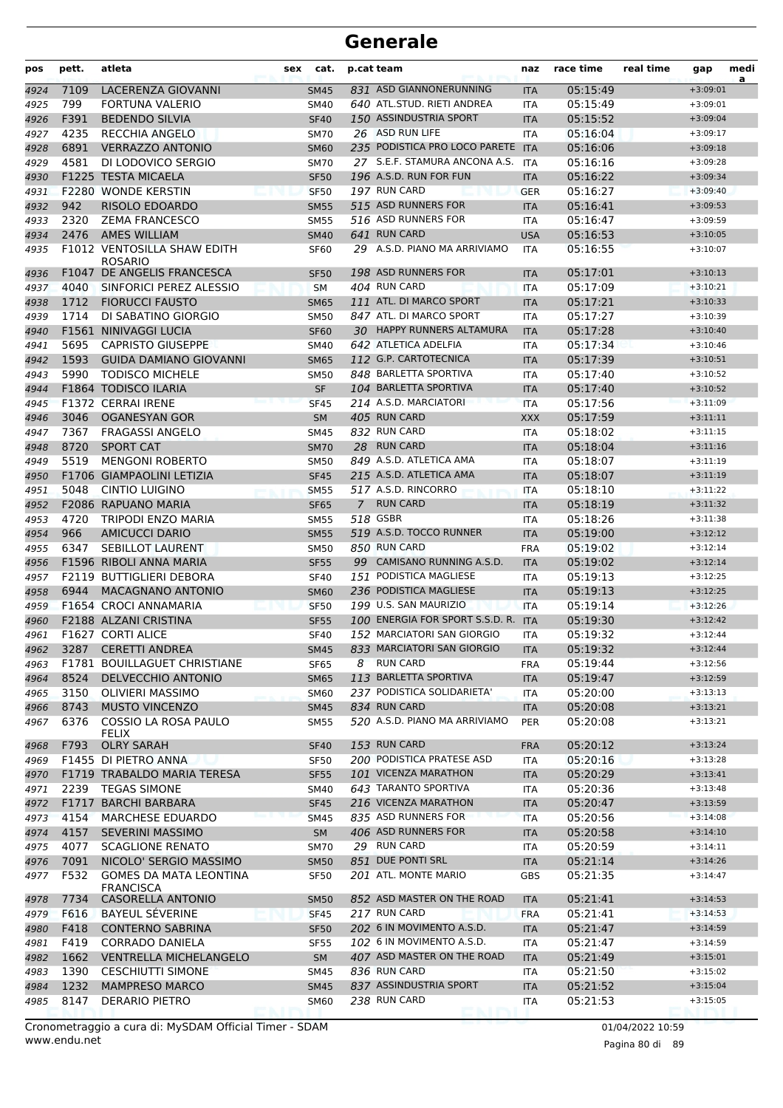| pos          | pett. | atleta                                              | sex | cat.                       |                | p.cat team                              | naz                      | race time            | real time | gap                      | medi<br>a |
|--------------|-------|-----------------------------------------------------|-----|----------------------------|----------------|-----------------------------------------|--------------------------|----------------------|-----------|--------------------------|-----------|
| 4924         | 7109  | LACERENZA GIOVANNI                                  |     | <b>SM45</b>                |                | 831 ASD GIANNONERUNNING                 | <b>ITA</b>               | 05:15:49             |           | $+3:09:01$               |           |
| 4925         | 799   | <b>FORTUNA VALERIO</b>                              |     | SM40                       |                | 640 ATL.STUD. RIETI ANDREA              | ITA                      | 05:15:49             |           | $+3:09:01$               |           |
| 4926         | F391  | <b>BEDENDO SILVIA</b>                               |     | <b>SF40</b>                |                | 150 ASSINDUSTRIA SPORT                  | <b>ITA</b>               | 05:15:52             |           | $+3:09:04$               |           |
| 4927         | 4235  | <b>RECCHIA ANGELO</b>                               |     | <b>SM70</b>                |                | 26 ASD RUN LIFE                         | <b>ITA</b>               | 05:16:04             |           | $+3:09:17$               |           |
| 4928         | 6891  | <b>VERRAZZO ANTONIO</b>                             |     | <b>SM60</b>                |                | 235 PODISTICA PRO LOCO PARETE           | <b>ITA</b>               | 05:16:06             |           | $+3:09:18$               |           |
| 4929         | 4581  | DI LODOVICO SERGIO                                  |     | <b>SM70</b>                |                | 27 S.E.F. STAMURA ANCONA A.S.           | ITA                      | 05:16:16             |           | $+3:09:28$               |           |
| 4930         |       | <b>F1225 TESTA MICAELA</b>                          |     | <b>SF50</b>                |                | 196 A.S.D. RUN FOR FUN                  | <b>ITA</b>               | 05:16:22             |           | $+3:09:34$               |           |
| 4931         |       | <b>F2280 WONDE KERSTIN</b>                          |     | <b>SF50</b>                |                | 197 RUN CARD                            | <b>GER</b>               | 05:16:27             |           | $+3:09:40$               |           |
| 4932         | 942   | RISOLO EDOARDO                                      |     | <b>SM55</b>                |                | 515 ASD RUNNERS FOR                     | <b>ITA</b>               | 05:16:41             |           | $+3:09:53$               |           |
| 4933         | 2320  | <b>ZEMA FRANCESCO</b>                               |     | <b>SM55</b>                |                | 516 ASD RUNNERS FOR                     | <b>ITA</b>               | 05:16:47             |           | $+3:09:59$               |           |
| 4934         | 2476  | <b>AMES WILLIAM</b>                                 |     | <b>SM40</b>                |                | 641 RUN CARD                            | <b>USA</b>               | 05:16:53             |           | $+3:10:05$               |           |
| 4935         |       | F1012 VENTOSILLA SHAW EDITH<br><b>ROSARIO</b>       |     | <b>SF60</b>                |                | 29 A.S.D. PIANO MA ARRIVIAMO            | <b>ITA</b>               | 05:16:55             |           | $+3:10:07$               |           |
| 4936         |       | F1047 DE ANGELIS FRANCESCA                          |     | <b>SF50</b>                |                | 198 ASD RUNNERS FOR                     | <b>ITA</b>               | 05:17:01             |           | $+3:10:13$               |           |
| 4937         | 4040  | SINFORICI PEREZ ALESSIO                             |     | <b>SM</b>                  |                | 404 RUN CARD                            | <b>ITA</b>               | 05:17:09             |           | $+3:10:21$               |           |
| 4938         | 1712  | <b>FIORUCCI FAUSTO</b>                              |     | <b>SM65</b>                |                | 111 ATL. DI MARCO SPORT                 | <b>ITA</b>               | 05:17:21             |           | $+3:10:33$               |           |
| 4939         | 1714  | DI SABATINO GIORGIO                                 |     | <b>SM50</b>                |                | 847 ATL. DI MARCO SPORT                 | <b>ITA</b>               | 05:17:27             |           | $+3:10:39$               |           |
| 4940         |       | <b>F1561 NINIVAGGI LUCIA</b>                        |     | <b>SF60</b>                |                | 30 HAPPY RUNNERS ALTAMURA               | <b>ITA</b>               | 05:17:28             |           | $+3:10:40$               |           |
| 4941         | 5695  | <b>CAPRISTO GIUSEPPE</b>                            |     | SM40                       |                | 642 ATLETICA ADELFIA                    | <b>ITA</b>               | 05:17:34             |           | $+3:10:46$               |           |
| 4942         | 1593  | <b>GUIDA DAMIANO GIOVANNI</b>                       |     | <b>SM65</b>                |                | 112 G.P. CARTOTECNICA                   | <b>ITA</b>               | 05:17:39             |           | $+3:10:51$               |           |
| 4943         | 5990  | <b>TODISCO MICHELE</b>                              |     | <b>SM50</b>                |                | 848 BARLETTA SPORTIVA                   | <b>ITA</b>               | 05:17:40             |           | $+3:10:52$               |           |
| 4944         |       | F1864 TODISCO ILARIA                                |     | <b>SF</b>                  |                | 104 BARLETTA SPORTIVA                   | <b>ITA</b>               | 05:17:40             |           | $+3:10:52$               |           |
| 4945         |       | <b>F1372 CERRAI IRENE</b>                           |     | <b>SF45</b>                |                | 214 A.S.D. MARCIATORI                   | <b>ITA</b>               | 05:17:56             |           | $+3:11:09$               |           |
| 4946         | 3046  | <b>OGANESYAN GOR</b>                                |     | <b>SM</b>                  |                | 405 RUN CARD                            | <b>XXX</b>               | 05:17:59             |           | $+3:11:11$               |           |
| 4947         | 7367  | <b>FRAGASSI ANGELO</b>                              |     | <b>SM45</b>                |                | 832 RUN CARD                            | <b>ITA</b>               | 05:18:02             |           | $+3:11:15$               |           |
| 4948         | 8720  | <b>SPORT CAT</b>                                    |     | <b>SM70</b>                |                | 28 RUN CARD                             | <b>ITA</b>               | 05:18:04             |           | $+3:11:16$               |           |
| 4949         | 5519  | <b>MENGONI ROBERTO</b>                              |     | <b>SM50</b>                |                | 849 A.S.D. ATLETICA AMA                 | ITA                      | 05:18:07             |           | $+3:11:19$               |           |
| 4950         |       | F1706 GIAMPAOLINI LETIZIA                           |     | <b>SF45</b>                |                | 215 A.S.D. ATLETICA AMA                 | <b>ITA</b>               | 05:18:07             |           | $+3:11:19$               |           |
| 4951         | 5048  | <b>CINTIO LUIGINO</b>                               |     | <b>SM55</b>                |                | 517 A.S.D. RINCORRO                     | <b>ITA</b>               | 05:18:10             |           | $+3:11:22$               |           |
| 4952         |       | F2086 RAPUANO MARIA                                 |     | <b>SF65</b>                | $\overline{7}$ | <b>RUN CARD</b>                         | <b>ITA</b>               | 05:18:19             |           | $+3:11:32$               |           |
| 4953         | 4720  | <b>TRIPODI ENZO MARIA</b>                           |     | <b>SM55</b>                |                | 518 GSBR                                | <b>ITA</b>               | 05:18:26             |           | $+3:11:38$               |           |
| 4954         | 966   | <b>AMICUCCI DARIO</b>                               |     | <b>SM55</b>                |                | 519 A.S.D. TOCCO RUNNER<br>850 RUN CARD | <b>ITA</b>               | 05:19:00             |           | $+3:12:12$               |           |
| 4955         | 6347  | SEBILLOT LAURENT                                    |     | <b>SM50</b>                |                | 99 CAMISANO RUNNING A.S.D.              | <b>FRA</b>               | 05:19:02             |           | $+3:12:14$               |           |
| 4956         |       | F1596 RIBOLI ANNA MARIA<br>F2119 BUTTIGLIERI DEBORA |     | <b>SF55</b>                |                | 151 PODISTICA MAGLIESE                  | <b>ITA</b>               | 05:19:02<br>05:19:13 |           | $+3:12:14$               |           |
| 4957         | 6944  | <b>MACAGNANO ANTONIO</b>                            |     | <b>SF40</b>                |                | 236 PODISTICA MAGLIESE                  | <b>ITA</b>               | 05:19:13             |           | $+3:12:25$<br>$+3:12:25$ |           |
| 4958<br>4959 |       | F1654 CROCI ANNAMARIA                               |     | <b>SM60</b><br><b>SF50</b> |                | 199 U.S. SAN MAURIZIO                   | <b>ITA</b><br><b>ITA</b> | 05:19:14             |           | $+3:12:26$               |           |
| 4960         |       | F2188 ALZANI CRISTINA                               |     | <b>SF55</b>                |                | 100 ENERGIA FOR SPORT S.S.D. R.         | <b>ITA</b>               | 05:19:30             |           | $+3:12:42$               |           |
| 4961         |       | F1627 CORTI ALICE                                   |     | <b>SF40</b>                |                | 152 MARCIATORI SAN GIORGIO              | <b>ITA</b>               | 05:19:32             |           | $+3:12:44$               |           |
| 4962         | 3287  | <b>CERETTI ANDREA</b>                               |     | SM45                       |                | 833 MARCIATORI SAN GIORGIO              | <b>ITA</b>               | 05:19:32             |           | $+3:12:44$               |           |
| 4963         |       | <b>F1781 BOUILLAGUET CHRISTIANE</b>                 |     | SF65                       |                | 8 RUN CARD                              | <b>FRA</b>               | 05:19:44             |           | $+3:12:56$               |           |
| 4964         | 8524  | DELVECCHIO ANTONIO                                  |     | <b>SM65</b>                |                | 113 BARLETTA SPORTIVA                   | <b>ITA</b>               | 05:19:47             |           | $+3:12:59$               |           |
| 4965         | 3150  | <b>OLIVIERI MASSIMO</b>                             |     | <b>SM60</b>                |                | 237 PODISTICA SOLIDARIETA'              | <b>ITA</b>               | 05:20:00             |           | $+3:13:13$               |           |
| 4966         | 8743  | <b>MUSTO VINCENZO</b>                               |     | <b>SM45</b>                |                | 834 RUN CARD                            | <b>ITA</b>               | 05:20:08             |           | $+3:13:21$               |           |
| 4967         | 6376  | COSSIO LA ROSA PAULO<br><b>FELIX</b>                |     | <b>SM55</b>                |                | 520 A.S.D. PIANO MA ARRIVIAMO           | <b>PER</b>               | 05:20:08             |           | $+3:13:21$               |           |
| 4968         | F793  | <b>OLRY SARAH</b>                                   |     | <b>SF40</b>                |                | 153 RUN CARD                            | <b>FRA</b>               | 05:20:12             |           | $+3:13:24$               |           |
| 4969         |       | F1455 DI PIETRO ANNA                                |     | <b>SF50</b>                |                | 200 PODISTICA PRATESE ASD               | ITA                      | 05:20:16             |           | $+3:13:28$               |           |
| 4970         |       | F1719 TRABALDO MARIA TERESA                         |     | <b>SF55</b>                |                | 101 VICENZA MARATHON                    | <b>ITA</b>               | 05:20:29             |           | $+3:13:41$               |           |
| 4971         | 2239  | <b>TEGAS SIMONE</b>                                 |     | SM40                       |                | 643 TARANTO SPORTIVA                    | ITA                      | 05:20:36             |           | $+3:13:48$               |           |
| 4972         | F1717 | <b>BARCHI BARBARA</b>                               |     | <b>SF45</b>                |                | 216 VICENZA MARATHON                    | <b>ITA</b>               | 05:20:47             |           | $+3:13:59$               |           |
| 4973         | 4154  | <b>MARCHESE EDUARDO</b>                             |     | <b>SM45</b>                |                | 835 ASD RUNNERS FOR                     | <b>ITA</b>               | 05:20:56             |           | $+3:14:08$               |           |
| 4974         | 4157  | <b>SEVERINI MASSIMO</b>                             |     | <b>SM</b>                  |                | 406 ASD RUNNERS FOR                     | <b>ITA</b>               | 05:20:58             |           | $+3:14:10$               |           |
| 4975         | 4077  | <b>SCAGLIONE RENATO</b>                             |     | <b>SM70</b>                |                | 29 RUN CARD                             | ITA                      | 05:20:59             |           | $+3:14:11$               |           |
| 4976         | 7091  | NICOLO' SERGIO MASSIMO                              |     | <b>SM50</b>                |                | 851 DUE PONTI SRL                       | <b>ITA</b>               | 05:21:14             |           | $+3:14:26$               |           |
| 4977         | F532  | <b>GOMES DA MATA LEONTINA</b><br><b>FRANCISCA</b>   |     | <b>SF50</b>                |                | 201 ATL. MONTE MARIO                    | <b>GBS</b>               | 05:21:35             |           | $+3:14:47$               |           |
| 4978         | 7734  | CASORELLA ANTONIO                                   |     | <b>SM50</b>                |                | 852 ASD MASTER ON THE ROAD              | <b>ITA</b>               | 05:21:41             |           | $+3:14:53$               |           |
| 4979         | F616  | <b>BAYEUL SÉVERINE</b>                              |     | <b>SF45</b>                |                | 217 RUN CARD                            | <b>FRA</b>               | 05:21:41             |           | $+3:14:53$               |           |
| 4980         | F418  | <b>CONTERNO SABRINA</b>                             |     | <b>SF50</b>                |                | 202 6 IN MOVIMENTO A.S.D.               | <b>ITA</b>               | 05:21:47             |           | $+3:14:59$               |           |
| 4981         | F419  | <b>CORRADO DANIELA</b>                              |     | <b>SF55</b>                |                | 102 6 IN MOVIMENTO A.S.D.               | ITA                      | 05:21:47             |           | $+3:14:59$               |           |
| 4982         | 1662  | <b>VENTRELLA MICHELANGELO</b>                       |     | <b>SM</b>                  |                | 407 ASD MASTER ON THE ROAD              | <b>ITA</b>               | 05:21:49             |           | $+3:15:01$               |           |
| 4983         | 1390  | <b>CESCHIUTTI SIMONE</b>                            |     | SM45                       |                | 836 RUN CARD                            | ITA                      | 05:21:50             |           | $+3:15:02$               |           |
| 4984         | 1232  | <b>MAMPRESO MARCO</b>                               |     | <b>SM45</b>                |                | 837 ASSINDUSTRIA SPORT                  | <b>ITA</b>               | 05:21:52             |           | $+3:15:04$               |           |
| 4985         | 8147  | <b>DERARIO PIETRO</b>                               |     | <b>SM60</b>                |                | 238 RUN CARD                            | ITA                      | 05:21:53             |           | $+3:15:05$               |           |

www.endu.net Cronometraggio a cura di: MySDAM Official Timer - SDAM 01/04/2022 10:59 01/04/2022 10:59

Pagina 80 di 89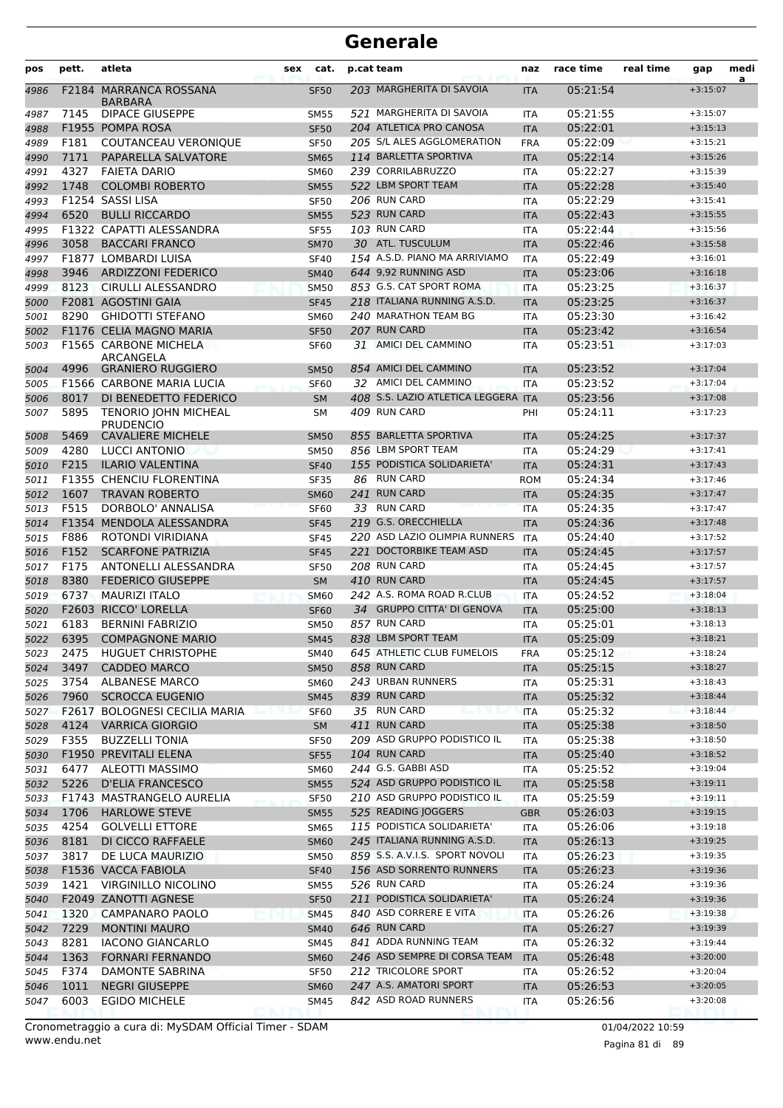| pos          | pett.        | atleta                                           | sex | cat.                       | p.cat team                                                    | naz                      | race time            | real time | gap                      | medi |
|--------------|--------------|--------------------------------------------------|-----|----------------------------|---------------------------------------------------------------|--------------------------|----------------------|-----------|--------------------------|------|
| 4986         | F2184        | <b>MARRANCA ROSSANA</b><br>BARBARA               |     | <b>SF50</b>                | 203 MARGHERITA DI SAVOIA                                      | <b>ITA</b>               | 05:21:54             |           | $+3:15:07$               | a    |
| 4987         | 7145         | <b>DIPACE GIUSEPPE</b>                           |     | <b>SM55</b>                | 521 MARGHERITA DI SAVOIA                                      | <b>ITA</b>               | 05:21:55             |           | $+3:15:07$               |      |
| 4988         |              | F1955 POMPA ROSA                                 |     | <b>SF50</b>                | 204 ATLETICA PRO CANOSA                                       | <b>ITA</b>               | 05:22:01             |           | $+3:15:13$               |      |
| 4989         | F181         | COUTANCEAU VERONIQUE                             |     | <b>SF50</b>                | 205 S/L ALES AGGLOMERATION                                    | <b>FRA</b>               | 05:22:09             |           | $+3:15:21$               |      |
| 4990         | 7171         | PAPARELLA SALVATORE                              |     | <b>SM65</b>                | 114 BARLETTA SPORTIVA                                         | <b>ITA</b>               | 05:22:14             |           | $+3:15:26$               |      |
| 4991         | 4327         | <b>FAIETA DARIO</b>                              |     | <b>SM60</b>                | 239 CORRILABRUZZO                                             | <b>ITA</b>               | 05:22:27             |           | $+3:15:39$               |      |
| 4992         | 1748         | <b>COLOMBI ROBERTO</b>                           |     | <b>SM55</b>                | 522 LBM SPORT TEAM                                            | <b>ITA</b>               | 05:22:28             |           | $+3:15:40$               |      |
| 4993         |              | F1254 SASSI LISA                                 |     | <b>SF50</b>                | 206 RUN CARD                                                  | <b>ITA</b>               | 05:22:29             |           | $+3:15:41$               |      |
| 4994         | 6520         | <b>BULLI RICCARDO</b>                            |     | <b>SM55</b>                | 523 RUN CARD                                                  | <b>ITA</b>               | 05:22:43             |           | $+3:15:55$               |      |
| 4995         |              | F1322 CAPATTI ALESSANDRA                         |     | <b>SF55</b>                | 103 RUN CARD                                                  | <b>ITA</b>               | 05:22:44             |           | $+3:15:56$               |      |
| 4996         | 3058         | <b>BACCARI FRANCO</b>                            |     | <b>SM70</b>                | 30 ATL. TUSCULUM                                              | <b>ITA</b>               | 05:22:46             |           | $+3:15:58$               |      |
| 4997         |              | F1877 LOMBARDI LUISA                             |     | <b>SF40</b>                | 154 A.S.D. PIANO MA ARRIVIAMO                                 | <b>ITA</b>               | 05:22:49             |           | $+3:16:01$               |      |
| 4998         | 3946         | <b>ARDIZZONI FEDERICO</b>                        |     | <b>SM40</b>                | 644 9,92 RUNNING ASD                                          | <b>ITA</b>               | 05:23:06             |           | $+3:16:18$               |      |
| 4999         | 8123         | <b>CIRULLI ALESSANDRO</b>                        |     | <b>SM50</b>                | 853 G.S. CAT SPORT ROMA                                       | <b>ITA</b>               | 05:23:25             |           | $+3:16:37$               |      |
| 5000         |              | F2081 AGOSTINI GAIA                              |     | <b>SF45</b>                | 218 ITALIANA RUNNING A.S.D.                                   | <b>ITA</b>               | 05:23:25             |           | $+3:16:37$               |      |
| 5001         | 8290         | <b>GHIDOTTI STEFANO</b>                          |     | <b>SM60</b>                | 240 MARATHON TEAM BG                                          | <b>ITA</b>               | 05:23:30             |           | $+3:16:42$               |      |
| 5002         |              | F1176 CELIA MAGNO MARIA                          |     | <b>SF50</b>                | 207 RUN CARD                                                  | <b>ITA</b>               | 05:23:42             |           | $+3:16:54$               |      |
| 5003         |              | <b>F1565 CARBONE MICHELA</b><br>ARCANGELA        |     | <b>SF60</b>                | 31 AMICI DEL CAMMINO                                          | <b>ITA</b>               | 05:23:51             |           | $+3:17:03$               |      |
| 5004         | 4996         | <b>GRANIERO RUGGIERO</b>                         |     | <b>SM50</b>                | 854 AMICI DEL CAMMINO                                         | <b>ITA</b>               | 05:23:52             |           | $+3:17:04$               |      |
| 5005         |              | F1566 CARBONE MARIA LUCIA                        |     | SF <sub>60</sub>           | 32 AMICI DEL CAMMINO                                          | <b>ITA</b>               | 05:23:52             |           | $+3:17:04$               |      |
| 5006         | 8017         | DI BENEDETTO FEDERICO                            |     | <b>SM</b>                  | 408 S.S. LAZIO ATLETICA LEGGERA ITA                           |                          | 05:23:56             |           | $+3:17:08$               |      |
| 5007         | 5895         | <b>TENORIO JOHN MICHEAL</b><br><b>PRUDENCIO</b>  |     | <b>SM</b>                  | 409 RUN CARD                                                  | PHI                      | 05:24:11             |           | $+3:17:23$               |      |
| 5008         | 5469         | <b>CAVALIERE MICHELE</b>                         |     | <b>SM50</b>                | 855 BARLETTA SPORTIVA                                         | <b>ITA</b>               | 05:24:25             |           | $+3:17:37$               |      |
| 5009         | 4280         | LUCCI ANTONIO                                    |     | <b>SM50</b>                | 856 LBM SPORT TEAM                                            | <b>ITA</b>               | 05:24:29             |           | $+3:17:41$               |      |
| 5010         | F215         | <b>ILARIO VALENTINA</b>                          |     | <b>SF40</b>                | 155 PODISTICA SOLIDARIETA'                                    | <b>ITA</b>               | 05:24:31             |           | $+3:17:43$               |      |
| 5011         |              | F1355 CHENCIU FLORENTINA                         |     | <b>SF35</b>                | 86 RUN CARD                                                   | <b>ROM</b>               | 05:24:34             |           | $+3:17:46$               |      |
| 5012         | 1607         | <b>TRAVAN ROBERTO</b>                            |     | <b>SM60</b>                | 241 RUN CARD                                                  | <b>ITA</b>               | 05:24:35             |           | $+3:17:47$               |      |
| 5013         | F515         | DORBOLO' ANNALISA                                |     | <b>SF60</b>                | 33 RUN CARD                                                   | <b>ITA</b>               | 05:24:35             |           | $+3:17:47$               |      |
| 5014         |              | F1354 MENDOLA ALESSANDRA                         |     | <b>SF45</b>                | 219 G.S. ORECCHIELLA                                          | <b>ITA</b>               | 05:24:36             |           | $+3:17:48$               |      |
| 5015         | F886         | ROTONDI VIRIDIANA                                |     | <b>SF45</b>                | 220 ASD LAZIO OLIMPIA RUNNERS<br>221 DOCTORBIKE TEAM ASD      | <b>ITA</b>               | 05:24:40             |           | $+3:17:52$               |      |
| 5016<br>5017 | F152<br>F175 | <b>SCARFONE PATRIZIA</b><br>ANTONELLI ALESSANDRA |     | <b>SF45</b><br><b>SF50</b> | 208 RUN CARD                                                  | <b>ITA</b><br><b>ITA</b> | 05:24:45<br>05:24:45 |           | $+3:17:57$<br>$+3:17:57$ |      |
| 5018         | 8380         | <b>FEDERICO GIUSEPPE</b>                         |     | <b>SM</b>                  | 410 RUN CARD                                                  | <b>ITA</b>               | 05:24:45             |           | $+3:17:57$               |      |
| 5019         | 6737         | <b>MAURIZI ITALO</b>                             |     | <b>SM60</b>                | 242 A.S. ROMA ROAD R.CLUB                                     | <b>ITA</b>               | 05:24:52             |           | $+3:18:04$               |      |
| 5020         | F2603        | RICCO' LORELLA                                   |     | <b>SF60</b>                | 34 GRUPPO CITTA' DI GENOVA                                    | <b>ITA</b>               | 05:25:00             |           | $+3:18:13$               |      |
| 5021         | 6183         | <b>BERNINI FABRIZIO</b>                          |     | <b>SM50</b>                | 857 RUN CARD                                                  | ITA                      | 05:25:01             |           | $+3:18:13$               |      |
| 5022         | 6395         | <b>COMPAGNONE MARIO</b>                          |     | <b>SM45</b>                | 838 LBM SPORT TEAM                                            | <b>ITA</b>               | 05:25:09             |           | $+3:18:21$               |      |
| 5023         | 2475         | HUGUET CHRISTOPHE                                |     | <b>SM40</b>                | 645 ATHLETIC CLUB FUMELOIS                                    | <b>FRA</b>               | 05:25:12             |           | $+3:18:24$               |      |
| 5024         | 3497         | <b>CADDEO MARCO</b>                              |     | <b>SM50</b>                | 858 RUN CARD                                                  | <b>ITA</b>               | 05:25:15             |           | $+3:18:27$               |      |
| 5025         | 3754         | <b>ALBANESE MARCO</b>                            |     | <b>SM60</b>                | 243 URBAN RUNNERS                                             | ITA                      | 05:25:31             |           | $+3:18:43$               |      |
| 5026         | 7960         | <b>SCROCCA EUGENIO</b>                           |     | <b>SM45</b>                | 839 RUN CARD                                                  | <b>ITA</b>               | 05:25:32             |           | $+3:18:44$               |      |
| 5027         |              | F2617 BOLOGNESI CECILIA MARIA                    |     | <b>SF60</b>                | 35 RUN CARD                                                   | <b>ITA</b>               | 05:25:32             |           | $+3:18:44$               |      |
| 5028         | 4124         | <b>VARRICA GIORGIO</b>                           |     | <b>SM</b>                  | 411 RUN CARD                                                  | <b>ITA</b>               | 05:25:38             |           | $+3:18:50$               |      |
| 5029         | F355         | <b>BUZZELLI TONIA</b>                            |     | <b>SF50</b>                | 209 ASD GRUPPO PODISTICO IL                                   | ITA                      | 05:25:38             |           | $+3:18:50$               |      |
| 5030         |              | F1950 PREVITALI ELENA                            |     | <b>SF55</b>                | 104 RUN CARD                                                  | <b>ITA</b>               | 05:25:40             |           | $+3:18:52$               |      |
| 5031         | 6477         | ALEOTTI MASSIMO                                  |     | <b>SM60</b>                | 244 G.S. GABBI ASD                                            | ITA                      | 05:25:52             |           | $+3:19:04$               |      |
| 5032         | 5226         | <b>D'ELIA FRANCESCO</b>                          |     | <b>SM55</b>                | 524 ASD GRUPPO PODISTICO IL                                   | <b>ITA</b>               | 05:25:58             |           | $+3:19:11$               |      |
| 5033         |              | F1743 MASTRANGELO AURELIA                        |     | <b>SF50</b>                | 210 ASD GRUPPO PODISTICO IL                                   | <b>ITA</b>               | 05:25:59             |           | $+3:19:11$               |      |
| 5034         | 1706         | <b>HARLOWE STEVE</b>                             |     | <b>SM55</b>                | 525 READING JOGGERS                                           | <b>GBR</b>               | 05:26:03             |           | $+3:19:15$               |      |
| 5035         | 4254         | <b>GOLVELLI ETTORE</b>                           |     | <b>SM65</b>                | 115 PODISTICA SOLIDARIETA'                                    | ITA                      | 05:26:06             |           | $+3:19:18$               |      |
| 5036         | 8181         | DI CICCO RAFFAELE                                |     | <b>SM60</b>                | 245 ITALIANA RUNNING A.S.D.<br>859 S.S. A.V.I.S. SPORT NOVOLI | <b>ITA</b>               | 05:26:13             |           | $+3:19:25$               |      |
| 5037         | 3817         | DE LUCA MAURIZIO<br>F1536 VACCA FABIOLA          |     | <b>SM50</b>                | 156 ASD SORRENTO RUNNERS                                      | ITA                      | 05:26:23             |           | $+3:19:35$<br>$+3:19:36$ |      |
| 5038<br>5039 | 1421         | VIRGINILLO NICOLINO                              |     | <b>SF40</b><br><b>SM55</b> | 526 RUN CARD                                                  | <b>ITA</b><br>ITA        | 05:26:23<br>05:26:24 |           | $+3:19:36$               |      |
| 5040         |              | F2049 ZANOTTI AGNESE                             |     | <b>SF50</b>                | 211 PODISTICA SOLIDARIETA'                                    | <b>ITA</b>               | 05:26:24             |           | $+3:19:36$               |      |
| 5041         | 1320         | <b>CAMPANARO PAOLO</b>                           |     | <b>SM45</b>                | 840 ASD CORRERE E VITA                                        | <b>ITA</b>               | 05:26:26             |           | $+3:19:38$               |      |
| 5042         | 7229         | <b>MONTINI MAURO</b>                             |     | <b>SM40</b>                | 646 RUN CARD                                                  | <b>ITA</b>               | 05:26:27             |           | $+3:19:39$               |      |
| 5043         | 8281         | <b>IACONO GIANCARLO</b>                          |     | SM45                       | 841 ADDA RUNNING TEAM                                         | ITA                      | 05:26:32             |           | $+3:19:44$               |      |
| 5044         | 1363         | <b>FORNARI FERNANDO</b>                          |     | <b>SM60</b>                | 246 ASD SEMPRE DI CORSA TEAM                                  | <b>ITA</b>               | 05:26:48             |           | $+3:20:00$               |      |
| 5045         | F374         | DAMONTE SABRINA                                  |     | <b>SF50</b>                | 212 TRICOLORE SPORT                                           | ITA                      | 05:26:52             |           | $+3:20:04$               |      |
| 5046         | 1011         | <b>NEGRI GIUSEPPE</b>                            |     | <b>SM60</b>                | 247 A.S. AMATORI SPORT                                        | <b>ITA</b>               | 05:26:53             |           | $+3:20:05$               |      |
| 5047         | 6003         | <b>EGIDO MICHELE</b>                             |     | SM45                       | 842 ASD ROAD RUNNERS                                          | ITA                      | 05:26:56             |           | $+3:20:08$               |      |
|              |              |                                                  |     |                            |                                                               |                          |                      |           |                          |      |

www.endu.net Cronometraggio a cura di: MySDAM Official Timer - SDAM 01/04/2022 10:59 01/04/2022 10:59

Pagina 81 di 89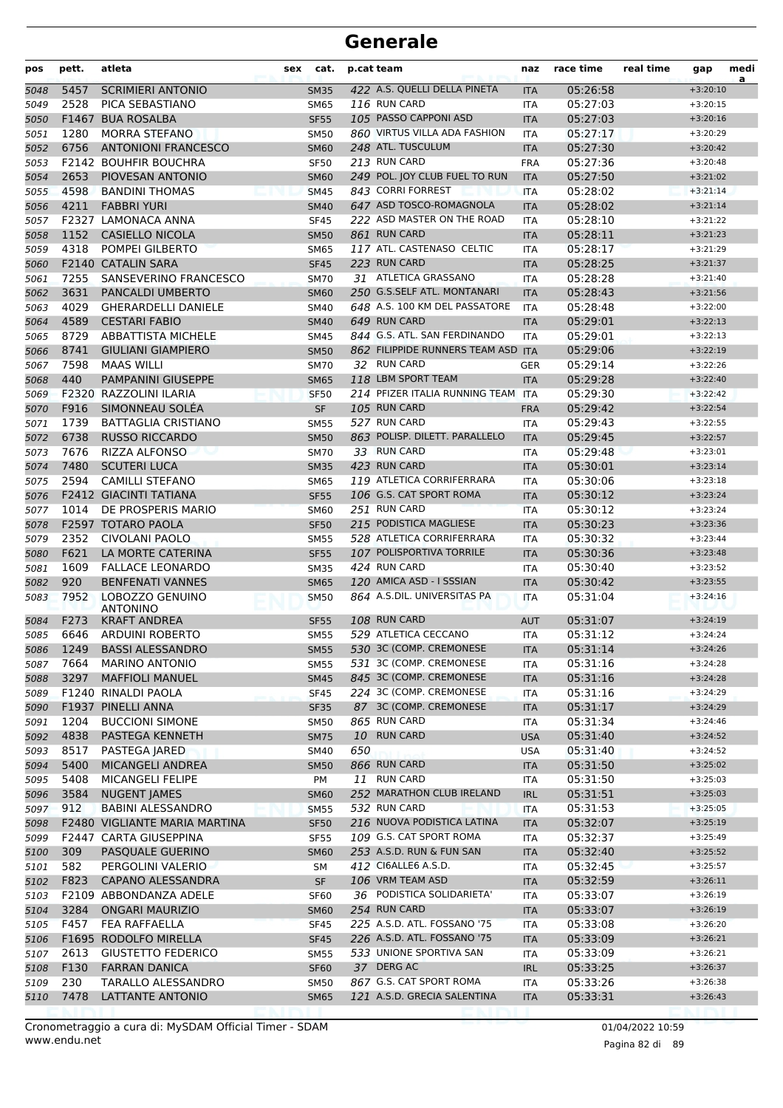| pos  | pett. | atleta                             | sex | cat.        |     | p.cat team                         | naz        | race time | real time | gap        | medi<br>a |
|------|-------|------------------------------------|-----|-------------|-----|------------------------------------|------------|-----------|-----------|------------|-----------|
| 5048 | 5457  | <b>SCRIMIERI ANTONIO</b>           |     | <b>SM35</b> |     | 422 A.S. QUELLI DELLA PINETA       | <b>ITA</b> | 05:26:58  |           | $+3:20:10$ |           |
| 5049 | 2528  | PICA SEBASTIANO                    |     | <b>SM65</b> |     | 116 RUN CARD                       | <b>ITA</b> | 05:27:03  |           | $+3:20:15$ |           |
| 5050 |       | F1467 BUA ROSALBA                  |     | <b>SF55</b> |     | 105 PASSO CAPPONI ASD              | <b>ITA</b> | 05:27:03  |           | $+3:20:16$ |           |
| 5051 | 1280  | <b>MORRA STEFANO</b>               |     | <b>SM50</b> |     | 860 VIRTUS VILLA ADA FASHION       | <b>ITA</b> | 05:27:17  |           | $+3:20:29$ |           |
| 5052 | 6756  | <b>ANTONIONI FRANCESCO</b>         |     | <b>SM60</b> |     | 248 ATL. TUSCULUM                  | <b>ITA</b> | 05:27:30  |           | $+3:20:42$ |           |
| 5053 |       | <b>F2142 BOUHFIR BOUCHRA</b>       |     | <b>SF50</b> |     | 213 RUN CARD                       | <b>FRA</b> | 05:27:36  |           | $+3:20:48$ |           |
| 5054 | 2653  | PIOVESAN ANTONIO                   |     | <b>SM60</b> |     | 249 POL. JOY CLUB FUEL TO RUN      | <b>ITA</b> | 05:27:50  |           | $+3:21:02$ |           |
| 5055 | 4598  | <b>BANDINI THOMAS</b>              |     | <b>SM45</b> |     | 843 CORRI FORREST                  | <b>ITA</b> | 05:28:02  |           | $+3:21:14$ |           |
| 5056 | 4211  | <b>FABBRI YURI</b>                 |     | <b>SM40</b> |     | 647 ASD TOSCO-ROMAGNOLA            | <b>ITA</b> | 05:28:02  |           | $+3:21:14$ |           |
| 5057 | F2327 | <b>LAMONACA ANNA</b>               |     | <b>SF45</b> |     | 222 ASD MASTER ON THE ROAD         | <b>ITA</b> | 05:28:10  |           | $+3:21:22$ |           |
| 5058 | 1152  | <b>CASIELLO NICOLA</b>             |     | <b>SM50</b> |     | 861 RUN CARD                       | <b>ITA</b> | 05:28:11  |           | $+3:21:23$ |           |
| 5059 | 4318  | POMPEI GILBERTO                    |     | <b>SM65</b> |     | 117 ATL. CASTENASO CELTIC          | ITA        | 05:28:17  |           | $+3:21:29$ |           |
| 5060 |       | F2140 CATALIN SARA                 |     | <b>SF45</b> |     | 223 RUN CARD                       | <b>ITA</b> | 05:28:25  |           | $+3:21:37$ |           |
| 5061 | 7255  | SANSEVERINO FRANCESCO              |     | <b>SM70</b> |     | 31 ATLETICA GRASSANO               | <b>ITA</b> | 05:28:28  |           | $+3:21:40$ |           |
| 5062 | 3631  | <b>PANCALDI UMBERTO</b>            |     | <b>SM60</b> |     | 250 G.S.SELF ATL. MONTANARI        | <b>ITA</b> | 05:28:43  |           | $+3:21:56$ |           |
| 5063 | 4029  | <b>GHERARDELLI DANIELE</b>         |     | <b>SM40</b> |     | 648 A.S. 100 KM DEL PASSATORE      | <b>ITA</b> | 05:28:48  |           | $+3:22:00$ |           |
| 5064 | 4589  | <b>CESTARI FABIO</b>               |     | <b>SM40</b> |     | 649 RUN CARD                       | <b>ITA</b> | 05:29:01  |           | $+3:22:13$ |           |
| 5065 | 8729  | <b>ABBATTISTA MICHELE</b>          |     | <b>SM45</b> |     | 844 G.S. ATL. SAN FERDINANDO       | <b>ITA</b> | 05:29:01  |           | $+3:22:13$ |           |
| 5066 | 8741  | <b>GIULIANI GIAMPIERO</b>          |     | <b>SM50</b> |     | 862 FILIPPIDE RUNNERS TEAM ASD ITA |            | 05:29:06  |           | $+3:22:19$ |           |
| 5067 | 7598  | <b>MAAS WILLI</b>                  |     | <b>SM70</b> |     | 32 RUN CARD                        | GER        | 05:29:14  |           | $+3:22:26$ |           |
| 5068 | 440   | PAMPANINI GIUSEPPE                 |     | <b>SM65</b> |     | 118 LBM SPORT TEAM                 | <b>ITA</b> | 05:29:28  |           | $+3:22:40$ |           |
| 5069 |       | F2320 RAZZOLINI ILARIA             |     | <b>SF50</b> |     | 214 PFIZER ITALIA RUNNING TEAM     | <b>ITA</b> | 05:29:30  |           | $+3:22:42$ |           |
| 5070 | F916  | SIMONNEAU SOLEA                    |     | <b>SF</b>   |     | 105 RUN CARD                       | <b>FRA</b> | 05:29:42  |           | $+3:22:54$ |           |
| 5071 | 1739  | <b>BATTAGLIA CRISTIANO</b>         |     | <b>SM55</b> |     | 527 RUN CARD                       | <b>ITA</b> | 05:29:43  |           | $+3:22:55$ |           |
| 5072 | 6738  | <b>RUSSO RICCARDO</b>              |     | <b>SM50</b> |     | 863 POLISP. DILETT. PARALLELO      | <b>ITA</b> | 05:29:45  |           | $+3:22:57$ |           |
| 5073 | 7676  | <b>RIZZA ALFONSO</b>               |     | <b>SM70</b> |     | 33 RUN CARD                        | ITA        | 05:29:48  |           | $+3:23:01$ |           |
| 5074 | 7480  | <b>SCUTERI LUCA</b>                |     | <b>SM35</b> |     | 423 RUN CARD                       | <b>ITA</b> | 05:30:01  |           | $+3:23:14$ |           |
| 5075 | 2594  | <b>CAMILLI STEFANO</b>             |     | <b>SM65</b> |     | 119 ATLETICA CORRIFERRARA          | ITA        | 05:30:06  |           | $+3:23:18$ |           |
| 5076 |       | <b>F2412 GIACINTI TATIANA</b>      |     | <b>SF55</b> |     | 106 G.S. CAT SPORT ROMA            | <b>ITA</b> | 05:30:12  |           | $+3:23:24$ |           |
| 5077 | 1014  | DE PROSPERIS MARIO                 |     | <b>SM60</b> |     | 251 RUN CARD                       | <b>ITA</b> | 05:30:12  |           | $+3:23:24$ |           |
| 5078 |       | F2597 TOTARO PAOLA                 |     | <b>SF50</b> |     | 215 PODISTICA MAGLIESE             | <b>ITA</b> | 05:30:23  |           | $+3:23:36$ |           |
| 5079 | 2352  | CIVOLANI PAOLO                     |     | <b>SM55</b> |     | 528 ATLETICA CORRIFERRARA          | ITA        | 05:30:32  |           | $+3:23:44$ |           |
| 5080 | F621  | LA MORTE CATERINA                  |     | <b>SF55</b> |     | 107 POLISPORTIVA TORRILE           | <b>ITA</b> | 05:30:36  |           | $+3:23:48$ |           |
| 5081 | 1609  | <b>FALLACE LEONARDO</b>            |     | <b>SM35</b> |     | 424 RUN CARD                       | ITA        | 05:30:40  |           | $+3:23:52$ |           |
| 5082 | 920   | <b>BENFENATI VANNES</b>            |     | <b>SM65</b> |     | 120 AMICA ASD - I SSSIAN           | <b>ITA</b> | 05:30:42  |           | $+3:23:55$ |           |
| 5083 | 7952  | LOBOZZO GENUINO<br><b>ANTONINO</b> |     | <b>SM50</b> |     | 864 A.S.DIL. UNIVERSITAS PA        | <b>ITA</b> | 05:31:04  |           | $+3:24:16$ |           |
| 5084 | F273  | <b>KRAFT ANDREA</b>                |     | <b>SF55</b> |     | 108 RUN CARD                       | <b>AUT</b> | 05:31:07  |           | $+3:24:19$ |           |
| 5085 | 6646  | <b>ARDUINI ROBERTO</b>             |     | <b>SM55</b> |     | 529 ATLETICA CECCANO               | ITA        | 05:31:12  |           | $+3:24:24$ |           |
| 5086 |       | 1249 BASSI ALESSANDRO              |     | <b>SM55</b> |     | 530 3C (COMP. CREMONESE            | <b>ITA</b> | 05:31:14  |           | $+3:24:26$ |           |
| 5087 | 7664  | <b>MARINO ANTONIO</b>              |     | <b>SM55</b> |     | 531 3C (COMP. CREMONESE            | <b>ITA</b> | 05:31:16  |           | $+3:24:28$ |           |
| 5088 | 3297  | <b>MAFFIOLI MANUEL</b>             |     | <b>SM45</b> |     | 845 3C (COMP. CREMONESE            | <b>ITA</b> | 05:31:16  |           | $+3:24:28$ |           |
| 5089 |       | F1240 RINALDI PAOLA                |     | <b>SF45</b> |     | 224 3C (COMP. CREMONESE            | ITA        | 05:31:16  |           | $+3:24:29$ |           |
| 5090 |       | F1937 PINELLI ANNA                 |     | <b>SF35</b> |     | 87 3C (COMP. CREMONESE             | <b>ITA</b> | 05:31:17  |           | $+3:24:29$ |           |
| 5091 | 1204  | <b>BUCCIONI SIMONE</b>             |     | <b>SM50</b> |     | 865 RUN CARD                       | ITA        | 05:31:34  |           | $+3:24:46$ |           |
| 5092 | 4838  | PASTEGA KENNETH                    |     | <b>SM75</b> |     | 10 RUN CARD                        | <b>USA</b> | 05:31:40  |           | $+3:24:52$ |           |
| 5093 | 8517  | PASTEGA JARED                      |     | <b>SM40</b> | 650 |                                    | <b>USA</b> | 05:31:40  |           | $+3:24:52$ |           |
| 5094 | 5400  | MICANGELI ANDREA                   |     | <b>SM50</b> |     | 866 RUN CARD                       | <b>ITA</b> | 05:31:50  |           | $+3:25:02$ |           |
| 5095 | 5408  | MICANGELI FELIPE                   |     | PM          |     | 11 RUN CARD                        | ITA        | 05:31:50  |           | $+3:25:03$ |           |
| 5096 | 3584  | <b>NUGENT JAMES</b>                |     | <b>SM60</b> |     | 252 MARATHON CLUB IRELAND          | <b>IRL</b> | 05:31:51  |           | $+3:25:03$ |           |
| 5097 | 912   | <b>BABINI ALESSANDRO</b>           |     | <b>SM55</b> |     | 532 RUN CARD                       | <b>ITA</b> | 05:31:53  |           | $+3:25:05$ |           |
| 5098 |       | F2480 VIGLIANTE MARIA MARTINA      |     | <b>SF50</b> |     | 216 NUOVA PODISTICA LATINA         | <b>ITA</b> | 05:32:07  |           | $+3:25:19$ |           |
| 5099 |       | <b>F2447 CARTA GIUSEPPINA</b>      |     | <b>SF55</b> |     | 109 G.S. CAT SPORT ROMA            | <b>ITA</b> | 05:32:37  |           | $+3:25:49$ |           |
| 5100 | 309   | PASQUALE GUERINO                   |     | <b>SM60</b> |     | 253 A.S.D. RUN & FUN SAN           | <b>ITA</b> | 05:32:40  |           | $+3:25:52$ |           |
| 5101 | 582   | PERGOLINI VALERIO                  |     | SМ          |     | 412 CI6ALLE6 A.S.D.                | ITA        | 05:32:45  |           | $+3:25:57$ |           |
| 5102 | F823  | <b>CAPANO ALESSANDRA</b>           |     | <b>SF</b>   |     | 106 VRM TEAM ASD                   | <b>ITA</b> | 05:32:59  |           | $+3:26:11$ |           |
| 5103 |       | F2109 ABBONDANZA ADELE             |     | <b>SF60</b> |     | 36 PODISTICA SOLIDARIETA'          | ITA        | 05:33:07  |           | $+3:26:19$ |           |
| 5104 | 3284  | <b>ONGARI MAURIZIO</b>             |     | <b>SM60</b> |     | 254 RUN CARD                       | <b>ITA</b> | 05:33:07  |           | $+3:26:19$ |           |
| 5105 | F457  | FEA RAFFAELLA                      |     | <b>SF45</b> |     | 225 A.S.D. ATL. FOSSANO '75        | ITA        | 05:33:08  |           | $+3:26:20$ |           |
| 5106 |       | F1695 RODOLFO MIRELLA              |     | <b>SF45</b> |     | 226 A.S.D. ATL. FOSSANO '75        | <b>ITA</b> | 05:33:09  |           | $+3:26:21$ |           |
| 5107 | 2613  | <b>GIUSTETTO FEDERICO</b>          |     | <b>SM55</b> |     | 533 UNIONE SPORTIVA SAN            | ITA        | 05:33:09  |           | $+3:26:21$ |           |
| 5108 | F130  | <b>FARRAN DANICA</b>               |     | <b>SF60</b> |     | 37 DERG AC                         | <b>IRL</b> | 05:33:25  |           | $+3:26:37$ |           |
| 5109 | 230   | TARALLO ALESSANDRO                 |     | <b>SM50</b> |     | 867 G.S. CAT SPORT ROMA            | ITA        | 05:33:26  |           | $+3:26:38$ |           |
| 5110 | 7478  | LATTANTE ANTONIO                   |     | <b>SM65</b> |     | 121 A.S.D. GRECIA SALENTINA        | <b>ITA</b> | 05:33:31  |           | $+3:26:43$ |           |
|      |       |                                    |     |             |     |                                    |            |           |           |            |           |

Pagina 82 di 89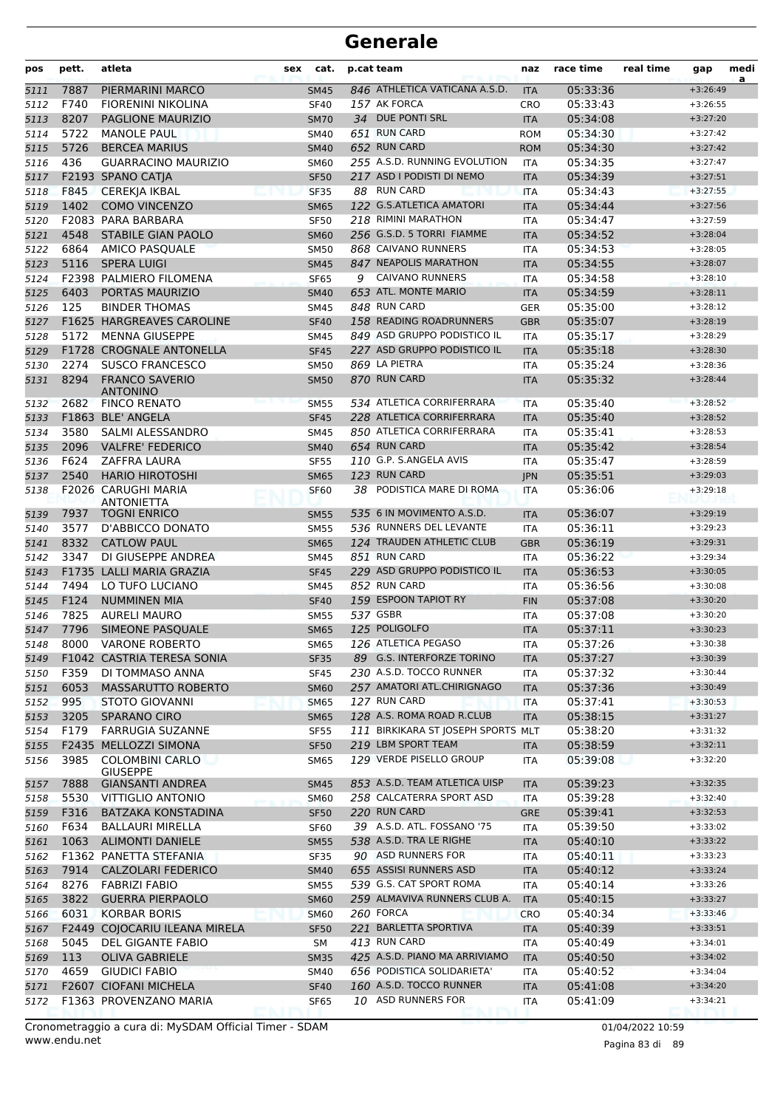| pos  | pett. | atleta                                     | sex | cat.        |   | p.cat team                         | naz        | race time | real time | gap        | medi<br>a |
|------|-------|--------------------------------------------|-----|-------------|---|------------------------------------|------------|-----------|-----------|------------|-----------|
| 5111 | 7887  | PIERMARINI MARCO                           |     | <b>SM45</b> |   | 846 ATHLETICA VATICANA A.S.D.      | <b>ITA</b> | 05:33:36  |           | $+3:26:49$ |           |
| 5112 | F740  | <b>FIORENINI NIKOLINA</b>                  |     | <b>SF40</b> |   | 157 AK FORCA                       | <b>CRO</b> | 05:33:43  |           | $+3:26:55$ |           |
| 5113 | 8207  | PAGLIONE MAURIZIO                          |     | <b>SM70</b> |   | 34 DUE PONTI SRL                   | <b>ITA</b> | 05:34:08  |           | $+3:27:20$ |           |
| 5114 | 5722  | <b>MANOLE PAUL</b>                         |     | SM40        |   | 651 RUN CARD                       | <b>ROM</b> | 05:34:30  |           | $+3:27:42$ |           |
| 5115 | 5726  | <b>BERCEA MARIUS</b>                       |     | <b>SM40</b> |   | 652 RUN CARD                       | <b>ROM</b> | 05:34:30  |           | $+3:27:42$ |           |
| 5116 | 436   | <b>GUARRACINO MAURIZIO</b>                 |     | <b>SM60</b> |   | 255 A.S.D. RUNNING EVOLUTION       | <b>ITA</b> | 05:34:35  |           | $+3:27:47$ |           |
| 5117 |       | F2193 SPANO CATJA                          |     | <b>SF50</b> |   | 217 ASD I PODISTI DI NEMO          | <b>ITA</b> | 05:34:39  |           | $+3:27:51$ |           |
| 5118 | F845  | <b>CEREKJA IKBAL</b>                       |     | <b>SF35</b> |   | 88 RUN CARD                        | <b>ITA</b> | 05:34:43  |           | $+3:27:55$ |           |
| 5119 | 1402  | <b>COMO VINCENZO</b>                       |     | <b>SM65</b> |   | 122 G.S.ATLETICA AMATORI           | <b>ITA</b> | 05:34:44  |           | $+3:27:56$ |           |
| 5120 |       | F2083 PARA BARBARA                         |     | <b>SF50</b> |   | 218 RIMINI MARATHON                | <b>ITA</b> | 05:34:47  |           | $+3:27:59$ |           |
| 5121 | 4548  | <b>STABILE GIAN PAOLO</b>                  |     | <b>SM60</b> |   | 256 G.S.D. 5 TORRI FIAMME          | <b>ITA</b> | 05:34:52  |           | $+3:28:04$ |           |
| 5122 | 6864  | AMICO PASQUALE                             |     | <b>SM50</b> |   | 868 CAIVANO RUNNERS                | <b>ITA</b> | 05:34:53  |           | $+3:28:05$ |           |
| 5123 | 5116  | <b>SPERA LUIGI</b>                         |     | <b>SM45</b> |   | 847 NEAPOLIS MARATHON              | <b>ITA</b> | 05:34:55  |           | $+3:28:07$ |           |
| 5124 |       | F2398 PALMIERO FILOMENA                    |     | <b>SF65</b> | 9 | <b>CAIVANO RUNNERS</b>             | ITA        | 05:34:58  |           | $+3:28:10$ |           |
| 5125 | 6403  | PORTAS MAURIZIO                            |     | <b>SM40</b> |   | 653 ATL. MONTE MARIO               | <b>ITA</b> | 05:34:59  |           | $+3:28:11$ |           |
| 5126 | 125   | <b>BINDER THOMAS</b>                       |     | <b>SM45</b> |   | 848 RUN CARD                       | <b>GER</b> | 05:35:00  |           | $+3:28:12$ |           |
| 5127 |       | <b>F1625 HARGREAVES CAROLINE</b>           |     | <b>SF40</b> |   | 158 READING ROADRUNNERS            | <b>GBR</b> | 05:35:07  |           | $+3:28:19$ |           |
| 5128 | 5172  | <b>MENNA GIUSEPPE</b>                      |     | <b>SM45</b> |   | 849 ASD GRUPPO PODISTICO IL        | <b>ITA</b> | 05:35:17  |           | $+3:28:29$ |           |
| 5129 |       | F1728 CROGNALE ANTONELLA                   |     | <b>SF45</b> |   | 227 ASD GRUPPO PODISTICO IL        | <b>ITA</b> | 05:35:18  |           | $+3:28:30$ |           |
| 5130 | 2274  | <b>SUSCO FRANCESCO</b>                     |     | <b>SM50</b> |   | 869 LA PIETRA                      | ITA        | 05:35:24  |           | $+3:28:36$ |           |
| 5131 | 8294  | <b>FRANCO SAVERIO</b><br><b>ANTONINO</b>   |     | <b>SM50</b> |   | 870 RUN CARD                       | <b>ITA</b> | 05:35:32  |           | $+3:28:44$ |           |
| 5132 | 2682  | <b>FINCO RENATO</b>                        |     | <b>SM55</b> |   | 534 ATLETICA CORRIFERRARA          | <b>ITA</b> | 05:35:40  |           | $+3:28:52$ |           |
| 5133 |       | F1863 BLE' ANGELA                          |     | <b>SF45</b> |   | 228 ATLETICA CORRIFERRARA          | <b>ITA</b> | 05:35:40  |           | $+3:28:52$ |           |
| 5134 | 3580  | SALMI ALESSANDRO                           |     | SM45        |   | 850 ATLETICA CORRIFERRARA          | <b>ITA</b> | 05:35:41  |           | $+3:28:53$ |           |
| 5135 | 2096  | <b>VALFRE' FEDERICO</b>                    |     | <b>SM40</b> |   | 654 RUN CARD                       | <b>ITA</b> | 05:35:42  |           | $+3:28:54$ |           |
| 5136 | F624  | <b>ZAFFRA LAURA</b>                        |     | <b>SF55</b> |   | 110 G.P. S.ANGELA AVIS             | <b>ITA</b> | 05:35:47  |           | $+3:28:59$ |           |
| 5137 | 2540  | <b>HARIO HIROTOSHI</b>                     |     | <b>SM65</b> |   | 123 RUN CARD                       | <b>IPN</b> | 05:35:51  |           | $+3:29:03$ |           |
| 5138 |       | F2026 CARUGHI MARIA<br><b>ANTONIETTA</b>   |     | <b>SF60</b> |   | 38 PODISTICA MARE DI ROMA          | <b>ITA</b> | 05:36:06  |           | $+3:29:18$ |           |
| 5139 | 7937  | <b>TOGNI ENRICO</b>                        |     | <b>SM55</b> |   | 535 6 IN MOVIMENTO A.S.D.          | <b>ITA</b> | 05:36:07  |           | $+3:29:19$ |           |
| 5140 | 3577  | D'ABBICCO DONATO                           |     | <b>SM55</b> |   | 536 RUNNERS DEL LEVANTE            | ITA        | 05:36:11  |           | $+3:29:23$ |           |
| 5141 | 8332  | <b>CATLOW PAUL</b>                         |     | <b>SM65</b> |   | 124 TRAUDEN ATHLETIC CLUB          | <b>GBR</b> | 05:36:19  |           | $+3:29:31$ |           |
| 5142 | 3347  | DI GIUSEPPE ANDREA                         |     | <b>SM45</b> |   | 851 RUN CARD                       | <b>ITA</b> | 05:36:22  |           | $+3:29:34$ |           |
| 5143 |       | F1735 LALLI MARIA GRAZIA                   |     | <b>SF45</b> |   | 229 ASD GRUPPO PODISTICO IL        | <b>ITA</b> | 05:36:53  |           | $+3:30:05$ |           |
| 5144 | 7494  | LO TUFO LUCIANO                            |     | SM45        |   | 852 RUN CARD                       | ITA        | 05:36:56  |           | $+3:30:08$ |           |
| 5145 | F124  | <b>NUMMINEN MIA</b>                        |     | <b>SF40</b> |   | 159 ESPOON TAPIOT RY               | <b>FIN</b> | 05:37:08  |           | $+3:30:20$ |           |
| 5146 | 7825  | <b>AURELI MAURO</b>                        |     | <b>SM55</b> |   | 537 GSBR                           | ITA        | 05:37:08  |           | $+3:30:20$ |           |
| 5147 | 7796  | SIMEONE PASQUALE                           |     | <b>SM65</b> |   | 125 POLIGOLFO                      | <b>ITA</b> | 05:37:11  |           | $+3:30:23$ |           |
| 5148 | 8000  | <b>VARONE ROBERTO</b>                      |     | <b>SM65</b> |   | 126 ATLETICA PEGASO                | <b>ITA</b> | 05:37:26  |           | $+3:30:38$ |           |
| 5149 |       | F1042 CASTRIA TERESA SONIA                 |     | <b>SF35</b> |   | 89 G.S. INTERFORZE TORINO          | <b>ITA</b> | 05:37:27  |           | $+3:30:39$ |           |
| 5150 | F359  | DI TOMMASO ANNA                            |     | <b>SF45</b> |   | 230 A.S.D. TOCCO RUNNER            | ITA        | 05:37:32  |           | $+3:30:44$ |           |
| 5151 | 6053  | MASSARUTTO ROBERTO                         |     | <b>SM60</b> |   | 257 AMATORI ATL.CHIRIGNAGO         | <b>ITA</b> | 05:37:36  |           | $+3:30:49$ |           |
| 5152 | 995   | <b>STOTO GIOVANNI</b>                      |     | <b>SM65</b> |   | 127 RUN CARD                       | ITA        | 05:37:41  |           | $+3:30:53$ |           |
| 5153 | 3205  | <b>SPARANO CIRO</b>                        |     | <b>SM65</b> |   | 128 A.S. ROMA ROAD R.CLUB          | <b>ITA</b> | 05:38:15  |           | $+3:31:27$ |           |
| 5154 | F179  | <b>FARRUGIA SUZANNE</b>                    |     | <b>SF55</b> |   | 111 BIRKIKARA ST JOSEPH SPORTS MLT |            | 05:38:20  |           | $+3:31:32$ |           |
| 5155 |       | F2435 MELLOZZI SIMONA                      |     | <b>SF50</b> |   | 219 LBM SPORT TEAM                 | <b>ITA</b> | 05:38:59  |           | $+3:32:11$ |           |
| 5156 | 3985  | <b>COLOMBINI CARLO</b>                     |     | SM65        |   | 129 VERDE PISELLO GROUP            | ITA        | 05:39:08  |           | $+3:32:20$ |           |
| 5157 | 7888  | <b>GIUSEPPE</b><br><b>GIANSANTI ANDREA</b> |     | <b>SM45</b> |   | 853 A.S.D. TEAM ATLETICA UISP      | <b>ITA</b> | 05:39:23  |           | $+3:32:35$ |           |
| 5158 | 5530  | <b>VITTIGLIO ANTONIO</b>                   |     | <b>SM60</b> |   | 258 CALCATERRA SPORT ASD           | ITA        | 05:39:28  |           | $+3:32:40$ |           |
| 5159 | F316  | <b>BATZAKA KONSTADINA</b>                  |     | <b>SF50</b> |   | 220 RUN CARD                       | <b>GRE</b> | 05:39:41  |           | $+3:32:53$ |           |
| 5160 | F634  | BALLAURI MIRELLA                           |     | <b>SF60</b> |   | 39 A.S.D. ATL. FOSSANO '75         | ITA        | 05:39:50  |           | $+3:33:02$ |           |
| 5161 | 1063  | <b>ALIMONTI DANIELE</b>                    |     | <b>SM55</b> |   | 538 A.S.D. TRA LE RIGHE            | <b>ITA</b> | 05:40:10  |           | $+3:33:22$ |           |
| 5162 |       | F1362 PANETTA STEFANIA                     |     | <b>SF35</b> |   | 90 ASD RUNNERS FOR                 | ITA        | 05:40:11  |           | $+3:33:23$ |           |
| 5163 | 7914  | <b>CALZOLARI FEDERICO</b>                  |     | <b>SM40</b> |   | 655 ASSISI RUNNERS ASD             | <b>ITA</b> | 05:40:12  |           | $+3:33:24$ |           |
| 5164 | 8276  | <b>FABRIZI FABIO</b>                       |     | <b>SM55</b> |   | 539 G.S. CAT SPORT ROMA            | ITA        | 05:40:14  |           | $+3:33:26$ |           |
| 5165 | 3822  | <b>GUERRA PIERPAOLO</b>                    |     | <b>SM60</b> |   | 259 ALMAVIVA RUNNERS CLUB A.       | <b>ITA</b> | 05:40:15  |           | $+3:33:27$ |           |
| 5166 | 6031  | <b>KORBAR BORIS</b>                        |     | <b>SM60</b> |   | 260 FORCA                          | <b>CRO</b> | 05:40:34  |           | $+3:33:46$ |           |
| 5167 |       | F2449 COJOCARIU ILEANA MIRELA              |     | <b>SF50</b> |   | 221 BARLETTA SPORTIVA              | <b>ITA</b> | 05:40:39  |           | $+3:33:51$ |           |
| 5168 | 5045  | DEL GIGANTE FABIO                          |     | SM          |   | 413 RUN CARD                       | ITA        | 05:40:49  |           | $+3:34:01$ |           |
| 5169 | 113   | <b>OLIVA GABRIELE</b>                      |     | <b>SM35</b> |   | 425 A.S.D. PIANO MA ARRIVIAMO      | <b>ITA</b> | 05:40:50  |           | $+3:34:02$ |           |
| 5170 | 4659  | <b>GIUDICI FABIO</b>                       |     | SM40        |   | 656 PODISTICA SOLIDARIETA'         | ITA        | 05:40:52  |           | $+3:34:04$ |           |
| 5171 |       | F2607 CIOFANI MICHELA                      |     | <b>SF40</b> |   | 160 A.S.D. TOCCO RUNNER            | <b>ITA</b> | 05:41:08  |           | $+3:34:20$ |           |
| 5172 |       | F1363 PROVENZANO MARIA                     |     | SF65        |   | 10 ASD RUNNERS FOR                 | ITA        | 05:41:09  |           | $+3:34:21$ |           |
|      |       |                                            |     |             |   |                                    |            |           |           |            |           |

www.endu.net Cronometraggio a cura di: MySDAM Official Timer - SDAM 01/04/2022 10:59 01/04/2022 10:59

Pagina 83 di 89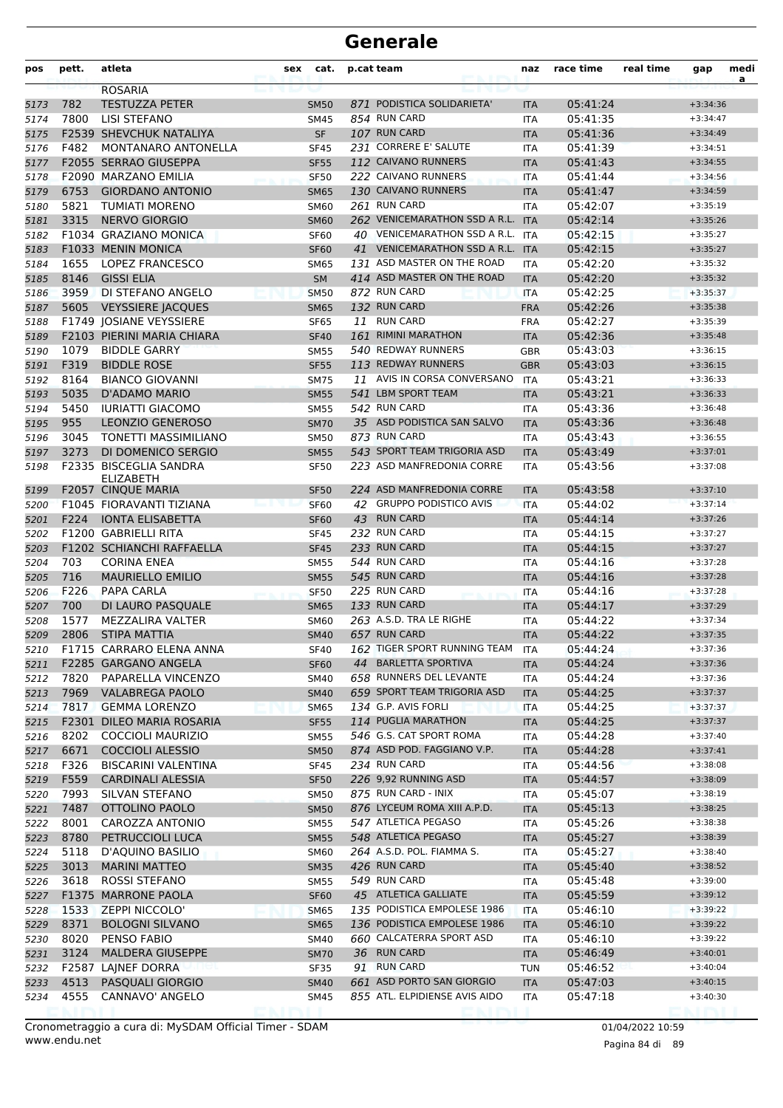| pos  | pett. | atleta                            | sex | cat.             |    | p.cat team                       | naz               | race time | real time | gap        | medi<br>a |
|------|-------|-----------------------------------|-----|------------------|----|----------------------------------|-------------------|-----------|-----------|------------|-----------|
|      |       | <b>ROSARIA</b>                    |     |                  |    |                                  |                   |           |           |            |           |
| 5173 | 782   | <b>TESTUZZA PETER</b>             |     | <b>SM50</b>      |    | 871 PODISTICA SOLIDARIETA'       | <b>ITA</b>        | 05:41:24  |           | $+3:34:36$ |           |
| 5174 | 7800  | LISI STEFANO                      |     | <b>SM45</b>      |    | 854 RUN CARD                     | <b>ITA</b>        | 05:41:35  |           | $+3:34:47$ |           |
| 5175 |       | <b>F2539 SHEVCHUK NATALIYA</b>    |     | <b>SF</b>        |    | 107 RUN CARD                     | <b>ITA</b>        | 05:41:36  |           | $+3:34:49$ |           |
| 5176 | F482  | MONTANARO ANTONELLA               |     | <b>SF45</b>      |    | 231 CORRERE E' SALUTE            | <b>ITA</b>        | 05:41:39  |           | $+3:34:51$ |           |
| 5177 |       | F2055 SERRAO GIUSEPPA             |     | <b>SF55</b>      |    | 112 CAIVANO RUNNERS              | <b>ITA</b>        | 05:41:43  |           | $+3:34:55$ |           |
| 5178 |       | F2090 MARZANO EMILIA              |     | <b>SF50</b>      |    | 222 CAIVANO RUNNERS              | <b>ITA</b>        | 05:41:44  |           | $+3:34:56$ |           |
| 5179 | 6753  | <b>GIORDANO ANTONIO</b>           |     | <b>SM65</b>      |    | 130 CAIVANO RUNNERS              | <b>ITA</b>        | 05:41:47  |           | $+3:34:59$ |           |
| 5180 | 5821  | <b>TUMIATI MORENO</b>             |     | <b>SM60</b>      |    | 261 RUN CARD                     | <b>ITA</b>        | 05:42:07  |           | $+3:35:19$ |           |
| 5181 | 3315  | <b>NERVO GIORGIO</b>              |     | <b>SM60</b>      |    | 262 VENICEMARATHON SSD A R.L.    | <b>ITA</b>        | 05:42:14  |           | $+3:35:26$ |           |
| 5182 |       | F1034 GRAZIANO MONICA             |     | <b>SF60</b>      |    | 40 VENICEMARATHON SSD A R.L.     | <b>ITA</b>        | 05:42:15  |           | $+3:35:27$ |           |
| 5183 |       | <b>F1033 MENIN MONICA</b>         |     | <b>SF60</b>      |    | 41 VENICEMARATHON SSD A R.L.     | <b>ITA</b>        | 05:42:15  |           | $+3:35:27$ |           |
| 5184 | 1655  | <b>LOPEZ FRANCESCO</b>            |     | <b>SM65</b>      |    | 131 ASD MASTER ON THE ROAD       | <b>ITA</b>        | 05:42:20  |           | $+3:35:32$ |           |
| 5185 | 8146  | <b>GISSI ELIA</b>                 |     | <b>SM</b>        |    | 414 ASD MASTER ON THE ROAD       | <b>ITA</b>        | 05:42:20  |           | $+3:35:32$ |           |
| 5186 | 3959  | DI STEFANO ANGELO                 |     | <b>SM50</b>      |    | 872 RUN CARD                     | <b>ITA</b>        | 05:42:25  |           | $+3:35:37$ |           |
| 5187 | 5605  | <b>VEYSSIERE JACQUES</b>          |     | <b>SM65</b>      |    | 132 RUN CARD                     | <b>FRA</b>        | 05:42:26  |           | $+3:35:38$ |           |
| 5188 |       | F1749 JOSIANE VEYSSIERE           |     | <b>SF65</b>      |    | 11 RUN CARD                      | <b>FRA</b>        | 05:42:27  |           | $+3:35:39$ |           |
| 5189 |       | <b>F2103 PIERINI MARIA CHIARA</b> |     | <b>SF40</b>      |    | 161 RIMINI MARATHON              | <b>ITA</b>        | 05:42:36  |           | $+3:35:48$ |           |
| 5190 | 1079  | <b>BIDDLE GARRY</b>               |     | <b>SM55</b>      |    | 540 REDWAY RUNNERS               | <b>GBR</b>        | 05:43:03  |           | $+3:36:15$ |           |
| 5191 | F319  | <b>BIDDLE ROSE</b>                |     | <b>SF55</b>      |    | 113 REDWAY RUNNERS               | <b>GBR</b>        | 05:43:03  |           | $+3:36:15$ |           |
| 5192 | 8164  | <b>BIANCO GIOVANNI</b>            |     | <b>SM75</b>      |    | 11 AVIS IN CORSA CONVERSANO      | <b>ITA</b>        | 05:43:21  |           | $+3:36:33$ |           |
| 5193 | 5035  | <b>D'ADAMO MARIO</b>              |     | <b>SM55</b>      |    | 541 LBM SPORT TEAM               | <b>ITA</b>        | 05:43:21  |           | $+3:36:33$ |           |
| 5194 | 5450  | <b>IURIATTI GIACOMO</b>           |     | <b>SM55</b>      |    | 542 RUN CARD                     | <b>ITA</b>        | 05:43:36  |           | $+3:36:48$ |           |
| 5195 | 955   | <b>LEONZIO GENEROSO</b>           |     | <b>SM70</b>      |    | 35 ASD PODISTICA SAN SALVO       | <b>ITA</b>        | 05:43:36  |           | $+3:36:48$ |           |
| 5196 | 3045  | TONETTI MASSIMILIANO              |     | <b>SM50</b>      |    | 873 RUN CARD                     | <b>ITA</b>        | 05:43:43  |           | $+3:36:55$ |           |
| 5197 | 3273  | DI DOMENICO SERGIO                |     | <b>SM55</b>      |    | 543 SPORT TEAM TRIGORIA ASD      | <b>ITA</b>        | 05:43:49  |           | $+3:37:01$ |           |
| 5198 |       | F2335 BISCEGLIA SANDRA            |     | <b>SF50</b>      |    | 223 ASD MANFREDONIA CORRE        | <b>ITA</b>        | 05:43:56  |           | $+3:37:08$ |           |
|      |       | ELIZABETH                         |     |                  |    |                                  |                   |           |           |            |           |
| 5199 |       | F2057 CINQUE MARIA                |     | <b>SF50</b>      |    | 224 ASD MANFREDONIA CORRE        | <b>ITA</b>        | 05:43:58  |           | $+3:37:10$ |           |
| 5200 |       | F1045 FIORAVANTI TIZIANA          |     | <b>SF60</b>      | 42 | <b>GRUPPO PODISTICO AVIS</b>     | <b>ITA</b>        | 05:44:02  |           | $+3:37:14$ |           |
| 5201 | F224  | <b>IONTA ELISABETTA</b>           |     | <b>SF60</b>      |    | 43 RUN CARD                      | <b>ITA</b>        | 05:44:14  |           | $+3:37:26$ |           |
| 5202 |       | <b>F1200 GABRIELLI RITA</b>       |     | <b>SF45</b>      |    | 232 RUN CARD                     | <b>ITA</b>        | 05:44:15  |           | $+3:37:27$ |           |
| 5203 |       | F1202 SCHIANCHI RAFFAELLA         |     | <b>SF45</b>      |    | 233 RUN CARD                     | <b>ITA</b>        | 05:44:15  |           | $+3:37:27$ |           |
| 5204 | 703   | <b>CORINA ENEA</b>                |     | <b>SM55</b>      |    | 544 RUN CARD                     | <b>ITA</b>        | 05:44:16  |           | $+3:37:28$ |           |
| 5205 | 716   | <b>MAURIELLO EMILIO</b>           |     | <b>SM55</b>      |    | 545 RUN CARD                     | <b>ITA</b>        | 05:44:16  |           | $+3:37:28$ |           |
| 5206 | F226  | PAPA CARLA                        |     | <b>SF50</b>      |    | 225 RUN CARD                     | <b>ITA</b>        | 05:44:16  |           | $+3:37:28$ |           |
| 5207 | 700   | DI LAURO PASQUALE                 |     | <b>SM65</b>      |    | 133 RUN CARD                     | <b>ITA</b>        | 05:44:17  |           | $+3:37:29$ |           |
| 5208 | 1577  | MEZZALIRA VALTER                  |     | <b>SM60</b>      |    | 263 A.S.D. TRA LE RIGHE          | <b>ITA</b>        | 05:44:22  |           | $+3:37:34$ |           |
| 5209 | 2806  | <b>STIPA MATTIA</b>               |     | <b>SM40</b>      |    | 657 RUN CARD                     | <b>ITA</b>        | 05:44:22  |           | $+3:37:35$ |           |
| 5210 |       | F1715 CARRARO ELENA ANNA          |     | <b>SF40</b>      |    | 162 TIGER SPORT RUNNING TEAM ITA |                   | 05:44:24  |           | $+3:37:36$ |           |
| 5211 |       | F2285 GARGANO ANGELA              |     | SF <sub>60</sub> |    | 44 BARLETTA SPORTIVA             | <b>ITA</b>        | 05:44:24  |           | $+3:37:36$ |           |
| 5212 | 7820  | PAPARELLA VINCENZO                |     | <b>SM40</b>      |    | 658 RUNNERS DEL LEVANTE          | ITA               | 05:44:24  |           | $+3:37:36$ |           |
| 5213 | 7969  | VALABREGA PAOLO                   |     | <b>SM40</b>      |    | 659 SPORT TEAM TRIGORIA ASD      | <b>ITA</b>        | 05:44:25  |           | $+3:37:37$ |           |
| 5214 | 7817  | <b>GEMMA LORENZO</b>              |     | <b>SM65</b>      |    | 134 G.P. AVIS FORLI              | <b>ITA</b>        | 05:44:25  |           | $+3:37:37$ |           |
| 5215 |       | F2301 DILEO MARIA ROSARIA         |     | <b>SF55</b>      |    | 114 PUGLIA MARATHON              | <b>ITA</b>        | 05:44:25  |           | $+3:37:37$ |           |
| 5216 | 8202  | <b>COCCIOLI MAURIZIO</b>          |     | <b>SM55</b>      |    | 546 G.S. CAT SPORT ROMA          | ITA               | 05:44:28  |           | $+3:37:40$ |           |
| 5217 | 6671  | <b>COCCIOLI ALESSIO</b>           |     | <b>SM50</b>      |    | 874 ASD POD. FAGGIANO V.P.       | <b>ITA</b>        | 05:44:28  |           | $+3:37:41$ |           |
| 5218 | F326  | BISCARINI VALENTINA               |     | <b>SF45</b>      |    | 234 RUN CARD                     | ITA               | 05:44:56  |           | $+3:38:08$ |           |
| 5219 | F559  | <b>CARDINALI ALESSIA</b>          |     | <b>SF50</b>      |    | 226 9,92 RUNNING ASD             | <b>ITA</b>        | 05:44:57  |           | $+3:38:09$ |           |
| 5220 | 7993  | SILVAN STEFANO                    |     | <b>SM50</b>      |    | 875 RUN CARD - INIX              | <b>ITA</b>        | 05:45:07  |           | $+3:38:19$ |           |
| 5221 | 7487  | OTTOLINO PAOLO                    |     | <b>SM50</b>      |    | 876 LYCEUM ROMA XIII A.P.D.      | <b>ITA</b>        | 05:45:13  |           | $+3:38:25$ |           |
| 5222 | 8001  | CAROZZA ANTONIO                   |     | <b>SM55</b>      |    | 547 ATLETICA PEGASO              | <b>ITA</b>        | 05:45:26  |           | $+3:38:38$ |           |
|      | 8780  | PETRUCCIOLI LUCA                  |     |                  |    | 548 ATLETICA PEGASO              |                   | 05:45:27  |           | $+3:38:39$ |           |
| 5223 | 5118  | D'AQUINO BASILIO                  |     | <b>SM55</b>      |    | 264 A.S.D. POL. FIAMMA S.        | <b>ITA</b><br>ITA | 05:45:27  |           | $+3:38:40$ |           |
| 5224 |       |                                   |     | SM60             |    |                                  |                   |           |           |            |           |
| 5225 | 3013  | <b>MARINI MATTEO</b>              |     | <b>SM35</b>      |    | 426 RUN CARD<br>549 RUN CARD     | <b>ITA</b>        | 05:45:40  |           | $+3:38:52$ |           |
| 5226 | 3618  | ROSSI STEFANO                     |     | <b>SM55</b>      |    |                                  | ITA               | 05:45:48  |           | $+3:39:00$ |           |
| 5227 |       | F1375 MARRONE PAOLA               |     | <b>SF60</b>      |    | 45 ATLETICA GALLIATE             | <b>ITA</b>        | 05:45:59  |           | $+3:39:12$ |           |
| 5228 | 1533  | <b>ZEPPI NICCOLO'</b>             |     | <b>SM65</b>      |    | 135 PODISTICA EMPOLESE 1986      | <b>ITA</b>        | 05:46:10  |           | $+3:39:22$ |           |
| 5229 | 8371  | <b>BOLOGNI SILVANO</b>            |     | <b>SM65</b>      |    | 136 PODISTICA EMPOLESE 1986      | <b>ITA</b>        | 05:46:10  |           | $+3:39:22$ |           |
| 5230 | 8020  | PENSO FABIO                       |     | SM40             |    | 660 CALCATERRA SPORT ASD         | ITA               | 05:46:10  |           | $+3:39:22$ |           |
| 5231 | 3124  | <b>MALDERA GIUSEPPE</b>           |     | <b>SM70</b>      |    | 36 RUN CARD                      | <b>ITA</b>        | 05:46:49  |           | $+3:40:01$ |           |
| 5232 |       | F2587 LAINEF DORRA                |     | SF35             |    | 91 RUN CARD                      | <b>TUN</b>        | 05:46:52  |           | $+3:40:04$ |           |
| 5233 | 4513  | PASQUALI GIORGIO                  |     | <b>SM40</b>      |    | 661 ASD PORTO SAN GIORGIO        | <b>ITA</b>        | 05:47:03  |           | $+3:40:15$ |           |
| 5234 | 4555  | CANNAVO' ANGELO                   |     | <b>SM45</b>      |    | 855 ATL. ELPIDIENSE AVIS AIDO    | ITA               | 05:47:18  |           | $+3:40:30$ |           |

Pagina 84 di 89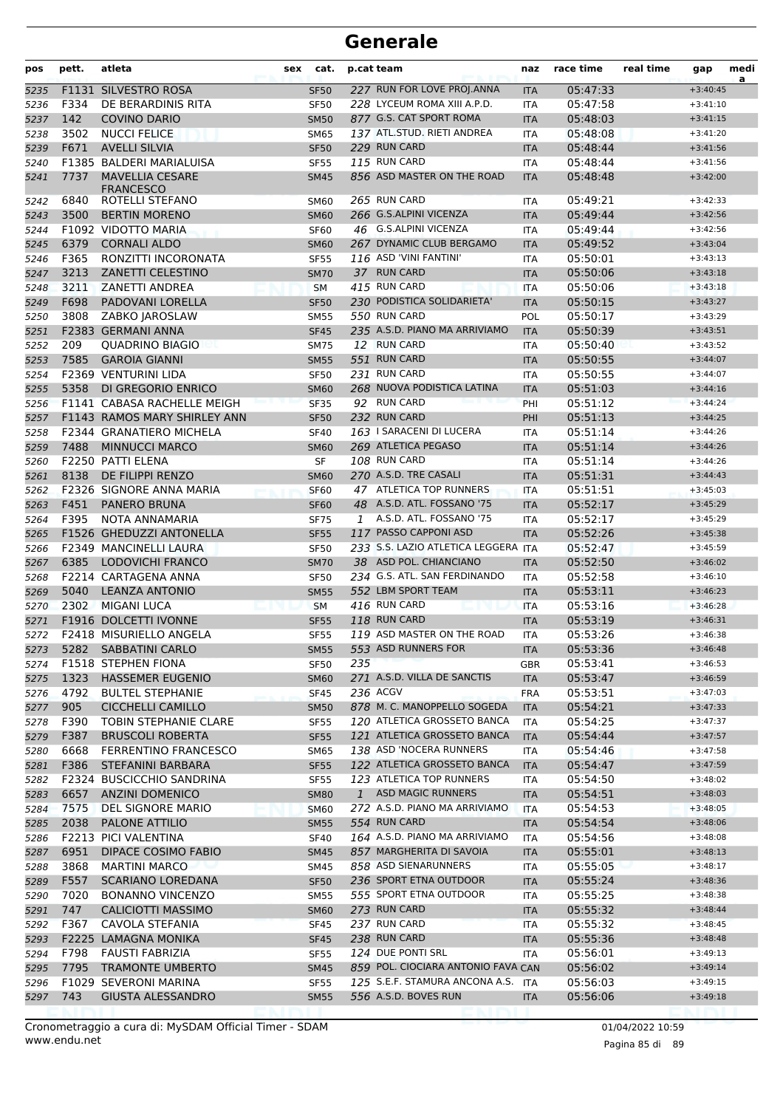| pos          | pett.        | atleta                                          | sex | cat.                       | p.cat team |                                                        | naz                      | race time            | real time | gap                      | medi<br>a |
|--------------|--------------|-------------------------------------------------|-----|----------------------------|------------|--------------------------------------------------------|--------------------------|----------------------|-----------|--------------------------|-----------|
| 5235         |              | F1131 SILVESTRO ROSA                            |     | <b>SF50</b>                |            | 227 RUN FOR LOVE PROJ.ANNA                             | <b>ITA</b>               | 05:47:33             |           | $+3:40:45$               |           |
| 5236         | F334         | DE BERARDINIS RITA                              |     | <b>SF50</b>                |            | 228 LYCEUM ROMA XIII A.P.D.                            | ITA                      | 05:47:58             |           | $+3:41:10$               |           |
| 5237         | 142          | <b>COVINO DARIO</b>                             |     | <b>SM50</b>                |            | 877 G.S. CAT SPORT ROMA                                | <b>ITA</b>               | 05:48:03             |           | $+3:41:15$               |           |
| 5238         | 3502         | <b>NUCCI FELICE</b>                             |     | <b>SM65</b>                |            | 137 ATL.STUD. RIETI ANDREA                             | <b>ITA</b>               | 05:48:08             |           | $+3:41:20$               |           |
| 5239         | F671         | <b>AVELLI SILVIA</b>                            |     | <b>SF50</b>                |            | 229 RUN CARD                                           | <b>ITA</b>               | 05:48:44             |           | $+3:41:56$               |           |
| 5240         |              | F1385 BALDERI MARIALUISA                        |     | <b>SF55</b>                |            | 115 RUN CARD                                           | <b>ITA</b>               | 05:48:44             |           | $+3:41:56$               |           |
| 5241         | 7737         | <b>MAVELLIA CESARE</b><br><b>FRANCESCO</b>      |     | <b>SM45</b>                |            | 856 ASD MASTER ON THE ROAD                             | <b>ITA</b>               | 05:48:48             |           | $+3:42:00$               |           |
| 5242         | 6840         | ROTELLI STEFANO                                 |     | SM60                       |            | 265 RUN CARD                                           | ITA                      | 05:49:21             |           | $+3:42:33$               |           |
| 5243         | 3500         | <b>BERTIN MORENO</b>                            |     | <b>SM60</b>                |            | 266 G.S.ALPINI VICENZA                                 | <b>ITA</b>               | 05:49:44             |           | $+3:42:56$               |           |
| 5244         |              | F1092 VIDOTTO MARIA                             |     | <b>SF60</b>                |            | 46 G.S.ALPINI VICENZA                                  | <b>ITA</b>               | 05:49:44             |           | $+3:42:56$               |           |
| 5245         | 6379         | <b>CORNALI ALDO</b>                             |     | <b>SM60</b>                |            | 267 DYNAMIC CLUB BERGAMO                               | <b>ITA</b>               | 05:49:52             |           | $+3:43:04$               |           |
| 5246         | F365         | RONZITTI INCORONATA                             |     | <b>SF55</b>                |            | 116 ASD 'VINI FANTINI'                                 | <b>ITA</b>               | 05:50:01             |           | $+3:43:13$               |           |
| 5247         | 3213         | <b>ZANETTI CELESTINO</b>                        |     | <b>SM70</b>                |            | 37 RUN CARD                                            | <b>ITA</b>               | 05:50:06             |           | $+3:43:18$               |           |
| 5248         | 3211         | <b>ZANETTI ANDREA</b>                           |     | <b>SM</b>                  |            | 415 RUN CARD                                           | <b>ITA</b>               | 05:50:06             |           | $+3:43:18$               |           |
| 5249         | F698         | PADOVANI LORELLA                                |     | <b>SF50</b>                |            | 230 PODISTICA SOLIDARIETA'                             | <b>ITA</b>               | 05:50:15             |           | $+3:43:27$               |           |
| 5250         | 3808         | ZABKO JAROSLAW                                  |     | <b>SM55</b>                |            | 550 RUN CARD                                           | POL                      | 05:50:17             |           | $+3:43:29$               |           |
| 5251         |              | F2383 GERMANI ANNA                              |     | <b>SF45</b>                |            | 235 A.S.D. PIANO MA ARRIVIAMO                          | <b>ITA</b>               | 05:50:39             |           | $+3:43:51$               |           |
| 5252         | 209          | <b>OUADRINO BIAGIO</b>                          |     | <b>SM75</b>                |            | 12 RUN CARD                                            | <b>ITA</b>               | 05:50:40             |           | $+3:43:52$               |           |
| 5253         | 7585         | <b>GAROIA GIANNI</b>                            |     | <b>SM55</b>                |            | 551 RUN CARD                                           | <b>ITA</b>               | 05:50:55             |           | $+3:44:07$               |           |
| 5254         |              | <b>F2369 VENTURINI LIDA</b>                     |     | <b>SF50</b>                |            | 231 RUN CARD                                           | ITA                      | 05:50:55             |           | $+3:44:07$               |           |
| 5255         | 5358         | DI GREGORIO ENRICO                              |     | <b>SM60</b>                |            | 268 NUOVA PODISTICA LATINA                             | <b>ITA</b>               | 05:51:03             |           | $+3:44:16$               |           |
| 5256         |              | F1141 CABASA RACHELLE MEIGH                     |     | <b>SF35</b>                |            | 92 RUN CARD                                            | PHI                      | 05:51:12             |           | $+3:44:24$               |           |
| 5257         |              | F1143 RAMOS MARY SHIRLEY ANN                    |     | <b>SF50</b>                |            | 232 RUN CARD                                           | PHI                      | 05:51:13             |           | $+3:44:25$               |           |
| 5258         |              | <b>F2344 GRANATIERO MICHELA</b>                 |     | <b>SF40</b>                |            | 163   SARACENI DI LUCERA                               | <b>ITA</b>               | 05:51:14             |           | $+3:44:26$               |           |
| 5259         | 7488         | <b>MINNUCCI MARCO</b>                           |     | <b>SM60</b>                |            | 269 ATLETICA PEGASO                                    | <b>ITA</b>               | 05:51:14             |           | $+3:44:26$               |           |
| 5260         |              | F2250 PATTI ELENA                               |     | SF                         |            | 108 RUN CARD                                           | ITA                      | 05:51:14             |           | $+3:44:26$               |           |
| 5261         | 8138         | DE FILIPPI RENZO                                |     | <b>SM60</b>                |            | 270 A.S.D. TRE CASALI                                  | <b>ITA</b>               | 05:51:31             |           | $+3:44:43$               |           |
| 5262         |              | F2326 SIGNORE ANNA MARIA                        |     | <b>SF60</b>                |            | 47 ATLETICA TOP RUNNERS                                | <b>ITA</b>               | 05:51:51             |           | $+3:45:03$               |           |
| 5263         | F451         | <b>PANERO BRUNA</b>                             |     | <b>SF60</b>                |            | 48 A.S.D. ATL. FOSSANO '75                             | <b>ITA</b>               | 05:52:17             |           | $+3:45:29$               |           |
| 5264         | F395         | NOTA ANNAMARIA                                  |     | <b>SF75</b>                | 1          | A.S.D. ATL. FOSSANO '75                                | ITA                      | 05:52:17             |           | $+3:45:29$               |           |
| 5265         |              | F1526 GHEDUZZI ANTONELLA                        |     | <b>SF55</b>                |            | 117 PASSO CAPPONI ASD                                  | <b>ITA</b>               | 05:52:26             |           | $+3:45:38$               |           |
| 5266         |              | <b>F2349 MANCINELLI LAURA</b>                   |     | <b>SF50</b>                |            | 233 S.S. LAZIO ATLETICA LEGGERA ITA                    |                          | 05:52:47             |           | $+3:45:59$               |           |
| 5267         | 6385         | <b>LODOVICHI FRANCO</b><br>F2214 CARTAGENA ANNA |     | <b>SM70</b>                |            | 38 ASD POL. CHIANCIANO<br>234 G.S. ATL. SAN FERDINANDO | <b>ITA</b>               | 05:52:50             |           | $+3:46:02$               |           |
| 5268         |              |                                                 |     | <b>SF50</b>                |            | 552 LBM SPORT TEAM                                     | ITA                      | 05:52:58             |           | $+3:46:10$               |           |
| 5269         | 5040<br>2302 | <b>LEANZA ANTONIO</b>                           |     | <b>SM55</b>                |            | 416 RUN CARD                                           | <b>ITA</b>               | 05:53:11             |           | $+3:46:23$               |           |
| 5270         |              | <b>MIGANI LUCA</b><br>F1916 DOLCETTI IVONNE     |     | <b>SM</b>                  |            | 118 RUN CARD                                           | <b>ITA</b>               | 05:53:16<br>05:53:19 |           | $+3:46:28$<br>$+3:46:31$ |           |
| 5271<br>5272 |              | F2418 MISURIELLO ANGELA                         |     | <b>SF55</b><br><b>SF55</b> |            | 119 ASD MASTER ON THE ROAD                             | <b>ITA</b><br><b>ITA</b> | 05:53:26             |           | $+3:46:38$               |           |
| 5273         |              | 5282 SABBATINI CARLO                            |     | SM55                       |            | 553 ASD RUNNERS FOR                                    | <b>ITA</b>               | 05:53:36             |           | $+3:46:48$               |           |
| 5274         |              | F1518 STEPHEN FIONA                             |     | <b>SF50</b>                | 235        |                                                        | GBR                      | 05:53:41             |           | $+3:46:53$               |           |
| 5275         | 1323         | <b>HASSEMER EUGENIO</b>                         |     | <b>SM60</b>                |            | 271 A.S.D. VILLA DE SANCTIS                            | ITA                      | 05:53:47             |           | $+3:46:59$               |           |
| 5276         | 4792         | <b>BULTEL STEPHANIE</b>                         |     | <b>SF45</b>                |            | 236 ACGV                                               | <b>FRA</b>               | 05:53:51             |           | $+3:47:03$               |           |
| 5277         | 905          | <b>CICCHELLI CAMILLO</b>                        |     | <b>SM50</b>                |            | 878 M. C. MANOPPELLO SOGEDA                            | <b>ITA</b>               | 05:54:21             |           | $+3:47:33$               |           |
| 5278         | F390         | <b>TOBIN STEPHANIE CLARE</b>                    |     | <b>SF55</b>                |            | 120 ATLETICA GROSSETO BANCA                            | ITA                      | 05:54:25             |           | $+3:47:37$               |           |
| 5279         | F387         | <b>BRUSCOLI ROBERTA</b>                         |     | <b>SF55</b>                |            | 121 ATLETICA GROSSETO BANCA                            | <b>ITA</b>               | 05:54:44             |           | $+3:47:57$               |           |
| 5280         | 6668         | <b>FERRENTINO FRANCESCO</b>                     |     | <b>SM65</b>                |            | 138 ASD 'NOCERA RUNNERS                                | ITA                      | 05:54:46             |           | $+3:47:58$               |           |
| 5281         | F386         | <b>STEFANINI BARBARA</b>                        |     | <b>SF55</b>                |            | 122 ATLETICA GROSSETO BANCA                            | <b>ITA</b>               | 05:54:47             |           | $+3:47:59$               |           |
| 5282         |              | F2324 BUSCICCHIO SANDRINA                       |     | <b>SF55</b>                |            | 123 ATLETICA TOP RUNNERS                               | ITA                      | 05:54:50             |           | $+3:48:02$               |           |
| 5283         | 6657         | <b>ANZINI DOMENICO</b>                          |     | <b>SM80</b>                | 1          | <b>ASD MAGIC RUNNERS</b>                               | <b>ITA</b>               | 05:54:51             |           | $+3:48:03$               |           |
| 5284         | 7575         | DEL SIGNORE MARIO                               |     | <b>SM60</b>                |            | 272 A.S.D. PIANO MA ARRIVIAMO                          | <b>ITA</b>               | 05:54:53             |           | $+3:48:05$               |           |
| 5285         | 2038         | PALONE ATTILIO                                  |     | <b>SM55</b>                |            | 554 RUN CARD                                           | <b>ITA</b>               | 05:54:54             |           | $+3:48:06$               |           |
| 5286         |              | F2213 PICI VALENTINA                            |     | <b>SF40</b>                |            | 164 A.S.D. PIANO MA ARRIVIAMO                          | ITA                      | 05:54:56             |           | $+3:48:08$               |           |
| 5287         | 6951         | <b>DIPACE COSIMO FABIO</b>                      |     | <b>SM45</b>                |            | 857 MARGHERITA DI SAVOIA                               | <b>ITA</b>               | 05:55:01             |           | $+3:48:13$               |           |
| 5288         | 3868         | <b>MARTINI MARCO</b>                            |     | SM45                       |            | 858 ASD SIENARUNNERS                                   | ITA                      | 05:55:05             |           | $+3:48:17$               |           |
| 5289         | F557         | <b>SCARIANO LOREDANA</b>                        |     | <b>SF50</b>                |            | 236 SPORT ETNA OUTDOOR                                 | <b>ITA</b>               | 05:55:24             |           | $+3:48:36$               |           |
| 5290         | 7020         | <b>BONANNO VINCENZO</b>                         |     | <b>SM55</b>                |            | 555 SPORT ETNA OUTDOOR                                 | ITA                      | 05:55:25             |           | $+3:48:38$               |           |
| 5291         | 747          | <b>CALICIOTTI MASSIMO</b>                       |     | <b>SM60</b>                |            | 273 RUN CARD                                           | <b>ITA</b>               | 05:55:32             |           | $+3:48:44$               |           |
| 5292         | F367         | CAVOLA STEFANIA                                 |     | <b>SF45</b>                |            | 237 RUN CARD                                           | ITA                      | 05:55:32             |           | $+3:48:45$               |           |
| 5293         |              | F2225 LAMAGNA MONIKA                            |     | <b>SF45</b>                |            | 238 RUN CARD                                           | <b>ITA</b>               | 05:55:36             |           | $+3:48:48$               |           |
| 5294         | F798         | FAUSTI FABRIZIA                                 |     | <b>SF55</b>                |            | 124 DUE PONTI SRL                                      | ITA                      | 05:56:01             |           | $+3:49:13$               |           |
| 5295         | 7795         | <b>TRAMONTE UMBERTO</b>                         |     | <b>SM45</b>                |            | 859 POL. CIOCIARA ANTONIO FAVA CAN                     |                          | 05:56:02             |           | $+3:49:14$               |           |
| 5296         |              | F1029 SEVERONI MARINA                           |     | <b>SF55</b>                |            | 125 S.E.F. STAMURA ANCONA A.S. ITA                     |                          | 05:56:03             |           | $+3:49:15$               |           |
| 5297         | 743          | <b>GIUSTA ALESSANDRO</b>                        |     | <b>SM55</b>                |            | 556 A.S.D. BOVES RUN                                   | <b>ITA</b>               | 05:56:06             |           | $+3:49:18$               |           |
|              |              |                                                 |     |                            |            |                                                        |                          |                      |           |                          |           |

Pagina 85 di 89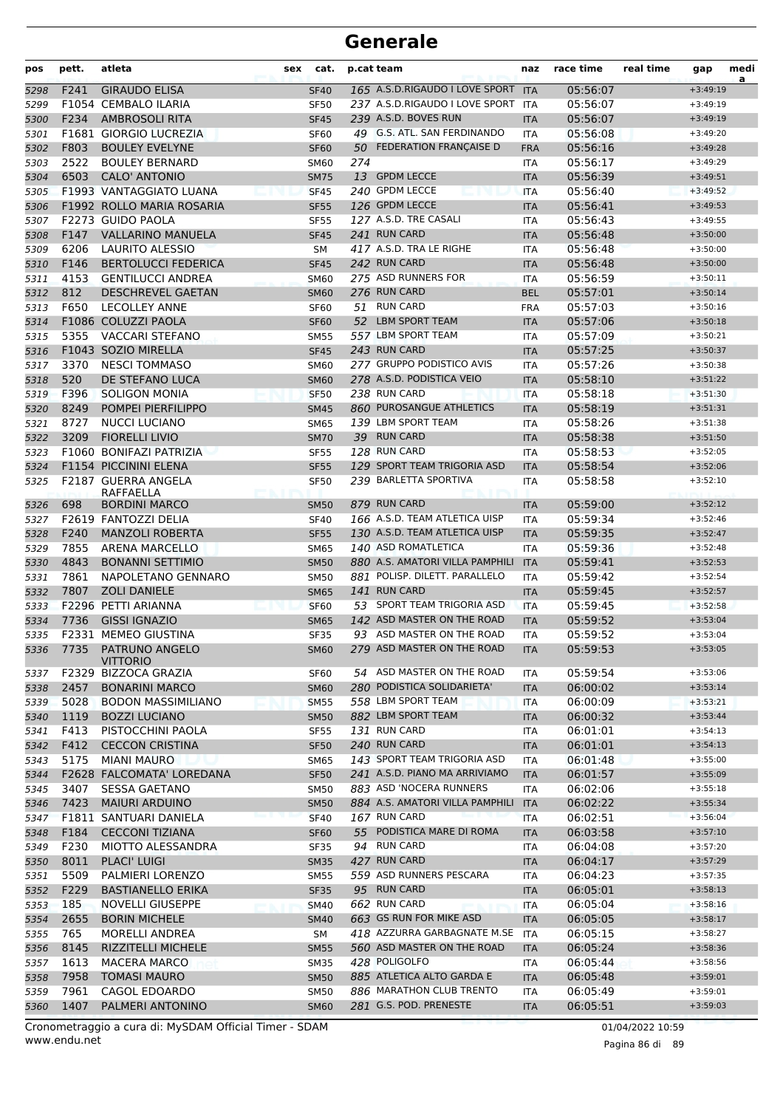| pos  | pett. | atleta                           | sex | cat.        |     | p.cat team                      | naz        | race time | real time | gap        | medi<br>a |
|------|-------|----------------------------------|-----|-------------|-----|---------------------------------|------------|-----------|-----------|------------|-----------|
| 5298 | F241  | <b>GIRAUDO ELISA</b>             |     | <b>SF40</b> |     | 165 A.S.D.RIGAUDO I LOVE SPORT  | <b>ITA</b> | 05:56:07  |           | $+3:49:19$ |           |
| 5299 |       | F1054 CEMBALO ILARIA             |     | <b>SF50</b> |     | 237 A.S.D.RIGAUDO I LOVE SPORT  | ITA        | 05:56:07  |           | $+3:49:19$ |           |
| 5300 | F234  | <b>AMBROSOLI RITA</b>            |     | <b>SF45</b> |     | 239 A.S.D. BOVES RUN            | <b>ITA</b> | 05:56:07  |           | $+3:49:19$ |           |
| 5301 |       | F1681 GIORGIO LUCREZIA           |     | <b>SF60</b> |     | 49 G.S. ATL. SAN FERDINANDO     | <b>ITA</b> | 05:56:08  |           | $+3:49:20$ |           |
| 5302 | F803  | <b>BOULEY EVELYNE</b>            |     | <b>SF60</b> |     | 50 FEDERATION FRANÇAISE D       | <b>FRA</b> | 05:56:16  |           | $+3:49:28$ |           |
| 5303 | 2522  | <b>BOULEY BERNARD</b>            |     | <b>SM60</b> | 274 |                                 | ITA        | 05:56:17  |           | $+3:49:29$ |           |
| 5304 | 6503  | <b>CALO' ANTONIO</b>             |     | <b>SM75</b> |     | 13 GPDM LECCE                   | <b>ITA</b> | 05:56:39  |           | $+3:49:51$ |           |
| 5305 |       | F1993 VANTAGGIATO LUANA          |     | <b>SF45</b> |     | 240 GPDM LECCE                  | <b>ITA</b> | 05:56:40  |           | $+3:49:52$ |           |
| 5306 |       | F1992 ROLLO MARIA ROSARIA        |     | <b>SF55</b> |     | 126 GPDM LECCE                  | <b>ITA</b> | 05:56:41  |           | $+3:49:53$ |           |
| 5307 |       | F2273 GUIDO PAOLA                |     | <b>SF55</b> |     | 127 A.S.D. TRE CASALI           | ITA        | 05:56:43  |           | $+3:49:55$ |           |
| 5308 | F147  | <b>VALLARINO MANUELA</b>         |     | <b>SF45</b> |     | 241 RUN CARD                    | <b>ITA</b> | 05:56:48  |           | $+3:50:00$ |           |
| 5309 | 6206  | <b>LAURITO ALESSIO</b>           |     | <b>SM</b>   |     | 417 A.S.D. TRA LE RIGHE         | <b>ITA</b> | 05:56:48  |           | $+3:50:00$ |           |
| 5310 | F146  | <b>BERTOLUCCI FEDERICA</b>       |     | <b>SF45</b> |     | 242 RUN CARD                    | <b>ITA</b> | 05:56:48  |           | $+3:50:00$ |           |
| 5311 | 4153  | <b>GENTILUCCI ANDREA</b>         |     | <b>SM60</b> |     | 275 ASD RUNNERS FOR             | <b>ITA</b> | 05:56:59  |           | $+3:50:11$ |           |
| 5312 | 812   | <b>DESCHREVEL GAETAN</b>         |     | <b>SM60</b> |     | 276 RUN CARD                    | <b>BEL</b> | 05:57:01  |           | $+3:50:14$ |           |
| 5313 | F650  | <b>LECOLLEY ANNE</b>             |     | SF60        | 51  | <b>RUN CARD</b>                 | <b>FRA</b> | 05:57:03  |           | $+3:50:16$ |           |
| 5314 |       | F1086 COLUZZI PAOLA              |     | <b>SF60</b> |     | 52 LBM SPORT TEAM               | <b>ITA</b> | 05:57:06  |           | $+3:50:18$ |           |
| 5315 | 5355  | <b>VACCARI STEFANO</b>           |     | <b>SM55</b> |     | 557 LBM SPORT TEAM              | <b>ITA</b> | 05:57:09  |           | $+3:50:21$ |           |
| 5316 |       | F1043 SOZIO MIRELLA              |     | <b>SF45</b> |     | 243 RUN CARD                    | <b>ITA</b> | 05:57:25  |           | $+3:50:37$ |           |
| 5317 | 3370  | <b>NESCI TOMMASO</b>             |     | <b>SM60</b> |     | 277 GRUPPO PODISTICO AVIS       | <b>ITA</b> | 05:57:26  |           | $+3:50:38$ |           |
| 5318 | 520   | DE STEFANO LUCA                  |     | <b>SM60</b> |     | 278 A.S.D. PODISTICA VEIO       | <b>ITA</b> | 05:58:10  |           | $+3:51:22$ |           |
| 5319 | F396  | <b>SOLIGON MONIA</b>             |     | <b>SF50</b> |     | 238 RUN CARD                    | <b>ITA</b> | 05:58:18  |           | $+3:51:30$ |           |
| 5320 | 8249  | POMPEI PIERFILIPPO               |     | <b>SM45</b> |     | 860 PUROSANGUE ATHLETICS        | <b>ITA</b> | 05:58:19  |           | $+3:51:31$ |           |
| 5321 | 8727  | <b>NUCCI LUCIANO</b>             |     | <b>SM65</b> |     | 139 LBM SPORT TEAM              | <b>ITA</b> | 05:58:26  |           | $+3:51:38$ |           |
| 5322 | 3209  | <b>FIORELLI LIVIO</b>            |     | <b>SM70</b> |     | 39 RUN CARD                     | <b>ITA</b> | 05:58:38  |           | $+3:51:50$ |           |
| 5323 |       | F1060 BONIFAZI PATRIZIA          |     | <b>SF55</b> |     | 128 RUN CARD                    | <b>ITA</b> | 05:58:53  |           | $+3:52:05$ |           |
| 5324 |       | F1154 PICCININI ELENA            |     | <b>SF55</b> |     | 129 SPORT TEAM TRIGORIA ASD     | <b>ITA</b> | 05:58:54  |           | $+3:52:06$ |           |
| 5325 |       | F2187 GUERRA ANGELA<br>RAFFAELLA |     | <b>SF50</b> |     | 239 BARLETTA SPORTIVA           | ITA        | 05:58:58  |           | $+3:52:10$ |           |
| 5326 | 698   | <b>BORDINI MARCO</b>             |     | <b>SM50</b> |     | 879 RUN CARD                    | <b>ITA</b> | 05:59:00  |           | $+3:52:12$ |           |
| 5327 |       | F2619 FANTOZZI DELIA             |     | <b>SF40</b> |     | 166 A.S.D. TEAM ATLETICA UISP   | <b>ITA</b> | 05:59:34  |           | $+3:52:46$ |           |
| 5328 | F240  | <b>MANZOLI ROBERTA</b>           |     | <b>SF55</b> |     | 130 A.S.D. TEAM ATLETICA UISP   | <b>ITA</b> | 05:59:35  |           | $+3:52:47$ |           |
| 5329 | 7855  | <b>ARENA MARCELLO</b>            |     | <b>SM65</b> |     | 140 ASD ROMATLETICA             | ITA        | 05:59:36  |           | $+3:52:48$ |           |
| 5330 | 4843  | <b>BONANNI SETTIMIO</b>          |     | <b>SM50</b> |     | 880 A.S. AMATORI VILLA PAMPHILI | <b>ITA</b> | 05:59:41  |           | $+3:52:53$ |           |
| 5331 | 7861  | NAPOLETANO GENNARO               |     | <b>SM50</b> |     | 881 POLISP. DILETT. PARALLELO   | <b>ITA</b> | 05:59:42  |           | $+3:52:54$ |           |
| 5332 | 7807  | <b>ZOLI DANIELE</b>              |     | <b>SM65</b> |     | 141 RUN CARD                    | <b>ITA</b> | 05:59:45  |           | $+3:52:57$ |           |
| 5333 |       | F2296 PETTI ARIANNA              |     | <b>SF60</b> |     | 53 SPORT TEAM TRIGORIA ASD      | <b>ITA</b> | 05:59:45  |           | $+3:52:58$ |           |
| 5334 | 7736  | <b>GISSI IGNAZIO</b>             |     | <b>SM65</b> |     | 142 ASD MASTER ON THE ROAD      | <b>ITA</b> | 05:59:52  |           | $+3:53:04$ |           |
| 5335 |       | F2331 MEMEO GIUSTINA             |     | <b>SF35</b> |     | 93 ASD MASTER ON THE ROAD       | <b>ITA</b> | 05:59:52  |           | $+3:53:04$ |           |
| 5336 |       | 7735 PATRUNO ANGELO<br>VITTORIO  |     | <b>SM60</b> |     | 279 ASD MASTER ON THE ROAD      | <b>ITA</b> | 05:59:53  |           | $+3:53:05$ |           |
| 5337 |       | F2329 BIZZOCA GRAZIA             |     | SF60        |     | 54 ASD MASTER ON THE ROAD       | ITA        | 05:59:54  |           | $+3:53:06$ |           |
| 5338 | 2457  | <b>BONARINI MARCO</b>            |     | <b>SM60</b> |     | 280 PODISTICA SOLIDARIETA'      | <b>ITA</b> | 06:00:02  |           | $+3:53:14$ |           |
| 5339 | 5028  | <b>BODON MASSIMILIANO</b>        |     | <b>SM55</b> |     | 558 LBM SPORT TEAM              | ITA        | 06:00:09  |           | $+3:53:21$ |           |
| 5340 | 1119  | <b>BOZZI LUCIANO</b>             |     | <b>SM50</b> |     | 882 LBM SPORT TEAM              | <b>ITA</b> | 06:00:32  |           | $+3:53:44$ |           |
| 5341 | F413  | PISTOCCHINI PAOLA                |     | <b>SF55</b> |     | 131 RUN CARD                    | ITA        | 06:01:01  |           | $+3:54:13$ |           |
| 5342 | F412  | <b>CECCON CRISTINA</b>           |     | <b>SF50</b> |     | 240 RUN CARD                    | <b>ITA</b> | 06:01:01  |           | $+3:54:13$ |           |
| 5343 | 5175  | <b>MIANI MAURO</b>               |     | <b>SM65</b> |     | 143 SPORT TEAM TRIGORIA ASD     | ITA        | 06:01:48  |           | $+3:55:00$ |           |
| 5344 |       | F2628 FALCOMATA' LOREDANA        |     | <b>SF50</b> |     | 241 A.S.D. PIANO MA ARRIVIAMO   | <b>ITA</b> | 06:01:57  |           | $+3:55:09$ |           |
| 5345 | 3407  | <b>SESSA GAETANO</b>             |     | <b>SM50</b> |     | 883 ASD 'NOCERA RUNNERS         | ITA        | 06:02:06  |           | $+3:55:18$ |           |
| 5346 | 7423  | <b>MAIURI ARDUINO</b>            |     | <b>SM50</b> |     | 884 A.S. AMATORI VILLA PAMPHILI | <b>ITA</b> | 06:02:22  |           | $+3:55:34$ |           |
| 5347 |       | F1811 SANTUARI DANIELA           |     | <b>SF40</b> |     | 167 RUN CARD                    | <b>ITA</b> | 06:02:51  |           | $+3:56:04$ |           |
| 5348 | F184  | <b>CECCONI TIZIANA</b>           |     | <b>SF60</b> |     | 55 PODISTICA MARE DI ROMA       | <b>ITA</b> | 06:03:58  |           | $+3:57:10$ |           |
| 5349 | F230  | MIOTTO ALESSANDRA                |     | <b>SF35</b> |     | 94 RUN CARD                     | <b>ITA</b> | 06:04:08  |           | $+3:57:20$ |           |
| 5350 | 8011  | <b>PLACI' LUIGI</b>              |     | <b>SM35</b> |     | 427 RUN CARD                    | <b>ITA</b> | 06:04:17  |           | $+3:57:29$ |           |
| 5351 | 5509  | PALMIERI LORENZO                 |     | <b>SM55</b> |     | 559 ASD RUNNERS PESCARA         | <b>ITA</b> | 06:04:23  |           | $+3:57:35$ |           |
| 5352 | F229  | <b>BASTIANELLO ERIKA</b>         |     | <b>SF35</b> |     | 95 RUN CARD                     | <b>ITA</b> | 06:05:01  |           | $+3:58:13$ |           |
| 5353 | 185   | <b>NOVELLI GIUSEPPE</b>          |     | <b>SM40</b> |     | 662 RUN CARD                    | ITA        | 06:05:04  |           | $+3:58:16$ |           |
| 5354 | 2655  | <b>BORIN MICHELE</b>             |     | <b>SM40</b> |     | 663 GS RUN FOR MIKE ASD         | <b>ITA</b> | 06:05:05  |           | $+3:58:17$ |           |
| 5355 | 765   | <b>MORELLI ANDREA</b>            |     | SM          |     | 418 AZZURRA GARBAGNATE M.SE ITA |            | 06:05:15  |           | $+3:58:27$ |           |
| 5356 | 8145  | <b>RIZZITELLI MICHELE</b>        |     | <b>SM55</b> |     | 560 ASD MASTER ON THE ROAD      | <b>ITA</b> | 06:05:24  |           | $+3:58:36$ |           |
| 5357 | 1613  | <b>MACERA MARCO</b>              |     | SM35        |     | 428 POLIGOLFO                   | ITA        | 06:05:44  |           | $+3:58:56$ |           |
| 5358 | 7958  | <b>TOMASI MAURO</b>              |     | <b>SM50</b> |     | 885 ATLETICA ALTO GARDA E       | <b>ITA</b> | 06:05:48  |           | $+3:59:01$ |           |
| 5359 | 7961  | CAGOL EDOARDO                    |     | <b>SM50</b> |     | 886 MARATHON CLUB TRENTO        | ITA        | 06:05:49  |           | $+3:59:01$ |           |
| 5360 | 1407  | PALMERI ANTONINO                 |     | <b>SM60</b> |     | 281 G.S. POD. PRENESTE          | <b>ITA</b> | 06:05:51  |           | $+3:59:03$ |           |

www.endu.net Cronometraggio a cura di: MySDAM Official Timer - SDAM 01/04/2022 10:59

Pagina 86 di 89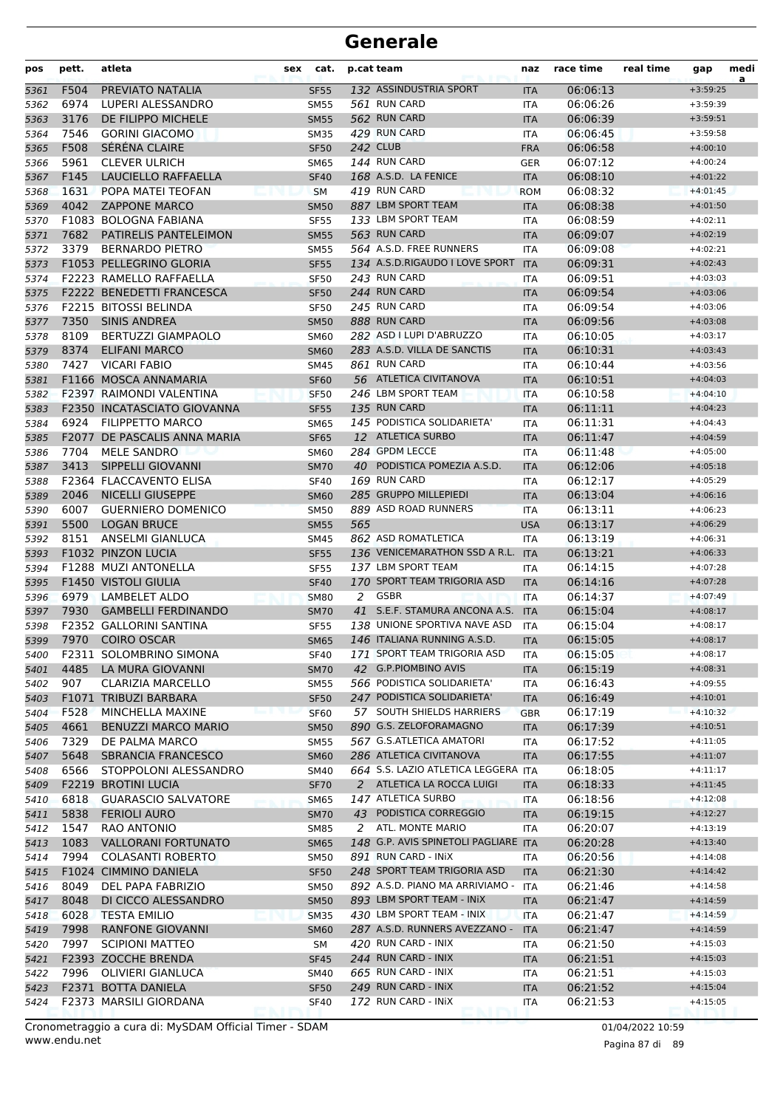| pos          | pett.        | atleta                                         | sex | cat.                       | p.cat team |                                                         | naz                      | race time            | real time | gap                      | medi<br>a |
|--------------|--------------|------------------------------------------------|-----|----------------------------|------------|---------------------------------------------------------|--------------------------|----------------------|-----------|--------------------------|-----------|
| 5361         | F504         | PREVIATO NATALIA                               |     | <b>SF55</b>                |            | 132 ASSINDUSTRIA SPORT                                  | <b>ITA</b>               | 06:06:13             |           | $+3:59:25$               |           |
| 5362         | 6974         | LUPERI ALESSANDRO                              |     | <b>SM55</b>                |            | 561 RUN CARD                                            | ITA                      | 06:06:26             |           | $+3:59:39$               |           |
| 5363         | 3176         | DE FILIPPO MICHELE                             |     | <b>SM55</b>                |            | 562 RUN CARD                                            | <b>ITA</b>               | 06:06:39             |           | $+3:59:51$               |           |
| 5364         | 7546         | <b>GORINI GIACOMO</b>                          |     | <b>SM35</b>                |            | 429 RUN CARD                                            | ITA                      | 06:06:45             |           | $+3:59:58$               |           |
| 5365         | F508         | SÉRÉNA CLAIRE                                  |     | <b>SF50</b>                |            | <b>242 CLUB</b>                                         | <b>FRA</b>               | 06:06:58             |           | $+4:00:10$               |           |
| 5366         | 5961         | <b>CLEVER ULRICH</b>                           |     | <b>SM65</b>                |            | <b>144 RUN CARD</b>                                     | <b>GER</b>               | 06:07:12             |           | $+4:00:24$               |           |
| 5367         | F145         | LAUCIELLO RAFFAELLA                            |     | <b>SF40</b>                |            | 168 A.S.D. LA FENICE                                    | <b>ITA</b>               | 06:08:10             |           | $+4:01:22$               |           |
| 5368         | 1631         | POPA MATEI TEOFAN                              |     | <b>SM</b>                  |            | 419 RUN CARD                                            | <b>ROM</b>               | 06:08:32             |           | $+4:01:45$               |           |
| 5369         | 4042         | <b>ZAPPONE MARCO</b>                           |     | <b>SM50</b>                |            | 887 LBM SPORT TEAM                                      | <b>ITA</b>               | 06:08:38             |           | $+4:01:50$               |           |
| 5370         | 7682         | F1083 BOLOGNA FABIANA<br>PATIRELIS PANTELEIMON |     | <b>SF55</b>                |            | 133 LBM SPORT TEAM<br>563 RUN CARD                      | ITA                      | 06:08:59             |           | $+4:02:11$               |           |
| 5371<br>5372 | 3379         | <b>BERNARDO PIETRO</b>                         |     | <b>SM55</b><br><b>SM55</b> |            | 564 A.S.D. FREE RUNNERS                                 | <b>ITA</b><br><b>ITA</b> | 06:09:07<br>06:09:08 |           | $+4:02:19$<br>$+4:02:21$ |           |
| 5373         |              | F1053 PELLEGRINO GLORIA                        |     | <b>SF55</b>                |            | 134 A.S.D.RIGAUDO I LOVE SPORT                          | <b>ITA</b>               | 06:09:31             |           | $+4:02:43$               |           |
| 5374         |              | F2223 RAMELLO RAFFAELLA                        |     | <b>SF50</b>                |            | 243 RUN CARD                                            | ITA                      | 06:09:51             |           | $+4:03:03$               |           |
| 5375         |              | <b>F2222 BENEDETTI FRANCESCA</b>               |     | <b>SF50</b>                |            | 244 RUN CARD                                            | <b>ITA</b>               | 06:09:54             |           | $+4:03:06$               |           |
| 5376         |              | F2215 BITOSSI BELINDA                          |     | <b>SF50</b>                |            | 245 RUN CARD                                            | <b>ITA</b>               | 06:09:54             |           | $+4:03:06$               |           |
| 5377         | 7350         | <b>SINIS ANDREA</b>                            |     | <b>SM50</b>                |            | 888 RUN CARD                                            | <b>ITA</b>               | 06:09:56             |           | $+4:03:08$               |           |
| 5378         | 8109         | <b>BERTUZZI GIAMPAOLO</b>                      |     | <b>SM60</b>                |            | 282 ASD I LUPI D'ABRUZZO                                | <b>ITA</b>               | 06:10:05             |           | $+4:03:17$               |           |
| 5379         | 8374         | <b>ELIFANI MARCO</b>                           |     | <b>SM60</b>                |            | 283 A.S.D. VILLA DE SANCTIS                             | <b>ITA</b>               | 06:10:31             |           | $+4:03:43$               |           |
| 5380         | 7427         | <b>VICARI FABIO</b>                            |     | SM45                       |            | 861 RUN CARD                                            | ITA                      | 06:10:44             |           | $+4:03:56$               |           |
| 5381         |              | F1166 MOSCA ANNAMARIA                          |     | <b>SF60</b>                |            | 56 ATLETICA CIVITANOVA                                  | <b>ITA</b>               | 06:10:51             |           | $+4:04:03$               |           |
| 5382         |              | F2397 RAIMONDI VALENTINA                       |     | <b>SF50</b>                |            | 246 LBM SPORT TEAM                                      | <b>ITA</b>               | 06:10:58             |           | $+4:04:10$               |           |
| 5383         |              | <b>F2350 INCATASCIATO GIOVANNA</b>             |     | <b>SF55</b>                |            | 135 RUN CARD                                            | <b>ITA</b>               | 06:11:11             |           | $+4:04:23$               |           |
| 5384         | 6924         | <b>FILIPPETTO MARCO</b>                        |     | <b>SM65</b>                |            | 145 PODISTICA SOLIDARIETA'                              | <b>ITA</b>               | 06:11:31             |           | $+4:04:43$               |           |
| 5385         |              | <b>F2077 DE PASCALIS ANNA MARIA</b>            |     | <b>SF65</b>                |            | 12 ATLETICA SURBO                                       | <b>ITA</b>               | 06:11:47             |           | $+4:04:59$               |           |
| 5386         | 7704         | <b>MELE SANDRO</b>                             |     | <b>SM60</b>                |            | 284 GPDM LECCE                                          | ITA                      | 06:11:48             |           | $+4:05:00$               |           |
| 5387         | 3413         | SIPPELLI GIOVANNI                              |     | <b>SM70</b>                |            | 40 PODISTICA POMEZIA A.S.D.                             | <b>ITA</b>               | 06:12:06             |           | $+4:05:18$               |           |
| 5388         |              | F2364 FLACCAVENTO ELISA                        |     | <b>SF40</b>                |            | 169 RUN CARD                                            | <b>ITA</b>               | 06:12:17             |           | $+4:05:29$               |           |
| 5389         | 2046         | <b>NICELLI GIUSEPPE</b>                        |     | <b>SM60</b>                |            | 285 GRUPPO MILLEPIEDI                                   | <b>ITA</b>               | 06:13:04             |           | $+4:06:16$               |           |
| 5390         | 6007         | <b>GUERNIERO DOMENICO</b>                      |     | <b>SM50</b>                |            | 889 ASD ROAD RUNNERS                                    | <b>ITA</b>               | 06:13:11             |           | $+4:06:23$               |           |
| 5391         | 5500         | <b>LOGAN BRUCE</b>                             |     | <b>SM55</b>                | 565        |                                                         | <b>USA</b>               | 06:13:17             |           | $+4:06:29$               |           |
| 5392         | 8151         | ANSELMI GIANLUCA                               |     | SM45                       |            | 862 ASD ROMATLETICA                                     | ITA                      | 06:13:19             |           | $+4:06:31$               |           |
| 5393         |              | F1032 PINZON LUCIA<br>F1288 MUZI ANTONELLA     |     | <b>SF55</b>                |            | 136 VENICEMARATHON SSD A R.L. ITA<br>137 LBM SPORT TEAM |                          | 06:13:21             |           | $+4:06:33$               |           |
| 5394         |              | F1450 VISTOLI GIULIA                           |     | <b>SF55</b><br><b>SF40</b> |            | 170 SPORT TEAM TRIGORIA ASD                             | ITA<br><b>ITA</b>        | 06:14:15<br>06:14:16 |           | $+4:07:28$<br>$+4:07:28$ |           |
| 5395<br>5396 | 6979         | LAMBELET ALDO                                  |     | <b>SM80</b>                | 2          | GSBR                                                    | <b>ITA</b>               | 06:14:37             |           | $+4:07:49$               |           |
| 5397         | 7930         | <b>GAMBELLI FERDINANDO</b>                     |     | <b>SM70</b>                |            | 41 S.E.F. STAMURA ANCONA A.S.                           | <b>ITA</b>               | 06:15:04             |           | $+4:08:17$               |           |
| 5398         |              | F2352 GALLORINI SANTINA                        |     | <b>SF55</b>                |            | 138 UNIONE SPORTIVA NAVE ASD                            | ITA                      | 06:15:04             |           | $+4:08:17$               |           |
| 5399         | 7970         | <b>COIRO OSCAR</b>                             |     | <b>SM65</b>                |            | 146 ITALIANA RUNNING A.S.D.                             | <b>ITA</b>               | 06:15:05             |           | $+4:08:17$               |           |
| 5400         |              | F2311 SOLOMBRINO SIMONA                        |     | <b>SF40</b>                |            | 171 SPORT TEAM TRIGORIA ASD                             | <b>ITA</b>               | 06:15:05             |           | $+4:08:17$               |           |
| 5401         | 4485         | LA MURA GIOVANNI                               |     | <b>SM70</b>                |            | 42 G.P.PIOMBINO AVIS                                    | <b>ITA</b>               | 06:15:19             |           | $+4:08:31$               |           |
| 5402         | 907          | <b>CLARIZIA MARCELLO</b>                       |     | <b>SM55</b>                |            | 566 PODISTICA SOLIDARIETA'                              | ITA                      | 06:16:43             |           | $+4:09:55$               |           |
| 5403         |              | F1071 TRIBUZI BARBARA                          |     | <b>SF50</b>                |            | 247 PODISTICA SOLIDARIETA'                              | <b>ITA</b>               | 06:16:49             |           | $+4:10:01$               |           |
| 5404         | F528         | MINCHELLA MAXINE                               |     | <b>SF60</b>                |            | 57 SOUTH SHIELDS HARRIERS                               | <b>GBR</b>               | 06:17:19             |           | $+4:10:32$               |           |
| 5405         | 4661         | <b>BENUZZI MARCO MARIO</b>                     |     | <b>SM50</b>                |            | 890 G.S. ZELOFORAMAGNO                                  | <b>ITA</b>               | 06:17:39             |           | $+4:10:51$               |           |
| 5406         | 7329         | DE PALMA MARCO                                 |     | SM55                       |            | 567 G.S.ATLETICA AMATORI                                | ITA                      | 06:17:52             |           | $+4:11:05$               |           |
| 5407         | 5648         | SBRANCIA FRANCESCO                             |     | <b>SM60</b>                |            | 286 ATLETICA CIVITANOVA                                 | <b>ITA</b>               | 06:17:55             |           | $+4:11:07$               |           |
| 5408         | 6566         | STOPPOLONI ALESSANDRO                          |     | SM40                       |            | 664 S.S. LAZIO ATLETICA LEGGERA ITA                     |                          | 06:18:05             |           | $+4:11:17$               |           |
| 5409         |              | <b>F2219 BROTINI LUCIA</b>                     |     | <b>SF70</b>                |            | 2 ATLETICA LA ROCCA LUIGI                               | <b>ITA</b>               | 06:18:33             |           | $+4:11:45$               |           |
| 5410         | 6818         | <b>GUARASCIO SALVATORE</b>                     |     | <b>SM65</b>                |            | 147 ATLETICA SURBO                                      | ITA                      | 06:18:56             |           | $+4:12:08$               |           |
| 5411         | 5838         | <b>FERIOLI AURO</b>                            |     | <b>SM70</b>                |            | 43 PODISTICA CORREGGIO                                  | <b>ITA</b>               | 06:19:15             |           | $+4:12:27$               |           |
| 5412         | 1547         | RAO ANTONIO                                    |     | <b>SM85</b>                |            | 2 ATL. MONTE MARIO                                      | ITA                      | 06:20:07             |           | $+4:13:19$               |           |
| 5413         | 1083         | <b>VALLORANI FORTUNATO</b>                     |     | <b>SM65</b>                |            | 148 G.P. AVIS SPINETOLI PAGLIARE ITA                    |                          | 06:20:28             |           | $+4:13:40$               |           |
| 5414         | 7994         | <b>COLASANTI ROBERTO</b>                       |     | SM50                       |            | 891 RUN CARD - INIX                                     | ITA                      | 06:20:56             |           | $+4:14:08$               |           |
| 5415         |              | F1024 CIMMINO DANIELA                          |     | <b>SF50</b>                |            | 248 SPORT TEAM TRIGORIA ASD                             | <b>ITA</b>               | 06:21:30             |           | $+4:14:42$               |           |
| 5416         | 8049         | DEL PAPA FABRIZIO                              |     | <b>SM50</b>                |            | 892 A.S.D. PIANO MA ARRIVIAMO - ITA                     |                          | 06:21:46             |           | $+4:14:58$               |           |
| 5417         | 8048         | DI CICCO ALESSANDRO                            |     | <b>SM50</b>                |            | 893 LBM SPORT TEAM - INIX                               | <b>ITA</b>               | 06:21:47             |           | $+4:14:59$               |           |
| 5418         | 6028         | <b>TESTA EMILIO</b>                            |     | <b>SM35</b>                |            | 430 LBM SPORT TEAM - INIX                               | <b>ITA</b>               | 06:21:47             |           | $+4:14:59$               |           |
| 5419         | 7998<br>7997 | RANFONE GIOVANNI<br><b>SCIPIONI MATTEO</b>     |     | <b>SM60</b>                |            | 287 A.S.D. RUNNERS AVEZZANO -<br>420 RUN CARD - INIX    | <b>ITA</b>               | 06:21:47<br>06:21:50 |           | $+4:14:59$<br>$+4:15:03$ |           |
| 5420<br>5421 |              | F2393 ZOCCHE BRENDA                            |     | SM<br><b>SF45</b>          |            | 244 RUN CARD - INIX                                     | ITA<br><b>ITA</b>        | 06:21:51             |           | $+4:15:03$               |           |
| 5422         |              | 7996 OLIVIERI GIANLUCA                         |     | SM40                       |            | 665 RUN CARD - INIX                                     | ITA                      | 06:21:51             |           | $+4:15:03$               |           |
| 5423         |              | F2371 BOTTA DANIELA                            |     | <b>SF50</b>                |            | 249 RUN CARD - INIX                                     | <b>ITA</b>               | 06:21:52             |           | $+4:15:04$               |           |
| 5424         |              | F2373 MARSILI GIORDANA                         |     | <b>SF40</b>                |            | 172 RUN CARD - INIX                                     | ITA                      | 06:21:53             |           | $+4:15:05$               |           |
|              |              |                                                |     |                            |            |                                                         |                          |                      |           |                          |           |

www.endu.net Cronometraggio a cura di: MySDAM Official Timer - SDAM 01/04/2022 10:59 01/04/2022 10:59

Pagina 87 di 89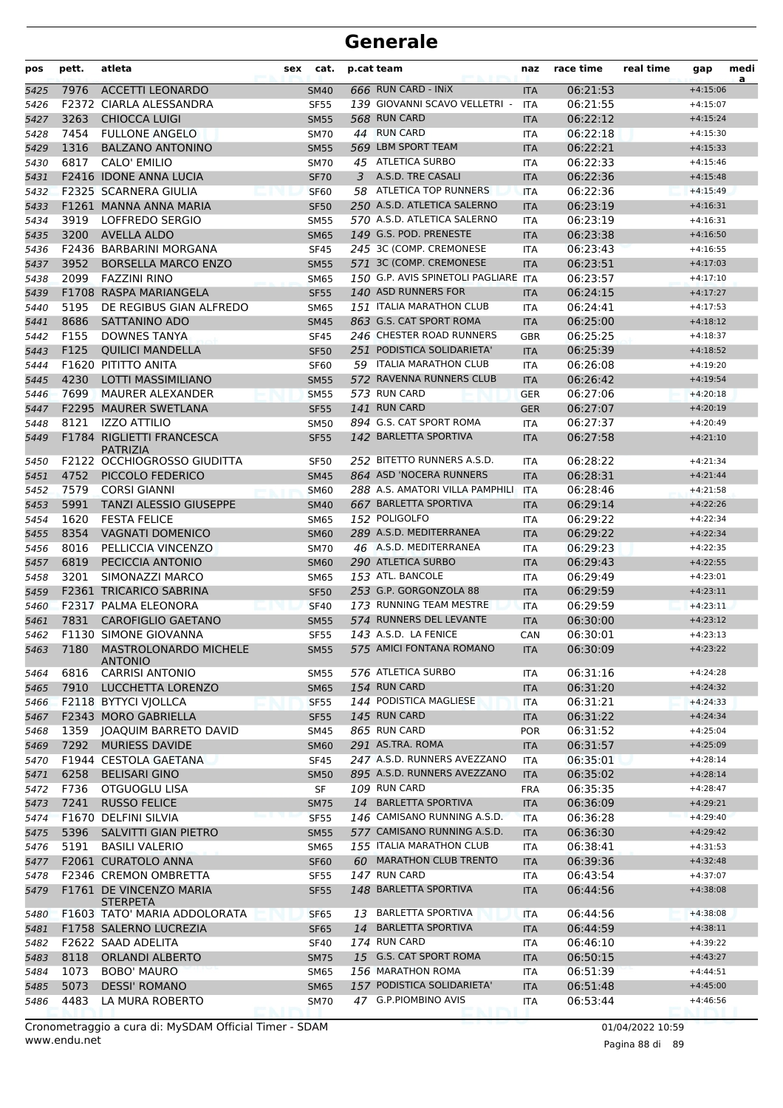| pos          | pett.        | atleta                                         | sex | cat.                       |    | p.cat team                                                 | naz                      | race time            | real time | gap                      | medi<br>a |
|--------------|--------------|------------------------------------------------|-----|----------------------------|----|------------------------------------------------------------|--------------------------|----------------------|-----------|--------------------------|-----------|
| 5425         | 7976         | <b>ACCETTI LEONARDO</b>                        |     | <b>SM40</b>                |    | 666 RUN CARD - INIX                                        | <b>ITA</b>               | 06:21:53             |           | $+4:15:06$               |           |
| 5426         |              | F2372 CIARLA ALESSANDRA                        |     | <b>SF55</b>                |    | 139 GIOVANNI SCAVO VELLETRI -                              | <b>ITA</b>               | 06:21:55             |           | $+4:15:07$               |           |
| 5427         | 3263         | <b>CHIOCCA LUIGI</b>                           |     | <b>SM55</b>                |    | 568 RUN CARD                                               | <b>ITA</b>               | 06:22:12             |           | $+4:15:24$               |           |
| 5428         | 7454         | <b>FULLONE ANGELO</b>                          |     | <b>SM70</b>                |    | 44 RUN CARD                                                | <b>ITA</b>               | 06:22:18             |           | $+4:15:30$               |           |
| 5429         | 1316         | <b>BALZANO ANTONINO</b>                        |     | <b>SM55</b>                |    | 569 LBM SPORT TEAM                                         | <b>ITA</b>               | 06:22:21             |           | $+4:15:33$               |           |
| 5430         | 6817         | CALO' EMILIO                                   |     | <b>SM70</b>                |    | 45 ATLETICA SURBO                                          | <b>ITA</b>               | 06:22:33             |           | $+4:15:46$               |           |
| 5431         |              | F2416 IDONE ANNA LUCIA                         |     | <b>SF70</b>                | 3  | A.S.D. TRE CASALI                                          | <b>ITA</b>               | 06:22:36             |           | $+4:15:48$               |           |
| 5432         |              | F2325 SCARNERA GIULIA                          |     | <b>SF60</b>                |    | 58 ATLETICA TOP RUNNERS                                    | <b>ITA</b>               | 06:22:36             |           | $+4:15:49$               |           |
| 5433         |              | F1261 MANNA ANNA MARIA                         |     | <b>SF50</b>                |    | 250 A.S.D. ATLETICA SALERNO<br>570 A.S.D. ATLETICA SALERNO | <b>ITA</b>               | 06:23:19             |           | $+4:16:31$               |           |
| 5434         | 3919<br>3200 | LOFFREDO SERGIO<br><b>AVELLA ALDO</b>          |     | <b>SM55</b>                |    | 149 G.S. POD. PRENESTE                                     | <b>ITA</b>               | 06:23:19             |           | $+4:16:31$               |           |
| 5435         |              | F2436 BARBARINI MORGANA                        |     | <b>SM65</b><br><b>SF45</b> |    | 245 3C (COMP. CREMONESE                                    | <b>ITA</b><br><b>ITA</b> | 06:23:38<br>06:23:43 |           | $+4:16:50$<br>$+4:16:55$ |           |
| 5436<br>5437 | 3952         | <b>BORSELLA MARCO ENZO</b>                     |     | <b>SM55</b>                |    | 571 3C (COMP. CREMONESE                                    | <b>ITA</b>               | 06:23:51             |           | $+4:17:03$               |           |
| 5438         | 2099         | <b>FAZZINI RINO</b>                            |     | <b>SM65</b>                |    | 150 G.P. AVIS SPINETOLI PAGLIARE ITA                       |                          | 06:23:57             |           | $+4:17:10$               |           |
| 5439         |              | F1708 RASPA MARIANGELA                         |     | <b>SF55</b>                |    | 140 ASD RUNNERS FOR                                        | <b>ITA</b>               | 06:24:15             |           | $+4:17:27$               |           |
| 5440         | 5195         | DE REGIBUS GIAN ALFREDO                        |     | <b>SM65</b>                |    | 151 ITALIA MARATHON CLUB                                   | <b>ITA</b>               | 06:24:41             |           | $+4:17:53$               |           |
| 5441         | 8686         | SATTANINO ADO                                  |     | <b>SM45</b>                |    | 863 G.S. CAT SPORT ROMA                                    | <b>ITA</b>               | 06:25:00             |           | $+4:18:12$               |           |
| 5442         | F155         | <b>DOWNES TANYA</b>                            |     | <b>SF45</b>                |    | 246 CHESTER ROAD RUNNERS                                   | <b>GBR</b>               | 06:25:25             |           | $+4:18:37$               |           |
| 5443         | F125         | <b>OUILICI MANDELLA</b>                        |     | <b>SF50</b>                |    | 251 PODISTICA SOLIDARIETA'                                 | <b>ITA</b>               | 06:25:39             |           | $+4:18:52$               |           |
| 5444         |              | F1620 PITITTO ANITA                            |     | <b>SF60</b>                |    | 59 ITALIA MARATHON CLUB                                    | ITA                      | 06:26:08             |           | $+4:19:20$               |           |
| 5445         | 4230         | <b>LOTTI MASSIMILIANO</b>                      |     | <b>SM55</b>                |    | 572 RAVENNA RUNNERS CLUB                                   | <b>ITA</b>               | 06:26:42             |           | $+4:19:54$               |           |
| 5446         | 7699         | <b>MAURER ALEXANDER</b>                        |     | <b>SM55</b>                |    | 573 RUN CARD                                               | <b>GER</b>               | 06:27:06             |           | $+4:20:18$               |           |
| 5447         |              | F2295 MAURER SWETLANA                          |     | <b>SF55</b>                |    | 141 RUN CARD                                               | <b>GER</b>               | 06:27:07             |           | $+4:20:19$               |           |
| 5448         | 8121         | <b>IZZO ATTILIO</b>                            |     | <b>SM50</b>                |    | 894 G.S. CAT SPORT ROMA                                    | <b>ITA</b>               | 06:27:37             |           | $+4:20:49$               |           |
| 5449         |              | F1784 RIGLIETTI FRANCESCA                      |     | <b>SF55</b>                |    | 142 BARLETTA SPORTIVA                                      | <b>ITA</b>               | 06:27:58             |           | $+4:21:10$               |           |
|              |              | <b>PATRIZIA</b>                                |     |                            |    |                                                            |                          |                      |           |                          |           |
| 5450         |              | F2122 OCCHIOGROSSO GIUDITTA                    |     | <b>SF50</b>                |    | 252 BITETTO RUNNERS A.S.D.                                 | ITA                      | 06:28:22             |           | $+4:21:34$               |           |
| 5451         | 4752         | PICCOLO FEDERICO                               |     | <b>SM45</b>                |    | 864 ASD 'NOCERA RUNNERS                                    | <b>ITA</b>               | 06:28:31             |           | $+4:21:44$               |           |
| 5452         | 7579         | <b>CORSI GIANNI</b>                            |     | <b>SM60</b>                |    | 288 A.S. AMATORI VILLA PAMPHILI<br>667 BARLETTA SPORTIVA   | <b>ITA</b>               | 06:28:46             |           | $+4:21:58$               |           |
| 5453         | 5991<br>1620 | <b>TANZI ALESSIO GIUSEPPE</b>                  |     | <b>SM40</b>                |    | 152 POLIGOLFO                                              | <b>ITA</b>               | 06:29:14             |           | $+4:22:26$               |           |
| 5454         | 8354         | <b>FESTA FELICE</b><br><b>VAGNATI DOMENICO</b> |     | <b>SM65</b>                |    | 289 A.S.D. MEDITERRANEA                                    | ITA                      | 06:29:22<br>06:29:22 |           | $+4:22:34$<br>$+4:22:34$ |           |
| 5455         | 8016         | PELLICCIA VINCENZO                             |     | <b>SM60</b>                |    | 46 A.S.D. MEDITERRANEA                                     | <b>ITA</b>               | 06:29:23             |           | $+4:22:35$               |           |
| 5456<br>5457 | 6819         | PECICCIA ANTONIO                               |     | <b>SM70</b><br><b>SM60</b> |    | 290 ATLETICA SURBO                                         | <b>ITA</b>               | 06:29:43             |           | $+4:22:55$               |           |
| 5458         | 3201         | SIMONAZZI MARCO                                |     | <b>SM65</b>                |    | 153 ATL. BANCOLE                                           | <b>ITA</b><br><b>ITA</b> | 06:29:49             |           | $+4:23:01$               |           |
| 5459         |              | F2361 TRICARICO SABRINA                        |     | <b>SF50</b>                |    | 253 G.P. GORGONZOLA 88                                     | <b>ITA</b>               | 06:29:59             |           | $+4:23:11$               |           |
| 5460         |              | F2317 PALMA ELEONORA                           |     | <b>SF40</b>                |    | 173 RUNNING TEAM MESTRE                                    | <b>ITA</b>               | 06:29:59             |           | $+4:23:11$               |           |
| 5461         | 7831         | <b>CAROFIGLIO GAETANO</b>                      |     | <b>SM55</b>                |    | 574 RUNNERS DEL LEVANTE                                    | <b>ITA</b>               | 06:30:00             |           | $+4:23:12$               |           |
| 5462         |              | <b>F1130 SIMONE GIOVANNA</b>                   |     | <b>SF55</b>                |    | 143 A.S.D. LA FENICE                                       | CAN                      | 06:30:01             |           | $+4:23:13$               |           |
| 5463         | 7180         | <b>MASTROLONARDO MICHELE</b>                   |     | SM55                       |    | 575 AMICI FONTANA ROMANO                                   | <b>ITA</b>               | 06:30:09             |           | $+4:23:22$               |           |
|              |              | <b>ANTONIO</b>                                 |     |                            |    |                                                            |                          |                      |           |                          |           |
| 5464         | 6816         | <b>CARRISI ANTONIO</b>                         |     | <b>SM55</b>                |    | 576 ATLETICA SURBO                                         | ITA                      | 06:31:16             |           | $+4:24:28$               |           |
| 5465         | 7910         | LUCCHETTA LORENZO                              |     | <b>SM65</b>                |    | 154 RUN CARD                                               | <b>ITA</b>               | 06:31:20             |           | $+4:24:32$               |           |
| 5466         |              | F2118 BYTYCI VJOLLCA                           |     | <b>SF55</b>                |    | 144 PODISTICA MAGLIESE                                     | <b>ITA</b>               | 06:31:21             |           | $+4:24:33$               |           |
| 5467         |              | F2343 MORO GABRIELLA                           |     | <b>SF55</b>                |    | 145 RUN CARD                                               | <b>ITA</b>               | 06:31:22             |           | $+4:24:34$               |           |
| 5468         | 1359         | JOAQUIM BARRETO DAVID                          |     | <b>SM45</b>                |    | 865 RUN CARD                                               | <b>POR</b>               | 06:31:52             |           | $+4:25:04$               |           |
| 5469         | 7292         | <b>MURIESS DAVIDE</b>                          |     | <b>SM60</b>                |    | 291 AS.TRA. ROMA<br>247 A.S.D. RUNNERS AVEZZANO            | <b>ITA</b>               | 06:31:57             |           | $+4:25:09$               |           |
| 5470         |              | F1944 CESTOLA GAETANA                          |     | <b>SF45</b>                |    | 895 A.S.D. RUNNERS AVEZZANO                                | <b>ITA</b>               | 06:35:01             |           | $+4:28:14$               |           |
| 5471         | 6258<br>F736 | <b>BELISARI GINO</b><br>OTGUOGLU LISA          |     | <b>SM50</b>                |    | 109 RUN CARD                                               | <b>ITA</b>               | 06:35:02             |           | $+4:28:14$<br>$+4:28:47$ |           |
| 5472<br>5473 | 7241         | <b>RUSSO FELICE</b>                            |     | SF<br><b>SM75</b>          |    | 14 BARLETTA SPORTIVA                                       | <b>FRA</b><br><b>ITA</b> | 06:35:35<br>06:36:09 |           | $+4:29:21$               |           |
| 5474         |              | F1670 DELFINI SILVIA                           |     | <b>SF55</b>                |    | 146 CAMISANO RUNNING A.S.D.                                | <b>ITA</b>               | 06:36:28             |           | $+4:29:40$               |           |
| 5475         | 5396         | SALVITTI GIAN PIETRO                           |     | <b>SM55</b>                |    | 577 CAMISANO RUNNING A.S.D.                                | <b>ITA</b>               | 06:36:30             |           | $+4:29:42$               |           |
| 5476         | 5191         | <b>BASILI VALERIO</b>                          |     | <b>SM65</b>                |    | 155 ITALIA MARATHON CLUB                                   | ITA                      | 06:38:41             |           | $+4:31:53$               |           |
| 5477         |              | F2061 CURATOLO ANNA                            |     | <b>SF60</b>                |    | 60 MARATHON CLUB TRENTO                                    | <b>ITA</b>               | 06:39:36             |           | $+4:32:48$               |           |
| 5478         |              | F2346 CREMON OMBRETTA                          |     | <b>SF55</b>                |    | 147 RUN CARD                                               | ITA                      | 06:43:54             |           | $+4:37:07$               |           |
| 5479         |              | F1761 DE VINCENZO MARIA                        |     | <b>SF55</b>                |    | 148 BARLETTA SPORTIVA                                      | <b>ITA</b>               | 06:44:56             |           | $+4:38:08$               |           |
|              |              | <b>STERPETA</b>                                |     |                            |    |                                                            |                          |                      |           |                          |           |
| 5480         |              | F1603 TATO' MARIA ADDOLORATA                   |     | <b>SF65</b>                | 13 | <b>BARLETTA SPORTIVA</b>                                   | <b>ITA</b>               | 06:44:56             |           | $+4:38:08$               |           |
| 5481         |              | F1758 SALERNO LUCREZIA                         |     | <b>SF65</b>                |    | 14 BARLETTA SPORTIVA                                       | <b>ITA</b>               | 06:44:59             |           | $+4:38:11$               |           |
| 5482         |              | F2622 SAAD ADELITA                             |     | <b>SF40</b>                |    | 174 RUN CARD                                               | ITA                      | 06:46:10             |           | $+4:39:22$               |           |
| 5483         | 8118         | <b>ORLANDI ALBERTO</b>                         |     | <b>SM75</b>                |    | 15 G.S. CAT SPORT ROMA                                     | <b>ITA</b>               | 06:50:15             |           | $+4:43:27$               |           |
| 5484         | 1073         | <b>BOBO' MAURO</b>                             |     | <b>SM65</b>                |    | 156 MARATHON ROMA                                          | <b>ITA</b>               | 06:51:39             |           | $+4:44:51$               |           |
| 5485         | 5073         | <b>DESSI' ROMANO</b>                           |     | <b>SM65</b>                |    | 157 PODISTICA SOLIDARIETA'                                 | <b>ITA</b>               | 06:51:48             |           | $+4:45:00$               |           |
| 5486         | 4483         | LA MURA ROBERTO                                |     | <b>SM70</b>                |    | 47 G.P.PIOMBINO AVIS                                       | ITA                      | 06:53:44             |           | $+4:46:56$               |           |

www.endu.net Cronometraggio a cura di: MySDAM Official Timer - SDAM 01/04/2022 10:59 01/04/2022 10:59

Pagina 88 di 89